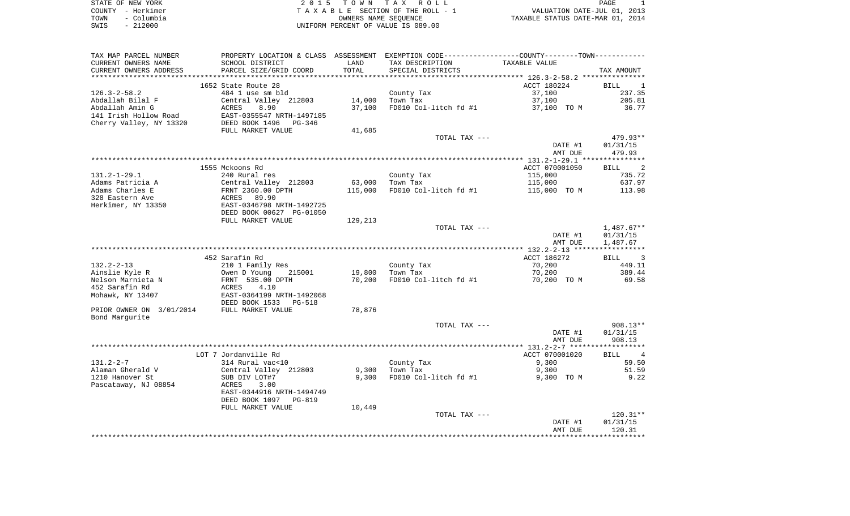| STATE OF NEW YORK  | 2015 TOWN TAX ROLL                 | PAGE                             |
|--------------------|------------------------------------|----------------------------------|
| COUNTY - Herkimer  | TAXABLE SECTION OF THE ROLL - 1    | VALUATION DATE-JUL 01, 2013      |
| – Columbia<br>TOWN | OWNERS NAME SEOUENCE               | TAXABLE STATUS DATE-MAR 01, 2014 |
| $-212000$<br>SWIS  | UNIFORM PERCENT OF VALUE IS 089.00 |                                  |

| TAX MAP PARCEL NUMBER    | PROPERTY LOCATION & CLASS ASSESSMENT EXEMPTION CODE---------------COUNTY-------TOWN---------- |         |                       |                |                                  |
|--------------------------|-----------------------------------------------------------------------------------------------|---------|-----------------------|----------------|----------------------------------|
| CURRENT OWNERS NAME      | SCHOOL DISTRICT                                                                               | LAND    | TAX DESCRIPTION       | TAXABLE VALUE  |                                  |
| CURRENT OWNERS ADDRESS   | PARCEL SIZE/GRID COORD                                                                        | TOTAL   | SPECIAL DISTRICTS     |                | TAX AMOUNT                       |
| ***********************  | ******************************                                                                |         |                       |                |                                  |
|                          | 1652 State Route 28                                                                           |         |                       | ACCT 180224    | <b>BILL</b><br>1                 |
| $126.3 - 2 - 58.2$       | 484 1 use sm bld                                                                              |         | County Tax            | 37,100         | 237.35                           |
| Abdallah Bilal F         | Central Valley 212803                                                                         | 14,000  | Town Tax              | 37,100         | 205.81                           |
| Abdallah Amin G          | 8.90<br>ACRES                                                                                 | 37,100  | FD010 Col-litch fd #1 | 37,100 TO M    | 36.77                            |
| 141 Irish Hollow Road    | EAST-0355547 NRTH-1497185                                                                     |         |                       |                |                                  |
| Cherry Valley, NY 13320  | DEED BOOK 1496<br>PG-346                                                                      |         |                       |                |                                  |
|                          | FULL MARKET VALUE                                                                             | 41,685  |                       |                |                                  |
|                          |                                                                                               |         | TOTAL TAX ---         |                | 479.93**                         |
|                          |                                                                                               |         |                       | DATE #1        | 01/31/15                         |
|                          |                                                                                               |         |                       | AMT DUE        | 479.93                           |
|                          |                                                                                               |         |                       |                |                                  |
|                          | 1555 Mckoons Rd                                                                               |         |                       | ACCT 070001050 | 2<br><b>BILL</b>                 |
| $131.2 - 1 - 29.1$       | 240 Rural res                                                                                 |         | County Tax            | 115,000        | 735.72                           |
| Adams Patricia A         | Central Valley 212803                                                                         | 63,000  | Town Tax              | 115,000        | 637.97                           |
| Adams Charles E          | FRNT 2360.00 DPTH                                                                             | 115,000 | FD010 Col-litch fd #1 | 115,000 TO M   | 113.98                           |
| 328 Eastern Ave          | ACRES 89.90                                                                                   |         |                       |                |                                  |
| Herkimer, NY 13350       | EAST-0346798 NRTH-1492725                                                                     |         |                       |                |                                  |
|                          | DEED BOOK 00627 PG-01050                                                                      |         |                       |                |                                  |
|                          | FULL MARKET VALUE                                                                             | 129,213 |                       |                |                                  |
|                          |                                                                                               |         | TOTAL TAX ---         |                | $1,487.67**$                     |
|                          |                                                                                               |         |                       | DATE #1        | 01/31/15                         |
|                          |                                                                                               |         |                       | AMT DUE        | 1,487.67                         |
|                          |                                                                                               |         |                       |                |                                  |
|                          | 452 Sarafin Rd                                                                                |         |                       | ACCT 186272    | $\overline{\phantom{a}}$<br>BILL |
| $132.2 - 2 - 13$         | 210 1 Family Res                                                                              |         | County Tax            | 70,200         | 449.11                           |
| Ainslie Kyle R           | Owen D Young<br>215001                                                                        | 19,800  | Town Tax              | 70,200         | 389.44                           |
| Nelson Marnieta N        |                                                                                               |         |                       |                |                                  |
| 452 Sarafin Rd           | FRNT 535.00 DPTH<br>ACRES<br>4.10                                                             | 70,200  | FD010 Col-litch fd #1 | 70,200 TO M    | 69.58                            |
|                          |                                                                                               |         |                       |                |                                  |
| Mohawk, NY 13407         | EAST-0364199 NRTH-1492068                                                                     |         |                       |                |                                  |
|                          | DEED BOOK 1533<br><b>PG-518</b>                                                               |         |                       |                |                                  |
| PRIOR OWNER ON 3/01/2014 | FULL MARKET VALUE                                                                             | 78,876  |                       |                |                                  |
| Bond Margurite           |                                                                                               |         |                       |                |                                  |
|                          |                                                                                               |         | TOTAL TAX ---         |                | 908.13**                         |
|                          |                                                                                               |         |                       | DATE #1        | 01/31/15                         |
|                          |                                                                                               |         |                       | AMT DUE        | 908.13                           |
|                          |                                                                                               |         |                       |                |                                  |
| $131.2 - 2 - 7$          | LOT 7 Jordanville Rd                                                                          |         |                       | ACCT 070001020 | $\overline{4}$<br>BILL           |
|                          | 314 Rural vac<10                                                                              |         | County Tax            | 9,300          | 59.50                            |
| Alaman Gherald V         | Central Valley 212803                                                                         | 9,300   | Town Tax              | 9,300          | 51.59                            |
| 1210 Hanover St          | SUB DIV LOT#7                                                                                 | 9,300   | FD010 Col-litch fd #1 | 9,300 TO M     | 9.22                             |
| Pascataway, NJ 08854     | 3.00<br>ACRES                                                                                 |         |                       |                |                                  |
|                          | EAST-0344916 NRTH-1494749                                                                     |         |                       |                |                                  |
|                          | DEED BOOK 1097<br>$PG-819$                                                                    |         |                       |                |                                  |
|                          | FULL MARKET VALUE                                                                             | 10,449  |                       |                |                                  |
|                          |                                                                                               |         | TOTAL TAX ---         |                | $120.31**$                       |
|                          |                                                                                               |         |                       | DATE #1        | 01/31/15                         |
|                          |                                                                                               |         |                       | AMT DUE        | 120.31                           |
|                          |                                                                                               |         |                       |                |                                  |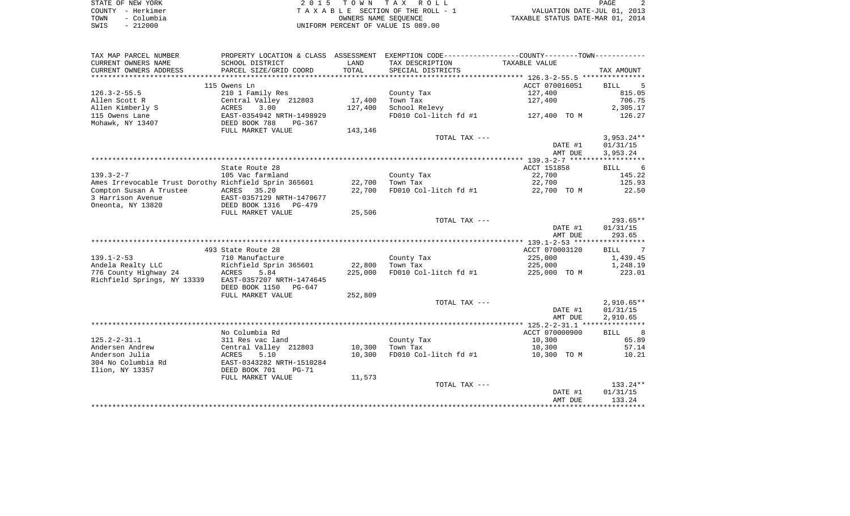| STATE OF NEW YORK  | 2015 TOWN TAX ROLL                 | PAGE                             |
|--------------------|------------------------------------|----------------------------------|
| COUNTY - Herkimer  | TAXABLE SECTION OF THE ROLL - 1    | VALUATION DATE-JUL 01, 2013      |
| – Columbia<br>TOWN | OWNERS NAME SEOUENCE               | TAXABLE STATUS DATE-MAR 01, 2014 |
| $-212000$<br>SWIS  | UNIFORM PERCENT OF VALUE IS 089.00 |                                  |

| TAX MAP PARCEL NUMBER                                 | PROPERTY LOCATION & CLASS ASSESSMENT EXEMPTION CODE---------------COUNTY-------TOWN---------- |         |                        |                           |                                    |
|-------------------------------------------------------|-----------------------------------------------------------------------------------------------|---------|------------------------|---------------------------|------------------------------------|
| CURRENT OWNERS NAME                                   | SCHOOL DISTRICT                                                                               | LAND    | TAX DESCRIPTION        | TAXABLE VALUE             |                                    |
| CURRENT OWNERS ADDRESS                                | PARCEL SIZE/GRID COORD                                                                        | TOTAL   | SPECIAL DISTRICTS      |                           | TAX AMOUNT                         |
|                                                       |                                                                                               |         |                        |                           |                                    |
|                                                       | 115 Owens Ln                                                                                  |         |                        | ACCT 070016051            | <b>BILL</b><br>5                   |
| $126.3 - 2 - 55.5$                                    | 210 1 Family Res                                                                              |         | County Tax             | 127,400                   | 815.05                             |
| Allen Scott R                                         | Central Valley 212803                                                                         | 17,400  | Town Tax               | 127,400                   | 706.75                             |
| Allen Kimberly S                                      | 3.00<br>ACRES                                                                                 | 127,400 | School Relevy          |                           | 2,305.17                           |
| 115 Owens Lane                                        | EAST-0354942 NRTH-1498929                                                                     |         | FD010 Col-litch fd #1  | 127,400 TO M              | 126.27                             |
| Mohawk, NY 13407                                      | DEED BOOK 788<br>PG-367<br>FULL MARKET VALUE                                                  | 143,146 |                        |                           |                                    |
|                                                       |                                                                                               |         | TOTAL TAX ---          |                           | $3,953.24**$                       |
|                                                       |                                                                                               |         |                        | DATE #1                   | 01/31/15                           |
|                                                       |                                                                                               |         |                        | AMT DUE                   | 3,953.24                           |
|                                                       |                                                                                               |         |                        |                           |                                    |
|                                                       | State Route 28                                                                                |         |                        | ACCT 151858               | <b>BILL</b><br>$6\overline{6}$     |
| $139.3 - 2 - 7$                                       | 105 Vac farmland                                                                              |         | County Tax             | 22,700                    | 145.22                             |
| Ames Irrevocable Trust Dorothy Richfield Sprin 365601 |                                                                                               | 22,700  | Town Tax               | 22,700                    | 125.93                             |
| Compton Susan A Trustee                               | ACRES 35.20                                                                                   | 22,700  | FD010 Col-litch fd #1  | 22,700 TO M               | 22.50                              |
| 3 Harrison Avenue                                     | EAST-0357129 NRTH-1470677                                                                     |         |                        |                           |                                    |
| Oneonta, NY 13820                                     | DEED BOOK 1316 PG-479                                                                         |         |                        |                           |                                    |
|                                                       | FULL MARKET VALUE                                                                             | 25,506  |                        |                           |                                    |
|                                                       |                                                                                               |         | TOTAL TAX ---          |                           | 293.65**                           |
|                                                       |                                                                                               |         |                        | DATE #1                   | 01/31/15                           |
|                                                       |                                                                                               |         |                        | AMT DUE                   | 293.65                             |
|                                                       |                                                                                               |         |                        |                           |                                    |
| $139.1 - 2 - 53$                                      | 493 State Route 28                                                                            |         |                        | ACCT 070003120<br>225,000 | BILL<br>7<br>1,439.45              |
| Andela Realty LLC                                     | 710 Manufacture<br>Richfield Sprin 365601                                                     | 22,800  | County Tax<br>Town Tax | 225,000                   | 1,248.19                           |
| 776 County Highway 24                                 | ACRES<br>5.84                                                                                 | 225,000 | FD010 Col-litch fd #1  | 225,000 TO M              | 223.01                             |
| Richfield Springs, NY 13339                           | EAST-0357207 NRTH-1474645                                                                     |         |                        |                           |                                    |
|                                                       | DEED BOOK 1150<br>PG-647                                                                      |         |                        |                           |                                    |
|                                                       | FULL MARKET VALUE                                                                             | 252,809 |                        |                           |                                    |
|                                                       |                                                                                               |         | TOTAL TAX ---          |                           | $2,910.65**$                       |
|                                                       |                                                                                               |         |                        | DATE #1                   | 01/31/15                           |
|                                                       |                                                                                               |         |                        | AMT DUE                   | 2,910.65                           |
|                                                       |                                                                                               |         |                        |                           |                                    |
|                                                       | No Columbia Rd                                                                                |         |                        | ACCT 070000900            | $\overline{\phantom{0}}$ 8<br>BILL |
| $125.2 - 2 - 31.1$                                    | 311 Res vac land                                                                              |         | County Tax             | 10,300                    | 65.89                              |
| Andersen Andrew                                       | Central Valley 212803                                                                         | 10,300  | Town Tax               | 10,300                    | 57.14                              |
| Anderson Julia                                        | <b>ACRES</b><br>5.10                                                                          | 10,300  | FD010 Col-litch fd #1  | 10,300 TO M               | 10.21                              |
| 304 No Columbia Rd                                    | EAST-0343282 NRTH-1510284                                                                     |         |                        |                           |                                    |
| Ilion, NY 13357                                       | DEED BOOK 701<br>$PG-71$                                                                      |         |                        |                           |                                    |
|                                                       | FULL MARKET VALUE                                                                             | 11,573  | TOTAL TAX ---          |                           | $133.24**$                         |
|                                                       |                                                                                               |         |                        | DATE #1                   | 01/31/15                           |
|                                                       |                                                                                               |         |                        |                           |                                    |
|                                                       |                                                                                               |         |                        | AMT DUE                   | 133.24                             |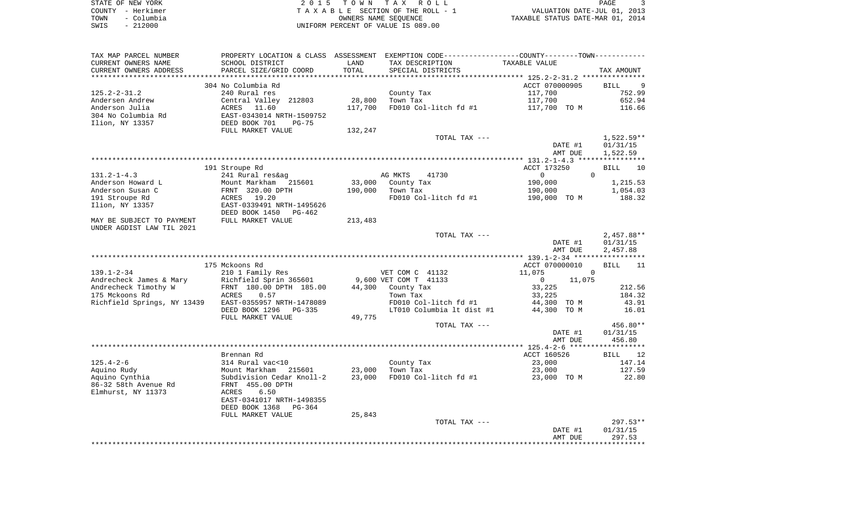| STATE OF NEW YORK  | 2015 TOWN TAX ROLL                 | PAGE                             |
|--------------------|------------------------------------|----------------------------------|
| COUNTY - Herkimer  | TAXABLE SECTION OF THE ROLL - 1    | VALUATION DATE-JUL 01, 2013      |
| – Columbia<br>TOWN | OWNERS NAME SEOUENCE               | TAXABLE STATUS DATE-MAR 01, 2014 |
| $-212000$<br>SWIS  | UNIFORM PERCENT OF VALUE IS 089.00 |                                  |

| TAX MAP PARCEL NUMBER                                                                                                    |                                                                                          |         | PROPERTY LOCATION & CLASS ASSESSMENT EXEMPTION CODE---------------COUNTY-------TOWN---------- |                               |                               |
|--------------------------------------------------------------------------------------------------------------------------|------------------------------------------------------------------------------------------|---------|-----------------------------------------------------------------------------------------------|-------------------------------|-------------------------------|
| CURRENT OWNERS NAME                                                                                                      | SCHOOL DISTRICT                                                                          | LAND    | TAX DESCRIPTION                                                                               | TAXABLE VALUE                 |                               |
| CURRENT OWNERS ADDRESS                                                                                                   | PARCEL SIZE/GRID COORD                                                                   | TOTAL   | SPECIAL DISTRICTS                                                                             |                               | TAX AMOUNT                    |
|                                                                                                                          |                                                                                          |         |                                                                                               |                               |                               |
|                                                                                                                          | 304 No Columbia Rd                                                                       |         |                                                                                               | ACCT 070000905                | BILL 9                        |
| $125.2 - 2 - 31.2$                                                                                                       | 240 Rural res                                                                            |         | County Tax                                                                                    | 117,700                       | 752.99                        |
| Andersen Andrew                                                                                                          |                                                                                          | 28,800  | Town Tax                                                                                      | 117,700                       | 652.94                        |
| Anderson Julia                                                                                                           |                                                                                          | 117,700 | FD010 Col-litch fd #1                                                                         | 117,700 TO M                  | 116.66                        |
| 304 No Columbia Rd<br>Ilion, NY 13357                                                                                    | Central Valley 212803<br>ACRES 11.60<br>EAST-0343014 NRTH-1509752<br>DEED BOOK 701 PG-75 |         |                                                                                               |                               |                               |
|                                                                                                                          | FULL MARKET VALUE                                                                        | 132,247 |                                                                                               |                               |                               |
|                                                                                                                          |                                                                                          |         | TOTAL TAX ---                                                                                 |                               | $1,522.59**$                  |
|                                                                                                                          |                                                                                          |         |                                                                                               | DATE #1                       | 01/31/15                      |
|                                                                                                                          |                                                                                          |         |                                                                                               | AMT DUE                       | 1,522.59                      |
|                                                                                                                          |                                                                                          |         |                                                                                               |                               |                               |
| $131.2 - 1 - 4.3$                                                                                                        | 191 Stroupe Rd                                                                           |         | AG MKTS                                                                                       | ACCT 173250<br>$\overline{0}$ | BILL<br><b>10</b><br>$\Omega$ |
| Anderson Howard L                                                                                                        | 241 Rural res&ag                                                                         | 33,000  | 41730<br>County Tax                                                                           | 190,000                       | 1,215.53                      |
| Anderson Susan C                                                                                                         | Mount Markham 215601<br>FRNT 320.00 DPTH                                                 | 190,000 | Town Tax                                                                                      |                               | 1,054.03                      |
| 191 Stroupe Rd                                                                                                           | ACRES 19.20                                                                              |         | FD010 Col-litch fd #1                                                                         | 190,000<br>190,000 TO M       | 188.32                        |
| Ilion, NY 13357                                                                                                          | EAST-0339491 NRTH-1495626                                                                |         |                                                                                               |                               |                               |
|                                                                                                                          | DEED BOOK 1450<br>PG-462                                                                 |         |                                                                                               |                               |                               |
| MAY BE SUBJECT TO PAYMENT                                                                                                | FULL MARKET VALUE                                                                        | 213,483 |                                                                                               |                               |                               |
| UNDER AGDIST LAW TIL 2021                                                                                                |                                                                                          |         | TOTAL TAX ---                                                                                 |                               | $2,457.88**$                  |
|                                                                                                                          |                                                                                          |         |                                                                                               | DATE #1                       | 01/31/15                      |
|                                                                                                                          |                                                                                          |         |                                                                                               | AMT DUE                       | 2,457.88                      |
|                                                                                                                          |                                                                                          |         |                                                                                               |                               |                               |
|                                                                                                                          | 175 Mckoons Rd                                                                           |         |                                                                                               | ACCT 070000010                | BILL 11                       |
| $139.1 - 2 - 34$                                                                                                         | 210 1 Family Res                                                                         |         | VET COM C 41132                                                                               | 11,075                        | $\overline{0}$                |
| 210 1 Family Res<br>Andrecheck James & Mary<br>Andrecheck Timothy W FRNT 180.00 DPTH 185.00<br>175 Mckoons Rd ACRES 0.57 |                                                                                          |         | 9,600 VET COM T 41133                                                                         | 11,075<br>$\overline{0}$      |                               |
|                                                                                                                          |                                                                                          |         | 44,300 County Tax                                                                             | 33,225                        | 212.56                        |
|                                                                                                                          |                                                                                          |         | Town Tax                                                                                      | 33,225                        | 184.32                        |
| Richfield Springs, NY 13439 EAST-0355957 NRTH-1478089                                                                    |                                                                                          |         | FD010 Col-litch fd #1                                                                         | 44,300 TO M                   | 43.91                         |
|                                                                                                                          | DEED BOOK 1296 PG-335                                                                    |         | LT010 Columbia 1t dist #1                                                                     | 44,300 TO M                   | 16.01                         |
|                                                                                                                          | FULL MARKET VALUE                                                                        | 49,775  |                                                                                               |                               |                               |
|                                                                                                                          |                                                                                          |         | TOTAL TAX ---                                                                                 |                               | 456.80**                      |
|                                                                                                                          |                                                                                          |         |                                                                                               | DATE #1                       | 01/31/15                      |
|                                                                                                                          |                                                                                          |         |                                                                                               | AMT DUE                       | 456.80                        |
|                                                                                                                          |                                                                                          |         |                                                                                               |                               |                               |
|                                                                                                                          | Brennan Rd                                                                               |         |                                                                                               | ACCT 160526                   | BILL 12                       |
| 125.4-2-6                                                                                                                | 314 Rural vac<10                                                                         |         | County Tax                                                                                    | 23,000                        | 147.14                        |
| Aquino Rudy                                                                                                              | Mount Markham   215601<br>Subdivision Cedar Knoll-2                                      | 23,000  | Town Tax                                                                                      | 23,000                        | 127.59                        |
| Aquino Cynthia                                                                                                           |                                                                                          | 23,000  | FD010 Col-litch fd #1                                                                         | 23,000 TO M                   | 22.80                         |
| 86-32 58th Avenue Rd                                                                                                     | FRNT 455.00 DPTH                                                                         |         |                                                                                               |                               |                               |
| Elmhurst, NY 11373                                                                                                       | 6.50<br>ACRES                                                                            |         |                                                                                               |                               |                               |
|                                                                                                                          | EAST-0341017 NRTH-1498355<br>DEED BOOK 1368<br>PG-364                                    |         |                                                                                               |                               |                               |
|                                                                                                                          |                                                                                          | 25,843  |                                                                                               |                               |                               |
|                                                                                                                          | FULL MARKET VALUE                                                                        |         | TOTAL TAX ---                                                                                 |                               | $297.53**$                    |
|                                                                                                                          |                                                                                          |         |                                                                                               | DATE #1                       | 01/31/15                      |
|                                                                                                                          |                                                                                          |         |                                                                                               | AMT DUE                       | 297.53                        |
|                                                                                                                          |                                                                                          |         |                                                                                               |                               | ********                      |
|                                                                                                                          |                                                                                          |         |                                                                                               |                               |                               |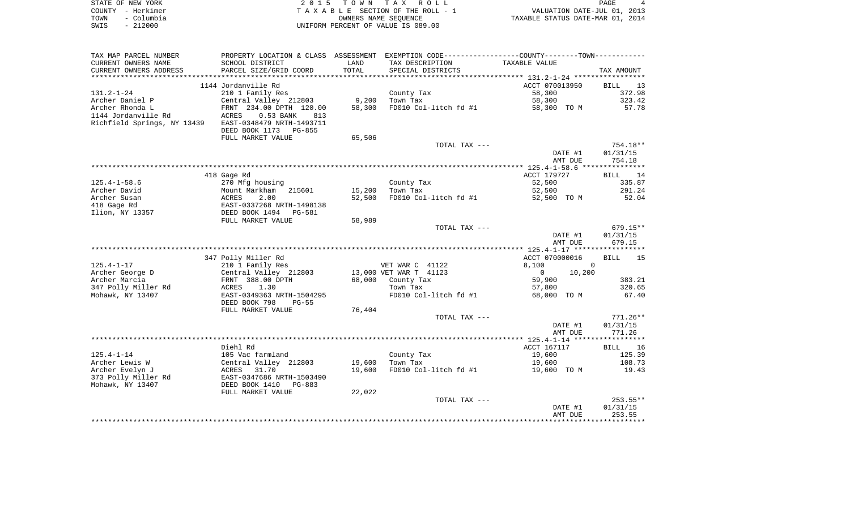|      | STATE OF NEW YORK | 2015 TOWN TAX ROLL                 | PAGE                             |
|------|-------------------|------------------------------------|----------------------------------|
|      | COUNTY - Herkimer | TAXABLE SECTION OF THE ROLL - 1    | VALUATION DATE-JUL 01, 2013      |
| TOWN | – Columbia        | OWNERS NAME SEOUENCE               | TAXABLE STATUS DATE-MAR 01, 2014 |
| SWIS | $-212000$         | UNIFORM PERCENT OF VALUE IS 089.00 |                                  |

| TAX MAP PARCEL NUMBER       | PROPERTY LOCATION & CLASS ASSESSMENT |        | EXEMPTION CODE-----------------COUNTY-------TOWN----------- |                                              |                   |
|-----------------------------|--------------------------------------|--------|-------------------------------------------------------------|----------------------------------------------|-------------------|
| CURRENT OWNERS NAME         | SCHOOL DISTRICT                      | LAND   | TAX DESCRIPTION                                             | TAXABLE VALUE                                |                   |
| CURRENT OWNERS ADDRESS      | PARCEL SIZE/GRID COORD               | TOTAL  | SPECIAL DISTRICTS                                           |                                              | TAX AMOUNT        |
| *************************   |                                      |        |                                                             |                                              |                   |
|                             | 1144 Jordanville Rd                  |        |                                                             | ACCT 070013950                               | <b>BILL</b><br>13 |
| $131.2 - 1 - 24$            | 210 1 Family Res                     |        | County Tax                                                  | 58,300                                       | 372.98            |
| Archer Daniel P             | Central Valley 212803                | 9,200  | Town Tax                                                    | 58,300                                       | 323.42            |
| Archer Rhonda L             | FRNT 234.00 DPTH 120.00              | 58,300 | FD010 Col-litch fd #1                                       | 58,300 TO M                                  | 57.78             |
| 1144 Jordanville Rd         | 0.53 BANK<br><b>ACRES</b><br>813     |        |                                                             |                                              |                   |
| Richfield Springs, NY 13439 | EAST-0348479 NRTH-1493711            |        |                                                             |                                              |                   |
|                             | DEED BOOK 1173 PG-855                |        |                                                             |                                              |                   |
|                             | FULL MARKET VALUE                    | 65,506 |                                                             |                                              |                   |
|                             |                                      |        | TOTAL TAX ---                                               |                                              | 754.18**          |
|                             |                                      |        |                                                             | DATE #1                                      | 01/31/15          |
|                             |                                      |        |                                                             | AMT DUE                                      | 754.18            |
|                             |                                      |        |                                                             |                                              |                   |
|                             | 418 Gage Rd                          |        |                                                             | ACCT 179727                                  | <b>BILL</b><br>14 |
| $125.4 - 1 - 58.6$          | 270 Mfg housing                      |        | County Tax                                                  | 52,500                                       | 335.87            |
| Archer David                | Mount Markham<br>215601              | 15,200 | Town Tax                                                    | 52,500                                       | 291.24            |
| Archer Susan                | <b>ACRES</b><br>2.00                 | 52,500 | FD010 Col-litch fd #1                                       | 52,500 TO M                                  | 52.04             |
| 418 Gage Rd                 | EAST-0337268 NRTH-1498138            |        |                                                             |                                              |                   |
| Ilion, NY 13357             | DEED BOOK 1494<br><b>PG-581</b>      |        |                                                             |                                              |                   |
|                             | FULL MARKET VALUE                    | 58,989 |                                                             |                                              | $679.15**$        |
|                             |                                      |        | TOTAL TAX ---                                               | DATE #1                                      | 01/31/15          |
|                             |                                      |        |                                                             | AMT DUE                                      | 679.15            |
|                             |                                      |        |                                                             | ************** 125.4-1-17 ****************** |                   |
|                             | 347 Polly Miller Rd                  |        |                                                             | ACCT 070000016                               | 15<br><b>BILL</b> |
| $125.4 - 1 - 17$            | 210 1 Family Res                     |        | VET WAR C 41122                                             | 8,100<br>$\overline{0}$                      |                   |
| Archer George D             | Central Valley 212803                |        | 13,000 VET WAR T 41123                                      | 10,200<br>0                                  |                   |
| Archer Marcia               | FRNT 388.00 DPTH                     | 68,000 | County Tax                                                  | 59,900                                       | 383.21            |
| 347 Polly Miller Rd         | ACRES<br>1.30                        |        | Town Tax                                                    | 57,800                                       | 320.65            |
| Mohawk, NY 13407            | EAST-0349363 NRTH-1504295            |        | FD010 Col-litch fd #1                                       | 68,000 TO M                                  | 67.40             |
|                             | DEED BOOK 798<br>$PG-55$             |        |                                                             |                                              |                   |
|                             | FULL MARKET VALUE                    | 76,404 |                                                             |                                              |                   |
|                             |                                      |        | TOTAL TAX ---                                               |                                              | $771.26**$        |
|                             |                                      |        |                                                             | DATE #1                                      | 01/31/15          |
|                             |                                      |        |                                                             | AMT DUE                                      | 771.26            |
|                             |                                      |        |                                                             |                                              |                   |
|                             | Diehl Rd                             |        |                                                             | ACCT 167117                                  | 16<br>BILL        |
| $125.4 - 1 - 14$            | 105 Vac farmland                     |        | County Tax                                                  | 19,600                                       | 125.39            |
| Archer Lewis W              | Central Valley 212803                | 19,600 | Town Tax                                                    | 19,600                                       | 108.73            |
| Archer Evelyn J             | ACRES<br>31.70                       | 19,600 | FD010 Col-litch fd #1                                       | 19,600 TO M                                  | 19.43             |
| 373 Polly Miller Rd         | EAST-0347686 NRTH-1503490            |        |                                                             |                                              |                   |
| Mohawk, NY 13407            | DEED BOOK 1410<br>$PG-883$           |        |                                                             |                                              |                   |
|                             | FULL MARKET VALUE                    | 22,022 |                                                             |                                              |                   |
|                             |                                      |        | TOTAL TAX ---                                               |                                              | $253.55**$        |
|                             |                                      |        |                                                             | DATE #1                                      | 01/31/15          |
|                             |                                      |        |                                                             | AMT DUE                                      | 253.55            |
|                             |                                      |        |                                                             |                                              |                   |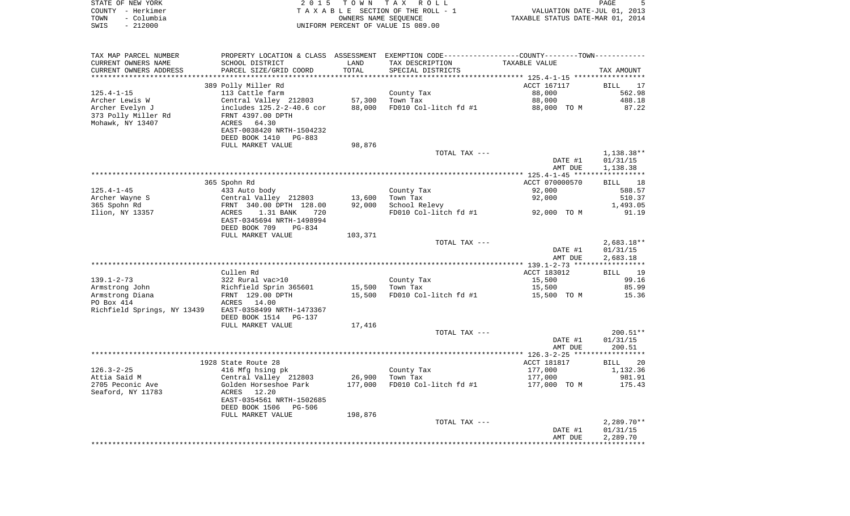|      | STATE OF NEW YORK | 2015 TOWN TAX ROLL                                       | PAGE                        |  |
|------|-------------------|----------------------------------------------------------|-----------------------------|--|
|      | COUNTY - Herkimer | TAXABLE SECTION OF THE ROLL - 1                          | VALUATION DATE-JUL 01, 2013 |  |
| TOWN | – Columbia        | TAXABLE STATUS DATE-MAR 01, 2014<br>OWNERS NAME SEOUENCE |                             |  |
| SWIS | $-212000$         | UNIFORM PERCENT OF VALUE IS 089.00                       |                             |  |

| TAX MAP PARCEL NUMBER       | PROPERTY LOCATION & CLASS ASSESSMENT |         | EXEMPTION CODE----------------COUNTY-------TOWN----------- |                                                   |              |
|-----------------------------|--------------------------------------|---------|------------------------------------------------------------|---------------------------------------------------|--------------|
| CURRENT OWNERS NAME         | SCHOOL DISTRICT                      | LAND    | TAX DESCRIPTION                                            | TAXABLE VALUE                                     |              |
| CURRENT OWNERS ADDRESS      | PARCEL SIZE/GRID COORD               | TOTAL   | SPECIAL DISTRICTS                                          |                                                   | TAX AMOUNT   |
|                             |                                      |         |                                                            | ******************* 125.4-1-15 ****************** |              |
|                             | 389 Polly Miller Rd                  |         |                                                            | ACCT 167117                                       | BILL 17      |
| $125.4 - 1 - 15$            | 113 Cattle farm                      |         | County Tax                                                 | 88,000                                            | 562.98       |
| Archer Lewis W              | Central Valley 212803                | 57,300  | Town Tax                                                   | 88,000                                            | 488.18       |
| Archer Evelyn J             | includes 125.2-2-40.6 cor            | 88,000  | FD010 Col-litch fd #1                                      | 88,000 TO M                                       | 87.22        |
| 373 Polly Miller Rd         | FRNT 4397.00 DPTH                    |         |                                                            |                                                   |              |
| Mohawk, NY 13407            | ACRES 64.30                          |         |                                                            |                                                   |              |
|                             | EAST-0038420 NRTH-1504232            |         |                                                            |                                                   |              |
|                             | DEED BOOK 1410 PG-883                |         |                                                            |                                                   |              |
|                             | FULL MARKET VALUE                    | 98,876  |                                                            |                                                   |              |
|                             |                                      |         | TOTAL TAX ---                                              |                                                   | 1,138.38**   |
|                             |                                      |         |                                                            | DATE #1                                           | 01/31/15     |
|                             |                                      |         |                                                            | AMT DUE                                           | 1,138.38     |
|                             |                                      |         |                                                            |                                                   |              |
|                             | 365 Spohn Rd                         |         |                                                            | ACCT 070000570                                    | BILL 18      |
| $125.4 - 1 - 45$            | 433 Auto body                        |         | County Tax                                                 | 92,000                                            | 588.57       |
| Archer Wayne S              | Central Valley 212803                | 13,600  | Town Tax                                                   | 92,000                                            | 510.37       |
| 365 Spohn Rd                | FRNT 340.00 DPTH 128.00              | 92,000  | School Relevy                                              |                                                   | 1,493.05     |
| Ilion, NY 13357             | ACRES<br>1.31 BANK<br>720            |         | FD010 Col-litch fd #1                                      | 92,000 TO M                                       | 91.19        |
|                             | EAST-0345694 NRTH-1498994            |         |                                                            |                                                   |              |
|                             | DEED BOOK 709<br>PG-834              |         |                                                            |                                                   |              |
|                             | FULL MARKET VALUE                    | 103,371 |                                                            |                                                   |              |
|                             |                                      |         | TOTAL TAX ---                                              |                                                   | $2,683.18**$ |
|                             |                                      |         |                                                            | DATE #1                                           | 01/31/15     |
|                             |                                      |         |                                                            | AMT DUE                                           | 2,683.18     |
|                             |                                      |         |                                                            |                                                   |              |
|                             | Cullen Rd                            |         |                                                            | ACCT 183012                                       | BILL 19      |
| $139.1 - 2 - 73$            | 322 Rural vac>10                     |         | County Tax                                                 | 15,500                                            | 99.16        |
| Armstrong John              | Richfield Sprin 365601               | 15,500  | Town Tax                                                   | 15,500                                            | 85.99        |
| Armstrong Diana             | FRNT 129.00 DPTH                     | 15,500  | FD010 Col-litch fd #1                                      | 15,500 TO M                                       | 15.36        |
| PO Box 414                  | ACRES 14.00                          |         |                                                            |                                                   |              |
| Richfield Springs, NY 13439 | EAST-0358499 NRTH-1473367            |         |                                                            |                                                   |              |
|                             | DEED BOOK 1514 PG-137                |         |                                                            |                                                   |              |
|                             | FULL MARKET VALUE                    | 17,416  |                                                            |                                                   |              |
|                             |                                      |         | TOTAL TAX ---                                              |                                                   | $200.51**$   |
|                             |                                      |         |                                                            | DATE #1                                           | 01/31/15     |
|                             |                                      |         |                                                            | AMT DUE                                           | 200.51       |
|                             |                                      |         |                                                            |                                                   |              |
|                             | 1928 State Route 28                  |         |                                                            | ACCT 181817                                       | BILL 20      |
| $126.3 - 2 - 25$            | 416 Mfg hsing pk                     |         | County Tax                                                 | 177,000                                           | 1,132.36     |
| Attia Said M                | Central Valley 212803                | 26,900  | Town Tax                                                   | 177,000                                           | 981.91       |
| 2705 Peconic Ave            | Golden Horseshoe Park                | 177,000 | FD010 Col-litch fd #1                                      | 177,000 TO M                                      | 175.43       |
| Seaford, NY 11783           | ACRES 12.20                          |         |                                                            |                                                   |              |
|                             | EAST-0354561 NRTH-1502685            |         |                                                            |                                                   |              |
|                             | DEED BOOK 1506 PG-506                |         |                                                            |                                                   |              |
|                             |                                      |         |                                                            |                                                   |              |
|                             | FULL MARKET VALUE                    | 198,876 | TOTAL TAX ---                                              |                                                   | $2,289.70**$ |
|                             |                                      |         |                                                            | DATE #1                                           | 01/31/15     |
|                             |                                      |         |                                                            | AMT DUE                                           |              |
|                             |                                      |         |                                                            |                                                   | 2,289.70     |
|                             |                                      |         |                                                            |                                                   |              |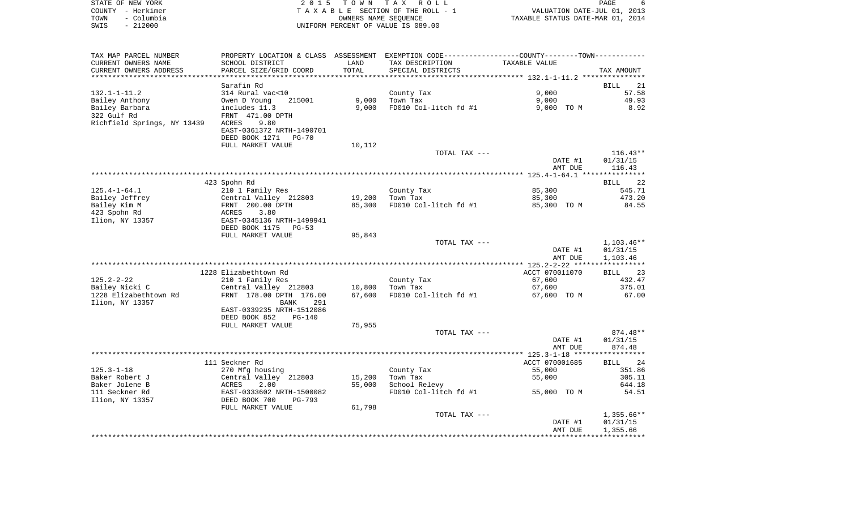| STATE OF NEW YORK  | 2015 TOWN TAX ROLL                 | PAGE                             |
|--------------------|------------------------------------|----------------------------------|
| COUNTY - Herkimer  | TAXABLE SECTION OF THE ROLL - 1    | VALUATION DATE-JUL 01, 2013      |
| - Columbia<br>TOWN | OWNERS NAME SEOUENCE               | TAXABLE STATUS DATE-MAR 01, 2014 |
| - 212000<br>SWIS   | UNIFORM PERCENT OF VALUE IS 089.00 |                                  |

| TAX MAP PARCEL NUMBER       | PROPERTY LOCATION & CLASS |        | ASSESSMENT EXEMPTION CODE-----------------COUNTY-------TOWN----------- |                |                   |
|-----------------------------|---------------------------|--------|------------------------------------------------------------------------|----------------|-------------------|
| CURRENT OWNERS NAME         | SCHOOL DISTRICT           | LAND   | TAX DESCRIPTION                                                        | TAXABLE VALUE  |                   |
| CURRENT OWNERS ADDRESS      | PARCEL SIZE/GRID COORD    | TOTAL  | SPECIAL DISTRICTS                                                      |                | TAX AMOUNT        |
|                             |                           |        |                                                                        |                |                   |
|                             | Sarafin Rd                |        |                                                                        |                | <b>BILL</b><br>21 |
| $132.1 - 1 - 11.2$          | 314 Rural vac<10          |        | County Tax                                                             | 9.000          | 57.58             |
| Bailey Anthony              | Owen D Young<br>215001    | 9,000  | Town Tax                                                               | 9,000          | 49.93             |
|                             |                           |        |                                                                        |                |                   |
| Bailey Barbara              | includes 11.3             | 9,000  | FD010 Col-litch fd #1                                                  | 9,000 TO M     | 8.92              |
| 322 Gulf Rd                 | FRNT 471.00 DPTH          |        |                                                                        |                |                   |
| Richfield Springs, NY 13439 | 9.80<br>ACRES             |        |                                                                        |                |                   |
|                             | EAST-0361372 NRTH-1490701 |        |                                                                        |                |                   |
|                             | DEED BOOK 1271<br>$PG-70$ |        |                                                                        |                |                   |
|                             | FULL MARKET VALUE         | 10,112 |                                                                        |                |                   |
|                             |                           |        | TOTAL TAX ---                                                          |                | $116.43**$        |
|                             |                           |        |                                                                        | DATE #1        | 01/31/15          |
|                             |                           |        |                                                                        | AMT DUE        | 116.43            |
|                             |                           |        |                                                                        |                |                   |
|                             | 423 Spohn Rd              |        |                                                                        |                | <b>BILL</b><br>22 |
| $125.4 - 1 - 64.1$          | 210 1 Family Res          |        | County Tax                                                             | 85,300         | 545.71            |
| Bailey Jeffrey              | Central Valley 212803     | 19,200 | Town Tax                                                               | 85,300         | 473.20            |
| Bailey Kim M                | FRNT 200.00 DPTH          | 85,300 | FD010 Col-litch fd #1                                                  | 85,300 TO M    | 84.55             |
| 423 Spohn Rd                |                           |        |                                                                        |                |                   |
|                             | ACRES<br>3.80             |        |                                                                        |                |                   |
| Ilion, NY 13357             | EAST-0345136 NRTH-1499941 |        |                                                                        |                |                   |
|                             | DEED BOOK 1175<br>$PG-53$ |        |                                                                        |                |                   |
|                             | FULL MARKET VALUE         | 95,843 |                                                                        |                |                   |
|                             |                           |        | TOTAL TAX ---                                                          |                | 1,103.46**        |
|                             |                           |        |                                                                        | DATE #1        | 01/31/15          |
|                             |                           |        |                                                                        | AMT DUE        | 1,103.46          |
|                             |                           |        |                                                                        |                |                   |
|                             | 1228 Elizabethtown Rd     |        |                                                                        | ACCT 070011070 | 23<br>BILL        |
| $125.2 - 2 - 22$            | 210 1 Family Res          |        | County Tax                                                             | 67,600         | 432.47            |
| Bailey Nicki C              | Central Valley 212803     | 10,800 | Town Tax                                                               | 67,600         | 375.01            |
| 1228 Elizabethtown Rd       | FRNT 178.00 DPTH 176.00   | 67,600 | FD010 Col-litch fd #1                                                  | 67,600 TO M    | 67.00             |
| Ilion, NY 13357             | <b>BANK</b><br>291        |        |                                                                        |                |                   |
|                             | EAST-0339235 NRTH-1512086 |        |                                                                        |                |                   |
|                             | DEED BOOK 852<br>$PG-140$ |        |                                                                        |                |                   |
|                             | FULL MARKET VALUE         | 75,955 |                                                                        |                |                   |
|                             |                           |        | TOTAL TAX ---                                                          |                | 874.48**          |
|                             |                           |        |                                                                        | DATE #1        | 01/31/15          |
|                             |                           |        |                                                                        | AMT DUE        | 874.48            |
|                             |                           |        |                                                                        |                |                   |
|                             |                           |        |                                                                        |                |                   |
|                             | 111 Seckner Rd            |        |                                                                        | ACCT 070001685 | 24<br>BILL        |
| $125.3 - 1 - 18$            | 270 Mfg housing           |        | County Tax                                                             | 55,000         | 351.86            |
| Baker Robert J              | Central Valley 212803     | 15,200 | Town Tax                                                               | 55,000         | 305.11            |
| Baker Jolene B              | 2.00<br>ACRES             | 55,000 | School Relevy                                                          |                | 644.18            |
| 111 Seckner Rd              | EAST-0333602 NRTH-1500082 |        | FD010 Col-litch fd #1                                                  | 55,000 TO M    | 54.51             |
| Ilion, NY 13357             | DEED BOOK 700<br>$PG-793$ |        |                                                                        |                |                   |
|                             | FULL MARKET VALUE         | 61,798 |                                                                        |                |                   |
|                             |                           |        | TOTAL TAX ---                                                          |                | $1,355.66**$      |
|                             |                           |        |                                                                        | DATE #1        | 01/31/15          |
|                             |                           |        |                                                                        | AMT DUE        | 1,355.66          |
|                             |                           |        |                                                                        |                |                   |
|                             |                           |        |                                                                        |                |                   |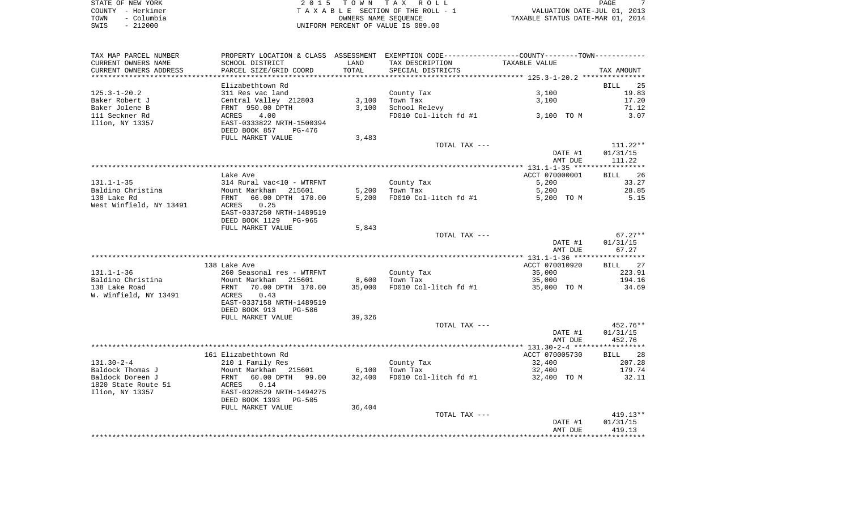| STATE OF NEW YORK  | 2015 TOWN TAX ROLL                 | PAGE                             |
|--------------------|------------------------------------|----------------------------------|
| COUNTY - Herkimer  | TAXABLE SECTION OF THE ROLL - 1    | VALUATION DATE-JUL 01, 2013      |
| TOWN<br>– Columbia | OWNERS NAME SEOUENCE               | TAXABLE STATUS DATE-MAR 01, 2014 |
| $-212000$<br>SWIS  | UNIFORM PERCENT OF VALUE IS 089.00 |                                  |

| TAX MAP PARCEL NUMBER   |                                                                                    |        | PROPERTY LOCATION & CLASS ASSESSMENT EXEMPTION CODE---------------COUNTY-------TOWN---------- |                |                        |
|-------------------------|------------------------------------------------------------------------------------|--------|-----------------------------------------------------------------------------------------------|----------------|------------------------|
| CURRENT OWNERS NAME     | SCHOOL DISTRICT                                                                    | LAND   | TAX DESCRIPTION                                                                               | TAXABLE VALUE  |                        |
| CURRENT OWNERS ADDRESS  | PARCEL SIZE/GRID COORD                                                             | TOTAL  | SPECIAL DISTRICTS                                                                             |                | TAX AMOUNT             |
|                         |                                                                                    |        |                                                                                               |                |                        |
|                         | Elizabethtown Rd                                                                   |        |                                                                                               |                | BILL 25                |
| $125.3 - 1 - 20.2$      | 311 Res vac land                                                                   |        | County Tax                                                                                    | 3,100          | 19.83                  |
| Baker Robert J          | Central Valley 212803                                                              |        | $3,100$ Town Tax                                                                              | 3,100          | 17.20                  |
| Baker Jolene B          | FRNT 950.00 DPTH                                                                   | 3,100  | School Relevy                                                                                 |                | 71.12                  |
| 111 Seckner Rd          | 4.00<br>ACRES                                                                      |        | FD010 Col-litch $fd$ #1 3,100 TO M                                                            |                | 3.07                   |
| Ilion, NY 13357         | EAST-0333822 NRTH-1500394                                                          |        |                                                                                               |                |                        |
|                         | DEED BOOK 857<br>PG-476                                                            |        |                                                                                               |                |                        |
|                         |                                                                                    |        |                                                                                               |                |                        |
|                         | FULL MARKET VALUE                                                                  | 3,483  |                                                                                               |                |                        |
|                         |                                                                                    |        | TOTAL TAX ---                                                                                 |                | $111.22**$             |
|                         |                                                                                    |        |                                                                                               | DATE #1        | 01/31/15               |
|                         |                                                                                    |        |                                                                                               | AMT DUE        | 111.22                 |
|                         |                                                                                    |        |                                                                                               |                |                        |
|                         | Lake Ave                                                                           |        |                                                                                               | ACCT 070000001 | BILL 26                |
| $131.1 - 1 - 35$        | 314 Rural vac<10 - WTRFNT                                                          |        | County Tax                                                                                    | 5,200          | 33.27                  |
| Baldino Christina       | Mount Markham 215601                                                               |        | $5,200$ Town Tax                                                                              | 5,200          | 28.85                  |
| 138 Lake Rd             | FRNT<br>66.00 DPTH 170.00                                                          |        | $5,200$ FD010 Col-litch fd #1                                                                 | 5,200 TO M     | 5.15                   |
| West Winfield, NY 13491 | ACRES<br>0.25                                                                      |        |                                                                                               |                |                        |
|                         | EAST-0337250 NRTH-1489519                                                          |        |                                                                                               |                |                        |
|                         | DEED BOOK 1129 PG-965                                                              |        |                                                                                               |                |                        |
|                         | FULL MARKET VALUE                                                                  | 5,843  |                                                                                               |                |                        |
|                         |                                                                                    |        | TOTAL TAX ---                                                                                 |                | $67.27**$              |
|                         |                                                                                    |        |                                                                                               | DATE #1        | 01/31/15               |
|                         |                                                                                    |        |                                                                                               | AMT DUE        | 67.27                  |
|                         |                                                                                    |        |                                                                                               |                |                        |
|                         |                                                                                    |        |                                                                                               |                |                        |
|                         | 138 Lake Ave                                                                       |        |                                                                                               | ACCT 070010920 | BILL 27                |
|                         |                                                                                    |        |                                                                                               |                |                        |
| $131.1 - 1 - 36$        |                                                                                    |        | County Tax                                                                                    | 35,000         | 223.91                 |
| Baldino Christina       |                                                                                    |        | $8,600$ Town Tax                                                                              | 35,000         | 194.16                 |
| 138 Lake Road           |                                                                                    | 35,000 | FD010 Col-litch fd #1                                                                         | 35,000 TO M    | 34.69                  |
| W. Winfield, NY 13491   | 260 Seasonal Les<br>Mount Markham 215601<br>FRNT 70.00 DPTH 170.00<br><b>ACRES</b> |        |                                                                                               |                |                        |
|                         | EAST-0337158 NRTH-1489519                                                          |        |                                                                                               |                |                        |
|                         | DEED BOOK 913<br>PG-586                                                            |        |                                                                                               |                |                        |
|                         | FULL MARKET VALUE                                                                  | 39,326 |                                                                                               |                |                        |
|                         |                                                                                    |        | TOTAL TAX ---                                                                                 |                |                        |
|                         |                                                                                    |        |                                                                                               | DATE #1        | 01/31/15               |
|                         |                                                                                    |        |                                                                                               | AMT DUE        | 452.76                 |
|                         |                                                                                    |        |                                                                                               |                |                        |
|                         |                                                                                    |        |                                                                                               |                |                        |
|                         | 161 Elizabethtown Rd                                                               |        |                                                                                               | ACCT 070005730 | BILL 28                |
| $131.30 - 2 - 4$        |                                                                                    |        | County Tax                                                                                    | 32,400         | 207.28                 |
| Baldock Thomas J        |                                                                                    |        | $6,100$ Town Tax                                                                              | 32,400         | 179.74                 |
| Baldock Doreen J        |                                                                                    | 32,400 | FD010 Col-litch $f d$ #1 32,400 TO M                                                          |                | 32.11                  |
| 1820 State Route 51     | 210 1 Family Res<br>Mount Markham 215601<br>FRNT 60.00 DPTH 99.00<br>ACRES 0.14    |        |                                                                                               |                |                        |
| Ilion, NY 13357         | EAST-0328529 NRTH-1494275                                                          |        |                                                                                               |                |                        |
|                         | DEED BOOK 1393 PG-505                                                              |        |                                                                                               |                |                        |
|                         | FULL MARKET VALUE                                                                  | 36,404 |                                                                                               |                |                        |
|                         |                                                                                    |        | TOTAL TAX ---                                                                                 |                | 452.76**<br>$419.13**$ |
|                         |                                                                                    |        |                                                                                               | DATE #1        | 01/31/15               |
|                         |                                                                                    |        |                                                                                               | AMT DUE        | 419.13                 |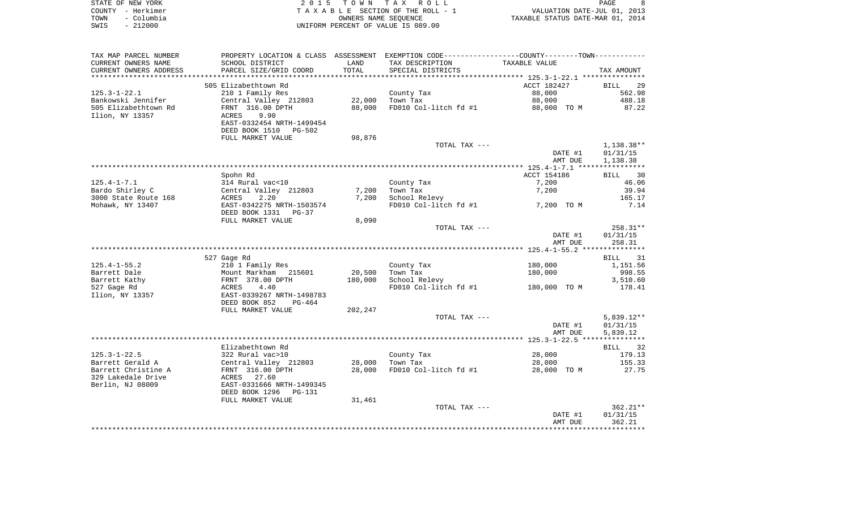|      | STATE OF NEW YORK | 2015 TOWN TAX ROLL                 | PAGE                             |  |
|------|-------------------|------------------------------------|----------------------------------|--|
|      | COUNTY - Herkimer | TAXABLE SECTION OF THE ROLL - 1    | VALUATION DATE-JUL 01, 2013      |  |
| TOWN | – Columbia        | OWNERS NAME SEOUENCE               | TAXABLE STATUS DATE-MAR 01, 2014 |  |
| SWIS | - 212000          | UNIFORM PERCENT OF VALUE IS 089.00 |                                  |  |

| TAX MAP PARCEL NUMBER  |                                          |         | PROPERTY LOCATION & CLASS ASSESSMENT EXEMPTION CODE----------------COUNTY--------TOWN----------- |                    |                    |
|------------------------|------------------------------------------|---------|--------------------------------------------------------------------------------------------------|--------------------|--------------------|
| CURRENT OWNERS NAME    | SCHOOL DISTRICT                          | LAND    | TAX DESCRIPTION                                                                                  | TAXABLE VALUE      |                    |
| CURRENT OWNERS ADDRESS | PARCEL SIZE/GRID COORD                   | TOTAL   | SPECIAL DISTRICTS                                                                                |                    | TAX AMOUNT         |
| ********************** |                                          |         |                                                                                                  |                    |                    |
|                        | 505 Elizabethtown Rd                     |         |                                                                                                  | ACCT 182427        | <b>BILL</b><br>29  |
| $125.3 - 1 - 22.1$     | 210 1 Family Res                         |         | County Tax                                                                                       | 88,000             | 562.98             |
| Bankowski Jennifer     | Central Valley 212803                    | 22,000  | Town Tax                                                                                         | 88,000             | 488.18             |
| 505 Elizabethtown Rd   | FRNT 316.00 DPTH                         | 88,000  | FD010 Col-litch fd #1                                                                            | 88,000 TO M        | 87.22              |
| Ilion, NY 13357        | 9.90<br><b>ACRES</b>                     |         |                                                                                                  |                    |                    |
|                        | EAST-0332454 NRTH-1499454                |         |                                                                                                  |                    |                    |
|                        | DEED BOOK 1510<br>PG-502                 |         |                                                                                                  |                    |                    |
|                        | FULL MARKET VALUE                        | 98,876  |                                                                                                  |                    |                    |
|                        |                                          |         | TOTAL TAX ---                                                                                    |                    | $1,138.38**$       |
|                        |                                          |         |                                                                                                  | DATE #1            | 01/31/15           |
|                        |                                          |         |                                                                                                  | AMT DUE            | 1,138.38           |
|                        |                                          |         |                                                                                                  |                    |                    |
|                        | Spohn Rd                                 |         |                                                                                                  | ACCT 154186        | BILL 30            |
| $125.4 - 1 - 7.1$      | 314 Rural vac<10                         |         | County Tax                                                                                       | 7,200              | 46.06              |
| Bardo Shirley C        | Central Valley 212803                    | 7,200   | Town Tax                                                                                         | 7,200              | 39.94              |
| 3000 State Route 168   | 2.20<br>ACRES                            | 7,200   | School Relevy                                                                                    |                    | 165.17             |
| Mohawk, NY 13407       | EAST-0342275 NRTH-1503574                |         | FD010 Col-litch fd #1                                                                            | 7,200 TO M         | 7.14               |
|                        | DEED BOOK 1331<br>PG-37                  |         |                                                                                                  |                    |                    |
|                        | FULL MARKET VALUE                        | 8,090   |                                                                                                  |                    |                    |
|                        |                                          |         | TOTAL TAX ---                                                                                    |                    | 258.31**           |
|                        |                                          |         |                                                                                                  | DATE #1            | 01/31/15           |
|                        |                                          |         |                                                                                                  | AMT DUE            | 258.31             |
|                        |                                          |         |                                                                                                  |                    |                    |
| $125.4 - 1 - 55.2$     | 527 Gage Rd                              |         |                                                                                                  |                    | BILL 31            |
| Barrett Dale           | 210 1 Family Res<br>Mount Markham 215601 | 20,500  | County Tax<br>Town Tax                                                                           | 180,000<br>180,000 | 1,151.56<br>998.55 |
| Barrett Kathy          | FRNT 378.00 DPTH                         | 180,000 | School Relevy                                                                                    |                    | 3,510.60           |
| 527 Gage Rd            | 4.40<br>ACRES                            |         | FD010 Col-litch fd #1                                                                            | 180,000 TO M       | 178.41             |
| Ilion, NY 13357        | EAST-0339267 NRTH-1498783                |         |                                                                                                  |                    |                    |
|                        | DEED BOOK 852<br>PG-464                  |         |                                                                                                  |                    |                    |
|                        | FULL MARKET VALUE                        | 202,247 |                                                                                                  |                    |                    |
|                        |                                          |         | TOTAL TAX ---                                                                                    |                    | 5,839.12**         |
|                        |                                          |         |                                                                                                  | DATE #1            | 01/31/15           |
|                        |                                          |         |                                                                                                  | AMT DUE            | 5,839.12           |
|                        |                                          |         |                                                                                                  |                    |                    |
|                        | Elizabethtown Rd                         |         |                                                                                                  |                    | <b>BILL</b><br>32  |
| $125.3 - 1 - 22.5$     | 322 Rural vac>10                         |         | County Tax                                                                                       | 28,000             | 179.13             |
| Barrett Gerald A       | Central Valley 212803                    | 28,000  | Town Tax                                                                                         | 28,000             | 155.33             |
| Barrett Christine A    | FRNT 316.00 DPTH                         | 28,000  | FD010 Col-litch fd #1                                                                            | 28,000 TO M        | 27.75              |
| 329 Lakedale Drive     | ACRES<br>27.60                           |         |                                                                                                  |                    |                    |
| Berlin, NJ 08009       | EAST-0331666 NRTH-1499345                |         |                                                                                                  |                    |                    |
|                        | DEED BOOK 1296<br>PG-131                 |         |                                                                                                  |                    |                    |
|                        | FULL MARKET VALUE                        | 31,461  |                                                                                                  |                    |                    |
|                        |                                          |         | TOTAL TAX ---                                                                                    |                    | $362.21**$         |
|                        |                                          |         |                                                                                                  | DATE #1            | 01/31/15           |
|                        |                                          |         |                                                                                                  | AMT DUE            | 362.21             |
|                        |                                          |         |                                                                                                  |                    |                    |
|                        |                                          |         |                                                                                                  |                    |                    |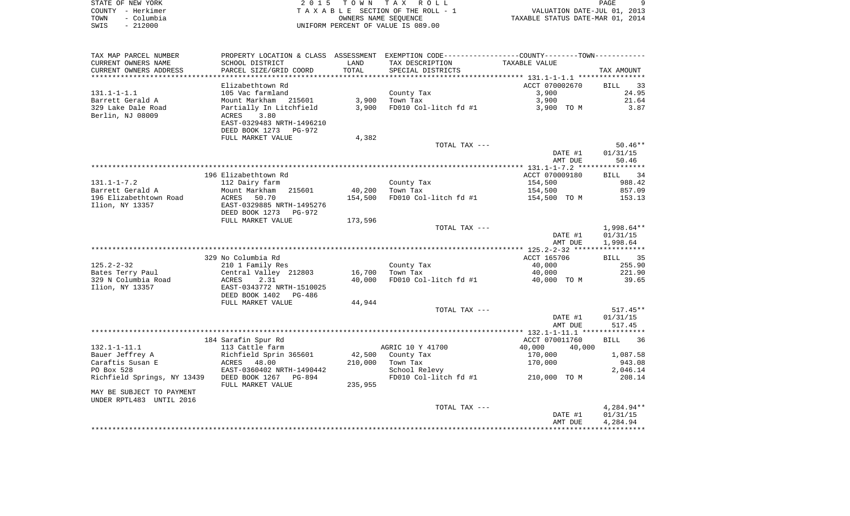| STATE OF NEW YORK  | 2015 TOWN TAX ROLL                 | <b>PAGE</b>                      |
|--------------------|------------------------------------|----------------------------------|
| COUNTY - Herkimer  | TAXABLE SECTION OF THE ROLL - 1    | VALUATION DATE-JUL 01, 2013      |
| - Columbia<br>TOWN | OWNERS NAME SEOUENCE               | TAXABLE STATUS DATE-MAR 01, 2014 |
| $-212000$<br>SWIS  | UNIFORM PERCENT OF VALUE IS 089.00 |                                  |

 $\begin{array}{c} 9 \\ 2013 \\ 2014 \end{array}$ 

| TAX MAP PARCEL NUMBER                     |                                                       |         | PROPERTY LOCATION & CLASS ASSESSMENT EXEMPTION CODE----------------COUNTY-------TOWN----------- |                  |                   |
|-------------------------------------------|-------------------------------------------------------|---------|-------------------------------------------------------------------------------------------------|------------------|-------------------|
| CURRENT OWNERS NAME                       | SCHOOL DISTRICT                                       | LAND    | TAX DESCRIPTION                                                                                 | TAXABLE VALUE    |                   |
| CURRENT OWNERS ADDRESS                    | PARCEL SIZE/GRID COORD                                | TOTAL   | SPECIAL DISTRICTS                                                                               |                  | TAX AMOUNT        |
|                                           |                                                       |         |                                                                                                 |                  |                   |
|                                           | Elizabethtown Rd                                      |         |                                                                                                 | ACCT 070002670   | <b>BILL</b><br>33 |
| $131.1 - 1 - 1.1$                         | 105 Vac farmland                                      |         | County Tax                                                                                      | 3,900            | 24.95             |
| Barrett Gerald A                          | Mount Markham<br>215601                               | 3,900   | Town Tax                                                                                        | 3,900            | 21.64             |
| 329 Lake Dale Road                        | Partially In Litchfield                               | 3,900   | FD010 Col-litch fd #1                                                                           | 3,900 TO M       | 3.87              |
| Berlin, NJ 08009                          | 3.80<br>ACRES                                         |         |                                                                                                 |                  |                   |
|                                           | EAST-0329483 NRTH-1496210                             |         |                                                                                                 |                  |                   |
|                                           | DEED BOOK 1273<br>PG-972                              |         |                                                                                                 |                  |                   |
|                                           | FULL MARKET VALUE                                     | 4,382   |                                                                                                 |                  |                   |
|                                           |                                                       |         | TOTAL TAX ---                                                                                   |                  | $50.46**$         |
|                                           |                                                       |         |                                                                                                 | DATE #1          | 01/31/15          |
|                                           |                                                       |         |                                                                                                 | AMT DUE          | 50.46             |
|                                           |                                                       |         |                                                                                                 |                  |                   |
|                                           | 196 Elizabethtown Rd                                  |         |                                                                                                 | ACCT 070009180   | BILL 34           |
| $131.1 - 1 - 7.2$                         | 112 Dairy farm                                        |         | County Tax                                                                                      | 154,500          | 988.42            |
| Barrett Gerald A                          | Mount Markham<br>215601                               | 40,200  | Town Tax                                                                                        | 154,500          | 857.09            |
| 196 Elizabethtown Road<br>Ilion, NY 13357 | ACRES<br>50.70                                        | 154,500 | FD010 Col-litch fd #1                                                                           | 154,500 TO M     | 153.13            |
|                                           | EAST-0329885 NRTH-1495276<br>DEED BOOK 1273<br>PG-972 |         |                                                                                                 |                  |                   |
|                                           | FULL MARKET VALUE                                     | 173,596 |                                                                                                 |                  |                   |
|                                           |                                                       |         | TOTAL TAX ---                                                                                   |                  | 1,998.64**        |
|                                           |                                                       |         |                                                                                                 | DATE #1          | 01/31/15          |
|                                           |                                                       |         |                                                                                                 | AMT DUE          | 1,998.64          |
|                                           |                                                       |         |                                                                                                 |                  |                   |
|                                           | 329 No Columbia Rd                                    |         |                                                                                                 | ACCT 165706      | BILL<br>35        |
| $125.2 - 2 - 32$                          | 210 1 Family Res                                      |         | County Tax                                                                                      | 40,000           | 255.90            |
| Bates Terry Paul                          | Central Valley 212803                                 | 16,700  | Town Tax                                                                                        | 40,000           | 221.90            |
| 329 N Columbia Road                       | <b>ACRES</b><br>2.31                                  | 40,000  | FD010 Col-litch fd #1                                                                           | 40,000 TO M      | 39.65             |
| Ilion, NY 13357                           | EAST-0343772 NRTH-1510025                             |         |                                                                                                 |                  |                   |
|                                           | DEED BOOK 1402<br>PG-486                              |         |                                                                                                 |                  |                   |
|                                           | FULL MARKET VALUE                                     | 44,944  |                                                                                                 |                  |                   |
|                                           |                                                       |         | TOTAL TAX ---                                                                                   |                  | $517.45**$        |
|                                           |                                                       |         |                                                                                                 | DATE #1          | 01/31/15          |
|                                           |                                                       |         |                                                                                                 | AMT DUE          | 517.45            |
|                                           |                                                       |         |                                                                                                 |                  |                   |
|                                           | 184 Sarafin Spur Rd                                   |         |                                                                                                 | ACCT 070011760   | <b>BILL</b><br>36 |
| $132.1 - 1 - 11.1$                        | 113 Cattle farm                                       |         | AGRIC 10 Y 41700                                                                                | 40,000<br>40,000 |                   |
| Bauer Jeffrey A                           | Richfield Sprin 365601                                | 42,500  | County Tax                                                                                      | 170,000          | 1,087.58          |
| Caraftis Susan E                          | 48.00<br>ACRES                                        | 210,000 | Town Tax                                                                                        | 170,000          | 943.08            |
| PO Box 528                                | EAST-0360402 NRTH-1490442                             |         | School Relevy                                                                                   |                  | 2,046.14          |
| Richfield Springs, NY 13439               | DEED BOOK 1267<br>$PG-894$                            |         | FD010 Col-litch fd #1                                                                           | 210,000 TO M     | 208.14            |
|                                           | FULL MARKET VALUE                                     | 235,955 |                                                                                                 |                  |                   |
| MAY BE SUBJECT TO PAYMENT                 |                                                       |         |                                                                                                 |                  |                   |
| UNDER RPTL483 UNTIL 2016                  |                                                       |         |                                                                                                 |                  |                   |
|                                           |                                                       |         | TOTAL TAX ---                                                                                   |                  | 4,284.94**        |
|                                           |                                                       |         |                                                                                                 | DATE #1          | 01/31/15          |
|                                           |                                                       |         |                                                                                                 | AMT DUE          | 4,284.94          |
|                                           |                                                       |         |                                                                                                 |                  |                   |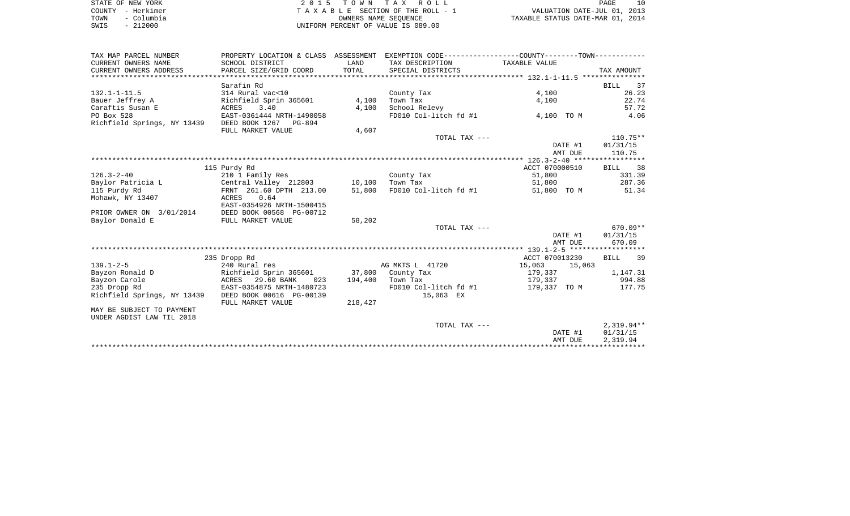| STATE OF NEW YORK  | 2015 TOWN TAX ROLL                 | PAGE                             |  |
|--------------------|------------------------------------|----------------------------------|--|
| COUNTY - Herkimer  | TAXABLE SECTION OF THE ROLL - 1    | VALUATION DATE-JUL 01, 2013      |  |
| - Columbia<br>TOWN | OWNERS NAME SEOUENCE               | TAXABLE STATUS DATE-MAR 01, 2014 |  |
| $-212000$<br>SWIS  | UNIFORM PERCENT OF VALUE IS 089.00 |                                  |  |

| TAX MAP PARCEL NUMBER       |                                          |         | PROPERTY LOCATION & CLASS ASSESSMENT EXEMPTION CODE----------------COUNTY--------TOWN---------- |                     |                   |
|-----------------------------|------------------------------------------|---------|-------------------------------------------------------------------------------------------------|---------------------|-------------------|
| CURRENT OWNERS NAME         | SCHOOL DISTRICT                          | LAND    | TAX DESCRIPTION                                                                                 | TAXABLE VALUE       |                   |
| CURRENT OWNERS ADDRESS      | PARCEL SIZE/GRID COORD                   | TOTAL   | SPECIAL DISTRICTS                                                                               |                     | TAX AMOUNT        |
|                             |                                          |         |                                                                                                 |                     |                   |
|                             | Sarafin Rd                               |         |                                                                                                 |                     | <b>BILL</b><br>37 |
| $132.1 - 1 - 11.5$          | 314 Rural vac<10                         |         | County Tax                                                                                      | 4,100               | 26.23             |
| Bauer Jeffrey A             | Richfield Sprin 365601                   | 4,100   | Town Tax                                                                                        | 4,100               | 22.74             |
| Caraftis Susan E            | 3.40<br>ACRES                            | 4,100   | School Relevy                                                                                   |                     | 57.72             |
| PO Box 528                  | EAST-0361444 NRTH-1490058                |         | FD010 Col-litch fd #1                                                                           | 4,100 TO M          | 4.06              |
| Richfield Springs, NY 13439 | DEED BOOK 1267 PG-894                    |         |                                                                                                 |                     |                   |
|                             | FULL MARKET VALUE                        | 4,607   |                                                                                                 |                     |                   |
|                             |                                          |         | TOTAL TAX ---                                                                                   |                     | $110.75**$        |
|                             |                                          |         |                                                                                                 | DATE #1             | 01/31/15          |
|                             |                                          |         |                                                                                                 | AMT DUE             | 110.75            |
|                             |                                          |         |                                                                                                 |                     |                   |
|                             | 115 Purdy Rd                             |         |                                                                                                 | ACCT 070000510      | BILL 38           |
| $126.3 - 2 - 40$            | 210 1 Family Res                         |         | County Tax                                                                                      | 51,800              | 331.39            |
| Baylor Patricia L           | Central Valley 212803 10,100             |         | Town Tax                                                                                        | 51,800              | 287.36            |
| 115 Purdy Rd                | FRNT 261.60 DPTH 213.00                  | 51,800  | FD010 Col-litch fd #1                                                                           | 51,800 TO M         | 51.34             |
| Mohawk, NY 13407            | 0.64<br>ACRES                            |         |                                                                                                 |                     |                   |
|                             | EAST-0354926 NRTH-1500415                |         |                                                                                                 |                     |                   |
| PRIOR OWNER ON 3/01/2014    | DEED BOOK 00568 PG-00712                 |         |                                                                                                 |                     |                   |
| Baylor Donald E             | FULL MARKET VALUE                        | 58,202  |                                                                                                 |                     |                   |
|                             |                                          |         | TOTAL TAX ---                                                                                   |                     | 670.09**          |
|                             |                                          |         |                                                                                                 | DATE #1             | 01/31/15          |
|                             |                                          |         |                                                                                                 | AMT DUE             | 670.09            |
|                             |                                          |         |                                                                                                 |                     |                   |
|                             | 235 Dropp Rd                             |         |                                                                                                 | ACCT 070013230      | BILL 39           |
| $139.1 - 2 - 5$             | 240 Rural res                            |         | AG MKTS L 41720                                                                                 | 15,063 15,063       |                   |
| Bayzon Ronald D             | Richfield Sprin 365601 37,800 County Tax |         |                                                                                                 | 179,337             | 1,147.31          |
| Bayzon Carole               | 29.60 BANK<br>023<br>ACRES               | 194,400 | Town Tax                                                                                        | 179,337             | 994.88            |
| 235 Dropp Rd                | EAST-0354875 NRTH-1480723                |         | FD010 Col-litch fd #1                                                                           | 179,337 TO M 177.75 |                   |
| Richfield Springs, NY 13439 | DEED BOOK 00616 PG-00139                 |         | 15,063 EX                                                                                       |                     |                   |
|                             | FULL MARKET VALUE                        | 218,427 |                                                                                                 |                     |                   |
| MAY BE SUBJECT TO PAYMENT   |                                          |         |                                                                                                 |                     |                   |
| UNDER AGDIST LAW TIL 2018   |                                          |         |                                                                                                 |                     |                   |
|                             |                                          |         | TOTAL TAX ---                                                                                   |                     | 2,319.94**        |
|                             |                                          |         |                                                                                                 | DATE #1             | 01/31/15          |
|                             |                                          |         |                                                                                                 | AMT DUE             | 2,319.94          |
|                             |                                          |         |                                                                                                 |                     |                   |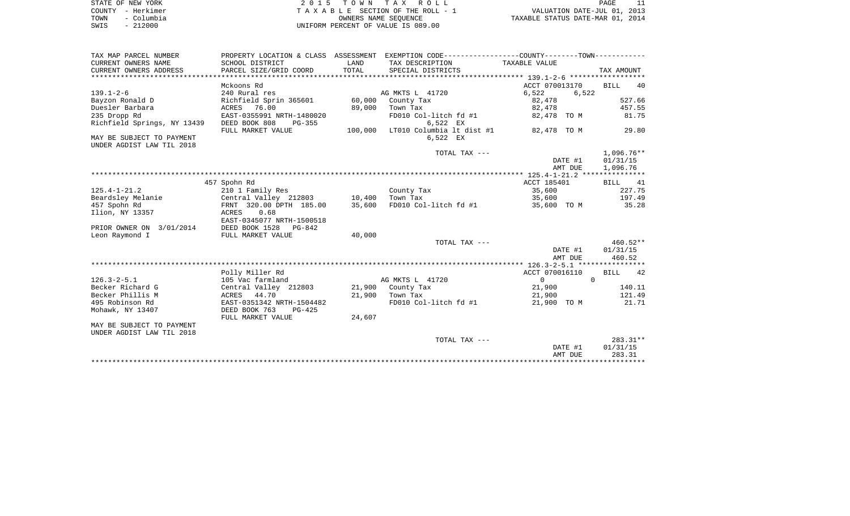| STATE OF NEW YORK  | 2015 TOWN TAX ROLL                 | PAGE                             |
|--------------------|------------------------------------|----------------------------------|
| COUNTY - Herkimer  | TAXABLE SECTION OF THE ROLL - 1    | VALUATION DATE-JUL 01, 2013      |
| - Columbia<br>TOWN | OWNERS NAME SEOUENCE               | TAXABLE STATUS DATE-MAR 01, 2014 |
| $-212000$<br>SWIS  | UNIFORM PERCENT OF VALUE IS 089.00 |                                  |

| TAX MAP PARCEL NUMBER       |                           |         | PROPERTY LOCATION & CLASS ASSESSMENT EXEMPTION CODE----------------COUNTY--------TOWN---------- |                |                   |
|-----------------------------|---------------------------|---------|-------------------------------------------------------------------------------------------------|----------------|-------------------|
| CURRENT OWNERS NAME         | SCHOOL DISTRICT           | LAND    | TAX DESCRIPTION                                                                                 | TAXABLE VALUE  |                   |
| CURRENT OWNERS ADDRESS      | PARCEL SIZE/GRID COORD    | TOTAL   | SPECIAL DISTRICTS                                                                               |                | TAX AMOUNT        |
|                             |                           |         |                                                                                                 |                |                   |
|                             | Mckoons Rd                |         |                                                                                                 | ACCT 070013170 | <b>BILL</b><br>40 |
| $139.1 - 2 - 6$             | 240 Rural res             |         | AG MKTS L 41720                                                                                 | 6,522<br>6,522 |                   |
| Bayzon Ronald D             | Richfield Sprin 365601    | 60,000  | County Tax                                                                                      | 82,478         | 527.66            |
| Duesler Barbara             | 76.00<br>ACRES            | 89,000  | Town Tax                                                                                        | 82,478         | 457.55            |
| 235 Dropp Rd                | EAST-0355991 NRTH-1480020 |         | FD010 Col-litch fd #1                                                                           | 82,478 TO M    | 81.75             |
| Richfield Springs, NY 13439 | DEED BOOK 808<br>PG-355   |         | 6,522 EX                                                                                        |                |                   |
|                             | FULL MARKET VALUE         | 100,000 | LT010 Columbia lt dist #1                                                                       | 82,478 TO M    | 29.80             |
| MAY BE SUBJECT TO PAYMENT   |                           |         | 6,522 EX                                                                                        |                |                   |
| UNDER AGDIST LAW TIL 2018   |                           |         |                                                                                                 |                |                   |
|                             |                           |         | TOTAL TAX ---                                                                                   |                | 1,096.76**        |
|                             |                           |         |                                                                                                 | DATE #1        | 01/31/15          |
|                             |                           |         |                                                                                                 | AMT DUE        | 1,096.76          |
|                             |                           |         |                                                                                                 |                |                   |
|                             | 457 Spohn Rd              |         |                                                                                                 | ACCT 185401    | BILL<br>41        |
| $125.4 - 1 - 21.2$          | 210 1 Family Res          |         | County Tax                                                                                      | 35,600         | 227.75            |
| Beardsley Melanie           | Central Valley 212803     | 10,400  | Town Tax                                                                                        | 35,600         | 197.49            |
| 457 Spohn Rd                | FRNT 320.00 DPTH 185.00   | 35,600  | FD010 Col-litch fd #1                                                                           | 35,600 TO M    | 35.28             |
| Ilion, NY 13357             | <b>ACRES</b><br>0.68      |         |                                                                                                 |                |                   |
|                             | EAST-0345077 NRTH-1500518 |         |                                                                                                 |                |                   |
| PRIOR OWNER ON 3/01/2014    | DEED BOOK 1528<br>PG-842  |         |                                                                                                 |                |                   |
| Leon Raymond I              | FULL MARKET VALUE         | 40,000  |                                                                                                 |                |                   |
|                             |                           |         | TOTAL TAX ---                                                                                   |                | 460.52**          |
|                             |                           |         |                                                                                                 | DATE #1        | 01/31/15          |
|                             |                           |         |                                                                                                 | AMT DUE        | 460.52            |
|                             |                           |         |                                                                                                 |                |                   |
|                             | Polly Miller Rd           |         |                                                                                                 | ACCT 070016110 | <b>BILL</b><br>42 |
| $126.3 - 2 - 5.1$           | 105 Vac farmland          |         | AG MKTS L 41720                                                                                 | $\mathbf 0$    | $\Omega$          |
| Becker Richard G            | Central Valley 212803     |         | 21,900 County Tax                                                                               | 21,900         | 140.11            |
| Becker Phillis M            | ACRES 44.70               |         | 21,900 Town Tax                                                                                 | 21,900         | 121.49            |
| 495 Robinson Rd             | EAST-0351342 NRTH-1504482 |         | FD010 Col-litch fd #1                                                                           | 21,900 TO M    | 21.71             |
| Mohawk, NY 13407            | DEED BOOK 763<br>$PG-425$ |         |                                                                                                 |                |                   |
|                             | FULL MARKET VALUE         | 24,607  |                                                                                                 |                |                   |
| MAY BE SUBJECT TO PAYMENT   |                           |         |                                                                                                 |                |                   |
| UNDER AGDIST LAW TIL 2018   |                           |         |                                                                                                 |                |                   |
|                             |                           |         | TOTAL TAX ---                                                                                   |                | $283.31**$        |
|                             |                           |         |                                                                                                 | DATE #1        | 01/31/15          |
|                             |                           |         |                                                                                                 | AMT DUE        | 283.31            |
|                             |                           |         |                                                                                                 |                |                   |
|                             |                           |         |                                                                                                 |                |                   |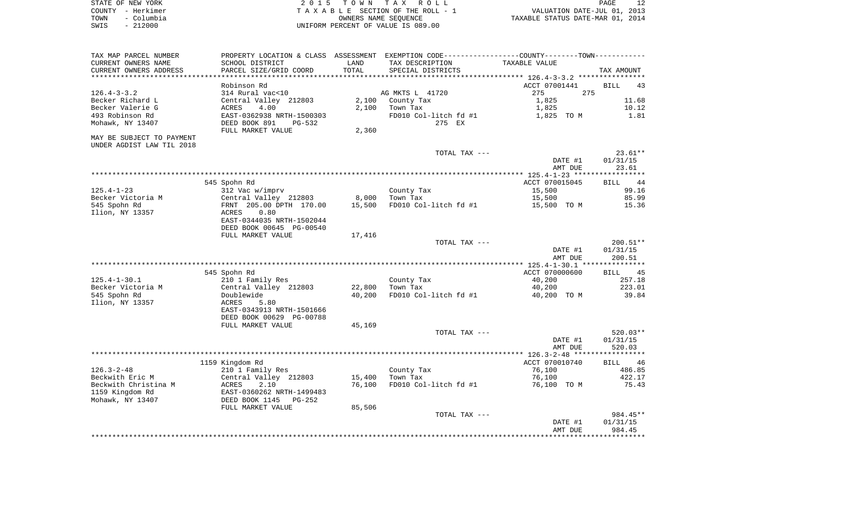| STATE OF NEW YORK  | 2015 TOWN TAX ROLL                 | PAGE                             |
|--------------------|------------------------------------|----------------------------------|
| COUNTY - Herkimer  | TAXABLE SECTION OF THE ROLL - 1    | VALUATION DATE-JUL 01, 2013      |
| – Columbia<br>TOWN | OWNERS NAME SEOUENCE               | TAXABLE STATUS DATE-MAR 01, 2014 |
| $-212000$<br>SWIS  | UNIFORM PERCENT OF VALUE IS 089.00 |                                  |

| TAX MAP PARCEL NUMBER     |                           |        |                       | PROPERTY LOCATION & CLASS ASSESSMENT EXEMPTION CODE----------------COUNTY--------TOWN----------- |                   |
|---------------------------|---------------------------|--------|-----------------------|--------------------------------------------------------------------------------------------------|-------------------|
| CURRENT OWNERS NAME       | SCHOOL DISTRICT           | LAND   | TAX DESCRIPTION       | TAXABLE VALUE                                                                                    |                   |
| CURRENT OWNERS ADDRESS    | PARCEL SIZE/GRID COORD    | TOTAL  | SPECIAL DISTRICTS     |                                                                                                  | TAX AMOUNT        |
|                           |                           |        |                       |                                                                                                  |                   |
|                           | Robinson Rd               |        |                       | ACCT 07001441                                                                                    | <b>BILL</b><br>43 |
| $126.4 - 3 - 3.2$         | 314 Rural vac<10          |        | AG MKTS L 41720       | 275<br>275                                                                                       |                   |
| Becker Richard L          | Central Valley 212803     | 2,100  | County Tax            | 1,825                                                                                            | 11.68             |
| Becker Valerie G          | 4.00<br>ACRES             | 2,100  | Town Tax              | 1,825                                                                                            | 10.12             |
| 493 Robinson Rd           | EAST-0362938 NRTH-1500303 |        | FD010 Col-litch fd #1 | 1,825 TO M                                                                                       | 1.81              |
| Mohawk, NY 13407          | DEED BOOK 891<br>PG-532   |        | 275 EX                |                                                                                                  |                   |
|                           | FULL MARKET VALUE         | 2,360  |                       |                                                                                                  |                   |
| MAY BE SUBJECT TO PAYMENT |                           |        |                       |                                                                                                  |                   |
| UNDER AGDIST LAW TIL 2018 |                           |        |                       |                                                                                                  |                   |
|                           |                           |        | TOTAL TAX ---         |                                                                                                  | $23.61**$         |
|                           |                           |        |                       | DATE #1                                                                                          | 01/31/15          |
|                           |                           |        |                       | AMT DUE                                                                                          | 23.61             |
|                           |                           |        |                       |                                                                                                  |                   |
|                           | 545 Spohn Rd              |        |                       | ACCT 070015045                                                                                   | 44<br><b>BILL</b> |
| $125.4 - 1 - 23$          | 312 Vac w/imprv           |        | County Tax            | 15,500                                                                                           | 99.16             |
| Becker Victoria M         | Central Valley 212803     | 8,000  | Town Tax              | 15,500                                                                                           | 85.99             |
| 545 Spohn Rd              | FRNT 205.00 DPTH 170.00   | 15,500 | FD010 Col-litch fd #1 | 15,500 TO M                                                                                      | 15.36             |
| Ilion, NY 13357           | 0.80<br>ACRES             |        |                       |                                                                                                  |                   |
|                           | EAST-0344035 NRTH-1502044 |        |                       |                                                                                                  |                   |
|                           | DEED BOOK 00645 PG-00540  |        |                       |                                                                                                  |                   |
|                           | FULL MARKET VALUE         | 17,416 |                       |                                                                                                  |                   |
|                           |                           |        | TOTAL TAX ---         |                                                                                                  | 200.51**          |
|                           |                           |        |                       | DATE #1                                                                                          | 01/31/15          |
|                           |                           |        |                       | AMT DUE                                                                                          | 200.51            |
|                           |                           |        |                       |                                                                                                  |                   |
|                           | 545 Spohn Rd              |        |                       | ACCT 070000600                                                                                   | BILL 45           |
| $125.4 - 1 - 30.1$        | 210 1 Family Res          |        | County Tax            | 40,200                                                                                           | 257.18            |
| Becker Victoria M         | Central Valley 212803     | 22,800 | Town Tax              | 40,200                                                                                           | 223.01            |
| 545 Spohn Rd              | Doublewide                | 40,200 | FD010 Col-litch fd #1 | 40,200 TO M                                                                                      | 39.84             |
| Ilion, NY 13357           | ACRES<br>5.80             |        |                       |                                                                                                  |                   |
|                           | EAST-0343913 NRTH-1501666 |        |                       |                                                                                                  |                   |
|                           | DEED BOOK 00629 PG-00788  |        |                       |                                                                                                  |                   |
|                           | FULL MARKET VALUE         | 45,169 |                       |                                                                                                  |                   |
|                           |                           |        | TOTAL TAX ---         |                                                                                                  | 520.03**          |
|                           |                           |        |                       | DATE #1                                                                                          | 01/31/15          |
|                           |                           |        |                       | AMT DUE                                                                                          | 520.03            |
|                           |                           |        |                       |                                                                                                  |                   |
|                           | 1159 Kingdom Rd           |        |                       | ACCT 070010740                                                                                   | BILL<br>46        |
| $126.3 - 2 - 48$          | 210 1 Family Res          |        | County Tax            | 76,100                                                                                           | 486.85            |
| Beckwith Eric M           | Central Valley 212803     | 15,400 | Town Tax              | 76,100                                                                                           | 422.17            |
| Beckwith Christina M      | ACRES<br>2.10             | 76,100 | FD010 Col-litch fd #1 | 76,100 TO M                                                                                      | 75.43             |
| 1159 Kingdom Rd           | EAST-0360262 NRTH-1499483 |        |                       |                                                                                                  |                   |
| Mohawk, NY 13407          | DEED BOOK 1145<br>PG-252  |        |                       |                                                                                                  |                   |
|                           | FULL MARKET VALUE         | 85,506 |                       |                                                                                                  |                   |
|                           |                           |        | TOTAL TAX ---         |                                                                                                  | 984.45**          |
|                           |                           |        |                       | DATE #1                                                                                          | 01/31/15          |
|                           |                           |        |                       | AMT DUE                                                                                          | 984.45            |
|                           |                           |        |                       |                                                                                                  |                   |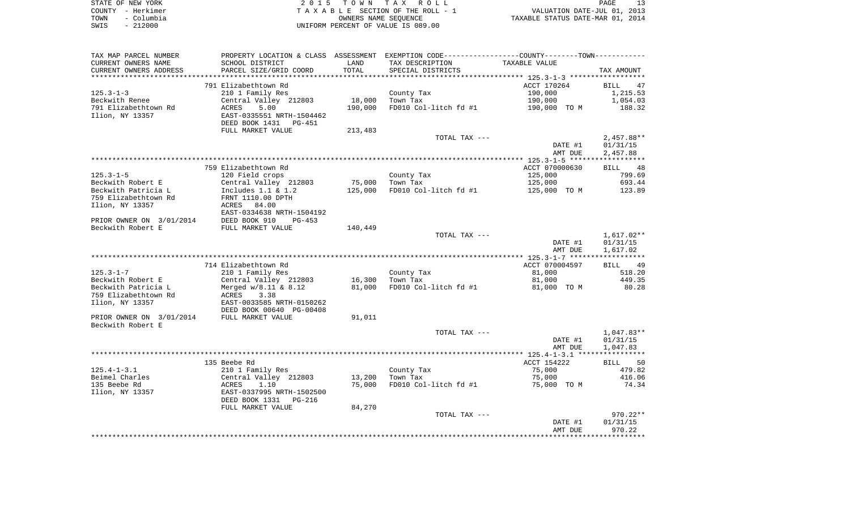| STATE OF NEW YORK  | 2015 TOWN TAX ROLL                 | ่ 1 ว<br>PAGE                    |
|--------------------|------------------------------------|----------------------------------|
| COUNTY - Herkimer  | TAXABLE SECTION OF THE ROLL - 1    | VALUATION DATE-JUL 01, 2013      |
| - Columbia<br>TOWN | OWNERS NAME SEOUENCE               | TAXABLE STATUS DATE-MAR 01, 2014 |
| $-212000$<br>SWIS  | UNIFORM PERCENT OF VALUE IS 089.00 |                                  |

 $\begin{array}{c} 13 \\ 2013 \\ 2014 \end{array}$ 

| TAX MAP PARCEL NUMBER                  | PROPERTY LOCATION & CLASS ASSESSMENT EXEMPTION CODE---------------COUNTY--------TOWN---------- |         |                       |                |                        |
|----------------------------------------|------------------------------------------------------------------------------------------------|---------|-----------------------|----------------|------------------------|
| CURRENT OWNERS NAME                    | SCHOOL DISTRICT                                                                                | LAND    | TAX DESCRIPTION       | TAXABLE VALUE  |                        |
| CURRENT OWNERS ADDRESS                 | PARCEL SIZE/GRID COORD                                                                         | TOTAL   | SPECIAL DISTRICTS     |                | TAX AMOUNT             |
|                                        |                                                                                                |         |                       |                |                        |
|                                        | 791 Elizabethtown Rd                                                                           |         |                       | ACCT 170264    | BILL<br>47             |
| 125.3-1-3                              | 210 1 Family Res                                                                               |         | County Tax            | 190,000        | 1,215.53               |
| Beckwith Renee                         | Central Valley 212803                                                                          | 18,000  | Town Tax              | 190,000        | 1,054.03               |
| 791 Elizabethtown Rd                   | ACRES<br>5.00                                                                                  | 190,000 | FD010 Col-litch fd #1 | 190,000 TO M   | 188.32                 |
| Ilion, NY 13357                        | EAST-0335551 NRTH-1504462                                                                      |         |                       |                |                        |
|                                        | DEED BOOK 1431 PG-451                                                                          |         |                       |                |                        |
|                                        | FULL MARKET VALUE                                                                              | 213,483 |                       |                |                        |
|                                        |                                                                                                |         | TOTAL TAX ---         |                | $2,457.88**$           |
|                                        |                                                                                                |         |                       | DATE #1        | 01/31/15               |
|                                        |                                                                                                |         |                       | AMT DUE        | 2,457.88               |
|                                        |                                                                                                |         |                       |                |                        |
|                                        | 759 Elizabethtown Rd                                                                           |         |                       | ACCT 070000630 | BILL 48                |
| 125.3-1-5                              | 120 Field crops                                                                                |         | County Tax            | 125,000        | 799.69                 |
| Beckwith Robert E                      | Central Valley 212803                                                                          | 75,000  | Town Tax              | 125,000        | 693.44                 |
| Beckwith Patricia L                    | Includes 1.1 & 1.2                                                                             | 125,000 | FD010 Col-litch fd #1 | 125,000 TO M   | 123.89                 |
| 759 Elizabethtown Rd                   | FRNT 1110.00 DPTH                                                                              |         |                       |                |                        |
| Ilion, NY 13357                        | ACRES 84.00                                                                                    |         |                       |                |                        |
|                                        | EAST-0334638 NRTH-1504192                                                                      |         |                       |                |                        |
| PRIOR OWNER ON 3/01/2014 DEED BOOK 910 | PG-453                                                                                         |         |                       |                |                        |
| Beckwith Robert E                      | FULL MARKET VALUE                                                                              | 140,449 |                       |                |                        |
|                                        |                                                                                                |         | TOTAL TAX ---         |                | 1,617.02**             |
|                                        |                                                                                                |         |                       | DATE #1        | 01/31/15               |
|                                        |                                                                                                |         |                       | AMT DUE        | 1,617.02               |
|                                        |                                                                                                |         |                       |                |                        |
|                                        | 714 Elizabethtown Rd                                                                           |         |                       | ACCT 070004597 | BILL<br>49             |
| 125.3-1-7                              | 210 1 Family Res                                                                               |         | County Tax            | 81,000         | 518.20                 |
| Beckwith Robert E                      | Central Valley 212803                                                                          | 16,300  | Town Tax              | 81,000         | 449.35                 |
| Beckwith Patricia L                    | Merged w/8.11 & 8.12                                                                           | 81,000  | FD010 Col-litch fd #1 | 81,000 TO M    | 80.28                  |
| 759 Elizabethtown Rd                   | ACRES 3.38                                                                                     |         |                       |                |                        |
| Ilion, NY 13357                        | EAST-0033585 NRTH-0150262                                                                      |         |                       |                |                        |
|                                        | DEED BOOK 00640 PG-00408                                                                       |         |                       |                |                        |
| PRIOR OWNER ON 3/01/2014               | FULL MARKET VALUE                                                                              | 91,011  |                       |                |                        |
| Beckwith Robert E                      |                                                                                                |         |                       |                |                        |
|                                        |                                                                                                |         | TOTAL TAX ---         | DATE #1        | 1,047.83**<br>01/31/15 |
|                                        |                                                                                                |         |                       | AMT DUE        | 1,047.83               |
|                                        |                                                                                                |         |                       |                |                        |
|                                        | 135 Beebe Rd                                                                                   |         |                       | ACCT 154222    | BILL 50                |
| $125.4 - 1 - 3.1$                      | 210 1 Family Res                                                                               |         | County Tax            | 75,000         | 479.82                 |
| Beimel Charles                         | Central Valley 212803                                                                          | 13,200  | Town Tax              | 75,000         | 416.06                 |
| 135 Beebe Rd                           | 1.10<br>ACRES                                                                                  | 75,000  | FD010 Col-litch fd #1 | 75,000 TO M    | 74.34                  |
| Ilion, NY 13357                        | EAST-0337995 NRTH-1502500                                                                      |         |                       |                |                        |
|                                        | DEED BOOK 1331 PG-216                                                                          |         |                       |                |                        |
|                                        |                                                                                                | 84,270  |                       |                |                        |
|                                        | FULL MARKET VALUE                                                                              |         | TOTAL TAX ---         |                | $970.22**$             |
|                                        |                                                                                                |         |                       | DATE #1        | 01/31/15               |
|                                        |                                                                                                |         |                       | AMT DUE        | 970.22                 |
|                                        |                                                                                                |         |                       |                |                        |
|                                        |                                                                                                |         |                       |                |                        |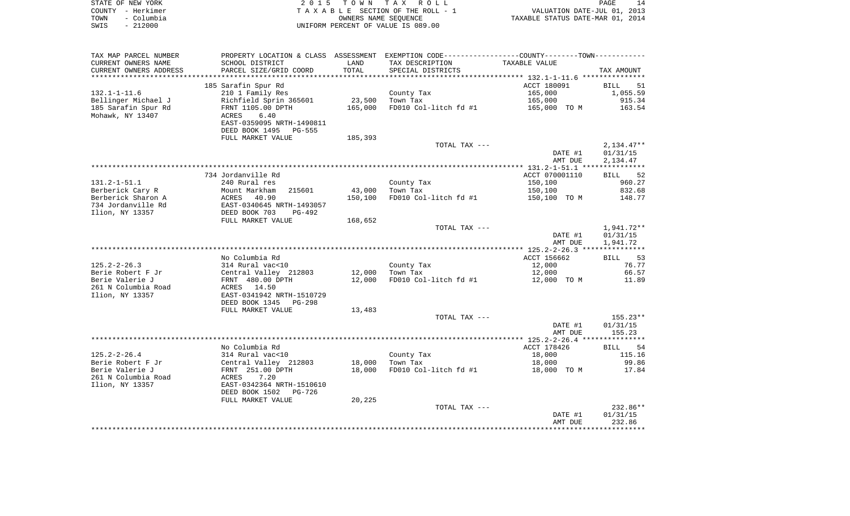| STATE OF NEW YORK  | 2015 TOWN TAX ROLL                 | 14<br>PAGE                       |
|--------------------|------------------------------------|----------------------------------|
| COUNTY - Herkimer  | TAXABLE SECTION OF THE ROLL - 1    | VALUATION DATE-JUL 01, 2013      |
| – Columbia<br>TOWN | OWNERS NAME SEOUENCE               | TAXABLE STATUS DATE-MAR 01, 2014 |
| - 212000<br>SWIS   | UNIFORM PERCENT OF VALUE IS 089.00 |                                  |

| TAX MAP PARCEL NUMBER  | PROPERTY LOCATION & CLASS ASSESSMENT EXEMPTION CODE----------------COUNTY--------TOWN----------- |         |                       |                |                   |
|------------------------|--------------------------------------------------------------------------------------------------|---------|-----------------------|----------------|-------------------|
| CURRENT OWNERS NAME    | SCHOOL DISTRICT                                                                                  | LAND    | TAX DESCRIPTION       | TAXABLE VALUE  |                   |
| CURRENT OWNERS ADDRESS | PARCEL SIZE/GRID COORD                                                                           | TOTAL   | SPECIAL DISTRICTS     |                | TAX AMOUNT        |
| *******************    | ****************************                                                                     |         |                       |                |                   |
|                        | 185 Sarafin Spur Rd                                                                              |         |                       | ACCT 180091    | <b>BILL</b><br>51 |
| $132.1 - 1 - 11.6$     | 210 1 Family Res                                                                                 |         | County Tax            | 165,000        | 1,055.59          |
| Bellinger Michael J    | Richfield Sprin 365601                                                                           | 23,500  | Town Tax              | 165,000        | 915.34            |
| 185 Sarafin Spur Rd    | FRNT 1105.00 DPTH                                                                                | 165,000 | FD010 Col-litch fd #1 | 165,000 TO M   | 163.54            |
| Mohawk, NY 13407       | ACRES<br>6.40                                                                                    |         |                       |                |                   |
|                        | EAST-0359095 NRTH-1490811                                                                        |         |                       |                |                   |
|                        | DEED BOOK 1495<br>PG-555                                                                         |         |                       |                |                   |
|                        | FULL MARKET VALUE                                                                                | 185,393 |                       |                |                   |
|                        |                                                                                                  |         | TOTAL TAX ---         |                | $2,134.47**$      |
|                        |                                                                                                  |         |                       | DATE #1        | 01/31/15          |
|                        |                                                                                                  |         |                       | AMT DUE        | 2,134.47          |
|                        |                                                                                                  |         |                       |                |                   |
|                        | 734 Jordanville Rd                                                                               |         |                       | ACCT 070001110 | 52<br>BILL        |
| $131.2 - 1 - 51.1$     | 240 Rural res                                                                                    |         | County Tax            | 150,100        | 960.27            |
| Berberick Cary R       | Mount Markham<br>215601                                                                          | 43,000  | Town Tax              | 150,100        | 832.68            |
| Berberick Sharon A     | ACRES<br>40.90                                                                                   | 150,100 | FD010 Col-litch fd #1 | 150,100 TO M   | 148.77            |
| 734 Jordanville Rd     | EAST-0340645 NRTH-1493057                                                                        |         |                       |                |                   |
| Ilion, NY 13357        | DEED BOOK 703<br>PG-492                                                                          |         |                       |                |                   |
|                        | FULL MARKET VALUE                                                                                | 168,652 |                       |                |                   |
|                        |                                                                                                  |         | TOTAL TAX ---         |                | 1,941.72**        |
|                        |                                                                                                  |         |                       | DATE #1        | 01/31/15          |
|                        |                                                                                                  |         |                       | AMT DUE        | 1,941.72          |
|                        |                                                                                                  |         |                       |                |                   |
|                        | No Columbia Rd                                                                                   |         |                       | ACCT 156662    | 53<br>BILL        |
| $125.2 - 2 - 26.3$     | 314 Rural vac<10                                                                                 |         | County Tax            | 12,000         | 76.77             |
| Berie Robert F Jr      | Central Valley 212803                                                                            | 12,000  | Town Tax              | 12,000         | 66.57             |
| Berie Valerie J        | FRNT 480.00 DPTH                                                                                 | 12,000  | FD010 Col-litch fd #1 | 12,000 TO M    | 11.89             |
| 261 N Columbia Road    | ACRES 14.50                                                                                      |         |                       |                |                   |
| Ilion, NY 13357        | EAST-0341942 NRTH-1510729                                                                        |         |                       |                |                   |
|                        | DEED BOOK 1345 PG-298                                                                            |         |                       |                |                   |
|                        | FULL MARKET VALUE                                                                                | 13,483  |                       |                |                   |
|                        |                                                                                                  |         | TOTAL TAX ---         |                | $155.23**$        |
|                        |                                                                                                  |         |                       | DATE #1        | 01/31/15          |
|                        |                                                                                                  |         |                       | AMT DUE        | 155.23            |
|                        |                                                                                                  |         |                       |                |                   |
|                        | No Columbia Rd                                                                                   |         |                       | ACCT 178426    | 54<br>BILL        |
| $125.2 - 2 - 26.4$     | 314 Rural vac<10                                                                                 |         | County Tax            | 18,000         | 115.16            |
| Berie Robert F Jr      | Central Valley 212803                                                                            | 18,000  | Town Tax              | 18,000         | 99.86             |
| Berie Valerie J        | FRNT 251.00 DPTH                                                                                 | 18,000  | FD010 Col-litch fd #1 | 18,000 TO M    | 17.84             |
| 261 N Columbia Road    | ACRES<br>7.20                                                                                    |         |                       |                |                   |
| Ilion, NY 13357        | EAST-0342364 NRTH-1510610                                                                        |         |                       |                |                   |
|                        | DEED BOOK 1502<br>PG-726                                                                         |         |                       |                |                   |
|                        | FULL MARKET VALUE                                                                                | 20,225  |                       |                |                   |
|                        |                                                                                                  |         | TOTAL TAX ---         |                | 232.86**          |
|                        |                                                                                                  |         |                       | DATE #1        | 01/31/15          |
|                        |                                                                                                  |         |                       | AMT DUE        | 232.86            |
|                        |                                                                                                  |         |                       |                |                   |
|                        |                                                                                                  |         |                       |                |                   |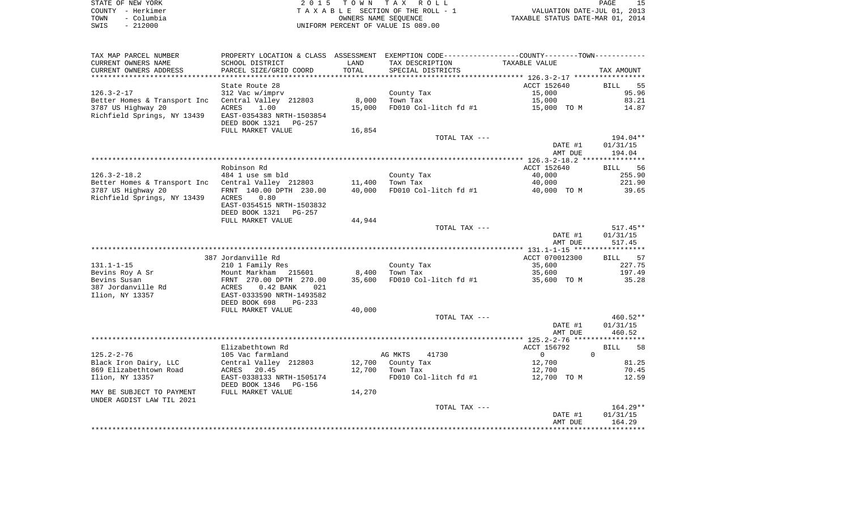| STATE OF NEW YORK  | 2015 TOWN TAX ROLL                 | PAGE                             |
|--------------------|------------------------------------|----------------------------------|
| COUNTY - Herkimer  | TAXABLE SECTION OF THE ROLL - 1    | VALUATION DATE-JUL 01, 2013      |
| - Columbia<br>TOWN | OWNERS NAME SEOUENCE               | TAXABLE STATUS DATE-MAR 01, 2014 |
| $-212000$<br>SWIS  | UNIFORM PERCENT OF VALUE IS 089.00 |                                  |

| TAX MAP PARCEL NUMBER        |                                                    |        | PROPERTY LOCATION & CLASS ASSESSMENT EXEMPTION CODE---------------COUNTY-------TOWN---------- |                |                   |
|------------------------------|----------------------------------------------------|--------|-----------------------------------------------------------------------------------------------|----------------|-------------------|
| CURRENT OWNERS NAME          | SCHOOL DISTRICT                                    | LAND   | TAX DESCRIPTION                                                                               | TAXABLE VALUE  |                   |
| CURRENT OWNERS ADDRESS       | PARCEL SIZE/GRID COORD                             | TOTAL  | SPECIAL DISTRICTS                                                                             |                | TAX AMOUNT        |
| **********************       | **********************                             |        |                                                                                               |                |                   |
|                              | State Route 28                                     |        |                                                                                               | ACCT 152640    | 55<br><b>BILL</b> |
| $126.3 - 2 - 17$             | 312 Vac w/imprv                                    |        | County Tax                                                                                    | 15,000         | 95.96             |
| Better Homes & Transport Inc | Central Valley 212803                              | 8,000  | Town Tax                                                                                      | 15,000         | 83.21             |
| 3787 US Highway 20           | ACRES<br>1.00                                      | 15,000 | FD010 Col-litch fd #1                                                                         | 15,000 TO M    | 14.87             |
| Richfield Springs, NY 13439  | EAST-0354383 NRTH-1503854                          |        |                                                                                               |                |                   |
|                              | DEED BOOK 1321<br>PG-257                           |        |                                                                                               |                |                   |
|                              | FULL MARKET VALUE                                  | 16,854 |                                                                                               |                |                   |
|                              |                                                    |        | TOTAL TAX ---                                                                                 |                | 194.04**          |
|                              |                                                    |        |                                                                                               | DATE #1        | 01/31/15          |
|                              |                                                    |        |                                                                                               | AMT DUE        | 194.04            |
|                              |                                                    |        |                                                                                               |                |                   |
|                              | Robinson Rd                                        |        |                                                                                               | ACCT 152640    | 56<br><b>BILL</b> |
| $126.3 - 2 - 18.2$           | 484 1 use sm bld                                   |        | County Tax                                                                                    | 40,000         | 255.90            |
| Better Homes & Transport Inc | Central Valley 212803                              | 11,400 | Town Tax                                                                                      | 40,000         | 221.90            |
| 3787 US Highway 20           | FRNT 140.00 DPTH 230.00<br>0.80                    | 40,000 | FD010 Col-litch fd #1                                                                         | 40,000 TO M    | 39.65             |
| Richfield Springs, NY 13439  | ACRES<br>EAST-0354515 NRTH-1503832                 |        |                                                                                               |                |                   |
|                              | DEED BOOK 1321<br>PG-257                           |        |                                                                                               |                |                   |
|                              | FULL MARKET VALUE                                  | 44,944 |                                                                                               |                |                   |
|                              |                                                    |        | TOTAL TAX ---                                                                                 |                | $517.45**$        |
|                              |                                                    |        |                                                                                               | DATE #1        | 01/31/15          |
|                              |                                                    |        |                                                                                               | AMT DUE        | 517.45            |
|                              |                                                    |        |                                                                                               |                |                   |
|                              | 387 Jordanville Rd                                 |        |                                                                                               | ACCT 070012300 | <b>BILL</b><br>57 |
| $131.1 - 1 - 15$             | 210 1 Family Res                                   |        | County Tax                                                                                    | 35,600         | 227.75            |
| Bevins Roy A Sr              | Mount Markham<br>215601                            | 8,400  | Town Tax                                                                                      | 35,600         | 197.49            |
| Bevins Susan                 | FRNT 270.00 DPTH 270.00                            | 35,600 | FD010 Col-litch fd #1                                                                         | 35,600 TO M    | 35.28             |
| 387 Jordanville Rd           | $0.42$ BANK<br>ACRES<br>021                        |        |                                                                                               |                |                   |
| Ilion, NY 13357              | EAST-0333590 NRTH-1493582                          |        |                                                                                               |                |                   |
|                              | DEED BOOK 698<br>$PG-233$                          |        |                                                                                               |                |                   |
|                              | FULL MARKET VALUE                                  | 40,000 |                                                                                               |                |                   |
|                              |                                                    |        | TOTAL TAX ---                                                                                 |                | 460.52**          |
|                              |                                                    |        |                                                                                               | DATE #1        | 01/31/15          |
|                              |                                                    |        |                                                                                               | AMT DUE        | 460.52            |
|                              |                                                    |        |                                                                                               |                |                   |
|                              | Elizabethtown Rd                                   |        |                                                                                               | ACCT 156792    | 58<br><b>BILL</b> |
| $125.2 - 2 - 76$             | 105 Vac farmland                                   |        | AG MKTS<br>41730                                                                              | $\mathbf{0}$   | $\Omega$          |
| Black Iron Dairy, LLC        | Central Valley 212803                              | 12,700 | County Tax                                                                                    | 12,700         | 81.25             |
| 869 Elizabethtown Road       | 20.45<br>ACRES                                     | 12,700 | Town Tax                                                                                      | 12,700         | 70.45             |
| Ilion, NY 13357              | EAST-0338133 NRTH-1505174<br>DEED BOOK 1346 PG-156 |        | FD010 Col-litch fd #1                                                                         | 12,700 TO M    | 12.59             |
| MAY BE SUBJECT TO PAYMENT    | FULL MARKET VALUE                                  | 14,270 |                                                                                               |                |                   |
| UNDER AGDIST LAW TIL 2021    |                                                    |        |                                                                                               |                |                   |
|                              |                                                    |        | TOTAL TAX ---                                                                                 |                | $164.29**$        |
|                              |                                                    |        |                                                                                               | DATE #1        | 01/31/15          |
|                              |                                                    |        |                                                                                               | AMT DUE        | 164.29            |
|                              |                                                    |        |                                                                                               |                |                   |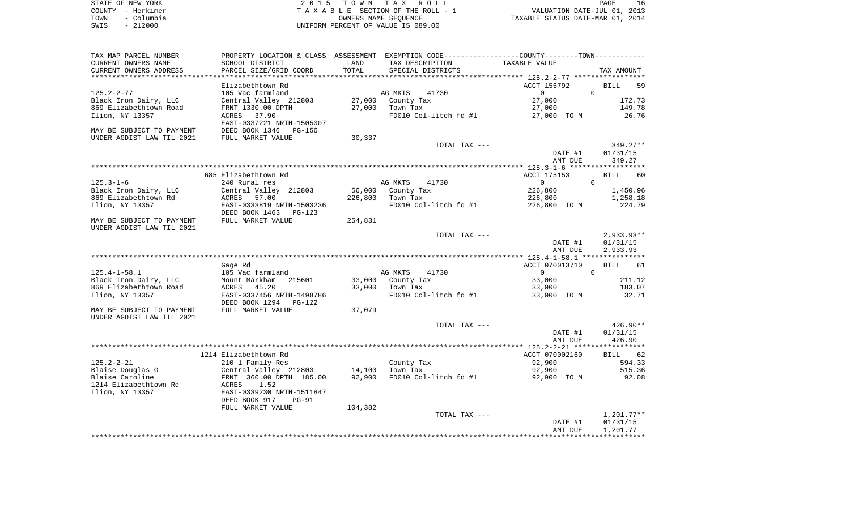| STATE OF NEW YORK  | 2015 TOWN TAX ROLL                 | PAGE                             |
|--------------------|------------------------------------|----------------------------------|
| COUNTY - Herkimer  | TAXABLE SECTION OF THE ROLL - 1    | VALUATION DATE-JUL 01, 2013      |
| - Columbia<br>TOWN | OWNERS NAME SEOUENCE               | TAXABLE STATUS DATE-MAR 01, 2014 |
| $-212000$<br>SWIS  | UNIFORM PERCENT OF VALUE IS 089.00 |                                  |

| TAX MAP PARCEL NUMBER                          |                                                |                      |                                | PROPERTY LOCATION & CLASS ASSESSMENT EXEMPTION CODE---------------COUNTY-------TOWN---------- |                                   |
|------------------------------------------------|------------------------------------------------|----------------------|--------------------------------|-----------------------------------------------------------------------------------------------|-----------------------------------|
| CURRENT OWNERS NAME                            | SCHOOL DISTRICT                                | LAND                 | TAX DESCRIPTION                | TAXABLE VALUE                                                                                 |                                   |
| CURRENT OWNERS ADDRESS<br>******************** | PARCEL SIZE/GRID COORD<br>******************** | TOTAL<br>*********** | SPECIAL DISTRICTS              |                                                                                               | TAX AMOUNT                        |
|                                                |                                                |                      |                                |                                                                                               |                                   |
|                                                | Elizabethtown Rd                               |                      |                                | ACCT 156792<br>$\circ$                                                                        | <b>BILL</b><br>59<br>$\mathbf{0}$ |
| $125.2 - 2 - 77$<br>Black Iron Dairy, LLC      | 105 Vac farmland<br>Central Valley 212803      | 27,000               | AG MKTS<br>41730<br>County Tax | 27,000                                                                                        | 172.73                            |
| 869 Elizabethtown Road                         | FRNT 1330.00 DPTH                              | 27,000               | Town Tax                       | 27,000                                                                                        | 149.78                            |
| Ilion, NY 13357                                | 37.90<br>ACRES                                 |                      | FD010 Col-litch fd #1          | 27,000 TO M                                                                                   | 26.76                             |
|                                                | EAST-0337221 NRTH-1505007                      |                      |                                |                                                                                               |                                   |
| MAY BE SUBJECT TO PAYMENT                      | DEED BOOK 1346<br>PG-156                       |                      |                                |                                                                                               |                                   |
| UNDER AGDIST LAW TIL 2021                      | FULL MARKET VALUE                              | 30,337               |                                |                                                                                               |                                   |
|                                                |                                                |                      | TOTAL TAX ---                  |                                                                                               | 349.27**                          |
|                                                |                                                |                      |                                | DATE #1                                                                                       | 01/31/15                          |
|                                                |                                                |                      |                                | AMT DUE                                                                                       | 349.27                            |
|                                                |                                                |                      |                                |                                                                                               |                                   |
|                                                | 685 Elizabethtown Rd                           |                      |                                | ACCT 175153                                                                                   | <b>BILL</b><br>60                 |
| $125.3 - 1 - 6$                                | 240 Rural res                                  |                      | AG MKTS<br>41730               | 0                                                                                             | $\mathbf 0$                       |
| Black Iron Dairy, LLC                          | Central Valley 212803                          | 56,000               | County Tax                     | 226,800                                                                                       | 1,450.96                          |
| 869 Elizabethtown Rd                           | 57.00<br>ACRES                                 | 226,800              | Town Tax                       | 226,800                                                                                       | 1,258.18                          |
| Ilion, NY 13357                                | EAST-0333819 NRTH-1503236                      |                      | FD010 Col-litch fd #1          | 226,800 TO M                                                                                  | 224.79                            |
|                                                | DEED BOOK 1463<br>PG-123                       |                      |                                |                                                                                               |                                   |
| MAY BE SUBJECT TO PAYMENT                      | FULL MARKET VALUE                              | 254,831              |                                |                                                                                               |                                   |
| UNDER AGDIST LAW TIL 2021                      |                                                |                      |                                |                                                                                               |                                   |
|                                                |                                                |                      | TOTAL TAX ---                  | DATE #1                                                                                       | $2,933.93**$<br>01/31/15          |
|                                                |                                                |                      |                                | AMT DUE                                                                                       | 2,933.93                          |
|                                                |                                                |                      |                                |                                                                                               |                                   |
|                                                | Gage Rd                                        |                      |                                | ACCT 070013710                                                                                | <b>BILL</b><br>61                 |
| $125.4 - 1 - 58.1$                             | 105 Vac farmland                               |                      | AG MKTS<br>41730               | $\circ$                                                                                       | $\mathbf 0$                       |
| Black Iron Dairy, LLC                          | Mount Markham<br>215601                        | 33,000               | County Tax                     | 33,000                                                                                        | 211.12                            |
| 869 Elizabethtown Road                         | 45.20<br>ACRES                                 | 33,000               | Town Tax                       | 33,000                                                                                        | 183.07                            |
| Ilion, NY 13357                                | EAST-0337456 NRTH-1498786                      |                      | FD010 Col-litch fd #1          | 33,000 TO M                                                                                   | 32.71                             |
|                                                | DEED BOOK 1294<br>PG-122                       |                      |                                |                                                                                               |                                   |
| MAY BE SUBJECT TO PAYMENT                      | FULL MARKET VALUE                              | 37,079               |                                |                                                                                               |                                   |
| UNDER AGDIST LAW TIL 2021                      |                                                |                      |                                |                                                                                               |                                   |
|                                                |                                                |                      | TOTAL TAX ---                  |                                                                                               | $426.90**$                        |
|                                                |                                                |                      |                                | DATE #1                                                                                       | 01/31/15                          |
|                                                |                                                |                      |                                | AMT DUE                                                                                       | 426.90                            |
|                                                |                                                |                      |                                |                                                                                               |                                   |
|                                                | 1214 Elizabethtown Rd                          |                      |                                | ACCT 070002160                                                                                | BILL 62                           |
| $125.2 - 2 - 21$                               | 210 1 Family Res                               |                      | County Tax                     | 92,900                                                                                        | 594.33                            |
| Blaise Douglas G                               | Central Valley 212803                          | 14,100               | Town Tax                       | 92,900                                                                                        | 515.36                            |
| Blaise Caroline                                | FRNT 360.00 DPTH 185.00<br>ACRES<br>1.52       | 92,900               | FD010 Col-litch fd #1          | 92,900 TO M                                                                                   | 92.08                             |
| 1214 Elizabethtown Rd<br>Ilion, NY 13357       | EAST-0339230 NRTH-1511847                      |                      |                                |                                                                                               |                                   |
|                                                | DEED BOOK 917<br>$PG-91$                       |                      |                                |                                                                                               |                                   |
|                                                | FULL MARKET VALUE                              | 104,382              |                                |                                                                                               |                                   |
|                                                |                                                |                      | TOTAL TAX ---                  |                                                                                               | $1,201.77**$                      |
|                                                |                                                |                      |                                | DATE #1                                                                                       | 01/31/15                          |
|                                                |                                                |                      |                                | AMT DUE                                                                                       | 1,201.77                          |
|                                                |                                                |                      |                                |                                                                                               |                                   |
|                                                |                                                |                      |                                |                                                                                               |                                   |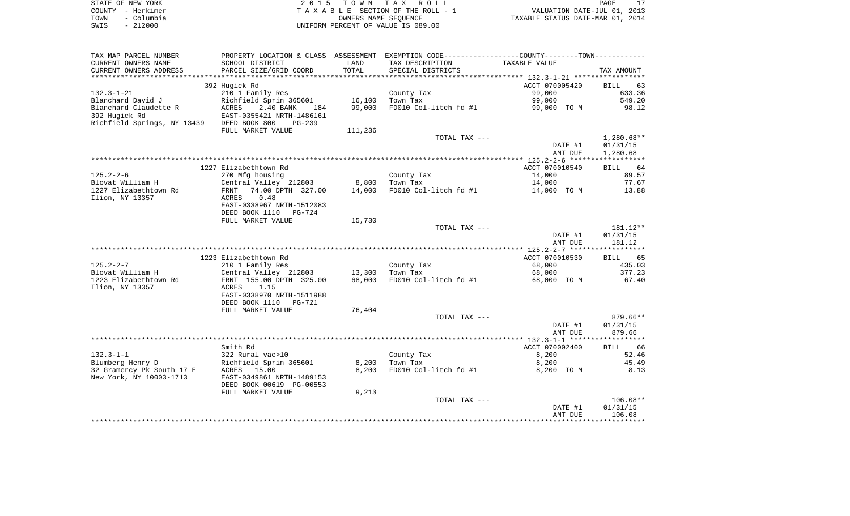|      | STATE OF NEW YORK | 2015 TOWN TAX ROLL                 | PAGE                             |
|------|-------------------|------------------------------------|----------------------------------|
|      | COUNTY - Herkimer | TAXABLE SECTION OF THE ROLL - 1    | VALUATION DATE-JUL 01, 2013      |
| TOWN | - Columbia        | OWNERS NAME SEOUENCE               | TAXABLE STATUS DATE-MAR 01, 2014 |
| SWIS | - 212000          | UNIFORM PERCENT OF VALUE IS 089.00 |                                  |

| TAX MAP PARCEL NUMBER                         |                                          |                | PROPERTY LOCATION & CLASS ASSESSMENT EXEMPTION CODE---------------COUNTY-------TOWN---------- |                |                   |
|-----------------------------------------------|------------------------------------------|----------------|-----------------------------------------------------------------------------------------------|----------------|-------------------|
| CURRENT OWNERS NAME                           | SCHOOL DISTRICT                          | LAND           | TAX DESCRIPTION                                                                               | TAXABLE VALUE  |                   |
| CURRENT OWNERS ADDRESS                        | PARCEL SIZE/GRID COORD                   | TOTAL          | SPECIAL DISTRICTS                                                                             |                | TAX AMOUNT        |
| **********************                        | *****************************            |                |                                                                                               |                |                   |
|                                               | 392 Hugick Rd                            |                |                                                                                               | ACCT 070005420 | <b>BILL</b><br>63 |
| $132.3 - 1 - 21$                              | 210 1 Family Res                         |                | County Tax                                                                                    | 99,000         | 633.36            |
| Blanchard David J                             | Richfield Sprin 365601                   | 16,100         | Town Tax                                                                                      | 99,000         | 549.20            |
| Blanchard Claudette R                         | <b>ACRES</b><br>2.40 BANK<br>184         | 99,000         | FD010 Col-litch fd #1                                                                         | 99,000 TO M    | 98.12             |
| 392 Hugick Rd                                 | EAST-0355421 NRTH-1486161                |                |                                                                                               |                |                   |
| Richfield Springs, NY 13439 DEED BOOK 800     | PG-239                                   |                |                                                                                               |                |                   |
|                                               | FULL MARKET VALUE                        | 111,236        |                                                                                               |                |                   |
|                                               |                                          |                | TOTAL TAX ---                                                                                 |                | $1,280.68**$      |
|                                               |                                          |                |                                                                                               | DATE #1        | 01/31/15          |
|                                               |                                          |                |                                                                                               | AMT DUE        | 1,280.68          |
|                                               | 1227 Elizabethtown Rd                    |                |                                                                                               | ACCT 070010540 | BILL 64           |
| $125.2 - 2 - 6$                               | 270 Mfg housing                          |                | County Tax                                                                                    | 14,000         | 89.57             |
| Blovat William H                              | Central Valley 212803                    | 8,800          | Town Tax                                                                                      | 14,000         | 77.67             |
| 1227 Elizabethtown Rd                         | 74.00 DPTH 327.00<br>FRNT                | 14,000         | FD010 Col-litch fd #1                                                                         | 14,000 TO M    | 13.88             |
| Ilion, NY 13357                               | ACRES<br>0.48                            |                |                                                                                               |                |                   |
|                                               | EAST-0338967 NRTH-1512083                |                |                                                                                               |                |                   |
|                                               | DEED BOOK 1110<br>PG-724                 |                |                                                                                               |                |                   |
|                                               | FULL MARKET VALUE                        | 15,730         |                                                                                               |                |                   |
|                                               |                                          |                | TOTAL TAX ---                                                                                 |                | 181.12**          |
|                                               |                                          |                |                                                                                               | DATE #1        | 01/31/15          |
|                                               |                                          |                |                                                                                               | AMT DUE        | 181.12            |
|                                               |                                          |                |                                                                                               |                |                   |
|                                               | 1223 Elizabethtown Rd                    |                |                                                                                               | ACCT 070010530 | 65<br><b>BILL</b> |
| $125.2 - 2 - 7$                               | 210 1 Family Res                         |                | County Tax                                                                                    | 68,000         | 435.03            |
| Blovat William H                              | Central Valley 212803                    | 13,300         | Town Tax                                                                                      | 68,000         | 377.23            |
| 1223 Elizabethtown Rd                         | FRNT 155.00 DPTH 325.00                  | 68,000         | FD010 Col-litch fd #1                                                                         | 68,000 TO M    | 67.40             |
| Ilion, NY 13357                               | ACRES<br>1.15                            |                |                                                                                               |                |                   |
|                                               | EAST-0338970 NRTH-1511988                |                |                                                                                               |                |                   |
|                                               | DEED BOOK 1110<br>PG-721                 |                |                                                                                               |                |                   |
|                                               | FULL MARKET VALUE                        | 76,404         |                                                                                               |                |                   |
|                                               |                                          |                | TOTAL TAX ---                                                                                 |                | 879.66**          |
|                                               |                                          |                |                                                                                               | DATE #1        | 01/31/15          |
|                                               |                                          |                |                                                                                               | AMT DUE        | 879.66            |
|                                               |                                          |                |                                                                                               |                |                   |
|                                               | Smith Rd                                 |                |                                                                                               | ACCT 070002400 | 66<br>BILL        |
| $132.3 - 1 - 1$                               | 322 Rural vac>10                         |                | County Tax                                                                                    | 8,200          | 52.46             |
| Blumberg Henry D<br>32 Gramercy Pk South 17 E | Richfield Sprin 365601                   | 8,200<br>8,200 | Town Tax<br>FD010 Col-litch fd #1                                                             | 8,200          | 45.49             |
| New York, NY 10003-1713                       | ACRES 15.00<br>EAST-0349861 NRTH-1489153 |                |                                                                                               | 8,200 TO M     | 8.13              |
|                                               | DEED BOOK 00619 PG-00553                 |                |                                                                                               |                |                   |
|                                               | FULL MARKET VALUE                        | 9,213          |                                                                                               |                |                   |
|                                               |                                          |                | TOTAL TAX ---                                                                                 |                | $106.08**$        |
|                                               |                                          |                |                                                                                               | DATE #1        | 01/31/15          |
|                                               |                                          |                |                                                                                               | AMT DUE        | 106.08            |
|                                               |                                          |                |                                                                                               |                |                   |
|                                               |                                          |                |                                                                                               |                |                   |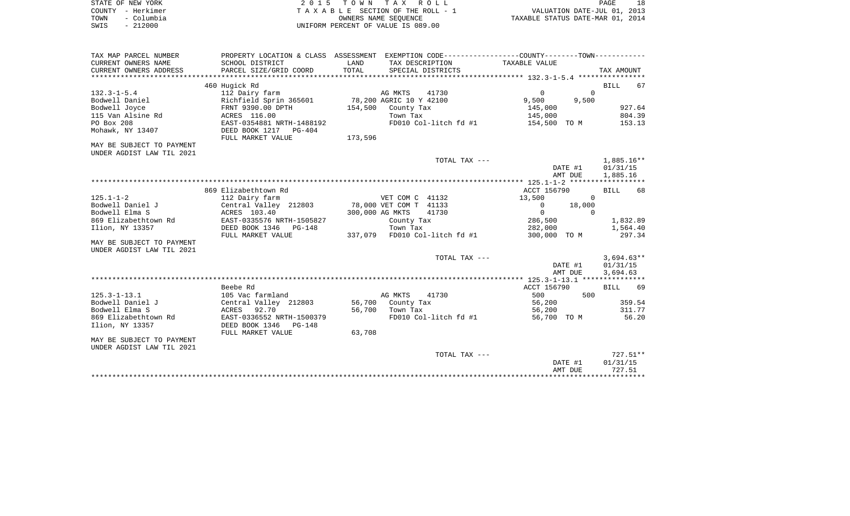| STATE OF NEW YORK  |                                    | 2015 TOWN TAX ROLL              | <b>PAGE</b>                      | 18 |
|--------------------|------------------------------------|---------------------------------|----------------------------------|----|
| COUNTY - Herkimer  |                                    | TAXABLE SECTION OF THE ROLL - 1 | VALUATION DATE-JUL 01, 2013      |    |
| - Columbia<br>TOWN |                                    | OWNERS NAME SEOUENCE            | TAXABLE STATUS DATE-MAR 01, 2014 |    |
| $-212000$<br>SWIS  | UNIFORM PERCENT OF VALUE IS 089.00 |                                 |                                  |    |

| TAX MAP PARCEL NUMBER<br>CURRENT OWNERS NAME<br>CURRENT OWNERS ADDRESS | PROPERTY LOCATION & CLASS ASSESSMENT<br>SCHOOL DISTRICT<br>PARCEL SIZE/GRID COORD | LAND<br>TOTAL   | TAX DESCRIPTION<br>SPECIAL DISTRICTS | EXEMPTION CODE----------------COUNTY-------TOWN-----------<br>TAXABLE VALUE | TAX AMOUNT        |
|------------------------------------------------------------------------|-----------------------------------------------------------------------------------|-----------------|--------------------------------------|-----------------------------------------------------------------------------|-------------------|
|                                                                        |                                                                                   |                 |                                      |                                                                             |                   |
|                                                                        | 460 Hugick Rd                                                                     |                 |                                      |                                                                             | BILL<br>67        |
| $132.3 - 1 - 5.4$                                                      | 112 Dairy farm                                                                    |                 | AG MKTS<br>41730                     | $\mathbf{0}$<br>$\Omega$                                                    |                   |
| Bodwell Daniel                                                         | Richfield Sprin 365601                                                            |                 | 78,200 AGRIC 10 Y 42100              | 9,500<br>9,500                                                              |                   |
| Bodwell Joyce                                                          | FRNT 9390.00 DPTH                                                                 | 154,500         | County Tax                           | 145,000                                                                     | 927.64            |
| 115 Van Alsine Rd                                                      | ACRES 116.00                                                                      |                 | Town Tax                             | 145,000                                                                     | 804.39            |
| PO Box 208                                                             | EAST-0354881 NRTH-1488192                                                         |                 | FD010 Col-litch fd #1                | 154,500 TO M                                                                | 153.13            |
| Mohawk, NY 13407                                                       | DEED BOOK 1217 PG-404<br>FULL MARKET VALUE                                        | 173,596         |                                      |                                                                             |                   |
| MAY BE SUBJECT TO PAYMENT<br>UNDER AGDIST LAW TIL 2021                 |                                                                                   |                 |                                      |                                                                             |                   |
|                                                                        |                                                                                   |                 | TOTAL TAX ---                        |                                                                             | $1,885.16**$      |
|                                                                        |                                                                                   |                 |                                      | DATE #1                                                                     | 01/31/15          |
|                                                                        |                                                                                   |                 |                                      | AMT DUE                                                                     | 1,885.16          |
|                                                                        |                                                                                   |                 |                                      |                                                                             |                   |
|                                                                        | 869 Elizabethtown Rd                                                              |                 |                                      | ACCT 156790                                                                 | <b>BILL</b><br>68 |
| $125.1 - 1 - 2$                                                        | 112 Dairy farm                                                                    |                 | VET COM C 41132                      | 13,500<br>$\mathbf{0}$                                                      |                   |
| Bodwell Daniel J                                                       | Central Valley 212803                                                             |                 | 78,000 VET COM T 41133               | 18,000<br>$\mathbf{0}$                                                      |                   |
| Bodwell Elma S                                                         | ACRES 103.40                                                                      | 300,000 AG MKTS | 41730                                | $\mathbf 0$<br>$\Omega$                                                     |                   |
| 869 Elizabethtown Rd                                                   | EAST-0335576 NRTH-1505827                                                         |                 | County Tax                           | 286,500                                                                     | 1,832.89          |
| Ilion, NY 13357                                                        | DEED BOOK 1346<br>$PG-148$                                                        |                 | Town Tax                             | 282,000                                                                     | 1,564.40          |
|                                                                        | FULL MARKET VALUE                                                                 |                 | 337,079 FD010 Col-litch fd #1        | 300,000 TO M                                                                | 297.34            |
| MAY BE SUBJECT TO PAYMENT                                              |                                                                                   |                 |                                      |                                                                             |                   |
| UNDER AGDIST LAW TIL 2021                                              |                                                                                   |                 |                                      |                                                                             |                   |
|                                                                        |                                                                                   |                 | TOTAL TAX ---                        |                                                                             | $3.694.63**$      |
|                                                                        |                                                                                   |                 |                                      | DATE #1                                                                     | 01/31/15          |
|                                                                        |                                                                                   |                 |                                      | AMT DUE                                                                     | 3,694.63          |
|                                                                        |                                                                                   |                 |                                      |                                                                             |                   |
|                                                                        | Beebe Rd                                                                          |                 |                                      | ACCT 156790                                                                 | <b>BILL</b><br>69 |
| $125.3 - 1 - 13.1$                                                     | 105 Vac farmland                                                                  |                 | AG MKTS<br>41730                     | 500<br>500                                                                  |                   |
| Bodwell Daniel J                                                       | Central Valley 212803                                                             | 56,700          | County Tax                           | 56,200                                                                      | 359.54            |
| Bodwell Elma S                                                         | 92.70<br>ACRES                                                                    | 56,700          | Town Tax                             | 56,200                                                                      | 311.77            |
| 869 Elizabethtown Rd                                                   | EAST-0336552 NRTH-1500379                                                         |                 | FD010 Col-litch fd #1                | 56,700 TO M                                                                 | 56.20             |
| Ilion, NY 13357                                                        | DEED BOOK 1346<br>$PG-148$                                                        |                 |                                      |                                                                             |                   |
|                                                                        | FULL MARKET VALUE                                                                 | 63,708          |                                      |                                                                             |                   |
| MAY BE SUBJECT TO PAYMENT                                              |                                                                                   |                 |                                      |                                                                             |                   |
| UNDER AGDIST LAW TIL 2021                                              |                                                                                   |                 |                                      |                                                                             |                   |
|                                                                        |                                                                                   |                 | TOTAL TAX ---                        |                                                                             | $727.51**$        |
|                                                                        |                                                                                   |                 |                                      | DATE #1                                                                     | 01/31/15          |
|                                                                        |                                                                                   |                 |                                      | AMT DUE                                                                     | 727.51            |
|                                                                        |                                                                                   |                 |                                      | ********************************                                            |                   |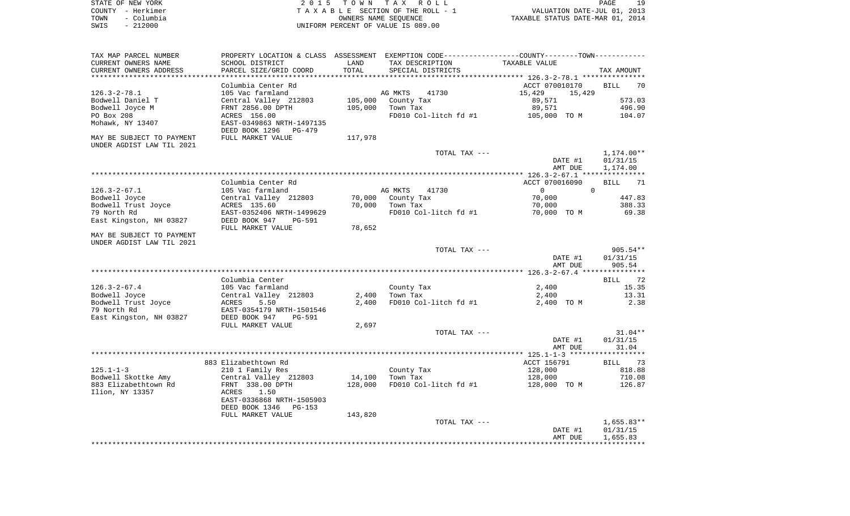| STATE OF NEW YORK  | 2015 TOWN TAX ROLL                 | 19<br>PAGE                       |
|--------------------|------------------------------------|----------------------------------|
| COUNTY - Herkimer  | TAXABLE SECTION OF THE ROLL - 1    | VALUATION DATE-JUL 01, 2013      |
| TOWN<br>- Columbia | OWNERS NAME SEOUENCE               | TAXABLE STATUS DATE-MAR 01, 2014 |
| - 212000<br>SWIS   | UNIFORM PERCENT OF VALUE IS 089.00 |                                  |

| TAX MAP PARCEL NUMBER     | PROPERTY LOCATION & CLASS ASSESSMENT EXEMPTION CODE---------------COUNTY-------TOWN---------- |         |                       |                                                 |                   |
|---------------------------|-----------------------------------------------------------------------------------------------|---------|-----------------------|-------------------------------------------------|-------------------|
| CURRENT OWNERS NAME       | SCHOOL DISTRICT                                                                               | LAND    | TAX DESCRIPTION       | TAXABLE VALUE                                   |                   |
| CURRENT OWNERS ADDRESS    | PARCEL SIZE/GRID COORD                                                                        | TOTAL   | SPECIAL DISTRICTS     |                                                 | TAX AMOUNT        |
|                           |                                                                                               |         |                       | ***************** 126.3-2-78.1 **************** |                   |
|                           | Columbia Center Rd                                                                            |         |                       | ACCT 070010170                                  | BILL<br>70        |
| $126.3 - 2 - 78.1$        | 105 Vac farmland                                                                              |         | AG MKTS<br>41730      | 15,429<br>15,429                                |                   |
|                           |                                                                                               |         |                       |                                                 |                   |
| Bodwell Daniel T          | Central Valley 212803                                                                         | 105,000 | County Tax            | 89,571                                          | 573.03            |
| Bodwell Joyce M           | FRNT 2856.00 DPTH                                                                             | 105,000 | Town Tax              | 89,571                                          | 496.90            |
| PO Box 208                | ACRES 156.00                                                                                  |         | FD010 Col-litch fd #1 | 105,000 TO M                                    | 104.07            |
| Mohawk, NY 13407          | EAST-0349863 NRTH-1497135                                                                     |         |                       |                                                 |                   |
|                           | DEED BOOK 1296<br>PG-479                                                                      |         |                       |                                                 |                   |
| MAY BE SUBJECT TO PAYMENT | FULL MARKET VALUE                                                                             | 117,978 |                       |                                                 |                   |
| UNDER AGDIST LAW TIL 2021 |                                                                                               |         |                       |                                                 |                   |
|                           |                                                                                               |         | TOTAL TAX ---         |                                                 | 1,174.00**        |
|                           |                                                                                               |         |                       | DATE #1                                         | 01/31/15          |
|                           |                                                                                               |         |                       | AMT DUE                                         | 1,174.00          |
|                           |                                                                                               |         |                       |                                                 |                   |
|                           |                                                                                               |         |                       |                                                 |                   |
|                           | Columbia Center Rd                                                                            |         |                       | ACCT 070016090                                  | <b>BILL</b><br>71 |
| $126.3 - 2 - 67.1$        | 105 Vac farmland                                                                              |         | AG MKTS<br>41730      | $\overline{0}$<br>$\Omega$                      |                   |
| Bodwell Joyce             | Central Valley 212803                                                                         | 70,000  | County Tax            | 70,000                                          | 447.83            |
| Bodwell Trust Joyce       | ACRES 135.60                                                                                  | 70,000  | Town Tax              | 70,000                                          | 388.33            |
| 79 North Rd               | EAST-0352406 NRTH-1499629                                                                     |         | FD010 Col-litch fd #1 | 70,000 TO M                                     | 69.38             |
| East Kingston, NH 03827   | DEED BOOK 947<br>PG-591                                                                       |         |                       |                                                 |                   |
|                           | FULL MARKET VALUE                                                                             | 78,652  |                       |                                                 |                   |
| MAY BE SUBJECT TO PAYMENT |                                                                                               |         |                       |                                                 |                   |
|                           |                                                                                               |         |                       |                                                 |                   |
| UNDER AGDIST LAW TIL 2021 |                                                                                               |         |                       |                                                 |                   |
|                           |                                                                                               |         | TOTAL TAX ---         |                                                 | $905.54**$        |
|                           |                                                                                               |         |                       | DATE #1                                         | 01/31/15          |
|                           |                                                                                               |         |                       | AMT DUE                                         | 905.54            |
|                           |                                                                                               |         |                       |                                                 |                   |
|                           | Columbia Center                                                                               |         |                       |                                                 | BILL<br>72        |
| $126.3 - 2 - 67.4$        | 105 Vac farmland                                                                              |         | County Tax            | 2,400                                           | 15.35             |
| Bodwell Joyce             | Central Valley 212803                                                                         | 2,400   | Town Tax              | 2,400                                           | 13.31             |
| Bodwell Trust Joyce       | 5.50<br>ACRES                                                                                 | 2,400   | FD010 Col-litch fd #1 | 2,400 TO M                                      | 2.38              |
| 79 North Rd               | EAST-0354179 NRTH-1501546                                                                     |         |                       |                                                 |                   |
| East Kingston, NH 03827   | DEED BOOK 947<br>PG-591                                                                       |         |                       |                                                 |                   |
|                           |                                                                                               |         |                       |                                                 |                   |
|                           | FULL MARKET VALUE                                                                             | 2,697   |                       |                                                 |                   |
|                           |                                                                                               |         | TOTAL TAX ---         |                                                 | $31.04**$         |
|                           |                                                                                               |         |                       | DATE #1                                         | 01/31/15          |
|                           |                                                                                               |         |                       | AMT DUE                                         | 31.04             |
|                           |                                                                                               |         |                       |                                                 |                   |
|                           | 883 Elizabethtown Rd                                                                          |         |                       | ACCT 156791                                     | <b>BILL</b><br>73 |
| $125.1 - 1 - 3$           | 210 1 Family Res                                                                              |         | County Tax            | 128,000                                         | 818.88            |
| Bodwell Skottke Amy       | Central Valley 212803                                                                         | 14,100  | Town Tax              | 128,000                                         | 710.08            |
| 883 Elizabethtown Rd      | FRNT 338.00 DPTH                                                                              | 128,000 | FD010 Col-litch fd #1 | 128,000 TO M                                    | 126.87            |
| Ilion, NY 13357           | 1.50<br>ACRES                                                                                 |         |                       |                                                 |                   |
|                           | EAST-0336868 NRTH-1505903                                                                     |         |                       |                                                 |                   |
|                           |                                                                                               |         |                       |                                                 |                   |
|                           | DEED BOOK 1346<br>$PG-153$                                                                    |         |                       |                                                 |                   |
|                           | FULL MARKET VALUE                                                                             | 143,820 |                       |                                                 |                   |
|                           |                                                                                               |         | TOTAL TAX ---         |                                                 | $1,655.83**$      |
|                           |                                                                                               |         |                       | DATE #1                                         | 01/31/15          |
|                           |                                                                                               |         |                       |                                                 |                   |
|                           |                                                                                               |         |                       | AMT DUE                                         | 1,655.83          |
|                           |                                                                                               |         |                       |                                                 |                   |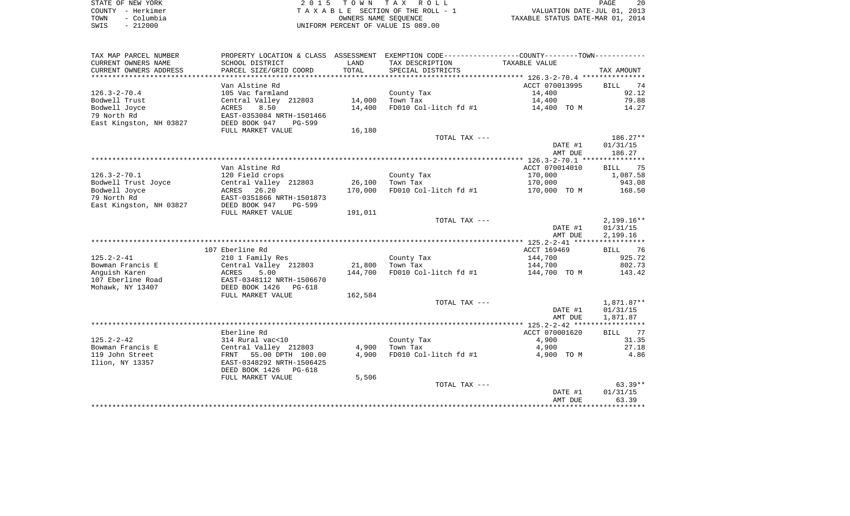|      | STATE OF NEW YORK | 2015 TOWN TAX ROLL                 | 20<br>PAGE                       |
|------|-------------------|------------------------------------|----------------------------------|
|      | COUNTY - Herkimer | TAXABLE SECTION OF THE ROLL - 1    | VALUATION DATE-JUL 01, 2013      |
| TOWN | - Columbia        | OWNERS NAME SEOUENCE               | TAXABLE STATUS DATE-MAR 01, 2014 |
| SWIS | $-212000$         | UNIFORM PERCENT OF VALUE IS 089.00 |                                  |

| SCHOOL DISTRICT<br>TAX DESCRIPTION<br>LAND<br>TAXABLE VALUE<br>PARCEL SIZE/GRID COORD<br>TOTAL<br>SPECIAL DISTRICTS<br>TAX AMOUNT<br>Van Alstine Rd<br>ACCT 070013995<br>74<br><b>BILL</b><br>92.12<br>105 Vac farmland<br>14,400<br>County Tax<br>Central Valley 212803<br>14,000<br>79.88<br>Town Tax<br>14,400<br>8.50<br>14,400<br>FD010 Col-litch fd #1<br>ACRES<br>14,400 TO M<br>14.27<br>EAST-0353084 NRTH-1501466<br>East Kingston, NH 03827<br>DEED BOOK 947<br><b>PG-599</b><br>FULL MARKET VALUE<br>16,180<br>TOTAL TAX ---<br>186.27**<br>01/31/15<br>DATE #1<br>186.27<br>AMT DUE<br>Van Alstine Rd<br>ACCT 070014010<br>BILL 75<br>$126.3 - 2 - 70.1$<br>170,000<br>1,087.58<br>120 Field crops<br>County Tax<br>Bodwell Trust Joyce<br>Central Valley 212803<br>26,100<br>Town Tax<br>170,000<br>943.08<br>Bodwell Joyce<br>ACRES 26.20<br>170,000<br>FD010 Col-litch fd #1<br>168.50<br>170,000 TO M<br>79 North Rd<br>EAST-0351866 NRTH-1501873<br>East Kingston, NH 03827<br>DEED BOOK 947<br><b>PG-599</b><br>191,011<br>FULL MARKET VALUE<br>TOTAL TAX ---<br>$2,199.16**$<br>DATE #1<br>01/31/15<br>2,199.16<br>AMT DUE<br>107 Eberline Rd<br>ACCT 169469<br>76<br>BILL<br>925.72<br>$125.2 - 2 - 41$<br>210 1 Family Res<br>144,700<br>County Tax<br>21,800<br>144,700<br>802.73<br>Bowman Francis E<br>Central Valley 212803<br>Town Tax<br>Anquish Karen<br>144,700<br>5.00<br>FD010 Col-litch fd #1<br>144,700 TO M<br>143.42<br>ACRES<br>107 Eberline Road<br>EAST-0348112 NRTH-1506670<br>Mohawk, NY 13407<br>DEED BOOK 1426<br>PG-618<br>162,584<br>FULL MARKET VALUE<br>1,871.87**<br>TOTAL TAX ---<br>DATE #1<br>01/31/15<br>1,871.87<br>AMT DUE<br>Eberline Rd<br>ACCT 070001620<br>BILL<br>77<br>$125.2 - 2 - 42$<br>31.35<br>314 Rural vac<10<br>County Tax<br>4,900<br>27.18<br>Bowman Francis E<br>Central Valley 212803<br>4,900<br>Town Tax<br>4,900<br>119 John Street<br>4.86<br>FRNT 55.00 DPTH 100.00<br>4,900<br>FD010 Col-litch fd #1<br>4,900 TO M<br>Ilion, NY 13357<br>EAST-0348292 NRTH-1506425<br>DEED BOOK 1426 PG-618<br>5,506<br>FULL MARKET VALUE<br>$63.39**$<br>TOTAL TAX ---<br>01/31/15<br>DATE #1<br>63.39<br>AMT DUE | TAX MAP PARCEL NUMBER  | PROPERTY LOCATION & CLASS ASSESSMENT | EXEMPTION CODE----------------COUNTY-------TOWN----------- |  |
|---------------------------------------------------------------------------------------------------------------------------------------------------------------------------------------------------------------------------------------------------------------------------------------------------------------------------------------------------------------------------------------------------------------------------------------------------------------------------------------------------------------------------------------------------------------------------------------------------------------------------------------------------------------------------------------------------------------------------------------------------------------------------------------------------------------------------------------------------------------------------------------------------------------------------------------------------------------------------------------------------------------------------------------------------------------------------------------------------------------------------------------------------------------------------------------------------------------------------------------------------------------------------------------------------------------------------------------------------------------------------------------------------------------------------------------------------------------------------------------------------------------------------------------------------------------------------------------------------------------------------------------------------------------------------------------------------------------------------------------------------------------------------------------------------------------------------------------------------------------------------------------------------------------------------------------------------------------------------------------------------------------------------------------------------------------------------------------------------------------------------------------------------------------------------------|------------------------|--------------------------------------|------------------------------------------------------------|--|
|                                                                                                                                                                                                                                                                                                                                                                                                                                                                                                                                                                                                                                                                                                                                                                                                                                                                                                                                                                                                                                                                                                                                                                                                                                                                                                                                                                                                                                                                                                                                                                                                                                                                                                                                                                                                                                                                                                                                                                                                                                                                                                                                                                                 | CURRENT OWNERS NAME    |                                      |                                                            |  |
|                                                                                                                                                                                                                                                                                                                                                                                                                                                                                                                                                                                                                                                                                                                                                                                                                                                                                                                                                                                                                                                                                                                                                                                                                                                                                                                                                                                                                                                                                                                                                                                                                                                                                                                                                                                                                                                                                                                                                                                                                                                                                                                                                                                 | CURRENT OWNERS ADDRESS |                                      |                                                            |  |
|                                                                                                                                                                                                                                                                                                                                                                                                                                                                                                                                                                                                                                                                                                                                                                                                                                                                                                                                                                                                                                                                                                                                                                                                                                                                                                                                                                                                                                                                                                                                                                                                                                                                                                                                                                                                                                                                                                                                                                                                                                                                                                                                                                                 |                        |                                      |                                                            |  |
|                                                                                                                                                                                                                                                                                                                                                                                                                                                                                                                                                                                                                                                                                                                                                                                                                                                                                                                                                                                                                                                                                                                                                                                                                                                                                                                                                                                                                                                                                                                                                                                                                                                                                                                                                                                                                                                                                                                                                                                                                                                                                                                                                                                 |                        |                                      |                                                            |  |
|                                                                                                                                                                                                                                                                                                                                                                                                                                                                                                                                                                                                                                                                                                                                                                                                                                                                                                                                                                                                                                                                                                                                                                                                                                                                                                                                                                                                                                                                                                                                                                                                                                                                                                                                                                                                                                                                                                                                                                                                                                                                                                                                                                                 | $126.3 - 2 - 70.4$     |                                      |                                                            |  |
|                                                                                                                                                                                                                                                                                                                                                                                                                                                                                                                                                                                                                                                                                                                                                                                                                                                                                                                                                                                                                                                                                                                                                                                                                                                                                                                                                                                                                                                                                                                                                                                                                                                                                                                                                                                                                                                                                                                                                                                                                                                                                                                                                                                 | Bodwell Trust          |                                      |                                                            |  |
|                                                                                                                                                                                                                                                                                                                                                                                                                                                                                                                                                                                                                                                                                                                                                                                                                                                                                                                                                                                                                                                                                                                                                                                                                                                                                                                                                                                                                                                                                                                                                                                                                                                                                                                                                                                                                                                                                                                                                                                                                                                                                                                                                                                 | Bodwell Joyce          |                                      |                                                            |  |
|                                                                                                                                                                                                                                                                                                                                                                                                                                                                                                                                                                                                                                                                                                                                                                                                                                                                                                                                                                                                                                                                                                                                                                                                                                                                                                                                                                                                                                                                                                                                                                                                                                                                                                                                                                                                                                                                                                                                                                                                                                                                                                                                                                                 | 79 North Rd            |                                      |                                                            |  |
|                                                                                                                                                                                                                                                                                                                                                                                                                                                                                                                                                                                                                                                                                                                                                                                                                                                                                                                                                                                                                                                                                                                                                                                                                                                                                                                                                                                                                                                                                                                                                                                                                                                                                                                                                                                                                                                                                                                                                                                                                                                                                                                                                                                 |                        |                                      |                                                            |  |
|                                                                                                                                                                                                                                                                                                                                                                                                                                                                                                                                                                                                                                                                                                                                                                                                                                                                                                                                                                                                                                                                                                                                                                                                                                                                                                                                                                                                                                                                                                                                                                                                                                                                                                                                                                                                                                                                                                                                                                                                                                                                                                                                                                                 |                        |                                      |                                                            |  |
|                                                                                                                                                                                                                                                                                                                                                                                                                                                                                                                                                                                                                                                                                                                                                                                                                                                                                                                                                                                                                                                                                                                                                                                                                                                                                                                                                                                                                                                                                                                                                                                                                                                                                                                                                                                                                                                                                                                                                                                                                                                                                                                                                                                 |                        |                                      |                                                            |  |
|                                                                                                                                                                                                                                                                                                                                                                                                                                                                                                                                                                                                                                                                                                                                                                                                                                                                                                                                                                                                                                                                                                                                                                                                                                                                                                                                                                                                                                                                                                                                                                                                                                                                                                                                                                                                                                                                                                                                                                                                                                                                                                                                                                                 |                        |                                      |                                                            |  |
|                                                                                                                                                                                                                                                                                                                                                                                                                                                                                                                                                                                                                                                                                                                                                                                                                                                                                                                                                                                                                                                                                                                                                                                                                                                                                                                                                                                                                                                                                                                                                                                                                                                                                                                                                                                                                                                                                                                                                                                                                                                                                                                                                                                 |                        |                                      |                                                            |  |
|                                                                                                                                                                                                                                                                                                                                                                                                                                                                                                                                                                                                                                                                                                                                                                                                                                                                                                                                                                                                                                                                                                                                                                                                                                                                                                                                                                                                                                                                                                                                                                                                                                                                                                                                                                                                                                                                                                                                                                                                                                                                                                                                                                                 |                        |                                      |                                                            |  |
|                                                                                                                                                                                                                                                                                                                                                                                                                                                                                                                                                                                                                                                                                                                                                                                                                                                                                                                                                                                                                                                                                                                                                                                                                                                                                                                                                                                                                                                                                                                                                                                                                                                                                                                                                                                                                                                                                                                                                                                                                                                                                                                                                                                 |                        |                                      |                                                            |  |
|                                                                                                                                                                                                                                                                                                                                                                                                                                                                                                                                                                                                                                                                                                                                                                                                                                                                                                                                                                                                                                                                                                                                                                                                                                                                                                                                                                                                                                                                                                                                                                                                                                                                                                                                                                                                                                                                                                                                                                                                                                                                                                                                                                                 |                        |                                      |                                                            |  |
|                                                                                                                                                                                                                                                                                                                                                                                                                                                                                                                                                                                                                                                                                                                                                                                                                                                                                                                                                                                                                                                                                                                                                                                                                                                                                                                                                                                                                                                                                                                                                                                                                                                                                                                                                                                                                                                                                                                                                                                                                                                                                                                                                                                 |                        |                                      |                                                            |  |
|                                                                                                                                                                                                                                                                                                                                                                                                                                                                                                                                                                                                                                                                                                                                                                                                                                                                                                                                                                                                                                                                                                                                                                                                                                                                                                                                                                                                                                                                                                                                                                                                                                                                                                                                                                                                                                                                                                                                                                                                                                                                                                                                                                                 |                        |                                      |                                                            |  |
|                                                                                                                                                                                                                                                                                                                                                                                                                                                                                                                                                                                                                                                                                                                                                                                                                                                                                                                                                                                                                                                                                                                                                                                                                                                                                                                                                                                                                                                                                                                                                                                                                                                                                                                                                                                                                                                                                                                                                                                                                                                                                                                                                                                 |                        |                                      |                                                            |  |
|                                                                                                                                                                                                                                                                                                                                                                                                                                                                                                                                                                                                                                                                                                                                                                                                                                                                                                                                                                                                                                                                                                                                                                                                                                                                                                                                                                                                                                                                                                                                                                                                                                                                                                                                                                                                                                                                                                                                                                                                                                                                                                                                                                                 |                        |                                      |                                                            |  |
|                                                                                                                                                                                                                                                                                                                                                                                                                                                                                                                                                                                                                                                                                                                                                                                                                                                                                                                                                                                                                                                                                                                                                                                                                                                                                                                                                                                                                                                                                                                                                                                                                                                                                                                                                                                                                                                                                                                                                                                                                                                                                                                                                                                 |                        |                                      |                                                            |  |
|                                                                                                                                                                                                                                                                                                                                                                                                                                                                                                                                                                                                                                                                                                                                                                                                                                                                                                                                                                                                                                                                                                                                                                                                                                                                                                                                                                                                                                                                                                                                                                                                                                                                                                                                                                                                                                                                                                                                                                                                                                                                                                                                                                                 |                        |                                      |                                                            |  |
|                                                                                                                                                                                                                                                                                                                                                                                                                                                                                                                                                                                                                                                                                                                                                                                                                                                                                                                                                                                                                                                                                                                                                                                                                                                                                                                                                                                                                                                                                                                                                                                                                                                                                                                                                                                                                                                                                                                                                                                                                                                                                                                                                                                 |                        |                                      |                                                            |  |
|                                                                                                                                                                                                                                                                                                                                                                                                                                                                                                                                                                                                                                                                                                                                                                                                                                                                                                                                                                                                                                                                                                                                                                                                                                                                                                                                                                                                                                                                                                                                                                                                                                                                                                                                                                                                                                                                                                                                                                                                                                                                                                                                                                                 |                        |                                      |                                                            |  |
|                                                                                                                                                                                                                                                                                                                                                                                                                                                                                                                                                                                                                                                                                                                                                                                                                                                                                                                                                                                                                                                                                                                                                                                                                                                                                                                                                                                                                                                                                                                                                                                                                                                                                                                                                                                                                                                                                                                                                                                                                                                                                                                                                                                 |                        |                                      |                                                            |  |
|                                                                                                                                                                                                                                                                                                                                                                                                                                                                                                                                                                                                                                                                                                                                                                                                                                                                                                                                                                                                                                                                                                                                                                                                                                                                                                                                                                                                                                                                                                                                                                                                                                                                                                                                                                                                                                                                                                                                                                                                                                                                                                                                                                                 |                        |                                      |                                                            |  |
|                                                                                                                                                                                                                                                                                                                                                                                                                                                                                                                                                                                                                                                                                                                                                                                                                                                                                                                                                                                                                                                                                                                                                                                                                                                                                                                                                                                                                                                                                                                                                                                                                                                                                                                                                                                                                                                                                                                                                                                                                                                                                                                                                                                 |                        |                                      |                                                            |  |
|                                                                                                                                                                                                                                                                                                                                                                                                                                                                                                                                                                                                                                                                                                                                                                                                                                                                                                                                                                                                                                                                                                                                                                                                                                                                                                                                                                                                                                                                                                                                                                                                                                                                                                                                                                                                                                                                                                                                                                                                                                                                                                                                                                                 |                        |                                      |                                                            |  |
|                                                                                                                                                                                                                                                                                                                                                                                                                                                                                                                                                                                                                                                                                                                                                                                                                                                                                                                                                                                                                                                                                                                                                                                                                                                                                                                                                                                                                                                                                                                                                                                                                                                                                                                                                                                                                                                                                                                                                                                                                                                                                                                                                                                 |                        |                                      |                                                            |  |
|                                                                                                                                                                                                                                                                                                                                                                                                                                                                                                                                                                                                                                                                                                                                                                                                                                                                                                                                                                                                                                                                                                                                                                                                                                                                                                                                                                                                                                                                                                                                                                                                                                                                                                                                                                                                                                                                                                                                                                                                                                                                                                                                                                                 |                        |                                      |                                                            |  |
|                                                                                                                                                                                                                                                                                                                                                                                                                                                                                                                                                                                                                                                                                                                                                                                                                                                                                                                                                                                                                                                                                                                                                                                                                                                                                                                                                                                                                                                                                                                                                                                                                                                                                                                                                                                                                                                                                                                                                                                                                                                                                                                                                                                 |                        |                                      |                                                            |  |
|                                                                                                                                                                                                                                                                                                                                                                                                                                                                                                                                                                                                                                                                                                                                                                                                                                                                                                                                                                                                                                                                                                                                                                                                                                                                                                                                                                                                                                                                                                                                                                                                                                                                                                                                                                                                                                                                                                                                                                                                                                                                                                                                                                                 |                        |                                      |                                                            |  |
|                                                                                                                                                                                                                                                                                                                                                                                                                                                                                                                                                                                                                                                                                                                                                                                                                                                                                                                                                                                                                                                                                                                                                                                                                                                                                                                                                                                                                                                                                                                                                                                                                                                                                                                                                                                                                                                                                                                                                                                                                                                                                                                                                                                 |                        |                                      |                                                            |  |
|                                                                                                                                                                                                                                                                                                                                                                                                                                                                                                                                                                                                                                                                                                                                                                                                                                                                                                                                                                                                                                                                                                                                                                                                                                                                                                                                                                                                                                                                                                                                                                                                                                                                                                                                                                                                                                                                                                                                                                                                                                                                                                                                                                                 |                        |                                      |                                                            |  |
|                                                                                                                                                                                                                                                                                                                                                                                                                                                                                                                                                                                                                                                                                                                                                                                                                                                                                                                                                                                                                                                                                                                                                                                                                                                                                                                                                                                                                                                                                                                                                                                                                                                                                                                                                                                                                                                                                                                                                                                                                                                                                                                                                                                 |                        |                                      |                                                            |  |
|                                                                                                                                                                                                                                                                                                                                                                                                                                                                                                                                                                                                                                                                                                                                                                                                                                                                                                                                                                                                                                                                                                                                                                                                                                                                                                                                                                                                                                                                                                                                                                                                                                                                                                                                                                                                                                                                                                                                                                                                                                                                                                                                                                                 |                        |                                      |                                                            |  |
|                                                                                                                                                                                                                                                                                                                                                                                                                                                                                                                                                                                                                                                                                                                                                                                                                                                                                                                                                                                                                                                                                                                                                                                                                                                                                                                                                                                                                                                                                                                                                                                                                                                                                                                                                                                                                                                                                                                                                                                                                                                                                                                                                                                 |                        |                                      |                                                            |  |
|                                                                                                                                                                                                                                                                                                                                                                                                                                                                                                                                                                                                                                                                                                                                                                                                                                                                                                                                                                                                                                                                                                                                                                                                                                                                                                                                                                                                                                                                                                                                                                                                                                                                                                                                                                                                                                                                                                                                                                                                                                                                                                                                                                                 |                        |                                      |                                                            |  |
|                                                                                                                                                                                                                                                                                                                                                                                                                                                                                                                                                                                                                                                                                                                                                                                                                                                                                                                                                                                                                                                                                                                                                                                                                                                                                                                                                                                                                                                                                                                                                                                                                                                                                                                                                                                                                                                                                                                                                                                                                                                                                                                                                                                 |                        |                                      |                                                            |  |
|                                                                                                                                                                                                                                                                                                                                                                                                                                                                                                                                                                                                                                                                                                                                                                                                                                                                                                                                                                                                                                                                                                                                                                                                                                                                                                                                                                                                                                                                                                                                                                                                                                                                                                                                                                                                                                                                                                                                                                                                                                                                                                                                                                                 |                        |                                      |                                                            |  |
|                                                                                                                                                                                                                                                                                                                                                                                                                                                                                                                                                                                                                                                                                                                                                                                                                                                                                                                                                                                                                                                                                                                                                                                                                                                                                                                                                                                                                                                                                                                                                                                                                                                                                                                                                                                                                                                                                                                                                                                                                                                                                                                                                                                 |                        |                                      |                                                            |  |
|                                                                                                                                                                                                                                                                                                                                                                                                                                                                                                                                                                                                                                                                                                                                                                                                                                                                                                                                                                                                                                                                                                                                                                                                                                                                                                                                                                                                                                                                                                                                                                                                                                                                                                                                                                                                                                                                                                                                                                                                                                                                                                                                                                                 |                        |                                      |                                                            |  |
|                                                                                                                                                                                                                                                                                                                                                                                                                                                                                                                                                                                                                                                                                                                                                                                                                                                                                                                                                                                                                                                                                                                                                                                                                                                                                                                                                                                                                                                                                                                                                                                                                                                                                                                                                                                                                                                                                                                                                                                                                                                                                                                                                                                 |                        |                                      |                                                            |  |
|                                                                                                                                                                                                                                                                                                                                                                                                                                                                                                                                                                                                                                                                                                                                                                                                                                                                                                                                                                                                                                                                                                                                                                                                                                                                                                                                                                                                                                                                                                                                                                                                                                                                                                                                                                                                                                                                                                                                                                                                                                                                                                                                                                                 |                        |                                      |                                                            |  |
|                                                                                                                                                                                                                                                                                                                                                                                                                                                                                                                                                                                                                                                                                                                                                                                                                                                                                                                                                                                                                                                                                                                                                                                                                                                                                                                                                                                                                                                                                                                                                                                                                                                                                                                                                                                                                                                                                                                                                                                                                                                                                                                                                                                 |                        |                                      |                                                            |  |
|                                                                                                                                                                                                                                                                                                                                                                                                                                                                                                                                                                                                                                                                                                                                                                                                                                                                                                                                                                                                                                                                                                                                                                                                                                                                                                                                                                                                                                                                                                                                                                                                                                                                                                                                                                                                                                                                                                                                                                                                                                                                                                                                                                                 |                        |                                      |                                                            |  |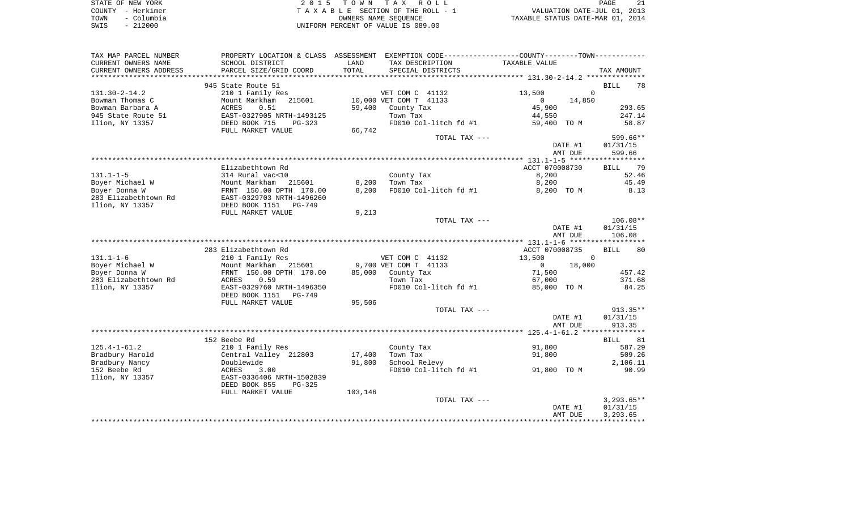| STATE OF NEW YORK  | 2015 TOWN TAX ROLL                 | 21<br><b>PAGE</b>                |
|--------------------|------------------------------------|----------------------------------|
| COUNTY - Herkimer  | TAXABLE SECTION OF THE ROLL - 1    | VALUATION DATE-JUL 01, 2013      |
| - Columbia<br>TOWN | OWNERS NAME SEOUENCE               | TAXABLE STATUS DATE-MAR 01, 2014 |
| - 212000<br>SWIS   | UNIFORM PERCENT OF VALUE IS 089.00 |                                  |

| TAX MAP PARCEL NUMBER     | PROPERTY LOCATION & CLASS ASSESSMENT EXEMPTION CODE---------------COUNTY-------TOWN---------- |         |                        |                          |                   |
|---------------------------|-----------------------------------------------------------------------------------------------|---------|------------------------|--------------------------|-------------------|
| CURRENT OWNERS NAME       | SCHOOL DISTRICT                                                                               | LAND    | TAX DESCRIPTION        | TAXABLE VALUE            |                   |
| CURRENT OWNERS ADDRESS    | PARCEL SIZE/GRID COORD                                                                        | TOTAL   | SPECIAL DISTRICTS      |                          | TAX AMOUNT        |
| ************************* |                                                                                               |         |                        |                          |                   |
|                           | 945 State Route 51                                                                            |         |                        |                          | <b>BILL</b><br>78 |
| $131.30 - 2 - 14.2$       | 210 1 Family Res                                                                              |         | VET COM C 41132        | 13,500                   | $\Omega$          |
| Bowman Thomas C           | Mount Markham<br>215601                                                                       |         | 10,000 VET COM T 41133 | $\Omega$<br>14,850       |                   |
| Bowman Barbara A          | ACRES<br>0.51                                                                                 | 59,400  | County Tax             | 45,900                   | 293.65            |
| 945 State Route 51        | EAST-0327905 NRTH-1493125                                                                     |         | Town Tax               | 44,550                   | 247.14            |
| Ilion, NY 13357           | DEED BOOK 715<br>$PG-323$                                                                     |         | FD010 Col-litch fd #1  | 59,400 TO M              | 58.87             |
|                           | FULL MARKET VALUE                                                                             | 66,742  |                        |                          |                   |
|                           |                                                                                               |         | TOTAL TAX ---          |                          | 599.66**          |
|                           |                                                                                               |         |                        | DATE #1                  | 01/31/15          |
|                           |                                                                                               |         |                        | AMT DUE                  | 599.66            |
|                           |                                                                                               |         |                        |                          |                   |
|                           | Elizabethtown Rd                                                                              |         |                        | ACCT 070008730           | 79<br><b>BILL</b> |
| $131.1 - 1 - 5$           | 314 Rural vac<10                                                                              |         | County Tax             | 8,200                    | 52.46             |
| Boyer Michael W           | Mount Markham<br>215601                                                                       | 8,200   | Town Tax               | 8,200                    | 45.49             |
| Boyer Donna W             | FRNT 150.00 DPTH 170.00                                                                       | 8,200   | FD010 Col-litch fd #1  | 8,200 TO M               | 8.13              |
| 283 Elizabethtown Rd      | EAST-0329703 NRTH-1496260                                                                     |         |                        |                          |                   |
| Ilion, NY 13357           | DEED BOOK 1151<br>$PG-749$                                                                    |         |                        |                          |                   |
|                           | FULL MARKET VALUE                                                                             | 9,213   |                        |                          |                   |
|                           |                                                                                               |         | TOTAL TAX ---          |                          | $106.08**$        |
|                           |                                                                                               |         |                        | DATE #1                  | 01/31/15          |
|                           |                                                                                               |         |                        | AMT DUE                  | 106.08            |
|                           |                                                                                               |         |                        |                          |                   |
|                           | 283 Elizabethtown Rd                                                                          |         |                        | ACCT 070008735           | 80<br><b>BILL</b> |
| $131.1 - 1 - 6$           | 210 1 Family Res                                                                              |         | VET COM C 41132        | 13,500                   | $\Omega$          |
| Boyer Michael W           | Mount Markham<br>215601                                                                       |         | 9,700 VET COM T 41133  | $\overline{0}$<br>18,000 |                   |
| Boyer Donna W             | FRNT 150.00 DPTH 170.00                                                                       | 85,000  | County Tax             | 71,500                   | 457.42            |
| 283 Elizabethtown Rd      | 0.59<br>ACRES                                                                                 |         | Town Tax               | 67,000                   | 371.68            |
| Ilion, NY 13357           | EAST-0329760 NRTH-1496350                                                                     |         | FD010 Col-litch fd #1  | 85,000 TO M              | 84.25             |
|                           | DEED BOOK 1151<br>PG-749                                                                      |         |                        |                          |                   |
|                           | FULL MARKET VALUE                                                                             | 95,506  |                        |                          |                   |
|                           |                                                                                               |         | TOTAL TAX ---          |                          | $913.35**$        |
|                           |                                                                                               |         |                        | DATE #1                  | 01/31/15          |
|                           |                                                                                               |         |                        | AMT DUE                  | 913.35            |
|                           |                                                                                               |         |                        |                          |                   |
|                           | 152 Beebe Rd                                                                                  |         |                        |                          | 81<br>BILL        |
| $125.4 - 1 - 61.2$        | 210 1 Family Res                                                                              |         | County Tax             | 91,800                   | 587.29            |
| Bradbury Harold           | Central Valley 212803                                                                         | 17,400  | Town Tax               | 91,800                   | 509.26            |
| Bradbury Nancy            | Doublewide                                                                                    | 91,800  | School Relevy          |                          | 2,106.11          |
| 152 Beebe Rd              | ACRES<br>3.00                                                                                 |         | FD010 Col-litch fd #1  | 91,800 TO M              | 90.99             |
| Ilion, NY 13357           | EAST-0336406 NRTH-1502839                                                                     |         |                        |                          |                   |
|                           | DEED BOOK 855<br>PG-325                                                                       |         |                        |                          |                   |
|                           | FULL MARKET VALUE                                                                             | 103,146 |                        |                          |                   |
|                           |                                                                                               |         | TOTAL TAX ---          |                          | $3,293.65**$      |
|                           |                                                                                               |         |                        | DATE #1                  | 01/31/15          |
|                           |                                                                                               |         |                        | AMT DUE                  | 3,293.65          |
|                           |                                                                                               |         |                        |                          |                   |
|                           |                                                                                               |         |                        |                          |                   |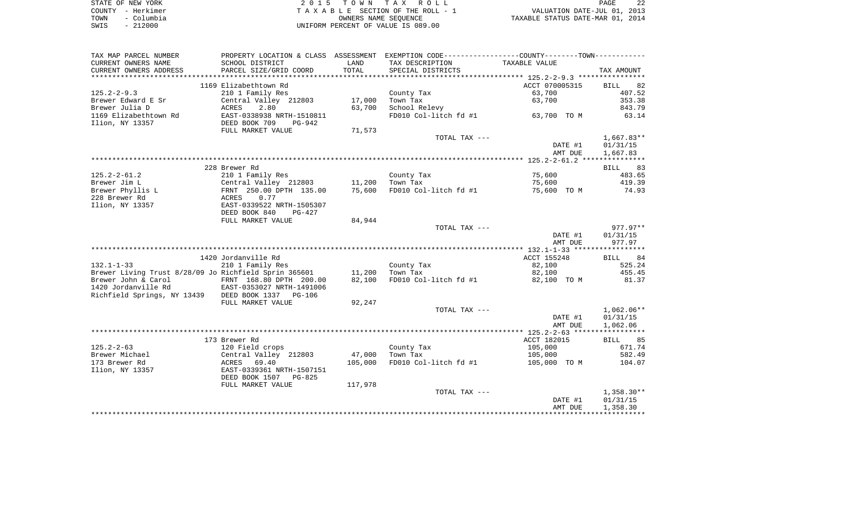|      | STATE OF NEW YORK | 2015 TOWN TAX ROLL                 | 22<br>PAGE                       |
|------|-------------------|------------------------------------|----------------------------------|
|      | COUNTY - Herkimer | TAXABLE SECTION OF THE ROLL - 1    | VALUATION DATE-JUL 01, 2013      |
| TOWN | – Columbia        | OWNERS NAME SEOUENCE               | TAXABLE STATUS DATE-MAR 01, 2014 |
| SWIS | $-212000$         | UNIFORM PERCENT OF VALUE IS 089.00 |                                  |

| SCHOOL DISTRICT<br>TAXABLE VALUE<br>LAND<br>TAX DESCRIPTION<br>PARCEL SIZE/GRID COORD<br>TOTAL<br>SPECIAL DISTRICTS<br>TAX AMOUNT<br>1169 Elizabethtown Rd<br>ACCT 070005315<br>82<br>BILL<br>210 1 Family Res<br>63,700<br>407.52<br>County Tax<br>353.38<br>Brewer Edward E Sr<br>Central Valley 212803<br>17,000<br>Town Tax<br>63,700<br>Brewer Julia D<br>2.80<br>63,700<br>School Relevy<br>843.79<br>ACRES<br>1169 Elizabethtown Rd<br>FD010 Col-litch fd #1<br>63.14<br>EAST-0338938 NRTH-1510811<br>63,700 TO M<br>DEED BOOK 709<br><b>PG-942</b><br>FULL MARKET VALUE<br>71,573<br>$1,667.83**$<br>TOTAL TAX ---<br>DATE #1<br>01/31/15<br>AMT DUE<br>1,667.83<br>228 Brewer Rd<br>BILL 83<br>$125.2 - 2 - 61.2$<br>75,600<br>483.65<br>210 1 Family Res<br>County Tax<br>Brewer Jim L<br>Central Valley 212803<br>11,200<br>Town Tax<br>75,600<br>419.39<br>Brewer Phyllis L<br>FRNT 250.00 DPTH 135.00<br>75,600<br>FD010 Col-litch fd #1<br>75,600 TO M<br>74.93<br>228 Brewer Rd<br>0.77<br>ACRES<br>Ilion, NY 13357<br>EAST-0339522 NRTH-1505307<br>DEED BOOK 840<br>PG-427<br>84,944<br>FULL MARKET VALUE<br>977.97**<br>TOTAL TAX ---<br>01/31/15<br>DATE #1<br>AMT DUE<br>977.97<br>1420 Jordanville Rd<br>ACCT 155248<br>BILL 84<br>210 1 Family Res<br>County Tax<br>82,100<br>525.24<br>Brewer Living Trust 8/28/09 Jo Richfield Sprin 365601<br>Town Tax<br>455.45<br>11,200<br>82,100<br>FRNT 168.80 DPTH 200.00<br>82,100<br>FD010 Col-litch fd #1<br>82,100 TO M<br>81.37<br>EAST-0353027 NRTH-1491006<br>Richfield Springs, NY 13439 DEED BOOK 1337 PG-106<br>FULL MARKET VALUE<br>92,247<br>$1,062.06**$<br>TOTAL TAX ---<br>01/31/15<br>DATE #1<br>1,062.06<br>AMT DUE<br>173 Brewer Rd<br>ACCT 182015<br>85<br>BILL<br>$125.2 - 2 - 63$<br>105,000<br>671.74<br>120 Field crops<br>County Tax<br>Brewer Michael<br>Central Valley 212803<br>47,000<br>Town Tax<br>105,000<br>582.49<br>173 Brewer Rd<br>105,000<br>FD010 Col-litch fd #1<br>ACRES<br>69.40<br>105,000 TO M<br>104.07<br>Ilion, NY 13357<br>EAST-0339361 NRTH-1507151<br>DEED BOOK 1507<br>PG-825<br>117,978<br>FULL MARKET VALUE<br>TOTAL TAX ---<br>$1,358.30**$<br>DATE #1<br>01/31/15<br>1,358.30<br>AMT DUE | TAX MAP PARCEL NUMBER  |  | PROPERTY LOCATION & CLASS ASSESSMENT EXEMPTION CODE---------------COUNTY-------TOWN---------- |  |
|--------------------------------------------------------------------------------------------------------------------------------------------------------------------------------------------------------------------------------------------------------------------------------------------------------------------------------------------------------------------------------------------------------------------------------------------------------------------------------------------------------------------------------------------------------------------------------------------------------------------------------------------------------------------------------------------------------------------------------------------------------------------------------------------------------------------------------------------------------------------------------------------------------------------------------------------------------------------------------------------------------------------------------------------------------------------------------------------------------------------------------------------------------------------------------------------------------------------------------------------------------------------------------------------------------------------------------------------------------------------------------------------------------------------------------------------------------------------------------------------------------------------------------------------------------------------------------------------------------------------------------------------------------------------------------------------------------------------------------------------------------------------------------------------------------------------------------------------------------------------------------------------------------------------------------------------------------------------------------------------------------------------------------------------------------------------------------------------------------------------------------------------------------------------------------------------------------------|------------------------|--|-----------------------------------------------------------------------------------------------|--|
|                                                                                                                                                                                                                                                                                                                                                                                                                                                                                                                                                                                                                                                                                                                                                                                                                                                                                                                                                                                                                                                                                                                                                                                                                                                                                                                                                                                                                                                                                                                                                                                                                                                                                                                                                                                                                                                                                                                                                                                                                                                                                                                                                                                                              | CURRENT OWNERS NAME    |  |                                                                                               |  |
|                                                                                                                                                                                                                                                                                                                                                                                                                                                                                                                                                                                                                                                                                                                                                                                                                                                                                                                                                                                                                                                                                                                                                                                                                                                                                                                                                                                                                                                                                                                                                                                                                                                                                                                                                                                                                                                                                                                                                                                                                                                                                                                                                                                                              | CURRENT OWNERS ADDRESS |  |                                                                                               |  |
|                                                                                                                                                                                                                                                                                                                                                                                                                                                                                                                                                                                                                                                                                                                                                                                                                                                                                                                                                                                                                                                                                                                                                                                                                                                                                                                                                                                                                                                                                                                                                                                                                                                                                                                                                                                                                                                                                                                                                                                                                                                                                                                                                                                                              |                        |  |                                                                                               |  |
|                                                                                                                                                                                                                                                                                                                                                                                                                                                                                                                                                                                                                                                                                                                                                                                                                                                                                                                                                                                                                                                                                                                                                                                                                                                                                                                                                                                                                                                                                                                                                                                                                                                                                                                                                                                                                                                                                                                                                                                                                                                                                                                                                                                                              |                        |  |                                                                                               |  |
|                                                                                                                                                                                                                                                                                                                                                                                                                                                                                                                                                                                                                                                                                                                                                                                                                                                                                                                                                                                                                                                                                                                                                                                                                                                                                                                                                                                                                                                                                                                                                                                                                                                                                                                                                                                                                                                                                                                                                                                                                                                                                                                                                                                                              | $125.2 - 2 - 9.3$      |  |                                                                                               |  |
|                                                                                                                                                                                                                                                                                                                                                                                                                                                                                                                                                                                                                                                                                                                                                                                                                                                                                                                                                                                                                                                                                                                                                                                                                                                                                                                                                                                                                                                                                                                                                                                                                                                                                                                                                                                                                                                                                                                                                                                                                                                                                                                                                                                                              |                        |  |                                                                                               |  |
|                                                                                                                                                                                                                                                                                                                                                                                                                                                                                                                                                                                                                                                                                                                                                                                                                                                                                                                                                                                                                                                                                                                                                                                                                                                                                                                                                                                                                                                                                                                                                                                                                                                                                                                                                                                                                                                                                                                                                                                                                                                                                                                                                                                                              |                        |  |                                                                                               |  |
|                                                                                                                                                                                                                                                                                                                                                                                                                                                                                                                                                                                                                                                                                                                                                                                                                                                                                                                                                                                                                                                                                                                                                                                                                                                                                                                                                                                                                                                                                                                                                                                                                                                                                                                                                                                                                                                                                                                                                                                                                                                                                                                                                                                                              | Ilion, NY 13357        |  |                                                                                               |  |
|                                                                                                                                                                                                                                                                                                                                                                                                                                                                                                                                                                                                                                                                                                                                                                                                                                                                                                                                                                                                                                                                                                                                                                                                                                                                                                                                                                                                                                                                                                                                                                                                                                                                                                                                                                                                                                                                                                                                                                                                                                                                                                                                                                                                              |                        |  |                                                                                               |  |
|                                                                                                                                                                                                                                                                                                                                                                                                                                                                                                                                                                                                                                                                                                                                                                                                                                                                                                                                                                                                                                                                                                                                                                                                                                                                                                                                                                                                                                                                                                                                                                                                                                                                                                                                                                                                                                                                                                                                                                                                                                                                                                                                                                                                              |                        |  |                                                                                               |  |
|                                                                                                                                                                                                                                                                                                                                                                                                                                                                                                                                                                                                                                                                                                                                                                                                                                                                                                                                                                                                                                                                                                                                                                                                                                                                                                                                                                                                                                                                                                                                                                                                                                                                                                                                                                                                                                                                                                                                                                                                                                                                                                                                                                                                              |                        |  |                                                                                               |  |
|                                                                                                                                                                                                                                                                                                                                                                                                                                                                                                                                                                                                                                                                                                                                                                                                                                                                                                                                                                                                                                                                                                                                                                                                                                                                                                                                                                                                                                                                                                                                                                                                                                                                                                                                                                                                                                                                                                                                                                                                                                                                                                                                                                                                              |                        |  |                                                                                               |  |
|                                                                                                                                                                                                                                                                                                                                                                                                                                                                                                                                                                                                                                                                                                                                                                                                                                                                                                                                                                                                                                                                                                                                                                                                                                                                                                                                                                                                                                                                                                                                                                                                                                                                                                                                                                                                                                                                                                                                                                                                                                                                                                                                                                                                              |                        |  |                                                                                               |  |
|                                                                                                                                                                                                                                                                                                                                                                                                                                                                                                                                                                                                                                                                                                                                                                                                                                                                                                                                                                                                                                                                                                                                                                                                                                                                                                                                                                                                                                                                                                                                                                                                                                                                                                                                                                                                                                                                                                                                                                                                                                                                                                                                                                                                              |                        |  |                                                                                               |  |
|                                                                                                                                                                                                                                                                                                                                                                                                                                                                                                                                                                                                                                                                                                                                                                                                                                                                                                                                                                                                                                                                                                                                                                                                                                                                                                                                                                                                                                                                                                                                                                                                                                                                                                                                                                                                                                                                                                                                                                                                                                                                                                                                                                                                              |                        |  |                                                                                               |  |
|                                                                                                                                                                                                                                                                                                                                                                                                                                                                                                                                                                                                                                                                                                                                                                                                                                                                                                                                                                                                                                                                                                                                                                                                                                                                                                                                                                                                                                                                                                                                                                                                                                                                                                                                                                                                                                                                                                                                                                                                                                                                                                                                                                                                              |                        |  |                                                                                               |  |
|                                                                                                                                                                                                                                                                                                                                                                                                                                                                                                                                                                                                                                                                                                                                                                                                                                                                                                                                                                                                                                                                                                                                                                                                                                                                                                                                                                                                                                                                                                                                                                                                                                                                                                                                                                                                                                                                                                                                                                                                                                                                                                                                                                                                              |                        |  |                                                                                               |  |
|                                                                                                                                                                                                                                                                                                                                                                                                                                                                                                                                                                                                                                                                                                                                                                                                                                                                                                                                                                                                                                                                                                                                                                                                                                                                                                                                                                                                                                                                                                                                                                                                                                                                                                                                                                                                                                                                                                                                                                                                                                                                                                                                                                                                              |                        |  |                                                                                               |  |
|                                                                                                                                                                                                                                                                                                                                                                                                                                                                                                                                                                                                                                                                                                                                                                                                                                                                                                                                                                                                                                                                                                                                                                                                                                                                                                                                                                                                                                                                                                                                                                                                                                                                                                                                                                                                                                                                                                                                                                                                                                                                                                                                                                                                              |                        |  |                                                                                               |  |
|                                                                                                                                                                                                                                                                                                                                                                                                                                                                                                                                                                                                                                                                                                                                                                                                                                                                                                                                                                                                                                                                                                                                                                                                                                                                                                                                                                                                                                                                                                                                                                                                                                                                                                                                                                                                                                                                                                                                                                                                                                                                                                                                                                                                              |                        |  |                                                                                               |  |
|                                                                                                                                                                                                                                                                                                                                                                                                                                                                                                                                                                                                                                                                                                                                                                                                                                                                                                                                                                                                                                                                                                                                                                                                                                                                                                                                                                                                                                                                                                                                                                                                                                                                                                                                                                                                                                                                                                                                                                                                                                                                                                                                                                                                              |                        |  |                                                                                               |  |
|                                                                                                                                                                                                                                                                                                                                                                                                                                                                                                                                                                                                                                                                                                                                                                                                                                                                                                                                                                                                                                                                                                                                                                                                                                                                                                                                                                                                                                                                                                                                                                                                                                                                                                                                                                                                                                                                                                                                                                                                                                                                                                                                                                                                              |                        |  |                                                                                               |  |
|                                                                                                                                                                                                                                                                                                                                                                                                                                                                                                                                                                                                                                                                                                                                                                                                                                                                                                                                                                                                                                                                                                                                                                                                                                                                                                                                                                                                                                                                                                                                                                                                                                                                                                                                                                                                                                                                                                                                                                                                                                                                                                                                                                                                              |                        |  |                                                                                               |  |
|                                                                                                                                                                                                                                                                                                                                                                                                                                                                                                                                                                                                                                                                                                                                                                                                                                                                                                                                                                                                                                                                                                                                                                                                                                                                                                                                                                                                                                                                                                                                                                                                                                                                                                                                                                                                                                                                                                                                                                                                                                                                                                                                                                                                              |                        |  |                                                                                               |  |
|                                                                                                                                                                                                                                                                                                                                                                                                                                                                                                                                                                                                                                                                                                                                                                                                                                                                                                                                                                                                                                                                                                                                                                                                                                                                                                                                                                                                                                                                                                                                                                                                                                                                                                                                                                                                                                                                                                                                                                                                                                                                                                                                                                                                              |                        |  |                                                                                               |  |
|                                                                                                                                                                                                                                                                                                                                                                                                                                                                                                                                                                                                                                                                                                                                                                                                                                                                                                                                                                                                                                                                                                                                                                                                                                                                                                                                                                                                                                                                                                                                                                                                                                                                                                                                                                                                                                                                                                                                                                                                                                                                                                                                                                                                              | $132.1 - 1 - 33$       |  |                                                                                               |  |
|                                                                                                                                                                                                                                                                                                                                                                                                                                                                                                                                                                                                                                                                                                                                                                                                                                                                                                                                                                                                                                                                                                                                                                                                                                                                                                                                                                                                                                                                                                                                                                                                                                                                                                                                                                                                                                                                                                                                                                                                                                                                                                                                                                                                              |                        |  |                                                                                               |  |
|                                                                                                                                                                                                                                                                                                                                                                                                                                                                                                                                                                                                                                                                                                                                                                                                                                                                                                                                                                                                                                                                                                                                                                                                                                                                                                                                                                                                                                                                                                                                                                                                                                                                                                                                                                                                                                                                                                                                                                                                                                                                                                                                                                                                              | Brewer John & Carol    |  |                                                                                               |  |
|                                                                                                                                                                                                                                                                                                                                                                                                                                                                                                                                                                                                                                                                                                                                                                                                                                                                                                                                                                                                                                                                                                                                                                                                                                                                                                                                                                                                                                                                                                                                                                                                                                                                                                                                                                                                                                                                                                                                                                                                                                                                                                                                                                                                              | 1420 Jordanville Rd    |  |                                                                                               |  |
|                                                                                                                                                                                                                                                                                                                                                                                                                                                                                                                                                                                                                                                                                                                                                                                                                                                                                                                                                                                                                                                                                                                                                                                                                                                                                                                                                                                                                                                                                                                                                                                                                                                                                                                                                                                                                                                                                                                                                                                                                                                                                                                                                                                                              |                        |  |                                                                                               |  |
|                                                                                                                                                                                                                                                                                                                                                                                                                                                                                                                                                                                                                                                                                                                                                                                                                                                                                                                                                                                                                                                                                                                                                                                                                                                                                                                                                                                                                                                                                                                                                                                                                                                                                                                                                                                                                                                                                                                                                                                                                                                                                                                                                                                                              |                        |  |                                                                                               |  |
|                                                                                                                                                                                                                                                                                                                                                                                                                                                                                                                                                                                                                                                                                                                                                                                                                                                                                                                                                                                                                                                                                                                                                                                                                                                                                                                                                                                                                                                                                                                                                                                                                                                                                                                                                                                                                                                                                                                                                                                                                                                                                                                                                                                                              |                        |  |                                                                                               |  |
|                                                                                                                                                                                                                                                                                                                                                                                                                                                                                                                                                                                                                                                                                                                                                                                                                                                                                                                                                                                                                                                                                                                                                                                                                                                                                                                                                                                                                                                                                                                                                                                                                                                                                                                                                                                                                                                                                                                                                                                                                                                                                                                                                                                                              |                        |  |                                                                                               |  |
|                                                                                                                                                                                                                                                                                                                                                                                                                                                                                                                                                                                                                                                                                                                                                                                                                                                                                                                                                                                                                                                                                                                                                                                                                                                                                                                                                                                                                                                                                                                                                                                                                                                                                                                                                                                                                                                                                                                                                                                                                                                                                                                                                                                                              |                        |  |                                                                                               |  |
|                                                                                                                                                                                                                                                                                                                                                                                                                                                                                                                                                                                                                                                                                                                                                                                                                                                                                                                                                                                                                                                                                                                                                                                                                                                                                                                                                                                                                                                                                                                                                                                                                                                                                                                                                                                                                                                                                                                                                                                                                                                                                                                                                                                                              |                        |  |                                                                                               |  |
|                                                                                                                                                                                                                                                                                                                                                                                                                                                                                                                                                                                                                                                                                                                                                                                                                                                                                                                                                                                                                                                                                                                                                                                                                                                                                                                                                                                                                                                                                                                                                                                                                                                                                                                                                                                                                                                                                                                                                                                                                                                                                                                                                                                                              |                        |  |                                                                                               |  |
|                                                                                                                                                                                                                                                                                                                                                                                                                                                                                                                                                                                                                                                                                                                                                                                                                                                                                                                                                                                                                                                                                                                                                                                                                                                                                                                                                                                                                                                                                                                                                                                                                                                                                                                                                                                                                                                                                                                                                                                                                                                                                                                                                                                                              |                        |  |                                                                                               |  |
|                                                                                                                                                                                                                                                                                                                                                                                                                                                                                                                                                                                                                                                                                                                                                                                                                                                                                                                                                                                                                                                                                                                                                                                                                                                                                                                                                                                                                                                                                                                                                                                                                                                                                                                                                                                                                                                                                                                                                                                                                                                                                                                                                                                                              |                        |  |                                                                                               |  |
|                                                                                                                                                                                                                                                                                                                                                                                                                                                                                                                                                                                                                                                                                                                                                                                                                                                                                                                                                                                                                                                                                                                                                                                                                                                                                                                                                                                                                                                                                                                                                                                                                                                                                                                                                                                                                                                                                                                                                                                                                                                                                                                                                                                                              |                        |  |                                                                                               |  |
|                                                                                                                                                                                                                                                                                                                                                                                                                                                                                                                                                                                                                                                                                                                                                                                                                                                                                                                                                                                                                                                                                                                                                                                                                                                                                                                                                                                                                                                                                                                                                                                                                                                                                                                                                                                                                                                                                                                                                                                                                                                                                                                                                                                                              |                        |  |                                                                                               |  |
|                                                                                                                                                                                                                                                                                                                                                                                                                                                                                                                                                                                                                                                                                                                                                                                                                                                                                                                                                                                                                                                                                                                                                                                                                                                                                                                                                                                                                                                                                                                                                                                                                                                                                                                                                                                                                                                                                                                                                                                                                                                                                                                                                                                                              |                        |  |                                                                                               |  |
|                                                                                                                                                                                                                                                                                                                                                                                                                                                                                                                                                                                                                                                                                                                                                                                                                                                                                                                                                                                                                                                                                                                                                                                                                                                                                                                                                                                                                                                                                                                                                                                                                                                                                                                                                                                                                                                                                                                                                                                                                                                                                                                                                                                                              |                        |  |                                                                                               |  |
|                                                                                                                                                                                                                                                                                                                                                                                                                                                                                                                                                                                                                                                                                                                                                                                                                                                                                                                                                                                                                                                                                                                                                                                                                                                                                                                                                                                                                                                                                                                                                                                                                                                                                                                                                                                                                                                                                                                                                                                                                                                                                                                                                                                                              |                        |  |                                                                                               |  |
|                                                                                                                                                                                                                                                                                                                                                                                                                                                                                                                                                                                                                                                                                                                                                                                                                                                                                                                                                                                                                                                                                                                                                                                                                                                                                                                                                                                                                                                                                                                                                                                                                                                                                                                                                                                                                                                                                                                                                                                                                                                                                                                                                                                                              |                        |  |                                                                                               |  |
|                                                                                                                                                                                                                                                                                                                                                                                                                                                                                                                                                                                                                                                                                                                                                                                                                                                                                                                                                                                                                                                                                                                                                                                                                                                                                                                                                                                                                                                                                                                                                                                                                                                                                                                                                                                                                                                                                                                                                                                                                                                                                                                                                                                                              |                        |  |                                                                                               |  |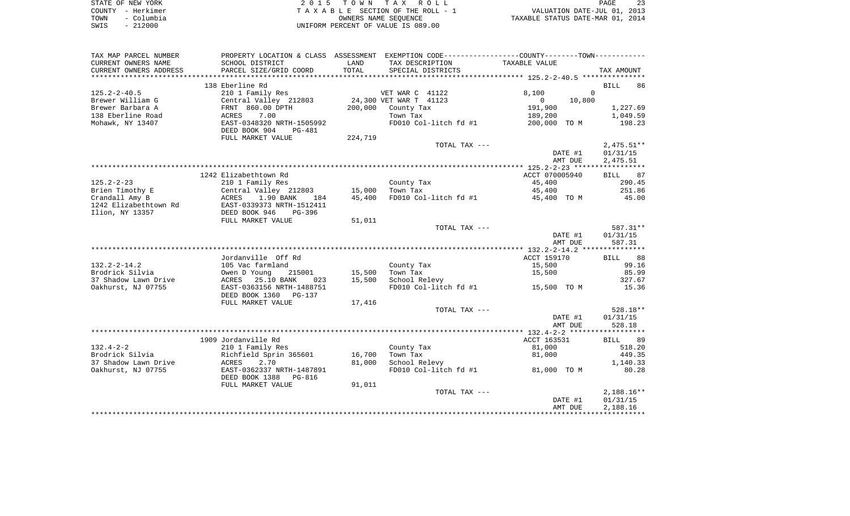| STATE OF NEW YORK  | 2015 TOWN TAX ROLL                    | PAGE                             |
|--------------------|---------------------------------------|----------------------------------|
| COUNTY - Herkimer  | T A X A B L E SECTION OF THE ROLL - 1 | VALUATION DATE-JUL 01, 2013      |
| – Columbia<br>TOWN | OWNERS NAME SEOUENCE                  | TAXABLE STATUS DATE-MAR 01, 2014 |
| $-212000$<br>SWIS  | UNIFORM PERCENT OF VALUE IS 089.00    |                                  |

| TAX MAP PARCEL NUMBER                   |                                           |                  | PROPERTY LOCATION & CLASS ASSESSMENT EXEMPTION CODE---------------COUNTY-------TOWN---------- |                   |                   |
|-----------------------------------------|-------------------------------------------|------------------|-----------------------------------------------------------------------------------------------|-------------------|-------------------|
| CURRENT OWNERS NAME                     | SCHOOL DISTRICT                           | LAND             | TAX DESCRIPTION                                                                               | TAXABLE VALUE     |                   |
| CURRENT OWNERS ADDRESS                  | PARCEL SIZE/GRID COORD                    | TOTAL            | SPECIAL DISTRICTS                                                                             |                   | TAX AMOUNT        |
|                                         |                                           |                  |                                                                                               |                   |                   |
|                                         | 138 Eberline Rd                           |                  |                                                                                               |                   | <b>BILL</b><br>86 |
| $125.2 - 2 - 40.5$                      | 210 1 Family Res                          |                  | VET WAR C 41122                                                                               | 8,100<br>$\Omega$ |                   |
| Brewer William G                        | Central Valley 212803                     |                  | 24,300 VET WAR T 41123                                                                        | $\circ$<br>10,800 |                   |
| Brewer Barbara A                        | FRNT 860.00 DPTH                          | 200,000          | County Tax                                                                                    | 191,900           | 1,227.69          |
| 138 Eberline Road                       | 7.00<br>ACRES                             |                  | Town Tax                                                                                      | 189,200           | 1,049.59          |
| Mohawk, NY 13407                        | EAST-0348320 NRTH-1505992                 |                  | FD010 Col-litch fd #1                                                                         | 200,000 TO M      | 198.23            |
|                                         | DEED BOOK 904<br>PG-481                   |                  |                                                                                               |                   |                   |
|                                         | FULL MARKET VALUE                         | 224,719          |                                                                                               |                   |                   |
|                                         |                                           |                  | TOTAL TAX ---                                                                                 |                   | $2,475.51**$      |
|                                         |                                           |                  |                                                                                               | DATE #1           | 01/31/15          |
|                                         |                                           |                  |                                                                                               | AMT DUE           | 2,475.51          |
|                                         |                                           |                  |                                                                                               |                   |                   |
|                                         | 1242 Elizabethtown Rd                     |                  |                                                                                               | ACCT 070005940    | <b>BILL</b><br>87 |
| $125.2 - 2 - 23$                        |                                           |                  |                                                                                               | 45,400            | 290.45            |
| Brien Timothy E                         | 210 1 Family Res                          |                  | County Tax<br>Town Tax                                                                        |                   | 251.86            |
|                                         | Central Valley 212803<br>1.90 BANK<br>184 | 15,000<br>45,400 |                                                                                               | 45,400            | 45.00             |
| Crandall Amy B<br>1242 Elizabethtown Rd | ACRES<br>EAST-0339373 NRTH-1512411        |                  | FD010 Col-litch fd #1                                                                         | 45,400 TO M       |                   |
|                                         |                                           |                  |                                                                                               |                   |                   |
| Ilion, NY 13357                         | DEED BOOK 946<br>$PG-396$                 |                  |                                                                                               |                   |                   |
|                                         | FULL MARKET VALUE                         | 51,011           |                                                                                               |                   |                   |
|                                         |                                           |                  | TOTAL TAX ---                                                                                 |                   | 587.31**          |
|                                         |                                           |                  |                                                                                               | DATE #1           | 01/31/15          |
|                                         |                                           |                  |                                                                                               | AMT DUE           | 587.31            |
|                                         |                                           |                  |                                                                                               |                   |                   |
|                                         | Jordanville Off Rd                        |                  |                                                                                               | ACCT 159170       | 88<br>BILL        |
| $132.2 - 2 - 14.2$                      | 105 Vac farmland                          |                  | County Tax                                                                                    | 15,500            | 99.16             |
| Brodrick Silvia                         | Owen D Young<br>215001                    | 15,500           | Town Tax                                                                                      | 15,500            | 85.99             |
| 37 Shadow Lawn Drive                    | ACRES<br>25.10 BANK<br>023                | 15,500           | School Relevy                                                                                 |                   | 327.67            |
| Oakhurst, NJ 07755                      | EAST-0363156 NRTH-1488751                 |                  | FD010 Col-litch fd #1                                                                         | 15,500 TO M       | 15.36             |
|                                         | DEED BOOK 1360<br>PG-137                  |                  |                                                                                               |                   |                   |
|                                         | FULL MARKET VALUE                         | 17,416           |                                                                                               |                   |                   |
|                                         |                                           |                  | TOTAL TAX ---                                                                                 |                   | $528.18**$        |
|                                         |                                           |                  |                                                                                               | DATE #1           | 01/31/15          |
|                                         |                                           |                  |                                                                                               | AMT DUE           | 528.18            |
|                                         |                                           |                  |                                                                                               |                   |                   |
|                                         | 1909 Jordanville Rd                       |                  |                                                                                               | ACCT 163531       | BILL<br>89        |
| $132.4 - 2 - 2$                         | 210 1 Family Res                          |                  | County Tax                                                                                    | 81,000            | 518.20            |
| Brodrick Silvia                         | Richfield Sprin 365601                    | 16,700           | Town Tax                                                                                      | 81,000            | 449.35            |
| 37 Shadow Lawn Drive                    | ACRES<br>2.70                             | 81,000           | School Relevy                                                                                 |                   | 1,140.33          |
| Oakhurst, NJ 07755                      | EAST-0362337 NRTH-1487891                 |                  | FD010 Col-litch fd #1                                                                         | 81,000 TO M       | 80.28             |
|                                         | DEED BOOK 1388<br>PG-816                  |                  |                                                                                               |                   |                   |
|                                         | FULL MARKET VALUE                         | 91,011           |                                                                                               |                   |                   |
|                                         |                                           |                  | TOTAL TAX ---                                                                                 |                   | $2,188.16**$      |
|                                         |                                           |                  |                                                                                               | DATE #1           | 01/31/15          |
|                                         |                                           |                  |                                                                                               | AMT DUE           | 2,188.16          |
|                                         |                                           |                  |                                                                                               |                   |                   |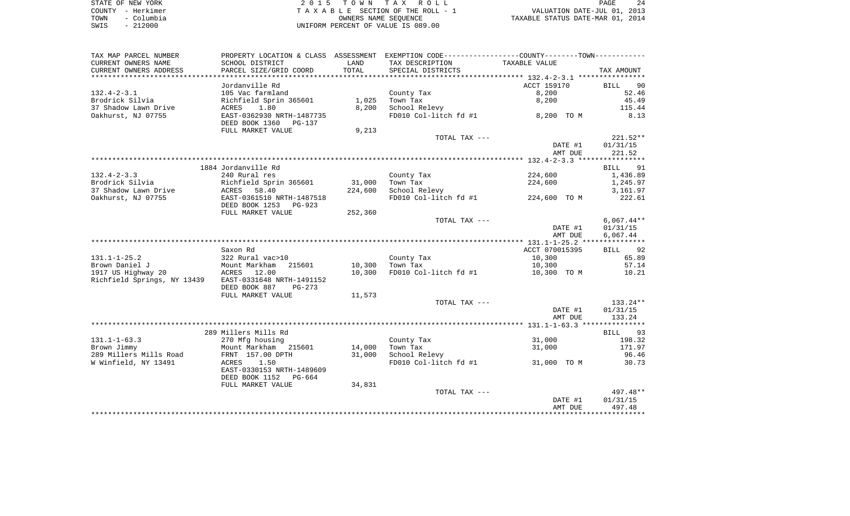| STATE OF NEW YORK  | 2015 TOWN TAX ROLL                 | 24<br>PAGE                       |
|--------------------|------------------------------------|----------------------------------|
| COUNTY - Herkimer  | TAXABLE SECTION OF THE ROLL - 1    | VALUATION DATE-JUL 01, 2013      |
| – Columbia<br>TOWN | OWNERS NAME SEOUENCE               | TAXABLE STATUS DATE-MAR 01, 2014 |
| $-212000$<br>SWIS  | UNIFORM PERCENT OF VALUE IS 089.00 |                                  |

| TAX MAP PARCEL NUMBER       |                                                       |         | PROPERTY LOCATION & CLASS ASSESSMENT EXEMPTION CODE---------------COUNTY-------TOWN---------- |                |                   |
|-----------------------------|-------------------------------------------------------|---------|-----------------------------------------------------------------------------------------------|----------------|-------------------|
| CURRENT OWNERS NAME         | SCHOOL DISTRICT                                       | LAND    | TAX DESCRIPTION                                                                               | TAXABLE VALUE  |                   |
| CURRENT OWNERS ADDRESS      | PARCEL SIZE/GRID COORD                                | TOTAL   | SPECIAL DISTRICTS                                                                             |                | TAX AMOUNT        |
|                             |                                                       |         |                                                                                               |                |                   |
|                             | Jordanville Rd                                        |         |                                                                                               | ACCT 159170    | 90<br><b>BILL</b> |
| $132.4 - 2 - 3.1$           | 105 Vac farmland                                      |         | County Tax                                                                                    | 8,200          | 52.46             |
| Brodrick Silvia             | Richfield Sprin 365601                                | 1,025   | Town Tax                                                                                      | 8,200          | 45.49             |
| 37 Shadow Lawn Drive        | 1.80<br>ACRES                                         | 8,200   | School Relevy                                                                                 |                | 115.44            |
| Oakhurst, NJ 07755          | EAST-0362930 NRTH-1487735<br>DEED BOOK 1360<br>PG-137 |         | FD010 Col-litch fd #1                                                                         | 8,200 TO M     | 8.13              |
|                             | FULL MARKET VALUE                                     | 9,213   |                                                                                               |                |                   |
|                             |                                                       |         | TOTAL TAX ---                                                                                 |                | $221.52**$        |
|                             |                                                       |         |                                                                                               | DATE #1        | 01/31/15          |
|                             |                                                       |         |                                                                                               | AMT DUE        | 221.52            |
|                             |                                                       |         |                                                                                               |                |                   |
|                             | 1884 Jordanville Rd                                   |         |                                                                                               |                | BILL 91           |
| $132.4 - 2 - 3.3$           | 240 Rural res                                         |         | County Tax                                                                                    | 224,600        | 1,436.89          |
| Brodrick Silvia             | Richfield Sprin 365601                                | 31,000  | Town Tax                                                                                      | 224,600        | 1,245.97          |
| 37 Shadow Lawn Drive        | 58.40<br>ACRES                                        | 224,600 | School Relevy                                                                                 |                | 3,161.97          |
| Oakhurst, NJ 07755          | EAST-0361510 NRTH-1487518<br>DEED BOOK 1253<br>PG-923 |         | FD010 Col-litch fd #1                                                                         | 224,600 TO M   | 222.61            |
|                             | FULL MARKET VALUE                                     | 252,360 |                                                                                               |                |                   |
|                             |                                                       |         | TOTAL TAX ---                                                                                 |                | $6,067.44**$      |
|                             |                                                       |         |                                                                                               | DATE #1        | 01/31/15          |
|                             |                                                       |         |                                                                                               | AMT DUE        | 6,067.44          |
|                             |                                                       |         |                                                                                               |                |                   |
|                             | Saxon Rd                                              |         |                                                                                               | ACCT 070015395 | 92<br>BILL        |
| $131.1 - 1 - 25.2$          | 322 Rural vac>10                                      |         | County Tax                                                                                    | 10,300         | 65.89             |
| Brown Daniel J              | Mount Markham<br>215601                               | 10,300  | Town Tax                                                                                      | 10,300         | 57.14             |
| 1917 US Highway 20          | ACRES 12.00                                           | 10,300  | FD010 Col-litch fd #1                                                                         | 10,300 TO M    | 10.21             |
| Richfield Springs, NY 13439 | EAST-0331648 NRTH-1491152<br>DEED BOOK 887<br>PG-273  |         |                                                                                               |                |                   |
|                             | FULL MARKET VALUE                                     | 11,573  |                                                                                               |                |                   |
|                             |                                                       |         | TOTAL TAX ---                                                                                 |                | 133.24**          |
|                             |                                                       |         |                                                                                               | DATE #1        | 01/31/15          |
|                             |                                                       |         |                                                                                               | AMT DUE        | 133.24            |
|                             | 289 Millers Mills Rd                                  |         |                                                                                               |                | BILL 93           |
| $131.1 - 1 - 63.3$          | 270 Mfg housing                                       |         | County Tax                                                                                    | 31,000         | 198.32            |
| Brown Jimmy                 | Mount Markham 215601                                  | 14,000  | Town Tax                                                                                      | 31,000         | 171.97            |
| 289 Millers Mills Road      | FRNT 157.00 DPTH                                      | 31,000  | School Relevy                                                                                 |                | 96.46             |
| W Winfield, NY 13491        | 1.50<br>ACRES                                         |         | FD010 Col-litch fd #1                                                                         | 31,000 TO M    | 30.73             |
|                             | EAST-0330153 NRTH-1489609<br>DEED BOOK 1152<br>PG-664 |         |                                                                                               |                |                   |
|                             | FULL MARKET VALUE                                     | 34,831  |                                                                                               |                |                   |
|                             |                                                       |         | TOTAL TAX ---                                                                                 |                | 497.48**          |
|                             |                                                       |         |                                                                                               | DATE #1        | 01/31/15          |
|                             |                                                       |         |                                                                                               | AMT DUE        | 497.48            |
|                             |                                                       |         |                                                                                               |                |                   |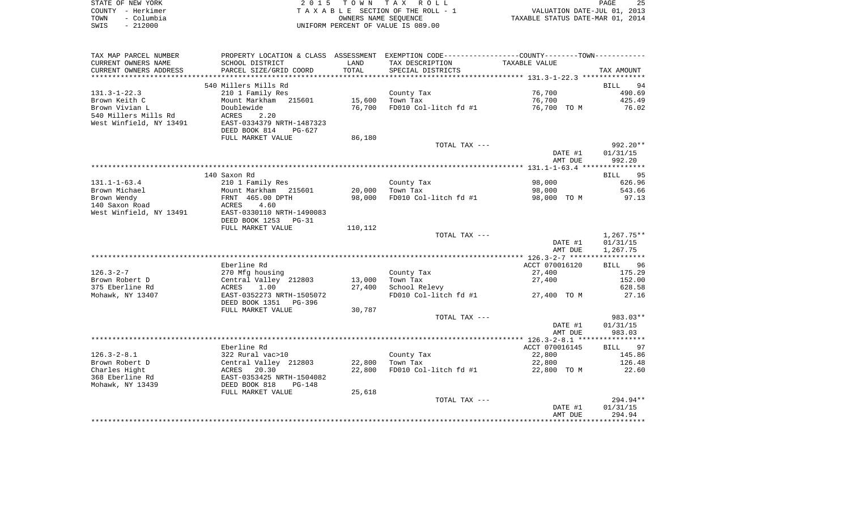| STATE OF NEW YORK  | 2015 TOWN TAX ROLL                 | 25<br>PAGE                       |
|--------------------|------------------------------------|----------------------------------|
| COUNTY - Herkimer  | TAXABLE SECTION OF THE ROLL - 1    | VALUATION DATE-JUL 01, 2013      |
| – Columbia<br>TOWN | OWNERS NAME SEOUENCE               | TAXABLE STATUS DATE-MAR 01, 2014 |
| $-212000$<br>SWIS  | UNIFORM PERCENT OF VALUE IS 089.00 |                                  |

| TAX MAP PARCEL NUMBER   |                           |         | PROPERTY LOCATION & CLASS ASSESSMENT EXEMPTION CODE---------------COUNTY-------TOWN---------- |                |            |
|-------------------------|---------------------------|---------|-----------------------------------------------------------------------------------------------|----------------|------------|
| CURRENT OWNERS NAME     | SCHOOL DISTRICT           | LAND    | TAX DESCRIPTION                                                                               | TAXABLE VALUE  |            |
| CURRENT OWNERS ADDRESS  | PARCEL SIZE/GRID COORD    | TOTAL   | SPECIAL DISTRICTS                                                                             |                | TAX AMOUNT |
|                         |                           |         |                                                                                               |                |            |
|                         | 540 Millers Mills Rd      |         |                                                                                               |                | BILL<br>94 |
| $131.3 - 1 - 22.3$      | 210 1 Family Res          |         | County Tax                                                                                    | 76,700         | 490.69     |
| Brown Keith C           | Mount Markham 215601      | 15,600  | Town Tax                                                                                      | 76,700         | 425.49     |
| Brown Vivian L          | Doublewide                | 76,700  | FD010 Col-litch fd #1                                                                         | 76,700 TO M    | 76.02      |
| 540 Millers Mills Rd    | 2.20<br>ACRES             |         |                                                                                               |                |            |
| West Winfield, NY 13491 | EAST-0334379 NRTH-1487323 |         |                                                                                               |                |            |
|                         | DEED BOOK 814<br>PG-627   |         |                                                                                               |                |            |
|                         | FULL MARKET VALUE         | 86,180  |                                                                                               |                |            |
|                         |                           |         | TOTAL TAX ---                                                                                 |                | $992.20**$ |
|                         |                           |         |                                                                                               | DATE #1        | 01/31/15   |
|                         |                           |         |                                                                                               | AMT DUE        | 992.20     |
|                         |                           |         |                                                                                               |                |            |
|                         | 140 Saxon Rd              |         |                                                                                               |                | BILL 95    |
| $131.1 - 1 - 63.4$      | 210 1 Family Res          |         | County Tax                                                                                    | 98,000         | 626.96     |
| Brown Michael           | Mount Markham 215601      | 20,000  | Town Tax                                                                                      | 98,000         | 543.66     |
| Brown Wendy             | FRNT 465.00 DPTH          | 98,000  | FD010 Col-litch fd #1                                                                         | 98,000 TO M    | 97.13      |
| 140 Saxon Road          | 4.60<br>ACRES             |         |                                                                                               |                |            |
| West Winfield, NY 13491 | EAST-0330110 NRTH-1490083 |         |                                                                                               |                |            |
|                         | DEED BOOK 1253<br>$PG-31$ |         |                                                                                               |                |            |
|                         | FULL MARKET VALUE         | 110,112 |                                                                                               |                |            |
|                         |                           |         | TOTAL TAX ---                                                                                 |                | 1,267.75** |
|                         |                           |         |                                                                                               | DATE #1        | 01/31/15   |
|                         |                           |         |                                                                                               | AMT DUE        | 1,267.75   |
|                         |                           |         |                                                                                               |                |            |
|                         | Eberline Rd               |         |                                                                                               | ACCT 070016120 | BILL 96    |
| $126.3 - 2 - 7$         | 270 Mfg housing           |         | County Tax                                                                                    | 27,400         | 175.29     |
| Brown Robert D          | Central Valley 212803     | 13,000  | Town Tax                                                                                      | 27,400         | 152.00     |
| 375 Eberline Rd         | ACRES<br>1.00             | 27,400  | School Relevy                                                                                 |                | 628.58     |
| Mohawk, NY 13407        | EAST-0352273 NRTH-1505072 |         | FD010 Col-litch $fd$ #1 $27,400$ TO M                                                         |                | 27.16      |
|                         | DEED BOOK 1351 PG-396     |         |                                                                                               |                |            |
|                         | FULL MARKET VALUE         | 30,787  |                                                                                               |                |            |
|                         |                           |         | TOTAL TAX ---                                                                                 |                | 983.03**   |
|                         |                           |         |                                                                                               | DATE #1        | 01/31/15   |
|                         |                           |         |                                                                                               | AMT DUE        | 983.03     |
|                         |                           |         |                                                                                               |                |            |
|                         | Eberline Rd               |         |                                                                                               | ACCT 070016145 | BILL 97    |
| $126.3 - 2 - 8.1$       | 322 Rural vac>10          |         | County Tax                                                                                    | 22,800         | 145.86     |
| Brown Robert D          | Central Valley 212803     | 22,800  | Town Tax                                                                                      | 22,800         | 126.48     |
| Charles Hight           | 20.30<br>ACRES            | 22,800  | FD010 Col-litch fd #1                                                                         | 22,800 TO M    | 22.60      |
| 368 Eberline Rd         | EAST-0353425 NRTH-1504082 |         |                                                                                               |                |            |
| Mohawk, NY 13439        | DEED BOOK 818<br>PG-148   |         |                                                                                               |                |            |
|                         | FULL MARKET VALUE         | 25,618  |                                                                                               |                |            |
|                         |                           |         | TOTAL TAX ---                                                                                 |                | $294.94**$ |
|                         |                           |         |                                                                                               | DATE #1        | 01/31/15   |
|                         |                           |         |                                                                                               | AMT DUE        | 294.94     |
|                         |                           |         |                                                                                               |                |            |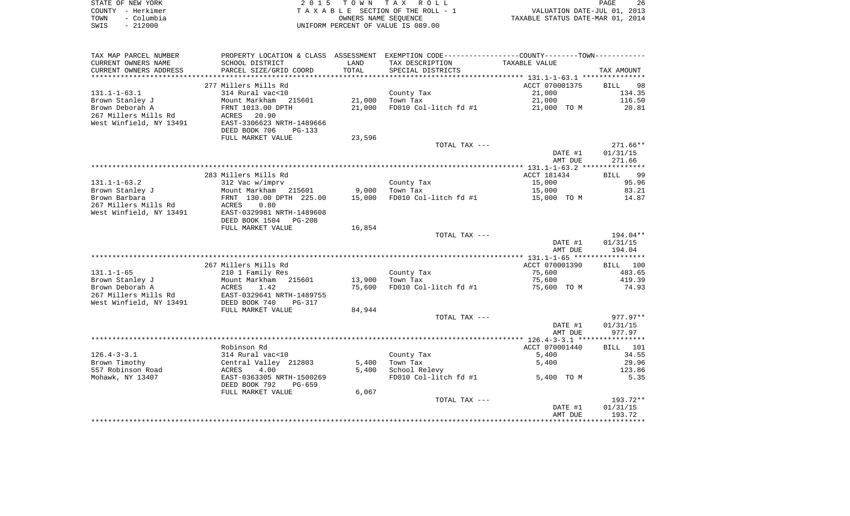| STATE OF NEW YORK  | 2015 TOWN TAX ROLL                 | 26<br>PAGE                       |
|--------------------|------------------------------------|----------------------------------|
| COUNTY – Herkimer  | TAXABLE SECTION OF THE ROLL - 1    | VALUATION DATE-JUL 01, 2013      |
| – Columbia<br>TOWN | OWNERS NAME SEOUENCE               | TAXABLE STATUS DATE-MAR 01, 2014 |
| $-212000$<br>SWIS  | UNIFORM PERCENT OF VALUE IS 089.00 |                                  |

| TAX MAP PARCEL NUMBER      |                                                |        | PROPERTY LOCATION & CLASS ASSESSMENT EXEMPTION CODE---------------COUNTY-------TOWN---------- |                |                   |
|----------------------------|------------------------------------------------|--------|-----------------------------------------------------------------------------------------------|----------------|-------------------|
| CURRENT OWNERS NAME        | SCHOOL DISTRICT                                | LAND   | TAX DESCRIPTION                                                                               | TAXABLE VALUE  |                   |
| CURRENT OWNERS ADDRESS     | PARCEL SIZE/GRID COORD                         | TOTAL  | SPECIAL DISTRICTS                                                                             |                | TAX AMOUNT        |
|                            |                                                |        |                                                                                               |                |                   |
|                            | 277 Millers Mills Rd                           |        |                                                                                               | ACCT 070001375 | 98<br><b>BILL</b> |
| $131.1 - 1 - 63.1$         | 314 Rural vac<10                               |        | County Tax                                                                                    | 21,000         | 134.35            |
| Brown Stanley J            | Mount Markham 215601                           | 21,000 | Town Tax                                                                                      | 21,000         | 116.50            |
| Brown Deborah A            | FRNT 1013.00 DPTH                              | 21,000 | FD010 Col-litch fd #1                                                                         | 21,000 TO M    | 20.81             |
| 267 Millers Mills Rd       | ACRES 20.90                                    |        |                                                                                               |                |                   |
| West Winfield, NY 13491    | EAST-3306623 NRTH-1489666                      |        |                                                                                               |                |                   |
|                            | DEED BOOK 706<br>PG-133                        |        |                                                                                               |                |                   |
|                            | FULL MARKET VALUE                              | 23,596 |                                                                                               |                |                   |
|                            |                                                |        | TOTAL TAX ---                                                                                 |                | $271.66**$        |
|                            |                                                |        |                                                                                               | DATE #1        | 01/31/15          |
|                            |                                                |        |                                                                                               | AMT DUE        | 271.66            |
|                            |                                                |        |                                                                                               |                |                   |
|                            | 283 Millers Mills Rd                           |        |                                                                                               | ACCT 181434    | BILL 99           |
| $131.1 - 1 - 63.2$         | 312 Vac w/imprv                                |        | County Tax                                                                                    | 15,000         | 95.96             |
| Brown Stanley J            | Mount Markham 215601                           | 9,000  | Town Tax                                                                                      | 15,000         | 83.21             |
| Brown Barbara              | FRNT 130.00 DPTH 225.00                        | 15,000 | FD010 Col-litch fd #1                                                                         | 15,000 TO M    | 14.87             |
| 267 Millers Mills Rd ACRES | 0.80                                           |        |                                                                                               |                |                   |
| West Winfield, NY 13491    | EAST-0329981 NRTH-1489608                      |        |                                                                                               |                |                   |
|                            | DEED BOOK 1504 PG-208                          |        |                                                                                               |                |                   |
|                            | FULL MARKET VALUE                              | 16,854 |                                                                                               |                |                   |
|                            |                                                |        | TOTAL TAX ---                                                                                 |                | 194.04**          |
|                            |                                                |        |                                                                                               | DATE #1        | 01/31/15          |
|                            |                                                |        |                                                                                               | AMT DUE        | 194.04            |
|                            |                                                |        |                                                                                               |                |                   |
|                            | 267 Millers Mills Rd                           |        |                                                                                               | ACCT 070001390 | BILL 100          |
| $131.1 - 1 - 65$           | 210 1 Family Res                               |        | County Tax                                                                                    | 75,600         | 483.65            |
| Brown Stanley J            | Mount Markham 215601                           | 13,900 | Town Tax                                                                                      | 75,600         | 419.39            |
| Brown Deborah A            | ACRES<br>1.42                                  | 75,600 | FD010 Col-litch fd #1                                                                         | 75,600 TO M    | 74.93             |
|                            | 267 Millers Mills Rd EAST-0329641 NRTH-1489755 |        |                                                                                               |                |                   |
| West Winfield, NY 13491    | DEED BOOK 740<br>PG-317                        |        |                                                                                               |                |                   |
|                            | FULL MARKET VALUE                              | 84,944 |                                                                                               |                |                   |
|                            |                                                |        | TOTAL TAX ---                                                                                 |                | $977.97**$        |
|                            |                                                |        |                                                                                               | DATE #1        | 01/31/15          |
|                            |                                                |        |                                                                                               | AMT DUE        | 977.97            |
|                            |                                                |        |                                                                                               |                |                   |
|                            | Robinson Rd                                    |        |                                                                                               | ACCT 070001440 | BILL 101          |
| $126.4 - 3 - 3.1$          | 314 Rural vac<10                               |        | County Tax                                                                                    | 5,400          | 34.55             |
| Brown Timothy              | Central Valley 212803                          | 5,400  | Town Tax                                                                                      | 5,400          | 29.96             |
| 557 Robinson Road          | ACRES<br>4.00                                  | 5,400  | School Relevy                                                                                 |                | 123.86            |
| Mohawk, NY 13407           | EAST-0363305 NRTH-1500269                      |        | FD010 Col-litch fd #1                                                                         | 5,400 TO M     | 5.35              |
|                            | DEED BOOK 792<br>PG-659                        |        |                                                                                               |                |                   |
|                            | FULL MARKET VALUE                              | 6,067  |                                                                                               |                |                   |
|                            |                                                |        | TOTAL TAX ---                                                                                 |                | $193.72**$        |
|                            |                                                |        |                                                                                               | DATE #1        | 01/31/15          |
|                            |                                                |        |                                                                                               | AMT DUE        | 193.72            |
|                            |                                                |        |                                                                                               |                |                   |
|                            |                                                |        |                                                                                               |                |                   |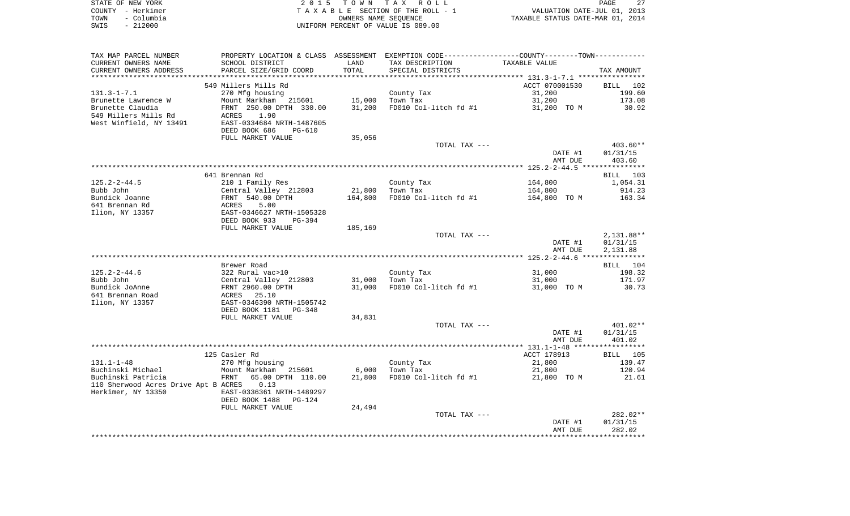| STATE OF NEW YORK  | 2015 TOWN TAX ROLL                 | 27<br><b>PAGE</b>                |
|--------------------|------------------------------------|----------------------------------|
| COUNTY - Herkimer  | TAXABLE SECTION OF THE ROLL - 1    | VALUATION DATE-JUL 01, 2013      |
| – Columbia<br>TOWN | OWNERS NAME SEOUENCE               | TAXABLE STATUS DATE-MAR 01, 2014 |
| $-212000$<br>SWIS  | UNIFORM PERCENT OF VALUE IS 089.00 |                                  |

| TAX MAP PARCEL NUMBER                | PROPERTY LOCATION & CLASS ASSESSMENT EXEMPTION CODE----------------COUNTY--------TOWN----------- |         |                       |                |                 |
|--------------------------------------|--------------------------------------------------------------------------------------------------|---------|-----------------------|----------------|-----------------|
| CURRENT OWNERS NAME                  | SCHOOL DISTRICT                                                                                  | LAND    | TAX DESCRIPTION       | TAXABLE VALUE  |                 |
| CURRENT OWNERS ADDRESS               | PARCEL SIZE/GRID COORD                                                                           | TOTAL   | SPECIAL DISTRICTS     |                | TAX AMOUNT      |
|                                      |                                                                                                  |         |                       |                |                 |
|                                      | 549 Millers Mills Rd                                                                             |         |                       | ACCT 070001530 | BILL 102        |
| $131.3 - 1 - 7.1$                    | 270 Mfg housing                                                                                  |         | County Tax            | 31,200         | 199.60          |
| Brunette Lawrence W                  | Mount Markham 215601                                                                             | 15,000  | Town Tax              | 31,200         | 173.08          |
| Brunette Claudia                     |                                                                                                  |         |                       |                |                 |
|                                      | FRNT 250.00 DPTH 330.00                                                                          | 31,200  | FD010 Col-litch fd #1 | 31,200 TO M    | 30.92           |
| 549 Millers Mills Rd                 | 1.90<br>ACRES                                                                                    |         |                       |                |                 |
| West Winfield, NY 13491              | EAST-0334684 NRTH-1487605                                                                        |         |                       |                |                 |
|                                      | DEED BOOK 686<br><b>PG-610</b>                                                                   |         |                       |                |                 |
|                                      | FULL MARKET VALUE                                                                                | 35,056  |                       |                |                 |
|                                      |                                                                                                  |         | TOTAL TAX ---         |                | $403.60**$      |
|                                      |                                                                                                  |         |                       | DATE #1        | 01/31/15        |
|                                      |                                                                                                  |         |                       | AMT DUE        | 403.60          |
|                                      |                                                                                                  |         |                       |                |                 |
|                                      | 641 Brennan Rd                                                                                   |         |                       |                | BILL 103        |
| $125.2 - 2 - 44.5$                   | 210 1 Family Res                                                                                 |         | County Tax            | 164,800        | 1,054.31        |
| Bubb John                            | Central Valley 212803                                                                            | 21,800  | Town Tax              | 164,800        | 914.23          |
| Bundick Joanne                       | FRNT 540.00 DPTH                                                                                 | 164,800 | FD010 Col-litch fd #1 | 164,800 TO M   | 163.34          |
| 641 Brennan Rd                       | ACRES<br>5.00                                                                                    |         |                       |                |                 |
|                                      | EAST-0346627 NRTH-1505328                                                                        |         |                       |                |                 |
| Ilion, NY 13357                      |                                                                                                  |         |                       |                |                 |
|                                      | DEED BOOK 933<br>$PG-394$                                                                        |         |                       |                |                 |
|                                      | FULL MARKET VALUE                                                                                | 185,169 |                       |                |                 |
|                                      |                                                                                                  |         | TOTAL TAX ---         |                | 2,131.88**      |
|                                      |                                                                                                  |         |                       | DATE #1        | 01/31/15        |
|                                      |                                                                                                  |         |                       | AMT DUE        | 2,131.88        |
|                                      |                                                                                                  |         |                       |                |                 |
|                                      | Brewer Road                                                                                      |         |                       |                | BILL 104        |
| $125.2 - 2 - 44.6$                   | 322 Rural vac>10                                                                                 |         | County Tax            | 31,000         | 198.32          |
| Bubb John                            | Central Valley 212803                                                                            | 31,000  | Town Tax              | 31,000         | 171.97          |
| Bundick JoAnne                       | FRNT 2960.00 DPTH                                                                                | 31,000  | FD010 Col-litch fd #1 | 31,000 TO M    | 30.73           |
| 641 Brennan Road                     | <b>ACRES</b> 25.10                                                                               |         |                       |                |                 |
| Ilion, NY 13357                      | EAST-0346390 NRTH-1505742                                                                        |         |                       |                |                 |
|                                      | DEED BOOK 1181<br>PG-348                                                                         |         |                       |                |                 |
|                                      | FULL MARKET VALUE                                                                                | 34,831  |                       |                |                 |
|                                      |                                                                                                  |         | TOTAL TAX ---         |                | $401.02**$      |
|                                      |                                                                                                  |         |                       |                |                 |
|                                      |                                                                                                  |         |                       | DATE #1        | 01/31/15        |
|                                      |                                                                                                  |         |                       | AMT DUE        | 401.02          |
|                                      |                                                                                                  |         |                       |                |                 |
|                                      |                                                                                                  |         |                       |                |                 |
|                                      | 125 Casler Rd                                                                                    |         |                       | ACCT 178913    | <b>BILL</b> 105 |
| $131.1 - 1 - 48$                     | 270 Mfg housing                                                                                  |         | County Tax            | 21,800         | 139.47          |
| Buchinski Michael                    | Mount Markham 215601                                                                             | 6,000   | Town Tax              | 21,800         | 120.94          |
| Buchinski Patricia                   | 65.00 DPTH 110.00<br>FRNT                                                                        | 21,800  | FD010 Col-litch fd #1 | 21,800 TO M    | 21.61           |
| 110 Sherwood Acres Drive Apt B ACRES | 0.13                                                                                             |         |                       |                |                 |
|                                      | EAST-0336361 NRTH-1489297                                                                        |         |                       |                |                 |
| Herkimer, NY 13350                   | PG-124                                                                                           |         |                       |                |                 |
|                                      | DEED BOOK 1488                                                                                   |         |                       |                |                 |
|                                      | FULL MARKET VALUE                                                                                | 24,494  |                       |                |                 |
|                                      |                                                                                                  |         | TOTAL TAX ---         |                | 282.02**        |
|                                      |                                                                                                  |         |                       | DATE #1        | 01/31/15        |
|                                      |                                                                                                  |         |                       | AMT DUE        | 282.02          |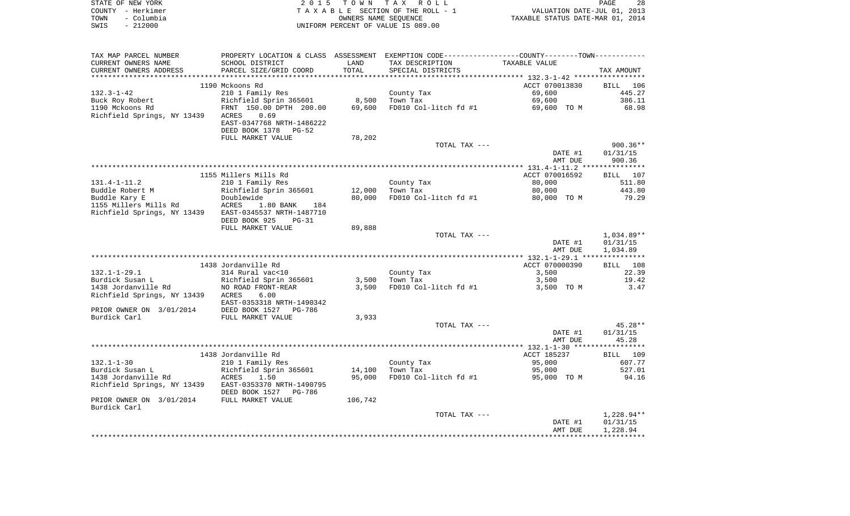|      | STATE OF NEW YORK | 2015 TOWN TAX ROLL                 | 28<br>PAGE                       |
|------|-------------------|------------------------------------|----------------------------------|
|      | COUNTY - Herkimer | TAXABLE SECTION OF THE ROLL - 1    | VALUATION DATE-JUL 01, 2013      |
| TOWN | - Columbia        | OWNERS NAME SEOUENCE               | TAXABLE STATUS DATE-MAR 01, 2014 |
| SWIS | - 212000          | UNIFORM PERCENT OF VALUE IS 089.00 |                                  |

| TAX MAP PARCEL NUMBER                                 | PROPERTY LOCATION & CLASS ASSESSMENT EXEMPTION CODE---------------COUNTY-------TOWN---------- |         |                        |                |              |
|-------------------------------------------------------|-----------------------------------------------------------------------------------------------|---------|------------------------|----------------|--------------|
| CURRENT OWNERS NAME                                   | SCHOOL DISTRICT                                                                               | LAND    | TAX DESCRIPTION        | TAXABLE VALUE  |              |
| CURRENT OWNERS ADDRESS                                | PARCEL SIZE/GRID COORD                                                                        | TOTAL   | SPECIAL DISTRICTS      |                | TAX AMOUNT   |
|                                                       |                                                                                               |         |                        |                |              |
|                                                       | 1190 Mckoons Rd                                                                               |         |                        | ACCT 070013830 | BILL 106     |
| 132.3-1-42                                            | 210 1 Family Res                                                                              |         | County Tax             | 69,600         | 445.27       |
| Buck Roy Robert                                       | Richfield Sprin 365601 8,500                                                                  |         | Town Tax               | 69,600         | 386.11       |
| 1190 Mckoons Rd                                       |                                                                                               | 69,600  | FD010 Col-litch fd #1  | 69,600 TO M    | 68.98        |
| Richfield Springs, NY 13439                           | Richtield Spilm Steel<br>FRNT 150.00 DPTH 200.00<br>ACRES<br>0.69                             |         |                        |                |              |
|                                                       | EAST-0347768 NRTH-1486222                                                                     |         |                        |                |              |
|                                                       | DEED BOOK 1378 PG-52                                                                          |         |                        |                |              |
|                                                       | FULL MARKET VALUE                                                                             | 78,202  |                        |                |              |
|                                                       |                                                                                               |         | TOTAL TAX ---          |                | $900.36**$   |
|                                                       |                                                                                               |         |                        | DATE #1        | 01/31/15     |
|                                                       |                                                                                               |         |                        |                |              |
|                                                       |                                                                                               |         |                        | AMT DUE        | 900.36       |
|                                                       |                                                                                               |         |                        |                |              |
|                                                       | 1155 Millers Mills Rd                                                                         |         |                        | ACCT 070016592 | BILL 107     |
| 131.4-1-11.2                                          | 210 1 Family Res                                                                              |         | County Tax<br>Town Tax | 80,000         | 511.80       |
| Buddle Robert M                                       | Richfield Sprin 365601                                                                        | 12,000  | Town Tax               | 80,000         | 443.80       |
| Buddle Kary E                                         | Doublewide                                                                                    | 80,000  | FD010 Col-litch fd #1  | 80,000 TO M    | 79.29        |
|                                                       | 1.80 BANK<br>184                                                                              |         |                        |                |              |
| Richfield Springs, NY 13439 EAST-0345537 NRTH-1487710 |                                                                                               |         |                        |                |              |
|                                                       | DEED BOOK 925<br>PG-31                                                                        |         |                        |                |              |
|                                                       | FULL MARKET VALUE                                                                             | 89,888  |                        |                |              |
|                                                       |                                                                                               |         | TOTAL TAX ---          |                | $1,034.89**$ |
|                                                       |                                                                                               |         |                        | DATE #1        | 01/31/15     |
|                                                       |                                                                                               |         |                        | AMT DUE        | 1,034.89     |
|                                                       |                                                                                               |         |                        |                |              |
|                                                       | 1438 Jordanville Rd                                                                           |         |                        | ACCT 070000390 | BILL 108     |
|                                                       |                                                                                               |         |                        |                |              |
| 132.1-1-29.1                                          | 314 Rural vac<10                                                                              |         | County Tax             | 3,500          | 22.39        |
| Burdick Susan L                                       | --<br>Richfield Sprin 365601<br>NO ROAD FRONT-REAR                                            |         | $3,500$ Town Tax       | 3,500          | 19.42        |
| 1438 Jordanville Rd                                   |                                                                                               | 3,500   | FD010 Col-litch fd #1  | 3,500 TO M     | 3.47         |
| Richfield Springs, NY 13439 ACRES                     | 6.00                                                                                          |         |                        |                |              |
|                                                       | EAST-0353318 NRTH-1490342                                                                     |         |                        |                |              |
| PRIOR OWNER ON 3/01/2014                              | DEED BOOK 1527 PG-786                                                                         |         |                        |                |              |
| Burdick Carl                                          | FULL MARKET VALUE                                                                             | 3,933   |                        |                |              |
|                                                       |                                                                                               |         | TOTAL TAX ---          |                | $45.28**$    |
|                                                       |                                                                                               |         |                        | DATE #1        | 01/31/15     |
|                                                       |                                                                                               |         |                        | AMT DUE        | 45.28        |
|                                                       |                                                                                               |         |                        |                |              |
|                                                       | 1438 Jordanville Rd                                                                           |         |                        | ACCT 185237    | BILL 109     |
| $132.1 - 1 - 30$                                      | 210 1 Family Res                                                                              |         | County Tax             | 95,000         | 607.77       |
| Burdick Susan L                                       | Richfield Sprin 365601                                                                        | 14,100  | Town Tax               | 95,000         | 527.01       |
| 1438 Jordanville Rd                                   | ACRES<br>1.50                                                                                 | 95,000  | FD010 Col-litch fd #1  | 95,000 TO M    | 94.16        |
| Richfield Springs, NY 13439 EAST-0353370 NRTH-1490795 |                                                                                               |         |                        |                |              |
|                                                       |                                                                                               |         |                        |                |              |
|                                                       | DEED BOOK 1527 PG-786                                                                         |         |                        |                |              |
| PRIOR OWNER ON 3/01/2014 FULL MARKET VALUE            |                                                                                               | 106,742 |                        |                |              |
| Burdick Carl                                          |                                                                                               |         |                        |                |              |
|                                                       |                                                                                               |         | TOTAL TAX ---          |                | 1,228.94**   |
|                                                       |                                                                                               |         |                        | DATE #1        | 01/31/15     |
|                                                       |                                                                                               |         |                        | AMT DUE        | 1,228.94     |
|                                                       |                                                                                               |         |                        |                |              |
|                                                       |                                                                                               |         |                        |                |              |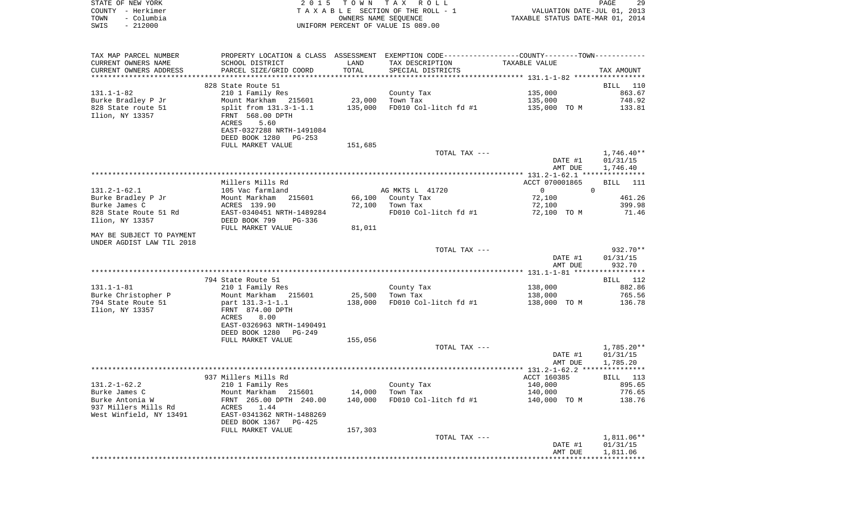| STATE OF NEW YORK  | 2015 TOWN TAX ROLL                 | 29<br>PAGE                       |
|--------------------|------------------------------------|----------------------------------|
| COUNTY – Herkimer  | TAXABLE SECTION OF THE ROLL - 1    | VALUATION DATE-JUL 01, 2013      |
| - Columbia<br>TOWN | OWNERS NAME SEOUENCE               | TAXABLE STATUS DATE-MAR 01, 2014 |
| $-212000$<br>SWIS  | UNIFORM PERCENT OF VALUE IS 089.00 |                                  |

| TAX MAP PARCEL NUMBER                                  | PROPERTY LOCATION & CLASS ASSESSMENT EXEMPTION CODE----------------COUNTY--------TOWN---------- |         |                       |                            |                    |
|--------------------------------------------------------|-------------------------------------------------------------------------------------------------|---------|-----------------------|----------------------------|--------------------|
| CURRENT OWNERS NAME                                    | SCHOOL DISTRICT                                                                                 | LAND    | TAX DESCRIPTION       | TAXABLE VALUE              |                    |
| CURRENT OWNERS ADDRESS                                 | PARCEL SIZE/GRID COORD                                                                          | TOTAL   | SPECIAL DISTRICTS     |                            | TAX AMOUNT         |
| **********************                                 |                                                                                                 |         |                       |                            |                    |
|                                                        | 828 State Route 51                                                                              |         |                       |                            | BILL 110           |
| $131.1 - 1 - 82$                                       | 210 1 Family Res                                                                                |         | County Tax            | 135,000                    | 863.67             |
| Burke Bradley P Jr                                     | Mount Markham 215601                                                                            | 23,000  | Town Tax              | 135,000                    | 748.92             |
| 828 State route 51                                     | split from 131.3-1-1.1                                                                          | 135,000 | FD010 Col-litch fd #1 | 135,000 TO M               | 133.81             |
| Ilion, NY 13357                                        | FRNT 568.00 DPTH<br>5.60<br>ACRES                                                               |         |                       |                            |                    |
|                                                        | EAST-0327288 NRTH-1491084<br>DEED BOOK 1280<br>PG-253                                           |         |                       |                            |                    |
|                                                        | FULL MARKET VALUE                                                                               | 151,685 |                       |                            |                    |
|                                                        |                                                                                                 |         | TOTAL TAX ---         |                            | $1,746.40**$       |
|                                                        |                                                                                                 |         |                       | DATE #1                    | 01/31/15           |
|                                                        |                                                                                                 |         |                       | AMT DUE                    | 1,746.40           |
|                                                        |                                                                                                 |         |                       |                            |                    |
|                                                        | Millers Mills Rd                                                                                |         |                       | ACCT 070001865             | <b>BILL</b> 111    |
| $131.2 - 1 - 62.1$                                     | 105 Vac farmland                                                                                |         | AG MKTS L 41720       | $\Omega$<br>$\overline{0}$ |                    |
| Burke Bradley P Jr                                     | Mount Markham<br>215601                                                                         | 66,100  | County Tax            | 72,100                     | 461.26             |
| Burke James C                                          | ACRES 139.90                                                                                    | 72,100  | Town Tax              | 72,100                     | 399.98             |
|                                                        |                                                                                                 |         |                       |                            | 71.46              |
| 828 State Route 51 Rd                                  | EAST-0340451 NRTH-1489284<br>DEED BOOK 799<br>PG-336                                            |         | FD010 Col-litch fd #1 | 72,100 TO M                |                    |
| Ilion, NY 13357                                        | FULL MARKET VALUE                                                                               | 81,011  |                       |                            |                    |
|                                                        |                                                                                                 |         |                       |                            |                    |
| MAY BE SUBJECT TO PAYMENT<br>UNDER AGDIST LAW TIL 2018 |                                                                                                 |         |                       |                            |                    |
|                                                        |                                                                                                 |         | TOTAL TAX ---         |                            | 932.70**           |
|                                                        |                                                                                                 |         |                       | DATE #1<br>AMT DUE         | 01/31/15<br>932.70 |
|                                                        |                                                                                                 |         |                       |                            |                    |
|                                                        | 794 State Route 51                                                                              |         |                       |                            | BILL 112           |
| $131.1 - 1 - 81$                                       | 210 1 Family Res                                                                                |         | County Tax            | 138,000                    | 882.86             |
| Burke Christopher P                                    | Mount Markham 215601                                                                            | 25,500  | Town Tax              | 138,000                    | 765.56             |
| 794 State Route 51                                     | part 131.3-1-1.1                                                                                | 138,000 | FD010 Col-litch fd #1 | 138,000 TO M               | 136.78             |
| Ilion, NY 13357                                        | FRNT 874.00 DPTH                                                                                |         |                       |                            |                    |
|                                                        | 8.00<br>ACRES                                                                                   |         |                       |                            |                    |
|                                                        | EAST-0326963 NRTH-1490491                                                                       |         |                       |                            |                    |
|                                                        | DEED BOOK 1280<br>PG-249                                                                        |         |                       |                            |                    |
|                                                        | FULL MARKET VALUE                                                                               | 155,056 |                       |                            |                    |
|                                                        |                                                                                                 |         | TOTAL TAX ---         |                            | 1,785.20**         |
|                                                        |                                                                                                 |         |                       | DATE #1                    | 01/31/15           |
|                                                        |                                                                                                 |         |                       | AMT DUE                    | 1,785.20           |
|                                                        |                                                                                                 |         |                       |                            |                    |
|                                                        | 937 Millers Mills Rd                                                                            |         |                       | ACCT 160385                | BILL 113           |
| $131.2 - 1 - 62.2$                                     | 210 1 Family Res                                                                                |         | County Tax            | 140,000                    | 895.65             |
| Burke James C                                          | Mount Markham 215601                                                                            | 14,000  | Town Tax              | 140,000                    | 776.65             |
| Burke Antonia W                                        | FRNT 265.00 DPTH 240.00                                                                         | 140,000 | FD010 Col-litch fd #1 | 140,000 TO M               | 138.76             |
| 937 Millers Mills Rd                                   | ACRES<br>1.44                                                                                   |         |                       |                            |                    |
| West Winfield, NY 13491                                | EAST-0341362 NRTH-1488269                                                                       |         |                       |                            |                    |
|                                                        | DEED BOOK 1367 PG-425                                                                           |         |                       |                            |                    |
|                                                        | FULL MARKET VALUE                                                                               | 157,303 |                       |                            |                    |
|                                                        |                                                                                                 |         | TOTAL TAX ---         |                            | 1,811.06**         |
|                                                        |                                                                                                 |         |                       | DATE #1                    | 01/31/15           |
|                                                        |                                                                                                 |         |                       | AMT DUE                    | 1,811.06           |
|                                                        |                                                                                                 |         |                       |                            |                    |
|                                                        |                                                                                                 |         |                       |                            |                    |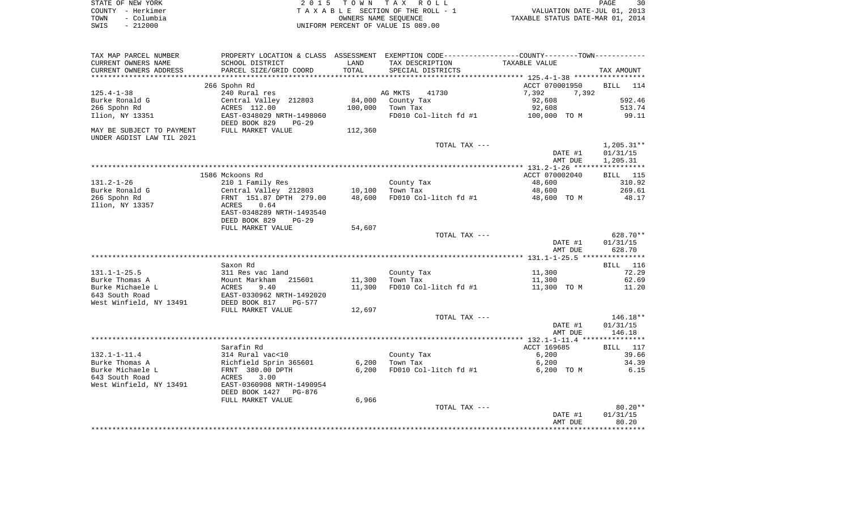| STATE OF NEW YORK  | 2015 TOWN TAX ROLL                 | 30<br>PAGE                       |
|--------------------|------------------------------------|----------------------------------|
| COUNTY - Herkimer  | TAXABLE SECTION OF THE ROLL - 1    | VALUATION DATE-JUL 01, 2013      |
| - Columbia<br>TOWN | OWNERS NAME SEOUENCE               | TAXABLE STATUS DATE-MAR 01, 2014 |
| $-212000$<br>SWIS  | UNIFORM PERCENT OF VALUE IS 089.00 |                                  |

| TAX MAP PARCEL NUMBER     | PROPERTY LOCATION & CLASS ASSESSMENT EXEMPTION CODE----------------COUNTY--------TOWN----------                                                                                              |         |                       |                |                    |
|---------------------------|----------------------------------------------------------------------------------------------------------------------------------------------------------------------------------------------|---------|-----------------------|----------------|--------------------|
| CURRENT OWNERS NAME       | SCHOOL DISTRICT                                                                                                                                                                              | LAND    | TAX DESCRIPTION       | TAXABLE VALUE  |                    |
| CURRENT OWNERS ADDRESS    | PARCEL SIZE/GRID COORD                                                                                                                                                                       | TOTAL   | SPECIAL DISTRICTS     |                | TAX AMOUNT         |
|                           |                                                                                                                                                                                              |         |                       |                |                    |
|                           | 266 Spohn Rd                                                                                                                                                                                 |         |                       | ACCT 070001950 | <b>BILL</b><br>114 |
| $125.4 - 1 - 38$          | 240 Rural res                                                                                                                                                                                |         | AG MKTS<br>41730      | 7,392<br>7,392 |                    |
| Burke Ronald G            | Central Valley 212803                                                                                                                                                                        | 84,000  | County Tax            | 92,608         | 592.46             |
| 266 Spohn Rd              | ACRES 112.00                                                                                                                                                                                 | 100,000 | Town Tax              | 92,608         | 513.74             |
| Ilion, NY 13351           | EAST-0348029 NRTH-1498060                                                                                                                                                                    |         | FD010 Col-litch fd #1 | 100,000 TO M   | 99.11              |
|                           | DEED BOOK 829<br>$PG-29$                                                                                                                                                                     |         |                       |                |                    |
| MAY BE SUBJECT TO PAYMENT | FULL MARKET VALUE                                                                                                                                                                            | 112,360 |                       |                |                    |
| UNDER AGDIST LAW TIL 2021 |                                                                                                                                                                                              |         |                       |                |                    |
|                           |                                                                                                                                                                                              |         | TOTAL TAX ---         |                | $1,205.31**$       |
|                           |                                                                                                                                                                                              |         |                       | DATE #1        | 01/31/15           |
|                           |                                                                                                                                                                                              |         |                       | AMT DUE        | 1,205.31           |
|                           |                                                                                                                                                                                              |         |                       |                |                    |
|                           | 1586 Mckoons Rd                                                                                                                                                                              |         |                       | ACCT 070002040 | <b>BILL</b> 115    |
| 131.2-1-26                |                                                                                                                                                                                              |         |                       | 48,600         | 310.92             |
|                           | 210 1 Family Res                                                                                                                                                                             |         | County Tax            |                | 269.61             |
| Burke Ronald G            | Central Valley 212803<br>$\begin{array}{cccc}\n & - & - & - & - & - & - & - & - \\ \text{FRNT} & 151.87 & \text{DPTH} & 279.00 \\  & \text{CDEF} & \hat{c} & \hat{c} & \hat{c}\n\end{array}$ | 10,100  | Town Tax              | 48,600         |                    |
| 266 Spohn Rd              |                                                                                                                                                                                              | 48,600  | FD010 Col-litch fd #1 | 48,600 TO M    | 48.17              |
| Ilion, NY 13357           | 0.64<br>ACRES                                                                                                                                                                                |         |                       |                |                    |
|                           | EAST-0348289 NRTH-1493540                                                                                                                                                                    |         |                       |                |                    |
|                           | DEED BOOK 829<br>$PG-29$                                                                                                                                                                     |         |                       |                |                    |
|                           | FULL MARKET VALUE                                                                                                                                                                            | 54,607  |                       |                |                    |
|                           |                                                                                                                                                                                              |         | TOTAL TAX ---         |                | 628.70**           |
|                           |                                                                                                                                                                                              |         |                       | DATE #1        | 01/31/15           |
|                           |                                                                                                                                                                                              |         |                       | AMT DUE        | 628.70             |
|                           |                                                                                                                                                                                              |         |                       |                |                    |
|                           | Saxon Rd                                                                                                                                                                                     |         |                       |                | BILL 116           |
| 131.1-1-25.5              | 311 Res vac land                                                                                                                                                                             |         | County Tax            | 11,300         | 72.29              |
| Burke Thomas A            | Mount Markham<br>215601<br>Mount<br>ACRES                                                                                                                                                    | 11,300  | Town Tax              | 11,300         | 62.69              |
| Burke Michaele L          | 9.40                                                                                                                                                                                         | 11,300  | FD010 Col-litch fd #1 | 11,300 TO M    | 11.20              |
| 643 South Road            | EAST-0330962 NRTH-1492020                                                                                                                                                                    |         |                       |                |                    |
| West Winfield, NY 13491   | DEED BOOK 817<br>PG-577                                                                                                                                                                      |         |                       |                |                    |
|                           | FULL MARKET VALUE                                                                                                                                                                            | 12,697  |                       |                |                    |
|                           |                                                                                                                                                                                              |         | TOTAL TAX ---         |                | $146.18**$         |
|                           |                                                                                                                                                                                              |         |                       | DATE #1        | 01/31/15           |
|                           |                                                                                                                                                                                              |         |                       | AMT DUE        | 146.18             |
|                           |                                                                                                                                                                                              |         |                       |                |                    |
|                           | Sarafin Rd                                                                                                                                                                                   |         |                       | ACCT 169685    | BILL 117           |
| 132.1-1-11.4              | 314 Rural vac<10                                                                                                                                                                             |         | County Tax            | 6,200          | 39.66              |
| Burke Thomas A            | Richfield Sprin 365601<br>FRNT 380.00 DPTH                                                                                                                                                   | 6,200   | Town Tax              | 6,200          | 34.39              |
| Burke Michaele L          |                                                                                                                                                                                              | 6,200   | FD010 Col-litch fd #1 | 6,200 TO M     | 6.15               |
| 643 South Road            | ACRES<br>3.00                                                                                                                                                                                |         |                       |                |                    |
| West Winfield, NY 13491   | EAST-0360908 NRTH-1490954                                                                                                                                                                    |         |                       |                |                    |
|                           | DEED BOOK 1427<br>PG-876                                                                                                                                                                     |         |                       |                |                    |
|                           | FULL MARKET VALUE                                                                                                                                                                            | 6,966   |                       |                |                    |
|                           |                                                                                                                                                                                              |         | TOTAL TAX ---         |                | $80.20**$          |
|                           |                                                                                                                                                                                              |         |                       | DATE #1        | 01/31/15           |
|                           |                                                                                                                                                                                              |         |                       | AMT DUE        | 80.20              |
|                           |                                                                                                                                                                                              |         |                       |                | ********           |
|                           |                                                                                                                                                                                              |         |                       |                |                    |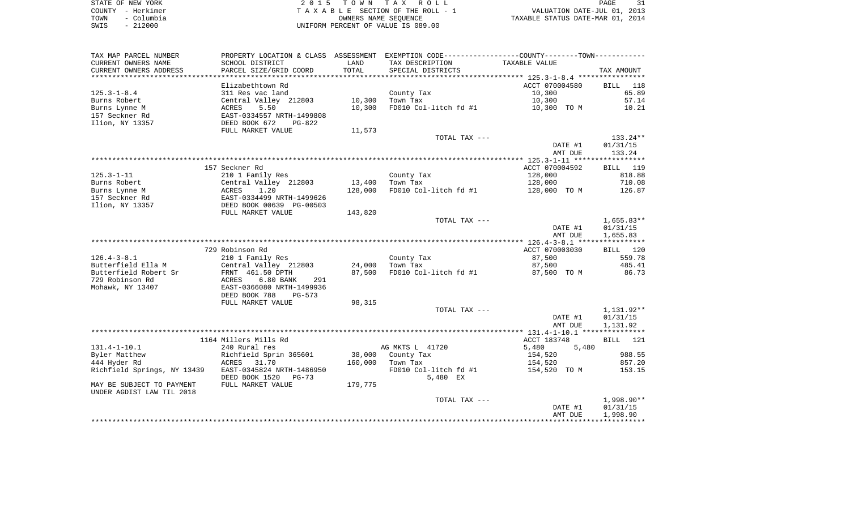| STATE OF NEW YORK  | 2015 TOWN TAX ROLL                 | PAGE                             |
|--------------------|------------------------------------|----------------------------------|
| COUNTY - Herkimer  | TAXABLE SECTION OF THE ROLL - 1    | VALUATION DATE-JUL 01, 2013      |
| – Columbia<br>TOWN | OWNERS NAME SEOUENCE               | TAXABLE STATUS DATE-MAR 01, 2014 |
| $-212000$<br>SWIS  | UNIFORM PERCENT OF VALUE IS 089.00 |                                  |

| TAX MAP PARCEL NUMBER       |                           |         | PROPERTY LOCATION & CLASS ASSESSMENT EXEMPTION CODE---------------COUNTY-------TOWN---------- |                    |                    |
|-----------------------------|---------------------------|---------|-----------------------------------------------------------------------------------------------|--------------------|--------------------|
| CURRENT OWNERS NAME         | SCHOOL DISTRICT           | LAND    | TAX DESCRIPTION                                                                               | TAXABLE VALUE      |                    |
| CURRENT OWNERS ADDRESS      | PARCEL SIZE/GRID COORD    | TOTAL   | SPECIAL DISTRICTS                                                                             |                    | TAX AMOUNT         |
| *********************       |                           |         |                                                                                               |                    |                    |
|                             | Elizabethtown Rd          |         |                                                                                               | ACCT 070004580     | <b>BILL</b><br>118 |
| $125.3 - 1 - 8.4$           | 311 Res vac land          |         | County Tax                                                                                    | 10,300             | 65.89              |
| Burns Robert                | Central Valley 212803     | 10,300  | Town Tax                                                                                      | 10,300             | 57.14              |
| Burns Lynne M               | ACRES<br>5.50             | 10,300  | FD010 Col-litch fd #1                                                                         | 10,300 TO M        | 10.21              |
| 157 Seckner Rd              | EAST-0334557 NRTH-1499808 |         |                                                                                               |                    |                    |
| Ilion, NY 13357             | DEED BOOK 672<br>PG-822   |         |                                                                                               |                    |                    |
|                             | FULL MARKET VALUE         | 11,573  |                                                                                               |                    |                    |
|                             |                           |         | TOTAL TAX ---                                                                                 |                    | 133.24**           |
|                             |                           |         |                                                                                               | DATE #1            | 01/31/15           |
|                             |                           |         |                                                                                               | AMT DUE            | 133.24             |
|                             |                           |         |                                                                                               |                    |                    |
|                             | 157 Seckner Rd            |         |                                                                                               | ACCT 070004592     | BILL 119           |
| $125.3 - 1 - 11$            | 210 1 Family Res          |         | County Tax                                                                                    | 128,000            | 818.88             |
| Burns Robert                | Central Valley 212803     | 13,400  | Town Tax                                                                                      | 128,000            | 710.08             |
| Burns Lynne M               | 1.20<br>ACRES             | 128,000 | FD010 Col-litch fd #1                                                                         | 128,000 TO M       | 126.87             |
| 157 Seckner Rd              | EAST-0334499 NRTH-1499626 |         |                                                                                               |                    |                    |
| Ilion, NY 13357             | DEED BOOK 00639 PG-00503  |         |                                                                                               |                    |                    |
|                             | FULL MARKET VALUE         | 143,820 |                                                                                               |                    |                    |
|                             |                           |         | TOTAL TAX ---                                                                                 |                    | $1,655.83**$       |
|                             |                           |         |                                                                                               | DATE #1<br>AMT DUE | 01/31/15           |
|                             |                           |         |                                                                                               |                    | 1,655.83           |
|                             | 729 Robinson Rd           |         |                                                                                               | ACCT 070003030     | BILL 120           |
| $126.4 - 3 - 8.1$           | 210 1 Family Res          |         | County Tax                                                                                    | 87,500             | 559.78             |
| Butterfield Ella M          | Central Valley 212803     | 24,000  | Town Tax                                                                                      | 87,500             | 485.41             |
| Butterfield Robert Sr       | FRNT 461.50 DPTH          | 87,500  | FD010 Col-litch fd #1                                                                         | 87,500 TO M        | 86.73              |
| 729 Robinson Rd             | 6.80 BANK<br>ACRES<br>291 |         |                                                                                               |                    |                    |
| Mohawk, NY 13407            | EAST-0366080 NRTH-1499936 |         |                                                                                               |                    |                    |
|                             | DEED BOOK 788<br>PG-573   |         |                                                                                               |                    |                    |
|                             | FULL MARKET VALUE         | 98,315  |                                                                                               |                    |                    |
|                             |                           |         | TOTAL TAX ---                                                                                 |                    | 1,131.92**         |
|                             |                           |         |                                                                                               | DATE #1            | 01/31/15           |
|                             |                           |         |                                                                                               | AMT DUE            | 1,131.92           |
|                             |                           |         |                                                                                               |                    |                    |
|                             | 1164 Millers Mills Rd     |         |                                                                                               | ACCT 183748        | BILL 121           |
| $131.4 - 1 - 10.1$          | 240 Rural res             |         | AG MKTS L 41720                                                                               | 5,480<br>5,480     |                    |
| Byler Matthew               | Richfield Sprin 365601    | 38,000  | County Tax                                                                                    | 154,520            | 988.55             |
| 444 Hyder Rd                | ACRES<br>31.70            | 160,000 | Town Tax                                                                                      | 154,520            | 857.20             |
| Richfield Springs, NY 13439 | EAST-0345824 NRTH-1486950 |         | FD010 Col-litch fd #1                                                                         | 154,520 TO M       | 153.15             |
|                             | DEED BOOK 1520<br>PG-73   |         | 5,480 EX                                                                                      |                    |                    |
| MAY BE SUBJECT TO PAYMENT   | FULL MARKET VALUE         | 179,775 |                                                                                               |                    |                    |
| UNDER AGDIST LAW TIL 2018   |                           |         |                                                                                               |                    |                    |
|                             |                           |         | TOTAL TAX ---                                                                                 |                    | 1,998.90**         |
|                             |                           |         |                                                                                               | DATE #1            | 01/31/15           |
|                             |                           |         |                                                                                               | AMT DUE            | 1,998.90           |
|                             |                           |         |                                                                                               |                    |                    |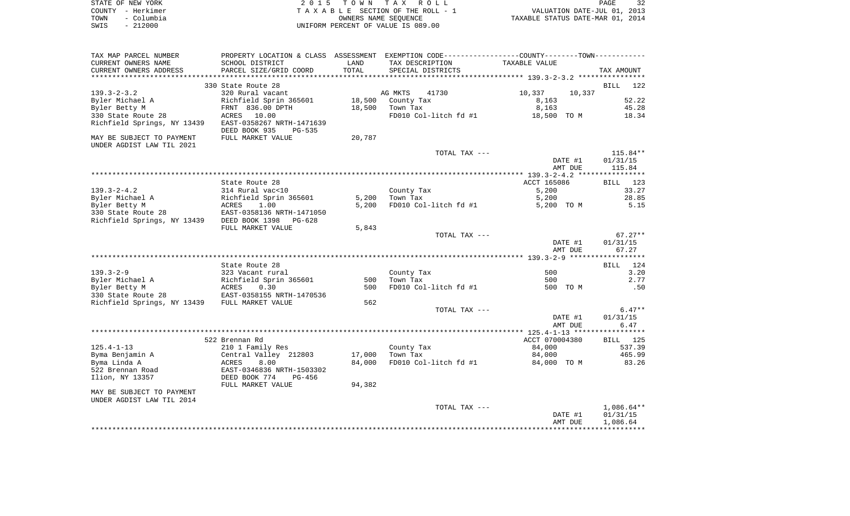| STATE OF NEW YORK  | 2015 TOWN TAX ROLL                    |  |                                  | PAGE | 32 |
|--------------------|---------------------------------------|--|----------------------------------|------|----|
| COUNTY - Herkimer  | T A X A B L E SECTION OF THE ROLL - 1 |  | VALUATION DATE-JUL 01, 2013      |      |    |
| - Columbia<br>TOWN | OWNERS NAME SEOUENCE                  |  | TAXABLE STATUS DATE-MAR 01, 2014 |      |    |
| - 212000<br>SWIS   | UNIFORM PERCENT OF VALUE IS 089.00    |  |                                  |      |    |

| TAX MAP PARCEL NUMBER                                  | PROPERTY LOCATION & CLASS                              | ASSESSMENT |                       | EXEMPTION CODE----------------COUNTY-------TOWN----------- |                    |
|--------------------------------------------------------|--------------------------------------------------------|------------|-----------------------|------------------------------------------------------------|--------------------|
| CURRENT OWNERS NAME                                    | SCHOOL DISTRICT                                        | LAND       | TAX DESCRIPTION       | TAXABLE VALUE                                              |                    |
| CURRENT OWNERS ADDRESS                                 | PARCEL SIZE/GRID COORD                                 | TOTAL      | SPECIAL DISTRICTS     |                                                            | TAX AMOUNT         |
| ***********************                                |                                                        |            |                       |                                                            |                    |
|                                                        | 330 State Route 28                                     |            |                       |                                                            | <b>BILL</b><br>122 |
| $139.3 - 2 - 3.2$                                      | 320 Rural vacant                                       |            | AG MKTS<br>41730      | 10,337<br>10,337                                           |                    |
| Byler Michael A                                        | Richfield Sprin 365601                                 | 18,500     | County Tax            | 8,163                                                      | 52.22              |
| Byler Betty M                                          | FRNT 836.00 DPTH                                       | 18,500     | Town Tax              | 8,163                                                      | 45.28              |
| 330 State Route 28                                     | ACRES<br>10.00                                         |            | FD010 Col-litch fd #1 | 18,500 TO M                                                | 18.34              |
| Richfield Springs, NY 13439                            | EAST-0358267 NRTH-1471639<br>DEED BOOK 935<br>$PG-535$ |            |                       |                                                            |                    |
| MAY BE SUBJECT TO PAYMENT<br>UNDER AGDIST LAW TIL 2021 | FULL MARKET VALUE                                      | 20,787     |                       |                                                            |                    |
|                                                        |                                                        |            | TOTAL TAX ---         |                                                            | $115.84**$         |
|                                                        |                                                        |            |                       | DATE #1                                                    | 01/31/15           |
|                                                        |                                                        |            |                       | AMT DUE                                                    | 115.84             |
|                                                        |                                                        |            |                       |                                                            |                    |
|                                                        | State Route 28                                         |            |                       | ACCT 165086                                                | BILL<br>123        |
| $139.3 - 2 - 4.2$                                      | 314 Rural vac<10                                       |            | County Tax            | 5,200                                                      | 33.27              |
| Byler Michael A                                        | Richfield Sprin 365601                                 | 5,200      | Town Tax              | 5,200                                                      | 28.85              |
| Byler Betty M                                          | ACRES<br>1.00                                          | 5,200      | FD010 Col-litch fd #1 | 5,200 TO M                                                 | 5.15               |
| 330 State Route 28                                     | EAST-0358136 NRTH-1471050                              |            |                       |                                                            |                    |
| Richfield Springs, NY 13439                            | DEED BOOK 1398<br>PG-628                               |            |                       |                                                            |                    |
|                                                        | FULL MARKET VALUE                                      | 5,843      |                       |                                                            |                    |
|                                                        |                                                        |            | TOTAL TAX ---         |                                                            | $67.27**$          |
|                                                        |                                                        |            |                       | DATE #1                                                    | 01/31/15           |
|                                                        |                                                        |            |                       | AMT DUE                                                    | 67.27              |
|                                                        |                                                        |            |                       |                                                            |                    |
|                                                        | State Route 28                                         |            |                       |                                                            | 124<br>BILL        |
| $139.3 - 2 - 9$                                        | 323 Vacant rural                                       |            | County Tax            | 500                                                        | 3.20               |
| Byler Michael A                                        | Richfield Sprin 365601                                 | 500        | Town Tax              | 500                                                        | 2.77               |
| Byler Betty M                                          | ACRES<br>0.30                                          | 500        | FD010 Col-litch fd #1 | 500 TO M                                                   | .50                |
| 330 State Route 28                                     | EAST-0358155 NRTH-1470536                              |            |                       |                                                            |                    |
| Richfield Springs, NY 13439 FULL MARKET VALUE          |                                                        | 562        |                       |                                                            |                    |
|                                                        |                                                        |            | TOTAL TAX ---         |                                                            | $6.47**$           |
|                                                        |                                                        |            |                       | DATE #1                                                    | 01/31/15           |
|                                                        |                                                        |            |                       | AMT DUE                                                    | 6.47               |
|                                                        |                                                        |            |                       |                                                            |                    |
|                                                        | 522 Brennan Rd                                         |            |                       | ACCT 070004380                                             | BILL 125           |
| $125.4 - 1 - 13$                                       | 210 1 Family Res                                       |            | County Tax            | 84,000                                                     | 537.39             |
| Byma Benjamin A                                        | Central Valley 212803                                  | 17,000     | Town Tax              | 84,000                                                     | 465.99             |
| Byma Linda A                                           | 8.00<br>ACRES                                          | 84,000     | FD010 Col-litch fd #1 | 84,000 TO M                                                | 83.26              |
| 522 Brennan Road                                       | EAST-0346836 NRTH-1503302                              |            |                       |                                                            |                    |
| Ilion, NY 13357                                        | DEED BOOK 774<br>$PG-456$<br>FULL MARKET VALUE         | 94,382     |                       |                                                            |                    |
|                                                        |                                                        |            |                       |                                                            |                    |
| MAY BE SUBJECT TO PAYMENT<br>UNDER AGDIST LAW TIL 2014 |                                                        |            |                       |                                                            |                    |
|                                                        |                                                        |            | TOTAL TAX ---         |                                                            | $1,086.64**$       |
|                                                        |                                                        |            |                       | DATE #1                                                    | 01/31/15           |
|                                                        |                                                        |            |                       | AMT DUE                                                    | 1,086.64           |
|                                                        |                                                        |            |                       |                                                            |                    |
|                                                        |                                                        |            |                       |                                                            |                    |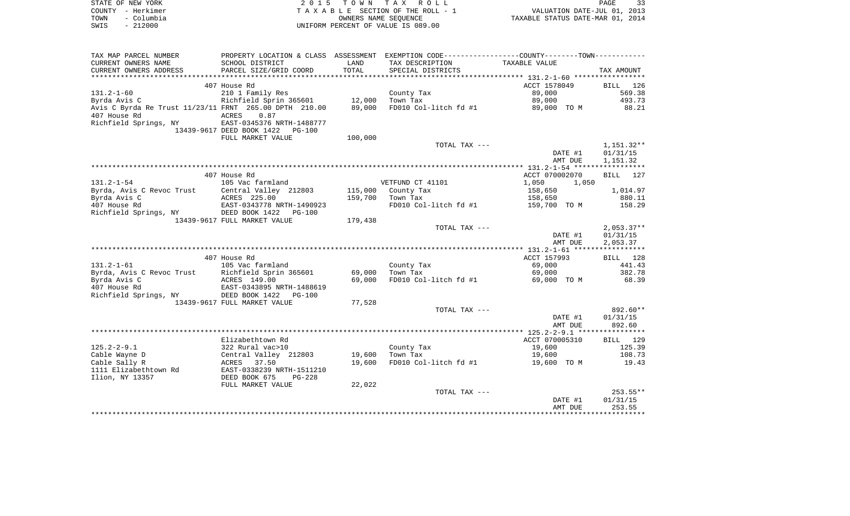| STATE OF NEW YORK  | 2015 TOWN TAX ROLL                 | 33<br>PAGE                       |
|--------------------|------------------------------------|----------------------------------|
| COUNTY – Herkimer  | TAXABLE SECTION OF THE ROLL - 1    | VALUATION DATE-JUL 01, 2013      |
| – Columbia<br>TOWN | OWNERS NAME SEOUENCE               | TAXABLE STATUS DATE-MAR 01, 2014 |
| $-212000$<br>SWIS  | UNIFORM PERCENT OF VALUE IS 089.00 |                                  |

| TAX MAP PARCEL NUMBER                                  | PROPERTY LOCATION & CLASS ASSESSMENT |         | EXEMPTION CODE-----------------COUNTY-------TOWN----------- |                |              |
|--------------------------------------------------------|--------------------------------------|---------|-------------------------------------------------------------|----------------|--------------|
| CURRENT OWNERS NAME                                    | SCHOOL DISTRICT                      | LAND    | TAX DESCRIPTION                                             | TAXABLE VALUE  |              |
| CURRENT OWNERS ADDRESS                                 | PARCEL SIZE/GRID COORD               | TOTAL   | SPECIAL DISTRICTS                                           |                | TAX AMOUNT   |
|                                                        |                                      |         |                                                             |                |              |
|                                                        | 407 House Rd                         |         |                                                             | ACCT 1578049   | BILL<br>126  |
| $131.2 - 1 - 60$                                       | 210 1 Family Res                     |         | County Tax                                                  | 89,000         | 569.38       |
| Byrda Avis C                                           | Richfield Sprin 365601               | 12,000  | Town Tax                                                    | 89,000         | 493.73       |
| Avis C Byrda Re Trust 11/23/11 FRNT 265.00 DPTH 210.00 |                                      | 89,000  | FD010 Col-litch fd #1                                       | 89,000 TO M    | 88.21        |
| 407 House Rd                                           | 0.87<br>ACRES                        |         |                                                             |                |              |
| Richfield Springs, NY                                  | EAST-0345376 NRTH-1488777            |         |                                                             |                |              |
|                                                        | 13439-9617 DEED BOOK 1422<br>PG-100  |         |                                                             |                |              |
|                                                        | FULL MARKET VALUE                    | 100,000 |                                                             |                |              |
|                                                        |                                      |         | TOTAL TAX ---                                               |                | $1,151.32**$ |
|                                                        |                                      |         |                                                             | DATE #1        | 01/31/15     |
|                                                        |                                      |         |                                                             | AMT DUE        | 1,151.32     |
|                                                        |                                      |         |                                                             |                |              |
|                                                        | 407 House Rd                         |         |                                                             | ACCT 070002070 | BILL<br>127  |
| $131.2 - 1 - 54$                                       | 105 Vac farmland                     |         | VETFUND CT 41101                                            | 1,050<br>1,050 |              |
|                                                        | Central Valley 212803                | 115,000 |                                                             | 158,650        | 1,014.97     |
| Byrda, Avis C Revoc Trust<br>Byrda Avis C              | ACRES 225.00                         | 159,700 | County Tax<br>Town Tax                                      |                | 880.11       |
|                                                        |                                      |         |                                                             | 158,650        |              |
| 407 House Rd                                           | EAST-0343778 NRTH-1490923            |         | FD010 Col-litch fd #1                                       | 159,700 TO M   | 158.29       |
| Richfield Springs, NY                                  | DEED BOOK 1422<br>$PG-100$           |         |                                                             |                |              |
|                                                        | 13439-9617 FULL MARKET VALUE         | 179,438 |                                                             |                |              |
|                                                        |                                      |         | TOTAL TAX ---                                               |                | $2,053.37**$ |
|                                                        |                                      |         |                                                             | DATE #1        | 01/31/15     |
|                                                        |                                      |         |                                                             | AMT DUE        | 2,053.37     |
|                                                        |                                      |         |                                                             |                |              |
|                                                        | 407 House Rd                         |         |                                                             | ACCT 157993    | BILL 128     |
| $131.2 - 1 - 61$                                       | 105 Vac farmland                     |         | County Tax                                                  | 69,000         | 441.43       |
| Byrda, Avis C Revoc Trust                              | Richfield Sprin 365601               | 69,000  | Town Tax                                                    | 69,000         | 382.78       |
| Byrda Avis C                                           | ACRES 149.00                         | 69,000  | FD010 Col-litch fd #1                                       | 69,000 TO M    | 68.39        |
| 407 House Rd                                           | EAST-0343895 NRTH-1488619            |         |                                                             |                |              |
| Richfield Springs, NY                                  | DEED BOOK 1422<br>$PG-100$           |         |                                                             |                |              |
|                                                        | 13439-9617 FULL MARKET VALUE         | 77,528  |                                                             |                |              |
|                                                        |                                      |         | TOTAL TAX ---                                               |                | 892.60**     |
|                                                        |                                      |         |                                                             | DATE #1        | 01/31/15     |
|                                                        |                                      |         |                                                             | AMT DUE        | 892.60       |
|                                                        |                                      |         |                                                             |                |              |
|                                                        | Elizabethtown Rd                     |         |                                                             | ACCT 070005310 | BILL 129     |
| $125.2 - 2 - 9.1$                                      | 322 Rural vac>10                     |         | County Tax                                                  | 19,600         | 125.39       |
| Cable Wayne D                                          | Central Valley 212803                | 19,600  | Town Tax                                                    | 19,600         | 108.73       |
| Cable Sally R                                          | ACRES 37.50                          | 19,600  | FD010 Col-litch fd #1                                       | 19,600 TO M    | 19.43        |
| 1111 Elizabethtown Rd                                  | EAST-0338239 NRTH-1511210            |         |                                                             |                |              |
| Ilion, NY 13357                                        | DEED BOOK 675<br>PG-228              |         |                                                             |                |              |
|                                                        | FULL MARKET VALUE                    | 22,022  |                                                             |                |              |
|                                                        |                                      |         | TOTAL TAX ---                                               |                | 253.55**     |
|                                                        |                                      |         |                                                             | DATE #1        | 01/31/15     |
|                                                        |                                      |         |                                                             | AMT DUE        | 253.55       |
|                                                        |                                      |         |                                                             |                |              |
|                                                        |                                      |         |                                                             |                |              |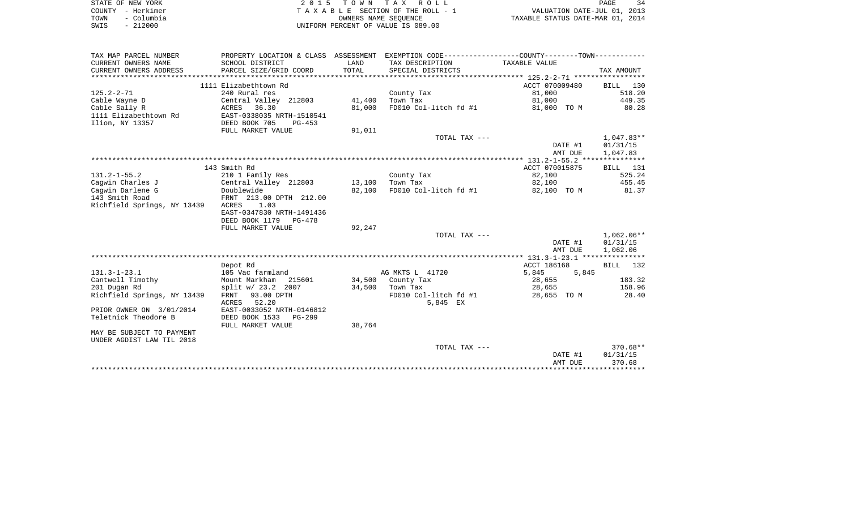| STATE OF NEW YORK  | 2015 TOWN TAX ROLL                 | PAGE                             |
|--------------------|------------------------------------|----------------------------------|
| COUNTY - Herkimer  | TAXABLE SECTION OF THE ROLL - 1    | VALUATION DATE-JUL 01, 2013      |
| – Columbia<br>TOWN | OWNERS NAME SEOUENCE               | TAXABLE STATUS DATE-MAR 01, 2014 |
| $-212000$<br>SWIS  | UNIFORM PERCENT OF VALUE IS 089.00 |                                  |

| TAX MAP PARCEL NUMBER       | PROPERTY LOCATION & CLASS ASSESSMENT EXEMPTION CODE---------------COUNTY-------TOWN---------- |        |                       |                |              |
|-----------------------------|-----------------------------------------------------------------------------------------------|--------|-----------------------|----------------|--------------|
| CURRENT OWNERS NAME         | SCHOOL DISTRICT                                                                               | LAND   | TAX DESCRIPTION       | TAXABLE VALUE  |              |
| CURRENT OWNERS ADDRESS      | PARCEL SIZE/GRID COORD                                                                        | TOTAL  | SPECIAL DISTRICTS     |                | TAX AMOUNT   |
|                             |                                                                                               |        |                       |                |              |
|                             | 1111 Elizabethtown Rd                                                                         |        |                       | ACCT 070009480 | BILL 130     |
| $125.2 - 2 - 71$            | 240 Rural res                                                                                 |        | County Tax            | 81,000         | 518.20       |
| Cable Wayne D               | Central Valley 212803                                                                         | 41,400 | Town Tax              | 81,000         | 449.35       |
| Cable Sally R               | 36.30<br>ACRES                                                                                | 81,000 | FD010 Col-litch fd #1 | 81,000 TO M    | 80.28        |
| 1111 Elizabethtown Rd       | EAST-0338035 NRTH-1510541                                                                     |        |                       |                |              |
| Ilion, NY 13357             | DEED BOOK 705<br>$PG-453$                                                                     |        |                       |                |              |
|                             | FULL MARKET VALUE                                                                             | 91,011 |                       |                |              |
|                             |                                                                                               |        | TOTAL TAX ---         |                | $1,047.83**$ |
|                             |                                                                                               |        |                       | DATE #1        | 01/31/15     |
|                             |                                                                                               |        |                       | AMT DUE        | 1,047.83     |
|                             |                                                                                               |        |                       |                |              |
|                             | 143 Smith Rd                                                                                  |        |                       | ACCT 070015875 | BILL 131     |
| $131.2 - 1 - 55.2$          | 210 1 Family Res                                                                              |        | County Tax            | 82,100         | 525.24       |
| Caqwin Charles J            | Central Valley 212803                                                                         | 13,100 | Town Tax              | 82,100         | 455.45       |
| Caqwin Darlene G            | Doublewide                                                                                    | 82,100 | FD010 Col-litch fd #1 | 82,100 TO M    | 81.37        |
| 143 Smith Road              | FRNT 213.00 DPTH 212.00                                                                       |        |                       |                |              |
| Richfield Springs, NY 13439 | ACRES<br>1.03                                                                                 |        |                       |                |              |
|                             | EAST-0347830 NRTH-1491436                                                                     |        |                       |                |              |
|                             | DEED BOOK 1179 PG-478                                                                         |        |                       |                |              |
|                             | FULL MARKET VALUE                                                                             | 92,247 |                       |                |              |
|                             |                                                                                               |        | TOTAL TAX ---         |                | $1.062.06**$ |
|                             |                                                                                               |        |                       | DATE #1        | 01/31/15     |
|                             |                                                                                               |        |                       | AMT DUE        | 1,062.06     |
|                             |                                                                                               |        |                       |                |              |
|                             | Depot Rd                                                                                      |        |                       | ACCT 186168    | BILL 132     |
| $131.3 - 1 - 23.1$          | 105 Vac farmland                                                                              |        | AG MKTS L 41720       | 5,845<br>5,845 |              |
| Cantwell Timothy            | Mount Markham 215601                                                                          |        | 34,500 County Tax     | 28,655         | 183.32       |
| 201 Dugan Rd                | split w/ 23.2 2007                                                                            | 34,500 | Town Tax              | 28,655         | 158.96       |
| Richfield Springs, NY 13439 | FRNT 93.00 DPTH                                                                               |        | FD010 Col-litch fd #1 | 28,655 TO M    | 28.40        |
|                             | 52.20<br>ACRES                                                                                |        | 5,845 EX              |                |              |
| PRIOR OWNER ON 3/01/2014    | EAST-0033052 NRTH-0146812                                                                     |        |                       |                |              |
| Teletnick Theodore B        | DEED BOOK 1533<br>PG-299                                                                      |        |                       |                |              |
|                             | FULL MARKET VALUE                                                                             | 38,764 |                       |                |              |
| MAY BE SUBJECT TO PAYMENT   |                                                                                               |        |                       |                |              |
| UNDER AGDIST LAW TIL 2018   |                                                                                               |        |                       |                |              |
|                             |                                                                                               |        | TOTAL TAX ---         |                | $370.68**$   |
|                             |                                                                                               |        |                       | DATE #1        | 01/31/15     |
|                             |                                                                                               |        |                       | AMT DUE        | 370.68       |
|                             |                                                                                               |        |                       |                |              |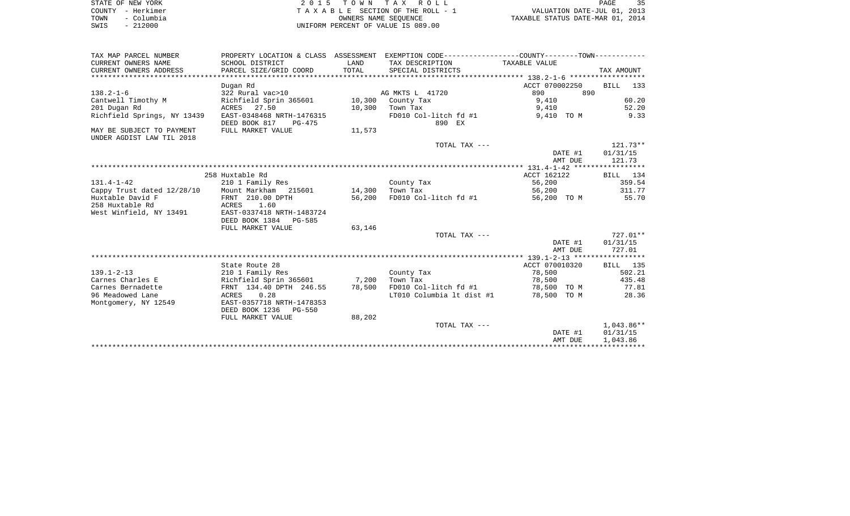|      | STATE OF NEW YORK | 2015 TOWN TAX ROLL                 | 35<br>PAGE                       |
|------|-------------------|------------------------------------|----------------------------------|
|      | COUNTY - Herkimer | TAXABLE SECTION OF THE ROLL - 1    | VALUATION DATE-JUL 01, 2013      |
| TOWN | - Columbia        | OWNERS NAME SEOUENCE               | TAXABLE STATUS DATE-MAR 01, 2014 |
| SWIS | $-212000$         | UNIFORM PERCENT OF VALUE IS 089.00 |                                  |

 $\begin{array}{c} 35 \\ 2013 \\ 2014 \end{array}$ 

|                                               |                                                                                               |               |                           | AMT DUE        | 1,043.86                 |
|-----------------------------------------------|-----------------------------------------------------------------------------------------------|---------------|---------------------------|----------------|--------------------------|
|                                               |                                                                                               |               | TOTAL TAX ---             | DATE #1        | $1,043.86**$<br>01/31/15 |
|                                               | FULL MARKET VALUE                                                                             | 88,202        |                           |                |                          |
|                                               | DEED BOOK 1236<br>$PG-550$                                                                    |               |                           |                |                          |
| Montgomery, NY 12549                          | EAST-0357718 NRTH-1478353                                                                     |               |                           |                |                          |
| 96 Meadowed Lane                              | 0.28<br>ACRES                                                                                 |               | LT010 Columbia 1t dist #1 | 78,500 TO M    | 28.36                    |
| Carnes Bernadette                             | FRNT 134.40 DPTH 246.55                                                                       | 78,500        | FD010 Col-litch fd #1     | 78,500 TO M    | 77.81                    |
| Carnes Charles E                              | Richfield Sprin 365601                                                                        | 7,200         | Town Tax                  | 78,500         | 435.48                   |
| $139.1 - 2 - 13$                              | 210 1 Family Res                                                                              |               | County Tax                | 78,500         | 502.21                   |
|                                               | State Route 28                                                                                |               |                           | ACCT 070010320 | BILL 135                 |
|                                               |                                                                                               |               |                           |                |                          |
|                                               |                                                                                               |               |                           | AMT DUE        | 727.01                   |
|                                               |                                                                                               |               |                           | DATE #1        | 01/31/15                 |
|                                               |                                                                                               |               | TOTAL TAX ---             |                | $727.01**$               |
|                                               | FULL MARKET VALUE                                                                             | 63,146        |                           |                |                          |
| West Winfield, NY 13491                       | EAST-0337418 NRTH-1483724<br>DEED BOOK 1384 PG-585                                            |               |                           |                |                          |
| 258 Huxtable Rd                               | 1.60<br>ACRES                                                                                 |               |                           |                |                          |
| Huxtable David F                              | FRNT 210.00 DPTH                                                                              | 56,200        | FD010 Col-litch fd #1     | 56,200 TO M    | 55.70                    |
| Cappy Trust dated 12/28/10                    | Mount Markham 215601                                                                          | 14,300        | Town Tax                  | 56,200         | 311.77                   |
| $131.4 - 1 - 42$                              | 210 1 Family Res                                                                              |               | County Tax                | 56,200         | 359.54                   |
|                                               | 258 Huxtable Rd                                                                               |               |                           | ACCT 162122    | BILL 134                 |
|                                               |                                                                                               |               |                           |                |                          |
|                                               |                                                                                               |               |                           | AMT DUE        | 121.73                   |
|                                               |                                                                                               |               |                           | DATE #1        | 01/31/15                 |
|                                               |                                                                                               |               | TOTAL TAX ---             |                | $121.73**$               |
| UNDER AGDIST LAW TIL 2018                     |                                                                                               |               |                           |                |                          |
| MAY BE SUBJECT TO PAYMENT                     | FULL MARKET VALUE                                                                             | 11,573        |                           |                |                          |
|                                               | DEED BOOK 817<br>PG-475                                                                       |               | 890 EX                    |                |                          |
| Richfield Springs, NY 13439                   | EAST-0348468 NRTH-1476315                                                                     |               | FD010 Col-litch fd #1     | 9,410 TO M     | 9.33                     |
| 201 Dugan Rd                                  | ACRES 27.50                                                                                   | 10,300        | Town Tax                  | 9,410          | 52.20                    |
| Cantwell Timothy M                            | Richfield Sprin 365601                                                                        |               | 10,300 County Tax         | 9,410          | 60.20                    |
| $138.2 - 1 - 6$                               | 322 Rural vac>10                                                                              |               | AG MKTS L 41720           | 890<br>890     |                          |
|                                               | Dugan Rd                                                                                      |               |                           | ACCT 070002250 | BILL 133                 |
|                                               | PARCEL SIZE/GRID COORD                                                                        |               | SPECIAL DISTRICTS         |                |                          |
| CURRENT OWNERS NAME<br>CURRENT OWNERS ADDRESS | SCHOOL DISTRICT                                                                               | LAND<br>TOTAL | TAX DESCRIPTION           | TAXABLE VALUE  | TAX AMOUNT               |
| TAX MAP PARCEL NUMBER                         | PROPERTY LOCATION & CLASS ASSESSMENT EXEMPTION CODE---------------COUNTY-------TOWN---------- |               |                           |                |                          |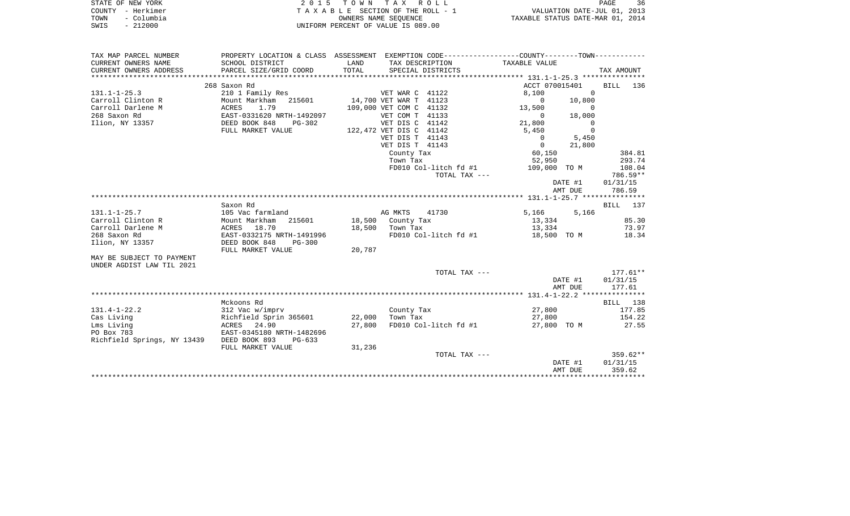| STATE OF NEW YORK  | 2015 TOWN TAX ROLL                 | 36<br>PAGE                       |
|--------------------|------------------------------------|----------------------------------|
| COUNTY - Herkimer  | TAXABLE SECTION OF THE ROLL - 1    | VALUATION DATE-JUL 01, 2013      |
| – Columbia<br>TOWN | OWNERS NAME SEOUENCE               | TAXABLE STATUS DATE-MAR 01, 2014 |
| $-212000$<br>SWIS  | UNIFORM PERCENT OF VALUE IS 089.00 |                                  |

| CURRENT OWNERS NAME<br>SCHOOL DISTRICT<br>LAND<br>TAX DESCRIPTION<br>TAXABLE VALUE<br>TOTAL<br>CURRENT OWNERS ADDRESS<br>PARCEL SIZE/GRID COORD<br>SPECIAL DISTRICTS<br>TAX AMOUNT<br>268 Saxon Rd<br>ACCT 070015401<br>BILL 136<br>210 1 Family Res<br>VET WAR C 41122<br>8,100<br>$\Omega$<br>$131.1 - 1 - 25.3$<br>Carroll Clinton R<br>14,700 VET WAR T 41123<br>$\overline{0}$<br>10,800<br>Carroll Darlene M<br>109,000 VET COM C 41132<br>13,500<br>$\overline{0}$<br>268 Saxon Rd<br>VET COM T 41133<br>18,000<br>$\overline{0}$<br>Ilion, NY 13357<br>VET DIS C 41142<br>21,800<br>$\overline{0}$<br>$\overline{0}$<br>FULL MARKET VALUE<br>122,472 VET DIS C 41142<br>5,450<br>5,450<br>VET DIS T 41143<br>$\overline{0}$<br>VET DIS T 41143<br>$\overline{0}$<br>21,800<br>60,150<br>384.81<br>County Tax<br>Town Tax<br>52,950<br>293.74<br>FD010 Col-litch fd #1<br>109,000 TO M<br>108.04<br>TOTAL TAX ---<br>786.59**<br>DATE #1<br>01/31/15<br>786.59<br>AMT DUE<br>Saxon Rd<br>BILL 137<br>$131.1 - 1 - 25.7$<br>105 Vac farmland<br>AG MKTS<br>5,166 5,166<br>41730<br>Carroll Clinton R<br>85.30<br>Mount Markham<br>215601<br>18,500 County Tax<br>13,334<br>Carroll Darlene M<br>18,500 Town Tax<br>73.97<br>ACRES 18.70<br>13,334<br>268 Saxon Rd<br>EAST-0332175 NRTH-1491996<br>FD010 Col-litch fd #1<br>18,500 TO M<br>18.34<br>Ilion, NY 13357<br>DEED BOOK 848<br>$PG-300$<br>FULL MARKET VALUE<br>20,787<br>MAY BE SUBJECT TO PAYMENT<br>UNDER AGDIST LAW TIL 2021<br>TOTAL TAX ---<br>$177.61**$<br>01/31/15<br>DATE #1<br>AMT DUE<br>177.61<br>Mckoons Rd<br>BILL 138<br>27,800<br>$131.4 - 1 - 22.2$<br>312 Vac w/imprv<br>177.85<br>County Tax<br>Cas Living<br>Richfield Sprin 365601<br>22,000<br>Town Tax<br>27,800<br>154.22<br>ACRES 24.90<br>27,800<br>FD010 Col-litch fd #1<br>27,800 TO M<br>27.55<br>Lms Living<br>PO Box 783<br>EAST-0345180 NRTH-1482696<br>Richfield Springs, NY 13439 DEED BOOK 893<br>PG-633<br>FULL MARKET VALUE<br>31,236<br>$359.62**$<br>TOTAL TAX ---<br>01/31/15<br>DATE #1<br>359.62<br>AMT DUE | TAX MAP PARCEL NUMBER | PROPERTY LOCATION & CLASS ASSESSMENT EXEMPTION CODE---------------COUNTY--------TOWN---------- |  |  |  |  |
|----------------------------------------------------------------------------------------------------------------------------------------------------------------------------------------------------------------------------------------------------------------------------------------------------------------------------------------------------------------------------------------------------------------------------------------------------------------------------------------------------------------------------------------------------------------------------------------------------------------------------------------------------------------------------------------------------------------------------------------------------------------------------------------------------------------------------------------------------------------------------------------------------------------------------------------------------------------------------------------------------------------------------------------------------------------------------------------------------------------------------------------------------------------------------------------------------------------------------------------------------------------------------------------------------------------------------------------------------------------------------------------------------------------------------------------------------------------------------------------------------------------------------------------------------------------------------------------------------------------------------------------------------------------------------------------------------------------------------------------------------------------------------------------------------------------------------------------------------------------------------------------------------------------------------------------------------------------------------------------------------------------------------------------------------------------------|-----------------------|------------------------------------------------------------------------------------------------|--|--|--|--|
|                                                                                                                                                                                                                                                                                                                                                                                                                                                                                                                                                                                                                                                                                                                                                                                                                                                                                                                                                                                                                                                                                                                                                                                                                                                                                                                                                                                                                                                                                                                                                                                                                                                                                                                                                                                                                                                                                                                                                                                                                                                                      |                       |                                                                                                |  |  |  |  |
|                                                                                                                                                                                                                                                                                                                                                                                                                                                                                                                                                                                                                                                                                                                                                                                                                                                                                                                                                                                                                                                                                                                                                                                                                                                                                                                                                                                                                                                                                                                                                                                                                                                                                                                                                                                                                                                                                                                                                                                                                                                                      |                       |                                                                                                |  |  |  |  |
|                                                                                                                                                                                                                                                                                                                                                                                                                                                                                                                                                                                                                                                                                                                                                                                                                                                                                                                                                                                                                                                                                                                                                                                                                                                                                                                                                                                                                                                                                                                                                                                                                                                                                                                                                                                                                                                                                                                                                                                                                                                                      |                       |                                                                                                |  |  |  |  |
|                                                                                                                                                                                                                                                                                                                                                                                                                                                                                                                                                                                                                                                                                                                                                                                                                                                                                                                                                                                                                                                                                                                                                                                                                                                                                                                                                                                                                                                                                                                                                                                                                                                                                                                                                                                                                                                                                                                                                                                                                                                                      |                       |                                                                                                |  |  |  |  |
|                                                                                                                                                                                                                                                                                                                                                                                                                                                                                                                                                                                                                                                                                                                                                                                                                                                                                                                                                                                                                                                                                                                                                                                                                                                                                                                                                                                                                                                                                                                                                                                                                                                                                                                                                                                                                                                                                                                                                                                                                                                                      |                       |                                                                                                |  |  |  |  |
|                                                                                                                                                                                                                                                                                                                                                                                                                                                                                                                                                                                                                                                                                                                                                                                                                                                                                                                                                                                                                                                                                                                                                                                                                                                                                                                                                                                                                                                                                                                                                                                                                                                                                                                                                                                                                                                                                                                                                                                                                                                                      |                       |                                                                                                |  |  |  |  |
|                                                                                                                                                                                                                                                                                                                                                                                                                                                                                                                                                                                                                                                                                                                                                                                                                                                                                                                                                                                                                                                                                                                                                                                                                                                                                                                                                                                                                                                                                                                                                                                                                                                                                                                                                                                                                                                                                                                                                                                                                                                                      |                       |                                                                                                |  |  |  |  |
|                                                                                                                                                                                                                                                                                                                                                                                                                                                                                                                                                                                                                                                                                                                                                                                                                                                                                                                                                                                                                                                                                                                                                                                                                                                                                                                                                                                                                                                                                                                                                                                                                                                                                                                                                                                                                                                                                                                                                                                                                                                                      |                       |                                                                                                |  |  |  |  |
|                                                                                                                                                                                                                                                                                                                                                                                                                                                                                                                                                                                                                                                                                                                                                                                                                                                                                                                                                                                                                                                                                                                                                                                                                                                                                                                                                                                                                                                                                                                                                                                                                                                                                                                                                                                                                                                                                                                                                                                                                                                                      |                       |                                                                                                |  |  |  |  |
|                                                                                                                                                                                                                                                                                                                                                                                                                                                                                                                                                                                                                                                                                                                                                                                                                                                                                                                                                                                                                                                                                                                                                                                                                                                                                                                                                                                                                                                                                                                                                                                                                                                                                                                                                                                                                                                                                                                                                                                                                                                                      |                       |                                                                                                |  |  |  |  |
|                                                                                                                                                                                                                                                                                                                                                                                                                                                                                                                                                                                                                                                                                                                                                                                                                                                                                                                                                                                                                                                                                                                                                                                                                                                                                                                                                                                                                                                                                                                                                                                                                                                                                                                                                                                                                                                                                                                                                                                                                                                                      |                       |                                                                                                |  |  |  |  |
|                                                                                                                                                                                                                                                                                                                                                                                                                                                                                                                                                                                                                                                                                                                                                                                                                                                                                                                                                                                                                                                                                                                                                                                                                                                                                                                                                                                                                                                                                                                                                                                                                                                                                                                                                                                                                                                                                                                                                                                                                                                                      |                       |                                                                                                |  |  |  |  |
|                                                                                                                                                                                                                                                                                                                                                                                                                                                                                                                                                                                                                                                                                                                                                                                                                                                                                                                                                                                                                                                                                                                                                                                                                                                                                                                                                                                                                                                                                                                                                                                                                                                                                                                                                                                                                                                                                                                                                                                                                                                                      |                       |                                                                                                |  |  |  |  |
|                                                                                                                                                                                                                                                                                                                                                                                                                                                                                                                                                                                                                                                                                                                                                                                                                                                                                                                                                                                                                                                                                                                                                                                                                                                                                                                                                                                                                                                                                                                                                                                                                                                                                                                                                                                                                                                                                                                                                                                                                                                                      |                       |                                                                                                |  |  |  |  |
|                                                                                                                                                                                                                                                                                                                                                                                                                                                                                                                                                                                                                                                                                                                                                                                                                                                                                                                                                                                                                                                                                                                                                                                                                                                                                                                                                                                                                                                                                                                                                                                                                                                                                                                                                                                                                                                                                                                                                                                                                                                                      |                       |                                                                                                |  |  |  |  |
|                                                                                                                                                                                                                                                                                                                                                                                                                                                                                                                                                                                                                                                                                                                                                                                                                                                                                                                                                                                                                                                                                                                                                                                                                                                                                                                                                                                                                                                                                                                                                                                                                                                                                                                                                                                                                                                                                                                                                                                                                                                                      |                       |                                                                                                |  |  |  |  |
|                                                                                                                                                                                                                                                                                                                                                                                                                                                                                                                                                                                                                                                                                                                                                                                                                                                                                                                                                                                                                                                                                                                                                                                                                                                                                                                                                                                                                                                                                                                                                                                                                                                                                                                                                                                                                                                                                                                                                                                                                                                                      |                       |                                                                                                |  |  |  |  |
|                                                                                                                                                                                                                                                                                                                                                                                                                                                                                                                                                                                                                                                                                                                                                                                                                                                                                                                                                                                                                                                                                                                                                                                                                                                                                                                                                                                                                                                                                                                                                                                                                                                                                                                                                                                                                                                                                                                                                                                                                                                                      |                       |                                                                                                |  |  |  |  |
|                                                                                                                                                                                                                                                                                                                                                                                                                                                                                                                                                                                                                                                                                                                                                                                                                                                                                                                                                                                                                                                                                                                                                                                                                                                                                                                                                                                                                                                                                                                                                                                                                                                                                                                                                                                                                                                                                                                                                                                                                                                                      |                       |                                                                                                |  |  |  |  |
|                                                                                                                                                                                                                                                                                                                                                                                                                                                                                                                                                                                                                                                                                                                                                                                                                                                                                                                                                                                                                                                                                                                                                                                                                                                                                                                                                                                                                                                                                                                                                                                                                                                                                                                                                                                                                                                                                                                                                                                                                                                                      |                       |                                                                                                |  |  |  |  |
|                                                                                                                                                                                                                                                                                                                                                                                                                                                                                                                                                                                                                                                                                                                                                                                                                                                                                                                                                                                                                                                                                                                                                                                                                                                                                                                                                                                                                                                                                                                                                                                                                                                                                                                                                                                                                                                                                                                                                                                                                                                                      |                       |                                                                                                |  |  |  |  |
|                                                                                                                                                                                                                                                                                                                                                                                                                                                                                                                                                                                                                                                                                                                                                                                                                                                                                                                                                                                                                                                                                                                                                                                                                                                                                                                                                                                                                                                                                                                                                                                                                                                                                                                                                                                                                                                                                                                                                                                                                                                                      |                       |                                                                                                |  |  |  |  |
|                                                                                                                                                                                                                                                                                                                                                                                                                                                                                                                                                                                                                                                                                                                                                                                                                                                                                                                                                                                                                                                                                                                                                                                                                                                                                                                                                                                                                                                                                                                                                                                                                                                                                                                                                                                                                                                                                                                                                                                                                                                                      |                       |                                                                                                |  |  |  |  |
|                                                                                                                                                                                                                                                                                                                                                                                                                                                                                                                                                                                                                                                                                                                                                                                                                                                                                                                                                                                                                                                                                                                                                                                                                                                                                                                                                                                                                                                                                                                                                                                                                                                                                                                                                                                                                                                                                                                                                                                                                                                                      |                       |                                                                                                |  |  |  |  |
|                                                                                                                                                                                                                                                                                                                                                                                                                                                                                                                                                                                                                                                                                                                                                                                                                                                                                                                                                                                                                                                                                                                                                                                                                                                                                                                                                                                                                                                                                                                                                                                                                                                                                                                                                                                                                                                                                                                                                                                                                                                                      |                       |                                                                                                |  |  |  |  |
|                                                                                                                                                                                                                                                                                                                                                                                                                                                                                                                                                                                                                                                                                                                                                                                                                                                                                                                                                                                                                                                                                                                                                                                                                                                                                                                                                                                                                                                                                                                                                                                                                                                                                                                                                                                                                                                                                                                                                                                                                                                                      |                       |                                                                                                |  |  |  |  |
|                                                                                                                                                                                                                                                                                                                                                                                                                                                                                                                                                                                                                                                                                                                                                                                                                                                                                                                                                                                                                                                                                                                                                                                                                                                                                                                                                                                                                                                                                                                                                                                                                                                                                                                                                                                                                                                                                                                                                                                                                                                                      |                       |                                                                                                |  |  |  |  |
|                                                                                                                                                                                                                                                                                                                                                                                                                                                                                                                                                                                                                                                                                                                                                                                                                                                                                                                                                                                                                                                                                                                                                                                                                                                                                                                                                                                                                                                                                                                                                                                                                                                                                                                                                                                                                                                                                                                                                                                                                                                                      |                       |                                                                                                |  |  |  |  |
|                                                                                                                                                                                                                                                                                                                                                                                                                                                                                                                                                                                                                                                                                                                                                                                                                                                                                                                                                                                                                                                                                                                                                                                                                                                                                                                                                                                                                                                                                                                                                                                                                                                                                                                                                                                                                                                                                                                                                                                                                                                                      |                       |                                                                                                |  |  |  |  |
|                                                                                                                                                                                                                                                                                                                                                                                                                                                                                                                                                                                                                                                                                                                                                                                                                                                                                                                                                                                                                                                                                                                                                                                                                                                                                                                                                                                                                                                                                                                                                                                                                                                                                                                                                                                                                                                                                                                                                                                                                                                                      |                       |                                                                                                |  |  |  |  |
|                                                                                                                                                                                                                                                                                                                                                                                                                                                                                                                                                                                                                                                                                                                                                                                                                                                                                                                                                                                                                                                                                                                                                                                                                                                                                                                                                                                                                                                                                                                                                                                                                                                                                                                                                                                                                                                                                                                                                                                                                                                                      |                       |                                                                                                |  |  |  |  |
|                                                                                                                                                                                                                                                                                                                                                                                                                                                                                                                                                                                                                                                                                                                                                                                                                                                                                                                                                                                                                                                                                                                                                                                                                                                                                                                                                                                                                                                                                                                                                                                                                                                                                                                                                                                                                                                                                                                                                                                                                                                                      |                       |                                                                                                |  |  |  |  |
|                                                                                                                                                                                                                                                                                                                                                                                                                                                                                                                                                                                                                                                                                                                                                                                                                                                                                                                                                                                                                                                                                                                                                                                                                                                                                                                                                                                                                                                                                                                                                                                                                                                                                                                                                                                                                                                                                                                                                                                                                                                                      |                       |                                                                                                |  |  |  |  |
|                                                                                                                                                                                                                                                                                                                                                                                                                                                                                                                                                                                                                                                                                                                                                                                                                                                                                                                                                                                                                                                                                                                                                                                                                                                                                                                                                                                                                                                                                                                                                                                                                                                                                                                                                                                                                                                                                                                                                                                                                                                                      |                       |                                                                                                |  |  |  |  |
|                                                                                                                                                                                                                                                                                                                                                                                                                                                                                                                                                                                                                                                                                                                                                                                                                                                                                                                                                                                                                                                                                                                                                                                                                                                                                                                                                                                                                                                                                                                                                                                                                                                                                                                                                                                                                                                                                                                                                                                                                                                                      |                       |                                                                                                |  |  |  |  |
|                                                                                                                                                                                                                                                                                                                                                                                                                                                                                                                                                                                                                                                                                                                                                                                                                                                                                                                                                                                                                                                                                                                                                                                                                                                                                                                                                                                                                                                                                                                                                                                                                                                                                                                                                                                                                                                                                                                                                                                                                                                                      |                       |                                                                                                |  |  |  |  |
|                                                                                                                                                                                                                                                                                                                                                                                                                                                                                                                                                                                                                                                                                                                                                                                                                                                                                                                                                                                                                                                                                                                                                                                                                                                                                                                                                                                                                                                                                                                                                                                                                                                                                                                                                                                                                                                                                                                                                                                                                                                                      |                       |                                                                                                |  |  |  |  |
|                                                                                                                                                                                                                                                                                                                                                                                                                                                                                                                                                                                                                                                                                                                                                                                                                                                                                                                                                                                                                                                                                                                                                                                                                                                                                                                                                                                                                                                                                                                                                                                                                                                                                                                                                                                                                                                                                                                                                                                                                                                                      |                       |                                                                                                |  |  |  |  |
|                                                                                                                                                                                                                                                                                                                                                                                                                                                                                                                                                                                                                                                                                                                                                                                                                                                                                                                                                                                                                                                                                                                                                                                                                                                                                                                                                                                                                                                                                                                                                                                                                                                                                                                                                                                                                                                                                                                                                                                                                                                                      |                       |                                                                                                |  |  |  |  |
|                                                                                                                                                                                                                                                                                                                                                                                                                                                                                                                                                                                                                                                                                                                                                                                                                                                                                                                                                                                                                                                                                                                                                                                                                                                                                                                                                                                                                                                                                                                                                                                                                                                                                                                                                                                                                                                                                                                                                                                                                                                                      |                       |                                                                                                |  |  |  |  |
|                                                                                                                                                                                                                                                                                                                                                                                                                                                                                                                                                                                                                                                                                                                                                                                                                                                                                                                                                                                                                                                                                                                                                                                                                                                                                                                                                                                                                                                                                                                                                                                                                                                                                                                                                                                                                                                                                                                                                                                                                                                                      |                       |                                                                                                |  |  |  |  |
|                                                                                                                                                                                                                                                                                                                                                                                                                                                                                                                                                                                                                                                                                                                                                                                                                                                                                                                                                                                                                                                                                                                                                                                                                                                                                                                                                                                                                                                                                                                                                                                                                                                                                                                                                                                                                                                                                                                                                                                                                                                                      |                       |                                                                                                |  |  |  |  |
|                                                                                                                                                                                                                                                                                                                                                                                                                                                                                                                                                                                                                                                                                                                                                                                                                                                                                                                                                                                                                                                                                                                                                                                                                                                                                                                                                                                                                                                                                                                                                                                                                                                                                                                                                                                                                                                                                                                                                                                                                                                                      |                       |                                                                                                |  |  |  |  |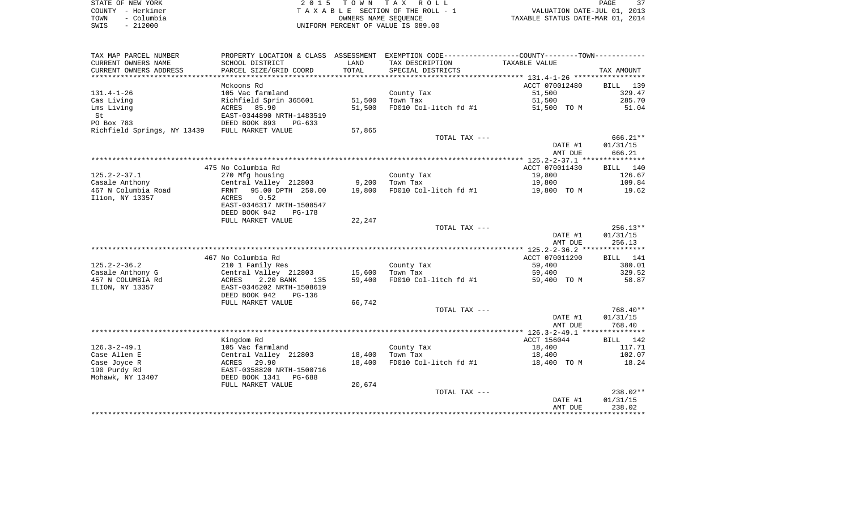| STATE OF NEW YORK  | 2015 TOWN TAX ROLL                 | 37<br>PAGE                       |
|--------------------|------------------------------------|----------------------------------|
| COUNTY - Herkimer  | TAXABLE SECTION OF THE ROLL - 1    | VALUATION DATE-JUL 01, 2013      |
| - Columbia<br>TOWN | OWNERS NAME SEOUENCE               | TAXABLE STATUS DATE-MAR 01, 2014 |
| 212000<br>SWIS     | UNIFORM PERCENT OF VALUE IS 089.00 |                                  |

| TAX MAP PARCEL NUMBER       |                                |        | PROPERTY LOCATION & CLASS ASSESSMENT EXEMPTION CODE----------------COUNTY--------TOWN---------- |                |            |
|-----------------------------|--------------------------------|--------|-------------------------------------------------------------------------------------------------|----------------|------------|
| CURRENT OWNERS NAME         | SCHOOL DISTRICT                | LAND   | TAX DESCRIPTION                                                                                 | TAXABLE VALUE  |            |
| CURRENT OWNERS ADDRESS      | PARCEL SIZE/GRID COORD         | TOTAL  | SPECIAL DISTRICTS                                                                               |                | TAX AMOUNT |
| ***********************     |                                |        |                                                                                                 |                |            |
|                             | Mckoons Rd                     |        |                                                                                                 | ACCT 070012480 | BILL 139   |
| $131.4 - 1 - 26$            | 105 Vac farmland               |        | County Tax                                                                                      | 51,500         | 329.47     |
| Cas Living                  | Richfield Sprin 365601         | 51,500 | Town Tax                                                                                        | 51,500         | 285.70     |
| Lms Living                  | ACRES 85.90                    | 51,500 | FD010 Col-litch fd #1                                                                           | 51,500 TO M    | 51.04      |
| St                          | EAST-0344890 NRTH-1483519      |        |                                                                                                 |                |            |
| PO Box 783                  | DEED BOOK 893<br>$PG-633$      |        |                                                                                                 |                |            |
| Richfield Springs, NY 13439 | FULL MARKET VALUE              | 57,865 |                                                                                                 |                |            |
|                             |                                |        | TOTAL TAX ---                                                                                   |                | 666.21**   |
|                             |                                |        |                                                                                                 | DATE #1        | 01/31/15   |
|                             |                                |        |                                                                                                 | AMT DUE        | 666.21     |
|                             | 475 No Columbia Rd             |        |                                                                                                 | ACCT 070011430 | BILL 140   |
| $125.2 - 2 - 37.1$          | 270 Mfg housing                |        | County Tax                                                                                      | 19,800         | 126.67     |
| Casale Anthony              | Central Valley 212803          | 9,200  | Town Tax                                                                                        | 19,800         | 109.84     |
| 467 N Columbia Road         | 95.00 DPTH 250.00<br>FRNT      | 19,800 | FD010 Col-litch fd #1                                                                           | 19,800 TO M    | 19.62      |
| Ilion, NY 13357             | ACRES<br>0.52                  |        |                                                                                                 |                |            |
|                             | EAST-0346317 NRTH-1508547      |        |                                                                                                 |                |            |
|                             | DEED BOOK 942<br><b>PG-178</b> |        |                                                                                                 |                |            |
|                             | FULL MARKET VALUE              | 22,247 |                                                                                                 |                |            |
|                             |                                |        | TOTAL TAX ---                                                                                   |                | $256.13**$ |
|                             |                                |        |                                                                                                 | DATE #1        | 01/31/15   |
|                             |                                |        |                                                                                                 | AMT DUE        | 256.13     |
|                             |                                |        |                                                                                                 |                |            |
|                             | 467 No Columbia Rd             |        |                                                                                                 | ACCT 070011290 | BILL 141   |
| $125.2 - 2 - 36.2$          | 210 1 Family Res               |        | County Tax                                                                                      | 59,400         | 380.01     |
| Casale Anthony G            | Central Valley 212803          | 15,600 | Town Tax                                                                                        | 59,400         | 329.52     |
| 457 N COLUMBIA Rd           | ACRES<br>2.20 BANK<br>135      | 59,400 | FD010 Col-litch fd #1                                                                           | 59,400 TO M    | 58.87      |
| ILION, NY 13357             | EAST-0346202 NRTH-1508619      |        |                                                                                                 |                |            |
|                             | DEED BOOK 942<br>$PG-136$      |        |                                                                                                 |                |            |
|                             | FULL MARKET VALUE              | 66,742 |                                                                                                 |                |            |
|                             |                                |        | TOTAL TAX ---                                                                                   |                | 768.40**   |
|                             |                                |        |                                                                                                 | DATE #1        | 01/31/15   |
|                             |                                |        |                                                                                                 | AMT DUE        | 768.40     |
|                             | Kingdom Rd                     |        |                                                                                                 | ACCT 156044    | BILL 142   |
| $126.3 - 2 - 49.1$          | 105 Vac farmland               |        | County Tax                                                                                      | 18,400         | 117.71     |
| Case Allen E                | Central Valley 212803          | 18,400 | Town Tax                                                                                        | 18,400         | 102.07     |
| Case Joyce R                | 29.90<br>ACRES                 | 18,400 | FD010 Col-litch fd #1                                                                           | 18,400 TO M    | 18.24      |
| 190 Purdy Rd                | EAST-0358820 NRTH-1500716      |        |                                                                                                 |                |            |
| Mohawk, NY 13407            | DEED BOOK 1341<br>PG-688       |        |                                                                                                 |                |            |
|                             | FULL MARKET VALUE              | 20,674 |                                                                                                 |                |            |
|                             |                                |        | TOTAL TAX ---                                                                                   |                | $238.02**$ |
|                             |                                |        |                                                                                                 | DATE #1        | 01/31/15   |
|                             |                                |        |                                                                                                 | AMT DUE        | 238.02     |
|                             |                                |        |                                                                                                 |                |            |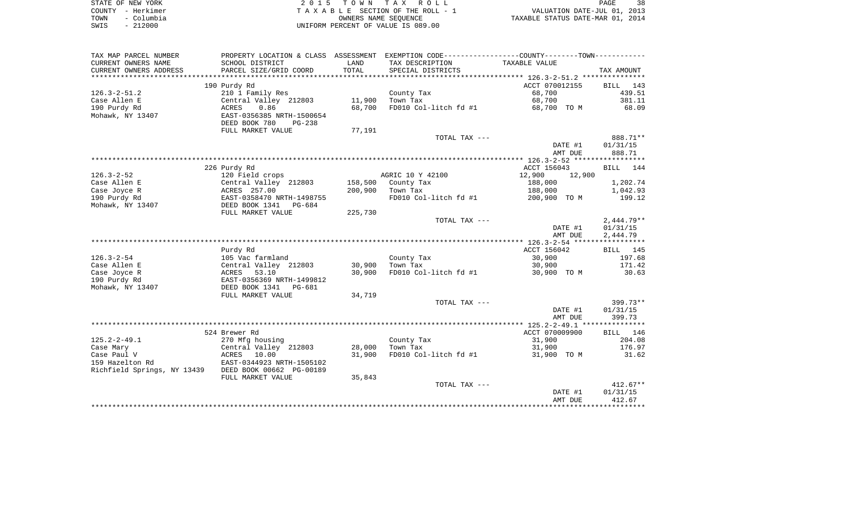| STATE OF NEW YORK  | 2015 TOWN TAX ROLL                 | 38<br>PAGE                       |
|--------------------|------------------------------------|----------------------------------|
| COUNTY - Herkimer  | TAXABLE SECTION OF THE ROLL - 1    | VALUATION DATE-JUL 01, 2013      |
| - Columbia<br>TOWN | OWNERS NAME SEOUENCE               | TAXABLE STATUS DATE-MAR 01, 2014 |
| $-212000$<br>SWIS  | UNIFORM PERCENT OF VALUE IS 089.00 |                                  |

| TAX MAP PARCEL NUMBER                                | PROPERTY LOCATION & CLASS | ASSESSMENT     | EXEMPTION CODE-----------------COUNTY--------TOWN----------- |                  |              |
|------------------------------------------------------|---------------------------|----------------|--------------------------------------------------------------|------------------|--------------|
| CURRENT OWNERS NAME                                  | SCHOOL DISTRICT           | LAND           | TAX DESCRIPTION                                              | TAXABLE VALUE    |              |
| CURRENT OWNERS ADDRESS                               | PARCEL SIZE/GRID COORD    | TOTAL          | SPECIAL DISTRICTS                                            |                  | TAX AMOUNT   |
| *****************                                    | ************************* | ************** |                                                              |                  |              |
|                                                      | 190 Purdy Rd              |                |                                                              | ACCT 070012155   | BILL<br>143  |
| $126.3 - 2 - 51.2$                                   | 210 1 Family Res          |                | County Tax                                                   | 68,700           | 439.51       |
| Case Allen E                                         | Central Valley 212803     | 11,900         | Town Tax                                                     | 68,700           | 381.11       |
| 190 Purdy Rd                                         | 0.86<br>ACRES             | 68,700         | FD010 Col-litch fd #1                                        | 68,700 TO M      | 68.09        |
| Mohawk, NY 13407                                     | EAST-0356385 NRTH-1500654 |                |                                                              |                  |              |
|                                                      | DEED BOOK 780<br>$PG-238$ |                |                                                              |                  |              |
|                                                      | FULL MARKET VALUE         | 77,191         |                                                              |                  |              |
|                                                      |                           |                | TOTAL TAX ---                                                |                  | 888.71**     |
|                                                      |                           |                |                                                              | DATE #1          | 01/31/15     |
|                                                      |                           |                |                                                              | AMT DUE          | 888.71       |
|                                                      |                           |                |                                                              |                  |              |
|                                                      |                           |                |                                                              |                  |              |
|                                                      | 226 Purdy Rd              |                |                                                              | ACCT 156043      | BILL<br>144  |
| $126.3 - 2 - 52$                                     | 120 Field crops           |                | AGRIC 10 Y 42100                                             | 12,900<br>12,900 |              |
| Case Allen E                                         | Central Valley 212803     | 158,500        | County Tax                                                   | 188,000          | 1,202.74     |
| Case Joyce R                                         | ACRES 257.00              | 200,900        | Town Tax                                                     | 188,000          | 1,042.93     |
| 190 Purdy Rd                                         | EAST-0358470 NRTH-1498755 |                | FD010 Col-litch fd #1                                        | 200,900 TO M     | 199.12       |
| Mohawk, NY 13407                                     | DEED BOOK 1341<br>PG-684  |                |                                                              |                  |              |
|                                                      | FULL MARKET VALUE         | 225,730        |                                                              |                  |              |
|                                                      |                           |                | TOTAL TAX ---                                                |                  | $2,444.79**$ |
|                                                      |                           |                |                                                              | DATE #1          | 01/31/15     |
|                                                      |                           |                |                                                              | AMT DUE          | 2,444.79     |
|                                                      |                           |                |                                                              |                  |              |
|                                                      | Purdy Rd                  |                |                                                              | ACCT 156042      | BILL 145     |
| $126.3 - 2 - 54$                                     | 105 Vac farmland          |                | County Tax                                                   | 30,900           | 197.68       |
| Case Allen E                                         | Central Valley 212803     | 30,900         | Town Tax                                                     | 30,900           | 171.42       |
| Case Joyce R                                         | 53.10<br>ACRES            | 30,900         | FD010 Col-litch fd #1                                        | 30,900 TO M      | 30.63        |
| 190 Purdy Rd                                         | EAST-0356369 NRTH-1499812 |                |                                                              |                  |              |
| Mohawk, NY 13407                                     | DEED BOOK 1341<br>PG-681  |                |                                                              |                  |              |
|                                                      | FULL MARKET VALUE         | 34,719         |                                                              |                  |              |
|                                                      |                           |                | TOTAL TAX ---                                                |                  | 399.73**     |
|                                                      |                           |                |                                                              | DATE #1          | 01/31/15     |
|                                                      |                           |                |                                                              | AMT DUE          | 399.73       |
|                                                      |                           |                |                                                              |                  |              |
|                                                      | 524 Brewer Rd             |                |                                                              | ACCT 070009900   | BILL 146     |
| $125.2 - 2 - 49.1$                                   | 270 Mfg housing           |                | County Tax                                                   | 31,900           | 204.08       |
| Case Mary                                            | Central Valley 212803     | 28,000         | Town Tax                                                     | 31,900           | 176.97       |
| Case Paul V                                          | ACRES 10.00               | 31,900         | FD010 Col-litch fd #1                                        | 31,900 TO M      | 31.62        |
| 159 Hazelton Rd                                      | EAST-0344923 NRTH-1505102 |                |                                                              |                  |              |
| Richfield Springs, NY 13439 DEED BOOK 00662 PG-00189 |                           |                |                                                              |                  |              |
|                                                      | FULL MARKET VALUE         | 35,843         |                                                              |                  |              |
|                                                      |                           |                | TOTAL TAX ---                                                |                  | $412.67**$   |
|                                                      |                           |                |                                                              | DATE #1          | 01/31/15     |
|                                                      |                           |                |                                                              | AMT DUE          | 412.67       |
|                                                      |                           |                |                                                              |                  |              |
|                                                      |                           |                |                                                              |                  |              |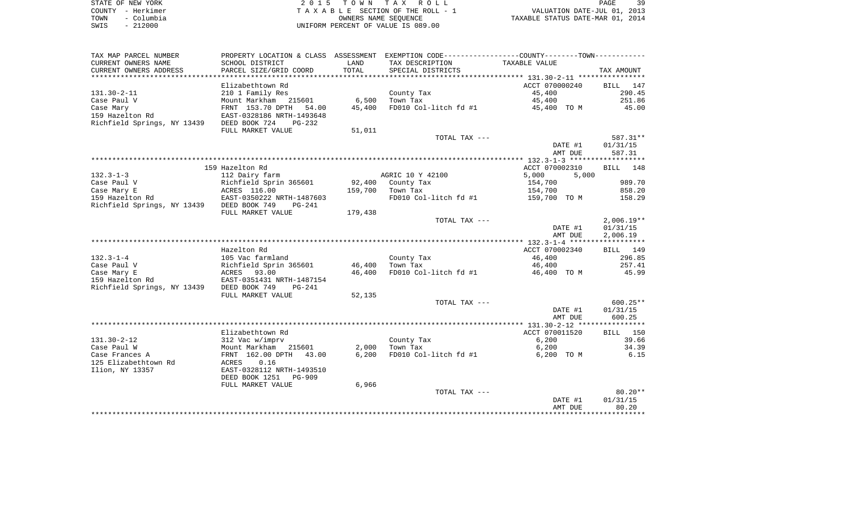| STATE OF NEW YORK  | 2015 TOWN TAX ROLL                 | 39<br>PAGE                       |
|--------------------|------------------------------------|----------------------------------|
| COUNTY - Herkimer  | TAXABLE SECTION OF THE ROLL - 1    | VALUATION DATE-JUL 01, 2013      |
| - Columbia<br>TOWN | OWNERS NAME SEOUENCE               | TAXABLE STATUS DATE-MAR 01, 2014 |
| $-212000$<br>SWIS  | UNIFORM PERCENT OF VALUE IS 089.00 |                                  |

| TAX MAP PARCEL NUMBER       |                                                   |                | PROPERTY LOCATION & CLASS ASSESSMENT EXEMPTION CODE----------------COUNTY-------TOWN---------- |                                  |               |
|-----------------------------|---------------------------------------------------|----------------|------------------------------------------------------------------------------------------------|----------------------------------|---------------|
| CURRENT OWNERS NAME         | SCHOOL DISTRICT                                   | LAND           | TAX DESCRIPTION                                                                                | TAXABLE VALUE                    |               |
| CURRENT OWNERS ADDRESS      | PARCEL SIZE/GRID COORD                            | TOTAL          | SPECIAL DISTRICTS                                                                              |                                  | TAX AMOUNT    |
| ***********************     |                                                   |                |                                                                                                |                                  |               |
|                             | Elizabethtown Rd                                  |                |                                                                                                | ACCT 070000240                   | BILL<br>147   |
| $131.30 - 2 - 11$           | 210 1 Family Res                                  |                | County Tax                                                                                     | 45,400                           | 290.45        |
| Case Paul V                 | Mount Markham 215601                              | 6,500          | Town Tax                                                                                       | 45,400                           | 251.86        |
| Case Mary                   | FRNT 153.70 DPTH<br>54.00                         | 45,400         | FD010 Col-litch fd #1                                                                          | 45,400 TO M                      | 45.00         |
| 159 Hazelton Rd             | EAST-0328186 NRTH-1493648                         |                |                                                                                                |                                  |               |
| Richfield Springs, NY 13439 | DEED BOOK 724<br>$PG-232$                         |                |                                                                                                |                                  |               |
|                             | FULL MARKET VALUE                                 | 51,011         |                                                                                                |                                  |               |
|                             |                                                   |                | TOTAL TAX ---                                                                                  |                                  | 587.31**      |
|                             |                                                   |                |                                                                                                | DATE #1                          | 01/31/15      |
|                             |                                                   |                |                                                                                                | AMT DUE                          | 587.31        |
|                             |                                                   |                |                                                                                                |                                  | 148           |
| $132.3 - 1 - 3$             | 159 Hazelton Rd                                   |                | AGRIC 10 Y 42100                                                                               | ACCT 070002310<br>5,000<br>5,000 | BILL          |
| Case Paul V                 | 112 Dairy farm<br>Richfield Sprin 365601          | 92,400         | County Tax                                                                                     | 154,700                          | 989.70        |
| Case Mary E                 | ACRES 116.00                                      | 159,700        | Town Tax                                                                                       | 154,700                          | 858.20        |
| 159 Hazelton Rd             | EAST-0350222 NRTH-1487603                         |                | FD010 Col-litch fd #1                                                                          | 159,700 TO M                     | 158.29        |
| Richfield Springs, NY 13439 | DEED BOOK 749<br>$PG-241$                         |                |                                                                                                |                                  |               |
|                             | FULL MARKET VALUE                                 | 179,438        |                                                                                                |                                  |               |
|                             |                                                   |                | TOTAL TAX ---                                                                                  |                                  | $2,006.19**$  |
|                             |                                                   |                |                                                                                                | DATE #1                          | 01/31/15      |
|                             |                                                   |                |                                                                                                | AMT DUE                          | 2,006.19      |
|                             |                                                   |                |                                                                                                |                                  |               |
|                             | Hazelton Rd                                       |                |                                                                                                | ACCT 070002340                   | BILL 149      |
| $132.3 - 1 - 4$             | 105 Vac farmland                                  |                | County Tax                                                                                     | 46,400                           | 296.85        |
| Case Paul V                 | Richfield Sprin 365601                            | 46,400         | Town Tax                                                                                       | 46,400                           | 257.41        |
| Case Mary E                 | ACRES 93.00                                       | 46,400         | FD010 Col-litch fd #1                                                                          | 46,400 TO M                      | 45.99         |
| 159 Hazelton Rd             | EAST-0351431 NRTH-1487154                         |                |                                                                                                |                                  |               |
| Richfield Springs, NY 13439 | DEED BOOK 749<br>$PG-241$                         |                |                                                                                                |                                  |               |
|                             | FULL MARKET VALUE                                 | 52,135         |                                                                                                |                                  |               |
|                             |                                                   |                | TOTAL TAX ---                                                                                  |                                  | $600.25**$    |
|                             |                                                   |                |                                                                                                | DATE #1                          | 01/31/15      |
|                             |                                                   |                |                                                                                                | AMT DUE                          | 600.25        |
|                             |                                                   |                |                                                                                                |                                  |               |
| $131.30 - 2 - 12$           | Elizabethtown Rd                                  |                |                                                                                                | ACCT 070011520                   | BILL 150      |
| Case Paul W                 | 312 Vac w/imprv                                   |                | County Tax<br>Town Tax                                                                         | 6,200                            | 39.66         |
| Case Frances A              | Mount Markham 215601<br>FRNT 162.00 DPTH<br>43.00 | 2,000<br>6,200 | FD010 Col-litch fd #1                                                                          | 6,200<br>6,200 TO M              | 34.39<br>6.15 |
| 125 Elizabethtown Rd        | ACRES<br>0.16                                     |                |                                                                                                |                                  |               |
| Ilion, NY 13357             | EAST-0328112 NRTH-1493510                         |                |                                                                                                |                                  |               |
|                             | DEED BOOK 1251<br><b>PG-909</b>                   |                |                                                                                                |                                  |               |
|                             | FULL MARKET VALUE                                 | 6,966          |                                                                                                |                                  |               |
|                             |                                                   |                | TOTAL TAX ---                                                                                  |                                  | $80.20**$     |
|                             |                                                   |                |                                                                                                | DATE #1                          | 01/31/15      |
|                             |                                                   |                |                                                                                                | AMT DUE                          | 80.20         |
|                             |                                                   |                |                                                                                                |                                  |               |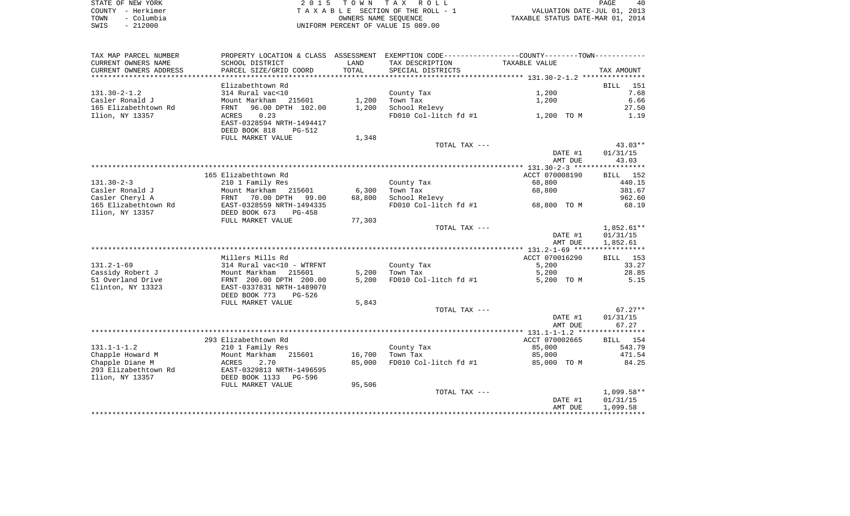|      | STATE OF NEW YORK | 2015 TOWN TAX ROLL                 | 40<br>PAGE                       |
|------|-------------------|------------------------------------|----------------------------------|
|      | COUNTY - Herkimer | TAXABLE SECTION OF THE ROLL - 1    | VALUATION DATE-JUL 01, 2013      |
| TOWN | – Columbia        | OWNERS NAME SEOUENCE               | TAXABLE STATUS DATE-MAR 01, 2014 |
| SWIS | $-212000$         | UNIFORM PERCENT OF VALUE IS 089.00 |                                  |

| TAX MAP PARCEL NUMBER                   | PROPERTY LOCATION & CLASS ASSESSMENT EXEMPTION CODE----------------COUNTY--------TOWN----------- |        |                        |                    |                                      |
|-----------------------------------------|--------------------------------------------------------------------------------------------------|--------|------------------------|--------------------|--------------------------------------|
| CURRENT OWNERS NAME                     | SCHOOL DISTRICT                                                                                  | LAND   | TAX DESCRIPTION        | TAXABLE VALUE      |                                      |
| CURRENT OWNERS ADDRESS                  | PARCEL SIZE/GRID COORD                                                                           | TOTAL  | SPECIAL DISTRICTS      |                    | TAX AMOUNT                           |
|                                         |                                                                                                  |        |                        |                    |                                      |
|                                         | Elizabethtown Rd                                                                                 |        |                        |                    | 151<br>BILL                          |
| $131.30 - 2 - 1.2$                      | 314 Rural vac<10                                                                                 |        | County Tax             | 1,200              | 7.68                                 |
| Casler Ronald J                         | Mount Markham 215601                                                                             | 1,200  | Town Tax               | 1,200              | 6.66                                 |
| 165 Elizabethtown Rd                    | 96.00 DPTH 102.00<br>FRNT                                                                        | 1,200  | School Relevy          |                    | 27.50                                |
| Ilion, NY 13357                         | 0.23<br>ACRES<br>EAST-0328594 NRTH-1494417<br>DEED BOOK 818<br><b>PG-512</b>                     |        | FD010 Col-litch fd #1  | 1,200 TO M         | 1.19                                 |
|                                         | FULL MARKET VALUE                                                                                | 1,348  |                        |                    |                                      |
|                                         |                                                                                                  |        | TOTAL TAX ---          |                    | $43.03**$                            |
|                                         |                                                                                                  |        |                        | DATE #1            | 01/31/15                             |
|                                         |                                                                                                  |        |                        | AMT DUE            | 43.03                                |
|                                         |                                                                                                  |        |                        |                    |                                      |
|                                         | 165 Elizabethtown Rd                                                                             |        |                        | ACCT 070008190     | BILL 152                             |
| $131.30 - 2 - 3$                        | 210 1 Family Res                                                                                 |        | County Tax             | 68,800             | 440.15                               |
| Casler Ronald J                         | Mount Markham<br>215601                                                                          | 6,300  | Town Tax               | 68,800             | 381.67                               |
| Casler Cheryl A                         | FRNT 70.00 DPTH 99.00                                                                            | 68,800 | School Relevy          |                    | 962.60                               |
| 165 Elizabethtown Rd                    | EAST-0328559 NRTH-1494335                                                                        |        | FD010 Col-litch fd #1  | 68,800 TO M        | 68.19                                |
| Ilion, NY 13357                         | DEED BOOK 673<br>$PG-458$                                                                        |        |                        |                    |                                      |
|                                         | FULL MARKET VALUE                                                                                | 77,303 |                        |                    |                                      |
|                                         |                                                                                                  |        | TOTAL TAX ---          | DATE #1<br>AMT DUE | $1,852.61**$<br>01/31/15<br>1,852.61 |
|                                         |                                                                                                  |        |                        |                    |                                      |
|                                         | Millers Mills Rd                                                                                 |        |                        | ACCT 070016290     | BILL 153                             |
| $131.2 - 1 - 69$                        | 314 Rural vac<10 - WTRFNT                                                                        |        | County Tax             | 5,200              | 33.27                                |
| Cassidy Robert J                        | Mount Markham<br>215601                                                                          | 5,200  | Town Tax               | 5,200              | 28.85                                |
| 51 Overland Drive<br>Clinton, NY 13323  | FRNT 200.00 DPTH 200.00<br>EAST-0337831 NRTH-1489070<br>DEED BOOK 773<br><b>PG-526</b>           | 5,200  | FD010 Col-litch fd #1  | 5,200 TO M         | 5.15                                 |
|                                         | FULL MARKET VALUE                                                                                | 5,843  |                        |                    |                                      |
|                                         |                                                                                                  |        | TOTAL TAX ---          |                    | $67.27**$                            |
|                                         |                                                                                                  |        |                        | DATE #1<br>AMT DUE | 01/31/15<br>67.27                    |
|                                         | 293 Elizabethtown Rd                                                                             |        |                        | ACCT 070002665     | BILL 154                             |
| $131.1 - 1 - 1.2$                       |                                                                                                  |        |                        |                    | 543.79                               |
| Chapple Howard M                        | 210 1 Family Res<br>Mount Markham<br>215601                                                      | 16,700 | County Tax<br>Town Tax | 85,000<br>85,000   | 471.54                               |
| Chapple Diane M                         | ACRES<br>2.70                                                                                    | 85,000 | FD010 Col-litch fd #1  | 85,000 TO M        | 84.25                                |
| 293 Elizabethtown Rd<br>Ilion, NY 13357 | EAST-0329813 NRTH-1496595<br>DEED BOOK 1133<br>PG-596                                            |        |                        |                    |                                      |
|                                         | FULL MARKET VALUE                                                                                | 95,506 |                        |                    |                                      |
|                                         |                                                                                                  |        | TOTAL TAX ---          |                    | $1,099.58**$                         |
|                                         |                                                                                                  |        |                        | DATE #1<br>AMT DUE | 01/31/15<br>1,099.58                 |
|                                         |                                                                                                  |        |                        |                    |                                      |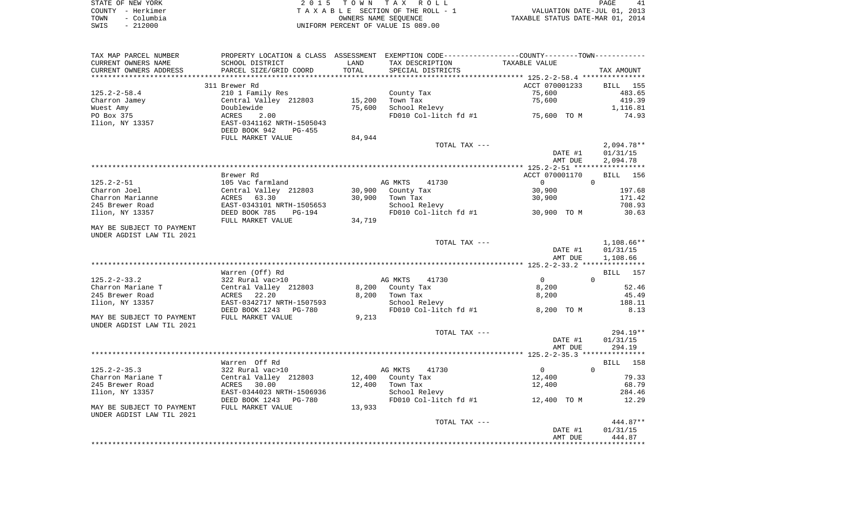|      | STATE OF NEW YORK | 2015 TOWN TAX ROLL                 | PAGE                             |
|------|-------------------|------------------------------------|----------------------------------|
|      | COUNTY - Herkimer | TAXABLE SECTION OF THE ROLL - 1    | VALUATION DATE-JUL 01, 2013      |
| TOWN | - Columbia        | OWNERS NAME SEOUENCE               | TAXABLE STATUS DATE-MAR 01, 2014 |
| SWIS | $-212000$         | UNIFORM PERCENT OF VALUE IS 089.00 |                                  |

| TAX MAP PARCEL NUMBER                                  |                                                             |        | PROPERTY LOCATION & CLASS ASSESSMENT EXEMPTION CODE---------------COUNTY-------TOWN---------- |                |                             |
|--------------------------------------------------------|-------------------------------------------------------------|--------|-----------------------------------------------------------------------------------------------|----------------|-----------------------------|
| CURRENT OWNERS NAME                                    | SCHOOL DISTRICT                                             | LAND   | TAX DESCRIPTION                                                                               | TAXABLE VALUE  |                             |
| CURRENT OWNERS ADDRESS                                 | PARCEL SIZE/GRID COORD                                      | TOTAL  | SPECIAL DISTRICTS                                                                             |                | TAX AMOUNT                  |
|                                                        |                                                             |        |                                                                                               |                |                             |
|                                                        | 311 Brewer Rd                                               |        |                                                                                               | ACCT 070001233 | <b>BILL</b> 155             |
| $125.2 - 2 - 58.4$                                     | 210 1 Family Res                                            |        | County Tax                                                                                    | 75,600         | 483.65                      |
| Charron Jamey                                          | Central Valley 212803                                       | 15,200 | Town Tax                                                                                      | 75,600         | 419.39                      |
| Wuest Amy                                              | Doublewide                                                  | 75,600 | School Relevy                                                                                 |                | 1,116.81                    |
| PO Box 375                                             | 2.00<br>ACRES                                               |        | FD010 Col-litch fd #1                                                                         | 75,600 TO M    | 74.93                       |
| Ilion, NY 13357                                        | EAST-0341162 NRTH-1505043<br>DEED BOOK 942<br><b>PG-455</b> |        |                                                                                               |                |                             |
|                                                        | FULL MARKET VALUE                                           | 84,944 |                                                                                               |                |                             |
|                                                        |                                                             |        | TOTAL TAX ---                                                                                 |                | $2,094.78**$                |
|                                                        |                                                             |        |                                                                                               | DATE #1        | 01/31/15                    |
|                                                        |                                                             |        |                                                                                               | AMT DUE        | 2,094.78                    |
|                                                        |                                                             |        |                                                                                               |                |                             |
|                                                        | Brewer Rd                                                   |        |                                                                                               | ACCT 070001170 | 156<br>BILL                 |
| $125.2 - 2 - 51$                                       | 105 Vac farmland                                            |        | AG MKTS<br>41730                                                                              | 0              | $\Omega$                    |
| Charron Joel                                           | Central Valley 212803                                       | 30,900 | County Tax                                                                                    | 30,900         | 197.68                      |
| Charron Marianne                                       | ACRES<br>63.30                                              | 30,900 | Town Tax                                                                                      | 30,900         | 171.42                      |
| 245 Brewer Road                                        | EAST-0343101 NRTH-1505653                                   |        | School Relevy                                                                                 |                | 708.93                      |
| Ilion, NY 13357                                        | DEED BOOK 785<br>PG-194                                     |        | FD010 Col-litch fd #1 30,900 TO M                                                             |                | 30.63                       |
|                                                        | FULL MARKET VALUE                                           | 34,719 |                                                                                               |                |                             |
| MAY BE SUBJECT TO PAYMENT                              |                                                             |        |                                                                                               |                |                             |
| UNDER AGDIST LAW TIL 2021                              |                                                             |        |                                                                                               |                |                             |
|                                                        |                                                             |        | TOTAL TAX ---                                                                                 |                | $1,108.66**$                |
|                                                        |                                                             |        |                                                                                               | DATE #1        | 01/31/15                    |
|                                                        |                                                             |        |                                                                                               | AMT DUE        | 1,108.66                    |
|                                                        |                                                             |        |                                                                                               |                |                             |
|                                                        | Warren (Off) Rd                                             |        |                                                                                               |                | <b>BILL</b> 157             |
| $125.2 - 2 - 33.2$                                     | 322 Rural vac>10                                            |        | AG MKTS<br>41730                                                                              | $\Omega$       | $\Omega$                    |
| Charron Mariane T                                      | Central Valley 212803                                       | 8,200  | County Tax                                                                                    | 8,200          | 52.46                       |
| 245 Brewer Road                                        | ACRES 22.20                                                 | 8,200  | Town Tax                                                                                      | 8,200          | 45.49                       |
| Ilion, NY 13357                                        | EAST-0342717 NRTH-1507593                                   |        | School Relevy                                                                                 |                | 188.11                      |
|                                                        | DEED BOOK 1243<br>PG-780                                    |        | FD010 Col-litch fd #1                                                                         | 8,200 TO M     | 8.13                        |
| MAY BE SUBJECT TO PAYMENT                              | FULL MARKET VALUE                                           | 9,213  |                                                                                               |                |                             |
| UNDER AGDIST LAW TIL 2021                              |                                                             |        |                                                                                               |                |                             |
|                                                        |                                                             |        | TOTAL TAX ---                                                                                 |                | 294.19**                    |
|                                                        |                                                             |        |                                                                                               | DATE #1        | 01/31/15                    |
|                                                        |                                                             |        |                                                                                               | AMT DUE        | 294.19                      |
|                                                        |                                                             |        |                                                                                               |                |                             |
|                                                        | Warren Off Rd                                               |        |                                                                                               |                | <b>BILL</b> 158<br>$\Omega$ |
| $125.2 - 2 - 35.3$                                     | 322 Rural vac>10                                            |        | AG MKTS<br>41730                                                                              | $\overline{0}$ |                             |
| Charron Mariane T                                      | Central Valley 212803                                       | 12,400 | County Tax                                                                                    | 12,400         | 79.33                       |
| 245 Brewer Road                                        | ACRES 30.00                                                 | 12,400 | Town Tax                                                                                      | 12,400         | 68.79                       |
| Ilion, NY 13357                                        | EAST-0344023 NRTH-1506936                                   |        | School Relevy<br>FD010 Col-litch fd #1                                                        |                | 284.46                      |
|                                                        | DEED BOOK 1243<br>PG-780                                    |        |                                                                                               | 12,400 TO M    | 12.29                       |
| MAY BE SUBJECT TO PAYMENT<br>UNDER AGDIST LAW TIL 2021 | FULL MARKET VALUE                                           | 13,933 |                                                                                               |                |                             |
|                                                        |                                                             |        | TOTAL TAX ---                                                                                 |                | 444.87**                    |
|                                                        |                                                             |        |                                                                                               | DATE #1        | 01/31/15                    |
|                                                        |                                                             |        |                                                                                               | AMT DUE        | 444.87                      |
|                                                        |                                                             |        |                                                                                               |                |                             |
|                                                        |                                                             |        |                                                                                               |                |                             |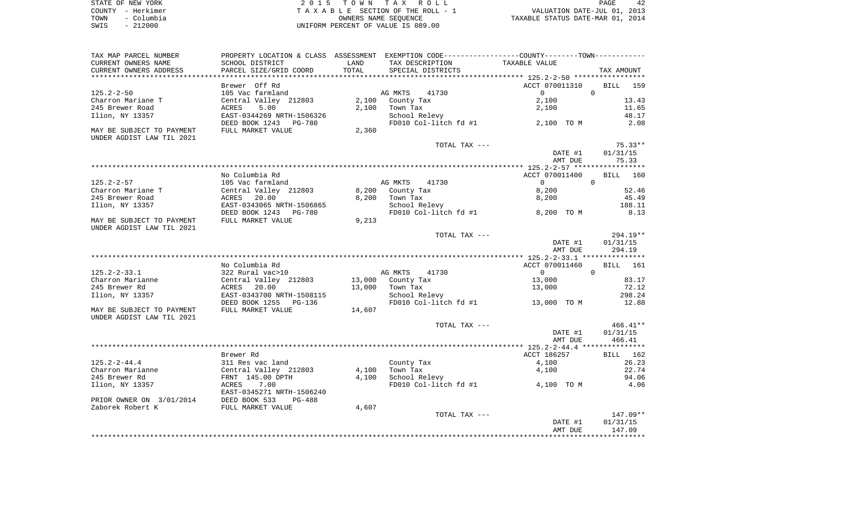| STATE OF NEW YORK  | 2015 TOWN TAX ROLL                 | PAGE                             |
|--------------------|------------------------------------|----------------------------------|
| COUNTY - Herkimer  | TAXABLE SECTION OF THE ROLL - 1    | VALUATION DATE-JUL 01, 2013      |
| – Columbia<br>TOWN | OWNERS NAME SEOUENCE               | TAXABLE STATUS DATE-MAR 01, 2014 |
| $-212000$<br>SWIS  | UNIFORM PERCENT OF VALUE IS 089.00 |                                  |

| TAX MAP PARCEL NUMBER     | PROPERTY LOCATION & CLASS ASSESSMENT EXEMPTION CODE----------------COUNTY-------TOWN----------- |               |                       |                                      |                    |
|---------------------------|-------------------------------------------------------------------------------------------------|---------------|-----------------------|--------------------------------------|--------------------|
| CURRENT OWNERS NAME       | SCHOOL DISTRICT                                                                                 | LAND<br>TOTAL | TAX DESCRIPTION       | TAXABLE VALUE                        |                    |
| CURRENT OWNERS ADDRESS    | PARCEL SIZE/GRID COORD                                                                          |               | SPECIAL DISTRICTS     | ************ 125.2-2-50 ************ | TAX AMOUNT         |
|                           | Brewer Off Rd                                                                                   |               |                       | ACCT 070011310                       | BILL<br>159        |
| $125.2 - 2 - 50$          | 105 Vac farmland                                                                                |               | AG MKTS<br>41730      | $\mathbf{0}$                         | 0                  |
| Charron Mariane T         | Central Valley 212803                                                                           | 2,100         | County Tax            | 2,100                                | 13.43              |
| 245 Brewer Road           | 5.00<br>ACRES                                                                                   | 2,100         | Town Tax              | 2,100                                | 11.65              |
| Ilion, NY 13357           | EAST-0344269 NRTH-1506326                                                                       |               | School Relevy         |                                      | 48.17              |
|                           | DEED BOOK 1243                                                                                  |               | FD010 Col-litch fd #1 | 2,100 TO M                           | 2.08               |
| MAY BE SUBJECT TO PAYMENT | PG-780<br>FULL MARKET VALUE                                                                     | 2,360         |                       |                                      |                    |
| UNDER AGDIST LAW TIL 2021 |                                                                                                 |               |                       |                                      |                    |
|                           |                                                                                                 |               | TOTAL TAX ---         |                                      | $75.33**$          |
|                           |                                                                                                 |               |                       | DATE #1                              | 01/31/15           |
|                           |                                                                                                 |               |                       | AMT DUE                              | 75.33              |
|                           |                                                                                                 |               |                       |                                      |                    |
|                           | No Columbia Rd                                                                                  |               |                       | ACCT 070011400                       | <b>BILL</b> 160    |
| $125.2 - 2 - 57$          | 105 Vac farmland                                                                                |               | AG MKTS<br>41730      | $\overline{0}$                       | $\mathbf 0$        |
| Charron Mariane T         | Central Valley 212803                                                                           | 8,200         | County Tax            | 8,200                                | 52.46              |
| 245 Brewer Road           | 20.00<br>ACRES                                                                                  | 8,200         | Town Tax              | 8,200                                | 45.49              |
| Ilion, NY 13357           | EAST-0343065 NRTH-1506865                                                                       |               | School Relevy         |                                      | 188.11             |
|                           | DEED BOOK 1243<br>PG-780                                                                        |               | FD010 Col-litch fd #1 | 8,200 TO M                           | 8.13               |
| MAY BE SUBJECT TO PAYMENT | FULL MARKET VALUE                                                                               | 9,213         |                       |                                      |                    |
| UNDER AGDIST LAW TIL 2021 |                                                                                                 |               |                       |                                      |                    |
|                           |                                                                                                 |               | TOTAL TAX ---         |                                      | $294.19**$         |
|                           |                                                                                                 |               |                       | DATE #1                              | 01/31/15           |
|                           |                                                                                                 |               |                       | AMT DUE                              | 294.19             |
|                           |                                                                                                 |               |                       |                                      |                    |
|                           | No Columbia Rd                                                                                  |               |                       | ACCT 070011460                       | <b>BILL</b><br>161 |
| $125.2 - 2 - 33.1$        | 322 Rural vac>10                                                                                |               | AG MKTS<br>41730      | $\mathbf 0$                          | $\mathbf 0$        |
| Charron Marianne          | Central Valley 212803                                                                           | 13,000        | County Tax            | 13,000                               | 83.17              |
| 245 Brewer Rd             | ACRES<br>20.00                                                                                  | 13,000        | Town Tax              | 13,000                               | 72.12              |
| Ilion, NY 13357           | EAST-0343700 NRTH-1508115                                                                       |               | School Relevy         |                                      | 298.24             |
|                           | DEED BOOK 1255<br>PG-136                                                                        |               | FD010 Col-litch fd #1 | 13,000 TO M                          | 12.88              |
| MAY BE SUBJECT TO PAYMENT | FULL MARKET VALUE                                                                               | 14,607        |                       |                                      |                    |
| UNDER AGDIST LAW TIL 2021 |                                                                                                 |               |                       |                                      |                    |
|                           |                                                                                                 |               | TOTAL TAX ---         |                                      | $466.41**$         |
|                           |                                                                                                 |               |                       | DATE #1                              | 01/31/15           |
|                           |                                                                                                 |               |                       | AMT DUE                              | 466.41             |
|                           |                                                                                                 |               |                       |                                      |                    |
|                           | Brewer Rd                                                                                       |               |                       | ACCT 186257                          | BILL<br>162        |
| $125.2 - 2 - 44.4$        | 311 Res vac land                                                                                |               | County Tax            | 4,100                                | 26.23              |
| Charron Marianne          | Central Valley 212803                                                                           | 4,100         | Town Tax              | 4,100                                | 22.74              |
| 245 Brewer Rd             | FRNT 145.00 DPTH                                                                                | 4,100         | School Relevy         |                                      | 94.06              |
| Ilion, NY 13357           | 7.00<br>ACRES                                                                                   |               | FD010 Col-litch fd #1 | 4,100 TO M                           | 4.06               |
|                           | EAST-0345271 NRTH-1506240                                                                       |               |                       |                                      |                    |
| PRIOR OWNER ON 3/01/2014  | DEED BOOK 533<br>$PG-488$                                                                       |               |                       |                                      |                    |
| Zaborek Robert K          | FULL MARKET VALUE                                                                               | 4,607         |                       |                                      |                    |
|                           |                                                                                                 |               | TOTAL TAX ---         |                                      | 147.09**           |
|                           |                                                                                                 |               |                       | DATE #1                              | 01/31/15           |
|                           |                                                                                                 |               |                       | AMT DUE                              | 147.09             |
|                           |                                                                                                 |               |                       |                                      |                    |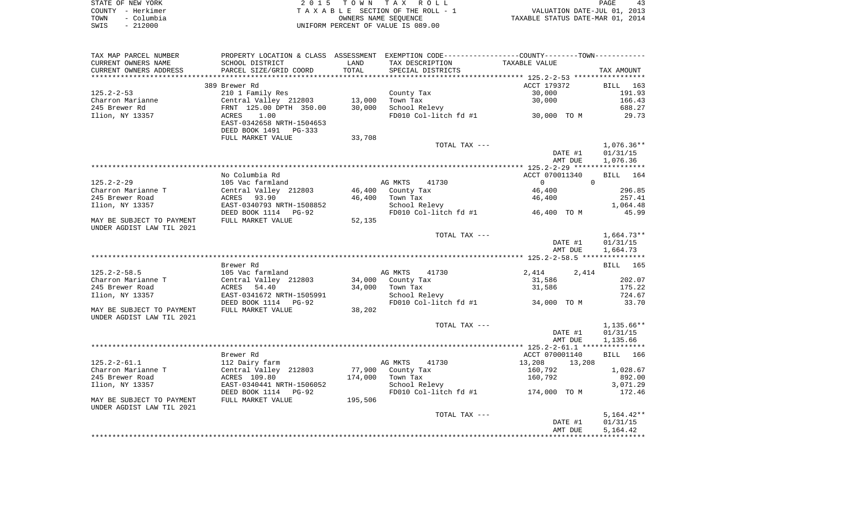|      | STATE OF NEW YORK | 2015 TOWN TAX ROLL                 | PAGE                             | 43 |
|------|-------------------|------------------------------------|----------------------------------|----|
|      | COUNTY - Herkimer | TAXABLE SECTION OF THE ROLL - 1    | VALUATION DATE-JUL 01, 2013      |    |
| TOWN | - Columbia        | OWNERS NAME SEOUENCE               | TAXABLE STATUS DATE-MAR 01, 2014 |    |
| SWIS | $-212000$         | UNIFORM PERCENT OF VALUE IS 089.00 |                                  |    |

| TAX MAP PARCEL NUMBER                 |                                         |                  |                        | PROPERTY LOCATION & CLASS ASSESSMENT EXEMPTION CODE---------------COUNTY-------TOWN---------- |                          |
|---------------------------------------|-----------------------------------------|------------------|------------------------|-----------------------------------------------------------------------------------------------|--------------------------|
| CURRENT OWNERS NAME                   | SCHOOL DISTRICT                         | LAND             | TAX DESCRIPTION        | TAXABLE VALUE                                                                                 |                          |
| CURRENT OWNERS ADDRESS                | PARCEL SIZE/GRID COORD                  | TOTAL            | SPECIAL DISTRICTS      |                                                                                               | TAX AMOUNT               |
|                                       |                                         |                  |                        |                                                                                               |                          |
|                                       | 389 Brewer Rd                           |                  |                        | ACCT 179372                                                                                   | BILL 163                 |
| $125.2 - 2 - 53$                      | 210 1 Family Res                        |                  | County Tax             | 30,000                                                                                        | 191.93                   |
| Charron Marianne                      | Central Valley 212803                   | 13,000           | Town Tax               | 30,000                                                                                        | 166.43                   |
| 245 Brewer Rd                         | FRNT 125.00 DPTH 350.00                 | 30,000           | School Relevy          |                                                                                               | 688.27                   |
| Ilion, NY 13357                       | 1.00<br>ACRES                           |                  |                        | FD010 Col-litch fd #1 30,000 TO M                                                             | 29.73                    |
|                                       | EAST-0342658 NRTH-1504653               |                  |                        |                                                                                               |                          |
|                                       | DEED BOOK 1491<br>PG-333                |                  |                        |                                                                                               |                          |
|                                       | FULL MARKET VALUE                       | 33,708           |                        |                                                                                               |                          |
|                                       |                                         |                  | TOTAL TAX ---          | DATE #1                                                                                       | $1,076.36**$             |
|                                       |                                         |                  |                        | AMT DUE                                                                                       | 01/31/15<br>1,076.36     |
|                                       |                                         |                  |                        |                                                                                               |                          |
|                                       | No Columbia Rd                          |                  |                        | ACCT 070011340                                                                                | BILL 164                 |
| 125.2-2-29                            | 105 Vac farmland                        |                  | AG MKTS<br>41730       | $\mathbf 0$<br>$\overline{0}$                                                                 |                          |
| Charron Marianne T                    | Central Valley 212803                   | 46,400           | County Tax             | 46,400                                                                                        | 296.85                   |
| 245 Brewer Road                       | ACRES 93.90                             | 46,400           | Town Tax               | 46,400                                                                                        | 257.41                   |
| Ilion, NY 13357                       | EAST-0340793 NRTH-1508852               |                  | School Relevy          |                                                                                               | 1,064.48                 |
|                                       | DEED BOOK 1114 PG-92                    |                  | FD010 Col-litch fd #1  | 46,400 TO M                                                                                   | 45.99                    |
| MAY BE SUBJECT TO PAYMENT             | FULL MARKET VALUE                       | 52,135           |                        |                                                                                               |                          |
| UNDER AGDIST LAW TIL 2021             |                                         |                  |                        |                                                                                               |                          |
|                                       |                                         |                  | TOTAL TAX ---          |                                                                                               | $1,664.73**$             |
|                                       |                                         |                  |                        | DATE #1                                                                                       | 01/31/15                 |
|                                       |                                         |                  |                        | AMT DUE                                                                                       | 1,664.73                 |
|                                       |                                         |                  |                        |                                                                                               |                          |
|                                       | Brewer Rd                               |                  |                        |                                                                                               | <b>BILL</b><br>165       |
| $125.2 - 2 - 58.5$                    | 105 Vac farmland                        |                  | AG MKTS<br>41730       | 2,414<br>2,414                                                                                |                          |
| Charron Marianne T<br>245 Brewer Road | Central Valley 212803<br>ACRES<br>54.40 | 34,000<br>34,000 | County Tax<br>Town Tax | 31,586<br>31,586                                                                              | 202.07<br>175.22         |
| Ilion, NY 13357                       | EAST-0341672 NRTH-1505991               |                  | School Relevy          |                                                                                               | 724.67                   |
|                                       | DEED BOOK 1114 PG-92                    |                  | FD010 Col-litch fd #1  | 34,000 TO M                                                                                   | 33.70                    |
| MAY BE SUBJECT TO PAYMENT             | FULL MARKET VALUE                       | 38,202           |                        |                                                                                               |                          |
| UNDER AGDIST LAW TIL 2021             |                                         |                  |                        |                                                                                               |                          |
|                                       |                                         |                  | TOTAL TAX ---          |                                                                                               | $1,135.66**$             |
|                                       |                                         |                  |                        | DATE #1                                                                                       | 01/31/15                 |
|                                       |                                         |                  |                        | AMT DUE                                                                                       | 1,135.66                 |
|                                       |                                         |                  |                        |                                                                                               |                          |
|                                       | Brewer Rd                               |                  |                        | ACCT 070001140                                                                                | BILL 166                 |
| $125.2 - 2 - 61.1$                    | 112 Dairy farm                          |                  | AG MKTS<br>41730       | 13,208<br>13,208                                                                              |                          |
| Charron Marianne T                    | Central Valley 212803                   | 77,900           | County Tax             | 160,792                                                                                       | 1,028.67                 |
| 245 Brewer Road                       | ACRES 109.80                            | 174,000          | Town Tax               | 160,792                                                                                       | 892.00                   |
| Ilion, NY 13357                       | EAST-0340441 NRTH-1506052               |                  | School Relevy          |                                                                                               | 3,071.29                 |
|                                       | DEED BOOK 1114<br>PG-92                 |                  | FD010 Col-litch fd #1  | 174,000 TO M                                                                                  | 172.46                   |
| MAY BE SUBJECT TO PAYMENT             | FULL MARKET VALUE                       | 195,506          |                        |                                                                                               |                          |
| UNDER AGDIST LAW TIL 2021             |                                         |                  |                        |                                                                                               |                          |
|                                       |                                         |                  | TOTAL TAX ---          | DATE #1                                                                                       | $5,164.42**$<br>01/31/15 |
|                                       |                                         |                  |                        | AMT DUE                                                                                       | 5,164.42                 |
|                                       |                                         |                  |                        |                                                                                               |                          |
|                                       |                                         |                  |                        |                                                                                               |                          |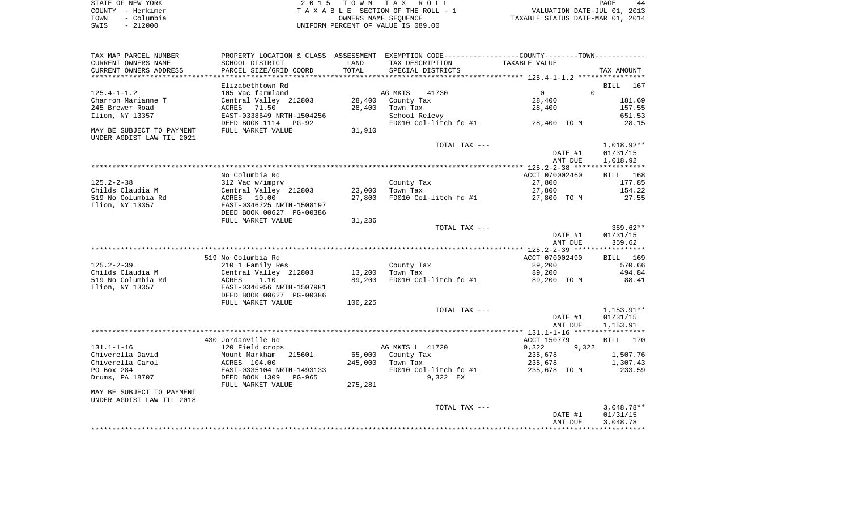| STATE OF NEW YORK  | 2015 TOWN TAX ROLL                 | PAGE<br>44                       |
|--------------------|------------------------------------|----------------------------------|
| COUNTY - Herkimer  | TAXABLE SECTION OF THE ROLL - 1    | VALUATION DATE-JUL 01, 2013      |
| – Columbia<br>TOWN | OWNERS NAME SEOUENCE               | TAXABLE STATUS DATE-MAR 01, 2014 |
| $-212000$<br>SWIS  | UNIFORM PERCENT OF VALUE IS 089.00 |                                  |

| TAX MAP PARCEL NUMBER     |                               |         |                        | PROPERTY LOCATION & CLASS ASSESSMENT EXEMPTION CODE---------------COUNTY-------TOWN---------- |                      |
|---------------------------|-------------------------------|---------|------------------------|-----------------------------------------------------------------------------------------------|----------------------|
| CURRENT OWNERS NAME       | SCHOOL DISTRICT               | LAND    | TAX DESCRIPTION        | TAXABLE VALUE                                                                                 |                      |
| CURRENT OWNERS ADDRESS    | PARCEL SIZE/GRID COORD        | TOTAL   | SPECIAL DISTRICTS      |                                                                                               | TAX AMOUNT           |
|                           |                               |         |                        |                                                                                               |                      |
|                           | Elizabethtown Rd              |         |                        |                                                                                               | BILL<br>167          |
| $125.4 - 1 - 1.2$         | 105 Vac farmland              |         | 41730<br>AG MKTS       | $\Omega$<br>$\Omega$                                                                          |                      |
| Charron Marianne T        | Central Valley 212803         | 28,400  | County Tax             | 28,400                                                                                        | 181.69               |
| 245 Brewer Road           | ACRES 71.50                   | 28,400  | Town Tax               | 28,400                                                                                        | 157.55               |
| Ilion, NY 13357           | EAST-0338649 NRTH-1504256     |         | School Relevy          |                                                                                               | 651.53               |
|                           | DEED BOOK 1114<br>PG-92       |         | FD010 Col-litch fd #1  | 28,400 TO M                                                                                   | 28.15                |
| MAY BE SUBJECT TO PAYMENT | FULL MARKET VALUE             | 31,910  |                        |                                                                                               |                      |
| UNDER AGDIST LAW TIL 2021 |                               |         |                        |                                                                                               |                      |
|                           |                               |         | TOTAL TAX ---          |                                                                                               | 1,018.92**           |
|                           |                               |         |                        | DATE #1                                                                                       | 01/31/15             |
|                           |                               |         |                        | AMT DUE                                                                                       | 1,018.92             |
|                           | No Columbia Rd                |         |                        | ACCT 070002460                                                                                | BILL 168             |
| $125.2 - 2 - 38$          | 312 Vac w/imprv               |         | County Tax             | 27,800                                                                                        | 177.85               |
| Childs Claudia M          | Central Valley 212803         | 23,000  | Town Tax               | 27,800                                                                                        | 154.22               |
| 519 No Columbia Rd        | ACRES<br>10.00                | 27,800  | FD010 Col-litch fd #1  | 27,800 TO M                                                                                   | 27.55                |
| Ilion, NY 13357           | EAST-0346725 NRTH-1508197     |         |                        |                                                                                               |                      |
|                           | DEED BOOK 00627 PG-00386      |         |                        |                                                                                               |                      |
|                           | FULL MARKET VALUE             | 31,236  |                        |                                                                                               |                      |
|                           |                               |         | TOTAL TAX ---          |                                                                                               | 359.62**             |
|                           |                               |         |                        | DATE #1                                                                                       | 01/31/15             |
|                           |                               |         |                        | AMT DUE                                                                                       | 359.62               |
|                           |                               |         |                        |                                                                                               |                      |
|                           | 519 No Columbia Rd            |         |                        | ACCT 070002490                                                                                | BILL 169             |
| $125.2 - 2 - 39$          | 210 1 Family Res              |         | County Tax             | 89,200                                                                                        | 570.66               |
| Childs Claudia M          | Central Valley 212803         | 13,200  | Town Tax               | 89,200                                                                                        | 494.84               |
| 519 No Columbia Rd        | ACRES<br>1.10                 | 89,200  | FD010 Col-litch fd #1  | 89,200 TO M                                                                                   | 88.41                |
| Ilion, NY 13357           | EAST-0346956 NRTH-1507981     |         |                        |                                                                                               |                      |
|                           | DEED BOOK 00627 PG-00386      |         |                        |                                                                                               |                      |
|                           | FULL MARKET VALUE             | 100,225 |                        |                                                                                               |                      |
|                           |                               |         | TOTAL TAX ---          |                                                                                               | $1,153.91**$         |
|                           |                               |         |                        | DATE #1                                                                                       | 01/31/15             |
|                           |                               |         |                        | AMT DUE                                                                                       | 1,153.91             |
|                           |                               |         |                        |                                                                                               |                      |
| $131.1 - 1 - 16$          | 430 Jordanville Rd            |         |                        | ACCT 150779                                                                                   | BILL<br>170          |
| Chiverella David          | 120 Field crops<br>215601     | 65,000  | AG MKTS L 41720        | 9,322<br>9,322<br>235,678                                                                     |                      |
| Chiverella Carol          | Mount Markham<br>ACRES 104.00 | 245,000 | County Tax<br>Town Tax | 235,678                                                                                       | 1,507.76<br>1,307.43 |
| PO Box 284                | EAST-0335104 NRTH-1493133     |         | FD010 Col-litch fd #1  | 235,678 TO M                                                                                  | 233.59               |
| Drums, PA 18707           | DEED BOOK 1309<br>PG-965      |         | 9,322 EX               |                                                                                               |                      |
|                           | FULL MARKET VALUE             | 275,281 |                        |                                                                                               |                      |
| MAY BE SUBJECT TO PAYMENT |                               |         |                        |                                                                                               |                      |
| UNDER AGDIST LAW TIL 2018 |                               |         |                        |                                                                                               |                      |
|                           |                               |         | TOTAL TAX ---          |                                                                                               | $3,048.78**$         |
|                           |                               |         |                        | DATE #1                                                                                       | 01/31/15             |
|                           |                               |         |                        | AMT DUE                                                                                       | 3,048.78             |
|                           |                               |         |                        |                                                                                               |                      |
|                           |                               |         |                        |                                                                                               |                      |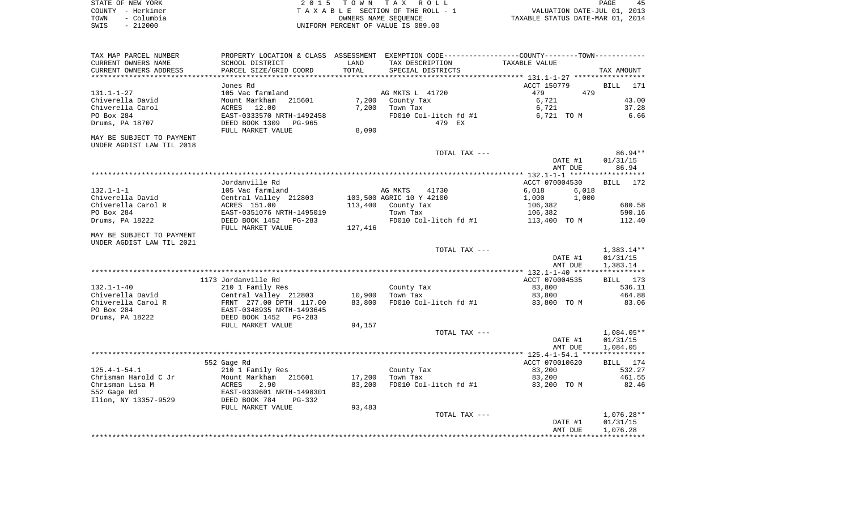| STATE OF NEW YORK  | 2015 TOWN TAX ROLL                 | PAGE                             |
|--------------------|------------------------------------|----------------------------------|
| COUNTY - Herkimer  | TAXABLE SECTION OF THE ROLL - 1    | VALUATION DATE-JUL 01, 2013      |
| – Columbia<br>TOWN | OWNERS NAME SEOUENCE               | TAXABLE STATUS DATE-MAR 01, 2014 |
| $-212000$<br>SWIS  | UNIFORM PERCENT OF VALUE IS 089.00 |                                  |

| TAX MAP PARCEL NUMBER<br>CURRENT OWNERS NAME<br>CURRENT OWNERS ADDRESS                                                 | SCHOOL DISTRICT<br>PARCEL SIZE/GRID COORD                                                                                                               | LAND<br>TOTAL           | TAX DESCRIPTION<br>SPECIAL DISTRICTS                                                            | PROPERTY LOCATION & CLASS ASSESSMENT EXEMPTION CODE---------------COUNTY-------TOWN----------<br>TAXABLE VALUE | TAX AMOUNT                                   |
|------------------------------------------------------------------------------------------------------------------------|---------------------------------------------------------------------------------------------------------------------------------------------------------|-------------------------|-------------------------------------------------------------------------------------------------|----------------------------------------------------------------------------------------------------------------|----------------------------------------------|
|                                                                                                                        | **************************                                                                                                                              | **************          |                                                                                                 | ************************************** 131.1-1-27 *****************                                            |                                              |
| $131.1 - 1 - 27$<br>Chiverella David<br>Chiverella Carol<br>PO Box 284<br>Drums, PA 18707<br>MAY BE SUBJECT TO PAYMENT | Jones Rd<br>105 Vac farmland<br>Mount Markham<br>215601<br>12.00<br>ACRES<br>EAST-0333570 NRTH-1492458<br>DEED BOOK 1309<br>PG-965<br>FULL MARKET VALUE | 7,200<br>7,200<br>8,090 | AG MKTS L 41720<br>County Tax<br>Town Tax<br>FD010 Col-litch fd #1<br>479 EX                    | ACCT 150779<br>479<br>479<br>6,721<br>6,721<br>6,721 TO M                                                      | <b>BILL</b><br>171<br>43.00<br>37.28<br>6.66 |
| UNDER AGDIST LAW TIL 2018                                                                                              |                                                                                                                                                         |                         |                                                                                                 |                                                                                                                |                                              |
|                                                                                                                        |                                                                                                                                                         |                         | TOTAL TAX ---                                                                                   | DATE #1<br>AMT DUE                                                                                             | 86.94**<br>01/31/15<br>86.94                 |
|                                                                                                                        |                                                                                                                                                         |                         |                                                                                                 |                                                                                                                |                                              |
| $132.1 - 1 - 1$<br>Chiverella David<br>Chiverella Carol R<br>PO Box 284<br>Drums, PA 18222                             | Jordanville Rd<br>105 Vac farmland<br>Central Valley 212803<br>ACRES 151.00<br>EAST-0351076 NRTH-1495019<br>DEED BOOK 1452<br>PG-283                    | 113,400                 | AG MKTS<br>41730<br>103,500 AGRIC 10 Y 42100<br>County Tax<br>Town Tax<br>FD010 Col-litch fd #1 | ACCT 070004530<br>6,018<br>6,018<br>1,000<br>1,000<br>106,382<br>106,382<br>113,400 TO M                       | BILL<br>172<br>680.58<br>590.16<br>112.40    |
| MAY BE SUBJECT TO PAYMENT                                                                                              | FULL MARKET VALUE                                                                                                                                       | 127,416                 |                                                                                                 |                                                                                                                |                                              |
| UNDER AGDIST LAW TIL 2021                                                                                              |                                                                                                                                                         |                         |                                                                                                 |                                                                                                                |                                              |
|                                                                                                                        |                                                                                                                                                         |                         | TOTAL TAX ---                                                                                   | DATE #1<br>AMT DUE                                                                                             | $1,383.14**$<br>01/31/15<br>1,383.14         |
|                                                                                                                        |                                                                                                                                                         |                         |                                                                                                 |                                                                                                                |                                              |
| $132.1 - 1 - 40$<br>Chiverella David<br>Chiverella Carol R<br>PO Box 284<br>Drums, PA 18222                            | 1173 Jordanville Rd<br>210 1 Family Res<br>Central Valley 212803<br>FRNT 277.00 DPTH 117.00<br>EAST-0348935 NRTH-1493645<br>DEED BOOK 1452<br>PG-283    | 10,900<br>83,800        | County Tax<br>Town Tax<br>FD010 Col-litch fd #1                                                 | ACCT 070004535<br>83,800<br>83,800<br>83,800 TO M                                                              | BILL 173<br>536.11<br>464.88<br>83.06        |
|                                                                                                                        | FULL MARKET VALUE                                                                                                                                       | 94,157                  |                                                                                                 |                                                                                                                |                                              |
|                                                                                                                        |                                                                                                                                                         |                         | TOTAL TAX ---                                                                                   | DATE #1<br>AMT DUE                                                                                             | $1,084.05**$<br>01/31/15<br>1,084.05         |
|                                                                                                                        |                                                                                                                                                         |                         |                                                                                                 |                                                                                                                |                                              |
| $125.4 - 1 - 54.1$<br>Chrisman Harold C Jr<br>Chrisman Lisa M<br>552 Gage Rd<br>Ilion, NY 13357-9529                   | 552 Gage Rd<br>210 1 Family Res<br>215601<br>Mount Markham<br>ACRES<br>2.90<br>EAST-0339601 NRTH-1498301<br>DEED BOOK 784<br>PG-332                     | 17,200<br>83,200        | County Tax<br>Town Tax<br>FD010 Col-litch fd #1                                                 | ACCT 070010620<br>83,200<br>83,200<br>83,200 TO M                                                              | BILL 174<br>532.27<br>461.55<br>82.46        |
|                                                                                                                        | FULL MARKET VALUE                                                                                                                                       | 93,483                  |                                                                                                 |                                                                                                                |                                              |
|                                                                                                                        |                                                                                                                                                         |                         | TOTAL TAX ---                                                                                   | DATE #1<br>AMT DUE                                                                                             | $1,076.28**$<br>01/31/15<br>1,076.28         |
|                                                                                                                        |                                                                                                                                                         |                         |                                                                                                 |                                                                                                                |                                              |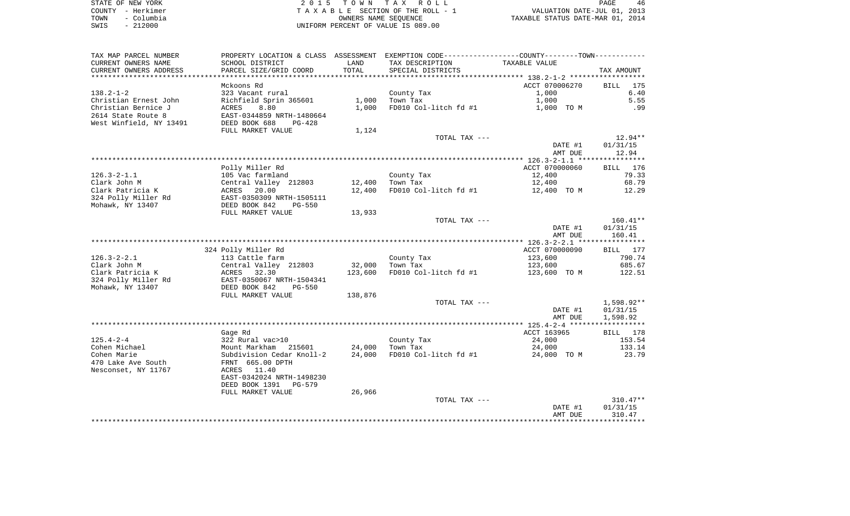| STATE OF NEW YORK  | 2015 TOWN TAX ROLL                 | PAGE                             |  |
|--------------------|------------------------------------|----------------------------------|--|
| COUNTY - Herkimer  | TAXABLE SECTION OF THE ROLL - 1    | VALUATION DATE-JUL 01, 2013      |  |
| - Columbia<br>TOWN | OWNERS NAME SEOUENCE               | TAXABLE STATUS DATE-MAR 01, 2014 |  |
| SWIS<br>- 212000   | UNIFORM PERCENT OF VALUE IS 089.00 |                                  |  |

| CURRENT OWNERS NAME<br>SCHOOL DISTRICT<br>LAND<br>TAX DESCRIPTION<br>TAXABLE VALUE<br>TOTAL<br>CURRENT OWNERS ADDRESS<br>PARCEL SIZE/GRID COORD<br>SPECIAL DISTRICTS<br>TAX AMOUNT<br>ACCT 070006270<br>175<br>Mckoons Rd<br>BILL<br>6.40<br>323 Vacant rural<br>County Tax<br>1,000<br>1,000<br>5.55<br>Christian Ernest John<br>1,000<br>Richfield Sprin 365601<br>Town Tax<br>Christian Bernice J<br>1,000<br>FD010 Col-litch fd #1<br>ACRES<br>8.80<br>1,000 TO M<br>.99<br>2614 State Route 8<br>EAST-0344859 NRTH-1480664<br>West Winfield, NY 13491<br>DEED BOOK 688<br>$PG-428$<br>FULL MARKET VALUE<br>1,124<br>$12.94**$<br>TOTAL TAX ---<br>DATE #1<br>01/31/15<br>12.94<br>AMT DUE<br>Polly Miller Rd<br>ACCT 070000060<br>BILL 176<br>$126.3 - 2 - 1.1$<br>79.33<br>105 Vac farmland<br>12,400<br>County Tax<br>Clark John M<br>Central Valley 212803<br>68.79<br>12,400<br>Town Tax<br>12,400<br>Clark Patricia K<br>ACRES<br>20.00<br>12,400<br>FD010 Col-litch fd #1<br>12,400 TO M<br>12.29<br>324 Polly Miller Rd<br>EAST-0350309 NRTH-1505111<br>Mohawk, NY 13407<br>DEED BOOK 842<br><b>PG-550</b><br>FULL MARKET VALUE<br>13,933<br>TOTAL TAX ---<br>$160.41**$<br>DATE #1<br>01/31/15<br>160.41<br>AMT DUE<br>BILL 177<br>324 Polly Miller Rd<br>ACCT 070000090<br>$126.3 - 2 - 2.1$<br>113 Cattle farm<br>County Tax<br>123,600<br>790.74<br>Clark John M<br>Central Valley 212803<br>32,000<br>Town Tax<br>123,600<br>685.67<br>Clark Patricia K<br>ACRES<br>32.30<br>123,600<br>FD010 Col-litch fd #1<br>123,600 TO M<br>122.51<br>EAST-0350067 NRTH-1504341<br>DEED BOOK 842<br>PG-550<br>FULL MARKET VALUE<br>138,876<br>TOTAL TAX ---<br>1,598.92**<br>DATE #1<br>01/31/15<br>1,598.92<br>AMT DUE<br>ACCT 163965<br>Gage Rd<br>BILL 178<br>322 Rural vac>10<br>County Tax<br>24,000<br>153.54<br>Mount Markham<br>24,000<br>24,000<br>133.14<br>215601<br>Town Tax<br>Subdivision Cedar Knoll-2<br>24,000<br>FD010 Col-litch fd #1<br>24,000 TO M<br>23.79<br>470 Lake Ave South<br>FRNT 665.00 DPTH<br>Nesconset, NY 11767<br>ACRES 11.40<br>EAST-0342024 NRTH-1498230<br>DEED BOOK 1391<br>PG-579<br>FULL MARKET VALUE<br>26,966<br>TOTAL TAX ---<br>310.47**<br>01/31/15<br>DATE #1<br>AMT DUE<br>310.47 | TAX MAP PARCEL NUMBER | PROPERTY LOCATION & CLASS ASSESSMENT | EXEMPTION CODE-----------------COUNTY--------TOWN----------- |  |
|-----------------------------------------------------------------------------------------------------------------------------------------------------------------------------------------------------------------------------------------------------------------------------------------------------------------------------------------------------------------------------------------------------------------------------------------------------------------------------------------------------------------------------------------------------------------------------------------------------------------------------------------------------------------------------------------------------------------------------------------------------------------------------------------------------------------------------------------------------------------------------------------------------------------------------------------------------------------------------------------------------------------------------------------------------------------------------------------------------------------------------------------------------------------------------------------------------------------------------------------------------------------------------------------------------------------------------------------------------------------------------------------------------------------------------------------------------------------------------------------------------------------------------------------------------------------------------------------------------------------------------------------------------------------------------------------------------------------------------------------------------------------------------------------------------------------------------------------------------------------------------------------------------------------------------------------------------------------------------------------------------------------------------------------------------------------------------------------------------------------------------------------------------------------------------------------------------------------------------------------|-----------------------|--------------------------------------|--------------------------------------------------------------|--|
|                                                                                                                                                                                                                                                                                                                                                                                                                                                                                                                                                                                                                                                                                                                                                                                                                                                                                                                                                                                                                                                                                                                                                                                                                                                                                                                                                                                                                                                                                                                                                                                                                                                                                                                                                                                                                                                                                                                                                                                                                                                                                                                                                                                                                                         |                       |                                      |                                                              |  |
|                                                                                                                                                                                                                                                                                                                                                                                                                                                                                                                                                                                                                                                                                                                                                                                                                                                                                                                                                                                                                                                                                                                                                                                                                                                                                                                                                                                                                                                                                                                                                                                                                                                                                                                                                                                                                                                                                                                                                                                                                                                                                                                                                                                                                                         |                       |                                      |                                                              |  |
|                                                                                                                                                                                                                                                                                                                                                                                                                                                                                                                                                                                                                                                                                                                                                                                                                                                                                                                                                                                                                                                                                                                                                                                                                                                                                                                                                                                                                                                                                                                                                                                                                                                                                                                                                                                                                                                                                                                                                                                                                                                                                                                                                                                                                                         |                       |                                      |                                                              |  |
|                                                                                                                                                                                                                                                                                                                                                                                                                                                                                                                                                                                                                                                                                                                                                                                                                                                                                                                                                                                                                                                                                                                                                                                                                                                                                                                                                                                                                                                                                                                                                                                                                                                                                                                                                                                                                                                                                                                                                                                                                                                                                                                                                                                                                                         |                       |                                      |                                                              |  |
|                                                                                                                                                                                                                                                                                                                                                                                                                                                                                                                                                                                                                                                                                                                                                                                                                                                                                                                                                                                                                                                                                                                                                                                                                                                                                                                                                                                                                                                                                                                                                                                                                                                                                                                                                                                                                                                                                                                                                                                                                                                                                                                                                                                                                                         | $138.2 - 1 - 2$       |                                      |                                                              |  |
|                                                                                                                                                                                                                                                                                                                                                                                                                                                                                                                                                                                                                                                                                                                                                                                                                                                                                                                                                                                                                                                                                                                                                                                                                                                                                                                                                                                                                                                                                                                                                                                                                                                                                                                                                                                                                                                                                                                                                                                                                                                                                                                                                                                                                                         |                       |                                      |                                                              |  |
|                                                                                                                                                                                                                                                                                                                                                                                                                                                                                                                                                                                                                                                                                                                                                                                                                                                                                                                                                                                                                                                                                                                                                                                                                                                                                                                                                                                                                                                                                                                                                                                                                                                                                                                                                                                                                                                                                                                                                                                                                                                                                                                                                                                                                                         |                       |                                      |                                                              |  |
|                                                                                                                                                                                                                                                                                                                                                                                                                                                                                                                                                                                                                                                                                                                                                                                                                                                                                                                                                                                                                                                                                                                                                                                                                                                                                                                                                                                                                                                                                                                                                                                                                                                                                                                                                                                                                                                                                                                                                                                                                                                                                                                                                                                                                                         |                       |                                      |                                                              |  |
|                                                                                                                                                                                                                                                                                                                                                                                                                                                                                                                                                                                                                                                                                                                                                                                                                                                                                                                                                                                                                                                                                                                                                                                                                                                                                                                                                                                                                                                                                                                                                                                                                                                                                                                                                                                                                                                                                                                                                                                                                                                                                                                                                                                                                                         |                       |                                      |                                                              |  |
|                                                                                                                                                                                                                                                                                                                                                                                                                                                                                                                                                                                                                                                                                                                                                                                                                                                                                                                                                                                                                                                                                                                                                                                                                                                                                                                                                                                                                                                                                                                                                                                                                                                                                                                                                                                                                                                                                                                                                                                                                                                                                                                                                                                                                                         |                       |                                      |                                                              |  |
|                                                                                                                                                                                                                                                                                                                                                                                                                                                                                                                                                                                                                                                                                                                                                                                                                                                                                                                                                                                                                                                                                                                                                                                                                                                                                                                                                                                                                                                                                                                                                                                                                                                                                                                                                                                                                                                                                                                                                                                                                                                                                                                                                                                                                                         |                       |                                      |                                                              |  |
|                                                                                                                                                                                                                                                                                                                                                                                                                                                                                                                                                                                                                                                                                                                                                                                                                                                                                                                                                                                                                                                                                                                                                                                                                                                                                                                                                                                                                                                                                                                                                                                                                                                                                                                                                                                                                                                                                                                                                                                                                                                                                                                                                                                                                                         |                       |                                      |                                                              |  |
|                                                                                                                                                                                                                                                                                                                                                                                                                                                                                                                                                                                                                                                                                                                                                                                                                                                                                                                                                                                                                                                                                                                                                                                                                                                                                                                                                                                                                                                                                                                                                                                                                                                                                                                                                                                                                                                                                                                                                                                                                                                                                                                                                                                                                                         |                       |                                      |                                                              |  |
|                                                                                                                                                                                                                                                                                                                                                                                                                                                                                                                                                                                                                                                                                                                                                                                                                                                                                                                                                                                                                                                                                                                                                                                                                                                                                                                                                                                                                                                                                                                                                                                                                                                                                                                                                                                                                                                                                                                                                                                                                                                                                                                                                                                                                                         |                       |                                      |                                                              |  |
|                                                                                                                                                                                                                                                                                                                                                                                                                                                                                                                                                                                                                                                                                                                                                                                                                                                                                                                                                                                                                                                                                                                                                                                                                                                                                                                                                                                                                                                                                                                                                                                                                                                                                                                                                                                                                                                                                                                                                                                                                                                                                                                                                                                                                                         |                       |                                      |                                                              |  |
|                                                                                                                                                                                                                                                                                                                                                                                                                                                                                                                                                                                                                                                                                                                                                                                                                                                                                                                                                                                                                                                                                                                                                                                                                                                                                                                                                                                                                                                                                                                                                                                                                                                                                                                                                                                                                                                                                                                                                                                                                                                                                                                                                                                                                                         |                       |                                      |                                                              |  |
|                                                                                                                                                                                                                                                                                                                                                                                                                                                                                                                                                                                                                                                                                                                                                                                                                                                                                                                                                                                                                                                                                                                                                                                                                                                                                                                                                                                                                                                                                                                                                                                                                                                                                                                                                                                                                                                                                                                                                                                                                                                                                                                                                                                                                                         |                       |                                      |                                                              |  |
|                                                                                                                                                                                                                                                                                                                                                                                                                                                                                                                                                                                                                                                                                                                                                                                                                                                                                                                                                                                                                                                                                                                                                                                                                                                                                                                                                                                                                                                                                                                                                                                                                                                                                                                                                                                                                                                                                                                                                                                                                                                                                                                                                                                                                                         |                       |                                      |                                                              |  |
|                                                                                                                                                                                                                                                                                                                                                                                                                                                                                                                                                                                                                                                                                                                                                                                                                                                                                                                                                                                                                                                                                                                                                                                                                                                                                                                                                                                                                                                                                                                                                                                                                                                                                                                                                                                                                                                                                                                                                                                                                                                                                                                                                                                                                                         |                       |                                      |                                                              |  |
|                                                                                                                                                                                                                                                                                                                                                                                                                                                                                                                                                                                                                                                                                                                                                                                                                                                                                                                                                                                                                                                                                                                                                                                                                                                                                                                                                                                                                                                                                                                                                                                                                                                                                                                                                                                                                                                                                                                                                                                                                                                                                                                                                                                                                                         |                       |                                      |                                                              |  |
|                                                                                                                                                                                                                                                                                                                                                                                                                                                                                                                                                                                                                                                                                                                                                                                                                                                                                                                                                                                                                                                                                                                                                                                                                                                                                                                                                                                                                                                                                                                                                                                                                                                                                                                                                                                                                                                                                                                                                                                                                                                                                                                                                                                                                                         |                       |                                      |                                                              |  |
|                                                                                                                                                                                                                                                                                                                                                                                                                                                                                                                                                                                                                                                                                                                                                                                                                                                                                                                                                                                                                                                                                                                                                                                                                                                                                                                                                                                                                                                                                                                                                                                                                                                                                                                                                                                                                                                                                                                                                                                                                                                                                                                                                                                                                                         |                       |                                      |                                                              |  |
|                                                                                                                                                                                                                                                                                                                                                                                                                                                                                                                                                                                                                                                                                                                                                                                                                                                                                                                                                                                                                                                                                                                                                                                                                                                                                                                                                                                                                                                                                                                                                                                                                                                                                                                                                                                                                                                                                                                                                                                                                                                                                                                                                                                                                                         |                       |                                      |                                                              |  |
|                                                                                                                                                                                                                                                                                                                                                                                                                                                                                                                                                                                                                                                                                                                                                                                                                                                                                                                                                                                                                                                                                                                                                                                                                                                                                                                                                                                                                                                                                                                                                                                                                                                                                                                                                                                                                                                                                                                                                                                                                                                                                                                                                                                                                                         |                       |                                      |                                                              |  |
|                                                                                                                                                                                                                                                                                                                                                                                                                                                                                                                                                                                                                                                                                                                                                                                                                                                                                                                                                                                                                                                                                                                                                                                                                                                                                                                                                                                                                                                                                                                                                                                                                                                                                                                                                                                                                                                                                                                                                                                                                                                                                                                                                                                                                                         |                       |                                      |                                                              |  |
|                                                                                                                                                                                                                                                                                                                                                                                                                                                                                                                                                                                                                                                                                                                                                                                                                                                                                                                                                                                                                                                                                                                                                                                                                                                                                                                                                                                                                                                                                                                                                                                                                                                                                                                                                                                                                                                                                                                                                                                                                                                                                                                                                                                                                                         |                       |                                      |                                                              |  |
|                                                                                                                                                                                                                                                                                                                                                                                                                                                                                                                                                                                                                                                                                                                                                                                                                                                                                                                                                                                                                                                                                                                                                                                                                                                                                                                                                                                                                                                                                                                                                                                                                                                                                                                                                                                                                                                                                                                                                                                                                                                                                                                                                                                                                                         |                       |                                      |                                                              |  |
|                                                                                                                                                                                                                                                                                                                                                                                                                                                                                                                                                                                                                                                                                                                                                                                                                                                                                                                                                                                                                                                                                                                                                                                                                                                                                                                                                                                                                                                                                                                                                                                                                                                                                                                                                                                                                                                                                                                                                                                                                                                                                                                                                                                                                                         |                       |                                      |                                                              |  |
|                                                                                                                                                                                                                                                                                                                                                                                                                                                                                                                                                                                                                                                                                                                                                                                                                                                                                                                                                                                                                                                                                                                                                                                                                                                                                                                                                                                                                                                                                                                                                                                                                                                                                                                                                                                                                                                                                                                                                                                                                                                                                                                                                                                                                                         |                       |                                      |                                                              |  |
|                                                                                                                                                                                                                                                                                                                                                                                                                                                                                                                                                                                                                                                                                                                                                                                                                                                                                                                                                                                                                                                                                                                                                                                                                                                                                                                                                                                                                                                                                                                                                                                                                                                                                                                                                                                                                                                                                                                                                                                                                                                                                                                                                                                                                                         |                       |                                      |                                                              |  |
|                                                                                                                                                                                                                                                                                                                                                                                                                                                                                                                                                                                                                                                                                                                                                                                                                                                                                                                                                                                                                                                                                                                                                                                                                                                                                                                                                                                                                                                                                                                                                                                                                                                                                                                                                                                                                                                                                                                                                                                                                                                                                                                                                                                                                                         | 324 Polly Miller Rd   |                                      |                                                              |  |
|                                                                                                                                                                                                                                                                                                                                                                                                                                                                                                                                                                                                                                                                                                                                                                                                                                                                                                                                                                                                                                                                                                                                                                                                                                                                                                                                                                                                                                                                                                                                                                                                                                                                                                                                                                                                                                                                                                                                                                                                                                                                                                                                                                                                                                         | Mohawk, NY 13407      |                                      |                                                              |  |
|                                                                                                                                                                                                                                                                                                                                                                                                                                                                                                                                                                                                                                                                                                                                                                                                                                                                                                                                                                                                                                                                                                                                                                                                                                                                                                                                                                                                                                                                                                                                                                                                                                                                                                                                                                                                                                                                                                                                                                                                                                                                                                                                                                                                                                         |                       |                                      |                                                              |  |
|                                                                                                                                                                                                                                                                                                                                                                                                                                                                                                                                                                                                                                                                                                                                                                                                                                                                                                                                                                                                                                                                                                                                                                                                                                                                                                                                                                                                                                                                                                                                                                                                                                                                                                                                                                                                                                                                                                                                                                                                                                                                                                                                                                                                                                         |                       |                                      |                                                              |  |
|                                                                                                                                                                                                                                                                                                                                                                                                                                                                                                                                                                                                                                                                                                                                                                                                                                                                                                                                                                                                                                                                                                                                                                                                                                                                                                                                                                                                                                                                                                                                                                                                                                                                                                                                                                                                                                                                                                                                                                                                                                                                                                                                                                                                                                         |                       |                                      |                                                              |  |
|                                                                                                                                                                                                                                                                                                                                                                                                                                                                                                                                                                                                                                                                                                                                                                                                                                                                                                                                                                                                                                                                                                                                                                                                                                                                                                                                                                                                                                                                                                                                                                                                                                                                                                                                                                                                                                                                                                                                                                                                                                                                                                                                                                                                                                         |                       |                                      |                                                              |  |
|                                                                                                                                                                                                                                                                                                                                                                                                                                                                                                                                                                                                                                                                                                                                                                                                                                                                                                                                                                                                                                                                                                                                                                                                                                                                                                                                                                                                                                                                                                                                                                                                                                                                                                                                                                                                                                                                                                                                                                                                                                                                                                                                                                                                                                         |                       |                                      |                                                              |  |
|                                                                                                                                                                                                                                                                                                                                                                                                                                                                                                                                                                                                                                                                                                                                                                                                                                                                                                                                                                                                                                                                                                                                                                                                                                                                                                                                                                                                                                                                                                                                                                                                                                                                                                                                                                                                                                                                                                                                                                                                                                                                                                                                                                                                                                         |                       |                                      |                                                              |  |
|                                                                                                                                                                                                                                                                                                                                                                                                                                                                                                                                                                                                                                                                                                                                                                                                                                                                                                                                                                                                                                                                                                                                                                                                                                                                                                                                                                                                                                                                                                                                                                                                                                                                                                                                                                                                                                                                                                                                                                                                                                                                                                                                                                                                                                         | $125.4 - 2 - 4$       |                                      |                                                              |  |
|                                                                                                                                                                                                                                                                                                                                                                                                                                                                                                                                                                                                                                                                                                                                                                                                                                                                                                                                                                                                                                                                                                                                                                                                                                                                                                                                                                                                                                                                                                                                                                                                                                                                                                                                                                                                                                                                                                                                                                                                                                                                                                                                                                                                                                         | Cohen Michael         |                                      |                                                              |  |
|                                                                                                                                                                                                                                                                                                                                                                                                                                                                                                                                                                                                                                                                                                                                                                                                                                                                                                                                                                                                                                                                                                                                                                                                                                                                                                                                                                                                                                                                                                                                                                                                                                                                                                                                                                                                                                                                                                                                                                                                                                                                                                                                                                                                                                         | Cohen Marie           |                                      |                                                              |  |
|                                                                                                                                                                                                                                                                                                                                                                                                                                                                                                                                                                                                                                                                                                                                                                                                                                                                                                                                                                                                                                                                                                                                                                                                                                                                                                                                                                                                                                                                                                                                                                                                                                                                                                                                                                                                                                                                                                                                                                                                                                                                                                                                                                                                                                         |                       |                                      |                                                              |  |
|                                                                                                                                                                                                                                                                                                                                                                                                                                                                                                                                                                                                                                                                                                                                                                                                                                                                                                                                                                                                                                                                                                                                                                                                                                                                                                                                                                                                                                                                                                                                                                                                                                                                                                                                                                                                                                                                                                                                                                                                                                                                                                                                                                                                                                         |                       |                                      |                                                              |  |
|                                                                                                                                                                                                                                                                                                                                                                                                                                                                                                                                                                                                                                                                                                                                                                                                                                                                                                                                                                                                                                                                                                                                                                                                                                                                                                                                                                                                                                                                                                                                                                                                                                                                                                                                                                                                                                                                                                                                                                                                                                                                                                                                                                                                                                         |                       |                                      |                                                              |  |
|                                                                                                                                                                                                                                                                                                                                                                                                                                                                                                                                                                                                                                                                                                                                                                                                                                                                                                                                                                                                                                                                                                                                                                                                                                                                                                                                                                                                                                                                                                                                                                                                                                                                                                                                                                                                                                                                                                                                                                                                                                                                                                                                                                                                                                         |                       |                                      |                                                              |  |
|                                                                                                                                                                                                                                                                                                                                                                                                                                                                                                                                                                                                                                                                                                                                                                                                                                                                                                                                                                                                                                                                                                                                                                                                                                                                                                                                                                                                                                                                                                                                                                                                                                                                                                                                                                                                                                                                                                                                                                                                                                                                                                                                                                                                                                         |                       |                                      |                                                              |  |
|                                                                                                                                                                                                                                                                                                                                                                                                                                                                                                                                                                                                                                                                                                                                                                                                                                                                                                                                                                                                                                                                                                                                                                                                                                                                                                                                                                                                                                                                                                                                                                                                                                                                                                                                                                                                                                                                                                                                                                                                                                                                                                                                                                                                                                         |                       |                                      |                                                              |  |
|                                                                                                                                                                                                                                                                                                                                                                                                                                                                                                                                                                                                                                                                                                                                                                                                                                                                                                                                                                                                                                                                                                                                                                                                                                                                                                                                                                                                                                                                                                                                                                                                                                                                                                                                                                                                                                                                                                                                                                                                                                                                                                                                                                                                                                         |                       |                                      |                                                              |  |
|                                                                                                                                                                                                                                                                                                                                                                                                                                                                                                                                                                                                                                                                                                                                                                                                                                                                                                                                                                                                                                                                                                                                                                                                                                                                                                                                                                                                                                                                                                                                                                                                                                                                                                                                                                                                                                                                                                                                                                                                                                                                                                                                                                                                                                         |                       |                                      |                                                              |  |
|                                                                                                                                                                                                                                                                                                                                                                                                                                                                                                                                                                                                                                                                                                                                                                                                                                                                                                                                                                                                                                                                                                                                                                                                                                                                                                                                                                                                                                                                                                                                                                                                                                                                                                                                                                                                                                                                                                                                                                                                                                                                                                                                                                                                                                         |                       |                                      |                                                              |  |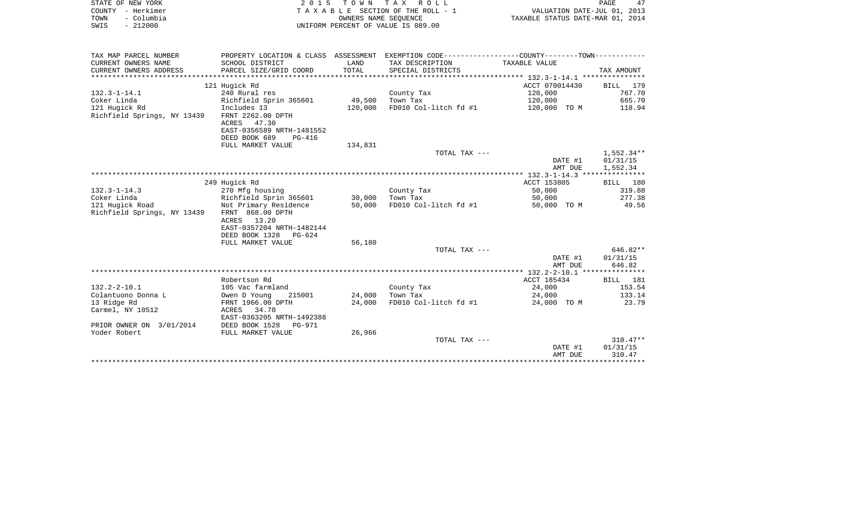| STATE OF NEW YORK                                                        |                                                                                                                      |                  | 2015 TOWN TAX ROLL                 |                                  | PAGE<br>47           |
|--------------------------------------------------------------------------|----------------------------------------------------------------------------------------------------------------------|------------------|------------------------------------|----------------------------------|----------------------|
| COUNTY - Herkimer                                                        | TAXABLE SECTION OF THE ROLL - 1                                                                                      |                  | VALUATION DATE-JUL 01, 2013        |                                  |                      |
| TOWN<br>- Columbia<br>$-212000$                                          |                                                                                                                      |                  | OWNERS NAME SEOUENCE               | TAXABLE STATUS DATE-MAR 01, 2014 |                      |
| SWIS                                                                     |                                                                                                                      |                  | UNIFORM PERCENT OF VALUE IS 089.00 |                                  |                      |
| TAX MAP PARCEL NUMBER                                                    | PROPERTY LOCATION & CLASS ASSESSMENT EXEMPTION CODE---------------COUNTY-------TOWN---------                         |                  |                                    |                                  |                      |
| CURRENT OWNERS NAME                                                      | SCHOOL DISTRICT                                                                                                      | LAND             | TAX DESCRIPTION                    | TAXABLE VALUE                    |                      |
| CURRENT OWNERS ADDRESS                                                   | PARCEL SIZE/GRID COORD                                                                                               | TOTAL            | SPECIAL DISTRICTS                  |                                  | TAX AMOUNT           |
|                                                                          | 121 Hugick Rd                                                                                                        |                  |                                    | ACCT 070014430                   | BILL 179             |
| 132.3-1-14.1                                                             | 240 Rural res                                                                                                        |                  | County Tax                         | 120,000                          | 767.70               |
| Coker Linda                                                              | Richfield Sprin 365601                                                                                               | 49,500           | Town Tax                           | 120,000                          | 665.70               |
| 121 Hugick Rd                                                            | Includes 13                                                                                                          | 120,000          | FD010 Col-litch fd #1              | 120,000 TO M                     | 118.94               |
| Richfield Springs, NY 13439                                              | FRNT 2262.00 DPTH<br>ACRES<br>47.30<br>EAST-0356589 NRTH-1481552                                                     |                  |                                    |                                  |                      |
|                                                                          | DEED BOOK 689<br><b>PG-416</b>                                                                                       |                  |                                    |                                  |                      |
|                                                                          | FULL MARKET VALUE                                                                                                    | 134,831          | TOTAL TAX ---                      |                                  | $1,552.34**$         |
|                                                                          |                                                                                                                      |                  |                                    | DATE #1<br>AMT DUE               | 01/31/15<br>1,552.34 |
|                                                                          |                                                                                                                      |                  |                                    |                                  |                      |
|                                                                          | 249 Hugick Rd                                                                                                        |                  |                                    | ACCT 153805                      | BILL 180             |
| 132.3-1-14.3                                                             | 270 Mfg housing                                                                                                      |                  | County Tax                         | 50,000                           | 319.88               |
| Coker Linda                                                              | Richfield Sprin 365601                                                                                               | 30,000           | Town Tax                           | 50,000                           | 277.38               |
| 121 Hugick Road<br>Richfield Springs, NY 13439                           | Not Primary Residence<br>FRNT 868.00 DPTH<br>13.20<br>ACRES<br>EAST-0357204 NRTH-1482144<br>DEED BOOK 1328<br>PG-624 | 50,000           | FD010 Col-litch fd #1              | 50,000 TO M                      | 49.56                |
|                                                                          | FULL MARKET VALUE                                                                                                    | 56,180           |                                    |                                  |                      |
|                                                                          |                                                                                                                      |                  | TOTAL TAX ---                      |                                  | 646.82**             |
|                                                                          |                                                                                                                      |                  |                                    | DATE #1                          | 01/31/15             |
|                                                                          |                                                                                                                      |                  |                                    | AMT DUE                          | 646.82               |
|                                                                          |                                                                                                                      |                  |                                    |                                  |                      |
|                                                                          | Robertson Rd                                                                                                         |                  |                                    | ACCT 185434                      | BILL 181             |
| 132.2-2-10.1                                                             | 105 Vac farmland                                                                                                     |                  | County Tax                         | 24,000                           | 153.54               |
| Colantuono Donna L                                                       | Owen D Young<br>215001                                                                                               | 24,000<br>24,000 | Town Tax<br>FD010 Col-litch fd #1  | 24,000                           | 133.14<br>23.79      |
| 13 Ridge Rd<br>Carmel, NY 10512                                          | FRNT 1966.00 DPTH<br>ACRES 34.70<br>EAST-0363205 NRTH-1492388                                                        |                  |                                    | 24,000 TO M                      |                      |
| PRIOR OWNER ON 3/01/2014                                                 | DEED BOOK 1528<br>PG-971                                                                                             |                  |                                    |                                  |                      |
| $\mathbf{v}$ . $\mathbf{v}$ . $\mathbf{v}$ . $\mathbf{v}$ . $\mathbf{v}$ | DIITT MADISDE IST TIP                                                                                                | 2500             |                                    |                                  |                      |

| Yoder Robert | FULL MARKET VALUE | 26,966 |               |         |            |
|--------------|-------------------|--------|---------------|---------|------------|
|              |                   |        | TOTAL TAX --- |         | $310.47**$ |
|              |                   |        |               | DATE #1 | 01/31/15   |
|              |                   |        |               | AMT DUE | 310.47     |
|              |                   |        |               |         |            |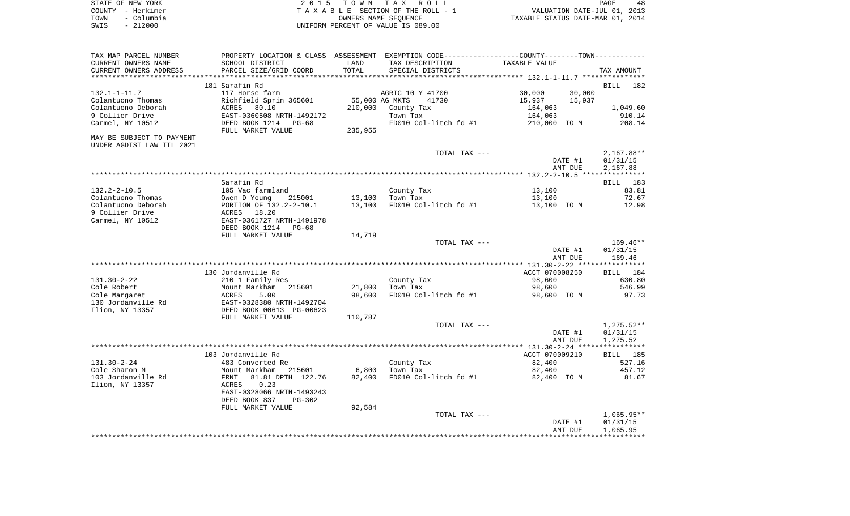| STATE OF NEW YORK  | 2015 TOWN TAX ROLL                 | 48<br><b>PAGE</b>                |
|--------------------|------------------------------------|----------------------------------|
| COUNTY - Herkimer  | TAXABLE SECTION OF THE ROLL - 1    | VALUATION DATE-JUL 01, 2013      |
| - Columbia<br>TOWN | OWNERS NAME SEOUENCE               | TAXABLE STATUS DATE-MAR 01, 2014 |
| $-212000$<br>SWIS  | UNIFORM PERCENT OF VALUE IS 089.00 |                                  |

| TAX MAP PARCEL NUMBER<br>CURRENT OWNERS NAME           | PROPERTY LOCATION & CLASS ASSESSMENT<br>SCHOOL DISTRICT | LAND    | TAX DESCRIPTION                             | EXEMPTION CODE-----------------COUNTY--------TOWN-----------<br>TAXABLE VALUE |                          |
|--------------------------------------------------------|---------------------------------------------------------|---------|---------------------------------------------|-------------------------------------------------------------------------------|--------------------------|
| CURRENT OWNERS ADDRESS<br>******************           | PARCEL SIZE/GRID COORD                                  | TOTAL   | SPECIAL DISTRICTS                           |                                                                               | TAX AMOUNT               |
|                                                        | 181 Sarafin Rd                                          |         |                                             |                                                                               | <b>BILL</b><br>182       |
| $132.1 - 1 - 11.7$<br>Colantuono Thomas                | 117 Horse farm<br>Richfield Sprin 365601                |         | AGRIC 10 Y 41700<br>55,000 AG MKTS<br>41730 | 30,000<br>30,000<br>15,937<br>15,937                                          |                          |
| Colantuono Deborah<br>9 Collier Drive                  | ACRES 80.10<br>EAST-0360508 NRTH-1492172                | 210,000 | County Tax<br>Town Tax                      | 164,063<br>164,063                                                            | 1,049.60<br>910.14       |
| Carmel, NY 10512                                       | DEED BOOK 1214 PG-68<br>FULL MARKET VALUE               | 235,955 | FD010 Col-litch fd #1                       | 210,000 TO M                                                                  | 208.14                   |
| MAY BE SUBJECT TO PAYMENT<br>UNDER AGDIST LAW TIL 2021 |                                                         |         |                                             |                                                                               |                          |
|                                                        |                                                         |         | TOTAL TAX ---                               |                                                                               | $2,167.88**$             |
|                                                        |                                                         |         |                                             | DATE #1<br>AMT DUE                                                            | 01/31/15<br>2,167.88     |
|                                                        |                                                         |         |                                             |                                                                               |                          |
|                                                        | Sarafin Rd                                              |         |                                             |                                                                               | BILL 183                 |
| $132.2 - 2 - 10.5$                                     | 105 Vac farmland                                        |         | County Tax                                  | 13,100                                                                        | 83.81                    |
| Colantuono Thomas                                      | Owen D Young<br>215001                                  | 13,100  | Town Tax                                    | 13,100                                                                        | 72.67                    |
| Colantuono Deborah                                     | PORTION OF 132.2-2-10.1                                 | 13,100  | FD010 Col-litch fd #1                       | 13,100 TO M                                                                   | 12.98                    |
| 9 Collier Drive                                        | 18.20<br>ACRES                                          |         |                                             |                                                                               |                          |
| Carmel, NY 10512                                       | EAST-0361727 NRTH-1491978                               |         |                                             |                                                                               |                          |
|                                                        | DEED BOOK 1214 PG-68                                    |         |                                             |                                                                               |                          |
|                                                        | FULL MARKET VALUE                                       | 14,719  | TOTAL TAX ---                               |                                                                               | $169.46**$               |
|                                                        |                                                         |         |                                             | DATE #1                                                                       | 01/31/15                 |
|                                                        |                                                         |         |                                             | AMT DUE                                                                       | 169.46                   |
|                                                        |                                                         |         |                                             |                                                                               |                          |
|                                                        | 130 Jordanville Rd                                      |         |                                             | ACCT 070008250                                                                | BILL 184                 |
| $131.30 - 2 - 22$                                      | 210 1 Family Res                                        |         | County Tax                                  | 98,600                                                                        | 630.80                   |
| Cole Robert                                            | Mount Markham<br>215601                                 | 21,800  | Town Tax                                    | 98,600                                                                        | 546.99                   |
| Cole Margaret                                          | 5.00<br>ACRES                                           | 98,600  | FD010 Col-litch fd #1                       | 98,600 TO M                                                                   | 97.73                    |
| 130 Jordanville Rd<br>Ilion, NY 13357                  | EAST-0328380 NRTH-1492704<br>DEED BOOK 00613 PG-00623   |         |                                             |                                                                               |                          |
|                                                        | FULL MARKET VALUE                                       | 110,787 |                                             |                                                                               |                          |
|                                                        |                                                         |         | TOTAL TAX ---                               | DATE #1                                                                       | $1,275.52**$<br>01/31/15 |
|                                                        |                                                         |         |                                             | AMT DUE                                                                       | 1,275.52                 |
|                                                        |                                                         |         |                                             |                                                                               |                          |
|                                                        | 103 Jordanville Rd                                      |         |                                             | ACCT 070009210                                                                | BILL 185                 |
| $131.30 - 2 - 24$                                      | 483 Converted Re                                        |         | County Tax                                  | 82,400                                                                        | 527.16                   |
| Cole Sharon M                                          | Mount Markham<br>215601                                 | 6,800   | Town Tax                                    | 82,400                                                                        | 457.12                   |
| 103 Jordanville Rd                                     | 81.81 DPTH 122.76<br>FRNT                               | 82,400  | FD010 Col-litch fd #1                       | 82,400 TO M                                                                   | 81.67                    |
| Ilion, NY 13357                                        | 0.23<br>ACRES                                           |         |                                             |                                                                               |                          |
|                                                        | EAST-0328066 NRTH-1493243                               |         |                                             |                                                                               |                          |
|                                                        | DEED BOOK 837<br>PG-302<br>FULL MARKET VALUE            | 92,584  |                                             |                                                                               |                          |
|                                                        |                                                         |         | TOTAL TAX ---                               |                                                                               | $1,065.95**$             |
|                                                        |                                                         |         |                                             | DATE #1                                                                       | 01/31/15                 |
|                                                        |                                                         |         |                                             | AMT DUE                                                                       | 1,065.95                 |
|                                                        |                                                         |         |                                             |                                                                               |                          |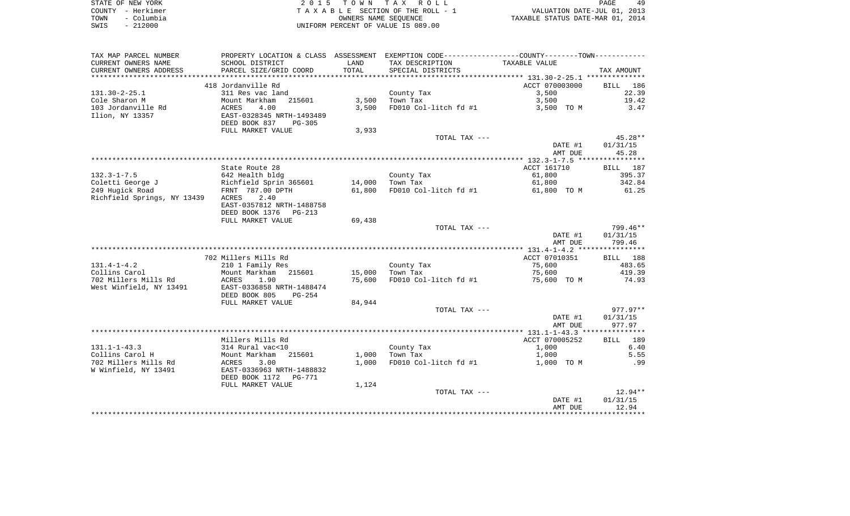| STATE OF NEW YORK  | 2015 TOWN TAX ROLL                 | 49<br>PAGE                       |
|--------------------|------------------------------------|----------------------------------|
| COUNTY - Herkimer  | TAXABLE SECTION OF THE ROLL - 1    | VALUATION DATE-JUL 01, 2013      |
| - Columbia<br>TOWN | OWNERS NAME SEOUENCE               | TAXABLE STATUS DATE-MAR 01, 2014 |
| $-212000$<br>SWIS  | UNIFORM PERCENT OF VALUE IS 089.00 |                                  |

| TAX MAP PARCEL NUMBER       | PROPERTY LOCATION & CLASS ASSESSMENT |        | EXEMPTION CODE-----------------COUNTY--------TOWN----------- |                |             |
|-----------------------------|--------------------------------------|--------|--------------------------------------------------------------|----------------|-------------|
| CURRENT OWNERS NAME         | SCHOOL DISTRICT                      | LAND   | TAX DESCRIPTION                                              | TAXABLE VALUE  |             |
| CURRENT OWNERS ADDRESS      | PARCEL SIZE/GRID COORD               | TOTAL  | SPECIAL DISTRICTS                                            |                | TAX AMOUNT  |
| **********************      |                                      |        |                                                              |                |             |
|                             | 418 Jordanville Rd                   |        |                                                              | ACCT 070003000 | 186<br>BILL |
| $131.30 - 2 - 25.1$         | 311 Res vac land                     |        | County Tax                                                   | 3,500          | 22.39       |
| Cole Sharon M               | Mount Markham<br>215601              | 3,500  | Town Tax                                                     | 3,500          | 19.42       |
| 103 Jordanville Rd          | ACRES<br>4.00                        | 3,500  | FD010 Col-litch fd #1                                        | 3,500 TO M     | 3.47        |
| Ilion, NY 13357             | EAST-0328345 NRTH-1493489            |        |                                                              |                |             |
|                             | DEED BOOK 837<br>PG-305              |        |                                                              |                |             |
|                             | FULL MARKET VALUE                    | 3,933  |                                                              |                |             |
|                             |                                      |        | TOTAL TAX ---                                                |                | 45.28**     |
|                             |                                      |        |                                                              | DATE #1        | 01/31/15    |
|                             |                                      |        |                                                              | AMT DUE        | 45.28       |
|                             |                                      |        |                                                              |                |             |
|                             | State Route 28                       |        |                                                              | ACCT 161710    | BILL 187    |
| $132.3 - 1 - 7.5$           | 642 Health bldg                      |        | County Tax                                                   | 61,800         | 395.37      |
| Coletti George J            | Richfield Sprin 365601               | 14,000 | Town Tax                                                     | 61,800         | 342.84      |
| 249 Hugick Road             | FRNT 787.00 DPTH                     | 61,800 | FD010 Col-litch fd #1                                        | 61,800 TO M    | 61.25       |
| Richfield Springs, NY 13439 | 2.40<br>ACRES                        |        |                                                              |                |             |
|                             | EAST-0357812 NRTH-1488758            |        |                                                              |                |             |
|                             | DEED BOOK 1376 PG-213                |        |                                                              |                |             |
|                             | FULL MARKET VALUE                    | 69,438 |                                                              |                |             |
|                             |                                      |        | TOTAL TAX ---                                                |                | 799.46**    |
|                             |                                      |        |                                                              | DATE #1        | 01/31/15    |
|                             |                                      |        |                                                              | AMT DUE        | 799.46      |
|                             |                                      |        |                                                              |                |             |
|                             | 702 Millers Mills Rd                 |        |                                                              | ACCT 07010351  | BILL 188    |
| $131.4 - 1 - 4.2$           | 210 1 Family Res                     |        | County Tax                                                   | 75,600         | 483.65      |
| Collins Carol               | Mount Markham 215601                 | 15,000 | Town Tax                                                     | 75,600         | 419.39      |
| 702 Millers Mills Rd        | 1.90<br>ACRES                        | 75,600 | FD010 Col-litch fd #1                                        | 75,600 TO M    | 74.93       |
| West Winfield, NY 13491     | EAST-0336858 NRTH-1488474            |        |                                                              |                |             |
|                             | DEED BOOK 805<br>PG-254              |        |                                                              |                |             |
|                             | FULL MARKET VALUE                    | 84,944 |                                                              |                | $977.97**$  |
|                             |                                      |        | TOTAL TAX ---                                                | DATE #1        | 01/31/15    |
|                             |                                      |        |                                                              | AMT DUE        | 977.97      |
|                             |                                      |        |                                                              |                |             |
|                             | Millers Mills Rd                     |        |                                                              | ACCT 070005252 | 189<br>BILL |
| $131.1 - 1 - 43.3$          | 314 Rural vac<10                     |        | County Tax                                                   | 1,000          | 6.40        |
| Collins Carol H             | Mount Markham 215601                 | 1,000  | Town Tax                                                     | 1,000          | 5.55        |
| 702 Millers Mills Rd        | ACRES<br>3.00                        | 1,000  | FD010 Col-litch fd #1                                        | 1,000 TO M     | .99         |
| W Winfield, NY 13491        | EAST-0336963 NRTH-1488832            |        |                                                              |                |             |
|                             | DEED BOOK 1172 PG-771                |        |                                                              |                |             |
|                             | FULL MARKET VALUE                    | 1,124  |                                                              |                |             |
|                             |                                      |        | TOTAL TAX ---                                                |                | $12.94**$   |
|                             |                                      |        |                                                              | DATE #1        | 01/31/15    |
|                             |                                      |        |                                                              | AMT DUE        | 12.94       |
|                             |                                      |        |                                                              |                |             |
|                             |                                      |        |                                                              |                |             |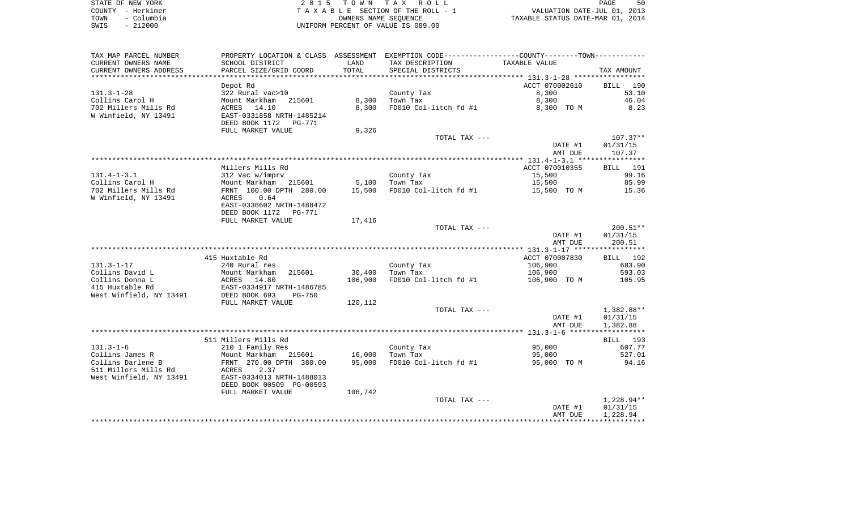| STATE OF NEW YORK |            | 2015 TOWN TAX ROLL                 | PAGE                             |  |
|-------------------|------------|------------------------------------|----------------------------------|--|
| COUNTY - Herkimer |            | TAXABLE SECTION OF THE ROLL - 1    | VALUATION DATE-JUL 01, 2013      |  |
| TOWN              | - Columbia | OWNERS NAME SEOUENCE               | TAXABLE STATUS DATE-MAR 01, 2014 |  |
| SWIS              | $-212000$  | UNIFORM PERCENT OF VALUE IS 089.00 |                                  |  |

| TAX MAP PARCEL NUMBER   | PROPERTY LOCATION & CLASS ASSESSMENT EXEMPTION CODE--------------COUNTY-------TOWN---------                                                                       |         |                                     |                |            |
|-------------------------|-------------------------------------------------------------------------------------------------------------------------------------------------------------------|---------|-------------------------------------|----------------|------------|
| CURRENT OWNERS NAME     | SCHOOL DISTRICT                                                                                                                                                   | LAND    | TAX DESCRIPTION                     | TAXABLE VALUE  |            |
| CURRENT OWNERS ADDRESS  | PARCEL SIZE/GRID COORD                                                                                                                                            | TOTAL   | SPECIAL DISTRICTS                   |                | TAX AMOUNT |
|                         |                                                                                                                                                                   |         |                                     |                |            |
|                         | Depot Rd                                                                                                                                                          |         |                                     | ACCT 070002610 | BILL 190   |
| $131.3 - 1 - 28$        |                                                                                                                                                                   |         |                                     |                | 53.10      |
|                         | 322 Rural vac>10                                                                                                                                                  |         | County Tax                          | 8,300          |            |
| Collins Carol H         | Mount Markham 215601                                                                                                                                              | 8,300   | Town Tax                            | 8,300          | 46.04      |
| 702 Millers Mills Rd    | ACRES 14.10                                                                                                                                                       | 8,300   | FD010 Col-litch fd #1               | 8,300 TO M     | 8.23       |
| W Winfield, NY 13491    | EAST-0331858 NRTH-1485214                                                                                                                                         |         |                                     |                |            |
|                         | DEED BOOK 1172    PG-771                                                                                                                                          |         |                                     |                |            |
|                         | FULL MARKET VALUE                                                                                                                                                 | 9,326   |                                     |                |            |
|                         |                                                                                                                                                                   |         | TOTAL TAX ---                       |                | $107.37**$ |
|                         |                                                                                                                                                                   |         |                                     | DATE #1        | 01/31/15   |
|                         |                                                                                                                                                                   |         |                                     | AMT DUE        | 107.37     |
|                         |                                                                                                                                                                   |         |                                     |                |            |
|                         | Millers Mills Rd                                                                                                                                                  |         |                                     | ACCT 070010355 | BILL 191   |
| $131.4 - 1 - 3.1$       |                                                                                                                                                                   |         |                                     |                | 99.16      |
|                         |                                                                                                                                                                   |         | County Tax                          | 15,500         |            |
|                         |                                                                                                                                                                   |         | 5,100 Town Tax                      | 15,500         | 85.99      |
|                         |                                                                                                                                                                   | 15,500  | FD010 Col-litch fd #1 $15,500$ TO M |                | 15.36      |
|                         |                                                                                                                                                                   |         |                                     |                |            |
|                         | EAST-0336602 NRTH-1488472                                                                                                                                         |         |                                     |                |            |
|                         | DEED BOOK 1172    PG-771                                                                                                                                          |         |                                     |                |            |
|                         | FULL MARKET VALUE                                                                                                                                                 | 17,416  |                                     |                |            |
|                         |                                                                                                                                                                   |         | TOTAL TAX ---                       |                | $200.51**$ |
|                         |                                                                                                                                                                   |         |                                     | DATE #1        | 01/31/15   |
|                         |                                                                                                                                                                   |         |                                     | AMT DUE        | 200.51     |
|                         |                                                                                                                                                                   |         |                                     |                |            |
|                         | 415 Huxtable Rd                                                                                                                                                   |         |                                     | ACCT 070007830 | BILL 192   |
| $131.3 - 1 - 17$        | 240 Rural res                                                                                                                                                     |         | County Tax                          | 106,900        | 683.90     |
| Collins David L         |                                                                                                                                                                   |         | 30,400 Town Tax                     | 106,900        | 593.03     |
| Collins Donna L         |                                                                                                                                                                   | 106,900 | FD010 Col-litch fd #1               | 106,900 TO M   | 105.95     |
|                         | Mount Markham 215601<br>Mount Markham 215601<br>ACRES 14.80<br>EAST-0334917 NRTH-1486785<br>DEED BOOK 693 PG-750                                                  |         |                                     |                |            |
| 415 Huxtable Rd         |                                                                                                                                                                   |         |                                     |                |            |
| West Winfield, NY 13491 |                                                                                                                                                                   |         |                                     |                |            |
|                         | FULL MARKET VALUE                                                                                                                                                 | 120,112 |                                     |                |            |
|                         |                                                                                                                                                                   |         | TOTAL TAX ---                       |                | 1,382.88** |
|                         |                                                                                                                                                                   |         |                                     | DATE #1        | 01/31/15   |
|                         |                                                                                                                                                                   |         |                                     | AMT DUE        | 1,382.88   |
|                         |                                                                                                                                                                   |         |                                     |                |            |
|                         | 511 Millers Mills Rd                                                                                                                                              |         |                                     |                | BILL 193   |
| $131.3 - 1 - 6$         | 210 1 Family Res                                                                                                                                                  |         | County Tax                          | 95,000         | 607.77     |
| Collins James R         |                                                                                                                                                                   |         |                                     | 95,000         | 527.01     |
| Collins Darlene B       |                                                                                                                                                                   |         | 95,000 FD010 Col-litch fd #1        | 95,000 TO M    | 94.16      |
| 511 Millers Mills Rd    |                                                                                                                                                                   |         |                                     |                |            |
| West Winfield, NY 13491 | 210 1 Family Res<br>Mount Markham 215601 16,000 Town Tax<br>FRNT 270.00 DPTH 380.00 95,000 FD010 Col<br>3 Rd ACRES 2.37<br>2.37<br>2.37 EAST-0334013 NRTH-1488013 |         |                                     |                |            |
|                         |                                                                                                                                                                   |         |                                     |                |            |
|                         | DEED BOOK 00509 PG-00593                                                                                                                                          |         |                                     |                |            |
|                         | FULL MARKET VALUE                                                                                                                                                 | 106,742 |                                     |                |            |
|                         |                                                                                                                                                                   |         | TOTAL TAX ---                       |                | 1,228.94** |
|                         |                                                                                                                                                                   |         |                                     | DATE #1        | 01/31/15   |
|                         |                                                                                                                                                                   |         |                                     | AMT DUE        | 1,228.94   |
|                         |                                                                                                                                                                   |         |                                     |                |            |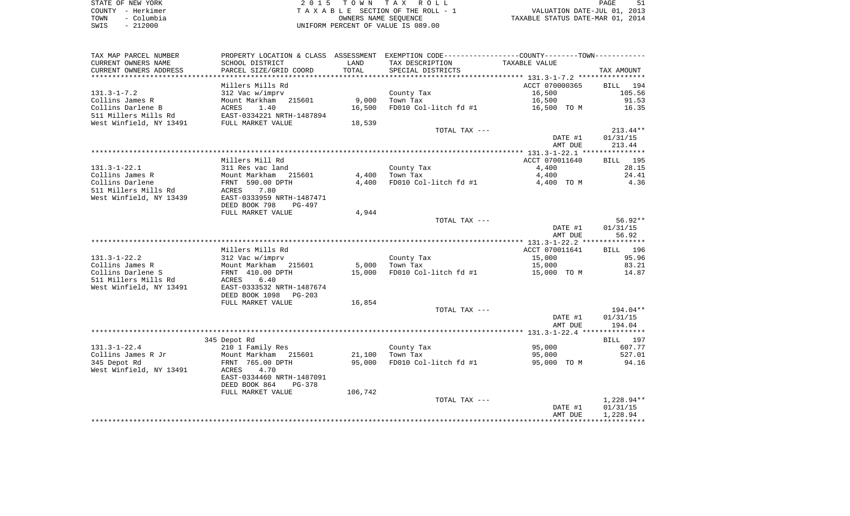| STATE OF NEW YORK                          | 2015 TOWN TAX ROLL                 | PAGE                             |
|--------------------------------------------|------------------------------------|----------------------------------|
| COUNTY - Herkimer                          | TAXABLE SECTION OF THE ROLL - 1    | VALUATION DATE-JUL 01, 2013      |
| - Columbia<br>TOWN                         | OWNERS NAME SEOUENCE               | TAXABLE STATUS DATE-MAR 01, 2014 |
| 212000<br>SWIS<br>$\overline{\phantom{0}}$ | UNIFORM PERCENT OF VALUE IS 089.00 |                                  |

| TAX MAP PARCEL NUMBER      |                                |         | PROPERTY LOCATION & CLASS ASSESSMENT EXEMPTION CODE---------------COUNTY-------TOWN--------- |                |                    |
|----------------------------|--------------------------------|---------|----------------------------------------------------------------------------------------------|----------------|--------------------|
| CURRENT OWNERS NAME        | SCHOOL DISTRICT                | LAND    | TAX DESCRIPTION                                                                              | TAXABLE VALUE  |                    |
| CURRENT OWNERS ADDRESS     | PARCEL SIZE/GRID COORD         | TOTAL   | SPECIAL DISTRICTS                                                                            |                | TAX AMOUNT         |
| ************************** |                                |         |                                                                                              |                |                    |
|                            | Millers Mills Rd               |         |                                                                                              | ACCT 070000365 | <b>BILL</b><br>194 |
| $131.3 - 1 - 7.2$          | 312 Vac w/imprv                |         | County Tax                                                                                   | 16,500         | 105.56             |
| Collins James R            | 215601<br>Mount Markham        | 9,000   | Town Tax                                                                                     | 16,500         | 91.53              |
| Collins Darlene B          | ACRES<br>1.40                  | 16,500  | FD010 Col-litch fd #1                                                                        | 16,500 TO M    | 16.35              |
| 511 Millers Mills Rd       | EAST-0334221 NRTH-1487894      |         |                                                                                              |                |                    |
| West Winfield, NY 13491    | FULL MARKET VALUE              | 18,539  |                                                                                              |                |                    |
|                            |                                |         | TOTAL TAX ---                                                                                |                | $213.44**$         |
|                            |                                |         |                                                                                              | DATE #1        | 01/31/15           |
|                            |                                |         |                                                                                              | AMT DUE        | 213.44             |
|                            | Millers Mill Rd                |         |                                                                                              | ACCT 070011640 | <b>BILL</b> 195    |
| $131.3 - 1 - 22.1$         | 311 Res vac land               |         | County Tax                                                                                   | 4,400          | 28.15              |
| Collins James R            | Mount Markham<br>215601        | 4,400   | Town Tax                                                                                     | 4,400          | 24.41              |
| Collins Darlene            | FRNT 590.00 DPTH               | 4,400   | FD010 Col-litch fd #1                                                                        | 4,400 TO M     | 4.36               |
| 511 Millers Mills Rd       | 7.80<br>ACRES                  |         |                                                                                              |                |                    |
| West Winfield, NY 13439    | EAST-0333959 NRTH-1487471      |         |                                                                                              |                |                    |
|                            | DEED BOOK 798<br>PG-497        |         |                                                                                              |                |                    |
|                            | FULL MARKET VALUE              | 4,944   |                                                                                              |                |                    |
|                            |                                |         | TOTAL TAX ---                                                                                |                | $56.92**$          |
|                            |                                |         |                                                                                              | DATE #1        | 01/31/15           |
|                            |                                |         |                                                                                              | AMT DUE        | 56.92              |
|                            |                                |         |                                                                                              |                |                    |
|                            | Millers Mills Rd               |         |                                                                                              | ACCT 070011641 | BILL 196           |
| $131.3 - 1 - 22.2$         | 312 Vac w/imprv                |         | County Tax                                                                                   | 15,000         | 95.96              |
| Collins James R            | Mount Markham<br>215601        | 5,000   | Town Tax                                                                                     | 15,000         | 83.21              |
| Collins Darlene S          | FRNT 410.00 DPTH               | 15,000  | FD010 Col-litch fd #1                                                                        | 15,000 TO M    | 14.87              |
| 511 Millers Mills Rd       | 6.40<br>ACRES                  |         |                                                                                              |                |                    |
| West Winfield, NY 13491    | EAST-0333532 NRTH-1487674      |         |                                                                                              |                |                    |
|                            | DEED BOOK 1098<br>$PG-203$     |         |                                                                                              |                |                    |
|                            | FULL MARKET VALUE              | 16,854  | TOTAL TAX ---                                                                                |                | 194.04**           |
|                            |                                |         |                                                                                              | DATE #1        | 01/31/15           |
|                            |                                |         |                                                                                              | AMT DUE        | 194.04             |
|                            |                                |         |                                                                                              |                |                    |
|                            | 345 Depot Rd                   |         |                                                                                              |                | BILL 197           |
| $131.3 - 1 - 22.4$         | 210 1 Family Res               |         | County Tax                                                                                   | 95,000         | 607.77             |
| Collins James R Jr         | Mount Markham<br>215601        | 21,100  | Town Tax                                                                                     | 95,000         | 527.01             |
| 345 Depot Rd               | FRNT 765.00 DPTH               | 95,000  | FD010 Col-litch fd #1                                                                        | 95,000 TO M    | 94.16              |
| West Winfield, NY 13491    | 4.70<br>ACRES                  |         |                                                                                              |                |                    |
|                            | EAST-0334460 NRTH-1487091      |         |                                                                                              |                |                    |
|                            | DEED BOOK 864<br><b>PG-378</b> |         |                                                                                              |                |                    |
|                            | FULL MARKET VALUE              | 106,742 |                                                                                              |                |                    |
|                            |                                |         | TOTAL TAX ---                                                                                |                | 1,228.94**         |
|                            |                                |         |                                                                                              | DATE #1        | 01/31/15           |
|                            |                                |         |                                                                                              | AMT DUE        | 1,228.94           |
|                            |                                |         |                                                                                              |                |                    |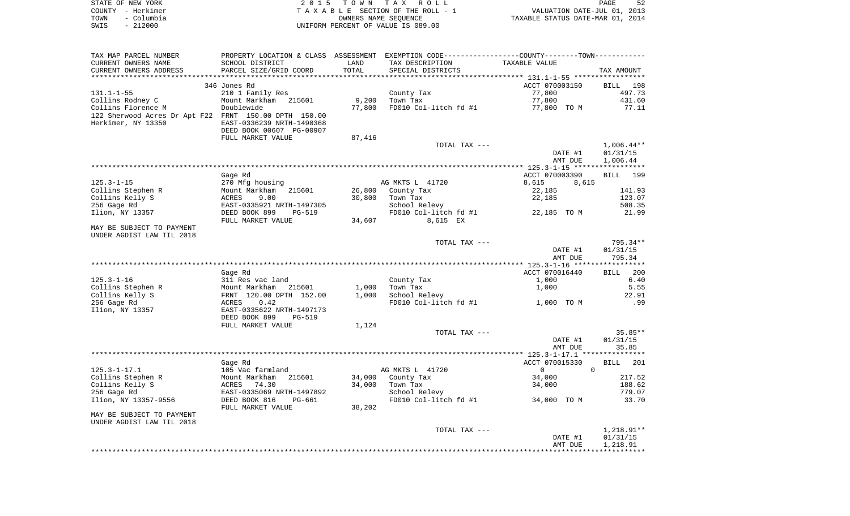| STATE OF NEW YORK  | 2015 TOWN TAX ROLL                 | 52<br>PAGE                       |
|--------------------|------------------------------------|----------------------------------|
| COUNTY – Herkimer  | TAXABLE SECTION OF THE ROLL - 1    | VALUATION DATE-JUL 01, 2013      |
| – Columbia<br>TOWN | OWNERS NAME SEOUENCE               | TAXABLE STATUS DATE-MAR 01, 2014 |
| $-212000$<br>SWIS  | UNIFORM PERCENT OF VALUE IS 089.00 |                                  |

| TAX MAP PARCEL NUMBER<br>CURRENT OWNERS NAME<br>CURRENT OWNERS ADDRESS      | PROPERTY LOCATION & CLASS ASSESSMENT<br>SCHOOL DISTRICT<br>PARCEL SIZE/GRID COORD | LAND<br>TOTAL | EXEMPTION CODE-----------------COUNTY-------TOWN-----------<br>TAX DESCRIPTION<br>SPECIAL DISTRICTS | TAXABLE VALUE        | TAX AMOUNT           |
|-----------------------------------------------------------------------------|-----------------------------------------------------------------------------------|---------------|-----------------------------------------------------------------------------------------------------|----------------------|----------------------|
|                                                                             |                                                                                   |               |                                                                                                     |                      |                      |
|                                                                             | 346 Jones Rd                                                                      |               |                                                                                                     | ACCT 070003150       | <b>BILL</b><br>198   |
| $131.1 - 1 - 55$                                                            | 210 1 Family Res                                                                  |               | County Tax                                                                                          | 77,800               | 497.73               |
| Collins Rodney C                                                            | Mount Markham 215601                                                              | 9,200         | Town Tax                                                                                            | 77,800               | 431.60               |
| Collins Florence M                                                          | Doublewide                                                                        | 77,800        | FD010 Col-litch fd #1                                                                               | 77,800 TO M          | 77.11                |
| 122 Sherwood Acres Dr Apt F22 FRNT 150.00 DPTH 150.00<br>Herkimer, NY 13350 | EAST-0336239 NRTH-1490368<br>DEED BOOK 00607 PG-00907<br>FULL MARKET VALUE        | 87,416        |                                                                                                     |                      |                      |
|                                                                             |                                                                                   |               | TOTAL TAX ---                                                                                       |                      | $1,006.44**$         |
|                                                                             |                                                                                   |               |                                                                                                     |                      |                      |
|                                                                             |                                                                                   |               |                                                                                                     | DATE #1<br>AMT DUE   | 01/31/15<br>1,006.44 |
|                                                                             |                                                                                   |               |                                                                                                     |                      |                      |
|                                                                             |                                                                                   |               |                                                                                                     |                      |                      |
|                                                                             | Gage Rd                                                                           |               |                                                                                                     | ACCT 070003390       | 199<br><b>BILL</b>   |
| $125.3 - 1 - 15$                                                            | 270 Mfg housing                                                                   |               | AG MKTS L 41720                                                                                     | 8,615<br>8,615       |                      |
| Collins Stephen R                                                           | Mount Markham<br>215601                                                           | 26,800        | County Tax                                                                                          | 22,185               | 141.93               |
| Collins Kelly S                                                             | ACRES<br>9.00                                                                     | 30,800        | Town Tax                                                                                            | 22,185               | 123.07               |
| 256 Gage Rd                                                                 | EAST-0335921 NRTH-1497305                                                         |               | School Relevy                                                                                       |                      | 508.35               |
| Ilion, NY 13357                                                             | DEED BOOK 899<br><b>PG-519</b>                                                    |               | FD010 Col-litch fd #1                                                                               | 22,185 TO M          | 21.99                |
|                                                                             | FULL MARKET VALUE                                                                 | 34,607        | 8,615 EX                                                                                            |                      |                      |
| MAY BE SUBJECT TO PAYMENT                                                   |                                                                                   |               |                                                                                                     |                      |                      |
| UNDER AGDIST LAW TIL 2018                                                   |                                                                                   |               |                                                                                                     |                      |                      |
|                                                                             |                                                                                   |               | TOTAL TAX ---                                                                                       |                      | 795.34**             |
|                                                                             |                                                                                   |               |                                                                                                     | DATE #1              | 01/31/15             |
|                                                                             |                                                                                   |               |                                                                                                     | AMT DUE              | 795.34               |
|                                                                             |                                                                                   |               |                                                                                                     |                      |                      |
|                                                                             | Gage Rd                                                                           |               |                                                                                                     | ACCT 070016440       | 200<br>BILL          |
| $125.3 - 1 - 16$                                                            | 311 Res vac land                                                                  |               | County Tax                                                                                          | 1,000                | 6.40                 |
| Collins Stephen R                                                           | Mount Markham 215601                                                              | 1,000         | Town Tax                                                                                            | 1,000                | 5.55                 |
| Collins Kelly S                                                             | FRNT 120.00 DPTH 152.00                                                           | 1,000         | School Relevy                                                                                       |                      | 22.91                |
| 256 Gage Rd                                                                 | 0.42<br>ACRES                                                                     |               | FD010 Col-litch fd #1                                                                               | 1,000 TO M           | .99                  |
| Ilion, NY 13357                                                             | EAST-0335622 NRTH-1497173                                                         |               |                                                                                                     |                      |                      |
|                                                                             | DEED BOOK 899<br>PG-519                                                           |               |                                                                                                     |                      |                      |
|                                                                             | FULL MARKET VALUE                                                                 | 1,124         |                                                                                                     |                      |                      |
|                                                                             |                                                                                   |               | TOTAL TAX ---                                                                                       |                      | $35.85**$            |
|                                                                             |                                                                                   |               |                                                                                                     | DATE #1              | 01/31/15             |
|                                                                             |                                                                                   |               |                                                                                                     | AMT DUE              | 35.85                |
|                                                                             |                                                                                   |               |                                                                                                     |                      |                      |
|                                                                             | Gage Rd                                                                           |               |                                                                                                     | ACCT 070015330       | 201<br><b>BILL</b>   |
| $125.3 - 1 - 17.1$                                                          | 105 Vac farmland                                                                  |               | AG MKTS L 41720                                                                                     | $\Omega$<br>$\Omega$ |                      |
| Collins Stephen R                                                           | Mount Markham<br>215601                                                           | 34,000        | County Tax                                                                                          | 34,000               | 217.52               |
| Collins Kelly S                                                             | ACRES<br>74.30                                                                    | 34,000        | Town Tax                                                                                            | 34,000               | 188.62               |
| 256 Gage Rd                                                                 | EAST-0335069 NRTH-1497892                                                         |               | School Relevy                                                                                       |                      | 779.07               |
| Ilion, NY 13357-9556                                                        | DEED BOOK 816<br>PG-661                                                           |               | FD010 Col-litch fd #1                                                                               | 34,000 TO M          | 33.70                |
|                                                                             | FULL MARKET VALUE                                                                 | 38,202        |                                                                                                     |                      |                      |
| MAY BE SUBJECT TO PAYMENT                                                   |                                                                                   |               |                                                                                                     |                      |                      |
| UNDER AGDIST LAW TIL 2018                                                   |                                                                                   |               |                                                                                                     |                      |                      |
|                                                                             |                                                                                   |               | TOTAL TAX ---                                                                                       |                      | $1,218.91**$         |
|                                                                             |                                                                                   |               |                                                                                                     | DATE #1              | 01/31/15             |
|                                                                             |                                                                                   |               |                                                                                                     | AMT DUE              | 1,218.91             |
|                                                                             |                                                                                   |               |                                                                                                     |                      |                      |
|                                                                             |                                                                                   |               |                                                                                                     |                      |                      |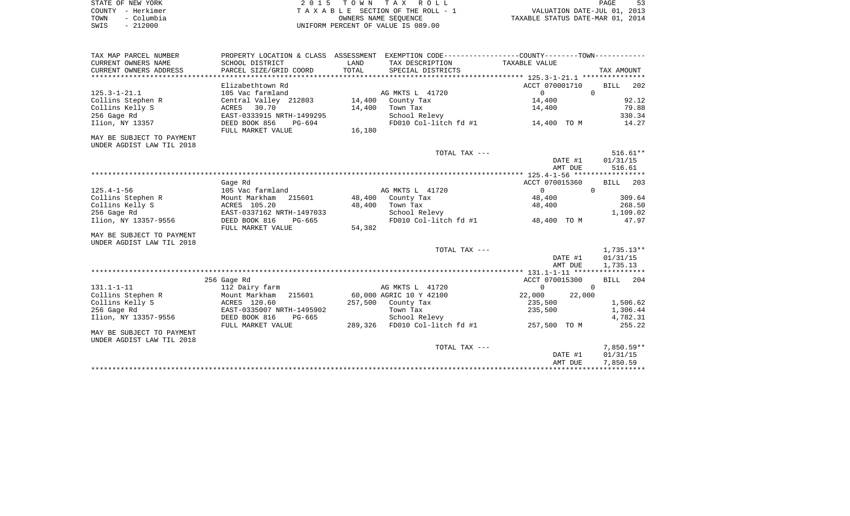| STATE OF NEW YORK  | 2015 TOWN TAX ROLL                 | PAGE                             |
|--------------------|------------------------------------|----------------------------------|
| COUNTY - Herkimer  | TAXABLE SECTION OF THE ROLL - 1    | VALUATION DATE-JUL 01, 2013      |
| - Columbia<br>TOWN | OWNERS NAME SEOUENCE               | TAXABLE STATUS DATE-MAR 01, 2014 |
| $-212000$<br>SWIS  | UNIFORM PERCENT OF VALUE IS 089.00 |                                  |

| TAX MAP PARCEL NUMBER     |                           |         | PROPERTY LOCATION & CLASS ASSESSMENT EXEMPTION CODE----------------COUNTY--------TOWN---------- |                |                    |                      |  |
|---------------------------|---------------------------|---------|-------------------------------------------------------------------------------------------------|----------------|--------------------|----------------------|--|
| CURRENT OWNERS NAME       | SCHOOL DISTRICT           | LAND    | TAX DESCRIPTION                                                                                 | TAXABLE VALUE  |                    |                      |  |
| CURRENT OWNERS ADDRESS    | PARCEL SIZE/GRID COORD    | TOTAL   | SPECIAL DISTRICTS                                                                               |                |                    | TAX AMOUNT           |  |
|                           |                           |         |                                                                                                 |                |                    |                      |  |
|                           | Elizabethtown Rd          |         |                                                                                                 | ACCT 070001710 |                    | <b>BILL</b><br>202   |  |
| $125.3 - 1 - 21.1$        | 105 Vac farmland          |         | AG MKTS L 41720                                                                                 | $\Omega$       | $\Omega$           |                      |  |
| Collins Stephen R         | Central Valley 212803     | 14,400  | County Tax                                                                                      | 14,400         |                    | 92.12                |  |
| Collins Kelly S           | ACRES<br>30.70            | 14,400  | Town Tax                                                                                        | 14,400         |                    | 79.88                |  |
| 256 Gage Rd               | EAST-0333915 NRTH-1499295 |         | School Relevy                                                                                   |                |                    | 330.34               |  |
| Ilion, NY 13357           | DEED BOOK 856<br>$PG-694$ |         | FD010 Col-litch fd #1                                                                           | 14,400 TO M    |                    | 14.27                |  |
|                           | FULL MARKET VALUE         | 16,180  |                                                                                                 |                |                    |                      |  |
| MAY BE SUBJECT TO PAYMENT |                           |         |                                                                                                 |                |                    |                      |  |
| UNDER AGDIST LAW TIL 2018 |                           |         |                                                                                                 |                |                    |                      |  |
|                           |                           |         | TOTAL TAX ---                                                                                   |                |                    | $516.61**$           |  |
|                           |                           |         |                                                                                                 |                | DATE #1            | 01/31/15             |  |
|                           |                           |         |                                                                                                 |                | AMT DUE            | 516.61               |  |
|                           |                           |         |                                                                                                 |                |                    |                      |  |
|                           | Gage Rd                   |         |                                                                                                 | ACCT 070015360 |                    | <b>BILL</b><br>203   |  |
| $125.4 - 1 - 56$          | 105 Vac farmland          |         | AG MKTS L 41720                                                                                 | $\mathbf{0}$   | $\Omega$           |                      |  |
| Collins Stephen R         | Mount Markham<br>215601   | 48,400  | County Tax                                                                                      | 48,400         |                    | 309.64               |  |
| Collins Kelly S           | ACRES 105.20              | 48,400  | Town Tax                                                                                        | 48,400         |                    | 268.50               |  |
| 256 Gage Rd               | EAST-0337162 NRTH-1497033 |         | School Relevy                                                                                   |                |                    | 1,109.02             |  |
| Ilion, NY 13357-9556      | DEED BOOK 816<br>PG-665   |         | FD010 Col-litch fd #1                                                                           | 48,400 TO M    |                    | 47.97                |  |
|                           | FULL MARKET VALUE         | 54,382  |                                                                                                 |                |                    |                      |  |
| MAY BE SUBJECT TO PAYMENT |                           |         |                                                                                                 |                |                    |                      |  |
| UNDER AGDIST LAW TIL 2018 |                           |         |                                                                                                 |                |                    |                      |  |
|                           |                           |         | TOTAL TAX ---                                                                                   |                |                    | 1,735.13**           |  |
|                           |                           |         |                                                                                                 |                | DATE #1            | 01/31/15             |  |
|                           |                           |         |                                                                                                 |                | AMT DUE            | 1,735.13             |  |
|                           |                           |         |                                                                                                 |                |                    |                      |  |
|                           | 256 Gage Rd               |         |                                                                                                 | ACCT 070015300 |                    | 204<br><b>BILL</b>   |  |
| $131.1 - 1 - 11$          | 112 Dairy farm            |         | AG MKTS L 41720                                                                                 | $\circ$        | $\Omega$           |                      |  |
| Collins Stephen R         | Mount Markham<br>215601   |         | 60,000 AGRIC 10 Y 42100                                                                         | 22,000         | 22,000             |                      |  |
| Collins Kelly S           | ACRES 120.60              | 257,500 | County Tax                                                                                      | 235,500        |                    | 1,506.62             |  |
| 256 Gage Rd               | EAST-0335007 NRTH-1495902 |         | Town Tax                                                                                        | 235,500        |                    | 1,306.44             |  |
| Ilion, NY 13357-9556      | DEED BOOK 816<br>PG-665   |         | School Relevy                                                                                   |                |                    | 4,782.31             |  |
|                           | FULL MARKET VALUE         | 289,326 | FD010 Col-litch fd #1                                                                           | 257,500 TO M   |                    | 255.22               |  |
| MAY BE SUBJECT TO PAYMENT |                           |         |                                                                                                 |                |                    |                      |  |
| UNDER AGDIST LAW TIL 2018 |                           |         |                                                                                                 |                |                    |                      |  |
|                           |                           |         | TOTAL TAX ---                                                                                   |                |                    | $7,850.59**$         |  |
|                           |                           |         |                                                                                                 |                | DATE #1<br>AMT DUE | 01/31/15<br>7,850.59 |  |
|                           |                           |         |                                                                                                 |                |                    |                      |  |
|                           |                           |         |                                                                                                 |                |                    |                      |  |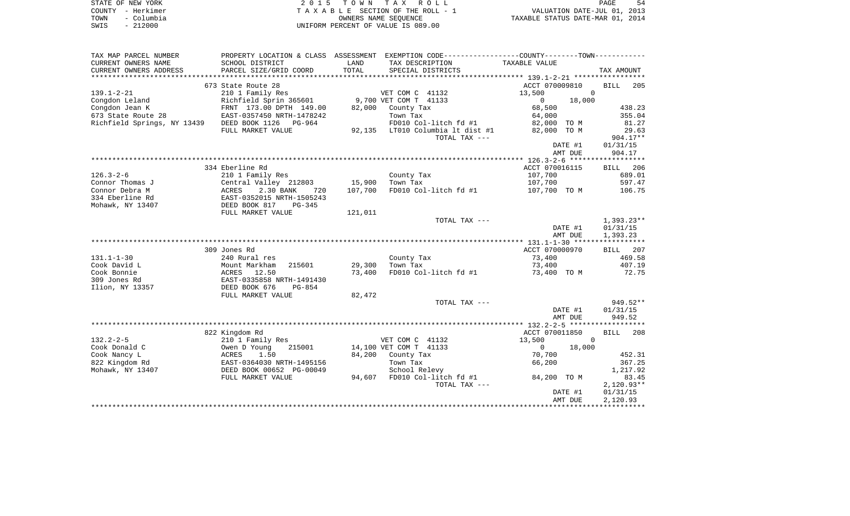| STATE OF NEW YORK  | 2015 TOWN TAX ROLL                 | 54<br>PAGE                       |
|--------------------|------------------------------------|----------------------------------|
| COUNTY - Herkimer  | TAXABLE SECTION OF THE ROLL - 1    | VALUATION DATE-JUL 01, 2013      |
| - Columbia<br>TOWN | OWNERS NAME SEOUENCE               | TAXABLE STATUS DATE-MAR 01, 2014 |
| $-212000$<br>SWIS  | UNIFORM PERCENT OF VALUE IS 089.00 |                                  |

| TAX MAP PARCEL NUMBER                      |                                              |         | PROPERTY LOCATION & CLASS ASSESSMENT EXEMPTION CODE---------------COUNTY-------TOWN---------- |                          |                    |
|--------------------------------------------|----------------------------------------------|---------|-----------------------------------------------------------------------------------------------|--------------------------|--------------------|
| CURRENT OWNERS NAME                        | SCHOOL DISTRICT                              | LAND    | TAX DESCRIPTION                                                                               | TAXABLE VALUE            |                    |
| CURRENT OWNERS ADDRESS                     | PARCEL SIZE/GRID COORD                       | TOTAL   | SPECIAL DISTRICTS                                                                             |                          | TAX AMOUNT         |
|                                            | 673 State Route 28                           |         |                                                                                               | ACCT 070009810           | BILL<br>205        |
| $139.1 - 2 - 21$                           | 210 1 Family Res                             |         | VET COM C 41132                                                                               | 13,500<br>$\overline{0}$ |                    |
| Congdon Leland                             | Richfield Sprin 365601 9,700 VET COM T 41133 |         |                                                                                               | 18,000<br>$\mathbf{0}$   |                    |
| Congdon Jean K                             | FRNT 173.00 DPTH 149.00                      | 82,000  | County Tax                                                                                    | 68,500                   | 438.23             |
| 673 State Route 28                         | EAST-0357450 NRTH-1478242                    |         | Town Tax                                                                                      | 64,000                   | 355.04             |
| Richfield Springs, NY 13439 DEED BOOK 1126 | PG-964                                       |         | FD010 Col-litch fd #1                                                                         | 82,000 TO M              | 81.27              |
|                                            | FULL MARKET VALUE                            |         | 92,135 LT010 Columbia lt dist #1                                                              | 82,000 TO M              | 29.63              |
|                                            |                                              |         | TOTAL TAX ---                                                                                 |                          | 904.17**           |
|                                            |                                              |         |                                                                                               | DATE #1<br>AMT DUE       | 01/31/15<br>904.17 |
|                                            |                                              |         |                                                                                               |                          |                    |
|                                            | 334 Eberline Rd                              |         |                                                                                               | ACCT 070016115           | BILL 206           |
| 126.3-2-6                                  | 210 1 Family Res                             |         | County Tax                                                                                    | 107,700                  | 689.01             |
| Connor Thomas J                            | Central Valley 212803                        | 15,900  | Town Tax                                                                                      | 107,700                  | 597.47             |
| Connor Debra M                             | 2.30 BANK<br>ACRES<br>720                    | 107,700 | FD010 Col-litch fd #1                                                                         | 107,700 TO M             | 106.75             |
| 334 Eberline Rd                            | EAST-0352015 NRTH-1505243                    |         |                                                                                               |                          |                    |
| Mohawk, NY 13407                           | DEED BOOK 817<br>PG-345                      |         |                                                                                               |                          |                    |
|                                            | FULL MARKET VALUE                            | 121,011 |                                                                                               |                          |                    |
|                                            |                                              |         | TOTAL TAX ---                                                                                 |                          | $1,393.23**$       |
|                                            |                                              |         |                                                                                               | DATE #1                  | 01/31/15           |
|                                            |                                              |         |                                                                                               | AMT DUE                  | 1,393.23           |
|                                            |                                              |         |                                                                                               |                          |                    |
|                                            | 309 Jones Rd                                 |         |                                                                                               | ACCT 070000970           | BILL 207           |
| 131.1-1-30<br>Cook David L                 | 240 Rural res<br>Mount Markham<br>215601     | 29,300  | County Tax<br>Town Tax                                                                        | 73,400<br>73,400         | 469.58<br>407.19   |
| Cook Bonnie                                | ACRES 12.50                                  | 73,400  | FD010 Col-litch fd #1                                                                         | 73,400 TO M              | 72.75              |
| 309 Jones Rd                               | EAST-0335858 NRTH-1491430                    |         |                                                                                               |                          |                    |
| Ilion, NY 13357                            | DEED BOOK 676<br>PG-854                      |         |                                                                                               |                          |                    |
|                                            | FULL MARKET VALUE                            | 82,472  |                                                                                               |                          |                    |
|                                            |                                              |         | TOTAL TAX ---                                                                                 |                          | 949.52**           |
|                                            |                                              |         |                                                                                               | DATE #1                  | 01/31/15           |
|                                            |                                              |         |                                                                                               | AMT DUE                  | 949.52             |
|                                            |                                              |         |                                                                                               |                          |                    |
|                                            | 822 Kingdom Rd                               |         |                                                                                               | ACCT 070011850           | <b>BILL</b><br>208 |
| $132.2 - 2 - 5$                            | 210 1 Family Res                             |         | VET COM C 41132                                                                               | 13,500<br>$\mathbf{0}$   |                    |
| Cook Donald C                              | Owen D Young<br>215001                       |         | 14,100 VET COM T 41133                                                                        | $\overline{0}$<br>18,000 |                    |
| Cook Nancy L                               | ACRES<br>1.50                                | 84,200  | County Tax                                                                                    | 70,700                   | 452.31             |
| 822 Kingdom Rd                             | EAST-0364030 NRTH-1495156                    |         | Town Tax                                                                                      | 66,200                   | 367.25             |
| Mohawk, NY 13407                           | DEED BOOK 00652 PG-00049                     |         | School Relevy                                                                                 |                          | 1,217.92<br>83.45  |
|                                            | FULL MARKET VALUE                            | 94,607  | FD010 Col-litch fd #1<br>TOTAL TAX ---                                                        | 84,200 TO M              | $2,120.93**$       |
|                                            |                                              |         |                                                                                               | DATE #1                  | 01/31/15           |
|                                            |                                              |         |                                                                                               | AMT DUE                  | 2,120.93           |
|                                            |                                              |         |                                                                                               |                          |                    |
|                                            |                                              |         |                                                                                               |                          |                    |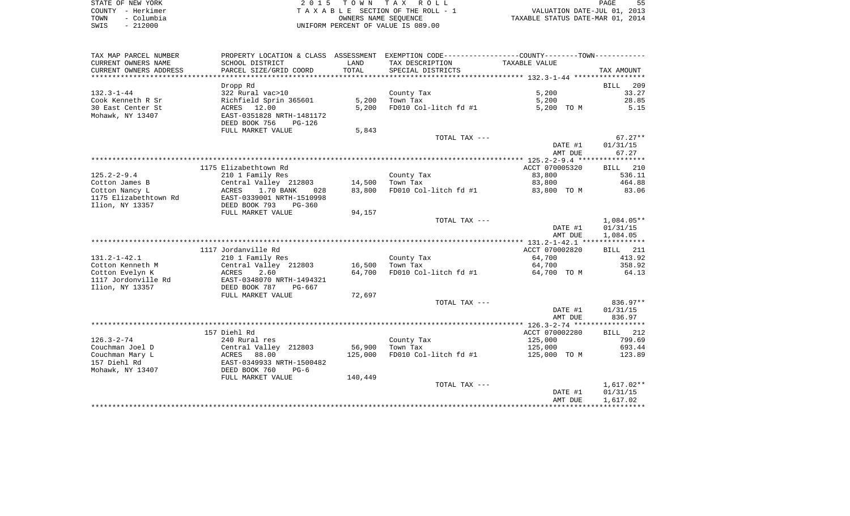| STATE OF NEW YORK  | 2015 TOWN TAX ROLL                 | PAGE                             |
|--------------------|------------------------------------|----------------------------------|
| COUNTY - Herkimer  | TAXABLE SECTION OF THE ROLL - 1    | VALUATION DATE-JUL 01, 2013      |
| - Columbia<br>TOWN | OWNERS NAME SEOUENCE               | TAXABLE STATUS DATE-MAR 01, 2014 |
| $-212000$<br>SWIS  | UNIFORM PERCENT OF VALUE IS 089.00 |                                  |

| TAX MAP PARCEL NUMBER  | PROPERTY LOCATION & CLASS ASSESSMENT EXEMPTION CODE---------------COUNTY-------TOWN---------- |         |                       |                |                 |
|------------------------|-----------------------------------------------------------------------------------------------|---------|-----------------------|----------------|-----------------|
| CURRENT OWNERS NAME    | SCHOOL DISTRICT                                                                               | LAND    | TAX DESCRIPTION       | TAXABLE VALUE  |                 |
| CURRENT OWNERS ADDRESS | PARCEL SIZE/GRID COORD                                                                        | TOTAL   | SPECIAL DISTRICTS     |                | TAX AMOUNT      |
| *********************  | ***************************                                                                   |         |                       |                |                 |
|                        | Dropp Rd                                                                                      |         |                       |                | 209<br>BILL     |
| $132.3 - 1 - 44$       | 322 Rural vac>10                                                                              |         | County Tax            | 5,200          | 33.27           |
| Cook Kenneth R Sr      | Richfield Sprin 365601                                                                        | 5,200   | Town Tax              | 5,200          | 28.85           |
| 30 East Center St      | ACRES 12.00                                                                                   | 5,200   | FD010 Col-litch fd #1 | 5,200 TO M     | 5.15            |
| Mohawk, NY 13407       | EAST-0351828 NRTH-1481172                                                                     |         |                       |                |                 |
|                        | DEED BOOK 756<br>$PG-126$                                                                     |         |                       |                |                 |
|                        | FULL MARKET VALUE                                                                             | 5,843   |                       |                |                 |
|                        |                                                                                               |         | TOTAL TAX ---         |                | $67.27**$       |
|                        |                                                                                               |         |                       | DATE #1        | 01/31/15        |
|                        |                                                                                               |         |                       | AMT DUE        | 67.27           |
|                        |                                                                                               |         |                       |                |                 |
|                        | 1175 Elizabethtown Rd                                                                         |         |                       | ACCT 070005320 | BILL 210        |
| $125.2 - 2 - 9.4$      | 210 1 Family Res                                                                              |         | County Tax            | 83,800         | 536.11          |
| Cotton James B         | Central Valley 212803                                                                         | 14,500  | Town Tax              | 83,800         | 464.88          |
| Cotton Nancy L         | 1.70 BANK<br>ACRES<br>028                                                                     | 83,800  | FD010 Col-litch fd #1 | 83,800 TO M    | 83.06           |
| 1175 Elizabethtown Rd  | EAST-0339001 NRTH-1510998                                                                     |         |                       |                |                 |
| Ilion, NY 13357        | DEED BOOK 793<br>$PG-360$                                                                     |         |                       |                |                 |
|                        | FULL MARKET VALUE                                                                             | 94,157  |                       |                |                 |
|                        |                                                                                               |         | TOTAL TAX ---         |                | 1,084.05**      |
|                        |                                                                                               |         |                       | DATE #1        | 01/31/15        |
|                        |                                                                                               |         |                       | AMT DUE        | 1,084.05        |
|                        |                                                                                               |         |                       |                |                 |
|                        | 1117 Jordanville Rd                                                                           |         |                       | ACCT 070002820 | <b>BILL</b> 211 |
| $131.2 - 1 - 42.1$     | 210 1 Family Res                                                                              |         | County Tax            | 64,700         | 413.92          |
| Cotton Kenneth M       | Central Valley 212803                                                                         | 16,500  | Town Tax              | 64,700         | 358.92          |
| Cotton Evelyn K        | 2.60<br>ACRES                                                                                 | 64,700  | FD010 Col-litch fd #1 | 64,700 TO M    | 64.13           |
| 1117 Jordonville Rd    | EAST-0348070 NRTH-1494321                                                                     |         |                       |                |                 |
| Ilion, NY 13357        | DEED BOOK 787<br>PG-667                                                                       |         |                       |                |                 |
|                        | FULL MARKET VALUE                                                                             | 72,697  |                       |                |                 |
|                        |                                                                                               |         | TOTAL TAX ---         |                | 836.97**        |
|                        |                                                                                               |         |                       | DATE #1        | 01/31/15        |
|                        |                                                                                               |         |                       | AMT DUE        | 836.97          |
|                        |                                                                                               |         |                       |                |                 |
|                        | 157 Diehl Rd                                                                                  |         |                       | ACCT 070002280 | BILL 212        |
| $126.3 - 2 - 74$       | 240 Rural res                                                                                 |         | County Tax            | 125,000        | 799.69          |
| Couchman Joel D        | Central Valley 212803                                                                         | 56,900  | Town Tax              | 125,000        | 693.44          |
| Couchman Mary L        | 88.00<br>ACRES                                                                                | 125,000 | FD010 Col-litch fd #1 | 125,000 TO M   | 123.89          |
| 157 Diehl Rd           | EAST-0349933 NRTH-1500482                                                                     |         |                       |                |                 |
| Mohawk, NY 13407       | DEED BOOK 760<br>$PG-6$                                                                       |         |                       |                |                 |
|                        | FULL MARKET VALUE                                                                             | 140,449 |                       |                |                 |
|                        |                                                                                               |         | TOTAL TAX ---         |                | $1,617.02**$    |
|                        |                                                                                               |         |                       | DATE #1        | 01/31/15        |
|                        |                                                                                               |         |                       | AMT DUE        | 1,617.02        |
|                        |                                                                                               |         |                       |                |                 |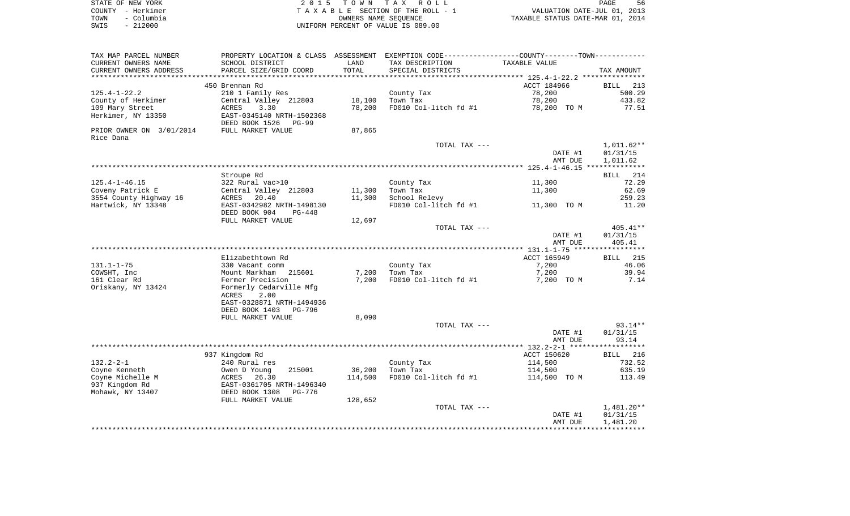| STATE OF NEW YORK  | 2015 TOWN TAX ROLL                 | 56<br>PAGE                       |
|--------------------|------------------------------------|----------------------------------|
| COUNTY - Herkimer  | TAXABLE SECTION OF THE ROLL - 1    | VALUATION DATE-JUL 01, 2013      |
| - Columbia<br>TOWN | OWNERS NAME SEOUENCE               | TAXABLE STATUS DATE-MAR 01, 2014 |
| $-212000$<br>SWIS  | UNIFORM PERCENT OF VALUE IS 089.00 |                                  |

| TAX MAP PARCEL NUMBER    | PROPERTY LOCATION & CLASS ASSESSMENT EXEMPTION CODE---------------COUNTY-------TOWN---------- |         |                       |                    |                      |
|--------------------------|-----------------------------------------------------------------------------------------------|---------|-----------------------|--------------------|----------------------|
| CURRENT OWNERS NAME      | SCHOOL DISTRICT                                                                               | LAND    | TAX DESCRIPTION       | TAXABLE VALUE      |                      |
| CURRENT OWNERS ADDRESS   | PARCEL SIZE/GRID COORD                                                                        | TOTAL   | SPECIAL DISTRICTS     |                    | TAX AMOUNT           |
| *********************    |                                                                                               |         |                       |                    |                      |
|                          | 450 Brennan Rd                                                                                |         |                       | ACCT 184966        | BILL<br>213          |
| $125.4 - 1 - 22.2$       | 210 1 Family Res                                                                              |         | County Tax            | 78,200             | 500.29               |
| County of Herkimer       | Central Valley 212803                                                                         | 18,100  | Town Tax              | 78,200             | 433.82               |
| 109 Mary Street          | ACRES<br>3.30                                                                                 | 78,200  | FD010 Col-litch fd #1 | 78,200 TO M        | 77.51                |
| Herkimer, NY 13350       | EAST-0345140 NRTH-1502368<br>DEED BOOK 1526<br>PG-99                                          |         |                       |                    |                      |
| PRIOR OWNER ON 3/01/2014 | FULL MARKET VALUE                                                                             | 87,865  |                       |                    |                      |
| Rice Dana                |                                                                                               |         |                       |                    |                      |
|                          |                                                                                               |         | TOTAL TAX ---         |                    | $1,011.62**$         |
|                          |                                                                                               |         |                       | DATE #1            | 01/31/15             |
|                          |                                                                                               |         |                       | AMT DUE            | 1,011.62             |
|                          |                                                                                               |         |                       |                    | **************       |
|                          | Stroupe Rd                                                                                    |         |                       |                    | BILL 214             |
| $125.4 - 1 - 46.15$      | 322 Rural vac>10                                                                              |         | County Tax            | 11,300             | 72.29                |
| Coveny Patrick E         | Central Valley 212803                                                                         | 11,300  | Town Tax              | 11,300             | 62.69                |
| 3554 County Highway 16   | 20.40<br>ACRES                                                                                | 11,300  | School Relevy         |                    | 259.23               |
| Hartwick, NY 13348       | EAST-0342982 NRTH-1498130                                                                     |         | FD010 Col-litch fd #1 | 11,300 TO M        | 11.20                |
|                          | DEED BOOK 904<br><b>PG-448</b>                                                                |         |                       |                    |                      |
|                          | FULL MARKET VALUE                                                                             | 12,697  |                       |                    |                      |
|                          |                                                                                               |         | TOTAL TAX ---         |                    | 405.41**             |
|                          |                                                                                               |         |                       | DATE #1<br>AMT DUE | 01/31/15<br>405.41   |
|                          |                                                                                               |         |                       |                    |                      |
|                          | Elizabethtown Rd                                                                              |         |                       | ACCT 165949        | BILL 215             |
| $131.1 - 1 - 75$         | 330 Vacant comm                                                                               |         | County Tax            | 7,200              | 46.06                |
| COWSHT, Inc              | Mount Markham<br>215601                                                                       | 7,200   | Town Tax              | 7,200              | 39.94                |
| 161 Clear Rd             | Fermer Precision                                                                              | 7,200   | FD010 Col-litch fd #1 | 7,200 TO M         | 7.14                 |
| Oriskany, NY 13424       | Formerly Cedarville Mfg<br>ACRES<br>2.00<br>EAST-0328871 NRTH-1494936                         |         |                       |                    |                      |
|                          | DEED BOOK 1403<br>PG-796                                                                      |         |                       |                    |                      |
|                          | FULL MARKET VALUE                                                                             | 8,090   |                       |                    |                      |
|                          |                                                                                               |         | TOTAL TAX ---         |                    | $93.14**$            |
|                          |                                                                                               |         |                       | DATE #1            | 01/31/15             |
|                          |                                                                                               |         |                       | AMT DUE            | 93.14                |
|                          |                                                                                               |         |                       |                    |                      |
|                          | 937 Kingdom Rd                                                                                |         |                       | ACCT 150620        | <b>BILL</b> 216      |
| $132.2 - 2 - 1$          | 240 Rural res                                                                                 |         | County Tax            | 114,500            | 732.52               |
| Coyne Kenneth            | 215001<br>Owen D Young                                                                        | 36,200  | Town Tax              | 114,500            | 635.19               |
| Coyne Michelle M         | ACRES<br>26.30                                                                                | 114,500 | FD010 Col-litch fd #1 | 114,500 TO M       | 113.49               |
| 937 Kingdom Rd           | EAST-0361705 NRTH-1496340                                                                     |         |                       |                    |                      |
| Mohawk, NY 13407         | DEED BOOK 1308<br>PG-776                                                                      |         |                       |                    |                      |
|                          | FULL MARKET VALUE                                                                             | 128,652 | TOTAL TAX ---         |                    | 1,481.20**           |
|                          |                                                                                               |         |                       |                    |                      |
|                          |                                                                                               |         |                       | DATE #1<br>AMT DUE | 01/31/15<br>1,481.20 |
|                          |                                                                                               |         |                       |                    |                      |
|                          |                                                                                               |         |                       |                    |                      |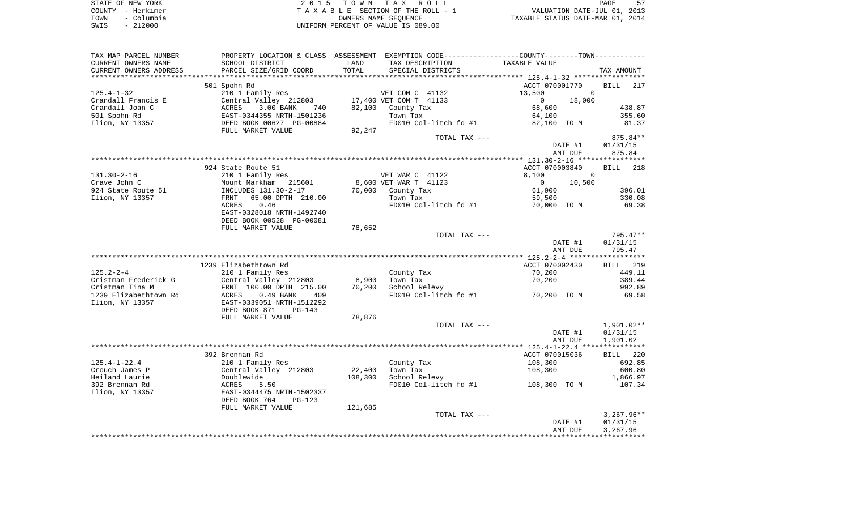| STATE OF NEW YORK |            | 2015 TOWN TAX ROLL                 | PAGE                             |
|-------------------|------------|------------------------------------|----------------------------------|
| COUNTY - Herkimer |            | TAXABLE SECTION OF THE ROLL - 1    | VALUATION DATE-JUL 01, 2013      |
| TOWN              | – Columbia | OWNERS NAME SEOUENCE               | TAXABLE STATUS DATE-MAR 01, 2014 |
| SWIS              | $-212000$  | UNIFORM PERCENT OF VALUE IS 089.00 |                                  |

| TAX MAP PARCEL NUMBER  | PROPERTY LOCATION & CLASS ASSESSMENT EXEMPTION CODE---------------COUNTY-------TOWN---------- |         |                                    |                                                    |              |
|------------------------|-----------------------------------------------------------------------------------------------|---------|------------------------------------|----------------------------------------------------|--------------|
| CURRENT OWNERS NAME    | SCHOOL DISTRICT                                                                               | LAND    | TAX DESCRIPTION                    | TAXABLE VALUE                                      |              |
| CURRENT OWNERS ADDRESS | PARCEL SIZE/GRID COORD                                                                        | TOTAL   | SPECIAL DISTRICTS                  |                                                    | TAX AMOUNT   |
|                        |                                                                                               |         |                                    | ******************** 125.4-1-32 ****************** |              |
|                        | 501 Spohn Rd                                                                                  |         |                                    | ACCT 070001770                                     | BILL 217     |
| $125.4 - 1 - 32$       | 210 1 Family Res                                                                              |         | VET COM C 41132                    | 13,500<br>$\Omega$                                 |              |
| Crandall Francis E     | Central Valley 212803                                                                         |         | 17,400 VET COM T 41133             | 18,000<br>$\overline{0}$                           |              |
| Crandall Joan C        | 3.00 BANK<br>ACRES<br>740                                                                     |         | 82,100 County Tax                  | 68,600                                             | 438.87       |
| 501 Spohn Rd           | EAST-0344355 NRTH-1501236                                                                     |         | Town Tax                           | 64,100                                             | 355.60       |
| Ilion, NY 13357        | DEED BOOK 00627 PG-00884                                                                      |         | FD010 Col-litch fd #1 82,100 TO M  |                                                    | 81.37        |
|                        | FULL MARKET VALUE                                                                             | 92,247  |                                    |                                                    |              |
|                        |                                                                                               |         |                                    |                                                    |              |
|                        |                                                                                               |         | TOTAL TAX ---                      |                                                    | 875.84**     |
|                        |                                                                                               |         |                                    | DATE #1                                            | 01/31/15     |
|                        |                                                                                               |         |                                    | AMT DUE                                            | 875.84       |
|                        |                                                                                               |         |                                    |                                                    |              |
|                        | 924 State Route 51                                                                            |         |                                    | ACCT 070003840                                     | BILL 218     |
| 131.30-2-16            | 210 1 Family Res                                                                              |         | VET WAR C 41122                    | 8,100<br>$\overline{0}$                            |              |
| Crave John C           | Mount Markham 215601                                                                          |         | 8,600 VET WAR T 41123              | $\sim$ 0<br>10,500                                 |              |
| 924 State Route 51     | INCLUDES 131.30-2-17                                                                          |         | 70,000 County Tax                  | 61,900                                             | 396.01       |
| Ilion, NY 13357        | FRNT 65.00 DPTH 210.00                                                                        |         | Town Tax                           | 59,500                                             | 330.08       |
|                        | ACRES<br>0.46                                                                                 |         |                                    | FD010 Col-litch fd $#1$ 70,000 TO M                | 69.38        |
|                        | EAST-0328018 NRTH-1492740                                                                     |         |                                    |                                                    |              |
|                        | DEED BOOK 00528 PG-00081                                                                      |         |                                    |                                                    |              |
|                        | FULL MARKET VALUE                                                                             | 78,652  |                                    |                                                    |              |
|                        |                                                                                               |         | TOTAL TAX ---                      |                                                    | 795.47**     |
|                        |                                                                                               |         |                                    | DATE #1                                            | 01/31/15     |
|                        |                                                                                               |         |                                    | AMT DUE                                            | 795.47       |
|                        |                                                                                               |         |                                    |                                                    |              |
|                        | 1239 Elizabethtown Rd                                                                         |         |                                    | ACCT 070002430                                     | BILL 219     |
| $125.2 - 2 - 4$        | 210 1 Family Res                                                                              |         | County Tax                         | 70,200                                             | 449.11       |
| Cristman Frederick G   |                                                                                               | 8,900   | Town Tax                           | 70,200                                             | 389.44       |
| Cristman Tina M        | Central Valley 212803<br>FRNT 100.00 DPTH 215.00                                              | 70,200  | School Relevy                      |                                                    | 992.89       |
|                        |                                                                                               |         |                                    |                                                    |              |
| 1239 Elizabethtown Rd  | <b>ACRES</b><br>$0.49$ BANK<br>409                                                            |         | FD010 Col-litch fd #1              | 70,200 TO M                                        | 69.58        |
| Ilion, NY 13357        | EAST-0339051 NRTH-1512292                                                                     |         |                                    |                                                    |              |
|                        | DEED BOOK 871<br>$PG-143$                                                                     |         |                                    |                                                    |              |
|                        | FULL MARKET VALUE                                                                             | 78,876  |                                    |                                                    |              |
|                        |                                                                                               |         | TOTAL TAX ---                      |                                                    | 1,901.02**   |
|                        |                                                                                               |         |                                    | DATE #1                                            | 01/31/15     |
|                        |                                                                                               |         |                                    | AMT DUE                                            | 1,901.02     |
|                        |                                                                                               |         |                                    |                                                    |              |
|                        | 392 Brennan Rd                                                                                |         |                                    | ACCT 070015036                                     | BILL 220     |
| $125.4 - 1 - 22.4$     | 210 1 Family Res                                                                              |         | County Tax                         | 108,300                                            | 692.85       |
| Crouch James P         | Central Valley 212803                                                                         | 22,400  | Town Tax                           | 108,300                                            | 600.80       |
| Heiland Laurie         | Doublewide                                                                                    | 108,300 | School Relevy                      |                                                    | 1,866.97     |
| 392 Brennan Rd         | ACRES<br>5.50                                                                                 |         | FD010 Col-litch fd #1 108,300 TO M |                                                    | 107.34       |
| Ilion, NY 13357        | EAST-0344475 NRTH-1502337                                                                     |         |                                    |                                                    |              |
|                        | DEED BOOK 764<br>$PG-123$                                                                     |         |                                    |                                                    |              |
|                        | FULL MARKET VALUE                                                                             | 121,685 |                                    |                                                    |              |
|                        |                                                                                               |         | TOTAL TAX ---                      |                                                    | $3,267.96**$ |
|                        |                                                                                               |         |                                    | DATE #1                                            | 01/31/15     |
|                        |                                                                                               |         |                                    | AMT DUE                                            | 3,267.96     |
|                        |                                                                                               |         |                                    |                                                    |              |
|                        |                                                                                               |         |                                    |                                                    |              |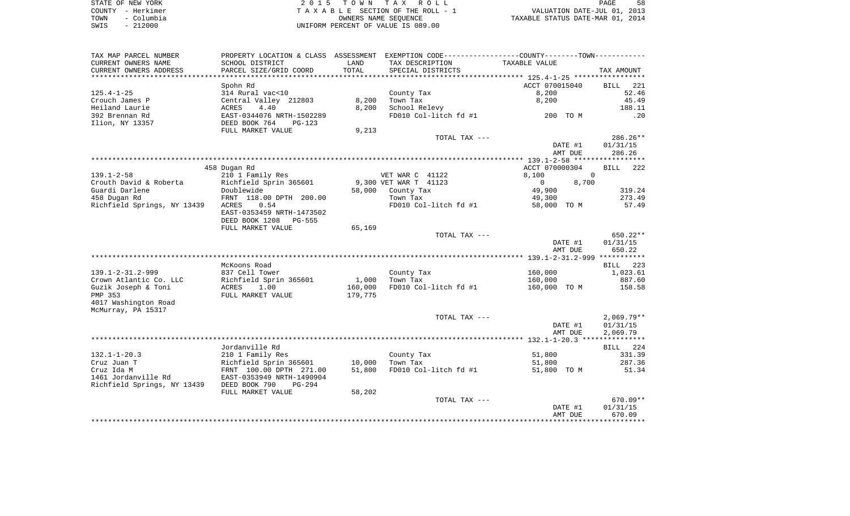| STATE OF NEW YORK  | 2015 TOWN TAX ROLL                 | 58<br>PAGE                       |
|--------------------|------------------------------------|----------------------------------|
| COUNTY - Herkimer  | TAXABLE SECTION OF THE ROLL - 1    | VALUATION DATE-JUL 01, 2013      |
| - Columbia<br>TOWN | OWNERS NAME SEOUENCE               | TAXABLE STATUS DATE-MAR 01, 2014 |
| $-212000$<br>SWIS  | UNIFORM PERCENT OF VALUE IS 089.00 |                                  |

| TAX MAP PARCEL NUMBER                     |                                |         |                       | PROPERTY LOCATION & CLASS ASSESSMENT EXEMPTION CODE---------------COUNTY-------TOWN---------- |                    |
|-------------------------------------------|--------------------------------|---------|-----------------------|-----------------------------------------------------------------------------------------------|--------------------|
| CURRENT OWNERS NAME                       | SCHOOL DISTRICT                | LAND    | TAX DESCRIPTION       | TAXABLE VALUE                                                                                 |                    |
| CURRENT OWNERS ADDRESS                    | PARCEL SIZE/GRID COORD         | TOTAL   | SPECIAL DISTRICTS     |                                                                                               | TAX AMOUNT         |
| ********************                      | ****************************** |         |                       |                                                                                               |                    |
|                                           | Spohn Rd                       |         |                       | ACCT 070015040                                                                                | 221<br><b>BILL</b> |
| $125.4 - 1 - 25$                          | 314 Rural vac<10               |         | County Tax            | 8,200                                                                                         | 52.46              |
| Crouch James P                            | Central Valley 212803          | 8,200   | Town Tax              | 8,200                                                                                         | 45.49              |
| Heiland Laurie                            | ACRES<br>4.40                  | 8,200   | School Relevy         |                                                                                               | 188.11             |
| 392 Brennan Rd                            | EAST-0344076 NRTH-1502289      |         | FD010 Col-litch fd #1 | 200 TO M                                                                                      | .20                |
| Ilion, NY 13357                           | DEED BOOK 764<br><b>PG-123</b> |         |                       |                                                                                               |                    |
|                                           | FULL MARKET VALUE              | 9,213   |                       |                                                                                               |                    |
|                                           |                                |         | TOTAL TAX ---         |                                                                                               | $286.26**$         |
|                                           |                                |         |                       | DATE #1                                                                                       | 01/31/15           |
|                                           |                                |         |                       | AMT DUE                                                                                       | 286.26             |
|                                           |                                |         |                       |                                                                                               |                    |
|                                           | 458 Dugan Rd                   |         |                       | ACCT 070000304                                                                                | BILL<br>222        |
| $139.1 - 2 - 58$                          | 210 1 Family Res               |         | VET WAR C 41122       | 8,100<br>$\overline{0}$                                                                       |                    |
| Crouth David & Roberta                    | Richfield Sprin 365601         |         | 9,300 VET WAR T 41123 | 8,700<br>$\mathbf 0$                                                                          |                    |
| Guardi Darlene                            | Doublewide                     |         | 58,000 County Tax     | 49,900                                                                                        | 319.24             |
| 458 Dugan Rd                              | FRNT 118.00 DPTH 200.00        |         | Town Tax              | 49,300                                                                                        | 273.49             |
| Richfield Springs, NY 13439 ACRES         | 0.54                           |         | FD010 Col-litch fd #1 | 58,000 TO M                                                                                   | 57.49              |
|                                           | EAST-0353459 NRTH-1473502      |         |                       |                                                                                               |                    |
|                                           | DEED BOOK 1208<br>PG-555       |         |                       |                                                                                               |                    |
|                                           | FULL MARKET VALUE              | 65,169  |                       |                                                                                               |                    |
|                                           |                                |         | TOTAL TAX ---         |                                                                                               | 650.22**           |
|                                           |                                |         |                       | DATE #1                                                                                       | 01/31/15           |
|                                           |                                |         |                       | AMT DUE                                                                                       | 650.22             |
|                                           |                                |         |                       |                                                                                               |                    |
|                                           | McKoons Road                   |         |                       |                                                                                               | BILL 223           |
| $139.1 - 2 - 31.2 - 999$                  | 837 Cell Tower                 |         | County Tax            | 160,000                                                                                       | 1,023.61           |
| Crown Atlantic Co. LLC                    | Richfield Sprin 365601         | 1,000   | Town Tax              | 160,000                                                                                       | 887.60             |
| Guzik Joseph & Toni                       | 1.00<br>ACRES                  | 160,000 | FD010 Col-litch fd #1 | 160,000 TO M                                                                                  | 158.58             |
| PMP 353                                   | FULL MARKET VALUE              | 179,775 |                       |                                                                                               |                    |
| 4017 Washington Road                      |                                |         |                       |                                                                                               |                    |
| McMurray, PA 15317                        |                                |         |                       |                                                                                               |                    |
|                                           |                                |         | TOTAL TAX ---         |                                                                                               | $2,069.79**$       |
|                                           |                                |         |                       | DATE #1                                                                                       | 01/31/15           |
|                                           |                                |         |                       | AMT DUE                                                                                       | 2,069.79           |
|                                           |                                |         |                       |                                                                                               |                    |
|                                           | Jordanville Rd                 |         |                       |                                                                                               | BILL 224           |
| $132.1 - 1 - 20.3$                        | 210 1 Family Res               |         | County Tax            | 51,800                                                                                        | 331.39             |
| Cruz Juan T                               | Richfield Sprin 365601         | 10,000  | Town Tax              | 51,800                                                                                        | 287.36             |
| Cruz Ida M                                | FRNT 100.00 DPTH 271.00        | 51,800  | FD010 Col-litch fd #1 | 51,800 TO M                                                                                   | 51.34              |
| 1461 Jordanville Rd                       | EAST-0353949 NRTH-1490904      |         |                       |                                                                                               |                    |
| Richfield Springs, NY 13439 DEED BOOK 790 | $PG-294$                       |         |                       |                                                                                               |                    |
|                                           | FULL MARKET VALUE              | 58,202  |                       |                                                                                               |                    |
|                                           |                                |         | TOTAL TAX ---         |                                                                                               | $670.09**$         |
|                                           |                                |         |                       | DATE #1                                                                                       | 01/31/15           |
|                                           |                                |         |                       | AMT DUE                                                                                       | 670.09             |
|                                           |                                |         |                       |                                                                                               |                    |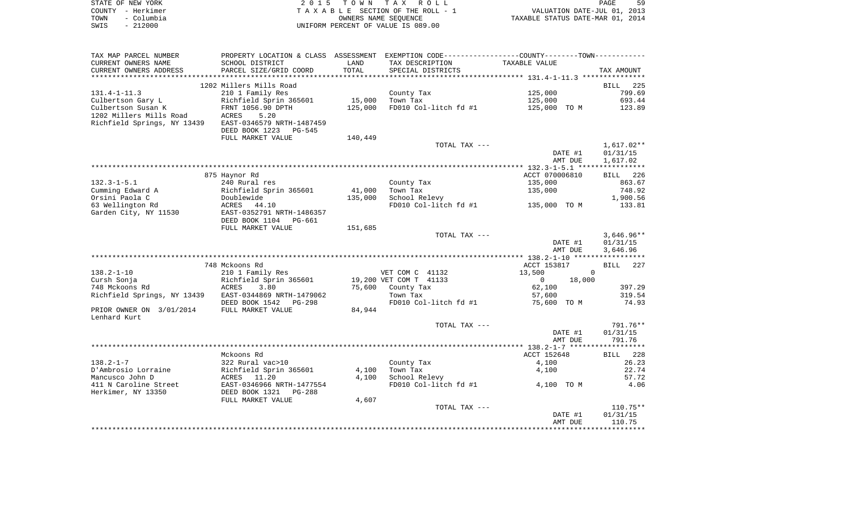|      | STATE OF NEW YORK | 2015 TOWN TAX ROLL                 | 59<br>PAGE                       |
|------|-------------------|------------------------------------|----------------------------------|
|      | COUNTY - Herkimer | TAXABLE SECTION OF THE ROLL - 1    | VALUATION DATE-JUL 01, 2013      |
| TOWN | – Columbia        | OWNERS NAME SEOUENCE               | TAXABLE STATUS DATE-MAR 01, 2014 |
| SWIS | $-212000$         | UNIFORM PERCENT OF VALUE IS 089.00 |                                  |

| TAX MAP PARCEL NUMBER       |                           |         | PROPERTY LOCATION & CLASS ASSESSMENT EXEMPTION CODE-----------------COUNTY-------TOWN- |                    |                    |
|-----------------------------|---------------------------|---------|----------------------------------------------------------------------------------------|--------------------|--------------------|
| CURRENT OWNERS NAME         | SCHOOL DISTRICT           | LAND    | TAX DESCRIPTION                                                                        | TAXABLE VALUE      |                    |
| CURRENT OWNERS ADDRESS      | PARCEL SIZE/GRID COORD    | TOTAL   | SPECIAL DISTRICTS                                                                      |                    | TAX AMOUNT         |
|                             |                           |         |                                                                                        |                    |                    |
|                             | 1202 Millers Mills Road   |         |                                                                                        |                    | BILL 225           |
| $131.4 - 1 - 11.3$          | 210 1 Family Res          |         | County Tax                                                                             | 125,000            | 799.69             |
| Culbertson Gary L           | Richfield Sprin 365601    | 15,000  | Town Tax                                                                               | 125,000            | 693.44             |
|                             | FRNT 1056.90 DPTH         | 125,000 |                                                                                        | 125,000 TO M       |                    |
| Culbertson Susan K          |                           |         | FD010 Col-litch fd #1                                                                  |                    | 123.89             |
| 1202 Millers Mills Road     | 5.20<br>ACRES             |         |                                                                                        |                    |                    |
| Richfield Springs, NY 13439 | EAST-0346579 NRTH-1487459 |         |                                                                                        |                    |                    |
|                             | DEED BOOK 1223<br>PG-545  |         |                                                                                        |                    |                    |
|                             | FULL MARKET VALUE         | 140,449 |                                                                                        |                    |                    |
|                             |                           |         | TOTAL TAX ---                                                                          |                    | 1,617.02**         |
|                             |                           |         |                                                                                        | DATE #1            | 01/31/15           |
|                             |                           |         |                                                                                        | AMT DUE            | 1,617.02           |
|                             |                           |         |                                                                                        |                    |                    |
|                             | 875 Haynor Rd             |         |                                                                                        | ACCT 070006810     | BILL 226           |
| $132.3 - 1 - 5.1$           | 240 Rural res             |         | County Tax                                                                             | 135,000            | 863.67             |
| Cumming Edward A            | Richfield Sprin 365601    | 41,000  | Town Tax                                                                               | 135,000            | 748.92             |
| Orsini Paola C              |                           | 135,000 | School Relevy                                                                          |                    | 1,900.56           |
|                             | Doublewide                |         |                                                                                        |                    |                    |
| 63 Wellington Rd            | ACRES 44.10               |         | FD010 Col-litch fd #1                                                                  | 135,000 TO M       | 133.81             |
| Garden City, NY 11530       | EAST-0352791 NRTH-1486357 |         |                                                                                        |                    |                    |
|                             | DEED BOOK 1104<br>PG-661  |         |                                                                                        |                    |                    |
|                             | FULL MARKET VALUE         | 151,685 |                                                                                        |                    |                    |
|                             |                           |         | TOTAL TAX ---                                                                          |                    | $3,646.96**$       |
|                             |                           |         |                                                                                        | DATE #1            | 01/31/15           |
|                             |                           |         |                                                                                        | AMT DUE            | 3,646.96           |
|                             |                           |         |                                                                                        |                    |                    |
|                             | 748 Mckoons Rd            |         |                                                                                        | ACCT 153817        | <b>BILL</b><br>227 |
| $138.2 - 1 - 10$            | 210 1 Family Res          |         | VET COM C 41132                                                                        | 13,500<br>$\Omega$ |                    |
| Cursh Sonja                 | Richfield Sprin 365601    |         | 19,200 VET COM T 41133                                                                 | 18,000<br>$\Omega$ |                    |
| 748 Mckoons Rd              | ACRES<br>3.80             |         | 75,600 County Tax                                                                      | 62,100             | 397.29             |
| Richfield Springs, NY 13439 | EAST-0344869 NRTH-1479062 |         | Town Tax                                                                               | 57,600             | 319.54             |
|                             | DEED BOOK 1542 PG-298     |         | FD010 Col-litch fd #1                                                                  | 75,600 TO M        | 74.93              |
| PRIOR OWNER ON 3/01/2014    | FULL MARKET VALUE         | 84,944  |                                                                                        |                    |                    |
|                             |                           |         |                                                                                        |                    |                    |
| Lenhard Kurt                |                           |         |                                                                                        |                    |                    |
|                             |                           |         | TOTAL TAX ---                                                                          |                    | 791.76**           |
|                             |                           |         |                                                                                        | DATE #1            | 01/31/15           |
|                             |                           |         |                                                                                        | AMT DUE            | 791.76             |
|                             |                           |         |                                                                                        |                    |                    |
|                             | Mckoons Rd                |         |                                                                                        | ACCT 152648        | 228<br>BILL        |
| $138.2 - 1 - 7$             | 322 Rural vac>10          |         | County Tax                                                                             | 4,100              | 26.23              |
| D'Ambrosio Lorraine         | Richfield Sprin 365601    | 4,100   | Town Tax                                                                               | 4,100              | 22.74              |
| Mancusco John D             | ACRES 11.20               | 4,100   | School Relevy                                                                          |                    | 57.72              |
| 411 N Caroline Street       | EAST-0346966 NRTH-1477554 |         | FD010 Col-litch fd #1                                                                  | 4,100 TO M         | 4.06               |
| Herkimer, NY 13350          | DEED BOOK 1321<br>PG-288  |         |                                                                                        |                    |                    |
|                             | FULL MARKET VALUE         | 4,607   |                                                                                        |                    |                    |
|                             |                           |         | TOTAL TAX ---                                                                          |                    | $110.75**$         |
|                             |                           |         |                                                                                        | DATE #1            | 01/31/15           |
|                             |                           |         |                                                                                        |                    | 110.75             |
|                             |                           |         |                                                                                        | AMT DUE            |                    |
|                             |                           |         |                                                                                        |                    |                    |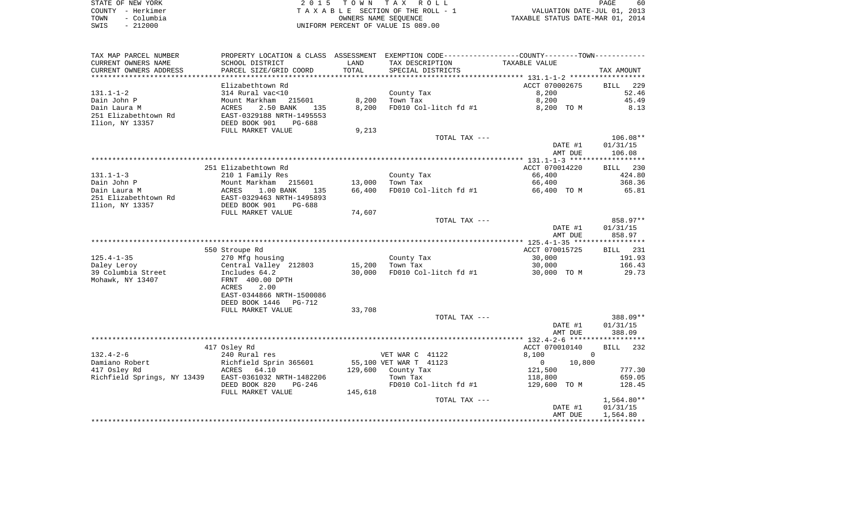|      | STATE OF NEW YORK | 2015 TOWN TAX ROLL                 | PAGE                             | 60 |
|------|-------------------|------------------------------------|----------------------------------|----|
|      | COUNTY - Herkimer | TAXABLE SECTION OF THE ROLL - 1    | VALUATION DATE-JUL 01, 2013      |    |
| TOWN | - Columbia        | OWNERS NAME SEOUENCE               | TAXABLE STATUS DATE-MAR 01, 2014 |    |
| SWIS | $-212000$         | UNIFORM PERCENT OF VALUE IS 089.00 |                                  |    |

| TAX MAP PARCEL NUMBER                                 |                                                                                                  |         | PROPERTY LOCATION & CLASS ASSESSMENT EXEMPTION CODE---------------COUNTY-------TOWN---------- |                          |              |
|-------------------------------------------------------|--------------------------------------------------------------------------------------------------|---------|-----------------------------------------------------------------------------------------------|--------------------------|--------------|
| CURRENT OWNERS NAME                                   | SCHOOL DISTRICT                                                                                  | LAND    | TAX DESCRIPTION                                                                               | TAXABLE VALUE            |              |
| CURRENT OWNERS ADDRESS                                | PARCEL SIZE/GRID COORD                                                                           | TOTAL   | SPECIAL DISTRICTS                                                                             |                          | TAX AMOUNT   |
|                                                       |                                                                                                  |         |                                                                                               |                          |              |
|                                                       | Elizabethtown Rd                                                                                 |         |                                                                                               | ACCT 070002675           | BILL 229     |
| 131.1-1-2                                             | 314 Rural vac<10                                                                                 |         | County Tax                                                                                    | 8,200                    | 52.46        |
| Dain John P                                           |                                                                                                  |         | 8,200 Town Tax                                                                                | 8,200                    | 45.49        |
| Dain Laura M                                          | Mount Markham 215601<br>ACRES 2.50 BANK 135<br>EAST-0329188 NRTH-1495553<br>DEED BOOK 901 PG-688 | 8,200   | FD010 Col-litch fd #1                                                                         | 8,200 TO M               | 8.13         |
| 251 Elizabethtown Rd                                  |                                                                                                  |         |                                                                                               |                          |              |
| Ilion, NY 13357                                       |                                                                                                  |         |                                                                                               |                          |              |
|                                                       | FULL MARKET VALUE                                                                                | 9,213   |                                                                                               |                          |              |
|                                                       |                                                                                                  |         | TOTAL TAX ---                                                                                 |                          | $106.08**$   |
|                                                       |                                                                                                  |         |                                                                                               | DATE #1                  | 01/31/15     |
|                                                       |                                                                                                  |         |                                                                                               | AMT DUE                  | 106.08       |
|                                                       |                                                                                                  |         |                                                                                               |                          |              |
|                                                       | 251 Elizabethtown Rd                                                                             |         |                                                                                               | ACCT 070014220           | BILL 230     |
| $131.1 - 1 - 3$                                       | 210 1 Family Res                                                                                 |         | County Tax                                                                                    | 66,400                   | 424.80       |
| Dain John P                                           | Mount Markham 215601 13,000<br>ACRES 1.00 BANK 135 66,400<br>EAST-0329463 NRTH-1495893           |         | $\mathbf{r}$ and $\mathbf{r}$ and $\mathbf{r}$ and $\mathbf{r}$<br>Town Tax                   | 66,400                   | 368.36       |
| Dain Laura M                                          |                                                                                                  |         | 66,400 FD010 Col-litch fd #1                                                                  | 66,400 TO M              | 65.81        |
| 251 Elizabethtown Rd                                  |                                                                                                  |         |                                                                                               |                          |              |
| Ilion, NY 13357                                       | DEED BOOK 901<br>PG-688                                                                          |         |                                                                                               |                          |              |
|                                                       | FULL MARKET VALUE                                                                                | 74,607  |                                                                                               |                          |              |
|                                                       |                                                                                                  |         | TOTAL TAX ---                                                                                 |                          | 858.97**     |
|                                                       |                                                                                                  |         |                                                                                               | DATE #1                  | 01/31/15     |
|                                                       |                                                                                                  |         |                                                                                               | AMT DUE                  | 858.97       |
|                                                       |                                                                                                  |         |                                                                                               |                          |              |
|                                                       | 550 Stroupe Rd                                                                                   |         |                                                                                               | ACCT 070015725           | BILL 231     |
| $125.4 - 1 - 35$                                      |                                                                                                  |         | County Tax<br>Town Tax                                                                        | 30,000                   | 191.93       |
| Daley Leroy                                           |                                                                                                  |         | 15,200 Town Tax                                                                               | 30,000                   | 166.43       |
| 39 Columbia Street                                    | 270 Mfg housing<br>Central Valley 212803<br>Includes 64.2                                        | 30,000  | FD010 Col-litch fd #1                                                                         | 30,000 TO M              | 29.73        |
| Mohawk, NY 13407                                      | FRNT 400.00 DPTH                                                                                 |         |                                                                                               |                          |              |
|                                                       | 2.00<br>ACRES                                                                                    |         |                                                                                               |                          |              |
|                                                       | EAST-0344866 NRTH-1500086                                                                        |         |                                                                                               |                          |              |
|                                                       | DEED BOOK 1446 PG-712                                                                            |         |                                                                                               |                          |              |
|                                                       | FULL MARKET VALUE                                                                                | 33,708  |                                                                                               |                          |              |
|                                                       |                                                                                                  |         | TOTAL TAX ---                                                                                 |                          | 388.09**     |
|                                                       |                                                                                                  |         |                                                                                               | DATE #1                  | 01/31/15     |
|                                                       |                                                                                                  |         |                                                                                               | AMT DUE                  | 388.09       |
|                                                       |                                                                                                  |         |                                                                                               |                          |              |
|                                                       | 417 Osley Rd                                                                                     |         |                                                                                               | ACCT 070010140           | BILL 232     |
| $132.4 - 2 - 6$                                       | 240 Rural res                                                                                    |         | VET WAR C 41122                                                                               | 8,100<br>$\sim$ 0        |              |
| Damiano Robert                                        |                                                                                                  |         | 55,100 VET WAR T 41123                                                                        | $\overline{0}$<br>10,800 |              |
| 417 Osley Rd                                          | 210 1122-2<br>Richfield Sprin 365601<br>ACRES 64.10                                              |         | 129,600 County Tax                                                                            | 121,500<br>118,800       | 777.30       |
| Richfield Springs, NY 13439 EAST-0361032 NRTH-1482206 |                                                                                                  |         | Town Tax                                                                                      |                          | 659.05       |
|                                                       | DEED BOOK 820<br>PG-246                                                                          |         | FD010 Col-litch fd #1                                                                         | 129,600 TO M             | 128.45       |
|                                                       | FULL MARKET VALUE                                                                                | 145,618 |                                                                                               |                          |              |
|                                                       |                                                                                                  |         | TOTAL TAX ---                                                                                 |                          | $1,564.80**$ |
|                                                       |                                                                                                  |         |                                                                                               | DATE #1                  | 01/31/15     |
|                                                       |                                                                                                  |         |                                                                                               | AMT DUE                  | 1,564.80     |
|                                                       |                                                                                                  |         |                                                                                               |                          |              |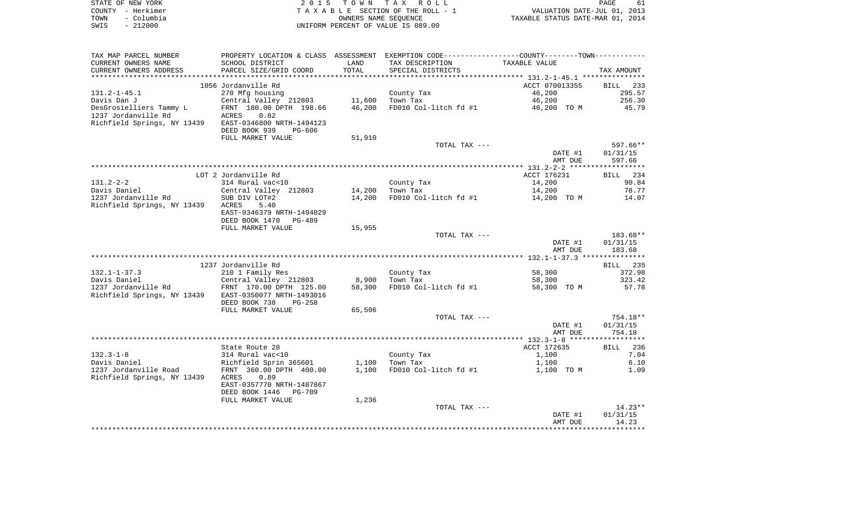| STATE OF NEW YORK |                   | 2015 TOWN TAX ROLL                 | 61<br>PAGE                       |
|-------------------|-------------------|------------------------------------|----------------------------------|
|                   | COUNTY - Herkimer | TAXABLE SECTION OF THE ROLL - 1    | VALUATION DATE-JUL 01, 2013      |
| TOWN              | - Columbia        | OWNERS NAME SEOUENCE               | TAXABLE STATUS DATE-MAR 01, 2014 |
| SWIS              | $-212000$         | UNIFORM PERCENT OF VALUE IS 089.00 |                                  |

| TAX MAP PARCEL NUMBER       |                                           |        | PROPERTY LOCATION & CLASS ASSESSMENT EXEMPTION CODE----------------COUNTY--------TOWN---------- |                  |                    |
|-----------------------------|-------------------------------------------|--------|-------------------------------------------------------------------------------------------------|------------------|--------------------|
| CURRENT OWNERS NAME         | SCHOOL DISTRICT                           | LAND   | TAX DESCRIPTION                                                                                 | TAXABLE VALUE    |                    |
| CURRENT OWNERS ADDRESS      | PARCEL SIZE/GRID COORD                    | TOTAL  | SPECIAL DISTRICTS                                                                               |                  | TAX AMOUNT         |
| ***********************     | *****************************             |        |                                                                                                 |                  |                    |
|                             | 1056 Jordanville Rd                       |        |                                                                                                 | ACCT 070013355   | <b>BILL</b><br>233 |
| $131.2 - 1 - 45.1$          | 270 Mfg housing                           |        | County Tax                                                                                      | 46,200           | 295.57             |
| Davis Dan J                 | Central Valley 212803                     | 11,600 | Town Tax                                                                                        | 46,200           | 256.30             |
| DesGrosielliers Tammy L     | FRNT 180.00 DPTH 198.66                   | 46,200 | FD010 Col-litch fd #1                                                                           | 46,200 TO M      | 45.79              |
| 1237 Jordanville Rd         | 0.82<br>ACRES                             |        |                                                                                                 |                  |                    |
| Richfield Springs, NY 13439 | EAST-0346800 NRTH-1494123                 |        |                                                                                                 |                  |                    |
|                             | DEED BOOK 939<br>PG-606                   |        |                                                                                                 |                  |                    |
|                             | FULL MARKET VALUE                         | 51,910 |                                                                                                 |                  |                    |
|                             |                                           |        | TOTAL TAX ---                                                                                   |                  | 597.66**           |
|                             |                                           |        |                                                                                                 | DATE #1          | 01/31/15           |
|                             |                                           |        |                                                                                                 | AMT DUE          | 597.66             |
|                             |                                           |        |                                                                                                 |                  |                    |
|                             | LOT 2 Jordanville Rd                      |        |                                                                                                 | ACCT 176231      | BILL 234           |
| $131.2 - 2 - 2$             | 314 Rural vac<10                          |        | County Tax                                                                                      | 14,200           | 90.84              |
| Davis Daniel                | Central Valley 212803                     | 14,200 | Town Tax                                                                                        | 14,200           | 78.77              |
| 1237 Jordanville Rd         | SUB DIV LOT#2                             | 14,200 | FD010 Col-litch fd #1                                                                           | 14,200 TO M      | 14.07              |
| Richfield Springs, NY 13439 | 5.40<br>ACRES                             |        |                                                                                                 |                  |                    |
|                             | EAST-0346379 NRTH-1494029                 |        |                                                                                                 |                  |                    |
|                             | DEED BOOK 1470<br>PG-489                  |        |                                                                                                 |                  |                    |
|                             | FULL MARKET VALUE                         | 15,955 |                                                                                                 |                  |                    |
|                             |                                           |        | TOTAL TAX ---                                                                                   |                  | 183.68**           |
|                             |                                           |        |                                                                                                 | DATE #1          | 01/31/15           |
|                             |                                           |        |                                                                                                 | AMT DUE          | 183.68             |
|                             |                                           |        |                                                                                                 |                  | BILL 235           |
| $132.1 - 1 - 37.3$          | 1237 Jordanville Rd                       |        |                                                                                                 |                  | 372.98             |
| Davis Daniel                | 210 1 Family Res<br>Central Valley 212803 | 8,900  | County Tax<br>Town Tax                                                                          | 58,300<br>58,300 | 323.42             |
| 1237 Jordanville Rd         | FRNT 170.00 DPTH 125.00                   | 58,300 | FD010 Col-litch fd #1                                                                           | 58,300 TO M      | 57.78              |
| Richfield Springs, NY 13439 | EAST-0350077 NRTH-1493016                 |        |                                                                                                 |                  |                    |
|                             | DEED BOOK 738<br>$PG-258$                 |        |                                                                                                 |                  |                    |
|                             | FULL MARKET VALUE                         | 65,506 |                                                                                                 |                  |                    |
|                             |                                           |        | TOTAL TAX ---                                                                                   |                  | 754.18**           |
|                             |                                           |        |                                                                                                 | DATE #1          | 01/31/15           |
|                             |                                           |        |                                                                                                 | AMT DUE          | 754.18             |
|                             |                                           |        |                                                                                                 |                  |                    |
|                             | State Route 28                            |        |                                                                                                 | ACCT 172635      | 236<br>BILL        |
| $132.3 - 1 - 8$             | 314 Rural vac<10                          |        | County Tax                                                                                      | 1,100            | 7.04               |
| Davis Daniel                | Richfield Sprin 365601                    | 1,100  | Town Tax                                                                                        | 1,100            | 6.10               |
| 1237 Jordanville Road       | FRNT 360.00 DPTH 400.00                   | 1,100  | FD010 Col-litch fd #1                                                                           | 1,100 TO M       | 1.09               |
| Richfield Springs, NY 13439 | 0.89<br>ACRES                             |        |                                                                                                 |                  |                    |
|                             | EAST-0357770 NRTH-1487867                 |        |                                                                                                 |                  |                    |
|                             | DEED BOOK 1446<br>PG-709                  |        |                                                                                                 |                  |                    |
|                             | FULL MARKET VALUE                         | 1,236  |                                                                                                 |                  |                    |
|                             |                                           |        | TOTAL TAX ---                                                                                   |                  | $14.23**$          |
|                             |                                           |        |                                                                                                 | DATE #1          | 01/31/15           |
|                             |                                           |        |                                                                                                 | AMT DUE          | 14.23              |
|                             |                                           |        |                                                                                                 |                  |                    |
|                             |                                           |        |                                                                                                 |                  |                    |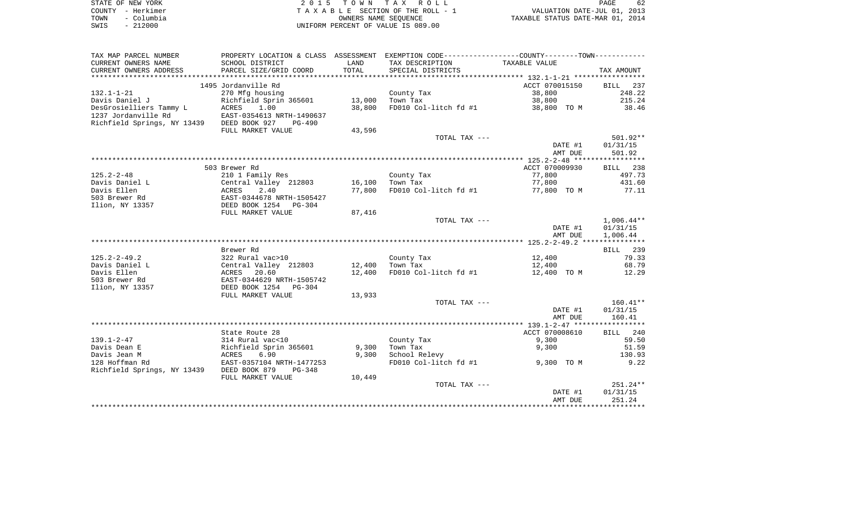|      | STATE OF NEW YORK | 2015 TOWN TAX ROLL                 | 62<br><b>PAGE</b>                |
|------|-------------------|------------------------------------|----------------------------------|
|      | COUNTY - Herkimer | TAXABLE SECTION OF THE ROLL - 1    | VALUATION DATE-JUL 01, 2013      |
| TOWN | – Columbia        | OWNERS NAME SEOUENCE               | TAXABLE STATUS DATE-MAR 01, 2014 |
| SWIS | $-212000$         | UNIFORM PERCENT OF VALUE IS 089.00 |                                  |

| TAX MAP PARCEL NUMBER       | PROPERTY LOCATION & CLASS ASSESSMENT |        | EXEMPTION CODE-----------------COUNTY-------TOWN----------- |                |                    |
|-----------------------------|--------------------------------------|--------|-------------------------------------------------------------|----------------|--------------------|
| CURRENT OWNERS NAME         | SCHOOL DISTRICT                      | LAND   | TAX DESCRIPTION                                             | TAXABLE VALUE  |                    |
| CURRENT OWNERS ADDRESS      | PARCEL SIZE/GRID COORD               | TOTAL  | SPECIAL DISTRICTS                                           |                | TAX AMOUNT         |
| *************************   |                                      |        |                                                             |                |                    |
|                             | 1495 Jordanville Rd                  |        |                                                             | ACCT 070015150 | 237<br><b>BILL</b> |
| $132.1 - 1 - 21$            | 270 Mfg housing                      |        | County Tax                                                  | 38,800         | 248.22             |
| Davis Daniel J              | Richfield Sprin 365601               | 13,000 | Town Tax                                                    | 38,800         | 215.24             |
| DesGrosielliers Tammy L     | 1.00<br>ACRES                        | 38,800 | FD010 Col-litch fd #1                                       | 38,800 TO M    | 38.46              |
| 1237 Jordanville Rd         | EAST-0354613 NRTH-1490637            |        |                                                             |                |                    |
| Richfield Springs, NY 13439 | DEED BOOK 927<br>$PG-490$            |        |                                                             |                |                    |
|                             | FULL MARKET VALUE                    | 43,596 |                                                             |                |                    |
|                             |                                      |        | TOTAL TAX ---                                               |                | $501.92**$         |
|                             |                                      |        |                                                             | DATE #1        | 01/31/15           |
|                             |                                      |        |                                                             | AMT DUE        | 501.92             |
|                             |                                      |        |                                                             |                |                    |
|                             | 503 Brewer Rd                        |        |                                                             | ACCT 070009930 | BILL 238           |
| $125.2 - 2 - 48$            | 210 1 Family Res                     |        | County Tax                                                  | 77,800         | 497.73             |
| Davis Daniel L              | Central Valley 212803                | 16,100 | Town Tax                                                    | 77,800         | 431.60             |
| Davis Ellen                 | ACRES<br>2.40                        | 77,800 | FD010 Col-litch fd #1                                       | 77,800 TO M    | 77.11              |
| 503 Brewer Rd               | EAST-0344678 NRTH-1505427            |        |                                                             |                |                    |
| Ilion, NY 13357             | DEED BOOK 1254 PG-304                |        |                                                             |                |                    |
|                             | FULL MARKET VALUE                    | 87,416 |                                                             |                |                    |
|                             |                                      |        | TOTAL TAX ---                                               |                | $1,006.44**$       |
|                             |                                      |        |                                                             | DATE #1        | 01/31/15           |
|                             |                                      |        |                                                             | AMT DUE        | 1,006.44           |
|                             |                                      |        |                                                             |                |                    |
|                             | Brewer Rd                            |        |                                                             |                | BILL 239           |
| $125.2 - 2 - 49.2$          | 322 Rural vac>10                     |        | County Tax                                                  | 12,400         | 79.33              |
| Davis Daniel L              | Central Valley 212803                | 12,400 | Town Tax                                                    | 12,400         | 68.79              |
| Davis Ellen                 | ACRES<br>20.60                       | 12,400 | FD010 Col-litch fd #1                                       | 12,400 TO M    | 12.29              |
| 503 Brewer Rd               | EAST-0344629 NRTH-1505742            |        |                                                             |                |                    |
| Ilion, NY 13357             | DEED BOOK 1254 PG-304                |        |                                                             |                |                    |
|                             | FULL MARKET VALUE                    | 13,933 |                                                             |                |                    |
|                             |                                      |        | TOTAL TAX ---                                               |                | $160.41**$         |
|                             |                                      |        |                                                             | DATE #1        | 01/31/15           |
|                             |                                      |        |                                                             | AMT DUE        | 160.41             |
|                             |                                      |        |                                                             |                |                    |
|                             | State Route 28                       |        |                                                             | ACCT 070008610 | <b>BILL</b><br>240 |
| $139.1 - 2 - 47$            | 314 Rural vac<10                     |        | County Tax                                                  | 9,300          | 59.50              |
| Davis Dean E                | Richfield Sprin 365601               | 9,300  | Town Tax                                                    | 9,300          | 51.59              |
| Davis Jean M                | 6.90                                 | 9,300  |                                                             |                |                    |
| 128 Hoffman Rd              | ACRES<br>EAST-0357104 NRTH-1477253   |        | School Relevy<br>FD010 Col-litch fd #1                      | 9,300 TO M     | 130.93<br>9.22     |
|                             | $PG-348$                             |        |                                                             |                |                    |
| Richfield Springs, NY 13439 | DEED BOOK 879                        |        |                                                             |                |                    |
|                             | FULL MARKET VALUE                    | 10,449 | TOTAL TAX ---                                               |                | 251.24**           |
|                             |                                      |        |                                                             |                | 01/31/15           |
|                             |                                      |        |                                                             | DATE #1        |                    |
|                             |                                      |        |                                                             | AMT DUE        | 251.24             |
|                             |                                      |        |                                                             |                |                    |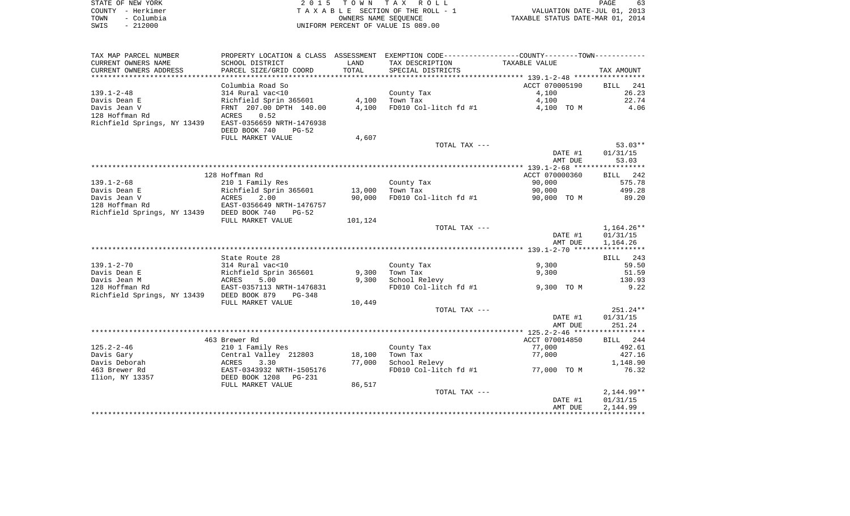| STATE OF NEW YORK  | 2015 TOWN TAX ROLL<br>PAGE                                     | 63 |
|--------------------|----------------------------------------------------------------|----|
| COUNTY - Herkimer  | VALUATION DATE-JUL 01, 2013<br>TAXABLE SECTION OF THE ROLL - 1 |    |
| - Columbia<br>TOWN | TAXABLE STATUS DATE-MAR 01, 2014<br>OWNERS NAME SEOUENCE       |    |
| $-212000$<br>SWIS  | UNIFORM PERCENT OF VALUE IS 089.00                             |    |

 $\begin{array}{c} 63 \\ 2013 \\ 2014 \end{array}$ 

| TAX MAP PARCEL NUMBER                     |                            |         | PROPERTY LOCATION & CLASS ASSESSMENT EXEMPTION CODE---------------COUNTY-------TOWN---------- |                |              |
|-------------------------------------------|----------------------------|---------|-----------------------------------------------------------------------------------------------|----------------|--------------|
| CURRENT OWNERS NAME                       | SCHOOL DISTRICT            | LAND    | TAX DESCRIPTION                                                                               | TAXABLE VALUE  |              |
| CURRENT OWNERS ADDRESS                    | PARCEL SIZE/GRID COORD     | TOTAL   | SPECIAL DISTRICTS                                                                             |                | TAX AMOUNT   |
|                                           |                            |         |                                                                                               |                |              |
|                                           | Columbia Road So           |         |                                                                                               | ACCT 070005190 | BILL<br>241  |
| $139.1 - 2 - 48$                          | 314 Rural vac<10           |         | County Tax                                                                                    | 4,100          | 26.23        |
| Davis Dean E                              | Richfield Sprin 365601     | 4,100   | Town Tax                                                                                      | 4,100          | 22.74        |
| Davis Jean V                              | FRNT 207.00 DPTH 140.00    | 4,100   | FD010 Col-litch fd #1                                                                         | 4,100 TO M     | 4.06         |
| 128 Hoffman Rd                            | ACRES<br>0.52              |         |                                                                                               |                |              |
| Richfield Springs, NY 13439               | EAST-0356659 NRTH-1476938  |         |                                                                                               |                |              |
|                                           | DEED BOOK 740<br>$PG-52$   |         |                                                                                               |                |              |
|                                           | FULL MARKET VALUE          | 4,607   |                                                                                               |                |              |
|                                           |                            |         | TOTAL TAX ---                                                                                 |                | $53.03**$    |
|                                           |                            |         |                                                                                               | DATE #1        | 01/31/15     |
|                                           |                            |         |                                                                                               | AMT DUE        | 53.03        |
|                                           |                            |         |                                                                                               |                |              |
|                                           | 128 Hoffman Rd             |         |                                                                                               | ACCT 070000360 | BILL 242     |
| $139.1 - 2 - 68$                          | 210 1 Family Res           |         | County Tax                                                                                    | 90,000         | 575.78       |
| Davis Dean E                              | Richfield Sprin 365601     | 13,000  | Town Tax                                                                                      | 90,000         | 499.28       |
| Davis Jean V                              | ACRES<br>2.00              | 90,000  | FD010 Col-litch fd #1                                                                         | 90,000 TO M    | 89.20        |
| 128 Hoffman Rd                            | EAST-0356649 NRTH-1476757  |         |                                                                                               |                |              |
| Richfield Springs, NY 13439 DEED BOOK 740 | $PG-52$                    |         |                                                                                               |                |              |
|                                           | FULL MARKET VALUE          | 101,124 |                                                                                               |                |              |
|                                           |                            |         | TOTAL TAX ---                                                                                 |                | $1,164.26**$ |
|                                           |                            |         |                                                                                               | DATE #1        | 01/31/15     |
|                                           |                            |         |                                                                                               | AMT DUE        | 1,164.26     |
|                                           |                            |         |                                                                                               |                |              |
|                                           | State Route 28             |         |                                                                                               |                | BILL 243     |
| $139.1 - 2 - 70$                          | 314 Rural vac<10           |         | County Tax                                                                                    | 9,300          | 59.50        |
| Davis Dean E                              | Richfield Sprin 365601     | 9,300   | Town Tax                                                                                      | 9,300          | 51.59        |
| Davis Jean M                              | ACRES<br>5.00              | 9,300   | School Relevy                                                                                 |                | 130.93       |
| 128 Hoffman Rd                            | EAST-0357113 NRTH-1476831  |         | FD010 Col-litch fd #1                                                                         | 9,300 TO M     | 9.22         |
| Richfield Springs, NY 13439               | DEED BOOK 879<br>PG-348    |         |                                                                                               |                |              |
|                                           | FULL MARKET VALUE          | 10,449  |                                                                                               |                |              |
|                                           |                            |         | TOTAL TAX ---                                                                                 |                | $251.24**$   |
|                                           |                            |         |                                                                                               | DATE #1        | 01/31/15     |
|                                           |                            |         |                                                                                               | AMT DUE        | 251.24       |
|                                           |                            |         |                                                                                               |                |              |
|                                           | 463 Brewer Rd              |         |                                                                                               | ACCT 070014850 | BILL 244     |
| $125.2 - 2 - 46$                          | 210 1 Family Res           |         | County Tax                                                                                    | 77,000         | 492.61       |
| Davis Gary                                | Central Valley 212803      | 18,100  | Town Tax                                                                                      | 77,000         | 427.16       |
| Davis Deborah                             | ACRES<br>3.30              | 77,000  | School Relevy                                                                                 |                | 1,148.90     |
| 463 Brewer Rd                             | EAST-0343932 NRTH-1505176  |         | FD010 Col-litch fd #1                                                                         | 77,000 TO M    | 76.32        |
| Ilion, NY 13357                           | DEED BOOK 1208<br>$PG-231$ |         |                                                                                               |                |              |
|                                           | FULL MARKET VALUE          | 86,517  |                                                                                               |                |              |
|                                           |                            |         | TOTAL TAX ---                                                                                 |                | $2,144.99**$ |
|                                           |                            |         |                                                                                               | DATE #1        | 01/31/15     |
|                                           |                            |         |                                                                                               | AMT DUE        | 2,144.99     |
|                                           |                            |         |                                                                                               |                |              |
|                                           |                            |         |                                                                                               |                |              |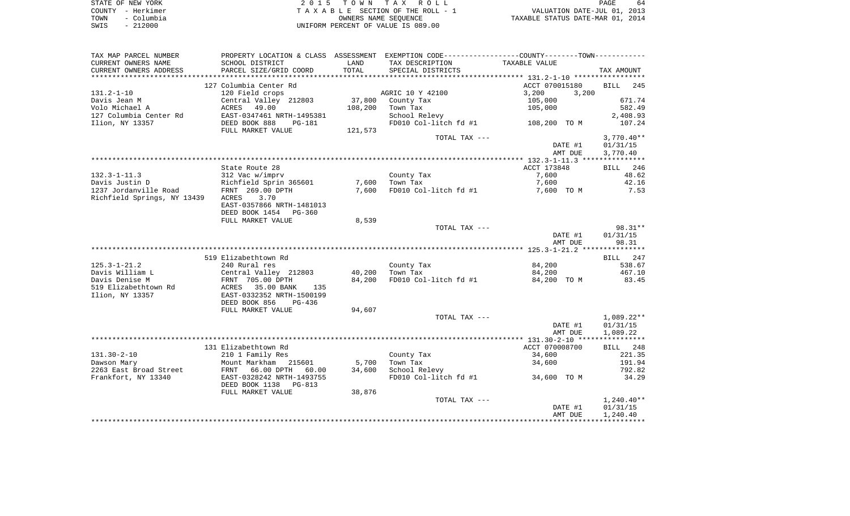| STATE OF NEW YORK  | 2015 TOWN TAX ROLL                 | 64<br>PAGE                       |
|--------------------|------------------------------------|----------------------------------|
| COUNTY - Herkimer  | TAXABLE SECTION OF THE ROLL - 1    | VALUATION DATE-JUL 01, 2013      |
| – Columbia<br>TOWN | OWNERS NAME SEOUENCE               | TAXABLE STATUS DATE-MAR 01, 2014 |
| $-212000$<br>SWIS  | UNIFORM PERCENT OF VALUE IS 089.00 |                                  |

| TAX MAP PARCEL NUMBER       |                                             |         | PROPERTY LOCATION & CLASS ASSESSMENT EXEMPTION CODE----------------COUNTY--------TOWN---------- |                    |                      |
|-----------------------------|---------------------------------------------|---------|-------------------------------------------------------------------------------------------------|--------------------|----------------------|
| CURRENT OWNERS NAME         | SCHOOL DISTRICT                             | LAND    | TAX DESCRIPTION                                                                                 | TAXABLE VALUE      |                      |
| CURRENT OWNERS ADDRESS      | PARCEL SIZE/GRID COORD                      | TOTAL   | SPECIAL DISTRICTS                                                                               |                    | TAX AMOUNT           |
| *******************         |                                             |         |                                                                                                 |                    |                      |
|                             | 127 Columbia Center Rd                      |         |                                                                                                 | ACCT 070015180     | <b>BILL</b><br>245   |
| $131.2 - 1 - 10$            | 120 Field crops                             |         | AGRIC 10 Y 42100                                                                                | 3,200<br>3,200     |                      |
| Davis Jean M                | Central Valley 212803                       | 37,800  | County Tax                                                                                      | 105,000            | 671.74               |
| Volo Michael A              | ACRES<br>49.00                              | 108,200 | Town Tax                                                                                        | 105,000            | 582.49               |
| 127 Columbia Center Rd      | EAST-0347461 NRTH-1495381                   |         | School Relevy                                                                                   |                    | 2,408.93             |
| Ilion, NY 13357             | DEED BOOK 888<br>PG-181                     |         | FD010 Col-litch fd #1                                                                           | 108,200 TO M       | 107.24               |
|                             | FULL MARKET VALUE                           | 121,573 |                                                                                                 |                    |                      |
|                             |                                             |         | TOTAL TAX ---                                                                                   |                    | $3,770.40**$         |
|                             |                                             |         |                                                                                                 | DATE #1            | 01/31/15             |
|                             |                                             |         |                                                                                                 | AMT DUE            | 3,770.40             |
|                             |                                             |         |                                                                                                 |                    |                      |
|                             | State Route 28                              |         |                                                                                                 | ACCT 173848        | BILL 246             |
| $132.3 - 1 - 11.3$          | 312 Vac w/imprv                             |         | County Tax                                                                                      | 7,600              | 48.62                |
| Davis Justin D              | Richfield Sprin 365601                      | 7,600   | Town Tax                                                                                        | 7,600              | 42.16                |
| 1237 Jordanville Road       | FRNT 269.00 DPTH                            | 7,600   | FD010 Col-litch fd #1                                                                           | 7,600 TO M         | 7.53                 |
| Richfield Springs, NY 13439 | ACRES<br>3.70                               |         |                                                                                                 |                    |                      |
|                             | EAST-0357866 NRTH-1481013<br>DEED BOOK 1454 |         |                                                                                                 |                    |                      |
|                             | $PG-360$<br>FULL MARKET VALUE               | 8,539   |                                                                                                 |                    |                      |
|                             |                                             |         | TOTAL TAX ---                                                                                   |                    | $98.31**$            |
|                             |                                             |         |                                                                                                 | DATE #1            | 01/31/15             |
|                             |                                             |         |                                                                                                 | AMT DUE            | 98.31                |
|                             |                                             |         |                                                                                                 |                    |                      |
|                             | 519 Elizabethtown Rd                        |         |                                                                                                 |                    | 247<br>BILL          |
| $125.3 - 1 - 21.2$          | 240 Rural res                               |         | County Tax                                                                                      | 84,200             | 538.67               |
| Davis William L             | Central Valley 212803                       | 40,200  | Town Tax                                                                                        | 84,200             | 467.10               |
| Davis Denise M              | FRNT 705.00 DPTH                            | 84,200  | FD010 Col-litch fd #1                                                                           | 84,200 TO M        | 83.45                |
| 519 Elizabethtown Rd        | ACRES<br>35.00 BANK<br>135                  |         |                                                                                                 |                    |                      |
| Ilion, NY 13357             | EAST-0332352 NRTH-1500199                   |         |                                                                                                 |                    |                      |
|                             | DEED BOOK 856<br>PG-436                     |         |                                                                                                 |                    |                      |
|                             | FULL MARKET VALUE                           | 94,607  |                                                                                                 |                    |                      |
|                             |                                             |         | TOTAL TAX ---                                                                                   |                    | $1,089.22**$         |
|                             |                                             |         |                                                                                                 | DATE #1            | 01/31/15             |
|                             |                                             |         |                                                                                                 | AMT DUE            | 1,089.22             |
|                             |                                             |         |                                                                                                 |                    |                      |
|                             | 131 Elizabethtown Rd                        |         |                                                                                                 | ACCT 070008700     | BILL 248             |
| $131.30 - 2 - 10$           | 210 1 Family Res                            |         | County Tax                                                                                      | 34,600             | 221.35               |
| Dawson Mary                 | Mount Markham 215601                        | 5,700   | Town Tax                                                                                        | 34,600             | 191.94               |
| 2263 East Broad Street      | FRNT<br>66.00 DPTH<br>60.00                 | 34,600  | School Relevy                                                                                   |                    | 792.82               |
| Frankfort, NY 13340         | EAST-0328242 NRTH-1493755                   |         | FD010 Col-litch fd #1                                                                           | 34,600 TO M        | 34.29                |
|                             | DEED BOOK 1138<br>PG-813                    |         |                                                                                                 |                    |                      |
|                             | FULL MARKET VALUE                           | 38,876  |                                                                                                 |                    |                      |
|                             |                                             |         | TOTAL TAX ---                                                                                   |                    | $1,240.40**$         |
|                             |                                             |         |                                                                                                 | DATE #1<br>AMT DUE | 01/31/15<br>1,240.40 |
|                             |                                             |         |                                                                                                 |                    |                      |
|                             |                                             |         |                                                                                                 |                    |                      |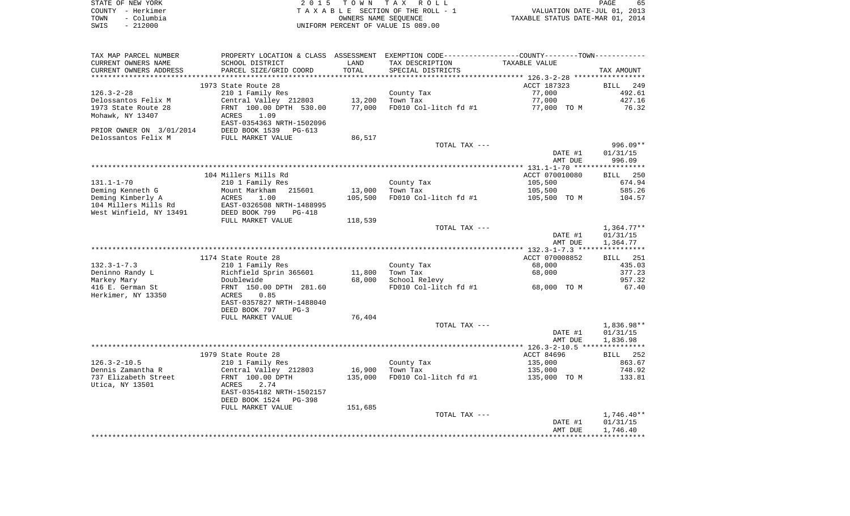| STATE OF NEW YORK  | 2015 TOWN TAX ROLL                 | 65<br>PAGE                       |
|--------------------|------------------------------------|----------------------------------|
| COUNTY - Herkimer  | TAXABLE SECTION OF THE ROLL - 1    | VALUATION DATE-JUL 01, 2013      |
| - Columbia<br>TOWN | OWNERS NAME SEOUENCE               | TAXABLE STATUS DATE-MAR 01, 2014 |
| - 212000<br>SWIS   | UNIFORM PERCENT OF VALUE IS 089.00 |                                  |

| TAX MAP PARCEL NUMBER    | PROPERTY LOCATION & CLASS ASSESSMENT EXEMPTION CODE---------------COUNTY-------TOWN---------- |                      |                       |                                                  |              |
|--------------------------|-----------------------------------------------------------------------------------------------|----------------------|-----------------------|--------------------------------------------------|--------------|
| CURRENT OWNERS NAME      | SCHOOL DISTRICT                                                                               | LAND                 | TAX DESCRIPTION       | TAXABLE VALUE                                    |              |
| CURRENT OWNERS ADDRESS   | PARCEL SIZE/GRID COORD                                                                        | TOTAL                | SPECIAL DISTRICTS     |                                                  | TAX AMOUNT   |
|                          | **************************                                                                    | ******************** |                       | ****************** 126.3-2-28 ****************** |              |
|                          | 1973 State Route 28                                                                           |                      |                       | ACCT 187323                                      | BILL 249     |
| $126.3 - 2 - 28$         | 210 1 Family Res                                                                              |                      | County Tax            | 77,000                                           | 492.61       |
| Delossantos Felix M      | Central Valley 212803                                                                         | 13,200               | Town Tax              | 77,000                                           | 427.16       |
| 1973 State Route 28      | FRNT 100.00 DPTH 530.00                                                                       | 77,000               | FD010 Col-litch fd #1 | 77,000 TO M                                      | 76.32        |
|                          | 1.09                                                                                          |                      |                       |                                                  |              |
| Mohawk, NY 13407         | ACRES                                                                                         |                      |                       |                                                  |              |
|                          | EAST-0354363 NRTH-1502096                                                                     |                      |                       |                                                  |              |
| PRIOR OWNER ON 3/01/2014 | DEED BOOK 1539<br>PG-613                                                                      |                      |                       |                                                  |              |
| Delossantos Felix M      | FULL MARKET VALUE                                                                             | 86,517               |                       |                                                  |              |
|                          |                                                                                               |                      | TOTAL TAX ---         |                                                  | 996.09**     |
|                          |                                                                                               |                      |                       | DATE #1                                          | 01/31/15     |
|                          |                                                                                               |                      |                       | AMT DUE                                          | 996.09       |
|                          |                                                                                               |                      |                       |                                                  |              |
|                          | 104 Millers Mills Rd                                                                          |                      |                       | ACCT 070010080                                   | BILL 250     |
| $131.1 - 1 - 70$         | 210 1 Family Res                                                                              |                      | County Tax            | 105,500                                          | 674.94       |
| Deming Kenneth G         | Mount Markham<br>215601                                                                       | 13,000               | Town Tax              | 105,500                                          | 585.26       |
| Deming Kimberly A        | ACRES<br>1.00                                                                                 | 105,500              | FD010 Col-litch fd #1 | 105,500 TO M                                     | 104.57       |
| 104 Millers Mills Rd     | EAST-0326508 NRTH-1488995                                                                     |                      |                       |                                                  |              |
| West Winfield, NY 13491  | DEED BOOK 799<br><b>PG-418</b>                                                                |                      |                       |                                                  |              |
|                          | FULL MARKET VALUE                                                                             | 118,539              |                       |                                                  |              |
|                          |                                                                                               |                      |                       |                                                  |              |
|                          |                                                                                               |                      | TOTAL TAX ---         |                                                  | 1,364.77**   |
|                          |                                                                                               |                      |                       | DATE #1                                          | 01/31/15     |
|                          |                                                                                               |                      |                       | AMT DUE                                          | 1,364.77     |
|                          |                                                                                               |                      |                       |                                                  |              |
|                          | 1174 State Route 28                                                                           |                      |                       | ACCT 070008852                                   | BILL 251     |
| $132.3 - 1 - 7.3$        | 210 1 Family Res                                                                              |                      | County Tax            | 68,000                                           | 435.03       |
| Deninno Randy L          | Richfield Sprin 365601                                                                        | 11,800               | Town Tax              | 68,000                                           | 377.23       |
| Markey Mary              | Doublewide                                                                                    | 68,000               | School Relevy         |                                                  | 957.32       |
| 416 E. German St         | FRNT 150.00 DPTH 281.60                                                                       |                      | FD010 Col-litch fd #1 | 68,000 TO M                                      | 67.40        |
| Herkimer, NY 13350       | ACRES<br>0.85                                                                                 |                      |                       |                                                  |              |
|                          | EAST-0357827 NRTH-1488040                                                                     |                      |                       |                                                  |              |
|                          | DEED BOOK 797<br>$PG-3$                                                                       |                      |                       |                                                  |              |
|                          | FULL MARKET VALUE                                                                             | 76,404               |                       |                                                  |              |
|                          |                                                                                               |                      | TOTAL TAX ---         |                                                  | $1,836.98**$ |
|                          |                                                                                               |                      |                       | DATE #1                                          | 01/31/15     |
|                          |                                                                                               |                      |                       | AMT DUE                                          | 1,836.98     |
|                          |                                                                                               |                      |                       |                                                  |              |
|                          | 1979 State Route 28                                                                           |                      |                       | ACCT 84696                                       | BILL 252     |
| $126.3 - 2 - 10.5$       |                                                                                               |                      | County Tax            |                                                  | 863.67       |
|                          | 210 1 Family Res                                                                              |                      |                       | 135,000                                          |              |
| Dennis Zamantha R        | Central Valley 212803                                                                         | 16,900               | Town Tax              | 135,000                                          | 748.92       |
| 737 Elizabeth Street     | FRNT 100.00 DPTH                                                                              | 135,000              | FD010 Col-litch fd #1 | 135,000 TO M                                     | 133.81       |
| Utica, NY 13501          | 2.74<br>ACRES                                                                                 |                      |                       |                                                  |              |
|                          | EAST-0354182 NRTH-1502157                                                                     |                      |                       |                                                  |              |
|                          | DEED BOOK 1524<br><b>PG-398</b>                                                               |                      |                       |                                                  |              |
|                          | FULL MARKET VALUE                                                                             | 151,685              |                       |                                                  |              |
|                          |                                                                                               |                      | TOTAL TAX ---         |                                                  | 1,746.40**   |
|                          |                                                                                               |                      |                       | DATE #1                                          | 01/31/15     |
|                          |                                                                                               |                      |                       | AMT DUE                                          | 1,746.40     |
|                          |                                                                                               |                      |                       |                                                  |              |
|                          |                                                                                               |                      |                       |                                                  |              |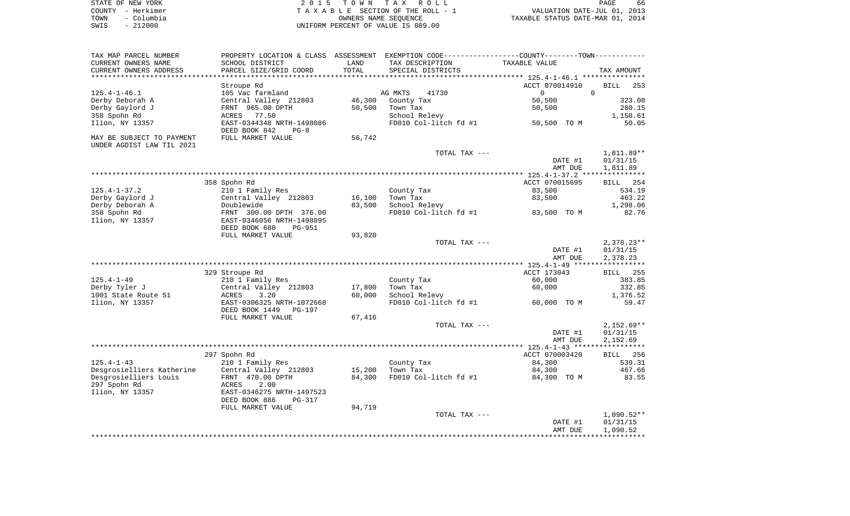| STATE OF NEW YORK  | 2015 TOWN TAX ROLL                 | 66<br>PAGE                       |
|--------------------|------------------------------------|----------------------------------|
| COUNTY - Herkimer  | TAXABLE SECTION OF THE ROLL - 1    | VALUATION DATE-JUL 01, 2013      |
| - Columbia<br>TOWN | OWNERS NAME SEOUENCE               | TAXABLE STATUS DATE-MAR 01, 2014 |
| $-212000$<br>SWIS  | UNIFORM PERCENT OF VALUE IS 089.00 |                                  |

| TAX MAP PARCEL NUMBER                                  | PROPERTY LOCATION & CLASS                                    | ASSESSMENT |                                     | EXEMPTION CODE-----------------COUNTY-------TOWN----------- |                    |
|--------------------------------------------------------|--------------------------------------------------------------|------------|-------------------------------------|-------------------------------------------------------------|--------------------|
| CURRENT OWNERS NAME                                    | SCHOOL DISTRICT                                              | LAND       | TAX DESCRIPTION                     | TAXABLE VALUE                                               |                    |
| CURRENT OWNERS ADDRESS                                 | PARCEL SIZE/GRID COORD                                       | TOTAL      | SPECIAL DISTRICTS                   |                                                             | TAX AMOUNT         |
| ********************                                   | *******************                                          |            |                                     |                                                             |                    |
|                                                        | Stroupe Rd                                                   |            |                                     | ACCT 070014910                                              | <b>BILL</b><br>253 |
| $125.4 - 1 - 46.1$                                     | 105 Vac farmland                                             |            | AG MKTS<br>41730                    | $\Omega$                                                    | $\Omega$           |
| Derby Deborah A                                        | Central Valley 212803                                        | 46,300     | County Tax                          | 50,500                                                      | 323.08             |
| Derby Gaylord J                                        | FRNT 965.00 DPTH                                             | 50,500     | Town Tax                            | 50,500                                                      | 280.15             |
| 358 Spohn Rd                                           | ACRES<br>77.50                                               |            | School Relevy                       |                                                             | 1,158.61           |
| Ilion, NY 13357                                        | EAST-0344348 NRTH-1498086<br>DEED BOOK 842<br>$PG-8$         |            | FD010 Col-litch fd #1               | 50,500 TO M                                                 | 50.05              |
| MAY BE SUBJECT TO PAYMENT<br>UNDER AGDIST LAW TIL 2021 | FULL MARKET VALUE                                            | 56,742     |                                     |                                                             |                    |
|                                                        |                                                              |            | TOTAL TAX ---                       |                                                             | 1,811.89**         |
|                                                        |                                                              |            |                                     | DATE #1                                                     | 01/31/15           |
|                                                        |                                                              |            |                                     | AMT DUE                                                     | 1,811.89           |
|                                                        |                                                              |            |                                     |                                                             |                    |
|                                                        | 358 Spohn Rd                                                 |            |                                     | ACCT 070015695                                              | 254<br>BILL        |
| $125.4 - 1 - 37.2$                                     | 210 1 Family Res                                             |            | County Tax                          | 83,500                                                      | 534.19             |
| Derby Gaylord J                                        | Central Valley 212803                                        | 16,100     | Town Tax                            | 83,500                                                      | 463.22             |
| Derby Deborah A                                        | Doublewide                                                   | 83,500     | School Relevy                       |                                                             | 1,298.06           |
| 358 Spohn Rd                                           | FRNT 300.00 DPTH 376.00                                      |            | FD010 Col-litch fd #1               | 83,500 TO M                                                 | 82.76              |
| Ilion, NY 13357                                        | EAST-0346056 NRTH-1498895                                    |            |                                     |                                                             |                    |
|                                                        | DEED BOOK 680<br><b>PG-951</b>                               |            |                                     |                                                             |                    |
|                                                        | FULL MARKET VALUE                                            | 93,820     |                                     |                                                             |                    |
|                                                        |                                                              |            | TOTAL TAX ---                       |                                                             | $2,378.23**$       |
|                                                        |                                                              |            |                                     | DATE #1                                                     | 01/31/15           |
|                                                        |                                                              |            |                                     | AMT DUE                                                     | 2,378.23           |
|                                                        |                                                              |            |                                     | **************** 125.4-1-49 ******************              |                    |
|                                                        | 329 Stroupe Rd                                               |            |                                     | ACCT 173043                                                 | 255<br>BILL        |
| $125.4 - 1 - 49$                                       | 210 1 Family Res                                             |            | County Tax                          | 60,000                                                      | 383.85             |
| Derby Tyler J                                          | Central Valley 212803                                        | 17,800     | Town Tax                            | 60,000                                                      | 332.85             |
| 1001 State Route 51                                    | 3.20<br>ACRES                                                | 60,000     | School Relevy                       |                                                             | 1,376.52           |
| Ilion, NY 13357                                        | EAST-0306325 NRTH-1072668<br>DEED BOOK 1449<br><b>PG-197</b> |            | FD010 Col-litch fd #1               | 60,000 TO M                                                 | 59.47              |
|                                                        | FULL MARKET VALUE                                            | 67,416     |                                     |                                                             |                    |
|                                                        |                                                              |            | TOTAL TAX ---                       |                                                             | $2,152.69**$       |
|                                                        |                                                              |            |                                     | DATE #1                                                     | 01/31/15           |
|                                                        |                                                              |            |                                     | AMT DUE                                                     | 2,152.69           |
|                                                        | ***********************                                      |            | *********************************** | **************** 125.4-1-43 ******************              |                    |
|                                                        | 297 Spohn Rd                                                 |            |                                     | ACCT 070003420                                              | 256<br>BILL        |
| $125.4 - 1 - 43$                                       | 210 1 Family Res                                             |            | County Tax                          | 84,300                                                      | 539.31             |
| Desgrosielliers Katherine                              | Central Valley 212803                                        | 15,200     | Town Tax                            | 84,300                                                      | 467.66             |
| Desgrosielliers Louis                                  | FRNT 470.00 DPTH                                             | 84,300     | FD010 Col-litch fd #1               | 84,300 TO M                                                 | 83.55              |
| 297 Spohn Rd                                           | 2.00<br>ACRES                                                |            |                                     |                                                             |                    |
| Ilion, NY 13357                                        | EAST-0346275 NRTH-1497523                                    |            |                                     |                                                             |                    |
|                                                        | DEED BOOK 886<br>$PG-317$                                    |            |                                     |                                                             |                    |
|                                                        | FULL MARKET VALUE                                            | 94,719     |                                     |                                                             |                    |
|                                                        |                                                              |            | TOTAL TAX ---                       |                                                             | $1,090.52**$       |
|                                                        |                                                              |            |                                     | DATE #1                                                     | 01/31/15           |
|                                                        |                                                              |            |                                     | AMT DUE                                                     | 1,090.52           |
|                                                        |                                                              |            |                                     |                                                             |                    |
|                                                        |                                                              |            |                                     |                                                             |                    |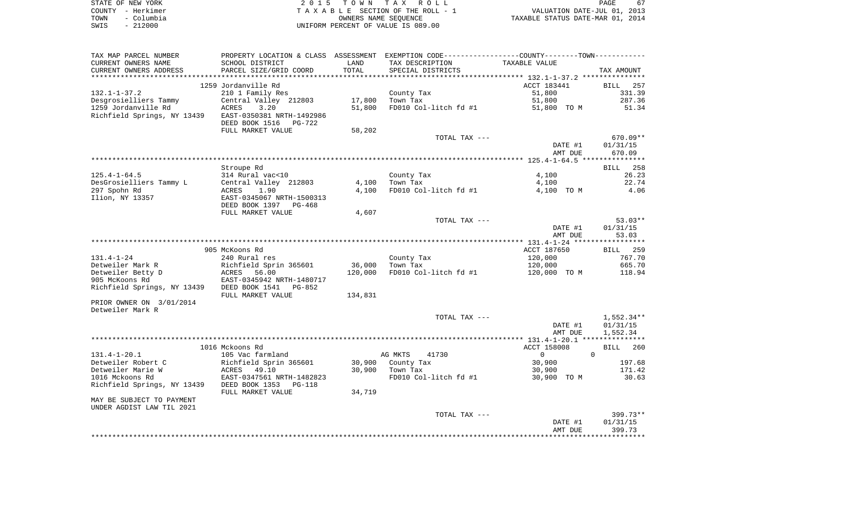| STATE OF NEW YORK  | 2015 TOWN TAX ROLL                 | PAGE                             |
|--------------------|------------------------------------|----------------------------------|
| COUNTY - Herkimer  | TAXABLE SECTION OF THE ROLL - 1    | VALUATION DATE-JUL 01, 2013      |
| - Columbia<br>TOWN | OWNERS NAME SEOUENCE               | TAXABLE STATUS DATE-MAR 01, 2014 |
| $-212000$<br>SWIS  | UNIFORM PERCENT OF VALUE IS 089.00 |                                  |

| TAX MAP PARCEL NUMBER       |                                                       |         | PROPERTY LOCATION & CLASS ASSESSMENT EXEMPTION CODE----------------COUNTY--------TOWN----------- |                            |                    |
|-----------------------------|-------------------------------------------------------|---------|--------------------------------------------------------------------------------------------------|----------------------------|--------------------|
| CURRENT OWNERS NAME         | SCHOOL DISTRICT                                       | LAND    | TAX DESCRIPTION                                                                                  | TAXABLE VALUE              |                    |
| CURRENT OWNERS ADDRESS      | PARCEL SIZE/GRID COORD                                | TOTAL   | SPECIAL DISTRICTS                                                                                |                            | TAX AMOUNT         |
| **********************      | *****************************                         |         |                                                                                                  |                            |                    |
|                             | 1259 Jordanville Rd                                   |         |                                                                                                  | ACCT 183441                | BILL 257           |
| $132.1 - 1 - 37.2$          | 210 1 Family Res                                      |         | County Tax                                                                                       | 51,800                     | 331.39             |
| Desgrosielliers Tammy       | Central Valley 212803                                 | 17,800  | Town Tax                                                                                         | 51,800                     | 287.36             |
| 1259 Jordanville Rd         | ACRES<br>3.20                                         | 51,800  | FD010 Col-litch fd #1                                                                            | 51,800 TO M                | 51.34              |
| Richfield Springs, NY 13439 | EAST-0350381 NRTH-1492986<br>DEED BOOK 1516<br>PG-722 |         |                                                                                                  |                            |                    |
|                             | FULL MARKET VALUE                                     | 58,202  |                                                                                                  |                            |                    |
|                             |                                                       |         | TOTAL TAX ---                                                                                    |                            | 670.09**           |
|                             |                                                       |         |                                                                                                  | DATE #1                    | 01/31/15           |
|                             |                                                       |         |                                                                                                  | AMT DUE                    | 670.09             |
|                             |                                                       |         |                                                                                                  |                            |                    |
|                             | Stroupe Rd                                            |         |                                                                                                  |                            | BILL 258           |
| $125.4 - 1 - 64.5$          | 314 Rural vac<10                                      |         | County Tax                                                                                       | 4,100                      | 26.23              |
| DesGrosielliers Tammy L     | Central Valley 212803                                 | 4,100   | Town Tax                                                                                         | 4,100                      | 22.74              |
| 297 Spohn Rd                | 1.90<br>ACRES                                         | 4,100   | FD010 Col-litch fd #1                                                                            | 4,100 TO M                 | 4.06               |
| Ilion, NY 13357             | EAST-0345067 NRTH-1500313<br>DEED BOOK 1397<br>PG-468 |         |                                                                                                  |                            |                    |
|                             | FULL MARKET VALUE                                     | 4,607   |                                                                                                  |                            |                    |
|                             |                                                       |         | TOTAL TAX ---                                                                                    |                            | $53.03**$          |
|                             |                                                       |         |                                                                                                  | DATE #1                    | 01/31/15           |
|                             |                                                       |         |                                                                                                  | AMT DUE                    | 53.03              |
|                             |                                                       |         |                                                                                                  |                            |                    |
|                             | 905 McKoons Rd                                        |         |                                                                                                  | ACCT 187650                | BILL 259           |
| $131.4 - 1 - 24$            | 240 Rural res                                         |         | County Tax                                                                                       | 120,000                    | 767.70             |
| Detweiler Mark R            | Richfield Sprin 365601                                | 36,000  | Town Tax                                                                                         | 120,000                    | 665.70             |
| Detweiler Betty D           | 56.00<br>ACRES                                        | 120,000 | FD010 Col-litch fd #1                                                                            | 120,000 TO M               | 118.94             |
| 905 McKoons Rd              | EAST-0345942 NRTH-1480717                             |         |                                                                                                  |                            |                    |
| Richfield Springs, NY 13439 | DEED BOOK 1541<br>PG-852                              |         |                                                                                                  |                            |                    |
|                             | FULL MARKET VALUE                                     | 134,831 |                                                                                                  |                            |                    |
| PRIOR OWNER ON 3/01/2014    |                                                       |         |                                                                                                  |                            |                    |
| Detweiler Mark R            |                                                       |         |                                                                                                  |                            |                    |
|                             |                                                       |         | TOTAL TAX ---                                                                                    |                            | 1,552.34**         |
|                             |                                                       |         |                                                                                                  | DATE #1                    | 01/31/15           |
|                             |                                                       |         |                                                                                                  | AMT DUE                    | 1,552.34           |
|                             |                                                       |         |                                                                                                  |                            |                    |
|                             | 1016 Mckoons Rd                                       |         |                                                                                                  | ACCT 158008                | <b>BILL</b><br>260 |
| $131.4 - 1 - 20.1$          | 105 Vac farmland                                      |         | AG MKTS<br>41730                                                                                 | $\overline{0}$<br>$\Omega$ |                    |
| Detweiler Robert C          | Richfield Sprin 365601                                | 30,900  | County Tax                                                                                       | 30,900                     | 197.68             |
| Detweiler Marie W           | ACRES<br>49.10                                        | 30,900  | Town Tax                                                                                         | 30,900                     | 171.42             |
| 1016 Mckoons Rd             | EAST-0347561 NRTH-1482823                             |         | FD010 Col-litch fd #1                                                                            | 30,900 TO M                | 30.63              |
| Richfield Springs, NY 13439 | DEED BOOK 1353<br>PG-118<br>FULL MARKET VALUE         | 34,719  |                                                                                                  |                            |                    |
| MAY BE SUBJECT TO PAYMENT   |                                                       |         |                                                                                                  |                            |                    |
| UNDER AGDIST LAW TIL 2021   |                                                       |         |                                                                                                  |                            |                    |
|                             |                                                       |         | TOTAL TAX ---                                                                                    |                            | 399.73**           |
|                             |                                                       |         |                                                                                                  | DATE #1                    | 01/31/15           |
|                             |                                                       |         |                                                                                                  | AMT DUE                    | 399.73             |
|                             |                                                       |         |                                                                                                  |                            |                    |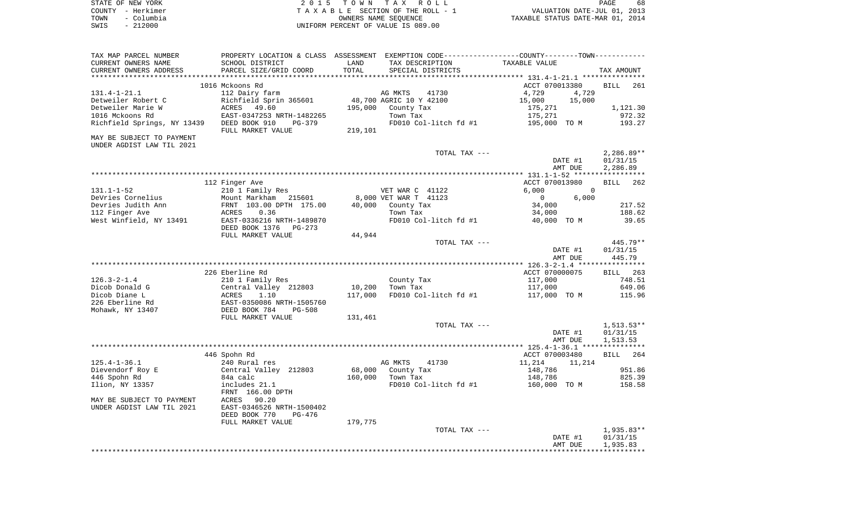| STATE OF NEW YORK  | 2015 TOWN TAX ROLL                 | 68<br>PAGE                       |
|--------------------|------------------------------------|----------------------------------|
| COUNTY – Herkimer  | TAXABLE SECTION OF THE ROLL - 1    | VALUATION DATE-JUL 01, 2013      |
| – Columbia<br>TOWN | OWNERS NAME SEOUENCE               | TAXABLE STATUS DATE-MAR 01, 2014 |
| $-212000$<br>SWIS  | UNIFORM PERCENT OF VALUE IS 089.00 |                                  |

| TAX MAP PARCEL NUMBER                             |                                                          |         | PROPERTY LOCATION & CLASS ASSESSMENT EXEMPTION CODE----------------COUNTY-------TOWN---------- |                         |                          |
|---------------------------------------------------|----------------------------------------------------------|---------|------------------------------------------------------------------------------------------------|-------------------------|--------------------------|
| CURRENT OWNERS NAME                               | SCHOOL DISTRICT                                          | LAND    | TAX DESCRIPTION                                                                                | TAXABLE VALUE           |                          |
| CURRENT OWNERS ADDRESS<br>*********************** | PARCEL SIZE/GRID COORD<br>****************************** | TOTAL   | SPECIAL DISTRICTS                                                                              |                         | TAX AMOUNT               |
|                                                   | 1016 Mckoons Rd                                          |         |                                                                                                | ACCT 070013380          | <b>BILL</b><br>261       |
| $131.4 - 1 - 21.1$                                | 112 Dairy farm                                           |         | AG MKTS<br>41730                                                                               | 4,729<br>4,729          |                          |
| Detweiler Robert C                                | Richfield Sprin 365601                                   |         | 48,700 AGRIC 10 Y 42100                                                                        | 15,000<br>15,000        |                          |
| Detweiler Marie W                                 | 49.60<br>ACRES                                           | 195,000 | County Tax                                                                                     | 175,271                 | 1,121.30                 |
| 1016 Mckoons Rd                                   | EAST-0347253 NRTH-1482265                                |         | Town Tax                                                                                       | 175,271                 | 972.32                   |
| Richfield Springs, NY 13439                       | DEED BOOK 910<br>PG-379                                  |         | FD010 Col-litch fd #1                                                                          | 195,000 TO M            | 193.27                   |
|                                                   | FULL MARKET VALUE                                        | 219,101 |                                                                                                |                         |                          |
| MAY BE SUBJECT TO PAYMENT                         |                                                          |         |                                                                                                |                         |                          |
| UNDER AGDIST LAW TIL 2021                         |                                                          |         |                                                                                                |                         |                          |
|                                                   |                                                          |         | TOTAL TAX ---                                                                                  |                         | $2,286.89**$             |
|                                                   |                                                          |         |                                                                                                | DATE #1                 | 01/31/15                 |
|                                                   |                                                          |         |                                                                                                | AMT DUE                 | 2,286.89                 |
|                                                   |                                                          |         |                                                                                                |                         |                          |
|                                                   | 112 Finger Ave                                           |         |                                                                                                | ACCT 070013980          | <b>BILL</b><br>262       |
| $131.1 - 1 - 52$                                  | 210 1 Family Res                                         |         | VET WAR C 41122                                                                                | 6,000<br>$\overline{0}$ |                          |
| DeVries Cornelius                                 | Mount Markham<br>215601                                  |         | 8,000 VET WAR T 41123                                                                          | 6,000<br>$\mathbf 0$    |                          |
| Devries Judith Ann                                | FRNT 103.00 DPTH 175.00                                  | 40,000  | County Tax                                                                                     | 34,000                  | 217.52                   |
| 112 Finger Ave                                    | 0.36<br>ACRES                                            |         | Town Tax                                                                                       | 34,000                  | 188.62                   |
| West Winfield, NY 13491                           | EAST-0336216 NRTH-1489870                                |         | FD010 Col-litch fd #1                                                                          | 40,000 TO M             | 39.65                    |
|                                                   | DEED BOOK 1376<br>$PG-273$                               |         |                                                                                                |                         |                          |
|                                                   | FULL MARKET VALUE                                        | 44,944  |                                                                                                |                         |                          |
|                                                   |                                                          |         | TOTAL TAX ---                                                                                  |                         | 445.79**                 |
|                                                   |                                                          |         |                                                                                                | DATE #1                 | 01/31/15                 |
|                                                   |                                                          |         |                                                                                                | AMT DUE                 | 445.79                   |
|                                                   |                                                          |         |                                                                                                |                         |                          |
|                                                   | 226 Eberline Rd                                          |         |                                                                                                | ACCT 070000075          | 263<br>BILL              |
| $126.3 - 2 - 1.4$                                 | 210 1 Family Res                                         |         | County Tax                                                                                     | 117,000                 | 748.51                   |
| Dicob Donald G                                    | Central Valley 212803                                    | 10,200  | Town Tax                                                                                       | 117,000                 | 649.06                   |
| Dicob Diane L                                     | ACRES<br>1.10                                            | 117,000 | FD010 Col-litch fd #1                                                                          | 117,000 TO M            | 115.96                   |
| 226 Eberline Rd                                   | EAST-0350086 NRTH-1505760                                |         |                                                                                                |                         |                          |
| Mohawk, NY 13407                                  | DEED BOOK 784<br><b>PG-508</b>                           |         |                                                                                                |                         |                          |
|                                                   | FULL MARKET VALUE                                        | 131,461 |                                                                                                |                         |                          |
|                                                   |                                                          |         | TOTAL TAX ---                                                                                  |                         | $1,513.53**$             |
|                                                   |                                                          |         |                                                                                                | DATE #1                 | 01/31/15                 |
|                                                   |                                                          |         |                                                                                                | AMT DUE                 | 1,513.53                 |
|                                                   |                                                          |         |                                                                                                |                         |                          |
|                                                   | 446 Spohn Rd                                             |         |                                                                                                | ACCT 070003480          | 264<br>BILL              |
| $125.4 - 1 - 36.1$                                | 240 Rural res                                            |         | AG MKTS<br>41730                                                                               | 11,214<br>11,214        |                          |
| Dievendorf Roy E                                  | Central Valley 212803                                    | 68,000  | County Tax                                                                                     | 148,786                 | 951.86                   |
| 446 Spohn Rd                                      | 84a calc                                                 | 160,000 | Town Tax                                                                                       | 148,786                 | 825.39                   |
| Ilion, NY 13357                                   | includes 21.1                                            |         | FD010 Col-litch fd #1                                                                          | 160,000 TO M            | 158.58                   |
|                                                   | FRNT 166.00 DPTH                                         |         |                                                                                                |                         |                          |
| MAY BE SUBJECT TO PAYMENT                         | ACRES<br>90.20                                           |         |                                                                                                |                         |                          |
| UNDER AGDIST LAW TIL 2021                         | EAST-0346526 NRTH-1500402                                |         |                                                                                                |                         |                          |
|                                                   | DEED BOOK 770<br>$PG-476$                                |         |                                                                                                |                         |                          |
|                                                   | FULL MARKET VALUE                                        | 179,775 | TOTAL TAX ---                                                                                  |                         |                          |
|                                                   |                                                          |         |                                                                                                | DATE #1                 | $1,935.83**$<br>01/31/15 |
|                                                   |                                                          |         |                                                                                                | AMT DUE                 | 1,935.83                 |
|                                                   |                                                          |         |                                                                                                |                         |                          |
|                                                   |                                                          |         |                                                                                                |                         |                          |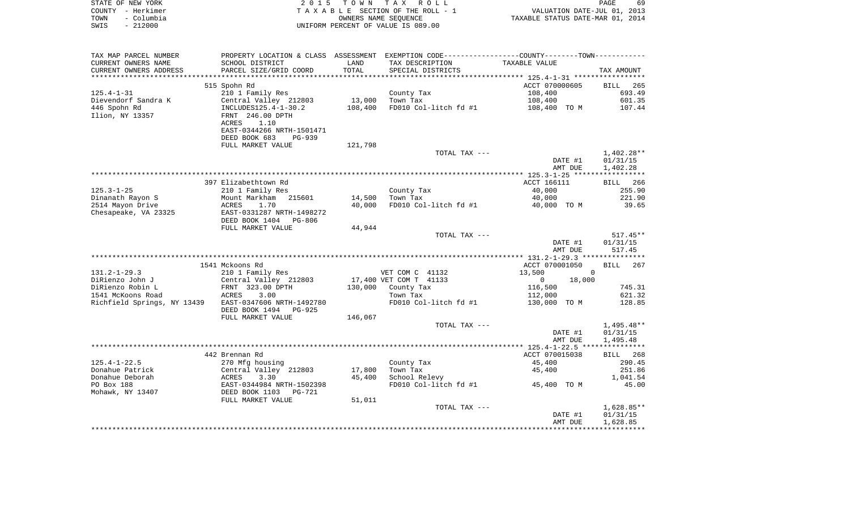| STATE OF NEW YORK |                   | 2015 TOWN TAX ROLL                 | PAGE                             | 69 |
|-------------------|-------------------|------------------------------------|----------------------------------|----|
|                   | COUNTY - Herkimer | TAXABLE SECTION OF THE ROLL - 1    | VALUATION DATE-JUL 01, 2013      |    |
| TOWN              | – Columbia        | OWNERS NAME SEOUENCE               | TAXABLE STATUS DATE-MAR 01, 2014 |    |
| SWIS              | - 212000          | UNIFORM PERCENT OF VALUE IS 089.00 |                                  |    |

| TAX MAP PARCEL NUMBER       | PROPERTY LOCATION & CLASS ASSESSMENT EXEMPTION CODE---------------COUNTY-------TOWN---------- |         |                        |                                          |                      |
|-----------------------------|-----------------------------------------------------------------------------------------------|---------|------------------------|------------------------------------------|----------------------|
| CURRENT OWNERS NAME         | SCHOOL DISTRICT                                                                               | LAND    | TAX DESCRIPTION        | TAXABLE VALUE                            |                      |
| CURRENT OWNERS ADDRESS      | PARCEL SIZE/GRID COORD                                                                        | TOTAL   | SPECIAL DISTRICTS      |                                          | TAX AMOUNT           |
| * * * * * * * * * * * * * * |                                                                                               |         |                        |                                          |                      |
|                             | 515 Spohn Rd                                                                                  |         |                        | ACCT 070000605                           | BILL 265             |
| $125.4 - 1 - 31$            | 210 1 Family Res                                                                              |         | County Tax             | 108,400                                  | 693.49               |
| Dievendorf Sandra K         | Central Valley 212803                                                                         | 13,000  | Town Tax               | 108,400                                  | 601.35               |
| 446 Spohn Rd                | INCLUDES125.4-1-30.2                                                                          | 108,400 | FD010 Col-litch fd #1  | 108,400 TO M                             | 107.44               |
| Ilion, NY 13357             | FRNT 246.00 DPTH                                                                              |         |                        |                                          |                      |
|                             | 1.10<br>ACRES                                                                                 |         |                        |                                          |                      |
|                             | EAST-0344266 NRTH-1501471                                                                     |         |                        |                                          |                      |
|                             | DEED BOOK 683<br><b>PG-939</b>                                                                |         |                        |                                          |                      |
|                             | FULL MARKET VALUE                                                                             | 121,798 |                        |                                          |                      |
|                             |                                                                                               |         | TOTAL TAX ---          |                                          | $1,402.28**$         |
|                             |                                                                                               |         |                        | DATE #1                                  | 01/31/15             |
|                             |                                                                                               |         |                        | AMT DUE                                  | 1,402.28             |
|                             |                                                                                               |         |                        |                                          |                      |
|                             | 397 Elizabethtown Rd                                                                          |         |                        | ACCT 166111                              | BILL 266             |
| $125.3 - 1 - 25$            | 210 1 Family Res                                                                              |         | County Tax             | 40,000                                   | 255.90               |
| Dinanath Rayon S            | Mount Markham 215601                                                                          | 14,500  | Town Tax               | 40,000                                   | 221.90               |
| 2514 Mayon Drive            | ACRES<br>1.70                                                                                 | 40,000  | FD010 Col-litch fd #1  | 40,000 TO M                              | 39.65                |
| Chesapeake, VA 23325        | EAST-0331287 NRTH-1498272                                                                     |         |                        |                                          |                      |
|                             | DEED BOOK 1404<br>PG-806                                                                      |         |                        |                                          |                      |
|                             | FULL MARKET VALUE                                                                             | 44,944  |                        |                                          |                      |
|                             |                                                                                               |         | TOTAL TAX ---          |                                          | $517.45**$           |
|                             |                                                                                               |         |                        | DATE #1                                  | 01/31/15             |
|                             |                                                                                               |         |                        | AMT DUE                                  | 517.45               |
|                             |                                                                                               |         |                        |                                          |                      |
|                             | 1541 Mckoons Rd                                                                               |         |                        | ACCT 070001050                           | BILL 267             |
| $131.2 - 1 - 29.3$          | 210 1 Family Res                                                                              |         | VET COM C 41132        | 13,500                                   | $\Omega$             |
| DiRienzo John J             | Central Valley 212803                                                                         |         | 17,400 VET COM T 41133 | 18,000<br>$\overline{0}$                 |                      |
| DiRienzo Robin L            | FRNT 323.00 DPTH                                                                              |         | 130,000 County Tax     | 116,500                                  | 745.31               |
| 1541 McKoons Road           | ACRES<br>3.00                                                                                 |         | Town Tax               | 112,000                                  | 621.32               |
| Richfield Springs, NY 13439 | EAST-0347606 NRTH-1492780                                                                     |         | FD010 Col-litch fd #1  | 130,000 TO M                             | 128.85               |
|                             | DEED BOOK 1494 PG-925                                                                         |         |                        |                                          |                      |
|                             | FULL MARKET VALUE                                                                             | 146,067 |                        |                                          |                      |
|                             |                                                                                               |         | TOTAL TAX ---          |                                          | $1,495.48**$         |
|                             |                                                                                               |         |                        | DATE #1                                  | 01/31/15             |
|                             |                                                                                               |         |                        | AMT DUE                                  | 1,495.48             |
|                             |                                                                                               |         |                        |                                          |                      |
|                             | 442 Brennan Rd                                                                                |         |                        | ACCT 070015038                           | BILL 268             |
| $125.4 - 1 - 22.5$          | 270 Mfg housing                                                                               |         | County Tax             | 45,400                                   | 290.45               |
| Donahue Patrick             | Central Valley 212803                                                                         | 17,800  | Town Tax               | 45,400                                   | 251.86               |
| Donahue Deborah             | 3.30<br>ACRES                                                                                 | 45,400  | School Relevy          |                                          | 1,041.54             |
| PO Box 188                  | EAST-0344984 NRTH-1502398                                                                     |         |                        | FD010 Col-litch $f$ d #1 $f$ 45,400 TO M | 45.00                |
| Mohawk, NY 13407            | DEED BOOK 1103 PG-721                                                                         |         |                        |                                          |                      |
|                             | FULL MARKET VALUE                                                                             | 51,011  |                        |                                          |                      |
|                             |                                                                                               |         | TOTAL TAX ---          |                                          | $1,628.85**$         |
|                             |                                                                                               |         |                        |                                          |                      |
|                             |                                                                                               |         |                        |                                          |                      |
|                             |                                                                                               |         |                        | DATE #1<br>AMT DUE                       | 01/31/15<br>1,628.85 |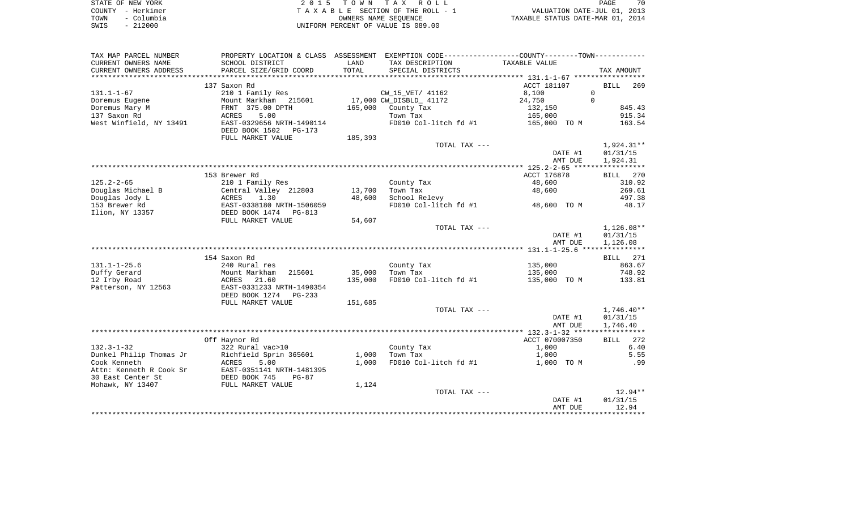|      | STATE OF NEW YORK | 2015 TOWN TAX ROLL                 | 70<br>PAGE                       |
|------|-------------------|------------------------------------|----------------------------------|
|      | COUNTY - Herkimer | TAXABLE SECTION OF THE ROLL - 1    | VALUATION DATE-JUL 01, 2013      |
| TOWN | – Columbia        | OWNERS NAME SEOUENCE               | TAXABLE STATUS DATE-MAR 01, 2014 |
| SWIS | $-212000$         | UNIFORM PERCENT OF VALUE IS 089.00 |                                  |

| TAX MAP PARCEL NUMBER   |                                                         |         | PROPERTY LOCATION & CLASS ASSESSMENT EXEMPTION CODE---------------COUNTY--------TOWN---------- |                |                    |
|-------------------------|---------------------------------------------------------|---------|------------------------------------------------------------------------------------------------|----------------|--------------------|
| CURRENT OWNERS NAME     | SCHOOL DISTRICT                                         | LAND    | TAX DESCRIPTION                                                                                | TAXABLE VALUE  |                    |
| CURRENT OWNERS ADDRESS  | PARCEL SIZE/GRID COORD                                  | TOTAL   | SPECIAL DISTRICTS                                                                              |                | TAX AMOUNT         |
| *******************     | **************************                              |         |                                                                                                |                |                    |
|                         | 137 Saxon Rd                                            |         |                                                                                                | ACCT 181107    | <b>BILL</b><br>269 |
| $131.1 - 1 - 67$        | 210 1 Family Res                                        |         | CW 15 VET/ 41162                                                                               | 8,100          | $\Omega$           |
| Doremus Eugene          | Mount Markham 215601                                    |         | 17,000 CW_DISBLD_ 41172                                                                        | 24,750         | $\Omega$           |
| Doremus Mary M          | FRNT 375.00 DPTH                                        |         | 165,000 County Tax                                                                             | 132,150        | 845.43             |
| 137 Saxon Rd            | 5.00<br>ACRES                                           |         | Town Tax                                                                                       | 165,000        | 915.34             |
| West Winfield, NY 13491 | EAST-0329656 NRTH-1490114<br>DEED BOOK 1502<br>PG-173   |         | FD010 Col-litch fd #1                                                                          | 165,000 TO M   | 163.54             |
|                         | FULL MARKET VALUE                                       | 185,393 |                                                                                                |                |                    |
|                         |                                                         |         | TOTAL TAX ---                                                                                  |                | $1,924.31**$       |
|                         |                                                         |         |                                                                                                | DATE #1        | 01/31/15           |
|                         |                                                         |         |                                                                                                | AMT DUE        | 1,924.31           |
|                         |                                                         |         |                                                                                                |                |                    |
|                         | 153 Brewer Rd                                           |         |                                                                                                | ACCT 176878    | BILL 270           |
| $125.2 - 2 - 65$        | 210 1 Family Res                                        |         | County Tax                                                                                     | 48,600         | 310.92             |
| Douglas Michael B       | Central Valley 212803                                   | 13,700  | Town Tax                                                                                       | 48,600         | 269.61             |
| Douglas Jody L          | 1.30<br>ACRES                                           | 48,600  | School Relevy                                                                                  | 48,600 TO M    | 497.38             |
| 153 Brewer Rd           | EAST-0338180 NRTH-1506059<br>DEED BOOK 1474 PG-813      |         | FD010 Col-litch fd #1                                                                          |                | 48.17              |
| Ilion, NY 13357         | FULL MARKET VALUE                                       | 54,607  |                                                                                                |                |                    |
|                         |                                                         |         | TOTAL TAX ---                                                                                  |                | $1,126.08**$       |
|                         |                                                         |         |                                                                                                | DATE #1        | 01/31/15           |
|                         |                                                         |         |                                                                                                | AMT DUE        | 1,126.08           |
|                         |                                                         |         |                                                                                                |                |                    |
|                         | 154 Saxon Rd                                            |         |                                                                                                |                | BILL 271           |
| $131.1 - 1 - 25.6$      | 240 Rural res                                           |         | County Tax                                                                                     | 135,000        | 863.67             |
| Duffy Gerard            | Mount Markham<br>215601                                 | 35,000  | Town Tax                                                                                       | 135,000        | 748.92             |
| 12 Irby Road            | ACRES<br>21.60                                          | 135,000 | FD010 Col-litch fd #1                                                                          | 135,000 TO M   | 133.81             |
| Patterson, NY 12563     | EAST-0331233 NRTH-1490354<br>DEED BOOK 1274<br>$PG-233$ |         |                                                                                                |                |                    |
|                         | FULL MARKET VALUE                                       | 151,685 |                                                                                                |                |                    |
|                         |                                                         |         | TOTAL TAX ---                                                                                  |                | $1,746.40**$       |
|                         |                                                         |         |                                                                                                | DATE #1        | 01/31/15           |
|                         |                                                         |         |                                                                                                | AMT DUE        | 1,746.40           |
|                         |                                                         |         |                                                                                                |                |                    |
|                         | Off Haynor Rd                                           |         |                                                                                                | ACCT 070007350 | 272<br>BILL        |
| $132.3 - 1 - 32$        | 322 Rural vac>10                                        |         | County Tax                                                                                     | 1,000          | 6.40               |
| Dunkel Philip Thomas Jr | Richfield Sprin 365601                                  | 1,000   | Town Tax                                                                                       | 1,000          | 5.55               |
| Cook Kenneth            | 5.00<br>ACRES                                           | 1,000   | FD010 Col-litch fd #1                                                                          | 1,000 TO M     | .99                |
| Attn: Kenneth R Cook Sr | EAST-0351141 NRTH-1481395                               |         |                                                                                                |                |                    |
| 30 East Center St       | DEED BOOK 745<br>$PG-87$                                |         |                                                                                                |                |                    |
| Mohawk, NY 13407        | FULL MARKET VALUE                                       | 1,124   |                                                                                                |                |                    |
|                         |                                                         |         | TOTAL TAX ---                                                                                  |                | $12.94**$          |
|                         |                                                         |         |                                                                                                | DATE #1        | 01/31/15           |
|                         |                                                         |         |                                                                                                | AMT DUE        | 12.94              |
|                         |                                                         |         |                                                                                                |                |                    |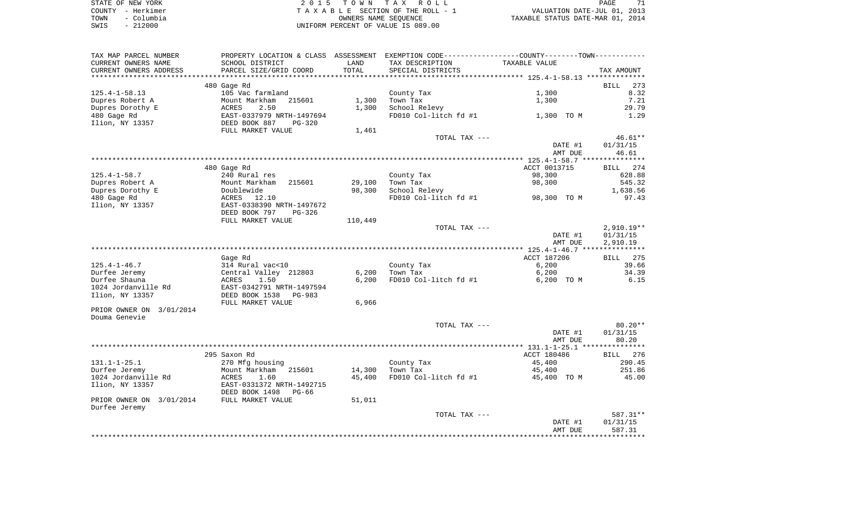| STATE OF NEW YORK  | 2015 TOWN TAX ROLL                 | 71<br><b>PAGE</b>                |
|--------------------|------------------------------------|----------------------------------|
| COUNTY - Herkimer  | TAXABLE SECTION OF THE ROLL - 1    | VALUATION DATE-JUL 01, 2013      |
| TOWN<br>– Columbia | OWNERS NAME SEOUENCE               | TAXABLE STATUS DATE-MAR 01, 2014 |
| SWIS<br>$-212000$  | UNIFORM PERCENT OF VALUE IS 089.00 |                                  |

| TAX MAP PARCEL NUMBER    | PROPERTY LOCATION & CLASS ASSESSMENT |         | EXEMPTION CODE-----------------COUNTY--------TOWN----------- |                                                 |                    |
|--------------------------|--------------------------------------|---------|--------------------------------------------------------------|-------------------------------------------------|--------------------|
| CURRENT OWNERS NAME      | SCHOOL DISTRICT                      | LAND    | TAX DESCRIPTION                                              | TAXABLE VALUE                                   |                    |
| CURRENT OWNERS ADDRESS   | PARCEL SIZE/GRID COORD               | TOTAL   | SPECIAL DISTRICTS                                            |                                                 | TAX AMOUNT         |
|                          |                                      |         |                                                              |                                                 |                    |
|                          | 480 Gage Rd                          |         |                                                              |                                                 | <b>BILL</b><br>273 |
| $125.4 - 1 - 58.13$      | 105 Vac farmland                     |         | County Tax                                                   | 1,300                                           | 8.32               |
| Dupres Robert A          | Mount Markham<br>215601              | 1,300   | Town Tax                                                     | 1,300                                           | 7.21               |
|                          |                                      |         |                                                              |                                                 |                    |
| Dupres Dorothy E         | 2.50<br>ACRES                        | 1,300   | School Relevy                                                |                                                 | 29.79              |
| 480 Gage Rd              | EAST-0337979 NRTH-1497694            |         | FD010 Col-litch fd #1                                        | 1,300 TO M                                      | 1.29               |
| Ilion, NY 13357          | DEED BOOK 887<br><b>PG-320</b>       |         |                                                              |                                                 |                    |
|                          | FULL MARKET VALUE                    | 1,461   |                                                              |                                                 |                    |
|                          |                                      |         | TOTAL TAX ---                                                |                                                 | 46.61**            |
|                          |                                      |         |                                                              | DATE #1                                         | 01/31/15           |
|                          |                                      |         |                                                              | AMT DUE                                         | 46.61              |
|                          | *******************                  |         | ************************************                         | ***************** 125.4-1-58.7 **************** |                    |
|                          | 480 Gage Rd                          |         |                                                              | ACCT 0013715                                    | BILL 274           |
| $125.4 - 1 - 58.7$       | 240 Rural res                        |         | County Tax                                                   | 98,300                                          | 628.88             |
| Dupres Robert A          | Mount Markham<br>215601              | 29,100  | Town Tax                                                     | 98,300                                          | 545.32             |
|                          |                                      |         |                                                              |                                                 |                    |
| Dupres Dorothy E         | Doublewide                           | 98,300  | School Relevy                                                |                                                 | 1,638.56           |
| 480 Gage Rd              | ACRES<br>12.10                       |         | FD010 Col-litch fd #1                                        | 98,300 TO M                                     | 97.43              |
| Ilion, NY 13357          | EAST-0338390 NRTH-1497672            |         |                                                              |                                                 |                    |
|                          | DEED BOOK 797<br>$PG-326$            |         |                                                              |                                                 |                    |
|                          | FULL MARKET VALUE                    | 110,449 |                                                              |                                                 |                    |
|                          |                                      |         | TOTAL TAX ---                                                |                                                 | 2,910.19**         |
|                          |                                      |         |                                                              | DATE #1                                         | 01/31/15           |
|                          |                                      |         |                                                              | AMT DUE                                         | 2,910.19           |
|                          |                                      |         |                                                              |                                                 |                    |
|                          | Gage Rd                              |         |                                                              | ACCT 187206                                     | 275<br>BILL        |
| $125.4 - 1 - 46.7$       | 314 Rural vac<10                     |         | County Tax                                                   | 6,200                                           | 39.66              |
| Durfee Jeremy            | Central Valley 212803                | 6,200   | Town Tax                                                     | 6,200                                           | 34.39              |
| Durfee Shauna            | ACRES<br>1.50                        | 6,200   | FD010 Col-litch fd #1                                        | 6,200 TO M                                      | 6.15               |
|                          |                                      |         |                                                              |                                                 |                    |
| 1024 Jordanville Rd      | EAST-0342791 NRTH-1497594            |         |                                                              |                                                 |                    |
| Ilion, NY 13357          | DEED BOOK 1538<br>PG-983             |         |                                                              |                                                 |                    |
|                          | FULL MARKET VALUE                    | 6,966   |                                                              |                                                 |                    |
| PRIOR OWNER ON 3/01/2014 |                                      |         |                                                              |                                                 |                    |
| Douma Genevie            |                                      |         |                                                              |                                                 |                    |
|                          |                                      |         | TOTAL TAX ---                                                |                                                 | $80.20**$          |
|                          |                                      |         |                                                              | DATE #1                                         | 01/31/15           |
|                          |                                      |         |                                                              | AMT DUE                                         | 80.20              |
|                          |                                      |         |                                                              |                                                 |                    |
|                          | 295 Saxon Rd                         |         |                                                              | ACCT 180486                                     | BILL 276           |
| $131.1 - 1 - 25.1$       | 270 Mfg housing                      |         | County Tax                                                   | 45,400                                          | 290.45             |
| Durfee Jeremy            | Mount Markham<br>215601              | 14,300  | Town Tax                                                     | 45,400                                          | 251.86             |
|                          |                                      |         |                                                              |                                                 |                    |
| 1024 Jordanville Rd      | ACRES<br>1.60                        | 45,400  | FD010 Col-litch fd #1                                        | 45,400 TO M                                     | 45.00              |
| Ilion, NY 13357          | EAST-0331372 NRTH-1492715            |         |                                                              |                                                 |                    |
|                          | DEED BOOK 1498<br>PG-66              |         |                                                              |                                                 |                    |
| PRIOR OWNER ON 3/01/2014 | FULL MARKET VALUE                    | 51,011  |                                                              |                                                 |                    |
| Durfee Jeremy            |                                      |         |                                                              |                                                 |                    |
|                          |                                      |         | TOTAL TAX ---                                                |                                                 | 587.31**           |
|                          |                                      |         |                                                              | DATE #1                                         | 01/31/15           |
|                          |                                      |         |                                                              | AMT DUE                                         | 587.31             |
|                          |                                      |         |                                                              |                                                 |                    |
|                          |                                      |         |                                                              |                                                 |                    |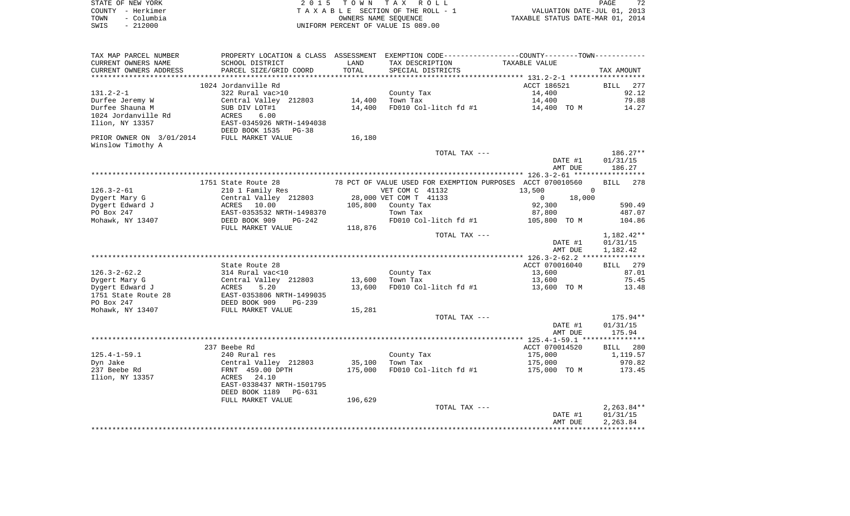|      | STATE OF NEW YORK | 2015 TOWN TAX ROLL                 | PAGE                             | 72 |
|------|-------------------|------------------------------------|----------------------------------|----|
|      | COUNTY - Herkimer | TAXABLE SECTION OF THE ROLL - 1    | VALUATION DATE-JUL 01, 2013      |    |
| TOWN | – Columbia        | OWNERS NAME SEOUENCE               | TAXABLE STATUS DATE-MAR 01, 2014 |    |
| SWIS | $-212000$         | UNIFORM PERCENT OF VALUE IS 089.00 |                                  |    |

| TAX MAP PARCEL NUMBER    |                                                   |         |                                          | PROPERTY LOCATION & CLASS ASSESSMENT EXEMPTION CODE----------------COUNTY--------TOWN----------- |                    |
|--------------------------|---------------------------------------------------|---------|------------------------------------------|--------------------------------------------------------------------------------------------------|--------------------|
| CURRENT OWNERS NAME      | SCHOOL DISTRICT                                   | LAND    | TAX DESCRIPTION                          | TAXABLE VALUE                                                                                    |                    |
| CURRENT OWNERS ADDRESS   | PARCEL SIZE/GRID COORD                            | TOTAL   | SPECIAL DISTRICTS                        |                                                                                                  | TAX AMOUNT         |
| ***********************  | ******************************                    |         |                                          |                                                                                                  |                    |
|                          | 1024 Jordanville Rd                               |         |                                          | ACCT 186521                                                                                      | <b>BILL</b><br>277 |
| $131.2 - 2 - 1$          | 322 Rural vac>10                                  |         | County Tax                               | 14,400                                                                                           | 92.12              |
| Durfee Jeremy W          | Central Valley 212803                             | 14,400  | Town Tax                                 | 14,400                                                                                           | 79.88              |
| Durfee Shauna M          | SUB DIV LOT#1                                     | 14,400  | FD010 Col-litch fd #1                    | 14,400 TO M                                                                                      | 14.27              |
| 1024 Jordanville Rd      | 6.00<br>ACRES                                     |         |                                          |                                                                                                  |                    |
| Ilion, NY 13357          | EAST-0345926 NRTH-1494038                         |         |                                          |                                                                                                  |                    |
|                          | DEED BOOK 1535 PG-38                              |         |                                          |                                                                                                  |                    |
| PRIOR OWNER ON 3/01/2014 | FULL MARKET VALUE                                 | 16,180  |                                          |                                                                                                  |                    |
| Winslow Timothy A        |                                                   |         |                                          |                                                                                                  |                    |
|                          |                                                   |         | TOTAL TAX ---                            |                                                                                                  | $186.27**$         |
|                          |                                                   |         |                                          | DATE #1                                                                                          | 01/31/15           |
|                          |                                                   |         |                                          | AMT DUE                                                                                          | 186.27             |
|                          |                                                   |         |                                          |                                                                                                  |                    |
|                          | 1751 State Route 28                               |         |                                          | 78 PCT OF VALUE USED FOR EXEMPTION PURPOSES ACCT 070010560                                       | 278<br><b>BILL</b> |
| $126.3 - 2 - 61$         | 210 1 Family Res                                  |         | VET COM C 41132                          | $\mathbf{0}$<br>13,500                                                                           |                    |
| Dygert Mary G            | Central Valley 212803                             |         | 28,000 VET COM T 41133                   | 18,000<br>$\circ$                                                                                |                    |
| Dygert Edward J          | ACRES 10.00                                       |         | 105,800 County Tax                       | 92,300                                                                                           | 590.49             |
| PO Box 247               |                                                   |         | Town Tax                                 | 87,800                                                                                           | 487.07             |
| Mohawk, NY 13407         | EAST-0353532 NRTH-1498370<br>DEED BOOK 909 PG-242 |         | FD010 Col-litch fd #1                    | 105,800 TO M                                                                                     | 104.86             |
|                          | FULL MARKET VALUE                                 | 118,876 |                                          |                                                                                                  |                    |
|                          |                                                   |         | TOTAL TAX ---                            |                                                                                                  | 1,182.42**         |
|                          |                                                   |         |                                          | DATE #1                                                                                          | 01/31/15           |
|                          |                                                   |         |                                          | AMT DUE                                                                                          | 1,182.42           |
|                          |                                                   |         |                                          |                                                                                                  |                    |
|                          | State Route 28                                    |         |                                          | ACCT 070016040                                                                                   | BILL 279           |
| $126.3 - 2 - 62.2$       | 314 Rural vac<10                                  |         | County Tax                               | 13,600                                                                                           | 87.01              |
| Dygert Mary G            | Central Valley 212803                             | 13,600  | <u>and the second second</u><br>Town Tax | 13,600                                                                                           | 75.45              |
| Dygert Edward J          | ACRES<br>5.20                                     | 13,600  | FD010 Col-litch fd #1                    | 13,600 TO M                                                                                      | 13.48              |
| 1751 State Route 28      |                                                   |         |                                          |                                                                                                  |                    |
| PO Box 247               |                                                   |         |                                          |                                                                                                  |                    |
| Mohawk, NY 13407         | FULL MARKET VALUE                                 | 15,281  |                                          |                                                                                                  |                    |
|                          |                                                   |         | TOTAL TAX ---                            |                                                                                                  | $175.94**$         |
|                          |                                                   |         |                                          | DATE #1                                                                                          | 01/31/15           |
|                          |                                                   |         |                                          | AMT DUE                                                                                          | 175.94             |
|                          |                                                   |         |                                          |                                                                                                  |                    |
|                          | 237 Beebe Rd                                      |         |                                          | ACCT 070014520                                                                                   | BILL 280           |
| $125.4 - 1 - 59.1$       | 240 Rural res                                     |         | County Tax                               | 175,000                                                                                          | 1,119.57           |
| Dyn Jake                 | Central Valley 212803                             | 35,100  | Town Tax                                 | 175,000                                                                                          | 970.82             |
| 237 Beebe Rd             | FRNT 459.00 DPTH                                  | 175,000 | FD010 Col-litch fd #1                    | 175,000 TO M                                                                                     | 173.45             |
| Ilion, NY 13357          | ACRES 24.10                                       |         |                                          |                                                                                                  |                    |
|                          | EAST-0338437 NRTH-1501795                         |         |                                          |                                                                                                  |                    |
|                          | DEED BOOK 1189<br>PG-631                          |         |                                          |                                                                                                  |                    |
|                          | FULL MARKET VALUE                                 | 196,629 |                                          |                                                                                                  |                    |
|                          |                                                   |         | TOTAL TAX ---                            |                                                                                                  | $2,263.84**$       |
|                          |                                                   |         |                                          | DATE #1                                                                                          | 01/31/15           |
|                          |                                                   |         |                                          | AMT DUE                                                                                          | 2,263.84           |
|                          |                                                   |         |                                          |                                                                                                  |                    |
|                          |                                                   |         |                                          |                                                                                                  |                    |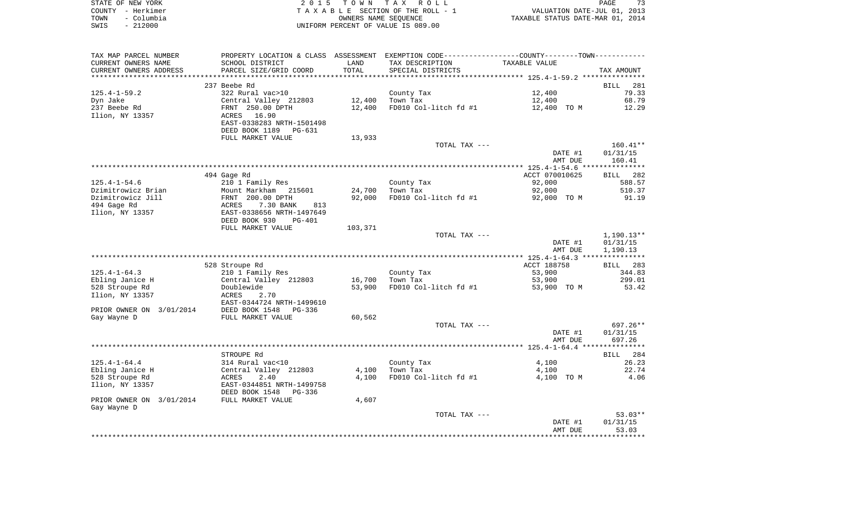| STATE OF NEW YORK  | 2015 TOWN TAX ROLL                    | 73<br>PAGE                       |
|--------------------|---------------------------------------|----------------------------------|
| COUNTY - Herkimer  | T A X A B L E SECTION OF THE ROLL - 1 | VALUATION DATE-JUL 01, 2013      |
| - Columbia<br>TOWN | OWNERS NAME SEOUENCE                  | TAXABLE STATUS DATE-MAR 01, 2014 |
| $-212000$<br>SWIS  | UNIFORM PERCENT OF VALUE IS 089.00    |                                  |

| TAX MAP PARCEL NUMBER    | PROPERTY LOCATION & CLASS ASSESSMENT EXEMPTION CODE---------------COUNTY--------TOWN---------- |         |                       |                    |                   |
|--------------------------|------------------------------------------------------------------------------------------------|---------|-----------------------|--------------------|-------------------|
| CURRENT OWNERS NAME      | SCHOOL DISTRICT                                                                                | LAND    | TAX DESCRIPTION       | TAXABLE VALUE      |                   |
| CURRENT OWNERS ADDRESS   | PARCEL SIZE/GRID COORD                                                                         | TOTAL   | SPECIAL DISTRICTS     |                    | TAX AMOUNT        |
|                          |                                                                                                |         |                       |                    |                   |
|                          | 237 Beebe Rd                                                                                   |         |                       |                    | BILL 281          |
| $125.4 - 1 - 59.2$       | 322 Rural vac>10                                                                               |         | County Tax            | 12,400             | 79.33             |
|                          |                                                                                                |         |                       |                    |                   |
| Dyn Jake                 | Central Valley 212803                                                                          | 12,400  | Town Tax              | 12,400             | 68.79             |
| 237 Beebe Rd             | FRNT 250.00 DPTH                                                                               | 12,400  | FD010 Col-litch fd #1 | 12,400 TO M        | 12.29             |
| Ilion, NY 13357          | 16.90<br>ACRES                                                                                 |         |                       |                    |                   |
|                          | EAST-0338283 NRTH-1501498                                                                      |         |                       |                    |                   |
|                          | DEED BOOK 1189 PG-631                                                                          |         |                       |                    |                   |
|                          | FULL MARKET VALUE                                                                              | 13,933  |                       |                    |                   |
|                          |                                                                                                |         | TOTAL TAX ---         |                    | $160.41**$        |
|                          |                                                                                                |         |                       | DATE #1            | 01/31/15          |
|                          |                                                                                                |         |                       | AMT DUE            | 160.41            |
|                          |                                                                                                |         |                       |                    |                   |
|                          |                                                                                                |         |                       | ACCT 070010625     |                   |
|                          | 494 Gage Rd                                                                                    |         |                       |                    | BILL 282          |
| $125.4 - 1 - 54.6$       | 210 1 Family Res                                                                               |         | County Tax            | 92,000             | 588.57            |
| Dzimitrowicz Brian       | Mount Markham 215601                                                                           | 24,700  | Town Tax              | 92,000             | 510.37            |
| Dzimitrowicz Jill        | FRNT 200.00 DPTH                                                                               | 92,000  | FD010 Col-litch fd #1 | 92,000 TO M        | 91.19             |
| 494 Gage Rd              | 7.30 BANK<br>ACRES<br>813                                                                      |         |                       |                    |                   |
| Ilion, NY 13357          | EAST-0338656 NRTH-1497649                                                                      |         |                       |                    |                   |
|                          | DEED BOOK 930<br>PG-401                                                                        |         |                       |                    |                   |
|                          | FULL MARKET VALUE                                                                              | 103,371 |                       |                    |                   |
|                          |                                                                                                |         | TOTAL TAX ---         |                    | 1,190.13**        |
|                          |                                                                                                |         |                       | DATE #1            | 01/31/15          |
|                          |                                                                                                |         |                       | AMT DUE            | 1,190.13          |
|                          |                                                                                                |         |                       |                    |                   |
|                          |                                                                                                |         |                       |                    |                   |
|                          | 528 Stroupe Rd                                                                                 |         |                       | ACCT 188758        | BILL 283          |
| $125.4 - 1 - 64.3$       | 210 1 Family Res                                                                               |         | County Tax            | 53,900             | 344.83            |
| Ebling Janice H          | Central Valley 212803                                                                          | 16,700  | Town Tax              | 53,900             | 299.01            |
| 528 Stroupe Rd           | Doublewide                                                                                     | 53,900  | FD010 Col-litch fd #1 | 53,900 TO M        | 53.42             |
| Ilion, NY 13357          | 2.70<br>ACRES                                                                                  |         |                       |                    |                   |
|                          | EAST-0344724 NRTH-1499610                                                                      |         |                       |                    |                   |
| PRIOR OWNER ON 3/01/2014 | DEED BOOK 1548<br>PG-336                                                                       |         |                       |                    |                   |
| Gay Wayne D              | FULL MARKET VALUE                                                                              | 60,562  |                       |                    |                   |
|                          |                                                                                                |         | TOTAL TAX ---         |                    | $697.26**$        |
|                          |                                                                                                |         |                       | DATE #1            | 01/31/15          |
|                          |                                                                                                |         |                       | AMT DUE            | 697.26            |
|                          |                                                                                                |         |                       |                    |                   |
|                          |                                                                                                |         |                       |                    |                   |
|                          | STROUPE Rd                                                                                     |         |                       |                    | BILL 284          |
| $125.4 - 1 - 64.4$       | 314 Rural vac<10                                                                               |         | County Tax            | 4,100              | 26.23             |
| Ebling Janice H          | Central Valley 212803                                                                          | 4,100   | Town Tax              | 4,100              | 22.74             |
| 528 Stroupe Rd           | 2.40<br>ACRES                                                                                  | 4,100   | FD010 Col-litch fd #1 | 4,100 TO M         | 4.06              |
| Ilion, NY 13357          | EAST-0344851 NRTH-1499758                                                                      |         |                       |                    |                   |
|                          | DEED BOOK 1548<br>PG-336                                                                       |         |                       |                    |                   |
| PRIOR OWNER ON 3/01/2014 | FULL MARKET VALUE                                                                              | 4,607   |                       |                    |                   |
| Gay Wayne D              |                                                                                                |         |                       |                    |                   |
|                          |                                                                                                |         | TOTAL TAX ---         |                    | $53.03**$         |
|                          |                                                                                                |         |                       |                    |                   |
|                          |                                                                                                |         |                       | DATE #1<br>AMT DUE | 01/31/15<br>53.03 |
|                          |                                                                                                |         |                       |                    |                   |
|                          |                                                                                                |         |                       |                    |                   |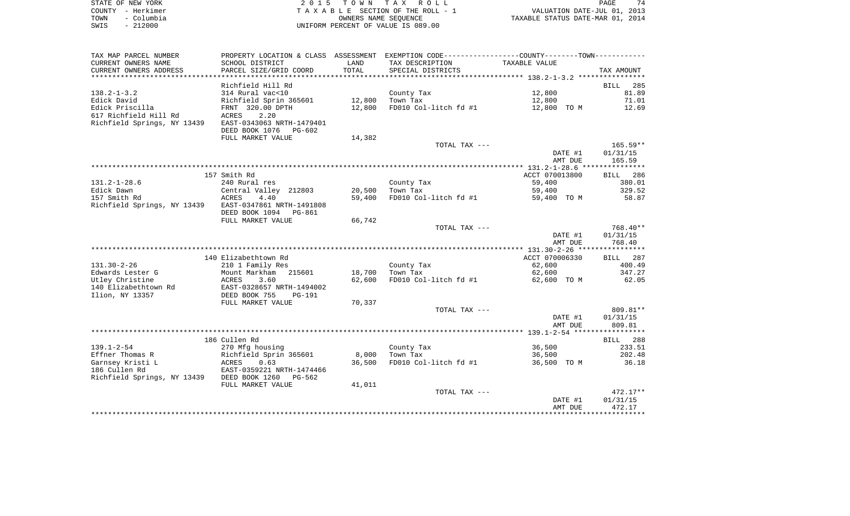| STATE OF NEW YORK  | 2015 TOWN TAX ROLL                 | 74<br><b>PAGE</b>                |
|--------------------|------------------------------------|----------------------------------|
| COUNTY - Herkimer  | TAXABLE SECTION OF THE ROLL - 1    | VALUATION DATE-JUL 01, 2013      |
| – Columbia<br>TOWN | OWNERS NAME SEOUENCE               | TAXABLE STATUS DATE-MAR 01, 2014 |
| $-212000$<br>SWIS  | UNIFORM PERCENT OF VALUE IS 089.00 |                                  |

| SCHOOL DISTRICT<br>LAND<br>TAX DESCRIPTION<br>TAXABLE VALUE<br>TOTAL<br>PARCEL SIZE/GRID COORD<br>SPECIAL DISTRICTS<br>TAX AMOUNT<br>Richfield Hill Rd<br>285<br><b>BILL</b><br>314 Rural vac<10<br>12,800<br>81.89<br>County Tax<br>Richfield Sprin 365601<br>12,800<br>Town Tax<br>12,800<br>71.01<br>FRNT 320.00 DPTH<br>12,800<br>FD010 Col-litch fd #1<br>12,800 TO M<br>12.69<br>2.20<br><b>ACRES</b><br>Richfield Springs, NY 13439<br>EAST-0343063 NRTH-1479401<br>DEED BOOK 1076<br>PG-602<br>FULL MARKET VALUE<br>14,382<br>$165.59**$<br>TOTAL TAX ---<br>DATE #1<br>01/31/15<br>AMT DUE<br>165.59<br>157 Smith Rd<br>ACCT 070013800<br>286<br>BILL<br>59,400<br>380.01<br>240 Rural res<br>County Tax<br>329.52<br>Central Valley 212803<br>20,500<br>59,400<br>Town Tax<br>4.40<br>59,400<br>FD010 Col-litch fd #1<br>59,400 TO M<br>58.87<br>ACRES<br>EAST-0347861 NRTH-1491808<br>DEED BOOK 1094<br><b>PG-861</b><br>66,742<br>FULL MARKET VALUE<br>768.40**<br>TOTAL TAX ---<br>DATE #1<br>01/31/15<br>768.40<br>AMT DUE<br>140 Elizabethtown Rd<br>ACCT 070006330<br>BILL 287<br>62,600<br>400.49<br>210 1 Family Res<br>County Tax<br>Mount Markham<br>347.27<br>215601<br>18,700<br>Town Tax<br>62,600<br>62,600<br>FD010 Col-litch fd #1<br>62.05<br>ACRES<br>3.60<br>62,600 TO M<br>EAST-0328657 NRTH-1494002<br>DEED BOOK 755<br><b>PG-191</b><br>FULL MARKET VALUE<br>70,337<br>809.81**<br>TOTAL TAX ---<br>01/31/15<br>DATE #1<br>AMT DUE<br>809.81<br>186 Cullen Rd<br>288<br>BILL<br>County Tax<br>36,500<br>233.51<br>270 Mfg housing<br>202.48<br>Richfield Sprin 365601<br>8,000<br>Town Tax<br>36,500<br>36,500<br>36.18<br>ACRES<br>0.63<br>FD010 Col-litch fd #1<br>36,500 TO M<br>EAST-0359221 NRTH-1474466<br>Richfield Springs, NY 13439 DEED BOOK 1260<br>PG-562<br>41,011<br>FULL MARKET VALUE<br>$472.17**$<br>TOTAL TAX ---<br>DATE #1<br>01/31/15 | TAX MAP PARCEL NUMBER       | PROPERTY LOCATION & CLASS ASSESSMENT | EXEMPTION CODE-----------------COUNTY--------TOWN----------- |         |        |
|--------------------------------------------------------------------------------------------------------------------------------------------------------------------------------------------------------------------------------------------------------------------------------------------------------------------------------------------------------------------------------------------------------------------------------------------------------------------------------------------------------------------------------------------------------------------------------------------------------------------------------------------------------------------------------------------------------------------------------------------------------------------------------------------------------------------------------------------------------------------------------------------------------------------------------------------------------------------------------------------------------------------------------------------------------------------------------------------------------------------------------------------------------------------------------------------------------------------------------------------------------------------------------------------------------------------------------------------------------------------------------------------------------------------------------------------------------------------------------------------------------------------------------------------------------------------------------------------------------------------------------------------------------------------------------------------------------------------------------------------------------------------------------------------------------------------------------------------------------------------------------------------|-----------------------------|--------------------------------------|--------------------------------------------------------------|---------|--------|
|                                                                                                                                                                                                                                                                                                                                                                                                                                                                                                                                                                                                                                                                                                                                                                                                                                                                                                                                                                                                                                                                                                                                                                                                                                                                                                                                                                                                                                                                                                                                                                                                                                                                                                                                                                                                                                                                                            | CURRENT OWNERS NAME         |                                      |                                                              |         |        |
|                                                                                                                                                                                                                                                                                                                                                                                                                                                                                                                                                                                                                                                                                                                                                                                                                                                                                                                                                                                                                                                                                                                                                                                                                                                                                                                                                                                                                                                                                                                                                                                                                                                                                                                                                                                                                                                                                            | CURRENT OWNERS ADDRESS      |                                      |                                                              |         |        |
|                                                                                                                                                                                                                                                                                                                                                                                                                                                                                                                                                                                                                                                                                                                                                                                                                                                                                                                                                                                                                                                                                                                                                                                                                                                                                                                                                                                                                                                                                                                                                                                                                                                                                                                                                                                                                                                                                            |                             |                                      |                                                              |         |        |
|                                                                                                                                                                                                                                                                                                                                                                                                                                                                                                                                                                                                                                                                                                                                                                                                                                                                                                                                                                                                                                                                                                                                                                                                                                                                                                                                                                                                                                                                                                                                                                                                                                                                                                                                                                                                                                                                                            |                             |                                      |                                                              |         |        |
|                                                                                                                                                                                                                                                                                                                                                                                                                                                                                                                                                                                                                                                                                                                                                                                                                                                                                                                                                                                                                                                                                                                                                                                                                                                                                                                                                                                                                                                                                                                                                                                                                                                                                                                                                                                                                                                                                            | $138.2 - 1 - 3.2$           |                                      |                                                              |         |        |
|                                                                                                                                                                                                                                                                                                                                                                                                                                                                                                                                                                                                                                                                                                                                                                                                                                                                                                                                                                                                                                                                                                                                                                                                                                                                                                                                                                                                                                                                                                                                                                                                                                                                                                                                                                                                                                                                                            | Edick David                 |                                      |                                                              |         |        |
|                                                                                                                                                                                                                                                                                                                                                                                                                                                                                                                                                                                                                                                                                                                                                                                                                                                                                                                                                                                                                                                                                                                                                                                                                                                                                                                                                                                                                                                                                                                                                                                                                                                                                                                                                                                                                                                                                            | Edick Priscilla             |                                      |                                                              |         |        |
|                                                                                                                                                                                                                                                                                                                                                                                                                                                                                                                                                                                                                                                                                                                                                                                                                                                                                                                                                                                                                                                                                                                                                                                                                                                                                                                                                                                                                                                                                                                                                                                                                                                                                                                                                                                                                                                                                            | 617 Richfield Hill Rd       |                                      |                                                              |         |        |
|                                                                                                                                                                                                                                                                                                                                                                                                                                                                                                                                                                                                                                                                                                                                                                                                                                                                                                                                                                                                                                                                                                                                                                                                                                                                                                                                                                                                                                                                                                                                                                                                                                                                                                                                                                                                                                                                                            |                             |                                      |                                                              |         |        |
|                                                                                                                                                                                                                                                                                                                                                                                                                                                                                                                                                                                                                                                                                                                                                                                                                                                                                                                                                                                                                                                                                                                                                                                                                                                                                                                                                                                                                                                                                                                                                                                                                                                                                                                                                                                                                                                                                            |                             |                                      |                                                              |         |        |
|                                                                                                                                                                                                                                                                                                                                                                                                                                                                                                                                                                                                                                                                                                                                                                                                                                                                                                                                                                                                                                                                                                                                                                                                                                                                                                                                                                                                                                                                                                                                                                                                                                                                                                                                                                                                                                                                                            |                             |                                      |                                                              |         |        |
|                                                                                                                                                                                                                                                                                                                                                                                                                                                                                                                                                                                                                                                                                                                                                                                                                                                                                                                                                                                                                                                                                                                                                                                                                                                                                                                                                                                                                                                                                                                                                                                                                                                                                                                                                                                                                                                                                            |                             |                                      |                                                              |         |        |
|                                                                                                                                                                                                                                                                                                                                                                                                                                                                                                                                                                                                                                                                                                                                                                                                                                                                                                                                                                                                                                                                                                                                                                                                                                                                                                                                                                                                                                                                                                                                                                                                                                                                                                                                                                                                                                                                                            |                             |                                      |                                                              |         |        |
|                                                                                                                                                                                                                                                                                                                                                                                                                                                                                                                                                                                                                                                                                                                                                                                                                                                                                                                                                                                                                                                                                                                                                                                                                                                                                                                                                                                                                                                                                                                                                                                                                                                                                                                                                                                                                                                                                            |                             |                                      |                                                              |         |        |
|                                                                                                                                                                                                                                                                                                                                                                                                                                                                                                                                                                                                                                                                                                                                                                                                                                                                                                                                                                                                                                                                                                                                                                                                                                                                                                                                                                                                                                                                                                                                                                                                                                                                                                                                                                                                                                                                                            |                             |                                      |                                                              |         |        |
|                                                                                                                                                                                                                                                                                                                                                                                                                                                                                                                                                                                                                                                                                                                                                                                                                                                                                                                                                                                                                                                                                                                                                                                                                                                                                                                                                                                                                                                                                                                                                                                                                                                                                                                                                                                                                                                                                            |                             |                                      |                                                              |         |        |
|                                                                                                                                                                                                                                                                                                                                                                                                                                                                                                                                                                                                                                                                                                                                                                                                                                                                                                                                                                                                                                                                                                                                                                                                                                                                                                                                                                                                                                                                                                                                                                                                                                                                                                                                                                                                                                                                                            | $131.2 - 1 - 28.6$          |                                      |                                                              |         |        |
|                                                                                                                                                                                                                                                                                                                                                                                                                                                                                                                                                                                                                                                                                                                                                                                                                                                                                                                                                                                                                                                                                                                                                                                                                                                                                                                                                                                                                                                                                                                                                                                                                                                                                                                                                                                                                                                                                            | Edick Dawn                  |                                      |                                                              |         |        |
|                                                                                                                                                                                                                                                                                                                                                                                                                                                                                                                                                                                                                                                                                                                                                                                                                                                                                                                                                                                                                                                                                                                                                                                                                                                                                                                                                                                                                                                                                                                                                                                                                                                                                                                                                                                                                                                                                            | 157 Smith Rd                |                                      |                                                              |         |        |
|                                                                                                                                                                                                                                                                                                                                                                                                                                                                                                                                                                                                                                                                                                                                                                                                                                                                                                                                                                                                                                                                                                                                                                                                                                                                                                                                                                                                                                                                                                                                                                                                                                                                                                                                                                                                                                                                                            | Richfield Springs, NY 13439 |                                      |                                                              |         |        |
|                                                                                                                                                                                                                                                                                                                                                                                                                                                                                                                                                                                                                                                                                                                                                                                                                                                                                                                                                                                                                                                                                                                                                                                                                                                                                                                                                                                                                                                                                                                                                                                                                                                                                                                                                                                                                                                                                            |                             |                                      |                                                              |         |        |
|                                                                                                                                                                                                                                                                                                                                                                                                                                                                                                                                                                                                                                                                                                                                                                                                                                                                                                                                                                                                                                                                                                                                                                                                                                                                                                                                                                                                                                                                                                                                                                                                                                                                                                                                                                                                                                                                                            |                             |                                      |                                                              |         |        |
|                                                                                                                                                                                                                                                                                                                                                                                                                                                                                                                                                                                                                                                                                                                                                                                                                                                                                                                                                                                                                                                                                                                                                                                                                                                                                                                                                                                                                                                                                                                                                                                                                                                                                                                                                                                                                                                                                            |                             |                                      |                                                              |         |        |
|                                                                                                                                                                                                                                                                                                                                                                                                                                                                                                                                                                                                                                                                                                                                                                                                                                                                                                                                                                                                                                                                                                                                                                                                                                                                                                                                                                                                                                                                                                                                                                                                                                                                                                                                                                                                                                                                                            |                             |                                      |                                                              |         |        |
|                                                                                                                                                                                                                                                                                                                                                                                                                                                                                                                                                                                                                                                                                                                                                                                                                                                                                                                                                                                                                                                                                                                                                                                                                                                                                                                                                                                                                                                                                                                                                                                                                                                                                                                                                                                                                                                                                            |                             |                                      |                                                              |         |        |
|                                                                                                                                                                                                                                                                                                                                                                                                                                                                                                                                                                                                                                                                                                                                                                                                                                                                                                                                                                                                                                                                                                                                                                                                                                                                                                                                                                                                                                                                                                                                                                                                                                                                                                                                                                                                                                                                                            |                             |                                      |                                                              |         |        |
|                                                                                                                                                                                                                                                                                                                                                                                                                                                                                                                                                                                                                                                                                                                                                                                                                                                                                                                                                                                                                                                                                                                                                                                                                                                                                                                                                                                                                                                                                                                                                                                                                                                                                                                                                                                                                                                                                            |                             |                                      |                                                              |         |        |
|                                                                                                                                                                                                                                                                                                                                                                                                                                                                                                                                                                                                                                                                                                                                                                                                                                                                                                                                                                                                                                                                                                                                                                                                                                                                                                                                                                                                                                                                                                                                                                                                                                                                                                                                                                                                                                                                                            | $131.30 - 2 - 26$           |                                      |                                                              |         |        |
|                                                                                                                                                                                                                                                                                                                                                                                                                                                                                                                                                                                                                                                                                                                                                                                                                                                                                                                                                                                                                                                                                                                                                                                                                                                                                                                                                                                                                                                                                                                                                                                                                                                                                                                                                                                                                                                                                            | Edwards Lester G            |                                      |                                                              |         |        |
|                                                                                                                                                                                                                                                                                                                                                                                                                                                                                                                                                                                                                                                                                                                                                                                                                                                                                                                                                                                                                                                                                                                                                                                                                                                                                                                                                                                                                                                                                                                                                                                                                                                                                                                                                                                                                                                                                            | Utley Christine             |                                      |                                                              |         |        |
|                                                                                                                                                                                                                                                                                                                                                                                                                                                                                                                                                                                                                                                                                                                                                                                                                                                                                                                                                                                                                                                                                                                                                                                                                                                                                                                                                                                                                                                                                                                                                                                                                                                                                                                                                                                                                                                                                            | 140 Elizabethtown Rd        |                                      |                                                              |         |        |
|                                                                                                                                                                                                                                                                                                                                                                                                                                                                                                                                                                                                                                                                                                                                                                                                                                                                                                                                                                                                                                                                                                                                                                                                                                                                                                                                                                                                                                                                                                                                                                                                                                                                                                                                                                                                                                                                                            | Ilion, NY 13357             |                                      |                                                              |         |        |
|                                                                                                                                                                                                                                                                                                                                                                                                                                                                                                                                                                                                                                                                                                                                                                                                                                                                                                                                                                                                                                                                                                                                                                                                                                                                                                                                                                                                                                                                                                                                                                                                                                                                                                                                                                                                                                                                                            |                             |                                      |                                                              |         |        |
|                                                                                                                                                                                                                                                                                                                                                                                                                                                                                                                                                                                                                                                                                                                                                                                                                                                                                                                                                                                                                                                                                                                                                                                                                                                                                                                                                                                                                                                                                                                                                                                                                                                                                                                                                                                                                                                                                            |                             |                                      |                                                              |         |        |
|                                                                                                                                                                                                                                                                                                                                                                                                                                                                                                                                                                                                                                                                                                                                                                                                                                                                                                                                                                                                                                                                                                                                                                                                                                                                                                                                                                                                                                                                                                                                                                                                                                                                                                                                                                                                                                                                                            |                             |                                      |                                                              |         |        |
|                                                                                                                                                                                                                                                                                                                                                                                                                                                                                                                                                                                                                                                                                                                                                                                                                                                                                                                                                                                                                                                                                                                                                                                                                                                                                                                                                                                                                                                                                                                                                                                                                                                                                                                                                                                                                                                                                            |                             |                                      |                                                              |         |        |
|                                                                                                                                                                                                                                                                                                                                                                                                                                                                                                                                                                                                                                                                                                                                                                                                                                                                                                                                                                                                                                                                                                                                                                                                                                                                                                                                                                                                                                                                                                                                                                                                                                                                                                                                                                                                                                                                                            |                             |                                      |                                                              |         |        |
|                                                                                                                                                                                                                                                                                                                                                                                                                                                                                                                                                                                                                                                                                                                                                                                                                                                                                                                                                                                                                                                                                                                                                                                                                                                                                                                                                                                                                                                                                                                                                                                                                                                                                                                                                                                                                                                                                            |                             |                                      |                                                              |         |        |
|                                                                                                                                                                                                                                                                                                                                                                                                                                                                                                                                                                                                                                                                                                                                                                                                                                                                                                                                                                                                                                                                                                                                                                                                                                                                                                                                                                                                                                                                                                                                                                                                                                                                                                                                                                                                                                                                                            | $139.1 - 2 - 54$            |                                      |                                                              |         |        |
|                                                                                                                                                                                                                                                                                                                                                                                                                                                                                                                                                                                                                                                                                                                                                                                                                                                                                                                                                                                                                                                                                                                                                                                                                                                                                                                                                                                                                                                                                                                                                                                                                                                                                                                                                                                                                                                                                            | Effner Thomas R             |                                      |                                                              |         |        |
|                                                                                                                                                                                                                                                                                                                                                                                                                                                                                                                                                                                                                                                                                                                                                                                                                                                                                                                                                                                                                                                                                                                                                                                                                                                                                                                                                                                                                                                                                                                                                                                                                                                                                                                                                                                                                                                                                            | Garnsey Kristi L            |                                      |                                                              |         |        |
|                                                                                                                                                                                                                                                                                                                                                                                                                                                                                                                                                                                                                                                                                                                                                                                                                                                                                                                                                                                                                                                                                                                                                                                                                                                                                                                                                                                                                                                                                                                                                                                                                                                                                                                                                                                                                                                                                            | 186 Cullen Rd               |                                      |                                                              |         |        |
|                                                                                                                                                                                                                                                                                                                                                                                                                                                                                                                                                                                                                                                                                                                                                                                                                                                                                                                                                                                                                                                                                                                                                                                                                                                                                                                                                                                                                                                                                                                                                                                                                                                                                                                                                                                                                                                                                            |                             |                                      |                                                              |         |        |
|                                                                                                                                                                                                                                                                                                                                                                                                                                                                                                                                                                                                                                                                                                                                                                                                                                                                                                                                                                                                                                                                                                                                                                                                                                                                                                                                                                                                                                                                                                                                                                                                                                                                                                                                                                                                                                                                                            |                             |                                      |                                                              |         |        |
|                                                                                                                                                                                                                                                                                                                                                                                                                                                                                                                                                                                                                                                                                                                                                                                                                                                                                                                                                                                                                                                                                                                                                                                                                                                                                                                                                                                                                                                                                                                                                                                                                                                                                                                                                                                                                                                                                            |                             |                                      |                                                              |         |        |
|                                                                                                                                                                                                                                                                                                                                                                                                                                                                                                                                                                                                                                                                                                                                                                                                                                                                                                                                                                                                                                                                                                                                                                                                                                                                                                                                                                                                                                                                                                                                                                                                                                                                                                                                                                                                                                                                                            |                             |                                      |                                                              |         |        |
|                                                                                                                                                                                                                                                                                                                                                                                                                                                                                                                                                                                                                                                                                                                                                                                                                                                                                                                                                                                                                                                                                                                                                                                                                                                                                                                                                                                                                                                                                                                                                                                                                                                                                                                                                                                                                                                                                            |                             |                                      |                                                              | AMT DUE | 472.17 |
|                                                                                                                                                                                                                                                                                                                                                                                                                                                                                                                                                                                                                                                                                                                                                                                                                                                                                                                                                                                                                                                                                                                                                                                                                                                                                                                                                                                                                                                                                                                                                                                                                                                                                                                                                                                                                                                                                            |                             |                                      |                                                              |         |        |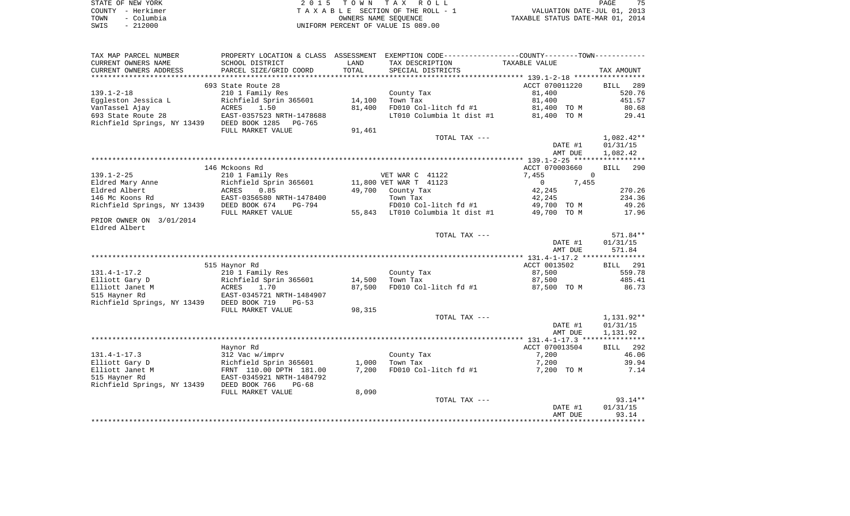| STATE OF NEW YORK  | 2015 TOWN TAX ROLL                 | 75<br>PAGE                       |
|--------------------|------------------------------------|----------------------------------|
| COUNTY - Herkimer  | TAXABLE SECTION OF THE ROLL - 1    | VALUATION DATE-JUL 01, 2013      |
| – Columbia<br>TOWN | OWNERS NAME SEOUENCE               | TAXABLE STATUS DATE-MAR 01, 2014 |
| $-212000$<br>SWIS  | UNIFORM PERCENT OF VALUE IS 089.00 |                                  |

| TAX MAP PARCEL NUMBER                      |                           |        | PROPERTY LOCATION & CLASS ASSESSMENT EXEMPTION CODE---------------COUNTY-------TOWN---------- |                       |                    |
|--------------------------------------------|---------------------------|--------|-----------------------------------------------------------------------------------------------|-----------------------|--------------------|
| CURRENT OWNERS NAME                        | SCHOOL DISTRICT           | LAND   | TAX DESCRIPTION                                                                               | TAXABLE VALUE         |                    |
| CURRENT OWNERS ADDRESS                     | PARCEL SIZE/GRID COORD    | TOTAL  | SPECIAL DISTRICTS                                                                             |                       | TAX AMOUNT         |
|                                            |                           |        |                                                                                               |                       |                    |
|                                            | 693 State Route 28        |        |                                                                                               | ACCT 070011220        | <b>BILL</b><br>289 |
| $139.1 - 2 - 18$                           | 210 1 Family Res          |        | County Tax                                                                                    | 81,400                | 520.76             |
| Eggleston Jessica L                        | Richfield Sprin 365601    | 14,100 | Town Tax                                                                                      | 81,400                | 451.57             |
| VanTassel Ajay                             | 1.50<br>ACRES             | 81,400 | FD010 Col-litch fd #1                                                                         | 81,400 TO M           | 80.68              |
| 693 State Route 28                         | EAST-0357523 NRTH-1478688 |        | LT010 Columbia 1t dist #1 81,400 TO M                                                         |                       | 29.41              |
| Richfield Springs, NY 13439 DEED BOOK 1285 | PG-765                    |        |                                                                                               |                       |                    |
|                                            | FULL MARKET VALUE         | 91,461 |                                                                                               |                       |                    |
|                                            |                           |        | TOTAL TAX ---                                                                                 |                       | 1,082.42**         |
|                                            |                           |        |                                                                                               | DATE #1               | 01/31/15           |
|                                            |                           |        |                                                                                               | AMT DUE               | 1,082.42           |
|                                            |                           |        |                                                                                               |                       |                    |
|                                            | 146 Mckoons Rd            |        |                                                                                               | ACCT 070003660        | BILL 290           |
| $139.1 - 2 - 25$                           | 210 1 Family Res          |        | VET WAR C 41122                                                                               | 7,455                 | $\overline{0}$     |
| Eldred Mary Anne                           | Richfield Sprin 365601    |        | 11,800 VET WAR T 41123                                                                        | 7,455<br>$\mathbf{0}$ |                    |
| Eldred Albert                              | ACRES<br>0.85             |        | 49,700 County Tax                                                                             | 42,245                | 270.26             |
| 146 Mc Koons Rd                            | EAST-0356580 NRTH-1478400 |        | Town Tax                                                                                      | 42,245                | 234.36             |
| Richfield Springs, NY 13439 DEED BOOK 674  | PG-794                    |        | FD010 Col-litch $fd$ #1 49,700 TO M                                                           |                       | 49.26              |
|                                            | FULL MARKET VALUE         |        | 55,843 LT010 Columbia lt dist #1                                                              | 49,700 TO M           | 17.96              |
| PRIOR OWNER ON 3/01/2014                   |                           |        |                                                                                               |                       |                    |
| Eldred Albert                              |                           |        |                                                                                               |                       |                    |
|                                            |                           |        | TOTAL TAX ---                                                                                 |                       | 571.84**           |
|                                            |                           |        |                                                                                               | DATE #1               | 01/31/15           |
|                                            |                           |        |                                                                                               | AMT DUE               | 571.84             |
|                                            |                           |        |                                                                                               |                       |                    |
|                                            | 515 Haynor Rd             |        |                                                                                               | ACCT 0013502          | BILL 291           |
| $131.4 - 1 - 17.2$                         | 210 1 Family Res          |        | County Tax                                                                                    | 87,500                | 559.78             |
| Elliott Gary D                             | Richfield Sprin 365601    | 14,500 | Town Tax                                                                                      | 87,500                | 485.41             |
| Elliott Janet M                            | 1.70<br>ACRES             | 87,500 | FD010 Col-litch fd #1                                                                         | 87,500 TO M           | 86.73              |
| 515 Hayner Rd                              | EAST-0345721 NRTH-1484907 |        |                                                                                               |                       |                    |
| Richfield Springs, NY 13439 DEED BOOK 719  | $PG-53$                   |        |                                                                                               |                       |                    |
|                                            | FULL MARKET VALUE         | 98,315 |                                                                                               |                       |                    |
|                                            |                           |        | TOTAL TAX ---                                                                                 |                       | 1,131.92**         |
|                                            |                           |        |                                                                                               | DATE #1               | 01/31/15           |
|                                            |                           |        |                                                                                               | AMT DUE               | 1,131.92           |
|                                            |                           |        |                                                                                               |                       |                    |
|                                            | Haynor Rd                 |        |                                                                                               | ACCT 070013504        | BILL 292           |
| $131.4 - 1 - 17.3$                         | 312 Vac w/imprv           |        | County Tax                                                                                    | 7,200                 | 46.06              |
| Elliott Gary D                             | Richfield Sprin 365601    | 1,000  | Town Tax                                                                                      | 7,200                 | 39.94              |
| Elliott Janet M                            | FRNT 110.00 DPTH 181.00   | 7,200  | FD010 Col-litch fd #1                                                                         | 7,200 TO M            | 7.14               |
| 515 Hayner Rd                              | EAST-0345921 NRTH-1484792 |        |                                                                                               |                       |                    |
| Richfield Springs, NY 13439 DEED BOOK 766  | $PG-68$                   |        |                                                                                               |                       |                    |
|                                            | FULL MARKET VALUE         | 8,090  |                                                                                               |                       |                    |
|                                            |                           |        | TOTAL TAX ---                                                                                 |                       | $93.14**$          |
|                                            |                           |        |                                                                                               | DATE #1               | 01/31/15           |
|                                            |                           |        |                                                                                               | AMT DUE               | 93.14              |
|                                            |                           |        |                                                                                               |                       |                    |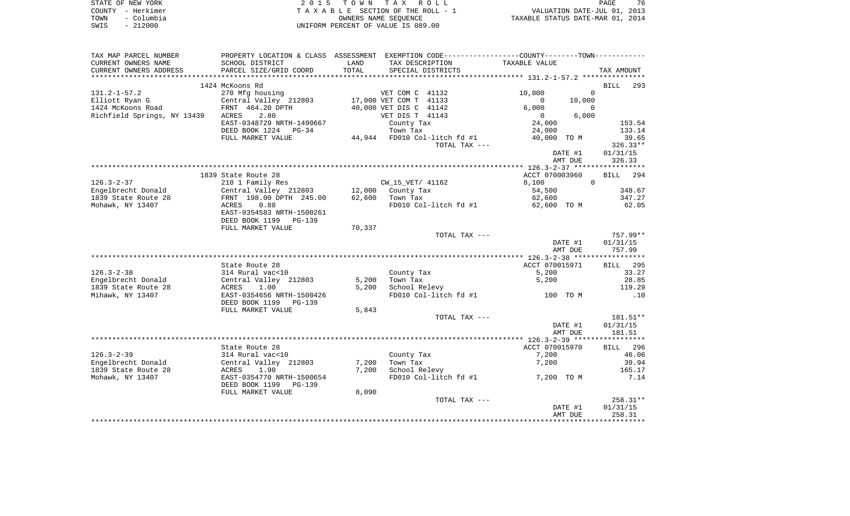|      | STATE OF NEW YORK | 2015 TOWN TAX ROLL                 | PAGE                             | 76 |
|------|-------------------|------------------------------------|----------------------------------|----|
|      | COUNTY - Herkimer | TAXABLE SECTION OF THE ROLL - 1    | VALUATION DATE-JUL 01, 2013      |    |
| TOWN | - Columbia        | OWNERS NAME SEOUENCE               | TAXABLE STATUS DATE-MAR 01, 2014 |    |
| SWIS | - 212000          | UNIFORM PERCENT OF VALUE IS 089.00 |                                  |    |

| TAX MAP PARCEL NUMBER       |                                              |        | PROPERTY LOCATION & CLASS ASSESSMENT EXEMPTION CODE----------------COUNTY-------TOWN--------- |                                                              |            |
|-----------------------------|----------------------------------------------|--------|-----------------------------------------------------------------------------------------------|--------------------------------------------------------------|------------|
| CURRENT OWNERS NAME         | SCHOOL DISTRICT                              | LAND   | TAX DESCRIPTION                                                                               | TAXABLE VALUE                                                |            |
| CURRENT OWNERS ADDRESS      | PARCEL SIZE/GRID COORD                       | TOTAL  | SPECIAL DISTRICTS                                                                             |                                                              | TAX AMOUNT |
|                             |                                              |        |                                                                                               |                                                              |            |
|                             | 1424 McKoons Rd                              |        |                                                                                               |                                                              | BILL 293   |
| $131.2 - 1 - 57.2$          | 270 Mfg housing                              |        | VET COM C 41132                                                                               | 10,000<br>$\Omega$                                           |            |
|                             | Central Valley 212803 17,000 VET COM T 41133 |        |                                                                                               | $\overline{0}$                                               |            |
| Elliott Ryan G              |                                              |        |                                                                                               | 10,000                                                       |            |
| 1424 McKoons Road           | FRNT 464.20 DPTH                             |        | 40,000 VET DIS C 41142                                                                        | 6,000<br>$\Omega$                                            |            |
| Richfield Springs, NY 13439 | ACRES<br>2.80                                |        | VET DIS T 41143                                                                               | 6,000<br>$\begin{smallmatrix}&&0\0&24\end{smallmatrix}$ ,000 |            |
|                             | EAST-0348729 NRTH-1490667                    |        | County Tax                                                                                    |                                                              | 153.54     |
|                             | DEED BOOK 1224 PG-34                         |        | Town Tax                                                                                      | 24,000                                                       | 133.14     |
|                             | FULL MARKET VALUE                            |        | 44,944 FD010 Col-litch fd #1                                                                  | 40,000 TO M                                                  | 39.65      |
|                             |                                              |        | TOTAL TAX ---                                                                                 |                                                              | $326.33**$ |
|                             |                                              |        |                                                                                               | DATE #1                                                      | 01/31/15   |
|                             |                                              |        |                                                                                               | AMT DUE                                                      | 326.33     |
|                             |                                              |        |                                                                                               |                                                              |            |
|                             |                                              |        |                                                                                               |                                                              |            |
|                             | 1839 State Route 28                          |        |                                                                                               | ACCT 070003960                                               | BILL 294   |
| $126.3 - 2 - 37$            | 210 1 Family Res                             |        | $CW_15_VET/41162$                                                                             | 8,100<br>$\Omega$                                            |            |
| Engelbrecht Donald          | Central Valley 212803 12,000 County Tax      |        |                                                                                               | 54,500                                                       | 348.67     |
| 1839 State Route 28         | FRNT 198.00 DPTH 245.00                      |        | 62,600 Town Tax                                                                               | 62,600                                                       | 347.27     |
| Mohawk, NY 13407            | ACRES<br>0.88                                |        | FD010 Col-litch fd $#1$ 62,600 TO M                                                           |                                                              | 62.05      |
|                             | EAST-0354583 NRTH-1500261                    |        |                                                                                               |                                                              |            |
|                             | DEED BOOK 1199 PG-139                        |        |                                                                                               |                                                              |            |
|                             | FULL MARKET VALUE                            | 70,337 |                                                                                               |                                                              |            |
|                             |                                              |        | TOTAL TAX ---                                                                                 |                                                              | 757.99**   |
|                             |                                              |        |                                                                                               | DATE #1                                                      | 01/31/15   |
|                             |                                              |        |                                                                                               |                                                              |            |
|                             |                                              |        |                                                                                               | AMT DUE                                                      | 757.99     |
|                             |                                              |        |                                                                                               |                                                              |            |
|                             | State Route 28                               |        |                                                                                               | ACCT 070015971                                               | BILL 295   |
| $126.3 - 2 - 38$            | 314 Rural vac<10                             |        | County Tax                                                                                    | 5,200                                                        | 33.27      |
| Engelbrecht Donald          | Central Valley 212803                        | 5,200  | Town Tax                                                                                      | 5,200                                                        | 28.85      |
| 1839 State Route 28         | ACRES<br>1.00                                | 5,200  | School Relevy                                                                                 |                                                              | 119.29     |
| Mihawk, NY 13407            | EAST-0354656 NRTH-1500426                    |        | FD010 Col-litch fd #1 100 TO M                                                                |                                                              | .10        |
|                             | DEED BOOK 1199 PG-139                        |        |                                                                                               |                                                              |            |
|                             | FULL MARKET VALUE                            | 5,843  |                                                                                               |                                                              |            |
|                             |                                              |        | TOTAL TAX ---                                                                                 |                                                              | 181.51**   |
|                             |                                              |        |                                                                                               | DATE #1                                                      | 01/31/15   |
|                             |                                              |        |                                                                                               |                                                              |            |
|                             |                                              |        |                                                                                               | AMT DUE                                                      | 181.51     |
|                             |                                              |        |                                                                                               |                                                              |            |
|                             | State Route 28                               |        |                                                                                               | ACCT 070015970                                               | BILL 296   |
| $126.3 - 2 - 39$            | 314 Rural vac<10                             |        | County Tax                                                                                    | 7,200                                                        | 46.06      |
| Engelbrecht Donald          | Central Valley 212803                        | 7,200  | Town Tax                                                                                      | 7,200                                                        | 39.94      |
| 1839 State Route 28         | ACRES<br>1.90                                | 7,200  | School Relevy                                                                                 |                                                              | 165.17     |
| Mohawk, NY 13407            | EAST-0354770 NRTH-1500654                    |        | FD010 Col-litch $fd$ #1 $7,200$ TO M                                                          |                                                              | 7.14       |
|                             | DEED BOOK 1199 PG-139                        |        |                                                                                               |                                                              |            |
|                             | FULL MARKET VALUE                            | 8,090  |                                                                                               |                                                              |            |
|                             |                                              |        | TOTAL TAX ---                                                                                 |                                                              | 258.31**   |
|                             |                                              |        |                                                                                               | DATE #1                                                      | 01/31/15   |
|                             |                                              |        |                                                                                               |                                                              |            |
|                             |                                              |        |                                                                                               | AMT DUE                                                      | 258.31     |
|                             |                                              |        |                                                                                               |                                                              |            |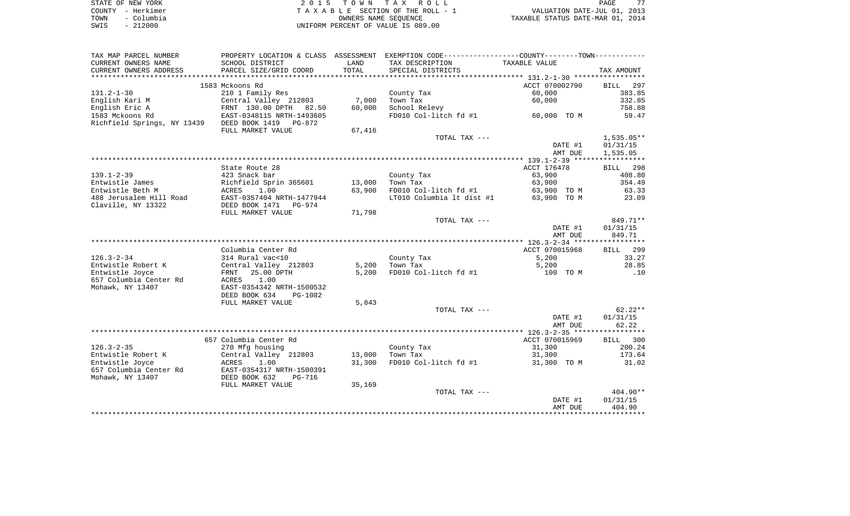| STATE OF NEW YORK |            | 2015 TOWN TAX ROLL                 |                      |                                  | PAGE                        | 77 |
|-------------------|------------|------------------------------------|----------------------|----------------------------------|-----------------------------|----|
| COUNTY - Herkimer |            | TAXABLE SECTION OF THE ROLL - 1    |                      |                                  | VALUATION DATE-JUL 01, 2013 |    |
| TOWN              | – Columbia |                                    | OWNERS NAME SEOUENCE | TAXABLE STATUS DATE-MAR 01, 2014 |                             |    |
| $-212000$<br>SWIS |            | UNIFORM PERCENT OF VALUE IS 089.00 |                      |                                  |                             |    |

| TAX MAP PARCEL NUMBER                                         |                                       |        | PROPERTY LOCATION & CLASS ASSESSMENT EXEMPTION CODE----------------COUNTY--------TOWN---------- |                |                    |
|---------------------------------------------------------------|---------------------------------------|--------|-------------------------------------------------------------------------------------------------|----------------|--------------------|
| CURRENT OWNERS NAME                                           | SCHOOL DISTRICT                       | LAND   | TAX DESCRIPTION                                                                                 | TAXABLE VALUE  |                    |
| CURRENT OWNERS ADDRESS                                        | PARCEL SIZE/GRID COORD                | TOTAL  | SPECIAL DISTRICTS                                                                               |                | TAX AMOUNT         |
|                                                               |                                       |        |                                                                                                 |                |                    |
|                                                               | 1583 Mckoons Rd                       |        |                                                                                                 | ACCT 070002790 | <b>BILL</b><br>297 |
| $131.2 - 1 - 30$                                              | 210 1 Family Res                      |        | County Tax                                                                                      | 60,000         | 383.85             |
| English Kari M                                                | Central Valley 212803                 | 7,000  | Town Tax                                                                                        | 60,000         | 332.85             |
| English Eric A                                                | FRNT 130.00 DPTH 82.50                | 60,000 | School Relevy                                                                                   |                | 758.88             |
| 1583 Mckoons Rd<br>Richfield Springs, NY 13439 DEED BOOK 1419 | EAST-0348115 NRTH-1493605<br>$PG-872$ |        | FD010 Col-litch fd #1                                                                           | 60,000 TO M    | 59.47              |
|                                                               | FULL MARKET VALUE                     | 67,416 |                                                                                                 |                |                    |
|                                                               |                                       |        | TOTAL TAX ---                                                                                   |                | $1,535.05**$       |
|                                                               |                                       |        |                                                                                                 | DATE #1        | 01/31/15           |
|                                                               |                                       |        |                                                                                                 | AMT DUE        | 1,535.05           |
|                                                               |                                       |        |                                                                                                 |                |                    |
|                                                               | State Route 28                        |        |                                                                                                 | ACCT 176478    | BILL 298           |
| $139.1 - 2 - 39$                                              | 423 Snack bar                         |        | County Tax                                                                                      | 63,900         | 408.80             |
| Entwistle James                                               | Richfield Sprin 365601                | 13,000 | Town Tax                                                                                        | 63,900         | 354.49             |
| Entwistle Beth M                                              | 1.00<br>ACRES                         | 63,900 | FD010 Col-litch fd #1                                                                           | 63,900 TO M    | 63.33              |
| 488 Jerusalem Hill Road                                       | EAST-0357404 NRTH-1477944             |        | LT010 Columbia 1t dist #1                                                                       | 63,900 TO M    | 23.09              |
| Claville, NY 13322                                            | DEED BOOK 1471<br>PG-974              |        |                                                                                                 |                |                    |
|                                                               | FULL MARKET VALUE                     | 71,798 |                                                                                                 |                |                    |
|                                                               |                                       |        | TOTAL TAX ---                                                                                   |                | 849.71**           |
|                                                               |                                       |        |                                                                                                 | DATE #1        | 01/31/15<br>849.71 |
|                                                               |                                       |        |                                                                                                 | AMT DUE        |                    |
|                                                               | Columbia Center Rd                    |        |                                                                                                 | ACCT 070015968 | <b>BILL</b> 299    |
| $126.3 - 2 - 34$                                              | 314 Rural vac<10                      |        | County Tax                                                                                      | 5,200          | 33.27              |
| Entwistle Robert K                                            | Central Valley 212803                 | 5,200  | Town Tax                                                                                        | 5,200          | 28.85              |
| Entwistle Joyce                                               | 25.00 DPTH<br>FRNT                    | 5,200  | FD010 Col-litch fd #1                                                                           | 100 TO M       | .10                |
| 657 Columbia Center Rd                                        | 1.00<br>ACRES                         |        |                                                                                                 |                |                    |
| Mohawk, NY 13407                                              | EAST-0354342 NRTH-1500532             |        |                                                                                                 |                |                    |
|                                                               | DEED BOOK 634<br>PG-1082              |        |                                                                                                 |                |                    |
|                                                               | FULL MARKET VALUE                     | 5,843  |                                                                                                 |                |                    |
|                                                               |                                       |        | TOTAL TAX ---                                                                                   |                | $62.22**$          |
|                                                               |                                       |        |                                                                                                 | DATE #1        | 01/31/15           |
|                                                               |                                       |        |                                                                                                 | AMT DUE        | 62.22              |
|                                                               |                                       |        |                                                                                                 |                |                    |
|                                                               | 657 Columbia Center Rd                |        |                                                                                                 | ACCT 070015969 | BILL 300           |
| $126.3 - 2 - 35$                                              | 270 Mfg housing                       |        | County Tax                                                                                      | 31,300         | 200.24             |
| Entwistle Robert K                                            | Central Valley 212803                 | 13,000 | Town Tax                                                                                        | 31,300         | 173.64             |
| Entwistle Joyce                                               | ACRES<br>1.00                         | 31,300 | FD010 Col-litch fd #1                                                                           | 31,300 TO M    | 31.02              |
| 657 Columbia Center Rd                                        | EAST-0354317 NRTH-1500391             |        |                                                                                                 |                |                    |
| Mohawk, NY 13407                                              | DEED BOOK 632<br><b>PG-716</b>        |        |                                                                                                 |                |                    |
|                                                               | FULL MARKET VALUE                     | 35,169 |                                                                                                 |                |                    |
|                                                               |                                       |        | TOTAL TAX ---                                                                                   |                | 404.90**           |
|                                                               |                                       |        |                                                                                                 | DATE #1        | 01/31/15           |
|                                                               |                                       |        |                                                                                                 | AMT DUE        | 404.90             |
|                                                               |                                       |        |                                                                                                 |                |                    |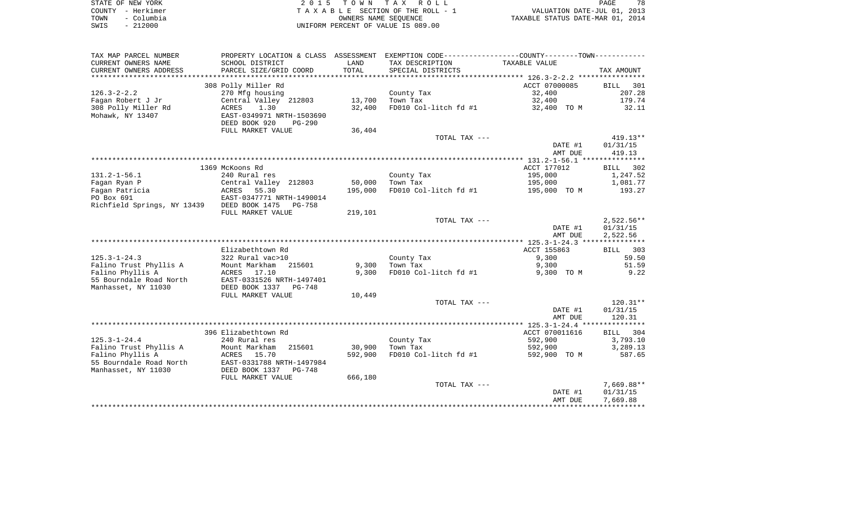| STATE OF NEW YORK  | 2015 TOWN TAX ROLL                 | 78<br><b>PAGE</b>                |
|--------------------|------------------------------------|----------------------------------|
| COUNTY - Herkimer  | TAXABLE SECTION OF THE ROLL - 1    | VALUATION DATE-JUL 01, 2013      |
| - Columbia<br>TOWN | OWNERS NAME SEOUENCE               | TAXABLE STATUS DATE-MAR 01, 2014 |
| $-212000$<br>SWIS  | UNIFORM PERCENT OF VALUE IS 089.00 |                                  |

| TAX MAP PARCEL NUMBER       | PROPERTY LOCATION & CLASS ASSESSMENT |         | EXEMPTION CODE----------------COUNTY-------TOWN----------- |                |              |
|-----------------------------|--------------------------------------|---------|------------------------------------------------------------|----------------|--------------|
| CURRENT OWNERS NAME         | SCHOOL DISTRICT                      | LAND    | TAX DESCRIPTION                                            | TAXABLE VALUE  |              |
| CURRENT OWNERS ADDRESS      | PARCEL SIZE/GRID COORD               | TOTAL   | SPECIAL DISTRICTS                                          |                | TAX AMOUNT   |
| *********************       |                                      |         |                                                            |                |              |
|                             | 308 Polly Miller Rd                  |         |                                                            | ACCT 07000085  | BILL<br>301  |
| $126.3 - 2 - 2.2$           | 270 Mfg housing                      |         | County Tax                                                 | 32,400         | 207.28       |
| Fagan Robert J Jr           | Central Valley 212803                | 13,700  | Town Tax                                                   | 32,400         | 179.74       |
| 308 Polly Miller Rd         | 1.30<br>ACRES                        | 32,400  | FD010 Col-litch fd #1                                      | 32,400 TO M    | 32.11        |
| Mohawk, NY 13407            | EAST-0349971 NRTH-1503690            |         |                                                            |                |              |
|                             | DEED BOOK 920<br><b>PG-290</b>       |         |                                                            |                |              |
|                             | FULL MARKET VALUE                    | 36,404  |                                                            |                |              |
|                             |                                      |         | TOTAL TAX ---                                              |                | $419.13**$   |
|                             |                                      |         |                                                            | DATE #1        | 01/31/15     |
|                             |                                      |         |                                                            | AMT DUE        | 419.13       |
|                             |                                      |         |                                                            |                |              |
|                             | 1369 McKoons Rd                      |         |                                                            | ACCT 177012    | BILL 302     |
| $131.2 - 1 - 56.1$          | 240 Rural res                        |         | County Tax                                                 | 195,000        | 1,247.52     |
| Fagan Ryan P                | Central Valley 212803                | 50,000  | Town Tax                                                   | 195,000        | 1,081.77     |
| Fagan Patricia              | ACRES 55.30                          | 195,000 | FD010 Col-litch fd #1                                      | 195,000 TO M   | 193.27       |
| PO Box 691                  | EAST-0347771 NRTH-1490014            |         |                                                            |                |              |
| Richfield Springs, NY 13439 | DEED BOOK 1475<br>PG-758             |         |                                                            |                |              |
|                             | FULL MARKET VALUE                    | 219,101 |                                                            |                |              |
|                             |                                      |         | TOTAL TAX ---                                              |                | $2,522.56**$ |
|                             |                                      |         |                                                            | DATE #1        | 01/31/15     |
|                             |                                      |         |                                                            | AMT DUE        | 2,522.56     |
|                             |                                      |         |                                                            |                |              |
|                             | Elizabethtown Rd                     |         |                                                            | ACCT 155863    | BILL 303     |
| $125.3 - 1 - 24.3$          | 322 Rural vac>10                     |         | County Tax                                                 | 9,300          | 59.50        |
| Falino Trust Phyllis A      | Mount Markham<br>215601              | 9,300   | Town Tax                                                   | 9,300          | 51.59        |
| Falino Phyllis A            | ACRES 17.10                          | 9,300   | FD010 Col-litch fd #1                                      | 9,300 TO M     | 9.22         |
| 55 Bourndale Road North     | EAST-0331526 NRTH-1497401            |         |                                                            |                |              |
| Manhasset, NY 11030         | DEED BOOK 1337<br>PG-748             |         |                                                            |                |              |
|                             | FULL MARKET VALUE                    | 10,449  |                                                            |                |              |
|                             |                                      |         | TOTAL TAX ---                                              |                | $120.31**$   |
|                             |                                      |         |                                                            | DATE #1        | 01/31/15     |
|                             |                                      |         |                                                            | AMT DUE        | 120.31       |
|                             |                                      |         |                                                            |                |              |
|                             | 396 Elizabethtown Rd                 |         |                                                            | ACCT 070011616 | BILL 304     |
| $125.3 - 1 - 24.4$          | 240 Rural res                        |         | County Tax                                                 | 592,900        | 3,793.10     |
| Falino Trust Phyllis A      | Mount Markham<br>215601              | 30,900  | Town Tax                                                   | 592,900        | 3,289.13     |
| Falino Phyllis A            | ACRES<br>15.70                       | 592,900 | FD010 Col-litch fd #1                                      | 592,900 TO M   | 587.65       |
| 55 Bourndale Road North     | EAST-0331788 NRTH-1497984            |         |                                                            |                |              |
| Manhasset, NY 11030         | DEED BOOK 1337<br>PG-748             |         |                                                            |                |              |
|                             | FULL MARKET VALUE                    | 666,180 |                                                            |                |              |
|                             |                                      |         | TOTAL TAX ---                                              |                | $7,669.88**$ |
|                             |                                      |         |                                                            | DATE #1        | 01/31/15     |
|                             |                                      |         |                                                            | AMT DUE        | 7,669.88     |
|                             |                                      |         |                                                            |                |              |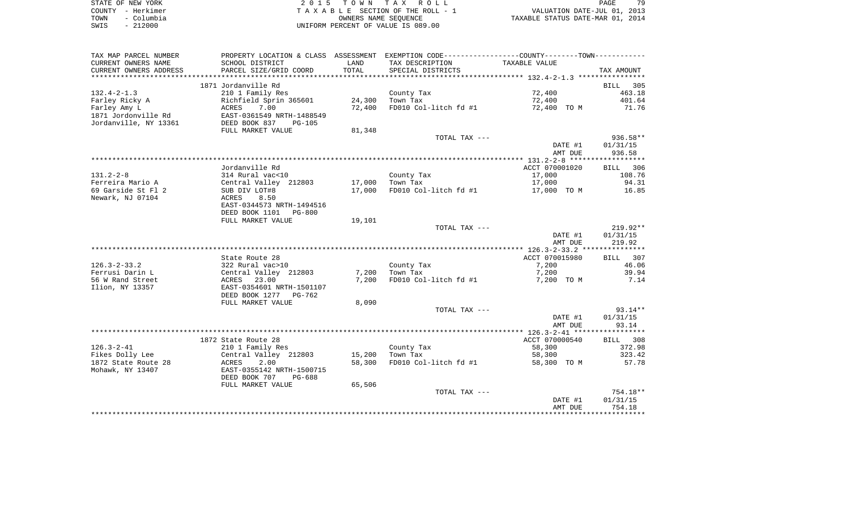|      | STATE OF NEW YORK | 2015 TOWN TAX ROLL                 | 79<br>PAGE                       |
|------|-------------------|------------------------------------|----------------------------------|
|      | COUNTY – Herkimer | TAXABLE SECTION OF THE ROLL - 1    | VALUATION DATE-JUL 01, 2013      |
| TOWN | – Columbia        | OWNERS NAME SEOUENCE               | TAXABLE STATUS DATE-MAR 01, 2014 |
| SWIS | $-212000$         | UNIFORM PERCENT OF VALUE IS 089.00 |                                  |

| TAX MAP PARCEL NUMBER  |                                 |             | PROPERTY LOCATION & CLASS ASSESSMENT EXEMPTION CODE----------------COUNTY--------TOWN---------- |                |                    |
|------------------------|---------------------------------|-------------|-------------------------------------------------------------------------------------------------|----------------|--------------------|
| CURRENT OWNERS NAME    | SCHOOL DISTRICT                 | LAND        | TAX DESCRIPTION                                                                                 | TAXABLE VALUE  |                    |
| CURRENT OWNERS ADDRESS | PARCEL SIZE/GRID COORD          | TOTAL       | SPECIAL DISTRICTS                                                                               |                | TAX AMOUNT         |
|                        |                                 | *********** |                                                                                                 |                |                    |
|                        | 1871 Jordanville Rd             |             |                                                                                                 |                | <b>BILL</b><br>305 |
| $132.4 - 2 - 1.3$      | 210 1 Family Res                |             | County Tax                                                                                      | 72,400         | 463.18             |
| Farley Ricky A         | Richfield Sprin 365601          | 24,300      | Town Tax                                                                                        | 72,400         | 401.64             |
| Farley Amy L           | 7.00<br>ACRES                   | 72,400      | FD010 Col-litch fd #1                                                                           | 72,400 TO M    | 71.76              |
| 1871 Jordonville Rd    | EAST-0361549 NRTH-1488549       |             |                                                                                                 |                |                    |
| Jordanville, NY 13361  | DEED BOOK 837<br>$PG-105$       |             |                                                                                                 |                |                    |
|                        | FULL MARKET VALUE               | 81,348      |                                                                                                 |                |                    |
|                        |                                 |             | TOTAL TAX ---                                                                                   |                | $936.58**$         |
|                        |                                 |             |                                                                                                 | DATE #1        | 01/31/15           |
|                        |                                 |             |                                                                                                 | AMT DUE        | 936.58             |
|                        |                                 |             |                                                                                                 |                |                    |
|                        | Jordanville Rd                  |             |                                                                                                 | ACCT 070001020 | BILL 306           |
| $131.2 - 2 - 8$        | 314 Rural vac<10                |             | County Tax                                                                                      | 17,000         | 108.76             |
| Ferreira Mario A       | Central Valley 212803           | 17,000      | Town Tax                                                                                        | 17,000         | 94.31              |
| 69 Garside St Fl 2     | SUB DIV LOT#8                   | 17,000      | FD010 Col-litch fd #1                                                                           | 17,000 TO M    | 16.85              |
| Newark, NJ 07104       | 8.50<br>ACRES                   |             |                                                                                                 |                |                    |
|                        | EAST-0344573 NRTH-1494516       |             |                                                                                                 |                |                    |
|                        | DEED BOOK 1101<br><b>PG-800</b> |             |                                                                                                 |                |                    |
|                        | FULL MARKET VALUE               | 19,101      |                                                                                                 |                |                    |
|                        |                                 |             | TOTAL TAX ---                                                                                   |                | $219.92**$         |
|                        |                                 |             |                                                                                                 | DATE #1        | 01/31/15           |
|                        |                                 |             |                                                                                                 | AMT DUE        | 219.92             |
|                        |                                 |             |                                                                                                 |                |                    |
|                        | State Route 28                  |             |                                                                                                 | ACCT 070015980 | BILL 307           |
| $126.3 - 2 - 33.2$     | 322 Rural vac>10                |             | County Tax                                                                                      | 7,200          | 46.06              |
| Ferrusi Darin L        | Central Valley 212803           | 7,200       | Town Tax                                                                                        | 7,200          | 39.94              |
| 56 W Rand Street       | <b>ACRES</b><br>23.00           | 7,200       | FD010 Col-litch fd #1                                                                           | 7,200 TO M     | 7.14               |
| Ilion, NY 13357        | EAST-0354601 NRTH-1501107       |             |                                                                                                 |                |                    |
|                        | DEED BOOK 1277<br>PG-762        |             |                                                                                                 |                |                    |
|                        | FULL MARKET VALUE               | 8,090       |                                                                                                 |                |                    |
|                        |                                 |             | TOTAL TAX ---                                                                                   |                | $93.14**$          |
|                        |                                 |             |                                                                                                 | DATE #1        | 01/31/15           |
|                        |                                 |             |                                                                                                 | AMT DUE        | 93.14              |
|                        |                                 |             |                                                                                                 |                |                    |
|                        | 1872 State Route 28             |             |                                                                                                 | ACCT 070000540 | 308<br>BILL        |
| $126.3 - 2 - 41$       | 210 1 Family Res                |             | County Tax                                                                                      | 58,300         | 372.98             |
| Fikes Dolly Lee        | Central Valley 212803           | 15,200      | Town Tax                                                                                        | 58,300         | 323.42             |
| 1872 State Route 28    | 2.00<br>ACRES                   | 58,300      | FD010 Col-litch fd #1                                                                           | 58,300 TO M    | 57.78              |
| Mohawk, NY 13407       | EAST-0355142 NRTH-1500715       |             |                                                                                                 |                |                    |
|                        | DEED BOOK 707<br>PG-688         |             |                                                                                                 |                |                    |
|                        | FULL MARKET VALUE               | 65,506      |                                                                                                 |                |                    |
|                        |                                 |             | TOTAL TAX ---                                                                                   |                | 754.18**           |
|                        |                                 |             |                                                                                                 | DATE #1        | 01/31/15           |
|                        |                                 |             |                                                                                                 | AMT DUE        | 754.18             |
|                        |                                 |             |                                                                                                 |                | ***********        |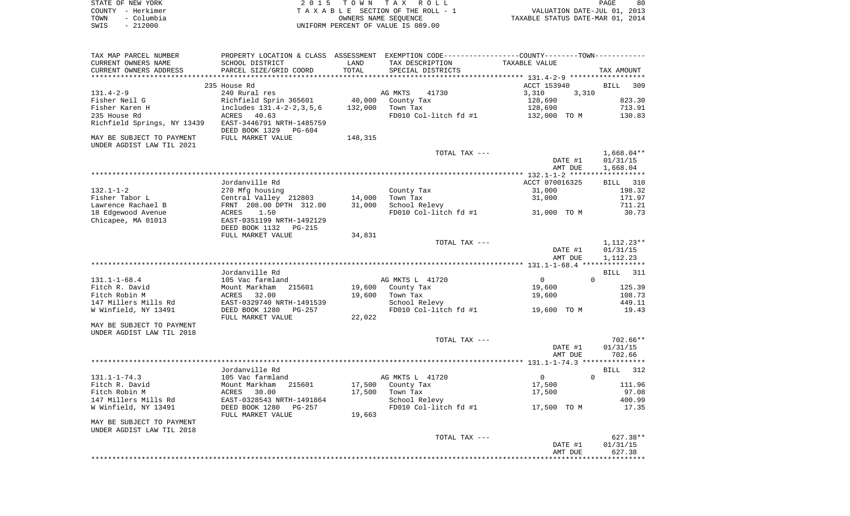|      | STATE OF NEW YORK | 2015 TOWN TAX ROLL                 | 80<br>PAGE                       |
|------|-------------------|------------------------------------|----------------------------------|
|      | COUNTY - Herkimer | TAXABLE SECTION OF THE ROLL - 1    | VALUATION DATE-JUL 01, 2013      |
| TOWN | – Columbia        | OWNERS NAME SEOUENCE               | TAXABLE STATUS DATE-MAR 01, 2014 |
| SWIS | $-212000$         | UNIFORM PERCENT OF VALUE IS 089.00 |                                  |

| TAX MAP PARCEL NUMBER       |                             |         | PROPERTY LOCATION & CLASS ASSESSMENT EXEMPTION CODE----------------COUNTY--------TOWN---------- |                                           |                    |
|-----------------------------|-----------------------------|---------|-------------------------------------------------------------------------------------------------|-------------------------------------------|--------------------|
| CURRENT OWNERS NAME         | SCHOOL DISTRICT             | LAND    | TAX DESCRIPTION                                                                                 | TAXABLE VALUE                             |                    |
| CURRENT OWNERS ADDRESS      | PARCEL SIZE/GRID COORD      | TOTAL   | SPECIAL DISTRICTS                                                                               |                                           | TAX AMOUNT         |
|                             |                             |         |                                                                                                 | ****************** 131.4-2-9 ************ |                    |
|                             | 235 House Rd                |         |                                                                                                 | ACCT 153940                               | BILL<br>309        |
| $131.4 - 2 - 9$             | 240 Rural res               |         | AG MKTS<br>41730                                                                                | 3,310<br>3,310                            |                    |
| Fisher Neil G               | Richfield Sprin 365601      | 40,000  | County Tax                                                                                      | 128,690                                   | 823.30             |
| Fisher Karen H              | includes 131.4-2-2, 3, 5, 6 | 132,000 | Town Tax                                                                                        | 128,690                                   | 713.91             |
| 235 House Rd                | ACRES 40.63                 |         | FD010 Col-litch fd #1                                                                           | 132,000 TO M                              | 130.83             |
| Richfield Springs, NY 13439 | EAST-3446791 NRTH-1485759   |         |                                                                                                 |                                           |                    |
|                             | DEED BOOK 1329<br>PG-604    |         |                                                                                                 |                                           |                    |
| MAY BE SUBJECT TO PAYMENT   | FULL MARKET VALUE           | 148,315 |                                                                                                 |                                           |                    |
| UNDER AGDIST LAW TIL 2021   |                             |         |                                                                                                 |                                           |                    |
|                             |                             |         | TOTAL TAX ---                                                                                   |                                           | $1,668.04**$       |
|                             |                             |         |                                                                                                 | DATE #1                                   | 01/31/15           |
|                             |                             |         |                                                                                                 | AMT DUE                                   | 1,668.04           |
|                             | Jordanville Rd              |         |                                                                                                 | ACCT 070016325                            | BILL 310           |
| $132.1 - 1 - 2$             | 270 Mfg housing             |         | County Tax                                                                                      | 31,000                                    | 198.32             |
| Fisher Tabor L              | Central Valley 212803       | 14,000  | Town Tax                                                                                        | 31,000                                    | 171.97             |
| Lawrence Rachael B          | FRNT 208.00 DPTH 312.00     | 31,000  | School Relevy                                                                                   |                                           | 711.21             |
| 18 Edgewood Avenue          | 1.50<br>ACRES               |         | FD010 Col-litch $fd$ #1 31,000 TO M                                                             |                                           | 30.73              |
| Chicapee, MA 01013          | EAST-0351199 NRTH-1492129   |         |                                                                                                 |                                           |                    |
|                             | DEED BOOK 1132<br>$PG-215$  |         |                                                                                                 |                                           |                    |
|                             | FULL MARKET VALUE           | 34,831  |                                                                                                 |                                           |                    |
|                             |                             |         | TOTAL TAX ---                                                                                   |                                           | 1,112.23**         |
|                             |                             |         |                                                                                                 | DATE #1                                   | 01/31/15           |
|                             |                             |         |                                                                                                 | AMT DUE                                   | 1,112.23           |
|                             |                             |         |                                                                                                 |                                           |                    |
|                             | Jordanville Rd              |         |                                                                                                 |                                           | <b>BILL</b><br>311 |
| $131.1 - 1 - 68.4$          | 105 Vac farmland            |         | AG MKTS L 41720                                                                                 | $\overline{0}$<br>$\Omega$                |                    |
| Fitch R. David              | Mount Markham<br>215601     | 19,600  | County Tax                                                                                      | 19,600                                    | 125.39             |
| Fitch Robin M               | ACRES<br>32.00              | 19,600  | Town Tax                                                                                        | 19,600                                    | 108.73             |
| 147 Millers Mills Rd        | EAST-0329740 NRTH-1491539   |         | School Relevy                                                                                   |                                           | 449.11             |
| W Winfield, NY 13491        | DEED BOOK 1280<br>PG-257    |         | FD010 Col-litch fd #1                                                                           | 19,600 TO M                               | 19.43              |
|                             | FULL MARKET VALUE           | 22,022  |                                                                                                 |                                           |                    |
| MAY BE SUBJECT TO PAYMENT   |                             |         |                                                                                                 |                                           |                    |
| UNDER AGDIST LAW TIL 2018   |                             |         |                                                                                                 |                                           |                    |
|                             |                             |         | TOTAL TAX ---                                                                                   |                                           | 702.66**           |
|                             |                             |         |                                                                                                 | DATE #1                                   | 01/31/15           |
|                             |                             |         |                                                                                                 | AMT DUE                                   | 702.66             |
|                             |                             |         |                                                                                                 |                                           |                    |
|                             | Jordanville Rd              |         |                                                                                                 |                                           | 312<br>BILL        |
| $131.1 - 1 - 74.3$          | 105 Vac farmland            |         | AG MKTS L 41720                                                                                 | $\overline{0}$<br>$\Omega$                |                    |
| Fitch R. David              | 215601<br>Mount Markham     |         | 17,500 County Tax                                                                               | 17,500                                    | 111.96             |
| Fitch Robin M               | ACRES<br>30.00              | 17,500  | Town Tax                                                                                        | 17,500                                    | 97.08              |
| 147 Millers Mills Rd        | EAST-0328543 NRTH-1491864   |         | School Relevy                                                                                   |                                           | 400.99             |
| W Winfield, NY 13491        | DEED BOOK 1280<br>PG-257    |         | FD010 Col-litch fd #1                                                                           | 17,500 TO M                               | 17.35              |
| MAY BE SUBJECT TO PAYMENT   | FULL MARKET VALUE           | 19,663  |                                                                                                 |                                           |                    |
| UNDER AGDIST LAW TIL 2018   |                             |         |                                                                                                 |                                           |                    |
|                             |                             |         | TOTAL TAX ---                                                                                   |                                           | 627.38**           |
|                             |                             |         |                                                                                                 | DATE #1                                   | 01/31/15           |
|                             |                             |         |                                                                                                 | AMT DUE                                   | 627.38             |
|                             |                             |         |                                                                                                 |                                           |                    |
|                             |                             |         |                                                                                                 |                                           |                    |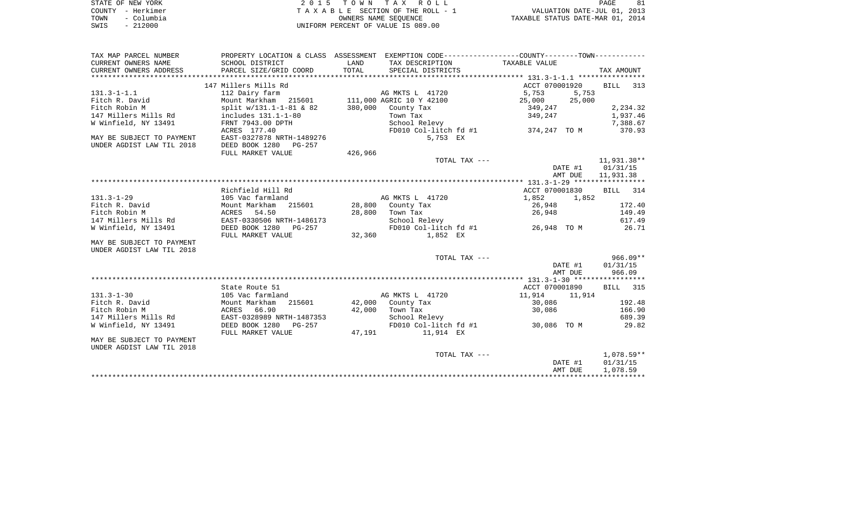| STATE OF NEW YORK |            | 2015 TOWN TAX ROLL                 | 81<br>PAGE                       |
|-------------------|------------|------------------------------------|----------------------------------|
| COUNTY - Herkimer |            | TAXABLE SECTION OF THE ROLL - 1    | VALUATION DATE-JUL 01, 2013      |
| TOWN              | - Columbia | OWNERS NAME SEOUENCE               | TAXABLE STATUS DATE-MAR 01, 2014 |
| SWIS              | $-212000$  | UNIFORM PERCENT OF VALUE IS 089.00 |                                  |

| TAX MAP PARCEL NUMBER     | PROPERTY LOCATION & CLASS ASSESSMENT EXEMPTION CODE---------------COUNTY--------TOWN---------- |               |                                         |                    |                 |
|---------------------------|------------------------------------------------------------------------------------------------|---------------|-----------------------------------------|--------------------|-----------------|
| CURRENT OWNERS NAME       | SCHOOL DISTRICT                                                                                | LAND          | TAX DESCRIPTION                         | TAXABLE VALUE      |                 |
| CURRENT OWNERS ADDRESS    | PARCEL SIZE/GRID COORD                                                                         | TOTAL         | SPECIAL DISTRICTS                       |                    | TAX AMOUNT      |
|                           |                                                                                                |               |                                         |                    |                 |
|                           | 147 Millers Mills Rd                                                                           |               |                                         | ACCT 070001920     | BILL 313        |
| $131.3 - 1 - 1.1$         | 112 Dairy farm                                                                                 |               | AG MKTS L 41720                         | 5,753<br>5,753     |                 |
| Fitch R. David            | Mount Markham 215601 111,000 AGRIC 10 Y 42100                                                  |               |                                         | 25,000<br>25,000   |                 |
| Fitch Robin M             | split $w/131.1-1-81$ & 82                                                                      | 380,000       | County Tax                              |                    | 2,234.32        |
| 147 Millers Mills Rd      | includes 131.1-1-80                                                                            |               | Town Tax                                | 349,247<br>349,247 | 1,937.46        |
| W Winfield, NY 13491      | FRNT 7943.00 DPTH                                                                              |               | School Relevy                           |                    | 7,388.67        |
|                           | ACRES 177.40                                                                                   |               | FD010 Col-litch fd #1 374,247 TO M      |                    | 370.93          |
| MAY BE SUBJECT TO PAYMENT | EAST-0327878 NRTH-1489276                                                                      |               | 5,753 EX                                |                    |                 |
| UNDER AGDIST LAW TIL 2018 | DEED BOOK 1280 PG-257                                                                          |               |                                         |                    |                 |
|                           | FULL MARKET VALUE                                                                              | 426,966       |                                         |                    |                 |
|                           |                                                                                                |               | TOTAL TAX ---                           |                    | 11,931.38**     |
|                           |                                                                                                |               |                                         | DATE #1            | 01/31/15        |
|                           |                                                                                                |               |                                         | AMT DUE            | 11,931.38       |
|                           |                                                                                                |               |                                         |                    |                 |
|                           | Richfield Hill Rd                                                                              |               |                                         | ACCT 070001830     | BILL 314        |
| $131.3 - 1 - 29$          | 105 Vac farmland                                                                               |               | AG MKTS L 41720                         | 1,852<br>1,852     |                 |
| Fitch R. David            | Mount Markham<br>215601                                                                        | 28,800        | County Tax                              | 26,948             | 172.40          |
| Fitch Robin M             | ACRES 54.50                                                                                    | 28,800        | Town Tax                                | 26,948             | 149.49          |
| 147 Millers Mills Rd      | EAST-0330506 NRTH-1486173                                                                      |               | School Relevy                           |                    | 617.49          |
| W Winfield, NY 13491      | DEED BOOK 1280 PG-257                                                                          |               | FD010 Col-litch fd #1 26,948 TO M 26.71 |                    |                 |
|                           | FULL MARKET VALUE                                                                              | 32,360        | 1,852 EX                                |                    |                 |
| MAY BE SUBJECT TO PAYMENT |                                                                                                |               |                                         |                    |                 |
| UNDER AGDIST LAW TIL 2018 |                                                                                                |               |                                         |                    |                 |
|                           |                                                                                                |               | TOTAL TAX ---                           |                    | $966.09**$      |
|                           |                                                                                                |               |                                         | DATE #1            | 01/31/15        |
|                           |                                                                                                |               |                                         | AMT DUE            | 966.09          |
|                           |                                                                                                |               |                                         |                    |                 |
|                           | State Route 51                                                                                 |               |                                         | ACCT 070001890     | <b>BILL</b> 315 |
| $131.3 - 1 - 30$          | 105 Vac farmland                                                                               |               | AG MKTS L 41720                         | 11,914<br>11,914   |                 |
| Fitch R. David            | Mount Markham                                                                                  | 215601 42,000 | County Tax                              | 30,086             | 192.48          |
| Fitch Robin M             | ACRES 66.90                                                                                    | 42,000        | Town Tax                                | 30,086             | 166.90          |
| 147 Millers Mills Rd      | EAST-0328989 NRTH-1487353                                                                      |               | School Relevy                           |                    | 689.39          |
| W Winfield, NY 13491      | DEED BOOK 1280 PG-257                                                                          |               | FD010 Col-litch fd #1 30,086 TO M       |                    | 29.82           |
|                           | FULL MARKET VALUE                                                                              |               | 47,191 11,914 EX                        |                    |                 |
| MAY BE SUBJECT TO PAYMENT |                                                                                                |               |                                         |                    |                 |
| UNDER AGDIST LAW TIL 2018 |                                                                                                |               |                                         |                    |                 |
|                           |                                                                                                |               | TOTAL TAX ---                           |                    | $1.078.59**$    |
|                           |                                                                                                |               |                                         | DATE #1            | 01/31/15        |
|                           |                                                                                                |               |                                         | AMT DUE            | 1,078.59        |
|                           |                                                                                                |               |                                         |                    |                 |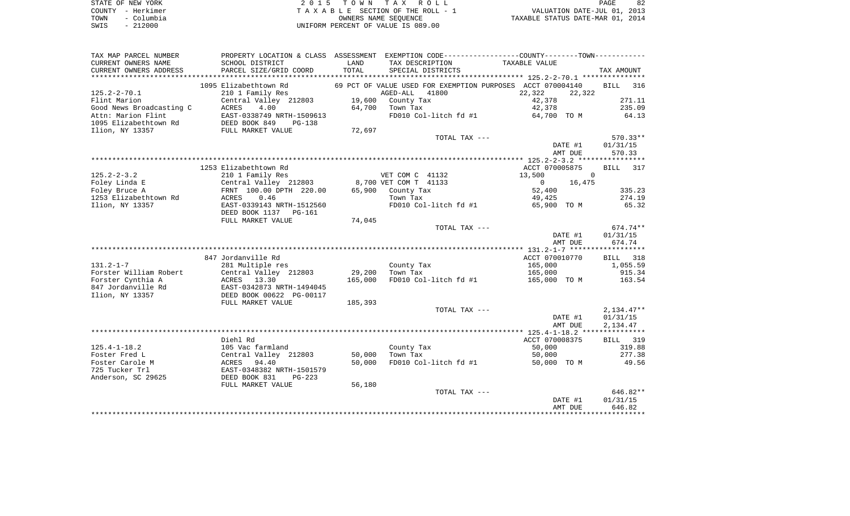|      | STATE OF NEW YORK | 2015 TOWN TAX ROLL                 | 82<br>PAGE                       |
|------|-------------------|------------------------------------|----------------------------------|
|      | COUNTY - Herkimer | TAXABLE SECTION OF THE ROLL - 1    | VALUATION DATE-JUL 01, 2013      |
| TOWN | - Columbia        | OWNERS NAME SEOUENCE               | TAXABLE STATUS DATE-MAR 01, 2014 |
| SWIS | $-212000$         | UNIFORM PERCENT OF VALUE IS 089.00 |                                  |

| TAXABLE VALUE<br>CURRENT OWNERS NAME<br>SCHOOL DISTRICT<br>LAND<br>TAX DESCRIPTION<br>PARCEL SIZE/GRID COORD<br>TOTAL<br>CURRENT OWNERS ADDRESS<br>SPECIAL DISTRICTS<br>TAX AMOUNT<br>*************************<br>1095 Elizabethtown Rd<br>69 PCT OF VALUE USED FOR EXEMPTION PURPOSES<br>ACCT 070004140<br><b>BILL</b><br>$125.2 - 2 - 70.1$<br>210 1 Family Res<br>AGED-ALL<br>41800<br>22,322<br>22,322<br>Flint Marion<br>Central Valley 212803<br>19,600<br>County Tax<br>42,378<br>Good News Broadcasting C<br>4.00<br>42,378<br>ACRES<br>64,700<br>Town Tax<br>Attn: Marion Flint<br>EAST-0338749 NRTH-1509613<br>FD010 Col-litch fd #1<br>64,700 TO M<br>1095 Elizabethtown Rd<br>DEED BOOK 849<br>$PG-138$<br>Ilion, NY 13357<br>FULL MARKET VALUE<br>72,697<br>TOTAL TAX ---<br>DATE #1<br>01/31/15<br>AMT DUE<br>570.33<br>1253 Elizabethtown Rd<br>ACCT 070005875<br><b>BILL</b><br>$125.2 - 2 - 3.2$<br>VET COM C 41132<br>13,500<br>$\Omega$<br>210 1 Family Res<br>Foley Linda E<br>8,700 VET COM T 41133<br>Central Valley 212803<br>$\Omega$<br>16,475<br>Foley Bruce A<br>FRNT 100.00 DPTH 220.00<br>County Tax<br>65,900<br>52,400 | 316<br>271.11<br>235.09<br>64.13<br>$570.33**$ |
|--------------------------------------------------------------------------------------------------------------------------------------------------------------------------------------------------------------------------------------------------------------------------------------------------------------------------------------------------------------------------------------------------------------------------------------------------------------------------------------------------------------------------------------------------------------------------------------------------------------------------------------------------------------------------------------------------------------------------------------------------------------------------------------------------------------------------------------------------------------------------------------------------------------------------------------------------------------------------------------------------------------------------------------------------------------------------------------------------------------------------------------------------------|------------------------------------------------|
|                                                                                                                                                                                                                                                                                                                                                                                                                                                                                                                                                                                                                                                                                                                                                                                                                                                                                                                                                                                                                                                                                                                                                        |                                                |
|                                                                                                                                                                                                                                                                                                                                                                                                                                                                                                                                                                                                                                                                                                                                                                                                                                                                                                                                                                                                                                                                                                                                                        |                                                |
|                                                                                                                                                                                                                                                                                                                                                                                                                                                                                                                                                                                                                                                                                                                                                                                                                                                                                                                                                                                                                                                                                                                                                        |                                                |
|                                                                                                                                                                                                                                                                                                                                                                                                                                                                                                                                                                                                                                                                                                                                                                                                                                                                                                                                                                                                                                                                                                                                                        |                                                |
|                                                                                                                                                                                                                                                                                                                                                                                                                                                                                                                                                                                                                                                                                                                                                                                                                                                                                                                                                                                                                                                                                                                                                        |                                                |
|                                                                                                                                                                                                                                                                                                                                                                                                                                                                                                                                                                                                                                                                                                                                                                                                                                                                                                                                                                                                                                                                                                                                                        |                                                |
|                                                                                                                                                                                                                                                                                                                                                                                                                                                                                                                                                                                                                                                                                                                                                                                                                                                                                                                                                                                                                                                                                                                                                        |                                                |
|                                                                                                                                                                                                                                                                                                                                                                                                                                                                                                                                                                                                                                                                                                                                                                                                                                                                                                                                                                                                                                                                                                                                                        |                                                |
|                                                                                                                                                                                                                                                                                                                                                                                                                                                                                                                                                                                                                                                                                                                                                                                                                                                                                                                                                                                                                                                                                                                                                        |                                                |
|                                                                                                                                                                                                                                                                                                                                                                                                                                                                                                                                                                                                                                                                                                                                                                                                                                                                                                                                                                                                                                                                                                                                                        |                                                |
|                                                                                                                                                                                                                                                                                                                                                                                                                                                                                                                                                                                                                                                                                                                                                                                                                                                                                                                                                                                                                                                                                                                                                        |                                                |
|                                                                                                                                                                                                                                                                                                                                                                                                                                                                                                                                                                                                                                                                                                                                                                                                                                                                                                                                                                                                                                                                                                                                                        |                                                |
|                                                                                                                                                                                                                                                                                                                                                                                                                                                                                                                                                                                                                                                                                                                                                                                                                                                                                                                                                                                                                                                                                                                                                        |                                                |
|                                                                                                                                                                                                                                                                                                                                                                                                                                                                                                                                                                                                                                                                                                                                                                                                                                                                                                                                                                                                                                                                                                                                                        |                                                |
|                                                                                                                                                                                                                                                                                                                                                                                                                                                                                                                                                                                                                                                                                                                                                                                                                                                                                                                                                                                                                                                                                                                                                        | 317                                            |
|                                                                                                                                                                                                                                                                                                                                                                                                                                                                                                                                                                                                                                                                                                                                                                                                                                                                                                                                                                                                                                                                                                                                                        |                                                |
|                                                                                                                                                                                                                                                                                                                                                                                                                                                                                                                                                                                                                                                                                                                                                                                                                                                                                                                                                                                                                                                                                                                                                        |                                                |
|                                                                                                                                                                                                                                                                                                                                                                                                                                                                                                                                                                                                                                                                                                                                                                                                                                                                                                                                                                                                                                                                                                                                                        |                                                |
|                                                                                                                                                                                                                                                                                                                                                                                                                                                                                                                                                                                                                                                                                                                                                                                                                                                                                                                                                                                                                                                                                                                                                        | 335.23                                         |
| 1253 Elizabethtown Rd<br>0.46<br>ACRES<br>Town Tax<br>49,425                                                                                                                                                                                                                                                                                                                                                                                                                                                                                                                                                                                                                                                                                                                                                                                                                                                                                                                                                                                                                                                                                           | 274.19                                         |
| Ilion, NY 13357<br>EAST-0339143 NRTH-1512560<br>FD010 Col-litch fd #1<br>65,900 TO M                                                                                                                                                                                                                                                                                                                                                                                                                                                                                                                                                                                                                                                                                                                                                                                                                                                                                                                                                                                                                                                                   | 65.32                                          |
| DEED BOOK 1137 PG-161                                                                                                                                                                                                                                                                                                                                                                                                                                                                                                                                                                                                                                                                                                                                                                                                                                                                                                                                                                                                                                                                                                                                  |                                                |
| 74,045<br>FULL MARKET VALUE                                                                                                                                                                                                                                                                                                                                                                                                                                                                                                                                                                                                                                                                                                                                                                                                                                                                                                                                                                                                                                                                                                                            |                                                |
| TOTAL TAX ---                                                                                                                                                                                                                                                                                                                                                                                                                                                                                                                                                                                                                                                                                                                                                                                                                                                                                                                                                                                                                                                                                                                                          | 674.74**                                       |
| DATE #1<br>01/31/15                                                                                                                                                                                                                                                                                                                                                                                                                                                                                                                                                                                                                                                                                                                                                                                                                                                                                                                                                                                                                                                                                                                                    |                                                |
| AMT DUE<br>674.74                                                                                                                                                                                                                                                                                                                                                                                                                                                                                                                                                                                                                                                                                                                                                                                                                                                                                                                                                                                                                                                                                                                                      |                                                |
|                                                                                                                                                                                                                                                                                                                                                                                                                                                                                                                                                                                                                                                                                                                                                                                                                                                                                                                                                                                                                                                                                                                                                        |                                                |
| 847 Jordanville Rd<br>ACCT 070010770<br>BILL                                                                                                                                                                                                                                                                                                                                                                                                                                                                                                                                                                                                                                                                                                                                                                                                                                                                                                                                                                                                                                                                                                           | 318                                            |
| $131.2 - 1 - 7$<br>281 Multiple res<br>County Tax<br>165,000                                                                                                                                                                                                                                                                                                                                                                                                                                                                                                                                                                                                                                                                                                                                                                                                                                                                                                                                                                                                                                                                                           | 1,055.59                                       |
| Forster William Robert<br>Central Valley 212803<br>165,000<br>29,200<br>Town Tax                                                                                                                                                                                                                                                                                                                                                                                                                                                                                                                                                                                                                                                                                                                                                                                                                                                                                                                                                                                                                                                                       | 915.34                                         |
| Forster Cynthia A<br>13.30<br>165,000<br>FD010 Col-litch fd #1<br>165,000 TO M<br>ACRES                                                                                                                                                                                                                                                                                                                                                                                                                                                                                                                                                                                                                                                                                                                                                                                                                                                                                                                                                                                                                                                                | 163.54                                         |
| 847 Jordanville Rd<br>EAST-0342873 NRTH-1494045                                                                                                                                                                                                                                                                                                                                                                                                                                                                                                                                                                                                                                                                                                                                                                                                                                                                                                                                                                                                                                                                                                        |                                                |
| Ilion, NY 13357<br>DEED BOOK 00622 PG-00117                                                                                                                                                                                                                                                                                                                                                                                                                                                                                                                                                                                                                                                                                                                                                                                                                                                                                                                                                                                                                                                                                                            |                                                |
| FULL MARKET VALUE<br>185,393                                                                                                                                                                                                                                                                                                                                                                                                                                                                                                                                                                                                                                                                                                                                                                                                                                                                                                                                                                                                                                                                                                                           |                                                |
| TOTAL TAX ---<br>$2,134.47**$                                                                                                                                                                                                                                                                                                                                                                                                                                                                                                                                                                                                                                                                                                                                                                                                                                                                                                                                                                                                                                                                                                                          |                                                |
| 01/31/15<br>DATE #1                                                                                                                                                                                                                                                                                                                                                                                                                                                                                                                                                                                                                                                                                                                                                                                                                                                                                                                                                                                                                                                                                                                                    |                                                |
| AMT DUE                                                                                                                                                                                                                                                                                                                                                                                                                                                                                                                                                                                                                                                                                                                                                                                                                                                                                                                                                                                                                                                                                                                                                |                                                |
|                                                                                                                                                                                                                                                                                                                                                                                                                                                                                                                                                                                                                                                                                                                                                                                                                                                                                                                                                                                                                                                                                                                                                        |                                                |
| Diehl Rd                                                                                                                                                                                                                                                                                                                                                                                                                                                                                                                                                                                                                                                                                                                                                                                                                                                                                                                                                                                                                                                                                                                                               | 2,134.47                                       |
| ACCT 070008375<br>BILL                                                                                                                                                                                                                                                                                                                                                                                                                                                                                                                                                                                                                                                                                                                                                                                                                                                                                                                                                                                                                                                                                                                                 |                                                |
| $125.4 - 1 - 18.2$<br>105 Vac farmland<br>50,000<br>County Tax                                                                                                                                                                                                                                                                                                                                                                                                                                                                                                                                                                                                                                                                                                                                                                                                                                                                                                                                                                                                                                                                                         | 319                                            |
|                                                                                                                                                                                                                                                                                                                                                                                                                                                                                                                                                                                                                                                                                                                                                                                                                                                                                                                                                                                                                                                                                                                                                        | 319.88                                         |
| Foster Fred L<br>Central Valley 212803<br>50,000<br>Town Tax<br>50,000                                                                                                                                                                                                                                                                                                                                                                                                                                                                                                                                                                                                                                                                                                                                                                                                                                                                                                                                                                                                                                                                                 | 277.38                                         |
| 50,000<br>Foster Carole M<br>ACRES 94.40<br>FD010 Col-litch fd #1<br>50,000 TO M                                                                                                                                                                                                                                                                                                                                                                                                                                                                                                                                                                                                                                                                                                                                                                                                                                                                                                                                                                                                                                                                       | 49.56                                          |
| 725 Tucker Trl<br>EAST-0348382 NRTH-1501579                                                                                                                                                                                                                                                                                                                                                                                                                                                                                                                                                                                                                                                                                                                                                                                                                                                                                                                                                                                                                                                                                                            |                                                |
| Anderson, SC 29625<br>DEED BOOK 831<br>$PG-223$                                                                                                                                                                                                                                                                                                                                                                                                                                                                                                                                                                                                                                                                                                                                                                                                                                                                                                                                                                                                                                                                                                        |                                                |
| 56,180<br>FULL MARKET VALUE                                                                                                                                                                                                                                                                                                                                                                                                                                                                                                                                                                                                                                                                                                                                                                                                                                                                                                                                                                                                                                                                                                                            |                                                |
| TOTAL TAX ---                                                                                                                                                                                                                                                                                                                                                                                                                                                                                                                                                                                                                                                                                                                                                                                                                                                                                                                                                                                                                                                                                                                                          | 646.82**                                       |
| DATE #1<br>01/31/15                                                                                                                                                                                                                                                                                                                                                                                                                                                                                                                                                                                                                                                                                                                                                                                                                                                                                                                                                                                                                                                                                                                                    |                                                |
| AMT DUE<br>646.82                                                                                                                                                                                                                                                                                                                                                                                                                                                                                                                                                                                                                                                                                                                                                                                                                                                                                                                                                                                                                                                                                                                                      |                                                |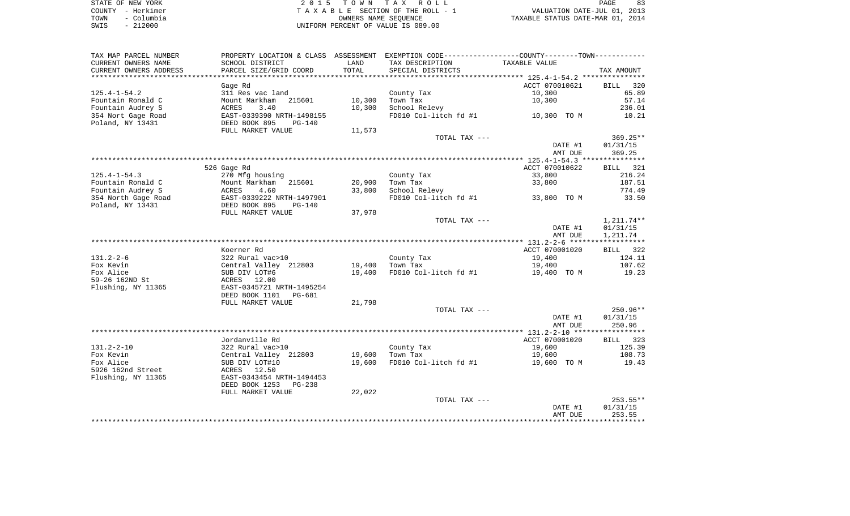| STATE OF NEW YORK  | 2015 TOWN TAX ROLL                 | PAGE                             |
|--------------------|------------------------------------|----------------------------------|
| COUNTY - Herkimer  | TAXABLE SECTION OF THE ROLL - 1    | VALUATION DATE-JUL 01, 2013      |
| - Columbia<br>TOWN | OWNERS NAME SEOUENCE               | TAXABLE STATUS DATE-MAR 01, 2014 |
| $-212000$<br>SWIS  | UNIFORM PERCENT OF VALUE IS 089.00 |                                  |

| TAX MAP PARCEL NUMBER  |                            |                     | PROPERTY LOCATION & CLASS ASSESSMENT EXEMPTION CODE---------------COUNTY-------TOWN---------- |                |                    |
|------------------------|----------------------------|---------------------|-----------------------------------------------------------------------------------------------|----------------|--------------------|
| CURRENT OWNERS NAME    | SCHOOL DISTRICT            | LAND                | TAX DESCRIPTION                                                                               | TAXABLE VALUE  |                    |
| CURRENT OWNERS ADDRESS | PARCEL SIZE/GRID COORD     | TOTAL               | SPECIAL DISTRICTS                                                                             |                | TAX AMOUNT         |
|                        |                            | * * * * * * * * * * | ************************************** 125.4-1-54.2 ***************                           |                |                    |
|                        | Gage Rd                    |                     |                                                                                               | ACCT 070010621 | <b>BILL</b><br>320 |
| $125.4 - 1 - 54.2$     | 311 Res vac land           |                     | County Tax                                                                                    | 10,300         | 65.89              |
| Fountain Ronald C      | Mount Markham<br>215601    | 10,300              | Town Tax                                                                                      | 10,300         | 57.14              |
| Fountain Audrey S      | ACRES<br>3.40              | 10,300              | School Relevy                                                                                 |                | 236.01             |
| 354 Nort Gage Road     | EAST-0339390 NRTH-1498155  |                     | FD010 Col-litch fd #1                                                                         | 10,300 TO M    | 10.21              |
| Poland, NY 13431       | DEED BOOK 895<br>$PG-140$  |                     |                                                                                               |                |                    |
|                        | FULL MARKET VALUE          | 11,573              |                                                                                               |                |                    |
|                        |                            |                     | TOTAL TAX ---                                                                                 |                | $369.25**$         |
|                        |                            |                     |                                                                                               | DATE #1        | 01/31/15           |
|                        |                            |                     |                                                                                               | AMT DUE        | 369.25             |
|                        |                            |                     |                                                                                               |                |                    |
|                        | 526 Gage Rd                |                     |                                                                                               | ACCT 070010622 | BILL 321           |
| $125.4 - 1 - 54.3$     | 270 Mfg housing            |                     | County Tax                                                                                    | 33,800         | 216.24             |
| Fountain Ronald C      | Mount Markham<br>215601    | 20,900              | Town Tax                                                                                      | 33,800         | 187.51             |
| Fountain Audrey S      | ACRES<br>4.60              | 33,800              | School Relevy                                                                                 |                | 774.49             |
| 354 North Gage Road    | EAST-0339222 NRTH-1497901  |                     | FD010 Col-litch fd #1                                                                         | 33,800 TO M    | 33.50              |
| Poland, NY 13431       | DEED BOOK 895<br>$PG-140$  |                     |                                                                                               |                |                    |
|                        | FULL MARKET VALUE          | 37,978              |                                                                                               |                |                    |
|                        |                            |                     | TOTAL TAX ---                                                                                 |                | 1,211.74**         |
|                        |                            |                     |                                                                                               | DATE #1        | 01/31/15           |
|                        |                            |                     |                                                                                               | AMT DUE        | 1,211.74           |
|                        |                            |                     |                                                                                               |                |                    |
|                        | Koerner Rd                 |                     |                                                                                               | ACCT 070001020 | BILL 322           |
| $131.2 - 2 - 6$        | 322 Rural vac>10           |                     | County Tax                                                                                    | 19,400         | 124.11             |
| Fox Kevin              | Central Valley 212803      | 19,400              | Town Tax                                                                                      | 19,400         | 107.62             |
| Fox Alice              | SUB DIV LOT#6              | 19,400              | FD010 Col-litch fd #1                                                                         | 19,400 TO M    | 19.23              |
| 59-26 162ND St         | ACRES<br>12.00             |                     |                                                                                               |                |                    |
| Flushing, NY 11365     | EAST-0345721 NRTH-1495254  |                     |                                                                                               |                |                    |
|                        | DEED BOOK 1101<br>PG-681   |                     |                                                                                               |                |                    |
|                        | FULL MARKET VALUE          | 21,798              |                                                                                               |                |                    |
|                        |                            |                     | TOTAL TAX ---                                                                                 |                | $250.96**$         |
|                        |                            |                     |                                                                                               | DATE #1        | 01/31/15           |
|                        |                            |                     |                                                                                               | AMT DUE        | 250.96             |
|                        |                            |                     |                                                                                               |                |                    |
|                        | Jordanville Rd             |                     |                                                                                               | ACCT 070001020 | BILL 323           |
| $131.2 - 2 - 10$       | 322 Rural vac>10           |                     | County Tax                                                                                    | 19,600         | 125.39             |
| Fox Kevin              | Central Valley 212803      | 19,600              | Town Tax                                                                                      | 19,600         | 108.73             |
| Fox Alice              | SUB DIV LOT#10             | 19,600              | FD010 Col-litch fd #1                                                                         | 19,600 TO M    | 19.43              |
| 5926 162nd Street      | 12.50<br>ACRES             |                     |                                                                                               |                |                    |
| Flushing, NY 11365     | EAST-0343454 NRTH-1494453  |                     |                                                                                               |                |                    |
|                        | DEED BOOK 1253<br>$PG-238$ |                     |                                                                                               |                |                    |
|                        | FULL MARKET VALUE          | 22,022              |                                                                                               |                |                    |
|                        |                            |                     | TOTAL TAX ---                                                                                 |                | $253.55**$         |
|                        |                            |                     |                                                                                               | DATE #1        | 01/31/15           |
|                        |                            |                     |                                                                                               | AMT DUE        | 253.55             |
|                        |                            |                     |                                                                                               |                |                    |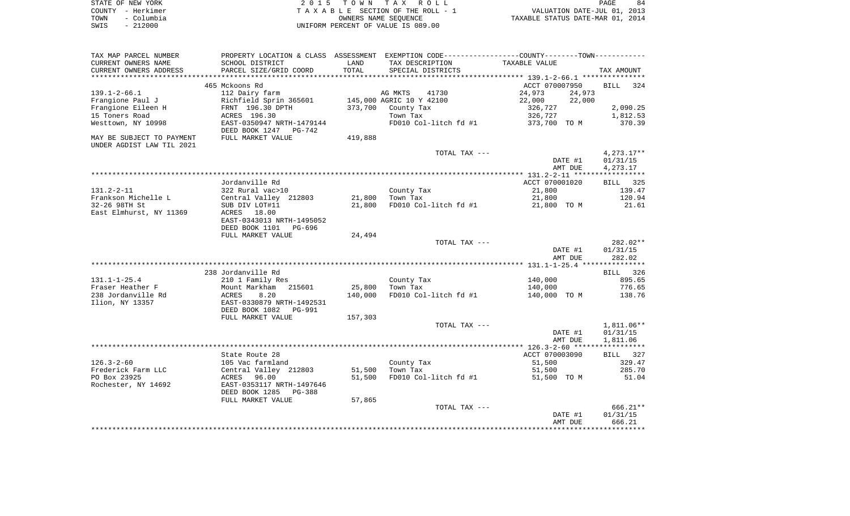|      | STATE OF NEW YORK | 2015 TOWN TAX ROLL                 | PAGE                             | 84 |
|------|-------------------|------------------------------------|----------------------------------|----|
|      | COUNTY - Herkimer | TAXABLE SECTION OF THE ROLL - 1    | VALUATION DATE-JUL 01, 2013      |    |
| TOWN | – Columbia        | OWNERS NAME SEOUENCE               | TAXABLE STATUS DATE-MAR 01, 2014 |    |
| SWIS | - 212000          | UNIFORM PERCENT OF VALUE IS 089.00 |                                  |    |

| TAX MAP PARCEL NUMBER                                  |                                                    |         |                          | PROPERTY LOCATION & CLASS ASSESSMENT EXEMPTION CODE----------------COUNTY--------TOWN----------- |                    |
|--------------------------------------------------------|----------------------------------------------------|---------|--------------------------|--------------------------------------------------------------------------------------------------|--------------------|
| CURRENT OWNERS NAME                                    | SCHOOL DISTRICT                                    | LAND    | TAX DESCRIPTION          | TAXABLE VALUE                                                                                    |                    |
| CURRENT OWNERS ADDRESS                                 | PARCEL SIZE/GRID COORD                             | TOTAL   | SPECIAL DISTRICTS        |                                                                                                  | TAX AMOUNT         |
|                                                        |                                                    |         |                          |                                                                                                  |                    |
|                                                        | 465 Mckoons Rd                                     |         |                          | ACCT 070007950                                                                                   | <b>BILL</b><br>324 |
| $139.1 - 2 - 66.1$                                     | 112 Dairy farm                                     |         | AG MKTS<br>41730         | 24,973<br>24,973                                                                                 |                    |
| Frangione Paul J                                       | Richfield Sprin 365601                             |         | 145,000 AGRIC 10 Y 42100 | 22,000<br>22,000                                                                                 |                    |
| Frangione Eileen H                                     | FRNT 196.30 DPTH                                   | 373,700 | County Tax               | 326,727                                                                                          | 2,090.25           |
| 15 Toners Road                                         | ACRES 196.30                                       |         | Town Tax                 | 326,727                                                                                          | 1,812.53           |
| Westtown, NY 10998                                     | EAST-0350947 NRTH-1479144<br>DEED BOOK 1247 PG-742 |         | FD010 Col-litch fd #1    | 373,700 TO M                                                                                     | 370.39             |
| MAY BE SUBJECT TO PAYMENT<br>UNDER AGDIST LAW TIL 2021 | FULL MARKET VALUE                                  | 419,888 |                          |                                                                                                  |                    |
|                                                        |                                                    |         | TOTAL TAX ---            |                                                                                                  | $4,273.17**$       |
|                                                        |                                                    |         |                          | DATE #1                                                                                          | 01/31/15           |
|                                                        |                                                    |         |                          | AMT DUE                                                                                          | 4,273.17           |
|                                                        |                                                    |         |                          |                                                                                                  |                    |
|                                                        | Jordanville Rd                                     |         |                          | ACCT 070001020                                                                                   | 325<br>BILL        |
| $131.2 - 2 - 11$                                       | 322 Rural vac>10                                   |         | County Tax               | 21,800                                                                                           | 139.47             |
| Frankson Michelle L                                    | Central Valley 212803                              | 21,800  | Town Tax                 | 21,800                                                                                           | 120.94             |
| 32-26 98TH St                                          | SUB DIV LOT#11                                     | 21,800  | FD010 Col-litch fd #1    | 21,800 TO M                                                                                      | 21.61              |
| East Elmhurst, NY 11369                                | ACRES 18.00                                        |         |                          |                                                                                                  |                    |
|                                                        | EAST-0343013 NRTH-1495052                          |         |                          |                                                                                                  |                    |
|                                                        | DEED BOOK 1101<br>PG-696                           |         |                          |                                                                                                  |                    |
|                                                        | FULL MARKET VALUE                                  | 24,494  |                          |                                                                                                  |                    |
|                                                        |                                                    |         | TOTAL TAX ---            |                                                                                                  | $282.02**$         |
|                                                        |                                                    |         |                          | DATE #1                                                                                          | 01/31/15           |
|                                                        |                                                    |         |                          | AMT DUE                                                                                          | 282.02             |
|                                                        |                                                    |         |                          |                                                                                                  |                    |
|                                                        | 238 Jordanville Rd                                 |         |                          |                                                                                                  | 326<br>BILL        |
| $131.1 - 1 - 25.4$                                     | 210 1 Family Res                                   |         | County Tax               | 140,000                                                                                          | 895.65             |
| Fraser Heather F                                       | 215601<br>Mount Markham                            | 25,800  | Town Tax                 | 140,000                                                                                          | 776.65             |
| 238 Jordanville Rd                                     | 8.20<br>ACRES                                      | 140,000 | $FD010$ Col-litch fd #1  | 140,000 TO M                                                                                     | 138.76             |
| Ilion, NY 13357                                        | EAST-0330879 NRTH-1492531                          |         |                          |                                                                                                  |                    |
|                                                        | DEED BOOK 1082<br>PG-991                           |         |                          |                                                                                                  |                    |
|                                                        | FULL MARKET VALUE                                  | 157,303 |                          |                                                                                                  |                    |
|                                                        |                                                    |         | TOTAL TAX ---            |                                                                                                  | 1,811.06**         |
|                                                        |                                                    |         |                          | DATE #1                                                                                          | 01/31/15           |
|                                                        |                                                    |         |                          | AMT DUE                                                                                          | 1,811.06           |
|                                                        |                                                    |         |                          |                                                                                                  |                    |
|                                                        | State Route 28                                     |         |                          | ACCT 070003090                                                                                   | BILL 327           |
| $126.3 - 2 - 60$                                       | 105 Vac farmland                                   |         | County Tax               | 51,500                                                                                           | 329.47             |
| Frederick Farm LLC                                     | Central Valley 212803                              | 51,500  | Town Tax                 | 51,500                                                                                           | 285.70             |
| PO Box 23925                                           | 96.00<br>ACRES                                     | 51,500  | FD010 Col-litch fd #1    | 51,500 TO M                                                                                      | 51.04              |
| Rochester, NY 14692                                    | EAST-0353117 NRTH-1497646                          |         |                          |                                                                                                  |                    |
|                                                        | DEED BOOK 1285 PG-388                              |         |                          |                                                                                                  |                    |
|                                                        | FULL MARKET VALUE                                  | 57,865  | TOTAL TAX ---            |                                                                                                  | $666.21**$         |
|                                                        |                                                    |         |                          |                                                                                                  |                    |
|                                                        |                                                    |         |                          | DATE #1                                                                                          | 01/31/15<br>666.21 |
|                                                        |                                                    |         |                          | AMT DUE                                                                                          |                    |
|                                                        |                                                    |         |                          |                                                                                                  |                    |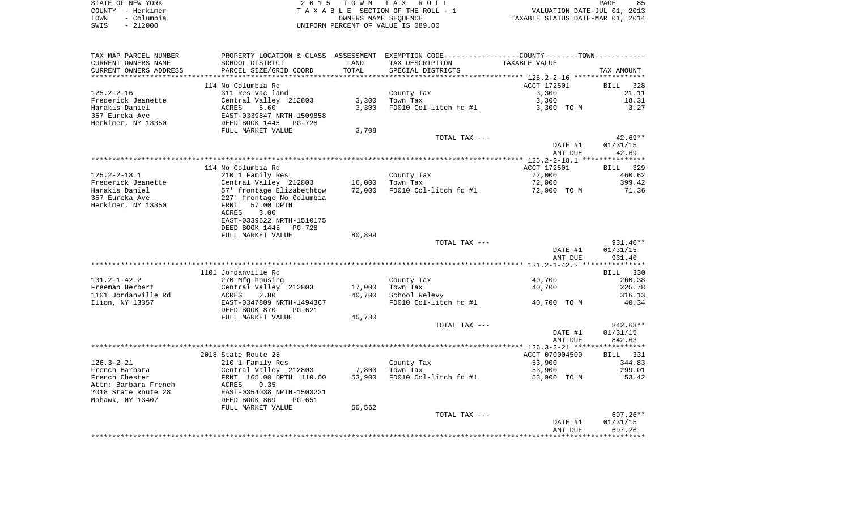|      | STATE OF NEW YORK | 2015 TOWN TAX ROLL                 | 85<br>PAGE                       |
|------|-------------------|------------------------------------|----------------------------------|
|      | COUNTY - Herkimer | TAXABLE SECTION OF THE ROLL - 1    | VALUATION DATE-JUL 01, 2013      |
| TOWN | - Columbia        | OWNERS NAME SEOUENCE               | TAXABLE STATUS DATE-MAR 01, 2014 |
| SWIS | $-212000$         | UNIFORM PERCENT OF VALUE IS 089.00 |                                  |

| TAX MAP PARCEL NUMBER  | PROPERTY LOCATION & CLASS ASSESSMENT EXEMPTION CODE---------------COUNTY-------TOWN---------- |        |                       |                |                    |
|------------------------|-----------------------------------------------------------------------------------------------|--------|-----------------------|----------------|--------------------|
| CURRENT OWNERS NAME    | SCHOOL DISTRICT                                                                               | LAND   | TAX DESCRIPTION       | TAXABLE VALUE  |                    |
| CURRENT OWNERS ADDRESS | PARCEL SIZE/GRID COORD                                                                        | TOTAL  | SPECIAL DISTRICTS     |                | TAX AMOUNT         |
| ********************   | **************************                                                                    |        |                       |                |                    |
|                        | 114 No Columbia Rd                                                                            |        |                       | ACCT 172501    | <b>BILL</b><br>328 |
| $125.2 - 2 - 16$       | 311 Res vac land                                                                              |        | County Tax            | 3,300          | 21.11              |
| Frederick Jeanette     | Central Valley 212803                                                                         | 3,300  | Town Tax              | 3,300          | 18.31              |
| Harakis Daniel         | 5.60<br>ACRES                                                                                 | 3,300  | FD010 Col-litch fd #1 | 3,300 TO M     | 3.27               |
| 357 Eureka Ave         | EAST-0339847 NRTH-1509858<br>DEED BOOK 1445 PG-728                                            |        |                       |                |                    |
| Herkimer, NY 13350     |                                                                                               |        |                       |                |                    |
|                        | FULL MARKET VALUE                                                                             | 3,708  |                       |                |                    |
|                        |                                                                                               |        | TOTAL TAX ---         |                | $42.69**$          |
|                        |                                                                                               |        |                       | DATE #1        | 01/31/15           |
|                        |                                                                                               |        |                       | AMT DUE        | 42.69              |
|                        |                                                                                               |        |                       |                |                    |
|                        | 114 No Columbia Rd                                                                            |        |                       | ACCT 172501    | BILL 329           |
| $125.2 - 2 - 18.1$     | 210 1 Family Res                                                                              |        | County Tax            | 72,000         | 460.62             |
| Frederick Jeanette     | Central Valley 212803                                                                         | 16,000 | Town Tax              | 72,000         | 399.42             |
| Harakis Daniel         | 57' frontage Elizabethtow                                                                     | 72,000 | FD010 Col-litch fd #1 | 72,000 TO M    | 71.36              |
| 357 Eureka Ave         | 227' frontage No Columbia                                                                     |        |                       |                |                    |
| Herkimer, NY 13350     | 57.00 DPTH<br>FRNT                                                                            |        |                       |                |                    |
|                        | ACRES<br>3.00                                                                                 |        |                       |                |                    |
|                        | EAST-0339522 NRTH-1510175                                                                     |        |                       |                |                    |
|                        | DEED BOOK 1445<br>PG-728                                                                      |        |                       |                |                    |
|                        | FULL MARKET VALUE                                                                             | 80,899 |                       |                |                    |
|                        |                                                                                               |        | TOTAL TAX ---         |                | 931.40**           |
|                        |                                                                                               |        |                       | DATE #1        | 01/31/15           |
|                        |                                                                                               |        |                       | AMT DUE        | 931.40             |
|                        |                                                                                               |        |                       |                |                    |
|                        | 1101 Jordanville Rd                                                                           |        |                       |                | BILL 330           |
| $131.2 - 1 - 42.2$     | 270 Mfg housing                                                                               |        | County Tax            | 40,700         | 260.38             |
| Freeman Herbert        | Central Valley 212803                                                                         | 17,000 | Town Tax              | 40,700         | 225.78             |
| 1101 Jordanville Rd    | 2.80<br>ACRES                                                                                 | 40,700 | School Relevy         |                | 316.13             |
| Ilion, NY 13357        | EAST-0347809 NRTH-1494367                                                                     |        | FD010 Col-litch fd #1 | 40,700 TO M    | 40.34              |
|                        | DEED BOOK 870<br>$PG-621$                                                                     |        |                       |                |                    |
|                        | FULL MARKET VALUE                                                                             | 45,730 | TOTAL TAX ---         |                | 842.63**           |
|                        |                                                                                               |        |                       | DATE #1        | 01/31/15           |
|                        |                                                                                               |        |                       | AMT DUE        | 842.63             |
|                        |                                                                                               |        |                       |                |                    |
|                        | 2018 State Route 28                                                                           |        |                       | ACCT 070004500 | BILL 331           |
| $126.3 - 2 - 21$       | 210 1 Family Res                                                                              |        | County Tax            | 53,900         | 344.83             |
| French Barbara         | Central Valley 212803                                                                         | 7,800  | Town Tax              | 53,900         | 299.01             |
| French Chester         | FRNT 165.00 DPTH 110.00                                                                       | 53,900 | FD010 Col-litch fd #1 | 53,900 TO M    | 53.42              |
| Attn: Barbara French   | 0.35<br>ACRES                                                                                 |        |                       |                |                    |
| 2018 State Route 28    | EAST-0354038 NRTH-1503231                                                                     |        |                       |                |                    |
| Mohawk, NY 13407       | DEED BOOK 869<br><b>PG-651</b>                                                                |        |                       |                |                    |
|                        | FULL MARKET VALUE                                                                             | 60,562 |                       |                |                    |
|                        |                                                                                               |        | TOTAL TAX ---         |                | 697.26**           |
|                        |                                                                                               |        |                       | DATE #1        | 01/31/15           |
|                        |                                                                                               |        |                       | AMT DUE        | 697.26             |
|                        |                                                                                               |        |                       |                |                    |
|                        |                                                                                               |        |                       |                |                    |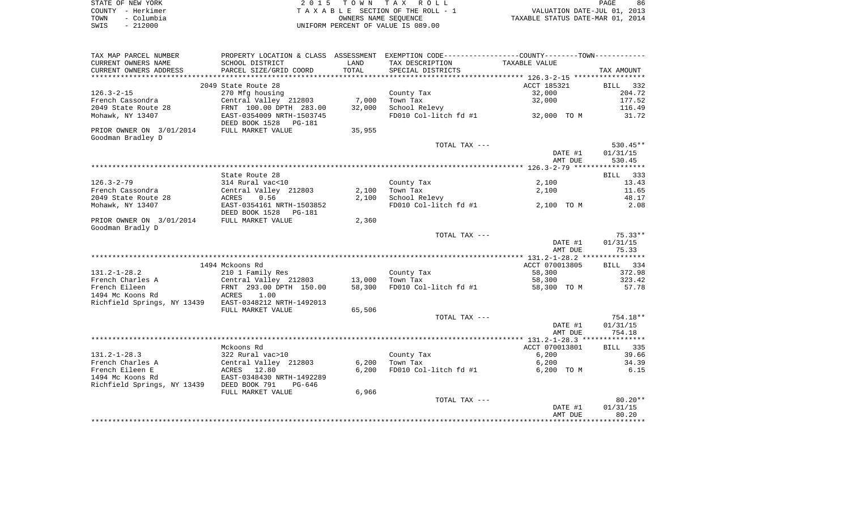|      | STATE OF NEW YORK | 2015 TOWN TAX ROLL                 | 86<br>PAGE                       |
|------|-------------------|------------------------------------|----------------------------------|
|      | COUNTY - Herkimer | TAXABLE SECTION OF THE ROLL - 1    | VALUATION DATE-JUL 01, 2013      |
| TOWN | – Columbia        | OWNERS NAME SEOUENCE               | TAXABLE STATUS DATE-MAR 01, 2014 |
| SWIS | $-212000$         | UNIFORM PERCENT OF VALUE IS 089.00 |                                  |

| TAX MAP PARCEL NUMBER                     |                           |        | PROPERTY LOCATION & CLASS ASSESSMENT EXEMPTION CODE----------------COUNTY-------TOWN--------- |                |            |
|-------------------------------------------|---------------------------|--------|-----------------------------------------------------------------------------------------------|----------------|------------|
| CURRENT OWNERS NAME                       | SCHOOL DISTRICT           | LAND   | TAX DESCRIPTION                                                                               | TAXABLE VALUE  |            |
| CURRENT OWNERS ADDRESS                    | PARCEL SIZE/GRID COORD    | TOTAL  | SPECIAL DISTRICTS                                                                             |                | TAX AMOUNT |
|                                           |                           |        |                                                                                               |                |            |
|                                           | 2049 State Route 28       |        |                                                                                               | ACCT 185321    | BILL 332   |
| $126.3 - 2 - 15$                          | 270 Mfg housing           |        | County Tax                                                                                    | 32,000         | 204.72     |
| French Cassondra                          | Central Valley 212803     | 7,000  | Town Tax                                                                                      | 32,000         | 177.52     |
|                                           |                           |        |                                                                                               |                |            |
| 2049 State Route 28                       | FRNT 100.00 DPTH 283.00   | 32,000 | School Relevy                                                                                 |                | 116.49     |
| Mohawk, NY 13407                          | EAST-0354009 NRTH-1503745 |        | FD010 Col-litch fd #1                                                                         | 32,000 TO M    | 31.72      |
|                                           | DEED BOOK 1528<br>PG-181  |        |                                                                                               |                |            |
| PRIOR OWNER ON 3/01/2014                  | FULL MARKET VALUE         | 35,955 |                                                                                               |                |            |
| Goodman Bradley D                         |                           |        |                                                                                               |                |            |
|                                           |                           |        | TOTAL TAX ---                                                                                 |                | $530.45**$ |
|                                           |                           |        |                                                                                               | DATE #1        | 01/31/15   |
|                                           |                           |        |                                                                                               | AMT DUE        | 530.45     |
|                                           |                           |        |                                                                                               |                |            |
|                                           | State Route 28            |        |                                                                                               |                | BILL 333   |
|                                           |                           |        |                                                                                               |                |            |
| $126.3 - 2 - 79$                          | 314 Rural vac<10          |        | County Tax                                                                                    | 2,100          | 13.43      |
| French Cassondra                          | Central Valley 212803     | 2,100  | Town Tax                                                                                      | 2,100          | 11.65      |
| 2049 State Route 28                       | 0.56<br>ACRES             | 2,100  | School Relevy                                                                                 |                | 48.17      |
| Mohawk, NY 13407                          | EAST-0354161 NRTH-1503852 |        | FD010 Col-litch fd #1                                                                         | 2,100 TO M     | 2.08       |
|                                           | DEED BOOK 1528<br>PG-181  |        |                                                                                               |                |            |
| PRIOR OWNER ON 3/01/2014                  | FULL MARKET VALUE         | 2,360  |                                                                                               |                |            |
| Goodman Bradly D                          |                           |        |                                                                                               |                |            |
|                                           |                           |        | TOTAL TAX ---                                                                                 |                | $75.33**$  |
|                                           |                           |        |                                                                                               | DATE #1        | 01/31/15   |
|                                           |                           |        |                                                                                               | AMT DUE        | 75.33      |
|                                           |                           |        |                                                                                               |                |            |
|                                           |                           |        |                                                                                               |                |            |
|                                           | 1494 Mckoons Rd           |        |                                                                                               | ACCT 070013805 | BILL 334   |
| $131.2 - 1 - 28.2$                        | 210 1 Family Res          |        | County Tax                                                                                    | 58,300         | 372.98     |
| French Charles A                          | Central Valley 212803     | 13,000 | Town Tax                                                                                      | 58,300         | 323.42     |
| French Eileen                             | FRNT 293.00 DPTH 150.00   | 58,300 | FD010 Col-litch fd #1                                                                         | 58,300 TO M    | 57.78      |
| 1494 Mc Koons Rd                          | ACRES<br>1.00             |        |                                                                                               |                |            |
| Richfield Springs, NY 13439               | EAST-0348212 NRTH-1492013 |        |                                                                                               |                |            |
|                                           | FULL MARKET VALUE         | 65,506 |                                                                                               |                |            |
|                                           |                           |        | TOTAL TAX ---                                                                                 |                | 754.18**   |
|                                           |                           |        |                                                                                               | DATE #1        | 01/31/15   |
|                                           |                           |        |                                                                                               | AMT DUE        | 754.18     |
|                                           |                           |        |                                                                                               |                |            |
|                                           |                           |        |                                                                                               | ACCT 070013801 |            |
|                                           | Mckoons Rd                |        |                                                                                               |                | BILL 335   |
| $131.2 - 1 - 28.3$                        | 322 Rural vac>10          |        | County Tax                                                                                    | 6,200          | 39.66      |
| French Charles A                          | Central Valley 212803     | 6,200  | Town Tax                                                                                      | 6,200          | 34.39      |
| French Eileen E                           | ACRES 12.80               | 6,200  | FD010 Col-litch fd #1                                                                         | 6,200 TO M     | 6.15       |
| 1494 Mc Koons Rd                          | EAST-0348430 NRTH-1492289 |        |                                                                                               |                |            |
| Richfield Springs, NY 13439 DEED BOOK 791 | PG-646                    |        |                                                                                               |                |            |
|                                           | FULL MARKET VALUE         | 6,966  |                                                                                               |                |            |
|                                           |                           |        | TOTAL TAX ---                                                                                 |                | $80.20**$  |
|                                           |                           |        |                                                                                               | DATE #1        | 01/31/15   |
|                                           |                           |        |                                                                                               | AMT DUE        | 80.20      |
|                                           |                           |        |                                                                                               |                |            |
|                                           |                           |        |                                                                                               |                |            |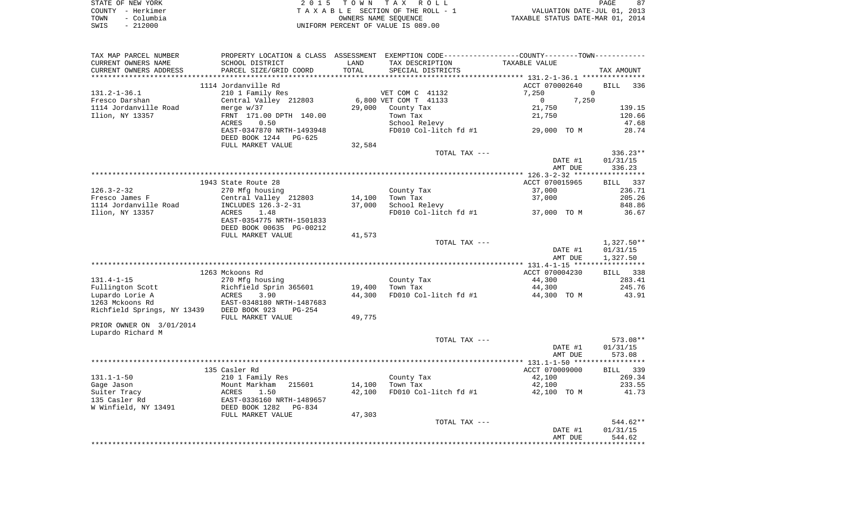| STATE OF NEW YORK  | 2015 TOWN TAX ROLL                 |                                  | PAGE | 87 |
|--------------------|------------------------------------|----------------------------------|------|----|
| COUNTY - Herkimer  | TAXABLE SECTION OF THE ROLL - 1    | VALUATION DATE-JUL 01, 2013      |      |    |
| - Columbia<br>TOWN | OWNERS NAME SEOUENCE               | TAXABLE STATUS DATE-MAR 01, 2014 |      |    |
| - 212000<br>SWIS   | UNIFORM PERCENT OF VALUE IS 089.00 |                                  |      |    |

| TAX MAP PARCEL NUMBER       |                                                       |        |                       | PROPERTY LOCATION & CLASS ASSESSMENT EXEMPTION CODE---------------COUNTY--------TOWN---------- |                    |
|-----------------------------|-------------------------------------------------------|--------|-----------------------|------------------------------------------------------------------------------------------------|--------------------|
| CURRENT OWNERS NAME         | SCHOOL DISTRICT                                       | LAND   | TAX DESCRIPTION       | TAXABLE VALUE                                                                                  |                    |
| CURRENT OWNERS ADDRESS      | PARCEL SIZE/GRID COORD                                | TOTAL  | SPECIAL DISTRICTS     |                                                                                                | TAX AMOUNT         |
|                             |                                                       |        |                       |                                                                                                |                    |
|                             | 1114 Jordanville Rd                                   |        |                       | ACCT 070002640                                                                                 | BILL<br>336        |
| $131.2 - 1 - 36.1$          | 210 1 Family Res                                      |        | VET COM C 41132       | $\mathbf{0}$<br>7,250                                                                          |                    |
| Fresco Darshan              | Central Valley 212803                                 |        | 6,800 VET COM T 41133 | $\overline{0}$<br>7,250                                                                        |                    |
| 1114 Jordanville Road       | merge $w/37$                                          | 29,000 | County Tax            | 21,750                                                                                         | 139.15             |
| Ilion, NY 13357             | FRNT 171.00 DPTH 140.00                               |        | Town Tax              | 21,750                                                                                         | 120.66             |
|                             | 0.50<br>ACRES                                         |        | School Relevy         |                                                                                                | 47.68              |
|                             | EAST-0347870 NRTH-1493948<br>DEED BOOK 1244<br>PG-625 |        |                       | FD010 Col-litch $f$ d #1 29,000 TO M                                                           | 28.74              |
|                             | FULL MARKET VALUE                                     | 32,584 |                       |                                                                                                |                    |
|                             |                                                       |        | TOTAL TAX ---         |                                                                                                | 336.23**           |
|                             |                                                       |        |                       | DATE #1                                                                                        | 01/31/15           |
|                             |                                                       |        |                       | AMT DUE                                                                                        | 336.23             |
|                             |                                                       |        |                       |                                                                                                |                    |
|                             | 1943 State Route 28                                   |        |                       | ACCT 070015965                                                                                 | BILL 337           |
| $126.3 - 2 - 32$            | 270 Mfg housing                                       |        | County Tax            | 37,000                                                                                         | 236.71             |
| Fresco James F              | Central Valley 212803                                 | 14,100 | Town Tax              | 37,000                                                                                         | 205.26             |
| 1114 Jordanville Road       | INCLUDES 126.3-2-31                                   | 37,000 | School Relevy         |                                                                                                | 848.86             |
| Ilion, NY 13357             | 1.48<br>ACRES                                         |        |                       | FD010 Col-litch fd #1 37,000 TO M                                                              | 36.67              |
|                             | EAST-0354775 NRTH-1501833                             |        |                       |                                                                                                |                    |
|                             | DEED BOOK 00635 PG-00212                              |        |                       |                                                                                                |                    |
|                             | FULL MARKET VALUE                                     | 41,573 |                       |                                                                                                |                    |
|                             |                                                       |        | TOTAL TAX ---         |                                                                                                | $1,327.50**$       |
|                             |                                                       |        |                       | DATE #1                                                                                        | 01/31/15           |
|                             |                                                       |        |                       | AMT DUE                                                                                        | 1,327.50           |
|                             |                                                       |        |                       |                                                                                                |                    |
|                             | 1263 Mckoons Rd                                       |        |                       | ACCT 070004230                                                                                 | BILL 338           |
| $131.4 - 1 - 15$            | 270 Mfg housing                                       |        | County Tax            | 44,300                                                                                         | 283.41             |
| Fullington Scott            | Richfield Sprin 365601                                | 19,400 | Town Tax              | 44,300                                                                                         | 245.76             |
| Lupardo Lorie A             | ACRES<br>3.90                                         | 44,300 | FD010 Col-litch fd #1 | 44,300 TO M                                                                                    | 43.91              |
| 1263 Mckoons Rd             | EAST-0348180 NRTH-1487683                             |        |                       |                                                                                                |                    |
| Richfield Springs, NY 13439 | DEED BOOK 923<br>PG-254<br>FULL MARKET VALUE          | 49,775 |                       |                                                                                                |                    |
| PRIOR OWNER ON 3/01/2014    |                                                       |        |                       |                                                                                                |                    |
| Lupardo Richard M           |                                                       |        |                       |                                                                                                |                    |
|                             |                                                       |        | TOTAL TAX ---         |                                                                                                | 573.08**           |
|                             |                                                       |        |                       | DATE #1                                                                                        | 01/31/15           |
|                             |                                                       |        |                       | AMT DUE                                                                                        | 573.08             |
|                             |                                                       |        |                       |                                                                                                |                    |
|                             | 135 Casler Rd                                         |        |                       | ACCT 070009000                                                                                 | BILL 339           |
| $131.1 - 1 - 50$            | 210 1 Family Res                                      |        | County Tax            | 42,100                                                                                         | 269.34             |
| Gage Jason                  | Mount Markham<br>215601                               | 14,100 | Town Tax              | 42,100                                                                                         | 233.55             |
| Suiter Tracy                | ACRES<br>1.50                                         | 42,100 | FD010 Col-litch fd #1 | 42,100 TO M                                                                                    | 41.73              |
| 135 Casler Rd               | EAST-0336160 NRTH-1489657                             |        |                       |                                                                                                |                    |
| W Winfield, NY 13491        | DEED BOOK 1282<br>PG-834                              |        |                       |                                                                                                |                    |
|                             | FULL MARKET VALUE                                     | 47,303 |                       |                                                                                                | 544.62**           |
|                             |                                                       |        | TOTAL TAX ---         |                                                                                                |                    |
|                             |                                                       |        |                       | DATE #1<br>AMT DUE                                                                             | 01/31/15<br>544.62 |
|                             |                                                       |        |                       |                                                                                                |                    |
|                             |                                                       |        |                       |                                                                                                |                    |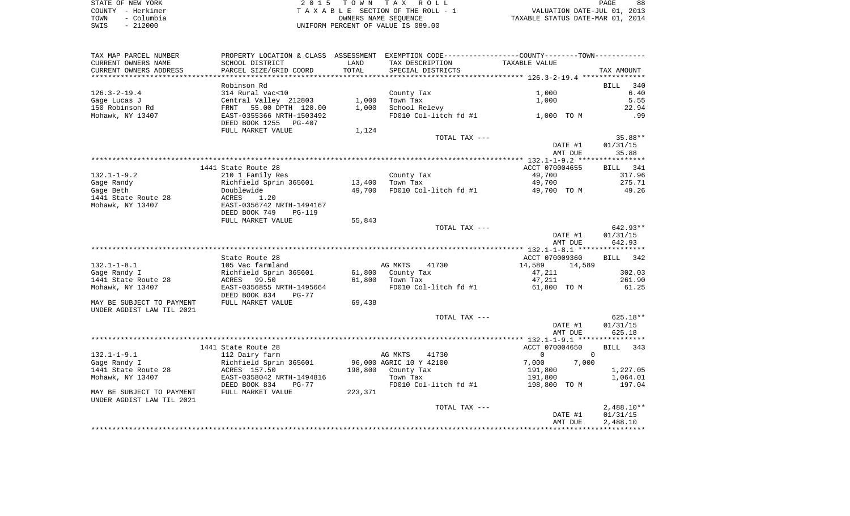| STATE OF NEW YORK  | 2015 TOWN TAX ROLL                 | 88<br>PAGE                       |
|--------------------|------------------------------------|----------------------------------|
| COUNTY - Herkimer  | TAXABLE SECTION OF THE ROLL - 1    | VALUATION DATE-JUL 01, 2013      |
| – Columbia<br>TOWN | OWNERS NAME SEOUENCE               | TAXABLE STATUS DATE-MAR 01, 2014 |
| $-212000$<br>SWIS  | UNIFORM PERCENT OF VALUE IS 089.00 |                                  |

| TAX MAP PARCEL NUMBER                                  | PROPERTY LOCATION & CLASS ASSESSMENT EXEMPTION CODE---------------COUNTY--------TOWN---------- |         |                         |                         |              |
|--------------------------------------------------------|------------------------------------------------------------------------------------------------|---------|-------------------------|-------------------------|--------------|
| CURRENT OWNERS NAME                                    | SCHOOL DISTRICT                                                                                | LAND    | TAX DESCRIPTION         | TAXABLE VALUE           |              |
| CURRENT OWNERS ADDRESS                                 | PARCEL SIZE/GRID COORD                                                                         | TOTAL   | SPECIAL DISTRICTS       |                         | TAX AMOUNT   |
| ************************                               |                                                                                                |         |                         |                         |              |
|                                                        | Robinson Rd                                                                                    |         |                         |                         | BILL<br>340  |
| $126.3 - 2 - 19.4$                                     | 314 Rural vac<10                                                                               |         | County Tax              | 1,000                   | 6.40         |
| Gage Lucas J                                           | Central Valley 212803                                                                          | 1,000   | Town Tax                | 1,000                   | 5.55         |
| 150 Robinson Rd                                        | FRNT 55.00 DPTH 120.00                                                                         | 1,000   | School Relevy           |                         | 22.94        |
| Mohawk, NY 13407                                       | EAST-0355366 NRTH-1503492                                                                      |         | FD010 Col-litch fd #1   | 1,000 TO M              | .99          |
|                                                        | DEED BOOK 1255<br>PG-407                                                                       |         |                         |                         |              |
|                                                        | FULL MARKET VALUE                                                                              | 1,124   |                         |                         |              |
|                                                        |                                                                                                |         | TOTAL TAX ---           |                         | 35.88**      |
|                                                        |                                                                                                |         |                         | DATE #1                 | 01/31/15     |
|                                                        |                                                                                                |         |                         | AMT DUE                 | 35.88        |
|                                                        | 1441 State Route 28                                                                            |         |                         | ACCT 070004655          | BILL 341     |
| $132.1 - 1 - 9.2$                                      | 210 1 Family Res                                                                               |         | County Tax              | 49,700                  | 317.96       |
| Gage Randy                                             | Richfield Sprin 365601                                                                         | 13,400  | Town Tax                | 49,700                  | 275.71       |
| Gage Beth                                              | Doublewide                                                                                     | 49,700  | FD010 Col-litch fd #1   | 49,700 TO M             | 49.26        |
| 1441 State Route 28                                    | ACRES<br>1.20                                                                                  |         |                         |                         |              |
| Mohawk, NY 13407                                       | EAST-0356742 NRTH-1494167                                                                      |         |                         |                         |              |
|                                                        | DEED BOOK 749<br>PG-119                                                                        |         |                         |                         |              |
|                                                        | FULL MARKET VALUE                                                                              | 55,843  |                         |                         |              |
|                                                        |                                                                                                |         | TOTAL TAX ---           |                         | 642.93**     |
|                                                        |                                                                                                |         |                         | DATE #1                 | 01/31/15     |
|                                                        |                                                                                                |         |                         | AMT DUE                 | 642.93       |
|                                                        |                                                                                                |         |                         |                         |              |
|                                                        | State Route 28                                                                                 |         |                         | ACCT 070009360          | BILL 342     |
| $132.1 - 1 - 8.1$                                      | 105 Vac farmland                                                                               |         | AG MKTS<br>41730        | 14,589<br>14,589        |              |
| Gage Randy I                                           | Richfield Sprin 365601                                                                         | 61,800  | County Tax              | 47,211                  | 302.03       |
| 1441 State Route 28                                    | ACRES 99.50                                                                                    | 61,800  | Town Tax                | 47,211                  | 261.90       |
| Mohawk, NY 13407                                       | EAST-0356855 NRTH-1495664                                                                      |         | FD010 Col-litch fd #1   | 61,800 TO M             | 61.25        |
|                                                        | DEED BOOK 834<br>PG-77<br>FULL MARKET VALUE                                                    |         |                         |                         |              |
| MAY BE SUBJECT TO PAYMENT<br>UNDER AGDIST LAW TIL 2021 |                                                                                                | 69,438  |                         |                         |              |
|                                                        |                                                                                                |         | TOTAL TAX ---           |                         | 625.18**     |
|                                                        |                                                                                                |         |                         | DATE #1                 | 01/31/15     |
|                                                        |                                                                                                |         |                         | AMT DUE                 | 625.18       |
|                                                        |                                                                                                |         |                         |                         |              |
|                                                        | 1441 State Route 28                                                                            |         |                         | ACCT 070004650          | BILL 343     |
| $132.1 - 1 - 9.1$                                      | 112 Dairy farm                                                                                 |         | AG MKTS<br>41730        | $\mathbf 0$<br>$\Omega$ |              |
| Gage Randy I                                           | Richfield Sprin 365601                                                                         |         | 96,000 AGRIC 10 Y 42100 | 7,000<br>7,000          |              |
| 1441 State Route 28                                    | ACRES 157.50                                                                                   |         | 198,800 County Tax      | 191,800                 | 1,227.05     |
| Mohawk, NY 13407                                       | EAST-0358042 NRTH-1494816                                                                      |         | Town Tax                | 191,800                 | 1,064.01     |
|                                                        | DEED BOOK 834<br>PG-77                                                                         |         | FD010 Col-litch fd #1   | 198,800 TO M            | 197.04       |
| MAY BE SUBJECT TO PAYMENT                              | FULL MARKET VALUE                                                                              | 223,371 |                         |                         |              |
| UNDER AGDIST LAW TIL 2021                              |                                                                                                |         |                         |                         |              |
|                                                        |                                                                                                |         | TOTAL TAX ---           |                         | $2,488.10**$ |
|                                                        |                                                                                                |         |                         | DATE #1                 | 01/31/15     |
|                                                        |                                                                                                |         |                         | AMT DUE                 | 2,488.10     |
|                                                        |                                                                                                |         |                         |                         |              |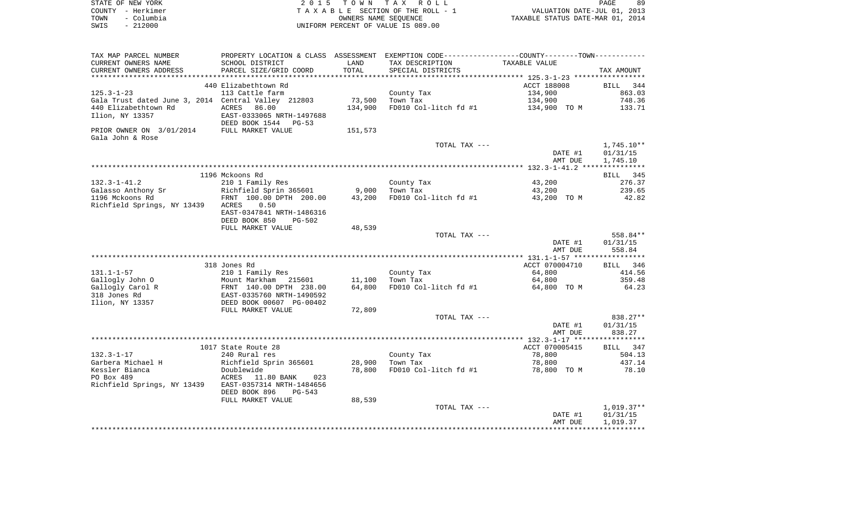| STATE OF NEW YORK  | 2015 TOWN TAX ROLL                 | 89<br>PAGE                       |
|--------------------|------------------------------------|----------------------------------|
| COUNTY - Herkimer  | TAXABLE SECTION OF THE ROLL - 1    | VALUATION DATE-JUL 01, 2013      |
| - Columbia<br>TOWN | OWNERS NAME SEOUENCE               | TAXABLE STATUS DATE-MAR 01, 2014 |
| $-212000$<br>SWIS  | UNIFORM PERCENT OF VALUE IS 089.00 |                                  |

| TAX MAP PARCEL NUMBER                                                                                                                                                         | PROPERTY LOCATION & CLASS ASSESSMENT EXEMPTION CODE---------------COUNTY-------TOWN----------            |         |                                     |                |            |
|-------------------------------------------------------------------------------------------------------------------------------------------------------------------------------|----------------------------------------------------------------------------------------------------------|---------|-------------------------------------|----------------|------------|
| CURRENT OWNERS NAME                                                                                                                                                           | SCHOOL DISTRICT                                                                                          | LAND    | TAX DESCRIPTION                     | TAXABLE VALUE  |            |
| CURRENT OWNERS ADDRESS                                                                                                                                                        | PARCEL SIZE/GRID COORD                                                                                   | TOTAL   | SPECIAL DISTRICTS                   |                | TAX AMOUNT |
|                                                                                                                                                                               |                                                                                                          |         |                                     |                |            |
|                                                                                                                                                                               | 440 Elizabethtown Rd                                                                                     |         |                                     | ACCT 188008    | BILL 344   |
| $125.3 - 1 - 23$                                                                                                                                                              | 113 Cattle farm                                                                                          |         | County Tax                          | 134,900        | 863.03     |
| Gala Trust dated June 3, 2014 Central Valley 212803                                                                                                                           |                                                                                                          | 73,500  | Town Tax                            | 134,900        | 748.36     |
| 440 Elizabethtown Rd                                                                                                                                                          | ACRES 86.00                                                                                              | 134,900 | FD010 Col-litch fd #1               | 134,900 TO M   | 133.71     |
| Ilion, NY 13357                                                                                                                                                               | EAST-0333065 NRTH-1497688                                                                                |         |                                     |                |            |
|                                                                                                                                                                               | DEED BOOK 1544 PG-53                                                                                     |         |                                     |                |            |
| PRIOR OWNER ON 3/01/2014 FULL MARKET VALUE                                                                                                                                    |                                                                                                          | 151,573 |                                     |                |            |
| Gala John & Rose                                                                                                                                                              |                                                                                                          |         |                                     |                |            |
|                                                                                                                                                                               |                                                                                                          |         | TOTAL TAX ---                       |                | 1,745.10** |
|                                                                                                                                                                               |                                                                                                          |         |                                     | DATE #1        | 01/31/15   |
|                                                                                                                                                                               |                                                                                                          |         |                                     | AMT DUE        | 1,745.10   |
|                                                                                                                                                                               |                                                                                                          |         |                                     |                |            |
|                                                                                                                                                                               | 1196 Mckoons Rd                                                                                          |         |                                     |                | BILL 345   |
| $132.3 - 1 - 41.2$                                                                                                                                                            | 210 1 Family Res                                                                                         |         | County Tax                          | 43,200         | 276.37     |
| Galasso Anthony Sr<br>Galasso Anthony Sr<br>1196 Mckoons Rd<br>1196 Mckoons Rd<br>1196 Mckoons Rd<br>1296 McKoons Rd<br>1296 McKoons Rd<br>1296 McKoons Rd<br>1296 McKoons Rd |                                                                                                          |         | Town Tax                            | 43,200         | 239.65     |
|                                                                                                                                                                               |                                                                                                          |         | FD010 Col-litch fd $#1$ 43,200 TO M |                | 42.82      |
| Richfield Springs, NY 13439 ACRES                                                                                                                                             | 0.50                                                                                                     |         |                                     |                |            |
|                                                                                                                                                                               | EAST-0347841 NRTH-1486316                                                                                |         |                                     |                |            |
|                                                                                                                                                                               | DEED BOOK 850<br>PG-502                                                                                  |         |                                     |                |            |
|                                                                                                                                                                               | FULL MARKET VALUE                                                                                        | 48,539  |                                     |                |            |
|                                                                                                                                                                               |                                                                                                          |         | TOTAL TAX ---                       |                | 558.84**   |
|                                                                                                                                                                               |                                                                                                          |         |                                     | DATE #1        | 01/31/15   |
|                                                                                                                                                                               |                                                                                                          |         |                                     | AMT DUE        | 558.84     |
|                                                                                                                                                                               |                                                                                                          |         |                                     |                |            |
|                                                                                                                                                                               | 318 Jones Rd                                                                                             |         |                                     | ACCT 070004710 | BILL 346   |
| $131.1 - 1 - 57$                                                                                                                                                              | 210 1 Family Res                                                                                         |         | County Tax                          | 64,800         | 414.56     |
| Gallogly John O                                                                                                                                                               | Mount Markham 215601 11,100                                                                              |         | Town Tax                            | 64,800         | 359.48     |
| Gallogly Carol R                                                                                                                                                              |                                                                                                          | 64,800  | FD010 Col-litch fd #1 64,800 TO M   |                | 64.23      |
| 318 Jones Rd                                                                                                                                                                  | Mount Markham 215601<br>FRNT 140.00 DPTH 238.00<br>EAST-0335760 NRTH-1490592<br>DEED BOOK 00607 PG-00402 |         |                                     |                |            |
| Ilion, NY 13357                                                                                                                                                               |                                                                                                          |         |                                     |                |            |
|                                                                                                                                                                               | FULL MARKET VALUE                                                                                        | 72,809  |                                     |                |            |
|                                                                                                                                                                               |                                                                                                          |         | TOTAL TAX ---                       |                | 838.27**   |
|                                                                                                                                                                               |                                                                                                          |         |                                     | DATE #1        | 01/31/15   |
|                                                                                                                                                                               |                                                                                                          |         |                                     | AMT DUE        | 838.27     |
|                                                                                                                                                                               |                                                                                                          |         |                                     |                |            |
|                                                                                                                                                                               | 1017 State Route 28                                                                                      |         |                                     | ACCT 070005415 | BILL 347   |
| $132.3 - 1 - 17$                                                                                                                                                              | 240 Rural res                                                                                            |         |                                     | 78,800         | 504.13     |
| Garbera Michael H Richfield Sprin 365601 28,900                                                                                                                               |                                                                                                          |         | County Tax<br>Town Tax              | 78,800         | 437.14     |
| Kessler Bianca                                                                                                                                                                | Doublewide                                                                                               | 78,800  | FD010 Col-litch fd #1               | 78,800 TO M    | 78.10      |
| PO Box 489                                                                                                                                                                    | ACRES 11.80 BANK 023                                                                                     |         |                                     |                |            |
| Richfield Springs, NY 13439 EAST-0357314 NRTH-1484656                                                                                                                         |                                                                                                          |         |                                     |                |            |
|                                                                                                                                                                               | DEED BOOK 896<br>PG-543                                                                                  |         |                                     |                |            |
|                                                                                                                                                                               | FULL MARKET VALUE                                                                                        | 88,539  |                                     |                |            |
|                                                                                                                                                                               |                                                                                                          |         | TOTAL TAX ---                       |                | 1,019.37** |
|                                                                                                                                                                               |                                                                                                          |         |                                     | DATE #1        | 01/31/15   |
|                                                                                                                                                                               |                                                                                                          |         |                                     | AMT DUE        | 1,019.37   |
|                                                                                                                                                                               |                                                                                                          |         |                                     |                |            |
|                                                                                                                                                                               |                                                                                                          |         |                                     |                |            |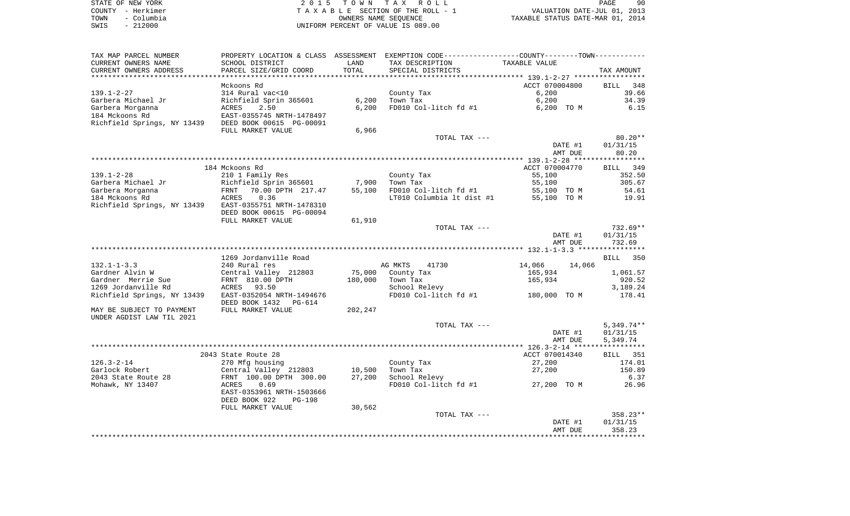|      | STATE OF NEW YORK | 2015 TOWN TAX ROLL                                             | PAGE | 90 |
|------|-------------------|----------------------------------------------------------------|------|----|
|      | COUNTY - Herkimer | VALUATION DATE-JUL 01, 2013<br>TAXABLE SECTION OF THE ROLL - 1 |      |    |
| TOWN | – Columbia        | TAXABLE STATUS DATE-MAR 01, 2014<br>OWNERS NAME SEOUENCE       |      |    |
| SWIS | - 212000          | UNIFORM PERCENT OF VALUE IS 089.00                             |      |    |

| TAX MAP PARCEL NUMBER       |                                |         | PROPERTY LOCATION & CLASS ASSESSMENT EXEMPTION CODE----------------COUNTY--------TOWN----------- |                  |                       |
|-----------------------------|--------------------------------|---------|--------------------------------------------------------------------------------------------------|------------------|-----------------------|
| CURRENT OWNERS NAME         | SCHOOL DISTRICT                | LAND    | TAX DESCRIPTION                                                                                  | TAXABLE VALUE    |                       |
| CURRENT OWNERS ADDRESS      | PARCEL SIZE/GRID COORD         | TOTAL   | SPECIAL DISTRICTS                                                                                |                  | TAX AMOUNT            |
|                             |                                |         |                                                                                                  |                  |                       |
|                             | Mckoons Rd                     |         |                                                                                                  | ACCT 070004800   | <b>BILL</b><br>348    |
| $139.1 - 2 - 27$            | 314 Rural vac<10               |         | County Tax                                                                                       | 6,200            | 39.66                 |
| Garbera Michael Jr          | Richfield Sprin 365601         | 6,200   | Town Tax                                                                                         | 6,200            | 34.39                 |
| Garbera Morganna            | ACRES<br>2.50                  | 6,200   | FD010 Col-litch fd #1                                                                            | 6,200 TO M       | 6.15                  |
| 184 Mckoons Rd              | EAST-0355745 NRTH-1478497      |         |                                                                                                  |                  |                       |
| Richfield Springs, NY 13439 | DEED BOOK 00615 PG-00091       |         |                                                                                                  |                  |                       |
|                             | FULL MARKET VALUE              | 6,966   |                                                                                                  |                  |                       |
|                             |                                |         | TOTAL TAX ---                                                                                    |                  | $80.20**$             |
|                             |                                |         |                                                                                                  | DATE #1          | 01/31/15              |
|                             |                                |         |                                                                                                  | AMT DUE          | 80.20                 |
|                             |                                |         |                                                                                                  |                  |                       |
|                             |                                |         |                                                                                                  |                  |                       |
|                             | 184 Mckoons Rd                 |         |                                                                                                  | ACCT 070004770   | BILL 349              |
| $139.1 - 2 - 28$            | 210 1 Family Res               |         | County Tax                                                                                       | 55,100           | 352.50                |
| Garbera Michael Jr          | Richfield Sprin 365601         | 7,900   | Town Tax                                                                                         | 55,100           | 305.67                |
| Garbera Morganna            | 70.00 DPTH 217.47<br>FRNT      | 55,100  | FD010 Col-litch fd #1                                                                            | 55,100 TO M      | 54.61                 |
| 184 Mckoons Rd              | ACRES<br>0.36                  |         | LT010 Columbia 1t dist #1                                                                        | 55,100 TO M      | 19.91                 |
| Richfield Springs, NY 13439 | EAST-0355751 NRTH-1478310      |         |                                                                                                  |                  |                       |
|                             | DEED BOOK 00615 PG-00094       |         |                                                                                                  |                  |                       |
|                             | FULL MARKET VALUE              | 61,910  |                                                                                                  |                  |                       |
|                             |                                |         | TOTAL TAX ---                                                                                    |                  | $732.69**$            |
|                             |                                |         |                                                                                                  | DATE #1          | 01/31/15              |
|                             |                                |         |                                                                                                  | AMT DUE          | 732.69                |
|                             |                                |         |                                                                                                  |                  |                       |
|                             | 1269 Jordanville Road          |         |                                                                                                  |                  | BILL 350              |
| $132.1 - 1 - 3.3$           | 240 Rural res                  |         | AG MKTS<br>41730                                                                                 | 14,066<br>14,066 |                       |
| Gardner Alvin W             | Central Valley 212803          | 75,000  | County Tax                                                                                       | 165,934          | 1,061.57              |
| Gardner Merrie Sue          | FRNT 810.00 DPTH               | 180,000 | Town Tax                                                                                         | 165,934          | 920.52                |
| 1269 Jordanville Rd         | ACRES 93.50                    |         | School Relevy                                                                                    |                  | 3,189.24              |
|                             |                                |         |                                                                                                  |                  |                       |
| Richfield Springs, NY 13439 | EAST-0352054 NRTH-1494676      |         | FD010 Col-litch fd #1                                                                            | 180,000 TO M     | 178.41                |
|                             | DEED BOOK 1432<br>PG-614       |         |                                                                                                  |                  |                       |
| MAY BE SUBJECT TO PAYMENT   | FULL MARKET VALUE              | 202,247 |                                                                                                  |                  |                       |
| UNDER AGDIST LAW TIL 2021   |                                |         |                                                                                                  |                  |                       |
|                             |                                |         | TOTAL TAX ---                                                                                    |                  | $5,349.74**$          |
|                             |                                |         |                                                                                                  | DATE #1          | 01/31/15              |
|                             |                                |         |                                                                                                  | AMT DUE          | 5,349.74              |
|                             |                                |         |                                                                                                  |                  |                       |
|                             | 2043 State Route 28            |         |                                                                                                  | ACCT 070014340   | <b>BILL</b> 351       |
| $126.3 - 2 - 14$            | 270 Mfg housing                |         | County Tax                                                                                       | 27,200           | 174.01                |
| Garlock Robert              | Central Valley 212803          | 10,500  | Town Tax                                                                                         | 27,200           | 150.89                |
| 2043 State Route 28         | FRNT 100.00 DPTH 300.00        | 27,200  | School Relevy                                                                                    |                  | 6.37                  |
| Mohawk, NY 13407            | ACRES<br>0.69                  |         | FD010 Col-litch fd #1                                                                            | 27,200 TO M      | 26.96                 |
|                             | EAST-0353961 NRTH-1503666      |         |                                                                                                  |                  |                       |
|                             | DEED BOOK 922<br><b>PG-198</b> |         |                                                                                                  |                  |                       |
|                             | FULL MARKET VALUE              | 30,562  |                                                                                                  |                  |                       |
|                             |                                |         |                                                                                                  |                  |                       |
|                             |                                |         | TOTAL TAX ---                                                                                    |                  | 358.23**              |
|                             |                                |         |                                                                                                  | DATE #1          | 01/31/15              |
|                             |                                |         |                                                                                                  | AMT DUE          | 358.23                |
|                             |                                |         |                                                                                                  |                  | * * * * * * * * * * * |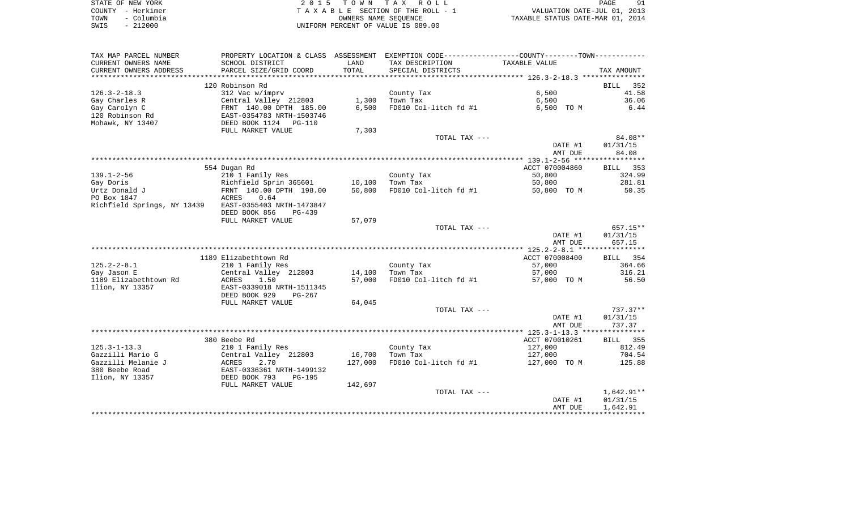|      | STATE OF NEW YORK | 2015 TOWN TAX ROLL                 | 91<br>PAGE                       |
|------|-------------------|------------------------------------|----------------------------------|
|      | COUNTY - Herkimer | TAXABLE SECTION OF THE ROLL - 1    | VALUATION DATE-JUL 01, 2013      |
| TOWN | - Columbia        | OWNERS NAME SEOUENCE               | TAXABLE STATUS DATE-MAR 01, 2014 |
| SWIS | $-212000$         | UNIFORM PERCENT OF VALUE IS 089.00 |                                  |

| TAX MAP PARCEL NUMBER       |                                                      |         | PROPERTY LOCATION & CLASS ASSESSMENT EXEMPTION CODE---------------COUNTY-------TOWN---------- |                    |                        |
|-----------------------------|------------------------------------------------------|---------|-----------------------------------------------------------------------------------------------|--------------------|------------------------|
| CURRENT OWNERS NAME         | SCHOOL DISTRICT                                      | LAND    | TAX DESCRIPTION                                                                               | TAXABLE VALUE      |                        |
| CURRENT OWNERS ADDRESS      | PARCEL SIZE/GRID COORD                               | TOTAL   | SPECIAL DISTRICTS                                                                             |                    | TAX AMOUNT             |
| ******************          | **************************                           |         |                                                                                               |                    |                        |
|                             | 120 Robinson Rd                                      |         |                                                                                               |                    | <b>BILL</b><br>352     |
| $126.3 - 2 - 18.3$          | 312 Vac w/imprv                                      |         | County Tax                                                                                    | 6,500              | 41.58                  |
| Gay Charles R               | Central Valley 212803                                | 1,300   | Town Tax                                                                                      | 6,500              | 36.06                  |
| Gay Carolyn C               | FRNT 140.00 DPTH 185.00<br>EAST-0354783 NRTH-1503746 | 6,500   | FD010 Col-litch fd #1                                                                         | 6,500 TO M         | 6.44                   |
| 120 Robinson Rd             |                                                      |         |                                                                                               |                    |                        |
| Mohawk, NY 13407            | DEED BOOK 1124<br>PG-110                             |         |                                                                                               |                    |                        |
|                             | FULL MARKET VALUE                                    | 7,303   |                                                                                               |                    |                        |
|                             |                                                      |         | TOTAL TAX ---                                                                                 |                    | 84.08**                |
|                             |                                                      |         |                                                                                               | DATE #1<br>AMT DUE | 01/31/15<br>84.08      |
|                             |                                                      |         |                                                                                               |                    |                        |
|                             | 554 Dugan Rd                                         |         |                                                                                               | ACCT 070004860     | BILL 353               |
| $139.1 - 2 - 56$            | 210 1 Family Res                                     |         | County Tax                                                                                    | 50,800             | 324.99                 |
| Gay Doris                   | Richfield Sprin 365601                               | 10,100  | Town Tax                                                                                      | 50,800             | 281.81                 |
| Urtz Donald J               | FRNT 140.00 DPTH 198.00                              | 50,800  | FD010 Col-litch fd #1                                                                         | 50,800 TO M        | 50.35                  |
| PO Box 1847                 | 0.64<br>ACRES                                        |         |                                                                                               |                    |                        |
| Richfield Springs, NY 13439 | EAST-0355403 NRTH-1473847                            |         |                                                                                               |                    |                        |
|                             | DEED BOOK 856<br>$PG-439$                            |         |                                                                                               |                    |                        |
|                             | FULL MARKET VALUE                                    | 57,079  |                                                                                               |                    |                        |
|                             |                                                      |         | TOTAL TAX ---                                                                                 |                    | 657.15**               |
|                             |                                                      |         |                                                                                               | DATE #1            | 01/31/15               |
|                             |                                                      |         |                                                                                               | AMT DUE            | 657.15                 |
|                             |                                                      |         |                                                                                               |                    |                        |
|                             | 1189 Elizabethtown Rd                                |         |                                                                                               | ACCT 070008400     | BILL 354               |
| $125.2 - 2 - 8.1$           | 210 1 Family Res                                     |         | County Tax                                                                                    | 57,000             | 364.66                 |
| Gay Jason E                 | Central Valley 212803                                | 14,100  | Town Tax                                                                                      | 57,000             | 316.21                 |
| 1189 Elizabethtown Rd       | ACRES<br>1.50                                        | 57,000  | FD010 Col-litch fd #1                                                                         | 57,000 TO M        | 56.50                  |
| Ilion, NY 13357             | EAST-0339018 NRTH-1511345                            |         |                                                                                               |                    |                        |
|                             | DEED BOOK 929<br>$PG-267$                            |         |                                                                                               |                    |                        |
|                             | FULL MARKET VALUE                                    | 64,045  |                                                                                               |                    |                        |
|                             |                                                      |         | TOTAL TAX ---                                                                                 | DATE #1            | $737.37**$<br>01/31/15 |
|                             |                                                      |         |                                                                                               | AMT DUE            | 737.37                 |
|                             |                                                      |         |                                                                                               |                    |                        |
|                             | 380 Beebe Rd                                         |         |                                                                                               | ACCT 070010261     | BILL 355               |
| $125.3 - 1 - 13.3$          | 210 1 Family Res                                     |         | County Tax                                                                                    | 127,000            | 812.49                 |
| Gazzilli Mario G            | Central Valley 212803                                | 16,700  | Town Tax                                                                                      | 127,000            | 704.54                 |
| Gazzilli Melanie J          | <b>ACRES</b><br>2.70                                 | 127,000 | FD010 Col-litch fd #1                                                                         | 127,000 TO M       | 125.88                 |
| 380 Beebe Road              | EAST-0336361 NRTH-1499132                            |         |                                                                                               |                    |                        |
| Ilion, NY 13357             | DEED BOOK 793<br>$PG-195$                            |         |                                                                                               |                    |                        |
|                             | FULL MARKET VALUE                                    | 142,697 |                                                                                               |                    |                        |
|                             |                                                      |         | TOTAL TAX ---                                                                                 |                    | $1,642.91**$           |
|                             |                                                      |         |                                                                                               | DATE #1            | 01/31/15               |
|                             |                                                      |         |                                                                                               | AMT DUE            | 1,642.91               |
|                             |                                                      |         |                                                                                               |                    |                        |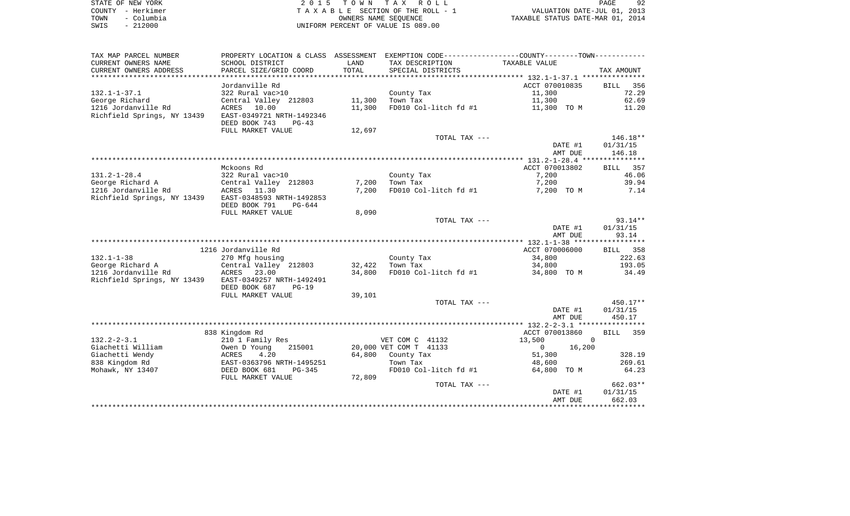| STATE OF NEW YORK  | 2015 TOWN TAX ROLL                 | 92<br>PAGE                       |
|--------------------|------------------------------------|----------------------------------|
| COUNTY - Herkimer  | TAXABLE SECTION OF THE ROLL - 1    | VALUATION DATE-JUL 01, 2013      |
| - Columbia<br>TOWN | OWNERS NAME SEOUENCE               | TAXABLE STATUS DATE-MAR 01, 2014 |
| $-212000$<br>SWIS  | UNIFORM PERCENT OF VALUE IS 089.00 |                                  |

| TAX MAP PARCEL NUMBER                   | PROPERTY LOCATION & CLASS ASSESSMENT        |                | EXEMPTION CODE-----------------COUNTY-------TOWN----------- |                       |                    |
|-----------------------------------------|---------------------------------------------|----------------|-------------------------------------------------------------|-----------------------|--------------------|
| CURRENT OWNERS NAME                     | SCHOOL DISTRICT                             | LAND           | TAX DESCRIPTION                                             | TAXABLE VALUE         |                    |
| CURRENT OWNERS ADDRESS                  | PARCEL SIZE/GRID COORD                      | TOTAL          | SPECIAL DISTRICTS                                           |                       | TAX AMOUNT         |
|                                         |                                             |                |                                                             |                       |                    |
|                                         | Jordanville Rd                              |                |                                                             | ACCT 070010835        | 356<br>BILL        |
| $132.1 - 1 - 37.1$                      | 322 Rural vac>10                            |                | County Tax                                                  | 11,300                | 72.29              |
| George Richard                          | Central Valley 212803                       | 11,300         | Town Tax                                                    | 11,300                | 62.69              |
| 1216 Jordanville Rd                     | ACRES<br>10.00                              | 11,300         | FD010 Col-litch fd #1                                       | 11,300 TO M           | 11.20              |
| Richfield Springs, NY 13439             | EAST-0349721 NRTH-1492346                   |                |                                                             |                       |                    |
|                                         | DEED BOOK 743<br>$PG-43$                    |                |                                                             |                       |                    |
|                                         | FULL MARKET VALUE                           | 12,697         |                                                             |                       |                    |
|                                         |                                             |                | TOTAL TAX ---                                               |                       | $146.18**$         |
|                                         |                                             |                |                                                             | DATE #1               | 01/31/15           |
|                                         |                                             |                |                                                             | AMT DUE               | 146.18             |
|                                         |                                             |                |                                                             |                       |                    |
|                                         | Mckoons Rd                                  |                |                                                             | ACCT 070013802        | 357<br>BILL        |
| $131.2 - 1 - 28.4$                      | 322 Rural vac>10                            |                | County Tax                                                  | 7,200                 | 46.06              |
| George Richard A<br>1216 Jordanville Rd | Central Valley 212803                       | 7,200<br>7,200 | Town Tax                                                    | 7,200                 | 39.94              |
| Richfield Springs, NY 13439             | ACRES<br>11.30<br>EAST-0348593 NRTH-1492853 |                | FD010 Col-litch fd #1                                       | 7,200 TO M            | 7.14               |
|                                         | DEED BOOK 791<br>$PG-644$                   |                |                                                             |                       |                    |
|                                         | FULL MARKET VALUE                           | 8,090          |                                                             |                       |                    |
|                                         |                                             |                | TOTAL TAX ---                                               |                       | $93.14**$          |
|                                         |                                             |                |                                                             | DATE #1               | 01/31/15           |
|                                         |                                             |                |                                                             | AMT DUE               | 93.14              |
|                                         |                                             |                |                                                             |                       |                    |
|                                         | 1216 Jordanville Rd                         |                |                                                             | ACCT 070006000        | 358<br>BILL        |
| $132.1 - 1 - 38$                        | 270 Mfg housing                             |                | County Tax                                                  | 34,800                | 222.63             |
| George Richard A                        | Central Valley 212803                       | 32,422         | Town Tax                                                    | 34,800                | 193.05             |
| 1216 Jordanville Rd                     | ACRES<br>23.00                              | 34,800         | FD010 Col-litch fd #1                                       | 34,800 TO M           | 34.49              |
| Richfield Springs, NY 13439             | EAST-0349257 NRTH-1492491                   |                |                                                             |                       |                    |
|                                         | DEED BOOK 687<br>$PG-19$                    |                |                                                             |                       |                    |
|                                         | FULL MARKET VALUE                           | 39,101         |                                                             |                       |                    |
|                                         |                                             |                | TOTAL TAX ---                                               |                       | 450.17**           |
|                                         |                                             |                |                                                             | DATE #1               | 01/31/15           |
|                                         |                                             |                |                                                             | AMT DUE               | 450.17             |
|                                         |                                             |                |                                                             |                       |                    |
|                                         | 838 Kingdom Rd                              |                |                                                             | ACCT 070013860        | <b>BILL</b><br>359 |
| $132.2 - 2 - 3.1$                       | 210 1 Family Res                            |                | VET COM C 41132                                             | 13,500<br>$\mathbf 0$ |                    |
| Giachetti William                       | Owen D Young<br>215001                      |                | 20,000 VET COM T 41133                                      | $\circ$<br>16,200     |                    |
| Giachetti Wendy                         | 4.20<br>ACRES                               | 64,800         | County Tax                                                  | 51,300                | 328.19             |
| 838 Kingdom Rd                          | EAST-0363796 NRTH-1495251                   |                | Town Tax                                                    | 48,600                | 269.61             |
| Mohawk, NY 13407                        | DEED BOOK 681<br>$PG-345$                   |                | FD010 Col-litch fd #1                                       | 64,800 TO M           | 64.23              |
|                                         | FULL MARKET VALUE                           | 72,809         |                                                             |                       |                    |
|                                         |                                             |                | TOTAL TAX ---                                               |                       | $662.03**$         |
|                                         |                                             |                |                                                             | DATE #1               | 01/31/15           |
|                                         |                                             |                |                                                             | AMT DUE               | 662.03             |
|                                         |                                             |                |                                                             |                       |                    |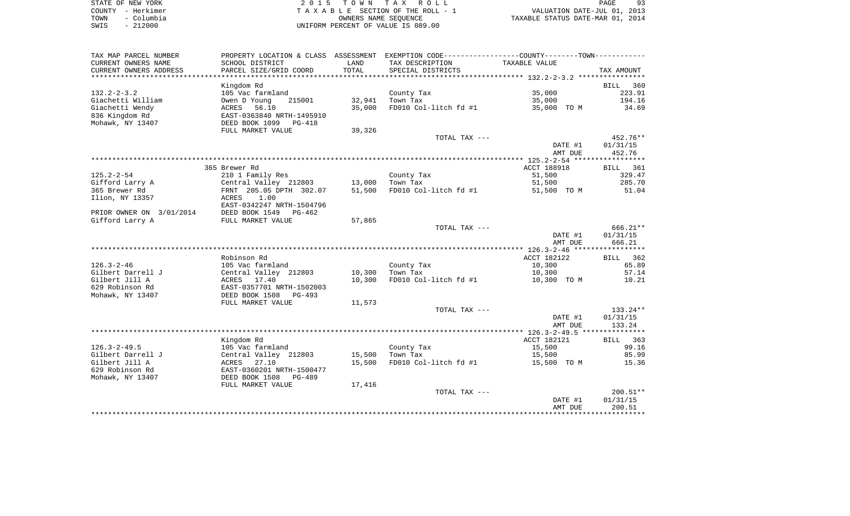| STATE OF NEW YORK  | 2015 TOWN TAX ROLL                 | PAGE                             |
|--------------------|------------------------------------|----------------------------------|
| COUNTY - Herkimer  | TAXABLE SECTION OF THE ROLL - 1    | VALUATION DATE-JUL 01, 2013      |
| - Columbia<br>TOWN | OWNERS NAME SEOUENCE               | TAXABLE STATUS DATE-MAR 01, 2014 |
| $-212000$<br>SWIS  | UNIFORM PERCENT OF VALUE IS 089.00 |                                  |

| TAX MAP PARCEL NUMBER    |                              |        | PROPERTY LOCATION & CLASS ASSESSMENT EXEMPTION CODE---------------COUNTY-------TOWN---------- |               |                    |
|--------------------------|------------------------------|--------|-----------------------------------------------------------------------------------------------|---------------|--------------------|
| CURRENT OWNERS NAME      | SCHOOL DISTRICT              | LAND   | TAX DESCRIPTION                                                                               | TAXABLE VALUE |                    |
| CURRENT OWNERS ADDRESS   | PARCEL SIZE/GRID COORD       | TOTAL  | SPECIAL DISTRICTS                                                                             |               | TAX AMOUNT         |
|                          |                              |        |                                                                                               |               |                    |
|                          | Kingdom Rd                   |        |                                                                                               |               | BILL<br>360        |
| $132.2 - 2 - 3.2$        | 105 Vac farmland             |        | County Tax                                                                                    | 35,000        | 223.91             |
| Giachetti William        | Owen D Young<br>215001       | 32,941 | Town Tax                                                                                      | 35,000        | 194.16             |
| Giachetti Wendy          | ACRES<br>56.10               | 35,000 | FD010 Col-litch $fd$ #1 35,000 TO M                                                           |               | 34.69              |
| 836 Kingdom Rd           | EAST-0363840 NRTH-1495910    |        |                                                                                               |               |                    |
| Mohawk, NY 13407         | DEED BOOK 1099 PG-418        |        |                                                                                               |               |                    |
|                          | FULL MARKET VALUE            | 39,326 |                                                                                               |               |                    |
|                          |                              |        | TOTAL TAX ---                                                                                 |               | 452.76**           |
|                          |                              |        |                                                                                               | DATE #1       | 01/31/15           |
|                          |                              |        |                                                                                               | AMT DUE       | 452.76             |
|                          |                              |        |                                                                                               |               |                    |
|                          | 365 Brewer Rd                |        |                                                                                               | ACCT 188918   |                    |
|                          |                              |        |                                                                                               |               | BILL 361<br>329.47 |
| $125.2 - 2 - 54$         | 210 1 Family Res             |        | County Tax                                                                                    | 51,500        |                    |
| Gifford Larry A          | Central Valley 212803 13,000 |        | Town Tax                                                                                      | 51,500        | 285.70             |
| 365 Brewer Rd            | FRNT 205.05 DPTH 302.07      | 51,500 | FD010 Col-litch fd #1                                                                         | 51,500 TO M   | 51.04              |
| Ilion, NY 13357          | ACRES 1.00                   |        |                                                                                               |               |                    |
|                          | EAST-0342247 NRTH-1504796    |        |                                                                                               |               |                    |
| PRIOR OWNER ON 3/01/2014 | DEED BOOK 1549 PG-462        |        |                                                                                               |               |                    |
| Gifford Larry A          | FULL MARKET VALUE            | 57,865 |                                                                                               |               |                    |
|                          |                              |        | TOTAL TAX ---                                                                                 |               | 666.21**           |
|                          |                              |        |                                                                                               | DATE #1       | 01/31/15           |
|                          |                              |        |                                                                                               | AMT DUE       | 666.21             |
|                          |                              |        |                                                                                               |               |                    |
|                          | Robinson Rd                  |        |                                                                                               | ACCT 182122   | BILL 362           |
| $126.3 - 2 - 46$         | 105 Vac farmland             |        | County Tax                                                                                    | 10,300        | 65.89              |
| Gilbert Darrell J        | Central Valley 212803        | 10,300 | Town Tax                                                                                      | 10,300        | 57.14              |
| Gilbert Jill A           | ACRES 17.40                  | 10,300 | FD010 Col-litch fd #1                                                                         | 10,300 TO M   | 10.21              |
| 629 Robinson Rd          | EAST-0357701 NRTH-1502003    |        |                                                                                               |               |                    |
| Mohawk, NY 13407         | DEED BOOK 1508<br>PG-493     |        |                                                                                               |               |                    |
|                          | FULL MARKET VALUE            | 11,573 |                                                                                               |               |                    |
|                          |                              |        | TOTAL TAX ---                                                                                 |               | 133.24**           |
|                          |                              |        |                                                                                               | DATE #1       | 01/31/15           |
|                          |                              |        |                                                                                               | AMT DUE       | 133.24             |
|                          |                              |        |                                                                                               |               |                    |
|                          | Kingdom Rd                   |        |                                                                                               | ACCT 182121   | BILL 363           |
| $126.3 - 2 - 49.5$       | 105 Vac farmland             |        | County Tax                                                                                    | 15,500        | 99.16              |
| Gilbert Darrell J        | Central Valley 212803        | 15,500 | Town Tax                                                                                      | 15,500        | 85.99              |
| Gilbert Jill A           | ACRES 27.10                  | 15,500 | FD010 Col-litch fd #1                                                                         | 15,500 TO M   | 15.36              |
| 629 Robinson Rd          | EAST-0360201 NRTH-1500477    |        |                                                                                               |               |                    |
| Mohawk, NY 13407         | DEED BOOK 1508<br>PG-489     |        |                                                                                               |               |                    |
|                          | FULL MARKET VALUE            | 17,416 |                                                                                               |               |                    |
|                          |                              |        | TOTAL TAX ---                                                                                 |               | $200.51**$         |
|                          |                              |        |                                                                                               | DATE #1       | 01/31/15           |
|                          |                              |        |                                                                                               | AMT DUE       | 200.51             |
|                          |                              |        |                                                                                               |               |                    |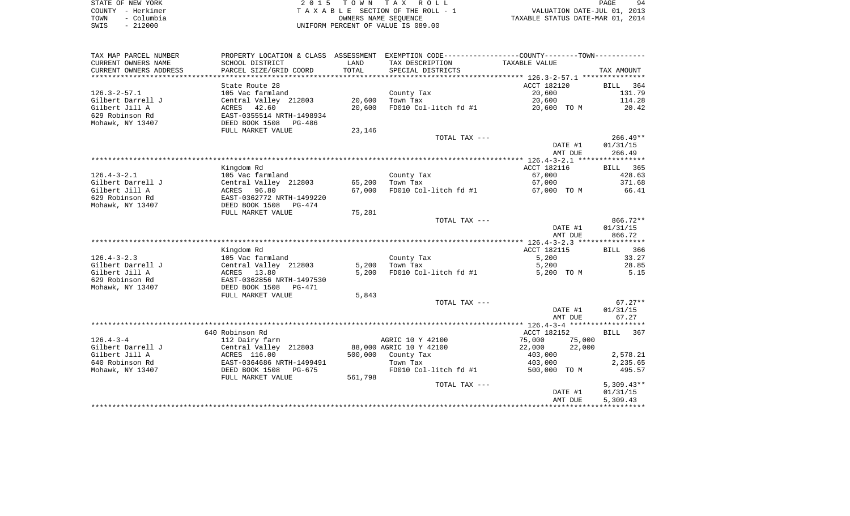| STATE OF NEW YORK  | 2015 TOWN TAX ROLL                 | 94<br>PAGE                       |
|--------------------|------------------------------------|----------------------------------|
| COUNTY - Herkimer  | TAXABLE SECTION OF THE ROLL - 1    | VALUATION DATE-JUL 01, 2013      |
| - Columbia<br>TOWN | OWNERS NAME SEOUENCE               | TAXABLE STATUS DATE-MAR 01, 2014 |
| $-212000$<br>SWIS  | UNIFORM PERCENT OF VALUE IS 089.00 |                                  |

| TAX MAP PARCEL NUMBER      | PROPERTY LOCATION & CLASS ASSESSMENT |         | EXEMPTION CODE----------------COUNTY-------TOWN----------- |                  |              |
|----------------------------|--------------------------------------|---------|------------------------------------------------------------|------------------|--------------|
| CURRENT OWNERS NAME        | SCHOOL DISTRICT                      | LAND    | TAX DESCRIPTION                                            | TAXABLE VALUE    |              |
| CURRENT OWNERS ADDRESS     | PARCEL SIZE/GRID COORD               | TOTAL   | SPECIAL DISTRICTS                                          |                  | TAX AMOUNT   |
| ************************** |                                      |         |                                                            |                  |              |
|                            | State Route 28                       |         |                                                            | ACCT 182120      | 364<br>BILL  |
| $126.3 - 2 - 57.1$         | 105 Vac farmland                     |         | County Tax                                                 | 20,600           | 131.79       |
| Gilbert Darrell J          | Central Valley 212803                | 20,600  | Town Tax                                                   | 20,600           | 114.28       |
| Gilbert Jill A             | ACRES 42.60                          | 20,600  | FD010 Col-litch fd #1                                      | 20,600 TO M      | 20.42        |
| 629 Robinson Rd            | EAST-0355514 NRTH-1498934            |         |                                                            |                  |              |
| Mohawk, NY 13407           | DEED BOOK 1508<br>PG-486             |         |                                                            |                  |              |
|                            | FULL MARKET VALUE                    | 23,146  |                                                            |                  |              |
|                            |                                      |         | TOTAL TAX ---                                              |                  | $266.49**$   |
|                            |                                      |         |                                                            | DATE #1          | 01/31/15     |
|                            |                                      |         |                                                            | AMT DUE          | 266.49       |
|                            |                                      |         |                                                            |                  |              |
|                            | Kingdom Rd                           |         |                                                            | ACCT 182116      | BILL 365     |
| $126.4 - 3 - 2.1$          | 105 Vac farmland                     |         | County Tax                                                 | 67,000           | 428.63       |
| Gilbert Darrell J          | Central Valley 212803                | 65,200  | Town Tax                                                   | 67,000           | 371.68       |
| Gilbert Jill A             | ACRES 96.80                          | 67,000  | FD010 Col-litch fd #1                                      | 67,000 TO M      | 66.41        |
| 629 Robinson Rd            | EAST-0362772 NRTH-1499220            |         |                                                            |                  |              |
| Mohawk, NY 13407           | DEED BOOK 1508<br>PG-474             |         |                                                            |                  |              |
|                            | FULL MARKET VALUE                    | 75,281  |                                                            |                  |              |
|                            |                                      |         | TOTAL TAX ---                                              |                  | $866.72**$   |
|                            |                                      |         |                                                            | DATE #1          | 01/31/15     |
|                            |                                      |         |                                                            | AMT DUE          | 866.72       |
|                            | Kingdom Rd                           |         |                                                            | ACCT 182115      | BILL 366     |
| $126.4 - 3 - 2.3$          | 105 Vac farmland                     |         | County Tax                                                 | 5,200            | 33.27        |
| Gilbert Darrell J          | Central Valley 212803                | 5,200   | Town Tax                                                   | 5,200            | 28.85        |
| Gilbert Jill A             | ACRES 13.80                          | 5,200   | FD010 Col-litch fd #1                                      | 5,200 TO M       | 5.15         |
| 629 Robinson Rd            | EAST-0362856 NRTH-1497530            |         |                                                            |                  |              |
| Mohawk, NY 13407           | DEED BOOK 1508<br>PG-471             |         |                                                            |                  |              |
|                            | FULL MARKET VALUE                    | 5,843   |                                                            |                  |              |
|                            |                                      |         | TOTAL TAX ---                                              |                  | $67.27**$    |
|                            |                                      |         |                                                            | DATE #1          | 01/31/15     |
|                            |                                      |         |                                                            | AMT DUE          | 67.27        |
|                            |                                      |         |                                                            |                  |              |
|                            | 640 Robinson Rd                      |         |                                                            | ACCT 182152      | BILL 367     |
| $126.4 - 3 - 4$            | 112 Dairy farm                       |         | AGRIC 10 Y 42100                                           | 75,000<br>75,000 |              |
| Gilbert Darrell J          | Central Valley 212803                |         | 88,000 AGRIC 10 Y 42100                                    | 22,000<br>22,000 |              |
| Gilbert Jill A             | ACRES 116.00                         | 500,000 | County Tax                                                 | 403,000          | 2,578.21     |
| 640 Robinson Rd            | EAST-0364686 NRTH-1499491            |         | Town Tax                                                   | 403,000          | 2,235.65     |
| Mohawk, NY 13407           | DEED BOOK 1508<br>$PG-675$           |         | FD010 Col-litch fd #1                                      | 500,000 TO M     | 495.57       |
|                            | FULL MARKET VALUE                    | 561,798 |                                                            |                  |              |
|                            |                                      |         | TOTAL TAX ---                                              |                  | $5,309.43**$ |
|                            |                                      |         |                                                            | DATE #1          | 01/31/15     |
|                            |                                      |         |                                                            | AMT DUE          | 5,309.43     |
|                            |                                      |         |                                                            |                  |              |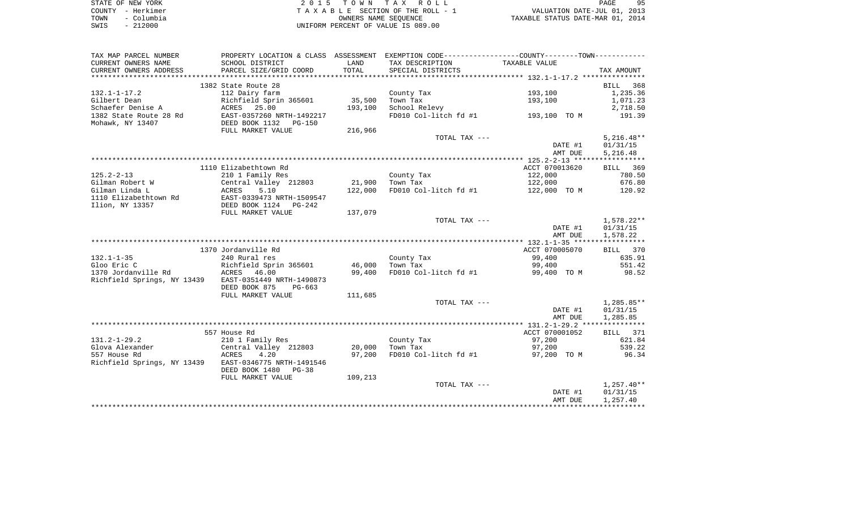|      | STATE OF NEW YORK | 2015 TOWN TAX ROLL                 | PAGE                             | 95 |
|------|-------------------|------------------------------------|----------------------------------|----|
|      | COUNTY - Herkimer | TAXABLE SECTION OF THE ROLL - 1    | VALUATION DATE-JUL 01, 2013      |    |
| TOWN | – Columbia        | OWNERS NAME SEOUENCE               | TAXABLE STATUS DATE-MAR 01, 2014 |    |
| SWIS | $-212000$         | UNIFORM PERCENT OF VALUE IS 089.00 |                                  |    |

| TAX MAP PARCEL NUMBER                                 |                                       |                   | PROPERTY LOCATION & CLASS ASSESSMENT EXEMPTION CODE---------------COUNTY-------TOWN---------- |                    |                      |
|-------------------------------------------------------|---------------------------------------|-------------------|-----------------------------------------------------------------------------------------------|--------------------|----------------------|
| CURRENT OWNERS NAME                                   | SCHOOL DISTRICT                       | LAND              | TAX DESCRIPTION                                                                               | TAXABLE VALUE      |                      |
| CURRENT OWNERS ADDRESS                                | PARCEL SIZE/GRID COORD                | TOTAL             | SPECIAL DISTRICTS                                                                             |                    | TAX AMOUNT           |
|                                                       |                                       |                   |                                                                                               |                    |                      |
|                                                       | 1382 State Route 28                   |                   |                                                                                               |                    | BILL 368             |
| $132.1 - 1 - 17.2$                                    | 112 Dairy farm                        |                   | County Tax                                                                                    | 193,100            | 1,235.36             |
| Gilbert Dean<br>Schaefer Denise A                     | Richfield Sprin 365601<br>ACRES 25.00 | 35,500<br>193,100 | Town Tax<br>School Relevy                                                                     | 193,100            | 1,071.23<br>2,718.50 |
| 1382 State Route 28 Rd                                | EAST-0357260 NRTH-1492217             |                   | FD010 Col-litch fd #1 $193,100$ TO M                                                          |                    | 191.39               |
| Mohawk, NY 13407                                      | DEED BOOK 1132 PG-150                 |                   |                                                                                               |                    |                      |
|                                                       | FULL MARKET VALUE                     | 216,966           |                                                                                               |                    |                      |
|                                                       |                                       |                   | TOTAL TAX ---                                                                                 |                    | $5,216.48**$         |
|                                                       |                                       |                   |                                                                                               | DATE #1            | 01/31/15             |
|                                                       |                                       |                   |                                                                                               | AMT DUE            | 5,216.48             |
|                                                       |                                       |                   |                                                                                               |                    |                      |
|                                                       | 1110 Elizabethtown Rd                 |                   |                                                                                               | ACCT 070013620     | BILL 369             |
| $125.2 - 2 - 13$                                      | 210 1 Family Res                      |                   | County Tax                                                                                    | 122,000            | 780.50               |
| Gilman Robert W                                       | Central Valley 212803                 | 21,900            | Town Tax                                                                                      | 122,000            | 676.80               |
| Gilman Linda L                                        | 5.10<br>ACRES                         | 122,000           | FD010 Col-litch fd #1                                                                         | 122,000 TO M       | 120.92               |
| 1110 Elizabethtown Rd                                 | EAST-0339473 NRTH-1509547             |                   |                                                                                               |                    |                      |
| Ilion, NY 13357                                       | DEED BOOK 1124 PG-242                 |                   |                                                                                               |                    |                      |
|                                                       | FULL MARKET VALUE                     | 137,079           | TOTAL TAX ---                                                                                 |                    | 1,578.22**           |
|                                                       |                                       |                   |                                                                                               | DATE #1            | 01/31/15             |
|                                                       |                                       |                   |                                                                                               | AMT DUE            | 1,578.22             |
|                                                       |                                       |                   |                                                                                               |                    |                      |
|                                                       | 1370 Jordanville Rd                   |                   |                                                                                               | ACCT 070005070     | BILL 370             |
| $132.1 - 1 - 35$                                      | 240 Rural res                         |                   | County Tax                                                                                    | 99,400             | 635.91               |
| Gloo Eric C                                           | Richfield Sprin 365601                | 46,000            | Town Tax                                                                                      | 99,400             | 551.42               |
| 1370 Jordanville Rd                                   | ACRES 46.00                           | 99,400            | FD010 Col-litch fd #1                                                                         | 99,400 TO M        | 98.52                |
| Richfield Springs, NY 13439 EAST-0351449 NRTH-1490873 |                                       |                   |                                                                                               |                    |                      |
|                                                       | DEED BOOK 875<br>PG-663               |                   |                                                                                               |                    |                      |
|                                                       | FULL MARKET VALUE                     | 111,685           |                                                                                               |                    |                      |
|                                                       |                                       |                   | TOTAL TAX ---                                                                                 |                    | $1,285.85**$         |
|                                                       |                                       |                   |                                                                                               | DATE #1<br>AMT DUE | 01/31/15<br>1,285.85 |
|                                                       |                                       |                   |                                                                                               |                    |                      |
|                                                       | 557 House Rd                          |                   |                                                                                               | ACCT 070001052     | BILL 371             |
| $131.2 - 1 - 29.2$                                    | 210 1 Family Res                      |                   | County Tax                                                                                    | 97,200             | 621.84               |
| Glova Alexander                                       | Central Valley 212803                 | 20,000            | Town Tax                                                                                      | 97,200             | 539.22               |
| 557 House Rd                                          | ACRES<br>4.20                         | 97,200            | FD010 Col-litch fd #1                                                                         | 97,200 TO M        | 96.34                |
| Richfield Springs, NY 13439 EAST-0346775 NRTH-1491546 |                                       |                   |                                                                                               |                    |                      |
|                                                       | DEED BOOK 1480<br>PG-38               |                   |                                                                                               |                    |                      |
|                                                       | FULL MARKET VALUE                     | 109,213           |                                                                                               |                    |                      |
|                                                       |                                       |                   | TOTAL TAX ---                                                                                 |                    | $1,257.40**$         |
|                                                       |                                       |                   |                                                                                               | DATE #1            | 01/31/15             |
|                                                       |                                       |                   |                                                                                               | AMT DUE            | 1,257.40             |
|                                                       |                                       |                   |                                                                                               |                    |                      |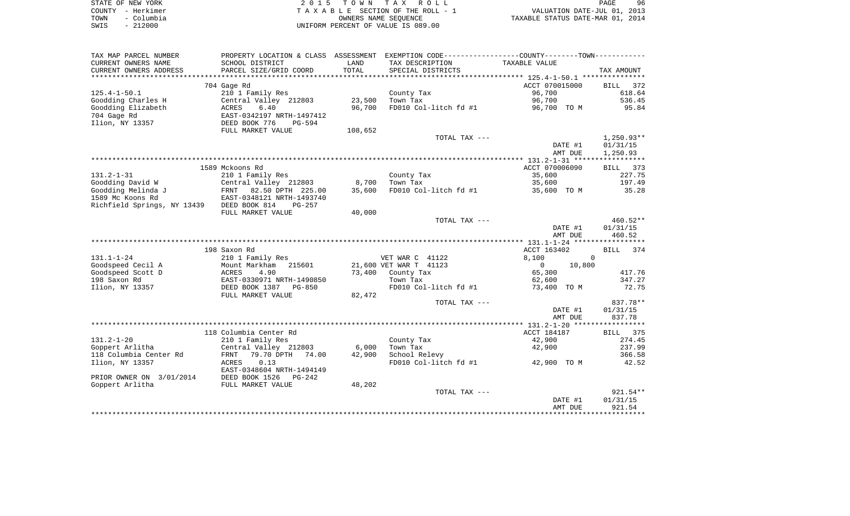|        | STATE OF NEW YORK | 015 TOWN TAX ROLL                  | 96<br>PAGE                       |
|--------|-------------------|------------------------------------|----------------------------------|
| COUNTY | – Herkimer        | TAXABLE SECTION OF THE ROLL - 1    | VALUATION DATE-JUL 01, 2013      |
| TOWN   | - Columbia        | OWNERS NAME SEOUENCE               | TAXABLE STATUS DATE-MAR 01, 2014 |
| SWIS   | 212000            | UNIFORM PERCENT OF VALUE IS 089.00 |                                  |

| TAX MAP PARCEL NUMBER       | PROPERTY LOCATION & CLASS ASSESSMENT |         | EXEMPTION CODE-----------------COUNTY-------TOWN----------- |                          |                    |
|-----------------------------|--------------------------------------|---------|-------------------------------------------------------------|--------------------------|--------------------|
| CURRENT OWNERS NAME         | SCHOOL DISTRICT                      | LAND    | TAX DESCRIPTION                                             | TAXABLE VALUE            |                    |
| CURRENT OWNERS ADDRESS      | PARCEL SIZE/GRID COORD               | TOTAL   | SPECIAL DISTRICTS                                           |                          | TAX AMOUNT         |
| *********************       |                                      |         |                                                             |                          |                    |
|                             | 704 Gage Rd                          |         |                                                             | ACCT 070015000           | <b>BILL</b><br>372 |
| $125.4 - 1 - 50.1$          | 210 1 Family Res                     |         | County Tax                                                  | 96,700                   | 618.64             |
| Goodding Charles H          | Central Valley 212803                | 23,500  | Town Tax                                                    | 96,700                   | 536.45             |
| Goodding Elizabeth          | 6.40<br>ACRES                        | 96,700  | FD010 Col-litch fd #1                                       | 96,700 TO M              | 95.84              |
| 704 Gage Rd                 | EAST-0342197 NRTH-1497412            |         |                                                             |                          |                    |
| Ilion, NY 13357             | DEED BOOK 776<br>$PG-594$            |         |                                                             |                          |                    |
|                             | FULL MARKET VALUE                    | 108,652 |                                                             |                          |                    |
|                             |                                      |         | TOTAL TAX ---                                               |                          | $1,250.93**$       |
|                             |                                      |         |                                                             | DATE #1                  | 01/31/15           |
|                             |                                      |         |                                                             | AMT DUE                  | 1,250.93           |
|                             |                                      |         |                                                             |                          |                    |
|                             | 1589 Mckoons Rd                      |         |                                                             | ACCT 070006090           | BILL 373           |
| $131.2 - 1 - 31$            | 210 1 Family Res                     |         | County Tax                                                  | 35,600                   | 227.75             |
| Goodding David W            | Central Valley 212803                | 8,700   | Town Tax                                                    | 35,600                   | 197.49             |
| Goodding Melinda J          | FRNT 82.50 DPTH 225.00               | 35,600  | FD010 Col-litch fd #1                                       | 35,600 TO M              | 35.28              |
| 1589 Mc Koons Rd            | EAST-0348121 NRTH-1493740            |         |                                                             |                          |                    |
| Richfield Springs, NY 13439 | DEED BOOK 814<br>PG-257              |         |                                                             |                          |                    |
|                             | FULL MARKET VALUE                    | 40,000  | TOTAL TAX ---                                               |                          | 460.52**           |
|                             |                                      |         |                                                             | DATE #1                  | 01/31/15           |
|                             |                                      |         |                                                             | AMT DUE                  | 460.52             |
|                             |                                      |         |                                                             |                          |                    |
|                             | 198 Saxon Rd                         |         |                                                             | ACCT 163402              | BILL 374           |
| $131.1 - 1 - 24$            | 210 1 Family Res                     |         | VET WAR C 41122                                             | $\mathbf 0$<br>8,100     |                    |
| Goodspeed Cecil A           | 215601<br>Mount Markham              |         | 21,600 VET WAR T 41123                                      | $\overline{0}$<br>10,800 |                    |
| Goodspeed Scott D           | ACRES<br>4.90                        | 73,400  | County Tax                                                  | 65,300                   | 417.76             |
| 198 Saxon Rd                | EAST-0330971 NRTH-1490850            |         | Town Tax                                                    | 62,600                   | 347.27             |
| Ilion, NY 13357             | DEED BOOK 1387<br>PG-850             |         | FD010 Col-litch fd #1                                       | TO M<br>73,400           | 72.75              |
|                             | FULL MARKET VALUE                    | 82,472  |                                                             |                          |                    |
|                             |                                      |         | TOTAL TAX ---                                               |                          | 837.78**           |
|                             |                                      |         |                                                             | DATE #1                  | 01/31/15           |
|                             |                                      |         |                                                             | AMT DUE                  | 837.78             |
|                             |                                      |         |                                                             |                          |                    |
|                             | 118 Columbia Center Rd               |         |                                                             | ACCT 184187              | 375<br>BILL        |
| $131.2 - 1 - 20$            | 210 1 Family Res                     |         | County Tax                                                  | 42,900                   | 274.45             |
| Goppert Arlitha             | Central Valley 212803                | 6,000   | Town Tax                                                    | 42,900                   | 237.99             |
| 118 Columbia Center Rd      | 79.70 DPTH<br><b>FRNT</b><br>74.00   | 42,900  | School Relevy                                               |                          | 366.58             |
| Ilion, NY 13357             | 0.13<br>ACRES                        |         | FD010 Col-litch fd #1                                       | 42,900 TO M              | 42.52              |
|                             | EAST-0348604 NRTH-1494149            |         |                                                             |                          |                    |
| PRIOR OWNER ON 3/01/2014    | DEED BOOK 1526<br>PG-242             |         |                                                             |                          |                    |
| Goppert Arlitha             | FULL MARKET VALUE                    | 48,202  |                                                             |                          |                    |
|                             |                                      |         | TOTAL TAX ---                                               |                          | $921.54**$         |
|                             |                                      |         |                                                             | DATE #1                  | 01/31/15           |
|                             |                                      |         |                                                             | AMT DUE                  | 921.54             |
|                             |                                      |         |                                                             |                          |                    |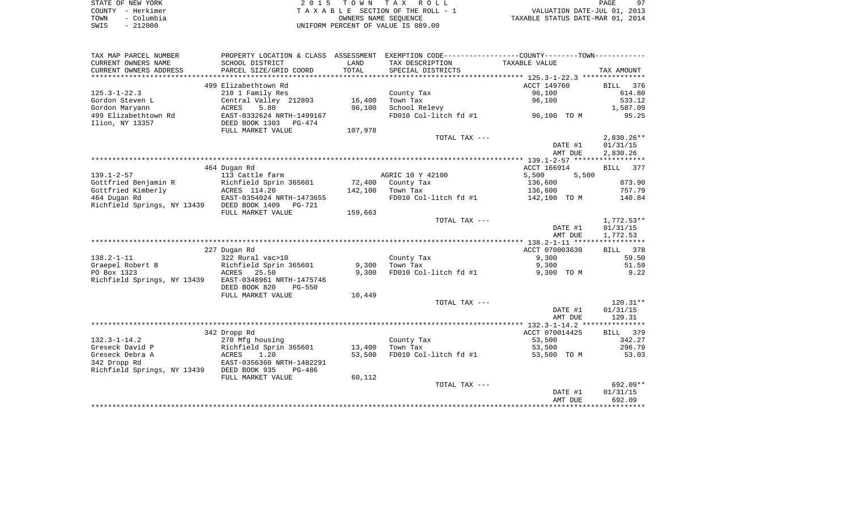|      | STATE OF NEW YORK | 2015 TOWN TAX ROLL                 | PAGE                             |
|------|-------------------|------------------------------------|----------------------------------|
|      | COUNTY - Herkimer | TAXABLE SECTION OF THE ROLL - 1    | VALUATION DATE-JUL 01, 2013      |
| TOWN | – Columbia        | OWNERS NAME SEOUENCE               | TAXABLE STATUS DATE-MAR 01, 2014 |
| SWIS | $-212000$         | UNIFORM PERCENT OF VALUE IS 089.00 |                                  |

| SCHOOL DISTRICT<br>LAND<br>TAX DESCRIPTION<br>TAXABLE VALUE<br>PARCEL SIZE/GRID COORD<br>TOTAL<br>SPECIAL DISTRICTS<br>TAX AMOUNT<br>**********************<br>499 Elizabethtown Rd<br>ACCT 149760<br>BILL<br>376<br>96,100<br>614.80<br>$125.3 - 1 - 22.3$<br>210 1 Family Res<br>County Tax<br>16,400<br>Central Valley 212803<br>96,100<br>533.12<br>Gordon Steven L<br>Town Tax<br>Gordon Maryann<br>96,100<br>School Relevy<br>1,587.09<br>ACRES<br>5.80<br>499 Elizabethtown Rd<br>FD010 Col-litch fd #1<br>95.25<br>EAST-0332624 NRTH-1499167<br>96,100 TO M<br>Ilion, NY 13357<br>DEED BOOK 1303<br>PG-474<br>107,978<br>FULL MARKET VALUE<br>TOTAL TAX ---<br>$2,830.26**$<br>01/31/15<br>DATE #1<br>2,830.26<br>AMT DUE<br>464 Dugan Rd<br>ACCT 166914<br>BILL<br>377<br>$139.1 - 2 - 57$<br>AGRIC 10 Y 42100<br>113 Cattle farm<br>5,500<br>5,500<br>873.90<br>Gottfried Benjamin R<br>Richfield Sprin 365601<br>72,400<br>County Tax<br>136,600<br>Gottfried Kimberly<br>ACRES 114.20<br>142,100<br>Town Tax<br>757.79<br>136,600<br>464 Dugan Rd<br>EAST-0354024 NRTH-1473655<br>FD010 Col-litch fd #1<br>142,100 TO M<br>140.84<br>Richfield Springs, NY 13439<br>DEED BOOK 1409<br>PG-721<br>FULL MARKET VALUE<br>159,663<br>$1,772.53**$<br>TOTAL TAX ---<br>DATE #1<br>01/31/15<br>AMT DUE<br>1,772.53<br>227 Dugan Rd<br>ACCT 070003630<br>BILL<br>378<br>$138.2 - 1 - 11$<br>9,300<br>59.50<br>322 Rural vac>10<br>County Tax<br>51.59<br>Graepel Robert B<br>Richfield Sprin 365601<br>9,300<br>Town Tax<br>9,300<br>PO Box 1323<br>9,300<br>FD010 Col-litch fd #1<br>9,300 TO M<br>9.22<br>ACRES 25.50<br>Richfield Springs, NY 13439<br>EAST-0348961 NRTH-1475746<br>DEED BOOK 820<br><b>PG-550</b><br>FULL MARKET VALUE<br>10,449<br>TOTAL TAX ---<br>$120.31**$<br>01/31/15<br>DATE #1<br>120.31<br>AMT DUE<br>ACCT 070014425<br>379<br>342 Dropp Rd<br>BILL<br>$132.3 - 1 - 14.2$<br>270 Mfg housing<br>County Tax<br>53,500<br>342.27<br>Greseck David P<br>296.79<br>Richfield Sprin 365601<br>13,400<br>Town Tax<br>53,500<br>Greseck Debra A<br>1.20<br>53,500<br>FD010 Col-litch fd #1<br>53,500 TO M<br>53.03<br>ACRES<br>342 Dropp Rd<br>EAST-0356360 NRTH-1482291<br>Richfield Springs, NY 13439<br>DEED BOOK 935<br>$PG-486$<br>FULL MARKET VALUE<br>60,112<br>$692.09**$<br>TOTAL TAX ---<br>DATE #1<br>01/31/15<br>AMT DUE<br>692.09<br>*********** | TAX MAP PARCEL NUMBER  | PROPERTY LOCATION & CLASS | ASSESSMENT | EXEMPTION CODE-----------------COUNTY-------TOWN----------- |  |
|-----------------------------------------------------------------------------------------------------------------------------------------------------------------------------------------------------------------------------------------------------------------------------------------------------------------------------------------------------------------------------------------------------------------------------------------------------------------------------------------------------------------------------------------------------------------------------------------------------------------------------------------------------------------------------------------------------------------------------------------------------------------------------------------------------------------------------------------------------------------------------------------------------------------------------------------------------------------------------------------------------------------------------------------------------------------------------------------------------------------------------------------------------------------------------------------------------------------------------------------------------------------------------------------------------------------------------------------------------------------------------------------------------------------------------------------------------------------------------------------------------------------------------------------------------------------------------------------------------------------------------------------------------------------------------------------------------------------------------------------------------------------------------------------------------------------------------------------------------------------------------------------------------------------------------------------------------------------------------------------------------------------------------------------------------------------------------------------------------------------------------------------------------------------------------------------------------------------------------------------------------------------------------------------------------------------------------------------------------------------------------------------|------------------------|---------------------------|------------|-------------------------------------------------------------|--|
|                                                                                                                                                                                                                                                                                                                                                                                                                                                                                                                                                                                                                                                                                                                                                                                                                                                                                                                                                                                                                                                                                                                                                                                                                                                                                                                                                                                                                                                                                                                                                                                                                                                                                                                                                                                                                                                                                                                                                                                                                                                                                                                                                                                                                                                                                                                                                                                         | CURRENT OWNERS NAME    |                           |            |                                                             |  |
|                                                                                                                                                                                                                                                                                                                                                                                                                                                                                                                                                                                                                                                                                                                                                                                                                                                                                                                                                                                                                                                                                                                                                                                                                                                                                                                                                                                                                                                                                                                                                                                                                                                                                                                                                                                                                                                                                                                                                                                                                                                                                                                                                                                                                                                                                                                                                                                         | CURRENT OWNERS ADDRESS |                           |            |                                                             |  |
|                                                                                                                                                                                                                                                                                                                                                                                                                                                                                                                                                                                                                                                                                                                                                                                                                                                                                                                                                                                                                                                                                                                                                                                                                                                                                                                                                                                                                                                                                                                                                                                                                                                                                                                                                                                                                                                                                                                                                                                                                                                                                                                                                                                                                                                                                                                                                                                         |                        |                           |            |                                                             |  |
|                                                                                                                                                                                                                                                                                                                                                                                                                                                                                                                                                                                                                                                                                                                                                                                                                                                                                                                                                                                                                                                                                                                                                                                                                                                                                                                                                                                                                                                                                                                                                                                                                                                                                                                                                                                                                                                                                                                                                                                                                                                                                                                                                                                                                                                                                                                                                                                         |                        |                           |            |                                                             |  |
|                                                                                                                                                                                                                                                                                                                                                                                                                                                                                                                                                                                                                                                                                                                                                                                                                                                                                                                                                                                                                                                                                                                                                                                                                                                                                                                                                                                                                                                                                                                                                                                                                                                                                                                                                                                                                                                                                                                                                                                                                                                                                                                                                                                                                                                                                                                                                                                         |                        |                           |            |                                                             |  |
|                                                                                                                                                                                                                                                                                                                                                                                                                                                                                                                                                                                                                                                                                                                                                                                                                                                                                                                                                                                                                                                                                                                                                                                                                                                                                                                                                                                                                                                                                                                                                                                                                                                                                                                                                                                                                                                                                                                                                                                                                                                                                                                                                                                                                                                                                                                                                                                         |                        |                           |            |                                                             |  |
|                                                                                                                                                                                                                                                                                                                                                                                                                                                                                                                                                                                                                                                                                                                                                                                                                                                                                                                                                                                                                                                                                                                                                                                                                                                                                                                                                                                                                                                                                                                                                                                                                                                                                                                                                                                                                                                                                                                                                                                                                                                                                                                                                                                                                                                                                                                                                                                         |                        |                           |            |                                                             |  |
|                                                                                                                                                                                                                                                                                                                                                                                                                                                                                                                                                                                                                                                                                                                                                                                                                                                                                                                                                                                                                                                                                                                                                                                                                                                                                                                                                                                                                                                                                                                                                                                                                                                                                                                                                                                                                                                                                                                                                                                                                                                                                                                                                                                                                                                                                                                                                                                         |                        |                           |            |                                                             |  |
|                                                                                                                                                                                                                                                                                                                                                                                                                                                                                                                                                                                                                                                                                                                                                                                                                                                                                                                                                                                                                                                                                                                                                                                                                                                                                                                                                                                                                                                                                                                                                                                                                                                                                                                                                                                                                                                                                                                                                                                                                                                                                                                                                                                                                                                                                                                                                                                         |                        |                           |            |                                                             |  |
|                                                                                                                                                                                                                                                                                                                                                                                                                                                                                                                                                                                                                                                                                                                                                                                                                                                                                                                                                                                                                                                                                                                                                                                                                                                                                                                                                                                                                                                                                                                                                                                                                                                                                                                                                                                                                                                                                                                                                                                                                                                                                                                                                                                                                                                                                                                                                                                         |                        |                           |            |                                                             |  |
|                                                                                                                                                                                                                                                                                                                                                                                                                                                                                                                                                                                                                                                                                                                                                                                                                                                                                                                                                                                                                                                                                                                                                                                                                                                                                                                                                                                                                                                                                                                                                                                                                                                                                                                                                                                                                                                                                                                                                                                                                                                                                                                                                                                                                                                                                                                                                                                         |                        |                           |            |                                                             |  |
|                                                                                                                                                                                                                                                                                                                                                                                                                                                                                                                                                                                                                                                                                                                                                                                                                                                                                                                                                                                                                                                                                                                                                                                                                                                                                                                                                                                                                                                                                                                                                                                                                                                                                                                                                                                                                                                                                                                                                                                                                                                                                                                                                                                                                                                                                                                                                                                         |                        |                           |            |                                                             |  |
|                                                                                                                                                                                                                                                                                                                                                                                                                                                                                                                                                                                                                                                                                                                                                                                                                                                                                                                                                                                                                                                                                                                                                                                                                                                                                                                                                                                                                                                                                                                                                                                                                                                                                                                                                                                                                                                                                                                                                                                                                                                                                                                                                                                                                                                                                                                                                                                         |                        |                           |            |                                                             |  |
|                                                                                                                                                                                                                                                                                                                                                                                                                                                                                                                                                                                                                                                                                                                                                                                                                                                                                                                                                                                                                                                                                                                                                                                                                                                                                                                                                                                                                                                                                                                                                                                                                                                                                                                                                                                                                                                                                                                                                                                                                                                                                                                                                                                                                                                                                                                                                                                         |                        |                           |            |                                                             |  |
|                                                                                                                                                                                                                                                                                                                                                                                                                                                                                                                                                                                                                                                                                                                                                                                                                                                                                                                                                                                                                                                                                                                                                                                                                                                                                                                                                                                                                                                                                                                                                                                                                                                                                                                                                                                                                                                                                                                                                                                                                                                                                                                                                                                                                                                                                                                                                                                         |                        |                           |            |                                                             |  |
|                                                                                                                                                                                                                                                                                                                                                                                                                                                                                                                                                                                                                                                                                                                                                                                                                                                                                                                                                                                                                                                                                                                                                                                                                                                                                                                                                                                                                                                                                                                                                                                                                                                                                                                                                                                                                                                                                                                                                                                                                                                                                                                                                                                                                                                                                                                                                                                         |                        |                           |            |                                                             |  |
|                                                                                                                                                                                                                                                                                                                                                                                                                                                                                                                                                                                                                                                                                                                                                                                                                                                                                                                                                                                                                                                                                                                                                                                                                                                                                                                                                                                                                                                                                                                                                                                                                                                                                                                                                                                                                                                                                                                                                                                                                                                                                                                                                                                                                                                                                                                                                                                         |                        |                           |            |                                                             |  |
|                                                                                                                                                                                                                                                                                                                                                                                                                                                                                                                                                                                                                                                                                                                                                                                                                                                                                                                                                                                                                                                                                                                                                                                                                                                                                                                                                                                                                                                                                                                                                                                                                                                                                                                                                                                                                                                                                                                                                                                                                                                                                                                                                                                                                                                                                                                                                                                         |                        |                           |            |                                                             |  |
|                                                                                                                                                                                                                                                                                                                                                                                                                                                                                                                                                                                                                                                                                                                                                                                                                                                                                                                                                                                                                                                                                                                                                                                                                                                                                                                                                                                                                                                                                                                                                                                                                                                                                                                                                                                                                                                                                                                                                                                                                                                                                                                                                                                                                                                                                                                                                                                         |                        |                           |            |                                                             |  |
|                                                                                                                                                                                                                                                                                                                                                                                                                                                                                                                                                                                                                                                                                                                                                                                                                                                                                                                                                                                                                                                                                                                                                                                                                                                                                                                                                                                                                                                                                                                                                                                                                                                                                                                                                                                                                                                                                                                                                                                                                                                                                                                                                                                                                                                                                                                                                                                         |                        |                           |            |                                                             |  |
|                                                                                                                                                                                                                                                                                                                                                                                                                                                                                                                                                                                                                                                                                                                                                                                                                                                                                                                                                                                                                                                                                                                                                                                                                                                                                                                                                                                                                                                                                                                                                                                                                                                                                                                                                                                                                                                                                                                                                                                                                                                                                                                                                                                                                                                                                                                                                                                         |                        |                           |            |                                                             |  |
|                                                                                                                                                                                                                                                                                                                                                                                                                                                                                                                                                                                                                                                                                                                                                                                                                                                                                                                                                                                                                                                                                                                                                                                                                                                                                                                                                                                                                                                                                                                                                                                                                                                                                                                                                                                                                                                                                                                                                                                                                                                                                                                                                                                                                                                                                                                                                                                         |                        |                           |            |                                                             |  |
|                                                                                                                                                                                                                                                                                                                                                                                                                                                                                                                                                                                                                                                                                                                                                                                                                                                                                                                                                                                                                                                                                                                                                                                                                                                                                                                                                                                                                                                                                                                                                                                                                                                                                                                                                                                                                                                                                                                                                                                                                                                                                                                                                                                                                                                                                                                                                                                         |                        |                           |            |                                                             |  |
|                                                                                                                                                                                                                                                                                                                                                                                                                                                                                                                                                                                                                                                                                                                                                                                                                                                                                                                                                                                                                                                                                                                                                                                                                                                                                                                                                                                                                                                                                                                                                                                                                                                                                                                                                                                                                                                                                                                                                                                                                                                                                                                                                                                                                                                                                                                                                                                         |                        |                           |            |                                                             |  |
|                                                                                                                                                                                                                                                                                                                                                                                                                                                                                                                                                                                                                                                                                                                                                                                                                                                                                                                                                                                                                                                                                                                                                                                                                                                                                                                                                                                                                                                                                                                                                                                                                                                                                                                                                                                                                                                                                                                                                                                                                                                                                                                                                                                                                                                                                                                                                                                         |                        |                           |            |                                                             |  |
|                                                                                                                                                                                                                                                                                                                                                                                                                                                                                                                                                                                                                                                                                                                                                                                                                                                                                                                                                                                                                                                                                                                                                                                                                                                                                                                                                                                                                                                                                                                                                                                                                                                                                                                                                                                                                                                                                                                                                                                                                                                                                                                                                                                                                                                                                                                                                                                         |                        |                           |            |                                                             |  |
|                                                                                                                                                                                                                                                                                                                                                                                                                                                                                                                                                                                                                                                                                                                                                                                                                                                                                                                                                                                                                                                                                                                                                                                                                                                                                                                                                                                                                                                                                                                                                                                                                                                                                                                                                                                                                                                                                                                                                                                                                                                                                                                                                                                                                                                                                                                                                                                         |                        |                           |            |                                                             |  |
|                                                                                                                                                                                                                                                                                                                                                                                                                                                                                                                                                                                                                                                                                                                                                                                                                                                                                                                                                                                                                                                                                                                                                                                                                                                                                                                                                                                                                                                                                                                                                                                                                                                                                                                                                                                                                                                                                                                                                                                                                                                                                                                                                                                                                                                                                                                                                                                         |                        |                           |            |                                                             |  |
|                                                                                                                                                                                                                                                                                                                                                                                                                                                                                                                                                                                                                                                                                                                                                                                                                                                                                                                                                                                                                                                                                                                                                                                                                                                                                                                                                                                                                                                                                                                                                                                                                                                                                                                                                                                                                                                                                                                                                                                                                                                                                                                                                                                                                                                                                                                                                                                         |                        |                           |            |                                                             |  |
|                                                                                                                                                                                                                                                                                                                                                                                                                                                                                                                                                                                                                                                                                                                                                                                                                                                                                                                                                                                                                                                                                                                                                                                                                                                                                                                                                                                                                                                                                                                                                                                                                                                                                                                                                                                                                                                                                                                                                                                                                                                                                                                                                                                                                                                                                                                                                                                         |                        |                           |            |                                                             |  |
|                                                                                                                                                                                                                                                                                                                                                                                                                                                                                                                                                                                                                                                                                                                                                                                                                                                                                                                                                                                                                                                                                                                                                                                                                                                                                                                                                                                                                                                                                                                                                                                                                                                                                                                                                                                                                                                                                                                                                                                                                                                                                                                                                                                                                                                                                                                                                                                         |                        |                           |            |                                                             |  |
|                                                                                                                                                                                                                                                                                                                                                                                                                                                                                                                                                                                                                                                                                                                                                                                                                                                                                                                                                                                                                                                                                                                                                                                                                                                                                                                                                                                                                                                                                                                                                                                                                                                                                                                                                                                                                                                                                                                                                                                                                                                                                                                                                                                                                                                                                                                                                                                         |                        |                           |            |                                                             |  |
|                                                                                                                                                                                                                                                                                                                                                                                                                                                                                                                                                                                                                                                                                                                                                                                                                                                                                                                                                                                                                                                                                                                                                                                                                                                                                                                                                                                                                                                                                                                                                                                                                                                                                                                                                                                                                                                                                                                                                                                                                                                                                                                                                                                                                                                                                                                                                                                         |                        |                           |            |                                                             |  |
|                                                                                                                                                                                                                                                                                                                                                                                                                                                                                                                                                                                                                                                                                                                                                                                                                                                                                                                                                                                                                                                                                                                                                                                                                                                                                                                                                                                                                                                                                                                                                                                                                                                                                                                                                                                                                                                                                                                                                                                                                                                                                                                                                                                                                                                                                                                                                                                         |                        |                           |            |                                                             |  |
|                                                                                                                                                                                                                                                                                                                                                                                                                                                                                                                                                                                                                                                                                                                                                                                                                                                                                                                                                                                                                                                                                                                                                                                                                                                                                                                                                                                                                                                                                                                                                                                                                                                                                                                                                                                                                                                                                                                                                                                                                                                                                                                                                                                                                                                                                                                                                                                         |                        |                           |            |                                                             |  |
|                                                                                                                                                                                                                                                                                                                                                                                                                                                                                                                                                                                                                                                                                                                                                                                                                                                                                                                                                                                                                                                                                                                                                                                                                                                                                                                                                                                                                                                                                                                                                                                                                                                                                                                                                                                                                                                                                                                                                                                                                                                                                                                                                                                                                                                                                                                                                                                         |                        |                           |            |                                                             |  |
|                                                                                                                                                                                                                                                                                                                                                                                                                                                                                                                                                                                                                                                                                                                                                                                                                                                                                                                                                                                                                                                                                                                                                                                                                                                                                                                                                                                                                                                                                                                                                                                                                                                                                                                                                                                                                                                                                                                                                                                                                                                                                                                                                                                                                                                                                                                                                                                         |                        |                           |            |                                                             |  |
|                                                                                                                                                                                                                                                                                                                                                                                                                                                                                                                                                                                                                                                                                                                                                                                                                                                                                                                                                                                                                                                                                                                                                                                                                                                                                                                                                                                                                                                                                                                                                                                                                                                                                                                                                                                                                                                                                                                                                                                                                                                                                                                                                                                                                                                                                                                                                                                         |                        |                           |            |                                                             |  |
|                                                                                                                                                                                                                                                                                                                                                                                                                                                                                                                                                                                                                                                                                                                                                                                                                                                                                                                                                                                                                                                                                                                                                                                                                                                                                                                                                                                                                                                                                                                                                                                                                                                                                                                                                                                                                                                                                                                                                                                                                                                                                                                                                                                                                                                                                                                                                                                         |                        |                           |            |                                                             |  |
|                                                                                                                                                                                                                                                                                                                                                                                                                                                                                                                                                                                                                                                                                                                                                                                                                                                                                                                                                                                                                                                                                                                                                                                                                                                                                                                                                                                                                                                                                                                                                                                                                                                                                                                                                                                                                                                                                                                                                                                                                                                                                                                                                                                                                                                                                                                                                                                         |                        |                           |            |                                                             |  |
|                                                                                                                                                                                                                                                                                                                                                                                                                                                                                                                                                                                                                                                                                                                                                                                                                                                                                                                                                                                                                                                                                                                                                                                                                                                                                                                                                                                                                                                                                                                                                                                                                                                                                                                                                                                                                                                                                                                                                                                                                                                                                                                                                                                                                                                                                                                                                                                         |                        |                           |            |                                                             |  |
|                                                                                                                                                                                                                                                                                                                                                                                                                                                                                                                                                                                                                                                                                                                                                                                                                                                                                                                                                                                                                                                                                                                                                                                                                                                                                                                                                                                                                                                                                                                                                                                                                                                                                                                                                                                                                                                                                                                                                                                                                                                                                                                                                                                                                                                                                                                                                                                         |                        |                           |            |                                                             |  |
|                                                                                                                                                                                                                                                                                                                                                                                                                                                                                                                                                                                                                                                                                                                                                                                                                                                                                                                                                                                                                                                                                                                                                                                                                                                                                                                                                                                                                                                                                                                                                                                                                                                                                                                                                                                                                                                                                                                                                                                                                                                                                                                                                                                                                                                                                                                                                                                         |                        |                           |            |                                                             |  |
|                                                                                                                                                                                                                                                                                                                                                                                                                                                                                                                                                                                                                                                                                                                                                                                                                                                                                                                                                                                                                                                                                                                                                                                                                                                                                                                                                                                                                                                                                                                                                                                                                                                                                                                                                                                                                                                                                                                                                                                                                                                                                                                                                                                                                                                                                                                                                                                         |                        |                           |            |                                                             |  |
|                                                                                                                                                                                                                                                                                                                                                                                                                                                                                                                                                                                                                                                                                                                                                                                                                                                                                                                                                                                                                                                                                                                                                                                                                                                                                                                                                                                                                                                                                                                                                                                                                                                                                                                                                                                                                                                                                                                                                                                                                                                                                                                                                                                                                                                                                                                                                                                         |                        |                           |            |                                                             |  |
|                                                                                                                                                                                                                                                                                                                                                                                                                                                                                                                                                                                                                                                                                                                                                                                                                                                                                                                                                                                                                                                                                                                                                                                                                                                                                                                                                                                                                                                                                                                                                                                                                                                                                                                                                                                                                                                                                                                                                                                                                                                                                                                                                                                                                                                                                                                                                                                         |                        |                           |            |                                                             |  |
|                                                                                                                                                                                                                                                                                                                                                                                                                                                                                                                                                                                                                                                                                                                                                                                                                                                                                                                                                                                                                                                                                                                                                                                                                                                                                                                                                                                                                                                                                                                                                                                                                                                                                                                                                                                                                                                                                                                                                                                                                                                                                                                                                                                                                                                                                                                                                                                         |                        |                           |            |                                                             |  |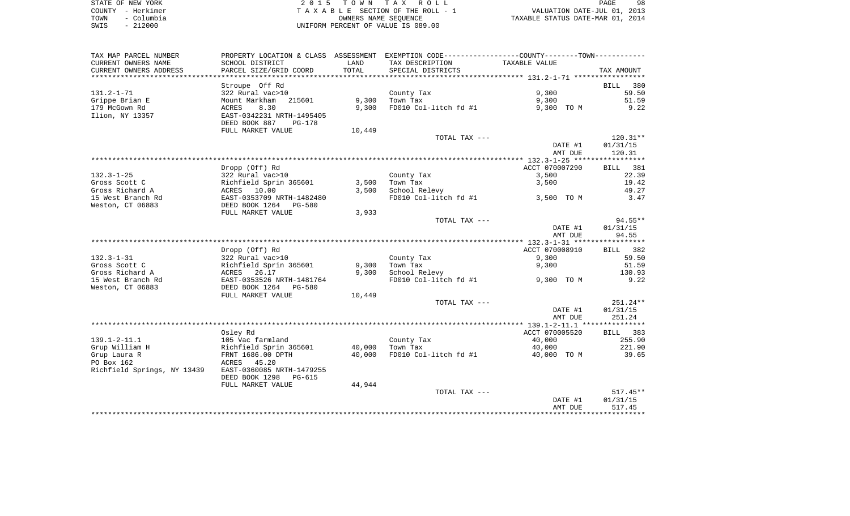|      | STATE OF NEW YORK | 2015 TOWN TAX ROLL                 | 98<br>PAGE                       |
|------|-------------------|------------------------------------|----------------------------------|
|      | COUNTY - Herkimer | TAXABLE SECTION OF THE ROLL - 1    | VALUATION DATE-JUL 01, 2013      |
| TOWN | – Columbia        | OWNERS NAME SEOUENCE               | TAXABLE STATUS DATE-MAR 01, 2014 |
| SWIS | $-212000$         | UNIFORM PERCENT OF VALUE IS 089.00 |                                  |

| SCHOOL DISTRICT<br>LAND<br>TAX DESCRIPTION<br>TAXABLE VALUE<br>PARCEL SIZE/GRID COORD<br>TOTAL<br>SPECIAL DISTRICTS<br>TAX AMOUNT<br>Stroupe Off Rd<br><b>BILL</b><br>380<br>9,300<br>322 Rural vac>10<br>59.50<br>County Tax<br>9,300<br>51.59<br>Mount Markham<br>215601<br>Town Tax<br>9,300<br>8.30<br>9,300<br>FD010 Col-litch fd #1<br>9,300 TO M<br>9.22<br>ACRES<br>Ilion, NY 13357<br>EAST-0342231 NRTH-1495405<br>DEED BOOK 887<br><b>PG-178</b><br>FULL MARKET VALUE<br>10,449<br>$120.31**$<br>TOTAL TAX ---<br>DATE #1<br>01/31/15<br>AMT DUE<br>120.31<br>ACCT 070007290<br>Dropp (Off) Rd<br>BILL 381<br>22.39<br>$132.3 - 1 - 25$<br>322 Rural vac>10<br>County Tax<br>3,500<br>Gross Scott C<br>Town Tax<br>3,500<br>19.42<br>Richfield Sprin 365601<br>3,500<br>49.27<br>Gross Richard A<br>ACRES 10.00<br>3,500<br>School Relevy<br>15 West Branch Rd<br>EAST-0353709 NRTH-1482480<br>FD010 Col-litch fd #1<br>3.47<br>3,500 TO M<br>Weston, CT 06883<br>DEED BOOK 1264<br>PG-580<br>FULL MARKET VALUE<br>3,933<br>TOTAL TAX ---<br>94.55**<br>DATE #1<br>01/31/15<br>94.55<br>AMT DUE<br>ACCT 070008910<br>382<br>Dropp (Off) Rd<br>BILL<br>$132.3 - 1 - 31$<br>322 Rural vac>10<br>59.50<br>County Tax<br>9,300<br>9,300<br>9,300<br>Richfield Sprin 365601<br>Town Tax<br>51.59<br>ACRES<br>26.17<br>9,300<br>School Relevy<br>130.93<br>EAST-0353526 NRTH-1481764<br>FD010 Col-litch fd #1<br>9,300 TO M<br>9.22<br>DEED BOOK 1264<br>PG-580<br>FULL MARKET VALUE<br>10,449<br>$251.24**$<br>TOTAL TAX ---<br>DATE #1<br>01/31/15<br>251.24<br>AMT DUE<br>ACCT 070005520<br>Oslev Rd<br>BILL 383<br>$139.1 - 2 - 11.1$<br>105 Vac farmland<br>40,000<br>255.90<br>County Tax<br>Grup William H<br>Richfield Sprin 365601<br>40,000<br>Town Tax<br>40,000<br>221.90<br>40,000<br>FD010 Col-litch fd #1<br>39.65<br>Grup Laura R<br>FRNT 1686.00 DPTH<br>40,000 TO M<br>PO Box 162<br>ACRES 45.20<br>Richfield Springs, NY 13439<br>EAST-0360085 NRTH-1479255<br>DEED BOOK 1298<br>PG-615<br>FULL MARKET VALUE<br>44,944<br>$517.45**$<br>TOTAL TAX ---<br>01/31/15<br>DATE #1<br>AMT DUE<br>517.45<br>********** | TAX MAP PARCEL NUMBER  |  | PROPERTY LOCATION & CLASS ASSESSMENT EXEMPTION CODE----------------COUNTY--------TOWN---------- |  |
|----------------------------------------------------------------------------------------------------------------------------------------------------------------------------------------------------------------------------------------------------------------------------------------------------------------------------------------------------------------------------------------------------------------------------------------------------------------------------------------------------------------------------------------------------------------------------------------------------------------------------------------------------------------------------------------------------------------------------------------------------------------------------------------------------------------------------------------------------------------------------------------------------------------------------------------------------------------------------------------------------------------------------------------------------------------------------------------------------------------------------------------------------------------------------------------------------------------------------------------------------------------------------------------------------------------------------------------------------------------------------------------------------------------------------------------------------------------------------------------------------------------------------------------------------------------------------------------------------------------------------------------------------------------------------------------------------------------------------------------------------------------------------------------------------------------------------------------------------------------------------------------------------------------------------------------------------------------------------------------------------------------------------------------------------------------------------------------------------------------------------------------|------------------------|--|-------------------------------------------------------------------------------------------------|--|
|                                                                                                                                                                                                                                                                                                                                                                                                                                                                                                                                                                                                                                                                                                                                                                                                                                                                                                                                                                                                                                                                                                                                                                                                                                                                                                                                                                                                                                                                                                                                                                                                                                                                                                                                                                                                                                                                                                                                                                                                                                                                                                                                        | CURRENT OWNERS NAME    |  |                                                                                                 |  |
|                                                                                                                                                                                                                                                                                                                                                                                                                                                                                                                                                                                                                                                                                                                                                                                                                                                                                                                                                                                                                                                                                                                                                                                                                                                                                                                                                                                                                                                                                                                                                                                                                                                                                                                                                                                                                                                                                                                                                                                                                                                                                                                                        | CURRENT OWNERS ADDRESS |  |                                                                                                 |  |
|                                                                                                                                                                                                                                                                                                                                                                                                                                                                                                                                                                                                                                                                                                                                                                                                                                                                                                                                                                                                                                                                                                                                                                                                                                                                                                                                                                                                                                                                                                                                                                                                                                                                                                                                                                                                                                                                                                                                                                                                                                                                                                                                        |                        |  |                                                                                                 |  |
|                                                                                                                                                                                                                                                                                                                                                                                                                                                                                                                                                                                                                                                                                                                                                                                                                                                                                                                                                                                                                                                                                                                                                                                                                                                                                                                                                                                                                                                                                                                                                                                                                                                                                                                                                                                                                                                                                                                                                                                                                                                                                                                                        |                        |  |                                                                                                 |  |
|                                                                                                                                                                                                                                                                                                                                                                                                                                                                                                                                                                                                                                                                                                                                                                                                                                                                                                                                                                                                                                                                                                                                                                                                                                                                                                                                                                                                                                                                                                                                                                                                                                                                                                                                                                                                                                                                                                                                                                                                                                                                                                                                        | $131.2 - 1 - 71$       |  |                                                                                                 |  |
|                                                                                                                                                                                                                                                                                                                                                                                                                                                                                                                                                                                                                                                                                                                                                                                                                                                                                                                                                                                                                                                                                                                                                                                                                                                                                                                                                                                                                                                                                                                                                                                                                                                                                                                                                                                                                                                                                                                                                                                                                                                                                                                                        | Grippe Brian E         |  |                                                                                                 |  |
|                                                                                                                                                                                                                                                                                                                                                                                                                                                                                                                                                                                                                                                                                                                                                                                                                                                                                                                                                                                                                                                                                                                                                                                                                                                                                                                                                                                                                                                                                                                                                                                                                                                                                                                                                                                                                                                                                                                                                                                                                                                                                                                                        | 179 McGown Rd          |  |                                                                                                 |  |
|                                                                                                                                                                                                                                                                                                                                                                                                                                                                                                                                                                                                                                                                                                                                                                                                                                                                                                                                                                                                                                                                                                                                                                                                                                                                                                                                                                                                                                                                                                                                                                                                                                                                                                                                                                                                                                                                                                                                                                                                                                                                                                                                        |                        |  |                                                                                                 |  |
|                                                                                                                                                                                                                                                                                                                                                                                                                                                                                                                                                                                                                                                                                                                                                                                                                                                                                                                                                                                                                                                                                                                                                                                                                                                                                                                                                                                                                                                                                                                                                                                                                                                                                                                                                                                                                                                                                                                                                                                                                                                                                                                                        |                        |  |                                                                                                 |  |
|                                                                                                                                                                                                                                                                                                                                                                                                                                                                                                                                                                                                                                                                                                                                                                                                                                                                                                                                                                                                                                                                                                                                                                                                                                                                                                                                                                                                                                                                                                                                                                                                                                                                                                                                                                                                                                                                                                                                                                                                                                                                                                                                        |                        |  |                                                                                                 |  |
|                                                                                                                                                                                                                                                                                                                                                                                                                                                                                                                                                                                                                                                                                                                                                                                                                                                                                                                                                                                                                                                                                                                                                                                                                                                                                                                                                                                                                                                                                                                                                                                                                                                                                                                                                                                                                                                                                                                                                                                                                                                                                                                                        |                        |  |                                                                                                 |  |
|                                                                                                                                                                                                                                                                                                                                                                                                                                                                                                                                                                                                                                                                                                                                                                                                                                                                                                                                                                                                                                                                                                                                                                                                                                                                                                                                                                                                                                                                                                                                                                                                                                                                                                                                                                                                                                                                                                                                                                                                                                                                                                                                        |                        |  |                                                                                                 |  |
|                                                                                                                                                                                                                                                                                                                                                                                                                                                                                                                                                                                                                                                                                                                                                                                                                                                                                                                                                                                                                                                                                                                                                                                                                                                                                                                                                                                                                                                                                                                                                                                                                                                                                                                                                                                                                                                                                                                                                                                                                                                                                                                                        |                        |  |                                                                                                 |  |
|                                                                                                                                                                                                                                                                                                                                                                                                                                                                                                                                                                                                                                                                                                                                                                                                                                                                                                                                                                                                                                                                                                                                                                                                                                                                                                                                                                                                                                                                                                                                                                                                                                                                                                                                                                                                                                                                                                                                                                                                                                                                                                                                        |                        |  |                                                                                                 |  |
|                                                                                                                                                                                                                                                                                                                                                                                                                                                                                                                                                                                                                                                                                                                                                                                                                                                                                                                                                                                                                                                                                                                                                                                                                                                                                                                                                                                                                                                                                                                                                                                                                                                                                                                                                                                                                                                                                                                                                                                                                                                                                                                                        |                        |  |                                                                                                 |  |
|                                                                                                                                                                                                                                                                                                                                                                                                                                                                                                                                                                                                                                                                                                                                                                                                                                                                                                                                                                                                                                                                                                                                                                                                                                                                                                                                                                                                                                                                                                                                                                                                                                                                                                                                                                                                                                                                                                                                                                                                                                                                                                                                        |                        |  |                                                                                                 |  |
|                                                                                                                                                                                                                                                                                                                                                                                                                                                                                                                                                                                                                                                                                                                                                                                                                                                                                                                                                                                                                                                                                                                                                                                                                                                                                                                                                                                                                                                                                                                                                                                                                                                                                                                                                                                                                                                                                                                                                                                                                                                                                                                                        |                        |  |                                                                                                 |  |
|                                                                                                                                                                                                                                                                                                                                                                                                                                                                                                                                                                                                                                                                                                                                                                                                                                                                                                                                                                                                                                                                                                                                                                                                                                                                                                                                                                                                                                                                                                                                                                                                                                                                                                                                                                                                                                                                                                                                                                                                                                                                                                                                        |                        |  |                                                                                                 |  |
|                                                                                                                                                                                                                                                                                                                                                                                                                                                                                                                                                                                                                                                                                                                                                                                                                                                                                                                                                                                                                                                                                                                                                                                                                                                                                                                                                                                                                                                                                                                                                                                                                                                                                                                                                                                                                                                                                                                                                                                                                                                                                                                                        |                        |  |                                                                                                 |  |
|                                                                                                                                                                                                                                                                                                                                                                                                                                                                                                                                                                                                                                                                                                                                                                                                                                                                                                                                                                                                                                                                                                                                                                                                                                                                                                                                                                                                                                                                                                                                                                                                                                                                                                                                                                                                                                                                                                                                                                                                                                                                                                                                        |                        |  |                                                                                                 |  |
|                                                                                                                                                                                                                                                                                                                                                                                                                                                                                                                                                                                                                                                                                                                                                                                                                                                                                                                                                                                                                                                                                                                                                                                                                                                                                                                                                                                                                                                                                                                                                                                                                                                                                                                                                                                                                                                                                                                                                                                                                                                                                                                                        |                        |  |                                                                                                 |  |
|                                                                                                                                                                                                                                                                                                                                                                                                                                                                                                                                                                                                                                                                                                                                                                                                                                                                                                                                                                                                                                                                                                                                                                                                                                                                                                                                                                                                                                                                                                                                                                                                                                                                                                                                                                                                                                                                                                                                                                                                                                                                                                                                        |                        |  |                                                                                                 |  |
|                                                                                                                                                                                                                                                                                                                                                                                                                                                                                                                                                                                                                                                                                                                                                                                                                                                                                                                                                                                                                                                                                                                                                                                                                                                                                                                                                                                                                                                                                                                                                                                                                                                                                                                                                                                                                                                                                                                                                                                                                                                                                                                                        |                        |  |                                                                                                 |  |
|                                                                                                                                                                                                                                                                                                                                                                                                                                                                                                                                                                                                                                                                                                                                                                                                                                                                                                                                                                                                                                                                                                                                                                                                                                                                                                                                                                                                                                                                                                                                                                                                                                                                                                                                                                                                                                                                                                                                                                                                                                                                                                                                        |                        |  |                                                                                                 |  |
|                                                                                                                                                                                                                                                                                                                                                                                                                                                                                                                                                                                                                                                                                                                                                                                                                                                                                                                                                                                                                                                                                                                                                                                                                                                                                                                                                                                                                                                                                                                                                                                                                                                                                                                                                                                                                                                                                                                                                                                                                                                                                                                                        |                        |  |                                                                                                 |  |
|                                                                                                                                                                                                                                                                                                                                                                                                                                                                                                                                                                                                                                                                                                                                                                                                                                                                                                                                                                                                                                                                                                                                                                                                                                                                                                                                                                                                                                                                                                                                                                                                                                                                                                                                                                                                                                                                                                                                                                                                                                                                                                                                        |                        |  |                                                                                                 |  |
|                                                                                                                                                                                                                                                                                                                                                                                                                                                                                                                                                                                                                                                                                                                                                                                                                                                                                                                                                                                                                                                                                                                                                                                                                                                                                                                                                                                                                                                                                                                                                                                                                                                                                                                                                                                                                                                                                                                                                                                                                                                                                                                                        | Gross Scott C          |  |                                                                                                 |  |
|                                                                                                                                                                                                                                                                                                                                                                                                                                                                                                                                                                                                                                                                                                                                                                                                                                                                                                                                                                                                                                                                                                                                                                                                                                                                                                                                                                                                                                                                                                                                                                                                                                                                                                                                                                                                                                                                                                                                                                                                                                                                                                                                        | Gross Richard A        |  |                                                                                                 |  |
|                                                                                                                                                                                                                                                                                                                                                                                                                                                                                                                                                                                                                                                                                                                                                                                                                                                                                                                                                                                                                                                                                                                                                                                                                                                                                                                                                                                                                                                                                                                                                                                                                                                                                                                                                                                                                                                                                                                                                                                                                                                                                                                                        | 15 West Branch Rd      |  |                                                                                                 |  |
|                                                                                                                                                                                                                                                                                                                                                                                                                                                                                                                                                                                                                                                                                                                                                                                                                                                                                                                                                                                                                                                                                                                                                                                                                                                                                                                                                                                                                                                                                                                                                                                                                                                                                                                                                                                                                                                                                                                                                                                                                                                                                                                                        | Weston, CT 06883       |  |                                                                                                 |  |
|                                                                                                                                                                                                                                                                                                                                                                                                                                                                                                                                                                                                                                                                                                                                                                                                                                                                                                                                                                                                                                                                                                                                                                                                                                                                                                                                                                                                                                                                                                                                                                                                                                                                                                                                                                                                                                                                                                                                                                                                                                                                                                                                        |                        |  |                                                                                                 |  |
|                                                                                                                                                                                                                                                                                                                                                                                                                                                                                                                                                                                                                                                                                                                                                                                                                                                                                                                                                                                                                                                                                                                                                                                                                                                                                                                                                                                                                                                                                                                                                                                                                                                                                                                                                                                                                                                                                                                                                                                                                                                                                                                                        |                        |  |                                                                                                 |  |
|                                                                                                                                                                                                                                                                                                                                                                                                                                                                                                                                                                                                                                                                                                                                                                                                                                                                                                                                                                                                                                                                                                                                                                                                                                                                                                                                                                                                                                                                                                                                                                                                                                                                                                                                                                                                                                                                                                                                                                                                                                                                                                                                        |                        |  |                                                                                                 |  |
|                                                                                                                                                                                                                                                                                                                                                                                                                                                                                                                                                                                                                                                                                                                                                                                                                                                                                                                                                                                                                                                                                                                                                                                                                                                                                                                                                                                                                                                                                                                                                                                                                                                                                                                                                                                                                                                                                                                                                                                                                                                                                                                                        |                        |  |                                                                                                 |  |
|                                                                                                                                                                                                                                                                                                                                                                                                                                                                                                                                                                                                                                                                                                                                                                                                                                                                                                                                                                                                                                                                                                                                                                                                                                                                                                                                                                                                                                                                                                                                                                                                                                                                                                                                                                                                                                                                                                                                                                                                                                                                                                                                        |                        |  |                                                                                                 |  |
|                                                                                                                                                                                                                                                                                                                                                                                                                                                                                                                                                                                                                                                                                                                                                                                                                                                                                                                                                                                                                                                                                                                                                                                                                                                                                                                                                                                                                                                                                                                                                                                                                                                                                                                                                                                                                                                                                                                                                                                                                                                                                                                                        |                        |  |                                                                                                 |  |
|                                                                                                                                                                                                                                                                                                                                                                                                                                                                                                                                                                                                                                                                                                                                                                                                                                                                                                                                                                                                                                                                                                                                                                                                                                                                                                                                                                                                                                                                                                                                                                                                                                                                                                                                                                                                                                                                                                                                                                                                                                                                                                                                        |                        |  |                                                                                                 |  |
|                                                                                                                                                                                                                                                                                                                                                                                                                                                                                                                                                                                                                                                                                                                                                                                                                                                                                                                                                                                                                                                                                                                                                                                                                                                                                                                                                                                                                                                                                                                                                                                                                                                                                                                                                                                                                                                                                                                                                                                                                                                                                                                                        |                        |  |                                                                                                 |  |
|                                                                                                                                                                                                                                                                                                                                                                                                                                                                                                                                                                                                                                                                                                                                                                                                                                                                                                                                                                                                                                                                                                                                                                                                                                                                                                                                                                                                                                                                                                                                                                                                                                                                                                                                                                                                                                                                                                                                                                                                                                                                                                                                        |                        |  |                                                                                                 |  |
|                                                                                                                                                                                                                                                                                                                                                                                                                                                                                                                                                                                                                                                                                                                                                                                                                                                                                                                                                                                                                                                                                                                                                                                                                                                                                                                                                                                                                                                                                                                                                                                                                                                                                                                                                                                                                                                                                                                                                                                                                                                                                                                                        |                        |  |                                                                                                 |  |
|                                                                                                                                                                                                                                                                                                                                                                                                                                                                                                                                                                                                                                                                                                                                                                                                                                                                                                                                                                                                                                                                                                                                                                                                                                                                                                                                                                                                                                                                                                                                                                                                                                                                                                                                                                                                                                                                                                                                                                                                                                                                                                                                        |                        |  |                                                                                                 |  |
|                                                                                                                                                                                                                                                                                                                                                                                                                                                                                                                                                                                                                                                                                                                                                                                                                                                                                                                                                                                                                                                                                                                                                                                                                                                                                                                                                                                                                                                                                                                                                                                                                                                                                                                                                                                                                                                                                                                                                                                                                                                                                                                                        |                        |  |                                                                                                 |  |
|                                                                                                                                                                                                                                                                                                                                                                                                                                                                                                                                                                                                                                                                                                                                                                                                                                                                                                                                                                                                                                                                                                                                                                                                                                                                                                                                                                                                                                                                                                                                                                                                                                                                                                                                                                                                                                                                                                                                                                                                                                                                                                                                        |                        |  |                                                                                                 |  |
|                                                                                                                                                                                                                                                                                                                                                                                                                                                                                                                                                                                                                                                                                                                                                                                                                                                                                                                                                                                                                                                                                                                                                                                                                                                                                                                                                                                                                                                                                                                                                                                                                                                                                                                                                                                                                                                                                                                                                                                                                                                                                                                                        |                        |  |                                                                                                 |  |
|                                                                                                                                                                                                                                                                                                                                                                                                                                                                                                                                                                                                                                                                                                                                                                                                                                                                                                                                                                                                                                                                                                                                                                                                                                                                                                                                                                                                                                                                                                                                                                                                                                                                                                                                                                                                                                                                                                                                                                                                                                                                                                                                        |                        |  |                                                                                                 |  |
|                                                                                                                                                                                                                                                                                                                                                                                                                                                                                                                                                                                                                                                                                                                                                                                                                                                                                                                                                                                                                                                                                                                                                                                                                                                                                                                                                                                                                                                                                                                                                                                                                                                                                                                                                                                                                                                                                                                                                                                                                                                                                                                                        |                        |  |                                                                                                 |  |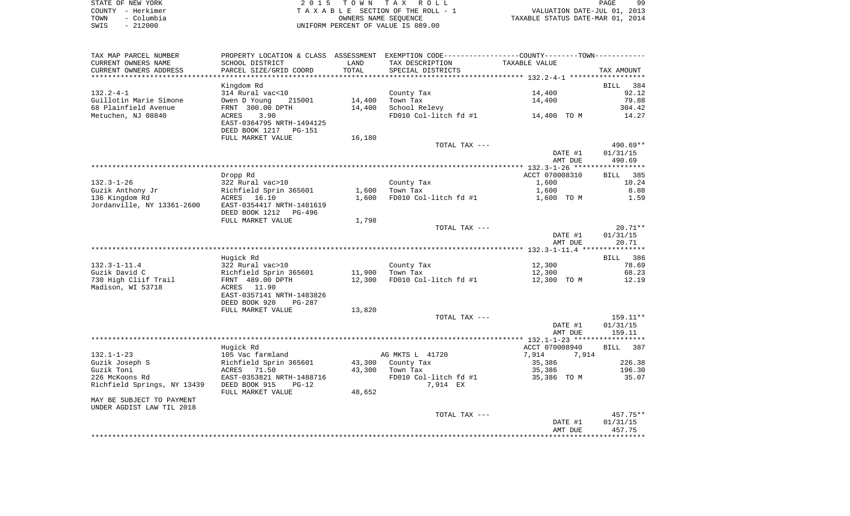|      | STATE OF NEW YORK | 2015 TOWN TAX ROLL                 | 99<br>PAGE                       |
|------|-------------------|------------------------------------|----------------------------------|
|      | COUNTY - Herkimer | TAXABLE SECTION OF THE ROLL - 1    | VALUATION DATE-JUL 01, 2013      |
| TOWN | – Columbia        | OWNERS NAME SEOUENCE               | TAXABLE STATUS DATE-MAR 01, 2014 |
| SWIS | $-212000$         | UNIFORM PERCENT OF VALUE IS 089.00 |                                  |

| TAX MAP PARCEL NUMBER       | PROPERTY LOCATION & CLASS ASSESSMENT EXEMPTION CODE----------------COUNTY--------TOWN---------- |        |                       |                |             |
|-----------------------------|-------------------------------------------------------------------------------------------------|--------|-----------------------|----------------|-------------|
| CURRENT OWNERS NAME         | SCHOOL DISTRICT                                                                                 | LAND   | TAX DESCRIPTION       | TAXABLE VALUE  |             |
| CURRENT OWNERS ADDRESS      | PARCEL SIZE/GRID COORD                                                                          | TOTAL  | SPECIAL DISTRICTS     |                | TAX AMOUNT  |
|                             |                                                                                                 |        |                       |                |             |
|                             | Kingdom Rd                                                                                      |        |                       |                | BILL<br>384 |
| $132.2 - 4 - 1$             | 314 Rural vac<10                                                                                |        | County Tax            | 14,400         | 92.12       |
| Guillotin Marie Simone      | Owen D Young<br>215001                                                                          | 14,400 | Town Tax              | 14,400         | 79.88       |
| 68 Plainfield Avenue        | FRNT 300.00 DPTH                                                                                | 14,400 | School Relevy         |                | 304.42      |
| Metuchen, NJ 08840          | 3.90<br>ACRES                                                                                   |        | FD010 Col-litch fd #1 | 14,400 TO M    | 14.27       |
|                             | EAST-0364795 NRTH-1494125                                                                       |        |                       |                |             |
|                             | DEED BOOK 1217<br>PG-151                                                                        |        |                       |                |             |
|                             | FULL MARKET VALUE                                                                               | 16,180 |                       |                |             |
|                             |                                                                                                 |        | TOTAL TAX ---         |                | $490.69**$  |
|                             |                                                                                                 |        |                       | DATE #1        | 01/31/15    |
|                             |                                                                                                 |        |                       | AMT DUE        | 490.69      |
|                             |                                                                                                 |        |                       |                |             |
|                             | Dropp Rd                                                                                        |        |                       | ACCT 070008310 | 385<br>BILL |
|                             |                                                                                                 |        |                       |                | 10.24       |
| $132.3 - 1 - 26$            | 322 Rural vac>10                                                                                |        | County Tax            | 1,600          |             |
| Guzik Anthony Jr            | Richfield Sprin 365601                                                                          | 1,600  | Town Tax              | 1,600          | 8.88        |
| 136 Kingdom Rd              | ACRES 16.10                                                                                     | 1,600  | FD010 Col-litch fd #1 | 1,600 TO M     | 1.59        |
| Jordanville, NY 13361-2600  | EAST-0354417 NRTH-1481619                                                                       |        |                       |                |             |
|                             | DEED BOOK 1212<br>PG-496                                                                        |        |                       |                |             |
|                             | FULL MARKET VALUE                                                                               | 1,798  |                       |                |             |
|                             |                                                                                                 |        | TOTAL TAX ---         |                | $20.71**$   |
|                             |                                                                                                 |        |                       | DATE #1        | 01/31/15    |
|                             |                                                                                                 |        |                       | AMT DUE        | 20.71       |
|                             |                                                                                                 |        |                       |                |             |
|                             | Hugick Rd                                                                                       |        |                       |                | BILL 386    |
| $132.3 - 1 - 11.4$          | 322 Rural vac>10                                                                                |        | County Tax            | 12,300         | 78.69       |
| Guzik David C               | Richfield Sprin 365601                                                                          | 11,900 | Town Tax              | 12,300         | 68.23       |
| 730 High Cliif Trail        | FRNT 489.00 DPTH                                                                                | 12,300 | FD010 Col-litch fd #1 | 12,300 TO M    | 12.19       |
| Madison, WI 53718           | ACRES 11.90                                                                                     |        |                       |                |             |
|                             | EAST-0357141 NRTH-1483826                                                                       |        |                       |                |             |
|                             | DEED BOOK 920<br>PG-287                                                                         |        |                       |                |             |
|                             | FULL MARKET VALUE                                                                               | 13,820 |                       |                |             |
|                             |                                                                                                 |        | TOTAL TAX ---         |                | 159.11**    |
|                             |                                                                                                 |        |                       | DATE #1        | 01/31/15    |
|                             |                                                                                                 |        |                       | AMT DUE        | 159.11      |
|                             |                                                                                                 |        |                       |                |             |
|                             | Hugick Rd                                                                                       |        |                       | ACCT 070008940 | BILL<br>387 |
| $132.1 - 1 - 23$            | 105 Vac farmland                                                                                |        | AG MKTS L 41720       | 7,914<br>7,914 |             |
| Guzik Joseph S              | Richfield Sprin 365601                                                                          | 43,300 | County Tax            | 35,386         | 226.38      |
| Guzik Toni                  | ACRES 71.50                                                                                     | 43,300 | Town Tax              | 35,386         | 196.30      |
| 226 McKoons Rd              | EAST-0353821 NRTH-1488716                                                                       |        | FD010 Col-litch fd #1 | 35,386 TO M    | 35.07       |
| Richfield Springs, NY 13439 | DEED BOOK 915<br>$PG-12$                                                                        |        | 7,914 EX              |                |             |
|                             | FULL MARKET VALUE                                                                               | 48,652 |                       |                |             |
| MAY BE SUBJECT TO PAYMENT   |                                                                                                 |        |                       |                |             |
| UNDER AGDIST LAW TIL 2018   |                                                                                                 |        |                       |                |             |
|                             |                                                                                                 |        | TOTAL TAX ---         |                | 457.75**    |
|                             |                                                                                                 |        |                       | DATE #1        | 01/31/15    |
|                             |                                                                                                 |        |                       | AMT DUE        | 457.75      |
|                             |                                                                                                 |        |                       |                |             |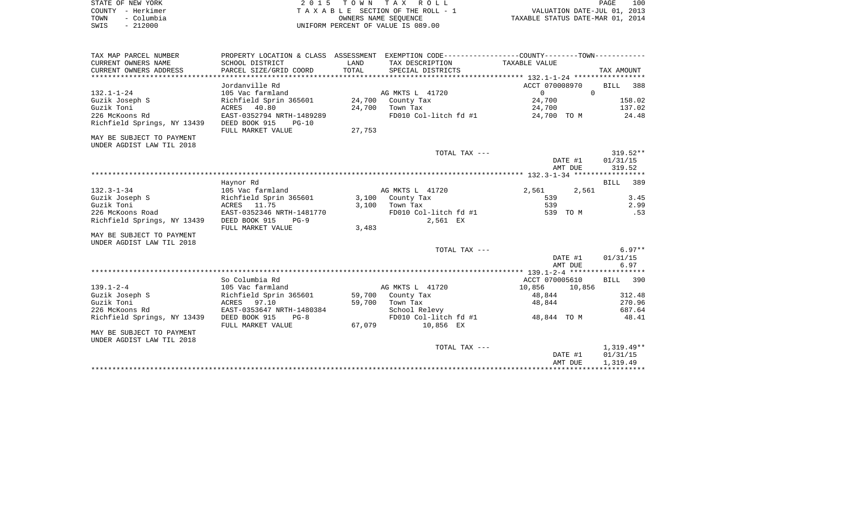|      | STATE OF NEW YORK | 2015 TOWN TAX ROLL                 | PAGE                             | 100 |
|------|-------------------|------------------------------------|----------------------------------|-----|
|      | COUNTY - Herkimer | TAXABLE SECTION OF THE ROLL - 1    | VALUATION DATE-JUL 01, 2013      |     |
| TOWN | - Columbia        | OWNERS NAME SEOUENCE               | TAXABLE STATUS DATE-MAR 01, 2014 |     |
| SWIS | - 212000          | UNIFORM PERCENT OF VALUE IS 089.00 |                                  |     |

| TAX MAP PARCEL NUMBER       |                               |        | PROPERTY LOCATION & CLASS ASSESSMENT EXEMPTION CODE---------------COUNTY-------TOWN---------- |                      |                    |
|-----------------------------|-------------------------------|--------|-----------------------------------------------------------------------------------------------|----------------------|--------------------|
| CURRENT OWNERS NAME         | SCHOOL DISTRICT               | LAND   | TAX DESCRIPTION                                                                               | TAXABLE VALUE        |                    |
| CURRENT OWNERS ADDRESS      | PARCEL SIZE/GRID COORD        | TOTAL  | SPECIAL DISTRICTS                                                                             |                      | TAX AMOUNT         |
|                             |                               |        |                                                                                               |                      |                    |
|                             | Jordanville Rd                |        |                                                                                               | ACCT 070008970       | BILL 388           |
| $132.1 - 1 - 24$            | 105 Vac farmland              |        | AG MKTS L 41720                                                                               | $\Omega$<br>$\Omega$ |                    |
| Guzik Joseph S              | Richfield Sprin 365601 24,700 |        | County Tax                                                                                    | 24,700               | 158.02             |
| Guzik Toni                  | ACRES 40.80                   |        | 24,700 Town Tax                                                                               | 24,700               | 137.02             |
| 226 McKoons Rd              | EAST-0352794 NRTH-1489289     |        | FD010 Col-litch fd #1                                                                         | 24,700 TO M          | 24.48              |
| Richfield Springs, NY 13439 | DEED BOOK 915<br>$PG-10$      |        |                                                                                               |                      |                    |
|                             | FULL MARKET VALUE             | 27,753 |                                                                                               |                      |                    |
| MAY BE SUBJECT TO PAYMENT   |                               |        |                                                                                               |                      |                    |
| UNDER AGDIST LAW TIL 2018   |                               |        |                                                                                               |                      |                    |
|                             |                               |        | TOTAL TAX ---                                                                                 |                      | $319.52**$         |
|                             |                               |        |                                                                                               | DATE #1              | 01/31/15           |
|                             |                               |        |                                                                                               | AMT DUE              | 319.52             |
|                             |                               |        |                                                                                               |                      |                    |
|                             | Haynor Rd                     |        |                                                                                               |                      | <b>BILL</b><br>389 |
| $132.3 - 1 - 34$            | 105 Vac farmland              |        | AG MKTS L 41720                                                                               | 2,561<br>2,561       |                    |
| Guzik Joseph S              | Richfield Sprin 365601        |        | 3,100 County Tax                                                                              | 539                  | 3.45               |
| Guzik Toni                  | ACRES 11.75                   | 3,100  | Town Tax                                                                                      | 539                  | 2.99               |
| 226 McKoons Road            | EAST-0352346 NRTH-1481770     |        | FD010 Col-litch fd #1                                                                         | 539 TO M             | .53                |
| Richfield Springs, NY 13439 | DEED BOOK 915<br>$PG-9$       |        | 2,561 EX                                                                                      |                      |                    |
|                             | FULL MARKET VALUE             | 3,483  |                                                                                               |                      |                    |
| MAY BE SUBJECT TO PAYMENT   |                               |        |                                                                                               |                      |                    |
| UNDER AGDIST LAW TIL 2018   |                               |        |                                                                                               |                      |                    |
|                             |                               |        | TOTAL TAX $---$                                                                               |                      | $6.97**$           |
|                             |                               |        |                                                                                               | DATE #1              | 01/31/15           |
|                             |                               |        |                                                                                               | AMT DUE              | 6.97               |
|                             |                               |        |                                                                                               |                      |                    |
|                             | So Columbia Rd                |        |                                                                                               | ACCT 070005610       | BILL 390           |
| $139.1 - 2 - 4$             | 105 Vac farmland              |        | AG MKTS L 41720                                                                               | 10,856<br>10,856     |                    |
| Guzik Joseph S              | Richfield Sprin 365601        |        | 59,700 County Tax                                                                             | 48,844               | 312.48             |
| Guzik Toni                  | ACRES 97.10                   | 59,700 | Town Tax                                                                                      | 48,844               | 270.96             |
| 226 McKoons Rd              | EAST-0353647 NRTH-1480384     |        | School Relevy                                                                                 |                      | 687.64             |
| Richfield Springs, NY 13439 | DEED BOOK 915<br>$PG-8$       |        | FD010 Col-litch fd #1                                                                         | 48,844 TO M          | 48.41              |
|                             | FULL MARKET VALUE             | 67,079 | 10,856 EX                                                                                     |                      |                    |
| MAY BE SUBJECT TO PAYMENT   |                               |        |                                                                                               |                      |                    |
| UNDER AGDIST LAW TIL 2018   |                               |        |                                                                                               |                      |                    |
|                             |                               |        | TOTAL TAX ---                                                                                 |                      | $1,319.49**$       |
|                             |                               |        |                                                                                               | DATE #1              | 01/31/15           |
|                             |                               |        |                                                                                               | AMT DUE              | 1,319.49           |
|                             |                               |        |                                                                                               |                      |                    |
|                             |                               |        |                                                                                               |                      |                    |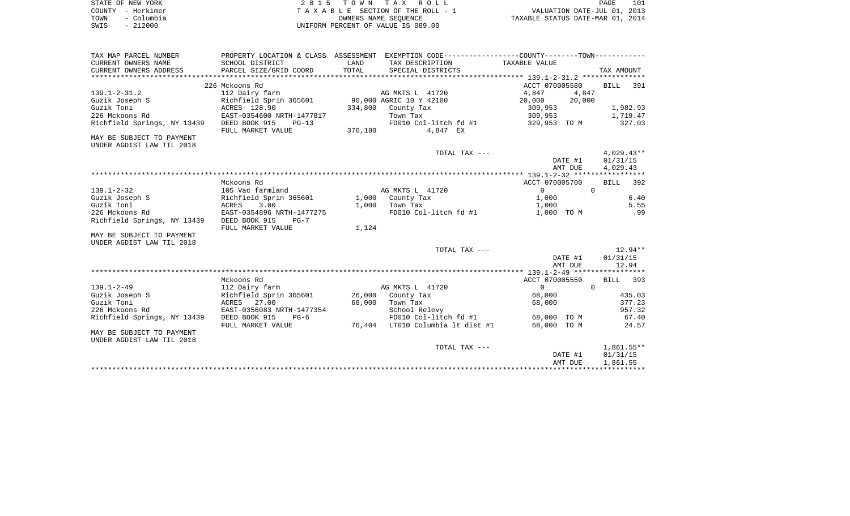| STATE OF NEW YORK  | 2015 TOWN TAX ROLL                 | 101<br>PAGE                      |
|--------------------|------------------------------------|----------------------------------|
| COUNTY - Herkimer  | TAXABLE SECTION OF THE ROLL - 1    | VALUATION DATE-JUL 01, 2013      |
| – Columbia<br>TOWN | OWNERS NAME SEOUENCE               | TAXABLE STATUS DATE-MAR 01, 2014 |
| $-212000$<br>SWIS  | UNIFORM PERCENT OF VALUE IS 089.00 |                                  |

| TAX MAP PARCEL NUMBER       |                                                |         | PROPERTY LOCATION & CLASS ASSESSMENT EXEMPTION CODE---------------COUNTY-------TOWN---------- |                   |                |
|-----------------------------|------------------------------------------------|---------|-----------------------------------------------------------------------------------------------|-------------------|----------------|
| CURRENT OWNERS NAME         | SCHOOL DISTRICT                                | LAND    | TAX DESCRIPTION                                                                               | TAXABLE VALUE     |                |
| CURRENT OWNERS ADDRESS      | PARCEL SIZE/GRID COORD                         | TOTAL   | SPECIAL DISTRICTS                                                                             |                   | TAX AMOUNT     |
|                             |                                                |         |                                                                                               |                   |                |
|                             | 226 Mckoons Rd                                 |         |                                                                                               | ACCT 070005580    | BILL 391       |
| $139.1 - 2 - 31.2$          | 112 Dairy farm                                 |         | AG MKTS L 41720                                                                               | 4,847<br>4,847    |                |
| Guzik Joseph S              | Richfield Sprin 365601 90,000 AGRIC 10 Y 42100 |         |                                                                                               | 20,000<br>20,000  |                |
| Guzik Toni                  | ACRES 128.90                                   | 334,800 | County Tax                                                                                    | 309,953           | 1,982.93       |
| 226 Mckoons Rd              | EAST-0354600 NRTH-1477817                      |         | Town Tax                                                                                      | 309,953           | 1,719.47       |
| Richfield Springs, NY 13439 | DEED BOOK 915<br>$PG-13$                       |         | FD010 Col-litch fd #1 329,953 TO M                                                            |                   | 327.03         |
|                             | FULL MARKET VALUE                              | 376,180 | 4,847 EX                                                                                      |                   |                |
| MAY BE SUBJECT TO PAYMENT   |                                                |         |                                                                                               |                   |                |
| UNDER AGDIST LAW TIL 2018   |                                                |         |                                                                                               |                   |                |
|                             |                                                |         | TOTAL TAX ---                                                                                 |                   | 4,029.43**     |
|                             |                                                |         |                                                                                               | DATE #1           | 01/31/15       |
|                             |                                                |         |                                                                                               | AMT DUE           | 4,029.43       |
|                             |                                                |         |                                                                                               |                   |                |
|                             | Mckoons Rd                                     |         |                                                                                               | ACCT 070005700    | BILL<br>392    |
| $139.1 - 2 - 32$            | 105 Vac farmland                               |         | AG MKTS L 41720                                                                               | $0 \qquad \qquad$ | $\overline{0}$ |
| Guzik Joseph S              | Richfield Sprin 365601                         |         | 1,000 County Tax                                                                              | 1,000             | 6.40           |
| Guzik Toni                  | 3.00<br>ACRES                                  | 1,000   | Town Tax                                                                                      | 1,000             | 5.55           |
| 226 Mckoons Rd              | EAST-0354896 NRTH-1477275                      |         | FD010 Col-litch fd #1                                                                         | 1,000 TO M        | .99            |
| Richfield Springs, NY 13439 | DEED BOOK 915<br>$PG-7$                        |         |                                                                                               |                   |                |
|                             | FULL MARKET VALUE                              | 1,124   |                                                                                               |                   |                |
| MAY BE SUBJECT TO PAYMENT   |                                                |         |                                                                                               |                   |                |
| UNDER AGDIST LAW TIL 2018   |                                                |         |                                                                                               |                   |                |
|                             |                                                |         | TOTAL TAX ---                                                                                 |                   | 12.94**        |
|                             |                                                |         |                                                                                               | DATE #1           | 01/31/15       |
|                             |                                                |         |                                                                                               | AMT DUE           | 12.94          |
|                             |                                                |         |                                                                                               |                   |                |
|                             | Mckoons Rd                                     |         |                                                                                               | ACCT 070005550    | BILL 393       |
| $139.1 - 2 - 49$            | 112 Dairy farm                                 |         | AG MKTS L 41720                                                                               | $\Omega$          | $\Omega$       |
| Guzik Joseph S              | Richfield Sprin 365601 26,000 County Tax       |         |                                                                                               | 68,000            | 435.03         |
| Guzik Toni                  | ACRES 27.00                                    | 68,000  | Town Tax                                                                                      | 68,000            | 377.23         |
| 226 Mckoons Rd              | EAST-0356083 NRTH-1477354                      |         | School Relevy                                                                                 |                   | 957.32         |
| Richfield Springs, NY 13439 | DEED BOOK 915<br>$PG-6$                        |         | FD010 Col-litch fd #1                                                                         | 68,000 TO M       | 67.40          |
|                             | FULL MARKET VALUE                              |         | 76,404 LT010 Columbia lt dist #1                                                              | 68,000 TO M       | 24.57          |
| MAY BE SUBJECT TO PAYMENT   |                                                |         |                                                                                               |                   |                |
| UNDER AGDIST LAW TIL 2018   |                                                |         |                                                                                               |                   |                |
|                             |                                                |         | TOTAL TAX ---                                                                                 |                   | 1,861.55**     |
|                             |                                                |         |                                                                                               | DATE #1           | 01/31/15       |
|                             |                                                |         |                                                                                               | AMT DUE           | 1,861.55       |
|                             |                                                |         |                                                                                               |                   |                |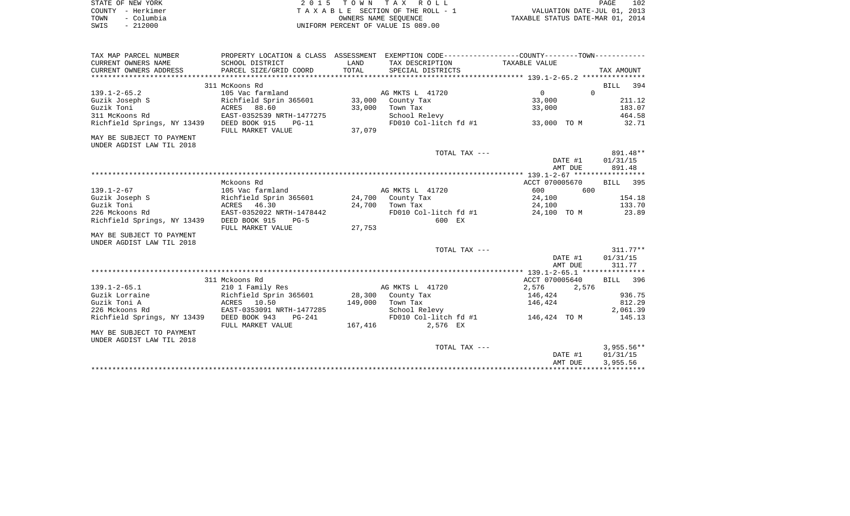| STATE OF NEW YORK  | 2015 TOWN TAX ROLL                 | 102<br>PAGE                      |
|--------------------|------------------------------------|----------------------------------|
| COUNTY - Herkimer  | TAXABLE SECTION OF THE ROLL - 1    | VALUATION DATE-JUL 01, 2013      |
| - Columbia<br>TOWN | OWNERS NAME SEOUENCE               | TAXABLE STATUS DATE-MAR 01, 2014 |
| $-212000$<br>SWIS  | UNIFORM PERCENT OF VALUE IS 089.00 |                                  |

| TAX MAP PARCEL NUMBER       | PROPERTY LOCATION & CLASS ASSESSMENT EXEMPTION CODE--------------COUNTY-------TOWN---------- |         |                       |                                           |              |
|-----------------------------|----------------------------------------------------------------------------------------------|---------|-----------------------|-------------------------------------------|--------------|
| CURRENT OWNERS NAME         | SCHOOL DISTRICT                                                                              | LAND    | TAX DESCRIPTION       | TAXABLE VALUE                             |              |
| CURRENT OWNERS ADDRESS      | PARCEL SIZE/GRID COORD                                                                       | TOTAL   | SPECIAL DISTRICTS     |                                           | TAX AMOUNT   |
|                             |                                                                                              |         |                       |                                           |              |
|                             | 311 McKoons Rd                                                                               |         |                       |                                           | BILL 394     |
| $139.1 - 2 - 65.2$          | 105 Vac farmland                                                                             |         | AG MKTS L 41720       | $\Omega$<br>$\overline{0}$                |              |
| Guzik Joseph S              | Richfield Sprin 365601 33,000 County Tax                                                     |         |                       | 33,000                                    | 211.12       |
| Guzik Toni                  | ACRES 88.60                                                                                  | 33,000  | Town Tax              | 33,000                                    | 183.07       |
| 311 McKoons Rd              | EAST-0352539 NRTH-1477275                                                                    |         | School Relevy         | FD010 Col-litch $fd$ #1 33,000 TO M       | 464.58       |
| Richfield Springs, NY 13439 | DEED BOOK 915<br>PG-11                                                                       |         |                       |                                           | 32.71        |
|                             | FULL MARKET VALUE                                                                            | 37,079  |                       |                                           |              |
| MAY BE SUBJECT TO PAYMENT   |                                                                                              |         |                       |                                           |              |
| UNDER AGDIST LAW TIL 2018   |                                                                                              |         | TOTAL TAX ---         |                                           | 891.48**     |
|                             |                                                                                              |         |                       | DATE #1                                   | 01/31/15     |
|                             |                                                                                              |         |                       | AMT DUE                                   | 891.48       |
|                             |                                                                                              |         |                       |                                           |              |
|                             | Mckoons Rd                                                                                   |         |                       | ACCT 070005670                            | BILL 395     |
| $139.1 - 2 - 67$            | 105 Vac farmland                                                                             |         | AG MKTS L 41720       | 600<br>600                                |              |
| Guzik Joseph S              | Richfield Sprin 365601 24,700 County Tax                                                     |         |                       | 24,100                                    | 154.18       |
| Guzik Toni                  | ACRES<br>46.30                                                                               |         | 24,700 Town Tax       | 24,100                                    | 133.70       |
| 226 Mckoons Rd              | EAST-0352022 NRTH-1478442                                                                    |         | FD010 Col-litch fd #1 | 24,100 TO M                               | 23.89        |
| Richfield Springs, NY 13439 | DEED BOOK 915<br>$PG-5$                                                                      |         | 600 EX                |                                           |              |
|                             | FULL MARKET VALUE                                                                            | 27,753  |                       |                                           |              |
| MAY BE SUBJECT TO PAYMENT   |                                                                                              |         |                       |                                           |              |
| UNDER AGDIST LAW TIL 2018   |                                                                                              |         |                       |                                           |              |
|                             |                                                                                              |         | TOTAL TAX ---         |                                           | $311.77**$   |
|                             |                                                                                              |         |                       | DATE #1                                   | 01/31/15     |
|                             |                                                                                              |         |                       | AMT DUE                                   | 311.77       |
|                             |                                                                                              |         |                       |                                           |              |
|                             | 311 Mckoons Rd                                                                               |         |                       | ACCT 070005640                            | BILL 396     |
| $139.1 - 2 - 65.1$          | 210 1 Family Res                                                                             |         | AG MKTS L 41720       | 2,576<br>2,576                            |              |
| Guzik Lorraine              | Richfield Sprin 365601                                                                       |         | 28,300 County Tax     | 146,424                                   | 936.75       |
| Guzik Toni A                | ACRES 10.50                                                                                  | 149,000 | Town Tax              | 146,424                                   | 812.29       |
| 226 Mckoons Rd              | EAST-0353091 NRTH-1477285                                                                    |         | School Relevy         |                                           | 2,061.39     |
| Richfield Springs, NY 13439 | DEED BOOK 943<br>PG-241                                                                      |         |                       | FD010 Col-litch fd #1 146,424 TO M 145.13 |              |
|                             | FULL MARKET VALUE                                                                            | 167,416 | 2,576 EX              |                                           |              |
| MAY BE SUBJECT TO PAYMENT   |                                                                                              |         |                       |                                           |              |
| UNDER AGDIST LAW TIL 2018   |                                                                                              |         |                       |                                           |              |
|                             |                                                                                              |         | TOTAL TAX ---         |                                           | $3,955.56**$ |
|                             |                                                                                              |         |                       | DATE #1                                   | 01/31/15     |
|                             |                                                                                              |         |                       | AMT DUE                                   | 3,955.56     |
|                             |                                                                                              |         |                       |                                           |              |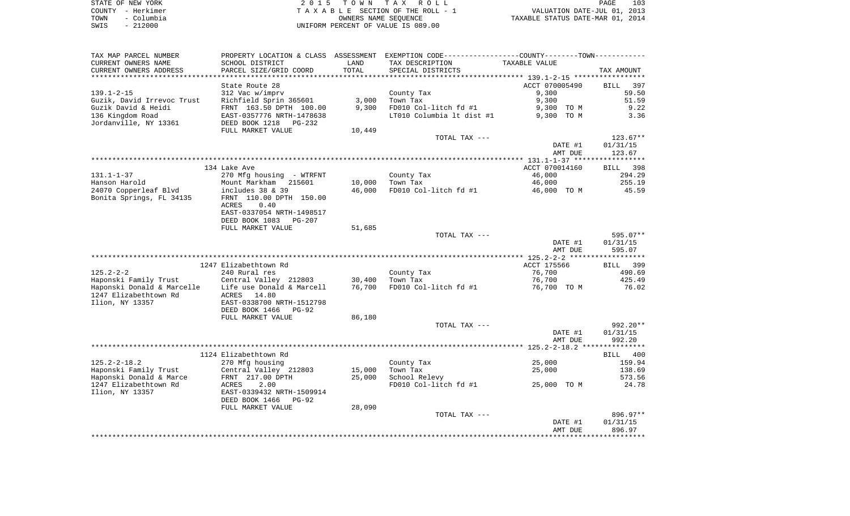| STATE OF NEW YORK  | 2015 TOWN TAX ROLL                 | 103<br>PAGE                      |
|--------------------|------------------------------------|----------------------------------|
| COUNTY - Herkimer  | TAXABLE SECTION OF THE ROLL - 1    | VALUATION DATE-JUL 01, 2013      |
| - Columbia<br>TOWN | OWNERS NAME SEOUENCE               | TAXABLE STATUS DATE-MAR 01, 2014 |
| 212000<br>SWIS     | UNIFORM PERCENT OF VALUE IS 089.00 |                                  |

| TAX MAP PARCEL NUMBER      |                                                                          |        | PROPERTY LOCATION & CLASS ASSESSMENT EXEMPTION CODE----------------COUNTY--------TOWN---------- |                |            |
|----------------------------|--------------------------------------------------------------------------|--------|-------------------------------------------------------------------------------------------------|----------------|------------|
| CURRENT OWNERS NAME        | SCHOOL DISTRICT                                                          | LAND   | TAX DESCRIPTION                                                                                 | TAXABLE VALUE  |            |
| CURRENT OWNERS ADDRESS     | PARCEL SIZE/GRID COORD                                                   | TOTAL  | SPECIAL DISTRICTS                                                                               |                | TAX AMOUNT |
|                            |                                                                          |        |                                                                                                 |                |            |
|                            | State Route 28                                                           |        |                                                                                                 | ACCT 070005490 | BILL 397   |
| 139.1-2-15                 | 312 Vac w/imprv                                                          |        | County Tax                                                                                      | 9,300          | 59.50      |
| Guzik, David Irrevoc Trust | Richfield Sprin 365601                                                   | 3,000  | Town Tax                                                                                        | 9,300          | 51.59      |
| Guzik David & Heidi        | FRNT 163.50 DPTH 100.00                                                  | 9,300  | FD010 Col-litch fd #1                                                                           | 9,300 TO M     | 9.22       |
| 136 Kingdom Road           | EAST-0357776 NRTH-1478638                                                |        | LT010 Columbia 1t dist #1 9,300 TO M                                                            |                | 3.36       |
| Jordanville, NY 13361      | DEED BOOK 1218 PG-232                                                    |        |                                                                                                 |                |            |
|                            | FULL MARKET VALUE                                                        | 10,449 |                                                                                                 |                |            |
|                            |                                                                          |        | TOTAL TAX ---                                                                                   |                | $123.67**$ |
|                            |                                                                          |        |                                                                                                 | DATE #1        | 01/31/15   |
|                            |                                                                          |        |                                                                                                 | AMT DUE        | 123.67     |
|                            |                                                                          |        |                                                                                                 |                |            |
|                            | 134 Lake Ave                                                             |        |                                                                                                 | ACCT 070014160 | BILL 398   |
| 131.1-1-37                 | 270 Mfg housing - WTRFNT                                                 |        | County Tax                                                                                      | 46,000         | 294.29     |
| Hanson Harold              | Mount Markham 215601                                                     | 10,000 | Town Tax                                                                                        | 46,000         | 255.19     |
|                            |                                                                          | 46,000 | FD010 Col-litch fd #1                                                                           | 46,000 TO M    | 45.59      |
| Bonita Springs, FL 34135   | FRNT 110.00 DPTH 150.00                                                  |        |                                                                                                 |                |            |
|                            | 0.40<br>ACRES                                                            |        |                                                                                                 |                |            |
|                            | EAST-0337054 NRTH-1498517                                                |        |                                                                                                 |                |            |
|                            | DEED BOOK 1083 PG-207                                                    |        |                                                                                                 |                |            |
|                            | FULL MARKET VALUE                                                        | 51,685 |                                                                                                 |                |            |
|                            |                                                                          |        | TOTAL TAX ---                                                                                   |                | 595.07**   |
|                            |                                                                          |        |                                                                                                 | DATE #1        | 01/31/15   |
|                            |                                                                          |        |                                                                                                 | AMT DUE        | 595.07     |
|                            |                                                                          |        |                                                                                                 |                |            |
|                            | 1247 Elizabethtown Rd                                                    |        |                                                                                                 | ACCT 175566    | BILL 399   |
| $125.2 - 2 - 2$            | 240 Rural res                                                            |        | County Tax                                                                                      | 76,700         | 490.69     |
|                            | Haponski Family Trust             Central Valley 212803           30,400 |        | Town Tax                                                                                        | 76,700         | 425.49     |
|                            | Haponski Donald & Marcelle    Life use Donald & Marcell                  | 76,700 | FD010 Col-litch fd $#1$ 76,700 TO M                                                             |                | 76.02      |
| 1247 Elizabethtown Rd      | ACRES 14.80                                                              |        |                                                                                                 |                |            |
| Ilion, NY 13357            | EAST-0338700 NRTH-1512798                                                |        |                                                                                                 |                |            |
|                            | DEED BOOK 1466<br>PG-92                                                  |        |                                                                                                 |                |            |
|                            | FULL MARKET VALUE                                                        | 86,180 |                                                                                                 |                |            |
|                            |                                                                          |        | TOTAL TAX ---                                                                                   |                | 992.20**   |
|                            |                                                                          |        |                                                                                                 | DATE #1        | 01/31/15   |
|                            |                                                                          |        |                                                                                                 | AMT DUE        | 992.20     |
|                            |                                                                          |        |                                                                                                 |                |            |
|                            | 1124 Elizabethtown Rd                                                    |        |                                                                                                 |                | BILL 400   |
| 125.2-2-18.2               | 270 Mfg housing                                                          |        | County Tax                                                                                      | 25,000         | 159.94     |
| Haponski Family Trust      | Central Valley 212803                                                    | 15,000 | Town Tax                                                                                        | 25,000         | 138.69     |
| Haponski Donald & Marce    | FRNT 217.00 DPTH                                                         | 25,000 | School Relevy                                                                                   |                | 573.56     |
| 1247 Elizabethtown Rd      | 2.00<br>ACRES                                                            |        | FD010 Col-litch fd #1                                                                           | 25,000 TO M    | 24.78      |
| Ilion, NY 13357            | EAST-0339432 NRTH-1509914                                                |        |                                                                                                 |                |            |
|                            | DEED BOOK 1466 PG-92                                                     |        |                                                                                                 |                |            |
|                            | FULL MARKET VALUE                                                        | 28,090 |                                                                                                 |                |            |
|                            |                                                                          |        | TOTAL TAX ---                                                                                   |                | 896.97**   |
|                            |                                                                          |        |                                                                                                 | DATE #1        | 01/31/15   |
|                            |                                                                          |        |                                                                                                 | AMT DUE        | 896.97     |
|                            |                                                                          |        |                                                                                                 |                |            |
|                            |                                                                          |        |                                                                                                 |                |            |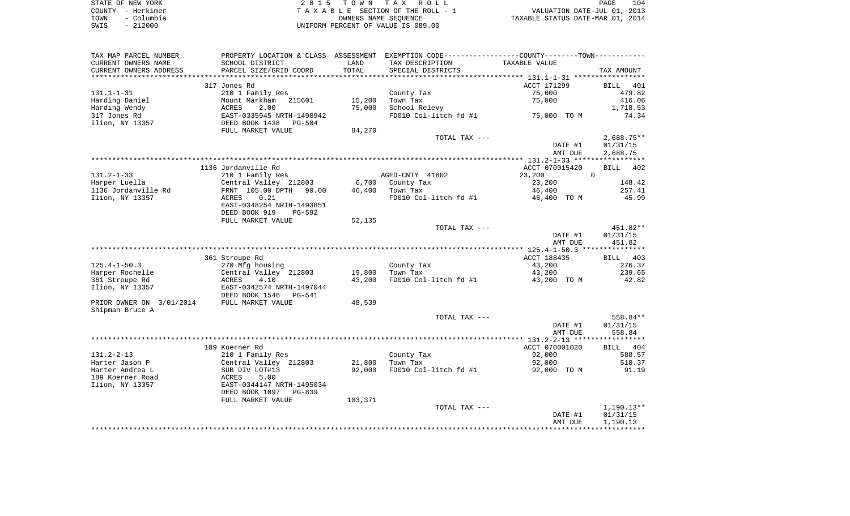| STATE OF NEW YORK  | 2015 TOWN TAX ROLL                 | 104<br>PAGE                      |
|--------------------|------------------------------------|----------------------------------|
| COUNTY - Herkimer  | TAXABLE SECTION OF THE ROLL - 1    | VALUATION DATE-JUL 01, 2013      |
| TOWN<br>- Columbia | OWNERS NAME SEOUENCE               | TAXABLE STATUS DATE-MAR 01, 2014 |
| $-212000$<br>SWIS  | UNIFORM PERCENT OF VALUE IS 089.00 |                                  |

| TAX MAP PARCEL NUMBER    | PROPERTY LOCATION & CLASS ASSESSMENT EXEMPTION CODE---------------COUNTY-------TOWN---------- |              |                       |                |                      |
|--------------------------|-----------------------------------------------------------------------------------------------|--------------|-----------------------|----------------|----------------------|
| CURRENT OWNERS NAME      | SCHOOL DISTRICT                                                                               | LAND         | TAX DESCRIPTION       | TAXABLE VALUE  |                      |
| CURRENT OWNERS ADDRESS   | PARCEL SIZE/GRID COORD                                                                        | TOTAL        | SPECIAL DISTRICTS     |                | TAX AMOUNT           |
|                          |                                                                                               | ************ |                       |                |                      |
|                          | 317 Jones Rd                                                                                  |              |                       | ACCT 171299    | BILL 401             |
| $131.1 - 1 - 31$         | 210 1 Family Res                                                                              |              | County Tax            | 75,000         | 479.82               |
| Harding Daniel           | Mount Markham 215601                                                                          | 15,200       | Town Tax              | 75,000         | 416.06               |
| Harding Wendy            | ACRES<br>2.00                                                                                 | 75,000       | School Relevy         |                | 1,718.53             |
| 317 Jones Rd             | EAST-0335945 NRTH-1490942                                                                     |              | FD010 Col-litch fd #1 | 75,000 TO M    | 74.34                |
| Ilion, NY 13357          | DEED BOOK 1438<br>PG-504                                                                      |              |                       |                |                      |
|                          | FULL MARKET VALUE                                                                             | 84,270       |                       |                |                      |
|                          |                                                                                               |              | TOTAL TAX ---         |                | $2,688.75**$         |
|                          |                                                                                               |              |                       | DATE #1        | 01/31/15             |
|                          |                                                                                               |              |                       | AMT DUE        | 2,688.75             |
|                          |                                                                                               |              |                       |                |                      |
|                          | 1136 Jordanville Rd                                                                           |              |                       | ACCT 070015420 | BILL<br>402          |
| $131.2 - 1 - 33$         | 210 1 Family Res                                                                              |              | AGED-CNTY 41802       | 23,200         | $\mathbf{0}$         |
| Harper Luella            | Central Valley 212803                                                                         | 6,700        | County Tax            | 23,200         | 148.42               |
| 1136 Jordanville Rd      | FRNT 105.00 DPTH 90.00                                                                        | 46,400       | Town Tax              | 46,400         | 257.41               |
| Ilion, NY 13357          | 0.21<br>ACRES                                                                                 |              | FD010 Col-litch fd #1 | 46,400 TO M    | 45.99                |
|                          | EAST-0348254 NRTH-1493851                                                                     |              |                       |                |                      |
|                          | DEED BOOK 919<br>$PG-592$                                                                     |              |                       |                |                      |
|                          | FULL MARKET VALUE                                                                             | 52,135       |                       |                |                      |
|                          |                                                                                               |              | TOTAL TAX ---         | DATE #1        | 451.82**<br>01/31/15 |
|                          |                                                                                               |              |                       | AMT DUE        | 451.82               |
|                          |                                                                                               |              |                       |                |                      |
|                          | 361 Stroupe Rd                                                                                |              |                       | ACCT 188435    | BILL 403             |
| $125.4 - 1 - 50.3$       | 270 Mfg housing                                                                               |              | County Tax            | 43,200         | 276.37               |
| Harper Rochelle          | Central Valley 212803                                                                         | 19,800       | Town Tax              | 43,200         | 239.65               |
| 361 Stroupe Rd           | 4.10<br>ACRES                                                                                 | 43,200       | FD010 Col-litch fd #1 | 43,200 TO M    | 42.82                |
| Ilion, NY 13357          | EAST-0342574 NRTH-1497044                                                                     |              |                       |                |                      |
|                          | DEED BOOK 1546<br>PG-541                                                                      |              |                       |                |                      |
| PRIOR OWNER ON 3/01/2014 | FULL MARKET VALUE                                                                             | 48,539       |                       |                |                      |
| Shipman Bruce A          |                                                                                               |              |                       |                |                      |
|                          |                                                                                               |              | TOTAL TAX ---         |                | 558.84**             |
|                          |                                                                                               |              |                       | DATE #1        | 01/31/15             |
|                          |                                                                                               |              |                       | AMT DUE        | 558.84               |
|                          |                                                                                               |              |                       |                |                      |
|                          | 189 Koerner Rd                                                                                |              |                       | ACCT 070001020 | BILL 404             |
| $131.2 - 2 - 13$         | 210 1 Family Res                                                                              |              | County Tax            | 92,000         | 588.57               |
| Harter Jason P           | Central Valley 212803                                                                         | 21,800       | Town Tax              | 92,000         | 510.37               |
| Harter Andrea L          | SUB DIV LOT#13                                                                                | 92,000       | FD010 Col-litch fd #1 | 92,000 TO M    | 91.19                |
| 189 Koerner Road         | 5.00<br>ACRES                                                                                 |              |                       |                |                      |
| Ilion, NY 13357          | EAST-0344147 NRTH-1495034                                                                     |              |                       |                |                      |
|                          | DEED BOOK 1097<br>$PG-839$                                                                    |              |                       |                |                      |
|                          | FULL MARKET VALUE                                                                             | 103,371      |                       |                |                      |
|                          |                                                                                               |              | TOTAL TAX ---         |                | $1,190.13**$         |
|                          |                                                                                               |              |                       | DATE #1        | 01/31/15             |
|                          |                                                                                               |              |                       | AMT DUE        | 1,190.13             |
|                          |                                                                                               |              |                       |                |                      |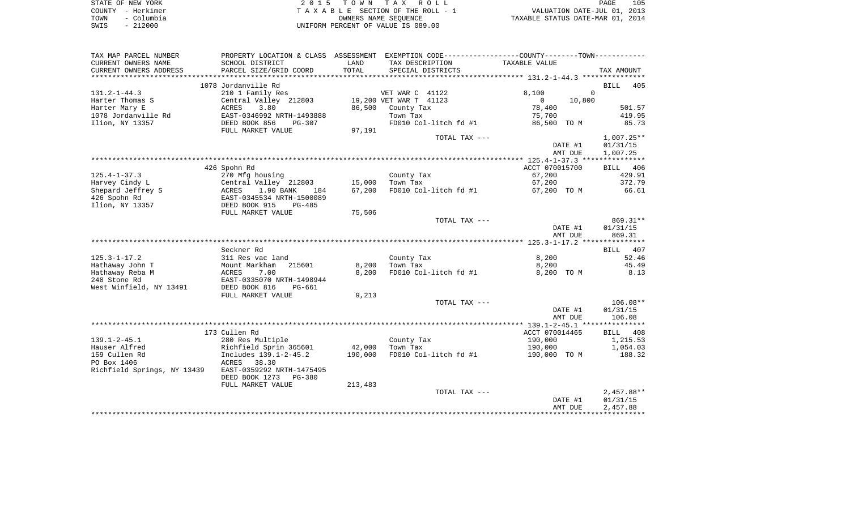| STATE OF NEW YORK  | 2015 TOWN TAX ROLL                 | 105<br>PAGE                      |
|--------------------|------------------------------------|----------------------------------|
| COUNTY - Herkimer  | TAXABLE SECTION OF THE ROLL - 1    | VALUATION DATE-JUL 01, 2013      |
| - Columbia<br>TOWN | OWNERS NAME SEOUENCE               | TAXABLE STATUS DATE-MAR 01, 2014 |
| - 212000<br>SWIS   | UNIFORM PERCENT OF VALUE IS 089.00 |                                  |

| TAX MAP PARCEL NUMBER       | PROPERTY LOCATION & CLASS ASSESSMENT EXEMPTION CODE---------------COUNTY-------TOWN---------- |         |                        |                       |                |         |                    |
|-----------------------------|-----------------------------------------------------------------------------------------------|---------|------------------------|-----------------------|----------------|---------|--------------------|
| CURRENT OWNERS NAME         | SCHOOL DISTRICT                                                                               | LAND    | TAX DESCRIPTION        |                       | TAXABLE VALUE  |         |                    |
| CURRENT OWNERS ADDRESS      | PARCEL SIZE/GRID COORD                                                                        | TOTAL   | SPECIAL DISTRICTS      |                       |                |         | TAX AMOUNT         |
| *********************       |                                                                                               |         |                        |                       |                |         |                    |
|                             | 1078 Jordanville Rd                                                                           |         |                        |                       |                |         | <b>BILL</b><br>405 |
| $131.2 - 1 - 44.3$          | 210 1 Family Res                                                                              |         | VET WAR C 41122        |                       | 8,100          |         | $\Omega$           |
| Harter Thomas S             | Central Valley 212803                                                                         |         | 19,200 VET WAR T 41123 |                       | $\overline{0}$ | 10,800  |                    |
| Harter Mary E               | 3.80<br>ACRES                                                                                 |         | 86,500 County Tax      |                       | 78,400         |         | 501.57             |
| 1078 Jordanville Rd         | EAST-0346992 NRTH-1493888                                                                     |         | Town Tax               |                       | 75,700         |         | 419.95             |
| Ilion, NY 13357             | DEED BOOK 856<br>PG-307                                                                       |         |                        | FD010 Col-litch fd #1 | 86,500 TO M    |         | 85.73              |
|                             | FULL MARKET VALUE                                                                             | 97,191  |                        |                       |                |         |                    |
|                             |                                                                                               |         |                        | TOTAL TAX ---         |                |         | $1,007.25**$       |
|                             |                                                                                               |         |                        |                       |                | DATE #1 | 01/31/15           |
|                             |                                                                                               |         |                        |                       |                | AMT DUE | 1,007.25           |
|                             |                                                                                               |         |                        |                       |                |         |                    |
|                             | 426 Spohn Rd                                                                                  |         |                        |                       | ACCT 070015700 |         | BILL 406           |
| $125.4 - 1 - 37.3$          | 270 Mfg housing                                                                               |         | County Tax             |                       | 67,200         |         | 429.91             |
| Harvey Cindy L              | Central Valley 212803                                                                         | 15,000  | Town Tax               |                       | 67,200         |         | 372.79             |
| Shepard Jeffrey S           | ACRES<br>1.90 BANK<br>184                                                                     | 67,200  |                        | FD010 Col-litch fd #1 | 67,200 TO M    |         | 66.61              |
| 426 Spohn Rd                | EAST-0345534 NRTH-1500089                                                                     |         |                        |                       |                |         |                    |
| Ilion, NY 13357             | DEED BOOK 915<br>$PG-485$                                                                     |         |                        |                       |                |         |                    |
|                             | FULL MARKET VALUE                                                                             | 75,506  |                        |                       |                |         |                    |
|                             |                                                                                               |         |                        | TOTAL TAX ---         |                |         | 869.31**           |
|                             |                                                                                               |         |                        |                       |                | DATE #1 | 01/31/15           |
|                             |                                                                                               |         |                        |                       |                | AMT DUE | 869.31             |
|                             |                                                                                               |         |                        |                       |                |         |                    |
|                             | Seckner Rd                                                                                    |         |                        |                       |                |         | BILL 407           |
| $125.3 - 1 - 17.2$          | 311 Res vac land                                                                              |         | County Tax             |                       | 8,200          |         | 52.46              |
| Hathaway John T             | Mount Markham<br>215601                                                                       | 8,200   | Town Tax               |                       | 8,200          |         | 45.49              |
| Hathaway Reba M             | ACRES<br>7.00                                                                                 | 8,200   |                        | FD010 Col-litch fd #1 | 8,200 TO M     |         | 8.13               |
| 248 Stone Rd                | EAST-0335070 NRTH-1498944                                                                     |         |                        |                       |                |         |                    |
| West Winfield, NY 13491     | DEED BOOK 816<br>PG-661                                                                       |         |                        |                       |                |         |                    |
|                             | FULL MARKET VALUE                                                                             | 9,213   |                        |                       |                |         |                    |
|                             |                                                                                               |         |                        | TOTAL TAX ---         |                |         | $106.08**$         |
|                             |                                                                                               |         |                        |                       |                | DATE #1 | 01/31/15           |
|                             |                                                                                               |         |                        |                       |                | AMT DUE | 106.08             |
|                             |                                                                                               |         |                        |                       |                |         |                    |
|                             | 173 Cullen Rd                                                                                 |         |                        |                       | ACCT 070014465 |         | BILL 408           |
| $139.1 - 2 - 45.1$          | 280 Res Multiple                                                                              |         | County Tax             |                       | 190,000        |         | 1,215.53           |
| Hauser Alfred               | Richfield Sprin 365601                                                                        | 42,000  | Town Tax               |                       | 190,000        |         | 1,054.03           |
| 159 Cullen Rd               | Includes 139.1-2-45.2                                                                         | 190,000 |                        | FD010 Col-litch fd #1 | 190,000 TO M   |         | 188.32             |
| PO Box 1406                 | 38.30<br>ACRES                                                                                |         |                        |                       |                |         |                    |
| Richfield Springs, NY 13439 | EAST-0359292 NRTH-1475495                                                                     |         |                        |                       |                |         |                    |
|                             | DEED BOOK 1273<br>PG-380                                                                      |         |                        |                       |                |         |                    |
|                             | FULL MARKET VALUE                                                                             | 213,483 |                        |                       |                |         |                    |
|                             |                                                                                               |         |                        | TOTAL TAX ---         |                |         | $2,457.88**$       |
|                             |                                                                                               |         |                        |                       |                | DATE #1 | 01/31/15           |
|                             |                                                                                               |         |                        |                       |                | AMT DUE | 2,457.88           |
|                             |                                                                                               |         |                        |                       |                |         |                    |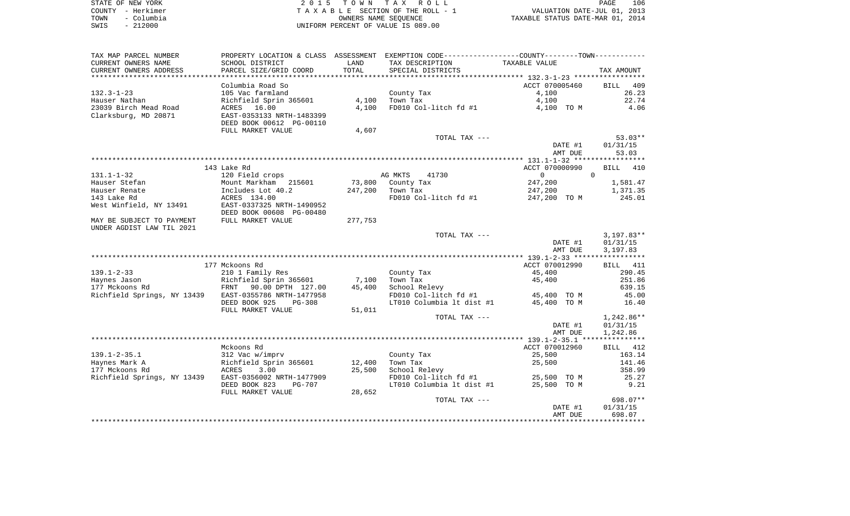| STATE OF NEW YORK  | 2015 TOWN TAX ROLL                 | 106<br>PAGE                      |
|--------------------|------------------------------------|----------------------------------|
| COUNTY - Herkimer  | TAXABLE SECTION OF THE ROLL - 1    | VALUATION DATE-JUL 01, 2013      |
| – Columbia<br>TOWN | OWNERS NAME SEOUENCE               | TAXABLE STATUS DATE-MAR 01, 2014 |
| $-212000$<br>SWIS  | UNIFORM PERCENT OF VALUE IS 089.00 |                                  |

| TAX MAP PARCEL NUMBER       |                           |                 | PROPERTY LOCATION & CLASS ASSESSMENT EXEMPTION CODE----------------COUNTY--------TOWN---------- |                |                    |
|-----------------------------|---------------------------|-----------------|-------------------------------------------------------------------------------------------------|----------------|--------------------|
| CURRENT OWNERS NAME         | SCHOOL DISTRICT           | LAND            | TAX DESCRIPTION                                                                                 | TAXABLE VALUE  |                    |
| CURRENT OWNERS ADDRESS      | PARCEL SIZE/GRID COORD    | TOTAL           | SPECIAL DISTRICTS                                                                               |                | TAX AMOUNT         |
| *********************       | ***************           | *************** |                                                                                                 |                |                    |
|                             | Columbia Road So          |                 |                                                                                                 | ACCT 070005460 | <b>BILL</b><br>409 |
| $132.3 - 1 - 23$            | 105 Vac farmland          |                 | County Tax                                                                                      | 4,100          | 26.23              |
| Hauser Nathan               | Richfield Sprin 365601    | 4,100           | Town Tax                                                                                        | 4,100          | 22.74              |
| 23039 Birch Mead Road       | ACRES 16.00               | 4,100           | FD010 Col-litch fd #1                                                                           | 4,100 TO M     | 4.06               |
| Clarksburg, MD 20871        | EAST-0353133 NRTH-1483399 |                 |                                                                                                 |                |                    |
|                             | DEED BOOK 00612 PG-00110  |                 |                                                                                                 |                |                    |
|                             | FULL MARKET VALUE         | 4,607           |                                                                                                 |                |                    |
|                             |                           |                 | TOTAL TAX ---                                                                                   |                | $53.03**$          |
|                             |                           |                 |                                                                                                 | DATE #1        | 01/31/15           |
|                             |                           |                 |                                                                                                 | AMT DUE        | 53.03              |
|                             |                           |                 |                                                                                                 |                |                    |
|                             | 143 Lake Rd               |                 |                                                                                                 | ACCT 070000990 | 410<br>BILL        |
| $131.1 - 1 - 32$            | 120 Field crops           |                 | AG MKTS<br>41730                                                                                | $\overline{0}$ | $\Omega$           |
| Hauser Stefan               | Mount Markham 215601      | 73,800          | County Tax                                                                                      | 247,200        | 1,581.47           |
| Hauser Renate               | Includes Lot 40.2         | 247,200         | Town Tax                                                                                        | 247,200        | 1,371.35           |
| 143 Lake Rd                 | ACRES 134.00              |                 | FD010 Col-litch fd #1                                                                           | 247,200 TO M   | 245.01             |
| West Winfield, NY 13491     | EAST-0337325 NRTH-1490952 |                 |                                                                                                 |                |                    |
|                             | DEED BOOK 00608 PG-00480  |                 |                                                                                                 |                |                    |
| MAY BE SUBJECT TO PAYMENT   | FULL MARKET VALUE         | 277,753         |                                                                                                 |                |                    |
| UNDER AGDIST LAW TIL 2021   |                           |                 |                                                                                                 |                |                    |
|                             |                           |                 | TOTAL TAX ---                                                                                   |                | $3,197.83**$       |
|                             |                           |                 |                                                                                                 | DATE #1        | 01/31/15           |
|                             |                           |                 |                                                                                                 | AMT DUE        | 3,197.83           |
|                             | 177 Mckoons Rd            |                 |                                                                                                 | ACCT 070012990 | BILL 411           |
| $139.1 - 2 - 33$            | 210 1 Family Res          |                 | County Tax                                                                                      | 45,400         | 290.45             |
| Haynes Jason                | Richfield Sprin 365601    | 7,100           | Town Tax                                                                                        | 45,400         | 251.86             |
| 177 Mckoons Rd              | FRNT 90.00 DPTH 127.00    | 45,400          | School Relevy                                                                                   |                | 639.15             |
| Richfield Springs, NY 13439 | EAST-0355786 NRTH-1477958 |                 | FD010 Col-litch fd #1                                                                           | 45,400 TO M    | 45.00              |
|                             | DEED BOOK 925<br>$PG-308$ |                 | LT010 Columbia 1t dist #1                                                                       | 45,400 TO M    | 16.40              |
|                             | FULL MARKET VALUE         | 51,011          |                                                                                                 |                |                    |
|                             |                           |                 | TOTAL TAX ---                                                                                   |                | $1,242.86**$       |
|                             |                           |                 |                                                                                                 | DATE #1        | 01/31/15           |
|                             |                           |                 |                                                                                                 | AMT DUE        | 1,242.86           |
|                             |                           |                 |                                                                                                 |                | ***********        |
|                             | Mckoons Rd                |                 |                                                                                                 | ACCT 070012960 | BILL 412           |
| $139.1 - 2 - 35.1$          | 312 Vac w/imprv           |                 | County Tax                                                                                      | 25,500         | 163.14             |
| Haynes Mark A               | Richfield Sprin 365601    | 12,400          | Town Tax                                                                                        | 25,500         | 141.46             |
| 177 Mckoons Rd              | ACRES<br>3.00             | 25,500          | School Relevy                                                                                   |                | 358.99             |
| Richfield Springs, NY 13439 | EAST-0356002 NRTH-1477909 |                 | FD010 Col-litch fd #1                                                                           | 25,500 TO M    | 25.27              |
|                             | DEED BOOK 823<br>PG-707   |                 | LT010 Columbia 1t dist #1                                                                       | 25,500 TO M    | 9.21               |
|                             | FULL MARKET VALUE         | 28,652          |                                                                                                 |                |                    |
|                             |                           |                 | TOTAL TAX ---                                                                                   |                | 698.07**           |
|                             |                           |                 |                                                                                                 | DATE #1        | 01/31/15           |
|                             |                           |                 |                                                                                                 | AMT DUE        | 698.07             |
|                             |                           |                 |                                                                                                 |                |                    |
|                             |                           |                 |                                                                                                 |                |                    |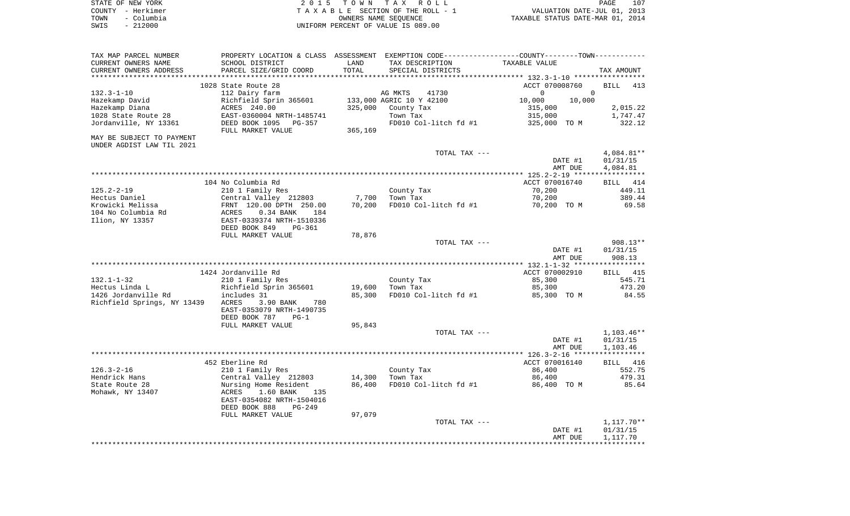| STATE OF NEW YORK  | 2015 TOWN TAX ROLL                 | 107<br>PAGE                      |
|--------------------|------------------------------------|----------------------------------|
| COUNTY - Herkimer  | TAXABLE SECTION OF THE ROLL - 1    | VALUATION DATE-JUL 01, 2013      |
| - Columbia<br>TOWN | OWNERS NAME SEOUENCE               | TAXABLE STATUS DATE-MAR 01, 2014 |
| - 212000<br>SWIS   | UNIFORM PERCENT OF VALUE IS 089.00 |                                  |

| TAX MAP PARCEL NUMBER       | PROPERTY LOCATION & CLASS ASSESSMENT EXEMPTION CODE---------------COUNTY-------TOWN---------- |         |                          |                             |                      |
|-----------------------------|-----------------------------------------------------------------------------------------------|---------|--------------------------|-----------------------------|----------------------|
| CURRENT OWNERS NAME         | SCHOOL DISTRICT                                                                               | LAND    | TAX DESCRIPTION          | TAXABLE VALUE               |                      |
| CURRENT OWNERS ADDRESS      | PARCEL SIZE/GRID COORD                                                                        | TOTAL   | SPECIAL DISTRICTS        |                             | TAX AMOUNT           |
|                             |                                                                                               |         |                          |                             |                      |
|                             | 1028 State Route 28                                                                           |         |                          | ACCT 070008760              | <b>BILL</b><br>413   |
| $132.3 - 1 - 10$            | 112 Dairy farm                                                                                |         | AG MKTS<br>41730         | $\mathbf{0}$<br>$\mathbf 0$ |                      |
| Hazekamp David              | Richfield Sprin 365601                                                                        |         | 133,000 AGRIC 10 Y 42100 | 10,000<br>10,000            |                      |
| Hazekamp Diana              | ACRES 240.00                                                                                  | 325,000 | County Tax               | 315,000                     | 2,015.22             |
| 1028 State Route 28         | EAST-0360004 NRTH-1485741                                                                     |         | Town Tax                 | 315,000                     | 1,747.47             |
| Jordanville, NY 13361       | DEED BOOK 1095<br>PG-357                                                                      |         | FD010 Col-litch fd #1    | 325,000 TO M                | 322.12               |
|                             | FULL MARKET VALUE                                                                             | 365,169 |                          |                             |                      |
| MAY BE SUBJECT TO PAYMENT   |                                                                                               |         |                          |                             |                      |
| UNDER AGDIST LAW TIL 2021   |                                                                                               |         |                          |                             |                      |
|                             |                                                                                               |         | TOTAL TAX ---            |                             | 4,084.81**           |
|                             |                                                                                               |         |                          | DATE #1                     | 01/31/15             |
|                             |                                                                                               |         |                          | AMT DUE                     | 4,084.81             |
|                             |                                                                                               |         |                          |                             |                      |
|                             | 104 No Columbia Rd                                                                            |         |                          | ACCT 070016740              | BILL 414             |
| $125.2 - 2 - 19$            | 210 1 Family Res                                                                              |         | County Tax               | 70,200                      | 449.11               |
| Hectus Daniel               | Central Valley 212803                                                                         | 7,700   | Town Tax                 | 70,200                      | 389.44               |
| Krowicki Melissa            | FRNT 120.00 DPTH 250.00                                                                       | 70,200  | FD010 Col-litch fd #1    | 70,200 TO M                 | 69.58                |
| 104 No Columbia Rd          | ACRES<br>$0.34$ BANK<br>184                                                                   |         |                          |                             |                      |
| Ilion, NY 13357             | EAST-0339374 NRTH-1510336                                                                     |         |                          |                             |                      |
|                             | DEED BOOK 849<br>PG-361                                                                       |         |                          |                             |                      |
|                             | FULL MARKET VALUE                                                                             | 78,876  |                          |                             |                      |
|                             |                                                                                               |         | TOTAL TAX ---            | DATE #1                     | 908.13**<br>01/31/15 |
|                             |                                                                                               |         |                          | AMT DUE                     | 908.13               |
|                             |                                                                                               |         |                          |                             |                      |
|                             | 1424 Jordanville Rd                                                                           |         |                          | ACCT 070002910              | <b>BILL</b> 415      |
| $132.1 - 1 - 32$            | 210 1 Family Res                                                                              |         | County Tax               | 85,300                      | 545.71               |
| Hectus Linda L              | Richfield Sprin 365601                                                                        | 19,600  | Town Tax                 | 85,300                      | 473.20               |
| 1426 Jordanville Rd         | includes 31                                                                                   | 85,300  | FD010 Col-litch fd #1    | 85,300 TO M                 | 84.55                |
| Richfield Springs, NY 13439 | ACRES<br>780<br>3.90 BANK                                                                     |         |                          |                             |                      |
|                             | EAST-0353079 NRTH-1490735                                                                     |         |                          |                             |                      |
|                             | DEED BOOK 787<br>$PG-1$                                                                       |         |                          |                             |                      |
|                             | FULL MARKET VALUE                                                                             | 95,843  |                          |                             |                      |
|                             |                                                                                               |         | TOTAL TAX ---            |                             | $1,103.46**$         |
|                             |                                                                                               |         |                          | DATE #1                     | 01/31/15             |
|                             |                                                                                               |         |                          | AMT DUE                     | 1,103.46             |
|                             |                                                                                               |         |                          |                             |                      |
|                             | 452 Eberline Rd                                                                               |         |                          | ACCT 070016140              | BILL 416             |
| $126.3 - 2 - 16$            | 210 1 Family Res                                                                              |         | County Tax               | 86,400                      | 552.75               |
| Hendrick Hans               | Central Valley 212803                                                                         | 14,300  | Town Tax                 | 86,400                      | 479.31               |
| State Route 28              | Nursing Home Resident                                                                         | 86,400  | FD010 Col-litch fd #1    | 86,400 TO M                 | 85.64                |
| Mohawk, NY 13407            | 1.60 BANK<br>ACRES<br>135                                                                     |         |                          |                             |                      |
|                             | EAST-0354082 NRTH-1504016                                                                     |         |                          |                             |                      |
|                             | DEED BOOK 888<br>PG-249                                                                       |         |                          |                             |                      |
|                             | FULL MARKET VALUE                                                                             | 97,079  |                          |                             |                      |
|                             |                                                                                               |         | TOTAL TAX ---            |                             | $1,117.70**$         |
|                             |                                                                                               |         |                          | DATE #1                     | 01/31/15             |
|                             |                                                                                               |         |                          | AMT DUE                     | 1,117.70             |
|                             |                                                                                               |         |                          |                             |                      |
|                             |                                                                                               |         |                          |                             |                      |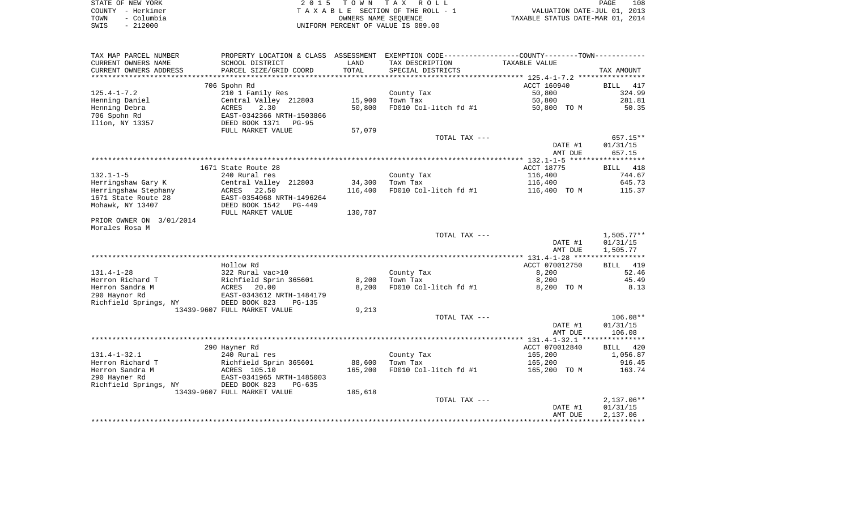|      | STATE OF NEW YORK | 2015 TOWN TAX ROLL                 | 108<br>PAGE                      |
|------|-------------------|------------------------------------|----------------------------------|
|      | COUNTY – Herkimer | TAXABLE SECTION OF THE ROLL - 1    | VALUATION DATE-JUL 01, 2013      |
| TOWN | - Columbia        | OWNERS NAME SEOUENCE               | TAXABLE STATUS DATE-MAR 01, 2014 |
| SWIS | $-212000$         | UNIFORM PERCENT OF VALUE IS 089.00 |                                  |

| TAX MAP PARCEL NUMBER    |                              |         | PROPERTY LOCATION & CLASS ASSESSMENT EXEMPTION CODE---------------COUNTY-------TOWN---------- |                    |              |
|--------------------------|------------------------------|---------|-----------------------------------------------------------------------------------------------|--------------------|--------------|
| CURRENT OWNERS NAME      | SCHOOL DISTRICT              | LAND    | TAX DESCRIPTION                                                                               | TAXABLE VALUE      |              |
| CURRENT OWNERS ADDRESS   | PARCEL SIZE/GRID COORD       | TOTAL   | SPECIAL DISTRICTS                                                                             |                    | TAX AMOUNT   |
| *******************      | **************************** |         |                                                                                               |                    |              |
|                          | 706 Spohn Rd                 |         |                                                                                               | ACCT 160940        | BILL 417     |
| $125.4 - 1 - 7.2$        | 210 1 Family Res             |         | County Tax                                                                                    | 50,800             | 324.99       |
| Henning Daniel           | Central Valley 212803        | 15,900  | Town Tax                                                                                      | 50,800             | 281.81       |
| Henning Debra            | ACRES<br>2.30                | 50,800  | FD010 Col-litch fd #1                                                                         | 50,800 TO M        | 50.35        |
| 706 Spohn Rd             | EAST-0342366 NRTH-1503866    |         |                                                                                               |                    |              |
| Ilion, NY 13357          | DEED BOOK 1371<br>PG-95      |         |                                                                                               |                    |              |
|                          | FULL MARKET VALUE            | 57,079  |                                                                                               |                    |              |
|                          |                              |         | TOTAL TAX ---                                                                                 |                    | 657.15**     |
|                          |                              |         |                                                                                               | DATE #1            | 01/31/15     |
|                          |                              |         |                                                                                               | AMT DUE            | 657.15       |
|                          |                              |         |                                                                                               |                    |              |
|                          | 1671 State Route 28          |         |                                                                                               | ACCT 18775         | BILL 418     |
| $132.1 - 1 - 5$          | 240 Rural res                |         | County Tax                                                                                    | 116,400            | 744.67       |
| Herringshaw Gary K       | Central Valley 212803        | 34,300  | Town Tax                                                                                      | 116,400            | 645.73       |
| Herringshaw Stephany     | ACRES<br>22.50               | 116,400 | FD010 Col-litch fd #1                                                                         | 116,400 TO M       | 115.37       |
| 1671 State Route 28      | EAST-0354068 NRTH-1496264    |         |                                                                                               |                    |              |
| Mohawk, NY 13407         | DEED BOOK 1542<br>$PG-449$   |         |                                                                                               |                    |              |
|                          | FULL MARKET VALUE            | 130,787 |                                                                                               |                    |              |
| PRIOR OWNER ON 3/01/2014 |                              |         |                                                                                               |                    |              |
| Morales Rosa M           |                              |         |                                                                                               |                    |              |
|                          |                              |         | TOTAL TAX ---                                                                                 |                    | 1,505.77**   |
|                          |                              |         |                                                                                               | DATE #1<br>AMT DUE | 01/31/15     |
|                          |                              |         |                                                                                               |                    | 1,505.77     |
|                          | Hollow Rd                    |         |                                                                                               | ACCT 070012750     | BILL 419     |
| $131.4 - 1 - 28$         | 322 Rural vac>10             |         | County Tax                                                                                    | 8,200              | 52.46        |
| Herron Richard T         | Richfield Sprin 365601       | 8,200   | Town Tax                                                                                      | 8,200              | 45.49        |
| Herron Sandra M          | ACRES 20.00                  | 8,200   | FD010 Col-litch fd #1                                                                         | 8,200 TO M         | 8.13         |
| 290 Haynor Rd            | EAST-0343612 NRTH-1484179    |         |                                                                                               |                    |              |
| Richfield Springs, NY    | DEED BOOK 823<br>PG-135      |         |                                                                                               |                    |              |
|                          | 13439-9607 FULL MARKET VALUE | 9,213   |                                                                                               |                    |              |
|                          |                              |         | TOTAL TAX ---                                                                                 |                    | $106.08**$   |
|                          |                              |         |                                                                                               | DATE #1            | 01/31/15     |
|                          |                              |         |                                                                                               | AMT DUE            | 106.08       |
|                          |                              |         |                                                                                               |                    |              |
|                          | 290 Hayner Rd                |         |                                                                                               | ACCT 070012840     | BILL 420     |
| $131.4 - 1 - 32.1$       | 240 Rural res                |         | County Tax                                                                                    | 165,200            | 1,056.87     |
| Herron Richard T         | Richfield Sprin 365601       | 88,600  | Town Tax                                                                                      | 165,200            | 916.45       |
| Herron Sandra M          | ACRES 105.10                 | 165,200 | FD010 Col-litch fd #1                                                                         | 165,200 TO M       | 163.74       |
| 290 Hayner Rd            | EAST-0341965 NRTH-1485003    |         |                                                                                               |                    |              |
| Richfield Springs, NY    | DEED BOOK 823<br>$PG-635$    |         |                                                                                               |                    |              |
|                          | 13439-9607 FULL MARKET VALUE | 185,618 |                                                                                               |                    |              |
|                          |                              |         | TOTAL TAX ---                                                                                 |                    | $2,137.06**$ |
|                          |                              |         |                                                                                               | DATE #1            | 01/31/15     |
|                          |                              |         |                                                                                               | AMT DUE            | 2,137.06     |
|                          |                              |         |                                                                                               |                    |              |
|                          |                              |         |                                                                                               |                    |              |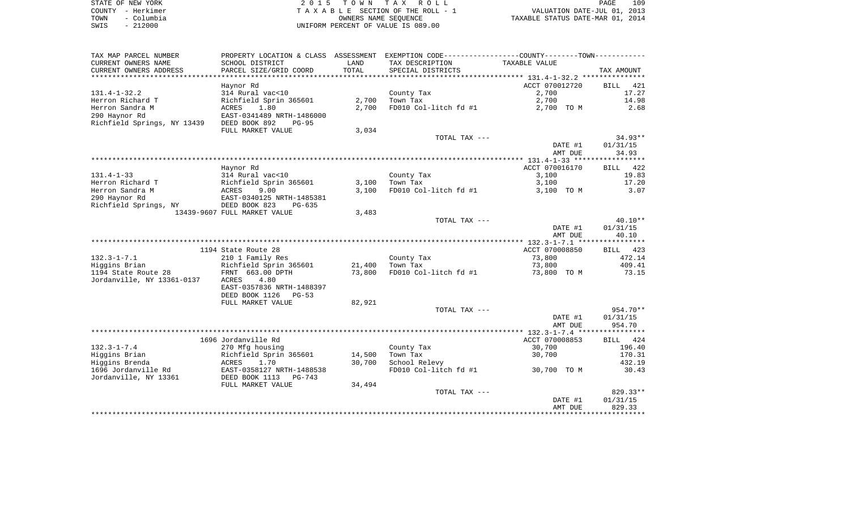|      | STATE OF NEW YORK | 2015 TOWN TAX ROLL                 | PAGE                             | 109 |
|------|-------------------|------------------------------------|----------------------------------|-----|
|      | COUNTY - Herkimer | TAXABLE SECTION OF THE ROLL - 1    | VALUATION DATE-JUL 01, 2013      |     |
| TOWN | - Columbia        | OWNERS NAME SEOUENCE               | TAXABLE STATUS DATE-MAR 01, 2014 |     |
| SWIS | $-212000$         | UNIFORM PERCENT OF VALUE IS 089.00 |                                  |     |

| TAX MAP PARCEL NUMBER       | PROPERTY LOCATION & CLASS ASSESSMENT                   |        | EXEMPTION CODE-----------------COUNTY-------TOWN----------- |                |                    |
|-----------------------------|--------------------------------------------------------|--------|-------------------------------------------------------------|----------------|--------------------|
| CURRENT OWNERS NAME         | SCHOOL DISTRICT                                        | LAND   | TAX DESCRIPTION                                             | TAXABLE VALUE  |                    |
| CURRENT OWNERS ADDRESS      | PARCEL SIZE/GRID COORD                                 | TOTAL  | SPECIAL DISTRICTS                                           |                | TAX AMOUNT         |
| *************************   | *************************                              |        |                                                             |                |                    |
|                             | Haynor Rd                                              |        |                                                             | ACCT 070012720 | <b>BILL</b><br>421 |
| $131.4 - 1 - 32.2$          | 314 Rural vac<10                                       |        | County Tax                                                  | 2,700          | 17.27              |
| Herron Richard T            | Richfield Sprin 365601                                 | 2,700  | Town Tax                                                    | 2,700          | 14.98              |
| Herron Sandra M             | 1.80<br>ACRES                                          | 2,700  | FD010 Col-litch fd #1                                       | 2,700 TO M     | 2.68               |
| 290 Haynor Rd               | EAST-0341489 NRTH-1486000                              |        |                                                             |                |                    |
| Richfield Springs, NY 13439 | DEED BOOK 892<br>$PG-95$                               |        |                                                             |                |                    |
|                             | FULL MARKET VALUE                                      | 3,034  | TOTAL TAX ---                                               |                | $34.93**$          |
|                             |                                                        |        |                                                             | DATE #1        | 01/31/15           |
|                             |                                                        |        |                                                             | AMT DUE        | 34.93              |
|                             |                                                        |        |                                                             |                |                    |
|                             | Haynor Rd                                              |        |                                                             | ACCT 070016170 | BILL 422           |
| $131.4 - 1 - 33$            | 314 Rural vac<10                                       |        | County Tax                                                  | 3,100          | 19.83              |
| Herron Richard T            | Richfield Sprin 365601                                 | 3,100  | Town Tax                                                    | 3,100          | 17.20              |
| Herron Sandra M             | ACRES<br>9.00                                          | 3,100  | FD010 Col-litch fd #1                                       | 3,100 TO M     | 3.07               |
| 290 Haynor Rd               | EAST-0340125 NRTH-1485381                              |        |                                                             |                |                    |
| Richfield Springs, NY       | DEED BOOK 823<br>PG-635                                |        |                                                             |                |                    |
|                             | 13439-9607 FULL MARKET VALUE                           | 3,483  |                                                             |                |                    |
|                             |                                                        |        | TOTAL TAX ---                                               |                | $40.10**$          |
|                             |                                                        |        |                                                             | DATE #1        | 01/31/15           |
|                             |                                                        |        |                                                             | AMT DUE        | 40.10              |
|                             |                                                        |        |                                                             |                |                    |
|                             | 1194 State Route 28                                    |        |                                                             | ACCT 070008850 | BILL 423           |
| $132.3 - 1 - 7.1$           | 210 1 Family Res                                       |        | County Tax                                                  | 73,800         | 472.14             |
| Higgins Brian               | Richfield Sprin 365601                                 | 21,400 | Town Tax                                                    | 73,800         | 409.41             |
| 1194 State Route 28         | FRNT 663.00 DPTH                                       | 73,800 | FD010 Col-litch fd #1                                       | 73,800 TO M    | 73.15              |
| Jordanville, NY 13361-0137  | <b>ACRES</b><br>4.80                                   |        |                                                             |                |                    |
|                             | EAST-0357836 NRTH-1488397<br>DEED BOOK 1126<br>$PG-53$ |        |                                                             |                |                    |
|                             | FULL MARKET VALUE                                      | 82,921 |                                                             |                |                    |
|                             |                                                        |        | TOTAL TAX ---                                               |                | $954.70**$         |
|                             |                                                        |        |                                                             | DATE #1        | 01/31/15           |
|                             |                                                        |        |                                                             | AMT DUE        | 954.70             |
|                             |                                                        |        |                                                             |                |                    |
|                             | 1696 Jordanville Rd                                    |        |                                                             | ACCT 070008853 | BILL 424           |
| $132.3 - 1 - 7.4$           | 270 Mfg housing                                        |        | County Tax                                                  | 30,700         | 196.40             |
| Higgins Brian               | Richfield Sprin 365601                                 | 14,500 | Town Tax                                                    | 30,700         | 170.31             |
| Higgins Brenda              | ACRES<br>1.70                                          | 30,700 | School Relevy                                               |                | 432.19             |
| 1696 Jordanville Rd         | EAST-0358127 NRTH-1488538                              |        | FD010 Col-litch fd #1                                       | 30,700 TO M    | 30.43              |
| Jordanville, NY 13361       | DEED BOOK 1113<br>$PG-743$                             |        |                                                             |                |                    |
|                             | FULL MARKET VALUE                                      | 34,494 |                                                             |                |                    |
|                             |                                                        |        | TOTAL TAX ---                                               |                | 829.33**           |
|                             |                                                        |        |                                                             | DATE #1        | 01/31/15           |
|                             |                                                        |        |                                                             | AMT DUE        | 829.33             |
|                             |                                                        |        |                                                             |                |                    |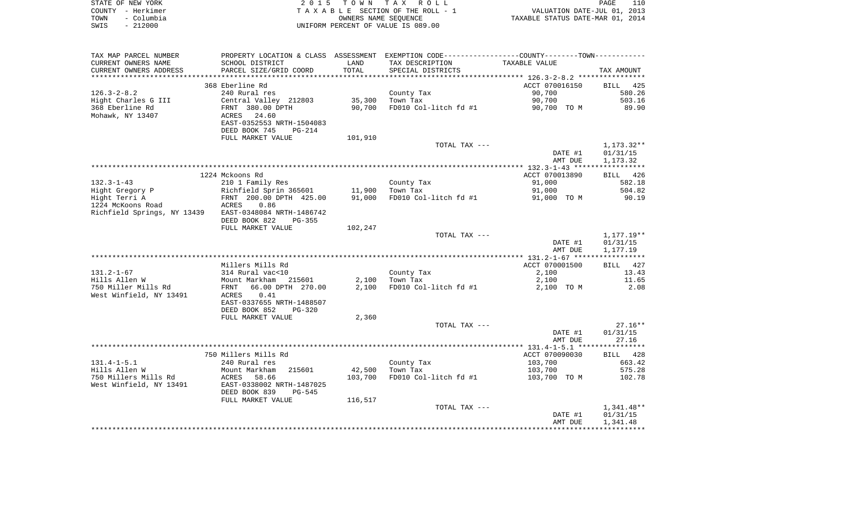| STATE OF NEW YORK  | 2015 TOWN TAX ROLL                 | 110<br>PAGE                      |
|--------------------|------------------------------------|----------------------------------|
| COUNTY – Herkimer  | TAXABLE SECTION OF THE ROLL - 1    | VALUATION DATE-JUL 01, 2013      |
| - Columbia<br>TOWN | OWNERS NAME SEOUENCE               | TAXABLE STATUS DATE-MAR 01, 2014 |
| - 212000<br>SWIS   | UNIFORM PERCENT OF VALUE IS 089.00 |                                  |

| TAX MAP PARCEL NUMBER                                 |                                |         | PROPERTY LOCATION & CLASS ASSESSMENT EXEMPTION CODE----------------COUNTY--------TOWN----------- |                |                   |
|-------------------------------------------------------|--------------------------------|---------|--------------------------------------------------------------------------------------------------|----------------|-------------------|
| CURRENT OWNERS NAME                                   | SCHOOL DISTRICT                | LAND    | TAX DESCRIPTION                                                                                  | TAXABLE VALUE  |                   |
| CURRENT OWNERS ADDRESS                                | PARCEL SIZE/GRID COORD         | TOTAL   | SPECIAL DISTRICTS                                                                                |                | TAX AMOUNT        |
|                                                       |                                |         |                                                                                                  |                |                   |
|                                                       | 368 Eberline Rd                |         |                                                                                                  | ACCT 070016150 | BILL 425          |
| $126.3 - 2 - 8.2$                                     | 240 Rural res                  |         | County Tax                                                                                       | 90,700         | 580.26            |
| Hight Charles G III                                   | Central Valley 212803          | 35,300  | Town Tax                                                                                         | 90,700         | 503.16            |
| 368 Eberline Rd                                       | FRNT 380.00 DPTH               | 90,700  | FD010 Col-litch fd #1                                                                            | 90,700 TO M    | 89.90             |
| Mohawk, NY 13407                                      | 24.60<br>ACRES                 |         |                                                                                                  |                |                   |
|                                                       | EAST-0352553 NRTH-1504083      |         |                                                                                                  |                |                   |
|                                                       | DEED BOOK 745<br><b>PG-214</b> |         |                                                                                                  |                |                   |
|                                                       | FULL MARKET VALUE              | 101,910 |                                                                                                  |                |                   |
|                                                       |                                |         | TOTAL TAX ---                                                                                    |                | 1,173.32**        |
|                                                       |                                |         |                                                                                                  | DATE #1        | 01/31/15          |
|                                                       |                                |         |                                                                                                  | AMT DUE        | 1,173.32          |
|                                                       |                                |         |                                                                                                  |                |                   |
|                                                       | 1224 Mckoons Rd                |         |                                                                                                  | ACCT 070013890 | BILL 426          |
| $132.3 - 1 - 43$                                      | 210 1 Family Res               |         | County Tax                                                                                       | 91,000         | 582.18            |
| Hight Gregory P                                       | Richfield Sprin 365601         | 11,900  | Town Tax                                                                                         | 91,000         | 504.82            |
| Hight Terri A                                         | FRNT 200.00 DPTH 425.00        | 91,000  | FD010 Col-litch fd #1                                                                            | 91,000 TO M    | 90.19             |
| 1224 McKoons Road                                     | <b>ACRES</b><br>0.86           |         |                                                                                                  |                |                   |
| Richfield Springs, NY 13439 EAST-0348084 NRTH-1486742 |                                |         |                                                                                                  |                |                   |
|                                                       | DEED BOOK 822<br>$PG-355$      |         |                                                                                                  |                |                   |
|                                                       | FULL MARKET VALUE              | 102,247 |                                                                                                  |                |                   |
|                                                       |                                |         | TOTAL TAX ---                                                                                    |                | 1,177.19**        |
|                                                       |                                |         |                                                                                                  | DATE #1        | 01/31/15          |
|                                                       |                                |         |                                                                                                  | AMT DUE        | 1,177.19          |
|                                                       | Millers Mills Rd               |         |                                                                                                  | ACCT 070001500 |                   |
| $131.2 - 1 - 67$                                      | 314 Rural vac<10               |         |                                                                                                  | 2,100          | BILL 427<br>13.43 |
| Hills Allen W                                         | Mount Markham 215601           | 2,100   | County Tax<br>Town Tax                                                                           | 2,100          | 11.65             |
| 750 Miller Mills Rd                                   | 66.00 DPTH 270.00<br>FRNT      | 2,100   | FD010 Col-litch fd #1                                                                            | 2,100 TO M     | 2.08              |
| West Winfield, NY 13491                               | ACRES<br>0.41                  |         |                                                                                                  |                |                   |
|                                                       | EAST-0337655 NRTH-1488507      |         |                                                                                                  |                |                   |
|                                                       | DEED BOOK 852<br>PG-320        |         |                                                                                                  |                |                   |
|                                                       | FULL MARKET VALUE              | 2,360   |                                                                                                  |                |                   |
|                                                       |                                |         | TOTAL TAX ---                                                                                    |                | $27.16**$         |
|                                                       |                                |         |                                                                                                  | DATE #1        | 01/31/15          |
|                                                       |                                |         |                                                                                                  | AMT DUE        | 27.16             |
|                                                       |                                |         |                                                                                                  |                |                   |
|                                                       | 750 Millers Mills Rd           |         |                                                                                                  | ACCT 070090030 | BILL 428          |
| $131.4 - 1 - 5.1$                                     | 240 Rural res                  |         | County Tax                                                                                       | 103,700        | 663.42            |
| Hills Allen W                                         | Mount Markham<br>215601        | 42,500  | Town Tax                                                                                         | 103,700        | 575.28            |
| 750 Millers Mills Rd                                  | ACRES<br>58.66                 | 103,700 | FD010 Col-litch fd #1                                                                            | 103,700 TO M   | 102.78            |
| West Winfield, NY 13491                               | EAST-0338002 NRTH-1487025      |         |                                                                                                  |                |                   |
|                                                       | DEED BOOK 839<br>PG-545        |         |                                                                                                  |                |                   |
|                                                       | FULL MARKET VALUE              | 116,517 |                                                                                                  |                |                   |
|                                                       |                                |         | TOTAL TAX ---                                                                                    |                | 1,341.48**        |
|                                                       |                                |         |                                                                                                  | DATE #1        | 01/31/15          |
|                                                       |                                |         |                                                                                                  | AMT DUE        | 1,341.48          |
|                                                       |                                |         |                                                                                                  |                |                   |
|                                                       |                                |         |                                                                                                  |                |                   |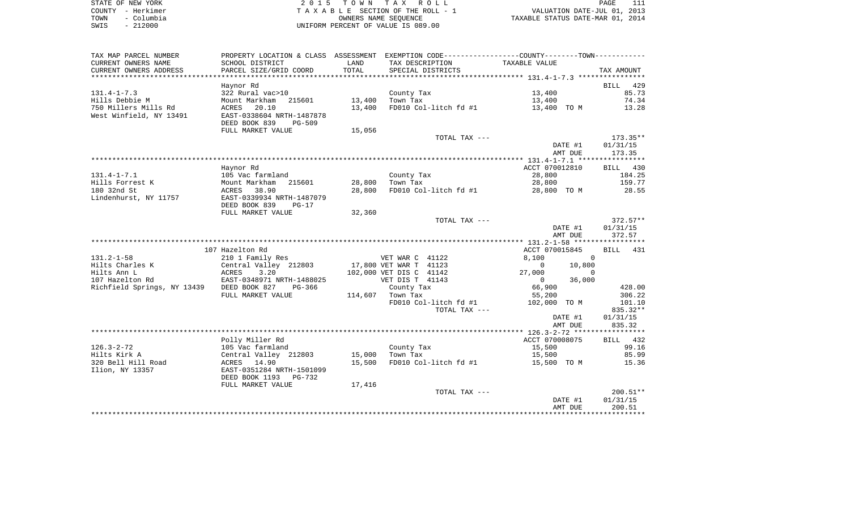| STATE OF NEW YORK  | 2015 TOWN TAX ROLL                 | PAGE                             |
|--------------------|------------------------------------|----------------------------------|
| COUNTY - Herkimer  | TAXABLE SECTION OF THE ROLL - 1    | VALUATION DATE-JUL 01, 2013      |
| - Columbia<br>TOWN | OWNERS NAME SEOUENCE               | TAXABLE STATUS DATE-MAR 01, 2014 |
| $-212000$<br>SWIS  | UNIFORM PERCENT OF VALUE IS 089.00 |                                  |

111<br>2013

| TAX MAP PARCEL NUMBER                     |                                                             |        |                         | PROPERTY LOCATION & CLASS ASSESSMENT EXEMPTION CODE----------------COUNTY--------TOWN----------- |                      |
|-------------------------------------------|-------------------------------------------------------------|--------|-------------------------|--------------------------------------------------------------------------------------------------|----------------------|
| CURRENT OWNERS NAME                       | SCHOOL DISTRICT                                             | LAND   | TAX DESCRIPTION         | TAXABLE VALUE                                                                                    |                      |
| CURRENT OWNERS ADDRESS                    | PARCEL SIZE/GRID COORD                                      | TOTAL  | SPECIAL DISTRICTS       |                                                                                                  | TAX AMOUNT           |
|                                           |                                                             |        |                         |                                                                                                  |                      |
| $131.4 - 1 - 7.3$                         | Haynor Rd<br>322 Rural vac>10                               |        | County Tax              | 13,400                                                                                           | BILL<br>429<br>85.73 |
| Hills Debbie M                            | Mount Markham<br>215601                                     | 13,400 | Town Tax                | 13,400                                                                                           | 74.34                |
| 750 Millers Mills Rd                      | 20.10<br>ACRES                                              | 13,400 | FD010 Col-litch fd #1   | 13,400 TO M                                                                                      | 13.28                |
| West Winfield, NY 13491                   | EAST-0338604 NRTH-1487878<br>DEED BOOK 839<br><b>PG-509</b> |        |                         |                                                                                                  |                      |
|                                           | FULL MARKET VALUE                                           | 15,056 | TOTAL TAX ---           |                                                                                                  | $173.35**$           |
|                                           |                                                             |        |                         | DATE #1                                                                                          | 01/31/15             |
|                                           |                                                             |        |                         | AMT DUE                                                                                          | 173.35               |
|                                           |                                                             |        |                         |                                                                                                  |                      |
|                                           | Haynor Rd                                                   |        |                         | ACCT 070012810                                                                                   | BILL 430             |
| $131.4 - 1 - 7.1$                         | 105 Vac farmland                                            |        | County Tax              | 28,800                                                                                           | 184.25               |
| Hills Forrest K                           | Mount Markham<br>215601                                     | 28,800 | Town Tax                | 28,800                                                                                           | 159.77               |
| 180 32nd St                               | 38.90<br>ACRES                                              | 28,800 | FD010 Col-litch fd #1   | 28,800 TO M                                                                                      | 28.55                |
| Lindenhurst, NY 11757                     | EAST-0339934 NRTH-1487079<br>DEED BOOK 839<br>$PG-17$       |        |                         |                                                                                                  |                      |
|                                           | FULL MARKET VALUE                                           | 32,360 |                         |                                                                                                  |                      |
|                                           |                                                             |        | TOTAL TAX ---           |                                                                                                  | $372.57**$           |
|                                           |                                                             |        |                         | DATE #1<br>AMT DUE                                                                               | 01/31/15<br>372.57   |
|                                           |                                                             |        |                         |                                                                                                  |                      |
|                                           | 107 Hazelton Rd                                             |        |                         | ACCT 070015845                                                                                   | <b>BILL</b><br>431   |
| $131.2 - 1 - 58$                          | 210 1 Family Res                                            |        | VET WAR C 41122         | 8,100<br>$\Omega$                                                                                |                      |
| Hilts Charles K                           | Central Valley 212803                                       |        | 17,800 VET WAR T 41123  | $\Omega$<br>10,800                                                                               |                      |
| Hilts Ann L                               | ACRES<br>3.20                                               |        | 102,000 VET DIS C 41142 | 27,000<br>$\Omega$                                                                               |                      |
| 107 Hazelton Rd                           | EAST-0348971 NRTH-1488025                                   |        | VET DIS T 41143         | 36,000<br>$\overline{0}$                                                                         |                      |
| Richfield Springs, NY 13439 DEED BOOK 827 | PG-366                                                      |        | County Tax              | 66,900                                                                                           | 428.00               |
|                                           | FULL MARKET VALUE                                           |        | 114,607 Town Tax        | 55,200                                                                                           | 306.22               |
|                                           |                                                             |        | FD010 Col-litch fd #1   | 102,000 TO M                                                                                     | 101.10               |
|                                           |                                                             |        | TOTAL TAX ---           |                                                                                                  | 835.32**             |
|                                           |                                                             |        |                         | DATE #1                                                                                          | 01/31/15             |
|                                           |                                                             |        |                         | AMT DUE                                                                                          | 835.32               |
|                                           | Polly Miller Rd                                             |        |                         | ACCT 070008075                                                                                   | BILL 432             |
| $126.3 - 2 - 72$                          | 105 Vac farmland                                            |        | County Tax              | 15,500                                                                                           | 99.16                |
| Hilts Kirk A                              | Central Valley 212803                                       | 15,000 | Town Tax                | 15,500                                                                                           | 85.99                |
| 320 Bell Hill Road                        | ACRES 14.90                                                 | 15,500 | FD010 Col-litch fd #1   | 15,500 TO M                                                                                      | 15.36                |
| Ilion, NY 13357                           | EAST-0351284 NRTH-1501099<br>DEED BOOK 1193<br>PG-732       |        |                         |                                                                                                  |                      |
|                                           | FULL MARKET VALUE                                           | 17,416 |                         |                                                                                                  |                      |
|                                           |                                                             |        | TOTAL TAX ---           |                                                                                                  | $200.51**$           |
|                                           |                                                             |        |                         | DATE #1                                                                                          | 01/31/15             |
|                                           |                                                             |        |                         | AMT DUE                                                                                          | 200.51               |
|                                           |                                                             |        |                         |                                                                                                  |                      |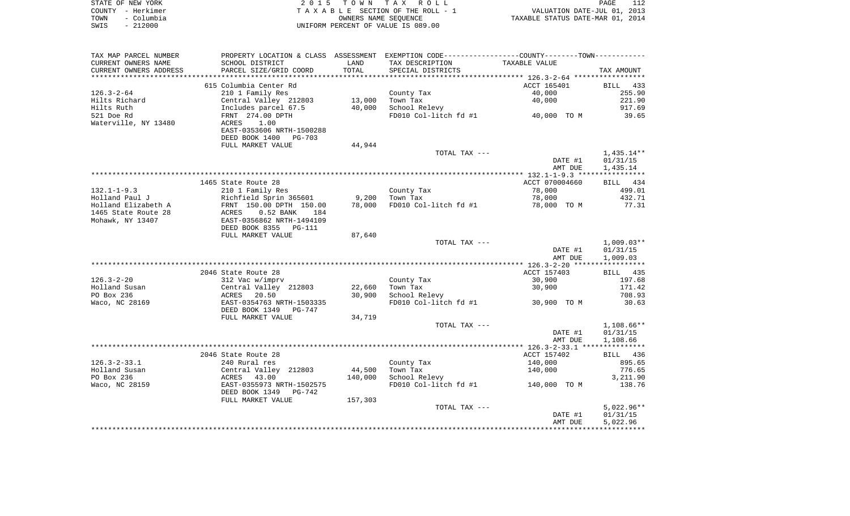|      | STATE OF NEW YORK | 2015 TOWN TAX ROLL                 | PAGE                             |  |
|------|-------------------|------------------------------------|----------------------------------|--|
|      | COUNTY - Herkimer | TAXABLE SECTION OF THE ROLL - 1    | VALUATION DATE-JUL 01, 2013      |  |
| TOWN | - Columbia        | OWNERS NAME SEOUENCE               | TAXABLE STATUS DATE-MAR 01, 2014 |  |
| SWIS | $-212000$         | UNIFORM PERCENT OF VALUE IS 089.00 |                                  |  |

| TAX MAP PARCEL NUMBER    | PROPERTY LOCATION & CLASS ASSESSMENT EXEMPTION CODE----------------COUNTY--------TOWN----------- |         |                                     |                    |                      |
|--------------------------|--------------------------------------------------------------------------------------------------|---------|-------------------------------------|--------------------|----------------------|
| CURRENT OWNERS NAME      | SCHOOL DISTRICT                                                                                  | LAND    | TAX DESCRIPTION                     | TAXABLE VALUE      |                      |
| CURRENT OWNERS ADDRESS   | PARCEL SIZE/GRID COORD                                                                           | TOTAL   | SPECIAL DISTRICTS                   |                    | TAX AMOUNT           |
| ************************ |                                                                                                  |         |                                     |                    |                      |
|                          | 615 Columbia Center Rd                                                                           |         |                                     | ACCT 165401        | BILL<br>433          |
| $126.3 - 2 - 64$         | 210 1 Family Res                                                                                 |         | County Tax                          | 40,000             | 255.90               |
| Hilts Richard            | Central Valley 212803                                                                            | 13,000  | Town Tax                            | 40,000             | 221.90               |
| Hilts Ruth               | Includes parcel 67.5                                                                             | 40,000  | School Relevy                       |                    | 917.69               |
| 521 Doe Rd               | FRNT 274.00 DPTH                                                                                 |         | FD010 Col-litch $fd$ #1 40,000 TO M |                    | 39.65                |
| Waterville, NY 13480     | ACRES<br>1.00                                                                                    |         |                                     |                    |                      |
|                          | EAST-0353606 NRTH-1500288                                                                        |         |                                     |                    |                      |
|                          | DEED BOOK 1400<br>PG-703                                                                         |         |                                     |                    |                      |
|                          | FULL MARKET VALUE                                                                                | 44,944  | TOTAL TAX ---                       |                    |                      |
|                          |                                                                                                  |         |                                     |                    | $1,435.14**$         |
|                          |                                                                                                  |         |                                     | DATE #1<br>AMT DUE | 01/31/15<br>1,435.14 |
|                          |                                                                                                  |         |                                     |                    |                      |
|                          | 1465 State Route 28                                                                              |         |                                     | ACCT 070004660     | BILL 434             |
| $132.1 - 1 - 9.3$        | 210 1 Family Res                                                                                 |         | County Tax                          | 78,000             | 499.01               |
| Holland Paul J           | Richfield Sprin 365601                                                                           | 9,200   | Town Tax                            | 78,000             | 432.71               |
| Holland Elizabeth A      | FRNT 150.00 DPTH 150.00                                                                          | 78,000  | FD010 Col-litch fd #1               | 78,000 TO M        | 77.31                |
| 1465 State Route 28      | $0.52$ BANK<br>ACRES<br>184                                                                      |         |                                     |                    |                      |
| Mohawk, NY 13407         | EAST-0356862 NRTH-1494109                                                                        |         |                                     |                    |                      |
|                          | DEED BOOK 8355 PG-111                                                                            |         |                                     |                    |                      |
|                          | FULL MARKET VALUE                                                                                | 87,640  |                                     |                    |                      |
|                          |                                                                                                  |         | TOTAL TAX ---                       |                    | $1,009.03**$         |
|                          |                                                                                                  |         |                                     | DATE #1            | 01/31/15             |
|                          |                                                                                                  |         |                                     | AMT DUE            | 1,009.03             |
|                          |                                                                                                  |         |                                     |                    |                      |
|                          | 2046 State Route 28                                                                              |         |                                     | ACCT 157403        | BILL 435             |
| $126.3 - 2 - 20$         | 312 Vac w/imprv                                                                                  |         | County Tax                          | 30,900             | 197.68               |
| Holland Susan            | Central Valley 212803                                                                            | 22,660  | Town Tax                            | 30,900             | 171.42               |
| PO Box 236               | ACRES<br>20.50                                                                                   | 30,900  | School Relevy                       |                    | 708.93               |
| Waco, NC 28169           | EAST-0354763 NRTH-1503335                                                                        |         | FD010 Col-litch fd #1               | 30,900 TO M        | 30.63                |
|                          | DEED BOOK 1349<br>PG-747                                                                         |         |                                     |                    |                      |
|                          | FULL MARKET VALUE                                                                                | 34,719  |                                     |                    |                      |
|                          |                                                                                                  |         | TOTAL TAX ---                       |                    | $1,108.66**$         |
|                          |                                                                                                  |         |                                     | DATE #1            | 01/31/15             |
|                          |                                                                                                  |         |                                     | AMT DUE            | 1,108.66             |
|                          |                                                                                                  |         |                                     |                    |                      |
|                          | 2046 State Route 28                                                                              |         |                                     | ACCT 157402        | BILL 436             |
| $126.3 - 2 - 33.1$       | 240 Rural res                                                                                    |         | County Tax                          | 140,000            | 895.65               |
| Holland Susan            | Central Valley 212803                                                                            | 44,500  | Town Tax                            | 140,000            | 776.65               |
| PO Box 236               | ACRES<br>43.00                                                                                   | 140,000 | School Relevy                       |                    | 3,211.90             |
| Waco, NC 28159           | EAST-0355973 NRTH-1502575                                                                        |         | FD010 Col-litch fd #1               | 140,000 TO M       | 138.76               |
|                          | DEED BOOK 1349<br>PG-742                                                                         |         |                                     |                    |                      |
|                          | FULL MARKET VALUE                                                                                | 157,303 |                                     |                    |                      |
|                          |                                                                                                  |         | TOTAL TAX ---                       |                    | $5,022.96**$         |
|                          |                                                                                                  |         |                                     | DATE #1            | 01/31/15             |
|                          |                                                                                                  |         |                                     | AMT DUE            | 5,022.96             |
|                          |                                                                                                  |         |                                     |                    |                      |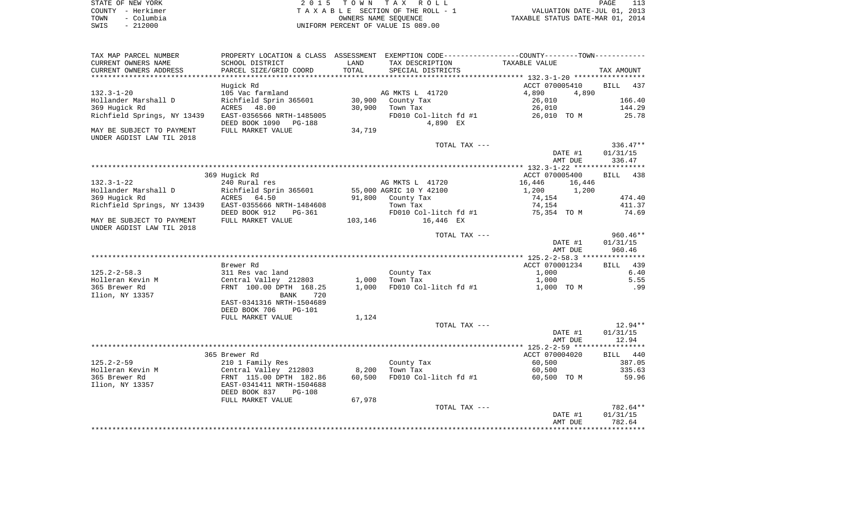| STATE OF NEW YORK  | 2015 TOWN TAX ROLL                 | PAGE                             |  |
|--------------------|------------------------------------|----------------------------------|--|
| COUNTY - Herkimer  | TAXABLE SECTION OF THE ROLL - 1    | VALUATION DATE-JUL 01, 2013      |  |
| – Columbia<br>TOWN | OWNERS NAME SEOUENCE               | TAXABLE STATUS DATE-MAR 01, 2014 |  |
| $-212000$<br>SWIS  | UNIFORM PERCENT OF VALUE IS 089.00 |                                  |  |

| TAX MAP PARCEL NUMBER                                 |                                                                               |         |                         | PROPERTY LOCATION & CLASS ASSESSMENT EXEMPTION CODE---------------COUNTY-------TOWN---------- |                    |
|-------------------------------------------------------|-------------------------------------------------------------------------------|---------|-------------------------|-----------------------------------------------------------------------------------------------|--------------------|
| CURRENT OWNERS NAME                                   | SCHOOL DISTRICT                                                               | LAND    | TAX DESCRIPTION         | TAXABLE VALUE                                                                                 |                    |
| CURRENT OWNERS ADDRESS                                | PARCEL SIZE/GRID COORD                                                        | TOTAL   | SPECIAL DISTRICTS       |                                                                                               | TAX AMOUNT         |
|                                                       |                                                                               |         |                         |                                                                                               |                    |
|                                                       | Hugick Rd                                                                     |         |                         | ACCT 070005410                                                                                | <b>BILL</b><br>437 |
| $132.3 - 1 - 20$                                      | 105 Vac farmland                                                              |         | AG MKTS L 41720         | 4,890<br>4,890                                                                                |                    |
| Hollander Marshall D                                  | Richfield Sprin 365601                                                        | 30,900  | County Tax              | 26,010                                                                                        | 166.40             |
| 369 Hugick Rd                                         | ACRES 48.00                                                                   | 30,900  | Town Tax                | 26,010                                                                                        | 144.29             |
| Richfield Springs, NY 13439                           | EAST-0356566 NRTH-1485005                                                     |         | FD010 Col-litch fd #1   | 26,010 TO M                                                                                   | 25.78              |
|                                                       | DEED BOOK 1090 PG-188                                                         |         | 4,890 EX                |                                                                                               |                    |
| MAY BE SUBJECT TO PAYMENT                             | FULL MARKET VALUE                                                             | 34,719  |                         |                                                                                               |                    |
| UNDER AGDIST LAW TIL 2018                             |                                                                               |         |                         |                                                                                               |                    |
|                                                       |                                                                               |         | TOTAL TAX ---           |                                                                                               | $336.47**$         |
|                                                       |                                                                               |         |                         | DATE #1                                                                                       | 01/31/15           |
|                                                       |                                                                               |         |                         | AMT DUE                                                                                       | 336.47             |
|                                                       |                                                                               |         |                         |                                                                                               |                    |
|                                                       | 369 Hugick Rd                                                                 |         |                         | ACCT 070005400                                                                                | BILL 438           |
| $132.3 - 1 - 22$                                      | 240 Rural res                                                                 |         | AG MKTS L 41720         | 16,446<br>16,446                                                                              |                    |
| Hollander Marshall D                                  | Richfield Sprin 365601                                                        |         | 55,000 AGRIC 10 Y 42100 | 1,200 1,200                                                                                   |                    |
| 369 Hugick Rd                                         |                                                                               |         | 91,800 County Tax       | 74,154                                                                                        | 474.40             |
| Richfield Springs, NY 13439 EAST-0355666 NRTH-1484608 |                                                                               |         | Town Tax                | 74,154                                                                                        | 411.37             |
|                                                       | DEED BOOK 912<br>PG-361                                                       |         | FD010 Col-litch fd #1   | 75,354 TO M                                                                                   | 74.69              |
| MAY BE SUBJECT TO PAYMENT                             | FULL MARKET VALUE                                                             | 103,146 | 16,446 EX               |                                                                                               |                    |
| UNDER AGDIST LAW TIL 2018                             |                                                                               |         |                         |                                                                                               |                    |
|                                                       |                                                                               |         | TOTAL TAX ---           |                                                                                               | $960.46**$         |
|                                                       |                                                                               |         |                         | DATE #1                                                                                       | 01/31/15           |
|                                                       |                                                                               |         |                         | AMT DUE                                                                                       | 960.46             |
|                                                       |                                                                               |         |                         |                                                                                               |                    |
|                                                       | Brewer Rd                                                                     |         |                         | ACCT 070001234                                                                                | BILL 439           |
| $125.2 - 2 - 58.3$                                    | 311 Res vac land                                                              |         | County Tax              | 1,000                                                                                         | 6.40               |
| Holleran Kevin M                                      | Central Valley 212803                                                         | 1,000   | Town Tax                | 1,000                                                                                         | 5.55               |
| 365 Brewer Rd                                         | FRNT 100.00 DPTH 168.25                                                       | 1,000   | FD010 Col-litch fd #1   | 1,000 TO M                                                                                    | .99                |
| Ilion, NY 13357                                       | BANK<br>720                                                                   |         |                         |                                                                                               |                    |
|                                                       | EAST-0341316 NRTH-1504689                                                     |         |                         |                                                                                               |                    |
|                                                       | DEED BOOK 706<br>PG-101                                                       |         |                         |                                                                                               |                    |
|                                                       | FULL MARKET VALUE                                                             | 1,124   |                         |                                                                                               |                    |
|                                                       |                                                                               |         | TOTAL TAX ---           |                                                                                               | $12.94**$          |
|                                                       |                                                                               |         |                         | DATE #1                                                                                       | 01/31/15           |
|                                                       |                                                                               |         |                         | AMT DUE                                                                                       | 12.94              |
|                                                       |                                                                               |         |                         |                                                                                               |                    |
|                                                       | 365 Brewer Rd                                                                 |         |                         | ACCT 070004020                                                                                | BILL 440           |
| $125.2 - 2 - 59$                                      | 210 1 Family Res                                                              |         | County Tax              | 60,500                                                                                        | 387.05             |
| Holleran Kevin M                                      |                                                                               | 8,200   | Town Tax                | 60,500                                                                                        | 335.63             |
| 365 Brewer Rd                                         | Central Valley 212803<br>FRNT 115.00 DPTH 182.86<br>EAST-0341411 NRTH-1504688 | 60,500  | FD010 Col-litch fd #1   | 60,500 TO M                                                                                   | 59.96              |
| Ilion, NY 13357                                       |                                                                               |         |                         |                                                                                               |                    |
|                                                       | DEED BOOK 837<br>$PG-108$                                                     |         |                         |                                                                                               |                    |
|                                                       | FULL MARKET VALUE                                                             | 67,978  |                         |                                                                                               |                    |
|                                                       |                                                                               |         | TOTAL TAX ---           |                                                                                               | 782.64**           |
|                                                       |                                                                               |         |                         | DATE #1                                                                                       | 01/31/15           |
|                                                       |                                                                               |         |                         | AMT DUE                                                                                       | 782.64             |
|                                                       |                                                                               |         |                         |                                                                                               |                    |
|                                                       |                                                                               |         |                         |                                                                                               |                    |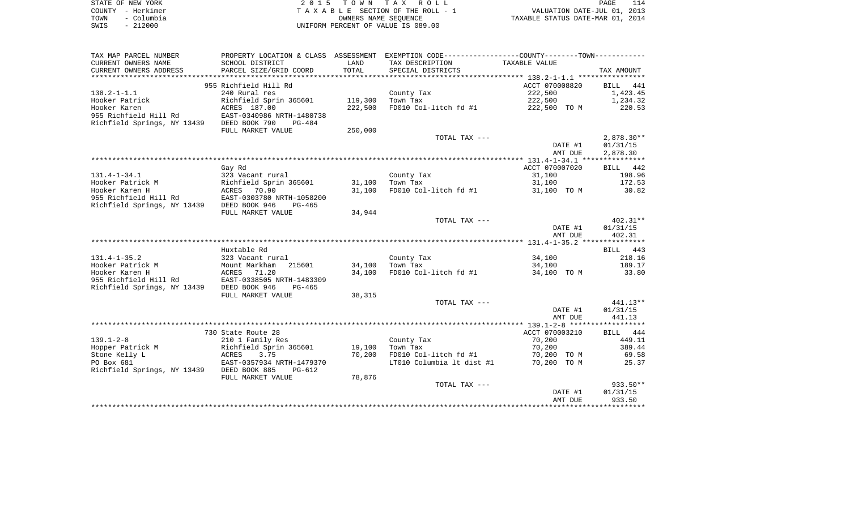| STATE OF NEW YORK  | 2015 TOWN TAX ROLL                 | 114<br>PAGE                      |
|--------------------|------------------------------------|----------------------------------|
| COUNTY - Herkimer  | TAXABLE SECTION OF THE ROLL - 1    | VALUATION DATE-JUL 01, 2013      |
| - Columbia<br>TOWN | OWNERS NAME SEOUENCE               | TAXABLE STATUS DATE-MAR 01, 2014 |
| SWIS<br>$-212000$  | UNIFORM PERCENT OF VALUE IS 089.00 |                                  |

| TAX MAP PARCEL NUMBER                                | PROPERTY LOCATION & CLASS ASSESSMENT |         | EXEMPTION CODE-----------------COUNTY--------TOWN----------- |                |              |
|------------------------------------------------------|--------------------------------------|---------|--------------------------------------------------------------|----------------|--------------|
| CURRENT OWNERS NAME                                  | SCHOOL DISTRICT                      | LAND    | TAX DESCRIPTION                                              | TAXABLE VALUE  |              |
| CURRENT OWNERS ADDRESS                               | PARCEL SIZE/GRID COORD               | TOTAL   | SPECIAL DISTRICTS                                            |                | TAX AMOUNT   |
| ********************                                 |                                      |         |                                                              |                |              |
|                                                      | 955 Richfield Hill Rd                |         |                                                              | ACCT 070008820 | BILL 441     |
| $138.2 - 1 - 1.1$                                    | 240 Rural res                        |         | County Tax                                                   | 222,500        | 1,423.45     |
| Hooker Patrick                                       | Richfield Sprin 365601               | 119,300 | Town Tax                                                     | 222,500        | 1,234.32     |
| Hooker Karen                                         | ACRES 187.00                         | 222,500 | FD010 Col-litch fd #1                                        | 222,500 TO M   | 220.53       |
| 955 Richfield Hill Rd                                | EAST-0340986 NRTH-1480738            |         |                                                              |                |              |
| Richfield Springs, NY 13439                          | DEED BOOK 790<br>$PG-484$            |         |                                                              |                |              |
|                                                      | FULL MARKET VALUE                    | 250,000 |                                                              |                |              |
|                                                      |                                      |         | TOTAL TAX ---                                                |                | $2,878.30**$ |
|                                                      |                                      |         |                                                              | DATE #1        | 01/31/15     |
|                                                      |                                      |         |                                                              | AMT DUE        | 2,878.30     |
|                                                      |                                      |         |                                                              |                |              |
|                                                      | Gay Rd                               |         |                                                              | ACCT 070007020 | BILL 442     |
| $131.4 - 1 - 34.1$                                   | 323 Vacant rural                     |         | County Tax                                                   | 31,100         | 198.96       |
| Hooker Patrick M                                     | Richfield Sprin 365601               | 31,100  | Town Tax                                                     | 31,100         | 172.53       |
| Hooker Karen H                                       | ACRES 70.90                          | 31,100  | FD010 Col-litch fd #1                                        | 31,100 TO M    | 30.82        |
| 955 Richfield Hill Rd                                | EAST-0303780 NRTH-1058200            |         |                                                              |                |              |
| Richfield Springs, NY 13439                          | DEED BOOK 946<br>PG-465              |         |                                                              |                |              |
|                                                      | FULL MARKET VALUE                    | 34,944  |                                                              |                |              |
|                                                      |                                      |         | TOTAL TAX ---                                                |                | $402.31**$   |
|                                                      |                                      |         |                                                              | DATE #1        | 01/31/15     |
|                                                      |                                      |         |                                                              | AMT DUE        | 402.31       |
|                                                      |                                      |         |                                                              |                |              |
|                                                      | Huxtable Rd                          |         |                                                              |                | BILL 443     |
| $131.4 - 1 - 35.2$                                   | 323 Vacant rural                     |         | County Tax                                                   | 34,100         | 218.16       |
| Hooker Patrick M                                     | Mount Markham<br>215601              | 34,100  | Town Tax                                                     | 34,100         | 189.17       |
| Hooker Karen H                                       | ACRES 71.20                          | 34,100  | FD010 Col-litch fd #1                                        | 34,100 TO M    | 33.80        |
|                                                      | EAST-0338505 NRTH-1483309            |         |                                                              |                |              |
| 955 Richfield Hill Rd<br>Richfield Springs, NY 13439 | PG-465                               |         |                                                              |                |              |
|                                                      | DEED BOOK 946<br>FULL MARKET VALUE   | 38,315  |                                                              |                |              |
|                                                      |                                      |         | TOTAL TAX ---                                                |                | $441.13**$   |
|                                                      |                                      |         |                                                              |                | 01/31/15     |
|                                                      |                                      |         |                                                              | DATE #1        | 441.13       |
|                                                      |                                      |         |                                                              | AMT DUE        |              |
|                                                      |                                      |         |                                                              | ACCT 070003210 |              |
| $139.1 - 2 - 8$                                      | 730 State Route 28                   |         |                                                              |                | BILL 444     |
|                                                      | 210 1 Family Res                     |         | County Tax                                                   | 70,200         | 449.11       |
| Hopper Patrick M                                     | Richfield Sprin 365601               | 19,100  | Town Tax                                                     | 70,200         | 389.44       |
| Stone Kelly L                                        | ACRES<br>3.75                        | 70,200  | FD010 Col-litch fd #1                                        | 70,200 TO M    | 69.58        |
| PO Box 681                                           | EAST-0357934 NRTH-1479370            |         | LT010 Columbia lt dist #1                                    | 70,200 TO M    | 25.37        |
| Richfield Springs, NY 13439                          | DEED BOOK 885<br>$PG-612$            |         |                                                              |                |              |
|                                                      | FULL MARKET VALUE                    | 78,876  |                                                              |                |              |
|                                                      |                                      |         | TOTAL TAX ---                                                |                | 933.50**     |
|                                                      |                                      |         |                                                              | DATE #1        | 01/31/15     |
|                                                      |                                      |         |                                                              | AMT DUE        | 933.50       |
|                                                      |                                      |         |                                                              |                |              |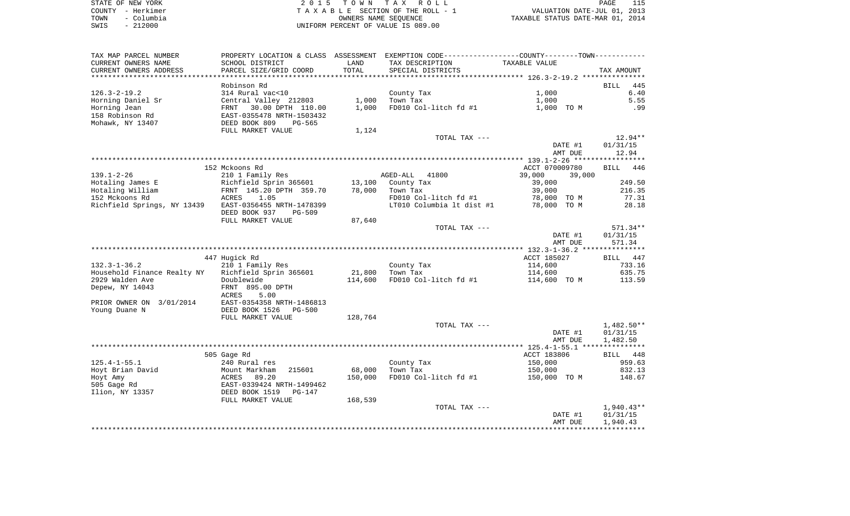|      | STATE OF NEW YORK | 2015 TOWN TAX ROLL                 | PAGE                             |
|------|-------------------|------------------------------------|----------------------------------|
|      | COUNTY - Herkimer | TAXABLE SECTION OF THE ROLL - 1    | VALUATION DATE-JUL 01, 2013      |
| TOWN | - Columbia        | OWNERS NAME SEOUENCE               | TAXABLE STATUS DATE-MAR 01, 2014 |
| SWIS | $-212000$         | UNIFORM PERCENT OF VALUE IS 089.00 |                                  |

| TAX MAP PARCEL NUMBER                              |                                                        |         | PROPERTY LOCATION & CLASS ASSESSMENT EXEMPTION CODE----------------COUNTY-------TOWN---------- |                  |                    |
|----------------------------------------------------|--------------------------------------------------------|---------|------------------------------------------------------------------------------------------------|------------------|--------------------|
| CURRENT OWNERS NAME                                | SCHOOL DISTRICT                                        | LAND    | TAX DESCRIPTION                                                                                | TAXABLE VALUE    |                    |
| CURRENT OWNERS ADDRESS<br>************************ | PARCEL SIZE/GRID COORD                                 | TOTAL   | SPECIAL DISTRICTS                                                                              |                  | TAX AMOUNT         |
|                                                    |                                                        |         |                                                                                                |                  |                    |
|                                                    | Robinson Rd                                            |         |                                                                                                |                  | 445<br>BILL        |
| $126.3 - 2 - 19.2$                                 | 314 Rural vac<10                                       | 1,000   | County Tax<br>Town Tax                                                                         | 1,000            | 6.40               |
| Horning Daniel Sr<br>Horning Jean                  | Central Valley 212803                                  | 1,000   | FD010 Col-litch fd #1                                                                          | 1,000            | 5.55<br>.99        |
| 158 Robinson Rd                                    | 30.00 DPTH 110.00<br>FRNT<br>EAST-0355478 NRTH-1503432 |         |                                                                                                | 1,000 TO M       |                    |
| Mohawk, NY 13407                                   | DEED BOOK 809<br>PG-565                                |         |                                                                                                |                  |                    |
|                                                    | FULL MARKET VALUE                                      | 1,124   |                                                                                                |                  |                    |
|                                                    |                                                        |         | TOTAL TAX ---                                                                                  |                  | $12.94**$          |
|                                                    |                                                        |         |                                                                                                | DATE #1          | 01/31/15           |
|                                                    |                                                        |         |                                                                                                | AMT DUE          | 12.94              |
|                                                    |                                                        |         |                                                                                                |                  |                    |
|                                                    | 152 Mckoons Rd                                         |         |                                                                                                | ACCT 070009780   | <b>BILL</b><br>446 |
| $139.1 - 2 - 26$                                   | 210 1 Family Res                                       |         | AGED-ALL<br>41800                                                                              | 39,000<br>39,000 |                    |
| Hotaling James E                                   | Richfield Sprin 365601                                 | 13,100  | County Tax                                                                                     | 39,000           | 249.50             |
| Hotaling William                                   | FRNT 145.20 DPTH 359.70                                | 78,000  | Town Tax                                                                                       | 39,000           | 216.35             |
| 152 Mckoons Rd                                     | ACRES<br>1.05                                          |         | FD010 Col-litch fd #1                                                                          | 78,000 TO M      | 77.31              |
| Richfield Springs, NY 13439                        | EAST-0356455 NRTH-1478399                              |         | LT010 Columbia lt dist #1                                                                      | 78,000 TO M      | 28.18              |
|                                                    | DEED BOOK 937<br>$PG-509$                              |         |                                                                                                |                  |                    |
|                                                    | FULL MARKET VALUE                                      | 87,640  |                                                                                                |                  |                    |
|                                                    |                                                        |         | TOTAL TAX ---                                                                                  |                  | 571.34**           |
|                                                    |                                                        |         |                                                                                                | DATE #1          | 01/31/15           |
|                                                    |                                                        |         |                                                                                                | AMT DUE          | 571.34             |
|                                                    | 447 Hugick Rd                                          |         |                                                                                                | ACCT 185027      | BILL 447           |
| $132.3 - 1 - 36.2$                                 | 210 1 Family Res                                       |         | County Tax                                                                                     | 114,600          | 733.16             |
| Household Finance Realty NY                        | Richfield Sprin 365601                                 | 21,800  | Town Tax                                                                                       | 114,600          | 635.75             |
| 2929 Walden Ave                                    | Doublewide                                             | 114,600 | FD010 Col-litch fd #1                                                                          | 114,600 TO M     | 113.59             |
| Depew, NY 14043                                    | FRNT 895.00 DPTH                                       |         |                                                                                                |                  |                    |
|                                                    | 5.00<br>ACRES                                          |         |                                                                                                |                  |                    |
| PRIOR OWNER ON 3/01/2014                           | EAST-0354358 NRTH-1486813                              |         |                                                                                                |                  |                    |
| Young Duane N                                      | DEED BOOK 1526<br>$PG-500$                             |         |                                                                                                |                  |                    |
|                                                    | FULL MARKET VALUE                                      | 128,764 |                                                                                                |                  |                    |
|                                                    |                                                        |         | TOTAL TAX ---                                                                                  |                  | $1,482.50**$       |
|                                                    |                                                        |         |                                                                                                | DATE #1          | 01/31/15           |
|                                                    |                                                        |         |                                                                                                | AMT DUE          | 1,482.50           |
|                                                    |                                                        |         |                                                                                                |                  |                    |
|                                                    | 505 Gage Rd                                            |         |                                                                                                | ACCT 183806      | BILL 448           |
| $125.4 - 1 - 55.1$                                 | 240 Rural res                                          |         | County Tax                                                                                     | 150,000          | 959.63             |
| Hoyt Brian David                                   | Mount Markham<br>215601                                | 68,000  | Town Tax                                                                                       | 150,000          | 832.13             |
| Hoyt Amy                                           | 89.20<br>ACRES                                         | 150,000 | FD010 Col-litch fd #1                                                                          | 150,000 TO M     | 148.67             |
| 505 Gage Rd                                        | EAST-0339424 NRTH-1499462                              |         |                                                                                                |                  |                    |
| Ilion, NY 13357                                    | DEED BOOK 1519<br>PG-147                               |         |                                                                                                |                  |                    |
|                                                    | FULL MARKET VALUE                                      | 168,539 | TOTAL TAX ---                                                                                  |                  | $1,940.43**$       |
|                                                    |                                                        |         |                                                                                                | DATE #1          | 01/31/15           |
|                                                    |                                                        |         |                                                                                                | AMT DUE          | 1,940.43           |
|                                                    |                                                        |         |                                                                                                |                  |                    |
|                                                    |                                                        |         |                                                                                                |                  |                    |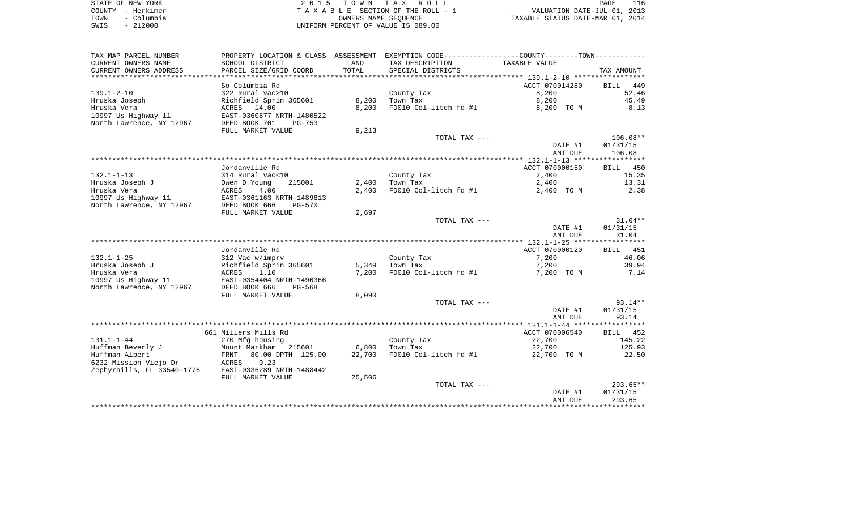| STATE OF NEW YORK  | 2015 TOWN TAX ROLL                 | 116<br>PAGE                      |
|--------------------|------------------------------------|----------------------------------|
| COUNTY - Herkimer  | TAXABLE SECTION OF THE ROLL - 1    | VALUATION DATE-JUL 01, 2013      |
| - Columbia<br>TOWN | OWNERS NAME SEOUENCE               | TAXABLE STATUS DATE-MAR 01, 2014 |
| $-212000$<br>SWIS  | UNIFORM PERCENT OF VALUE IS 089.00 |                                  |

| TAX MAP PARCEL NUMBER      |                           |        | PROPERTY LOCATION & CLASS ASSESSMENT EXEMPTION CODE---------------COUNTY-------TOWN---------- |                |             |
|----------------------------|---------------------------|--------|-----------------------------------------------------------------------------------------------|----------------|-------------|
| CURRENT OWNERS NAME        | SCHOOL DISTRICT           | LAND   | TAX DESCRIPTION                                                                               | TAXABLE VALUE  |             |
| CURRENT OWNERS ADDRESS     | PARCEL SIZE/GRID COORD    | TOTAL  | SPECIAL DISTRICTS                                                                             |                | TAX AMOUNT  |
|                            |                           |        |                                                                                               |                |             |
|                            | So Columbia Rd            |        |                                                                                               | ACCT 070014280 | 449<br>BILL |
| $139.1 - 2 - 10$           | 322 Rural vac>10          |        | County Tax                                                                                    | 8,200          | 52.46       |
| Hruska Joseph              | Richfield Sprin 365601    | 8,200  | Town Tax                                                                                      | 8,200          | 45.49       |
| Hruska Vera                | ACRES 14.00               | 8,200  | FD010 Col-litch fd #1                                                                         | 8,200 TO M     | 8.13        |
| 10997 Us Highway 11        | EAST-0360877 NRTH-1480522 |        |                                                                                               |                |             |
| North Lawrence, NY 12967   | DEED BOOK 701<br>$PG-753$ |        |                                                                                               |                |             |
|                            | FULL MARKET VALUE         | 9,213  |                                                                                               |                |             |
|                            |                           |        | TOTAL TAX ---                                                                                 |                | 106.08**    |
|                            |                           |        |                                                                                               | DATE #1        | 01/31/15    |
|                            |                           |        |                                                                                               | AMT DUE        | 106.08      |
|                            |                           |        |                                                                                               |                |             |
|                            | Jordanville Rd            |        |                                                                                               | ACCT 070000150 | BILL 450    |
| $132.1 - 1 - 13$           | 314 Rural vac<10          |        | County Tax                                                                                    | 2,400          | 15.35       |
| Hruska Joseph J            | Owen D Young<br>215001    | 2,400  | Town Tax                                                                                      | 2,400          | 13.31       |
| Hruska Vera                | 4.00<br>ACRES             | 2,400  | FD010 Col-litch fd #1                                                                         | 2,400 TO M     | 2.38        |
| 10997 Us Highway 11        | EAST-0361163 NRTH-1489613 |        |                                                                                               |                |             |
| North Lawrence, NY 12967   | DEED BOOK 666<br>PG-570   |        |                                                                                               |                |             |
|                            | FULL MARKET VALUE         | 2,697  |                                                                                               |                |             |
|                            |                           |        | TOTAL TAX ---                                                                                 |                | $31.04**$   |
|                            |                           |        |                                                                                               | DATE #1        | 01/31/15    |
|                            |                           |        |                                                                                               | AMT DUE        | 31.04       |
|                            | Jordanville Rd            |        |                                                                                               | ACCT 070000120 | BILL 451    |
| $132.1 - 1 - 25$           | 312 Vac w/imprv           |        | County Tax                                                                                    | 7,200          | 46.06       |
| Hruska Joseph J            | Richfield Sprin 365601    | 5,349  | Town Tax                                                                                      | 7,200          | 39.94       |
| Hruska Vera                | ACRES<br>1.10             | 7,200  | FD010 Col-litch fd #1                                                                         | 7,200 TO M     | 7.14        |
| 10997 Us Highway 11        | EAST-0354404 NRTH-1490366 |        |                                                                                               |                |             |
| North Lawrence, NY 12967   | DEED BOOK 666<br>PG-568   |        |                                                                                               |                |             |
|                            | FULL MARKET VALUE         | 8,090  |                                                                                               |                |             |
|                            |                           |        | TOTAL TAX ---                                                                                 |                | $93.14**$   |
|                            |                           |        |                                                                                               | DATE #1        | 01/31/15    |
|                            |                           |        |                                                                                               | AMT DUE        | 93.14       |
|                            |                           |        |                                                                                               |                |             |
|                            | 661 Millers Mills Rd      |        |                                                                                               | ACCT 070006540 | BILL 452    |
| $131.1 - 1 - 44$           | 270 Mfg housing           |        | County Tax                                                                                    | 22,700         | 145.22      |
| Huffman Beverly J          | Mount Markham 215601      | 6,800  | Town Tax                                                                                      | 22,700         | 125.93      |
| Huffman Albert             | 80.00 DPTH 125.00<br>FRNT | 22,700 | FD010 Col-litch fd #1                                                                         | 22,700 TO M    | 22.50       |
| 6232 Mission Viejo Dr      | 0.23<br>ACRES             |        |                                                                                               |                |             |
| Zephyrhills, FL 33540-1776 | EAST-0336289 NRTH-1488442 |        |                                                                                               |                |             |
|                            | FULL MARKET VALUE         | 25,506 |                                                                                               |                |             |
|                            |                           |        | TOTAL TAX ---                                                                                 |                | $293.65**$  |
|                            |                           |        |                                                                                               | DATE #1        | 01/31/15    |
|                            |                           |        |                                                                                               | AMT DUE        | 293.65      |
|                            |                           |        |                                                                                               |                |             |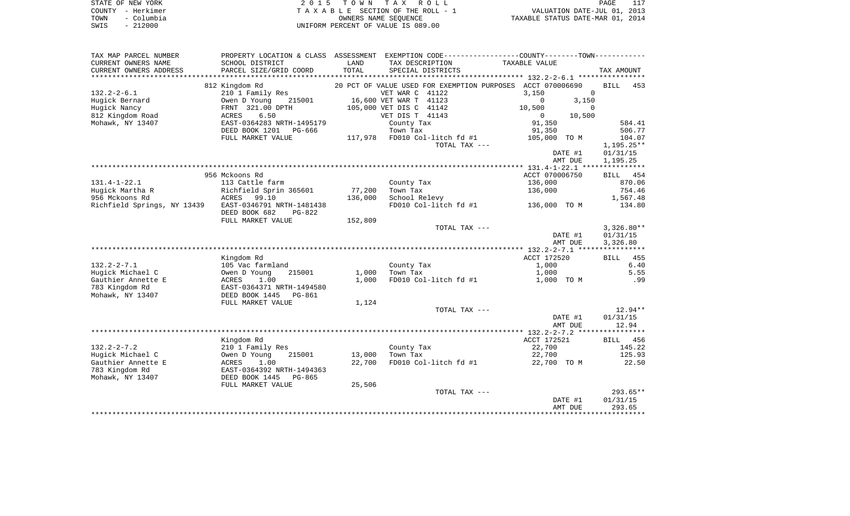| STATE OF NEW YORK  | 2015 TOWN TAX ROLL                 | 117<br>PAGE                      |
|--------------------|------------------------------------|----------------------------------|
| COUNTY - Herkimer  | TAXABLE SECTION OF THE ROLL - 1    | VALUATION DATE-JUL 01, 2013      |
| - Columbia<br>TOWN | OWNERS NAME SEOUENCE               | TAXABLE STATUS DATE-MAR 01, 2014 |
| $-212000$<br>SWIS  | UNIFORM PERCENT OF VALUE IS 089.00 |                                  |

| TAX MAP PARCEL NUMBER       |                           |         |                         | PROPERTY LOCATION & CLASS ASSESSMENT EXEMPTION CODE---------------COUNTY-------TOWN---------- |                    |
|-----------------------------|---------------------------|---------|-------------------------|-----------------------------------------------------------------------------------------------|--------------------|
| CURRENT OWNERS NAME         | SCHOOL DISTRICT           | LAND    | TAX DESCRIPTION         | TAXABLE VALUE                                                                                 |                    |
| CURRENT OWNERS ADDRESS      | PARCEL SIZE/GRID COORD    | TOTAL   | SPECIAL DISTRICTS       |                                                                                               | TAX AMOUNT         |
| **********************      |                           |         |                         |                                                                                               |                    |
|                             | 812 Kingdom Rd            |         |                         | 20 PCT OF VALUE USED FOR EXEMPTION PURPOSES ACCT 070006690                                    | <b>BILL</b><br>453 |
| $132.2 - 2 - 6.1$           | 210 1 Family Res          |         | VET WAR C 41122         | 3,150<br>$\mathbf 0$                                                                          |                    |
| Hugick Bernard              | Owen D Young<br>215001    |         | 16,600 VET WAR T 41123  | $\Omega$<br>3,150                                                                             |                    |
| Hugick Nancy                | FRNT 321.00 DPTH          |         | 105,000 VET DIS C 41142 | 10,500<br>$\Omega$                                                                            |                    |
| 812 Kingdom Road            | 6.50<br>ACRES             |         | VET DIS T 41143         | $\circ$<br>10,500                                                                             |                    |
| Mohawk, NY 13407            | EAST-0364283 NRTH-1495179 |         | County Tax              | 91,350                                                                                        | 584.41             |
|                             | DEED BOOK 1201<br>PG-666  |         | Town Tax                | 91,350                                                                                        | 506.77             |
|                             | FULL MARKET VALUE         | 117,978 | FD010 Col-litch fd #1   | 105,000 TO M                                                                                  | 104.07             |
|                             |                           |         | TOTAL TAX ---           |                                                                                               | 1,195.25**         |
|                             |                           |         |                         | DATE #1                                                                                       | 01/31/15           |
|                             |                           |         |                         | AMT DUE                                                                                       | 1,195.25           |
|                             |                           |         |                         |                                                                                               |                    |
|                             | 956 Mckoons Rd            |         |                         | ACCT 070006750                                                                                | BILL 454           |
| $131.4 - 1 - 22.1$          | 113 Cattle farm           |         | County Tax              | 136,000                                                                                       | 870.06             |
| Hugick Martha R             | Richfield Sprin 365601    | 77,200  | Town Tax                | 136,000                                                                                       | 754.46             |
| 956 Mckoons Rd              | ACRES<br>99.10            | 136,000 | School Relevy           |                                                                                               | 1,567.48           |
| Richfield Springs, NY 13439 | EAST-0346791 NRTH-1481438 |         | FD010 Col-litch fd #1   | 136,000 TO M                                                                                  | 134.80             |
|                             | DEED BOOK 682<br>$PG-822$ |         |                         |                                                                                               |                    |
|                             | FULL MARKET VALUE         | 152,809 |                         |                                                                                               |                    |
|                             |                           |         | TOTAL TAX ---           |                                                                                               | $3,326.80**$       |
|                             |                           |         |                         | DATE #1                                                                                       | 01/31/15           |
|                             |                           |         |                         | AMT DUE                                                                                       | 3,326.80           |
|                             |                           |         |                         |                                                                                               |                    |
|                             | Kingdom Rd                |         |                         | ACCT 172520                                                                                   | BILL 455           |
| $132.2 - 2 - 7.1$           |                           |         |                         |                                                                                               | 6.40               |
| Hugick Michael C            | 105 Vac farmland          |         | County Tax<br>Town Tax  | 1,000                                                                                         | 5.55               |
|                             | Owen D Young<br>215001    | 1,000   |                         | 1,000                                                                                         |                    |
| Gauthier Annette E          | 1.00<br>ACRES             | 1,000   | FD010 Col-litch fd #1   | 1,000 TO M                                                                                    | .99                |
| 783 Kingdom Rd              | EAST-0364371 NRTH-1494580 |         |                         |                                                                                               |                    |
| Mohawk, NY 13407            | DEED BOOK 1445<br>PG-861  |         |                         |                                                                                               |                    |
|                             | FULL MARKET VALUE         | 1,124   |                         |                                                                                               |                    |
|                             |                           |         | TOTAL TAX ---           |                                                                                               | $12.94**$          |
|                             |                           |         |                         | DATE #1                                                                                       | 01/31/15           |
|                             |                           |         |                         | AMT DUE                                                                                       | 12.94              |
|                             |                           |         |                         |                                                                                               |                    |
|                             | Kingdom Rd                |         |                         | ACCT 172521                                                                                   | 456<br><b>BILL</b> |
| $132.2 - 2 - 7.2$           | 210 1 Family Res          |         | County Tax              | 22,700                                                                                        | 145.22             |
| Hugick Michael C            | Owen D Young<br>215001    | 13,000  | Town Tax                | 22,700                                                                                        | 125.93             |
| Gauthier Annette E          | ACRES<br>1.00             | 22,700  | FD010 Col-litch fd #1   | 22,700 TO M                                                                                   | 22.50              |
| 783 Kingdom Rd              | EAST-0364392 NRTH-1494363 |         |                         |                                                                                               |                    |
| Mohawk, NY 13407            | DEED BOOK 1445<br>PG-865  |         |                         |                                                                                               |                    |
|                             | FULL MARKET VALUE         | 25,506  |                         |                                                                                               |                    |
|                             |                           |         | TOTAL TAX ---           |                                                                                               | $293.65**$         |
|                             |                           |         |                         | DATE #1                                                                                       | 01/31/15           |
|                             |                           |         |                         | AMT DUE                                                                                       | 293.65             |
|                             |                           |         |                         |                                                                                               |                    |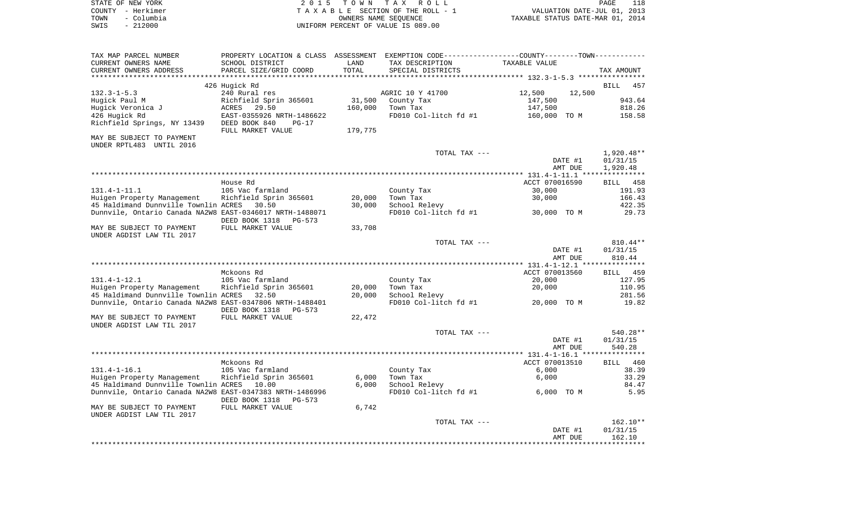| STATE OF NEW YORK  | 2015 TOWN TAX ROLL                 | 118<br>PAGE                      |
|--------------------|------------------------------------|----------------------------------|
| COUNTY - Herkimer  | TAXABLE SECTION OF THE ROLL - 1    | VALUATION DATE-JUL 01, 2013      |
| - Columbia<br>TOWN | OWNERS NAME SEOUENCE               | TAXABLE STATUS DATE-MAR 01, 2014 |
| $-212000$<br>SWIS  | UNIFORM PERCENT OF VALUE IS 089.00 |                                  |

| TAX MAP PARCEL NUMBER                                    | PROPERTY LOCATION & CLASS ASSESSMENT |         | EXEMPTION CODE-----------------COUNTY-------TOWN----------- |                  |                    |
|----------------------------------------------------------|--------------------------------------|---------|-------------------------------------------------------------|------------------|--------------------|
| CURRENT OWNERS NAME                                      | SCHOOL DISTRICT                      | LAND    | TAX DESCRIPTION                                             | TAXABLE VALUE    |                    |
| CURRENT OWNERS ADDRESS                                   | PARCEL SIZE/GRID COORD               | TOTAL   | SPECIAL DISTRICTS                                           |                  | TAX AMOUNT         |
|                                                          |                                      |         |                                                             |                  |                    |
|                                                          | 426 Hugick Rd                        |         |                                                             |                  | <b>BILL</b><br>457 |
| $132.3 - 1 - 5.3$                                        | 240 Rural res                        |         | AGRIC 10 Y 41700                                            | 12,500<br>12,500 |                    |
| Hugick Paul M                                            | Richfield Sprin 365601               | 31,500  | County Tax                                                  | 147,500          | 943.64             |
| Hugick Veronica J                                        | ACRES<br>29.50                       | 160,000 | Town Tax                                                    | 147,500          | 818.26             |
| 426 Hugick Rd                                            | EAST-0355926 NRTH-1486622            |         | FD010 Col-litch fd #1                                       | 160,000 TO M     | 158.58             |
| Richfield Springs, NY 13439                              | DEED BOOK 840<br>$PG-17$             |         |                                                             |                  |                    |
|                                                          | FULL MARKET VALUE                    | 179,775 |                                                             |                  |                    |
| MAY BE SUBJECT TO PAYMENT                                |                                      |         |                                                             |                  |                    |
| UNDER RPTL483 UNTIL 2016                                 |                                      |         |                                                             |                  |                    |
|                                                          |                                      |         | TOTAL TAX ---                                               |                  | $1,920.48**$       |
|                                                          |                                      |         |                                                             | DATE #1          | 01/31/15           |
|                                                          |                                      |         |                                                             | AMT DUE          | 1,920.48           |
|                                                          |                                      |         |                                                             |                  |                    |
|                                                          | House Rd                             |         |                                                             | ACCT 070016590   | 458<br>BILL        |
| $131.4 - 1 - 11.1$                                       | 105 Vac farmland                     |         | County Tax                                                  | 30,000           | 191.93             |
| Huigen Property Management                               | Richfield Sprin 365601               | 20,000  | Town Tax                                                    | 30,000           | 166.43             |
| 45 Haldimand Dunnville Townlin ACRES                     | 30.50                                | 30,000  | School Relevy                                               |                  | 422.35             |
| Dunnvile, Ontario Canada NA2W8 EAST-0346017 NRTH-1488071 |                                      |         | FD010 Col-litch fd #1                                       | 30,000 TO M      | 29.73              |
|                                                          | DEED BOOK 1318<br>$PG-573$           |         |                                                             |                  |                    |
| MAY BE SUBJECT TO PAYMENT                                | FULL MARKET VALUE                    | 33,708  |                                                             |                  |                    |
| UNDER AGDIST LAW TIL 2017                                |                                      |         |                                                             |                  |                    |
|                                                          |                                      |         | TOTAL TAX ---                                               |                  | 810.44**           |
|                                                          |                                      |         |                                                             | DATE #1          | 01/31/15           |
|                                                          |                                      |         |                                                             | AMT DUE          | 810.44             |
|                                                          |                                      |         |                                                             |                  |                    |
|                                                          | Mckoons Rd                           |         |                                                             | ACCT 070013560   | 459<br>BILL        |
| $131.4 - 1 - 12.1$                                       | 105 Vac farmland                     |         | County Tax                                                  | 20,000           | 127.95             |
| Huigen Property Management                               | Richfield Sprin 365601               | 20,000  | Town Tax                                                    | 20,000           | 110.95             |
| 45 Haldimand Dunnville Townlin ACRES                     | 32.50                                | 20,000  | School Relevy                                               |                  | 281.56             |
| Dunnvile, Ontario Canada NA2W8 EAST-0347806 NRTH-1488401 |                                      |         | FD010 Col-litch fd #1                                       | 20,000 TO M      | 19.82              |
|                                                          | DEED BOOK 1318<br>$PG-573$           |         |                                                             |                  |                    |
| MAY BE SUBJECT TO PAYMENT                                | FULL MARKET VALUE                    | 22,472  |                                                             |                  |                    |
| UNDER AGDIST LAW TIL 2017                                |                                      |         |                                                             |                  |                    |
|                                                          |                                      |         | TOTAL TAX ---                                               |                  | 540.28**           |
|                                                          |                                      |         |                                                             | DATE #1          | 01/31/15           |
|                                                          |                                      |         |                                                             | AMT DUE          | 540.28             |
|                                                          |                                      |         |                                                             |                  |                    |
|                                                          | Mckoons Rd                           |         |                                                             | ACCT 070013510   | 460<br><b>BILL</b> |
| $131.4 - 1 - 16.1$                                       | 105 Vac farmland                     |         | County Tax                                                  | 6,000            | 38.39              |
| Huigen Property Management                               | Richfield Sprin 365601               | 6,000   | Town Tax                                                    | 6,000            | 33.29              |
| 45 Haldimand Dunnville Townlin ACRES                     | 10.00                                | 6,000   | School Relevy                                               |                  | 84.47              |
| Dunnvile, Ontario Canada NA2W8 EAST-0347383 NRTH-1486996 |                                      |         | FD010 Col-litch fd #1                                       | 6,000 TO M       | 5.95               |
|                                                          | DEED BOOK 1318<br>$PG-573$           |         |                                                             |                  |                    |
| MAY BE SUBJECT TO PAYMENT                                | FULL MARKET VALUE                    | 6,742   |                                                             |                  |                    |
| UNDER AGDIST LAW TIL 2017                                |                                      |         |                                                             |                  |                    |
|                                                          |                                      |         | TOTAL TAX ---                                               |                  | 162.10**           |
|                                                          |                                      |         |                                                             | DATE #1          | 01/31/15           |
|                                                          |                                      |         |                                                             | AMT DUE          | 162.10             |
|                                                          |                                      |         |                                                             |                  |                    |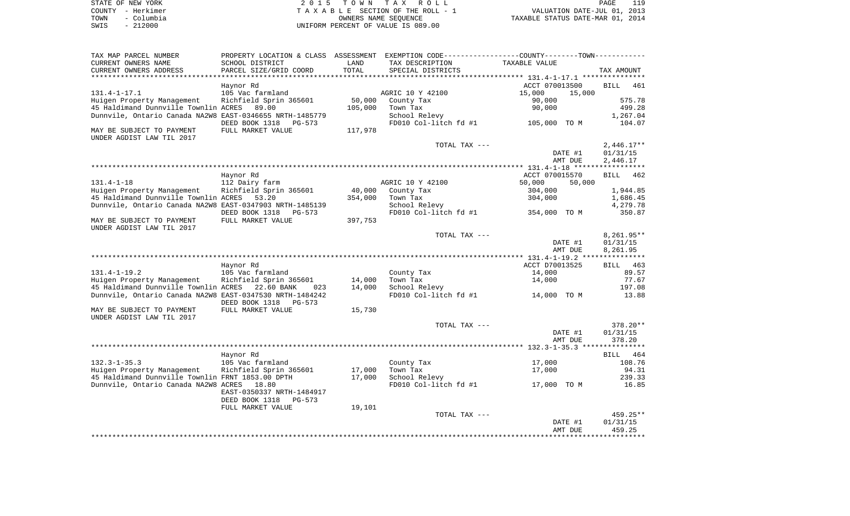| STATE OF NEW YORK  | 2015 TOWN TAX ROLL                 | 119<br><b>PAGE</b>               |
|--------------------|------------------------------------|----------------------------------|
| COUNTY - Herkimer  | TAXABLE SECTION OF THE ROLL - 1    | VALUATION DATE-JUL 01, 2013      |
| – Columbia<br>TOWN | OWNERS NAME SEOUENCE               | TAXABLE STATUS DATE-MAR 01, 2014 |
| $-212000$<br>SWIS  | UNIFORM PERCENT OF VALUE IS 089.00 |                                  |

| TAX MAP PARCEL NUMBER                                    |                            |         |                       | PROPERTY LOCATION & CLASS ASSESSMENT EXEMPTION CODE----------------COUNTY-------TOWN---------- |                    |
|----------------------------------------------------------|----------------------------|---------|-----------------------|------------------------------------------------------------------------------------------------|--------------------|
| CURRENT OWNERS NAME                                      | SCHOOL DISTRICT            | LAND    | TAX DESCRIPTION       | TAXABLE VALUE                                                                                  |                    |
| CURRENT OWNERS ADDRESS                                   | PARCEL SIZE/GRID COORD     | TOTAL   | SPECIAL DISTRICTS     |                                                                                                | TAX AMOUNT         |
| *********************                                    | *************************  |         |                       |                                                                                                |                    |
|                                                          | Haynor Rd                  |         |                       | ACCT 070013500                                                                                 | <b>BILL</b><br>461 |
| $131.4 - 1 - 17.1$                                       | 105 Vac farmland           |         | AGRIC 10 Y 42100      | 15,000<br>15,000                                                                               |                    |
| Huigen Property Management                               | Richfield Sprin 365601     | 50,000  | County Tax            | 90,000                                                                                         | 575.78             |
| 45 Haldimand Dunnville Townlin ACRES                     | 89.00                      | 105,000 | Town Tax              | 90,000                                                                                         | 499.28             |
| Dunnvile, Ontario Canada NA2W8 EAST-0346655 NRTH-1485779 |                            |         | School Relevy         |                                                                                                | 1,267.04           |
|                                                          | DEED BOOK 1318<br>PG-573   |         | FD010 Col-litch fd #1 | 105,000 TO M                                                                                   | 104.07             |
| MAY BE SUBJECT TO PAYMENT<br>UNDER AGDIST LAW TIL 2017   | FULL MARKET VALUE          | 117,978 |                       |                                                                                                |                    |
|                                                          |                            |         | TOTAL TAX ---         |                                                                                                | $2,446.17**$       |
|                                                          |                            |         |                       | DATE #1                                                                                        | 01/31/15           |
|                                                          |                            |         |                       | AMT DUE                                                                                        | 2,446.17           |
|                                                          |                            |         |                       |                                                                                                |                    |
|                                                          | Haynor Rd                  |         |                       | ACCT 070015570                                                                                 | BILL<br>462        |
| $131.4 - 1 - 18$                                         | 112 Dairy farm             |         | AGRIC 10 Y 42100      | 50,000<br>50,000                                                                               |                    |
| Huigen Property Management                               | Richfield Sprin 365601     | 40,000  | County Tax            | 304,000                                                                                        | 1,944.85           |
| 45 Haldimand Dunnville Townlin ACRES                     | 53.20                      | 354,000 | Town Tax              | 304,000                                                                                        | 1,686.45           |
| Dunnvile, Ontario Canada NA2W8 EAST-0347903 NRTH-1485139 |                            |         | School Relevy         |                                                                                                | 4,279.78           |
|                                                          | DEED BOOK 1318<br>$PG-573$ |         | FD010 Col-litch fd #1 | 354,000 TO M                                                                                   | 350.87             |
| MAY BE SUBJECT TO PAYMENT<br>UNDER AGDIST LAW TIL 2017   | FULL MARKET VALUE          | 397,753 |                       |                                                                                                |                    |
|                                                          |                            |         | TOTAL TAX ---         |                                                                                                | 8,261.95**         |
|                                                          |                            |         |                       | DATE #1                                                                                        | 01/31/15           |
|                                                          |                            |         |                       | AMT DUE                                                                                        | 8,261.95           |
|                                                          |                            |         |                       |                                                                                                |                    |
|                                                          | Haynor Rd                  |         |                       | ACCT D70013525                                                                                 | 463<br><b>BILL</b> |
| $131.4 - 1 - 19.2$                                       | 105 Vac farmland           |         | County Tax            | 14,000                                                                                         | 89.57              |
| Huigen Property Management                               | Richfield Sprin 365601     | 14,000  | Town Tax              | 14,000                                                                                         | 77.67              |
| 45 Haldimand Dunnville Townlin ACRES                     | 22.60 BANK<br>023          | 14,000  | School Relevy         |                                                                                                | 197.08             |
| Dunnvile, Ontario Canada NA2W8 EAST-0347530 NRTH-1484242 |                            |         | FD010 Col-litch fd #1 | 14,000 TO M                                                                                    | 13.88              |
|                                                          | DEED BOOK 1318<br>$PG-573$ |         |                       |                                                                                                |                    |
| MAY BE SUBJECT TO PAYMENT                                | FULL MARKET VALUE          | 15,730  |                       |                                                                                                |                    |
| UNDER AGDIST LAW TIL 2017                                |                            |         |                       |                                                                                                |                    |
|                                                          |                            |         | TOTAL TAX ---         |                                                                                                | 378.20**           |
|                                                          |                            |         |                       | DATE #1                                                                                        | 01/31/15           |
|                                                          |                            |         |                       | AMT DUE                                                                                        | 378.20             |
|                                                          |                            |         |                       |                                                                                                |                    |
|                                                          | Haynor Rd                  |         |                       |                                                                                                | 464<br>BILL        |
| $132.3 - 1 - 35.3$                                       | 105 Vac farmland           |         | County Tax            | 17,000                                                                                         | 108.76             |
| Huigen Property Management                               | Richfield Sprin 365601     | 17,000  | Town Tax              | 17,000                                                                                         | 94.31              |
| 45 Haldimand Dunnville Townlin FRNT 1853.00 DPTH         |                            | 17,000  | School Relevy         |                                                                                                | 239.33             |
| Dunnvile, Ontario Canada NA2W8 ACRES                     | 18.80                      |         | FD010 Col-litch fd #1 | 17,000 TO M                                                                                    | 16.85              |
|                                                          | EAST-0350337 NRTH-1484917  |         |                       |                                                                                                |                    |
|                                                          | DEED BOOK 1318<br>$PG-573$ |         |                       |                                                                                                |                    |
|                                                          | FULL MARKET VALUE          | 19,101  |                       |                                                                                                |                    |
|                                                          |                            |         | TOTAL TAX ---         |                                                                                                | 459.25**           |
|                                                          |                            |         |                       | DATE #1                                                                                        | 01/31/15           |
|                                                          |                            |         |                       | AMT DUE                                                                                        | 459.25             |
|                                                          |                            |         |                       |                                                                                                |                    |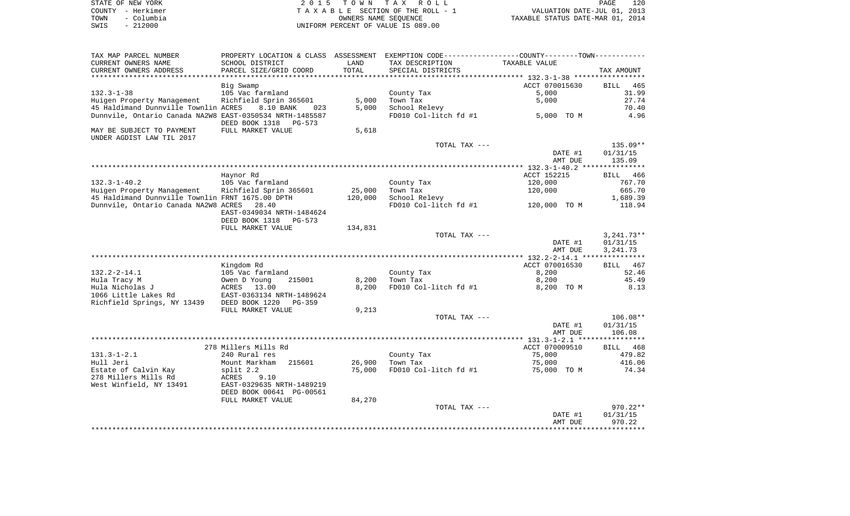| STATE OF NEW YORK |            | 2015 TOWN TAX ROLL                 |                                  | PAGE | 120 |
|-------------------|------------|------------------------------------|----------------------------------|------|-----|
| COUNTY - Herkimer |            | TAXABLE SECTION OF THE ROLL - 1    | VALUATION DATE-JUL 01, 2013      |      |     |
| TOWN              | - Columbia | OWNERS NAME SEOUENCE               | TAXABLE STATUS DATE-MAR 01, 2014 |      |     |
| SWIS              | $-212000$  | UNIFORM PERCENT OF VALUE IS 089.00 |                                  |      |     |

| TAX MAP PARCEL NUMBER                                    | PROPERTY LOCATION & CLASS ASSESSMENT EXEMPTION CODE---------------COUNTY-------TOWN---------- |         |                       |                |                    |
|----------------------------------------------------------|-----------------------------------------------------------------------------------------------|---------|-----------------------|----------------|--------------------|
| CURRENT OWNERS NAME                                      | SCHOOL DISTRICT                                                                               | LAND    | TAX DESCRIPTION       | TAXABLE VALUE  |                    |
| CURRENT OWNERS ADDRESS                                   | PARCEL SIZE/GRID COORD                                                                        | TOTAL   | SPECIAL DISTRICTS     |                | TAX AMOUNT         |
|                                                          |                                                                                               |         |                       |                |                    |
|                                                          | Big Swamp                                                                                     |         |                       | ACCT 070015630 | <b>BILL</b><br>465 |
| $132.3 - 1 - 38$                                         | 105 Vac farmland                                                                              |         | County Tax            | 5,000          | 31.99              |
| Huigen Property Management                               | Richfield Sprin 365601                                                                        | 5,000   | Town Tax              | 5,000          | 27.74              |
| 45 Haldimand Dunnville Townlin ACRES                     | 8.10 BANK<br>023                                                                              | 5,000   | School Relevy         |                | 70.40              |
| Dunnvile, Ontario Canada NA2W8 EAST-0350534 NRTH-1485587 |                                                                                               |         | FD010 Col-litch fd #1 | 5,000 TO M     | 4.96               |
|                                                          | DEED BOOK 1318<br>PG-573                                                                      |         |                       |                |                    |
| MAY BE SUBJECT TO PAYMENT                                | FULL MARKET VALUE                                                                             | 5,618   |                       |                |                    |
| UNDER AGDIST LAW TIL 2017                                |                                                                                               |         |                       |                |                    |
|                                                          |                                                                                               |         | TOTAL TAX ---         |                | 135.09**           |
|                                                          |                                                                                               |         |                       | DATE #1        | 01/31/15           |
|                                                          |                                                                                               |         |                       | AMT DUE        | 135.09             |
|                                                          |                                                                                               |         |                       |                |                    |
|                                                          | Haynor Rd                                                                                     |         |                       | ACCT 152215    | BILL 466           |
| $132.3 - 1 - 40.2$                                       | 105 Vac farmland                                                                              |         | County Tax            | 120,000        | 767.70             |
| Huigen Property Management Richfield Sprin 365601        |                                                                                               | 25,000  | Town Tax              | 120,000        | 665.70             |
| 45 Haldimand Dunnville Townlin FRNT 1675.00 DPTH         |                                                                                               | 120,000 | School Relevy         |                | 1,689.39           |
| Dunnvile, Ontario Canada NA2W8 ACRES 28.40               |                                                                                               |         | FD010 Col-litch fd #1 | 120,000 TO M   | 118.94             |
|                                                          | EAST-0349034 NRTH-1484624                                                                     |         |                       |                |                    |
|                                                          | DEED BOOK 1318<br>PG-573                                                                      |         |                       |                |                    |
|                                                          | FULL MARKET VALUE                                                                             | 134,831 |                       |                |                    |
|                                                          |                                                                                               |         | TOTAL TAX ---         |                | $3,241.73**$       |
|                                                          |                                                                                               |         |                       | DATE #1        | 01/31/15           |
|                                                          |                                                                                               |         |                       | AMT DUE        | 3, 241.73          |
|                                                          |                                                                                               |         |                       |                |                    |
|                                                          | Kingdom Rd                                                                                    |         |                       | ACCT 070016530 | BILL 467           |
| 132.2-2-14.1                                             | 105 Vac farmland                                                                              |         | County Tax            | 8,200          | 52.46              |
| Hula Tracy M                                             | 215001                                                                                        | 8,200   | Town Tax              | 8,200          | 45.49              |
| Hula Nicholas J                                          | Owen D Young<br>ACRES 13.00                                                                   | 8,200   | FD010 Col-litch fd #1 | 8,200 TO M     | 8.13               |
| 1066 Little Lakes Rd                                     | EAST-0363134 NRTH-1489624                                                                     |         |                       |                |                    |
| Richfield Springs, NY 13439 DEED BOOK 1220               | PG-359                                                                                        |         |                       |                |                    |
|                                                          | FULL MARKET VALUE                                                                             | 9,213   |                       |                |                    |
|                                                          |                                                                                               |         | TOTAL TAX ---         |                | $106.08**$         |
|                                                          |                                                                                               |         |                       | DATE #1        | 01/31/15           |
|                                                          |                                                                                               |         |                       | AMT DUE        | 106.08             |
|                                                          |                                                                                               |         |                       |                |                    |
|                                                          | 278 Millers Mills Rd                                                                          |         |                       | ACCT 070009510 | BILL 468           |
| $131.3 - 1 - 2.1$                                        | 240 Rural res                                                                                 |         | County Tax            | 75,000         | 479.82             |
| Hull Jeri                                                | 215601<br>Mount Markham                                                                       | 26,900  | Town Tax              | 75,000         | 416.06             |
| Estate of Calvin Kay                                     | split 2.2                                                                                     | 75,000  | FD010 Col-litch fd #1 | 75,000 TO M    | 74.34              |
| 278 Millers Mills Rd                                     | ACRES<br>9.10                                                                                 |         |                       |                |                    |
| West Winfield, NY 13491                                  | EAST-0329635 NRTH-1489219                                                                     |         |                       |                |                    |
|                                                          | DEED BOOK 00641 PG-00561                                                                      |         |                       |                |                    |
|                                                          | FULL MARKET VALUE                                                                             | 84,270  |                       |                | $970.22**$         |
|                                                          |                                                                                               |         | TOTAL TAX ---         |                |                    |
|                                                          |                                                                                               |         |                       | DATE #1        | 01/31/15           |
|                                                          |                                                                                               |         |                       | AMT DUE        | 970.22             |
|                                                          |                                                                                               |         |                       |                |                    |
|                                                          |                                                                                               |         |                       |                |                    |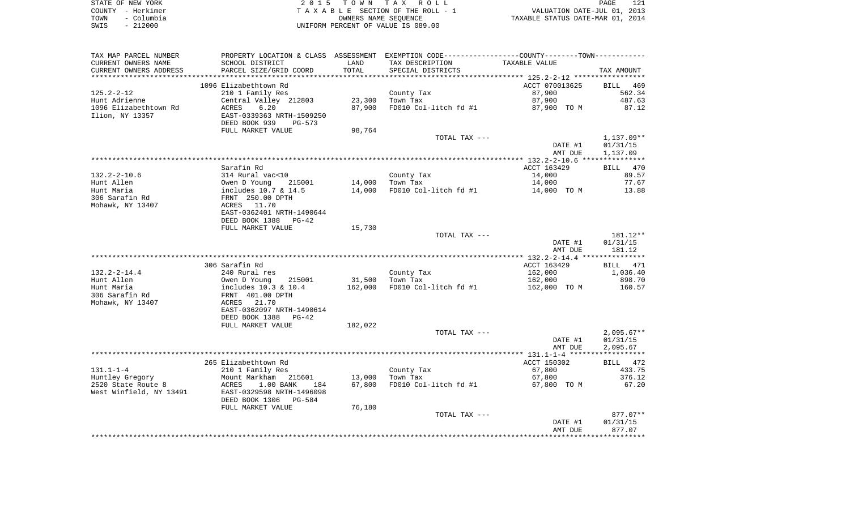| STATE OF NEW YORK  | 2015 TOWN TAX ROLL<br>PAGE                                     | 121 |
|--------------------|----------------------------------------------------------------|-----|
| COUNTY – Herkimer  | VALUATION DATE-JUL 01, 2013<br>TAXABLE SECTION OF THE ROLL - 1 |     |
| – Columbia<br>TOWN | TAXABLE STATUS DATE-MAR 01, 2014<br>OWNERS NAME SEOUENCE       |     |
| $-212000$<br>SWIS  | UNIFORM PERCENT OF VALUE IS 089.00                             |     |

| TAX MAP PARCEL NUMBER<br>CURRENT OWNERS NAME<br>CURRENT OWNERS ADDRESS | PROPERTY LOCATION & CLASS ASSESSMENT<br>SCHOOL DISTRICT<br>PARCEL SIZE/GRID COORD              | LAND<br>TOTAL    | EXEMPTION CODE-----------------COUNTY-------TOWN-----------<br>TAX DESCRIPTION<br>SPECIAL DISTRICTS | TAXABLE VALUE            | TAX AMOUNT               |
|------------------------------------------------------------------------|------------------------------------------------------------------------------------------------|------------------|-----------------------------------------------------------------------------------------------------|--------------------------|--------------------------|
| **********************                                                 |                                                                                                |                  |                                                                                                     |                          |                          |
| $125.2 - 2 - 12$                                                       | 1096 Elizabethtown Rd<br>210 1 Family Res                                                      |                  | County Tax                                                                                          | ACCT 070013625<br>87,900 | BILL<br>- 469<br>562.34  |
| Hunt Adrienne<br>1096 Elizabethtown Rd<br>Ilion, NY 13357              | Central Valley 212803<br>6.20<br>ACRES<br>EAST-0339363 NRTH-1509250<br>DEED BOOK 939<br>PG-573 | 23,300<br>87,900 | Town Tax<br>FD010 Col-litch fd #1                                                                   | 87,900<br>87,900 TO M    | 487.63<br>87.12          |
|                                                                        | FULL MARKET VALUE                                                                              | 98,764           |                                                                                                     |                          |                          |
|                                                                        |                                                                                                |                  | TOTAL TAX ---                                                                                       | DATE #1                  | $1,137.09**$<br>01/31/15 |
|                                                                        |                                                                                                |                  |                                                                                                     | AMT DUE                  | 1,137.09                 |
|                                                                        | Sarafin Rd                                                                                     |                  |                                                                                                     | ACCT 163429              | BILL 470                 |
| $132.2 - 2 - 10.6$                                                     | 314 Rural vac<10                                                                               |                  | County Tax                                                                                          | 14,000                   | 89.57                    |
| Hunt Allen                                                             | Owen D Young<br>215001                                                                         | 14,000           | Town Tax                                                                                            | 14,000                   | 77.67                    |
| Hunt Maria                                                             | includes 10.7 & 14.5                                                                           | 14,000           | FD010 Col-litch fd #1                                                                               | 14,000 TO M              | 13.88                    |
| 306 Sarafin Rd<br>Mohawk, NY 13407                                     | FRNT 250.00 DPTH<br>ACRES 11.70<br>EAST-0362401 NRTH-1490644                                   |                  |                                                                                                     |                          |                          |
|                                                                        | DEED BOOK 1388<br>PG-42<br>FULL MARKET VALUE                                                   | 15,730           |                                                                                                     |                          |                          |
|                                                                        |                                                                                                |                  | TOTAL TAX ---                                                                                       |                          | 181.12**                 |
|                                                                        |                                                                                                |                  |                                                                                                     | DATE #1                  | 01/31/15                 |
|                                                                        |                                                                                                |                  |                                                                                                     | AMT DUE                  | 181.12                   |
|                                                                        |                                                                                                |                  |                                                                                                     |                          |                          |
|                                                                        | 306 Sarafin Rd                                                                                 |                  |                                                                                                     | ACCT 163429              | 471<br>BILL              |
| $132.2 - 2 - 14.4$                                                     | 240 Rural res                                                                                  |                  | County Tax                                                                                          | 162,000                  | 1,036.40                 |
| Hunt Allen                                                             | Owen D Young<br>215001                                                                         | 31,500           | Town Tax                                                                                            | 162,000                  | 898.70                   |
| Hunt Maria                                                             | includes 10.3 & 10.4                                                                           | 162,000          | FD010 Col-litch fd #1                                                                               | 162,000 TO M             | 160.57                   |
| 306 Sarafin Rd                                                         | FRNT 401.00 DPTH                                                                               |                  |                                                                                                     |                          |                          |
| Mohawk, NY 13407                                                       | ACRES 21.70                                                                                    |                  |                                                                                                     |                          |                          |
|                                                                        | EAST-0362097 NRTH-1490614                                                                      |                  |                                                                                                     |                          |                          |
|                                                                        | DEED BOOK 1388<br>PG-42                                                                        |                  |                                                                                                     |                          |                          |
|                                                                        | FULL MARKET VALUE                                                                              | 182,022          |                                                                                                     |                          |                          |
|                                                                        |                                                                                                |                  | TOTAL TAX ---                                                                                       |                          | $2,095.67**$             |
|                                                                        |                                                                                                |                  |                                                                                                     | DATE #1                  | 01/31/15                 |
|                                                                        |                                                                                                |                  |                                                                                                     | AMT DUE                  | 2,095.67                 |
|                                                                        |                                                                                                |                  |                                                                                                     |                          |                          |
| $131.1 - 1 - 4$                                                        | 265 Elizabethtown Rd                                                                           |                  |                                                                                                     | ACCT 150302              | BILL 472<br>433.75       |
| Huntley Gregory                                                        | 210 1 Family Res<br>Mount Markham<br>215601                                                    | 13,000           | County Tax<br>Town Tax                                                                              | 67,800<br>67,800         | 376.12                   |
| 2520 State Route 8                                                     | ACRES<br>$1.00$ BANK<br>184                                                                    | 67,800           | FD010 Col-litch fd #1                                                                               | 67,800 TO M              | 67.20                    |
| West Winfield, NY 13491                                                | EAST-0329598 NRTH-1496098<br>DEED BOOK 1306<br>PG-584                                          |                  |                                                                                                     |                          |                          |
|                                                                        | FULL MARKET VALUE                                                                              | 76,180           |                                                                                                     |                          |                          |
|                                                                        |                                                                                                |                  | TOTAL TAX ---                                                                                       |                          | $877.07**$               |
|                                                                        |                                                                                                |                  |                                                                                                     | DATE #1                  | 01/31/15                 |
|                                                                        |                                                                                                |                  |                                                                                                     | AMT DUE                  | 877.07                   |
|                                                                        |                                                                                                |                  |                                                                                                     |                          |                          |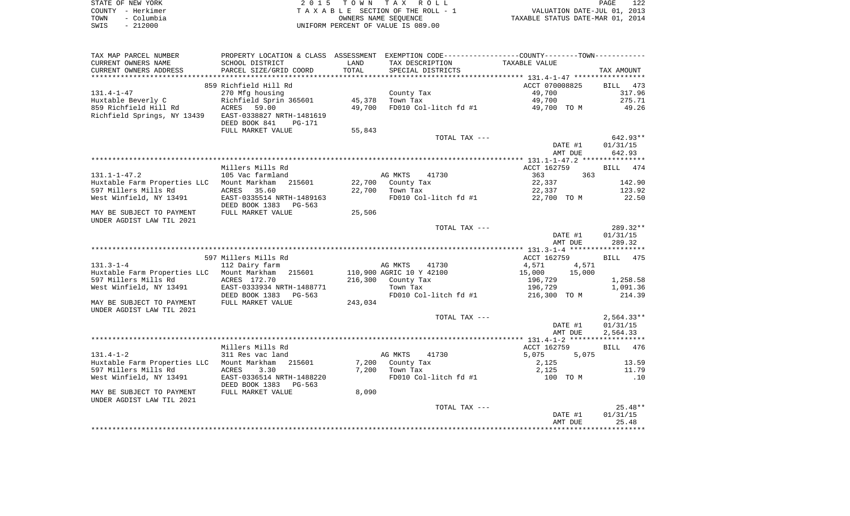| STATE OF NEW YORK  | 2015 TOWN TAX ROLL                 | 122<br>PAGE                      |
|--------------------|------------------------------------|----------------------------------|
| COUNTY - Herkimer  | TAXABLE SECTION OF THE ROLL - 1    | VALUATION DATE-JUL 01, 2013      |
| - Columbia<br>TOWN | OWNERS NAME SEOUENCE               | TAXABLE STATUS DATE-MAR 01, 2014 |
| SWIS<br>$-212000$  | UNIFORM PERCENT OF VALUE IS 089.00 |                                  |

| TAX MAP PARCEL NUMBER        | PROPERTY LOCATION & CLASS | ASSESSMENT |                          | EXEMPTION CODE-----------------COUNTY-------TOWN----------- |                    |
|------------------------------|---------------------------|------------|--------------------------|-------------------------------------------------------------|--------------------|
| CURRENT OWNERS NAME          | SCHOOL DISTRICT           | LAND       | TAX DESCRIPTION          | TAXABLE VALUE                                               |                    |
| CURRENT OWNERS ADDRESS       | PARCEL SIZE/GRID COORD    | TOTAL      | SPECIAL DISTRICTS        |                                                             | TAX AMOUNT         |
|                              |                           |            |                          |                                                             |                    |
|                              | 859 Richfield Hill Rd     |            |                          | ACCT 070008825                                              | BILL<br>473        |
| $131.4 - 1 - 47$             | 270 Mfg housing           |            | County Tax               | 49,700                                                      | 317.96             |
| Huxtable Beverly C           | Richfield Sprin 365601    | 45,378     | Town Tax                 | 49,700                                                      | 275.71             |
| 859 Richfield Hill Rd        | ACRES<br>59.00            | 49,700     | FD010 Col-litch fd #1    | 49,700 TO M                                                 | 49.26              |
| Richfield Springs, NY 13439  | EAST-0338827 NRTH-1481619 |            |                          |                                                             |                    |
|                              | DEED BOOK 841<br>PG-171   |            |                          |                                                             |                    |
|                              | FULL MARKET VALUE         | 55,843     |                          |                                                             |                    |
|                              |                           |            | TOTAL TAX ---            |                                                             | 642.93**           |
|                              |                           |            |                          | DATE #1                                                     | 01/31/15           |
|                              |                           |            |                          | AMT DUE                                                     | 642.93             |
|                              |                           |            |                          |                                                             |                    |
|                              | Millers Mills Rd          |            |                          | ACCT 162759                                                 | <b>BILL</b><br>474 |
| $131.1 - 1 - 47.2$           | 105 Vac farmland          |            | AG MKTS<br>41730         | 363<br>363                                                  |                    |
|                              |                           |            |                          |                                                             |                    |
| Huxtable Farm Properties LLC | Mount Markham<br>215601   | 22,700     | County Tax               | 22,337                                                      | 142.90             |
| 597 Millers Mills Rd         | ACRES<br>35.60            | 22,700     | Town Tax                 | 22,337                                                      | 123.92             |
| West Winfield, NY 13491      | EAST-0335514 NRTH-1489163 |            | FD010 Col-litch fd #1    | 22,700 TO M                                                 | 22.50              |
|                              | DEED BOOK 1383 PG-563     |            |                          |                                                             |                    |
| MAY BE SUBJECT TO PAYMENT    | FULL MARKET VALUE         | 25,506     |                          |                                                             |                    |
| UNDER AGDIST LAW TIL 2021    |                           |            |                          |                                                             |                    |
|                              |                           |            | TOTAL TAX ---            |                                                             | $289.32**$         |
|                              |                           |            |                          | DATE #1                                                     | 01/31/15           |
|                              |                           |            |                          | AMT DUE                                                     | 289.32             |
|                              |                           |            |                          |                                                             |                    |
|                              | 597 Millers Mills Rd      |            |                          | ACCT 162759                                                 | BILL 475           |
| $131.3 - 1 - 4$              | 112 Dairy farm            |            | AG MKTS<br>41730         | 4,571<br>4,571                                              |                    |
| Huxtable Farm Properties LLC | Mount Markham<br>215601   |            | 110,900 AGRIC 10 Y 42100 | 15,000<br>15,000                                            |                    |
| 597 Millers Mills Rd         | ACRES 172.70              | 216,300    | County Tax               | 196,729                                                     | 1,258.58           |
| West Winfield, NY 13491      | EAST-0333934 NRTH-1488771 |            | Town Tax                 | 196,729                                                     | 1,091.36           |
|                              | DEED BOOK 1383<br>PG-563  |            | FD010 Col-litch fd #1    | 216,300 TO M                                                | 214.39             |
| MAY BE SUBJECT TO PAYMENT    | FULL MARKET VALUE         | 243,034    |                          |                                                             |                    |
| UNDER AGDIST LAW TIL 2021    |                           |            |                          |                                                             |                    |
|                              |                           |            | TOTAL TAX ---            |                                                             | $2,564.33**$       |
|                              |                           |            |                          | DATE #1                                                     | 01/31/15           |
|                              |                           |            |                          | AMT DUE                                                     | 2,564.33           |
|                              |                           |            |                          |                                                             |                    |
|                              | Millers Mills Rd          |            |                          | ACCT 162759                                                 | 476<br>BILL        |
| $131.4 - 1 - 2$              | 311 Res vac land          |            | AG MKTS<br>41730         | 5,075<br>5,075                                              |                    |
| Huxtable Farm Properties LLC | Mount Markham<br>215601   | 7,200      | County Tax               | 2,125                                                       | 13.59              |
| 597 Millers Mills Rd         | ACRES<br>3.30             | 7,200      | Town Tax                 | 2,125                                                       | 11.79              |
| West Winfield, NY 13491      | EAST-0336514 NRTH-1488220 |            | FD010 Col-litch fd #1    | 100 TO M                                                    | .10                |
|                              | DEED BOOK 1383<br>PG-563  |            |                          |                                                             |                    |
| MAY BE SUBJECT TO PAYMENT    | FULL MARKET VALUE         | 8,090      |                          |                                                             |                    |
| UNDER AGDIST LAW TIL 2021    |                           |            |                          |                                                             |                    |
|                              |                           |            | TOTAL TAX ---            |                                                             | $25.48**$          |
|                              |                           |            |                          | DATE #1                                                     | 01/31/15           |
|                              |                           |            |                          | AMT DUE                                                     | 25.48              |
|                              |                           |            |                          |                                                             |                    |
|                              |                           |            |                          |                                                             |                    |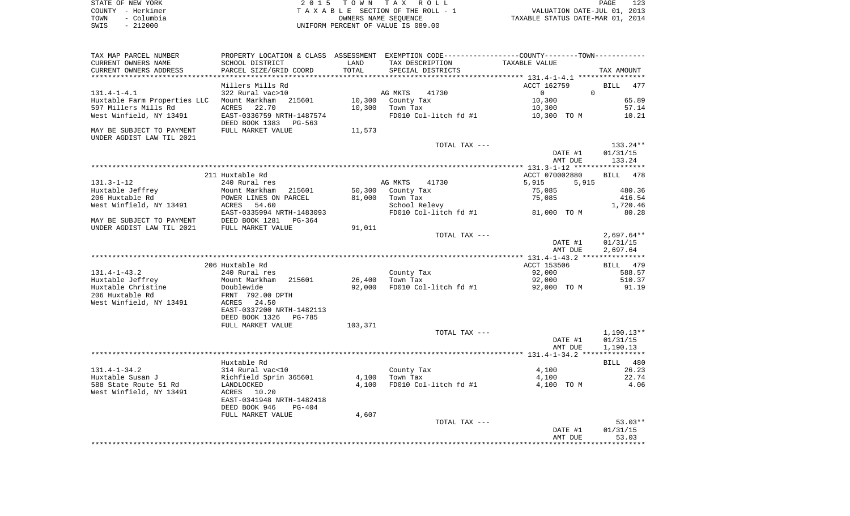| STATE OF NEW YORK  | 2015 TOWN TAX ROLL                 | 123<br>PAGE                      |
|--------------------|------------------------------------|----------------------------------|
| COUNTY - Herkimer  | TAXABLE SECTION OF THE ROLL - 1    | VALUATION DATE-JUL 01, 2013      |
| - Columbia<br>TOWN | OWNERS NAME SEOUENCE               | TAXABLE STATUS DATE-MAR 01, 2014 |
| $-212000$<br>SWIS  | UNIFORM PERCENT OF VALUE IS 089.00 |                                  |

 $\begin{array}{c} 123 \\ 2013 \\ 2014 \end{array}$ 

| TAX MAP PARCEL NUMBER                      |                                                       |         |                       | PROPERTY LOCATION & CLASS ASSESSMENT EXEMPTION CODE---------------COUNTY-------TOWN---------- |              |
|--------------------------------------------|-------------------------------------------------------|---------|-----------------------|-----------------------------------------------------------------------------------------------|--------------|
| CURRENT OWNERS NAME                        | SCHOOL DISTRICT                                       | LAND    | TAX DESCRIPTION       | TAXABLE VALUE                                                                                 |              |
| CURRENT OWNERS ADDRESS                     | PARCEL SIZE/GRID COORD                                | TOTAL   | SPECIAL DISTRICTS     |                                                                                               | TAX AMOUNT   |
|                                            |                                                       |         |                       |                                                                                               |              |
|                                            | Millers Mills Rd                                      |         |                       | ACCT 162759<br>$\Omega$<br>$\Omega$                                                           | BILL<br>477  |
| $131.4 - 1 - 4.1$                          | 322 Rural vac>10                                      |         | AG MKTS<br>41730      | 10,300                                                                                        | 65.89        |
| Huxtable Farm Properties LLC Mount Markham | 215601                                                | 10,300  | County Tax            |                                                                                               |              |
| 597 Millers Mills Rd                       | 22.70<br>ACRES                                        | 10,300  | Town Tax              | 10,300                                                                                        | 57.14        |
| West Winfield, NY 13491                    | EAST-0336759 NRTH-1487574<br>DEED BOOK 1383<br>PG-563 |         | FD010 Col-litch fd #1 | 10,300 TO M                                                                                   | 10.21        |
| MAY BE SUBJECT TO PAYMENT                  | FULL MARKET VALUE                                     | 11,573  |                       |                                                                                               |              |
| UNDER AGDIST LAW TIL 2021                  |                                                       |         |                       |                                                                                               |              |
|                                            |                                                       |         | TOTAL TAX ---         |                                                                                               | 133.24**     |
|                                            |                                                       |         |                       | DATE #1                                                                                       | 01/31/15     |
|                                            |                                                       |         |                       | AMT DUE                                                                                       | 133.24       |
|                                            |                                                       |         |                       |                                                                                               |              |
|                                            | 211 Huxtable Rd                                       |         |                       | ACCT 070002880                                                                                | BILL 478     |
| 131.3-1-12                                 | 240 Rural res                                         |         | AG MKTS<br>41730      | 5,915<br>5,915                                                                                |              |
| Huxtable Jeffrey                           | Mount Markham<br>215601                               | 50,300  | County Tax            | 75,085                                                                                        | 480.36       |
| 206 Huxtable Rd                            | POWER LINES ON PARCEL                                 | 81,000  | Town Tax              | 75,085                                                                                        | 416.54       |
| West Winfield, NY 13491                    | ACRES<br>54.60                                        |         | School Relevy         |                                                                                               | 1,720.46     |
|                                            | EAST-0335994 NRTH-1483093                             |         |                       | FD010 Col-litch fd #1 81,000 TO M                                                             | 80.28        |
| MAY BE SUBJECT TO PAYMENT                  | DEED BOOK 1281<br>PG-364                              |         |                       |                                                                                               |              |
| UNDER AGDIST LAW TIL 2021                  | FULL MARKET VALUE                                     | 91,011  |                       |                                                                                               |              |
|                                            |                                                       |         | TOTAL TAX ---         |                                                                                               | $2,697.64**$ |
|                                            |                                                       |         |                       | DATE #1                                                                                       | 01/31/15     |
|                                            |                                                       |         |                       | AMT DUE                                                                                       | 2,697.64     |
|                                            |                                                       |         |                       |                                                                                               |              |
|                                            | 206 Huxtable Rd                                       |         |                       | ACCT 153506                                                                                   | BILL 479     |
| $131.4 - 1 - 43.2$                         | 240 Rural res                                         |         | County Tax            | 92,000                                                                                        | 588.57       |
| Huxtable Jeffrey                           | 215601<br>Mount Markham                               | 26,400  | Town Tax              | 92,000                                                                                        | 510.37       |
| Huxtable Christine                         | Doublewide                                            | 92,000  | FD010 Col-litch fd #1 | 92,000 TO M                                                                                   | 91.19        |
| 206 Huxtable Rd                            | FRNT 792.00 DPTH                                      |         |                       |                                                                                               |              |
| West Winfield, NY 13491                    | ACRES 24.50                                           |         |                       |                                                                                               |              |
|                                            | EAST-0337200 NRTH-1482113                             |         |                       |                                                                                               |              |
|                                            | DEED BOOK 1326<br>PG-785                              |         |                       |                                                                                               |              |
|                                            | FULL MARKET VALUE                                     | 103,371 |                       |                                                                                               |              |
|                                            |                                                       |         | TOTAL TAX ---         |                                                                                               | 1,190.13**   |
|                                            |                                                       |         |                       | DATE #1                                                                                       | 01/31/15     |
|                                            |                                                       |         |                       | AMT DUE                                                                                       | 1,190.13     |
|                                            |                                                       |         |                       |                                                                                               |              |
|                                            | Huxtable Rd                                           |         |                       |                                                                                               | BILL 480     |
| $131.4 - 1 - 34.2$                         | ANALE RO<br>314 Rural vac<10<br>Richfield 2           |         | County Tax            | 4,100                                                                                         | 26.23        |
| Huxtable Susan J                           | Richfield Sprin 365601                                | 4,100   | Town Tax              | 4,100                                                                                         | 22.74        |
| 588 State Route 51 Rd                      | LANDLOCKED                                            | 4,100   | FD010 Col-litch fd #1 | 4,100 TO M                                                                                    | 4.06         |
| West Winfield, NY 13491                    | 10.20<br>ACRES                                        |         |                       |                                                                                               |              |
|                                            | EAST-0341948 NRTH-1482418                             |         |                       |                                                                                               |              |
|                                            | DEED BOOK 946<br>PG-404                               |         |                       |                                                                                               |              |
|                                            | FULL MARKET VALUE                                     | 4,607   |                       |                                                                                               |              |
|                                            |                                                       |         | TOTAL TAX ---         |                                                                                               | $53.03**$    |
|                                            |                                                       |         |                       | DATE #1                                                                                       | 01/31/15     |
|                                            |                                                       |         |                       | AMT DUE                                                                                       | 53.03        |
|                                            |                                                       |         |                       |                                                                                               |              |
|                                            |                                                       |         |                       |                                                                                               |              |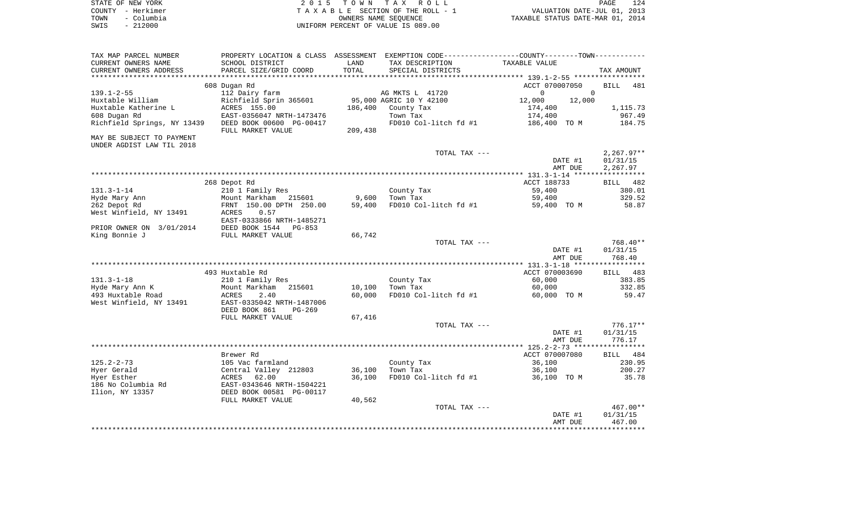| STATE OF NEW YORK  | 2015 TOWN TAX ROLL                    | 124<br>PAGE                      |
|--------------------|---------------------------------------|----------------------------------|
| COUNTY - Herkimer  | T A X A B L E SECTION OF THE ROLL - 1 | VALUATION DATE-JUL 01, 2013      |
| TOWN<br>– Columbia | OWNERS NAME SEOUENCE                  | TAXABLE STATUS DATE-MAR 01, 2014 |
| $-212000$<br>SWIS  | UNIFORM PERCENT OF VALUE IS 089.00    |                                  |

| TAX MAP PARCEL NUMBER                 | PROPERTY LOCATION & CLASS ASSESSMENT EXEMPTION CODE---------------COUNTY--------TOWN---------- |         |                         |                      |                    |
|---------------------------------------|------------------------------------------------------------------------------------------------|---------|-------------------------|----------------------|--------------------|
| CURRENT OWNERS NAME                   | SCHOOL DISTRICT                                                                                | LAND    | TAX DESCRIPTION         | TAXABLE VALUE        |                    |
| CURRENT OWNERS ADDRESS                | PARCEL SIZE/GRID COORD                                                                         | TOTAL   | SPECIAL DISTRICTS       |                      | TAX AMOUNT         |
|                                       |                                                                                                |         |                         |                      |                    |
|                                       | 608 Dugan Rd                                                                                   |         |                         | ACCT 070007050       | <b>BILL</b><br>481 |
| $139.1 - 2 - 55$                      | 112 Dairy farm                                                                                 |         | AG MKTS L 41720         | $\Omega$<br>$\Omega$ |                    |
| Huxtable William                      | Richfield Sprin 365601                                                                         |         | 95,000 AGRIC 10 Y 42100 | 12,000<br>12,000     |                    |
| Huxtable Katherine L                  | ACRES 155.00                                                                                   | 186,400 | County Tax              | 174,400              | 1,115.73           |
| 608 Dugan Rd                          | EAST-0356047 NRTH-1473476                                                                      |         | Town Tax                | 174,400              | 967.49             |
| Richfield Springs, NY 13439           | DEED BOOK 00600 PG-00417<br>FULL MARKET VALUE                                                  | 209,438 | FD010 Col-litch fd #1   | 186,400 TO M         | 184.75             |
| MAY BE SUBJECT TO PAYMENT             |                                                                                                |         |                         |                      |                    |
| UNDER AGDIST LAW TIL 2018             |                                                                                                |         |                         |                      |                    |
|                                       |                                                                                                |         | TOTAL TAX ---           |                      | $2,267.97**$       |
|                                       |                                                                                                |         |                         | DATE #1              | 01/31/15           |
|                                       |                                                                                                |         |                         | AMT DUE              | 2,267.97           |
|                                       |                                                                                                |         |                         |                      |                    |
|                                       | 268 Depot Rd                                                                                   |         |                         | ACCT 188733          | <b>BILL</b><br>482 |
| $131.3 - 1 - 14$                      | 210 1 Family Res                                                                               |         | County Tax              | 59,400               | 380.01             |
| Hyde Mary Ann                         | Mount Markham<br>215601                                                                        | 9,600   | Town Tax                | 59,400               | 329.52             |
| 262 Depot Rd                          | FRNT 150.00 DPTH 250.00                                                                        | 59,400  | FD010 Col-litch fd #1   | 59,400 TO M          | 58.87              |
| West Winfield, NY 13491               | 0.57<br>ACRES                                                                                  |         |                         |                      |                    |
| PRIOR OWNER ON 3/01/2014              | EAST-0333866 NRTH-1485271<br>DEED BOOK 1544<br>PG-853                                          |         |                         |                      |                    |
| King Bonnie J                         | FULL MARKET VALUE                                                                              | 66,742  |                         |                      |                    |
|                                       |                                                                                                |         | TOTAL TAX ---           |                      | 768.40**           |
|                                       |                                                                                                |         |                         | DATE #1              | 01/31/15           |
|                                       |                                                                                                |         |                         | AMT DUE              | 768.40             |
|                                       |                                                                                                |         |                         |                      |                    |
|                                       | 493 Huxtable Rd                                                                                |         |                         | ACCT 070003690       | BILL 483           |
| $131.3 - 1 - 18$                      | 210 1 Family Res                                                                               |         | County Tax              | 60,000               | 383.85             |
| Hyde Mary Ann K                       | 215601<br>Mount Markham                                                                        | 10,100  | Town Tax                | 60,000               | 332.85             |
| 493 Huxtable Road                     | ACRES<br>2.40                                                                                  | 60,000  | FD010 Col-litch fd #1   | 60,000 TO M          | 59.47              |
| West Winfield, NY 13491               | EAST-0335042 NRTH-1487006                                                                      |         |                         |                      |                    |
|                                       | DEED BOOK 861<br>$PG-269$                                                                      |         |                         |                      |                    |
|                                       | FULL MARKET VALUE                                                                              | 67,416  |                         |                      |                    |
|                                       |                                                                                                |         | TOTAL TAX ---           |                      | $776.17**$         |
|                                       |                                                                                                |         |                         | DATE #1              | 01/31/15           |
|                                       |                                                                                                |         |                         | AMT DUE              | 776.17             |
|                                       |                                                                                                |         |                         |                      |                    |
|                                       | Brewer Rd                                                                                      |         |                         | ACCT 070007080       | BILL 484           |
| $125.2 - 2 - 73$                      | 105 Vac farmland                                                                               |         | County Tax              | 36,100               | 230.95             |
| Hyer Gerald                           | Central Valley 212803                                                                          | 36,100  | Town Tax                | 36,100               | 200.27             |
| Hyer Esther                           | ACRES<br>62.00<br>EAST-0343646 NRTH-1504221                                                    | 36,100  | FD010 Col-litch fd #1   | 36,100 TO M          | 35.78              |
| 186 No Columbia Rd<br>Ilion, NY 13357 | DEED BOOK 00581 PG-00117                                                                       |         |                         |                      |                    |
|                                       | FULL MARKET VALUE                                                                              | 40,562  |                         |                      |                    |
|                                       |                                                                                                |         | TOTAL TAX ---           |                      | 467.00**           |
|                                       |                                                                                                |         |                         | DATE #1              | 01/31/15           |
|                                       |                                                                                                |         |                         | AMT DUE              | 467.00             |
|                                       |                                                                                                |         |                         |                      |                    |
|                                       |                                                                                                |         |                         |                      |                    |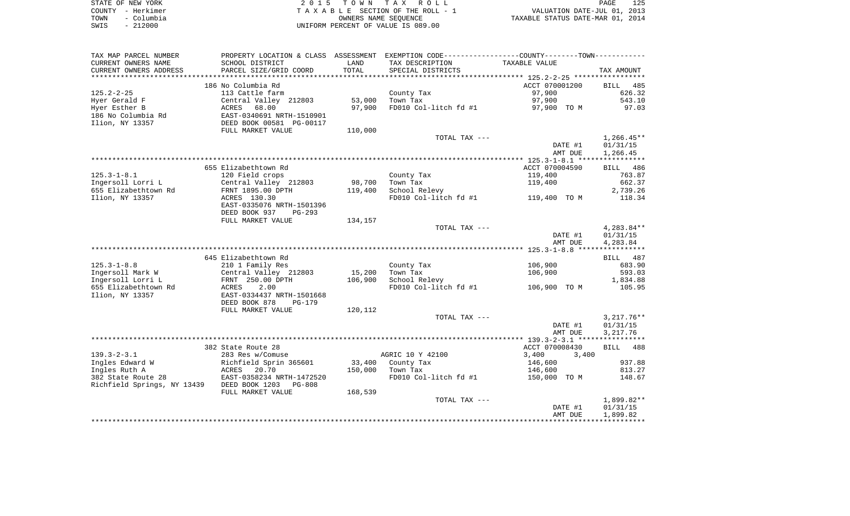|      | STATE OF NEW YORK | 2015 TOWN TAX ROLL                 | PAGE                             | 125 |
|------|-------------------|------------------------------------|----------------------------------|-----|
|      | COUNTY - Herkimer | TAXABLE SECTION OF THE ROLL - 1    | VALUATION DATE-JUL 01, 2013      |     |
| TOWN | - Columbia        | OWNERS NAME SEOUENCE               | TAXABLE STATUS DATE-MAR 01, 2014 |     |
| SWIS | - 212000          | UNIFORM PERCENT OF VALUE IS 089.00 |                                  |     |

| TAX MAP PARCEL NUMBER                             |                                           |         | PROPERTY LOCATION & CLASS ASSESSMENT EXEMPTION CODE----------------COUNTY--------TOWN---------- |                |                      |
|---------------------------------------------------|-------------------------------------------|---------|-------------------------------------------------------------------------------------------------|----------------|----------------------|
| CURRENT OWNERS NAME                               | SCHOOL DISTRICT                           | LAND    | TAX DESCRIPTION                                                                                 | TAXABLE VALUE  |                      |
| CURRENT OWNERS ADDRESS                            | PARCEL SIZE/GRID COORD                    | TOTAL   | SPECIAL DISTRICTS                                                                               |                | TAX AMOUNT           |
| ****************                                  |                                           |         |                                                                                                 |                |                      |
|                                                   | 186 No Columbia Rd                        |         |                                                                                                 | ACCT 070001200 | BILL 485             |
| $125.2 - 2 - 25$                                  | 113 Cattle farm                           |         | County Tax                                                                                      | 97,900         | 626.32               |
| Hyer Gerald F                                     | Central Valley 212803                     | 53,000  | Town Tax                                                                                        | 97,900         | 543.10               |
| Hyer Esther B                                     | ACRES 68.00<br>EAST-0340691 NRTH-1510901  | 97,900  | FD010 Col-litch fd #1 97,900 TO M                                                               |                | 97.03                |
| 186 No Columbia Rd                                |                                           |         |                                                                                                 |                |                      |
| Ilion, NY 13357                                   | DEED BOOK 00581 PG-00117                  |         |                                                                                                 |                |                      |
|                                                   | FULL MARKET VALUE                         | 110,000 |                                                                                                 |                |                      |
|                                                   |                                           |         | TOTAL TAX ---                                                                                   |                | $1,266.45**$         |
|                                                   |                                           |         |                                                                                                 | DATE #1        | 01/31/15             |
|                                                   |                                           |         |                                                                                                 | AMT DUE        | 1,266.45             |
|                                                   |                                           |         |                                                                                                 |                |                      |
|                                                   | 655 Elizabethtown Rd                      |         |                                                                                                 | ACCT 070004590 | BILL 486             |
| $125.3 - 1 - 8.1$                                 | 120 Field crops                           |         | County Tax                                                                                      | 119,400        | 763.87               |
| Ingersoll Lorri L                                 | Central Valley 212803                     | 98,700  | Town Tax                                                                                        | 119,400        | 662.37               |
| 655 Elizabethtown Rd                              | FRNT 1895.00 DPTH                         | 119,400 | School Relevy                                                                                   |                | 2,739.26             |
| Ilion, NY 13357                                   | ACRES 130.30                              |         | FD010 Col-litch $fd$ #1 $119,400$ TO M                                                          |                | 118.34               |
|                                                   | EAST-0335076 NRTH-1501396                 |         |                                                                                                 |                |                      |
|                                                   | DEED BOOK 937<br>$PG-293$                 |         |                                                                                                 |                |                      |
|                                                   | FULL MARKET VALUE                         | 134,157 |                                                                                                 |                |                      |
|                                                   |                                           |         | TOTAL TAX ---                                                                                   | DATE #1        | $4,283.84**$         |
|                                                   |                                           |         |                                                                                                 | AMT DUE        | 01/31/15<br>4,283.84 |
|                                                   |                                           |         |                                                                                                 |                |                      |
|                                                   | 645 Elizabethtown Rd                      |         |                                                                                                 |                | BILL 487             |
| $125.3 - 1 - 8.8$                                 | 210 1 Family Res                          |         | County Tax                                                                                      | 106,900        | 683.90               |
| Ingersoll Mark W                                  |                                           | 15,200  | Town Tax                                                                                        | 106,900        | 593.03               |
| Ingersoll Lorri L                                 | Central Valley 212803<br>FRNT 250.00 DPTH | 106,900 | School Relevy                                                                                   |                | 1,834.88             |
| 655 Elizabethtown Rd                              | ACRES<br>2.00                             |         | FD010 Col-litch fd #1 106,900 TO M                                                              |                | 105.95               |
| Ilion, NY 13357                                   | EAST-0334437 NRTH-1501668                 |         |                                                                                                 |                |                      |
|                                                   | DEED BOOK 878<br>PG-179                   |         |                                                                                                 |                |                      |
|                                                   | FULL MARKET VALUE                         | 120,112 |                                                                                                 |                |                      |
|                                                   |                                           |         | TOTAL TAX ---                                                                                   |                | $3,217.76**$         |
|                                                   |                                           |         |                                                                                                 | DATE #1        | 01/31/15             |
|                                                   |                                           |         |                                                                                                 | AMT DUE        | 3,217.76             |
|                                                   |                                           |         |                                                                                                 |                |                      |
|                                                   | 382 State Route 28                        |         |                                                                                                 | ACCT 070008430 | BILL 488             |
| $139.3 - 2 - 3.1$                                 | 283 Res w/Comuse                          |         | AGRIC 10 Y 42100                                                                                | 3,400<br>3,400 |                      |
| Ingles Edward W                                   | Richfield Sprin 365601<br>ACRES 20.70     |         | 33,400 County Tax                                                                               | 146,600        | 937.88               |
| Ingles Ruth A                                     |                                           | 150,000 | Town Tax                                                                                        | 146,600        | 813.27               |
| 382 State Route 28                                | EAST-0358234 NRTH-1472520                 |         | FD010 Col-litch fd #1                                                                           | 150,000 TO M   | 148.67               |
| Richfield Springs, NY 13439 DEED BOOK 1203 PG-808 |                                           |         |                                                                                                 |                |                      |
|                                                   | FULL MARKET VALUE                         | 168,539 |                                                                                                 |                |                      |
|                                                   |                                           |         | TOTAL TAX ---                                                                                   |                | 1,899.82**           |
|                                                   |                                           |         |                                                                                                 | DATE #1        | 01/31/15             |
|                                                   |                                           |         |                                                                                                 | AMT DUE        | 1,899.82             |
|                                                   |                                           |         |                                                                                                 |                |                      |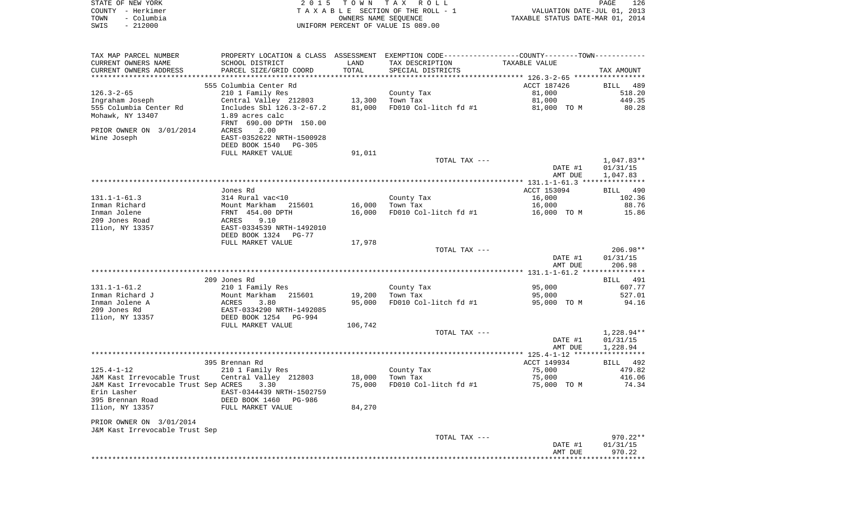|      | STATE OF NEW YORK | 2015 TOWN TAX ROLL                 |                                  | PAGE | 126 |
|------|-------------------|------------------------------------|----------------------------------|------|-----|
|      | COUNTY - Herkimer | TAXABLE SECTION OF THE ROLL - 1    | VALUATION DATE-JUL 01, 2013      |      |     |
| TOWN | – Columbia        | OWNERS NAME SEOUENCE               | TAXABLE STATUS DATE-MAR 01, 2014 |      |     |
| SWIS | $-212000$         | UNIFORM PERCENT OF VALUE IS 089.00 |                                  |      |     |

| TAX MAP PARCEL NUMBER                | PROPERTY LOCATION & CLASS ASSESSMENT EXEMPTION CODE----------------COUNTY--------TOWN----------- |         |                       |                                                    |              |
|--------------------------------------|--------------------------------------------------------------------------------------------------|---------|-----------------------|----------------------------------------------------|--------------|
| CURRENT OWNERS NAME                  | SCHOOL DISTRICT                                                                                  | LAND    | TAX DESCRIPTION       | TAXABLE VALUE                                      |              |
| CURRENT OWNERS ADDRESS               | PARCEL SIZE/GRID COORD                                                                           | TOTAL   | SPECIAL DISTRICTS     |                                                    | TAX AMOUNT   |
|                                      |                                                                                                  |         |                       | ******************** 126.3-2-65 ****************** |              |
|                                      | 555 Columbia Center Rd                                                                           |         |                       | ACCT 187426                                        | BILL 489     |
| $126.3 - 2 - 65$                     | 210 1 Family Res                                                                                 |         | County Tax            | 81,000                                             | 518.20       |
| Ingraham Joseph                      | Central Valley 212803                                                                            | 13,300  | Town Tax              | 81,000                                             | 449.35       |
| 555 Columbia Center Rd               | Includes Sbl 126.3-2-67.2                                                                        | 81,000  | FD010 Col-litch fd #1 | 81,000 TO M                                        | 80.28        |
| Mohawk, NY 13407                     | 1.89 acres calc                                                                                  |         |                       |                                                    |              |
|                                      | FRNT 690.00 DPTH 150.00                                                                          |         |                       |                                                    |              |
| PRIOR OWNER ON 3/01/2014             | 2.00<br>ACRES                                                                                    |         |                       |                                                    |              |
| Wine Joseph                          | EAST-0352622 NRTH-1500928                                                                        |         |                       |                                                    |              |
|                                      | DEED BOOK 1540<br>PG-305                                                                         |         |                       |                                                    |              |
|                                      | FULL MARKET VALUE                                                                                | 91,011  |                       |                                                    |              |
|                                      |                                                                                                  |         | TOTAL TAX ---         |                                                    | 1,047.83**   |
|                                      |                                                                                                  |         |                       | DATE #1                                            | 01/31/15     |
|                                      |                                                                                                  |         |                       | AMT DUE                                            | 1,047.83     |
|                                      |                                                                                                  |         |                       |                                                    |              |
|                                      | Jones Rd                                                                                         |         |                       | ACCT 153094                                        | BILL 490     |
| $131.1 - 1 - 61.3$                   | 314 Rural vac<10                                                                                 |         | County Tax            | 16,000                                             | 102.36       |
| Inman Richard                        | Mount Markham 215601                                                                             | 16,000  | Town Tax              | 16,000                                             | 88.76        |
| Inman Jolene                         | FRNT 454.00 DPTH                                                                                 | 16,000  | FD010 Col-litch fd #1 |                                                    | 15.86        |
| 209 Jones Road                       | ACRES<br>9.10                                                                                    |         |                       | 16,000 TO M                                        |              |
|                                      |                                                                                                  |         |                       |                                                    |              |
| Ilion, NY 13357                      | EAST-0334539 NRTH-1492010                                                                        |         |                       |                                                    |              |
|                                      | DEED BOOK 1324<br>PG-77                                                                          |         |                       |                                                    |              |
|                                      | FULL MARKET VALUE                                                                                | 17,978  |                       |                                                    |              |
|                                      |                                                                                                  |         | TOTAL TAX ---         |                                                    | 206.98**     |
|                                      |                                                                                                  |         |                       | DATE #1                                            | 01/31/15     |
|                                      |                                                                                                  |         |                       | AMT DUE                                            | 206.98       |
|                                      |                                                                                                  |         |                       |                                                    |              |
|                                      | 209 Jones Rd                                                                                     |         |                       |                                                    | BILL 491     |
| $131.1 - 1 - 61.2$                   | 210 1 Family Res                                                                                 |         | County Tax            | 95,000                                             | 607.77       |
| Inman Richard J                      | Mount Markham 215601                                                                             | 19,200  | Town Tax              | 95,000                                             | 527.01       |
| Inman Jolene A                       | ACRES<br>3.80                                                                                    | 95,000  | FD010 Col-litch fd #1 | 95,000 TO M                                        | 94.16        |
| 209 Jones Rd                         | EAST-0334290 NRTH-1492085                                                                        |         |                       |                                                    |              |
| Ilion, NY 13357                      | DEED BOOK 1254<br>PG-994                                                                         |         |                       |                                                    |              |
|                                      | FULL MARKET VALUE                                                                                | 106,742 |                       |                                                    |              |
|                                      |                                                                                                  |         | TOTAL TAX ---         |                                                    | $1,228.94**$ |
|                                      |                                                                                                  |         |                       | DATE #1                                            | 01/31/15     |
|                                      |                                                                                                  |         |                       | AMT DUE                                            | 1,228.94     |
|                                      |                                                                                                  |         |                       |                                                    |              |
|                                      | 395 Brennan Rd                                                                                   |         |                       | ACCT 149934                                        | BILL 492     |
| $125.4 - 1 - 12$                     | 210 1 Family Res                                                                                 |         | County Tax            | 75,000                                             | 479.82       |
| J&M Kast Irrevocable Trust           | Central Valley 212803                                                                            | 18,000  | Town Tax              | 75,000                                             | 416.06       |
| J&M Kast Irrevocable Trust Sep ACRES | 3.30                                                                                             | 75,000  | FD010 Col-litch fd #1 | 75,000 TO M                                        | 74.34        |
| Erin Lasher                          | EAST-0344439 NRTH-1502759                                                                        |         |                       |                                                    |              |
| 395 Brennan Road                     | DEED BOOK 1460<br>PG-986                                                                         |         |                       |                                                    |              |
| Ilion, NY 13357                      | FULL MARKET VALUE                                                                                | 84,270  |                       |                                                    |              |
|                                      |                                                                                                  |         |                       |                                                    |              |
| PRIOR OWNER ON 3/01/2014             |                                                                                                  |         |                       |                                                    |              |
| J&M Kast Irrevocable Trust Sep       |                                                                                                  |         |                       |                                                    |              |
|                                      |                                                                                                  |         | TOTAL TAX ---         |                                                    | 970.22**     |
|                                      |                                                                                                  |         |                       | DATE #1                                            | 01/31/15     |
|                                      |                                                                                                  |         |                       | AMT DUE                                            | 970.22       |
|                                      |                                                                                                  |         |                       |                                                    | *********    |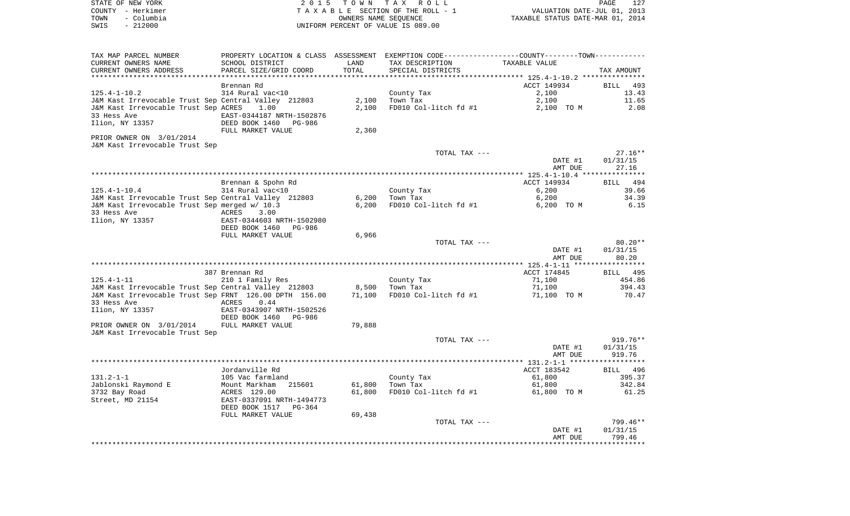| STATE OF NEW YORK<br>COUNTY - Herkimer                                                                                    |                                                    |                      | 2015 TOWN TAX ROLL<br>TAXABLE SECTION OF THE ROLL - 1 |                                                                 | PAGE<br>127        |
|---------------------------------------------------------------------------------------------------------------------------|----------------------------------------------------|----------------------|-------------------------------------------------------|-----------------------------------------------------------------|--------------------|
| TOWN<br>– Columbia                                                                                                        |                                                    | OWNERS NAME SEQUENCE |                                                       | VALUATION DATE-JUL 01, 2013<br>TAXABLE STATUS DATE-MAR 01, 2014 |                    |
| $-212000$<br>SWIS                                                                                                         |                                                    |                      | UNIFORM PERCENT OF VALUE IS 089.00                    |                                                                 |                    |
| TAX MAP PARCEL NUMBER       PROPERTY LOCATION & CLASS ASSESSMENT EXEMPTION CODE--------------COUNTY--------TOWN---------- |                                                    |                      |                                                       |                                                                 |                    |
| CURRENT OWNERS NAME                                                                                                       | SCHOOL DISTRICT                                    | LAND                 | TAX DESCRIPTION                                       | TAXABLE VALUE                                                   |                    |
| CURRENT OWNERS ADDRESS                                                                                                    | PARCEL SIZE/GRID COORD                             | TOTAL                | SPECIAL DISTRICTS                                     |                                                                 | TAX AMOUNT         |
|                                                                                                                           | Brennan Rd                                         |                      |                                                       | ACCT 149934                                                     | BILL 493           |
| 125.4-1-10.2                                                                                                              | 314 Rural vac<10                                   |                      | County Tax                                            | 2,100                                                           | 13.43              |
| J&M Kast Irrevocable Trust Sep Central Valley  212803                                                                     |                                                    |                      | County Ta<br>2,100    Town Tax                        | 2,100                                                           | 11.65              |
| J&M Kast Irrevocable Trust Sep ACRES 1.00<br>33 Hess Ave<br>Ilion, NY 13357                                               | EAST-0344187 NRTH-1502876<br>DEED BOOK 1460 PG-986 | 2,100                | FD010 Col-litch fd #1                                 | 2,100 TO M                                                      | 2.08               |
| PRIOR OWNER ON 3/01/2014                                                                                                  | FULL MARKET VALUE                                  | 2,360                |                                                       |                                                                 |                    |
| J&M Kast Irrevocable Trust Sep                                                                                            |                                                    |                      | TOTAL TAX ---                                         |                                                                 | $27.16**$          |
|                                                                                                                           |                                                    |                      |                                                       | DATE #1                                                         | 01/31/15           |
|                                                                                                                           |                                                    |                      |                                                       | AMT DUE                                                         | 27.16              |
|                                                                                                                           | Brennan & Spohn Rd                                 |                      |                                                       | ACCT 149934                                                     | BILL 494           |
| 125.4-1-10.4                                                                                                              | 314 Rural vac<10                                   |                      | County Tax<br>Town Tax                                | 6,200                                                           | 39.66              |
| J&M Kast Irrevocable Trust Sep Central Valley  212803                                                                     |                                                    | 6,200                | Town Tax                                              | 6,200                                                           | 34.39              |
| J&M Kast Irrevocable Trust Sep merged w/ 10.3<br>33 Hess Ave                                                              | ACRES 3.00<br>EAST-0344603 NRTH-1502980            | 6,200                | FD010 Col-litch fd #1                                 | 6,200 TO M                                                      | 6.15               |
| Ilion, NY 13357                                                                                                           | DEED BOOK 1460 PG-986<br>FULL MARKET VALUE         | 6,966                |                                                       |                                                                 |                    |
|                                                                                                                           |                                                    |                      | TOTAL TAX ---                                         |                                                                 | $80.20**$          |
|                                                                                                                           |                                                    |                      |                                                       | DATE #1<br>AMT DUE                                              | 01/31/15<br>80.20  |
|                                                                                                                           |                                                    |                      |                                                       | ACCT 174845                                                     |                    |
| 125.4-1-11                                                                                                                | 387 Brennan Rd<br>210 1 Family Res                 |                      |                                                       | 71,100                                                          | BILL 495<br>454.86 |
| J&M Kast Irrevocable Trust Sep Central Valley 212803 8,500 Town Tax                                                       |                                                    |                      | County Tax<br>Town Tay                                | 71,100                                                          | 394.43             |
| J&M Kast Irrevocable Trust Sep FRNT 126.00 DPTH 156.00 71,100<br>33 Hess Ave                                              | ACRES 0.44                                         |                      | FD010 Col-litch $fd$ #1 $71,100$ TO M                 |                                                                 | 70.47              |
| Ilion, NY 13357                                                                                                           | EAST-0343907 NRTH-1502526<br>DEED BOOK 1460 PG-986 |                      |                                                       |                                                                 |                    |
| PRIOR OWNER ON 3/01/2014 FULL MARKET VALUE                                                                                |                                                    | 79,888               |                                                       |                                                                 |                    |
| J&M Kast Irrevocable Trust Sep                                                                                            |                                                    |                      | TOTAL TAX ---                                         |                                                                 | 919.76**           |
|                                                                                                                           |                                                    |                      |                                                       | DATE #1                                                         | 01/31/15           |
|                                                                                                                           |                                                    |                      |                                                       | AMT DUE                                                         | 919.76             |
|                                                                                                                           | Jordanville Rd                                     |                      |                                                       | ACCT 183542                                                     | BILL 496           |
| 131.2-1-1                                                                                                                 | 105 Vac farmland                                   |                      | County Tax                                            | 61,800                                                          | 395.37             |
| Jablonski Raymond E                                                                                                       | Mount Markham<br>215601                            | 61,800               | Town Tax                                              | 61,800                                                          | 342.84             |
| 3732 Bay Road<br>Street, MD 21154                                                                                         | ACRES 129.00<br>EAST-0337091 NRTH-1494773          | 61,800               | FD010 Col-litch fd #1                                 | 61,800 TO M                                                     | 61.25              |
|                                                                                                                           | DEED BOOK 1517<br>PG-364<br>FULL MARKET VALUE      | 69,438               |                                                       |                                                                 |                    |
|                                                                                                                           |                                                    |                      | TOTAL TAX ---                                         |                                                                 | 799.46**           |
|                                                                                                                           |                                                    |                      |                                                       | DATE #1                                                         | 01/31/15           |
|                                                                                                                           |                                                    |                      |                                                       | AMT DUE                                                         | 799.46             |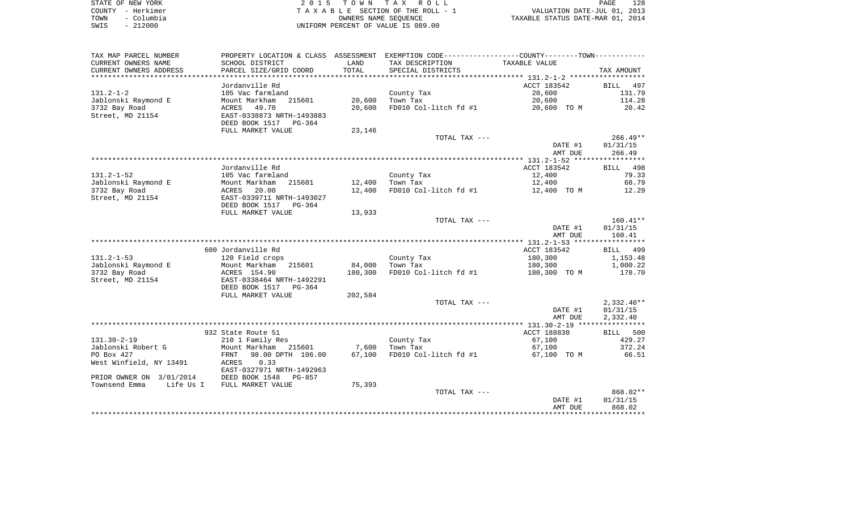|      | STATE OF NEW YORK | 2015 TOWN TAX ROLL                 | 128<br>PAGE                      |
|------|-------------------|------------------------------------|----------------------------------|
|      | COUNTY - Herkimer | TAXABLE SECTION OF THE ROLL - 1    | VALUATION DATE-JUL 01, 2013      |
| TOWN | – Columbia        | OWNERS NAME SEOUENCE               | TAXABLE STATUS DATE-MAR 01, 2014 |
| SWIS | $-212000$         | UNIFORM PERCENT OF VALUE IS 089.00 |                                  |

| TAX MAP PARCEL NUMBER             | PROPERTY LOCATION & CLASS ASSESSMENT        |         | EXEMPTION CODE----------------COUNTY-------TOWN----------- |               |                          |
|-----------------------------------|---------------------------------------------|---------|------------------------------------------------------------|---------------|--------------------------|
| CURRENT OWNERS NAME               | SCHOOL DISTRICT                             | LAND    | TAX DESCRIPTION                                            | TAXABLE VALUE |                          |
| CURRENT OWNERS ADDRESS            | PARCEL SIZE/GRID COORD                      | TOTAL   | SPECIAL DISTRICTS                                          |               | TAX AMOUNT               |
|                                   | Jordanville Rd                              |         |                                                            | ACCT 183542   | 497<br>BILL              |
| $131.2 - 1 - 2$                   | 105 Vac farmland                            |         | County Tax                                                 | 20,600        | 131.79                   |
| Jablonski Raymond E               | 215601<br>Mount Markham                     | 20,600  | Town Tax                                                   | 20,600        | 114.28                   |
| 3732 Bay Road                     | 49.70<br>ACRES                              | 20,600  | FD010 Col-litch fd #1                                      | 20,600 TO M   | 20.42                    |
| Street, MD 21154                  | EAST-0338873 NRTH-1493883                   |         |                                                            |               |                          |
|                                   | DEED BOOK 1517<br>PG-364                    |         |                                                            |               |                          |
|                                   | FULL MARKET VALUE                           | 23,146  |                                                            |               |                          |
|                                   |                                             |         | TOTAL TAX ---                                              |               | $266.49**$               |
|                                   |                                             |         |                                                            | DATE #1       | 01/31/15                 |
|                                   |                                             |         |                                                            | AMT DUE       | 266.49                   |
|                                   |                                             |         |                                                            |               |                          |
|                                   | Jordanville Rd                              |         |                                                            | ACCT 183542   | BILL 498                 |
| $131.2 - 1 - 52$                  | 105 Vac farmland                            |         | County Tax                                                 | 12,400        | 79.33                    |
| Jablonski Raymond E               | Mount Markham<br>215601                     | 12,400  | Town Tax                                                   | 12,400        | 68.79                    |
| 3732 Bay Road<br>Street, MD 21154 | ACRES<br>20.00<br>EAST-0339711 NRTH-1493027 | 12,400  | FD010 Col-litch fd #1                                      | 12,400 TO M   | 12.29                    |
|                                   | DEED BOOK 1517<br>PG-364                    |         |                                                            |               |                          |
|                                   | FULL MARKET VALUE                           | 13,933  |                                                            |               |                          |
|                                   |                                             |         | TOTAL TAX ---                                              |               | $160.41**$               |
|                                   |                                             |         |                                                            | DATE #1       | 01/31/15                 |
|                                   |                                             |         |                                                            | AMT DUE       | 160.41                   |
|                                   |                                             |         |                                                            |               |                          |
|                                   | 600 Jordanville Rd                          |         |                                                            | ACCT 183542   | BILL 499                 |
| $131.2 - 1 - 53$                  | 120 Field crops                             |         | County Tax                                                 | 180,300       | 1,153.48                 |
| Jablonski Raymond E               | Mount Markham<br>215601                     | 84,000  | Town Tax                                                   | 180,300       | 1,000.22                 |
| 3732 Bay Road                     | ACRES 154.90                                | 180,300 | FD010 Col-litch fd #1                                      | 180,300 TO M  | 178.70                   |
| Street, MD 21154                  | EAST-0338464 NRTH-1492291                   |         |                                                            |               |                          |
|                                   | DEED BOOK 1517<br>PG-364                    |         |                                                            |               |                          |
|                                   | FULL MARKET VALUE                           | 202,584 |                                                            |               |                          |
|                                   |                                             |         | TOTAL TAX ---                                              | DATE #1       | $2,332.40**$<br>01/31/15 |
|                                   |                                             |         |                                                            | AMT DUE       | 2,332.40                 |
|                                   |                                             |         |                                                            |               |                          |
|                                   | 932 State Route 51                          |         |                                                            | ACCT 188830   | BILL 500                 |
| $131.30 - 2 - 19$                 | 210 1 Family Res                            |         | County Tax                                                 | 67,100        | 429.27                   |
| Jablonski Robert G                | Mount Markham<br>215601                     | 7,600   | Town Tax                                                   | 67,100        | 372.24                   |
| PO Box 427                        | 98.00 DPTH 106.00<br>FRNT                   | 67,100  | FD010 Col-litch fd #1                                      | 67,100 TO M   | 66.51                    |
| West Winfield, NY 13491           | 0.33<br>ACRES                               |         |                                                            |               |                          |
|                                   | EAST-0327971 NRTH-1492963                   |         |                                                            |               |                          |
| PRIOR OWNER ON 3/01/2014          | DEED BOOK 1548<br>$PG-857$                  |         |                                                            |               |                          |
| Townsend Emma<br>Life Us I        | FULL MARKET VALUE                           | 75,393  |                                                            |               |                          |
|                                   |                                             |         | TOTAL TAX ---                                              |               | 868.02**                 |
|                                   |                                             |         |                                                            | DATE #1       | 01/31/15                 |
|                                   |                                             |         |                                                            | AMT DUE       | 868.02                   |
|                                   |                                             |         |                                                            |               |                          |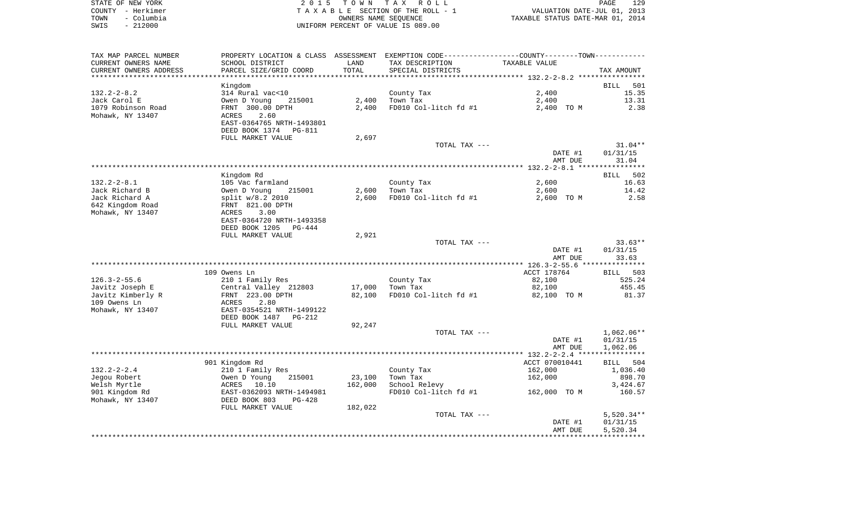| STATE OF NEW YORK |                   | 2015 TOWN TAX ROLL                    | 129<br>PAGE                      |
|-------------------|-------------------|---------------------------------------|----------------------------------|
|                   | COUNTY - Herkimer | T A X A B L E SECTION OF THE ROLL - 1 | VALUATION DATE-JUL 01, 2013      |
| TOWN              | - Columbia        | OWNERS NAME SEOUENCE                  | TAXABLE STATUS DATE-MAR 01, 2014 |
| SWIS              | $-212000$         | UNIFORM PERCENT OF VALUE IS 089.00    |                                  |

| TAX MAP PARCEL NUMBER  | PROPERTY LOCATION & CLASS ASSESSMENT EXEMPTION CODE----------------COUNTY--------TOWN----------- |         |                                  |                                               |                    |
|------------------------|--------------------------------------------------------------------------------------------------|---------|----------------------------------|-----------------------------------------------|--------------------|
| CURRENT OWNERS NAME    | SCHOOL DISTRICT                                                                                  | LAND    | TAX DESCRIPTION                  | TAXABLE VALUE                                 |                    |
| CURRENT OWNERS ADDRESS | PARCEL SIZE/GRID COORD                                                                           | TOTAL   | SPECIAL DISTRICTS                |                                               | TAX AMOUNT         |
|                        |                                                                                                  |         |                                  |                                               |                    |
|                        | Kingdom                                                                                          |         |                                  |                                               | <b>BILL</b><br>501 |
| $132.2 - 2 - 8.2$      | 314 Rural vac<10                                                                                 |         | County Tax                       | 2,400                                         | 15.35              |
| Jack Carol E           | Owen D Young<br>215001                                                                           | 2,400   | Town Tax                         | 2,400                                         | 13.31              |
|                        |                                                                                                  |         |                                  |                                               |                    |
| 1079 Robinson Road     | FRNT 300.00 DPTH                                                                                 | 2,400   | FD010 Col-litch fd #1            | 2,400 TO M                                    | 2.38               |
| Mohawk, NY 13407       | 2.60<br>ACRES                                                                                    |         |                                  |                                               |                    |
|                        | EAST-0364765 NRTH-1493801                                                                        |         |                                  |                                               |                    |
|                        | DEED BOOK 1374<br>PG-811                                                                         |         |                                  |                                               |                    |
|                        | FULL MARKET VALUE                                                                                | 2,697   |                                  |                                               |                    |
|                        |                                                                                                  |         | TOTAL TAX ---                    |                                               | $31.04**$          |
|                        |                                                                                                  |         |                                  | DATE #1                                       | 01/31/15           |
|                        |                                                                                                  |         |                                  | AMT DUE                                       | 31.04              |
|                        |                                                                                                  |         |                                  |                                               |                    |
|                        | Kingdom Rd                                                                                       |         |                                  |                                               | 502<br>BILL        |
| $132.2 - 2 - 8.1$      | 105 Vac farmland                                                                                 |         | County Tax                       | 2,600                                         | 16.63              |
| Jack Richard B         | Owen D Young<br>215001                                                                           | 2,600   | Town Tax                         | 2,600                                         | 14.42              |
| Jack Richard A         | split w/8.2 2010                                                                                 | 2,600   | FD010 Col-litch fd #1            | 2,600 TO M                                    | 2.58               |
| 642 Kingdom Road       | FRNT 821.00 DPTH                                                                                 |         |                                  |                                               |                    |
| Mohawk, NY 13407       | ACRES<br>3.00                                                                                    |         |                                  |                                               |                    |
|                        |                                                                                                  |         |                                  |                                               |                    |
|                        | EAST-0364720 NRTH-1493358                                                                        |         |                                  |                                               |                    |
|                        | DEED BOOK 1205<br>$PG-444$                                                                       |         |                                  |                                               |                    |
|                        | FULL MARKET VALUE                                                                                | 2,921   |                                  |                                               |                    |
|                        |                                                                                                  |         | TOTAL TAX ---                    |                                               | $33.63**$          |
|                        |                                                                                                  |         |                                  | DATE #1                                       | 01/31/15           |
|                        |                                                                                                  |         |                                  | AMT DUE                                       | 33.63              |
|                        | *************                                                                                    |         | ******************************** | *************** 126.3-2-55.6 **************** |                    |
|                        | 109 Owens Ln                                                                                     |         |                                  | ACCT 178764                                   | BILL 503           |
| $126.3 - 2 - 55.6$     | 210 1 Family Res                                                                                 |         | County Tax                       | 82,100                                        | 525.24             |
| Javitz Joseph E        | Central Valley 212803                                                                            | 17,000  | Town Tax                         | 82,100                                        | 455.45             |
| Javitz Kimberly R      | FRNT 223.00 DPTH                                                                                 | 82,100  | FD010 Col-litch fd #1            | 82,100 TO M                                   | 81.37              |
| 109 Owens Ln           | 2.80<br>ACRES                                                                                    |         |                                  |                                               |                    |
| Mohawk, NY 13407       | EAST-0354521 NRTH-1499122                                                                        |         |                                  |                                               |                    |
|                        | DEED BOOK 1487<br>PG-212                                                                         |         |                                  |                                               |                    |
|                        | FULL MARKET VALUE                                                                                | 92,247  |                                  |                                               |                    |
|                        |                                                                                                  |         | TOTAL TAX ---                    |                                               | $1,062.06**$       |
|                        |                                                                                                  |         |                                  |                                               |                    |
|                        |                                                                                                  |         |                                  | DATE #1                                       | 01/31/15           |
|                        |                                                                                                  |         |                                  | AMT DUE                                       | 1,062.06           |
|                        |                                                                                                  |         |                                  |                                               |                    |
|                        | 901 Kingdom Rd                                                                                   |         |                                  | ACCT 070010441                                | 504<br>BILL        |
| $132.2 - 2 - 2.4$      | 210 1 Family Res                                                                                 |         | County Tax                       | 162,000                                       | 1,036.40           |
| Jegou Robert           | 215001<br>Owen D Young                                                                           | 23,100  | Town Tax                         | 162,000                                       | 898.70             |
| Welsh Myrtle           | ACRES 10.10                                                                                      | 162,000 | School Relevy                    |                                               | 3,424.67           |
| 901 Kingdom Rd         | EAST-0362093 NRTH-1494981                                                                        |         | FD010 Col-litch fd #1            | 162,000 TO M                                  | 160.57             |
| Mohawk, NY 13407       | DEED BOOK 803<br>$PG-428$                                                                        |         |                                  |                                               |                    |
|                        | FULL MARKET VALUE                                                                                | 182,022 |                                  |                                               |                    |
|                        |                                                                                                  |         | TOTAL TAX ---                    |                                               | $5,520.34**$       |
|                        |                                                                                                  |         |                                  | DATE #1                                       | 01/31/15           |
|                        |                                                                                                  |         |                                  | AMT DUE                                       | 5,520.34           |
|                        |                                                                                                  |         |                                  |                                               |                    |
|                        |                                                                                                  |         |                                  |                                               |                    |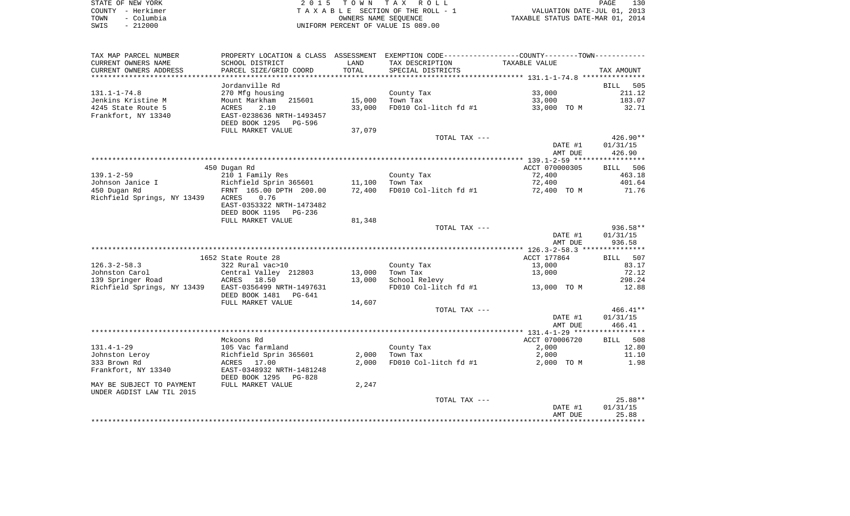|      | STATE OF NEW YORK | 2015 TOWN TAX ROLL                 | 130<br><b>PAGE</b>               |
|------|-------------------|------------------------------------|----------------------------------|
|      | COUNTY - Herkimer | TAXABLE SECTION OF THE ROLL - 1    | VALUATION DATE-JUL 01, 2013      |
| TOWN | - Columbia        | OWNERS NAME SEOUENCE               | TAXABLE STATUS DATE-MAR 01, 2014 |
| SWIS | $-212000$         | UNIFORM PERCENT OF VALUE IS 089.00 |                                  |

| TAX MAP PARCEL NUMBER       |                           |        | PROPERTY LOCATION & CLASS ASSESSMENT EXEMPTION CODE---------------COUNTY-------TOWN---------- |                |             |
|-----------------------------|---------------------------|--------|-----------------------------------------------------------------------------------------------|----------------|-------------|
| CURRENT OWNERS NAME         | SCHOOL DISTRICT           | LAND   | TAX DESCRIPTION                                                                               | TAXABLE VALUE  |             |
| CURRENT OWNERS ADDRESS      | PARCEL SIZE/GRID COORD    | TOTAL  | SPECIAL DISTRICTS                                                                             |                | TAX AMOUNT  |
|                             |                           |        |                                                                                               |                |             |
|                             | Jordanville Rd            |        |                                                                                               |                | BILL<br>505 |
| $131.1 - 1 - 74.8$          | 270 Mfg housing           |        | County Tax                                                                                    | 33,000         | 211.12      |
| Jenkins Kristine M          | Mount Markham<br>215601   | 15,000 | Town Tax                                                                                      | 33,000         | 183.07      |
| 4245 State Route 5          | 2.10<br>ACRES             | 33,000 | FD010 Col-litch fd #1                                                                         | 33,000 TO M    | 32.71       |
| Frankfort, NY 13340         | EAST-0238636 NRTH-1493457 |        |                                                                                               |                |             |
|                             | DEED BOOK 1295<br>PG-596  |        |                                                                                               |                |             |
|                             | FULL MARKET VALUE         | 37,079 |                                                                                               |                |             |
|                             |                           |        | TOTAL TAX ---                                                                                 |                | 426.90**    |
|                             |                           |        |                                                                                               | DATE #1        | 01/31/15    |
|                             |                           |        |                                                                                               | AMT DUE        | 426.90      |
|                             |                           |        |                                                                                               |                |             |
|                             | 450 Dugan Rd              |        |                                                                                               | ACCT 070000305 | BILL 506    |
| $139.1 - 2 - 59$            |                           |        |                                                                                               | 72,400         | 463.18      |
|                             | 210 1 Family Res          |        | County Tax                                                                                    |                |             |
| Johnson Janice I            | Richfield Sprin 365601    | 11,100 | Town Tax                                                                                      | 72,400         | 401.64      |
| 450 Dugan Rd                | FRNT 165.00 DPTH 200.00   | 72,400 | FD010 Col-litch fd #1                                                                         | 72,400 TO M    | 71.76       |
| Richfield Springs, NY 13439 | ACRES<br>0.76             |        |                                                                                               |                |             |
|                             | EAST-0353322 NRTH-1473482 |        |                                                                                               |                |             |
|                             | DEED BOOK 1195<br>PG-236  |        |                                                                                               |                |             |
|                             | FULL MARKET VALUE         | 81,348 |                                                                                               |                |             |
|                             |                           |        | TOTAL TAX ---                                                                                 |                | $936.58**$  |
|                             |                           |        |                                                                                               | DATE #1        | 01/31/15    |
|                             |                           |        |                                                                                               | AMT DUE        | 936.58      |
|                             |                           |        |                                                                                               |                |             |
|                             | 1652 State Route 28       |        |                                                                                               | ACCT 177864    | 507<br>BILL |
| $126.3 - 2 - 58.3$          | 322 Rural vac>10          |        | County Tax                                                                                    | 13,000         | 83.17       |
| Johnston Carol              | Central Valley 212803     | 13,000 | Town Tax                                                                                      | 13,000         | 72.12       |
| 139 Springer Road           | ACRES<br>18.50            | 13,000 | School Relevy                                                                                 |                | 298.24      |
| Richfield Springs, NY 13439 | EAST-0356499 NRTH-1497631 |        | FD010 Col-litch fd #1                                                                         | 13,000 TO M    | 12.88       |
|                             | DEED BOOK 1481<br>PG-641  |        |                                                                                               |                |             |
|                             | FULL MARKET VALUE         | 14,607 |                                                                                               |                |             |
|                             |                           |        | TOTAL TAX ---                                                                                 |                | $466.41**$  |
|                             |                           |        |                                                                                               | DATE #1        | 01/31/15    |
|                             |                           |        |                                                                                               | AMT DUE        | 466.41      |
|                             |                           |        |                                                                                               |                |             |
|                             | Mckoons Rd                |        |                                                                                               | ACCT 070006720 | BILL 508    |
| $131.4 - 1 - 29$            | 105 Vac farmland          |        | County Tax                                                                                    | 2,000          | 12.80       |
| Johnston Leroy              | Richfield Sprin 365601    | 2,000  | Town Tax                                                                                      | 2,000          | 11.10       |
| 333 Brown Rd                | ACRES 17.00               | 2,000  | FD010 Col-litch fd #1                                                                         | 2,000 TO M     | 1.98        |
| Frankfort, NY 13340         | EAST-0348932 NRTH-1481248 |        |                                                                                               |                |             |
|                             | DEED BOOK 1295<br>PG-828  |        |                                                                                               |                |             |
| MAY BE SUBJECT TO PAYMENT   | FULL MARKET VALUE         | 2,247  |                                                                                               |                |             |
| UNDER AGDIST LAW TIL 2015   |                           |        |                                                                                               |                |             |
|                             |                           |        | TOTAL TAX ---                                                                                 |                | 25.88**     |
|                             |                           |        |                                                                                               | DATE #1        | 01/31/15    |
|                             |                           |        |                                                                                               | AMT DUE        | 25.88       |
|                             |                           |        |                                                                                               |                |             |
|                             |                           |        |                                                                                               |                |             |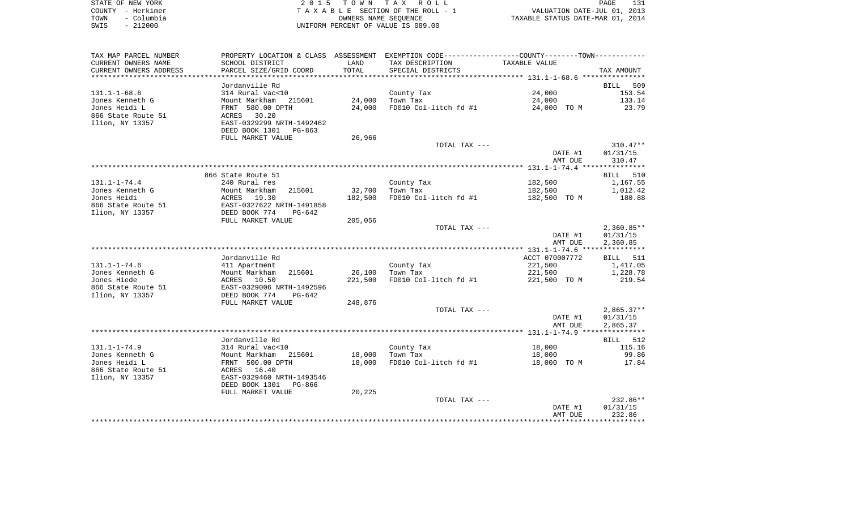|      | STATE OF NEW YORK | 2015 TOWN TAX ROLL                 | PAGE                             |
|------|-------------------|------------------------------------|----------------------------------|
|      | COUNTY – Herkimer | TAXABLE SECTION OF THE ROLL - 1    | VALUATION DATE-JUL 01, 2013      |
| TOWN | – Columbia        | OWNERS NAME SEOUENCE               | TAXABLE STATUS DATE-MAR 01, 2014 |
| SWIS | $-212000$         | UNIFORM PERCENT OF VALUE IS 089.00 |                                  |

| TAX MAP PARCEL NUMBER  |                           |                | PROPERTY LOCATION & CLASS ASSESSMENT EXEMPTION CODE----------------COUNTY--------TOWN----------- |                |                    |
|------------------------|---------------------------|----------------|--------------------------------------------------------------------------------------------------|----------------|--------------------|
| CURRENT OWNERS NAME    | SCHOOL DISTRICT           | LAND           | TAX DESCRIPTION                                                                                  | TAXABLE VALUE  |                    |
| CURRENT OWNERS ADDRESS | PARCEL SIZE/GRID COORD    | TOTAL          | SPECIAL DISTRICTS                                                                                |                | TAX AMOUNT         |
| *******************    | *********************     | ************** |                                                                                                  |                |                    |
|                        | Jordanville Rd            |                |                                                                                                  |                | <b>BILL</b><br>509 |
| $131.1 - 1 - 68.6$     | 314 Rural vac<10          |                | County Tax                                                                                       | 24,000         | 153.54             |
| Jones Kenneth G        | Mount Markham<br>215601   | 24,000         | Town Tax                                                                                         | 24,000         | 133.14             |
| Jones Heidi L          | FRNT 580.00 DPTH          | 24,000         | FD010 Col-litch fd #1                                                                            | 24,000 TO M    | 23.79              |
| 866 State Route 51     | 30.20<br>ACRES            |                |                                                                                                  |                |                    |
| Ilion, NY 13357        | EAST-0329299 NRTH-1492462 |                |                                                                                                  |                |                    |
|                        | DEED BOOK 1301<br>PG-863  |                |                                                                                                  |                |                    |
|                        | FULL MARKET VALUE         | 26,966         |                                                                                                  |                |                    |
|                        |                           |                | TOTAL TAX ---                                                                                    |                | $310.47**$         |
|                        |                           |                |                                                                                                  | DATE #1        | 01/31/15           |
|                        |                           |                |                                                                                                  | AMT DUE        | 310.47             |
|                        |                           |                |                                                                                                  |                |                    |
|                        | 866 State Route 51        |                |                                                                                                  |                | BILL 510           |
| $131.1 - 1 - 74.4$     | 240 Rural res             |                | County Tax                                                                                       | 182,500        | 1,167.55           |
| Jones Kenneth G        | Mount Markham<br>215601   | 32,700         | Town Tax                                                                                         | 182,500        | 1,012.42           |
| Jones Heidi            | 19.30<br>ACRES            | 182,500        | FD010 Col-litch fd #1                                                                            | 182,500 TO M   | 180.88             |
| 866 State Route 51     | EAST-0327622 NRTH-1491858 |                |                                                                                                  |                |                    |
| Ilion, NY 13357        | DEED BOOK 774<br>$PG-642$ | 205,056        |                                                                                                  |                |                    |
|                        | FULL MARKET VALUE         |                | TOTAL TAX ---                                                                                    |                | $2,360.85**$       |
|                        |                           |                |                                                                                                  | DATE #1        | 01/31/15           |
|                        |                           |                |                                                                                                  | AMT DUE        | 2,360.85           |
|                        |                           |                |                                                                                                  |                |                    |
|                        | Jordanville Rd            |                |                                                                                                  | ACCT 070007772 | 511<br>BILL        |
| $131.1 - 1 - 74.6$     | 411 Apartment             |                | County Tax                                                                                       | 221,500        | 1,417.05           |
| Jones Kenneth G        | 215601<br>Mount Markham   | 26,100         | Town Tax                                                                                         | 221,500        | 1,228.78           |
| Jones Hiede            | 10.50<br>ACRES            | 221,500        | FD010 Col-litch fd #1                                                                            | 221,500 TO M   | 219.54             |
| 866 State Route 51     | EAST-0329006 NRTH-1492596 |                |                                                                                                  |                |                    |
| Ilion, NY 13357        | DEED BOOK 774<br>$PG-642$ |                |                                                                                                  |                |                    |
|                        | FULL MARKET VALUE         | 248,876        |                                                                                                  |                |                    |
|                        |                           |                | TOTAL TAX ---                                                                                    |                | $2,865.37**$       |
|                        |                           |                |                                                                                                  | DATE #1        | 01/31/15           |
|                        |                           |                |                                                                                                  | AMT DUE        | 2,865.37           |
|                        |                           |                |                                                                                                  |                |                    |
|                        | Jordanville Rd            |                |                                                                                                  |                | 512<br>BILL        |
| $131.1 - 1 - 74.9$     | 314 Rural vac<10          |                | County Tax                                                                                       | 18,000         | 115.16             |
| Jones Kenneth G        | Mount Markham<br>215601   | 18,000         | Town Tax                                                                                         | 18,000         | 99.86              |
| Jones Heidi L          | FRNT 500.00 DPTH          | 18,000         | FD010 Col-litch fd #1                                                                            | 18,000 TO M    | 17.84              |
| 866 State Route 51     | 16.40<br>ACRES            |                |                                                                                                  |                |                    |
| Ilion, NY 13357        | EAST-0329460 NRTH-1493546 |                |                                                                                                  |                |                    |
|                        | DEED BOOK 1301<br>PG-866  |                |                                                                                                  |                |                    |
|                        | FULL MARKET VALUE         | 20,225         |                                                                                                  |                |                    |
|                        |                           |                | TOTAL TAX ---                                                                                    |                | 232.86**           |
|                        |                           |                |                                                                                                  | DATE #1        | 01/31/15           |
|                        |                           |                |                                                                                                  | AMT DUE        | 232.86             |
|                        |                           |                |                                                                                                  |                |                    |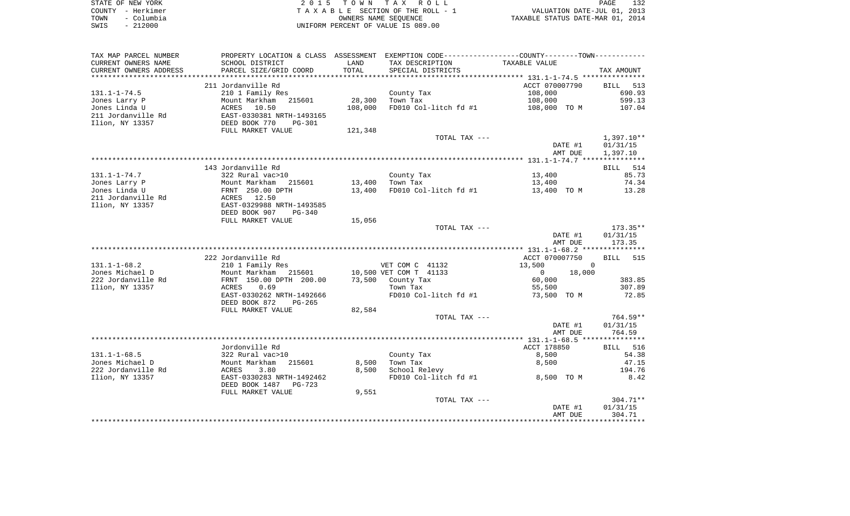| STATE OF NEW YORK  | 2015 TOWN TAX ROLL                 | 132<br>PAGE                      |
|--------------------|------------------------------------|----------------------------------|
| COUNTY – Herkimer  | TAXABLE SECTION OF THE ROLL - 1    | VALUATION DATE-JUL 01, 2013      |
| – Columbia<br>TOWN | OWNERS NAME SEOUENCE               | TAXABLE STATUS DATE-MAR 01, 2014 |
| $-212000$<br>SWIS  | UNIFORM PERCENT OF VALUE IS 089.00 |                                  |

| TAX MAP PARCEL NUMBER  |                                |         | PROPERTY LOCATION & CLASS ASSESSMENT EXEMPTION CODE---------------COUNTY-------TOWN---------- |                        |                    |
|------------------------|--------------------------------|---------|-----------------------------------------------------------------------------------------------|------------------------|--------------------|
| CURRENT OWNERS NAME    | SCHOOL DISTRICT                | LAND    | TAX DESCRIPTION                                                                               | TAXABLE VALUE          |                    |
| CURRENT OWNERS ADDRESS | PARCEL SIZE/GRID COORD         | TOTAL   | SPECIAL DISTRICTS                                                                             |                        | TAX AMOUNT         |
|                        |                                |         |                                                                                               |                        |                    |
|                        | 211 Jordanville Rd             |         |                                                                                               | ACCT 070007790         | 513<br><b>BILL</b> |
| $131.1 - 1 - 74.5$     | 210 1 Family Res               |         | County Tax                                                                                    | 108,000                | 690.93             |
| Jones Larry P          | Mount Markham<br>215601        | 28,300  | Town Tax                                                                                      | 108,000                | 599.13             |
| Jones Linda U          | ACRES<br>10.50                 | 108,000 | FD010 Col-litch fd #1                                                                         | 108,000 TO M           | 107.04             |
| 211 Jordanville Rd     | EAST-0330381 NRTH-1493165      |         |                                                                                               |                        |                    |
| Ilion, NY 13357        | DEED BOOK 770<br><b>PG-301</b> |         |                                                                                               |                        |                    |
|                        | FULL MARKET VALUE              | 121,348 |                                                                                               |                        |                    |
|                        |                                |         | TOTAL TAX ---                                                                                 |                        | $1,397.10**$       |
|                        |                                |         |                                                                                               | DATE #1                | 01/31/15           |
|                        |                                |         |                                                                                               | AMT DUE                | 1,397.10           |
|                        |                                |         |                                                                                               |                        |                    |
|                        | 143 Jordanville Rd             |         |                                                                                               |                        | 514<br>BILL        |
| $131.1 - 1 - 74.7$     | 322 Rural vac>10               |         | County Tax                                                                                    | 13,400                 | 85.73              |
| Jones Larry P          | Mount Markham<br>215601        | 13,400  | Town Tax                                                                                      | 13,400                 | 74.34              |
| Jones Linda U          | FRNT 250.00 DPTH               | 13,400  | FD010 Col-litch fd #1                                                                         | 13,400 TO M            | 13.28              |
| 211 Jordanville Rd     | ACRES 12.50                    |         |                                                                                               |                        |                    |
| Ilion, NY 13357        | EAST-0329988 NRTH-1493585      |         |                                                                                               |                        |                    |
|                        | DEED BOOK 907<br>$PG-340$      |         |                                                                                               |                        |                    |
|                        | FULL MARKET VALUE              | 15,056  |                                                                                               |                        |                    |
|                        |                                |         | TOTAL TAX ---                                                                                 |                        | $173.35**$         |
|                        |                                |         |                                                                                               | DATE #1                | 01/31/15           |
|                        |                                |         |                                                                                               | AMT DUE                | 173.35             |
|                        |                                |         |                                                                                               |                        |                    |
|                        | 222 Jordanville Rd             |         |                                                                                               | ACCT 070007750         | 515<br><b>BILL</b> |
| $131.1 - 1 - 68.2$     | 210 1 Family Res               |         | VET COM C 41132                                                                               | 13,500<br>$\Omega$     |                    |
| Jones Michael D        | Mount Markham<br>215601        |         | 10,500 VET COM T 41133                                                                        | 18,000<br>$\mathbf{0}$ |                    |
| 222 Jordanville Rd     | FRNT 150.00 DPTH 200.00        | 73,500  | County Tax                                                                                    | 60,000                 | 383.85             |
| Ilion, NY 13357        | 0.69<br>ACRES                  |         | Town Tax                                                                                      | 55,500                 | 307.89             |
|                        | EAST-0330262 NRTH-1492666      |         | FD010 Col-litch fd #1                                                                         | 73,500 TO M            | 72.85              |
|                        | DEED BOOK 872<br>PG-265        |         |                                                                                               |                        |                    |
|                        | FULL MARKET VALUE              | 82,584  |                                                                                               |                        |                    |
|                        |                                |         | TOTAL TAX ---                                                                                 |                        | $764.59**$         |
|                        |                                |         |                                                                                               | DATE #1                | 01/31/15           |
|                        |                                |         |                                                                                               | AMT DUE                | 764.59             |
|                        |                                |         |                                                                                               |                        |                    |
|                        | Jordonville Rd                 |         |                                                                                               | ACCT 178850            | BILL 516           |
| $131.1 - 1 - 68.5$     | 322 Rural vac>10               |         | County Tax                                                                                    | 8,500                  | 54.38              |
| Jones Michael D        | Mount Markham<br>215601        | 8,500   | Town Tax                                                                                      | 8,500                  | 47.15              |
| 222 Jordanville Rd     | ACRES<br>3.80                  | 8,500   | School Relevy                                                                                 |                        | 194.76             |
| Ilion, NY 13357        | EAST-0330283 NRTH-1492462      |         | FD010 Col-litch fd #1                                                                         | 8,500 TO M             | 8.42               |
|                        | DEED BOOK 1487<br>$PG-723$     |         |                                                                                               |                        |                    |
|                        | FULL MARKET VALUE              | 9,551   |                                                                                               |                        |                    |
|                        |                                |         | TOTAL TAX ---                                                                                 |                        | $304.71**$         |
|                        |                                |         |                                                                                               | DATE #1                | 01/31/15           |
|                        |                                |         |                                                                                               | AMT DUE                | 304.71             |
|                        |                                |         |                                                                                               |                        | **********         |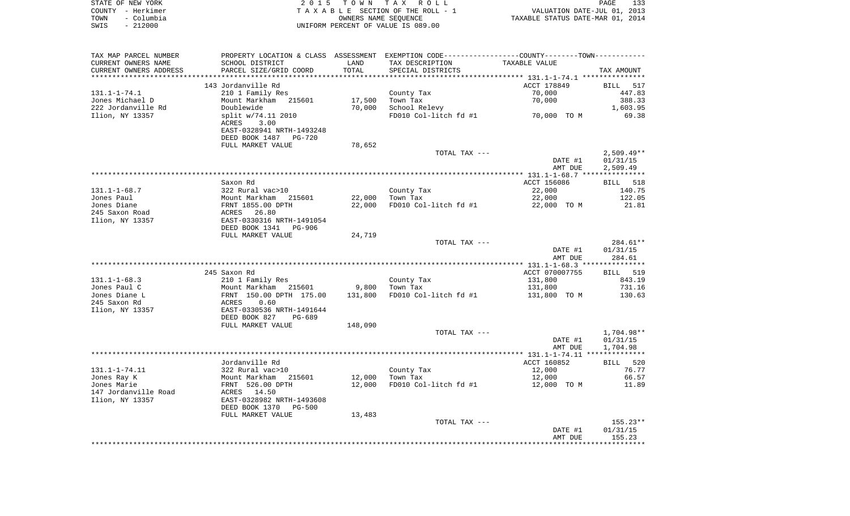| STATE OF NEW YORK  | 2015 TOWN TAX ROLL                 |                                  | PAGE | 133 |
|--------------------|------------------------------------|----------------------------------|------|-----|
| COUNTY – Herkimer  | TAXABLE SECTION OF THE ROLL - 1    | VALUATION DATE-JUL 01, 2013      |      |     |
| - Columbia<br>TOWN | OWNERS NAME SEOUENCE               | TAXABLE STATUS DATE-MAR 01, 2014 |      |     |
| - 212000<br>SWIS   | UNIFORM PERCENT OF VALUE IS 089.00 |                                  |      |     |

| TAX MAP PARCEL NUMBER             | PROPERTY LOCATION & CLASS ASSESSMENT EXEMPTION CODE---------------COUNTY-------TOWN---------- |         |                       |                    |                    |
|-----------------------------------|-----------------------------------------------------------------------------------------------|---------|-----------------------|--------------------|--------------------|
| CURRENT OWNERS NAME               | SCHOOL DISTRICT                                                                               | LAND    | TAX DESCRIPTION       | TAXABLE VALUE      |                    |
| CURRENT OWNERS ADDRESS            | PARCEL SIZE/GRID COORD                                                                        | TOTAL   | SPECIAL DISTRICTS     |                    | TAX AMOUNT         |
| ***********************           | *****************************                                                                 |         |                       |                    |                    |
|                                   | 143 Jordanville Rd                                                                            |         |                       | ACCT 178849        | BILL 517           |
| $131.1 - 1 - 74.1$                | 210 1 Family Res                                                                              |         | County Tax            | 70,000             | 447.83             |
| Jones Michael D                   | Mount Markham<br>215601                                                                       | 17,500  | Town Tax              | 70,000             | 388.33             |
| 222 Jordanville Rd                | Doublewide                                                                                    | 70,000  | School Relevy         |                    | 1,603.95           |
| Ilion, NY 13357                   | split w/74.11 2010                                                                            |         | FD010 Col-litch fd #1 | 70,000 TO M        | 69.38              |
|                                   | 3.00<br>ACRES                                                                                 |         |                       |                    |                    |
|                                   | EAST-0328941 NRTH-1493248                                                                     |         |                       |                    |                    |
|                                   | DEED BOOK 1487<br>PG-720                                                                      |         |                       |                    |                    |
|                                   | FULL MARKET VALUE                                                                             | 78,652  |                       |                    |                    |
|                                   |                                                                                               |         | TOTAL TAX ---         |                    | $2,509.49**$       |
|                                   |                                                                                               |         |                       | DATE #1            | 01/31/15           |
|                                   |                                                                                               |         |                       | AMT DUE            | 2,509.49           |
|                                   |                                                                                               |         |                       |                    |                    |
|                                   | Saxon Rd                                                                                      |         |                       | ACCT 156086        | BILL<br>518        |
| $131.1 - 1 - 68.7$                | 322 Rural vac>10                                                                              |         | County Tax            | 22,000             | 140.75             |
| Jones Paul                        | Mount Markham<br>215601                                                                       | 22,000  | Town Tax              | 22,000             | 122.05             |
| Jones Diane                       | FRNT 1855.00 DPTH                                                                             | 22,000  | FD010 Col-litch fd #1 | 22,000 TO M        | 21.81              |
| 245 Saxon Road<br>Ilion, NY 13357 | 26.80<br>ACRES<br>EAST-0330316 NRTH-1491054                                                   |         |                       |                    |                    |
|                                   | DEED BOOK 1341<br>PG-906                                                                      |         |                       |                    |                    |
|                                   | FULL MARKET VALUE                                                                             | 24,719  |                       |                    |                    |
|                                   |                                                                                               |         | TOTAL TAX ---         |                    | 284.61**           |
|                                   |                                                                                               |         |                       | DATE #1            | 01/31/15           |
|                                   |                                                                                               |         |                       | AMT DUE            | 284.61             |
|                                   |                                                                                               |         |                       |                    |                    |
|                                   | 245 Saxon Rd                                                                                  |         |                       | ACCT 070007755     | BILL 519           |
| $131.1 - 1 - 68.3$                | 210 1 Family Res                                                                              |         | County Tax            | 131,800            | 843.19             |
| Jones Paul C                      | Mount Markham 215601                                                                          | 9,800   | Town Tax              | 131,800            | 731.16             |
| Jones Diane L                     | FRNT 150.00 DPTH 175.00                                                                       | 131,800 | FD010 Col-litch fd #1 | 131,800 TO M       | 130.63             |
| 245 Saxon Rd                      | ACRES<br>0.60                                                                                 |         |                       |                    |                    |
| Ilion, NY 13357                   | EAST-0330536 NRTH-1491644                                                                     |         |                       |                    |                    |
|                                   | DEED BOOK 827<br>PG-689                                                                       |         |                       |                    |                    |
|                                   | FULL MARKET VALUE                                                                             | 148,090 |                       |                    |                    |
|                                   |                                                                                               |         | TOTAL TAX ---         |                    | 1,704.98**         |
|                                   |                                                                                               |         |                       | DATE #1            | 01/31/15           |
|                                   |                                                                                               |         |                       | AMT DUE            | 1,704.98           |
|                                   |                                                                                               |         |                       |                    |                    |
|                                   | Jordanville Rd                                                                                |         |                       | ACCT 160852        | BILL 520           |
| 131.1-1-74.11                     | 322 Rural vac>10                                                                              |         | County Tax            | 12,000             | 76.77              |
| Jones Ray K                       | Mount Markham<br>215601                                                                       | 12,000  | Town Tax              | 12,000             | 66.57              |
| Jones Marie                       | FRNT 526.00 DPTH                                                                              | 12,000  | FD010 Col-litch fd #1 | 12,000 TO M        | 11.89              |
| 147 Jordanville Road              | ACRES 14.50                                                                                   |         |                       |                    |                    |
| Ilion, NY 13357                   | EAST-0328982 NRTH-1493608                                                                     |         |                       |                    |                    |
|                                   | DEED BOOK 1370<br><b>PG-500</b>                                                               |         |                       |                    |                    |
|                                   | FULL MARKET VALUE                                                                             | 13,483  |                       |                    |                    |
|                                   |                                                                                               |         | TOTAL TAX ---         |                    | 155.23**           |
|                                   |                                                                                               |         |                       | DATE #1<br>AMT DUE | 01/31/15<br>155.23 |
|                                   |                                                                                               |         |                       |                    |                    |
|                                   |                                                                                               |         |                       |                    |                    |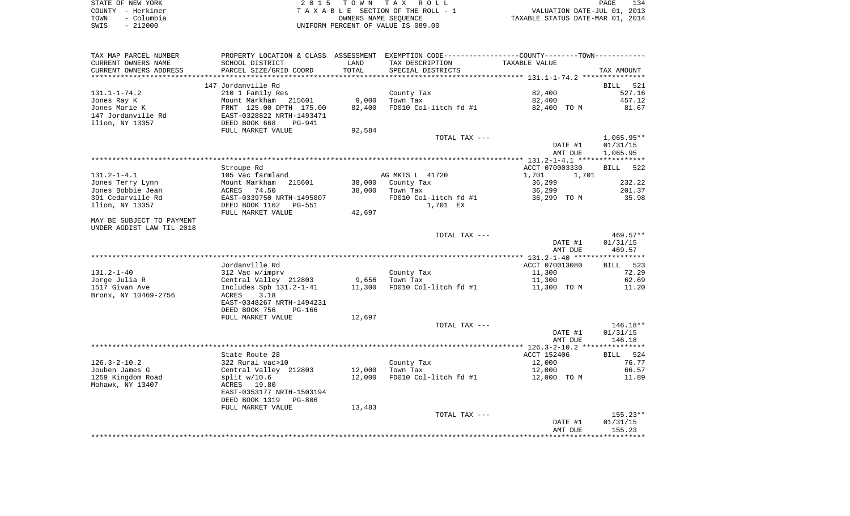|      | STATE OF NEW YORK | 2015 TOWN TAX ROLL                 | 134<br>PAGE                      |
|------|-------------------|------------------------------------|----------------------------------|
|      | COUNTY - Herkimer | TAXABLE SECTION OF THE ROLL - 1    | VALUATION DATE-JUL 01, 2013      |
| TOWN | - Columbia        | OWNERS NAME SEOUENCE               | TAXABLE STATUS DATE-MAR 01, 2014 |
| SWIS | $-212000$         | UNIFORM PERCENT OF VALUE IS 089.00 |                                  |

| TAX MAP PARCEL NUMBER        | PROPERTY LOCATION & CLASS ASSESSMENT EXEMPTION CODE----------------COUNTY--------TOWN---------- |        |                       |                |                    |
|------------------------------|-------------------------------------------------------------------------------------------------|--------|-----------------------|----------------|--------------------|
| CURRENT OWNERS NAME          | SCHOOL DISTRICT                                                                                 | LAND   | TAX DESCRIPTION       | TAXABLE VALUE  |                    |
| CURRENT OWNERS ADDRESS       | PARCEL SIZE/GRID COORD                                                                          | TOTAL  | SPECIAL DISTRICTS     |                | TAX AMOUNT         |
|                              |                                                                                                 |        |                       |                |                    |
|                              | 147 Jordanville Rd                                                                              |        |                       |                | <b>BILL</b><br>521 |
| $131.1 - 1 - 74.2$           | 210 1 Family Res                                                                                | 9,000  | County Tax            | 82,400         | 527.16             |
| Jones Ray K<br>Jones Marie K | Mount Markham<br>215601                                                                         | 82,400 | Town Tax              | 82,400         | 457.12<br>81.67    |
| 147 Jordanville Rd           | FRNT 125.00 DPTH 175.00<br>EAST-0328822 NRTH-1493471                                            |        | FD010 Col-litch fd #1 | 82,400 TO M    |                    |
| Ilion, NY 13357              | PG-941                                                                                          |        |                       |                |                    |
|                              | DEED BOOK 668<br>FULL MARKET VALUE                                                              | 92,584 |                       |                |                    |
|                              |                                                                                                 |        | TOTAL TAX ---         |                | $1,065.95**$       |
|                              |                                                                                                 |        |                       | DATE #1        | 01/31/15           |
|                              |                                                                                                 |        |                       | AMT DUE        | 1,065.95           |
|                              |                                                                                                 |        |                       |                |                    |
|                              | Stroupe Rd                                                                                      |        |                       | ACCT 070003330 | BILL 522           |
| $131.2 - 1 - 4.1$            | 105 Vac farmland                                                                                |        | AG MKTS L 41720       | 1,701<br>1,701 |                    |
| Jones Terry Lynn             | Mount Markham<br>215601                                                                         | 38,000 | County Tax            | 36,299         | 232.22             |
| Jones Bobbie Jean            | ACRES<br>74.50                                                                                  | 38,000 | Town Tax              | 36,299         | 201.37             |
| 391 Cedarville Rd            | EAST-0339750 NRTH-1495007                                                                       |        | FD010 Col-litch fd #1 | 36,299 TO M    | 35.98              |
| Ilion, NY 13357              | DEED BOOK 1162<br>PG-551                                                                        |        | 1,701 EX              |                |                    |
|                              | FULL MARKET VALUE                                                                               | 42,697 |                       |                |                    |
| MAY BE SUBJECT TO PAYMENT    |                                                                                                 |        |                       |                |                    |
| UNDER AGDIST LAW TIL 2018    |                                                                                                 |        |                       |                |                    |
|                              |                                                                                                 |        | TOTAL TAX ---         |                | $469.57**$         |
|                              |                                                                                                 |        |                       | DATE #1        | 01/31/15           |
|                              |                                                                                                 |        |                       | AMT DUE        | 469.57             |
|                              |                                                                                                 |        |                       |                |                    |
|                              | Jordanville Rd                                                                                  |        |                       | ACCT 070013080 | BILL<br>523        |
| 131.2-1-40                   | 312 Vac w/imprv                                                                                 |        | County Tax            | 11,300         | 72.29              |
| Jorge Julia R                | Central Valley 212803                                                                           | 9,656  | Town Tax              | 11,300         | 62.69              |
| 1517 Givan Ave               | Includes Spb $131.2 - 1 - 41$                                                                   | 11,300 | FD010 Col-litch fd #1 | 11,300 TO M    | 11.20              |
| Bronx, NY 10469-2756         | 3.18<br>ACRES                                                                                   |        |                       |                |                    |
|                              | EAST-0348267 NRTH-1494231                                                                       |        |                       |                |                    |
|                              | DEED BOOK 756<br>PG-166                                                                         |        |                       |                |                    |
|                              | FULL MARKET VALUE                                                                               | 12,697 |                       |                |                    |
|                              |                                                                                                 |        | TOTAL TAX ---         |                | 146.18**           |
|                              |                                                                                                 |        |                       | DATE #1        | 01/31/15           |
|                              |                                                                                                 |        |                       | AMT DUE        | 146.18             |
|                              | State Route 28                                                                                  |        |                       | ACCT 152406    | BILL 524           |
| $126.3 - 2 - 10.2$           | 322 Rural vac>10                                                                                |        | County Tax            | 12,000         | 76.77              |
| Jouben James G               | Central Valley 212803                                                                           | 12,000 | Town Tax              | 12,000         | 66.57              |
| 1259 Kingdom Road            | split $w/10.6$                                                                                  | 12,000 | FD010 Col-litch fd #1 | 12,000 TO M    | 11.89              |
| Mohawk, NY 13407             | ACRES 19.80                                                                                     |        |                       |                |                    |
|                              | EAST-0353177 NRTH-1503194                                                                       |        |                       |                |                    |
|                              | DEED BOOK 1319<br><b>PG-806</b>                                                                 |        |                       |                |                    |
|                              | FULL MARKET VALUE                                                                               | 13,483 |                       |                |                    |
|                              |                                                                                                 |        | TOTAL TAX ---         |                | $155.23**$         |
|                              |                                                                                                 |        |                       | DATE #1        | 01/31/15           |
|                              |                                                                                                 |        |                       | AMT DUE        | 155.23             |
|                              |                                                                                                 |        |                       |                |                    |
|                              |                                                                                                 |        |                       |                |                    |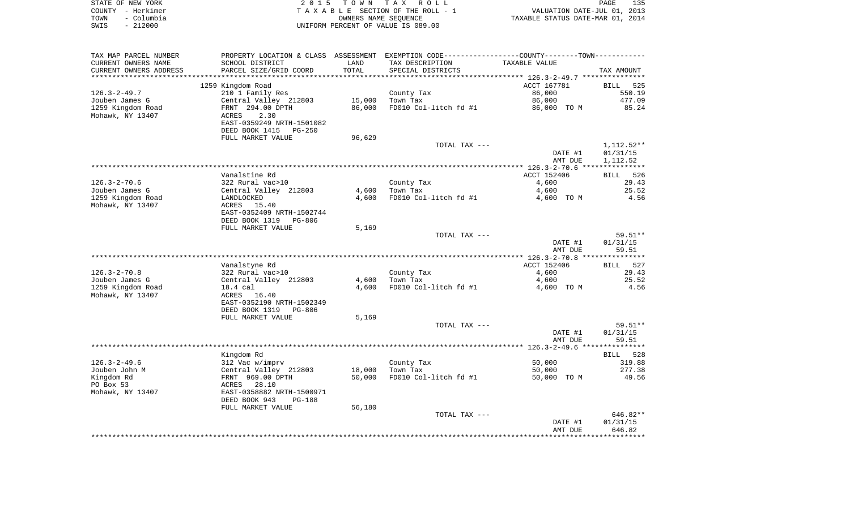| STATE OF NEW YORK |            | 2015 TOWN TAX ROLL                 |                                  | PAGE | 135 |
|-------------------|------------|------------------------------------|----------------------------------|------|-----|
| COUNTY - Herkimer |            | TAXABLE SECTION OF THE ROLL - 1    | VALUATION DATE-JUL 01, 2013      |      |     |
| TOWN              | – Columbia | OWNERS NAME SEOUENCE               | TAXABLE STATUS DATE-MAR 01, 2014 |      |     |
| SWIS              | $-212000$  | UNIFORM PERCENT OF VALUE IS 089.00 |                                  |      |     |

| TAX MAP PARCEL NUMBER  | PROPERTY LOCATION & CLASS ASSESSMENT EXEMPTION CODE---------------COUNTY-------TOWN---------- |        |                       |               |                    |
|------------------------|-----------------------------------------------------------------------------------------------|--------|-----------------------|---------------|--------------------|
| CURRENT OWNERS NAME    | SCHOOL DISTRICT                                                                               | LAND   | TAX DESCRIPTION       | TAXABLE VALUE |                    |
| CURRENT OWNERS ADDRESS | PARCEL SIZE/GRID COORD                                                                        | TOTAL  | SPECIAL DISTRICTS     |               | TAX AMOUNT         |
|                        |                                                                                               |        |                       |               |                    |
|                        | 1259 Kingdom Road                                                                             |        |                       | ACCT 167781   | <b>BILL</b><br>525 |
| $126.3 - 2 - 49.7$     | 210 1 Family Res                                                                              |        | County Tax            | 86,000        | 550.19             |
| Jouben James G         | Central Valley 212803                                                                         | 15,000 | Town Tax              | 86,000        | 477.09             |
|                        |                                                                                               |        |                       |               |                    |
| 1259 Kingdom Road      | FRNT 294.00 DPTH                                                                              | 86,000 | FD010 Col-litch fd #1 | 86,000 TO M   | 85.24              |
| Mohawk, NY 13407       | 2.30<br>ACRES                                                                                 |        |                       |               |                    |
|                        | EAST-0359249 NRTH-1501082                                                                     |        |                       |               |                    |
|                        | DEED BOOK 1415<br>PG-250                                                                      |        |                       |               |                    |
|                        | FULL MARKET VALUE                                                                             | 96,629 |                       |               |                    |
|                        |                                                                                               |        | TOTAL TAX ---         |               | $1,112.52**$       |
|                        |                                                                                               |        |                       | DATE #1       | 01/31/15           |
|                        |                                                                                               |        |                       | AMT DUE       | 1,112.52           |
|                        |                                                                                               |        |                       |               |                    |
|                        | Vanalstine Rd                                                                                 |        |                       | ACCT 152406   | 526<br>BILL        |
| $126.3 - 2 - 70.6$     | 322 Rural vac>10                                                                              |        | County Tax            | 4,600         | 29.43              |
| Jouben James G         | Central Valley 212803                                                                         | 4,600  | Town Tax              | 4,600         | 25.52              |
| 1259 Kingdom Road      | LANDLOCKED                                                                                    | 4,600  | FD010 Col-litch fd #1 | 4,600 TO M    | 4.56               |
| Mohawk, NY 13407       | ACRES<br>15.40                                                                                |        |                       |               |                    |
|                        | EAST-0352409 NRTH-1502744                                                                     |        |                       |               |                    |
|                        |                                                                                               |        |                       |               |                    |
|                        | DEED BOOK 1319<br>PG-806                                                                      |        |                       |               |                    |
|                        | FULL MARKET VALUE                                                                             | 5,169  |                       |               |                    |
|                        |                                                                                               |        | TOTAL TAX ---         |               | $59.51**$          |
|                        |                                                                                               |        |                       | DATE #1       | 01/31/15           |
|                        |                                                                                               |        |                       | AMT DUE       | 59.51              |
|                        |                                                                                               |        |                       |               |                    |
|                        | Vanalstyne Rd                                                                                 |        |                       | ACCT 152406   | <b>BILL</b><br>527 |
| $126.3 - 2 - 70.8$     | 322 Rural vac>10                                                                              |        | County Tax            | 4,600         | 29.43              |
| Jouben James G         | Central Valley 212803                                                                         | 4,600  | Town Tax              | 4,600         | 25.52              |
| 1259 Kingdom Road      | 18.4 cal                                                                                      | 4,600  | FD010 Col-litch fd #1 | 4,600 TO M    | 4.56               |
| Mohawk, NY 13407       | ACRES 16.40                                                                                   |        |                       |               |                    |
|                        | EAST-0352190 NRTH-1502349                                                                     |        |                       |               |                    |
|                        | DEED BOOK 1319<br><b>PG-806</b>                                                               |        |                       |               |                    |
|                        | FULL MARKET VALUE                                                                             | 5,169  |                       |               |                    |
|                        |                                                                                               |        | TOTAL TAX ---         |               | 59.51**            |
|                        |                                                                                               |        |                       |               |                    |
|                        |                                                                                               |        |                       | DATE #1       | 01/31/15           |
|                        |                                                                                               |        |                       | AMT DUE       | 59.51              |
|                        |                                                                                               |        |                       |               |                    |
|                        | Kingdom Rd                                                                                    |        |                       |               | 528<br><b>BILL</b> |
| $126.3 - 2 - 49.6$     | 312 Vac w/imprv                                                                               |        | County Tax            | 50,000        | 319.88             |
| Jouben John M          | Central Valley 212803                                                                         | 18,000 | Town Tax              | 50,000        | 277.38             |
| Kingdom Rd             | FRNT 969.00 DPTH                                                                              | 50,000 | FD010 Col-litch fd #1 | 50,000 TO M   | 49.56              |
| PO Box 53              | 28.10<br>ACRES                                                                                |        |                       |               |                    |
| Mohawk, NY 13407       | EAST-0358882 NRTH-1500971                                                                     |        |                       |               |                    |
|                        | DEED BOOK 943<br>$PG-188$                                                                     |        |                       |               |                    |
|                        | FULL MARKET VALUE                                                                             | 56,180 |                       |               |                    |
|                        |                                                                                               |        | TOTAL TAX ---         |               | 646.82**           |
|                        |                                                                                               |        |                       | DATE #1       | 01/31/15           |
|                        |                                                                                               |        |                       | AMT DUE       | 646.82             |
|                        |                                                                                               |        |                       |               |                    |
|                        |                                                                                               |        |                       |               |                    |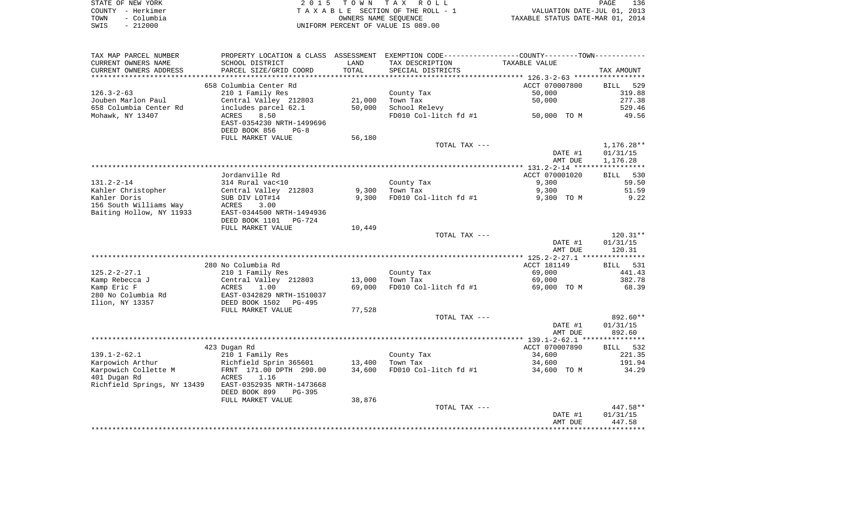| STATE OF NEW YORK  | 2015 TOWN TAX ROLL                 | 136<br>PAGE                      |
|--------------------|------------------------------------|----------------------------------|
| COUNTY – Herkimer  | TAXABLE SECTION OF THE ROLL - 1    | VALUATION DATE-JUL 01, 2013      |
| – Columbia<br>TOWN | OWNERS NAME SEOUENCE               | TAXABLE STATUS DATE-MAR 01, 2014 |
| $-212000$<br>SWIS  | UNIFORM PERCENT OF VALUE IS 089.00 |                                  |

| TAX MAP PARCEL NUMBER<br>CURRENT OWNERS NAME<br>CURRENT OWNERS ADDRESS               | PROPERTY LOCATION & CLASS ASSESSMENT<br>SCHOOL DISTRICT<br>PARCEL SIZE/GRID COORD                                                                                    | LAND<br>TOTAL      | EXEMPTION CODE-----------------COUNTY-------TOWN-----------<br>TAX DESCRIPTION<br>SPECIAL DISTRICTS | TAXABLE VALUE                                     | TAX AMOUNT                                                |
|--------------------------------------------------------------------------------------|----------------------------------------------------------------------------------------------------------------------------------------------------------------------|--------------------|-----------------------------------------------------------------------------------------------------|---------------------------------------------------|-----------------------------------------------------------|
| *******************                                                                  | ************                                                                                                                                                         | ****************** |                                                                                                     |                                                   |                                                           |
| $126.3 - 2 - 63$<br>Jouben Marlon Paul<br>658 Columbia Center Rd<br>Mohawk, NY 13407 | 658 Columbia Center Rd<br>210 1 Family Res<br>Central Valley 212803<br>includes parcel 62.1<br>8.50<br>ACRES<br>EAST-0354230 NRTH-1499696<br>DEED BOOK 856<br>$PG-8$ | 21,000<br>50,000   | County Tax<br>Town Tax<br>School Relevy<br>FD010 Col-litch fd #1                                    | ACCT 070007800<br>50,000<br>50,000<br>50,000 TO M | <b>BILL</b><br>529<br>319.88<br>277.38<br>529.46<br>49.56 |
|                                                                                      | FULL MARKET VALUE                                                                                                                                                    | 56,180             | TOTAL TAX ---                                                                                       |                                                   | 1,176.28**                                                |
|                                                                                      |                                                                                                                                                                      |                    |                                                                                                     | DATE #1<br>AMT DUE                                | 01/31/15<br>1,176.28                                      |
|                                                                                      |                                                                                                                                                                      |                    |                                                                                                     |                                                   |                                                           |
|                                                                                      | Jordanville Rd                                                                                                                                                       |                    |                                                                                                     | ACCT 070001020                                    | 530<br>BILL                                               |
| $131.2 - 2 - 14$                                                                     | 314 Rural vac<10                                                                                                                                                     |                    | County Tax                                                                                          | 9,300                                             | 59.50                                                     |
| Kahler Christopher                                                                   | Central Valley 212803                                                                                                                                                | 9,300              | Town Tax                                                                                            | 9,300                                             | 51.59                                                     |
| Kahler Doris                                                                         | SUB DIV LOT#14                                                                                                                                                       | 9,300              | FD010 Col-litch fd #1                                                                               | 9,300 TO M                                        | 9.22                                                      |
| 156 South Williams Way<br>Baiting Hollow, NY 11933                                   | ACRES<br>3.00<br>EAST-0344500 NRTH-1494936                                                                                                                           |                    |                                                                                                     |                                                   |                                                           |
|                                                                                      | DEED BOOK 1101<br>PG-724<br>FULL MARKET VALUE                                                                                                                        | 10,449             |                                                                                                     |                                                   |                                                           |
|                                                                                      |                                                                                                                                                                      |                    | TOTAL TAX ---                                                                                       |                                                   | $120.31**$                                                |
|                                                                                      |                                                                                                                                                                      |                    |                                                                                                     | DATE #1<br>AMT DUE                                | 01/31/15<br>120.31                                        |
|                                                                                      |                                                                                                                                                                      |                    |                                                                                                     |                                                   |                                                           |
|                                                                                      | 280 No Columbia Rd                                                                                                                                                   |                    |                                                                                                     | ACCT 181149                                       | 531<br>BILL                                               |
| $125.2 - 2 - 27.1$                                                                   | 210 1 Family Res                                                                                                                                                     |                    | County Tax                                                                                          | 69,000                                            | 441.43                                                    |
| Kamp Rebecca J                                                                       | Central Valley 212803                                                                                                                                                | 13,000             | Town Tax                                                                                            | 69,000                                            | 382.78                                                    |
| Kamp Eric F<br>280 No Columbia Rd<br>Ilion, NY 13357                                 | ACRES<br>1.00<br>EAST-0342829 NRTH-1510037<br>DEED BOOK 1502<br>PG-495                                                                                               | 69,000             | FD010 Col-litch fd #1                                                                               | 69,000 TO M                                       | 68.39                                                     |
|                                                                                      | FULL MARKET VALUE                                                                                                                                                    | 77,528             |                                                                                                     |                                                   |                                                           |
|                                                                                      |                                                                                                                                                                      |                    | TOTAL TAX ---                                                                                       |                                                   | 892.60**                                                  |
|                                                                                      |                                                                                                                                                                      |                    |                                                                                                     | DATE #1                                           | 01/31/15                                                  |
|                                                                                      |                                                                                                                                                                      |                    |                                                                                                     | AMT DUE<br>*************** 139.1-2-62.1 ****      | 892.60<br>**********                                      |
|                                                                                      | 423 Dugan Rd                                                                                                                                                         |                    |                                                                                                     | ACCT 070007890                                    | BILL 532                                                  |
| $139.1 - 2 - 62.1$                                                                   | 210 1 Family Res                                                                                                                                                     |                    | County Tax                                                                                          | 34,600                                            | 221.35                                                    |
| Karpowich Arthur                                                                     | Richfield Sprin 365601                                                                                                                                               | 13,400             | Town Tax                                                                                            | 34,600                                            | 191.94                                                    |
| Karpowich Collette M                                                                 | FRNT 171.00 DPTH 290.00                                                                                                                                              | 34,600             | FD010 Col-litch fd #1                                                                               | 34,600 TO M                                       | 34.29                                                     |
| 401 Dugan Rd                                                                         | 1.16<br>ACRES                                                                                                                                                        |                    |                                                                                                     |                                                   |                                                           |
| Richfield Springs, NY 13439                                                          | EAST-0352935 NRTH-1473668<br>DEED BOOK 899<br>$PG-395$                                                                                                               |                    |                                                                                                     |                                                   |                                                           |
|                                                                                      | FULL MARKET VALUE                                                                                                                                                    | 38,876             |                                                                                                     |                                                   |                                                           |
|                                                                                      |                                                                                                                                                                      |                    | TOTAL TAX ---                                                                                       |                                                   | $447.58**$                                                |
|                                                                                      |                                                                                                                                                                      |                    |                                                                                                     | DATE #1<br>AMT DUE                                | 01/31/15<br>447.58                                        |
|                                                                                      |                                                                                                                                                                      |                    |                                                                                                     |                                                   |                                                           |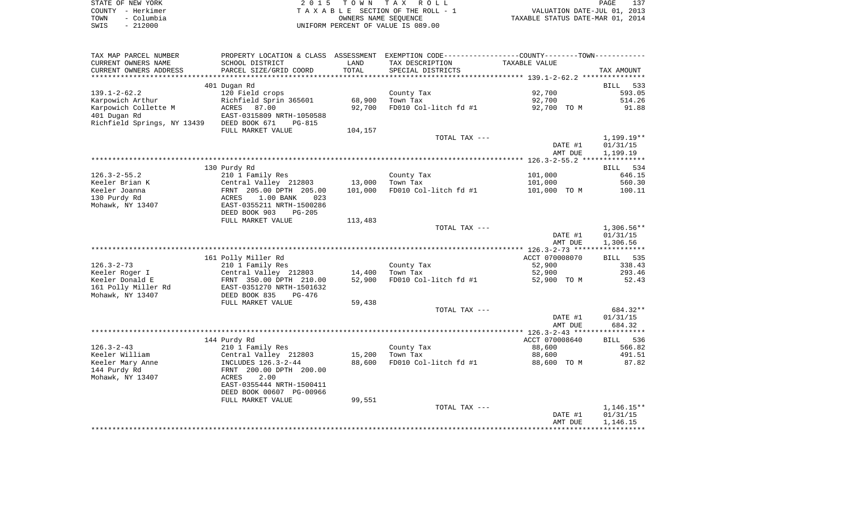| STATE OF NEW YORK  | 2015 TOWN TAX ROLL                 | 137<br><b>PAGE</b>               |
|--------------------|------------------------------------|----------------------------------|
| COUNTY - Herkimer  | TAXABLE SECTION OF THE ROLL - 1    | VALUATION DATE-JUL 01, 2013      |
| - Columbia<br>TOWN | OWNERS NAME SEOUENCE               | TAXABLE STATUS DATE-MAR 01, 2014 |
| $-212000$<br>SWIS  | UNIFORM PERCENT OF VALUE IS 089.00 |                                  |

| TAX MAP PARCEL NUMBER       |                           |         | PROPERTY LOCATION & CLASS ASSESSMENT EXEMPTION CODE----------------COUNTY--------TOWN----------- |                |                    |
|-----------------------------|---------------------------|---------|--------------------------------------------------------------------------------------------------|----------------|--------------------|
| CURRENT OWNERS NAME         | SCHOOL DISTRICT           | LAND    | TAX DESCRIPTION                                                                                  | TAXABLE VALUE  |                    |
| CURRENT OWNERS ADDRESS      | PARCEL SIZE/GRID COORD    | TOTAL   | SPECIAL DISTRICTS                                                                                |                | TAX AMOUNT         |
|                             | 401 Dugan Rd              |         |                                                                                                  |                | <b>BILL</b><br>533 |
| $139.1 - 2 - 62.2$          | 120 Field crops           |         | County Tax                                                                                       | 92,700         | 593.05             |
| Karpowich Arthur            | Richfield Sprin 365601    | 68,900  | Town Tax                                                                                         | 92,700         | 514.26             |
| Karpowich Collette M        | ACRES 87.00               | 92,700  | FD010 Col-litch fd #1                                                                            | 92,700 TO M    | 91.88              |
| 401 Dugan Rd                | EAST-0315809 NRTH-1050588 |         |                                                                                                  |                |                    |
| Richfield Springs, NY 13439 | DEED BOOK 671<br>$PG-815$ |         |                                                                                                  |                |                    |
|                             | FULL MARKET VALUE         | 104,157 |                                                                                                  |                |                    |
|                             |                           |         | TOTAL TAX ---                                                                                    |                | 1,199.19**         |
|                             |                           |         |                                                                                                  | DATE #1        | 01/31/15           |
|                             |                           |         |                                                                                                  | AMT DUE        | 1,199.19           |
|                             |                           |         |                                                                                                  |                |                    |
|                             | 130 Purdy Rd              |         |                                                                                                  |                | BILL 534           |
| $126.3 - 2 - 55.2$          | 210 1 Family Res          |         | County Tax                                                                                       | 101,000        | 646.15             |
| Keeler Brian K              | Central Valley 212803     | 13,000  | Town Tax                                                                                         | 101,000        | 560.30             |
| Keeler Joanna               | FRNT 205.00 DPTH 205.00   | 101,000 | FD010 Col-litch fd #1                                                                            | 101,000 TO M   | 100.11             |
| 130 Purdy Rd                | 1.00 BANK<br>ACRES<br>023 |         |                                                                                                  |                |                    |
| Mohawk, NY 13407            | EAST-0355211 NRTH-1500286 |         |                                                                                                  |                |                    |
|                             | DEED BOOK 903<br>$PG-205$ |         |                                                                                                  |                |                    |
|                             | FULL MARKET VALUE         | 113,483 |                                                                                                  |                |                    |
|                             |                           |         | TOTAL TAX ---                                                                                    |                | $1,306.56**$       |
|                             |                           |         |                                                                                                  | DATE #1        | 01/31/15           |
|                             |                           |         |                                                                                                  | AMT DUE        | 1,306.56           |
|                             |                           |         |                                                                                                  |                |                    |
|                             | 161 Polly Miller Rd       |         |                                                                                                  | ACCT 070008070 | BILL 535           |
| $126.3 - 2 - 73$            | 210 1 Family Res          |         | County Tax                                                                                       | 52,900         | 338.43             |
| Keeler Roger I              | Central Valley 212803     | 14,400  | Town Tax                                                                                         | 52,900         | 293.46             |
| Keeler Donald E             | FRNT 350.00 DPTH 210.00   | 52,900  | FD010 Col-litch fd #1                                                                            | 52,900 TO M    | 52.43              |
| 161 Polly Miller Rd         | EAST-0351270 NRTH-1501632 |         |                                                                                                  |                |                    |
| Mohawk, NY 13407            | DEED BOOK 835<br>$PG-476$ |         |                                                                                                  |                |                    |
|                             | FULL MARKET VALUE         | 59,438  |                                                                                                  |                |                    |
|                             |                           |         | TOTAL TAX ---                                                                                    |                | 684.32**           |
|                             |                           |         |                                                                                                  | DATE #1        | 01/31/15           |
|                             |                           |         |                                                                                                  | AMT DUE        | 684.32             |
|                             |                           |         |                                                                                                  |                |                    |
|                             | 144 Purdy Rd              |         |                                                                                                  | ACCT 070008640 | BILL 536           |
| $126.3 - 2 - 43$            | 210 1 Family Res          |         | County Tax                                                                                       | 88,600         | 566.82             |
| Keeler William              | Central Valley 212803     | 15,200  | Town Tax                                                                                         | 88,600         | 491.51             |
| Keeler Mary Anne            | INCLUDES 126.3-2-44       | 88,600  | FD010 Col-litch fd #1                                                                            | 88,600 TO M    | 87.82              |
| 144 Purdy Rd                | FRNT 200.00 DPTH 200.00   |         |                                                                                                  |                |                    |
| Mohawk, NY 13407            | 2.00<br>ACRES             |         |                                                                                                  |                |                    |
|                             | EAST-0355444 NRTH-1500411 |         |                                                                                                  |                |                    |
|                             | DEED BOOK 00607 PG-00966  |         |                                                                                                  |                |                    |
|                             | FULL MARKET VALUE         | 99,551  |                                                                                                  |                |                    |
|                             |                           |         | TOTAL TAX ---                                                                                    |                | $1,146.15**$       |
|                             |                           |         |                                                                                                  | DATE #1        | 01/31/15           |
|                             |                           |         |                                                                                                  | AMT DUE        | 1,146.15           |
|                             |                           |         |                                                                                                  |                |                    |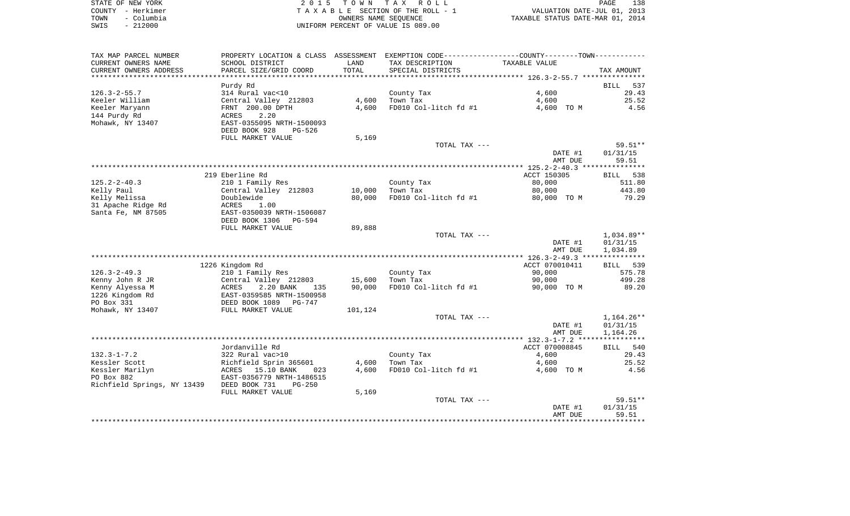|      | STATE OF NEW YORK | 2015 TOWN TAX ROLL                 |                                  | PAGE | 138 |
|------|-------------------|------------------------------------|----------------------------------|------|-----|
|      | COUNTY - Herkimer | TAXABLE SECTION OF THE ROLL - 1    | VALUATION DATE-JUL 01, 2013      |      |     |
| TOWN | – Columbia        | OWNERS NAME SEOUENCE               | TAXABLE STATUS DATE-MAR 01, 2014 |      |     |
| SWIS | $-212000$         | UNIFORM PERCENT OF VALUE IS 089.00 |                                  |      |     |

| TAX MAP PARCEL NUMBER       | PROPERTY LOCATION & CLASS ASSESSMENT |         | EXEMPTION CODE----------------COUNTY-------TOWN----------- |                |                    |
|-----------------------------|--------------------------------------|---------|------------------------------------------------------------|----------------|--------------------|
| CURRENT OWNERS NAME         | SCHOOL DISTRICT                      | LAND    | TAX DESCRIPTION                                            | TAXABLE VALUE  |                    |
| CURRENT OWNERS ADDRESS      | PARCEL SIZE/GRID COORD               | TOTAL   | SPECIAL DISTRICTS                                          |                | TAX AMOUNT         |
| ********************        |                                      |         |                                                            |                |                    |
|                             | Purdy Rd                             |         |                                                            |                | <b>BILL</b><br>537 |
| $126.3 - 2 - 55.7$          | 314 Rural vac<10                     |         | County Tax                                                 | 4,600          | 29.43              |
| Keeler William              | Central Valley 212803                | 4,600   | Town Tax                                                   | 4,600          | 25.52              |
| Keeler Maryann              | FRNT 200.00 DPTH                     | 4,600   | FD010 Col-litch fd #1                                      | 4,600 TO M     | 4.56               |
| 144 Purdy Rd                | 2.20<br>ACRES                        |         |                                                            |                |                    |
| Mohawk, NY 13407            | EAST-0355095 NRTH-1500093            |         |                                                            |                |                    |
|                             | DEED BOOK 928<br>$PG-526$            |         |                                                            |                |                    |
|                             | FULL MARKET VALUE                    | 5,169   |                                                            |                |                    |
|                             |                                      |         | TOTAL TAX ---                                              |                | 59.51**            |
|                             |                                      |         |                                                            | DATE #1        | 01/31/15           |
|                             |                                      |         |                                                            | AMT DUE        | 59.51              |
|                             |                                      |         |                                                            |                |                    |
|                             | 219 Eberline Rd                      |         |                                                            | ACCT 150305    | BILL<br>538        |
| $125.2 - 2 - 40.3$          | 210 1 Family Res                     |         | County Tax                                                 | 80,000         | 511.80             |
| Kelly Paul                  | Central Valley 212803                | 10,000  | Town Tax                                                   | 80,000         | 443.80             |
| Kelly Melissa               | Doublewide                           | 80,000  | FD010 Col-litch fd #1                                      | 80,000 TO M    | 79.29              |
| 31 Apache Ridge Rd          | ACRES<br>1.00                        |         |                                                            |                |                    |
| Santa Fe, NM 87505          | EAST-0350039 NRTH-1506087            |         |                                                            |                |                    |
|                             | DEED BOOK 1306<br>PG-594             |         |                                                            |                |                    |
|                             | FULL MARKET VALUE                    | 89,888  |                                                            |                |                    |
|                             |                                      |         | TOTAL TAX ---                                              |                | $1,034.89**$       |
|                             |                                      |         |                                                            | DATE #1        | 01/31/15           |
|                             |                                      |         |                                                            | AMT DUE        | 1,034.89           |
|                             | 1226 Kingdom Rd                      |         |                                                            | ACCT 070010411 | 539<br><b>BILL</b> |
| $126.3 - 2 - 49.3$          | 210 1 Family Res                     |         | County Tax                                                 | 90,000         | 575.78             |
| Kenny John R JR             | Central Valley 212803                | 15,600  | Town Tax                                                   | 90,000         | 499.28             |
| Kenny Alyessa M             | 2.20 BANK<br>ACRES<br>135            | 90,000  | FD010 Col-litch fd #1                                      | 90,000 TO M    | 89.20              |
| 1226 Kingdom Rd             | EAST-0359585 NRTH-1500958            |         |                                                            |                |                    |
| PO Box 331                  | DEED BOOK 1089<br>PG-747             |         |                                                            |                |                    |
| Mohawk, NY 13407            | FULL MARKET VALUE                    | 101,124 |                                                            |                |                    |
|                             |                                      |         | TOTAL TAX ---                                              |                | $1,164.26**$       |
|                             |                                      |         |                                                            | DATE #1        | 01/31/15           |
|                             |                                      |         |                                                            | AMT DUE        | 1,164.26           |
|                             |                                      |         |                                                            |                |                    |
|                             | Jordanville Rd                       |         |                                                            | ACCT 070008845 | BILL 540           |
| $132.3 - 1 - 7.2$           | 322 Rural vac>10                     |         | County Tax                                                 | 4,600          | 29.43              |
| Kessler Scott               | Richfield Sprin 365601               | 4,600   | Town Tax                                                   | 4,600          | 25.52              |
| Kessler Marilyn             | ACRES 15.10 BANK<br>023              | 4,600   | FD010 Col-litch fd #1                                      | 4,600 TO M     | 4.56               |
| PO Box 882                  | EAST-0356779 NRTH-1486515            |         |                                                            |                |                    |
| Richfield Springs, NY 13439 | DEED BOOK 731<br>$PG-250$            |         |                                                            |                |                    |
|                             | FULL MARKET VALUE                    | 5,169   |                                                            |                |                    |
|                             |                                      |         | TOTAL TAX ---                                              |                | $59.51**$          |
|                             |                                      |         |                                                            | DATE #1        | 01/31/15           |
|                             |                                      |         |                                                            | AMT DUE        | 59.51              |
|                             |                                      |         |                                                            |                |                    |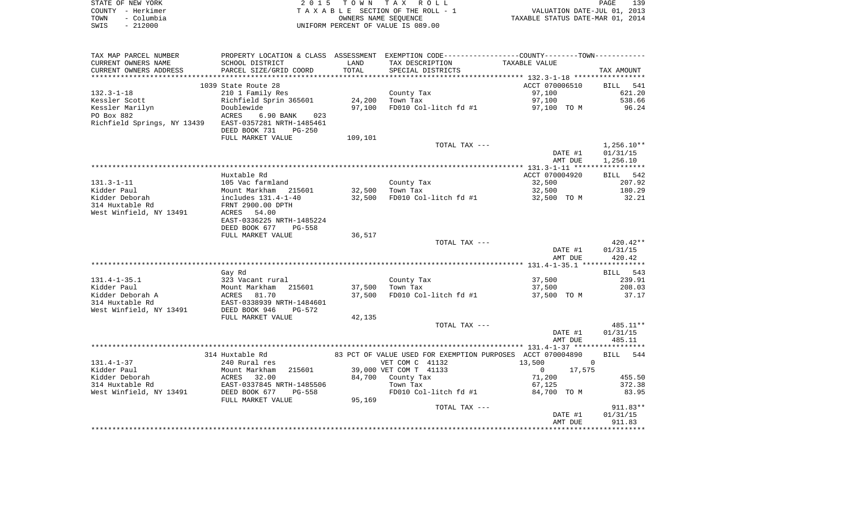| STATE OF NEW YORK  | 2015 TOWN TAX ROLL                 | PAGE                             | 139 |
|--------------------|------------------------------------|----------------------------------|-----|
| COUNTY - Herkimer  | TAXABLE SECTION OF THE ROLL - 1    | VALUATION DATE-JUL 01, 2013      |     |
| - Columbia<br>TOWN | OWNERS NAME SEOUENCE               | TAXABLE STATUS DATE-MAR 01, 2014 |     |
| $-212000$<br>SWIS  | UNIFORM PERCENT OF VALUE IS 089.00 |                                  |     |

| TAX MAP PARCEL NUMBER                                 | PROPERTY LOCATION & CLASS ASSESSMENT EXEMPTION CODE----------------COUNTY--------TOWN---------- |         |                                                            |                        |              |
|-------------------------------------------------------|-------------------------------------------------------------------------------------------------|---------|------------------------------------------------------------|------------------------|--------------|
| CURRENT OWNERS NAME                                   | SCHOOL DISTRICT                                                                                 | LAND    | TAX DESCRIPTION                                            | TAXABLE VALUE          |              |
| CURRENT OWNERS ADDRESS                                | PARCEL SIZE/GRID COORD                                                                          | TOTAL   | SPECIAL DISTRICTS                                          |                        | TAX AMOUNT   |
|                                                       |                                                                                                 |         |                                                            |                        |              |
|                                                       | 1039 State Route 28                                                                             |         |                                                            | ACCT 070006510         | BILL 541     |
| $132.3 - 1 - 18$                                      | 210 1 Family Res                                                                                |         | County Tax                                                 | 97,100                 | 621.20       |
| Kessler Scott                                         | Richfield Sprin 365601                                                                          | 24,200  | Town Tax                                                   | 97,100                 | 538.66       |
| Kessler Marilyn                                       | Doublewide                                                                                      | 97,100  | FD010 Col-litch fd #1                                      | 97,100 TO M            | 96.24        |
| PO Box 882                                            | ACRES<br>6.90 BANK<br>023                                                                       |         |                                                            |                        |              |
| Richfield Springs, NY 13439 EAST-0357281 NRTH-1485461 |                                                                                                 |         |                                                            |                        |              |
|                                                       | DEED BOOK 731<br>$PG-250$                                                                       |         |                                                            |                        |              |
|                                                       | FULL MARKET VALUE                                                                               | 109,101 |                                                            |                        |              |
|                                                       |                                                                                                 |         | TOTAL TAX ---                                              |                        | $1,256.10**$ |
|                                                       |                                                                                                 |         |                                                            | DATE #1                | 01/31/15     |
|                                                       |                                                                                                 |         |                                                            | AMT DUE                | 1,256.10     |
|                                                       |                                                                                                 |         |                                                            |                        |              |
|                                                       | Huxtable Rd                                                                                     |         |                                                            | ACCT 070004920         | BILL 542     |
| $131.3 - 1 - 11$                                      | 105 Vac farmland                                                                                |         | County Tax                                                 | 32,500                 | 207.92       |
| Kidder Paul                                           |                                                                                                 | 32,500  | Town Tax                                                   | 32,500                 | 180.29       |
| Kidder Deborah                                        | Mount Markham 215601<br>includes 131.4-1-40<br>EDNE 2000.00 PRETT                               | 32,500  | FD010 Col-litch fd #1                                      | 32,500 TO M            | 32.21        |
| 314 Huxtable Rd                                       | FRNT 2900.00 DPTH                                                                               |         |                                                            |                        |              |
| West Winfield, NY 13491                               | <b>ACRES</b><br>54.00                                                                           |         |                                                            |                        |              |
|                                                       | EAST-0336225 NRTH-1485224                                                                       |         |                                                            |                        |              |
|                                                       | DEED BOOK 677<br>PG-558                                                                         |         |                                                            |                        |              |
|                                                       | FULL MARKET VALUE                                                                               | 36,517  |                                                            |                        |              |
|                                                       |                                                                                                 |         | TOTAL TAX ---                                              |                        | 420.42**     |
|                                                       |                                                                                                 |         |                                                            | DATE #1                | 01/31/15     |
|                                                       |                                                                                                 |         |                                                            | AMT DUE                | 420.42       |
|                                                       |                                                                                                 |         |                                                            |                        |              |
|                                                       | Gay Rd                                                                                          |         |                                                            |                        | BILL 543     |
| $131.4 - 1 - 35.1$                                    | 323 Vacant rural                                                                                |         | County Tax                                                 | 37,500                 | 239.91       |
| Kidder Paul                                           |                                                                                                 |         | 37,500 Town Tax                                            | 37,500                 | 208.03       |
| Kidder Deborah A                                      | Mount Markham 215601<br>ACRES 81.70<br>EAST-0338939 NRTH-1484601                                | 37,500  | FD010 Col-litch fd #1                                      | 37,500 TO M            | 37.17        |
| 314 Huxtable Rd                                       |                                                                                                 |         |                                                            |                        |              |
| West Winfield, NY 13491                               | DEED BOOK 946<br>$PG-572$                                                                       |         |                                                            |                        |              |
|                                                       | FULL MARKET VALUE                                                                               | 42,135  |                                                            |                        |              |
|                                                       |                                                                                                 |         | TOTAL TAX ---                                              |                        | 485.11**     |
|                                                       |                                                                                                 |         |                                                            | DATE #1                | 01/31/15     |
|                                                       |                                                                                                 |         |                                                            | AMT DUE                | 485.11       |
|                                                       |                                                                                                 |         |                                                            |                        |              |
|                                                       | 314 Huxtable Rd                                                                                 |         | 83 PCT OF VALUE USED FOR EXEMPTION PURPOSES ACCT 070004890 |                        | BILL 544     |
| $131.4 - 1 - 37$                                      | 240 Rural res                                                                                   |         | VET COM C 41132                                            | 13,500<br>$\mathbf 0$  |              |
| Kidder Paul                                           | Mount Markham 215601<br>ACRES 32.00<br>EAST-0337845 NRTH-1485506<br>DEED BOOK 677 PG-558        |         | 39,000 VET COM T 41133                                     | 17,575<br>$\mathbf{0}$ |              |
| Kidder Deborah                                        |                                                                                                 |         | 84,700 County Tax                                          | 71,200                 | 455.50       |
| 314 Huxtable Rd                                       |                                                                                                 |         | Town Tax                                                   | 67,125                 | 372.38       |
| West Winfield, NY 13491                               |                                                                                                 |         | FD010 Col-litch fd #1                                      | 84,700 TO M            | 83.95        |
|                                                       | FULL MARKET VALUE                                                                               | 95,169  |                                                            |                        |              |
|                                                       |                                                                                                 |         | TOTAL TAX ---                                              |                        | $911.83**$   |
|                                                       |                                                                                                 |         |                                                            | DATE #1                | 01/31/15     |
|                                                       |                                                                                                 |         |                                                            | AMT DUE                | 911.83       |
|                                                       |                                                                                                 |         |                                                            |                        |              |
|                                                       |                                                                                                 |         |                                                            |                        |              |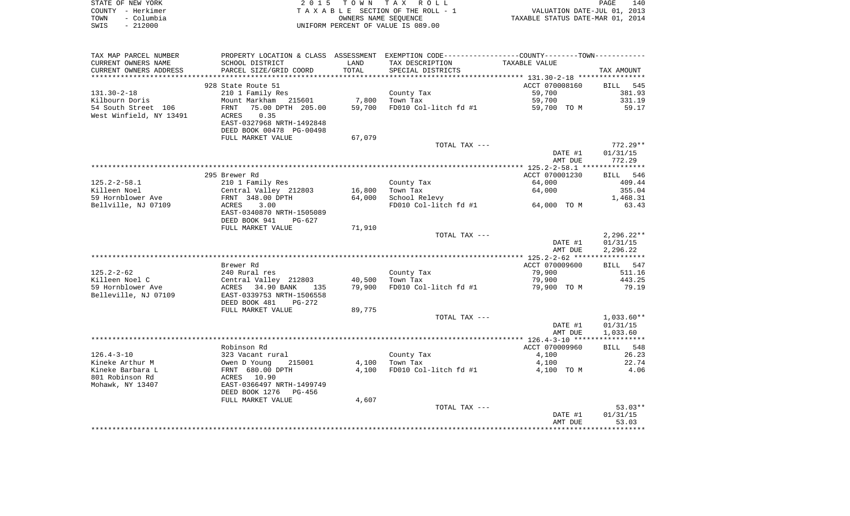| STATE OF NEW YORK  | 2015 TOWN TAX ROLL                 | 140<br>PAGE                      |
|--------------------|------------------------------------|----------------------------------|
| COUNTY - Herkimer  | TAXABLE SECTION OF THE ROLL - 1    | VALUATION DATE-JUL 01, 2013      |
| - Columbia<br>TOWN | OWNERS NAME SEOUENCE               | TAXABLE STATUS DATE-MAR 01, 2014 |
| $-212000$<br>SWIS  | UNIFORM PERCENT OF VALUE IS 089.00 |                                  |

| TAX MAP PARCEL NUMBER   |                           |        | PROPERTY LOCATION & CLASS ASSESSMENT EXEMPTION CODE----------------COUNTY-------TOWN-------- |                |              |
|-------------------------|---------------------------|--------|----------------------------------------------------------------------------------------------|----------------|--------------|
| CURRENT OWNERS NAME     | SCHOOL DISTRICT           | LAND   | TAX DESCRIPTION                                                                              | TAXABLE VALUE  |              |
| CURRENT OWNERS ADDRESS  | PARCEL SIZE/GRID COORD    | TOTAL  | SPECIAL DISTRICTS                                                                            |                | TAX AMOUNT   |
|                         |                           |        |                                                                                              |                |              |
|                         | 928 State Route 51        |        |                                                                                              | ACCT 070008160 | BILL 545     |
| $131.30 - 2 - 18$       | 210 1 Family Res          |        | County Tax                                                                                   | 59,700         | 381.93       |
| Kilbourn Doris          | Mount Markham<br>215601   | 7,800  | Town Tax                                                                                     | 59,700         | 331.19       |
| 54 South Street 106     | FRNT 75.00 DPTH 205.00    | 59,700 | FD010 Col-litch fd #1                                                                        | 59,700 TO M    | 59.17        |
| West Winfield, NY 13491 | 0.35<br>ACRES             |        |                                                                                              |                |              |
|                         | EAST-0327968 NRTH-1492848 |        |                                                                                              |                |              |
|                         | DEED BOOK 00478 PG-00498  |        |                                                                                              |                |              |
|                         | FULL MARKET VALUE         | 67,079 |                                                                                              |                |              |
|                         |                           |        | TOTAL TAX ---                                                                                |                | $772.29**$   |
|                         |                           |        |                                                                                              | DATE #1        | 01/31/15     |
|                         |                           |        |                                                                                              | AMT DUE        | 772.29       |
|                         |                           |        |                                                                                              |                |              |
|                         |                           |        |                                                                                              |                |              |
|                         | 295 Brewer Rd             |        |                                                                                              | ACCT 070001230 | BILL 546     |
| $125.2 - 2 - 58.1$      | 210 1 Family Res          |        | County Tax                                                                                   | 64,000         | 409.44       |
| Killeen Noel            | Central Valley 212803     | 16,800 | Town Tax                                                                                     | 64,000         | 355.04       |
| 59 Hornblower Ave       | FRNT 348.00 DPTH          | 64,000 | School Relevy                                                                                |                | 1,468.31     |
| Bellville, NJ 07109     | ACRES<br>3.00             |        | FD010 Col-litch fd #1                                                                        | 64,000 TO M    | 63.43        |
|                         | EAST-0340870 NRTH-1505089 |        |                                                                                              |                |              |
|                         | DEED BOOK 941<br>PG-627   |        |                                                                                              |                |              |
|                         | FULL MARKET VALUE         | 71,910 |                                                                                              |                |              |
|                         |                           |        | TOTAL TAX ---                                                                                |                | $2,296.22**$ |
|                         |                           |        |                                                                                              | DATE #1        | 01/31/15     |
|                         |                           |        |                                                                                              | AMT DUE        | 2,296.22     |
|                         |                           |        |                                                                                              |                |              |
|                         | Brewer Rd                 |        |                                                                                              | ACCT 070009600 | BILL 547     |
| $125.2 - 2 - 62$        | 240 Rural res             |        | County Tax                                                                                   | 79,900         | 511.16       |
| Killeen Noel C          | Central Valley 212803     | 40,500 | Town Tax                                                                                     | 79,900         | 443.25       |
| 59 Hornblower Ave       | ACRES 34.90 BANK<br>135   | 79,900 | FD010 Col-litch fd #1                                                                        | 79,900 TO M    | 79.19        |
| Belleville, NJ 07109    | EAST-0339753 NRTH-1506558 |        |                                                                                              |                |              |
|                         | DEED BOOK 481<br>$PG-272$ |        |                                                                                              |                |              |
|                         | FULL MARKET VALUE         | 89,775 |                                                                                              |                |              |
|                         |                           |        | TOTAL TAX ---                                                                                |                | $1,033.60**$ |
|                         |                           |        |                                                                                              | DATE #1        | 01/31/15     |
|                         |                           |        |                                                                                              | AMT DUE        | 1,033.60     |
|                         |                           |        |                                                                                              |                |              |
|                         | Robinson Rd               |        |                                                                                              | ACCT 070009960 | BILL 548     |
| $126.4 - 3 - 10$        | 323 Vacant rural          |        | County Tax                                                                                   | 4,100          | 26.23        |
| Kineke Arthur M         | 215001<br>Owen D Young    | 4,100  | Town Tax                                                                                     | 4,100          | 22.74        |
| Kineke Barbara L        | FRNT 680.00 DPTH          | 4,100  | FD010 Col-litch fd #1                                                                        | 4,100 TO M     | 4.06         |
| 801 Robinson Rd         | ACRES 10.90               |        |                                                                                              |                |              |
| Mohawk, NY 13407        | EAST-0366497 NRTH-1499749 |        |                                                                                              |                |              |
|                         | DEED BOOK 1276 PG-456     |        |                                                                                              |                |              |
|                         | FULL MARKET VALUE         | 4,607  |                                                                                              |                |              |
|                         |                           |        | TOTAL TAX ---                                                                                |                | $53.03**$    |
|                         |                           |        |                                                                                              | DATE #1        | 01/31/15     |
|                         |                           |        |                                                                                              | AMT DUE        | 53.03        |
|                         |                           |        |                                                                                              |                |              |
|                         |                           |        |                                                                                              |                |              |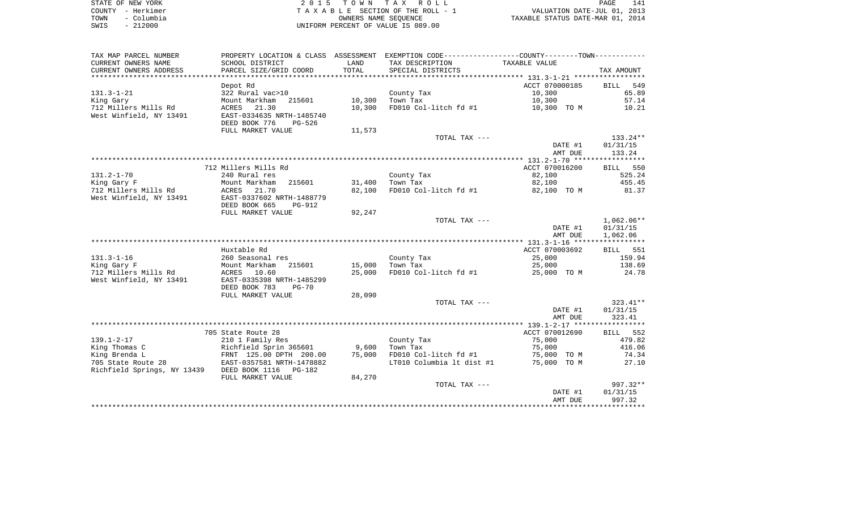| STATE OF NEW YORK  | 2015 TOWN TAX ROLL                 | 141<br>PAGE                      |
|--------------------|------------------------------------|----------------------------------|
| COUNTY - Herkimer  | TAXABLE SECTION OF THE ROLL - 1    | VALUATION DATE-JUL 01, 2013      |
| – Columbia<br>TOWN | OWNERS NAME SEOUENCE               | TAXABLE STATUS DATE-MAR 01, 2014 |
| $-212000$<br>SWIS  | UNIFORM PERCENT OF VALUE IS 089.00 |                                  |

| TAX DESCRIPTION<br>SCHOOL DISTRICT<br>LAND<br>TAXABLE VALUE<br>PARCEL SIZE/GRID COORD<br>TOTAL<br>SPECIAL DISTRICTS<br>TAX AMOUNT<br>ACCT 070000185<br>549<br>Depot Rd<br>BILL<br>10,300<br>65.89<br>322 Rural vac>10<br>County Tax<br>215601<br>10,300<br>Town Tax<br>10,300<br>57.14<br>Mount Markham<br>712 Millers Mills Rd<br>21.30<br>10,300<br>FD010 Col-litch fd #1<br>10.21<br>ACRES<br>10,300 TO M<br>West Winfield, NY 13491<br>EAST-0334635 NRTH-1485740<br>DEED BOOK 776<br>PG-526<br>FULL MARKET VALUE<br>11,573<br>133.24**<br>TOTAL TAX ---<br>DATE #1<br>01/31/15<br>133.24<br>AMT DUE<br>712 Millers Mills Rd<br>ACCT 070016200<br>BILL 550<br>$131.2 - 1 - 70$<br>County Tax<br>82,100<br>525.24<br>240 Rural res<br>31,400<br>82,100<br>455.45<br>King Gary F<br>Mount Markham<br>215601<br>Town Tax<br>712 Millers Mills Rd<br>82,100<br>FD010 Col-litch fd #1<br>ACRES<br>21.70<br>82,100 TO M<br>81.37<br>EAST-0337602 NRTH-1488779<br>DEED BOOK 665<br>PG-912<br>FULL MARKET VALUE<br>92,247<br>$1,062.06**$<br>TOTAL TAX ---<br>DATE #1<br>01/31/15<br>1,062.06<br>AMT DUE<br>Huxtable Rd<br>ACCT 070003692<br>BILL 551<br>$131.3 - 1 - 16$<br>25,000<br>159.94<br>260 Seasonal res<br>County Tax<br>King Gary F<br>215601<br>15,000<br>Town Tax<br>25,000<br>138.69<br>Mount Markham<br>712 Millers Mills Rd<br>25,000<br>FD010 Col-litch fd #1<br>ACRES 10.60<br>25,000 TO M<br>24.78<br>West Winfield, NY 13491<br>EAST-0335398 NRTH-1485299<br>DEED BOOK 783<br>$PG-70$<br>FULL MARKET VALUE<br>28,090<br>323.41**<br>TOTAL TAX ---<br>01/31/15<br>DATE #1<br>323.41<br>AMT DUE<br>ACCT 070012690<br>BILL 552<br>705 State Route 28<br>210 1 Family Res<br>County Tax<br>75,000<br>479.82<br>Richfield Sprin 365601<br>9,600<br>75,000<br>416.06<br>Town Tax<br>FRNT 125.00 DPTH 200.00<br>75,000<br>FD010 Col-litch fd #1<br>74.34<br>75,000 TO M<br>705 State Route 28<br>EAST-0357581 NRTH-1478882<br>LT010 Columbia lt dist #1<br>75,000 TO M<br>27.10<br>Richfield Springs, NY 13439<br>DEED BOOK 1116 PG-182<br>84,270<br>FULL MARKET VALUE<br>$997.32**$<br>TOTAL TAX ---<br>01/31/15<br>DATE #1<br>AMT DUE<br>997.32 | TAX MAP PARCEL NUMBER   |  | PROPERTY LOCATION & CLASS ASSESSMENT EXEMPTION CODE---------------COUNTY--------TOWN---------- |  |
|-----------------------------------------------------------------------------------------------------------------------------------------------------------------------------------------------------------------------------------------------------------------------------------------------------------------------------------------------------------------------------------------------------------------------------------------------------------------------------------------------------------------------------------------------------------------------------------------------------------------------------------------------------------------------------------------------------------------------------------------------------------------------------------------------------------------------------------------------------------------------------------------------------------------------------------------------------------------------------------------------------------------------------------------------------------------------------------------------------------------------------------------------------------------------------------------------------------------------------------------------------------------------------------------------------------------------------------------------------------------------------------------------------------------------------------------------------------------------------------------------------------------------------------------------------------------------------------------------------------------------------------------------------------------------------------------------------------------------------------------------------------------------------------------------------------------------------------------------------------------------------------------------------------------------------------------------------------------------------------------------------------------------------------------------------------------------------------------------------------------------------------------------------------|-------------------------|--|------------------------------------------------------------------------------------------------|--|
|                                                                                                                                                                                                                                                                                                                                                                                                                                                                                                                                                                                                                                                                                                                                                                                                                                                                                                                                                                                                                                                                                                                                                                                                                                                                                                                                                                                                                                                                                                                                                                                                                                                                                                                                                                                                                                                                                                                                                                                                                                                                                                                                                           | CURRENT OWNERS NAME     |  |                                                                                                |  |
|                                                                                                                                                                                                                                                                                                                                                                                                                                                                                                                                                                                                                                                                                                                                                                                                                                                                                                                                                                                                                                                                                                                                                                                                                                                                                                                                                                                                                                                                                                                                                                                                                                                                                                                                                                                                                                                                                                                                                                                                                                                                                                                                                           | CURRENT OWNERS ADDRESS  |  |                                                                                                |  |
|                                                                                                                                                                                                                                                                                                                                                                                                                                                                                                                                                                                                                                                                                                                                                                                                                                                                                                                                                                                                                                                                                                                                                                                                                                                                                                                                                                                                                                                                                                                                                                                                                                                                                                                                                                                                                                                                                                                                                                                                                                                                                                                                                           |                         |  |                                                                                                |  |
|                                                                                                                                                                                                                                                                                                                                                                                                                                                                                                                                                                                                                                                                                                                                                                                                                                                                                                                                                                                                                                                                                                                                                                                                                                                                                                                                                                                                                                                                                                                                                                                                                                                                                                                                                                                                                                                                                                                                                                                                                                                                                                                                                           |                         |  |                                                                                                |  |
|                                                                                                                                                                                                                                                                                                                                                                                                                                                                                                                                                                                                                                                                                                                                                                                                                                                                                                                                                                                                                                                                                                                                                                                                                                                                                                                                                                                                                                                                                                                                                                                                                                                                                                                                                                                                                                                                                                                                                                                                                                                                                                                                                           | $131.3 - 1 - 21$        |  |                                                                                                |  |
|                                                                                                                                                                                                                                                                                                                                                                                                                                                                                                                                                                                                                                                                                                                                                                                                                                                                                                                                                                                                                                                                                                                                                                                                                                                                                                                                                                                                                                                                                                                                                                                                                                                                                                                                                                                                                                                                                                                                                                                                                                                                                                                                                           | King Gary               |  |                                                                                                |  |
|                                                                                                                                                                                                                                                                                                                                                                                                                                                                                                                                                                                                                                                                                                                                                                                                                                                                                                                                                                                                                                                                                                                                                                                                                                                                                                                                                                                                                                                                                                                                                                                                                                                                                                                                                                                                                                                                                                                                                                                                                                                                                                                                                           |                         |  |                                                                                                |  |
|                                                                                                                                                                                                                                                                                                                                                                                                                                                                                                                                                                                                                                                                                                                                                                                                                                                                                                                                                                                                                                                                                                                                                                                                                                                                                                                                                                                                                                                                                                                                                                                                                                                                                                                                                                                                                                                                                                                                                                                                                                                                                                                                                           |                         |  |                                                                                                |  |
|                                                                                                                                                                                                                                                                                                                                                                                                                                                                                                                                                                                                                                                                                                                                                                                                                                                                                                                                                                                                                                                                                                                                                                                                                                                                                                                                                                                                                                                                                                                                                                                                                                                                                                                                                                                                                                                                                                                                                                                                                                                                                                                                                           |                         |  |                                                                                                |  |
|                                                                                                                                                                                                                                                                                                                                                                                                                                                                                                                                                                                                                                                                                                                                                                                                                                                                                                                                                                                                                                                                                                                                                                                                                                                                                                                                                                                                                                                                                                                                                                                                                                                                                                                                                                                                                                                                                                                                                                                                                                                                                                                                                           |                         |  |                                                                                                |  |
|                                                                                                                                                                                                                                                                                                                                                                                                                                                                                                                                                                                                                                                                                                                                                                                                                                                                                                                                                                                                                                                                                                                                                                                                                                                                                                                                                                                                                                                                                                                                                                                                                                                                                                                                                                                                                                                                                                                                                                                                                                                                                                                                                           |                         |  |                                                                                                |  |
|                                                                                                                                                                                                                                                                                                                                                                                                                                                                                                                                                                                                                                                                                                                                                                                                                                                                                                                                                                                                                                                                                                                                                                                                                                                                                                                                                                                                                                                                                                                                                                                                                                                                                                                                                                                                                                                                                                                                                                                                                                                                                                                                                           |                         |  |                                                                                                |  |
|                                                                                                                                                                                                                                                                                                                                                                                                                                                                                                                                                                                                                                                                                                                                                                                                                                                                                                                                                                                                                                                                                                                                                                                                                                                                                                                                                                                                                                                                                                                                                                                                                                                                                                                                                                                                                                                                                                                                                                                                                                                                                                                                                           |                         |  |                                                                                                |  |
|                                                                                                                                                                                                                                                                                                                                                                                                                                                                                                                                                                                                                                                                                                                                                                                                                                                                                                                                                                                                                                                                                                                                                                                                                                                                                                                                                                                                                                                                                                                                                                                                                                                                                                                                                                                                                                                                                                                                                                                                                                                                                                                                                           |                         |  |                                                                                                |  |
|                                                                                                                                                                                                                                                                                                                                                                                                                                                                                                                                                                                                                                                                                                                                                                                                                                                                                                                                                                                                                                                                                                                                                                                                                                                                                                                                                                                                                                                                                                                                                                                                                                                                                                                                                                                                                                                                                                                                                                                                                                                                                                                                                           |                         |  |                                                                                                |  |
|                                                                                                                                                                                                                                                                                                                                                                                                                                                                                                                                                                                                                                                                                                                                                                                                                                                                                                                                                                                                                                                                                                                                                                                                                                                                                                                                                                                                                                                                                                                                                                                                                                                                                                                                                                                                                                                                                                                                                                                                                                                                                                                                                           |                         |  |                                                                                                |  |
|                                                                                                                                                                                                                                                                                                                                                                                                                                                                                                                                                                                                                                                                                                                                                                                                                                                                                                                                                                                                                                                                                                                                                                                                                                                                                                                                                                                                                                                                                                                                                                                                                                                                                                                                                                                                                                                                                                                                                                                                                                                                                                                                                           |                         |  |                                                                                                |  |
|                                                                                                                                                                                                                                                                                                                                                                                                                                                                                                                                                                                                                                                                                                                                                                                                                                                                                                                                                                                                                                                                                                                                                                                                                                                                                                                                                                                                                                                                                                                                                                                                                                                                                                                                                                                                                                                                                                                                                                                                                                                                                                                                                           | West Winfield, NY 13491 |  |                                                                                                |  |
|                                                                                                                                                                                                                                                                                                                                                                                                                                                                                                                                                                                                                                                                                                                                                                                                                                                                                                                                                                                                                                                                                                                                                                                                                                                                                                                                                                                                                                                                                                                                                                                                                                                                                                                                                                                                                                                                                                                                                                                                                                                                                                                                                           |                         |  |                                                                                                |  |
|                                                                                                                                                                                                                                                                                                                                                                                                                                                                                                                                                                                                                                                                                                                                                                                                                                                                                                                                                                                                                                                                                                                                                                                                                                                                                                                                                                                                                                                                                                                                                                                                                                                                                                                                                                                                                                                                                                                                                                                                                                                                                                                                                           |                         |  |                                                                                                |  |
|                                                                                                                                                                                                                                                                                                                                                                                                                                                                                                                                                                                                                                                                                                                                                                                                                                                                                                                                                                                                                                                                                                                                                                                                                                                                                                                                                                                                                                                                                                                                                                                                                                                                                                                                                                                                                                                                                                                                                                                                                                                                                                                                                           |                         |  |                                                                                                |  |
|                                                                                                                                                                                                                                                                                                                                                                                                                                                                                                                                                                                                                                                                                                                                                                                                                                                                                                                                                                                                                                                                                                                                                                                                                                                                                                                                                                                                                                                                                                                                                                                                                                                                                                                                                                                                                                                                                                                                                                                                                                                                                                                                                           |                         |  |                                                                                                |  |
|                                                                                                                                                                                                                                                                                                                                                                                                                                                                                                                                                                                                                                                                                                                                                                                                                                                                                                                                                                                                                                                                                                                                                                                                                                                                                                                                                                                                                                                                                                                                                                                                                                                                                                                                                                                                                                                                                                                                                                                                                                                                                                                                                           |                         |  |                                                                                                |  |
|                                                                                                                                                                                                                                                                                                                                                                                                                                                                                                                                                                                                                                                                                                                                                                                                                                                                                                                                                                                                                                                                                                                                                                                                                                                                                                                                                                                                                                                                                                                                                                                                                                                                                                                                                                                                                                                                                                                                                                                                                                                                                                                                                           |                         |  |                                                                                                |  |
|                                                                                                                                                                                                                                                                                                                                                                                                                                                                                                                                                                                                                                                                                                                                                                                                                                                                                                                                                                                                                                                                                                                                                                                                                                                                                                                                                                                                                                                                                                                                                                                                                                                                                                                                                                                                                                                                                                                                                                                                                                                                                                                                                           |                         |  |                                                                                                |  |
|                                                                                                                                                                                                                                                                                                                                                                                                                                                                                                                                                                                                                                                                                                                                                                                                                                                                                                                                                                                                                                                                                                                                                                                                                                                                                                                                                                                                                                                                                                                                                                                                                                                                                                                                                                                                                                                                                                                                                                                                                                                                                                                                                           |                         |  |                                                                                                |  |
|                                                                                                                                                                                                                                                                                                                                                                                                                                                                                                                                                                                                                                                                                                                                                                                                                                                                                                                                                                                                                                                                                                                                                                                                                                                                                                                                                                                                                                                                                                                                                                                                                                                                                                                                                                                                                                                                                                                                                                                                                                                                                                                                                           |                         |  |                                                                                                |  |
|                                                                                                                                                                                                                                                                                                                                                                                                                                                                                                                                                                                                                                                                                                                                                                                                                                                                                                                                                                                                                                                                                                                                                                                                                                                                                                                                                                                                                                                                                                                                                                                                                                                                                                                                                                                                                                                                                                                                                                                                                                                                                                                                                           |                         |  |                                                                                                |  |
|                                                                                                                                                                                                                                                                                                                                                                                                                                                                                                                                                                                                                                                                                                                                                                                                                                                                                                                                                                                                                                                                                                                                                                                                                                                                                                                                                                                                                                                                                                                                                                                                                                                                                                                                                                                                                                                                                                                                                                                                                                                                                                                                                           |                         |  |                                                                                                |  |
|                                                                                                                                                                                                                                                                                                                                                                                                                                                                                                                                                                                                                                                                                                                                                                                                                                                                                                                                                                                                                                                                                                                                                                                                                                                                                                                                                                                                                                                                                                                                                                                                                                                                                                                                                                                                                                                                                                                                                                                                                                                                                                                                                           |                         |  |                                                                                                |  |
|                                                                                                                                                                                                                                                                                                                                                                                                                                                                                                                                                                                                                                                                                                                                                                                                                                                                                                                                                                                                                                                                                                                                                                                                                                                                                                                                                                                                                                                                                                                                                                                                                                                                                                                                                                                                                                                                                                                                                                                                                                                                                                                                                           |                         |  |                                                                                                |  |
|                                                                                                                                                                                                                                                                                                                                                                                                                                                                                                                                                                                                                                                                                                                                                                                                                                                                                                                                                                                                                                                                                                                                                                                                                                                                                                                                                                                                                                                                                                                                                                                                                                                                                                                                                                                                                                                                                                                                                                                                                                                                                                                                                           |                         |  |                                                                                                |  |
|                                                                                                                                                                                                                                                                                                                                                                                                                                                                                                                                                                                                                                                                                                                                                                                                                                                                                                                                                                                                                                                                                                                                                                                                                                                                                                                                                                                                                                                                                                                                                                                                                                                                                                                                                                                                                                                                                                                                                                                                                                                                                                                                                           |                         |  |                                                                                                |  |
|                                                                                                                                                                                                                                                                                                                                                                                                                                                                                                                                                                                                                                                                                                                                                                                                                                                                                                                                                                                                                                                                                                                                                                                                                                                                                                                                                                                                                                                                                                                                                                                                                                                                                                                                                                                                                                                                                                                                                                                                                                                                                                                                                           |                         |  |                                                                                                |  |
|                                                                                                                                                                                                                                                                                                                                                                                                                                                                                                                                                                                                                                                                                                                                                                                                                                                                                                                                                                                                                                                                                                                                                                                                                                                                                                                                                                                                                                                                                                                                                                                                                                                                                                                                                                                                                                                                                                                                                                                                                                                                                                                                                           |                         |  |                                                                                                |  |
|                                                                                                                                                                                                                                                                                                                                                                                                                                                                                                                                                                                                                                                                                                                                                                                                                                                                                                                                                                                                                                                                                                                                                                                                                                                                                                                                                                                                                                                                                                                                                                                                                                                                                                                                                                                                                                                                                                                                                                                                                                                                                                                                                           | $139.1 - 2 - 17$        |  |                                                                                                |  |
|                                                                                                                                                                                                                                                                                                                                                                                                                                                                                                                                                                                                                                                                                                                                                                                                                                                                                                                                                                                                                                                                                                                                                                                                                                                                                                                                                                                                                                                                                                                                                                                                                                                                                                                                                                                                                                                                                                                                                                                                                                                                                                                                                           | King Thomas C           |  |                                                                                                |  |
|                                                                                                                                                                                                                                                                                                                                                                                                                                                                                                                                                                                                                                                                                                                                                                                                                                                                                                                                                                                                                                                                                                                                                                                                                                                                                                                                                                                                                                                                                                                                                                                                                                                                                                                                                                                                                                                                                                                                                                                                                                                                                                                                                           | King Brenda L           |  |                                                                                                |  |
|                                                                                                                                                                                                                                                                                                                                                                                                                                                                                                                                                                                                                                                                                                                                                                                                                                                                                                                                                                                                                                                                                                                                                                                                                                                                                                                                                                                                                                                                                                                                                                                                                                                                                                                                                                                                                                                                                                                                                                                                                                                                                                                                                           |                         |  |                                                                                                |  |
|                                                                                                                                                                                                                                                                                                                                                                                                                                                                                                                                                                                                                                                                                                                                                                                                                                                                                                                                                                                                                                                                                                                                                                                                                                                                                                                                                                                                                                                                                                                                                                                                                                                                                                                                                                                                                                                                                                                                                                                                                                                                                                                                                           |                         |  |                                                                                                |  |
|                                                                                                                                                                                                                                                                                                                                                                                                                                                                                                                                                                                                                                                                                                                                                                                                                                                                                                                                                                                                                                                                                                                                                                                                                                                                                                                                                                                                                                                                                                                                                                                                                                                                                                                                                                                                                                                                                                                                                                                                                                                                                                                                                           |                         |  |                                                                                                |  |
|                                                                                                                                                                                                                                                                                                                                                                                                                                                                                                                                                                                                                                                                                                                                                                                                                                                                                                                                                                                                                                                                                                                                                                                                                                                                                                                                                                                                                                                                                                                                                                                                                                                                                                                                                                                                                                                                                                                                                                                                                                                                                                                                                           |                         |  |                                                                                                |  |
|                                                                                                                                                                                                                                                                                                                                                                                                                                                                                                                                                                                                                                                                                                                                                                                                                                                                                                                                                                                                                                                                                                                                                                                                                                                                                                                                                                                                                                                                                                                                                                                                                                                                                                                                                                                                                                                                                                                                                                                                                                                                                                                                                           |                         |  |                                                                                                |  |
|                                                                                                                                                                                                                                                                                                                                                                                                                                                                                                                                                                                                                                                                                                                                                                                                                                                                                                                                                                                                                                                                                                                                                                                                                                                                                                                                                                                                                                                                                                                                                                                                                                                                                                                                                                                                                                                                                                                                                                                                                                                                                                                                                           |                         |  |                                                                                                |  |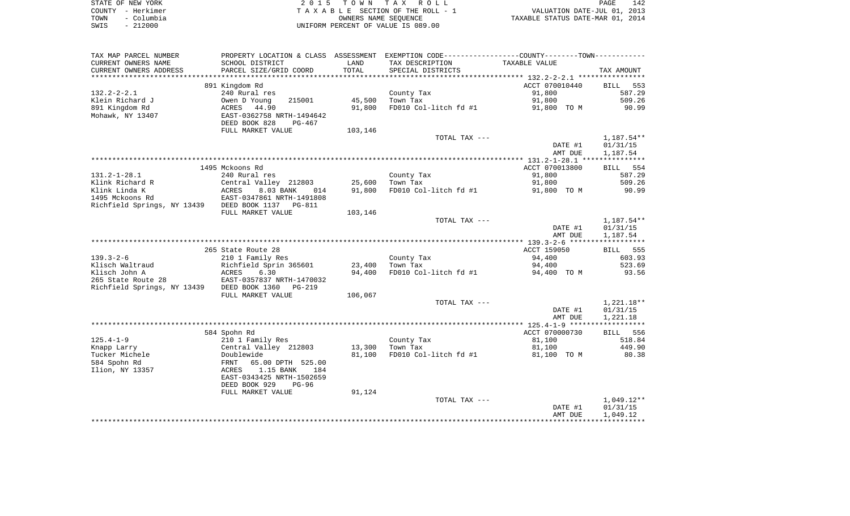| STATE OF NEW YORK  | 2015 TOWN TAX ROLL                 | 142<br>PAGE                      |
|--------------------|------------------------------------|----------------------------------|
| COUNTY - Herkimer  | TAXABLE SECTION OF THE ROLL - 1    | VALUATION DATE-JUL 01, 2013      |
| – Columbia<br>TOWN | OWNERS NAME SEOUENCE               | TAXABLE STATUS DATE-MAR 01, 2014 |
| $-212000$<br>SWIS  | UNIFORM PERCENT OF VALUE IS 089.00 |                                  |

| TAX MAP PARCEL NUMBER                             | PROPERTY LOCATION & CLASS ASSESSMENT |         | EXEMPTION CODE-----------------COUNTY-------TOWN----------- |                |              |
|---------------------------------------------------|--------------------------------------|---------|-------------------------------------------------------------|----------------|--------------|
| CURRENT OWNERS NAME                               | SCHOOL DISTRICT                      | LAND    | TAX DESCRIPTION                                             | TAXABLE VALUE  |              |
| CURRENT OWNERS ADDRESS                            | PARCEL SIZE/GRID COORD               | TOTAL   | SPECIAL DISTRICTS                                           |                | TAX AMOUNT   |
| ******************                                | **************************           |         |                                                             |                |              |
|                                                   | 891 Kingdom Rd                       |         |                                                             | ACCT 070010440 | BILL<br>553  |
| $132.2 - 2 - 2.1$                                 | 240 Rural res                        |         | County Tax                                                  | 91,800         | 587.29       |
| Klein Richard J                                   | Owen D Young<br>215001               | 45,500  | Town Tax                                                    | 91,800         | 509.26       |
| 891 Kingdom Rd                                    | ACRES<br>44.90                       | 91,800  | FD010 Col-litch fd #1                                       | 91,800 TO M    | 90.99        |
| Mohawk, NY 13407                                  | EAST-0362758 NRTH-1494642            |         |                                                             |                |              |
|                                                   | DEED BOOK 828<br>PG-467              |         |                                                             |                |              |
|                                                   | FULL MARKET VALUE                    | 103,146 |                                                             |                |              |
|                                                   |                                      |         | TOTAL TAX ---                                               |                | 1,187.54**   |
|                                                   |                                      |         |                                                             | DATE #1        | 01/31/15     |
|                                                   |                                      |         |                                                             | AMT DUE        | 1,187.54     |
|                                                   |                                      |         |                                                             |                |              |
|                                                   | 1495 Mckoons Rd                      |         |                                                             | ACCT 070013800 | BILL 554     |
| $131.2 - 1 - 28.1$                                | 240 Rural res                        |         | County Tax                                                  | 91,800         | 587.29       |
| Klink Richard R                                   | Central Valley 212803                | 25,600  | Town Tax                                                    | 91,800         | 509.26       |
| Klink Linda K                                     | 8.03 BANK<br>ACRES<br>014            | 91,800  | FD010 Col-litch fd #1                                       | 91,800 TO M    | 90.99        |
| 1495 Mckoons Rd                                   | EAST-0347861 NRTH-1491808            |         |                                                             |                |              |
| Richfield Springs, NY 13439 DEED BOOK 1137 PG-811 |                                      |         |                                                             |                |              |
|                                                   | FULL MARKET VALUE                    | 103,146 |                                                             |                |              |
|                                                   |                                      |         | TOTAL TAX ---                                               |                | $1,187.54**$ |
|                                                   |                                      |         |                                                             | DATE #1        | 01/31/15     |
|                                                   |                                      |         |                                                             | AMT DUE        | 1,187.54     |
|                                                   |                                      |         |                                                             |                |              |
|                                                   | 265 State Route 28                   |         |                                                             | ACCT 159050    | BILL 555     |
| $139.3 - 2 - 6$                                   | 210 1 Family Res                     |         | County Tax                                                  | 94,400         | 603.93       |
| Klisch Waltraud                                   | Richfield Sprin 365601               | 23,400  | Town Tax                                                    | 94,400         | 523.69       |
| Klisch John A                                     | ACRES<br>6.30                        | 94,400  | FD010 Col-litch fd #1                                       | 94,400 TO M    | 93.56        |
| 265 State Route 28                                | EAST-0357837 NRTH-1470032            |         |                                                             |                |              |
| Richfield Springs, NY 13439                       | DEED BOOK 1360<br>$PG-219$           |         |                                                             |                |              |
|                                                   | FULL MARKET VALUE                    | 106,067 |                                                             |                |              |
|                                                   |                                      |         | TOTAL TAX ---                                               |                | $1,221.18**$ |
|                                                   |                                      |         |                                                             | DATE #1        | 01/31/15     |
|                                                   |                                      |         |                                                             | AMT DUE        | 1,221.18     |
|                                                   |                                      |         |                                                             |                |              |
|                                                   | 584 Spohn Rd                         |         |                                                             | ACCT 070000730 | BILL 556     |
| $125.4 - 1 - 9$                                   | 210 1 Family Res                     |         | County Tax                                                  | 81,100         | 518.84       |
| Knapp Larry                                       | Central Valley 212803                | 13,300  | Town Tax                                                    | 81,100         | 449.90       |
| Tucker Michele                                    | Doublewide                           | 81,100  | FD010 Col-litch fd #1                                       | 81,100 TO M    | 80.38        |
| 584 Spohn Rd                                      | FRNT<br>65.00 DPTH 525.00            |         |                                                             |                |              |
| Ilion, NY 13357                                   | ACRES<br>1.15 BANK<br>184            |         |                                                             |                |              |
|                                                   | EAST-0343425 NRTH-1502659            |         |                                                             |                |              |
|                                                   | DEED BOOK 929<br>$PG-96$             |         |                                                             |                |              |
|                                                   | FULL MARKET VALUE                    | 91,124  |                                                             |                |              |
|                                                   |                                      |         | TOTAL TAX ---                                               |                | $1,049.12**$ |
|                                                   |                                      |         |                                                             | DATE #1        | 01/31/15     |
|                                                   |                                      |         |                                                             | AMT DUE        | 1,049.12     |
|                                                   |                                      |         |                                                             |                |              |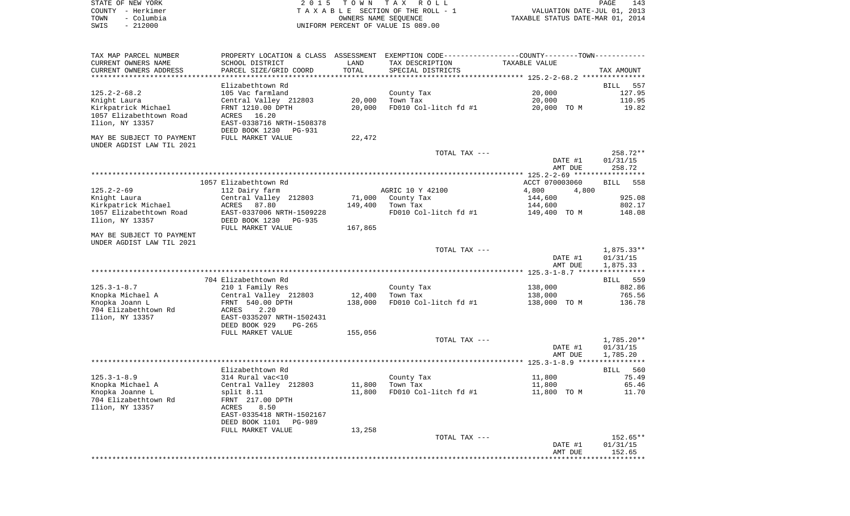| STATE OF NEW YORK  | 2015 TOWN TAX ROLL<br>PAGE                                     | 143 |
|--------------------|----------------------------------------------------------------|-----|
| COUNTY - Herkimer  | VALUATION DATE-JUL 01, 2013<br>TAXABLE SECTION OF THE ROLL - 1 |     |
| TOWN<br>– Columbia | TAXABLE STATUS DATE-MAR 01, 2014<br>OWNERS NAME SEOUENCE       |     |
| - 212000<br>SWIS   | UNIFORM PERCENT OF VALUE IS 089.00                             |     |

| TAX MAP PARCEL NUMBER     | PROPERTY LOCATION & CLASS ASSESSMENT |         | EXEMPTION CODE------------------COUNTY-------TOWN--------- |                                          |              |
|---------------------------|--------------------------------------|---------|------------------------------------------------------------|------------------------------------------|--------------|
| CURRENT OWNERS NAME       | SCHOOL DISTRICT                      | LAND    | TAX DESCRIPTION                                            | TAXABLE VALUE                            |              |
| CURRENT OWNERS ADDRESS    | PARCEL SIZE/GRID COORD               | TOTAL   | SPECIAL DISTRICTS                                          |                                          | TAX AMOUNT   |
|                           |                                      |         |                                                            | ***************** 125.2-2-68.2 ********* |              |
|                           | Elizabethtown Rd                     |         |                                                            |                                          | BILL<br>557  |
| $125.2 - 2 - 68.2$        | 105 Vac farmland                     |         |                                                            | 20,000                                   | 127.95       |
|                           |                                      |         | County Tax                                                 |                                          |              |
| Knight Laura              | Central Valley 212803                | 20,000  | Town Tax                                                   | 20,000                                   | 110.95       |
| Kirkpatrick Michael       | FRNT 1210.00 DPTH                    | 20,000  | FD010 Col-litch fd #1                                      | 20,000 TO M                              | 19.82        |
| 1057 Elizabethtown Road   | ACRES 16.20                          |         |                                                            |                                          |              |
| Ilion, NY 13357           | EAST-0338716 NRTH-1508378            |         |                                                            |                                          |              |
|                           | DEED BOOK 1230<br>PG-931             |         |                                                            |                                          |              |
| MAY BE SUBJECT TO PAYMENT | FULL MARKET VALUE                    | 22,472  |                                                            |                                          |              |
| UNDER AGDIST LAW TIL 2021 |                                      |         |                                                            |                                          |              |
|                           |                                      |         | TOTAL TAX ---                                              |                                          | 258.72**     |
|                           |                                      |         |                                                            |                                          |              |
|                           |                                      |         |                                                            | DATE #1                                  | 01/31/15     |
|                           |                                      |         |                                                            | AMT DUE                                  | 258.72       |
|                           |                                      |         |                                                            |                                          |              |
|                           | 1057 Elizabethtown Rd                |         |                                                            | ACCT 070003060                           | BILL<br>558  |
| $125.2 - 2 - 69$          | 112 Dairy farm                       |         | AGRIC 10 Y 42100                                           | 4,800<br>4,800                           |              |
| Knight Laura              | Central Valley 212803                | 71,000  | County Tax                                                 | 144,600                                  | 925.08       |
| Kirkpatrick Michael       | ACRES 87.80                          | 149,400 | Town Tax                                                   | 144,600                                  | 802.17       |
| 1057 Elizabethtown Road   | EAST-0337006 NRTH-1509228            |         |                                                            |                                          | 148.08       |
|                           |                                      |         | FD010 Col-litch fd #1                                      | 149,400 TO M                             |              |
| Ilion, NY 13357           | DEED BOOK 1230<br>PG-935             |         |                                                            |                                          |              |
|                           | FULL MARKET VALUE                    | 167,865 |                                                            |                                          |              |
| MAY BE SUBJECT TO PAYMENT |                                      |         |                                                            |                                          |              |
| UNDER AGDIST LAW TIL 2021 |                                      |         |                                                            |                                          |              |
|                           |                                      |         | TOTAL TAX ---                                              |                                          | 1,875.33**   |
|                           |                                      |         |                                                            | DATE #1                                  | 01/31/15     |
|                           |                                      |         |                                                            | AMT DUE                                  | 1,875.33     |
|                           |                                      |         |                                                            |                                          |              |
|                           | 704 Elizabethtown Rd                 |         |                                                            |                                          | BILL 559     |
|                           |                                      |         |                                                            |                                          |              |
| $125.3 - 1 - 8.7$         | 210 1 Family Res                     |         | County Tax                                                 | 138,000                                  | 882.86       |
| Knopka Michael A          | Central Valley 212803                | 12,400  | Town Tax                                                   | 138,000                                  | 765.56       |
| Knopka Joann L            | FRNT 540.00 DPTH                     | 138,000 | FD010 Col-litch fd #1                                      | 138,000 TO M                             | 136.78       |
| 704 Elizabethtown Rd      | 2.20<br>ACRES                        |         |                                                            |                                          |              |
| Ilion, NY 13357           | EAST-0335207 NRTH-1502431            |         |                                                            |                                          |              |
|                           | DEED BOOK 929<br>$PG-265$            |         |                                                            |                                          |              |
|                           | FULL MARKET VALUE                    | 155,056 |                                                            |                                          |              |
|                           |                                      |         | TOTAL TAX ---                                              |                                          | $1,785.20**$ |
|                           |                                      |         |                                                            | DATE #1                                  | 01/31/15     |
|                           |                                      |         |                                                            |                                          |              |
|                           |                                      |         |                                                            | AMT DUE                                  | 1,785.20     |
|                           |                                      |         |                                                            |                                          |              |
|                           | Elizabethtown Rd                     |         |                                                            |                                          | BILL 560     |
| $125.3 - 1 - 8.9$         | 314 Rural vac<10                     |         | County Tax                                                 | 11,800                                   | 75.49        |
| Knopka Michael A          | Central Valley 212803                | 11,800  | Town Tax                                                   | 11,800                                   | 65.46        |
| Knopka Joanne L           | split 8.11                           | 11,800  | FD010 Col-litch fd #1                                      | 11,800 TO M                              | 11.70        |
| 704 Elizabethtown Rd      | FRNT 217.00 DPTH                     |         |                                                            |                                          |              |
| Ilion, NY 13357           | ACRES<br>8.50                        |         |                                                            |                                          |              |
|                           |                                      |         |                                                            |                                          |              |
|                           | EAST-0335418 NRTH-1502167            |         |                                                            |                                          |              |
|                           | DEED BOOK 1101<br><b>PG-989</b>      |         |                                                            |                                          |              |
|                           | FULL MARKET VALUE                    | 13,258  |                                                            |                                          |              |
|                           |                                      |         | TOTAL TAX ---                                              |                                          | 152.65**     |
|                           |                                      |         |                                                            | DATE #1                                  | 01/31/15     |
|                           |                                      |         |                                                            | AMT DUE                                  | 152.65       |
|                           |                                      |         |                                                            |                                          | ********     |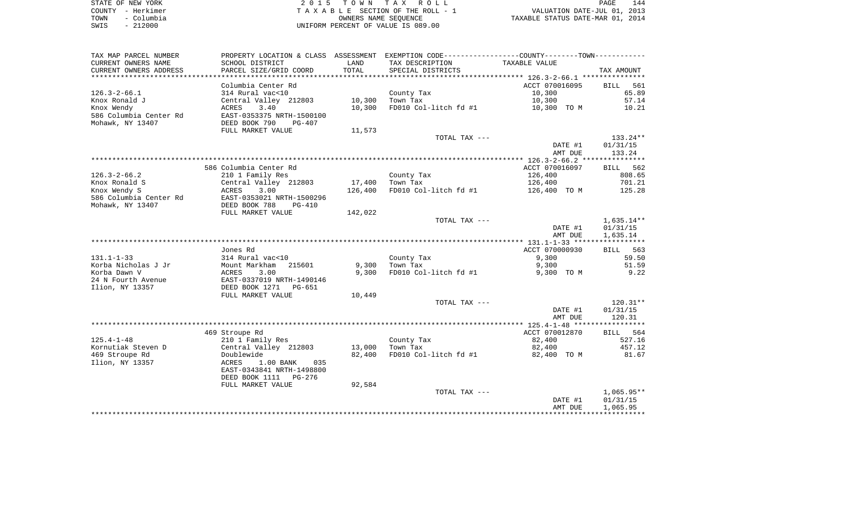|      | STATE OF NEW YORK | 2015 TOWN TAX ROLL                 | 144<br>PAGE                      |
|------|-------------------|------------------------------------|----------------------------------|
|      | COUNTY - Herkimer | TAXABLE SECTION OF THE ROLL - 1    | VALUATION DATE-JUL 01, 2013      |
| TOWN | - Columbia        | OWNERS NAME SEOUENCE               | TAXABLE STATUS DATE-MAR 01, 2014 |
| SWIS | $-212000$         | UNIFORM PERCENT OF VALUE IS 089.00 |                                  |

| TAX MAP PARCEL NUMBER                  | PROPERTY LOCATION & CLASS                 | ASSESSMENT       | EXEMPTION CODE-----------------COUNTY-------TOWN----------- |                       |                          |
|----------------------------------------|-------------------------------------------|------------------|-------------------------------------------------------------|-----------------------|--------------------------|
| CURRENT OWNERS NAME                    | SCHOOL DISTRICT                           | LAND             | TAX DESCRIPTION                                             | TAXABLE VALUE         |                          |
| CURRENT OWNERS ADDRESS                 | PARCEL SIZE/GRID COORD                    | TOTAL            | SPECIAL DISTRICTS                                           |                       | TAX AMOUNT               |
| *********************                  |                                           |                  |                                                             |                       |                          |
|                                        | Columbia Center Rd                        |                  |                                                             | ACCT 070016095        | <b>BILL</b><br>561       |
| $126.3 - 2 - 66.1$                     | 314 Rural vac<10                          |                  | County Tax                                                  | 10,300                | 65.89                    |
| Knox Ronald J                          | Central Valley 212803                     | 10,300           | Town Tax                                                    | 10,300                | 57.14                    |
| Knox Wendy                             | 3.40<br>ACRES                             | 10,300           | FD010 Col-litch fd #1                                       | 10,300 TO M           | 10.21                    |
| 586 Columbia Center Rd                 | EAST-0353375 NRTH-1500100                 |                  |                                                             |                       |                          |
| Mohawk, NY 13407                       | DEED BOOK 790<br>$PG-407$                 |                  |                                                             |                       |                          |
|                                        | FULL MARKET VALUE                         | 11,573           |                                                             |                       |                          |
|                                        |                                           |                  | TOTAL TAX ---                                               |                       | $133.24**$               |
|                                        |                                           |                  |                                                             | DATE #1               | 01/31/15                 |
|                                        |                                           |                  |                                                             | AMT DUE               | 133.24                   |
|                                        |                                           |                  |                                                             |                       |                          |
| $126.3 - 2 - 66.2$                     | 586 Columbia Center Rd                    |                  |                                                             | ACCT 070016097        | BILL 562<br>808.65       |
| Knox Ronald S                          | 210 1 Family Res<br>Central Valley 212803 | 17,400           | County Tax<br>Town Tax                                      | 126,400<br>126,400    | 701.21                   |
| Knox Wendy S                           | ACRES<br>3.00                             | 126,400          | FD010 Col-litch fd #1                                       | 126,400 TO M          | 125.28                   |
| 586 Columbia Center Rd                 | EAST-0353021 NRTH-1500296                 |                  |                                                             |                       |                          |
| Mohawk, NY 13407                       | DEED BOOK 788<br>$PG-410$                 |                  |                                                             |                       |                          |
|                                        | FULL MARKET VALUE                         | 142,022          |                                                             |                       |                          |
|                                        |                                           |                  | TOTAL TAX ---                                               |                       | 1,635.14**               |
|                                        |                                           |                  |                                                             | DATE #1               | 01/31/15                 |
|                                        |                                           |                  |                                                             | AMT DUE               | 1,635.14                 |
|                                        |                                           |                  |                                                             |                       |                          |
|                                        | Jones Rd                                  |                  |                                                             | ACCT 070000930        | BILL<br>563              |
| $131.1 - 1 - 33$                       | 314 Rural vac<10                          |                  | County Tax                                                  | 9,300                 | 59.50                    |
| Korba Nicholas J Jr                    | Mount Markham<br>215601                   | 9,300            | Town Tax                                                    | 9,300                 | 51.59                    |
| Korba Dawn V                           | ACRES<br>3.00                             | 9,300            | FD010 Col-litch fd #1                                       | 9,300 TO M            | 9.22                     |
| 24 N Fourth Avenue                     | EAST-0337019 NRTH-1490146                 |                  |                                                             |                       |                          |
| Ilion, NY 13357                        | DEED BOOK 1271<br>PG-651                  |                  |                                                             |                       |                          |
|                                        | FULL MARKET VALUE                         | 10,449           |                                                             |                       |                          |
|                                        |                                           |                  | TOTAL TAX ---                                               |                       | $120.31**$               |
|                                        |                                           |                  |                                                             | DATE #1               | 01/31/15                 |
|                                        |                                           |                  |                                                             | AMT DUE               | 120.31                   |
|                                        |                                           |                  |                                                             |                       |                          |
|                                        | 469 Stroupe Rd                            |                  |                                                             | ACCT 070012870        | BILL 564                 |
| $125.4 - 1 - 48$<br>Kornutiak Steven D | 210 1 Family Res                          |                  | County Tax                                                  | 82,400                | 527.16<br>457.12         |
| 469 Stroupe Rd                         | Central Valley 212803<br>Doublewide       | 13,000<br>82,400 | Town Tax<br>FD010 Col-litch fd #1                           | 82,400<br>82,400 TO M | 81.67                    |
| Ilion, NY 13357                        | ACRES<br>$1.00$ BANK<br>035               |                  |                                                             |                       |                          |
|                                        | EAST-0343841 NRTH-1498800                 |                  |                                                             |                       |                          |
|                                        |                                           |                  |                                                             |                       |                          |
|                                        |                                           |                  |                                                             |                       |                          |
|                                        | DEED BOOK 1111<br>PG-276                  |                  |                                                             |                       |                          |
|                                        | FULL MARKET VALUE                         | 92,584           |                                                             |                       |                          |
|                                        |                                           |                  | TOTAL TAX ---                                               | DATE #1               | $1,065.95**$<br>01/31/15 |
|                                        |                                           |                  |                                                             | AMT DUE               | 1,065.95                 |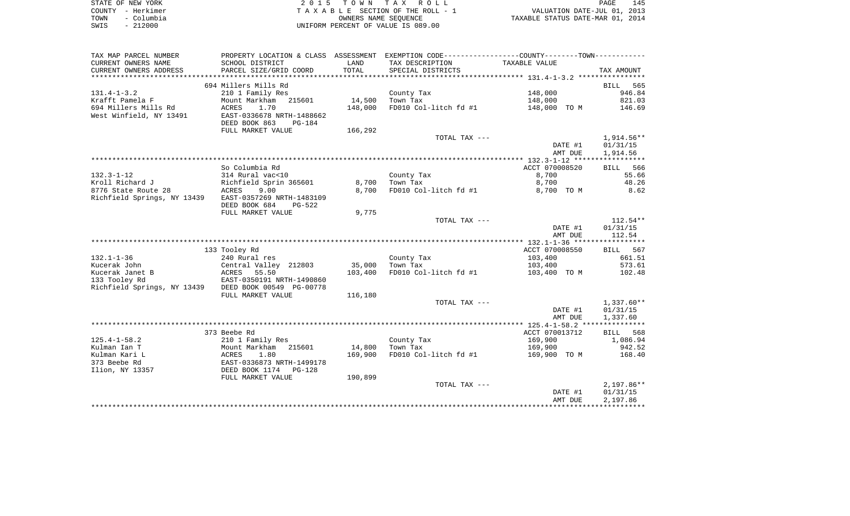| STATE OF NEW YORK  | 2015 TOWN TAX ROLL                 | 145<br>PAGE                      |
|--------------------|------------------------------------|----------------------------------|
| COUNTY - Herkimer  | TAXABLE SECTION OF THE ROLL - 1    | VALUATION DATE-JUL 01, 2013      |
| – Columbia<br>TOWN | OWNERS NAME SEOUENCE               | TAXABLE STATUS DATE-MAR 01, 2014 |
| $-212000$<br>SWIS  | UNIFORM PERCENT OF VALUE IS 089.00 |                                  |

| TAX MAP PARCEL NUMBER                        | PROPERTY LOCATION & CLASS ASSESSMENT                  |         | EXEMPTION CODE-----------------COUNTY--------TOWN----------- |                |              |
|----------------------------------------------|-------------------------------------------------------|---------|--------------------------------------------------------------|----------------|--------------|
| CURRENT OWNERS NAME                          | SCHOOL DISTRICT                                       | LAND    | TAX DESCRIPTION                                              | TAXABLE VALUE  |              |
| CURRENT OWNERS ADDRESS                       | PARCEL SIZE/GRID COORD                                | TOTAL   | SPECIAL DISTRICTS                                            |                | TAX AMOUNT   |
|                                              |                                                       |         |                                                              |                |              |
|                                              | 694 Millers Mills Rd                                  |         |                                                              |                | BILL<br>565  |
| $131.4 - 1 - 3.2$                            | 210 1 Family Res                                      |         | County Tax                                                   | 148,000        | 946.84       |
| Krafft Pamela F                              | 215601<br>Mount Markham                               | 14,500  | Town Tax                                                     | 148,000        | 821.03       |
| 694 Millers Mills Rd                         | ACRES<br>1.70                                         | 148,000 | FD010 Col-litch fd #1                                        | 148,000 TO M   | 146.69       |
| West Winfield, NY 13491                      | EAST-0336678 NRTH-1488662                             |         |                                                              |                |              |
|                                              | DEED BOOK 863<br>PG-184                               |         |                                                              |                |              |
|                                              | FULL MARKET VALUE                                     | 166,292 |                                                              |                |              |
|                                              |                                                       |         | TOTAL TAX ---                                                |                | 1,914.56**   |
|                                              |                                                       |         |                                                              | DATE #1        | 01/31/15     |
|                                              |                                                       |         |                                                              | AMT DUE        | 1,914.56     |
|                                              |                                                       |         |                                                              |                |              |
|                                              | So Columbia Rd                                        |         |                                                              | ACCT 070008520 | BILL 566     |
| $132.3 - 1 - 12$                             | 314 Rural vac<10                                      |         | County Tax                                                   | 8,700          | 55.66        |
| Kroll Richard J                              | Richfield Sprin 365601                                | 8,700   | Town Tax                                                     | 8,700          | 48.26        |
| 8776 State Route 28                          | ACRES<br>9.00                                         | 8,700   | FD010 Col-litch fd #1                                        | 8,700 TO M     | 8.62         |
| Richfield Springs, NY 13439                  | EAST-0357269 NRTH-1483109                             |         |                                                              |                |              |
|                                              | DEED BOOK 684<br>PG-522                               |         |                                                              |                |              |
|                                              | FULL MARKET VALUE                                     | 9,775   |                                                              |                |              |
|                                              |                                                       |         | TOTAL TAX ---                                                |                | 112.54**     |
|                                              |                                                       |         |                                                              | DATE #1        | 01/31/15     |
|                                              |                                                       |         |                                                              | AMT DUE        | 112.54       |
|                                              |                                                       |         |                                                              |                |              |
|                                              | 133 Tooley Rd                                         |         |                                                              | ACCT 070008550 | BILL 567     |
| $132.1 - 1 - 36$                             | 240 Rural res                                         |         | County Tax                                                   | 103,400        | 661.51       |
| Kucerak John<br>Kucerak Janet B              | Central Valley 212803                                 | 35,000  | Town Tax<br>FD010 Col-litch fd #1                            | 103,400        | 573.61       |
|                                              | ACRES<br>55.50                                        | 103,400 |                                                              | 103,400 TO M   | 102.48       |
| 133 Tooley Rd<br>Richfield Springs, NY 13439 | EAST-0350191 NRTH-1490860<br>DEED BOOK 00549 PG-00778 |         |                                                              |                |              |
|                                              | FULL MARKET VALUE                                     | 116,180 |                                                              |                |              |
|                                              |                                                       |         | TOTAL TAX ---                                                |                | $1,337.60**$ |
|                                              |                                                       |         |                                                              | DATE #1        | 01/31/15     |
|                                              |                                                       |         |                                                              | AMT DUE        | 1,337.60     |
|                                              |                                                       |         |                                                              |                |              |
|                                              | 373 Beebe Rd                                          |         |                                                              | ACCT 070013712 | BILL 568     |
| $125.4 - 1 - 58.2$                           | 210 1 Family Res                                      |         | County Tax                                                   | 169,900        | 1,086.94     |
| Kulman Ian T                                 | Mount Markham 215601                                  | 14,800  | Town Tax                                                     | 169,900        | 942.52       |
| Kulman Kari L                                | ACRES<br>1.80                                         | 169,900 | FD010 Col-litch fd #1                                        | 169,900 TO M   | 168.40       |
| 373 Beebe Rd                                 | EAST-0336873 NRTH-1499178                             |         |                                                              |                |              |
| Ilion, NY 13357                              | DEED BOOK 1174   PG-128                               |         |                                                              |                |              |
|                                              | FULL MARKET VALUE                                     | 190,899 |                                                              |                |              |
|                                              |                                                       |         | TOTAL TAX ---                                                |                | $2,197.86**$ |
|                                              |                                                       |         |                                                              | DATE #1        | 01/31/15     |
|                                              |                                                       |         |                                                              | AMT DUE        | 2,197.86     |
|                                              |                                                       |         |                                                              |                |              |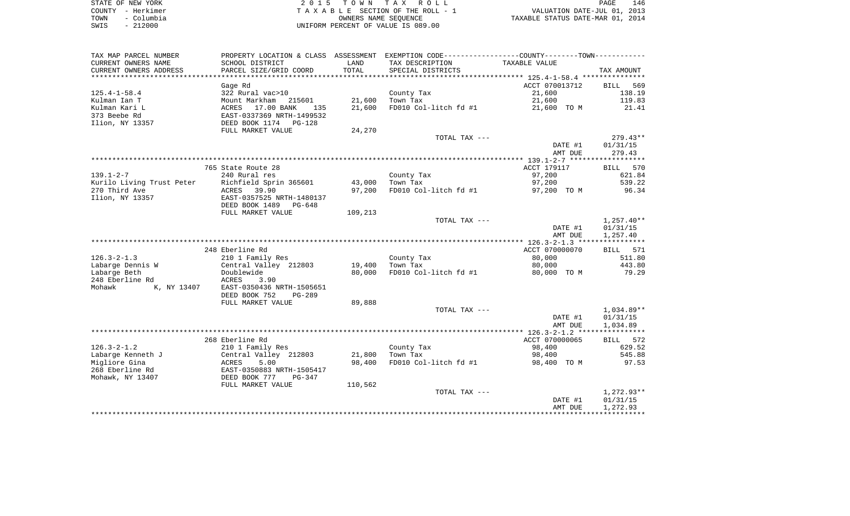| STATE OF NEW YORK  | 2015 TOWN TAX ROLL                 | 146<br>PAGE                      |
|--------------------|------------------------------------|----------------------------------|
| COUNTY - Herkimer  | TAXABLE SECTION OF THE ROLL - 1    | VALUATION DATE-JUL 01, 2013      |
| – Columbia<br>TOWN | OWNERS NAME SEOUENCE               | TAXABLE STATUS DATE-MAR 01, 2014 |
| $-212000$<br>SWIS  | UNIFORM PERCENT OF VALUE IS 089.00 |                                  |

| TAX MAP PARCEL NUMBER     | PROPERTY LOCATION & CLASS ASSESSMENT |            | EXEMPTION CODE-----------------COUNTY-------TOWN----------- |                |                    |
|---------------------------|--------------------------------------|------------|-------------------------------------------------------------|----------------|--------------------|
| CURRENT OWNERS NAME       | SCHOOL DISTRICT                      | LAND       | TAX DESCRIPTION                                             | TAXABLE VALUE  |                    |
| CURRENT OWNERS ADDRESS    | PARCEL SIZE/GRID COORD               | TOTAL      | SPECIAL DISTRICTS                                           |                | TAX AMOUNT         |
|                           |                                      | ********** |                                                             |                |                    |
|                           | Gage Rd                              |            |                                                             | ACCT 070013712 | <b>BILL</b><br>569 |
| $125.4 - 1 - 58.4$        | 322 Rural vac>10                     |            | County Tax                                                  | 21,600         | 138.19             |
| Kulman Ian T              | Mount Markham<br>215601              | 21,600     | Town Tax                                                    | 21,600         | 119.83             |
| Kulman Kari L             | 17.00 BANK<br>ACRES<br>135           | 21,600     | FD010 Col-litch fd #1                                       | 21,600 TO M    | 21.41              |
| 373 Beebe Rd              | EAST-0337369 NRTH-1499532            |            |                                                             |                |                    |
| Ilion, NY 13357           | DEED BOOK 1174<br>$PG-128$           |            |                                                             |                |                    |
|                           | FULL MARKET VALUE                    | 24,270     |                                                             |                |                    |
|                           |                                      |            | TOTAL TAX ---                                               |                | $279.43**$         |
|                           |                                      |            |                                                             | DATE #1        | 01/31/15           |
|                           |                                      |            |                                                             | AMT DUE        | 279.43             |
|                           |                                      |            |                                                             |                |                    |
|                           | 765 State Route 28                   |            |                                                             | ACCT 179117    | 570<br>BILL        |
| $139.1 - 2 - 7$           | 240 Rural res                        |            | County Tax                                                  | 97,200         | 621.84             |
| Kurilo Living Trust Peter | Richfield Sprin 365601               | 43,000     | Town Tax                                                    | 97,200         | 539.22             |
| 270 Third Ave             | ACRES<br>39.90                       | 97,200     | FD010 Col-litch fd #1                                       | 97,200 TO M    | 96.34              |
| Ilion, NY 13357           | EAST-0357525 NRTH-1480137            |            |                                                             |                |                    |
|                           | DEED BOOK 1489<br>PG-648             |            |                                                             |                |                    |
|                           | FULL MARKET VALUE                    | 109,213    |                                                             |                |                    |
|                           |                                      |            | TOTAL TAX ---                                               |                | $1,257.40**$       |
|                           |                                      |            |                                                             | DATE #1        | 01/31/15           |
|                           |                                      |            |                                                             | AMT DUE        | 1,257.40           |
|                           | 248 Eberline Rd                      |            |                                                             | ACCT 070000070 | BILL 571           |
| $126.3 - 2 - 1.3$         | 210 1 Family Res                     |            | County Tax                                                  | 80,000         | 511.80             |
| Labarge Dennis W          | Central Valley 212803                | 19,400     | Town Tax                                                    | 80,000         | 443.80             |
| Labarge Beth              | Doublewide                           | 80,000     | FD010 Col-litch fd #1                                       | 80,000 TO M    | 79.29              |
| 248 Eberline Rd           | ACRES<br>3.90                        |            |                                                             |                |                    |
| Mohawk<br>K, NY 13407     | EAST-0350436 NRTH-1505651            |            |                                                             |                |                    |
|                           | DEED BOOK 752<br>$PG-289$            |            |                                                             |                |                    |
|                           | FULL MARKET VALUE                    | 89,888     |                                                             |                |                    |
|                           |                                      |            | TOTAL TAX ---                                               |                | $1,034.89**$       |
|                           |                                      |            |                                                             | DATE #1        | 01/31/15           |
|                           |                                      |            |                                                             | AMT DUE        | 1,034.89           |
|                           |                                      |            |                                                             |                |                    |
|                           | 268 Eberline Rd                      |            |                                                             | ACCT 070000065 | 572<br>BILL        |
| $126.3 - 2 - 1.2$         | 210 1 Family Res                     |            | County Tax                                                  | 98,400         | 629.52             |
| Labarge Kenneth J         | Central Valley 212803                | 21,800     | Town Tax                                                    | 98,400         | 545.88             |
| Migliore Gina             | ACRES<br>5.00                        | 98,400     | FD010 Col-litch fd #1                                       | 98,400 TO M    | 97.53              |
| 268 Eberline Rd           | EAST-0350883 NRTH-1505417            |            |                                                             |                |                    |
| Mohawk, NY 13407          | DEED BOOK 777<br>$PG-347$            |            |                                                             |                |                    |
|                           | FULL MARKET VALUE                    | 110,562    |                                                             |                |                    |
|                           |                                      |            | TOTAL TAX ---                                               |                | 1,272.93**         |
|                           |                                      |            |                                                             | DATE #1        | 01/31/15           |
|                           |                                      |            |                                                             | AMT DUE        | 1,272.93           |
|                           |                                      |            |                                                             |                |                    |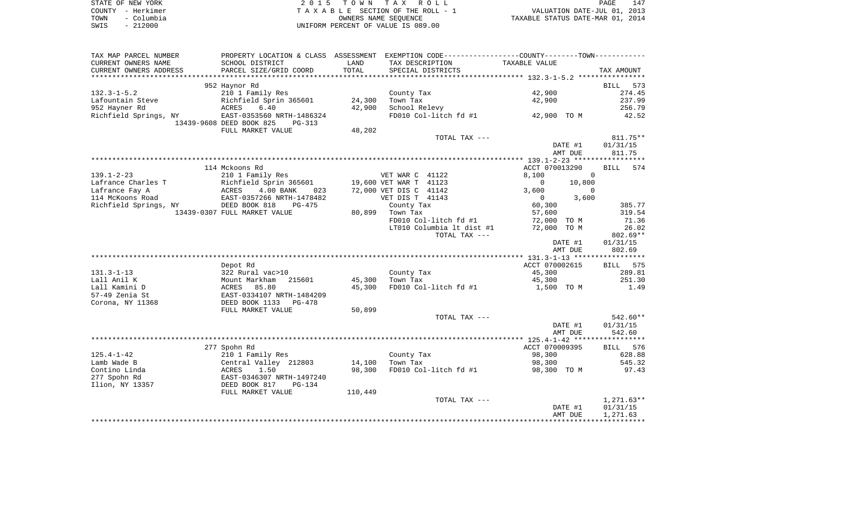|      | STATE OF NEW YORK | 2015 TOWN TAX ROLL                 | PAGE                             | 147 |
|------|-------------------|------------------------------------|----------------------------------|-----|
|      | COUNTY – Herkimer | TAXABLE SECTION OF THE ROLL - 1    | VALUATION DATE-JUL 01, 2013      |     |
| TOWN | - Columbia        | OWNERS NAME SEOUENCE               | TAXABLE STATUS DATE-MAR 01, 2014 |     |
| SWIS | - 212000          | UNIFORM PERCENT OF VALUE IS 089.00 |                                  |     |

| TAX MAP PARCEL NUMBER  |                                    |         |                           | PROPERTY LOCATION & CLASS ASSESSMENT EXEMPTION CODE---------------COUNTY--------TOWN---------- |                        |
|------------------------|------------------------------------|---------|---------------------------|------------------------------------------------------------------------------------------------|------------------------|
| CURRENT OWNERS NAME    | SCHOOL DISTRICT                    | LAND    | TAX DESCRIPTION           | TAXABLE VALUE                                                                                  |                        |
| CURRENT OWNERS ADDRESS | PARCEL SIZE/GRID COORD             | TOTAL   | SPECIAL DISTRICTS         |                                                                                                | TAX AMOUNT             |
|                        |                                    |         |                           |                                                                                                |                        |
|                        | 952 Haynor Rd                      |         |                           |                                                                                                | <b>BILL</b><br>573     |
| $132.3 - 1 - 5.2$      | 210 1 Family Res                   |         | County Tax                | 42,900                                                                                         | 274.45                 |
| Lafountain Steve       | Richfield Sprin 365601             | 24,300  | Town Tax                  | 42,900                                                                                         | 237.99                 |
| 952 Hayner Rd          | ACRES<br>6.40                      | 42,900  | School Relevy             |                                                                                                | 256.79                 |
| Richfield Springs, NY  | EAST-0353560 NRTH-1486324          |         | FD010 Col-litch fd #1     | 42,900 TO M                                                                                    | 42.52                  |
|                        | 13439-9608 DEED BOOK 825<br>PG-313 |         |                           |                                                                                                |                        |
|                        | FULL MARKET VALUE                  | 48,202  |                           |                                                                                                |                        |
|                        |                                    |         | TOTAL TAX ---             |                                                                                                | 811.75**               |
|                        |                                    |         |                           | DATE #1                                                                                        | 01/31/15               |
|                        |                                    |         |                           | AMT DUE                                                                                        | 811.75                 |
|                        |                                    |         |                           |                                                                                                |                        |
|                        | 114 Mckoons Rd                     |         |                           | ACCT 070013290                                                                                 | 574<br><b>BILL</b>     |
| $139.1 - 2 - 23$       | 210 1 Family Res                   |         | VET WAR C 41122           | 8,100<br>$\mathbf{0}$                                                                          |                        |
| Lafrance Charles T     | Richfield Sprin 365601             |         | 19,600 VET WAR T 41123    | 10,800<br>$\overline{0}$                                                                       |                        |
| Lafrance Fay A         | ACRES<br>4.00 BANK<br>023          |         | 72,000 VET DIS C 41142    | 3,600<br>$\Omega$                                                                              |                        |
| 114 McKoons Road       | EAST-0357266 NRTH-1478482          |         | VET DIS T 41143           | 3,600<br>$\overline{0}$                                                                        |                        |
| Richfield Springs, NY  | DEED BOOK 818<br>$PG-475$          |         | County Tax                | 60,300                                                                                         | 385.77                 |
|                        | 13439-0307 FULL MARKET VALUE       | 80,899  | Town Tax                  | 57,600                                                                                         | 319.54                 |
|                        |                                    |         | FD010 Col-litch fd #1     | 72,000 TO M                                                                                    | 71.36                  |
|                        |                                    |         | LT010 Columbia lt dist #1 | 72,000 TO M                                                                                    | 26.02                  |
|                        |                                    |         | TOTAL TAX ---             | DATE #1                                                                                        | $802.69**$<br>01/31/15 |
|                        |                                    |         |                           | AMT DUE                                                                                        | 802.69                 |
|                        |                                    |         |                           |                                                                                                |                        |
|                        | Depot Rd                           |         |                           | ACCT 070002615                                                                                 | BILL 575               |
| $131.3 - 1 - 13$       | 322 Rural vac>10                   |         | County Tax                | 45,300                                                                                         | 289.81                 |
| Lall Anil K            | Mount Markham<br>215601            | 45,300  | Town Tax                  | 45,300                                                                                         | 251.30                 |
| Lall Kamini D          | 85.80<br>ACRES                     | 45,300  | FD010 Col-litch fd #1     | 1,500 TO M                                                                                     | 1.49                   |
| 57-49 Zenia St         | EAST-0334107 NRTH-1484209          |         |                           |                                                                                                |                        |
| Corona, NY 11368       | DEED BOOK 1133<br>$PG-478$         |         |                           |                                                                                                |                        |
|                        | FULL MARKET VALUE                  | 50,899  |                           |                                                                                                |                        |
|                        |                                    |         | TOTAL TAX ---             |                                                                                                | 542.60**               |
|                        |                                    |         |                           | DATE #1                                                                                        | 01/31/15               |
|                        |                                    |         |                           | AMT DUE                                                                                        | 542.60                 |
|                        |                                    |         |                           |                                                                                                |                        |
|                        | 277 Spohn Rd                       |         |                           | ACCT 070009395                                                                                 | BILL 576               |
| $125.4 - 1 - 42$       | 210 1 Family Res                   |         | County Tax                | 98,300                                                                                         | 628.88                 |
| Lamb Wade B            | Central Valley 212803              | 14,100  | Town Tax                  | 98,300                                                                                         | 545.32                 |
| Contino Linda          | ACRES<br>1.50                      | 98,300  | FD010 Col-litch fd #1     | 98,300 TO M                                                                                    | 97.43                  |
| 277 Spohn Rd           | EAST-0346307 NRTH-1497240          |         |                           |                                                                                                |                        |
| Ilion, NY 13357        | DEED BOOK 817<br>$PG-134$          |         |                           |                                                                                                |                        |
|                        | FULL MARKET VALUE                  | 110,449 |                           |                                                                                                |                        |
|                        |                                    |         | TOTAL TAX ---             |                                                                                                | 1,271.63**             |
|                        |                                    |         |                           | DATE #1                                                                                        | 01/31/15               |
|                        |                                    |         |                           | AMT DUE                                                                                        | 1,271.63               |
|                        |                                    |         |                           |                                                                                                |                        |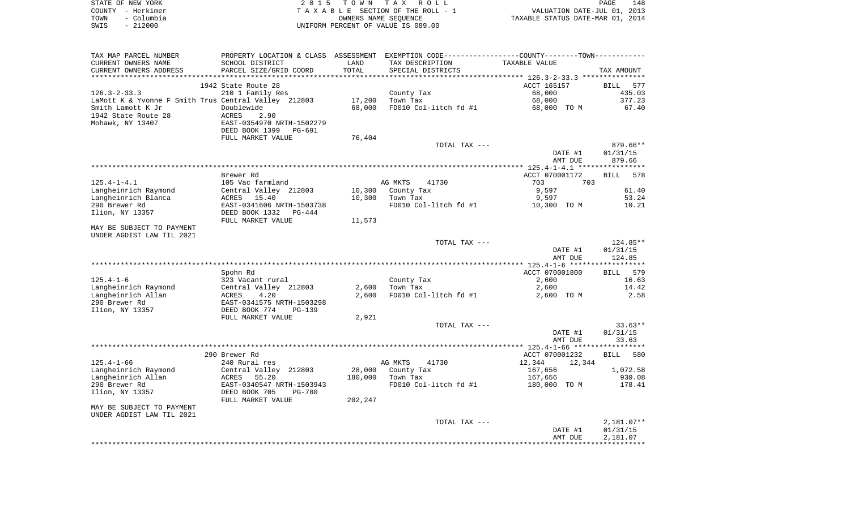| STATE OF NEW YORK |                   | 2015 TOWN TAX ROLL                 | 148<br>PAGE                      |
|-------------------|-------------------|------------------------------------|----------------------------------|
|                   | COUNTY - Herkimer | TAXABLE SECTION OF THE ROLL - 1    | VALUATION DATE-JUL 01, 2013      |
| TOWN              | – Columbia        | OWNERS NAME SEOUENCE               | TAXABLE STATUS DATE-MAR 01, 2014 |
| SWIS              | $-212000$         | UNIFORM PERCENT OF VALUE IS 089.00 |                                  |

| TAX MAP PARCEL NUMBER                                | PROPERTY LOCATION & CLASS      | ASSESSMENT | EXEMPTION CODE----------------COUNTY-------TOWN----------- |                                                  |                    |
|------------------------------------------------------|--------------------------------|------------|------------------------------------------------------------|--------------------------------------------------|--------------------|
| CURRENT OWNERS NAME                                  | SCHOOL DISTRICT                | LAND       | TAX DESCRIPTION                                            | TAXABLE VALUE                                    |                    |
| CURRENT OWNERS ADDRESS                               | PARCEL SIZE/GRID COORD         | TOTAL      | SPECIAL DISTRICTS                                          |                                                  | TAX AMOUNT         |
|                                                      |                                |            |                                                            | ****************** 126.3-2-33.3 **************** |                    |
|                                                      | 1942 State Route 28            |            |                                                            | ACCT 165157                                      | <b>BILL</b><br>577 |
| $126.3 - 2 - 33.3$                                   | 210 1 Family Res               |            | County Tax                                                 | 68,000                                           | 435.03             |
| LaMott K & Yvonne F Smith Trus Central Valley 212803 |                                | 17,200     | Town Tax                                                   | 68,000                                           | 377.23             |
| Smith Lamott K Jr                                    | Doublewide                     | 68,000     | FD010 Col-litch fd #1                                      | 68,000 TO M                                      | 67.40              |
| 1942 State Route 28                                  | ACRES<br>2.90                  |            |                                                            |                                                  |                    |
| Mohawk, NY 13407                                     | EAST-0354970 NRTH-1502279      |            |                                                            |                                                  |                    |
|                                                      | DEED BOOK 1399<br>PG-691       |            |                                                            |                                                  |                    |
|                                                      | FULL MARKET VALUE              |            |                                                            |                                                  |                    |
|                                                      |                                | 76,404     |                                                            |                                                  |                    |
|                                                      |                                |            | TOTAL TAX ---                                              |                                                  | 879.66**           |
|                                                      |                                |            |                                                            | DATE #1                                          | 01/31/15           |
|                                                      |                                |            |                                                            | AMT DUE                                          | 879.66             |
|                                                      |                                |            |                                                            | **************** 125.4-1-4.1 *****************   |                    |
|                                                      | Brewer Rd                      |            |                                                            | ACCT 070001172                                   | 578<br><b>BILL</b> |
| $125.4 - 1 - 4.1$                                    | 105 Vac farmland               |            | AG MKTS<br>41730                                           | 703<br>703                                       |                    |
| Langheinrich Raymond                                 | Central Valley 212803          | 10,300     | County Tax                                                 | 9,597                                            | 61.40              |
| Langheinrich Blanca                                  | 15.40<br>ACRES                 | 10,300     | Town Tax                                                   | 9,597                                            | 53.24              |
| 290 Brewer Rd                                        | EAST-0341606 NRTH-1503738      |            | FD010 Col-litch fd #1                                      | 10,300 TO M                                      | 10.21              |
| Ilion, NY 13357                                      | DEED BOOK 1332<br>PG-444       |            |                                                            |                                                  |                    |
|                                                      | FULL MARKET VALUE              | 11,573     |                                                            |                                                  |                    |
| MAY BE SUBJECT TO PAYMENT                            |                                |            |                                                            |                                                  |                    |
| UNDER AGDIST LAW TIL 2021                            |                                |            |                                                            |                                                  |                    |
|                                                      |                                |            | TOTAL TAX ---                                              |                                                  | $124.85**$         |
|                                                      |                                |            |                                                            | DATE #1                                          | 01/31/15           |
|                                                      |                                |            |                                                            | AMT DUE                                          | 124.85             |
|                                                      |                                |            |                                                            |                                                  |                    |
|                                                      | Spohn Rd                       |            |                                                            | ACCT 070001800                                   | 579<br>BILL        |
| $125.4 - 1 - 6$                                      | 323 Vacant rural               |            | County Tax                                                 | 2,600                                            | 16.63              |
| Langheinrich Raymond                                 | Central Valley 212803          | 2,600      | Town Tax                                                   | 2,600                                            | 14.42              |
| Langheinrich Allan                                   | 4.20<br>ACRES                  | 2,600      | FD010 Col-litch fd #1                                      | 2,600 TO M                                       | 2.58               |
| 290 Brewer Rd                                        | EAST-0341575 NRTH-1503298      |            |                                                            |                                                  |                    |
| Ilion, NY 13357                                      | DEED BOOK 774<br>$PG-139$      |            |                                                            |                                                  |                    |
|                                                      | FULL MARKET VALUE              | 2,921      |                                                            |                                                  |                    |
|                                                      |                                |            |                                                            |                                                  |                    |
|                                                      |                                |            | TOTAL TAX ---                                              |                                                  | $33.63**$          |
|                                                      |                                |            |                                                            | DATE #1                                          | 01/31/15           |
|                                                      |                                |            |                                                            | AMT DUE                                          | 33.63              |
|                                                      |                                |            |                                                            |                                                  |                    |
|                                                      | 290 Brewer Rd                  |            |                                                            | ACCT 070001232                                   | 580<br><b>BILL</b> |
| $125.4 - 1 - 66$                                     | 240 Rural res                  |            | AG MKTS<br>41730                                           | 12,344<br>12,344                                 |                    |
| Langheinrich Raymond                                 | Central Valley 212803          | 28,000     | County Tax                                                 | 167,656                                          | 1,072.58           |
| Langheinrich Allan                                   | ACRES<br>55.20                 | 180,000    | Town Tax                                                   | 167,656                                          | 930.08             |
| 290 Brewer Rd                                        | EAST-0340547 NRTH-1503943      |            | FD010 Col-litch fd #1                                      | 180,000 TO M                                     | 178.41             |
| Ilion, NY 13357                                      | DEED BOOK 705<br><b>PG-780</b> |            |                                                            |                                                  |                    |
|                                                      | FULL MARKET VALUE              | 202,247    |                                                            |                                                  |                    |
| MAY BE SUBJECT TO PAYMENT                            |                                |            |                                                            |                                                  |                    |
| UNDER AGDIST LAW TIL 2021                            |                                |            |                                                            |                                                  |                    |
|                                                      |                                |            | TOTAL TAX ---                                              |                                                  | $2,181.07**$       |
|                                                      |                                |            |                                                            | DATE #1                                          | 01/31/15           |
|                                                      |                                |            |                                                            | AMT DUE                                          | 2,181.07           |
|                                                      |                                |            |                                                            |                                                  |                    |
|                                                      |                                |            |                                                            |                                                  |                    |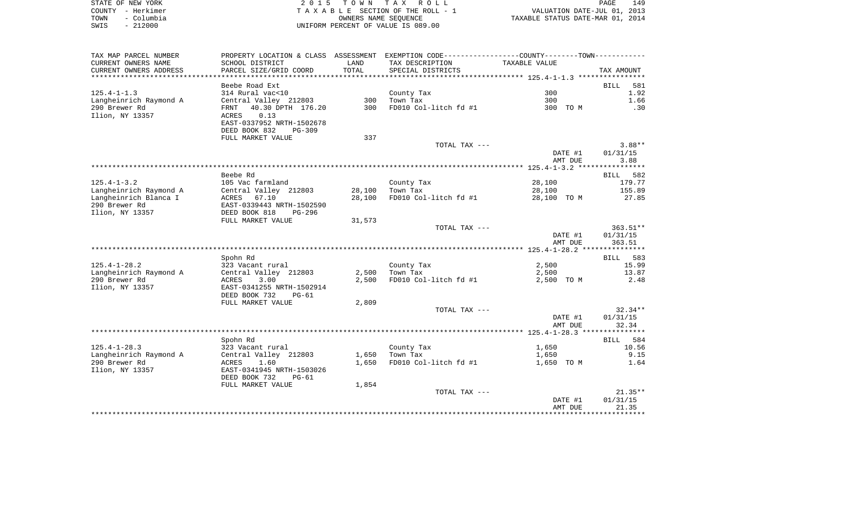|      | STATE OF NEW YORK | 2015 TOWN TAX ROLL                 | 149<br>PAGE                      |
|------|-------------------|------------------------------------|----------------------------------|
|      | COUNTY - Herkimer | TAXABLE SECTION OF THE ROLL - 1    | VALUATION DATE-JUL 01, 2013      |
| TOWN | – Columbia        | OWNERS NAME SEOUENCE               | TAXABLE STATUS DATE-MAR 01, 2014 |
| SWIS | $-212000$         | UNIFORM PERCENT OF VALUE IS 089.00 |                                  |

| TAX MAP PARCEL NUMBER  | PROPERTY LOCATION & CLASS ASSESSMENT |        | EXEMPTION CODE----------------COUNTY-------TOWN----------- |               |                      |
|------------------------|--------------------------------------|--------|------------------------------------------------------------|---------------|----------------------|
| CURRENT OWNERS NAME    | SCHOOL DISTRICT                      | LAND   | TAX DESCRIPTION                                            | TAXABLE VALUE |                      |
| CURRENT OWNERS ADDRESS | PARCEL SIZE/GRID COORD               | TOTAL  | SPECIAL DISTRICTS                                          |               | TAX AMOUNT           |
| *********************  |                                      |        |                                                            |               |                      |
|                        | Beebe Road Ext                       |        |                                                            |               | 581<br><b>BILL</b>   |
| $125.4 - 1 - 1.3$      | 314 Rural vac<10                     |        | County Tax                                                 | 300           | 1.92                 |
| Langheinrich Raymond A | Central Valley 212803                | 300    | Town Tax                                                   | 300           | 1.66                 |
| 290 Brewer Rd          | 40.30 DPTH 176.20<br>FRNT            | 300    | FD010 Col-litch fd #1                                      | 300 TO M      | .30                  |
| Ilion, NY 13357        | <b>ACRES</b><br>0.13                 |        |                                                            |               |                      |
|                        | EAST-0337952 NRTH-1502678            |        |                                                            |               |                      |
|                        | DEED BOOK 832<br>$PG-309$            |        |                                                            |               |                      |
|                        | FULL MARKET VALUE                    | 337    |                                                            |               |                      |
|                        |                                      |        | TOTAL TAX ---                                              |               | $3.88**$             |
|                        |                                      |        |                                                            | DATE #1       | 01/31/15             |
|                        |                                      |        |                                                            | AMT DUE       | 3.88                 |
|                        | Beebe Rd                             |        |                                                            |               | 582                  |
| $125.4 - 1 - 3.2$      | 105 Vac farmland                     |        | County Tax                                                 | 28,100        | BILL<br>179.77       |
| Langheinrich Raymond A | Central Valley 212803                | 28,100 | Town Tax                                                   | 28,100        | 155.89               |
| Langheinrich Blanca I  | ACRES 67.10                          | 28,100 | FD010 Col-litch fd #1                                      | 28,100 TO M   | 27.85                |
| 290 Brewer Rd          | EAST-0339443 NRTH-1502590            |        |                                                            |               |                      |
| Ilion, NY 13357        | DEED BOOK 818<br>PG-296              |        |                                                            |               |                      |
|                        | FULL MARKET VALUE                    | 31,573 |                                                            |               |                      |
|                        |                                      |        | TOTAL TAX ---                                              |               | $363.51**$           |
|                        |                                      |        |                                                            | DATE #1       | 01/31/15             |
|                        |                                      |        |                                                            | AMT DUE       | 363.51               |
|                        |                                      |        |                                                            |               |                      |
|                        | Spohn Rd                             |        |                                                            |               | BILL 583             |
| $125.4 - 1 - 28.2$     | 323 Vacant rural                     |        | County Tax                                                 | 2,500         | 15.99                |
| Langheinrich Raymond A | Central Valley 212803                | 2,500  | Town Tax                                                   | 2,500         | 13.87                |
| 290 Brewer Rd          | ACRES<br>3.00                        | 2,500  | FD010 Col-litch fd #1                                      | 2,500 TO M    | 2.48                 |
| Ilion, NY 13357        | EAST-0341255 NRTH-1502914            |        |                                                            |               |                      |
|                        | DEED BOOK 732<br>$PG-61$             |        |                                                            |               |                      |
|                        | FULL MARKET VALUE                    | 2,809  |                                                            |               |                      |
|                        |                                      |        | TOTAL TAX ---                                              |               | $32.34**$            |
|                        |                                      |        |                                                            | DATE #1       | 01/31/15             |
|                        |                                      |        |                                                            | AMT DUE       | 32.34                |
|                        |                                      |        |                                                            |               |                      |
| $125.4 - 1 - 28.3$     | Spohn Rd<br>323 Vacant rural         |        | County Tax                                                 | 1,650         | 584<br>BILL<br>10.56 |
| Langheinrich Raymond A | Central Valley 212803                | 1,650  | Town Tax                                                   | 1,650         | 9.15                 |
| 290 Brewer Rd          | ACRES<br>1.60                        | 1,650  | FD010 Col-litch fd #1                                      | 1,650 TO M    | 1.64                 |
| Ilion, NY 13357        | EAST-0341945 NRTH-1503026            |        |                                                            |               |                      |
|                        | DEED BOOK 732<br>$PG-61$             |        |                                                            |               |                      |
|                        | FULL MARKET VALUE                    | 1,854  |                                                            |               |                      |
|                        |                                      |        | TOTAL TAX ---                                              |               | $21.35**$            |
|                        |                                      |        |                                                            | DATE #1       | 01/31/15             |
|                        |                                      |        |                                                            | AMT DUE       | 21.35                |
|                        |                                      |        |                                                            |               | ********             |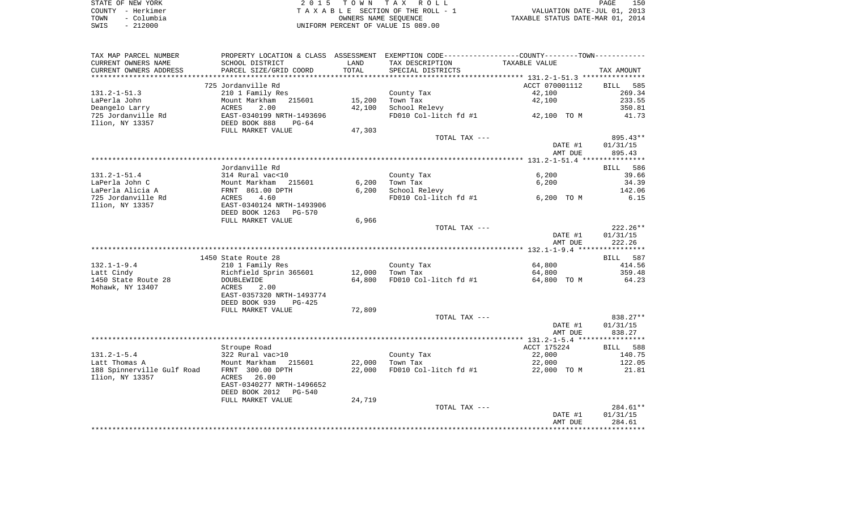|      | STATE OF NEW YORK | 2015 TOWN TAX ROLL                 | 150<br>PAGE                      |
|------|-------------------|------------------------------------|----------------------------------|
|      | COUNTY - Herkimer | TAXABLE SECTION OF THE ROLL - 1    | VALUATION DATE-JUL 01, 2013      |
| TOWN | - Columbia        | OWNERS NAME SEOUENCE               | TAXABLE STATUS DATE-MAR 01, 2014 |
| SWIS | $-212000$         | UNIFORM PERCENT OF VALUE IS 089.00 |                                  |

| TAX MAP PARCEL NUMBER<br>CURRENT OWNERS NAME | SCHOOL DISTRICT                               | LAND             | PROPERTY LOCATION & CLASS ASSESSMENT EXEMPTION CODE----------------COUNTY-------TOWN----------<br>TAX DESCRIPTION | TAXABLE VALUE            |                       |
|----------------------------------------------|-----------------------------------------------|------------------|-------------------------------------------------------------------------------------------------------------------|--------------------------|-----------------------|
| CURRENT OWNERS ADDRESS                       | PARCEL SIZE/GRID COORD                        | TOTAL            | SPECIAL DISTRICTS                                                                                                 |                          | TAX AMOUNT            |
| *********************                        |                                               |                  |                                                                                                                   |                          |                       |
| $131.2 - 1 - 51.3$                           | 725 Jordanville Rd<br>210 1 Family Res        |                  | County Tax                                                                                                        | ACCT 070001112<br>42,100 | BILL<br>585<br>269.34 |
| LaPerla John                                 | Mount Markham<br>215601                       | 15,200           | Town Tax                                                                                                          | 42,100                   | 233.55                |
| Deangelo Larry                               | ACRES<br>2.00                                 | 42,100           | School Relevy                                                                                                     |                          | 350.81                |
| 725 Jordanville Rd                           | EAST-0340199 NRTH-1493696                     |                  | FD010 Col-litch fd #1                                                                                             | 42,100 TO M              | 41.73                 |
| Ilion, NY 13357                              | DEED BOOK 888<br>$PG-64$<br>FULL MARKET VALUE | 47,303           |                                                                                                                   |                          |                       |
|                                              |                                               |                  | TOTAL TAX ---                                                                                                     |                          | 895.43**              |
|                                              |                                               |                  |                                                                                                                   | DATE #1<br>AMT DUE       | 01/31/15<br>895.43    |
|                                              |                                               |                  |                                                                                                                   |                          |                       |
|                                              | Jordanville Rd                                |                  |                                                                                                                   |                          | BILL<br>586           |
| $131.2 - 1 - 51.4$                           | 314 Rural vac<10                              |                  | County Tax                                                                                                        | 6,200                    | 39.66                 |
| LaPerla John C<br>LaPerla Alicia A           | Mount Markham 215601<br>FRNT 861.00 DPTH      | 6,200<br>6,200   | Town Tax<br>School Relevy                                                                                         | 6,200                    | 34.39<br>142.06       |
| 725 Jordanville Rd                           | 4.60<br>ACRES                                 |                  | FD010 Col-litch fd #1                                                                                             | 6,200 TO M               | 6.15                  |
| Ilion, NY 13357                              | EAST-0340124 NRTH-1493906                     |                  |                                                                                                                   |                          |                       |
|                                              | DEED BOOK 1263<br>PG-570                      |                  |                                                                                                                   |                          |                       |
|                                              | FULL MARKET VALUE                             | 6,966            |                                                                                                                   |                          |                       |
|                                              |                                               |                  | TOTAL TAX ---                                                                                                     |                          | 222.26**              |
|                                              |                                               |                  |                                                                                                                   | DATE #1<br>AMT DUE       | 01/31/15<br>222.26    |
|                                              |                                               |                  |                                                                                                                   |                          |                       |
|                                              | 1450 State Route 28                           |                  |                                                                                                                   |                          | BILL 587              |
| $132.1 - 1 - 9.4$                            | 210 1 Family Res                              |                  | County Tax<br>Town Tax                                                                                            | 64,800                   | 414.56<br>359.48      |
| Latt Cindy<br>1450 State Route 28            | Richfield Sprin 365601<br>DOUBLEWIDE          | 12,000<br>64,800 | FD010 Col-litch fd #1                                                                                             | 64,800<br>64,800 TO M    | 64.23                 |
| Mohawk, NY 13407                             | ACRES<br>2.00                                 |                  |                                                                                                                   |                          |                       |
|                                              | EAST-0357320 NRTH-1493774                     |                  |                                                                                                                   |                          |                       |
|                                              | DEED BOOK 939<br>$PG-425$                     |                  |                                                                                                                   |                          |                       |
|                                              | FULL MARKET VALUE                             | 72,809           |                                                                                                                   |                          |                       |
|                                              |                                               |                  | TOTAL TAX ---                                                                                                     |                          | 838.27**              |
|                                              |                                               |                  |                                                                                                                   | DATE #1                  | 01/31/15              |
|                                              |                                               |                  |                                                                                                                   | AMT DUE                  | 838.27                |
|                                              |                                               |                  |                                                                                                                   | ACCT 175224              | BILL 588              |
| $131.2 - 1 - 5.4$                            | Stroupe Road<br>322 Rural vac>10              |                  | County Tax                                                                                                        | 22,000                   | 140.75                |
| Latt Thomas A                                | Mount Markham<br>215601                       | 22,000           | Town Tax                                                                                                          | 22,000                   | 122.05                |
| 188 Spinnerville Gulf Road                   | FRNT 300.00 DPTH                              | 22,000           | FD010 Col-litch fd #1                                                                                             | 22,000 TO M              | 21.81                 |
| Ilion, NY 13357                              | 26.00<br>ACRES                                |                  |                                                                                                                   |                          |                       |
|                                              | EAST-0340277 NRTH-1496652                     |                  |                                                                                                                   |                          |                       |
|                                              | DEED BOOK 2012<br>PG-540                      |                  |                                                                                                                   |                          |                       |
|                                              | FULL MARKET VALUE                             | 24,719           |                                                                                                                   |                          |                       |
|                                              |                                               |                  | TOTAL TAX ---                                                                                                     |                          | 284.61**              |
|                                              |                                               |                  |                                                                                                                   | DATE #1                  | 01/31/15<br>284.61    |
|                                              |                                               |                  |                                                                                                                   | AMT DUE                  |                       |
|                                              |                                               |                  |                                                                                                                   |                          |                       |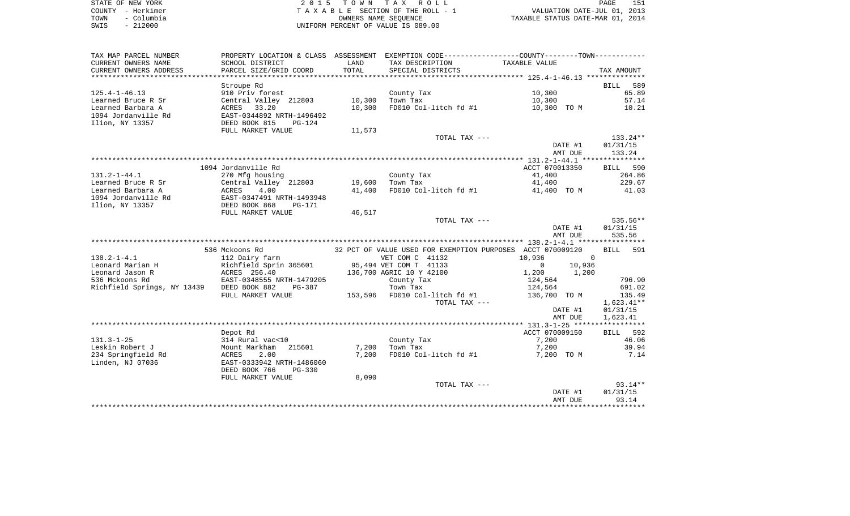|      | STATE OF NEW YORK | 2015 TOWN TAX ROLL                 | 151<br>PAGE                      |
|------|-------------------|------------------------------------|----------------------------------|
|      | COUNTY - Herkimer | TAXABLE SECTION OF THE ROLL - 1    | VALUATION DATE-JUL 01, 2013      |
| TOWN | – Columbia        | OWNERS NAME SEOUENCE               | TAXABLE STATUS DATE-MAR 01, 2014 |
| SWIS | $-212000$         | UNIFORM PERCENT OF VALUE IS 089.00 |                                  |

| TAX MAP PARCEL NUMBER                     | PROPERTY LOCATION & CLASS ASSESSMENT EXEMPTION CODE----------------COUNTY--------TOWN---------- |        |                                                            |                                   |                   |
|-------------------------------------------|-------------------------------------------------------------------------------------------------|--------|------------------------------------------------------------|-----------------------------------|-------------------|
| CURRENT OWNERS NAME                       | SCHOOL DISTRICT                                                                                 | LAND   | TAX DESCRIPTION                                            | TAXABLE VALUE                     |                   |
| CURRENT OWNERS ADDRESS                    | PARCEL SIZE/GRID COORD                                                                          | TOTAL  | SPECIAL DISTRICTS                                          |                                   | TAX AMOUNT        |
|                                           |                                                                                                 |        |                                                            |                                   |                   |
|                                           | Stroupe Rd                                                                                      |        |                                                            |                                   | BILL 589          |
| $125.4 - 1 - 46.13$                       | 910 Priv forest                                                                                 |        | County Tax                                                 | 10,300                            | 65.89             |
| Learned Bruce R Sr                        | Central Valley 212803                                                                           | 10,300 | Town Tax                                                   | 10,300                            | 57.14             |
| Learned Barbara A                         | ACRES 33.20                                                                                     | 10,300 | FD010 Col-litch fd #1                                      | 10,300 TO M                       | 10.21             |
| 1094 Jordanville Rd                       | EAST-0344892 NRTH-1496492                                                                       |        |                                                            |                                   |                   |
| Ilion, NY 13357                           | DEED BOOK 815<br>PG-124                                                                         |        |                                                            |                                   |                   |
|                                           | FULL MARKET VALUE                                                                               | 11,573 |                                                            |                                   |                   |
|                                           |                                                                                                 |        | TOTAL TAX ---                                              |                                   | 133.24**          |
|                                           |                                                                                                 |        |                                                            | DATE #1                           | 01/31/15          |
|                                           |                                                                                                 |        |                                                            | AMT DUE                           | 133.24            |
|                                           |                                                                                                 |        |                                                            |                                   |                   |
|                                           | 1094 Jordanville Rd                                                                             |        |                                                            | ACCT 070013350                    | BILL 590          |
| $131.2 - 1 - 44.1$                        | 270 Mfg housing                                                                                 |        | County Tax                                                 | 41,400                            | 264.86            |
| Learned Bruce R Sr                        | Central Valley 212803                                                                           | 19,600 | Town Tax                                                   | 41,400                            | 229.67            |
| Learned Barbara A                         | 4.00<br>ACRES                                                                                   | 41,400 |                                                            | FD010 Col-litch fd #1 41,400 TO M | 41.03             |
| 1094 Jordanville Rd                       | EAST-0347491 NRTH-1493948                                                                       |        |                                                            |                                   |                   |
| Ilion, NY 13357                           | DEED BOOK 868<br>PG-171                                                                         |        |                                                            |                                   |                   |
|                                           | FULL MARKET VALUE                                                                               | 46,517 |                                                            |                                   |                   |
|                                           |                                                                                                 |        | TOTAL TAX ---                                              |                                   | 535.56**          |
|                                           |                                                                                                 |        |                                                            | DATE #1                           | 01/31/15          |
|                                           |                                                                                                 |        |                                                            | AMT DUE                           | 535.56            |
|                                           |                                                                                                 |        |                                                            |                                   |                   |
|                                           | 536 Mckoons Rd                                                                                  |        | 32 PCT OF VALUE USED FOR EXEMPTION PURPOSES ACCT 070009120 |                                   | BILL 591          |
| $138.2 - 1 - 4.1$                         | 112 Dairy farm                                                                                  |        | VET COM C 41132                                            | 10,936<br>$\overline{0}$          |                   |
| Leonard Marian H                          | Richfield Sprin 365601                                                                          |        | 95,494 VET COM T 41133                                     | 10,936<br>$\overline{0}$          |                   |
| Leonard Jason R                           | ACRES 256.40                                                                                    |        | 136,700 AGRIC 10 Y 42100                                   | 1,200 1,200                       |                   |
| 536 Mckoons Rd                            | EAST-0348555 NRTH-1479205                                                                       |        | County Tax                                                 | 124,564                           | 796.90            |
| Richfield Springs, NY 13439 DEED BOOK 882 | PG-387                                                                                          |        | Town Tax                                                   | 124,564                           | 691.02            |
|                                           | FULL MARKET VALUE                                                                               |        | 153,596 FD010 Col-litch fd #1                              | 136,700 TO M                      | 135.49            |
|                                           |                                                                                                 |        | TOTAL TAX ---                                              |                                   | $1,623.41**$      |
|                                           |                                                                                                 |        |                                                            | DATE #1                           | 01/31/15          |
|                                           |                                                                                                 |        |                                                            | AMT DUE                           | 1,623.41          |
|                                           |                                                                                                 |        |                                                            |                                   |                   |
| $131.3 - 1 - 25$                          | Depot Rd                                                                                        |        | County Tax                                                 | ACCT 070009150<br>7,200           | BILL 592<br>46.06 |
| Leskin Robert J                           | 314 Rural vac<10<br>Mount Markham 215601                                                        | 7,200  | Town Tax                                                   | 7,200                             | 39.94             |
| 234 Springfield Rd                        | <b>ACRES</b><br>2.00                                                                            | 7,200  | FD010 Col-litch fd #1                                      |                                   | 7.14              |
| Linden, NJ 07036                          | EAST-0333942 NRTH-1486060                                                                       |        |                                                            | 7,200 TO M                        |                   |
|                                           | DEED BOOK 766<br>$PG-330$                                                                       |        |                                                            |                                   |                   |
|                                           | FULL MARKET VALUE                                                                               | 8,090  |                                                            |                                   |                   |
|                                           |                                                                                                 |        | TOTAL TAX ---                                              |                                   | $93.14**$         |
|                                           |                                                                                                 |        |                                                            | DATE #1                           | 01/31/15          |
|                                           |                                                                                                 |        |                                                            | AMT DUE                           | 93.14             |
|                                           |                                                                                                 |        |                                                            |                                   |                   |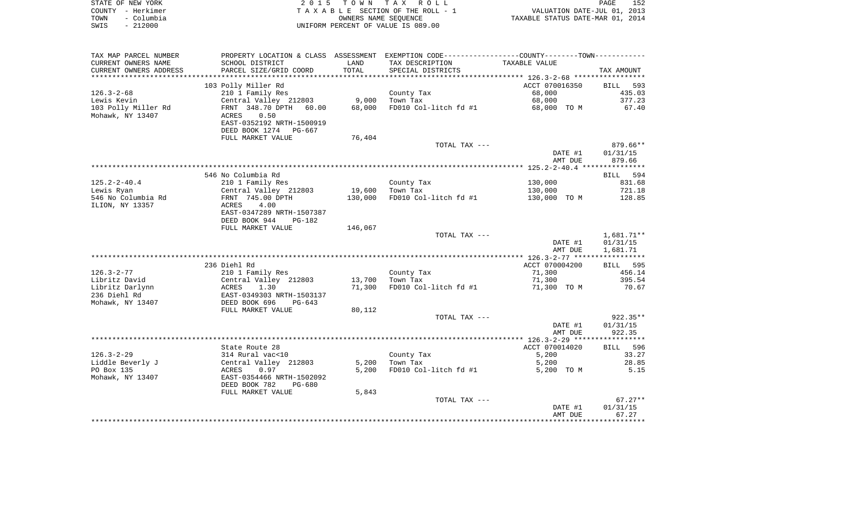|      | STATE OF NEW YORK | 2015 TOWN TAX ROLL                 | PAGE                             | 152 |
|------|-------------------|------------------------------------|----------------------------------|-----|
|      | COUNTY - Herkimer | TAXABLE SECTION OF THE ROLL - 1    | VALUATION DATE-JUL 01, 2013      |     |
| TOWN | – Columbia        | OWNERS NAME SEOUENCE               | TAXABLE STATUS DATE-MAR 01, 2014 |     |
| SWIS | $-212000$         | UNIFORM PERCENT OF VALUE IS 089.00 |                                  |     |

| TAX MAP PARCEL NUMBER  |                           |         | PROPERTY LOCATION & CLASS ASSESSMENT EXEMPTION CODE---------------COUNTY-------TOWN---------- |                    |            |
|------------------------|---------------------------|---------|-----------------------------------------------------------------------------------------------|--------------------|------------|
| CURRENT OWNERS NAME    | SCHOOL DISTRICT           | LAND    | TAX DESCRIPTION                                                                               | TAXABLE VALUE      |            |
| CURRENT OWNERS ADDRESS | PARCEL SIZE/GRID COORD    | TOTAL   | SPECIAL DISTRICTS                                                                             |                    | TAX AMOUNT |
|                        |                           |         |                                                                                               |                    |            |
|                        | 103 Polly Miller Rd       |         |                                                                                               | ACCT 070016350     | BILL 593   |
| $126.3 - 2 - 68$       | 210 1 Family Res          |         | County Tax                                                                                    | 68,000             | 435.03     |
| Lewis Kevin            | Central Valley 212803     | 9,000   | Town Tax                                                                                      | 68,000             | 377.23     |
| 103 Polly Miller Rd    | FRNT 348.70 DPTH 60.00    | 68,000  | FD010 Col-litch fd #1                                                                         | 68,000 TO M        | 67.40      |
| Mohawk, NY 13407       | 0.50<br>ACRES             |         |                                                                                               |                    |            |
|                        | EAST-0352192 NRTH-1500919 |         |                                                                                               |                    |            |
|                        | DEED BOOK 1274 PG-667     |         |                                                                                               |                    |            |
|                        | FULL MARKET VALUE         | 76,404  |                                                                                               |                    |            |
|                        |                           |         | TOTAL TAX ---                                                                                 |                    | 879.66**   |
|                        |                           |         |                                                                                               | DATE #1            | 01/31/15   |
|                        |                           |         |                                                                                               | AMT DUE            | 879.66     |
|                        |                           |         |                                                                                               |                    |            |
|                        | 546 No Columbia Rd        |         |                                                                                               |                    | BILL 594   |
| $125.2 - 2 - 40.4$     | 210 1 Family Res          |         | County Tax                                                                                    | 130,000            | 831.68     |
| Lewis Ryan             | Central Valley 212803     | 19,600  | Town Tax                                                                                      | 130,000            | 721.18     |
| 546 No Columbia Rd     | FRNT 745.00 DPTH          | 130,000 | FD010 Col-litch fd #1                                                                         | 130,000 TO M       | 128.85     |
| ILION, NY 13357        | 4.00<br>ACRES             |         |                                                                                               |                    |            |
|                        | EAST-0347289 NRTH-1507387 |         |                                                                                               |                    |            |
|                        | DEED BOOK 944<br>PG-182   |         |                                                                                               |                    |            |
|                        | FULL MARKET VALUE         | 146,067 |                                                                                               |                    |            |
|                        |                           |         | TOTAL TAX ---                                                                                 |                    | 1,681.71** |
|                        |                           |         |                                                                                               | DATE #1<br>AMT DUE | 01/31/15   |
|                        |                           |         |                                                                                               |                    | 1,681.71   |
|                        | 236 Diehl Rd              |         |                                                                                               | ACCT 070004200     | BILL 595   |
| $126.3 - 2 - 77$       | 210 1 Family Res          |         | County Tax                                                                                    | 71,300             | 456.14     |
| Libritz David          | Central Valley 212803     | 13,700  | Town Tax                                                                                      | 71,300             | 395.54     |
| Libritz Darlynn        | ACRES<br>1.30             | 71,300  | FD010 Col-litch fd #1                                                                         | 71,300 TO M        | 70.67      |
| 236 Diehl Rd           |                           |         |                                                                                               |                    |            |
| Mohawk, NY 13407       |                           |         |                                                                                               |                    |            |
|                        | FULL MARKET VALUE         | 80,112  |                                                                                               |                    |            |
|                        |                           |         | TOTAL TAX ---                                                                                 |                    | $922.35**$ |
|                        |                           |         |                                                                                               | DATE #1            | 01/31/15   |
|                        |                           |         |                                                                                               | AMT DUE            | 922.35     |
|                        |                           |         |                                                                                               |                    |            |
|                        | State Route 28            |         |                                                                                               | ACCT 070014020     | BILL 596   |
| $126.3 - 2 - 29$       | 314 Rural vac<10          |         | County Tax                                                                                    | 5,200              | 33.27      |
| Liddle Beverly J       | Central Valley 212803     | 5,200   | Town Tax                                                                                      | 5,200              | 28.85      |
| PO Box 135             | ACRES<br>0.97             | 5,200   | FD010 Col-litch fd #1                                                                         | 5,200 TO M         | 5.15       |
| Mohawk, NY 13407       | EAST-0354466 NRTH-1502092 |         |                                                                                               |                    |            |
|                        | DEED BOOK 782<br>PG-680   |         |                                                                                               |                    |            |
|                        | FULL MARKET VALUE         | 5,843   |                                                                                               |                    |            |
|                        |                           |         | TOTAL TAX ---                                                                                 |                    | $67.27**$  |
|                        |                           |         |                                                                                               | DATE #1            | 01/31/15   |
|                        |                           |         |                                                                                               | AMT DUE            | 67.27      |
|                        |                           |         |                                                                                               |                    |            |
|                        |                           |         |                                                                                               |                    |            |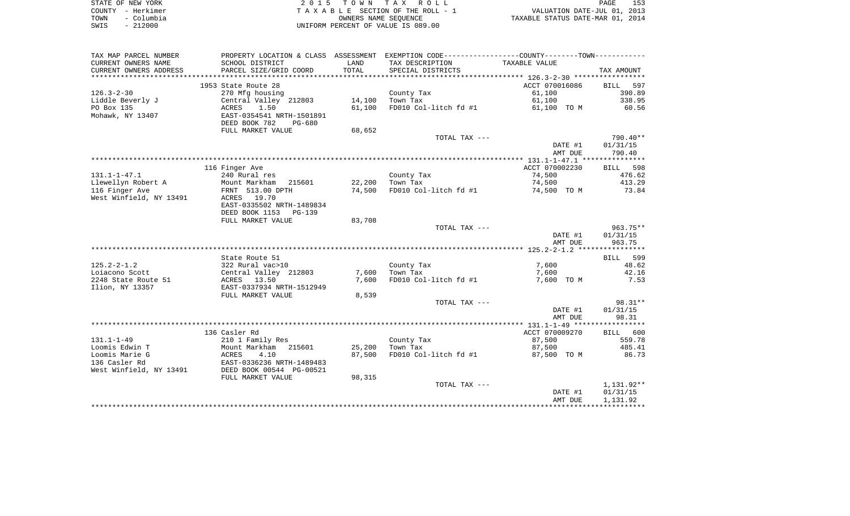| STATE OF NEW YORK  | 2015 TOWN TAX ROLL                 | 153<br>PAGE                      |
|--------------------|------------------------------------|----------------------------------|
| COUNTY - Herkimer  | TAXABLE SECTION OF THE ROLL - 1    | VALUATION DATE-JUL 01, 2013      |
| - Columbia<br>TOWN | OWNERS NAME SEOUENCE               | TAXABLE STATUS DATE-MAR 01, 2014 |
| - 212000<br>SWIS   | UNIFORM PERCENT OF VALUE IS 089.00 |                                  |

| CURRENT OWNERS NAME<br>TAX DESCRIPTION<br>TAXABLE VALUE<br>SCHOOL DISTRICT<br>LAND<br>CURRENT OWNERS ADDRESS<br>PARCEL SIZE/GRID COORD<br>TOTAL<br>SPECIAL DISTRICTS<br>TAX AMOUNT<br>*************************<br>1953 State Route 28<br>ACCT 070016086<br>597<br>BILL<br>$126.3 - 2 - 30$<br>61,100<br>390.89<br>270 Mfg housing<br>County Tax<br>338.95<br>Liddle Beverly J<br>Central Valley 212803<br>14,100<br>Town Tax<br>61,100<br>FD010 Col-litch fd #1<br>60.56<br>PO Box 135<br>ACRES<br>1.50<br>61,100<br>61,100 TO M<br>Mohawk, NY 13407<br>EAST-0354541 NRTH-1501891 |
|------------------------------------------------------------------------------------------------------------------------------------------------------------------------------------------------------------------------------------------------------------------------------------------------------------------------------------------------------------------------------------------------------------------------------------------------------------------------------------------------------------------------------------------------------------------------------------|
|                                                                                                                                                                                                                                                                                                                                                                                                                                                                                                                                                                                    |
|                                                                                                                                                                                                                                                                                                                                                                                                                                                                                                                                                                                    |
|                                                                                                                                                                                                                                                                                                                                                                                                                                                                                                                                                                                    |
|                                                                                                                                                                                                                                                                                                                                                                                                                                                                                                                                                                                    |
|                                                                                                                                                                                                                                                                                                                                                                                                                                                                                                                                                                                    |
|                                                                                                                                                                                                                                                                                                                                                                                                                                                                                                                                                                                    |
|                                                                                                                                                                                                                                                                                                                                                                                                                                                                                                                                                                                    |
|                                                                                                                                                                                                                                                                                                                                                                                                                                                                                                                                                                                    |
| DEED BOOK 782<br>PG-680                                                                                                                                                                                                                                                                                                                                                                                                                                                                                                                                                            |
| FULL MARKET VALUE<br>68,652                                                                                                                                                                                                                                                                                                                                                                                                                                                                                                                                                        |
| 790.40**<br>TOTAL TAX ---                                                                                                                                                                                                                                                                                                                                                                                                                                                                                                                                                          |
| 01/31/15<br>DATE #1                                                                                                                                                                                                                                                                                                                                                                                                                                                                                                                                                                |
| 790.40<br>AMT DUE                                                                                                                                                                                                                                                                                                                                                                                                                                                                                                                                                                  |
| 116 Finger Ave<br>ACCT 070002230<br>BILL 598                                                                                                                                                                                                                                                                                                                                                                                                                                                                                                                                       |
| $131.1 - 1 - 47.1$<br>240 Rural res<br>County Tax<br>74,500<br>476.62                                                                                                                                                                                                                                                                                                                                                                                                                                                                                                              |
| Llewellyn Robert A<br>22,200<br>Town Tax<br>74,500<br>413.29<br>Mount Markham<br>215601                                                                                                                                                                                                                                                                                                                                                                                                                                                                                            |
| 116 Finger Ave<br>74,500<br>FD010 Col-litch fd #1<br>73.84<br>FRNT 513.00 DPTH<br>74,500 TO M                                                                                                                                                                                                                                                                                                                                                                                                                                                                                      |
| West Winfield, NY 13491<br>ACRES 19.70                                                                                                                                                                                                                                                                                                                                                                                                                                                                                                                                             |
| EAST-0335502 NRTH-1489834                                                                                                                                                                                                                                                                                                                                                                                                                                                                                                                                                          |
| DEED BOOK 1153 PG-139                                                                                                                                                                                                                                                                                                                                                                                                                                                                                                                                                              |
| FULL MARKET VALUE<br>83,708                                                                                                                                                                                                                                                                                                                                                                                                                                                                                                                                                        |
| TOTAL TAX ---<br>963.75**                                                                                                                                                                                                                                                                                                                                                                                                                                                                                                                                                          |
| DATE #1<br>01/31/15                                                                                                                                                                                                                                                                                                                                                                                                                                                                                                                                                                |
| AMT DUE<br>963.75                                                                                                                                                                                                                                                                                                                                                                                                                                                                                                                                                                  |
|                                                                                                                                                                                                                                                                                                                                                                                                                                                                                                                                                                                    |
| State Route 51<br>BILL 599                                                                                                                                                                                                                                                                                                                                                                                                                                                                                                                                                         |
| $125.2 - 2 - 1.2$<br>322 Rural vac>10<br>7,600<br>48.62<br>County Tax                                                                                                                                                                                                                                                                                                                                                                                                                                                                                                              |
| Central Valley 212803<br>7,600<br>Loiacono Scott<br>Town Tax<br>7,600<br>42.16                                                                                                                                                                                                                                                                                                                                                                                                                                                                                                     |
| 2248 State Route 51<br>ACRES 13.50<br>7,600<br>FD010 Col-litch fd #1<br>7,600 TO M<br>7.53                                                                                                                                                                                                                                                                                                                                                                                                                                                                                         |
| EAST-0337934 NRTH-1512949<br>Ilion, NY 13357                                                                                                                                                                                                                                                                                                                                                                                                                                                                                                                                       |
| FULL MARKET VALUE<br>8,539                                                                                                                                                                                                                                                                                                                                                                                                                                                                                                                                                         |
| $98.31**$<br>TOTAL TAX ---                                                                                                                                                                                                                                                                                                                                                                                                                                                                                                                                                         |
| 01/31/15<br>DATE #1                                                                                                                                                                                                                                                                                                                                                                                                                                                                                                                                                                |
| 98.31<br>AMT DUE                                                                                                                                                                                                                                                                                                                                                                                                                                                                                                                                                                   |
|                                                                                                                                                                                                                                                                                                                                                                                                                                                                                                                                                                                    |
| 136 Casler Rd<br>ACCT 070009270<br>BILL 600                                                                                                                                                                                                                                                                                                                                                                                                                                                                                                                                        |
| $131.1 - 1 - 49$<br>87,500<br>559.78<br>210 1 Family Res<br>County Tax                                                                                                                                                                                                                                                                                                                                                                                                                                                                                                             |
| Loomis Edwin T<br>Mount Markham 215601<br>25,200<br>485.41<br>Town Tax<br>87,500<br>Loomis Marie G<br>ACRES<br>4.10<br>87,500<br>FD010 Col-litch fd #1<br>86.73                                                                                                                                                                                                                                                                                                                                                                                                                    |
| 87,500 TO M<br>EAST-0336236 NRTH-1489483<br>136 Casler Rd                                                                                                                                                                                                                                                                                                                                                                                                                                                                                                                          |
| West Winfield, NY 13491<br>DEED BOOK 00544 PG-00521                                                                                                                                                                                                                                                                                                                                                                                                                                                                                                                                |
| FULL MARKET VALUE<br>98,315                                                                                                                                                                                                                                                                                                                                                                                                                                                                                                                                                        |
| TOTAL TAX ---<br>1,131.92**                                                                                                                                                                                                                                                                                                                                                                                                                                                                                                                                                        |
| DATE #1<br>01/31/15                                                                                                                                                                                                                                                                                                                                                                                                                                                                                                                                                                |
| 1,131.92<br>AMT DUE                                                                                                                                                                                                                                                                                                                                                                                                                                                                                                                                                                |
|                                                                                                                                                                                                                                                                                                                                                                                                                                                                                                                                                                                    |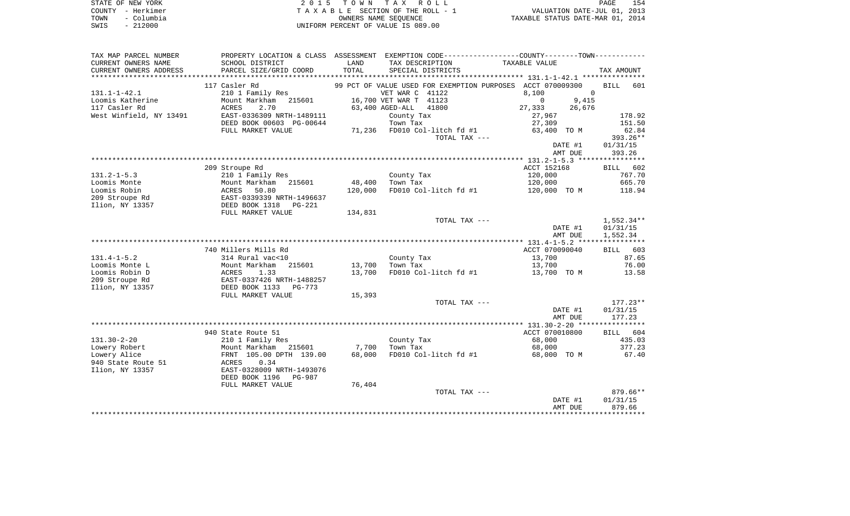| STATE OF NEW YORK  | 2015 TOWN TAX ROLL                    | 154<br>PAGE                      |
|--------------------|---------------------------------------|----------------------------------|
| COUNTY - Herkimer  | T A X A B L E SECTION OF THE ROLL - 1 | VALUATION DATE-JUL 01, 2013      |
| – Columbia<br>TOWN | OWNERS NAME SEOUENCE                  | TAXABLE STATUS DATE-MAR 01, 2014 |
| - 212000<br>SWIS   | UNIFORM PERCENT OF VALUE IS 089.00    |                                  |

| TAX MAP PARCEL NUMBER   |                           |         |                                             | PROPERTY LOCATION & CLASS ASSESSMENT EXEMPTION CODE----------------COUNTY--------TOWN---------- |                    |
|-------------------------|---------------------------|---------|---------------------------------------------|-------------------------------------------------------------------------------------------------|--------------------|
| CURRENT OWNERS NAME     | SCHOOL DISTRICT           | LAND    | TAX DESCRIPTION                             | TAXABLE VALUE                                                                                   |                    |
| CURRENT OWNERS ADDRESS  | PARCEL SIZE/GRID COORD    | TOTAL   | SPECIAL DISTRICTS                           |                                                                                                 | TAX AMOUNT         |
| *****************       |                           |         |                                             |                                                                                                 |                    |
|                         | 117 Casler Rd             |         | 99 PCT OF VALUE USED FOR EXEMPTION PURPOSES | ACCT 070009300                                                                                  | <b>BILL</b><br>601 |
| $131.1 - 1 - 42.1$      | 210 1 Family Res          |         | VET WAR C 41122                             | 8,100<br>$\Omega$                                                                               |                    |
| Loomis Katherine        | Mount Markham<br>215601   |         | 16,700 VET WAR T 41123                      | $\mathbf 0$<br>9,415                                                                            |                    |
| 117 Casler Rd           | <b>ACRES</b><br>2.70      |         | 63,400 AGED-ALL<br>41800                    | 27,333<br>26,676                                                                                |                    |
| West Winfield, NY 13491 | EAST-0336309 NRTH-1489111 |         | County Tax                                  | 27,967                                                                                          | 178.92             |
|                         | DEED BOOK 00603 PG-00644  |         | Town Tax                                    | 27,309                                                                                          | 151.50             |
|                         | FULL MARKET VALUE         |         | 71,236 FD010 Col-litch fd #1                | 63,400 TO M                                                                                     | 62.84              |
|                         |                           |         | TOTAL TAX ---                               |                                                                                                 | 393.26**           |
|                         |                           |         |                                             | DATE #1                                                                                         | 01/31/15           |
|                         |                           |         |                                             | AMT DUE                                                                                         | 393.26             |
|                         |                           |         |                                             |                                                                                                 |                    |
|                         | 209 Stroupe Rd            |         |                                             | ACCT 152168                                                                                     | 602<br>BILL        |
| $131.2 - 1 - 5.3$       | 210 1 Family Res          |         | County Tax                                  | 120,000                                                                                         | 767.70             |
| Loomis Monte            | Mount Markham<br>215601   | 48,400  | Town Tax                                    | 120,000                                                                                         | 665.70             |
| Loomis Robin            | 50.80<br>ACRES            | 120,000 | FD010 Col-litch fd #1                       | 120,000 TO M                                                                                    | 118.94             |
| 209 Stroupe Rd          | EAST-0339339 NRTH-1496637 |         |                                             |                                                                                                 |                    |
| Ilion, NY 13357         | DEED BOOK 1318<br>PG-221  |         |                                             |                                                                                                 |                    |
|                         | FULL MARKET VALUE         | 134,831 |                                             |                                                                                                 |                    |
|                         |                           |         | TOTAL TAX ---                               |                                                                                                 | $1,552.34**$       |
|                         |                           |         |                                             | DATE #1                                                                                         | 01/31/15           |
|                         |                           |         |                                             | AMT DUE                                                                                         | 1,552.34           |
|                         |                           |         |                                             |                                                                                                 |                    |
|                         | 740 Millers Mills Rd      |         |                                             | ACCT 070090040                                                                                  | BILL 603           |
| $131.4 - 1 - 5.2$       | 314 Rural vac<10          |         | County Tax                                  | 13,700                                                                                          | 87.65              |
| Loomis Monte L          | Mount Markham<br>215601   | 13,700  | Town Tax                                    | 13,700                                                                                          | 76.00              |
| Loomis Robin D          | <b>ACRES</b><br>1.33      | 13,700  | FD010 Col-litch fd #1                       | 13,700 TO M                                                                                     | 13.58              |
| 209 Stroupe Rd          | EAST-0337426 NRTH-1488257 |         |                                             |                                                                                                 |                    |
| Ilion, NY 13357         | DEED BOOK 1133<br>PG-773  |         |                                             |                                                                                                 |                    |
|                         | FULL MARKET VALUE         | 15,393  |                                             |                                                                                                 |                    |
|                         |                           |         | TOTAL TAX ---                               |                                                                                                 | $177.23**$         |
|                         |                           |         |                                             | DATE #1                                                                                         | 01/31/15           |
|                         |                           |         |                                             | AMT DUE                                                                                         | 177.23             |
|                         |                           |         |                                             |                                                                                                 |                    |
|                         | 940 State Route 51        |         |                                             | ACCT 070010800                                                                                  | 604<br>BILL        |
| $131.30 - 2 - 20$       | 210 1 Family Res          |         | County Tax                                  | 68,000                                                                                          | 435.03             |
| Lowery Robert           | Mount Markham<br>215601   | 7,700   | Town Tax                                    | 68,000                                                                                          | 377.23             |
| Lowery Alice            | FRNT 105.00 DPTH 139.00   | 68,000  | FD010 Col-litch fd #1                       | 68,000 TO M                                                                                     | 67.40              |
| 940 State Route 51      | 0.34<br>ACRES             |         |                                             |                                                                                                 |                    |
| Ilion, NY 13357         | EAST-0328009 NRTH-1493076 |         |                                             |                                                                                                 |                    |
|                         | DEED BOOK 1196<br>PG-987  |         |                                             |                                                                                                 |                    |
|                         | FULL MARKET VALUE         | 76,404  |                                             |                                                                                                 |                    |
|                         |                           |         | TOTAL TAX ---                               |                                                                                                 | 879.66**           |
|                         |                           |         |                                             | DATE #1                                                                                         | 01/31/15           |
|                         |                           |         |                                             | AMT DUE                                                                                         | 879.66             |
|                         |                           |         |                                             |                                                                                                 |                    |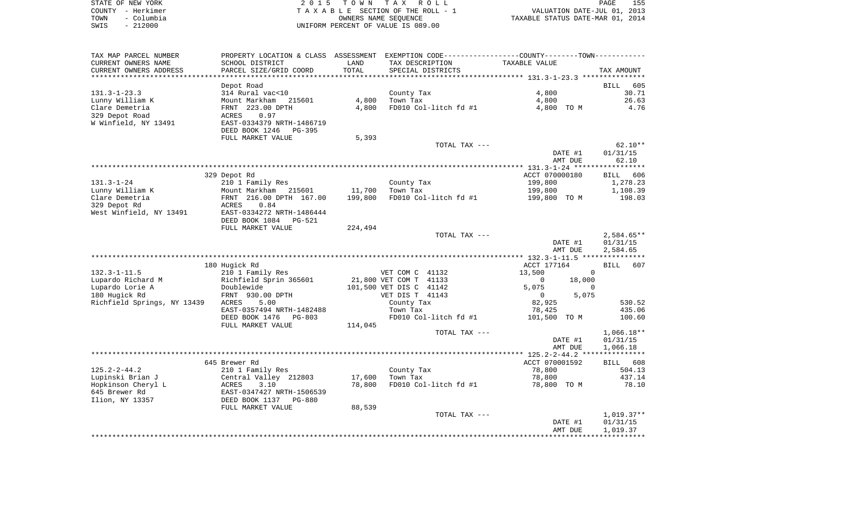| STATE OF NEW YORK  | 2015 TOWN TAX ROLL                 | 155<br>PAGE                      |
|--------------------|------------------------------------|----------------------------------|
| COUNTY - Herkimer  | TAXABLE SECTION OF THE ROLL - 1    | VALUATION DATE-JUL 01, 2013      |
| - Columbia<br>TOWN | OWNERS NAME SEOUENCE               | TAXABLE STATUS DATE-MAR 01, 2014 |
| - 212000<br>SWIS   | UNIFORM PERCENT OF VALUE IS 089.00 |                                  |

| TAX MAP PARCEL NUMBER            | PROPERTY LOCATION & CLASS ASSESSMENT EXEMPTION CODE---------------COUNTY-------TOWN---------- |         |                         |                       |                |                    |                      |
|----------------------------------|-----------------------------------------------------------------------------------------------|---------|-------------------------|-----------------------|----------------|--------------------|----------------------|
| CURRENT OWNERS NAME              | SCHOOL DISTRICT                                                                               | LAND    | TAX DESCRIPTION         |                       | TAXABLE VALUE  |                    |                      |
| CURRENT OWNERS ADDRESS           | PARCEL SIZE/GRID COORD                                                                        | TOTAL   | SPECIAL DISTRICTS       |                       |                |                    | TAX AMOUNT           |
| **********************           | ****************************                                                                  |         |                         |                       |                |                    |                      |
|                                  | Depot Road                                                                                    |         |                         |                       |                |                    | <b>BILL</b><br>605   |
| $131.3 - 1 - 23.3$               | 314 Rural vac<10                                                                              |         | County Tax              |                       | 4,800          |                    | 30.71                |
| Lunny William K                  | Mount Markham<br>215601                                                                       | 4,800   | Town Tax                |                       | 4,800          |                    | 26.63<br>4.76        |
| Clare Demetria<br>329 Depot Road | FRNT 223.00 DPTH<br>0.97<br>ACRES                                                             | 4,800   |                         | FD010 Col-litch fd #1 | 4,800 TO M     |                    |                      |
| W Winfield, NY 13491             | EAST-0334379 NRTH-1486719                                                                     |         |                         |                       |                |                    |                      |
|                                  | DEED BOOK 1246<br>PG-395                                                                      |         |                         |                       |                |                    |                      |
|                                  | FULL MARKET VALUE                                                                             | 5,393   |                         |                       |                |                    |                      |
|                                  |                                                                                               |         |                         | TOTAL TAX ---         |                |                    | $62.10**$            |
|                                  |                                                                                               |         |                         |                       |                | DATE #1            | 01/31/15             |
|                                  |                                                                                               |         |                         |                       |                | AMT DUE            | 62.10                |
|                                  |                                                                                               |         |                         |                       |                |                    |                      |
|                                  | 329 Depot Rd                                                                                  |         |                         |                       | ACCT 070000180 |                    | 606<br>BILL          |
| $131.3 - 1 - 24$                 | 210 1 Family Res                                                                              |         | County Tax              |                       | 199,800        |                    | 1,278.23             |
| Lunny William K                  | Mount Markham 215601                                                                          | 11,700  | Town Tax                |                       | 199,800        |                    | 1,108.39             |
| Clare Demetria                   | FRNT 216.00 DPTH 167.00                                                                       | 199,800 |                         | FD010 Col-litch fd #1 | 199,800 TO M   |                    | 198.03               |
| 329 Depot Rd                     | 0.84<br>ACRES                                                                                 |         |                         |                       |                |                    |                      |
| West Winfield, NY 13491          | EAST-0334272 NRTH-1486444<br>DEED BOOK 1084 PG-521                                            |         |                         |                       |                |                    |                      |
|                                  | FULL MARKET VALUE                                                                             | 224,494 |                         |                       |                |                    |                      |
|                                  |                                                                                               |         |                         | TOTAL TAX ---         |                |                    | $2,584.65**$         |
|                                  |                                                                                               |         |                         |                       |                | DATE #1            | 01/31/15             |
|                                  |                                                                                               |         |                         |                       |                | AMT DUE            | 2,584.65             |
|                                  |                                                                                               |         |                         |                       |                |                    |                      |
|                                  | 180 Hugick Rd                                                                                 |         |                         |                       | ACCT 177164    |                    | BILL<br>607          |
| $132.3 - 1 - 11.5$               | 210 1 Family Res                                                                              |         | VET COM C 41132         |                       | 13,500         | $\mathbf 0$        |                      |
| Lupardo Richard M                | Richfield Sprin 365601                                                                        |         | 21,800 VET COM T 41133  |                       | $\mathbf 0$    | 18,000             |                      |
| Lupardo Lorie A                  | Doublewide                                                                                    |         | 101,500 VET DIS C 41142 |                       | 5,075          | $\Omega$           |                      |
| 180 Hugick Rd                    | FRNT 930.00 DPTH                                                                              |         | VET DIS T 41143         |                       | $\overline{0}$ | 5,075              |                      |
| Richfield Springs, NY 13439      | ACRES<br>5.00                                                                                 |         | County Tax              |                       | 82,925         |                    | 530.52               |
|                                  | EAST-0357494 NRTH-1482488                                                                     |         | Town Tax                |                       | 78,425         |                    | 435.06               |
|                                  | DEED BOOK 1476<br>$PG-803$<br>FULL MARKET VALUE                                               | 114,045 |                         | FD010 Col-litch fd #1 | 101,500 TO M   |                    | 100.60               |
|                                  |                                                                                               |         |                         | TOTAL TAX ---         |                |                    | $1,066.18**$         |
|                                  |                                                                                               |         |                         |                       |                | DATE #1            | 01/31/15             |
|                                  |                                                                                               |         |                         |                       |                | AMT DUE            | 1,066.18             |
|                                  |                                                                                               |         |                         |                       |                |                    |                      |
|                                  | 645 Brewer Rd                                                                                 |         |                         |                       | ACCT 070001592 |                    | BILL 608             |
| $125.2 - 2 - 44.2$               | 210 1 Family Res                                                                              |         | County Tax              |                       | 78,800         |                    | 504.13               |
| Lupinski Brian J                 | Central Valley 212803                                                                         | 17,600  | Town Tax                |                       | 78,800         |                    | 437.14               |
| Hopkinson Cheryl L               | ACRES<br>3.10                                                                                 | 78,800  |                         | FD010 Col-litch fd #1 | 78,800 TO M    |                    | 78.10                |
| 645 Brewer Rd                    | EAST-0347427 NRTH-1506539                                                                     |         |                         |                       |                |                    |                      |
| Ilion, NY 13357                  | DEED BOOK 1137<br>PG-880                                                                      |         |                         |                       |                |                    |                      |
|                                  | FULL MARKET VALUE                                                                             | 88,539  |                         |                       |                |                    |                      |
|                                  |                                                                                               |         |                         | TOTAL TAX ---         |                |                    | $1,019.37**$         |
|                                  |                                                                                               |         |                         |                       |                | DATE #1<br>AMT DUE | 01/31/15<br>1,019.37 |
|                                  |                                                                                               |         |                         |                       |                |                    |                      |
|                                  |                                                                                               |         |                         |                       |                |                    |                      |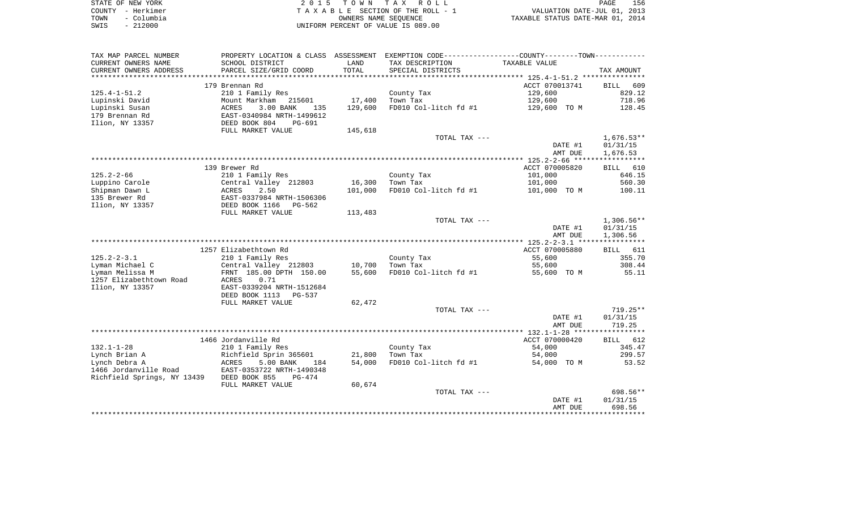| STATE OF NEW YORK  | 2015 TOWN TAX ROLL                 | PAGE                             | 156 |
|--------------------|------------------------------------|----------------------------------|-----|
| COUNTY - Herkimer  | TAXABLE SECTION OF THE ROLL - 1    | VALUATION DATE-JUL 01, 2013      |     |
| - Columbia<br>TOWN | OWNERS NAME SEOUENCE               | TAXABLE STATUS DATE-MAR 01, 2014 |     |
| $-212000$<br>SWIS  | UNIFORM PERCENT OF VALUE IS 089.00 |                                  |     |

| TAX MAP PARCEL NUMBER                         |                                           |               | PROPERTY LOCATION & CLASS ASSESSMENT EXEMPTION CODE----------------COUNTY--------TOWN---------- |                    |                    |
|-----------------------------------------------|-------------------------------------------|---------------|-------------------------------------------------------------------------------------------------|--------------------|--------------------|
| CURRENT OWNERS NAME<br>CURRENT OWNERS ADDRESS | SCHOOL DISTRICT<br>PARCEL SIZE/GRID COORD | LAND<br>TOTAL | TAX DESCRIPTION<br>SPECIAL DISTRICTS                                                            | TAXABLE VALUE      | TAX AMOUNT         |
| ************************                      |                                           |               |                                                                                                 |                    |                    |
|                                               | 179 Brennan Rd                            |               |                                                                                                 | ACCT 070013741     | 609<br>BILL        |
| $125.4 - 1 - 51.2$                            | 210 1 Family Res                          |               | County Tax                                                                                      | 129,600            | 829.12             |
| Lupinski David                                | Mount Markham 215601                      | 17,400        | Town Tax                                                                                        | 129,600            | 718.96             |
| Lupinski Susan                                | 3.00 BANK<br>ACRES<br>135                 | 129,600       | FD010 Col-litch fd #1                                                                           | 129,600 TO M       | 128.45             |
| 179 Brennan Rd                                | EAST-0340984 NRTH-1499612                 |               |                                                                                                 |                    |                    |
| Ilion, NY 13357                               | DEED BOOK 804<br>PG-691                   |               |                                                                                                 |                    |                    |
|                                               | FULL MARKET VALUE                         | 145,618       |                                                                                                 |                    |                    |
|                                               |                                           |               | TOTAL TAX ---                                                                                   |                    | $1,676.53**$       |
|                                               |                                           |               |                                                                                                 | DATE #1            | 01/31/15           |
|                                               |                                           |               |                                                                                                 | AMT DUE            | 1,676.53           |
|                                               |                                           |               |                                                                                                 |                    |                    |
| $125.2 - 2 - 66$                              | 139 Brewer Rd                             |               |                                                                                                 | ACCT 070005820     | BILL 610<br>646.15 |
| Luppino Carole                                | 210 1 Family Res                          | 16,300        | County Tax<br>Town Tax                                                                          | 101,000<br>101,000 | 560.30             |
| Shipman Dawn L                                | Central Valley 212803<br>ACRES<br>2.50    | 101,000       | FD010 Col-litch fd #1                                                                           | 101,000 TO M       | 100.11             |
| 135 Brewer Rd                                 | EAST-0337984 NRTH-1506306                 |               |                                                                                                 |                    |                    |
| Ilion, NY 13357                               | DEED BOOK 1166<br>PG-562                  |               |                                                                                                 |                    |                    |
|                                               | FULL MARKET VALUE                         | 113,483       |                                                                                                 |                    |                    |
|                                               |                                           |               | TOTAL TAX ---                                                                                   |                    | $1,306.56**$       |
|                                               |                                           |               |                                                                                                 | DATE #1            | 01/31/15           |
|                                               |                                           |               |                                                                                                 | AMT DUE            | 1,306.56           |
|                                               |                                           |               |                                                                                                 |                    |                    |
|                                               | 1257 Elizabethtown Rd                     |               |                                                                                                 | ACCT 070005880     | BILL 611           |
| $125.2 - 2 - 3.1$                             | 210 1 Family Res                          |               | County Tax                                                                                      | 55,600             | 355.70             |
| Lyman Michael C                               | Central Valley 212803                     | 10,700        | Town Tax                                                                                        | 55,600             | 308.44             |
| Lyman Melissa M                               | FRNT 185.00 DPTH 150.00                   | 55,600        | FD010 Col-litch fd #1                                                                           | 55,600 TO M        | 55.11              |
| 1257 Elizabethtown Road                       | ACRES<br>0.71                             |               |                                                                                                 |                    |                    |
| Ilion, NY 13357                               | EAST-0339204 NRTH-1512684                 |               |                                                                                                 |                    |                    |
|                                               | DEED BOOK 1113<br>PG-537                  |               |                                                                                                 |                    |                    |
|                                               | FULL MARKET VALUE                         | 62,472        | TOTAL TAX ---                                                                                   |                    | $719.25**$         |
|                                               |                                           |               |                                                                                                 | DATE #1            | 01/31/15           |
|                                               |                                           |               |                                                                                                 | AMT DUE            | 719.25             |
|                                               |                                           |               |                                                                                                 |                    |                    |
|                                               | 1466 Jordanville Rd                       |               |                                                                                                 | ACCT 070000420     | BILL 612           |
| $132.1 - 1 - 28$                              | 210 1 Family Res                          |               | County Tax                                                                                      | 54,000             | 345.47             |
| Lynch Brian A                                 | Richfield Sprin 365601                    | 21,800        | Town Tax                                                                                        | 54,000             | 299.57             |
| Lynch Debra A                                 | ACRES<br>5.00 BANK<br>184                 | 54,000        | FD010 Col-litch fd #1                                                                           | 54,000 TO M        | 53.52              |
| 1466 Jordanville Road                         | EAST-0353722 NRTH-1490348                 |               |                                                                                                 |                    |                    |
| Richfield Springs, NY 13439 DEED BOOK 855     | PG-474                                    |               |                                                                                                 |                    |                    |
|                                               | FULL MARKET VALUE                         | 60,674        |                                                                                                 |                    |                    |
|                                               |                                           |               | TOTAL TAX ---                                                                                   |                    | 698.56**           |
|                                               |                                           |               |                                                                                                 | DATE #1            | 01/31/15           |
|                                               |                                           |               |                                                                                                 | AMT DUE            | 698.56             |
|                                               |                                           |               |                                                                                                 |                    |                    |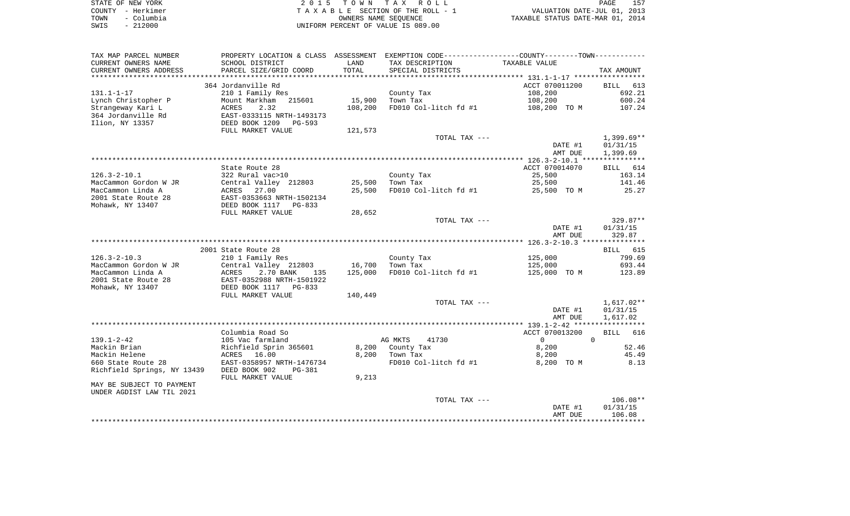| STATE OF NEW YORK  | 2015 TOWN TAX ROLL                 | 157<br>PAGE                      |
|--------------------|------------------------------------|----------------------------------|
| COUNTY - Herkimer  | TAXABLE SECTION OF THE ROLL - 1    | VALUATION DATE-JUL 01, 2013      |
| - Columbia<br>TOWN | OWNERS NAME SEOUENCE               | TAXABLE STATUS DATE-MAR 01, 2014 |
| - 212000<br>SWIS   | UNIFORM PERCENT OF VALUE IS 089.00 |                                  |

| TAX MAP PARCEL NUMBER       |                                             |         | PROPERTY LOCATION & CLASS ASSESSMENT EXEMPTION CODE----------------COUNTY--------TOWN---------- |                     |                      |
|-----------------------------|---------------------------------------------|---------|-------------------------------------------------------------------------------------------------|---------------------|----------------------|
| CURRENT OWNERS NAME         | SCHOOL DISTRICT                             | LAND    | TAX DESCRIPTION                                                                                 | TAXABLE VALUE       |                      |
| CURRENT OWNERS ADDRESS      | PARCEL SIZE/GRID COORD                      | TOTAL   | SPECIAL DISTRICTS                                                                               |                     | TAX AMOUNT           |
| ********************        |                                             |         |                                                                                                 |                     |                      |
|                             | 364 Jordanville Rd                          |         |                                                                                                 | ACCT 070011200      | BILL 613             |
| $131.1 - 1 - 17$            | 210 1 Family Res                            |         | County Tax                                                                                      | 108,200             | 692.21               |
| Lynch Christopher P         | Mount Markham<br>215601                     | 15,900  | Town Tax                                                                                        | 108,200             | 600.24               |
| Strangeway Kari L           | 2.32<br>ACRES                               | 108,200 | FD010 Col-litch fd #1                                                                           | 108,200 TO M        | 107.24               |
| 364 Jordanville Rd          | EAST-0333115 NRTH-1493173                   |         |                                                                                                 |                     |                      |
| Ilion, NY 13357             | DEED BOOK 1209<br>PG-593                    |         |                                                                                                 |                     |                      |
|                             | FULL MARKET VALUE                           | 121,573 |                                                                                                 |                     |                      |
|                             |                                             |         | TOTAL TAX ---                                                                                   |                     | $1,399.69**$         |
|                             |                                             |         |                                                                                                 | DATE #1             | 01/31/15             |
|                             |                                             |         |                                                                                                 | AMT DUE             | 1,399.69             |
|                             |                                             |         |                                                                                                 |                     |                      |
|                             | State Route 28                              |         |                                                                                                 | ACCT 070014070      | BILL 614             |
| $126.3 - 2 - 10.1$          | 322 Rural vac>10                            |         | County Tax                                                                                      | 25,500              | 163.14               |
| MacCammon Gordon W JR       | Central Valley 212803                       | 25,500  | Town Tax                                                                                        | 25,500              | 141.46               |
| MacCammon Linda A           | ACRES<br>27.00                              | 25,500  | FD010 Col-litch fd #1                                                                           | 25,500 TO M         | 25.27                |
| 2001 State Route 28         | EAST-0353663 NRTH-1502134                   |         |                                                                                                 |                     |                      |
| Mohawk, NY 13407            | DEED BOOK 1117 PG-833                       |         |                                                                                                 |                     |                      |
|                             | FULL MARKET VALUE                           | 28,652  |                                                                                                 |                     |                      |
|                             |                                             |         | TOTAL TAX ---                                                                                   |                     | 329.87**             |
|                             |                                             |         |                                                                                                 | DATE #1             | 01/31/15             |
|                             |                                             |         |                                                                                                 | AMT DUE             | 329.87               |
|                             |                                             |         |                                                                                                 |                     |                      |
|                             | 2001 State Route 28                         |         |                                                                                                 |                     | BILL 615             |
| $126.3 - 2 - 10.3$          | 210 1 Family Res                            |         | County Tax                                                                                      | 125,000             | 799.69               |
| MacCammon Gordon W JR       | Central Valley 212803                       | 16,700  | Town Tax                                                                                        | 125,000             | 693.44               |
| MacCammon Linda A           | 2.70 BANK<br>ACRES<br>135                   | 125,000 | FD010 Col-litch fd #1                                                                           | 125,000 TO M        | 123.89               |
| 2001 State Route 28         | EAST-0352988 NRTH-1501922                   |         |                                                                                                 |                     |                      |
| Mohawk, NY 13407            | DEED BOOK 1117 PG-833                       |         |                                                                                                 |                     |                      |
|                             | FULL MARKET VALUE                           | 140,449 |                                                                                                 |                     |                      |
|                             |                                             |         | TOTAL TAX ---                                                                                   |                     | $1,617.02**$         |
|                             |                                             |         |                                                                                                 | DATE #1             | 01/31/15             |
|                             |                                             |         |                                                                                                 | AMT DUE             | 1,617.02             |
|                             |                                             |         |                                                                                                 |                     |                      |
| $139.1 - 2 - 42$            | Columbia Road So                            |         | AG MKTS<br>41730                                                                                | ACCT 070013200      | BILL 616<br>$\Omega$ |
| Mackin Brian                | 105 Vac farmland<br>Richfield Sprin 365601  |         |                                                                                                 | $\overline{0}$      | 52.46                |
| Mackin Helene               |                                             |         | 8,200 County Tax<br>8,200 Town Tax                                                              | 8,200               | 45.49                |
| 660 State Route 28          | ACRES<br>16.00<br>EAST-0358957 NRTH-1476734 |         | FD010 Col-litch fd #1                                                                           | 8,200<br>8,200 TO M | 8.13                 |
|                             | DEED BOOK 902                               |         |                                                                                                 |                     |                      |
| Richfield Springs, NY 13439 | PG-381<br>FULL MARKET VALUE                 | 9,213   |                                                                                                 |                     |                      |
| MAY BE SUBJECT TO PAYMENT   |                                             |         |                                                                                                 |                     |                      |
|                             |                                             |         |                                                                                                 |                     |                      |
| UNDER AGDIST LAW TIL 2021   |                                             |         | TOTAL TAX ---                                                                                   |                     | $106.08**$           |
|                             |                                             |         |                                                                                                 | DATE #1             | 01/31/15             |
|                             |                                             |         |                                                                                                 | AMT DUE             | 106.08               |
|                             |                                             |         |                                                                                                 |                     |                      |
|                             |                                             |         |                                                                                                 |                     |                      |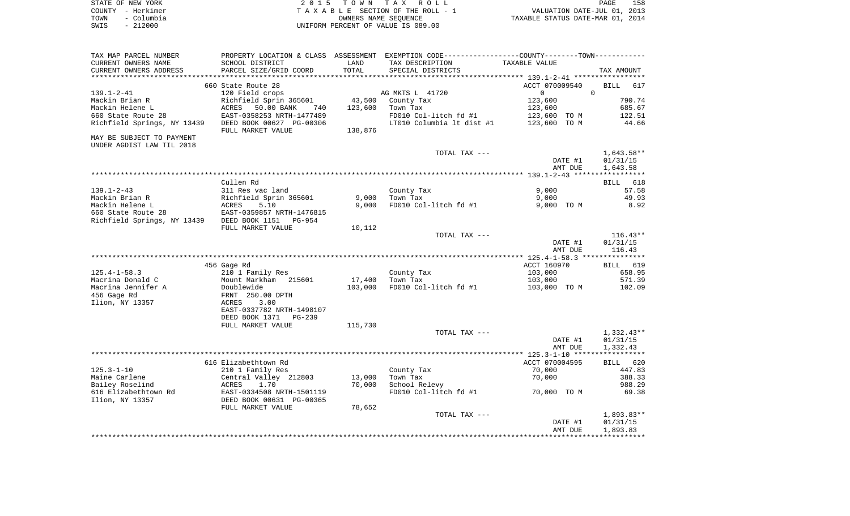|      | STATE OF NEW YORK | 2015 TOWN TAX ROLL                 | 158<br><b>PAGE</b>               |  |
|------|-------------------|------------------------------------|----------------------------------|--|
|      | COUNTY - Herkimer | TAXABLE SECTION OF THE ROLL - 1    | VALUATION DATE-JUL 01, 2013      |  |
| TOWN | - Columbia        | OWNERS NAME SEOUENCE               | TAXABLE STATUS DATE-MAR 01, 2014 |  |
| SWIS | $-212000$         | UNIFORM PERCENT OF VALUE IS 089.00 |                                  |  |

| TAX MAP PARCEL NUMBER       |                                               |         | PROPERTY LOCATION & CLASS ASSESSMENT EXEMPTION CODE---------------COUNTY-------TOWN---------- |                    |                    |
|-----------------------------|-----------------------------------------------|---------|-----------------------------------------------------------------------------------------------|--------------------|--------------------|
| CURRENT OWNERS NAME         | SCHOOL DISTRICT                               | LAND    | TAX DESCRIPTION                                                                               | TAXABLE VALUE      |                    |
| CURRENT OWNERS ADDRESS      | PARCEL SIZE/GRID COORD                        | TOTAL   | SPECIAL DISTRICTS                                                                             |                    | TAX AMOUNT         |
| *********************       | ***************************                   |         |                                                                                               |                    |                    |
|                             | 660 State Route 28                            |         |                                                                                               | ACCT 070009540     | 617<br><b>BILL</b> |
| $139.1 - 2 - 41$            | 120 Field crops                               |         | AG MKTS L 41720                                                                               | $\Omega$           | $\Omega$           |
| Mackin Brian R              | Richfield Sprin 365601                        | 43,500  | County Tax                                                                                    | 123,600            | 790.74             |
| Mackin Helene L             | 50.00 BANK<br>ACRES<br>740                    | 123,600 | Town Tax                                                                                      | 123,600            | 685.67             |
| 660 State Route 28          | EAST-0358253 NRTH-1477489                     |         | FD010 Col-litch fd #1                                                                         | 123,600 TO M       | 122.51             |
| Richfield Springs, NY 13439 | DEED BOOK 00627 PG-00306<br>FULL MARKET VALUE | 138,876 | LT010 Columbia 1t dist #1                                                                     | 123,600 TO M       | 44.66              |
| MAY BE SUBJECT TO PAYMENT   |                                               |         |                                                                                               |                    |                    |
| UNDER AGDIST LAW TIL 2018   |                                               |         |                                                                                               |                    |                    |
|                             |                                               |         | TOTAL TAX ---                                                                                 |                    | 1,643.58**         |
|                             |                                               |         |                                                                                               | DATE #1            | 01/31/15           |
|                             |                                               |         |                                                                                               | AMT DUE            | 1,643.58           |
|                             |                                               |         |                                                                                               |                    |                    |
|                             | Cullen Rd                                     |         |                                                                                               |                    | BILL 618           |
| $139.1 - 2 - 43$            | 311 Res vac land                              |         | County Tax                                                                                    | 9,000              | 57.58              |
| Mackin Brian R              | Richfield Sprin 365601<br>Richf<br>ACRES      | 9,000   | Town Tax                                                                                      | 9,000              | 49.93              |
| Mackin Helene L             | 5.10                                          | 9,000   | FD010 Col-litch fd #1                                                                         | 9,000 TO M         | 8.92               |
| 660 State Route 28          | EAST-0359857 NRTH-1476815                     |         |                                                                                               |                    |                    |
| Richfield Springs, NY 13439 | DEED BOOK 1151<br>PG-954                      |         |                                                                                               |                    |                    |
|                             | FULL MARKET VALUE                             | 10,112  |                                                                                               |                    |                    |
|                             |                                               |         | TOTAL TAX ---                                                                                 |                    | $116.43**$         |
|                             |                                               |         |                                                                                               | DATE #1<br>AMT DUE | 01/31/15<br>116.43 |
|                             |                                               |         |                                                                                               |                    |                    |
|                             | 456 Gage Rd                                   |         |                                                                                               | ACCT 160970        | BILL 619           |
| $125.4 - 1 - 58.3$          | 210 1 Family Res                              |         | County Tax                                                                                    | 103,000            | 658.95             |
| Macrina Donald C            | Mount Markham 215601                          | 17,400  | Town Tax                                                                                      | 103,000            | 571.39             |
| Macrina Jennifer A          | Doublewide                                    | 103,000 | FD010 Col-litch fd #1                                                                         | 103,000 TO M       | 102.09             |
| 456 Gage Rd                 | FRNT 250.00 DPTH                              |         |                                                                                               |                    |                    |
| Ilion, NY 13357             | 3.00<br>ACRES                                 |         |                                                                                               |                    |                    |
|                             | EAST-0337782 NRTH-1498107                     |         |                                                                                               |                    |                    |
|                             | DEED BOOK 1371<br>PG-239                      |         |                                                                                               |                    |                    |
|                             | FULL MARKET VALUE                             | 115,730 |                                                                                               |                    |                    |
|                             |                                               |         | TOTAL TAX ---                                                                                 |                    | $1,332.43**$       |
|                             |                                               |         |                                                                                               | DATE #1            | 01/31/15           |
|                             |                                               |         |                                                                                               | AMT DUE            | 1,332.43           |
|                             |                                               |         |                                                                                               |                    |                    |
|                             | 616 Elizabethtown Rd                          |         |                                                                                               | ACCT 070004595     | BILL 620           |
| $125.3 - 1 - 10$            | 210 1 Family Res                              |         | County Tax                                                                                    | 70,000             | 447.83             |
| Maine Carlene               | Central Valley 212803                         | 13,000  | Town Tax                                                                                      | 70,000             | 388.33             |
| Bailey Roselind             | ACRES<br>1.70                                 | 70,000  | School Relevy                                                                                 |                    | 988.29             |
| 616 Elizabethtown Rd        | EAST-0334508 NRTH-1501119                     |         | FD010 Col-litch fd #1                                                                         | 70,000 TO M        | 69.38              |
| Ilion, NY 13357             | DEED BOOK 00631 PG-00365                      |         |                                                                                               |                    |                    |
|                             | FULL MARKET VALUE                             | 78,652  |                                                                                               |                    |                    |
|                             |                                               |         | TOTAL TAX ---                                                                                 |                    | $1,893.83**$       |
|                             |                                               |         |                                                                                               | DATE #1            | 01/31/15           |
|                             |                                               |         |                                                                                               | AMT DUE            | 1,893.83           |
|                             |                                               |         |                                                                                               |                    |                    |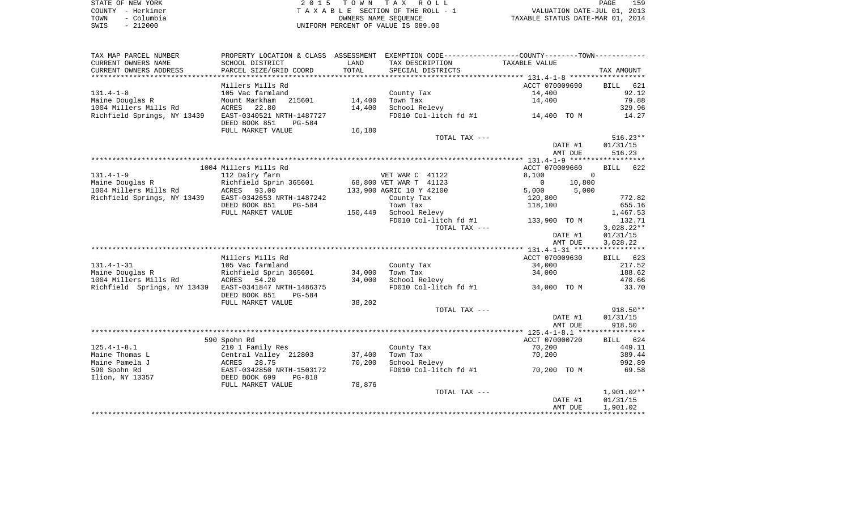|      | STATE OF NEW YORK | 2015 TOWN TAX ROLL                 | PAGE                             | 159 |
|------|-------------------|------------------------------------|----------------------------------|-----|
|      | COUNTY - Herkimer | TAXABLE SECTION OF THE ROLL - 1    | VALUATION DATE-JUL 01, 2013      |     |
| TOWN | – Columbia        | OWNERS NAME SEOUENCE               | TAXABLE STATUS DATE-MAR 01, 2014 |     |
| SWIS | $-212000$         | UNIFORM PERCENT OF VALUE IS 089.00 |                                  |     |

| TAX MAP PARCEL NUMBER                                 | PROPERTY LOCATION & CLASS ASSESSMENT EXEMPTION CODE---------------COUNTY-------TOWN---------- |        |                          |               |                                       |          |              |            |
|-------------------------------------------------------|-----------------------------------------------------------------------------------------------|--------|--------------------------|---------------|---------------------------------------|----------|--------------|------------|
| CURRENT OWNERS NAME                                   | SCHOOL DISTRICT                                                                               | LAND   | TAX DESCRIPTION          |               | TAXABLE VALUE                         |          |              |            |
| CURRENT OWNERS ADDRESS                                | PARCEL SIZE/GRID COORD                                                                        | TOTAL  | SPECIAL DISTRICTS        |               |                                       |          | TAX AMOUNT   |            |
|                                                       |                                                                                               |        |                          |               |                                       |          |              |            |
|                                                       | Millers Mills Rd                                                                              |        |                          |               | ACCT 070009690                        |          | BILL         | 621        |
| $131.4 - 1 - 8$                                       | 105 Vac farmland                                                                              |        | County Tax               |               | 14,400                                |          |              | 92.12      |
| Maine Douglas R                                       | Mount Markham 215601                                                                          | 14,400 | Town Tax                 |               | 14,400                                |          |              | 79.88      |
| 1004 Millers Mills Rd                                 | 22.80<br>ACRES                                                                                | 14,400 | School Relevy            |               |                                       |          |              | 329.96     |
| Richfield Springs, NY 13439                           | EAST-0340521 NRTH-1487727<br>DEED BOOK 851<br>PG-584                                          |        |                          |               | FD010 Col-litch $fd$ #1 $14,400$ TO M |          |              | 14.27      |
|                                                       | FULL MARKET VALUE                                                                             | 16,180 |                          |               |                                       |          |              |            |
|                                                       |                                                                                               |        |                          | TOTAL TAX --- |                                       |          |              | $516.23**$ |
|                                                       |                                                                                               |        |                          |               |                                       | DATE #1  | 01/31/15     |            |
|                                                       |                                                                                               |        |                          |               |                                       | AMT DUE  |              | 516.23     |
|                                                       |                                                                                               |        |                          |               |                                       |          |              |            |
|                                                       | 1004 Millers Mills Rd                                                                         |        |                          |               | ACCT 070009660                        |          | BILL 622     |            |
| $131.4 - 1 - 9$                                       | 112 Dairy farm                                                                                |        | VET WAR C 41122          |               | 8,100                                 | $\Omega$ |              |            |
| Maine Douglas R                                       | -.<br>Richfield Sprin 365601                                                                  |        | 68,800 VET WAR T 41123   |               | $\overline{0}$                        | 10,800   |              |            |
| 1004 Millers Mills Rd                                 | <b>ACRES</b> 93.00                                                                            |        | 133,900 AGRIC 10 Y 42100 |               | 5,000                                 | 5,000    |              |            |
| Richfield Springs, NY 13439                           | EAST-0342653 NRTH-1487242                                                                     |        | County Tax               |               | 120,800                               |          |              | 772.82     |
|                                                       | DEED BOOK 851<br>PG-584                                                                       |        | Town Tax                 |               | 118,100                               |          |              | 655.16     |
|                                                       | FULL MARKET VALUE                                                                             |        | 150,449 School Relevy    |               |                                       |          |              | 1,467.53   |
|                                                       |                                                                                               |        | FD010 Col-litch fd #1    |               | 133,900 TO M                          |          |              | 132.71     |
|                                                       |                                                                                               |        |                          | TOTAL TAX --- |                                       |          | $3,028.22**$ |            |
|                                                       |                                                                                               |        |                          |               |                                       | DATE #1  | 01/31/15     |            |
|                                                       |                                                                                               |        |                          |               |                                       | AMT DUE  | 3,028.22     |            |
|                                                       |                                                                                               |        |                          |               |                                       |          |              |            |
|                                                       | Millers Mills Rd                                                                              |        |                          |               | ACCT 070009630                        |          | BILL 623     |            |
| $131.4 - 1 - 31$                                      | 105 Vac farmland                                                                              |        | County Tax               |               | 34,000                                |          |              | 217.52     |
| Maine Douglas R                                       | Richfield Sprin 365601                                                                        | 34,000 | Town Tax                 |               | 34,000                                |          |              | 188.62     |
| 1004 Millers Mills Rd                                 | RICHT                                                                                         | 34,000 | School Relevy            |               |                                       |          |              | 478.66     |
| Richfield Springs, NY 13439 EAST-0341847 NRTH-1486375 | DEED BOOK 851<br>PG-584                                                                       |        |                          |               | FD010 Col-litch fd #1 34,000 TO M     |          |              | 33.70      |
|                                                       | FULL MARKET VALUE                                                                             | 38,202 |                          |               |                                       |          |              |            |
|                                                       |                                                                                               |        |                          | TOTAL TAX --- |                                       |          |              | $918.50**$ |
|                                                       |                                                                                               |        |                          |               |                                       | DATE #1  | 01/31/15     |            |
|                                                       |                                                                                               |        |                          |               |                                       | AMT DUE  |              | 918.50     |
|                                                       |                                                                                               |        |                          |               |                                       |          |              |            |
|                                                       | 590 Spohn Rd                                                                                  |        |                          |               | ACCT 070000720                        |          | BILL 624     |            |
| $125.4 - 1 - 8.1$                                     | 210 1 Family Res                                                                              |        | County Tax               |               | 70,200                                |          |              | 449.11     |
| Maine Thomas L                                        | Central Valley 212803                                                                         | 37,400 | Town Tax                 |               | 70,200                                |          |              | 389.44     |
| Maine Pamela J                                        | ACRES 28.75                                                                                   | 70,200 | School Relevy            |               |                                       |          |              | 992.89     |
| 590 Spohn Rd                                          | EAST-0342850 NRTH-1503172                                                                     |        | FD010 Col-litch fd #1    |               | 70,200 TO M                           |          |              | 69.58      |
| Ilion, NY 13357                                       | DEED BOOK 699<br>PG-818                                                                       |        |                          |               |                                       |          |              |            |
|                                                       | FULL MARKET VALUE                                                                             | 78,876 |                          |               |                                       |          |              |            |
|                                                       |                                                                                               |        |                          | TOTAL TAX --- |                                       |          | $1,901.02**$ |            |
|                                                       |                                                                                               |        |                          |               |                                       | DATE #1  | 01/31/15     |            |
|                                                       |                                                                                               |        |                          |               |                                       | AMT DUE  | 1,901.02     |            |
|                                                       |                                                                                               |        |                          |               |                                       |          |              |            |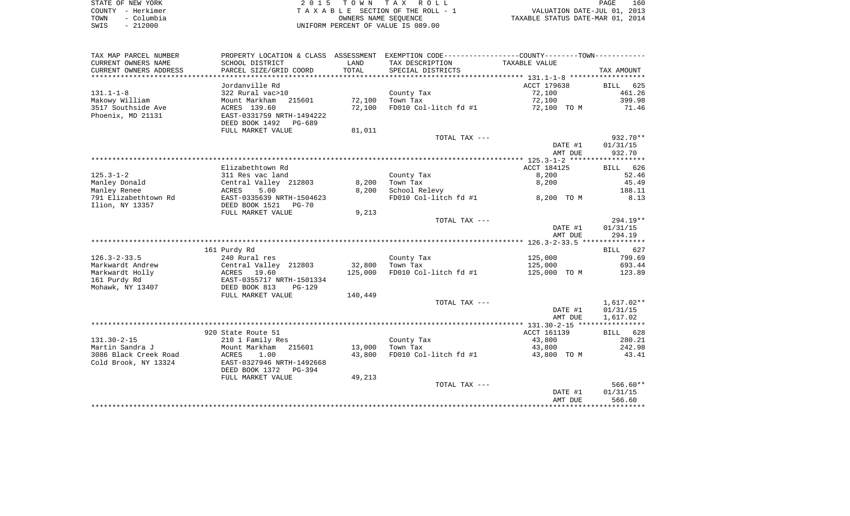| STATE OF NEW YORK  | 2015 TOWN TAX ROLL                 | 160<br>PAGE                      |
|--------------------|------------------------------------|----------------------------------|
| COUNTY - Herkimer  | TAXABLE SECTION OF THE ROLL - 1    | VALUATION DATE-JUL 01, 2013      |
| - Columbia<br>TOWN | OWNERS NAME SEOUENCE               | TAXABLE STATUS DATE-MAR 01, 2014 |
| $-212000$<br>SWIS  | UNIFORM PERCENT OF VALUE IS 089.00 |                                  |

| TAX MAP PARCEL NUMBER  |                           |         | PROPERTY LOCATION & CLASS ASSESSMENT EXEMPTION CODE----------------COUNTY-------TOWN---------- |                    |                      |
|------------------------|---------------------------|---------|------------------------------------------------------------------------------------------------|--------------------|----------------------|
| CURRENT OWNERS NAME    | SCHOOL DISTRICT           | LAND    | TAX DESCRIPTION                                                                                | TAXABLE VALUE      |                      |
| CURRENT OWNERS ADDRESS | PARCEL SIZE/GRID COORD    | TOTAL   | SPECIAL DISTRICTS                                                                              |                    | TAX AMOUNT           |
|                        |                           |         |                                                                                                |                    |                      |
|                        | Jordanville Rd            |         |                                                                                                | ACCT 179638        | <b>BILL</b><br>625   |
| $131.1 - 1 - 8$        | 322 Rural vac>10          |         | County Tax                                                                                     | 72,100             | 461.26               |
| Makowy William         | Mount Markham<br>215601   | 72,100  | Town Tax                                                                                       | 72,100             | 399.98               |
| 3517 Southside Ave     | ACRES 139.60              | 72,100  | FD010 Col-litch fd #1                                                                          | 72,100 TO M        | 71.46                |
| Phoenix, MD 21131      | EAST-0331759 NRTH-1494222 |         |                                                                                                |                    |                      |
|                        | DEED BOOK 1492<br>PG-689  |         |                                                                                                |                    |                      |
|                        | FULL MARKET VALUE         | 81,011  |                                                                                                |                    |                      |
|                        |                           |         | TOTAL TAX ---                                                                                  |                    | $932.70**$           |
|                        |                           |         |                                                                                                | DATE #1            | 01/31/15             |
|                        |                           |         |                                                                                                | AMT DUE            | 932.70               |
|                        |                           |         |                                                                                                |                    |                      |
|                        | Elizabethtown Rd          |         |                                                                                                | ACCT 184125        | BILL 626             |
| $125.3 - 1 - 2$        | 311 Res vac land          |         | County Tax                                                                                     | 8,200              | 52.46                |
| Manley Donald          | Central Valley 212803     | 8,200   | Town Tax                                                                                       | 8,200              | 45.49                |
| Manley Renee           | ACRES<br>5.00             | 8,200   | School Relevy                                                                                  |                    | 188.11               |
| 791 Elizabethtown Rd   | EAST-0335639 NRTH-1504623 |         | FD010 Col-litch fd #1                                                                          | 8,200 TO M         | 8.13                 |
| Ilion, NY 13357        | DEED BOOK 1521 PG-70      |         |                                                                                                |                    |                      |
|                        | FULL MARKET VALUE         | 9,213   |                                                                                                |                    |                      |
|                        |                           |         | TOTAL TAX ---                                                                                  |                    | $294.19**$           |
|                        |                           |         |                                                                                                | DATE #1            | 01/31/15             |
|                        |                           |         |                                                                                                | AMT DUE            | 294.19               |
|                        |                           |         |                                                                                                |                    |                      |
|                        | 161 Purdy Rd              |         |                                                                                                |                    | BILL 627             |
| $126.3 - 2 - 33.5$     | 240 Rural res             |         | County Tax                                                                                     | 125,000            | 799.69               |
| Markwardt Andrew       | Central Valley 212803     | 32,800  | Town Tax                                                                                       | 125,000            | 693.44               |
| Markwardt Holly        | ACRES 19.60               | 125,000 | FD010 Col-litch fd #1                                                                          | 125,000 TO M       | 123.89               |
| 161 Purdy Rd           | EAST-0355717 NRTH-1501334 |         |                                                                                                |                    |                      |
| Mohawk, NY 13407       | DEED BOOK 813<br>$PG-129$ |         |                                                                                                |                    |                      |
|                        | FULL MARKET VALUE         | 140,449 |                                                                                                |                    |                      |
|                        |                           |         | TOTAL TAX ---                                                                                  |                    | 1,617.02**           |
|                        |                           |         |                                                                                                | DATE #1<br>AMT DUE | 01/31/15<br>1,617.02 |
|                        |                           |         |                                                                                                |                    |                      |
|                        | 920 State Route 51        |         |                                                                                                | ACCT 161139        | BILL 628             |
| $131.30 - 2 - 15$      | 210 1 Family Res          |         | County Tax                                                                                     | 43,800             | 280.21               |
| Martin Sandra J        | Mount Markham<br>215601   | 13,000  | Town Tax                                                                                       | 43,800             | 242.98               |
| 3086 Black Creek Road  | ACRES<br>1.00             | 43,800  | FD010 Col-litch fd #1                                                                          | 43,800 TO M        | 43.41                |
| Cold Brook, NY 13324   | EAST-0327946 NRTH-1492668 |         |                                                                                                |                    |                      |
|                        | DEED BOOK 1372<br>PG-394  |         |                                                                                                |                    |                      |
|                        | FULL MARKET VALUE         | 49,213  |                                                                                                |                    |                      |
|                        |                           |         | TOTAL TAX ---                                                                                  |                    | $566.60**$           |
|                        |                           |         |                                                                                                | DATE #1            | 01/31/15             |
|                        |                           |         |                                                                                                | AMT DUE            | 566.60               |
|                        |                           |         |                                                                                                |                    |                      |
|                        |                           |         |                                                                                                |                    |                      |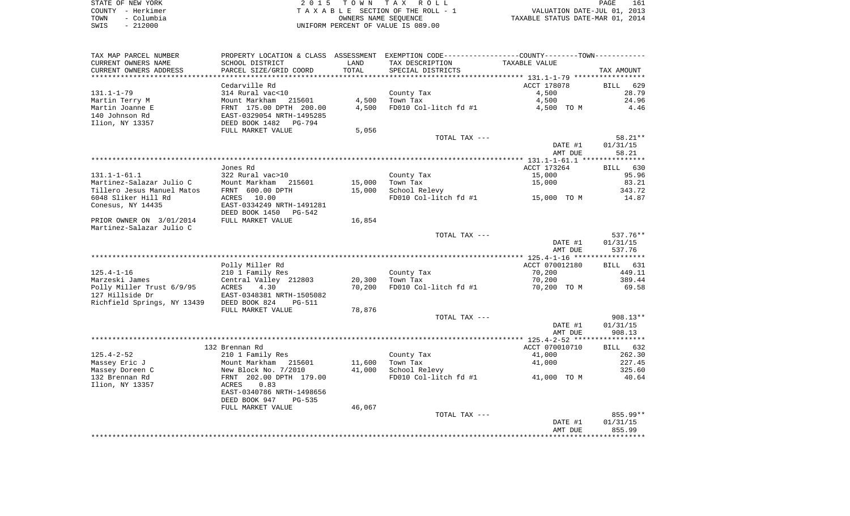| STATE OF NEW YORK  | 2015 TOWN TAX ROLL                 | 161<br>PAGE                      |
|--------------------|------------------------------------|----------------------------------|
| COUNTY - Herkimer  | TAXABLE SECTION OF THE ROLL - 1    | VALUATION DATE-JUL 01, 2013      |
| - Columbia<br>TOWN | OWNERS NAME SEOUENCE               | TAXABLE STATUS DATE-MAR 01, 2014 |
| $-212000$<br>SWIS  | UNIFORM PERCENT OF VALUE IS 089.00 |                                  |

| TAX MAP PARCEL NUMBER       |                                |        | PROPERTY LOCATION & CLASS ASSESSMENT EXEMPTION CODE---------------COUNTY-------TOWN---------- |                    |                        |
|-----------------------------|--------------------------------|--------|-----------------------------------------------------------------------------------------------|--------------------|------------------------|
| CURRENT OWNERS NAME         | SCHOOL DISTRICT                | LAND   | TAX DESCRIPTION                                                                               | TAXABLE VALUE      |                        |
| CURRENT OWNERS ADDRESS      | PARCEL SIZE/GRID COORD         | TOTAL  | SPECIAL DISTRICTS                                                                             |                    | TAX AMOUNT             |
| ***********************     |                                |        |                                                                                               |                    |                        |
|                             | Cedarville Rd                  |        |                                                                                               | ACCT 178078        | <b>BILL</b><br>629     |
| $131.1 - 1 - 79$            | 314 Rural vac<10               |        | County Tax                                                                                    | 4,500              | 28.79                  |
| Martin Terry M              | Mount Markham<br>215601        | 4,500  | Town Tax                                                                                      | 4,500              | 24.96                  |
| Martin Joanne E             | FRNT 175.00 DPTH 200.00        | 4,500  | FD010 Col-litch fd #1                                                                         | 4,500 TO M         | 4.46                   |
| 140 Johnson Rd              | EAST-0329054 NRTH-1495285      |        |                                                                                               |                    |                        |
| Ilion, NY 13357             | DEED BOOK 1482<br>PG-794       |        |                                                                                               |                    |                        |
|                             | FULL MARKET VALUE              | 5,056  |                                                                                               |                    |                        |
|                             |                                |        | TOTAL TAX ---                                                                                 |                    | $58.21**$              |
|                             |                                |        |                                                                                               | DATE #1            | 01/31/15               |
|                             |                                |        |                                                                                               | AMT DUE            | 58.21                  |
|                             | Jones Rd                       |        |                                                                                               | ACCT 173264        | BILL 630               |
| $131.1 - 1 - 61.1$          | 322 Rural vac>10               |        | County Tax                                                                                    | 15,000             | 95.96                  |
| Martinez-Salazar Julio C    | Mount Markham<br>215601        | 15,000 | Town Tax                                                                                      | 15,000             | 83.21                  |
| Tillero Jesus Manuel Matos  | FRNT 600.00 DPTH               | 15,000 | School Relevy                                                                                 |                    | 343.72                 |
| 6048 Sliker Hill Rd         | ACRES 10.00                    |        | FD010 Col-litch fd #1                                                                         | 15,000 TO M        | 14.87                  |
| Conesus, NY 14435           | EAST-0334249 NRTH-1491281      |        |                                                                                               |                    |                        |
|                             | DEED BOOK 1450<br>PG-542       |        |                                                                                               |                    |                        |
| PRIOR OWNER ON 3/01/2014    | FULL MARKET VALUE              | 16,854 |                                                                                               |                    |                        |
| Martinez-Salazar Julio C    |                                |        |                                                                                               |                    |                        |
|                             |                                |        | TOTAL TAX ---                                                                                 |                    | $537.76**$             |
|                             |                                |        |                                                                                               | DATE #1            | 01/31/15               |
|                             |                                |        |                                                                                               | AMT DUE            | 537.76                 |
|                             |                                |        |                                                                                               |                    |                        |
|                             | Polly Miller Rd                |        |                                                                                               | ACCT 070012180     | BILL 631               |
| $125.4 - 1 - 16$            | 210 1 Family Res               |        | County Tax                                                                                    | 70,200             | 449.11                 |
| Marzeski James              | Central Valley 212803          | 20,300 | Town Tax                                                                                      | 70,200             | 389.44                 |
| Polly Miller Trust 6/9/95   | 4.30<br>ACRES                  | 70,200 | FD010 Col-litch fd #1                                                                         | 70,200 TO M        | 69.58                  |
| 127 Hillside Dr             | EAST-0348381 NRTH-1505082      |        |                                                                                               |                    |                        |
| Richfield Springs, NY 13439 | DEED BOOK 824<br>PG-511        |        |                                                                                               |                    |                        |
|                             | FULL MARKET VALUE              | 78,876 |                                                                                               |                    |                        |
|                             |                                |        | TOTAL TAX ---                                                                                 |                    | $908.13**$<br>01/31/15 |
|                             |                                |        |                                                                                               | DATE #1<br>AMT DUE | 908.13                 |
|                             |                                |        |                                                                                               |                    |                        |
|                             | 132 Brennan Rd                 |        |                                                                                               | ACCT 070010710     | BILL 632               |
| $125.4 - 2 - 52$            | 210 1 Family Res               |        | County Tax                                                                                    | 41,000             | 262.30                 |
| Massey Eric J               | Mount Markham 215601           | 11,600 | Town Tax                                                                                      | 41,000             | 227.45                 |
| Massey Doreen C             | New Block No. 7/2010           | 41,000 | School Relevy                                                                                 |                    | 325.60                 |
| 132 Brennan Rd              | FRNT 202.00 DPTH 179.00        |        | FD010 Col-litch fd #1 41,000 TO M                                                             |                    | 40.64                  |
| Ilion, NY 13357             | 0.83<br>ACRES                  |        |                                                                                               |                    |                        |
|                             | EAST-0340786 NRTH-1498656      |        |                                                                                               |                    |                        |
|                             | DEED BOOK 947<br><b>PG-535</b> |        |                                                                                               |                    |                        |
|                             | FULL MARKET VALUE              | 46,067 |                                                                                               |                    |                        |
|                             |                                |        | TOTAL TAX ---                                                                                 |                    | 855.99**               |
|                             |                                |        |                                                                                               | DATE #1            | 01/31/15               |
|                             |                                |        |                                                                                               | AMT DUE            | 855.99                 |
|                             |                                |        |                                                                                               |                    |                        |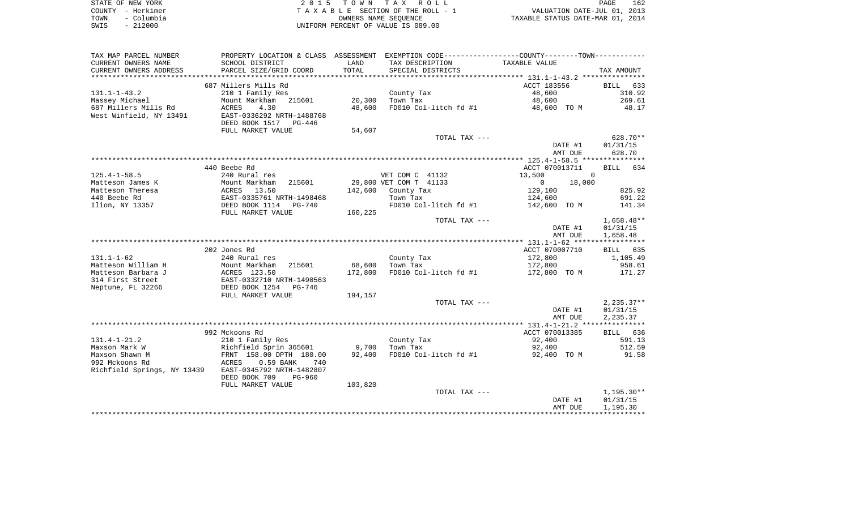|      | STATE OF NEW YORK | 2015 TOWN TAX ROLL                 | 162<br>PAGE                      |
|------|-------------------|------------------------------------|----------------------------------|
|      | COUNTY - Herkimer | TAXABLE SECTION OF THE ROLL - 1    | VALUATION DATE-JUL 01, 2013      |
| TOWN | - Columbia        | OWNERS NAME SEOUENCE               | TAXABLE STATUS DATE-MAR 01, 2014 |
| SWIS | $-212000$         | UNIFORM PERCENT OF VALUE IS 089.00 |                                  |

| TAX MAP PARCEL NUMBER       | PROPERTY LOCATION & CLASS ASSESSMENT |         |                        | EXEMPTION CODE-----------------COUNTY--------TOWN----------- |                |
|-----------------------------|--------------------------------------|---------|------------------------|--------------------------------------------------------------|----------------|
| CURRENT OWNERS NAME         | SCHOOL DISTRICT                      | LAND    | TAX DESCRIPTION        | TAXABLE VALUE                                                |                |
| CURRENT OWNERS ADDRESS      | PARCEL SIZE/GRID COORD               | TOTAL   | SPECIAL DISTRICTS      |                                                              | TAX AMOUNT     |
| ********************        |                                      |         |                        |                                                              |                |
|                             | 687 Millers Mills Rd                 |         |                        | ACCT 183556                                                  | BILL 633       |
| $131.1 - 1 - 43.2$          | 210 1 Family Res                     |         | County Tax             | 48,600                                                       | 310.92         |
| Massey Michael              | Mount Markham 215601                 | 20,300  | Town Tax               | 48,600                                                       | 269.61         |
| 687 Millers Mills Rd        | 4.30<br>ACRES                        | 48,600  | FD010 Col-litch fd #1  | 48,600 TO M                                                  | 48.17          |
| West Winfield, NY 13491     | EAST-0336292 NRTH-1488768            |         |                        |                                                              |                |
|                             | DEED BOOK 1517 PG-446                |         |                        |                                                              |                |
|                             | FULL MARKET VALUE                    | 54,607  |                        |                                                              |                |
|                             |                                      |         | TOTAL TAX ---          |                                                              | $628.70**$     |
|                             |                                      |         |                        | DATE #1                                                      | 01/31/15       |
|                             |                                      |         |                        | AMT DUE                                                      | 628.70         |
|                             |                                      |         |                        |                                                              |                |
|                             | 440 Beebe Rd                         |         |                        | ACCT 070013711                                               | BILL 634       |
| $125.4 - 1 - 58.5$          | 240 Rural res                        |         | VET COM C 41132        | 13,500                                                       | $\overline{0}$ |
| Matteson James K            | Mount Markham<br>215601              |         | 29,800 VET COM T 41133 | $\overline{0}$<br>18,000                                     |                |
| Matteson Theresa            | ACRES 13.50                          | 142,600 | County Tax             | 129,100                                                      | 825.92         |
| 440 Beebe Rd                | EAST-0335761 NRTH-1498468            |         | Town Tax               | 124,600                                                      | 691.22         |
| Ilion, NY 13357             | DEED BOOK 1114 PG-740                |         | FD010 Col-litch fd #1  | 142,600 TO M                                                 | 141.34         |
|                             | FULL MARKET VALUE                    | 160,225 |                        |                                                              |                |
|                             |                                      |         | TOTAL TAX ---          |                                                              | $1,658.48**$   |
|                             |                                      |         |                        | DATE #1                                                      | 01/31/15       |
|                             |                                      |         |                        | AMT DUE                                                      | 1,658.48       |
|                             | 202 Jones Rd                         |         |                        | ACCT 070007710                                               | BILL 635       |
| $131.1 - 1 - 62$            | 240 Rural res                        |         | County Tax             | 172,800                                                      | 1,105.49       |
| Matteson William H          | 215601<br>Mount Markham              | 68,600  | Town Tax               | 172,800                                                      | 958.61         |
| Matteson Barbara J          | ACRES 123.50                         | 172,800 | FD010 Col-litch fd #1  | 172,800 TO M                                                 | 171.27         |
| 314 First Street            | EAST-0332710 NRTH-1490563            |         |                        |                                                              |                |
| Neptune, FL 32266           | DEED BOOK 1254 PG-746                |         |                        |                                                              |                |
|                             | FULL MARKET VALUE                    | 194,157 |                        |                                                              |                |
|                             |                                      |         | TOTAL TAX ---          |                                                              | $2,235.37**$   |
|                             |                                      |         |                        | DATE #1                                                      | 01/31/15       |
|                             |                                      |         |                        | AMT DUE                                                      | 2,235.37       |
|                             |                                      |         |                        |                                                              |                |
|                             | 992 Mckoons Rd                       |         |                        | ACCT 070013385                                               | BILL 636       |
| $131.4 - 1 - 21.2$          | 210 1 Family Res                     |         | County Tax             | 92,400                                                       | 591.13         |
| Maxson Mark W               | Richfield Sprin 365601               | 9,700   | Town Tax               | 92,400                                                       | 512.59         |
| Maxson Shawn M              | FRNT 158.00 DPTH 180.00              | 92,400  | FD010 Col-litch fd #1  | 92,400 TO M                                                  | 91.58          |
| 992 Mckoons Rd              | ACRES<br>$0.59$ BANK<br>740          |         |                        |                                                              |                |
| Richfield Springs, NY 13439 | EAST-0345792 NRTH-1482807            |         |                        |                                                              |                |
|                             | DEED BOOK 709<br>$PG-960$            |         |                        |                                                              |                |
|                             | FULL MARKET VALUE                    | 103,820 |                        |                                                              |                |
|                             |                                      |         | TOTAL TAX ---          |                                                              | $1,195.30**$   |
|                             |                                      |         |                        | DATE #1                                                      | 01/31/15       |
|                             |                                      |         |                        | AMT DUE                                                      | 1,195.30       |
|                             |                                      |         |                        |                                                              |                |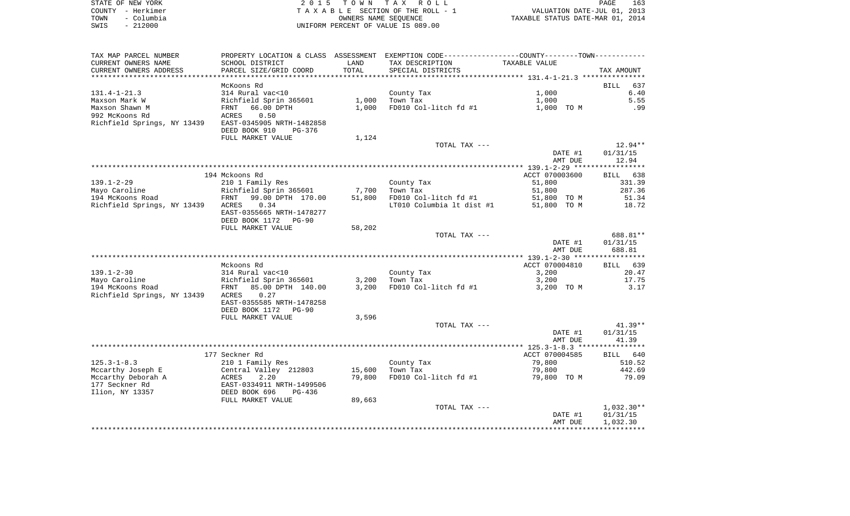| STATE OF NEW YORK |                   | 2015 TOWN TAX ROLL                 | PAGE                             | 163 |
|-------------------|-------------------|------------------------------------|----------------------------------|-----|
|                   | COUNTY - Herkimer | TAXABLE SECTION OF THE ROLL - 1    | VALUATION DATE-JUL 01, 2013      |     |
|                   | TOWN - Columbia   | OWNERS NAME SEOUENCE               | TAXABLE STATUS DATE-MAR 01, 2014 |     |
| SWIS              | - 212000          | UNIFORM PERCENT OF VALUE IS 089.00 |                                  |     |

| TAX MAP PARCEL NUMBER             |                                                  |                 | PROPERTY LOCATION & CLASS ASSESSMENT EXEMPTION CODE----------------COUNTY--------TOWN----------- |                       |                    |
|-----------------------------------|--------------------------------------------------|-----------------|--------------------------------------------------------------------------------------------------|-----------------------|--------------------|
| CURRENT OWNERS NAME               | SCHOOL DISTRICT                                  | LAND            | TAX DESCRIPTION                                                                                  | TAXABLE VALUE         |                    |
| CURRENT OWNERS ADDRESS            | PARCEL SIZE/GRID COORD                           | TOTAL           | SPECIAL DISTRICTS                                                                                |                       | TAX AMOUNT         |
| ***********************           | *****************************                    |                 |                                                                                                  |                       |                    |
|                                   | McKoons Rd                                       |                 |                                                                                                  |                       | <b>BILL</b><br>637 |
| $131.4 - 1 - 21.3$                | 314 Rural vac<10                                 |                 | County Tax                                                                                       | 1,000                 | 6.40               |
| Maxson Mark W                     | Richfield Sprin 365601                           | 1,000           | Town Tax                                                                                         | 1,000                 | 5.55               |
| Maxson Shawn M                    | 66.00 DPTH<br>FRNT                               | 1,000           | FD010 Col-litch fd #1                                                                            | 1,000 TO M            | .99                |
| 992 McKoons Rd                    | 0.50<br>ACRES                                    |                 |                                                                                                  |                       |                    |
| Richfield Springs, NY 13439       | EAST-0345905 NRTH-1482858                        |                 |                                                                                                  |                       |                    |
|                                   | DEED BOOK 910<br>PG-376                          |                 |                                                                                                  |                       |                    |
|                                   | FULL MARKET VALUE                                | 1,124           |                                                                                                  |                       |                    |
|                                   |                                                  |                 | TOTAL TAX ---                                                                                    |                       | $12.94**$          |
|                                   |                                                  |                 |                                                                                                  | DATE #1               | 01/31/15           |
|                                   |                                                  |                 |                                                                                                  | AMT DUE               | 12.94              |
|                                   |                                                  |                 |                                                                                                  |                       |                    |
|                                   | 194 Mckoons Rd                                   |                 |                                                                                                  | ACCT 070003600        | BILL 638           |
| $139.1 - 2 - 29$                  | 210 1 Family Res                                 |                 | County Tax                                                                                       | 51,800                | 331.39             |
| Mayo Caroline<br>194 McKoons Road | Richfield Sprin 365601<br>FRNT 99.00 DPTH 170.00 | 7,700<br>51,800 | Town Tax<br>FD010 Col-litch fd #1                                                                | 51,800<br>51,800 TO M | 287.36<br>51.34    |
| Richfield Springs, NY 13439 ACRES | 0.34                                             |                 | LT010 Columbia lt dist #1                                                                        | 51,800 TO M           | 18.72              |
|                                   | EAST-0355665 NRTH-1478277                        |                 |                                                                                                  |                       |                    |
|                                   | DEED BOOK 1172<br><b>PG-90</b>                   |                 |                                                                                                  |                       |                    |
|                                   | FULL MARKET VALUE                                | 58,202          |                                                                                                  |                       |                    |
|                                   |                                                  |                 | TOTAL TAX ---                                                                                    |                       | 688.81**           |
|                                   |                                                  |                 |                                                                                                  | DATE #1               | 01/31/15           |
|                                   |                                                  |                 |                                                                                                  | AMT DUE               | 688.81             |
|                                   |                                                  |                 |                                                                                                  |                       |                    |
|                                   | Mckoons Rd                                       |                 |                                                                                                  | ACCT 070004810        | BILL 639           |
| $139.1 - 2 - 30$                  | 314 Rural vac<10                                 |                 | County Tax                                                                                       | 3,200                 | 20.47              |
| Mayo Caroline                     | Richfield Sprin 365601                           | 3,200           | Town Tax                                                                                         | 3,200                 | 17.75              |
| 194 McKoons Road                  | 85.00 DPTH 140.00<br>FRNT                        | 3,200           | FD010 Col-litch fd #1                                                                            | 3,200 TO M            | 3.17               |
| Richfield Springs, NY 13439       | ACRES<br>0.27                                    |                 |                                                                                                  |                       |                    |
|                                   | EAST-0355585 NRTH-1478258                        |                 |                                                                                                  |                       |                    |
|                                   | DEED BOOK 1172<br>PG-90                          |                 |                                                                                                  |                       |                    |
|                                   | FULL MARKET VALUE                                | 3,596           |                                                                                                  |                       |                    |
|                                   |                                                  |                 | TOTAL TAX ---                                                                                    |                       | $41.39**$          |
|                                   |                                                  |                 |                                                                                                  | DATE #1               | 01/31/15           |
|                                   |                                                  |                 |                                                                                                  | AMT DUE               | 41.39              |
|                                   |                                                  |                 |                                                                                                  |                       |                    |
|                                   | 177 Seckner Rd                                   |                 |                                                                                                  | ACCT 070004585        | BILL 640           |
| $125.3 - 1 - 8.3$                 | 210 1 Family Res                                 |                 | County Tax                                                                                       | 79,800                | 510.52             |
| Mccarthy Joseph E                 | Central Valley 212803                            | 15,600          | Town Tax                                                                                         | 79,800                | 442.69             |
| Mccarthy Deborah A                | ACRES<br>2.20                                    | 79,800          | FD010 Col-litch fd #1                                                                            | 79,800 TO M           | 79.09              |
| 177 Seckner Rd                    | EAST-0334911 NRTH-1499506                        |                 |                                                                                                  |                       |                    |
| Ilion, NY 13357                   | DEED BOOK 696<br>$PG-436$                        |                 |                                                                                                  |                       |                    |
|                                   | FULL MARKET VALUE                                | 89,663          |                                                                                                  |                       |                    |
|                                   |                                                  |                 | TOTAL TAX ---                                                                                    |                       | $1,032.30**$       |
|                                   |                                                  |                 |                                                                                                  | DATE #1<br>AMT DUE    | 01/31/15           |
|                                   |                                                  |                 |                                                                                                  |                       | 1,032.30           |
|                                   |                                                  |                 |                                                                                                  |                       |                    |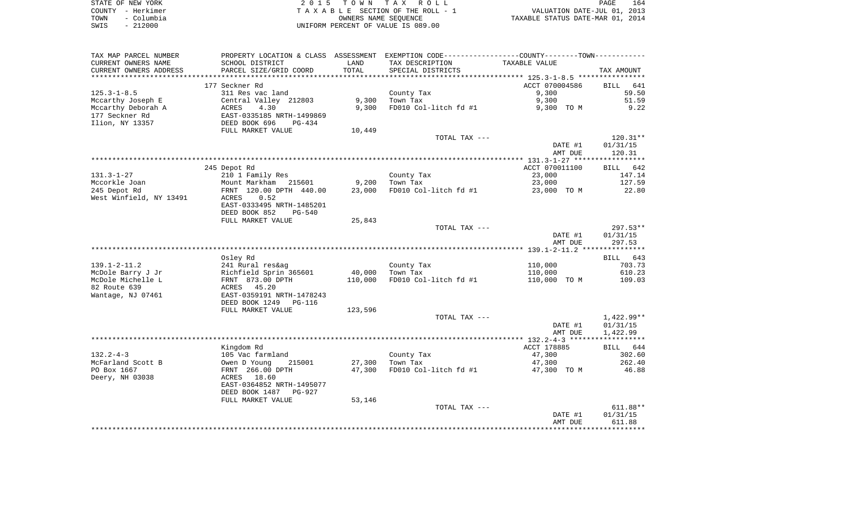| STATE OF NEW YORK  | 2015 TOWN TAX ROLL                 |                                  | PAGE | 164 |
|--------------------|------------------------------------|----------------------------------|------|-----|
| COUNTY – Herkimer  | TAXABLE SECTION OF THE ROLL - 1    | VALUATION DATE-JUL 01, 2013      |      |     |
| – Columbia<br>TOWN | OWNERS NAME SEOUENCE               | TAXABLE STATUS DATE-MAR 01, 2014 |      |     |
| $-212000$<br>SWIS  | UNIFORM PERCENT OF VALUE IS 089.00 |                                  |      |     |

 $\frac{164}{2013}$ <br>2014

| TAX MAP PARCEL NUMBER   |                           |         | PROPERTY LOCATION & CLASS ASSESSMENT EXEMPTION CODE----------------COUNTY--------TOWN---------- |                |                    |
|-------------------------|---------------------------|---------|-------------------------------------------------------------------------------------------------|----------------|--------------------|
| CURRENT OWNERS NAME     | SCHOOL DISTRICT           | LAND    | TAX DESCRIPTION                                                                                 | TAXABLE VALUE  |                    |
| CURRENT OWNERS ADDRESS  | PARCEL SIZE/GRID COORD    | TOTAL   | SPECIAL DISTRICTS                                                                               |                | TAX AMOUNT         |
|                         |                           |         |                                                                                                 |                |                    |
|                         | 177 Seckner Rd            |         |                                                                                                 | ACCT 070004586 | <b>BILL</b><br>641 |
| $125.3 - 1 - 8.5$       | 311 Res vac land          |         | County Tax                                                                                      | 9,300          | 59.50              |
| Mccarthy Joseph E       | Central Valley 212803     | 9,300   | Town Tax                                                                                        | 9,300          | 51.59              |
| Mccarthy Deborah A      | 4.30<br>ACRES             | 9,300   | FD010 Col-litch fd #1                                                                           | 9,300 TO M     | 9.22               |
| 177 Seckner Rd          | EAST-0335185 NRTH-1499869 |         |                                                                                                 |                |                    |
| Ilion, NY 13357         | DEED BOOK 696<br>PG-434   |         |                                                                                                 |                |                    |
|                         | FULL MARKET VALUE         | 10,449  |                                                                                                 |                |                    |
|                         |                           |         | TOTAL TAX ---                                                                                   |                | $120.31**$         |
|                         |                           |         |                                                                                                 | DATE #1        | 01/31/15           |
|                         |                           |         |                                                                                                 | AMT DUE        | 120.31             |
|                         |                           |         |                                                                                                 |                |                    |
|                         | 245 Depot Rd              |         |                                                                                                 | ACCT 070011100 | BILL 642           |
| $131.3 - 1 - 27$        | 210 1 Family Res          |         | County Tax                                                                                      | 23,000         | 147.14             |
| Mccorkle Joan           | Mount Markham 215601      | 9,200   | Town Tax                                                                                        | 23,000         | 127.59             |
| 245 Depot Rd            | FRNT 120.00 DPTH 440.00   | 23,000  | FD010 Col-litch fd #1                                                                           | 23,000 TO M    | 22.80              |
| West Winfield, NY 13491 | 0.52<br>ACRES             |         |                                                                                                 |                |                    |
|                         | EAST-0333495 NRTH-1485201 |         |                                                                                                 |                |                    |
|                         | DEED BOOK 852<br>$PG-540$ | 25,843  |                                                                                                 |                |                    |
|                         | FULL MARKET VALUE         |         | TOTAL TAX ---                                                                                   |                | $297.53**$         |
|                         |                           |         |                                                                                                 | DATE #1        | 01/31/15           |
|                         |                           |         |                                                                                                 | AMT DUE        | 297.53             |
|                         |                           |         |                                                                                                 |                |                    |
|                         | Osley Rd                  |         |                                                                                                 |                | BILL 643           |
| $139.1 - 2 - 11.2$      | 241 Rural res&ag          |         | County Tax                                                                                      | 110,000        | 703.73             |
| McDole Barry J Jr       | Richfield Sprin 365601    | 40,000  | Town Tax                                                                                        | 110,000        | 610.23             |
| McDole Michelle L       | FRNT 873.00 DPTH          | 110,000 | FD010 Col-litch fd #1                                                                           | 110,000 TO M   | 109.03             |
| 82 Route 639            | ACRES 45.20               |         |                                                                                                 |                |                    |
| Wantage, NJ 07461       | EAST-0359191 NRTH-1478243 |         |                                                                                                 |                |                    |
|                         | DEED BOOK 1249 PG-116     |         |                                                                                                 |                |                    |
|                         | FULL MARKET VALUE         | 123,596 |                                                                                                 |                |                    |
|                         |                           |         | TOTAL TAX ---                                                                                   |                | $1,422.99**$       |
|                         |                           |         |                                                                                                 | DATE #1        | 01/31/15           |
|                         |                           |         |                                                                                                 | AMT DUE        | 1,422.99           |
|                         |                           |         |                                                                                                 |                |                    |
|                         | Kingdom Rd                |         |                                                                                                 | ACCT 178885    | BILL 644           |
| $132.2 - 4 - 3$         | 105 Vac farmland          |         | County Tax                                                                                      | 47,300         | 302.60             |
| McFarland Scott B       | 215001<br>Owen D Young    | 27,300  | Town Tax                                                                                        | 47,300         | 262.40             |
| PO Box 1667             | FRNT 266.00 DPTH          | 47,300  | FD010 Col-litch fd #1                                                                           | 47,300 TO M    | 46.88              |
| Deery, NH 03038         | ACRES 18.60               |         |                                                                                                 |                |                    |
|                         | EAST-0364852 NRTH-1495077 |         |                                                                                                 |                |                    |
|                         | DEED BOOK 1487 PG-927     |         |                                                                                                 |                |                    |
|                         | FULL MARKET VALUE         | 53,146  |                                                                                                 |                |                    |
|                         |                           |         | TOTAL TAX ---                                                                                   |                | $611.88**$         |
|                         |                           |         |                                                                                                 | DATE #1        | 01/31/15           |
|                         |                           |         |                                                                                                 | AMT DUE        | 611.88             |
|                         |                           |         |                                                                                                 |                |                    |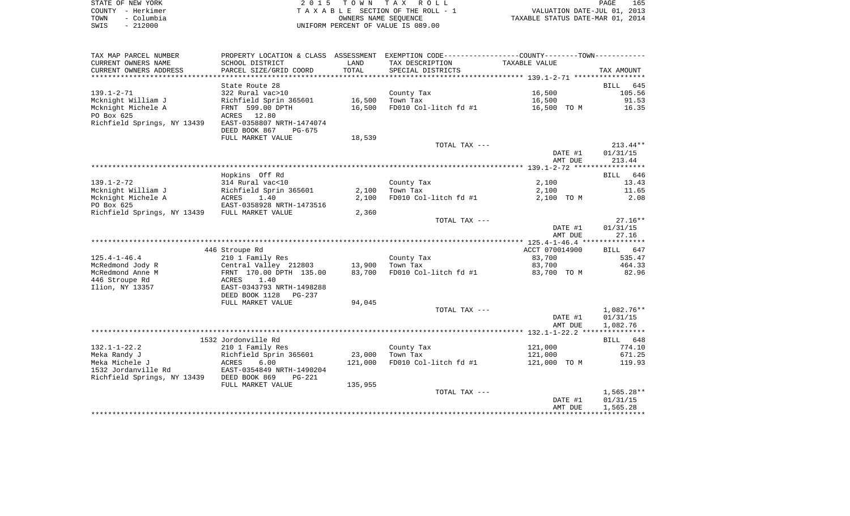| STATE OF NEW YORK  | 2015 TOWN TAX ROLL                 | 165<br><b>PAGE</b>               |
|--------------------|------------------------------------|----------------------------------|
| COUNTY - Herkimer  | TAXABLE SECTION OF THE ROLL - 1    | VALUATION DATE-JUL 01, 2013      |
| - Columbia<br>TOWN | OWNERS NAME SEOUENCE               | TAXABLE STATUS DATE-MAR 01, 2014 |
| $-212000$<br>SWIS  | UNIFORM PERCENT OF VALUE IS 089.00 |                                  |

| TAX MAP PARCEL NUMBER                         |                                                       |                  | PROPERTY LOCATION & CLASS ASSESSMENT EXEMPTION CODE---------------COUNTY-------TOWN---------- |                |                    |
|-----------------------------------------------|-------------------------------------------------------|------------------|-----------------------------------------------------------------------------------------------|----------------|--------------------|
| CURRENT OWNERS NAME                           | SCHOOL DISTRICT                                       | LAND             | TAX DESCRIPTION                                                                               | TAXABLE VALUE  |                    |
| CURRENT OWNERS ADDRESS                        | PARCEL SIZE/GRID COORD                                | TOTAL            | SPECIAL DISTRICTS                                                                             |                | TAX AMOUNT         |
| *********************                         | ***********************                               | **************** |                                                                                               |                |                    |
|                                               | State Route 28                                        |                  |                                                                                               |                | <b>BILL</b><br>645 |
| $139.1 - 2 - 71$                              | 322 Rural vac>10                                      |                  | County Tax                                                                                    | 16,500         | 105.56             |
| Mcknight William J                            | Richfield Sprin 365601                                | 16,500           | Town Tax                                                                                      | 16,500         | 91.53              |
| Mcknight Michele A                            | FRNT 599.00 DPTH                                      | 16,500           | FD010 Col-litch fd #1                                                                         | 16,500 TO M    | 16.35              |
| PO Box 625                                    | ACRES<br>12.80                                        |                  |                                                                                               |                |                    |
| Richfield Springs, NY 13439                   | EAST-0358807 NRTH-1474074                             |                  |                                                                                               |                |                    |
|                                               | DEED BOOK 867<br>PG-675                               |                  |                                                                                               |                |                    |
|                                               | FULL MARKET VALUE                                     | 18,539           |                                                                                               |                |                    |
|                                               |                                                       |                  | TOTAL TAX ---                                                                                 |                | $213.44**$         |
|                                               |                                                       |                  |                                                                                               | DATE #1        | 01/31/15           |
|                                               |                                                       |                  |                                                                                               | AMT DUE        | 213.44             |
|                                               |                                                       |                  |                                                                                               |                |                    |
|                                               | Hopkins Off Rd                                        |                  |                                                                                               |                | BILL 646           |
| $139.1 - 2 - 72$                              | 314 Rural vac<10                                      |                  | County Tax                                                                                    | 2,100          | 13.43              |
| Mcknight William J                            | Richfield Sprin 365601                                | 2,100            | Town Tax                                                                                      | 2,100          | 11.65              |
| Mcknight Michele A                            | ACRES<br>1.40                                         | 2,100            | FD010 Col-litch fd #1                                                                         | 2,100 TO M     | 2.08               |
| PO Box 625                                    | EAST-0358928 NRTH-1473516                             |                  |                                                                                               |                |                    |
| Richfield Springs, NY 13439 FULL MARKET VALUE |                                                       | 2,360            |                                                                                               |                |                    |
|                                               |                                                       |                  | TOTAL TAX ---                                                                                 |                | $27.16**$          |
|                                               |                                                       |                  |                                                                                               | DATE #1        | 01/31/15           |
|                                               |                                                       |                  |                                                                                               | AMT DUE        | 27.16              |
|                                               |                                                       |                  |                                                                                               |                |                    |
|                                               | 446 Stroupe Rd                                        |                  |                                                                                               | ACCT 070014900 | BILL 647           |
| $125.4 - 1 - 46.4$                            | 210 1 Family Res                                      |                  | County Tax                                                                                    | 83,700         | 535.47             |
| McRedmond Jody R                              | Central Valley 212803                                 | 13,900           | Town Tax                                                                                      | 83,700         | 464.33             |
| McRedmond Anne M                              | FRNT 170.00 DPTH 135.00                               | 83,700           | FD010 Col-litch fd #1                                                                         | 83,700 TO M    | 82.96              |
| 446 Stroupe Rd                                | ACRES<br>1.40                                         |                  |                                                                                               |                |                    |
| Ilion, NY 13357                               | EAST-0343793 NRTH-1498288<br>DEED BOOK 1128<br>PG-237 |                  |                                                                                               |                |                    |
|                                               | FULL MARKET VALUE                                     | 94,045           |                                                                                               |                |                    |
|                                               |                                                       |                  | TOTAL TAX ---                                                                                 |                | 1,082.76**         |
|                                               |                                                       |                  |                                                                                               | DATE #1        | 01/31/15           |
|                                               |                                                       |                  |                                                                                               | AMT DUE        | 1,082.76           |
|                                               |                                                       |                  |                                                                                               |                |                    |
|                                               | 1532 Jordonville Rd                                   |                  |                                                                                               |                | BILL 648           |
| $132.1 - 1 - 22.2$                            | 210 1 Family Res                                      |                  | County Tax                                                                                    | 121,000        | 774.10             |
| Meka Randy J                                  | Richfield Sprin 365601                                | 23,000           | Town Tax                                                                                      | 121,000        | 671.25             |
| Meka Michele J                                | ACRES<br>6.00                                         | 121,000          | FD010 Col-litch fd #1                                                                         | 121,000 TO M   | 119.93             |
| 1532 Jordanville Rd                           | EAST-0354849 NRTH-1490204                             |                  |                                                                                               |                |                    |
| Richfield Springs, NY 13439                   | DEED BOOK 869<br>$PG-221$                             |                  |                                                                                               |                |                    |
|                                               | FULL MARKET VALUE                                     | 135,955          |                                                                                               |                |                    |
|                                               |                                                       |                  | TOTAL TAX ---                                                                                 |                | 1,565.28**         |
|                                               |                                                       |                  |                                                                                               | DATE #1        | 01/31/15           |
|                                               |                                                       |                  |                                                                                               | AMT DUE        | 1,565.28           |
|                                               |                                                       |                  |                                                                                               |                |                    |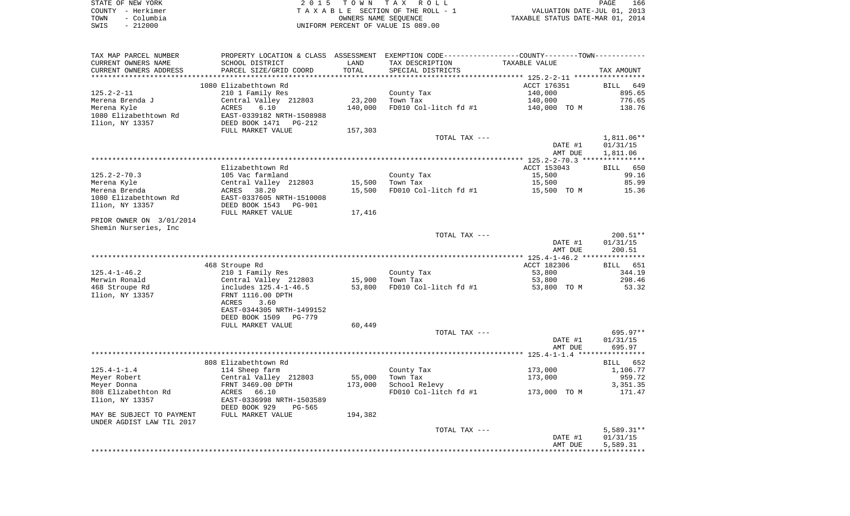|      | STATE OF NEW YORK | 2015 TOWN TAX ROLL                 | 166<br>PAGE                      |
|------|-------------------|------------------------------------|----------------------------------|
|      | COUNTY - Herkimer | TAXABLE SECTION OF THE ROLL - 1    | VALUATION DATE-JUL 01, 2013      |
| TOWN | – Columbia        | OWNERS NAME SEOUENCE               | TAXABLE STATUS DATE-MAR 01, 2014 |
| SWIS | - 212000          | UNIFORM PERCENT OF VALUE IS 089.00 |                                  |

| TAX MAP PARCEL NUMBER<br>CURRENT OWNERS NAME | PROPERTY LOCATION & CLASS ASSESSMENT EXEMPTION CODE----------------COUNTY--------TOWN-----------<br>SCHOOL DISTRICT | LAND    | TAX DESCRIPTION       | TAXABLE VALUE |                          |
|----------------------------------------------|---------------------------------------------------------------------------------------------------------------------|---------|-----------------------|---------------|--------------------------|
| CURRENT OWNERS ADDRESS                       | PARCEL SIZE/GRID COORD                                                                                              | TOTAL   | SPECIAL DISTRICTS     |               | TAX AMOUNT               |
| ***********************                      | *****************************                                                                                       |         |                       |               |                          |
|                                              | 1080 Elizabethtown Rd                                                                                               |         |                       | ACCT 176351   | BILL 649                 |
| $125.2 - 2 - 11$                             | 210 1 Family Res                                                                                                    |         | County Tax            | 140,000       | 895.65                   |
| Merena Brenda J                              | Central Valley 212803                                                                                               | 23,200  | Town Tax              | 140,000       | 776.65                   |
| Merena Kyle                                  | 6.10<br>ACRES                                                                                                       | 140,000 | FD010 Col-litch fd #1 | 140,000 TO M  | 138.76                   |
| 1080 Elizabethtown Rd                        | EAST-0339182 NRTH-1508988                                                                                           |         |                       |               |                          |
| Ilion, NY 13357                              | DEED BOOK 1471<br>PG-212                                                                                            |         |                       |               |                          |
|                                              | FULL MARKET VALUE                                                                                                   | 157,303 |                       |               |                          |
|                                              |                                                                                                                     |         | TOTAL TAX ---         | DATE #1       | $1,811.06**$<br>01/31/15 |
|                                              |                                                                                                                     |         |                       | AMT DUE       | 1,811.06                 |
|                                              |                                                                                                                     |         |                       |               |                          |
|                                              | Elizabethtown Rd                                                                                                    |         |                       | ACCT 153043   | BILL 650                 |
| $125.2 - 2 - 70.3$                           | 105 Vac farmland                                                                                                    |         | County Tax            | 15,500        | 99.16                    |
| Merena Kyle                                  | Central Valley 212803                                                                                               | 15,500  | Town Tax              | 15,500        | 85.99                    |
| Merena Brenda                                | ACRES<br>38.20                                                                                                      | 15,500  | FD010 Col-litch fd #1 | 15,500 TO M   | 15.36                    |
| 1080 Elizabethtown Rd                        | EAST-0337605 NRTH-1510008                                                                                           |         |                       |               |                          |
| Ilion, NY 13357                              | DEED BOOK 1543<br>PG-901                                                                                            |         |                       |               |                          |
|                                              | FULL MARKET VALUE                                                                                                   | 17,416  |                       |               |                          |
| PRIOR OWNER ON 3/01/2014                     |                                                                                                                     |         |                       |               |                          |
| Shemin Nurseries, Inc                        |                                                                                                                     |         |                       |               |                          |
|                                              |                                                                                                                     |         | TOTAL TAX ---         | DATE #1       | $200.51**$<br>01/31/15   |
|                                              |                                                                                                                     |         |                       | AMT DUE       | 200.51                   |
|                                              |                                                                                                                     |         |                       |               |                          |
|                                              | 468 Stroupe Rd                                                                                                      |         |                       | ACCT 182306   | BILL 651                 |
| $125.4 - 1 - 46.2$                           | 210 1 Family Res                                                                                                    |         | County Tax            | 53,800        | 344.19                   |
| Merwin Ronald                                | Central Valley 212803                                                                                               | 15,900  | Town Tax              | 53,800        | 298.46                   |
| 468 Stroupe Rd                               | includes 125.4-1-46.5                                                                                               | 53,800  | FD010 Col-litch fd #1 | 53,800 TO M   | 53.32                    |
| Ilion, NY 13357                              | FRNT 1116.00 DPTH                                                                                                   |         |                       |               |                          |
|                                              | ACRES<br>3.60                                                                                                       |         |                       |               |                          |
|                                              | EAST-0344305 NRTH-1499152                                                                                           |         |                       |               |                          |
|                                              | DEED BOOK 1509<br>PG-779                                                                                            |         |                       |               |                          |
|                                              | FULL MARKET VALUE                                                                                                   | 60,449  |                       |               |                          |
|                                              |                                                                                                                     |         | TOTAL TAX ---         | DATE #1       | $695.97**$<br>01/31/15   |
|                                              |                                                                                                                     |         |                       | AMT DUE       | 695.97                   |
|                                              |                                                                                                                     |         |                       |               |                          |
|                                              | 808 Elizabethtown Rd                                                                                                |         |                       |               | BILL<br>652              |
| $125.4 - 1 - 1.4$                            | 114 Sheep farm                                                                                                      |         | County Tax            | 173,000       | 1,106.77                 |
| Meyer Robert                                 | Central Valley 212803                                                                                               | 55,000  | Town Tax              | 173,000       | 959.72                   |
| Meyer Donna                                  | FRNT 3469.00 DPTH                                                                                                   | 173,000 | School Relevy         |               | 3,351.35                 |
| 808 Elizabethton Rd                          | ACRES<br>66.10                                                                                                      |         | FD010 Col-litch fd #1 | 173,000 TO M  | 171.47                   |
| Ilion, NY 13357                              | EAST-0336998 NRTH-1503589                                                                                           |         |                       |               |                          |
|                                              | DEED BOOK 929<br>PG-565                                                                                             |         |                       |               |                          |
| MAY BE SUBJECT TO PAYMENT                    | FULL MARKET VALUE                                                                                                   | 194,382 |                       |               |                          |
| UNDER AGDIST LAW TIL 2017                    |                                                                                                                     |         | TOTAL TAX ---         |               |                          |
|                                              |                                                                                                                     |         |                       | DATE #1       | $5,589.31**$<br>01/31/15 |
|                                              |                                                                                                                     |         |                       | AMT DUE       | 5,589.31                 |
|                                              |                                                                                                                     |         |                       |               |                          |
|                                              |                                                                                                                     |         |                       |               |                          |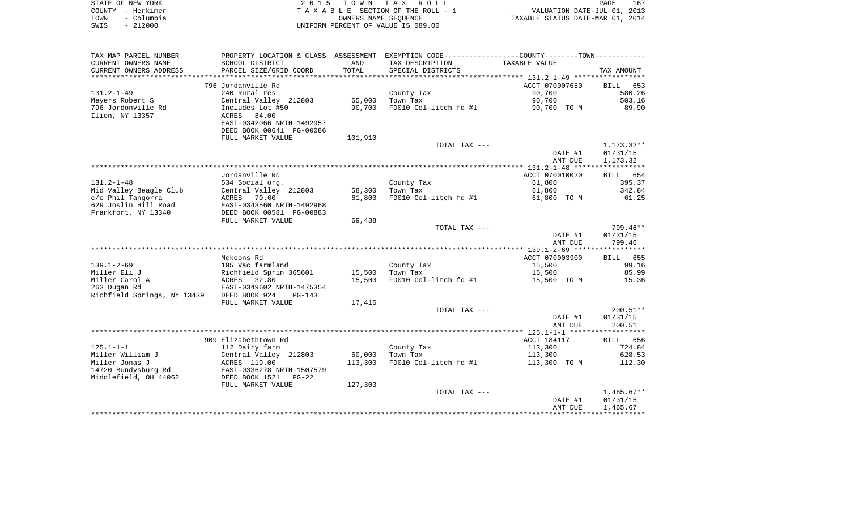| STATE OF NEW YORK  | 2015 TOWN TAX ROLL                 | 167<br>PAGE                      |
|--------------------|------------------------------------|----------------------------------|
| COUNTY – Herkimer  | TAXABLE SECTION OF THE ROLL - 1    | VALUATION DATE-JUL 01, 2013      |
| – Columbia<br>TOWN | OWNERS NAME SEOUENCE               | TAXABLE STATUS DATE-MAR 01, 2014 |
| $-212000$<br>SWIS  | UNIFORM PERCENT OF VALUE IS 089.00 |                                  |

| CURRENT OWNERS NAME<br>SCHOOL DISTRICT<br>TAX DESCRIPTION<br>TAXABLE VALUE<br>LAND<br>PARCEL SIZE/GRID COORD<br>TOTAL<br>CURRENT OWNERS ADDRESS<br>SPECIAL DISTRICTS<br>TAX AMOUNT<br>***********************<br>*****************************<br>796 Jordanville Rd<br>ACCT 070007650<br>653<br><b>BILL</b><br>$131.2 - 1 - 49$<br>240 Rural res<br>90,700<br>580.26<br>County Tax<br>90,700<br>Meyers Robert S<br>Central Valley 212803<br>65,000<br>503.16<br>Town Tax<br>796 Jordonville Rd<br>FD010 Col-litch fd #1<br>89.90<br>Includes Lot #50<br>90,700<br>90,700 TO M<br>Ilion, NY 13357<br>ACRES 84.00<br>EAST-0342066 NRTH-1492957<br>DEED BOOK 00641 PG-00086<br>FULL MARKET VALUE<br>101,910<br>$1,173.32**$<br>TOTAL TAX ---<br>DATE #1<br>01/31/15<br>AMT DUE<br>1,173.32<br>Jordanville Rd<br>ACCT 070010020<br>BILL 654<br>$131.2 - 1 - 48$<br>534 Social org.<br>61,800<br>395.37<br>County Tax<br>Central Valley 212803<br>342.84<br>Mid Valley Beagle Club<br>58,300<br>Town Tax<br>61,800<br>c/o Phil Tangorra<br>70.60<br>61,800<br>FD010 Col-litch fd #1<br>61,800 TO M<br>61.25<br>ACRES<br>629 Joslin Hill Road<br>EAST-0343560 NRTH-1492968<br>Frankfort, NY 13340<br>DEED BOOK 00581 PG-00883<br>69,438<br>FULL MARKET VALUE<br>799.46**<br>TOTAL TAX ---<br>DATE #1<br>01/31/15<br>799.46<br>AMT DUE<br>Mckoons Rd<br>ACCT 070003900<br>BILL 655<br>$139.1 - 2 - 69$<br>105 Vac farmland<br>County Tax<br>15,500<br>99.16<br>Miller Eli J<br>Richfield Sprin 365601<br>15,500<br>Town Tax<br>15,500<br>85.99<br>Miller Carol A<br>FD010 Col-litch fd #1<br>ACRES<br>32.80<br>15,500<br>15,500 TO M<br>15.36<br>263 Dugan Rd<br>EAST-0349602 NRTH-1475354<br>Richfield Springs, NY 13439<br>DEED BOOK 924<br>$PG-143$<br>FULL MARKET VALUE<br>17,416<br>$200.51**$<br>TOTAL TAX ---<br>DATE #1<br>01/31/15<br>200.51<br>AMT DUE<br>909 Elizabethtown Rd<br>ACCT 184117<br>BILL 656<br>$125.1 - 1 - 1$<br>112 Dairy farm<br>County Tax<br>113,300<br>724.84<br>Miller William J<br>Central Valley 212803<br>60,000<br>113,300<br>628.53<br>Town Tax<br>ACRES 119.00<br>113,300<br>FD010 Col-litch fd #1<br>112.30<br>113,300 TO M<br>EAST-0336278 NRTH-1507579<br>Middlefield, OH 44062<br>DEED BOOK 1521<br>$PG-22$<br>127,303<br>FULL MARKET VALUE<br>$1,465.67**$<br>TOTAL TAX ---<br>DATE #1<br>01/31/15<br>1,465.67<br>AMT DUE | TAX MAP PARCEL NUMBER | PROPERTY LOCATION & CLASS ASSESSMENT | EXEMPTION CODE----------------COUNTY-------TOWN---------- |  |
|---------------------------------------------------------------------------------------------------------------------------------------------------------------------------------------------------------------------------------------------------------------------------------------------------------------------------------------------------------------------------------------------------------------------------------------------------------------------------------------------------------------------------------------------------------------------------------------------------------------------------------------------------------------------------------------------------------------------------------------------------------------------------------------------------------------------------------------------------------------------------------------------------------------------------------------------------------------------------------------------------------------------------------------------------------------------------------------------------------------------------------------------------------------------------------------------------------------------------------------------------------------------------------------------------------------------------------------------------------------------------------------------------------------------------------------------------------------------------------------------------------------------------------------------------------------------------------------------------------------------------------------------------------------------------------------------------------------------------------------------------------------------------------------------------------------------------------------------------------------------------------------------------------------------------------------------------------------------------------------------------------------------------------------------------------------------------------------------------------------------------------------------------------------------------------------------------------------------------------------------------------------------------------------------------------------------------------------------------------------|-----------------------|--------------------------------------|-----------------------------------------------------------|--|
|                                                                                                                                                                                                                                                                                                                                                                                                                                                                                                                                                                                                                                                                                                                                                                                                                                                                                                                                                                                                                                                                                                                                                                                                                                                                                                                                                                                                                                                                                                                                                                                                                                                                                                                                                                                                                                                                                                                                                                                                                                                                                                                                                                                                                                                                                                                                                               |                       |                                      |                                                           |  |
|                                                                                                                                                                                                                                                                                                                                                                                                                                                                                                                                                                                                                                                                                                                                                                                                                                                                                                                                                                                                                                                                                                                                                                                                                                                                                                                                                                                                                                                                                                                                                                                                                                                                                                                                                                                                                                                                                                                                                                                                                                                                                                                                                                                                                                                                                                                                                               |                       |                                      |                                                           |  |
|                                                                                                                                                                                                                                                                                                                                                                                                                                                                                                                                                                                                                                                                                                                                                                                                                                                                                                                                                                                                                                                                                                                                                                                                                                                                                                                                                                                                                                                                                                                                                                                                                                                                                                                                                                                                                                                                                                                                                                                                                                                                                                                                                                                                                                                                                                                                                               |                       |                                      |                                                           |  |
|                                                                                                                                                                                                                                                                                                                                                                                                                                                                                                                                                                                                                                                                                                                                                                                                                                                                                                                                                                                                                                                                                                                                                                                                                                                                                                                                                                                                                                                                                                                                                                                                                                                                                                                                                                                                                                                                                                                                                                                                                                                                                                                                                                                                                                                                                                                                                               |                       |                                      |                                                           |  |
|                                                                                                                                                                                                                                                                                                                                                                                                                                                                                                                                                                                                                                                                                                                                                                                                                                                                                                                                                                                                                                                                                                                                                                                                                                                                                                                                                                                                                                                                                                                                                                                                                                                                                                                                                                                                                                                                                                                                                                                                                                                                                                                                                                                                                                                                                                                                                               |                       |                                      |                                                           |  |
|                                                                                                                                                                                                                                                                                                                                                                                                                                                                                                                                                                                                                                                                                                                                                                                                                                                                                                                                                                                                                                                                                                                                                                                                                                                                                                                                                                                                                                                                                                                                                                                                                                                                                                                                                                                                                                                                                                                                                                                                                                                                                                                                                                                                                                                                                                                                                               |                       |                                      |                                                           |  |
|                                                                                                                                                                                                                                                                                                                                                                                                                                                                                                                                                                                                                                                                                                                                                                                                                                                                                                                                                                                                                                                                                                                                                                                                                                                                                                                                                                                                                                                                                                                                                                                                                                                                                                                                                                                                                                                                                                                                                                                                                                                                                                                                                                                                                                                                                                                                                               |                       |                                      |                                                           |  |
|                                                                                                                                                                                                                                                                                                                                                                                                                                                                                                                                                                                                                                                                                                                                                                                                                                                                                                                                                                                                                                                                                                                                                                                                                                                                                                                                                                                                                                                                                                                                                                                                                                                                                                                                                                                                                                                                                                                                                                                                                                                                                                                                                                                                                                                                                                                                                               |                       |                                      |                                                           |  |
|                                                                                                                                                                                                                                                                                                                                                                                                                                                                                                                                                                                                                                                                                                                                                                                                                                                                                                                                                                                                                                                                                                                                                                                                                                                                                                                                                                                                                                                                                                                                                                                                                                                                                                                                                                                                                                                                                                                                                                                                                                                                                                                                                                                                                                                                                                                                                               |                       |                                      |                                                           |  |
|                                                                                                                                                                                                                                                                                                                                                                                                                                                                                                                                                                                                                                                                                                                                                                                                                                                                                                                                                                                                                                                                                                                                                                                                                                                                                                                                                                                                                                                                                                                                                                                                                                                                                                                                                                                                                                                                                                                                                                                                                                                                                                                                                                                                                                                                                                                                                               |                       |                                      |                                                           |  |
|                                                                                                                                                                                                                                                                                                                                                                                                                                                                                                                                                                                                                                                                                                                                                                                                                                                                                                                                                                                                                                                                                                                                                                                                                                                                                                                                                                                                                                                                                                                                                                                                                                                                                                                                                                                                                                                                                                                                                                                                                                                                                                                                                                                                                                                                                                                                                               |                       |                                      |                                                           |  |
|                                                                                                                                                                                                                                                                                                                                                                                                                                                                                                                                                                                                                                                                                                                                                                                                                                                                                                                                                                                                                                                                                                                                                                                                                                                                                                                                                                                                                                                                                                                                                                                                                                                                                                                                                                                                                                                                                                                                                                                                                                                                                                                                                                                                                                                                                                                                                               |                       |                                      |                                                           |  |
|                                                                                                                                                                                                                                                                                                                                                                                                                                                                                                                                                                                                                                                                                                                                                                                                                                                                                                                                                                                                                                                                                                                                                                                                                                                                                                                                                                                                                                                                                                                                                                                                                                                                                                                                                                                                                                                                                                                                                                                                                                                                                                                                                                                                                                                                                                                                                               |                       |                                      |                                                           |  |
|                                                                                                                                                                                                                                                                                                                                                                                                                                                                                                                                                                                                                                                                                                                                                                                                                                                                                                                                                                                                                                                                                                                                                                                                                                                                                                                                                                                                                                                                                                                                                                                                                                                                                                                                                                                                                                                                                                                                                                                                                                                                                                                                                                                                                                                                                                                                                               |                       |                                      |                                                           |  |
|                                                                                                                                                                                                                                                                                                                                                                                                                                                                                                                                                                                                                                                                                                                                                                                                                                                                                                                                                                                                                                                                                                                                                                                                                                                                                                                                                                                                                                                                                                                                                                                                                                                                                                                                                                                                                                                                                                                                                                                                                                                                                                                                                                                                                                                                                                                                                               |                       |                                      |                                                           |  |
|                                                                                                                                                                                                                                                                                                                                                                                                                                                                                                                                                                                                                                                                                                                                                                                                                                                                                                                                                                                                                                                                                                                                                                                                                                                                                                                                                                                                                                                                                                                                                                                                                                                                                                                                                                                                                                                                                                                                                                                                                                                                                                                                                                                                                                                                                                                                                               |                       |                                      |                                                           |  |
|                                                                                                                                                                                                                                                                                                                                                                                                                                                                                                                                                                                                                                                                                                                                                                                                                                                                                                                                                                                                                                                                                                                                                                                                                                                                                                                                                                                                                                                                                                                                                                                                                                                                                                                                                                                                                                                                                                                                                                                                                                                                                                                                                                                                                                                                                                                                                               |                       |                                      |                                                           |  |
|                                                                                                                                                                                                                                                                                                                                                                                                                                                                                                                                                                                                                                                                                                                                                                                                                                                                                                                                                                                                                                                                                                                                                                                                                                                                                                                                                                                                                                                                                                                                                                                                                                                                                                                                                                                                                                                                                                                                                                                                                                                                                                                                                                                                                                                                                                                                                               |                       |                                      |                                                           |  |
|                                                                                                                                                                                                                                                                                                                                                                                                                                                                                                                                                                                                                                                                                                                                                                                                                                                                                                                                                                                                                                                                                                                                                                                                                                                                                                                                                                                                                                                                                                                                                                                                                                                                                                                                                                                                                                                                                                                                                                                                                                                                                                                                                                                                                                                                                                                                                               |                       |                                      |                                                           |  |
|                                                                                                                                                                                                                                                                                                                                                                                                                                                                                                                                                                                                                                                                                                                                                                                                                                                                                                                                                                                                                                                                                                                                                                                                                                                                                                                                                                                                                                                                                                                                                                                                                                                                                                                                                                                                                                                                                                                                                                                                                                                                                                                                                                                                                                                                                                                                                               |                       |                                      |                                                           |  |
|                                                                                                                                                                                                                                                                                                                                                                                                                                                                                                                                                                                                                                                                                                                                                                                                                                                                                                                                                                                                                                                                                                                                                                                                                                                                                                                                                                                                                                                                                                                                                                                                                                                                                                                                                                                                                                                                                                                                                                                                                                                                                                                                                                                                                                                                                                                                                               |                       |                                      |                                                           |  |
|                                                                                                                                                                                                                                                                                                                                                                                                                                                                                                                                                                                                                                                                                                                                                                                                                                                                                                                                                                                                                                                                                                                                                                                                                                                                                                                                                                                                                                                                                                                                                                                                                                                                                                                                                                                                                                                                                                                                                                                                                                                                                                                                                                                                                                                                                                                                                               |                       |                                      |                                                           |  |
|                                                                                                                                                                                                                                                                                                                                                                                                                                                                                                                                                                                                                                                                                                                                                                                                                                                                                                                                                                                                                                                                                                                                                                                                                                                                                                                                                                                                                                                                                                                                                                                                                                                                                                                                                                                                                                                                                                                                                                                                                                                                                                                                                                                                                                                                                                                                                               |                       |                                      |                                                           |  |
|                                                                                                                                                                                                                                                                                                                                                                                                                                                                                                                                                                                                                                                                                                                                                                                                                                                                                                                                                                                                                                                                                                                                                                                                                                                                                                                                                                                                                                                                                                                                                                                                                                                                                                                                                                                                                                                                                                                                                                                                                                                                                                                                                                                                                                                                                                                                                               |                       |                                      |                                                           |  |
|                                                                                                                                                                                                                                                                                                                                                                                                                                                                                                                                                                                                                                                                                                                                                                                                                                                                                                                                                                                                                                                                                                                                                                                                                                                                                                                                                                                                                                                                                                                                                                                                                                                                                                                                                                                                                                                                                                                                                                                                                                                                                                                                                                                                                                                                                                                                                               |                       |                                      |                                                           |  |
|                                                                                                                                                                                                                                                                                                                                                                                                                                                                                                                                                                                                                                                                                                                                                                                                                                                                                                                                                                                                                                                                                                                                                                                                                                                                                                                                                                                                                                                                                                                                                                                                                                                                                                                                                                                                                                                                                                                                                                                                                                                                                                                                                                                                                                                                                                                                                               |                       |                                      |                                                           |  |
|                                                                                                                                                                                                                                                                                                                                                                                                                                                                                                                                                                                                                                                                                                                                                                                                                                                                                                                                                                                                                                                                                                                                                                                                                                                                                                                                                                                                                                                                                                                                                                                                                                                                                                                                                                                                                                                                                                                                                                                                                                                                                                                                                                                                                                                                                                                                                               |                       |                                      |                                                           |  |
|                                                                                                                                                                                                                                                                                                                                                                                                                                                                                                                                                                                                                                                                                                                                                                                                                                                                                                                                                                                                                                                                                                                                                                                                                                                                                                                                                                                                                                                                                                                                                                                                                                                                                                                                                                                                                                                                                                                                                                                                                                                                                                                                                                                                                                                                                                                                                               |                       |                                      |                                                           |  |
|                                                                                                                                                                                                                                                                                                                                                                                                                                                                                                                                                                                                                                                                                                                                                                                                                                                                                                                                                                                                                                                                                                                                                                                                                                                                                                                                                                                                                                                                                                                                                                                                                                                                                                                                                                                                                                                                                                                                                                                                                                                                                                                                                                                                                                                                                                                                                               |                       |                                      |                                                           |  |
|                                                                                                                                                                                                                                                                                                                                                                                                                                                                                                                                                                                                                                                                                                                                                                                                                                                                                                                                                                                                                                                                                                                                                                                                                                                                                                                                                                                                                                                                                                                                                                                                                                                                                                                                                                                                                                                                                                                                                                                                                                                                                                                                                                                                                                                                                                                                                               |                       |                                      |                                                           |  |
|                                                                                                                                                                                                                                                                                                                                                                                                                                                                                                                                                                                                                                                                                                                                                                                                                                                                                                                                                                                                                                                                                                                                                                                                                                                                                                                                                                                                                                                                                                                                                                                                                                                                                                                                                                                                                                                                                                                                                                                                                                                                                                                                                                                                                                                                                                                                                               |                       |                                      |                                                           |  |
|                                                                                                                                                                                                                                                                                                                                                                                                                                                                                                                                                                                                                                                                                                                                                                                                                                                                                                                                                                                                                                                                                                                                                                                                                                                                                                                                                                                                                                                                                                                                                                                                                                                                                                                                                                                                                                                                                                                                                                                                                                                                                                                                                                                                                                                                                                                                                               |                       |                                      |                                                           |  |
|                                                                                                                                                                                                                                                                                                                                                                                                                                                                                                                                                                                                                                                                                                                                                                                                                                                                                                                                                                                                                                                                                                                                                                                                                                                                                                                                                                                                                                                                                                                                                                                                                                                                                                                                                                                                                                                                                                                                                                                                                                                                                                                                                                                                                                                                                                                                                               |                       |                                      |                                                           |  |
|                                                                                                                                                                                                                                                                                                                                                                                                                                                                                                                                                                                                                                                                                                                                                                                                                                                                                                                                                                                                                                                                                                                                                                                                                                                                                                                                                                                                                                                                                                                                                                                                                                                                                                                                                                                                                                                                                                                                                                                                                                                                                                                                                                                                                                                                                                                                                               |                       |                                      |                                                           |  |
|                                                                                                                                                                                                                                                                                                                                                                                                                                                                                                                                                                                                                                                                                                                                                                                                                                                                                                                                                                                                                                                                                                                                                                                                                                                                                                                                                                                                                                                                                                                                                                                                                                                                                                                                                                                                                                                                                                                                                                                                                                                                                                                                                                                                                                                                                                                                                               |                       |                                      |                                                           |  |
|                                                                                                                                                                                                                                                                                                                                                                                                                                                                                                                                                                                                                                                                                                                                                                                                                                                                                                                                                                                                                                                                                                                                                                                                                                                                                                                                                                                                                                                                                                                                                                                                                                                                                                                                                                                                                                                                                                                                                                                                                                                                                                                                                                                                                                                                                                                                                               |                       |                                      |                                                           |  |
|                                                                                                                                                                                                                                                                                                                                                                                                                                                                                                                                                                                                                                                                                                                                                                                                                                                                                                                                                                                                                                                                                                                                                                                                                                                                                                                                                                                                                                                                                                                                                                                                                                                                                                                                                                                                                                                                                                                                                                                                                                                                                                                                                                                                                                                                                                                                                               |                       |                                      |                                                           |  |
|                                                                                                                                                                                                                                                                                                                                                                                                                                                                                                                                                                                                                                                                                                                                                                                                                                                                                                                                                                                                                                                                                                                                                                                                                                                                                                                                                                                                                                                                                                                                                                                                                                                                                                                                                                                                                                                                                                                                                                                                                                                                                                                                                                                                                                                                                                                                                               |                       |                                      |                                                           |  |
|                                                                                                                                                                                                                                                                                                                                                                                                                                                                                                                                                                                                                                                                                                                                                                                                                                                                                                                                                                                                                                                                                                                                                                                                                                                                                                                                                                                                                                                                                                                                                                                                                                                                                                                                                                                                                                                                                                                                                                                                                                                                                                                                                                                                                                                                                                                                                               |                       |                                      |                                                           |  |
|                                                                                                                                                                                                                                                                                                                                                                                                                                                                                                                                                                                                                                                                                                                                                                                                                                                                                                                                                                                                                                                                                                                                                                                                                                                                                                                                                                                                                                                                                                                                                                                                                                                                                                                                                                                                                                                                                                                                                                                                                                                                                                                                                                                                                                                                                                                                                               |                       |                                      |                                                           |  |
|                                                                                                                                                                                                                                                                                                                                                                                                                                                                                                                                                                                                                                                                                                                                                                                                                                                                                                                                                                                                                                                                                                                                                                                                                                                                                                                                                                                                                                                                                                                                                                                                                                                                                                                                                                                                                                                                                                                                                                                                                                                                                                                                                                                                                                                                                                                                                               |                       |                                      |                                                           |  |
|                                                                                                                                                                                                                                                                                                                                                                                                                                                                                                                                                                                                                                                                                                                                                                                                                                                                                                                                                                                                                                                                                                                                                                                                                                                                                                                                                                                                                                                                                                                                                                                                                                                                                                                                                                                                                                                                                                                                                                                                                                                                                                                                                                                                                                                                                                                                                               | Miller Jonas J        |                                      |                                                           |  |
|                                                                                                                                                                                                                                                                                                                                                                                                                                                                                                                                                                                                                                                                                                                                                                                                                                                                                                                                                                                                                                                                                                                                                                                                                                                                                                                                                                                                                                                                                                                                                                                                                                                                                                                                                                                                                                                                                                                                                                                                                                                                                                                                                                                                                                                                                                                                                               | 14720 Bundysburg Rd   |                                      |                                                           |  |
|                                                                                                                                                                                                                                                                                                                                                                                                                                                                                                                                                                                                                                                                                                                                                                                                                                                                                                                                                                                                                                                                                                                                                                                                                                                                                                                                                                                                                                                                                                                                                                                                                                                                                                                                                                                                                                                                                                                                                                                                                                                                                                                                                                                                                                                                                                                                                               |                       |                                      |                                                           |  |
|                                                                                                                                                                                                                                                                                                                                                                                                                                                                                                                                                                                                                                                                                                                                                                                                                                                                                                                                                                                                                                                                                                                                                                                                                                                                                                                                                                                                                                                                                                                                                                                                                                                                                                                                                                                                                                                                                                                                                                                                                                                                                                                                                                                                                                                                                                                                                               |                       |                                      |                                                           |  |
|                                                                                                                                                                                                                                                                                                                                                                                                                                                                                                                                                                                                                                                                                                                                                                                                                                                                                                                                                                                                                                                                                                                                                                                                                                                                                                                                                                                                                                                                                                                                                                                                                                                                                                                                                                                                                                                                                                                                                                                                                                                                                                                                                                                                                                                                                                                                                               |                       |                                      |                                                           |  |
|                                                                                                                                                                                                                                                                                                                                                                                                                                                                                                                                                                                                                                                                                                                                                                                                                                                                                                                                                                                                                                                                                                                                                                                                                                                                                                                                                                                                                                                                                                                                                                                                                                                                                                                                                                                                                                                                                                                                                                                                                                                                                                                                                                                                                                                                                                                                                               |                       |                                      |                                                           |  |
|                                                                                                                                                                                                                                                                                                                                                                                                                                                                                                                                                                                                                                                                                                                                                                                                                                                                                                                                                                                                                                                                                                                                                                                                                                                                                                                                                                                                                                                                                                                                                                                                                                                                                                                                                                                                                                                                                                                                                                                                                                                                                                                                                                                                                                                                                                                                                               |                       |                                      |                                                           |  |
|                                                                                                                                                                                                                                                                                                                                                                                                                                                                                                                                                                                                                                                                                                                                                                                                                                                                                                                                                                                                                                                                                                                                                                                                                                                                                                                                                                                                                                                                                                                                                                                                                                                                                                                                                                                                                                                                                                                                                                                                                                                                                                                                                                                                                                                                                                                                                               |                       |                                      |                                                           |  |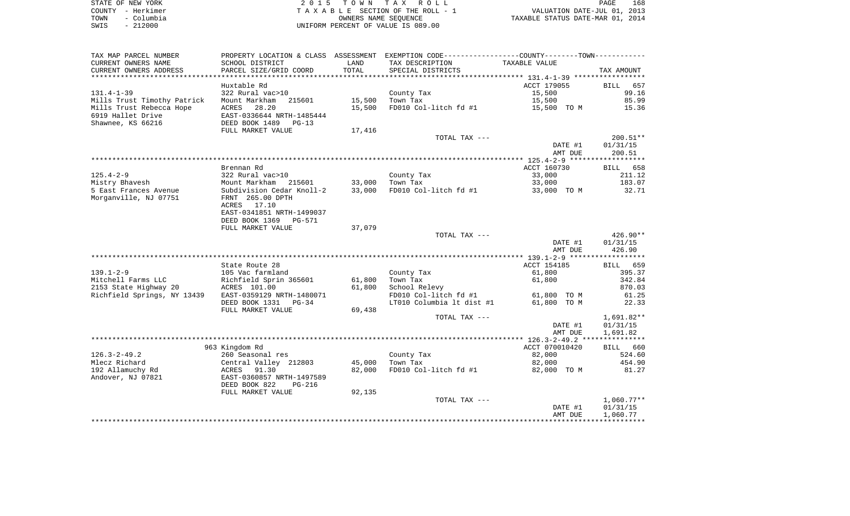| STATE OF NEW YORK  | 2015 TOWN TAX ROLL                 | 168<br>PAGE                      |
|--------------------|------------------------------------|----------------------------------|
| COUNTY - Herkimer  | TAXABLE SECTION OF THE ROLL - 1    | VALUATION DATE-JUL 01, 2013      |
| - Columbia<br>TOWN | OWNERS NAME SEOUENCE               | TAXABLE STATUS DATE-MAR 01, 2014 |
| $-212000$<br>SWIS  | UNIFORM PERCENT OF VALUE IS 089.00 |                                  |

| TAX MAP PARCEL NUMBER                                 |                           |        | PROPERTY LOCATION & CLASS ASSESSMENT EXEMPTION CODE----------------COUNTY--------TOWN---------- |                |                        |
|-------------------------------------------------------|---------------------------|--------|-------------------------------------------------------------------------------------------------|----------------|------------------------|
| CURRENT OWNERS NAME                                   | SCHOOL DISTRICT           | LAND   | TAX DESCRIPTION                                                                                 | TAXABLE VALUE  |                        |
| CURRENT OWNERS ADDRESS                                | PARCEL SIZE/GRID COORD    | TOTAL  | SPECIAL DISTRICTS                                                                               |                | TAX AMOUNT             |
| *********************                                 |                           |        |                                                                                                 |                |                        |
|                                                       | Huxtable Rd               |        |                                                                                                 | ACCT 179055    | <b>BILL</b><br>657     |
| $131.4 - 1 - 39$                                      | 322 Rural vac>10          |        | County Tax                                                                                      | 15,500         | 99.16                  |
| Mills Trust Timothy Patrick                           | Mount Markham<br>215601   | 15,500 | Town Tax                                                                                        | 15,500         | 85.99                  |
| Mills Trust Rebecca Hope                              | 28.20<br>ACRES            | 15,500 | FD010 Col-litch $fd$ #1 $15,500$ TO M                                                           |                | 15.36                  |
| 6919 Hallet Drive                                     | EAST-0336644 NRTH-1485444 |        |                                                                                                 |                |                        |
| Shawnee, KS 66216                                     | DEED BOOK 1489<br>$PG-13$ |        |                                                                                                 |                |                        |
|                                                       | FULL MARKET VALUE         | 17,416 |                                                                                                 |                |                        |
|                                                       |                           |        | TOTAL TAX ---                                                                                   |                | $200.51**$             |
|                                                       |                           |        |                                                                                                 | DATE #1        | 01/31/15               |
|                                                       |                           |        |                                                                                                 | AMT DUE        | 200.51                 |
|                                                       |                           |        |                                                                                                 |                |                        |
|                                                       | Brennan Rd                |        |                                                                                                 | ACCT 160730    | BILL 658               |
| $125.4 - 2 - 9$                                       | 322 Rural vac>10          |        | County Tax                                                                                      | 33,000         | 211.12                 |
| Mistry Bhavesh                                        | Mount Markham 215601      | 33,000 | Town Tax                                                                                        | 33,000         | 183.07                 |
| 5 East Frances Avenue                                 | Subdivision Cedar Knoll-2 | 33,000 | FD010 Col-litch fd #1                                                                           | 33,000 TO M    | 32.71                  |
| Morganville, NJ 07751                                 | FRNT 265.00 DPTH          |        |                                                                                                 |                |                        |
|                                                       | ACRES 17.10               |        |                                                                                                 |                |                        |
|                                                       | EAST-0341851 NRTH-1499037 |        |                                                                                                 |                |                        |
|                                                       | DEED BOOK 1369<br>PG-571  |        |                                                                                                 |                |                        |
|                                                       | FULL MARKET VALUE         | 37,079 |                                                                                                 |                |                        |
|                                                       |                           |        | TOTAL TAX ---                                                                                   | DATE #1        | $426.90**$<br>01/31/15 |
|                                                       |                           |        |                                                                                                 | AMT DUE        | 426.90                 |
|                                                       |                           |        |                                                                                                 |                |                        |
|                                                       | State Route 28            |        |                                                                                                 | ACCT 154185    | BILL 659               |
| $139.1 - 2 - 9$                                       | 105 Vac farmland          |        | County Tax                                                                                      | 61,800         | 395.37                 |
| Mitchell Farms LLC                                    | Richfield Sprin 365601    | 61,800 | Town Tax                                                                                        | 61,800         | 342.84                 |
| 2153 State Highway 20                                 | ACRES 101.00              | 61,800 | School Relevy                                                                                   |                | 870.03                 |
| Richfield Springs, NY 13439 EAST-0359129 NRTH-1480071 |                           |        | FD010 Col-litch fd #1                                                                           | 61,800 TO M    | 61.25                  |
|                                                       | DEED BOOK 1331 PG-34      |        | LT010 Columbia lt dist #1                                                                       | 61,800 TO M    | 22.33                  |
|                                                       | FULL MARKET VALUE         | 69,438 |                                                                                                 |                |                        |
|                                                       |                           |        | TOTAL TAX ---                                                                                   |                | $1,691.82**$           |
|                                                       |                           |        |                                                                                                 | DATE #1        | 01/31/15               |
|                                                       |                           |        |                                                                                                 | AMT DUE        | 1,691.82               |
|                                                       |                           |        |                                                                                                 |                |                        |
|                                                       | 963 Kingdom Rd            |        |                                                                                                 | ACCT 070010420 | BILL 660               |
| $126.3 - 2 - 49.2$                                    | 260 Seasonal res          |        | County Tax                                                                                      | 82,000         | 524.60                 |
| Mlecz Richard                                         | Central Valley 212803     | 45,000 | Town Tax                                                                                        | 82,000         | 454.90                 |
| 192 Allamuchy Rd                                      | ACRES<br>91.30            | 82,000 | FD010 Col-litch fd #1                                                                           | 82,000 TO M    | 81.27                  |
| Andover, NJ 07821                                     | EAST-0360857 NRTH-1497589 |        |                                                                                                 |                |                        |
|                                                       | DEED BOOK 822<br>PG-216   |        |                                                                                                 |                |                        |
|                                                       | FULL MARKET VALUE         | 92,135 |                                                                                                 |                |                        |
|                                                       |                           |        | TOTAL TAX ---                                                                                   |                | $1,060.77**$           |
|                                                       |                           |        |                                                                                                 | DATE #1        | 01/31/15               |
|                                                       |                           |        |                                                                                                 | AMT DUE        | 1,060.77               |
|                                                       |                           |        |                                                                                                 |                |                        |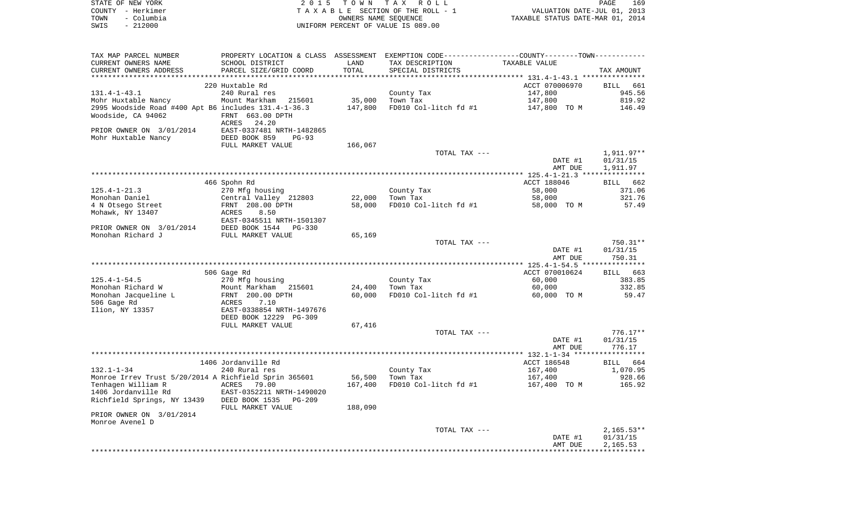|      | STATE OF NEW YORK | 2015 TOWN TAX ROLL                 | PAGE                             | 169 |
|------|-------------------|------------------------------------|----------------------------------|-----|
|      | COUNTY - Herkimer | TAXABLE SECTION OF THE ROLL - 1    | VALUATION DATE-JUL 01, 2013      |     |
| TOWN | - Columbia        | OWNERS NAME SEOUENCE               | TAXABLE STATUS DATE-MAR 01, 2014 |     |
| SWIS | - 212000          | UNIFORM PERCENT OF VALUE IS 089.00 |                                  |     |

| TAX MAP PARCEL NUMBER                                 | PROPERTY LOCATION & CLASS ASSESSMENT EXEMPTION CODE----------------COUNTY--------TOWN---------- |         |                       |                |                    |
|-------------------------------------------------------|-------------------------------------------------------------------------------------------------|---------|-----------------------|----------------|--------------------|
| CURRENT OWNERS NAME                                   | SCHOOL DISTRICT                                                                                 | LAND    | TAX DESCRIPTION       | TAXABLE VALUE  |                    |
| CURRENT OWNERS ADDRESS                                | PARCEL SIZE/GRID COORD                                                                          | TOTAL   | SPECIAL DISTRICTS     |                | TAX AMOUNT         |
|                                                       | ******************************                                                                  |         |                       |                |                    |
|                                                       | 220 Huxtable Rd                                                                                 |         |                       | ACCT 070006970 | BILL 661           |
| $131.4 - 1 - 43.1$                                    | 240 Rural res                                                                                   |         | County Tax            | 147,800        | 945.56             |
| Mohr Huxtable Nancy                                   | Mount Markham<br>215601                                                                         | 35,000  | Town Tax              | 147,800        | 819.92             |
| 2995 Woodside Road #400 Apt B6 includes 131.4-1-36.3  |                                                                                                 | 147,800 | FD010 Col-litch fd #1 | 147,800 TO M   | 146.49             |
| Woodside, CA 94062                                    | FRNT 663.00 DPTH                                                                                |         |                       |                |                    |
|                                                       | 24.20<br>ACRES                                                                                  |         |                       |                |                    |
| PRIOR OWNER ON 3/01/2014                              | EAST-0337481 NRTH-1482865                                                                       |         |                       |                |                    |
| Mohr Huxtable Nancy                                   | DEED BOOK 859<br>$PG-93$                                                                        |         |                       |                |                    |
|                                                       | FULL MARKET VALUE                                                                               | 166,067 |                       |                |                    |
|                                                       |                                                                                                 |         | TOTAL TAX ---         |                | 1,911.97**         |
|                                                       |                                                                                                 |         |                       |                |                    |
|                                                       |                                                                                                 |         |                       | DATE #1        | 01/31/15           |
|                                                       |                                                                                                 |         |                       | AMT DUE        | 1,911.97           |
|                                                       |                                                                                                 |         |                       |                |                    |
|                                                       | 466 Spohn Rd                                                                                    |         |                       | ACCT 188046    | BILL 662           |
| $125.4 - 1 - 21.3$                                    | 270 Mfg housing                                                                                 |         | County Tax            | 58,000         | 371.06             |
| Monohan Daniel                                        | Central Valley 212803                                                                           | 22,000  | Town Tax              | 58,000         | 321.76             |
| 4 N Otsego Street                                     | FRNT 208.00 DPTH                                                                                | 58,000  | FD010 Col-litch fd #1 | 58,000 TO M    | 57.49              |
| Mohawk, NY 13407                                      | 8.50<br>ACRES                                                                                   |         |                       |                |                    |
|                                                       | EAST-0345511 NRTH-1501307                                                                       |         |                       |                |                    |
| PRIOR OWNER ON 3/01/2014                              | DEED BOOK 1544<br>$PG-330$                                                                      |         |                       |                |                    |
| Monohan Richard J                                     | FULL MARKET VALUE                                                                               | 65,169  |                       |                |                    |
|                                                       |                                                                                                 |         | TOTAL TAX ---         |                | $750.31**$         |
|                                                       |                                                                                                 |         |                       | DATE #1        | 01/31/15           |
|                                                       |                                                                                                 |         |                       | AMT DUE        | 750.31             |
|                                                       |                                                                                                 |         |                       |                |                    |
|                                                       | 506 Gage Rd                                                                                     |         |                       | ACCT 070010624 | BILL 663           |
| $125.4 - 1 - 54.5$                                    | 270 Mfg housing                                                                                 |         | County Tax            | 60,000         | 383.85             |
| Monohan Richard W                                     | Mount Markham 215601                                                                            | 24,400  | Town Tax              | 60,000         | 332.85             |
| Monohan Jacqueline L                                  | FRNT 200.00 DPTH                                                                                | 60,000  | FD010 Col-litch fd #1 | 60,000 TO M    | 59.47              |
| 506 Gage Rd                                           | ACRES<br>7.10                                                                                   |         |                       |                |                    |
| Ilion, NY 13357                                       | EAST-0338854 NRTH-1497676                                                                       |         |                       |                |                    |
|                                                       | DEED BOOK 12229 PG-309                                                                          |         |                       |                |                    |
|                                                       | FULL MARKET VALUE                                                                               | 67,416  |                       |                |                    |
|                                                       |                                                                                                 |         | TOTAL TAX ---         |                | $776.17**$         |
|                                                       |                                                                                                 |         |                       | DATE #1        | 01/31/15           |
|                                                       |                                                                                                 |         |                       | AMT DUE        | 776.17             |
|                                                       |                                                                                                 |         |                       |                |                    |
|                                                       | 1406 Jordanville Rd                                                                             |         |                       | ACCT 186548    | <b>BILL</b><br>664 |
| $132.1 - 1 - 34$                                      | 240 Rural res                                                                                   |         | County Tax            | 167,400        | 1,070.95           |
| Monroe Irrev Trust 5/20/2014 A Richfield Sprin 365601 |                                                                                                 | 56,500  | Town Tax              | 167,400        | 928.66             |
| Tenhagen William R                                    | ACRES 79.00                                                                                     | 167,400 | FD010 Col-litch fd #1 | 167,400 TO M   | 165.92             |
| 1406 Jordanville Rd                                   | EAST-0352211 NRTH-1490020                                                                       |         |                       |                |                    |
| Richfield Springs, NY 13439                           | DEED BOOK 1535<br>$PG-209$                                                                      |         |                       |                |                    |
|                                                       |                                                                                                 | 188,090 |                       |                |                    |
|                                                       | FULL MARKET VALUE                                                                               |         |                       |                |                    |
| PRIOR OWNER ON 3/01/2014<br>Monroe Avenel D           |                                                                                                 |         |                       |                |                    |
|                                                       |                                                                                                 |         |                       |                |                    |
|                                                       |                                                                                                 |         | TOTAL TAX ---         |                | $2,165.53**$       |
|                                                       |                                                                                                 |         |                       | DATE #1        | 01/31/15           |
|                                                       |                                                                                                 |         |                       | AMT DUE        | 2,165.53           |
|                                                       |                                                                                                 |         |                       |                |                    |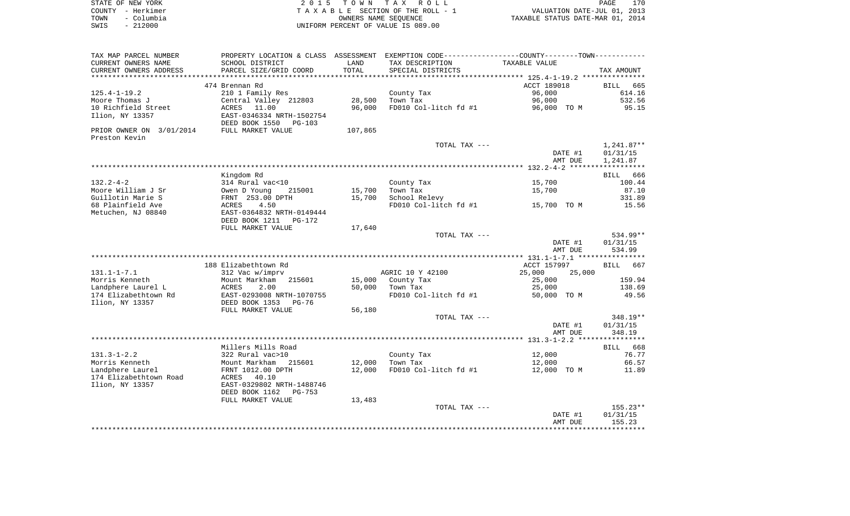| STATE OF NEW YORK  | 2015 TOWN TAX ROLL                    | 170<br>PAGE                      |
|--------------------|---------------------------------------|----------------------------------|
| COUNTY - Herkimer  | T A X A B L E SECTION OF THE ROLL - 1 | VALUATION DATE-JUL 01, 2013      |
| - Columbia<br>TOWN | OWNERS NAME SEOUENCE                  | TAXABLE STATUS DATE-MAR 01, 2014 |
| $-212000$<br>SWIS  | UNIFORM PERCENT OF VALUE IS 089.00    |                                  |

| TAX MAP PARCEL NUMBER    |                                                         |                | PROPERTY LOCATION & CLASS ASSESSMENT EXEMPTION CODE---------------COUNTY-------TOWN---------- |                  |                    |
|--------------------------|---------------------------------------------------------|----------------|-----------------------------------------------------------------------------------------------|------------------|--------------------|
| CURRENT OWNERS NAME      | SCHOOL DISTRICT                                         | LAND           | TAX DESCRIPTION                                                                               | TAXABLE VALUE    |                    |
| CURRENT OWNERS ADDRESS   | PARCEL SIZE/GRID COORD                                  | TOTAL          | SPECIAL DISTRICTS                                                                             |                  | TAX AMOUNT         |
| *******************      |                                                         | ************** |                                                                                               |                  |                    |
|                          | 474 Brennan Rd                                          |                |                                                                                               | ACCT 189018      | BILL<br>665        |
| $125.4 - 1 - 19.2$       | 210 1 Family Res                                        |                | County Tax                                                                                    | 96,000           | 614.16             |
| Moore Thomas J           | Central Valley 212803                                   | 28,500         | Town Tax                                                                                      | 96,000           | 532.56             |
| 10 Richfield Street      | ACRES<br>11.00                                          | 96,000         | FD010 Col-litch fd #1                                                                         | 96,000 TO M      | 95.15              |
| Ilion, NY 13357          | EAST-0346334 NRTH-1502754<br>DEED BOOK 1550<br>$PG-103$ |                |                                                                                               |                  |                    |
| PRIOR OWNER ON 3/01/2014 | FULL MARKET VALUE                                       | 107,865        |                                                                                               |                  |                    |
| Preston Kevin            |                                                         |                |                                                                                               |                  |                    |
|                          |                                                         |                | TOTAL TAX ---                                                                                 |                  | $1,241.87**$       |
|                          |                                                         |                |                                                                                               | DATE #1          | 01/31/15           |
|                          |                                                         |                |                                                                                               | AMT DUE          | 1,241.87           |
|                          |                                                         |                |                                                                                               |                  | ****************** |
|                          | Kingdom Rd                                              |                |                                                                                               |                  | 666<br>BILL        |
| $132.2 - 4 - 2$          | 314 Rural vac<10                                        |                | County Tax                                                                                    | 15,700           | 100.44             |
| Moore William J Sr       | Owen D Young<br>215001                                  | 15,700         | Town Tax                                                                                      | 15,700           | 87.10              |
| Guillotin Marie S        | FRNT 253.00 DPTH                                        | 15,700         | School Relevy                                                                                 |                  | 331.89             |
| 68 Plainfield Ave        | 4.50<br>ACRES                                           |                | FD010 Col-litch fd #1                                                                         | 15,700 TO M      | 15.56              |
| Metuchen, NJ 08840       | EAST-0364832 NRTH-0149444                               |                |                                                                                               |                  |                    |
|                          | DEED BOOK 1211<br>PG-172<br>FULL MARKET VALUE           | 17,640         |                                                                                               |                  |                    |
|                          |                                                         |                | TOTAL TAX ---                                                                                 |                  | 534.99**           |
|                          |                                                         |                |                                                                                               | DATE #1          | 01/31/15           |
|                          |                                                         |                |                                                                                               | AMT DUE          | 534.99             |
|                          |                                                         |                |                                                                                               |                  |                    |
|                          | 188 Elizabethtown Rd                                    |                |                                                                                               | ACCT 157997      | 667<br><b>BILL</b> |
| $131.1 - 1 - 7.1$        | 312 Vac w/imprv                                         |                | AGRIC 10 Y 42100                                                                              | 25,000<br>25,000 |                    |
| Morris Kenneth           | Mount Markham<br>215601                                 | 15,000         | County Tax                                                                                    | 25,000           | 159.94             |
| Landphere Laurel L       | 2.00<br>ACRES                                           | 50,000         | Town Tax                                                                                      | 25,000           | 138.69             |
| 174 Elizabethtown Rd     | EAST-0293008 NRTH-1070755                               |                | FD010 Col-litch fd #1                                                                         | 50,000 TO M      | 49.56              |
| Ilion, NY 13357          | DEED BOOK 1353<br>$PG-76$                               |                |                                                                                               |                  |                    |
|                          | FULL MARKET VALUE                                       | 56,180         |                                                                                               |                  |                    |
|                          |                                                         |                | TOTAL TAX ---                                                                                 |                  | 348.19**           |
|                          |                                                         |                |                                                                                               | DATE #1          | 01/31/15           |
|                          |                                                         |                |                                                                                               | AMT DUE          | 348.19             |
|                          |                                                         |                |                                                                                               |                  |                    |
|                          | Millers Mills Road                                      |                |                                                                                               |                  | BILL<br>668        |
| $131.3 - 1 - 2.2$        | 322 Rural vac>10                                        |                | County Tax                                                                                    | 12,000           | 76.77              |
| Morris Kenneth           | Mount Markham<br>215601                                 | 12,000         | Town Tax                                                                                      | 12,000           | 66.57              |
| Landphere Laurel         | FRNT 1012.00 DPTH                                       | 12,000         | FD010 Col-litch fd #1                                                                         | 12,000 TO M      | 11.89              |
| 174 Elizabethtown Road   | 40.10<br>ACRES                                          |                |                                                                                               |                  |                    |
| Ilion, NY 13357          | EAST-0329802 NRTH-1488746                               |                |                                                                                               |                  |                    |
|                          | DEED BOOK 1162<br>$PG-753$                              |                |                                                                                               |                  |                    |
|                          | FULL MARKET VALUE                                       | 13,483         | TOTAL TAX ---                                                                                 |                  | $155.23**$         |
|                          |                                                         |                |                                                                                               | DATE #1          | 01/31/15           |
|                          |                                                         |                |                                                                                               | AMT DUE          | 155.23             |
|                          |                                                         |                |                                                                                               |                  |                    |
|                          |                                                         |                |                                                                                               |                  |                    |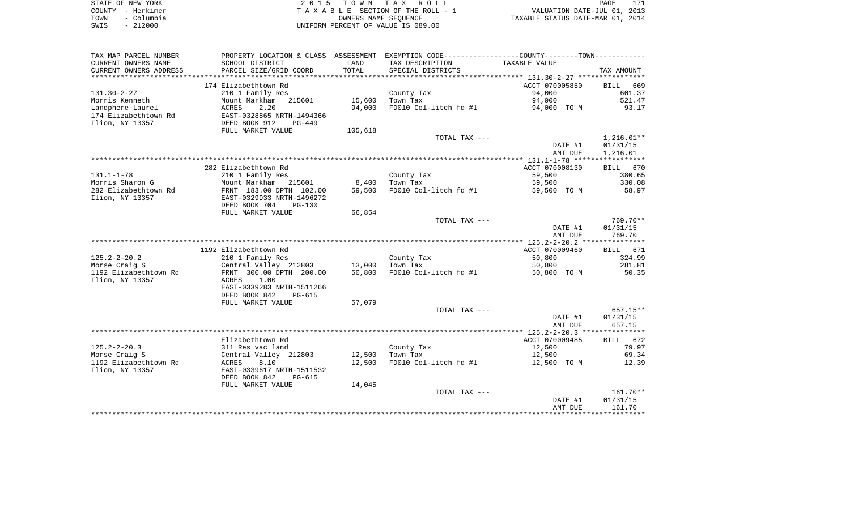| STATE OF NEW YORK  | 2015 TOWN TAX ROLL                 | PAGE                             |
|--------------------|------------------------------------|----------------------------------|
| COUNTY - Herkimer  | TAXABLE SECTION OF THE ROLL - 1    | VALUATION DATE-JUL 01, 2013      |
| - Columbia<br>TOWN | OWNERS NAME SEOUENCE               | TAXABLE STATUS DATE-MAR 01, 2014 |
| $-212000$<br>SWIS  | UNIFORM PERCENT OF VALUE IS 089.00 |                                  |

| TAX MAP PARCEL NUMBER  | PROPERTY LOCATION & CLASS ASSESSMENT EXEMPTION CODE---------------COUNTY-------TOWN---------- |         |                       |                |                    |
|------------------------|-----------------------------------------------------------------------------------------------|---------|-----------------------|----------------|--------------------|
| CURRENT OWNERS NAME    | SCHOOL DISTRICT                                                                               | LAND    | TAX DESCRIPTION       | TAXABLE VALUE  |                    |
| CURRENT OWNERS ADDRESS | PARCEL SIZE/GRID COORD                                                                        | TOTAL   | SPECIAL DISTRICTS     |                | TAX AMOUNT         |
|                        |                                                                                               |         |                       |                |                    |
|                        | 174 Elizabethtown Rd                                                                          |         |                       | ACCT 070005850 | <b>BILL</b><br>669 |
| $131.30 - 2 - 27$      | 210 1 Family Res                                                                              |         | County Tax            | 94,000         | 601.37             |
| Morris Kenneth         | Mount Markham 215601                                                                          | 15,600  | Town Tax              | 94,000         | 521.47             |
| Landphere Laurel       | ACRES<br>2.20                                                                                 | 94,000  | FD010 Col-litch fd #1 | 94,000 TO M    | 93.17              |
| 174 Elizabethtown Rd   | EAST-0328865 NRTH-1494366                                                                     |         |                       |                |                    |
| Ilion, NY 13357        | DEED BOOK 912<br>$PG-449$                                                                     |         |                       |                |                    |
|                        | FULL MARKET VALUE                                                                             | 105,618 |                       |                |                    |
|                        |                                                                                               |         | TOTAL TAX ---         |                | $1,216.01**$       |
|                        |                                                                                               |         |                       | DATE #1        | 01/31/15           |
|                        |                                                                                               |         |                       | AMT DUE        | 1,216.01           |
|                        |                                                                                               |         |                       |                |                    |
|                        | 282 Elizabethtown Rd                                                                          |         |                       | ACCT 070008130 | BILL 670           |
| $131.1 - 1 - 78$       | 210 1 Family Res                                                                              |         | County Tax            | 59,500         | 380.65             |
|                        |                                                                                               |         |                       |                |                    |
| Morris Sharon G        | Mount Markham 215601                                                                          | 8,400   | Town Tax              | 59,500         | 330.08             |
| 282 Elizabethtown Rd   | FRNT 183.00 DPTH 102.00                                                                       | 59,500  | FD010 Col-litch fd #1 | 59,500 TO M    | 58.97              |
| Ilion, NY 13357        | EAST-0329933 NRTH-1496272                                                                     |         |                       |                |                    |
|                        | DEED BOOK 704<br>$PG-130$                                                                     |         |                       |                |                    |
|                        | FULL MARKET VALUE                                                                             | 66,854  |                       |                |                    |
|                        |                                                                                               |         | TOTAL TAX ---         |                | 769.70**           |
|                        |                                                                                               |         |                       | DATE #1        | 01/31/15           |
|                        |                                                                                               |         |                       | AMT DUE        | 769.70             |
|                        |                                                                                               |         |                       |                |                    |
|                        | 1192 Elizabethtown Rd                                                                         |         |                       | ACCT 070009460 | BILL 671           |
| $125.2 - 2 - 20.2$     | 210 1 Family Res                                                                              |         | County Tax            | 50,800         | 324.99             |
| Morse Craiq S          | Central Valley 212803                                                                         | 13,000  | Town Tax              | 50,800         | 281.81             |
| 1192 Elizabethtown Rd  | FRNT 300.00 DPTH 200.00                                                                       | 50,800  | FD010 Col-litch fd #1 | 50,800 TO M    | 50.35              |
| Ilion, NY 13357        | ACRES<br>1.00                                                                                 |         |                       |                |                    |
|                        | EAST-0339283 NRTH-1511266                                                                     |         |                       |                |                    |
|                        | DEED BOOK 842<br>PG-615                                                                       |         |                       |                |                    |
|                        | FULL MARKET VALUE                                                                             | 57,079  |                       |                |                    |
|                        |                                                                                               |         | TOTAL TAX ---         |                | 657.15**           |
|                        |                                                                                               |         |                       | DATE #1        | 01/31/15           |
|                        |                                                                                               |         |                       | AMT DUE        | 657.15             |
|                        |                                                                                               |         |                       |                |                    |
|                        | Elizabethtown Rd                                                                              |         |                       | ACCT 070009485 | BILL 672           |
| $125.2 - 2 - 20.3$     | 311 Res vac land                                                                              |         | County Tax            | 12,500         | 79.97              |
| Morse Craig S          | Central Valley 212803                                                                         | 12,500  | Town Tax              | 12,500         | 69.34              |
| 1192 Elizabethtown Rd  | 8.10<br>ACRES                                                                                 | 12,500  | FD010 Col-litch fd #1 | 12,500 TO M    | 12.39              |
| Ilion, NY 13357        | EAST-0339617 NRTH-1511532                                                                     |         |                       |                |                    |
|                        | DEED BOOK 842<br><b>PG-615</b>                                                                |         |                       |                |                    |
|                        | FULL MARKET VALUE                                                                             | 14,045  |                       |                |                    |
|                        |                                                                                               |         | TOTAL TAX ---         |                | $161.70**$         |
|                        |                                                                                               |         |                       | DATE #1        | 01/31/15           |
|                        |                                                                                               |         |                       | AMT DUE        | 161.70             |
|                        |                                                                                               |         |                       |                |                    |
|                        |                                                                                               |         |                       |                |                    |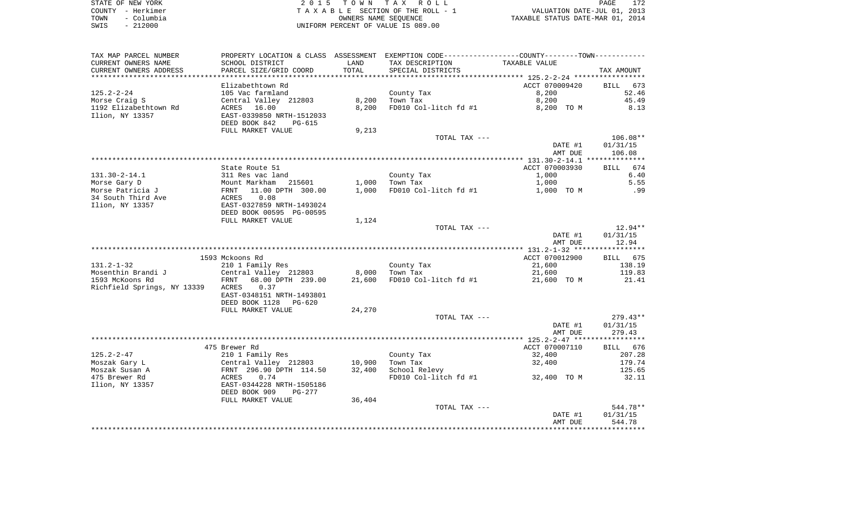|      | STATE OF NEW YORK | 2015 TOWN TAX ROLL                 | PAGE                             | 172 |
|------|-------------------|------------------------------------|----------------------------------|-----|
|      | COUNTY - Herkimer | TAXABLE SECTION OF THE ROLL - 1    | VALUATION DATE-JUL 01, 2013      |     |
| TOWN | - Columbia        | OWNERS NAME SEOUENCE               | TAXABLE STATUS DATE-MAR 01, 2014 |     |
| SWIS | $-212000$         | UNIFORM PERCENT OF VALUE IS 089.00 |                                  |     |

| TAX MAP PARCEL NUMBER                           |                                                  |                  | PROPERTY LOCATION & CLASS ASSESSMENT EXEMPTION CODE---------------COUNTY-------TOWN---------- |                |                    |
|-------------------------------------------------|--------------------------------------------------|------------------|-----------------------------------------------------------------------------------------------|----------------|--------------------|
| CURRENT OWNERS NAME                             | SCHOOL DISTRICT                                  | LAND             | TAX DESCRIPTION                                                                               | TAXABLE VALUE  |                    |
| CURRENT OWNERS ADDRESS<br>********************* | PARCEL SIZE/GRID COORD                           | TOTAL            | SPECIAL DISTRICTS                                                                             |                | TAX AMOUNT         |
|                                                 |                                                  |                  |                                                                                               |                |                    |
|                                                 | Elizabethtown Rd                                 |                  |                                                                                               | ACCT 070009420 | <b>BILL</b><br>673 |
| $125.2 - 2 - 24$                                | 105 Vac farmland                                 |                  | County Tax<br>Town Tax                                                                        | 8,200          | 52.46              |
| Morse Craig S                                   | Central Valley 212803                            | 8,200            |                                                                                               | 8,200          | 45.49              |
| 1192 Elizabethtown Rd<br>Ilion, NY 13357        | ACRES 16.00<br>EAST-0339850 NRTH-1512033         | 8,200            | FD010 Col-litch fd #1                                                                         | 8,200 TO M     | 8.13               |
|                                                 | DEED BOOK 842<br>PG-615                          |                  |                                                                                               |                |                    |
|                                                 | FULL MARKET VALUE                                | 9,213            |                                                                                               |                |                    |
|                                                 |                                                  |                  | TOTAL TAX ---                                                                                 |                | $106.08**$         |
|                                                 |                                                  |                  |                                                                                               | DATE #1        | 01/31/15           |
|                                                 |                                                  |                  |                                                                                               | AMT DUE        | 106.08             |
|                                                 |                                                  |                  |                                                                                               |                |                    |
|                                                 | State Route 51                                   |                  |                                                                                               | ACCT 070003930 | <b>BILL</b><br>674 |
| $131.30 - 2 - 14.1$                             | 311 Res vac land                                 |                  | County Tax                                                                                    | 1,000          | 6.40               |
| Morse Gary D                                    | Mount Markham<br>215601                          | 1,000            | Town Tax                                                                                      | 1,000          | 5.55               |
| Morse Patricia J                                | 11.00 DPTH 300.00<br>FRNT                        | 1,000            | FD010 Col-litch fd #1                                                                         | 1,000 TO M     | .99                |
| 34 South Third Ave                              | 0.08<br>ACRES                                    |                  |                                                                                               |                |                    |
| Ilion, NY 13357                                 | EAST-0327859 NRTH-1493024                        |                  |                                                                                               |                |                    |
|                                                 | DEED BOOK 00595 PG-00595                         |                  |                                                                                               |                |                    |
|                                                 | FULL MARKET VALUE                                | 1,124            |                                                                                               |                |                    |
|                                                 |                                                  |                  | TOTAL TAX ---                                                                                 |                | $12.94**$          |
|                                                 |                                                  |                  |                                                                                               | DATE #1        | 01/31/15           |
|                                                 |                                                  |                  |                                                                                               | AMT DUE        | 12.94              |
|                                                 | 1593 Mckoons Rd                                  |                  |                                                                                               | ACCT 070012900 | BILL 675           |
| $131.2 - 1 - 32$                                | 210 1 Family Res                                 |                  | County Tax                                                                                    | 21,600         | 138.19             |
| Mosenthin Brandi J                              | Central Valley 212803                            | 8,000            | Town Tax                                                                                      | 21,600         | 119.83             |
| 1593 McKoons Rd                                 | 68.00 DPTH 239.00<br>FRNT                        | 21,600           | FD010 Col-litch fd #1                                                                         | 21,600 TO M    | 21.41              |
| Richfield Springs, NY 13339 ACRES               | 0.37                                             |                  |                                                                                               |                |                    |
|                                                 | EAST-0348151 NRTH-1493801                        |                  |                                                                                               |                |                    |
|                                                 | DEED BOOK 1128<br>PG-620                         |                  |                                                                                               |                |                    |
|                                                 | FULL MARKET VALUE                                | 24,270           |                                                                                               |                |                    |
|                                                 |                                                  |                  | TOTAL TAX ---                                                                                 |                | $279.43**$         |
|                                                 |                                                  |                  |                                                                                               | DATE #1        | 01/31/15           |
|                                                 |                                                  |                  |                                                                                               | AMT DUE        | 279.43             |
|                                                 |                                                  |                  |                                                                                               |                |                    |
|                                                 | 475 Brewer Rd                                    |                  |                                                                                               | ACCT 070007110 | BILL 676           |
| $125.2 - 2 - 47$                                | 210 1 Family Res                                 |                  | County Tax<br>Town Tax                                                                        | 32,400         | 207.28             |
| Moszak Gary L                                   | Central Valley 212803<br>FRNT 296.90 DPTH 114.50 | 10,900<br>32,400 | School Relevy                                                                                 | 32,400         | 179.74<br>125.65   |
| Moszak Susan A<br>475 Brewer Rd                 | 0.74<br>ACRES                                    |                  | FD010 Col-litch fd #1                                                                         | 32,400 TO M    | 32.11              |
| Ilion, NY 13357                                 | EAST-0344228 NRTH-1505186                        |                  |                                                                                               |                |                    |
|                                                 | DEED BOOK 909<br>PG-277                          |                  |                                                                                               |                |                    |
|                                                 | FULL MARKET VALUE                                | 36,404           |                                                                                               |                |                    |
|                                                 |                                                  |                  | TOTAL TAX ---                                                                                 |                | 544.78**           |
|                                                 |                                                  |                  |                                                                                               | DATE #1        | 01/31/15           |
|                                                 |                                                  |                  |                                                                                               | AMT DUE        | 544.78             |
|                                                 |                                                  |                  |                                                                                               |                |                    |
|                                                 |                                                  |                  |                                                                                               |                |                    |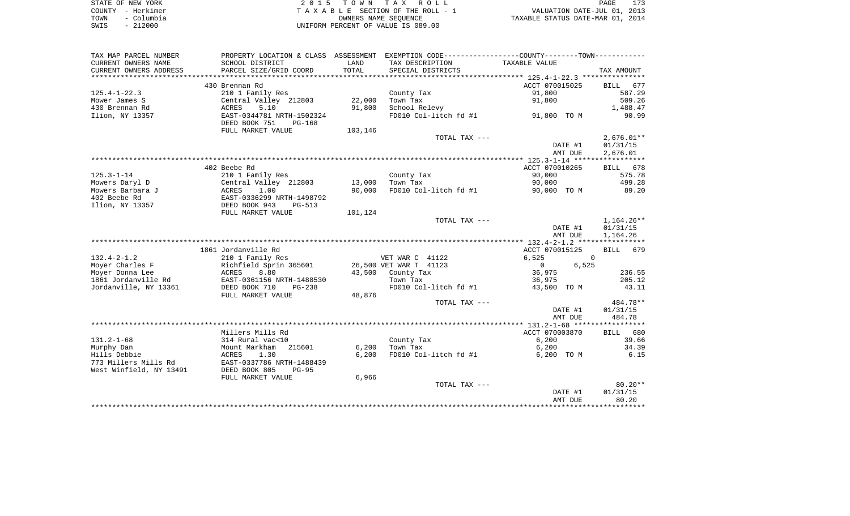|      | STATE OF NEW YORK | 2015 TOWN TAX ROLL                 | 173<br>PAGE                      |
|------|-------------------|------------------------------------|----------------------------------|
|      | COUNTY - Herkimer | TAXABLE SECTION OF THE ROLL - 1    | VALUATION DATE-JUL 01, 2013      |
| TOWN | - Columbia        | OWNERS NAME SEOUENCE               | TAXABLE STATUS DATE-MAR 01, 2014 |
| SWIS | $-212000$         | UNIFORM PERCENT OF VALUE IS 089.00 |                                  |

| TAX DESCRIPTION<br>SCHOOL DISTRICT<br>LAND<br>TAXABLE VALUE<br>TOTAL<br>PARCEL SIZE/GRID COORD<br>SPECIAL DISTRICTS<br>TAX AMOUNT<br>430 Brennan Rd<br>ACCT 070015025<br>677<br>BILL<br>91,800<br>587.29<br>$125.4 - 1 - 22.3$<br>210 1 Family Res<br>County Tax<br>22,000<br>509.26<br>Central Valley 212803<br>Town Tax<br>91,800<br>Mower James S<br>430 Brennan Rd<br>5.10<br>91,800<br>School Relevy<br>1,488.47<br>ACRES<br>Ilion, NY 13357<br>FD010 Col-litch fd #1<br>90.99<br>EAST-0344781 NRTH-1502324<br>91,800 TO M<br>DEED BOOK 751<br>$PG-168$<br>FULL MARKET VALUE<br>103,146<br>$2,676.01**$<br>TOTAL TAX ---<br>DATE #1<br>01/31/15<br>AMT DUE<br>2,676.01<br>402 Beebe Rd<br>ACCT 070010265<br>BILL 678<br>$125.3 - 1 - 14$<br>210 1 Family Res<br>County Tax<br>90,000<br>575.78<br>Central Valley 212803<br>13,000<br>Town Tax<br>90,000<br>499.28<br>Mowers Daryl D<br>Mowers Barbara J<br>90,000<br>FD010 Col-litch fd #1<br>89.20<br>ACRES<br>1.00<br>90,000 TO M<br>EAST-0336299 NRTH-1498792<br>402 Beebe Rd<br>Ilion, NY 13357<br>DEED BOOK 943<br><b>PG-513</b><br>101,124<br>FULL MARKET VALUE<br>TOTAL TAX ---<br>DATE #1<br>01/31/15<br>AMT DUE<br>1,164.26<br>1861 Jordanville Rd<br>ACCT 070015125<br><b>BILL</b><br>679<br>VET WAR C 41122<br>6,525<br>210 1 Family Res<br>0<br>6,525<br>Moyer Charles F<br>Richfield Sprin 365601<br>26,500 VET WAR T 41123<br>$\Omega$<br>Moyer Donna Lee<br>ACRES<br>8.80<br>43,500<br>County Tax<br>36,975<br>236.55<br>1861 Jordanville Rd<br>EAST-0361156 NRTH-1488530<br>Town Tax<br>36,975<br>205.12<br>FD010 Col-litch fd #1<br>43,500 TO M<br>43.11<br>Jordanville, NY 13361<br>DEED BOOK 710<br>$PG-238$<br>FULL MARKET VALUE<br>48,876<br>484.78**<br>TOTAL TAX ---<br>DATE #1<br>01/31/15<br>484.78<br>AMT DUE<br>Millers Mills Rd<br>ACCT 070003870<br>BILL 680<br>314 Rural vac<10<br>County Tax<br>6,200<br>39.66<br>Mount Markham<br>215601<br>6,200<br>Town Tax<br>6,200<br>34.39<br>1.30<br>6,200<br>FD010 Col-litch fd #1<br>6.15<br>ACRES<br>6,200 TO M<br>EAST-0337786 NRTH-1488439<br>DEED BOOK 805<br>$PG-95$<br>6,966<br>FULL MARKET VALUE<br>$80.20**$<br>TOTAL TAX ---<br>01/31/15<br>DATE #1<br>AMT DUE<br>80.20 | TAX MAP PARCEL NUMBER   |  | PROPERTY LOCATION & CLASS ASSESSMENT EXEMPTION CODE---------------COUNTY-------TOWN---------- |  |
|---------------------------------------------------------------------------------------------------------------------------------------------------------------------------------------------------------------------------------------------------------------------------------------------------------------------------------------------------------------------------------------------------------------------------------------------------------------------------------------------------------------------------------------------------------------------------------------------------------------------------------------------------------------------------------------------------------------------------------------------------------------------------------------------------------------------------------------------------------------------------------------------------------------------------------------------------------------------------------------------------------------------------------------------------------------------------------------------------------------------------------------------------------------------------------------------------------------------------------------------------------------------------------------------------------------------------------------------------------------------------------------------------------------------------------------------------------------------------------------------------------------------------------------------------------------------------------------------------------------------------------------------------------------------------------------------------------------------------------------------------------------------------------------------------------------------------------------------------------------------------------------------------------------------------------------------------------------------------------------------------------------------------------------------------------------------------------------------------------------------------------------------------------------------------------------------------------------|-------------------------|--|-----------------------------------------------------------------------------------------------|--|
| $1,164.26**$                                                                                                                                                                                                                                                                                                                                                                                                                                                                                                                                                                                                                                                                                                                                                                                                                                                                                                                                                                                                                                                                                                                                                                                                                                                                                                                                                                                                                                                                                                                                                                                                                                                                                                                                                                                                                                                                                                                                                                                                                                                                                                                                                                                                  | CURRENT OWNERS NAME     |  |                                                                                               |  |
|                                                                                                                                                                                                                                                                                                                                                                                                                                                                                                                                                                                                                                                                                                                                                                                                                                                                                                                                                                                                                                                                                                                                                                                                                                                                                                                                                                                                                                                                                                                                                                                                                                                                                                                                                                                                                                                                                                                                                                                                                                                                                                                                                                                                               | CURRENT OWNERS ADDRESS  |  |                                                                                               |  |
|                                                                                                                                                                                                                                                                                                                                                                                                                                                                                                                                                                                                                                                                                                                                                                                                                                                                                                                                                                                                                                                                                                                                                                                                                                                                                                                                                                                                                                                                                                                                                                                                                                                                                                                                                                                                                                                                                                                                                                                                                                                                                                                                                                                                               |                         |  |                                                                                               |  |
|                                                                                                                                                                                                                                                                                                                                                                                                                                                                                                                                                                                                                                                                                                                                                                                                                                                                                                                                                                                                                                                                                                                                                                                                                                                                                                                                                                                                                                                                                                                                                                                                                                                                                                                                                                                                                                                                                                                                                                                                                                                                                                                                                                                                               |                         |  |                                                                                               |  |
|                                                                                                                                                                                                                                                                                                                                                                                                                                                                                                                                                                                                                                                                                                                                                                                                                                                                                                                                                                                                                                                                                                                                                                                                                                                                                                                                                                                                                                                                                                                                                                                                                                                                                                                                                                                                                                                                                                                                                                                                                                                                                                                                                                                                               |                         |  |                                                                                               |  |
|                                                                                                                                                                                                                                                                                                                                                                                                                                                                                                                                                                                                                                                                                                                                                                                                                                                                                                                                                                                                                                                                                                                                                                                                                                                                                                                                                                                                                                                                                                                                                                                                                                                                                                                                                                                                                                                                                                                                                                                                                                                                                                                                                                                                               |                         |  |                                                                                               |  |
|                                                                                                                                                                                                                                                                                                                                                                                                                                                                                                                                                                                                                                                                                                                                                                                                                                                                                                                                                                                                                                                                                                                                                                                                                                                                                                                                                                                                                                                                                                                                                                                                                                                                                                                                                                                                                                                                                                                                                                                                                                                                                                                                                                                                               |                         |  |                                                                                               |  |
|                                                                                                                                                                                                                                                                                                                                                                                                                                                                                                                                                                                                                                                                                                                                                                                                                                                                                                                                                                                                                                                                                                                                                                                                                                                                                                                                                                                                                                                                                                                                                                                                                                                                                                                                                                                                                                                                                                                                                                                                                                                                                                                                                                                                               |                         |  |                                                                                               |  |
|                                                                                                                                                                                                                                                                                                                                                                                                                                                                                                                                                                                                                                                                                                                                                                                                                                                                                                                                                                                                                                                                                                                                                                                                                                                                                                                                                                                                                                                                                                                                                                                                                                                                                                                                                                                                                                                                                                                                                                                                                                                                                                                                                                                                               |                         |  |                                                                                               |  |
|                                                                                                                                                                                                                                                                                                                                                                                                                                                                                                                                                                                                                                                                                                                                                                                                                                                                                                                                                                                                                                                                                                                                                                                                                                                                                                                                                                                                                                                                                                                                                                                                                                                                                                                                                                                                                                                                                                                                                                                                                                                                                                                                                                                                               |                         |  |                                                                                               |  |
|                                                                                                                                                                                                                                                                                                                                                                                                                                                                                                                                                                                                                                                                                                                                                                                                                                                                                                                                                                                                                                                                                                                                                                                                                                                                                                                                                                                                                                                                                                                                                                                                                                                                                                                                                                                                                                                                                                                                                                                                                                                                                                                                                                                                               |                         |  |                                                                                               |  |
|                                                                                                                                                                                                                                                                                                                                                                                                                                                                                                                                                                                                                                                                                                                                                                                                                                                                                                                                                                                                                                                                                                                                                                                                                                                                                                                                                                                                                                                                                                                                                                                                                                                                                                                                                                                                                                                                                                                                                                                                                                                                                                                                                                                                               |                         |  |                                                                                               |  |
|                                                                                                                                                                                                                                                                                                                                                                                                                                                                                                                                                                                                                                                                                                                                                                                                                                                                                                                                                                                                                                                                                                                                                                                                                                                                                                                                                                                                                                                                                                                                                                                                                                                                                                                                                                                                                                                                                                                                                                                                                                                                                                                                                                                                               |                         |  |                                                                                               |  |
|                                                                                                                                                                                                                                                                                                                                                                                                                                                                                                                                                                                                                                                                                                                                                                                                                                                                                                                                                                                                                                                                                                                                                                                                                                                                                                                                                                                                                                                                                                                                                                                                                                                                                                                                                                                                                                                                                                                                                                                                                                                                                                                                                                                                               |                         |  |                                                                                               |  |
|                                                                                                                                                                                                                                                                                                                                                                                                                                                                                                                                                                                                                                                                                                                                                                                                                                                                                                                                                                                                                                                                                                                                                                                                                                                                                                                                                                                                                                                                                                                                                                                                                                                                                                                                                                                                                                                                                                                                                                                                                                                                                                                                                                                                               |                         |  |                                                                                               |  |
|                                                                                                                                                                                                                                                                                                                                                                                                                                                                                                                                                                                                                                                                                                                                                                                                                                                                                                                                                                                                                                                                                                                                                                                                                                                                                                                                                                                                                                                                                                                                                                                                                                                                                                                                                                                                                                                                                                                                                                                                                                                                                                                                                                                                               |                         |  |                                                                                               |  |
|                                                                                                                                                                                                                                                                                                                                                                                                                                                                                                                                                                                                                                                                                                                                                                                                                                                                                                                                                                                                                                                                                                                                                                                                                                                                                                                                                                                                                                                                                                                                                                                                                                                                                                                                                                                                                                                                                                                                                                                                                                                                                                                                                                                                               |                         |  |                                                                                               |  |
|                                                                                                                                                                                                                                                                                                                                                                                                                                                                                                                                                                                                                                                                                                                                                                                                                                                                                                                                                                                                                                                                                                                                                                                                                                                                                                                                                                                                                                                                                                                                                                                                                                                                                                                                                                                                                                                                                                                                                                                                                                                                                                                                                                                                               |                         |  |                                                                                               |  |
|                                                                                                                                                                                                                                                                                                                                                                                                                                                                                                                                                                                                                                                                                                                                                                                                                                                                                                                                                                                                                                                                                                                                                                                                                                                                                                                                                                                                                                                                                                                                                                                                                                                                                                                                                                                                                                                                                                                                                                                                                                                                                                                                                                                                               |                         |  |                                                                                               |  |
|                                                                                                                                                                                                                                                                                                                                                                                                                                                                                                                                                                                                                                                                                                                                                                                                                                                                                                                                                                                                                                                                                                                                                                                                                                                                                                                                                                                                                                                                                                                                                                                                                                                                                                                                                                                                                                                                                                                                                                                                                                                                                                                                                                                                               |                         |  |                                                                                               |  |
|                                                                                                                                                                                                                                                                                                                                                                                                                                                                                                                                                                                                                                                                                                                                                                                                                                                                                                                                                                                                                                                                                                                                                                                                                                                                                                                                                                                                                                                                                                                                                                                                                                                                                                                                                                                                                                                                                                                                                                                                                                                                                                                                                                                                               |                         |  |                                                                                               |  |
|                                                                                                                                                                                                                                                                                                                                                                                                                                                                                                                                                                                                                                                                                                                                                                                                                                                                                                                                                                                                                                                                                                                                                                                                                                                                                                                                                                                                                                                                                                                                                                                                                                                                                                                                                                                                                                                                                                                                                                                                                                                                                                                                                                                                               |                         |  |                                                                                               |  |
|                                                                                                                                                                                                                                                                                                                                                                                                                                                                                                                                                                                                                                                                                                                                                                                                                                                                                                                                                                                                                                                                                                                                                                                                                                                                                                                                                                                                                                                                                                                                                                                                                                                                                                                                                                                                                                                                                                                                                                                                                                                                                                                                                                                                               |                         |  |                                                                                               |  |
|                                                                                                                                                                                                                                                                                                                                                                                                                                                                                                                                                                                                                                                                                                                                                                                                                                                                                                                                                                                                                                                                                                                                                                                                                                                                                                                                                                                                                                                                                                                                                                                                                                                                                                                                                                                                                                                                                                                                                                                                                                                                                                                                                                                                               |                         |  |                                                                                               |  |
|                                                                                                                                                                                                                                                                                                                                                                                                                                                                                                                                                                                                                                                                                                                                                                                                                                                                                                                                                                                                                                                                                                                                                                                                                                                                                                                                                                                                                                                                                                                                                                                                                                                                                                                                                                                                                                                                                                                                                                                                                                                                                                                                                                                                               | $132.4 - 2 - 1.2$       |  |                                                                                               |  |
|                                                                                                                                                                                                                                                                                                                                                                                                                                                                                                                                                                                                                                                                                                                                                                                                                                                                                                                                                                                                                                                                                                                                                                                                                                                                                                                                                                                                                                                                                                                                                                                                                                                                                                                                                                                                                                                                                                                                                                                                                                                                                                                                                                                                               |                         |  |                                                                                               |  |
|                                                                                                                                                                                                                                                                                                                                                                                                                                                                                                                                                                                                                                                                                                                                                                                                                                                                                                                                                                                                                                                                                                                                                                                                                                                                                                                                                                                                                                                                                                                                                                                                                                                                                                                                                                                                                                                                                                                                                                                                                                                                                                                                                                                                               |                         |  |                                                                                               |  |
|                                                                                                                                                                                                                                                                                                                                                                                                                                                                                                                                                                                                                                                                                                                                                                                                                                                                                                                                                                                                                                                                                                                                                                                                                                                                                                                                                                                                                                                                                                                                                                                                                                                                                                                                                                                                                                                                                                                                                                                                                                                                                                                                                                                                               |                         |  |                                                                                               |  |
|                                                                                                                                                                                                                                                                                                                                                                                                                                                                                                                                                                                                                                                                                                                                                                                                                                                                                                                                                                                                                                                                                                                                                                                                                                                                                                                                                                                                                                                                                                                                                                                                                                                                                                                                                                                                                                                                                                                                                                                                                                                                                                                                                                                                               |                         |  |                                                                                               |  |
|                                                                                                                                                                                                                                                                                                                                                                                                                                                                                                                                                                                                                                                                                                                                                                                                                                                                                                                                                                                                                                                                                                                                                                                                                                                                                                                                                                                                                                                                                                                                                                                                                                                                                                                                                                                                                                                                                                                                                                                                                                                                                                                                                                                                               |                         |  |                                                                                               |  |
|                                                                                                                                                                                                                                                                                                                                                                                                                                                                                                                                                                                                                                                                                                                                                                                                                                                                                                                                                                                                                                                                                                                                                                                                                                                                                                                                                                                                                                                                                                                                                                                                                                                                                                                                                                                                                                                                                                                                                                                                                                                                                                                                                                                                               |                         |  |                                                                                               |  |
|                                                                                                                                                                                                                                                                                                                                                                                                                                                                                                                                                                                                                                                                                                                                                                                                                                                                                                                                                                                                                                                                                                                                                                                                                                                                                                                                                                                                                                                                                                                                                                                                                                                                                                                                                                                                                                                                                                                                                                                                                                                                                                                                                                                                               |                         |  |                                                                                               |  |
|                                                                                                                                                                                                                                                                                                                                                                                                                                                                                                                                                                                                                                                                                                                                                                                                                                                                                                                                                                                                                                                                                                                                                                                                                                                                                                                                                                                                                                                                                                                                                                                                                                                                                                                                                                                                                                                                                                                                                                                                                                                                                                                                                                                                               |                         |  |                                                                                               |  |
|                                                                                                                                                                                                                                                                                                                                                                                                                                                                                                                                                                                                                                                                                                                                                                                                                                                                                                                                                                                                                                                                                                                                                                                                                                                                                                                                                                                                                                                                                                                                                                                                                                                                                                                                                                                                                                                                                                                                                                                                                                                                                                                                                                                                               |                         |  |                                                                                               |  |
|                                                                                                                                                                                                                                                                                                                                                                                                                                                                                                                                                                                                                                                                                                                                                                                                                                                                                                                                                                                                                                                                                                                                                                                                                                                                                                                                                                                                                                                                                                                                                                                                                                                                                                                                                                                                                                                                                                                                                                                                                                                                                                                                                                                                               | $131.2 - 1 - 68$        |  |                                                                                               |  |
|                                                                                                                                                                                                                                                                                                                                                                                                                                                                                                                                                                                                                                                                                                                                                                                                                                                                                                                                                                                                                                                                                                                                                                                                                                                                                                                                                                                                                                                                                                                                                                                                                                                                                                                                                                                                                                                                                                                                                                                                                                                                                                                                                                                                               | Murphy Dan              |  |                                                                                               |  |
|                                                                                                                                                                                                                                                                                                                                                                                                                                                                                                                                                                                                                                                                                                                                                                                                                                                                                                                                                                                                                                                                                                                                                                                                                                                                                                                                                                                                                                                                                                                                                                                                                                                                                                                                                                                                                                                                                                                                                                                                                                                                                                                                                                                                               | Hills Debbie            |  |                                                                                               |  |
|                                                                                                                                                                                                                                                                                                                                                                                                                                                                                                                                                                                                                                                                                                                                                                                                                                                                                                                                                                                                                                                                                                                                                                                                                                                                                                                                                                                                                                                                                                                                                                                                                                                                                                                                                                                                                                                                                                                                                                                                                                                                                                                                                                                                               | 773 Millers Mills Rd    |  |                                                                                               |  |
|                                                                                                                                                                                                                                                                                                                                                                                                                                                                                                                                                                                                                                                                                                                                                                                                                                                                                                                                                                                                                                                                                                                                                                                                                                                                                                                                                                                                                                                                                                                                                                                                                                                                                                                                                                                                                                                                                                                                                                                                                                                                                                                                                                                                               | West Winfield, NY 13491 |  |                                                                                               |  |
|                                                                                                                                                                                                                                                                                                                                                                                                                                                                                                                                                                                                                                                                                                                                                                                                                                                                                                                                                                                                                                                                                                                                                                                                                                                                                                                                                                                                                                                                                                                                                                                                                                                                                                                                                                                                                                                                                                                                                                                                                                                                                                                                                                                                               |                         |  |                                                                                               |  |
|                                                                                                                                                                                                                                                                                                                                                                                                                                                                                                                                                                                                                                                                                                                                                                                                                                                                                                                                                                                                                                                                                                                                                                                                                                                                                                                                                                                                                                                                                                                                                                                                                                                                                                                                                                                                                                                                                                                                                                                                                                                                                                                                                                                                               |                         |  |                                                                                               |  |
|                                                                                                                                                                                                                                                                                                                                                                                                                                                                                                                                                                                                                                                                                                                                                                                                                                                                                                                                                                                                                                                                                                                                                                                                                                                                                                                                                                                                                                                                                                                                                                                                                                                                                                                                                                                                                                                                                                                                                                                                                                                                                                                                                                                                               |                         |  |                                                                                               |  |
|                                                                                                                                                                                                                                                                                                                                                                                                                                                                                                                                                                                                                                                                                                                                                                                                                                                                                                                                                                                                                                                                                                                                                                                                                                                                                                                                                                                                                                                                                                                                                                                                                                                                                                                                                                                                                                                                                                                                                                                                                                                                                                                                                                                                               |                         |  |                                                                                               |  |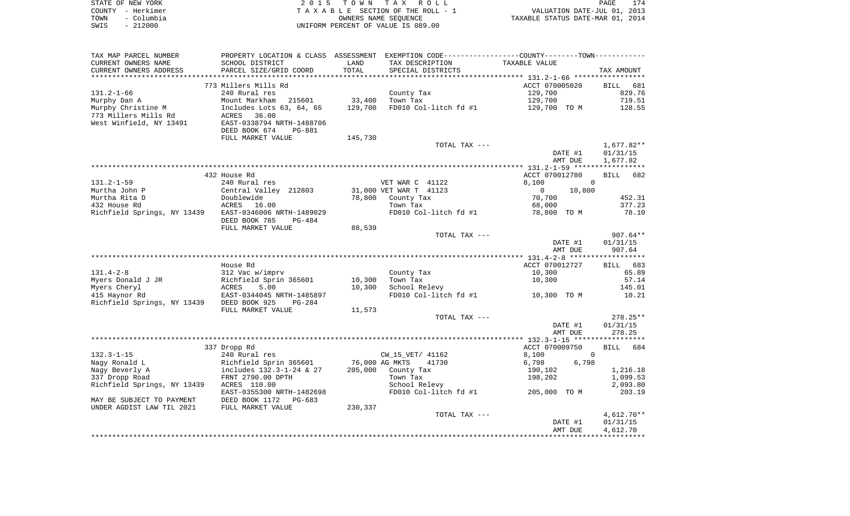| STATE OF NEW YORK |            | 2015 TOWN TAX ROLL                    | PAGE                             | 174 |
|-------------------|------------|---------------------------------------|----------------------------------|-----|
| COUNTY - Herkimer |            | T A X A B L E SECTION OF THE ROLL - 1 | VALUATION DATE-JUL 01, 2013      |     |
| TOWN              | - Columbia | OWNERS NAME SEOUENCE                  | TAXABLE STATUS DATE-MAR 01, 2014 |     |
| SWIS              | $-212000$  | UNIFORM PERCENT OF VALUE IS 089.00    |                                  |     |

| TAX MAP PARCEL NUMBER       |                                |         |                         | PROPERTY LOCATION & CLASS ASSESSMENT EXEMPTION CODE----------------COUNTY-------TOWN---------- |                    |
|-----------------------------|--------------------------------|---------|-------------------------|------------------------------------------------------------------------------------------------|--------------------|
| CURRENT OWNERS NAME         | SCHOOL DISTRICT                | LAND    | TAX DESCRIPTION         | TAXABLE VALUE                                                                                  |                    |
| CURRENT OWNERS ADDRESS      | PARCEL SIZE/GRID COORD         | TOTAL   | SPECIAL DISTRICTS       |                                                                                                | TAX AMOUNT         |
|                             |                                |         |                         |                                                                                                |                    |
|                             | 773 Millers Mills Rd           |         |                         | ACCT 070005020                                                                                 | BILL 681           |
| $131.2 - 1 - 66$            | 240 Rural res                  |         | County Tax              | 129,700                                                                                        | 829.76             |
| Murphy Dan A                | Mount Markham<br>215601        | 33,400  | Town Tax                | 129,700                                                                                        | 719.51             |
| Murphy Christine M          | Includes Lots 63, 64, 65       | 129,700 | FD010 Col-litch fd #1   | 129,700 TO M                                                                                   | 128.55             |
| 773 Millers Mills Rd        | ACRES<br>36.00                 |         |                         |                                                                                                |                    |
| West Winfield, NY 13491     | EAST-0338794 NRTH-1488706      |         |                         |                                                                                                |                    |
|                             | DEED BOOK 674<br><b>PG-881</b> |         |                         |                                                                                                |                    |
|                             | FULL MARKET VALUE              | 145,730 |                         |                                                                                                |                    |
|                             |                                |         | TOTAL TAX ---           |                                                                                                | $1,677.82**$       |
|                             |                                |         |                         | DATE #1                                                                                        | 01/31/15           |
|                             |                                |         |                         | AMT DUE                                                                                        | 1,677.82           |
|                             |                                |         |                         |                                                                                                |                    |
|                             | 432 House Rd                   |         |                         | ACCT 070012780                                                                                 | 682<br><b>BILL</b> |
| $131.2 - 1 - 59$            | 240 Rural res                  |         | VET WAR C 41122         | 8,100<br>$\Omega$                                                                              |                    |
| Murtha John P               | Central Valley 212803          |         | 31,000 VET WAR T 41123  | 10,800<br>$\overline{0}$                                                                       |                    |
| Murtha Rita D               | Doublewide                     | 78,800  | County Tax              | 70,700                                                                                         | 452.31             |
| 432 House Rd                | ACRES<br>16.00                 |         | Town Tax                | 68,000                                                                                         | 377.23             |
| Richfield Springs, NY 13439 | EAST-0346006 NRTH-1489029      |         | FD010 Col-litch fd #1   | 78,800 TO M                                                                                    | 78.10              |
|                             | DEED BOOK 785<br>PG-484        |         |                         |                                                                                                |                    |
|                             | FULL MARKET VALUE              | 88,539  |                         |                                                                                                |                    |
|                             |                                |         | TOTAL TAX ---           |                                                                                                | $907.64**$         |
|                             |                                |         |                         | DATE #1                                                                                        | 01/31/15           |
|                             |                                |         |                         | AMT DUE                                                                                        | 907.64             |
|                             |                                |         |                         |                                                                                                |                    |
|                             | House Rd                       |         |                         | ACCT 070012727                                                                                 | 683<br>BILL        |
| $131.4 - 2 - 8$             | 312 Vac w/imprv                |         | County Tax              | 10,300                                                                                         | 65.89              |
| Myers Donald J JR           | Richfield Sprin 365601         | 10,300  | Town Tax                | 10,300                                                                                         | 57.14              |
| Myers Cheryl                | ACRES<br>5.00                  | 10,300  | School Relevy           |                                                                                                | 145.01             |
| 415 Haynor Rd               | EAST-0344045 NRTH-1485897      |         | FD010 Col-litch fd #1   | 10,300 TO M                                                                                    | 10.21              |
| Richfield Springs, NY 13439 | DEED BOOK 925<br>PG-284        |         |                         |                                                                                                |                    |
|                             | FULL MARKET VALUE              | 11,573  |                         |                                                                                                |                    |
|                             |                                |         | TOTAL TAX ---           |                                                                                                | $278.25**$         |
|                             |                                |         |                         | DATE #1                                                                                        | 01/31/15           |
|                             |                                |         |                         | AMT DUE                                                                                        | 278.25             |
|                             |                                |         |                         |                                                                                                |                    |
|                             | 337 Dropp Rd                   |         |                         | ACCT 070009750                                                                                 | 684<br><b>BILL</b> |
| $132.3 - 1 - 15$            | 240 Rural res                  |         | CW 15 VET/ 41162        | 8,100<br>$\Omega$                                                                              |                    |
| Nagy Ronald L               | Richfield Sprin 365601         |         | 76,000 AG MKTS<br>41730 | 6,798<br>6,798                                                                                 |                    |
| Nagy Beverly A              | includes 132.3-1-24 & 27       | 205,000 | County Tax              | 190,102                                                                                        | 1,216.18           |
| 337 Dropp Road              | FRNT 2790.00 DPTH              |         | Town Tax                | 198,202                                                                                        | 1,099.53           |
| Richfield Springs, NY 13439 | ACRES 110.00                   |         | School Relevy           |                                                                                                | 2,093.80           |
|                             | EAST-0355300 NRTH-1482698      |         | FD010 Col-litch fd #1   | 205,000 TO M                                                                                   | 203.19             |
| MAY BE SUBJECT TO PAYMENT   | DEED BOOK 1172 PG-683          |         |                         |                                                                                                |                    |
| UNDER AGDIST LAW TIL 2021   | FULL MARKET VALUE              | 230,337 |                         |                                                                                                |                    |
|                             |                                |         | TOTAL TAX ---           |                                                                                                | $4,612.70**$       |
|                             |                                |         |                         | DATE #1                                                                                        | 01/31/15           |
|                             |                                |         |                         | AMT DUE                                                                                        | 4,612.70           |
|                             |                                |         |                         |                                                                                                |                    |
|                             |                                |         |                         |                                                                                                |                    |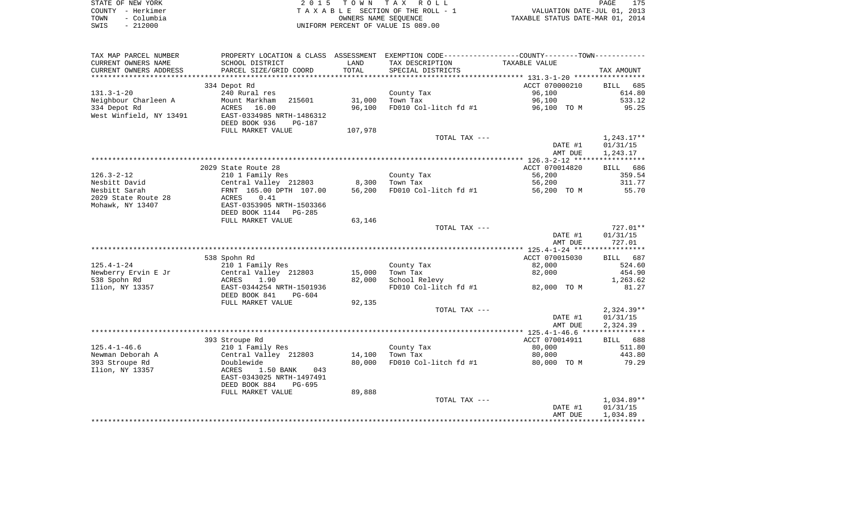| STATE OF NEW YORK |            | 2015 TOWN TAX ROLL                 | PAGE                             | 175 |
|-------------------|------------|------------------------------------|----------------------------------|-----|
| COUNTY - Herkimer |            | TAXABLE SECTION OF THE ROLL - 1    | VALUATION DATE-JUL 01, 2013      |     |
| TOWN              | – Columbia | OWNERS NAME SEOUENCE               | TAXABLE STATUS DATE-MAR 01, 2014 |     |
| SWIS              | $-212000$  | UNIFORM PERCENT OF VALUE IS 089.00 |                                  |     |

| TAX MAP PARCEL NUMBER   |                                                        |         | PROPERTY LOCATION & CLASS ASSESSMENT EXEMPTION CODE---------------COUNTY-------TOWN---------- |                |                    |
|-------------------------|--------------------------------------------------------|---------|-----------------------------------------------------------------------------------------------|----------------|--------------------|
| CURRENT OWNERS NAME     | SCHOOL DISTRICT                                        | LAND    | TAX DESCRIPTION                                                                               | TAXABLE VALUE  |                    |
| CURRENT OWNERS ADDRESS  | PARCEL SIZE/GRID COORD                                 | TOTAL   | SPECIAL DISTRICTS                                                                             |                | TAX AMOUNT         |
| *******************     | ****************************                           |         |                                                                                               |                |                    |
|                         | 334 Depot Rd                                           |         |                                                                                               | ACCT 070000210 | <b>BILL</b><br>685 |
| $131.3 - 1 - 20$        | 240 Rural res                                          |         | County Tax                                                                                    | 96,100         | 614.80             |
| Neighbour Charleen A    | Mount Markham<br>215601                                | 31,000  | Town Tax                                                                                      | 96,100         | 533.12             |
| 334 Depot Rd            | ACRES 16.00                                            | 96,100  | FD010 Col-litch fd #1                                                                         | 96,100 TO M    | 95.25              |
| West Winfield, NY 13491 | EAST-0334985 NRTH-1486312                              |         |                                                                                               |                |                    |
|                         | DEED BOOK 936<br>PG-187                                |         |                                                                                               |                |                    |
|                         | FULL MARKET VALUE                                      | 107,978 |                                                                                               |                |                    |
|                         |                                                        |         | TOTAL TAX ---                                                                                 |                | $1,243.17**$       |
|                         |                                                        |         |                                                                                               | DATE #1        | 01/31/15           |
|                         |                                                        |         |                                                                                               | AMT DUE        | 1,243.17           |
|                         |                                                        |         |                                                                                               |                |                    |
|                         | 2029 State Route 28                                    |         |                                                                                               | ACCT 070014820 | BILL 686           |
| $126.3 - 2 - 12$        | 210 1 Family Res                                       |         | County Tax                                                                                    | 56,200         | 359.54             |
| Nesbitt David           | Central Valley 212803                                  | 8,300   | Town Tax                                                                                      | 56,200         | 311.77             |
| Nesbitt Sarah           | FRNT 165.00 DPTH 107.00                                | 56,200  | FD010 Col-litch fd #1                                                                         | 56,200 TO M    | 55.70              |
| 2029 State Route 28     | 0.41<br>ACRES                                          |         |                                                                                               |                |                    |
| Mohawk, NY 13407        | EAST-0353905 NRTH-1503366                              |         |                                                                                               |                |                    |
|                         | DEED BOOK 1144 PG-285                                  |         |                                                                                               |                |                    |
|                         | FULL MARKET VALUE                                      | 63,146  |                                                                                               |                |                    |
|                         |                                                        |         | TOTAL TAX ---                                                                                 |                | 727.01**           |
|                         |                                                        |         |                                                                                               | DATE #1        | 01/31/15           |
|                         |                                                        |         |                                                                                               | AMT DUE        | 727.01             |
|                         |                                                        |         |                                                                                               |                |                    |
|                         | 538 Spohn Rd                                           |         |                                                                                               | ACCT 070015030 | BILL 687           |
| $125.4 - 1 - 24$        | 210 1 Family Res                                       |         | County Tax                                                                                    | 82,000         | 524.60             |
| Newberry Ervin E Jr     | Central Valley 212803                                  | 15,000  | Town Tax                                                                                      | 82,000         | 454.90             |
| 538 Spohn Rd            | 1.90<br>ACRES                                          | 82,000  | School Relevy                                                                                 |                | 1,263.62           |
| Ilion, NY 13357         | EAST-0344254 NRTH-1501936                              |         | FD010 Col-litch fd #1                                                                         | 82,000 TO M    | 81.27              |
|                         | DEED BOOK 841<br>PG-604                                |         |                                                                                               |                |                    |
|                         | FULL MARKET VALUE                                      | 92,135  |                                                                                               |                |                    |
|                         |                                                        |         | TOTAL TAX ---                                                                                 |                | $2,324.39**$       |
|                         |                                                        |         |                                                                                               | DATE #1        | 01/31/15           |
|                         |                                                        |         |                                                                                               | AMT DUE        | 2,324.39           |
|                         |                                                        |         |                                                                                               |                |                    |
|                         | 393 Stroupe Rd                                         |         |                                                                                               | ACCT 070014911 | BILL 688           |
| $125.4 - 1 - 46.6$      | 210 1 Family Res                                       |         | County Tax                                                                                    | 80,000         | 511.80             |
| Newman Deborah A        | Central Valley 212803                                  | 14,100  | Town Tax<br>FD010 Col-litch fd #1                                                             | 80,000         | 443.80             |
| 393 Stroupe Rd          | Doublewide                                             | 80,000  |                                                                                               | 80,000 TO M    | 79.29              |
| Ilion, NY 13357         | ACRES<br>1.50 BANK<br>043<br>EAST-0343025 NRTH-1497491 |         |                                                                                               |                |                    |
|                         | DEED BOOK 884<br>$PG-695$                              |         |                                                                                               |                |                    |
|                         | FULL MARKET VALUE                                      | 89,888  |                                                                                               |                |                    |
|                         |                                                        |         | TOTAL TAX ---                                                                                 |                | $1,034.89**$       |
|                         |                                                        |         |                                                                                               | DATE #1        | 01/31/15           |
|                         |                                                        |         |                                                                                               | AMT DUE        | 1,034.89           |
|                         |                                                        |         |                                                                                               |                |                    |
|                         |                                                        |         |                                                                                               |                |                    |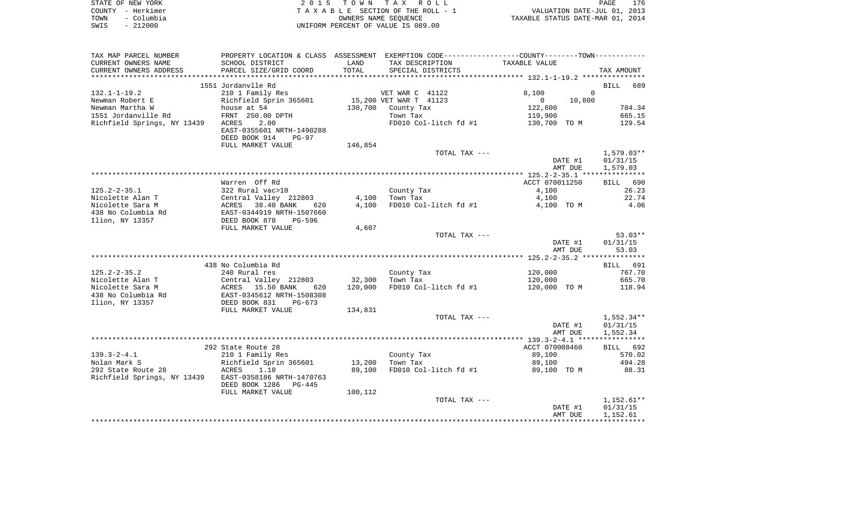| STATE OF NEW YORK  | 2015 TOWN TAX ROLL                 | 176<br>PAGE                      |
|--------------------|------------------------------------|----------------------------------|
| COUNTY - Herkimer  | TAXABLE SECTION OF THE ROLL - 1    | VALUATION DATE-JUL 01, 2013      |
| - Columbia<br>TOWN | OWNERS NAME SEOUENCE               | TAXABLE STATUS DATE-MAR 01, 2014 |
| $-212000$<br>SWIS  | UNIFORM PERCENT OF VALUE IS 089.00 |                                  |

| TAX MAP PARCEL NUMBER                |                                                  |                   | PROPERTY LOCATION & CLASS ASSESSMENT EXEMPTION CODE---------------COUNTY-------TOWN---------- |                          |                    |
|--------------------------------------|--------------------------------------------------|-------------------|-----------------------------------------------------------------------------------------------|--------------------------|--------------------|
| CURRENT OWNERS NAME                  | SCHOOL DISTRICT                                  | LAND              | TAX DESCRIPTION                                                                               | TAXABLE VALUE            |                    |
| CURRENT OWNERS ADDRESS               | PARCEL SIZE/GRID COORD                           | TOTAL             | SPECIAL DISTRICTS                                                                             |                          | TAX AMOUNT         |
|                                      |                                                  |                   |                                                                                               |                          |                    |
|                                      | 1551 Jordanvlle Rd                               |                   |                                                                                               |                          | 689<br><b>BILL</b> |
| $132.1 - 1 - 19.2$                   | 210 1 Family Res                                 |                   | VET WAR C 41122                                                                               | 8,100                    | $\Omega$           |
| Newman Robert E                      | Richfield Sprin 365601                           |                   | 15,200 VET WAR T 41123                                                                        | $\overline{0}$<br>10,800 |                    |
| Newman Martha W                      | house at 54                                      | 130,700           | County Tax                                                                                    | 122,600                  | 784.34             |
| 1551 Jordanville Rd                  | FRNT 250.00 DPTH                                 |                   | Town Tax                                                                                      | 119,900                  | 665.15             |
| Richfield Springs, NY 13439          | 2.00<br>ACRES                                    |                   | FD010 Col-litch fd #1                                                                         | 130,700 TO M             | 129.54             |
|                                      | EAST-0355601 NRTH-1490288                        |                   |                                                                                               |                          |                    |
|                                      | DEED BOOK 914<br>$PG-97$                         |                   |                                                                                               |                          |                    |
|                                      | FULL MARKET VALUE                                | 146,854           |                                                                                               |                          |                    |
|                                      |                                                  |                   | TOTAL TAX ---                                                                                 |                          | $1,579.03**$       |
|                                      |                                                  |                   |                                                                                               | DATE #1                  | 01/31/15           |
|                                      |                                                  |                   |                                                                                               | AMT DUE                  | 1,579.03           |
|                                      |                                                  |                   |                                                                                               |                          |                    |
|                                      | Warren Off Rd                                    |                   |                                                                                               | ACCT 070011250           | BILL 690           |
| $125.2 - 2 - 35.1$                   | 322 Rural vac>10                                 |                   | County Tax                                                                                    | 4,100                    | 26.23              |
| Nicolette Alan T                     | Central Valley 212803                            | 4,100             | Town Tax                                                                                      | 4,100                    | 22.74              |
| Nicolette Sara M                     | ACRES 38.40 BANK<br>620                          | 4,100             | FD010 Col-litch fd #1                                                                         | 4,100 TO M               | 4.06               |
| 438 No Columbia Rd                   | EAST-0344919 NRTH-1507660                        |                   |                                                                                               |                          |                    |
| Ilion, NY 13357                      | DEED BOOK 878<br>PG-596                          |                   |                                                                                               |                          |                    |
|                                      | FULL MARKET VALUE                                | 4,607             |                                                                                               |                          |                    |
|                                      |                                                  |                   | TOTAL TAX ---                                                                                 |                          | $53.03**$          |
|                                      |                                                  |                   |                                                                                               | DATE #1                  | 01/31/15           |
|                                      |                                                  |                   |                                                                                               | AMT DUE                  | 53.03              |
|                                      |                                                  |                   |                                                                                               |                          | BILL 691           |
|                                      | 438 No Columbia Rd                               |                   |                                                                                               |                          |                    |
| $125.2 - 2 - 35.2$                   | 240 Rural res                                    |                   | County Tax                                                                                    | 120,000                  | 767.70<br>665.70   |
| Nicolette Alan T<br>Nicolette Sara M | Central Valley 212803<br>ACRES 15.50 BANK<br>620 | 32,300<br>120,000 | Town Tax<br>FD010 Col-litch fd #1                                                             | 120,000<br>120,000 TO M  | 118.94             |
| 438 No Columbia Rd                   | EAST-0345612 NRTH-1508308                        |                   |                                                                                               |                          |                    |
| Ilion, NY 13357                      | DEED BOOK 831<br>$PG-673$                        |                   |                                                                                               |                          |                    |
|                                      | FULL MARKET VALUE                                | 134,831           |                                                                                               |                          |                    |
|                                      |                                                  |                   | TOTAL TAX ---                                                                                 |                          | 1,552.34**         |
|                                      |                                                  |                   |                                                                                               | DATE #1                  | 01/31/15           |
|                                      |                                                  |                   |                                                                                               | AMT DUE                  | 1,552.34           |
|                                      |                                                  |                   |                                                                                               |                          |                    |
|                                      | 292 State Route 28                               |                   |                                                                                               | ACCT 070008460           | BILL 692           |
| $139.3 - 2 - 4.1$                    | 210 1 Family Res                                 |                   | County Tax                                                                                    | 89,100                   | 570.02             |
| Nolan Mark S                         | Richfield Sprin 365601                           | 13,200            | Town Tax                                                                                      | 89,100                   | 494.28             |
| 292 State Route 28                   | ACRES<br>1.10                                    | 89,100            | FD010 Col-litch fd #1                                                                         | 89,100 TO M              | 88.31              |
| Richfield Springs, NY 13439          | EAST-0358186 NRTH-1470763                        |                   |                                                                                               |                          |                    |
|                                      | DEED BOOK 1286 PG-445                            |                   |                                                                                               |                          |                    |
|                                      | FULL MARKET VALUE                                | 100,112           |                                                                                               |                          |                    |
|                                      |                                                  |                   | TOTAL TAX ---                                                                                 |                          | $1,152.61**$       |
|                                      |                                                  |                   |                                                                                               | DATE #1                  | 01/31/15           |
|                                      |                                                  |                   |                                                                                               | AMT DUE                  | 1,152.61           |
|                                      |                                                  |                   |                                                                                               |                          |                    |
|                                      |                                                  |                   |                                                                                               |                          |                    |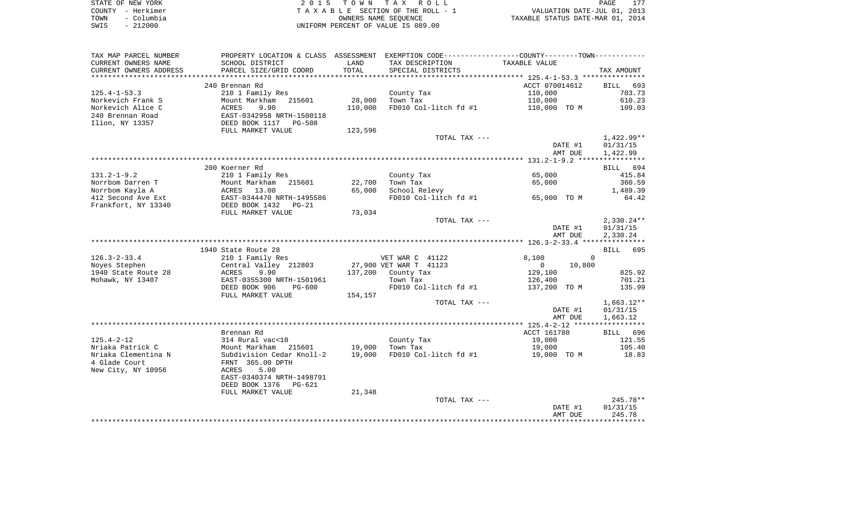| STATE OF NEW YORK  | 2015 TOWN TAX ROLL                 | 177<br>PAGE                      |
|--------------------|------------------------------------|----------------------------------|
| COUNTY - Herkimer  | TAXABLE SECTION OF THE ROLL - 1    | VALUATION DATE-JUL 01, 2013      |
| - Columbia<br>TOWN | OWNERS NAME SEOUENCE               | TAXABLE STATUS DATE-MAR 01, 2014 |
| $-212000$<br>SWIS  | UNIFORM PERCENT OF VALUE IS 089.00 |                                  |

| TAX MAP PARCEL NUMBER  | PROPERTY LOCATION & CLASS ASSESSMENT |                 | EXEMPTION CODE----------------COUNTY-------TOWN----------- |                          |                    |
|------------------------|--------------------------------------|-----------------|------------------------------------------------------------|--------------------------|--------------------|
| CURRENT OWNERS NAME    | SCHOOL DISTRICT                      | LAND            | TAX DESCRIPTION                                            | TAXABLE VALUE            |                    |
| CURRENT OWNERS ADDRESS | PARCEL SIZE/GRID COORD               | TOTAL           | SPECIAL DISTRICTS                                          |                          | TAX AMOUNT         |
| ******************     | ***********************              | *************** |                                                            |                          |                    |
|                        | 240 Brennan Rd                       |                 |                                                            | ACCT 070014612           | <b>BILL</b><br>693 |
| $125.4 - 1 - 53.3$     | 210 1 Family Res                     |                 | County Tax                                                 | 110,000                  | 703.73             |
| Norkevich Frank S      | Mount Markham<br>215601              | 28,000          | Town Tax                                                   | 110,000                  | 610.23             |
| Norkevich Alice C      | ACRES<br>9.90                        | 110,000         | FD010 Col-litch fd #1                                      | 110,000 TO M             | 109.03             |
| 240 Brennan Road       | EAST-0342958 NRTH-1500118            |                 |                                                            |                          |                    |
| Ilion, NY 13357        | DEED BOOK 1117 PG-508                |                 |                                                            |                          |                    |
|                        | FULL MARKET VALUE                    | 123,596         |                                                            |                          |                    |
|                        |                                      |                 | TOTAL TAX ---                                              |                          | 1,422.99**         |
|                        |                                      |                 |                                                            | DATE #1                  | 01/31/15           |
|                        |                                      |                 |                                                            | AMT DUE                  | 1,422.99           |
|                        |                                      |                 |                                                            |                          |                    |
|                        | 200 Koerner Rd                       |                 |                                                            |                          | BILL 694           |
| $131.2 - 1 - 9.2$      | 210 1 Family Res                     |                 | County Tax                                                 | 65,000                   | 415.84             |
| Norrbom Darren T       | Mount Markham<br>215601              | 22,700          | Town Tax                                                   | 65,000                   | 360.59             |
| Norrbom Kayla A        | ACRES 13.00                          | 65,000          | School Relevy                                              |                          | 1,489.39           |
| 412 Second Ave Ext     | EAST-0344470 NRTH-1495586            |                 | FD010 Col-litch fd #1                                      | 65,000 TO M              | 64.42              |
| Frankfort, NY 13340    | DEED BOOK 1432<br>$PG-21$            |                 |                                                            |                          |                    |
|                        | FULL MARKET VALUE                    | 73,034          |                                                            |                          |                    |
|                        |                                      |                 | TOTAL TAX ---                                              |                          | $2,330.24**$       |
|                        |                                      |                 |                                                            | DATE #1                  | 01/31/15           |
|                        |                                      |                 |                                                            | AMT DUE                  | 2,330.24           |
|                        |                                      |                 |                                                            |                          |                    |
|                        | 1940 State Route 28                  |                 |                                                            |                          | BILL 695           |
| $126.3 - 2 - 33.4$     | 210 1 Family Res                     |                 | VET WAR C 41122                                            | 8,100<br>$\Omega$        |                    |
| Noyes Stephen          | Central Valley 212803                |                 | 27,900 VET WAR T 41123                                     | $\overline{0}$<br>10,800 |                    |
| 1940 State Route 28    | ACRES<br>9.90                        |                 | 137,200 County Tax                                         | 129,100                  | 825.92             |
| Mohawk, NY 13407       | EAST-0355300 NRTH-1501961            |                 | Town Tax                                                   | 126,400                  | 701.21             |
|                        | DEED BOOK 906<br>PG-600              |                 | FD010 Col-litch fd #1                                      | 137,200 TO M             | 135.99             |
|                        | FULL MARKET VALUE                    | 154,157         |                                                            |                          |                    |
|                        |                                      |                 | TOTAL TAX ---                                              |                          | $1,663.12**$       |
|                        |                                      |                 |                                                            | DATE #1                  | 01/31/15           |
|                        |                                      |                 |                                                            | AMT DUE                  | 1,663.12           |
|                        |                                      |                 |                                                            |                          |                    |
|                        | Brennan Rd                           |                 |                                                            | ACCT 161780              | BILL 696           |
| $125.4 - 2 - 12$       | 314 Rural vac<10                     |                 | County Tax                                                 | 19,000                   | 121.55             |
| Nriaka Patrick C       | Mount Markham 215601                 | 19,000          | Town Tax                                                   | 19,000                   | 105.40             |
| Nriaka Clementina N    | Subdivision Cedar Knoll-2            | 19,000          | FD010 Col-litch fd #1                                      | 19,000 TO M              | 18.83              |
| 4 Glade Court          | FRNT 365.00 DPTH                     |                 |                                                            |                          |                    |
| New City, NY 10956     | 5.00<br>ACRES                        |                 |                                                            |                          |                    |
|                        | EAST-0340374 NRTH-1498791            |                 |                                                            |                          |                    |
|                        | DEED BOOK 1376<br>$PG-621$           |                 |                                                            |                          |                    |
|                        | FULL MARKET VALUE                    | 21,348          |                                                            |                          |                    |
|                        |                                      |                 | TOTAL TAX ---                                              |                          | $245.78**$         |
|                        |                                      |                 |                                                            | DATE #1                  | 01/31/15           |
|                        |                                      |                 |                                                            | AMT DUE                  | 245.78             |
|                        |                                      |                 |                                                            |                          | *********          |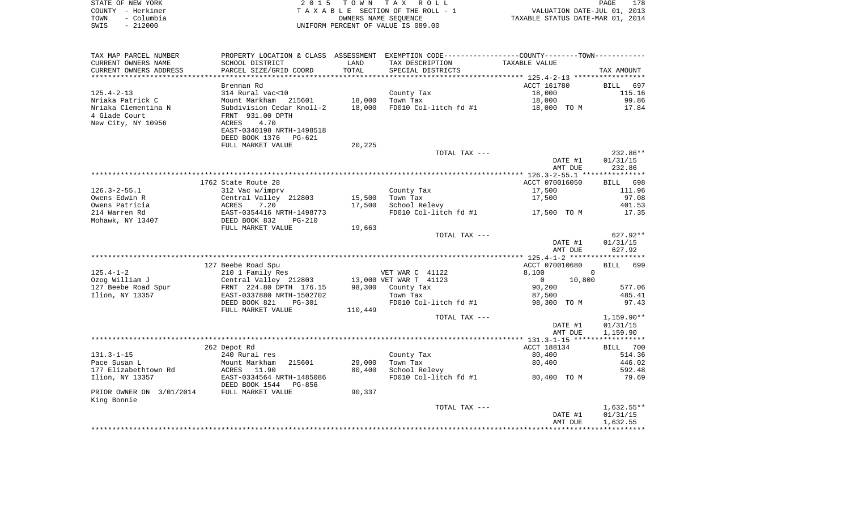| STATE OF NEW YORK  | 2015 TOWN TAX ROLL                 | 178<br>PAGE                      |
|--------------------|------------------------------------|----------------------------------|
| COUNTY - Herkimer  | TAXABLE SECTION OF THE ROLL - 1    | VALUATION DATE-JUL 01, 2013      |
| - Columbia<br>TOWN | OWNERS NAME SEOUENCE               | TAXABLE STATUS DATE-MAR 01, 2014 |
| $-212000$<br>SWIS  | UNIFORM PERCENT OF VALUE IS 089.00 |                                  |

| TAX MAP PARCEL NUMBER             | PROPERTY LOCATION & CLASS ASSESSMENT                   |                     | EXEMPTION CODE-----------------COUNTY-------TOWN----------- |                          |                      |
|-----------------------------------|--------------------------------------------------------|---------------------|-------------------------------------------------------------|--------------------------|----------------------|
| CURRENT OWNERS NAME               | SCHOOL DISTRICT                                        | LAND                | TAX DESCRIPTION                                             | TAXABLE VALUE            |                      |
| CURRENT OWNERS ADDRESS            | PARCEL SIZE/GRID COORD                                 | TOTAL<br>********** | SPECIAL DISTRICTS                                           |                          | TAX AMOUNT           |
|                                   | Brennan Rd                                             |                     |                                                             | ACCT 161780              | <b>BILL</b><br>697   |
| $125.4 - 2 - 13$                  | 314 Rural vac<10                                       |                     | County Tax                                                  | 18,000                   | 115.16               |
| Nriaka Patrick C                  | Mount Markham 215601                                   | 18,000              | Town Tax                                                    | 18,000                   | 99.86                |
| Nriaka Clementina N               | Subdivision Cedar Knoll-2                              | 18,000              | FD010 Col-litch fd #1                                       | 18,000 TO M              | 17.84                |
| 4 Glade Court                     | FRNT 931.00 DPTH                                       |                     |                                                             |                          |                      |
| New City, NY 10956                | 4.70<br>ACRES                                          |                     |                                                             |                          |                      |
|                                   | EAST-0340198 NRTH-1498518                              |                     |                                                             |                          |                      |
|                                   | DEED BOOK 1376<br>PG-621                               |                     |                                                             |                          |                      |
|                                   | FULL MARKET VALUE                                      | 20,225              |                                                             |                          |                      |
|                                   |                                                        |                     | TOTAL TAX ---                                               |                          | 232.86**             |
|                                   |                                                        |                     |                                                             | DATE #1                  | 01/31/15             |
|                                   |                                                        |                     |                                                             | AMT DUE                  | 232.86               |
|                                   |                                                        |                     |                                                             |                          |                      |
|                                   | 1762 State Route 28                                    |                     |                                                             | ACCT 070016050           | 698<br><b>BILL</b>   |
| $126.3 - 2 - 55.1$                | 312 Vac w/imprv                                        |                     | County Tax                                                  | 17,500                   | 111.96               |
| Owens Edwin R                     | Central Valley 212803                                  | 15,500              | Town Tax                                                    | 17,500                   | 97.08                |
| Owens Patricia                    | 7.20<br>ACRES                                          | 17,500              | School Relevy                                               |                          | 401.53               |
| 214 Warren Rd<br>Mohawk, NY 13407 | EAST-0354416 NRTH-1498773<br>DEED BOOK 832<br>$PG-210$ |                     | FD010 Col-litch fd #1                                       | 17,500 TO M              | 17.35                |
|                                   | FULL MARKET VALUE                                      | 19,663              |                                                             |                          |                      |
|                                   |                                                        |                     | TOTAL TAX ---                                               |                          | 627.92**             |
|                                   |                                                        |                     |                                                             | DATE #1                  | 01/31/15             |
|                                   |                                                        |                     |                                                             | AMT DUE                  | 627.92               |
|                                   |                                                        |                     |                                                             |                          |                      |
|                                   | 127 Beebe Road Spu                                     |                     |                                                             | ACCT 070010680           | 699<br><b>BILL</b>   |
| $125.4 - 1 - 2$                   | 210 1 Family Res                                       |                     | VET WAR C 41122                                             | 8,100<br>$\Omega$        |                      |
| Ozog William J                    | Central Valley 212803                                  |                     | 13,000 VET WAR T 41123                                      | $\overline{0}$<br>10,800 |                      |
| 127 Beebe Road Spur               | FRNT 224.80 DPTH 176.15                                |                     | 98,300 County Tax                                           | 90,200                   | 577.06               |
| Ilion, NY 13357                   | EAST-0337880 NRTH-1502702                              |                     | Town Tax                                                    | 87,500                   | 485.41               |
|                                   | DEED BOOK 821<br>$PG-301$                              |                     | FD010 Col-litch fd #1                                       | 98,300 TO M              | 97.43                |
|                                   | FULL MARKET VALUE                                      | 110,449             |                                                             |                          |                      |
|                                   |                                                        |                     | TOTAL TAX ---                                               |                          | $1,159.90**$         |
|                                   |                                                        |                     |                                                             | DATE #1<br>AMT DUE       | 01/31/15<br>1,159.90 |
|                                   |                                                        |                     |                                                             |                          |                      |
|                                   | 262 Depot Rd                                           |                     |                                                             | ACCT 188134              | 700<br>BILL          |
| $131.3 - 1 - 15$                  | 240 Rural res                                          |                     | County Tax                                                  | 80,400                   | 514.36               |
| Pace Susan L                      | 215601<br>Mount Markham                                | 29,000              | Town Tax                                                    | 80,400                   | 446.02               |
| 177 Elizabethtown Rd              | ACRES 11.90                                            | 80,400              | School Relevy                                               |                          | 592.48               |
| Ilion, NY 13357                   | EAST-0334564 NRTH-1485086                              |                     | FD010 Col-litch fd #1                                       | 80,400 TO M              | 79.69                |
|                                   | DEED BOOK 1544<br>PG-856                               |                     |                                                             |                          |                      |
| PRIOR OWNER ON 3/01/2014          | FULL MARKET VALUE                                      | 90,337              |                                                             |                          |                      |
| King Bonnie                       |                                                        |                     |                                                             |                          |                      |
|                                   |                                                        |                     | TOTAL TAX ---                                               |                          | $1,632.55**$         |
|                                   |                                                        |                     |                                                             | DATE #1                  | 01/31/15             |
|                                   |                                                        |                     |                                                             | AMT DUE                  | 1,632.55             |
|                                   |                                                        |                     |                                                             |                          |                      |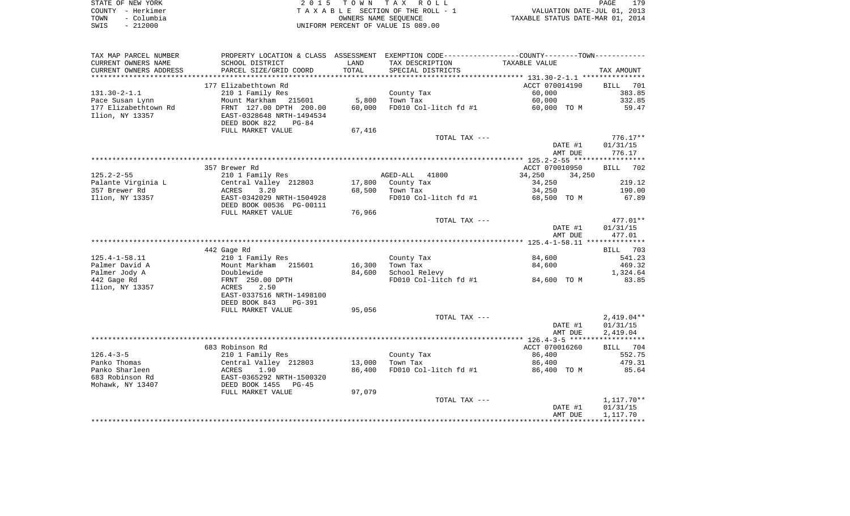|      | STATE OF NEW YORK | 2015 TOWN TAX ROLL                 | 179<br>PAGE                      |
|------|-------------------|------------------------------------|----------------------------------|
|      | COUNTY - Herkimer | TAXABLE SECTION OF THE ROLL - 1    | VALUATION DATE-JUL 01, 2013      |
| TOWN | - Columbia        | OWNERS NAME SEOUENCE               | TAXABLE STATUS DATE-MAR 01, 2014 |
| SWIS | - 212000          | UNIFORM PERCENT OF VALUE IS 089.00 |                                  |

| TAX MAP PARCEL NUMBER     |                                          |        | PROPERTY LOCATION & CLASS ASSESSMENT EXEMPTION CODE---------------COUNTY-------TOWN---------- |                  |                    |
|---------------------------|------------------------------------------|--------|-----------------------------------------------------------------------------------------------|------------------|--------------------|
| CURRENT OWNERS NAME       | SCHOOL DISTRICT                          | LAND   | TAX DESCRIPTION                                                                               | TAXABLE VALUE    |                    |
| CURRENT OWNERS ADDRESS    | PARCEL SIZE/GRID COORD                   | TOTAL  | SPECIAL DISTRICTS                                                                             |                  | TAX AMOUNT         |
| ************************* |                                          |        |                                                                                               |                  |                    |
|                           | 177 Elizabethtown Rd                     |        |                                                                                               | ACCT 070014190   | BILL<br>701        |
| $131.30 - 2 - 1.1$        | 210 1 Family Res                         |        | County Tax                                                                                    | 60,000           | 383.85             |
| Pace Susan Lynn           | Mount Markham 215601                     | 5,800  | Town Tax                                                                                      | 60,000           | 332.85             |
| 177 Elizabethtown Rd      | FRNT 127.00 DPTH 200.00                  | 60,000 | $FD010$ Col-litch fd #1                                                                       | 60,000 TO M      | 59.47              |
| Ilion, NY 13357           | EAST-0328648 NRTH-1494534                |        |                                                                                               |                  |                    |
|                           | DEED BOOK 822<br>$PG-84$                 |        |                                                                                               |                  |                    |
|                           | FULL MARKET VALUE                        | 67,416 |                                                                                               |                  |                    |
|                           |                                          |        | TOTAL TAX ---                                                                                 |                  | $776.17**$         |
|                           |                                          |        |                                                                                               | DATE #1          | 01/31/15           |
|                           |                                          |        |                                                                                               | AMT DUE          | 776.17             |
|                           |                                          |        |                                                                                               |                  |                    |
|                           | 357 Brewer Rd                            |        |                                                                                               | ACCT 070010950   | 702<br><b>BILL</b> |
| $125.2 - 2 - 55$          | 210 1 Family Res                         |        | AGED-ALL 41800                                                                                | 34,250<br>34,250 |                    |
| Palante Virginia L        | Central Valley 212803                    | 17,800 | County Tax                                                                                    | 34,250           | 219.12             |
| 357 Brewer Rd             | ACRES<br>3.20                            | 68,500 | Town Tax                                                                                      | 34,250           | 190.00             |
| Ilion, NY 13357           | EAST-0342029 NRTH-1504928                |        | FD010 Col-litch fd #1                                                                         | 68,500 TO M      | 67.89              |
|                           | DEED BOOK 00536 PG-00111                 |        |                                                                                               |                  |                    |
|                           | FULL MARKET VALUE                        | 76,966 |                                                                                               |                  |                    |
|                           |                                          |        | TOTAL TAX ---                                                                                 |                  | 477.01**           |
|                           |                                          |        |                                                                                               | DATE #1          | 01/31/15           |
|                           |                                          |        |                                                                                               | AMT DUE          | 477.01             |
|                           |                                          |        |                                                                                               |                  |                    |
| $125.4 - 1 - 58.11$       | 442 Gage Rd                              |        |                                                                                               | 84,600           | BILL 703           |
| Palmer David A            | 210 1 Family Res<br>Mount Markham 215601 | 16,300 | County Tax<br>Town Tax                                                                        | 84,600           | 541.23<br>469.32   |
| Palmer Jody A             | Doublewide                               | 84,600 | School Relevy                                                                                 |                  | 1,324.64           |
| 442 Gage Rd               | FRNT 250.00 DPTH                         |        | FD010 Col-litch fd #1                                                                         | 84,600 TO M      | 83.85              |
| Ilion, NY 13357           | ACRES<br>2.50                            |        |                                                                                               |                  |                    |
|                           | EAST-0337516 NRTH-1498100                |        |                                                                                               |                  |                    |
|                           | DEED BOOK 843<br>PG-391                  |        |                                                                                               |                  |                    |
|                           | FULL MARKET VALUE                        | 95,056 |                                                                                               |                  |                    |
|                           |                                          |        | TOTAL TAX ---                                                                                 |                  | $2,419.04**$       |
|                           |                                          |        |                                                                                               | DATE #1          | 01/31/15           |
|                           |                                          |        |                                                                                               | AMT DUE          | 2,419.04           |
|                           |                                          |        |                                                                                               |                  |                    |
|                           | 683 Robinson Rd                          |        |                                                                                               | ACCT 070016260   | BILL 704           |
| $126.4 - 3 - 5$           | 210 1 Family Res                         |        | County Tax                                                                                    | 86,400           | 552.75             |
| Panko Thomas              | Central Valley 212803                    | 13,000 | Town Tax                                                                                      | 86,400           | 479.31             |
| Panko Sharleen            | 1.90<br>ACRES                            | 86,400 | FD010 Col-litch fd #1                                                                         | 86,400 TO M      | 85.64              |
| 683 Robinson Rd           | EAST-0365292 NRTH-1500320                |        |                                                                                               |                  |                    |
| Mohawk, NY 13407          | DEED BOOK 1455<br>$PG-45$                |        |                                                                                               |                  |                    |
|                           | FULL MARKET VALUE                        | 97,079 |                                                                                               |                  |                    |
|                           |                                          |        | TOTAL TAX ---                                                                                 |                  | 1,117.70**         |
|                           |                                          |        |                                                                                               | DATE #1          | 01/31/15           |
|                           |                                          |        |                                                                                               | AMT DUE          | 1,117.70           |
|                           |                                          |        |                                                                                               |                  |                    |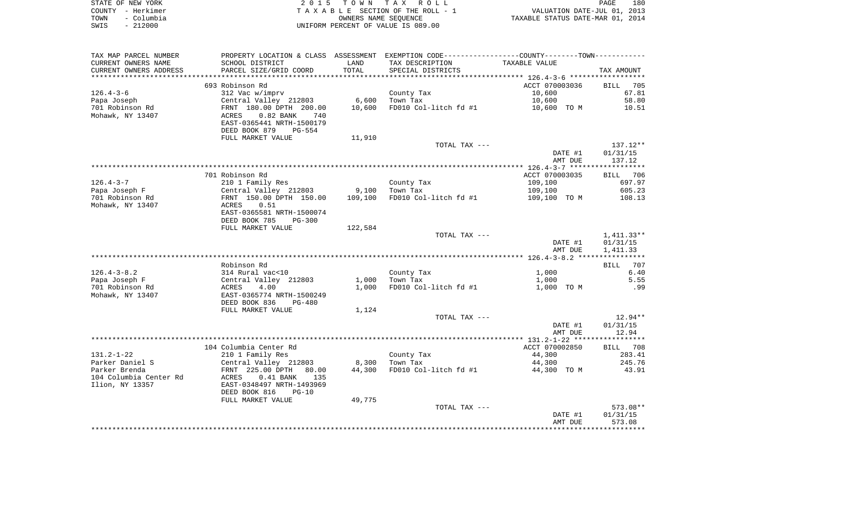|      | STATE OF NEW YORK | 2015 TOWN TAX ROLL                 | 180<br>PAGE                      |
|------|-------------------|------------------------------------|----------------------------------|
|      | COUNTY – Herkimer | TAXABLE SECTION OF THE ROLL - 1    | VALUATION DATE-JUL 01, 2013      |
| TOWN | – Columbia        | OWNERS NAME SEOUENCE               | TAXABLE STATUS DATE-MAR 01, 2014 |
| SWIS | $-212000$         | UNIFORM PERCENT OF VALUE IS 089.00 |                                  |

| TAX MAP PARCEL NUMBER  |                                     |         | PROPERTY LOCATION & CLASS ASSESSMENT EXEMPTION CODE----------------COUNTY--------TOWN----------- |                |            |
|------------------------|-------------------------------------|---------|--------------------------------------------------------------------------------------------------|----------------|------------|
| CURRENT OWNERS NAME    | SCHOOL DISTRICT                     | LAND    | TAX DESCRIPTION                                                                                  | TAXABLE VALUE  |            |
| CURRENT OWNERS ADDRESS | PARCEL SIZE/GRID COORD              | TOTAL   | SPECIAL DISTRICTS                                                                                |                | TAX AMOUNT |
|                        |                                     |         |                                                                                                  |                |            |
|                        | 693 Robinson Rd                     |         |                                                                                                  | ACCT 070003036 | BILL 705   |
| $126.4 - 3 - 6$        | 312 Vac w/imprv                     |         | County Tax                                                                                       | 10,600         | 67.81      |
| Papa Joseph            | Central Valley 212803               | 6,600   | Town Tax                                                                                         | 10,600         | 58.80      |
| 701 Robinson Rd        | FRNT 180.00 DPTH 200.00             | 10,600  | FD010 Col-litch fd #1                                                                            | 10,600 TO M    | 10.51      |
| Mohawk, NY 13407       | ACRES<br>$0.82$ BANK<br>740         |         |                                                                                                  |                |            |
|                        | EAST-0365441 NRTH-1500179           |         |                                                                                                  |                |            |
|                        | DEED BOOK 879<br><b>PG-554</b>      |         |                                                                                                  |                |            |
|                        | FULL MARKET VALUE                   | 11,910  |                                                                                                  |                |            |
|                        |                                     |         | TOTAL TAX ---                                                                                    |                | $137.12**$ |
|                        |                                     |         |                                                                                                  | DATE #1        | 01/31/15   |
|                        |                                     |         |                                                                                                  | AMT DUE        | 137.12     |
|                        |                                     |         |                                                                                                  |                |            |
|                        | 701 Robinson Rd                     |         |                                                                                                  | ACCT 070003035 | BILL 706   |
| $126.4 - 3 - 7$        | 210 1 Family Res                    |         | County Tax                                                                                       | 109,100        | 697.97     |
| Papa Joseph F          | Central Valley 212803               | 9,100   | Town Tax                                                                                         | 109,100        | 605.23     |
| 701 Robinson Rd        | FRNT 150.00 DPTH 150.00             | 109,100 | FD010 Col-litch fd #1                                                                            | 109,100 TO M   | 108.13     |
| Mohawk, NY 13407       | ACRES<br>0.51                       |         |                                                                                                  |                |            |
|                        | EAST-0365581 NRTH-1500074           |         |                                                                                                  |                |            |
|                        | DEED BOOK 785<br><b>PG-300</b>      |         |                                                                                                  |                |            |
|                        | FULL MARKET VALUE                   | 122,584 |                                                                                                  |                |            |
|                        |                                     |         |                                                                                                  |                |            |
|                        |                                     |         | TOTAL TAX ---                                                                                    |                | 1,411.33** |
|                        |                                     |         |                                                                                                  | DATE #1        | 01/31/15   |
|                        |                                     |         |                                                                                                  | AMT DUE        | 1,411.33   |
|                        |                                     |         |                                                                                                  |                |            |
|                        | Robinson Rd                         |         |                                                                                                  |                | BILL 707   |
| $126.4 - 3 - 8.2$      | 314 Rural vac<10                    |         | County Tax                                                                                       | 1,000          | 6.40       |
| Papa Joseph F          | Central Valley 212803<br>ACRES 4.00 | 1,000   | Town Tax                                                                                         | 1,000          | 5.55       |
| 701 Robinson Rd        |                                     | 1,000   | FD010 Col-litch fd #1                                                                            | 1,000 TO M     | .99        |
| Mohawk, NY 13407       | EAST-0365774 NRTH-1500249           |         |                                                                                                  |                |            |
|                        | DEED BOOK 836<br>$PG-480$           |         |                                                                                                  |                |            |
|                        | FULL MARKET VALUE                   | 1,124   |                                                                                                  |                |            |
|                        |                                     |         | TOTAL TAX ---                                                                                    |                | 12.94**    |
|                        |                                     |         |                                                                                                  | DATE #1        | 01/31/15   |
|                        |                                     |         |                                                                                                  | AMT DUE        | 12.94      |
|                        |                                     |         |                                                                                                  |                |            |
|                        | 104 Columbia Center Rd              |         |                                                                                                  | ACCT 070002850 | BILL 708   |
| $131.2 - 1 - 22$       | 210 1 Family Res                    |         | County Tax                                                                                       | 44,300         | 283.41     |
| Parker Daniel S        | Central Valley 212803               | 8,300   | Town Tax                                                                                         | 44,300         | 245.76     |
| Parker Brenda          | FRNT 225.00 DPTH<br>80.00           | 44,300  | FD010 Col-litch fd #1                                                                            | 44,300 TO M    | 43.91      |
| 104 Columbia Center Rd | ACRES<br>$0.41$ BANK<br>135         |         |                                                                                                  |                |            |
| Ilion, NY 13357        | EAST-0348497 NRTH-1493969           |         |                                                                                                  |                |            |
|                        | DEED BOOK 816<br>$PG-10$            |         |                                                                                                  |                |            |
|                        | FULL MARKET VALUE                   | 49,775  |                                                                                                  |                |            |
|                        |                                     |         | TOTAL TAX ---                                                                                    |                | 573.08**   |
|                        |                                     |         |                                                                                                  | DATE #1        | 01/31/15   |
|                        |                                     |         |                                                                                                  | AMT DUE        | 573.08     |
|                        |                                     |         |                                                                                                  |                |            |
|                        |                                     |         |                                                                                                  |                |            |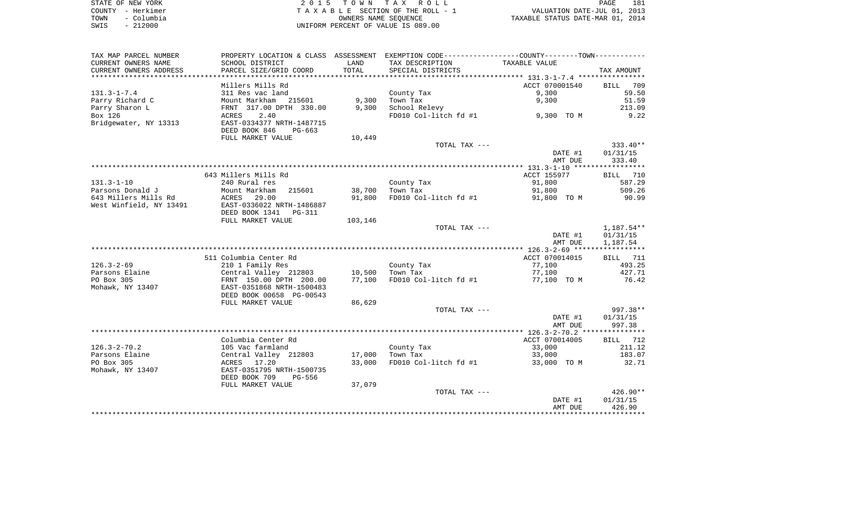|      | STATE OF NEW YORK | 2015 TOWN TAX ROLL                 | 181<br>PAGE                      |
|------|-------------------|------------------------------------|----------------------------------|
|      | COUNTY - Herkimer | TAXABLE SECTION OF THE ROLL - 1    | VALUATION DATE-JUL 01, 2013      |
| TOWN | – Columbia        | OWNERS NAME SEOUENCE               | TAXABLE STATUS DATE-MAR 01, 2014 |
| SWIS | $-212000$         | UNIFORM PERCENT OF VALUE IS 089.00 |                                  |

| TAX MAP PARCEL NUMBER   |                                 |         | PROPERTY LOCATION & CLASS ASSESSMENT EXEMPTION CODE---------------COUNTY-------TOWN---------- |                |             |
|-------------------------|---------------------------------|---------|-----------------------------------------------------------------------------------------------|----------------|-------------|
| CURRENT OWNERS NAME     | SCHOOL DISTRICT                 | LAND    | TAX DESCRIPTION                                                                               | TAXABLE VALUE  |             |
| CURRENT OWNERS ADDRESS  | PARCEL SIZE/GRID COORD          | TOTAL   | SPECIAL DISTRICTS                                                                             |                | TAX AMOUNT  |
|                         |                                 |         |                                                                                               |                |             |
|                         | Millers Mills Rd                |         |                                                                                               | ACCT 070001540 | 709<br>BILL |
| $131.3 - 1 - 7.4$       | 311 Res vac land                |         | County Tax                                                                                    | 9,300          | 59.50       |
| Parry Richard C         | Mount Markham 215601            | 9,300   | Town Tax                                                                                      | 9,300          | 51.59       |
| Parry Sharon L          | FRNT 317.00 DPTH 330.00         | 9,300   | School Relevy                                                                                 |                | 213.09      |
| Box 126                 | 2.40<br>ACRES                   |         | FD010 Col-litch fd #1                                                                         | 9,300 TO M     | 9.22        |
| Bridgewater, NY 13313   | EAST-0334377 NRTH-1487715       |         |                                                                                               |                |             |
|                         | DEED BOOK 846<br>PG-663         |         |                                                                                               |                |             |
|                         | FULL MARKET VALUE               | 10,449  |                                                                                               |                |             |
|                         |                                 |         | TOTAL TAX ---                                                                                 |                | $333.40**$  |
|                         |                                 |         |                                                                                               | DATE #1        | 01/31/15    |
|                         |                                 |         |                                                                                               | AMT DUE        | 333.40      |
|                         |                                 |         |                                                                                               |                |             |
|                         | 643 Millers Mills Rd            |         |                                                                                               | ACCT 155977    | BILL 710    |
| $131.3 - 1 - 10$        | 240 Rural res                   |         | County Tax                                                                                    | 91,800         | 587.29      |
| Parsons Donald J        | Mount Markham<br>215601         | 38,700  | Town Tax                                                                                      | 91,800         | 509.26      |
| 643 Millers Mills Rd    | ACRES<br>29.00                  | 91,800  | FD010 Col-litch fd #1                                                                         | 91,800 TO M    | 90.99       |
| West Winfield, NY 13491 | EAST-0336022 NRTH-1486887       |         |                                                                                               |                |             |
|                         | DEED BOOK 1341<br><b>PG-311</b> |         |                                                                                               |                |             |
|                         | FULL MARKET VALUE               | 103,146 |                                                                                               |                |             |
|                         |                                 |         | TOTAL TAX ---                                                                                 |                | 1,187.54**  |
|                         |                                 |         |                                                                                               | DATE #1        | 01/31/15    |
|                         |                                 |         |                                                                                               | AMT DUE        | 1,187.54    |
|                         |                                 |         |                                                                                               |                |             |
|                         | 511 Columbia Center Rd          |         |                                                                                               | ACCT 070014015 | BILL 711    |
| $126.3 - 2 - 69$        | 210 1 Family Res                |         | County Tax                                                                                    | 77,100         | 493.25      |
| Parsons Elaine          | Central Valley 212803           | 10,500  | Town Tax                                                                                      | 77,100         | 427.71      |
| PO Box 305              | FRNT 150.00 DPTH 200.00         | 77,100  | FD010 Col-litch fd #1                                                                         | 77,100 TO M    | 76.42       |
| Mohawk, NY 13407        | EAST-0351868 NRTH-1500483       |         |                                                                                               |                |             |
|                         | DEED BOOK 00658 PG-00543        |         |                                                                                               |                |             |
|                         | FULL MARKET VALUE               | 86,629  |                                                                                               |                |             |
|                         |                                 |         | TOTAL TAX ---                                                                                 |                | 997.38**    |
|                         |                                 |         |                                                                                               | DATE #1        | 01/31/15    |
|                         |                                 |         |                                                                                               | AMT DUE        | 997.38      |
|                         |                                 |         |                                                                                               |                |             |
|                         | Columbia Center Rd              |         |                                                                                               | ACCT 070014005 | BILL 712    |
| $126.3 - 2 - 70.2$      | 105 Vac farmland                |         | County Tax                                                                                    | 33,000         | 211.12      |
| Parsons Elaine          | Central Valley 212803           | 17,000  | Town Tax                                                                                      | 33,000         | 183.07      |
| PO Box 305              | ACRES 17.20                     | 33,000  | FD010 Col-litch fd #1                                                                         | 33,000 TO M    | 32.71       |
| Mohawk, NY 13407        | EAST-0351795 NRTH-1500735       |         |                                                                                               |                |             |
|                         | DEED BOOK 709<br><b>PG-556</b>  |         |                                                                                               |                |             |
|                         | FULL MARKET VALUE               | 37,079  |                                                                                               |                |             |
|                         |                                 |         | TOTAL TAX ---                                                                                 |                | $426.90**$  |
|                         |                                 |         |                                                                                               | DATE #1        | 01/31/15    |
|                         |                                 |         |                                                                                               | AMT DUE        | 426.90      |
|                         |                                 |         |                                                                                               |                |             |
|                         |                                 |         |                                                                                               |                |             |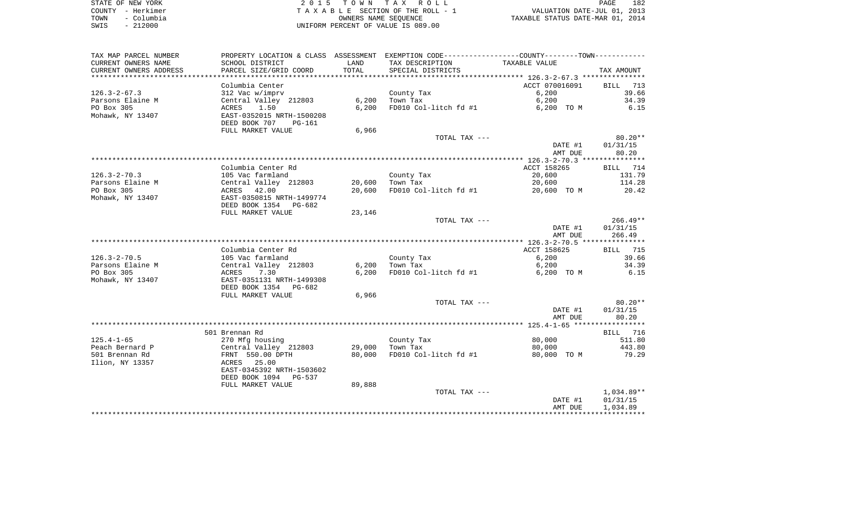| STATE OF NEW YORK  | 2015 TOWN TAX ROLL                 |                                  | PAGE | 182 |
|--------------------|------------------------------------|----------------------------------|------|-----|
| COUNTY - Herkimer  | TAXABLE SECTION OF THE ROLL - 1    | VALUATION DATE-JUL 01, 2013      |      |     |
| - Columbia<br>TOWN | OWNERS NAME SEOUENCE               | TAXABLE STATUS DATE-MAR 01, 2014 |      |     |
| - 212000<br>SWIS   | UNIFORM PERCENT OF VALUE IS 089.00 |                                  |      |     |

| TAX MAP PARCEL NUMBER<br>PROPERTY LOCATION & CLASS ASSESSMENT                        | EXEMPTION CODE-----------------COUNTY-------TOWN----------- |
|--------------------------------------------------------------------------------------|-------------------------------------------------------------|
| CURRENT OWNERS NAME<br>SCHOOL DISTRICT<br>LAND<br>TAX DESCRIPTION<br>TAXABLE VALUE   |                                                             |
| CURRENT OWNERS ADDRESS<br>PARCEL SIZE/GRID COORD<br>TOTAL<br>SPECIAL DISTRICTS       | TAX AMOUNT                                                  |
| ***********************                                                              |                                                             |
| Columbia Center<br>ACCT 070016091                                                    | 713<br>BILL                                                 |
| $126.3 - 2 - 67.3$<br>6,200<br>312 Vac w/imprv<br>County Tax                         | 39.66                                                       |
| Parsons Elaine M<br>Central Valley 212803<br>6,200<br>6,200<br>Town Tax              | 34.39                                                       |
| PO Box 305<br>1.50<br>6,200<br>FD010 Col-litch fd #1<br>6,200 TO M<br>ACRES          | 6.15                                                        |
| Mohawk, NY 13407<br>EAST-0352015 NRTH-1500208<br>DEED BOOK 707<br>PG-161             |                                                             |
| FULL MARKET VALUE<br>6,966                                                           |                                                             |
| TOTAL TAX ---                                                                        | $80.20**$                                                   |
| DATE #1                                                                              | 01/31/15                                                    |
| AMT DUE                                                                              | 80.20                                                       |
|                                                                                      |                                                             |
| Columbia Center Rd<br>ACCT 158265                                                    | BILL 714                                                    |
| $126.3 - 2 - 70.3$<br>County Tax<br>20,600<br>105 Vac farmland                       | 131.79                                                      |
| Central Valley 212803<br>Parsons Elaine M<br>20,600<br>Town Tax<br>20,600            | 114.28                                                      |
| PO Box 305<br>42.00<br>20,600<br>FD010 Col-litch fd #1<br>20,600 TO M<br>ACRES       | 20.42                                                       |
| Mohawk, NY 13407<br>EAST-0350815 NRTH-1499774                                        |                                                             |
| DEED BOOK 1354 PG-682                                                                |                                                             |
| FULL MARKET VALUE<br>23,146                                                          |                                                             |
| TOTAL TAX ---                                                                        | $266.49**$                                                  |
| DATE #1<br>AMT DUE                                                                   | 01/31/15<br>266.49                                          |
|                                                                                      |                                                             |
| Columbia Center Rd<br>ACCT 158625                                                    | BILL 715                                                    |
| $126.3 - 2 - 70.5$<br>105 Vac farmland<br>County Tax<br>6,200                        | 39.66                                                       |
| 6,200<br>Parsons Elaine M<br>Central Valley 212803<br>6,200<br>Town Tax              | 34.39                                                       |
| PO Box 305<br>6,200<br>FD010 Col-litch fd #1<br>7.30<br>6,200 TO M<br>ACRES          | 6.15                                                        |
| Mohawk, NY 13407<br>EAST-0351131 NRTH-1499308                                        |                                                             |
| DEED BOOK 1354 PG-682                                                                |                                                             |
| FULL MARKET VALUE<br>6,966                                                           |                                                             |
| TOTAL TAX ---                                                                        | $80.20**$                                                   |
| DATE #1                                                                              | 01/31/15                                                    |
| AMT DUE                                                                              | 80.20                                                       |
|                                                                                      |                                                             |
| 501 Brennan Rd                                                                       | BILL 716                                                    |
| $125.4 - 1 - 65$<br>270 Mfg housing<br>80,000<br>County Tax                          | 511.80                                                      |
| 29,000<br>Town Tax<br>Peach Bernard P<br>Central Valley 212803<br>80,000             | 443.80                                                      |
| 501 Brennan Rd<br>FRNT 550.00 DPTH<br>80,000<br>FD010 Col-litch fd #1<br>80,000 TO M | 79.29                                                       |
| Ilion, NY 13357<br>ACRES 25.00                                                       |                                                             |
| EAST-0345392 NRTH-1503602                                                            |                                                             |
| DEED BOOK 1094 PG-537<br>89,888<br>FULL MARKET VALUE                                 |                                                             |
| TOTAL TAX ---                                                                        | $1,034.89**$                                                |
|                                                                                      |                                                             |
|                                                                                      |                                                             |
| DATE #1<br>AMT DUE                                                                   | 01/31/15<br>1,034.89                                        |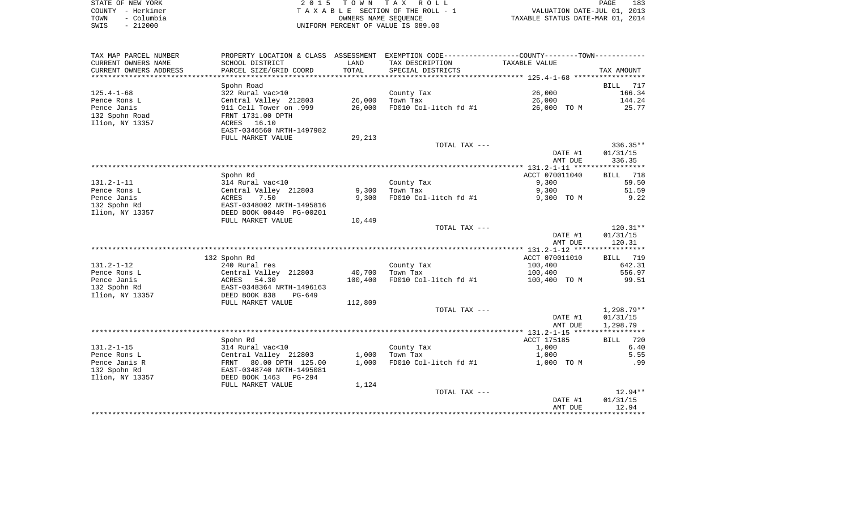|      | STATE OF NEW YORK | 2015 TOWN TAX ROLL                 | 183<br>PAGE                      |
|------|-------------------|------------------------------------|----------------------------------|
|      | COUNTY - Herkimer | TAXABLE SECTION OF THE ROLL - 1    | VALUATION DATE-JUL 01, 2013      |
| TOWN | - Columbia        | OWNERS NAME SEOUENCE               | TAXABLE STATUS DATE-MAR 01, 2014 |
| SWIS | $-212000$         | UNIFORM PERCENT OF VALUE IS 089.00 |                                  |

| TAX MAP PARCEL NUMBER  |                            |         | PROPERTY LOCATION & CLASS ASSESSMENT EXEMPTION CODE---------------COUNTY-------TOWN---------- |                |                 |
|------------------------|----------------------------|---------|-----------------------------------------------------------------------------------------------|----------------|-----------------|
| CURRENT OWNERS NAME    | SCHOOL DISTRICT            | LAND    | TAX DESCRIPTION                                                                               | TAXABLE VALUE  |                 |
| CURRENT OWNERS ADDRESS | PARCEL SIZE/GRID COORD     | TOTAL   | SPECIAL DISTRICTS                                                                             |                | TAX AMOUNT      |
| ***************        | *******************        |         |                                                                                               |                |                 |
|                        | Spohn Road                 |         |                                                                                               |                | BILL<br>717     |
| $125.4 - 1 - 68$       | 322 Rural vac>10           |         | County Tax                                                                                    | 26,000         | 166.34          |
| Pence Rons L           | Central Valley 212803      | 26,000  | Town Tax                                                                                      | 26,000         | 144.24          |
| Pence Janis            | 911 Cell Tower on .999     | 26,000  | FD010 Col-litch fd #1                                                                         | 26,000 TO M    | 25.77           |
| 132 Spohn Road         | FRNT 1731.00 DPTH          |         |                                                                                               |                |                 |
| Ilion, NY 13357        | ACRES 16.10                |         |                                                                                               |                |                 |
|                        | EAST-0346560 NRTH-1497982  |         |                                                                                               |                |                 |
|                        | FULL MARKET VALUE          | 29,213  |                                                                                               |                |                 |
|                        |                            |         | TOTAL TAX ---                                                                                 |                | $336.35**$      |
|                        |                            |         |                                                                                               | DATE #1        | 01/31/15        |
|                        |                            |         |                                                                                               | AMT DUE        | 336.35          |
|                        |                            |         |                                                                                               |                |                 |
|                        |                            |         |                                                                                               |                |                 |
|                        | Spohn Rd                   |         |                                                                                               | ACCT 070011040 | 718<br>BILL     |
| $131.2 - 1 - 11$       | 314 Rural vac<10           |         | County Tax                                                                                    | 9,300          | 59.50           |
| Pence Rons L           | Central Valley 212803      | 9,300   | Town Tax                                                                                      | 9,300          | 51.59           |
| Pence Janis            | 7.50<br>ACRES              | 9,300   | FD010 Col-litch fd #1                                                                         | 9,300 TO M     | 9.22            |
| 132 Spohn Rd           | EAST-0348002 NRTH-1495816  |         |                                                                                               |                |                 |
| Ilion, NY 13357        | DEED BOOK 00449 PG-00201   |         |                                                                                               |                |                 |
|                        | FULL MARKET VALUE          | 10,449  |                                                                                               |                |                 |
|                        |                            |         | TOTAL TAX ---                                                                                 |                | $120.31**$      |
|                        |                            |         |                                                                                               | DATE #1        | 01/31/15        |
|                        |                            |         |                                                                                               | AMT DUE        | 120.31          |
|                        |                            |         |                                                                                               |                |                 |
|                        | 132 Spohn Rd               |         |                                                                                               | ACCT 070011010 | <b>BILL</b> 719 |
| $131.2 - 1 - 12$       | 240 Rural res              |         | County Tax                                                                                    | 100,400        | 642.31          |
| Pence Rons L           | Central Valley 212803      | 40,700  | Town Tax                                                                                      | 100,400        | 556.97          |
| Pence Janis            | ACRES<br>54.30             | 100,400 | FD010 Col-litch fd #1                                                                         | 100,400 TO M   | 99.51           |
| 132 Spohn Rd           | EAST-0348364 NRTH-1496163  |         |                                                                                               |                |                 |
| Ilion, NY 13357        | DEED BOOK 838<br>$PG-649$  |         |                                                                                               |                |                 |
|                        | FULL MARKET VALUE          | 112,809 |                                                                                               |                |                 |
|                        |                            |         | TOTAL TAX ---                                                                                 |                | 1,298.79**      |
|                        |                            |         |                                                                                               | DATE #1        | 01/31/15        |
|                        |                            |         |                                                                                               | AMT DUE        | 1,298.79        |
|                        |                            |         |                                                                                               |                |                 |
|                        | Spohn Rd                   |         |                                                                                               | ACCT 175185    | 720<br>BILL     |
| $131.2 - 1 - 15$       | 314 Rural vac<10           |         | County Tax                                                                                    | 1,000          | 6.40            |
| Pence Rons L           | Central Valley 212803      | 1,000   | Town Tax                                                                                      | 1,000          | 5.55            |
| Pence Janis R          | FRNT 80.00 DPTH 125.00     | 1,000   | FD010 Col-litch fd #1                                                                         | 1,000 TO M     | .99             |
| 132 Spohn Rd           | EAST-0348740 NRTH-1495081  |         |                                                                                               |                |                 |
| Ilion, NY 13357        | DEED BOOK 1463<br>$PG-294$ |         |                                                                                               |                |                 |
|                        | FULL MARKET VALUE          | 1,124   |                                                                                               |                |                 |
|                        |                            |         | TOTAL TAX ---                                                                                 |                | $12.94**$       |
|                        |                            |         |                                                                                               | DATE #1        | 01/31/15        |
|                        |                            |         |                                                                                               | AMT DUE        | 12.94           |
|                        |                            |         |                                                                                               |                |                 |
|                        |                            |         |                                                                                               |                |                 |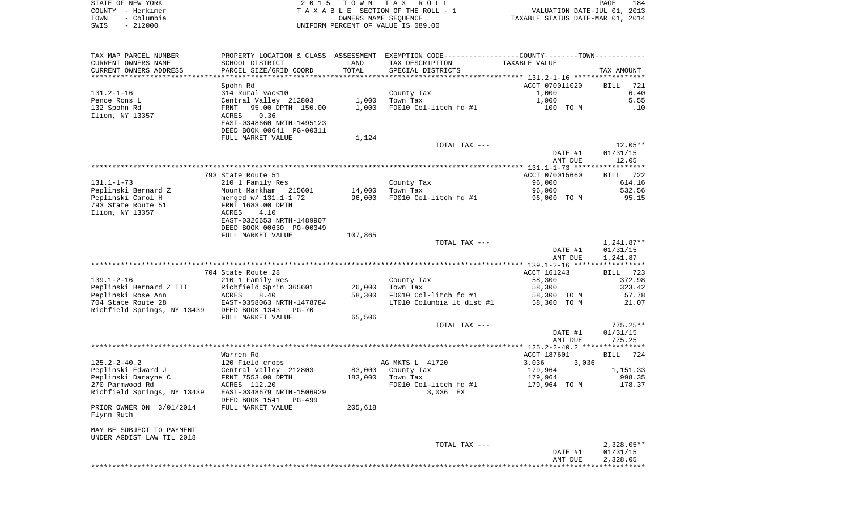| STATE OF NEW YORK  | 2015 TOWN TAX ROLL                 | 184<br><b>PAGE</b>               |
|--------------------|------------------------------------|----------------------------------|
| COUNTY - Herkimer  | TAXABLE SECTION OF THE ROLL - 1    | VALUATION DATE-JUL 01, 2013      |
| - Columbia<br>TOWN | OWNERS NAME SEOUENCE               | TAXABLE STATUS DATE-MAR 01, 2014 |
| $-212000$<br>SWIS  | UNIFORM PERCENT OF VALUE IS 089.00 |                                  |

| TAX MAP PARCEL NUMBER                      |                           |         | PROPERTY LOCATION & CLASS ASSESSMENT EXEMPTION CODE----------------COUNTY-------TOWN---------- |                |                     |
|--------------------------------------------|---------------------------|---------|------------------------------------------------------------------------------------------------|----------------|---------------------|
| CURRENT OWNERS NAME                        | SCHOOL DISTRICT           | LAND    | TAX DESCRIPTION                                                                                | TAXABLE VALUE  |                     |
| CURRENT OWNERS ADDRESS                     | PARCEL SIZE/GRID COORD    | TOTAL   | SPECIAL DISTRICTS                                                                              |                | TAX AMOUNT          |
|                                            |                           |         |                                                                                                |                |                     |
|                                            | Spohn Rd                  |         |                                                                                                | ACCT 070011020 | BILL<br>721         |
| $131.2 - 1 - 16$                           | 314 Rural vac<10          |         | County Tax                                                                                     | 1,000          | 6.40                |
| Pence Rons L                               | Central Valley 212803     | 1,000   | Town Tax                                                                                       | 1,000          | 5.55                |
| 132 Spohn Rd                               | 95.00 DPTH 150.00<br>FRNT | 1,000   | FD010 Col-litch fd #1                                                                          | 100 TO M       | .10                 |
| Ilion, NY 13357                            | ACRES<br>0.36             |         |                                                                                                |                |                     |
|                                            | EAST-0348660 NRTH-1495123 |         |                                                                                                |                |                     |
|                                            | DEED BOOK 00641 PG-00311  |         |                                                                                                |                |                     |
|                                            | FULL MARKET VALUE         | 1,124   |                                                                                                |                |                     |
|                                            |                           |         | TOTAL TAX ---                                                                                  | DATE #1        | 12.05**<br>01/31/15 |
|                                            |                           |         |                                                                                                |                |                     |
|                                            |                           |         |                                                                                                | AMT DUE        | 12.05               |
|                                            | 793 State Route 51        |         |                                                                                                | ACCT 070015660 | BILL 722            |
| $131.1 - 1 - 73$                           | 210 1 Family Res          |         | County Tax                                                                                     | 96,000         | 614.16              |
| Peplinski Bernard Z                        | Mount Markham 215601      | 14,000  | Town Tax                                                                                       | 96,000         | 532.56              |
| Peplinski Carol H                          | merged w/ 131.1-1-72      | 96,000  | FD010 Col-litch fd #1                                                                          | 96,000 TO M    | 95.15               |
| 793 State Route 51                         | FRNT 1683.00 DPTH         |         |                                                                                                |                |                     |
| Ilion, NY 13357                            | 4.10<br>ACRES             |         |                                                                                                |                |                     |
|                                            | EAST-0326653 NRTH-1489907 |         |                                                                                                |                |                     |
|                                            | DEED BOOK 00630 PG-00349  |         |                                                                                                |                |                     |
|                                            | FULL MARKET VALUE         | 107,865 |                                                                                                |                |                     |
|                                            |                           |         | TOTAL TAX ---                                                                                  |                | 1,241.87**          |
|                                            |                           |         |                                                                                                | DATE #1        | 01/31/15            |
|                                            |                           |         |                                                                                                | AMT DUE        | 1,241.87            |
|                                            |                           |         |                                                                                                |                | ***********         |
|                                            | 704 State Route 28        |         |                                                                                                | ACCT 161243    | BILL 723            |
| $139.1 - 2 - 16$                           | 210 1 Family Res          |         | County Tax                                                                                     | 58,300         | 372.98              |
| Peplinski Bernard Z III                    | Richfield Sprin 365601    | 26,000  | Town Tax                                                                                       | 58,300         | 323.42              |
| Peplinski Rose Ann                         | ACRES<br>8.40             | 58,300  | FD010 Col-litch fd #1                                                                          | 58,300 TO M    | 57.78               |
| 704 State Route 28                         | EAST-0358063 NRTH-1478784 |         | LT010 Columbia 1t dist #1                                                                      | 58,300 TO M    | 21.07               |
| Richfield Springs, NY 13439 DEED BOOK 1343 | PG-70                     |         |                                                                                                |                |                     |
|                                            | FULL MARKET VALUE         | 65,506  |                                                                                                |                |                     |
|                                            |                           |         | TOTAL TAX ---                                                                                  |                | $775.25**$          |
|                                            |                           |         |                                                                                                | DATE #1        | 01/31/15<br>775.25  |
|                                            |                           |         |                                                                                                | AMT DUE        |                     |
|                                            | Warren Rd                 |         |                                                                                                | ACCT 187601    | <b>BILL</b><br>724  |
| $125.2 - 2 - 40.2$                         | 120 Field crops           |         | AG MKTS L 41720                                                                                | 3,036<br>3,036 |                     |
| Peplinski Edward J                         | Central Valley 212803     | 83,000  | County Tax                                                                                     | 179,964        | 1,151.33            |
| Peplinski Darayne C                        | FRNT 7553.00 DPTH         | 183,000 | Town Tax                                                                                       | 179,964        | 998.35              |
| 270 Parmwood Rd                            | ACRES 112.20              |         | FD010 Col-litch fd #1                                                                          | 179,964 TO M   | 178.37              |
| Richfield Springs, NY 13439                | EAST-0348679 NRTH-1506929 |         | 3,036 EX                                                                                       |                |                     |
|                                            | DEED BOOK 1541<br>PG-499  |         |                                                                                                |                |                     |
| PRIOR OWNER ON 3/01/2014                   | FULL MARKET VALUE         | 205,618 |                                                                                                |                |                     |
| Flynn Ruth                                 |                           |         |                                                                                                |                |                     |
|                                            |                           |         |                                                                                                |                |                     |
| MAY BE SUBJECT TO PAYMENT                  |                           |         |                                                                                                |                |                     |
| UNDER AGDIST LAW TIL 2018                  |                           |         |                                                                                                |                |                     |
|                                            |                           |         | TOTAL TAX ---                                                                                  |                | $2,328.05**$        |
|                                            |                           |         |                                                                                                | DATE #1        | 01/31/15            |
|                                            |                           |         |                                                                                                | AMT DUE        | 2,328.05            |
|                                            |                           |         |                                                                                                |                |                     |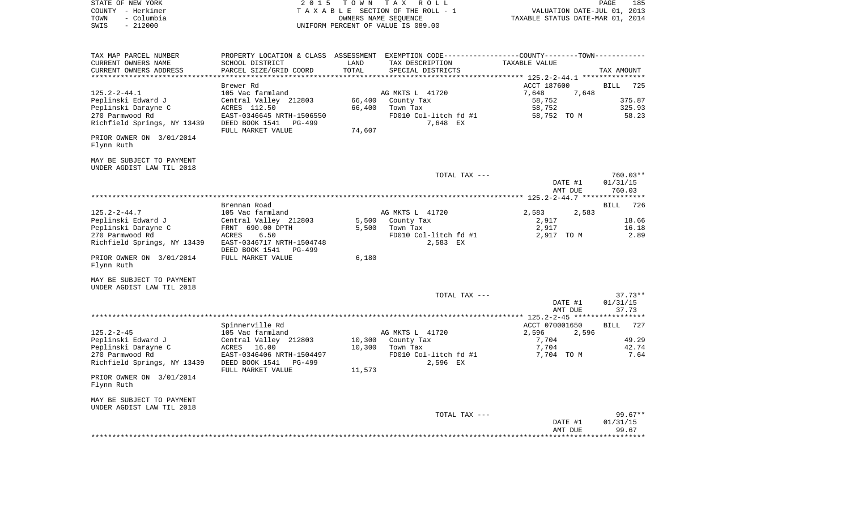| STATE OF NEW YORK                                      | 2 0 1 5                                               | T O W N       | TAX ROLL                                                     |                                                | PAGE<br>185 |
|--------------------------------------------------------|-------------------------------------------------------|---------------|--------------------------------------------------------------|------------------------------------------------|-------------|
| COUNTY - Herkimer                                      |                                                       |               | TAXABLE SECTION OF THE ROLL - 1                              | VALUATION DATE-JUL 01, 2013                    |             |
| - Columbia<br>TOWN                                     |                                                       |               | OWNERS NAME SEQUENCE                                         | TAXABLE STATUS DATE-MAR 01, 2014               |             |
| $-212000$<br>SWIS                                      |                                                       |               | UNIFORM PERCENT OF VALUE IS 089.00                           |                                                |             |
|                                                        |                                                       |               |                                                              |                                                |             |
| TAX MAP PARCEL NUMBER                                  | PROPERTY LOCATION & CLASS ASSESSMENT                  |               | EXEMPTION CODE-----------------COUNTY--------TOWN----------- |                                                |             |
| CURRENT OWNERS NAME                                    | SCHOOL DISTRICT                                       | LAND<br>TOTAL | TAX DESCRIPTION                                              | TAXABLE VALUE                                  |             |
| CURRENT OWNERS ADDRESS                                 | PARCEL SIZE/GRID COORD                                |               | SPECIAL DISTRICTS                                            | **************** 125.2-2-44.1 **************** | TAX AMOUNT  |
|                                                        | Brewer Rd                                             |               |                                                              | ACCT 187600                                    | BILL<br>725 |
| $125.2 - 2 - 44.1$                                     | 105 Vac farmland                                      |               | AG MKTS L 41720                                              | 7,648<br>7,648                                 |             |
| Peplinski Edward J                                     | Central Valley 212803                                 | 66,400        | County Tax                                                   | 58,752                                         | 375.87      |
| Peplinski Darayne C                                    | ACRES 112.50                                          | 66,400        | Town Tax                                                     | 58,752                                         | 325.93      |
| 270 Parmwood Rd                                        | EAST-0346645 NRTH-1506550                             |               | FD010 Col-litch fd #1                                        | 58,752 TO M                                    | 58.23       |
| Richfield Springs, NY 13439                            | DEED BOOK 1541<br>PG-499<br>FULL MARKET VALUE         | 74,607        | 7,648 EX                                                     |                                                |             |
| PRIOR OWNER ON 3/01/2014<br>Flynn Ruth                 |                                                       |               |                                                              |                                                |             |
| MAY BE SUBJECT TO PAYMENT<br>UNDER AGDIST LAW TIL 2018 |                                                       |               |                                                              |                                                |             |
|                                                        |                                                       |               | TOTAL TAX ---                                                |                                                | 760.03**    |
|                                                        |                                                       |               |                                                              | DATE #1                                        | 01/31/15    |
|                                                        |                                                       |               |                                                              | AMT DUE                                        | 760.03      |
|                                                        |                                                       |               |                                                              |                                                |             |
|                                                        | Brennan Road                                          |               |                                                              |                                                | 726<br>BILL |
| $125.2 - 2 - 44.7$                                     | 105 Vac farmland                                      |               | AG MKTS L 41720                                              | 2,583<br>2,583                                 |             |
| Peplinski Edward J                                     | Central Valley 212803                                 | 5,500         | County Tax                                                   | 2,917                                          | 18.66       |
| Peplinski Darayne C                                    | FRNT 690.00 DPTH                                      | 5,500         | Town Tax                                                     | 2,917                                          | 16.18       |
| 270 Parmwood Rd                                        | 6.50<br>ACRES                                         |               | FD010 Col-litch fd #1                                        | 2,917 TO M                                     | 2.89        |
| Richfield Springs, NY 13439                            | EAST-0346717 NRTH-1504748<br>DEED BOOK 1541<br>PG-499 |               | 2,583 EX                                                     |                                                |             |
| PRIOR OWNER ON 3/01/2014<br>Flynn Ruth                 | FULL MARKET VALUE                                     | 6,180         |                                                              |                                                |             |
| MAY BE SUBJECT TO PAYMENT<br>UNDER AGDIST LAW TIL 2018 |                                                       |               |                                                              |                                                |             |
|                                                        |                                                       |               | TOTAL TAX ---                                                |                                                | $37.73**$   |
|                                                        |                                                       |               |                                                              | DATE #1                                        | 01/31/15    |
|                                                        |                                                       |               |                                                              | AMT DUE                                        | 37.73       |
|                                                        | Spinnerville Rd                                       |               |                                                              | ACCT 070001650                                 | 727<br>BILL |
| $125.2 - 2 - 45$                                       | 105 Vac farmland                                      |               | AG MKTS L 41720                                              | 2,596<br>2,596                                 |             |
| Peplinski Edward J                                     | Central Valley 212803                                 | 10,300        | County Tax                                                   | 7,704                                          | 49.29       |
| Peplinski Darayne C                                    | ACRES 16.00                                           | 10,300        | Town Tax                                                     | 7,704                                          | 42.74       |
| 270 Parmwood Rd                                        | EAST-0346406 NRTH-1504497                             |               | FD010 Col-litch fd #1                                        | 7,704 TO M                                     | 7.64        |
| Richfield Springs, NY 13439                            | DEED BOOK 1541<br>PG-499<br>FULL MARKET VALUE         | 11,573        | 2,596 EX                                                     |                                                |             |
| PRIOR OWNER ON 3/01/2014<br>Flynn Ruth                 |                                                       |               |                                                              |                                                |             |
| MAY BE SUBJECT TO PAYMENT<br>UNDER AGDIST LAW TIL 2018 |                                                       |               |                                                              |                                                |             |
|                                                        |                                                       |               | TOTAL TAX ---                                                |                                                | 99.67**     |
|                                                        |                                                       |               |                                                              | DATE #1                                        | 01/31/15    |
|                                                        |                                                       |               |                                                              |                                                |             |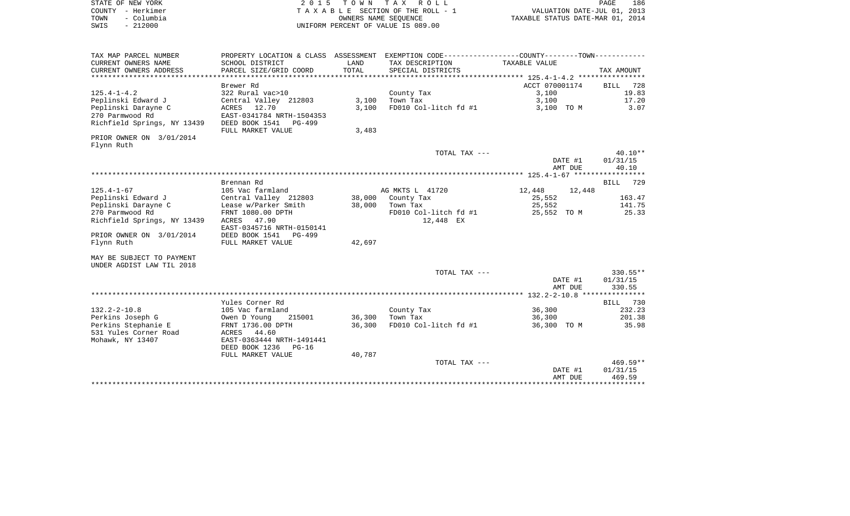| STATE OF NEW YORK  | 2015 TOWN TAX ROLL                 | 186<br>PAGE                      |
|--------------------|------------------------------------|----------------------------------|
| COUNTY - Herkimer  | TAXABLE SECTION OF THE ROLL - 1    | VALUATION DATE-JUL 01, 2013      |
| TOWN<br>- Columbia | OWNERS NAME SEOUENCE               | TAXABLE STATUS DATE-MAR 01, 2014 |
| - 212000<br>SWIS   | UNIFORM PERCENT OF VALUE IS 089.00 |                                  |

| TAX MAP PARCEL NUMBER       | PROPERTY LOCATION & CLASS ASSESSMENT EXEMPTION CODE----------------COUNTY--------TOWN----------- |               |                       |                |                 |
|-----------------------------|--------------------------------------------------------------------------------------------------|---------------|-----------------------|----------------|-----------------|
| CURRENT OWNERS NAME         | SCHOOL DISTRICT                                                                                  | LAND          | TAX DESCRIPTION       | TAXABLE VALUE  |                 |
| CURRENT OWNERS ADDRESS      | PARCEL SIZE/GRID COORD                                                                           | TOTAL         | SPECIAL DISTRICTS     |                | TAX AMOUNT      |
|                             |                                                                                                  |               |                       |                |                 |
|                             | Brewer Rd                                                                                        |               |                       | ACCT 070001174 | <b>BILL</b> 728 |
| $125.4 - 1 - 4.2$           | 322 Rural vac>10                                                                                 |               | County Tax            | 3.100          | 19.83           |
| Peplinski Edward J          | Central Valley 212803                                                                            | 3,100         | Town Tax              | 3,100          | 17.20           |
| Peplinski Darayne C         | ACRES 12.70                                                                                      | 3.100         | FD010 Col-litch fd #1 | 3,100 TO M     | 3.07            |
| 270 Parmwood Rd             | EAST-0341784 NRTH-1504353                                                                        |               |                       |                |                 |
| Richfield Springs, NY 13439 | DEED BOOK 1541 PG-499                                                                            |               |                       |                |                 |
|                             | FULL MARKET VALUE                                                                                | 3,483         |                       |                |                 |
| PRIOR OWNER ON 3/01/2014    |                                                                                                  |               |                       |                |                 |
| Flynn Ruth                  |                                                                                                  |               |                       |                |                 |
|                             |                                                                                                  |               | TOTAL TAX ---         |                | $40.10**$       |
|                             |                                                                                                  |               |                       | DATE #1        | 01/31/15        |
|                             |                                                                                                  |               |                       | AMT DUE        | 40.10           |
|                             |                                                                                                  |               |                       |                |                 |
|                             | Brennan Rd                                                                                       |               |                       |                | BILL 729        |
| $125.4 - 1 - 67$            | 105 Vac farmland                                                                                 |               | AG MKTS L 41720       | 12,448 12,448  |                 |
| Peplinski Edward J          | Central Valley 212803 38,000 County Tax                                                          |               |                       | 25,552         | 163.47          |
| Peplinski Darayne C         | Lease w/Parker Smith 38,000 Town Tax                                                             |               |                       | 25,552         | 141.75          |
| 270 Parmwood Rd             | FRNT 1080.00 DPTH                                                                                |               | FD010 Col-litch fd #1 | 25,552 TO M    | 25.33           |
| Richfield Springs, NY 13439 | ACRES 47.90                                                                                      |               | 12,448 EX             |                |                 |
|                             | EAST-0345716 NRTH-0150141                                                                        |               |                       |                |                 |
| PRIOR OWNER ON 3/01/2014    | DEED BOOK 1541 PG-499                                                                            |               |                       |                |                 |
| Flynn Ruth                  | FULL MARKET VALUE                                                                                | 42,697        |                       |                |                 |
| MAY BE SUBJECT TO PAYMENT   |                                                                                                  |               |                       |                |                 |
| UNDER AGDIST LAW TIL 2018   |                                                                                                  |               |                       |                |                 |
|                             |                                                                                                  |               | TOTAL TAX ---         |                | $330.55**$      |
|                             |                                                                                                  |               |                       | DATE #1        | 01/31/15        |
|                             |                                                                                                  |               |                       | AMT DUE        | 330.55          |
|                             |                                                                                                  |               |                       |                |                 |
|                             | Yules Corner Rd                                                                                  |               |                       |                | BILL 730        |
| $132.2 - 2 - 10.8$          | 105 Vac farmland                                                                                 |               | County Tax            | 36,300         | 232.23          |
| Perkins Joseph G            | Owen D Young                                                                                     | 215001 36,300 | Town Tax              | 36,300         | 201.38          |
| Perkins Stephanie E         | FRNT 1736.00 DPTH                                                                                | 36,300        | FD010 Col-litch fd #1 | 36,300 TO M    | 35.98           |
| 531 Yules Corner Road       | ACRES 44.60                                                                                      |               |                       |                |                 |
| Mohawk, NY 13407            | EAST-0363444 NRTH-1491441                                                                        |               |                       |                |                 |
|                             | DEED BOOK 1236 PG-16                                                                             |               |                       |                |                 |
|                             | FULL MARKET VALUE                                                                                | 40,787        |                       |                |                 |
|                             |                                                                                                  |               | TOTAL TAX ---         |                | 469.59**        |
|                             |                                                                                                  |               |                       | DATE #1        | 01/31/15        |
|                             |                                                                                                  |               |                       | AMT DUE        | 469.59          |
|                             |                                                                                                  |               |                       |                |                 |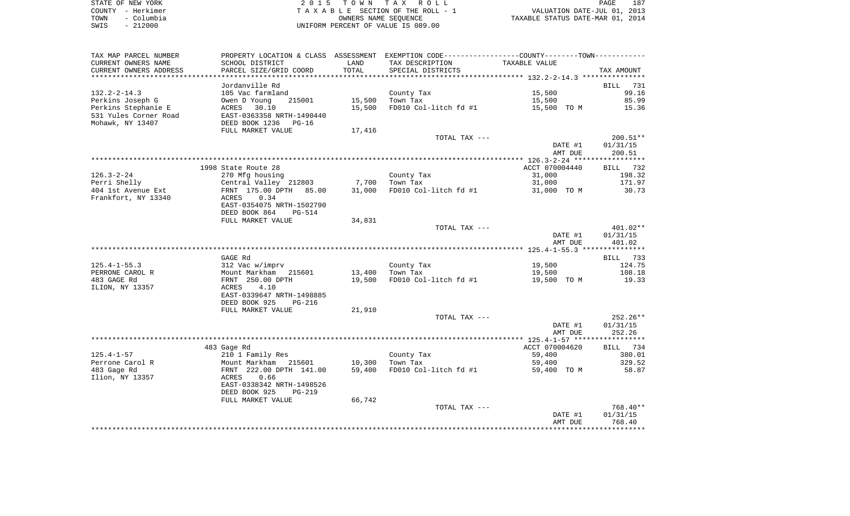|      | STATE OF NEW YORK | 2015 TOWN TAX ROLL                 | 187<br>PAGE                      |
|------|-------------------|------------------------------------|----------------------------------|
|      | COUNTY - Herkimer | TAXABLE SECTION OF THE ROLL - 1    | VALUATION DATE-JUL 01, 2013      |
| TOWN | – Columbia        | OWNERS NAME SEOUENCE               | TAXABLE STATUS DATE-MAR 01, 2014 |
| SWIS | $-212000$         | UNIFORM PERCENT OF VALUE IS 089.00 |                                  |

| TAX MAP PARCEL NUMBER              | PROPERTY LOCATION & CLASS ASSESSMENT EXEMPTION CODE---------------COUNTY-------TOWN---------- |        |                                   |                    |                    |
|------------------------------------|-----------------------------------------------------------------------------------------------|--------|-----------------------------------|--------------------|--------------------|
| CURRENT OWNERS NAME                | SCHOOL DISTRICT                                                                               | LAND   | TAX DESCRIPTION                   | TAXABLE VALUE      |                    |
| CURRENT OWNERS ADDRESS             | PARCEL SIZE/GRID COORD                                                                        | TOTAL  | SPECIAL DISTRICTS                 |                    | TAX AMOUNT         |
| *********************              | ***********************                                                                       |        |                                   |                    |                    |
|                                    | Jordanville Rd                                                                                |        |                                   |                    | BILL 731           |
| $132.2 - 2 - 14.3$                 | 105 Vac farmland                                                                              |        | County Tax                        | 15,500             | 99.16              |
| Perkins Joseph G                   | nos vac rarmi<br>Owen D Young<br>215001                                                       | 15,500 | Town Tax                          | 15,500             | 85.99              |
| Perkins Stephanie E                |                                                                                               | 15,500 | FD010 Col-litch fd #1 15,500 TO M |                    | 15.36              |
| 531 Yules Corner Road              | ACRES 30.10<br>EAST-0363358 NRTH-1490440                                                      |        |                                   |                    |                    |
| Mohawk, NY 13407                   | DEED BOOK 1236 PG-16                                                                          |        |                                   |                    |                    |
|                                    | FULL MARKET VALUE                                                                             | 17,416 |                                   |                    |                    |
|                                    |                                                                                               |        | TOTAL TAX ---                     |                    | $200.51**$         |
|                                    |                                                                                               |        |                                   | DATE #1            | 01/31/15           |
|                                    |                                                                                               |        |                                   | AMT DUE            | 200.51             |
|                                    |                                                                                               |        |                                   |                    |                    |
|                                    | 1998 State Route 28                                                                           |        |                                   | ACCT 070004440     | BILL 732<br>198.32 |
| 126.3-2-24                         | 270 Mfg housing                                                                               |        | County Tax                        | 31,000             | 171.97             |
| Perri Shelly<br>404 1st Avenue Ext |                                                                                               |        | FD010 Col-litch fd #1 31,000 TO M | 31,000             | 30.73              |
| Frankfort, NY 13340                | Central Valley 212803 7,700 Town Tax<br>FRNT 175.00 DPTH 85.00 31,000 FD010 Col<br>ACRES 0.34 |        |                                   |                    |                    |
|                                    | EAST-0354075 NRTH-1502790                                                                     |        |                                   |                    |                    |
|                                    | DEED BOOK 864<br>PG-514                                                                       |        |                                   |                    |                    |
|                                    | FULL MARKET VALUE                                                                             | 34,831 |                                   |                    |                    |
|                                    |                                                                                               |        | TOTAL TAX ---                     |                    | 401.02**           |
|                                    |                                                                                               |        |                                   | DATE #1            | 01/31/15           |
|                                    |                                                                                               |        |                                   | AMT DUE            | 401.02             |
|                                    |                                                                                               |        |                                   |                    |                    |
|                                    | GAGE Rd                                                                                       |        |                                   |                    | BILL 733           |
| 125.4-1-55.3                       |                                                                                               |        | County Tax                        | 19,500             | 124.75             |
| PERRONE CAROL R                    | 312 Vac w/imprv<br>Mount Markham 215601<br>FRNT 250.00 DPTH                                   | 13,400 | Town Tax                          | 19,500             | 108.18             |
| 483 GAGE Rd                        |                                                                                               | 19,500 | FD010 Col-litch fd #1             | 19,500 TO M        | 19.33              |
| ILION, NY 13357                    | ACRES<br>4.10                                                                                 |        |                                   |                    |                    |
|                                    | EAST-0339647 NRTH-1498885                                                                     |        |                                   |                    |                    |
|                                    | DEED BOOK 925<br>PG-216                                                                       |        |                                   |                    |                    |
|                                    | FULL MARKET VALUE                                                                             | 21,910 |                                   |                    |                    |
|                                    |                                                                                               |        | TOTAL TAX ---                     |                    | $252.26**$         |
|                                    |                                                                                               |        |                                   | DATE #1<br>AMT DUE | 01/31/15<br>252.26 |
|                                    |                                                                                               |        |                                   |                    |                    |
|                                    | 483 Gage Rd                                                                                   |        |                                   | ACCT 070004620     | BILL 734           |
| 125.4-1-57                         | 210 1 Family Res                                                                              |        |                                   | 59,400             | 380.01             |
| Perrone Carol R                    | Mount Markham 215601 10,300                                                                   |        | County Tax<br>Town Tax            | 59,400             | 329.52             |
| 483 Gage Rd                        | FRNT 222.00 DPTH 141.00                                                                       |        | 59,400 FD010 Col-litch fd #1      | 59,400 TO M        | 58.87              |
| Ilion, NY 13357                    | ACRES<br>0.66                                                                                 |        |                                   |                    |                    |
|                                    | EAST-0338342 NRTH-1498526                                                                     |        |                                   |                    |                    |
|                                    | DEED BOOK 925<br>PG-219                                                                       |        |                                   |                    |                    |
|                                    | FULL MARKET VALUE                                                                             | 66,742 |                                   |                    |                    |
|                                    |                                                                                               |        | TOTAL TAX ---                     |                    | 768.40**           |
|                                    |                                                                                               |        |                                   | DATE #1            | 01/31/15           |
|                                    |                                                                                               |        |                                   | AMT DUE            | 768.40             |
|                                    |                                                                                               |        |                                   |                    |                    |
|                                    |                                                                                               |        |                                   |                    |                    |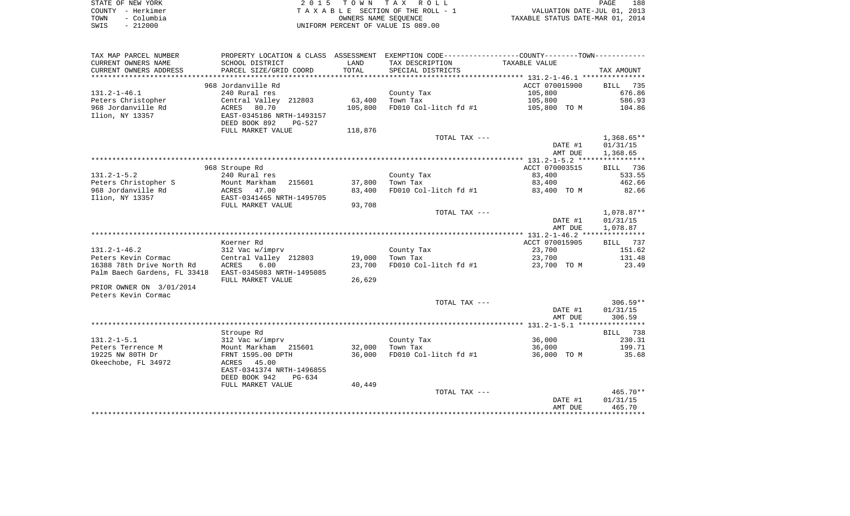| STATE OF NEW YORK  | 2015 TOWN TAX ROLL                 | PAGE                             | 188 |
|--------------------|------------------------------------|----------------------------------|-----|
| COUNTY – Herkimer  | TAXABLE SECTION OF THE ROLL - 1    | VALUATION DATE-JUL 01, 2013      |     |
| – Columbia<br>TOWN | OWNERS NAME SEOUENCE               | TAXABLE STATUS DATE-MAR 01, 2014 |     |
| $-212000$<br>SWIS  | UNIFORM PERCENT OF VALUE IS 089.00 |                                  |     |

| TAX MAP PARCEL NUMBER        | PROPERTY LOCATION & CLASS ASSESSMENT |                 | EXEMPTION CODE-----------------COUNTY-------TOWN----------- |                |                    |
|------------------------------|--------------------------------------|-----------------|-------------------------------------------------------------|----------------|--------------------|
| CURRENT OWNERS NAME          | SCHOOL DISTRICT                      | LAND            | TAX DESCRIPTION                                             | TAXABLE VALUE  |                    |
| CURRENT OWNERS ADDRESS       | PARCEL SIZE/GRID COORD               | TOTAL           | SPECIAL DISTRICTS                                           |                | TAX AMOUNT         |
| ******************           | ************************             | *************** |                                                             |                |                    |
|                              | 968 Jordanville Rd                   |                 |                                                             | ACCT 070015900 | <b>BILL</b><br>735 |
| $131.2 - 1 - 46.1$           | 240 Rural res                        |                 | County Tax                                                  | 105,800        | 676.86             |
| Peters Christopher           | Central Valley 212803                | 63,400          | Town Tax                                                    | 105,800        | 586.93             |
| 968 Jordanville Rd           | ACRES<br>80.70                       | 105,800         | FD010 Col-litch fd #1                                       | 105,800 TO M   | 104.86             |
| Ilion, NY 13357              | EAST-0345186 NRTH-1493157            |                 |                                                             |                |                    |
|                              | DEED BOOK 892<br>$PG-527$            |                 |                                                             |                |                    |
|                              | FULL MARKET VALUE                    | 118,876         |                                                             |                |                    |
|                              |                                      |                 | TOTAL TAX ---                                               |                | $1,368.65**$       |
|                              |                                      |                 |                                                             | DATE #1        | 01/31/15           |
|                              |                                      |                 |                                                             | AMT DUE        | 1,368.65           |
|                              |                                      |                 |                                                             |                |                    |
|                              | 968 Stroupe Rd                       |                 |                                                             | ACCT 070003515 | BILL 736           |
| $131.2 - 1 - 5.2$            | 240 Rural res                        |                 | County Tax                                                  | 83,400         | 533.55             |
| Peters Christopher S         | 215601<br>Mount Markham              | 37,800          | Town Tax                                                    | 83,400         | 462.66             |
| 968 Jordanville Rd           | ACRES 47.00                          | 83,400          | FD010 Col-litch fd #1                                       | 83,400 TO M    | 82.66              |
| Ilion, NY 13357              | EAST-0341465 NRTH-1495705            |                 |                                                             |                |                    |
|                              | FULL MARKET VALUE                    | 93,708          |                                                             |                |                    |
|                              |                                      |                 | TOTAL TAX ---                                               |                | $1,078.87**$       |
|                              |                                      |                 |                                                             | DATE #1        | 01/31/15           |
|                              |                                      |                 |                                                             | AMT DUE        | 1,078.87           |
|                              |                                      |                 |                                                             |                |                    |
|                              | Koerner Rd                           |                 |                                                             | ACCT 070015905 | BILL 737           |
| $131.2 - 1 - 46.2$           | 312 Vac w/imprv                      |                 | County Tax                                                  | 23,700         | 151.62             |
| Peters Kevin Cormac          | Central Valley 212803                | 19,000          | Town Tax                                                    | 23,700         | 131.48             |
| 16388 78th Drive North Rd    | <b>ACRES</b><br>6.00                 | 23,700          | FD010 Col-litch fd #1                                       | 23,700 TO M    | 23.49              |
| Palm Baech Gardens, FL 33418 | EAST-0345083 NRTH-1495085            |                 |                                                             |                |                    |
|                              | FULL MARKET VALUE                    | 26,629          |                                                             |                |                    |
| PRIOR OWNER ON 3/01/2014     |                                      |                 |                                                             |                |                    |
| Peters Kevin Cormac          |                                      |                 |                                                             |                |                    |
|                              |                                      |                 | TOTAL TAX ---                                               |                | $306.59**$         |
|                              |                                      |                 |                                                             | DATE #1        | 01/31/15           |
|                              |                                      |                 |                                                             | AMT DUE        | 306.59             |
|                              |                                      |                 |                                                             |                |                    |
|                              | Stroupe Rd                           |                 |                                                             |                | 738<br><b>BILL</b> |
| $131.2 - 1 - 5.1$            | 312 Vac w/imprv                      |                 | County Tax                                                  | 36,000         | 230.31             |
| Peters Terrence M            | Mount Markham 215601                 | 32,000          | Town Tax                                                    | 36,000         | 199.71             |
| 19225 NW 80TH Dr             | FRNT 1595.00 DPTH                    | 36,000          | FD010 Col-litch fd #1                                       | 36,000 TO M    | 35.68              |
| Okeechobe, FL 34972          | ACRES 45.00                          |                 |                                                             |                |                    |
|                              | EAST-0341374 NRTH-1496855            |                 |                                                             |                |                    |
|                              | DEED BOOK 942<br>PG-634              |                 |                                                             |                |                    |
|                              | FULL MARKET VALUE                    | 40,449          |                                                             |                |                    |
|                              |                                      |                 | TOTAL TAX ---                                               |                | 465.70**           |
|                              |                                      |                 |                                                             | DATE #1        | 01/31/15           |
|                              |                                      |                 |                                                             | AMT DUE        | 465.70             |
|                              |                                      |                 |                                                             |                |                    |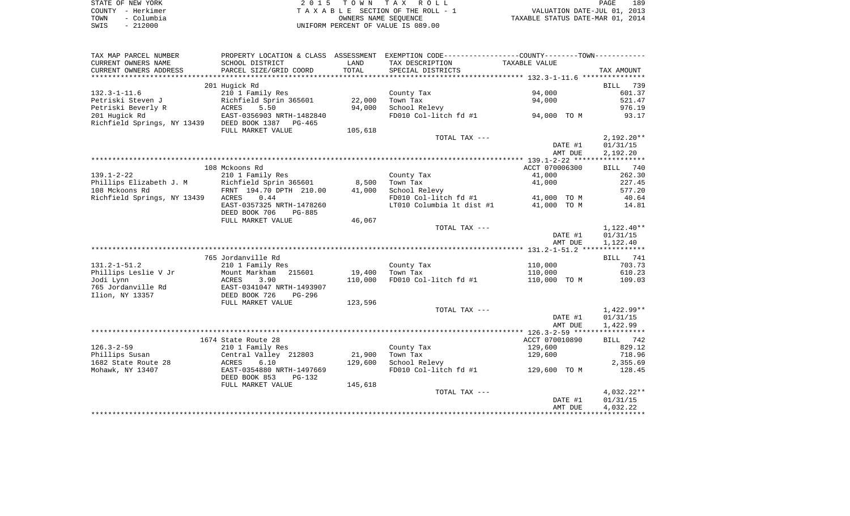|      | STATE OF NEW YORK | 2015 TOWN TAX ROLL                 | 189<br>PAGE                      |
|------|-------------------|------------------------------------|----------------------------------|
|      | COUNTY - Herkimer | TAXABLE SECTION OF THE ROLL - 1    | VALUATION DATE-JUL 01, 2013      |
| TOWN | - Columbia        | OWNERS NAME SEOUENCE               | TAXABLE STATUS DATE-MAR 01, 2014 |
| SWIS | - 212000          | UNIFORM PERCENT OF VALUE IS 089.00 |                                  |

| TAX MAP PARCEL NUMBER                        |                                                         |         | PROPERTY LOCATION & CLASS ASSESSMENT EXEMPTION CODE----------------COUNTY--------TOWN----------- |                      |              |
|----------------------------------------------|---------------------------------------------------------|---------|--------------------------------------------------------------------------------------------------|----------------------|--------------|
| CURRENT OWNERS NAME                          | SCHOOL DISTRICT                                         | LAND    | TAX DESCRIPTION                                                                                  | <b>TAXABLE VALUE</b> |              |
| CURRENT OWNERS ADDRESS                       | PARCEL SIZE/GRID COORD                                  | TOTAL   | SPECIAL DISTRICTS                                                                                |                      | TAX AMOUNT   |
|                                              |                                                         |         |                                                                                                  |                      |              |
|                                              | 201 Hugick Rd                                           |         |                                                                                                  |                      | 739<br>BILL  |
| $132.3 - 1 - 11.6$                           | 210 1 Family Res                                        |         | County Tax                                                                                       | 94,000               | 601.37       |
| Petriski Steven J                            | Richfield Sprin 365601                                  | 22,000  | Town Tax                                                                                         | 94,000               | 521.47       |
| Petriski Beverly R                           | 5.50<br>ACRES                                           | 94,000  | School Relevy                                                                                    |                      | 976.19       |
| 201 Hugick Rd<br>Richfield Springs, NY 13439 | EAST-0356903 NRTH-1482840<br>DEED BOOK 1387<br>$PG-465$ |         | FD010 Col-litch fd #1                                                                            | 94,000 TO M          | 93.17        |
|                                              | FULL MARKET VALUE                                       | 105,618 |                                                                                                  |                      |              |
|                                              |                                                         |         | TOTAL TAX ---                                                                                    |                      | $2,192.20**$ |
|                                              |                                                         |         |                                                                                                  | DATE #1              | 01/31/15     |
|                                              |                                                         |         |                                                                                                  | AMT DUE              | 2,192.20     |
|                                              |                                                         |         |                                                                                                  |                      |              |
|                                              | 108 Mckoons Rd                                          |         |                                                                                                  | ACCT 070006300       | BILL 740     |
| $139.1 - 2 - 22$                             | 210 1 Family Res                                        |         | County Tax                                                                                       | 41,000               | 262.30       |
| Phillips Elizabeth J. M                      | Richfield Sprin 365601                                  | 8,500   | Town Tax                                                                                         | 41,000               | 227.45       |
| 108 Mckoons Rd                               | FRNT 194.70 DPTH 210.00                                 | 41,000  | School Relevy                                                                                    |                      | 577.20       |
| Richfield Springs, NY 13439                  | ACRES<br>0.44                                           |         | FD010 Col-litch fd #1                                                                            | 41,000 TO M          | 40.64        |
|                                              | EAST-0357325 NRTH-1478260<br>DEED BOOK 706<br>PG-885    |         | LT010 Columbia 1t dist #1                                                                        | 41,000 TO M          | 14.81        |
|                                              | FULL MARKET VALUE                                       | 46,067  |                                                                                                  |                      |              |
|                                              |                                                         |         | TOTAL TAX ---                                                                                    |                      | $1,122.40**$ |
|                                              |                                                         |         |                                                                                                  | DATE #1              | 01/31/15     |
|                                              |                                                         |         |                                                                                                  | AMT DUE              | 1,122.40     |
|                                              |                                                         |         |                                                                                                  |                      |              |
|                                              | 765 Jordanville Rd                                      |         |                                                                                                  |                      | BILL 741     |
| $131.2 - 1 - 51.2$                           | 210 1 Family Res                                        |         | County Tax                                                                                       | 110,000              | 703.73       |
| Phillips Leslie V Jr                         | Mount Markham<br>215601                                 | 19,400  | Town Tax                                                                                         | 110,000              | 610.23       |
| Jodi Lynn                                    | 3.90<br>ACRES                                           | 110,000 | FD010 Col-litch fd #1                                                                            | 110,000 TO M         | 109.03       |
| 765 Jordanville Rd                           | EAST-0341047 NRTH-1493907<br>DEED BOOK 726              |         |                                                                                                  |                      |              |
| Ilion, NY 13357                              | PG-296<br>FULL MARKET VALUE                             |         |                                                                                                  |                      |              |
|                                              |                                                         | 123,596 | TOTAL TAX ---                                                                                    |                      | 1,422.99**   |
|                                              |                                                         |         |                                                                                                  | DATE #1              | 01/31/15     |
|                                              |                                                         |         |                                                                                                  | AMT DUE              | 1,422.99     |
|                                              |                                                         |         |                                                                                                  |                      |              |
|                                              | 1674 State Route 28                                     |         |                                                                                                  | ACCT 070010890       | BILL 742     |
| $126.3 - 2 - 59$                             | 210 1 Family Res                                        |         | County Tax                                                                                       | 129,600              | 829.12       |
| Phillips Susan                               | Central Valley 212803                                   | 21,900  | Town Tax                                                                                         | 129,600              | 718.96       |
| 1682 State Route 28                          | ACRES<br>6.10                                           | 129,600 | School Relevy                                                                                    |                      | 2,355.69     |
| Mohawk, NY 13407                             | EAST-0354880 NRTH-1497669                               |         | FD010 Col-litch fd #1                                                                            | 129,600 TO M         | 128.45       |
|                                              | DEED BOOK 853<br>PG-132                                 |         |                                                                                                  |                      |              |
|                                              | FULL MARKET VALUE                                       | 145,618 |                                                                                                  |                      |              |
|                                              |                                                         |         | TOTAL TAX ---                                                                                    |                      | 4,032.22**   |
|                                              |                                                         |         |                                                                                                  | DATE #1              | 01/31/15     |
|                                              |                                                         |         |                                                                                                  | AMT DUE              | 4,032.22     |
|                                              |                                                         |         |                                                                                                  |                      |              |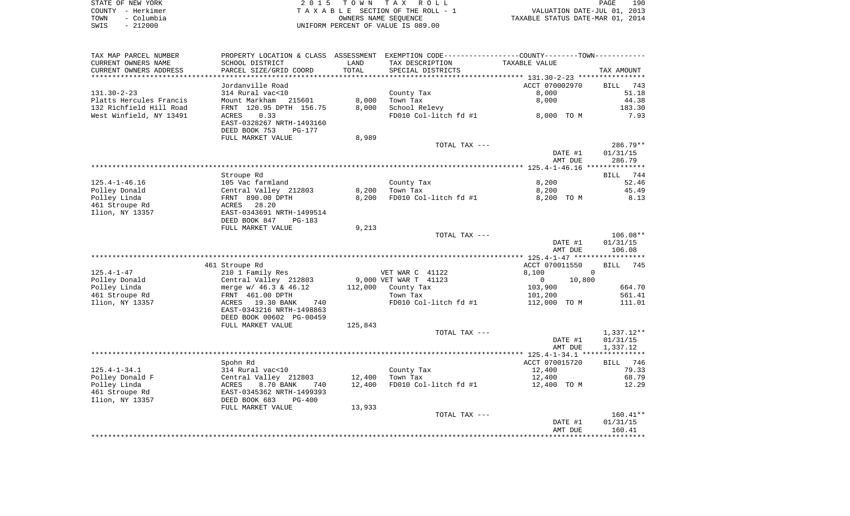|      | STATE OF NEW YORK | 2015 TOWN TAX ROLL                 | 190<br>PAGE                      |
|------|-------------------|------------------------------------|----------------------------------|
|      | COUNTY - Herkimer | TAXABLE SECTION OF THE ROLL - 1    | VALUATION DATE-JUL 01, 2013      |
| TOWN | - Columbia        | OWNERS NAME SEOUENCE               | TAXABLE STATUS DATE-MAR 01, 2014 |
| SWIS | $-212000$         | UNIFORM PERCENT OF VALUE IS 089.00 |                                  |

| TAX MAP PARCEL NUMBER          | PROPERTY LOCATION & CLASS ASSESSMENT EXEMPTION CODE----------------COUNTY-------TOWN----------- |                  |                       |                                    |                    |
|--------------------------------|-------------------------------------------------------------------------------------------------|------------------|-----------------------|------------------------------------|--------------------|
| CURRENT OWNERS NAME            | SCHOOL DISTRICT                                                                                 | LAND             | TAX DESCRIPTION       | TAXABLE VALUE                      |                    |
| CURRENT OWNERS ADDRESS         | PARCEL SIZE/GRID COORD                                                                          | TOTAL            | SPECIAL DISTRICTS     |                                    | TAX AMOUNT         |
| **********************         |                                                                                                 |                  |                       |                                    |                    |
|                                | Jordanville Road                                                                                |                  |                       | ACCT 070002970                     | <b>BILL</b><br>743 |
| $131.30 - 2 - 23$              | 314 Rural vac<10                                                                                |                  | County Tax            | 8,000                              | 51.18              |
| Platts Hercules Francis        | Mount Markham<br>215601                                                                         | 8,000            | Town Tax              | 8,000                              | 44.38              |
| 132 Richfield Hill Road        | FRNT 120.95 DPTH 156.75                                                                         | 8,000            | School Relevy         |                                    | 183.30             |
| West Winfield, NY 13491        | 0.33<br>ACRES                                                                                   |                  | FD010 Col-litch fd #1 | 8,000 TO M                         | 7.93               |
|                                | EAST-0328267 NRTH-1493160                                                                       |                  |                       |                                    |                    |
|                                | DEED BOOK 753<br>PG-177                                                                         |                  |                       |                                    |                    |
|                                | FULL MARKET VALUE                                                                               | 8,989            |                       |                                    |                    |
|                                |                                                                                                 |                  | TOTAL TAX ---         |                                    | $286.79**$         |
|                                |                                                                                                 |                  |                       | DATE #1                            | 01/31/15           |
|                                |                                                                                                 |                  |                       | AMT DUE                            | 286.79             |
|                                |                                                                                                 |                  |                       |                                    |                    |
|                                | Stroupe Rd                                                                                      |                  |                       |                                    | 744<br>BILL        |
| $125.4 - 1 - 46.16$            | 105 Vac farmland                                                                                |                  | County Tax            | 8,200                              | 52.46              |
| Polley Donald                  | Central Valley 212803                                                                           | 8,200            | Town Tax              | 8,200                              | 45.49              |
| Polley Linda                   | FRNT 890.00 DPTH                                                                                | 8,200            | FD010 Col-litch fd #1 | 8,200 TO M                         | 8.13               |
| 461 Stroupe Rd                 | ACRES<br>28.20                                                                                  |                  |                       |                                    |                    |
| Ilion, NY 13357                | EAST-0343691 NRTH-1499514                                                                       |                  |                       |                                    |                    |
|                                | DEED BOOK 847<br><b>PG-183</b>                                                                  |                  |                       |                                    |                    |
|                                | FULL MARKET VALUE                                                                               | 9,213            |                       |                                    |                    |
|                                |                                                                                                 |                  | TOTAL TAX ---         |                                    | $106.08**$         |
|                                |                                                                                                 |                  |                       | DATE #1                            | 01/31/15           |
|                                |                                                                                                 |                  |                       | AMT DUE                            | 106.08             |
|                                |                                                                                                 |                  |                       | **************** 125.4-1-47 ****** | **********         |
|                                | 461 Stroupe Rd                                                                                  |                  |                       | ACCT 070011550                     | 745<br><b>BILL</b> |
| $125.4 - 1 - 47$               | 210 1 Family Res                                                                                |                  | VET WAR C 41122       | 8,100                              | 0                  |
| Polley Donald                  | Central Valley 212803                                                                           |                  | 9,000 VET WAR T 41123 | $\overline{0}$<br>10,800           |                    |
| Polley Linda                   | merge $w/46.3$ & $46.12$                                                                        | 112,000          | County Tax            | 103,900                            | 664.70             |
| 461 Stroupe Rd                 | FRNT 461.00 DPTH                                                                                |                  | Town Tax              | 101,200                            | 561.41             |
| Ilion, NY 13357                | 19.30 BANK<br>ACRES<br>740                                                                      |                  | FD010 Col-litch fd #1 | 112,000 TO M                       | 111.01             |
|                                | EAST-0343216 NRTH-1498863                                                                       |                  |                       |                                    |                    |
|                                | DEED BOOK 00602 PG-00459                                                                        |                  |                       |                                    |                    |
|                                | FULL MARKET VALUE                                                                               | 125,843          |                       |                                    |                    |
|                                |                                                                                                 |                  | TOTAL TAX ---         |                                    | 1,337.12**         |
|                                |                                                                                                 |                  |                       | DATE #1                            | 01/31/15           |
|                                |                                                                                                 |                  |                       | AMT DUE                            | 1,337.12           |
|                                |                                                                                                 |                  |                       |                                    |                    |
|                                | Spohn Rd                                                                                        |                  |                       | ACCT 070015720                     | BILL 746<br>79.33  |
| $125.4 - 1 - 34.1$             | 314 Rural vac<10                                                                                |                  | County Tax            | 12,400                             |                    |
| Polley Donald F                | Central Valley 212803<br>8.70 BANK<br>740                                                       | 12,400<br>12,400 | Town Tax              | 12,400                             | 68.79<br>12.29     |
| Polley Linda<br>461 Stroupe Rd | ACRES                                                                                           |                  | FD010 Col-litch fd #1 | 12,400 TO M                        |                    |
|                                | EAST-0345362 NRTH-1499393                                                                       |                  |                       |                                    |                    |
| Ilion, NY 13357                | DEED BOOK 683<br><b>PG-400</b>                                                                  | 13,933           |                       |                                    |                    |
|                                | FULL MARKET VALUE                                                                               |                  | TOTAL TAX ---         |                                    | $160.41**$         |
|                                |                                                                                                 |                  |                       | DATE #1                            | 01/31/15           |
|                                |                                                                                                 |                  |                       | AMT DUE                            | 160.41             |
|                                |                                                                                                 |                  |                       |                                    |                    |
|                                |                                                                                                 |                  |                       |                                    |                    |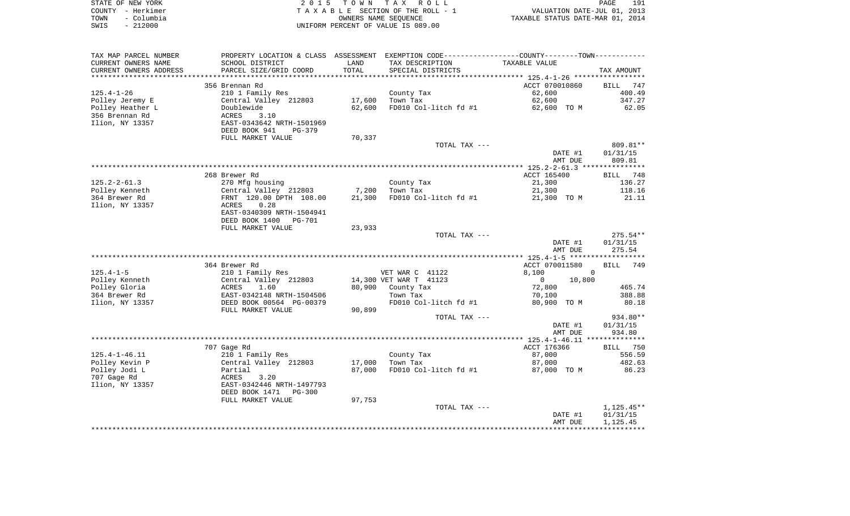| STATE OF NEW YORK |                   | 2015 TOWN TAX ROLL                 | 191<br>PAGE                      |
|-------------------|-------------------|------------------------------------|----------------------------------|
|                   | COUNTY - Herkimer | TAXABLE SECTION OF THE ROLL - 1    | VALUATION DATE-JUL 01, 2013      |
| TOWN              | – Columbia        | OWNERS NAME SEOUENCE               | TAXABLE STATUS DATE-MAR 01, 2014 |
| SWIS              | $-212000$         | UNIFORM PERCENT OF VALUE IS 089.00 |                                  |

| TAX MAP PARCEL NUMBER  | PROPERTY LOCATION & CLASS ASSESSMENT EXEMPTION CODE----------------COUNTY--------TOWN----------- |        |                        |                          |                    |
|------------------------|--------------------------------------------------------------------------------------------------|--------|------------------------|--------------------------|--------------------|
| CURRENT OWNERS NAME    | SCHOOL DISTRICT                                                                                  | LAND   | TAX DESCRIPTION        | TAXABLE VALUE            |                    |
| CURRENT OWNERS ADDRESS | PARCEL SIZE/GRID COORD                                                                           | TOTAL  | SPECIAL DISTRICTS      |                          | TAX AMOUNT         |
| *******************    |                                                                                                  |        |                        |                          |                    |
|                        | 356 Brennan Rd                                                                                   |        |                        | ACCT 070010860           | BILL 747           |
| $125.4 - 1 - 26$       | 210 1 Family Res                                                                                 |        | County Tax             | 62,600                   | 400.49             |
| Polley Jeremy E        | Central Valley 212803                                                                            | 17,600 | Town Tax               | 62,600                   | 347.27             |
| Polley Heather L       | Doublewide                                                                                       | 62,600 | FD010 Col-litch fd #1  | 62,600 TO M              | 62.05              |
| 356 Brennan Rd         | 3.10<br>ACRES                                                                                    |        |                        |                          |                    |
| Ilion, NY 13357        | EAST-0343642 NRTH-1501969                                                                        |        |                        |                          |                    |
|                        | DEED BOOK 941<br>PG-379                                                                          |        |                        |                          |                    |
|                        | FULL MARKET VALUE                                                                                | 70,337 |                        |                          |                    |
|                        |                                                                                                  |        | TOTAL TAX ---          |                          | 809.81**           |
|                        |                                                                                                  |        |                        | DATE #1                  | 01/31/15           |
|                        |                                                                                                  |        |                        | AMT DUE                  | 809.81             |
|                        |                                                                                                  |        |                        |                          |                    |
|                        | 268 Brewer Rd                                                                                    |        |                        | ACCT 165400              | BILL 748           |
| $125.2 - 2 - 61.3$     | 270 Mfg housing                                                                                  |        | County Tax             | 21,300                   | 136.27             |
| Polley Kenneth         | Central Valley 212803                                                                            | 7,200  | Town Tax               | 21,300                   | 118.16             |
| 364 Brewer Rd          | FRNT 120.00 DPTH 108.00                                                                          | 21,300 | FD010 Col-litch fd #1  | 21,300 TO M              | 21.11              |
| Ilion, NY 13357        | 0.28<br>ACRES                                                                                    |        |                        |                          |                    |
|                        | EAST-0340309 NRTH-1504941                                                                        |        |                        |                          |                    |
|                        | DEED BOOK 1400<br>PG-701                                                                         |        |                        |                          |                    |
|                        | FULL MARKET VALUE                                                                                | 23,933 |                        |                          |                    |
|                        |                                                                                                  |        | TOTAL TAX ---          |                          | $275.54**$         |
|                        |                                                                                                  |        |                        | DATE #1                  | 01/31/15           |
|                        |                                                                                                  |        |                        | AMT DUE                  | 275.54             |
|                        |                                                                                                  |        |                        |                          |                    |
|                        | 364 Brewer Rd                                                                                    |        |                        | ACCT 070011580           | <b>BILL</b><br>749 |
| $125.4 - 1 - 5$        | 210 1 Family Res                                                                                 |        | VET WAR C 41122        | 8,100                    | $\Omega$           |
| Polley Kenneth         | Central Valley 212803                                                                            |        | 14,300 VET WAR T 41123 | 10,800<br>$\overline{0}$ |                    |
| Polley Gloria          | 1.60<br>ACRES                                                                                    |        | 80,900 County Tax      | 72,800                   | 465.74             |
| 364 Brewer Rd          | EAST-0342148 NRTH-1504506                                                                        |        | Town Tax               | 70,100                   | 388.88             |
| Ilion, NY 13357        | DEED BOOK 00564 PG-00379                                                                         |        | FD010 Col-litch fd #1  | 80,900 TO M              | 80.18              |
|                        | FULL MARKET VALUE                                                                                | 90,899 |                        |                          |                    |
|                        |                                                                                                  |        | TOTAL TAX ---          |                          | 934.80**           |
|                        |                                                                                                  |        |                        | DATE #1<br>AMT DUE       | 01/31/15<br>934.80 |
|                        |                                                                                                  |        |                        |                          |                    |
|                        | 707 Gage Rd                                                                                      |        |                        | ACCT 176366              | BILL 750           |
| $125.4 - 1 - 46.11$    | 210 1 Family Res                                                                                 |        | County Tax             | 87,000                   | 556.59             |
| Polley Kevin P         | Central Valley 212803                                                                            | 17,000 | Town Tax               | 87,000                   | 482.63             |
| Polley Jodi L          | Partial                                                                                          | 87,000 | FD010 Col-litch fd #1  | 87,000 TO M              | 86.23              |
| 707 Gage Rd            | 3.20<br>ACRES                                                                                    |        |                        |                          |                    |
| Ilion, NY 13357        | EAST-0342446 NRTH-1497793                                                                        |        |                        |                          |                    |
|                        | DEED BOOK 1471<br>PG-300                                                                         |        |                        |                          |                    |
|                        |                                                                                                  |        |                        |                          |                    |
|                        | FULL MARKET VALUE                                                                                | 97,753 | TOTAL TAX ---          |                          | $1,125.45**$       |
|                        |                                                                                                  |        |                        | DATE #1                  | 01/31/15           |
|                        |                                                                                                  |        |                        | AMT DUE                  | 1,125.45           |
|                        |                                                                                                  |        |                        |                          |                    |
|                        |                                                                                                  |        |                        |                          |                    |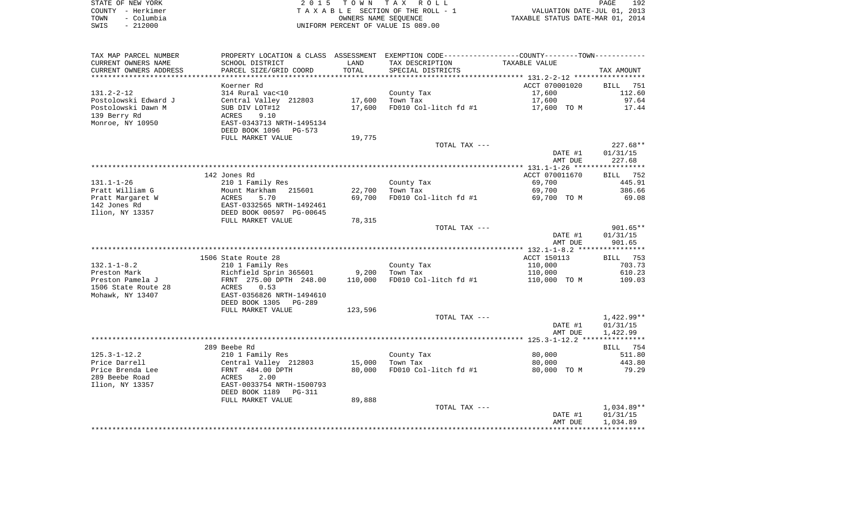| STATE OF NEW YORK  | 2015 TOWN TAX ROLL                 | 192<br><b>PAGE</b>               |
|--------------------|------------------------------------|----------------------------------|
| COUNTY - Herkimer  | TAXABLE SECTION OF THE ROLL - 1    | VALUATION DATE-JUL 01, 2013      |
| - Columbia<br>TOWN | OWNERS NAME SEOUENCE               | TAXABLE STATUS DATE-MAR 01, 2014 |
| $-212000$<br>SWIS  | UNIFORM PERCENT OF VALUE IS 089.00 |                                  |

| TAX MAP PARCEL NUMBER  | PROPERTY LOCATION & CLASS ASSESSMENT EXEMPTION CODE----------------COUNTY--------TOWN----------- |         |                       |                |             |
|------------------------|--------------------------------------------------------------------------------------------------|---------|-----------------------|----------------|-------------|
| CURRENT OWNERS NAME    | SCHOOL DISTRICT                                                                                  | LAND    | TAX DESCRIPTION       | TAXABLE VALUE  |             |
| CURRENT OWNERS ADDRESS | PARCEL SIZE/GRID COORD                                                                           | TOTAL   | SPECIAL DISTRICTS     |                | TAX AMOUNT  |
| ********************   |                                                                                                  |         |                       |                |             |
|                        | Koerner Rd                                                                                       |         |                       | ACCT 070001020 | BILL<br>751 |
| $131.2 - 2 - 12$       | 314 Rural vac<10                                                                                 |         | County Tax            | 17,600         | 112.60      |
| Postolowski Edward J   | Central Valley 212803                                                                            | 17,600  | Town Tax              | 17,600         | 97.64       |
| Postolowski Dawn M     | SUB DIV LOT#12                                                                                   | 17,600  | FD010 Col-litch fd #1 | 17,600 TO M    | 17.44       |
| 139 Berry Rd           | 9.10<br>ACRES                                                                                    |         |                       |                |             |
| Monroe, NY 10950       | EAST-0343713 NRTH-1495134                                                                        |         |                       |                |             |
|                        | DEED BOOK 1096<br>PG-573                                                                         |         |                       |                |             |
|                        | FULL MARKET VALUE                                                                                | 19,775  |                       |                |             |
|                        |                                                                                                  |         | TOTAL TAX ---         |                | $227.68**$  |
|                        |                                                                                                  |         |                       | DATE #1        | 01/31/15    |
|                        |                                                                                                  |         |                       | AMT DUE        | 227.68      |
|                        |                                                                                                  |         |                       |                |             |
|                        | 142 Jones Rd                                                                                     |         |                       | ACCT 070011670 | BILL 752    |
| $131.1 - 1 - 26$       | 210 1 Family Res                                                                                 |         | County Tax            | 69,700         | 445.91      |
| Pratt William G        | Mount Markham<br>215601                                                                          | 22,700  | Town Tax              | 69,700         | 386.66      |
| Pratt Margaret W       | 5.70<br>ACRES                                                                                    | 69,700  | FD010 Col-litch fd #1 | 69,700 TO M    | 69.08       |
| 142 Jones Rd           | EAST-0332565 NRTH-1492461                                                                        |         |                       |                |             |
| Ilion, NY 13357        | DEED BOOK 00597 PG-00645                                                                         |         |                       |                |             |
|                        | FULL MARKET VALUE                                                                                | 78,315  |                       |                |             |
|                        |                                                                                                  |         | TOTAL TAX ---         |                | $901.65**$  |
|                        |                                                                                                  |         |                       | DATE #1        | 01/31/15    |
|                        |                                                                                                  |         |                       | AMT DUE        | 901.65      |
|                        | 1506 State Route 28                                                                              |         |                       | ACCT 150113    | BILL 753    |
| $132.1 - 1 - 8.2$      | 210 1 Family Res                                                                                 |         | County Tax            | 110,000        | 703.73      |
| Preston Mark           | Richfield Sprin 365601                                                                           | 9,200   | Town Tax              | 110,000        | 610.23      |
| Preston Pamela J       | FRNT 275.00 DPTH 248.00                                                                          | 110,000 | FD010 Col-litch fd #1 | 110,000 TO M   | 109.03      |
| 1506 State Route 28    | 0.53<br>ACRES                                                                                    |         |                       |                |             |
| Mohawk, NY 13407       | EAST-0356826 NRTH-1494610                                                                        |         |                       |                |             |
|                        | DEED BOOK 1305<br>PG-289                                                                         |         |                       |                |             |
|                        | FULL MARKET VALUE                                                                                | 123,596 |                       |                |             |
|                        |                                                                                                  |         | TOTAL TAX ---         |                | 1,422.99**  |
|                        |                                                                                                  |         |                       | DATE #1        | 01/31/15    |
|                        |                                                                                                  |         |                       | AMT DUE        | 1,422.99    |
|                        |                                                                                                  |         |                       |                |             |
|                        | 289 Beebe Rd                                                                                     |         |                       |                | BILL 754    |
| $125.3 - 1 - 12.2$     | 210 1 Family Res                                                                                 |         | County Tax            | 80,000         | 511.80      |
| Price Darrell          | Central Valley 212803                                                                            | 15,000  | Town Tax              | 80,000         | 443.80      |
| Price Brenda Lee       | FRNT 484.00 DPTH                                                                                 | 80,000  | FD010 Col-litch fd #1 | 80,000 TO M    | 79.29       |
| 289 Beebe Road         | 2.00<br>ACRES                                                                                    |         |                       |                |             |
| Ilion, NY 13357        | EAST-0033754 NRTH-1500793                                                                        |         |                       |                |             |
|                        | DEED BOOK 1189<br>PG-311                                                                         |         |                       |                |             |
|                        | FULL MARKET VALUE                                                                                | 89,888  |                       |                |             |
|                        |                                                                                                  |         | TOTAL TAX ---         |                | 1,034.89**  |
|                        |                                                                                                  |         |                       | DATE #1        | 01/31/15    |
|                        |                                                                                                  |         |                       | AMT DUE        | 1,034.89    |
|                        |                                                                                                  |         |                       |                |             |
|                        |                                                                                                  |         |                       |                |             |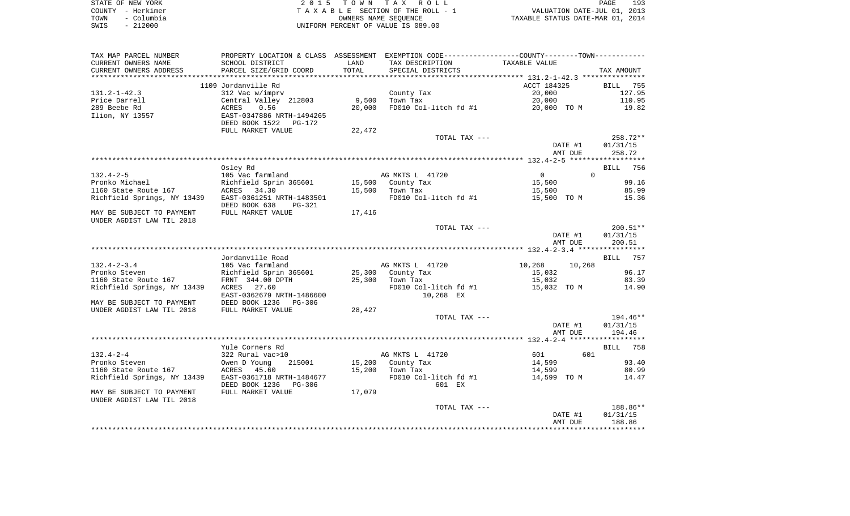|      | STATE OF NEW YORK | 2015 TOWN TAX ROLL                 | 193<br>PAGE                      |  |
|------|-------------------|------------------------------------|----------------------------------|--|
|      | COUNTY - Herkimer | TAXABLE SECTION OF THE ROLL - 1    | VALUATION DATE-JUL 01, 2013      |  |
| TOWN | - Columbia        | OWNERS NAME SEOUENCE               | TAXABLE STATUS DATE-MAR 01, 2014 |  |
| SWIS | - 212000          | UNIFORM PERCENT OF VALUE IS 089.00 |                                  |  |

| TAX MAP PARCEL NUMBER                                                                                         | PROPERTY LOCATION & CLASS ASSESSMENT EXEMPTION CODE----------------COUNTY--------TOWN---------- |        |                                         |                                            |                    |
|---------------------------------------------------------------------------------------------------------------|-------------------------------------------------------------------------------------------------|--------|-----------------------------------------|--------------------------------------------|--------------------|
| CURRENT OWNERS NAME                                                                                           | SCHOOL DISTRICT                                                                                 | LAND   | TAX DESCRIPTION                         | TAXABLE VALUE                              |                    |
| CURRENT OWNERS ADDRESS                                                                                        | PARCEL SIZE/GRID COORD                                                                          | TOTAL  | SPECIAL DISTRICTS                       |                                            | TAX AMOUNT         |
| *********************                                                                                         | **************************                                                                      |        |                                         |                                            |                    |
|                                                                                                               | 1109 Jordanville Rd                                                                             |        |                                         | ACCT 184325                                | <b>BILL</b> 755    |
| $131.2 - 1 - 42.3$                                                                                            | 312 Vac w/imprv                                                                                 |        | County Tax                              | 20,000                                     | 127.95             |
| Price Darrell                                                                                                 |                                                                                                 | 9,500  | Town Tax                                | 20,000                                     | 110.95             |
| 11100 ---<br>289 Beebe Rd<br>Ilion, NY 13557                                                                  | Central Valley 212803<br>ACRES 0.56<br>EAST-0347886 NRTH-1494265                                | 20,000 | FD010 Col-litch fd #1 20,000 TO M 19.82 |                                            |                    |
|                                                                                                               |                                                                                                 |        |                                         |                                            |                    |
|                                                                                                               | DEED BOOK 1522 PG-172                                                                           |        |                                         |                                            |                    |
|                                                                                                               | FULL MARKET VALUE                                                                               | 22,472 |                                         |                                            |                    |
|                                                                                                               |                                                                                                 |        | TOTAL TAX ---                           |                                            | 258.72**           |
|                                                                                                               |                                                                                                 |        |                                         | DATE #1<br>AMT DUE                         | 01/31/15<br>258.72 |
|                                                                                                               |                                                                                                 |        |                                         |                                            |                    |
|                                                                                                               | Osley Rd                                                                                        |        |                                         |                                            | BILL 756           |
|                                                                                                               |                                                                                                 |        |                                         | $\overline{0}$                             |                    |
|                                                                                                               |                                                                                                 |        | AG MKTS L 41720<br>15,500 County Tax    | $\begin{array}{c} 0 \\ 15,500 \end{array}$ | 99.16              |
|                                                                                                               |                                                                                                 |        | $15,500$ Town Tax                       |                                            | 85.99              |
|                                                                                                               |                                                                                                 |        | FD010 Col-litch fd #1                   | 15,500<br>15,500   TO M                    | 15.36              |
|                                                                                                               | DEED BOOK 638<br>PG-321                                                                         |        |                                         |                                            |                    |
| MAY BE SUBJECT TO PAYMENT FULL MARKET VALUE                                                                   |                                                                                                 | 17,416 |                                         |                                            |                    |
| UNDER AGDIST LAW TIL 2018                                                                                     |                                                                                                 |        |                                         |                                            |                    |
|                                                                                                               |                                                                                                 |        | TOTAL TAX ---                           |                                            | $200.51**$         |
|                                                                                                               |                                                                                                 |        |                                         | DATE #1                                    | 01/31/15           |
|                                                                                                               |                                                                                                 |        |                                         | AMT DUE                                    | 200.51             |
|                                                                                                               |                                                                                                 |        |                                         |                                            |                    |
|                                                                                                               | Jordanville Road                                                                                |        |                                         |                                            | BILL 757           |
|                                                                                                               |                                                                                                 |        | AG MKTS L 41720                         | 10,268 10,268                              |                    |
|                                                                                                               |                                                                                                 |        | 25,300 County Tax                       | 15,032                                     | 96.17              |
|                                                                                                               |                                                                                                 |        | $25,300$ Town Tax                       | 15,032                                     | 83.39              |
| Richfield Springs, NY 13439 ACRES 27.60                                                                       |                                                                                                 |        | $FD010$ Col-litch fd #1 $15,032$ TO M   |                                            | 14.90              |
|                                                                                                               | EAST-0362679 NRTH-1486600                                                                       |        | 10,268 EX                               |                                            |                    |
| MAY BE SUBJECT TO PAYMENT       DEED BOOK 1236    PG-306<br>UNDER AGDIST LAW TIL 2018       FULL MARKET VALUE |                                                                                                 |        |                                         |                                            |                    |
|                                                                                                               |                                                                                                 | 28,427 |                                         |                                            |                    |
|                                                                                                               |                                                                                                 |        | TOTAL TAX ---                           |                                            | 194.46**           |
|                                                                                                               |                                                                                                 |        |                                         | DATE #1<br>AMT DUE                         | 01/31/15           |
|                                                                                                               |                                                                                                 |        |                                         |                                            | 194.46             |
|                                                                                                               | Yule Corners Rd                                                                                 |        |                                         |                                            | <b>BILL</b> 758    |
| $132.4 - 2 - 4$                                                                                               |                                                                                                 |        | AG MKTS L 41720                         | 601<br>601                                 |                    |
|                                                                                                               |                                                                                                 |        |                                         |                                            | 93.40              |
|                                                                                                               |                                                                                                 |        |                                         | 14,599<br>14,599                           | 80.99              |
| Richfield Springs, NY 13439 EAST-0361718 NRTH-1484677                                                         |                                                                                                 |        | FD010 Col-litch fd #1                   | 14,599 TO M                                | 14.47              |
|                                                                                                               | DEED BOOK 1236 PG-306                                                                           |        | 601 EX                                  |                                            |                    |
| MAY BE SUBJECT TO PAYMENT                                                                                     | FULL MARKET VALUE                                                                               | 17,079 |                                         |                                            |                    |
| UNDER AGDIST LAW TIL 2018                                                                                     |                                                                                                 |        |                                         |                                            |                    |
|                                                                                                               |                                                                                                 |        | TOTAL TAX ---                           |                                            | 188.86**           |
|                                                                                                               |                                                                                                 |        |                                         | DATE #1                                    | 01/31/15           |
|                                                                                                               |                                                                                                 |        |                                         | AMT DUE                                    | 188.86             |
|                                                                                                               |                                                                                                 |        |                                         |                                            |                    |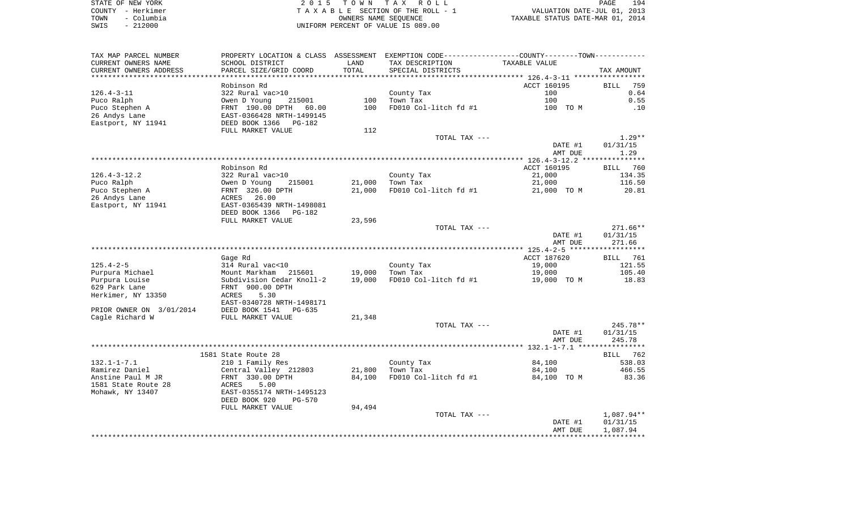| STATE OF NEW YORK  | 2015 TOWN TAX ROLL                 | 194<br>PAGE                      |
|--------------------|------------------------------------|----------------------------------|
| COUNTY - Herkimer  | TAXABLE SECTION OF THE ROLL - 1    | VALUATION DATE-JUL 01, 2013      |
| - Columbia<br>TOWN | OWNERS NAME SEOUENCE               | TAXABLE STATUS DATE-MAR 01, 2014 |
| $-212000$<br>SWIS  | UNIFORM PERCENT OF VALUE IS 089.00 |                                  |

| TAX MAP PARCEL NUMBER             | PROPERTY LOCATION & CLASS ASSESSMENT EXEMPTION CODE----------------COUNTY-------TOWN---------- |                  |                        |                       |                  |
|-----------------------------------|------------------------------------------------------------------------------------------------|------------------|------------------------|-----------------------|------------------|
| CURRENT OWNERS NAME               | SCHOOL DISTRICT                                                                                | LAND             | TAX DESCRIPTION        | TAXABLE VALUE         |                  |
| CURRENT OWNERS ADDRESS            | PARCEL SIZE/GRID COORD                                                                         | TOTAL            | SPECIAL DISTRICTS      |                       | TAX AMOUNT       |
| **********************            |                                                                                                |                  |                        |                       |                  |
|                                   | Robinson Rd                                                                                    |                  |                        | ACCT 160195           | BILL<br>759      |
| $126.4 - 3 - 11$                  | 322 Rural vac>10                                                                               |                  | County Tax             | 100                   | 0.64             |
| Puco Ralph                        | Owen D Young<br>215001                                                                         | 100              | Town Tax               | 100                   | 0.55             |
| Puco Stephen A                    | FRNT 190.00 DPTH<br>60.00                                                                      | 100              | FD010 Col-litch fd #1  | 100 TO M              | .10              |
| 26 Andys Lane                     | EAST-0366428 NRTH-1499145                                                                      |                  |                        |                       |                  |
| Eastport, NY 11941                | DEED BOOK 1366<br>PG-182                                                                       |                  |                        |                       |                  |
|                                   | FULL MARKET VALUE                                                                              | 112              |                        |                       |                  |
|                                   |                                                                                                |                  | TOTAL TAX ---          |                       | $1.29**$         |
|                                   |                                                                                                |                  |                        | DATE #1               | 01/31/15         |
|                                   |                                                                                                |                  |                        | AMT DUE               | 1.29             |
|                                   |                                                                                                |                  |                        |                       |                  |
|                                   | Robinson Rd                                                                                    |                  |                        | ACCT 160195           | BILL 760         |
| $126.4 - 3 - 12.2$                | 322 Rural vac>10                                                                               |                  | County Tax             | 21,000                | 134.35           |
| Puco Ralph                        | Owen D Young<br>215001                                                                         | 21,000           | Town Tax               | 21,000                | 116.50           |
| Puco Stephen A                    | FRNT 326.00 DPTH                                                                               | 21,000           | FD010 Col-litch fd #1  | 21,000 TO M           | 20.81            |
| 26 Andys Lane                     | ACRES 26.00                                                                                    |                  |                        |                       |                  |
| Eastport, NY 11941                | EAST-0365439 NRTH-1498081                                                                      |                  |                        |                       |                  |
|                                   | DEED BOOK 1366<br>PG-182                                                                       |                  |                        |                       |                  |
|                                   | FULL MARKET VALUE                                                                              | 23,596           |                        |                       |                  |
|                                   |                                                                                                |                  | TOTAL TAX ---          |                       | 271.66**         |
|                                   |                                                                                                |                  |                        | DATE #1               | 01/31/15         |
|                                   |                                                                                                |                  |                        | AMT DUE               | 271.66           |
|                                   |                                                                                                |                  |                        | ACCT 187620           |                  |
| $125.4 - 2 - 5$                   | Gage Rd                                                                                        |                  |                        |                       | BILL<br>761      |
|                                   | 314 Rural vac<10                                                                               |                  | County Tax<br>Town Tax | 19,000                | 121.55<br>105.40 |
| Purpura Michael<br>Purpura Louise | Mount Markham<br>215601<br>Subdivision Cedar Knoll-2                                           | 19,000<br>19,000 | FD010 Col-litch fd #1  | 19,000<br>19,000 TO M | 18.83            |
| 629 Park Lane                     | FRNT 900.00 DPTH                                                                               |                  |                        |                       |                  |
| Herkimer, NY 13350                | ACRES<br>5.30                                                                                  |                  |                        |                       |                  |
|                                   | EAST-0340728 NRTH-1498171                                                                      |                  |                        |                       |                  |
| PRIOR OWNER ON 3/01/2014          | DEED BOOK 1541<br>$PG-635$                                                                     |                  |                        |                       |                  |
| Cagle Richard W                   | FULL MARKET VALUE                                                                              | 21,348           |                        |                       |                  |
|                                   |                                                                                                |                  | TOTAL TAX ---          |                       | 245.78**         |
|                                   |                                                                                                |                  |                        | DATE #1               | 01/31/15         |
|                                   |                                                                                                |                  |                        | AMT DUE               | 245.78           |
|                                   |                                                                                                |                  |                        |                       |                  |
|                                   | 1581 State Route 28                                                                            |                  |                        |                       | BILL 762         |
| $132.1 - 1 - 7.1$                 | 210 1 Family Res                                                                               |                  | County Tax             | 84,100                | 538.03           |
| Ramirez Daniel                    | Central Valley 212803                                                                          | 21,800           | Town Tax               | 84,100                | 466.55           |
| Anstine Paul M JR                 | FRNT 330.00 DPTH                                                                               | 84,100           | FD010 Col-litch fd #1  | 84,100 TO M           | 83.36            |
| 1581 State Route 28               | ACRES<br>5.00                                                                                  |                  |                        |                       |                  |
| Mohawk, NY 13407                  | EAST-0355174 NRTH-1495123                                                                      |                  |                        |                       |                  |
|                                   | DEED BOOK 920<br>$PG-570$                                                                      |                  |                        |                       |                  |
|                                   | FULL MARKET VALUE                                                                              | 94,494           |                        |                       |                  |
|                                   |                                                                                                |                  |                        |                       |                  |
|                                   |                                                                                                |                  | TOTAL TAX ---          |                       | 1,087.94**       |
|                                   |                                                                                                |                  |                        | DATE #1               | 01/31/15         |
|                                   |                                                                                                |                  |                        | AMT DUE               | 1,087.94         |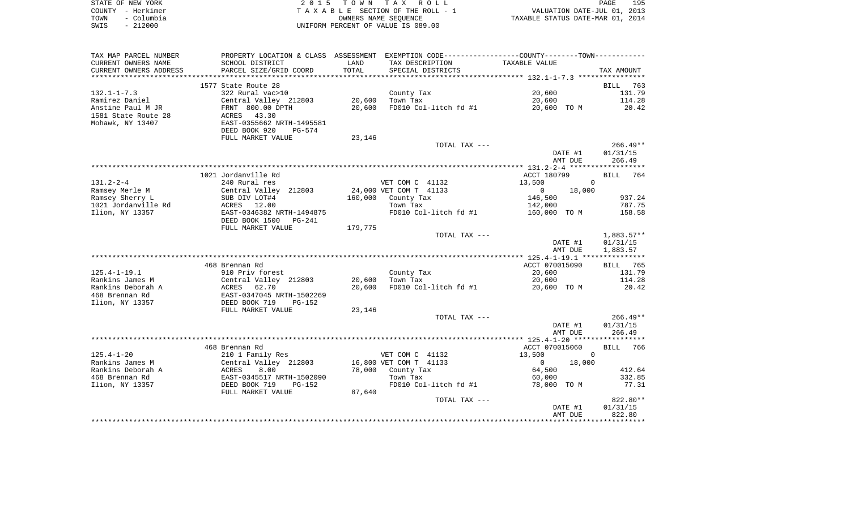|      | STATE OF NEW YORK | 2015 TOWN TAX ROLL                 | 195<br>PAGE                      |  |
|------|-------------------|------------------------------------|----------------------------------|--|
|      | COUNTY - Herkimer | TAXABLE SECTION OF THE ROLL - 1    | VALUATION DATE-JUL 01, 2013      |  |
| TOWN | – Columbia        | OWNERS NAME SEOUENCE               | TAXABLE STATUS DATE-MAR 01, 2014 |  |
| SWIS | $-212000$         | UNIFORM PERCENT OF VALUE IS 089.00 |                                  |  |

| TAX MAP PARCEL NUMBER  |                                                       |         |                        | PROPERTY LOCATION & CLASS ASSESSMENT EXEMPTION CODE---------------COUNTY-------TOWN---------- |                    |
|------------------------|-------------------------------------------------------|---------|------------------------|-----------------------------------------------------------------------------------------------|--------------------|
| CURRENT OWNERS NAME    | SCHOOL DISTRICT                                       | LAND    | TAX DESCRIPTION        | TAXABLE VALUE                                                                                 |                    |
| CURRENT OWNERS ADDRESS | PARCEL SIZE/GRID COORD                                | TOTAL   | SPECIAL DISTRICTS      |                                                                                               | TAX AMOUNT         |
|                        |                                                       |         |                        |                                                                                               |                    |
|                        | 1577 State Route 28                                   |         |                        |                                                                                               | BILL<br>763        |
| $132.1 - 1 - 7.3$      | 322 Rural vac>10                                      |         | County Tax             | 20,600                                                                                        | 131.79             |
| Ramirez Daniel         | Central Valley 212803                                 | 20,600  | Town Tax               | 20,600                                                                                        | 114.28             |
| Anstine Paul M JR      | FRNT 800.00 DPTH                                      | 20,600  | FD010 Col-litch fd #1  | 20,600 TO M                                                                                   | 20.42              |
| 1581 State Route 28    | 43.30<br>ACRES                                        |         |                        |                                                                                               |                    |
| Mohawk, NY 13407       | EAST-0355662 NRTH-1495581                             |         |                        |                                                                                               |                    |
|                        | DEED BOOK 920<br>PG-574                               |         |                        |                                                                                               |                    |
|                        | FULL MARKET VALUE                                     | 23,146  |                        |                                                                                               |                    |
|                        |                                                       |         | TOTAL TAX ---          |                                                                                               | $266.49**$         |
|                        |                                                       |         |                        | DATE #1                                                                                       | 01/31/15           |
|                        |                                                       |         |                        | AMT DUE                                                                                       | 266.49             |
|                        |                                                       |         |                        |                                                                                               |                    |
|                        | 1021 Jordanville Rd                                   |         |                        | ACCT 180799                                                                                   | BILL<br>764        |
| $131.2 - 2 - 4$        | 240 Rural res                                         |         | VET COM C 41132        | 13,500                                                                                        | $\Omega$           |
| Ramsey Merle M         | Central Valley 212803                                 |         | 24,000 VET COM T 41133 | 0<br>18,000                                                                                   |                    |
| Ramsey Sherry L        | SUB DIV LOT#4                                         | 160,000 | County Tax             | 146,500                                                                                       | 937.24             |
| 1021 Jordanville Rd    | ACRES 12.00                                           |         | Town Tax               | 142,000                                                                                       | 787.75             |
| Ilion, NY 13357        | EAST-0346382 NRTH-1494875<br>DEED BOOK 1500<br>PG-241 |         | FD010 Col-litch fd #1  | 160,000 TO M                                                                                  | 158.58             |
|                        | FULL MARKET VALUE                                     | 179,775 |                        |                                                                                               |                    |
|                        |                                                       |         | TOTAL TAX ---          |                                                                                               | $1,883.57**$       |
|                        |                                                       |         |                        | DATE #1                                                                                       | 01/31/15           |
|                        |                                                       |         |                        | AMT DUE                                                                                       | 1,883.57           |
|                        |                                                       |         |                        |                                                                                               |                    |
|                        | 468 Brennan Rd                                        |         |                        | ACCT 070015090                                                                                | BILL 765           |
| $125.4 - 1 - 19.1$     | 910 Priv forest                                       |         | County Tax             | 20,600                                                                                        | 131.79             |
| Rankins James M        | Central Valley 212803                                 | 20,600  | Town Tax               | 20,600                                                                                        | 114.28             |
| Rankins Deborah A      | ACRES<br>62.70                                        | 20,600  | FD010 Col-litch fd #1  | 20,600 TO M                                                                                   | 20.42              |
| 468 Brennan Rd         | EAST-0347045 NRTH-1502269                             |         |                        |                                                                                               |                    |
| Ilion, NY 13357        | DEED BOOK 719<br>PG-152                               |         |                        |                                                                                               |                    |
|                        | FULL MARKET VALUE                                     | 23,146  |                        |                                                                                               |                    |
|                        |                                                       |         | TOTAL TAX ---          |                                                                                               | $266.49**$         |
|                        |                                                       |         |                        | DATE #1                                                                                       | 01/31/15           |
|                        |                                                       |         |                        | AMT DUE                                                                                       | 266.49             |
|                        |                                                       |         |                        |                                                                                               |                    |
|                        | 468 Brennan Rd                                        |         |                        | ACCT 070015060                                                                                | <b>BILL</b><br>766 |
| $125.4 - 1 - 20$       | 210 1 Family Res                                      |         | VET COM C 41132        | 13,500                                                                                        | $\Omega$           |
| Rankins James M        | Central Valley 212803                                 |         | 16,800 VET COM T 41133 | $\overline{0}$<br>18,000                                                                      |                    |
| Rankins Deborah A      | ACRES<br>8.00                                         |         | 78,000 County Tax      | 64,500                                                                                        | 412.64             |
| 468 Brennan Rd         | EAST-0345517 NRTH-1502090                             |         | Town Tax               | 60,000                                                                                        | 332.85             |
| Ilion, NY 13357        | DEED BOOK 719<br>$PG-152$                             |         | FD010 Col-litch fd #1  | 78,000 TO M                                                                                   | 77.31              |
|                        | FULL MARKET VALUE                                     | 87,640  |                        |                                                                                               |                    |
|                        |                                                       |         | TOTAL TAX ---          |                                                                                               | 822.80**           |
|                        |                                                       |         |                        | DATE #1                                                                                       | 01/31/15           |
|                        |                                                       |         |                        | AMT DUE                                                                                       | 822.80             |
|                        |                                                       |         |                        |                                                                                               |                    |
|                        |                                                       |         |                        |                                                                                               |                    |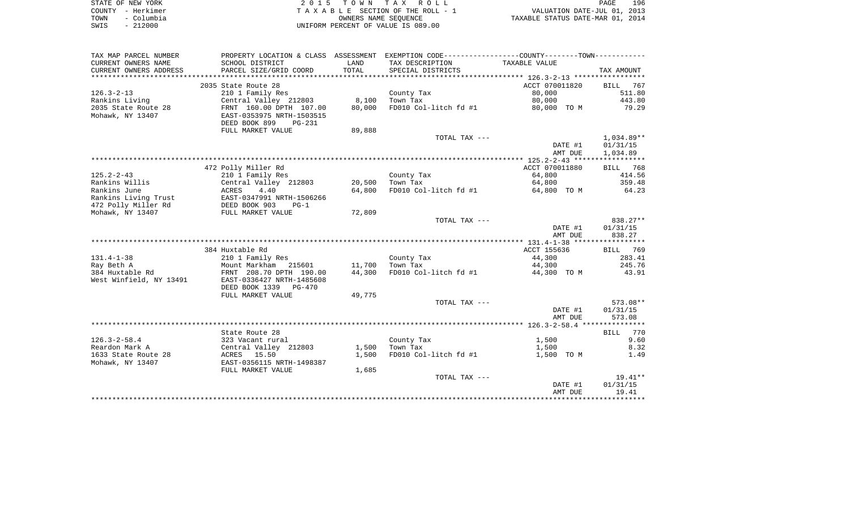|      | STATE OF NEW YORK | 2015 TOWN TAX ROLL                 | 196<br>PAGE                      |
|------|-------------------|------------------------------------|----------------------------------|
|      | COUNTY - Herkimer | TAXABLE SECTION OF THE ROLL - 1    | VALUATION DATE-JUL 01, 2013      |
| TOWN | - Columbia        | OWNERS NAME SEOUENCE               | TAXABLE STATUS DATE-MAR 01, 2014 |
| SWIS | - 212000          | UNIFORM PERCENT OF VALUE IS 089.00 |                                  |

| CURRENT OWNERS NAME<br>SCHOOL DISTRICT<br>LAND<br>TAX DESCRIPTION<br>TAXABLE VALUE<br>CURRENT OWNERS ADDRESS<br>PARCEL SIZE/GRID COORD<br>TOTAL<br>SPECIAL DISTRICTS<br>TAX AMOUNT<br>2035 State Route 28<br>ACCT 070011820<br>767<br>BILL<br>$126.3 - 2 - 13$<br>80,000<br>511.80<br>210 1 Family Res<br>County Tax<br>8,100<br>80,000<br>443.80<br>Rankins Living<br>Central Valley 212803<br>Town Tax<br>2035 State Route 28<br>FD010 Col-litch fd #1<br>FRNT 160.00 DPTH 107.00<br>80,000<br>80,000 TO M<br>79.29<br>Mohawk, NY 13407<br>EAST-0353975 NRTH-1503515<br>DEED BOOK 899<br><b>PG-231</b><br>FULL MARKET VALUE<br>89,888<br>TOTAL TAX ---<br>1,034.89**<br>01/31/15<br>DATE #1<br>1,034.89<br>AMT DUE<br>472 Polly Miller Rd<br>ACCT 070011880<br>BILL 768<br>$125.2 - 2 - 43$<br>210 1 Family Res<br>County Tax<br>64,800<br>414.56<br>Rankins Willis<br>359.48<br>Central Valley 212803<br>20,500<br>Town Tax<br>64,800<br>Rankins June<br>4.40<br>64,800<br>FD010 Col-litch fd #1<br>64.23<br><b>ACRES</b><br>64,800 TO M<br>Rankins Living Trust<br>EAST-0347991 NRTH-1506266<br>472 Polly Miller Rd<br>DEED BOOK 903<br>$PG-1$<br>72,809<br>Mohawk, NY 13407<br>FULL MARKET VALUE<br>TOTAL TAX ---<br>838.27**<br>DATE #1<br>01/31/15<br>838.27<br>AMT DUE<br>384 Huxtable Rd<br>ACCT 155636<br>BILL 769<br>$131.4 - 1 - 38$<br>283.41<br>210 1 Family Res<br>County Tax<br>44,300<br>Mount Markham<br>11,700<br>245.76<br>Ray Beth A<br>215601<br>Town Tax<br>44,300<br>384 Huxtable Rd<br>FRNT 208.70 DPTH 190.00<br>44,300<br>FD010 Col-litch fd #1<br>43.91<br>44,300 TO M<br>West Winfield, NY 13491<br>EAST-0336427 NRTH-1485608<br>DEED BOOK 1339 PG-470<br>49,775<br>FULL MARKET VALUE<br>$573.08**$<br>TOTAL TAX ---<br>DATE #1<br>01/31/15<br>AMT DUE<br>573.08<br>BILL 770<br>State Route 28<br>$126.3 - 2 - 58.4$<br>1,500<br>9.60<br>323 Vacant rural<br>County Tax<br>Reardon Mark A<br>Central Valley 212803<br>1,500<br>Town Tax<br>1,500<br>8.32<br>1633 State Route 28<br>ACRES 15.50<br>1,500<br>FD010 Col-litch fd #1<br>1,500 TO M<br>1.49<br>EAST-0356115 NRTH-1498387<br>Mohawk, NY 13407<br>FULL MARKET VALUE<br>1,685<br>$19.41**$<br>TOTAL TAX ---<br>01/31/15<br>DATE #1<br>AMT DUE<br>19.41 | TAX MAP PARCEL NUMBER |  | PROPERTY LOCATION & CLASS ASSESSMENT EXEMPTION CODE---------------COUNTY--------TOWN---------- |  |
|---------------------------------------------------------------------------------------------------------------------------------------------------------------------------------------------------------------------------------------------------------------------------------------------------------------------------------------------------------------------------------------------------------------------------------------------------------------------------------------------------------------------------------------------------------------------------------------------------------------------------------------------------------------------------------------------------------------------------------------------------------------------------------------------------------------------------------------------------------------------------------------------------------------------------------------------------------------------------------------------------------------------------------------------------------------------------------------------------------------------------------------------------------------------------------------------------------------------------------------------------------------------------------------------------------------------------------------------------------------------------------------------------------------------------------------------------------------------------------------------------------------------------------------------------------------------------------------------------------------------------------------------------------------------------------------------------------------------------------------------------------------------------------------------------------------------------------------------------------------------------------------------------------------------------------------------------------------------------------------------------------------------------------------------------------------------------------------------------------------------------------------------------------------------------------------------------------------------------------------------|-----------------------|--|------------------------------------------------------------------------------------------------|--|
|                                                                                                                                                                                                                                                                                                                                                                                                                                                                                                                                                                                                                                                                                                                                                                                                                                                                                                                                                                                                                                                                                                                                                                                                                                                                                                                                                                                                                                                                                                                                                                                                                                                                                                                                                                                                                                                                                                                                                                                                                                                                                                                                                                                                                                             |                       |  |                                                                                                |  |
|                                                                                                                                                                                                                                                                                                                                                                                                                                                                                                                                                                                                                                                                                                                                                                                                                                                                                                                                                                                                                                                                                                                                                                                                                                                                                                                                                                                                                                                                                                                                                                                                                                                                                                                                                                                                                                                                                                                                                                                                                                                                                                                                                                                                                                             |                       |  |                                                                                                |  |
|                                                                                                                                                                                                                                                                                                                                                                                                                                                                                                                                                                                                                                                                                                                                                                                                                                                                                                                                                                                                                                                                                                                                                                                                                                                                                                                                                                                                                                                                                                                                                                                                                                                                                                                                                                                                                                                                                                                                                                                                                                                                                                                                                                                                                                             |                       |  |                                                                                                |  |
|                                                                                                                                                                                                                                                                                                                                                                                                                                                                                                                                                                                                                                                                                                                                                                                                                                                                                                                                                                                                                                                                                                                                                                                                                                                                                                                                                                                                                                                                                                                                                                                                                                                                                                                                                                                                                                                                                                                                                                                                                                                                                                                                                                                                                                             |                       |  |                                                                                                |  |
|                                                                                                                                                                                                                                                                                                                                                                                                                                                                                                                                                                                                                                                                                                                                                                                                                                                                                                                                                                                                                                                                                                                                                                                                                                                                                                                                                                                                                                                                                                                                                                                                                                                                                                                                                                                                                                                                                                                                                                                                                                                                                                                                                                                                                                             |                       |  |                                                                                                |  |
|                                                                                                                                                                                                                                                                                                                                                                                                                                                                                                                                                                                                                                                                                                                                                                                                                                                                                                                                                                                                                                                                                                                                                                                                                                                                                                                                                                                                                                                                                                                                                                                                                                                                                                                                                                                                                                                                                                                                                                                                                                                                                                                                                                                                                                             |                       |  |                                                                                                |  |
|                                                                                                                                                                                                                                                                                                                                                                                                                                                                                                                                                                                                                                                                                                                                                                                                                                                                                                                                                                                                                                                                                                                                                                                                                                                                                                                                                                                                                                                                                                                                                                                                                                                                                                                                                                                                                                                                                                                                                                                                                                                                                                                                                                                                                                             |                       |  |                                                                                                |  |
|                                                                                                                                                                                                                                                                                                                                                                                                                                                                                                                                                                                                                                                                                                                                                                                                                                                                                                                                                                                                                                                                                                                                                                                                                                                                                                                                                                                                                                                                                                                                                                                                                                                                                                                                                                                                                                                                                                                                                                                                                                                                                                                                                                                                                                             |                       |  |                                                                                                |  |
|                                                                                                                                                                                                                                                                                                                                                                                                                                                                                                                                                                                                                                                                                                                                                                                                                                                                                                                                                                                                                                                                                                                                                                                                                                                                                                                                                                                                                                                                                                                                                                                                                                                                                                                                                                                                                                                                                                                                                                                                                                                                                                                                                                                                                                             |                       |  |                                                                                                |  |
|                                                                                                                                                                                                                                                                                                                                                                                                                                                                                                                                                                                                                                                                                                                                                                                                                                                                                                                                                                                                                                                                                                                                                                                                                                                                                                                                                                                                                                                                                                                                                                                                                                                                                                                                                                                                                                                                                                                                                                                                                                                                                                                                                                                                                                             |                       |  |                                                                                                |  |
|                                                                                                                                                                                                                                                                                                                                                                                                                                                                                                                                                                                                                                                                                                                                                                                                                                                                                                                                                                                                                                                                                                                                                                                                                                                                                                                                                                                                                                                                                                                                                                                                                                                                                                                                                                                                                                                                                                                                                                                                                                                                                                                                                                                                                                             |                       |  |                                                                                                |  |
|                                                                                                                                                                                                                                                                                                                                                                                                                                                                                                                                                                                                                                                                                                                                                                                                                                                                                                                                                                                                                                                                                                                                                                                                                                                                                                                                                                                                                                                                                                                                                                                                                                                                                                                                                                                                                                                                                                                                                                                                                                                                                                                                                                                                                                             |                       |  |                                                                                                |  |
|                                                                                                                                                                                                                                                                                                                                                                                                                                                                                                                                                                                                                                                                                                                                                                                                                                                                                                                                                                                                                                                                                                                                                                                                                                                                                                                                                                                                                                                                                                                                                                                                                                                                                                                                                                                                                                                                                                                                                                                                                                                                                                                                                                                                                                             |                       |  |                                                                                                |  |
|                                                                                                                                                                                                                                                                                                                                                                                                                                                                                                                                                                                                                                                                                                                                                                                                                                                                                                                                                                                                                                                                                                                                                                                                                                                                                                                                                                                                                                                                                                                                                                                                                                                                                                                                                                                                                                                                                                                                                                                                                                                                                                                                                                                                                                             |                       |  |                                                                                                |  |
|                                                                                                                                                                                                                                                                                                                                                                                                                                                                                                                                                                                                                                                                                                                                                                                                                                                                                                                                                                                                                                                                                                                                                                                                                                                                                                                                                                                                                                                                                                                                                                                                                                                                                                                                                                                                                                                                                                                                                                                                                                                                                                                                                                                                                                             |                       |  |                                                                                                |  |
|                                                                                                                                                                                                                                                                                                                                                                                                                                                                                                                                                                                                                                                                                                                                                                                                                                                                                                                                                                                                                                                                                                                                                                                                                                                                                                                                                                                                                                                                                                                                                                                                                                                                                                                                                                                                                                                                                                                                                                                                                                                                                                                                                                                                                                             |                       |  |                                                                                                |  |
|                                                                                                                                                                                                                                                                                                                                                                                                                                                                                                                                                                                                                                                                                                                                                                                                                                                                                                                                                                                                                                                                                                                                                                                                                                                                                                                                                                                                                                                                                                                                                                                                                                                                                                                                                                                                                                                                                                                                                                                                                                                                                                                                                                                                                                             |                       |  |                                                                                                |  |
|                                                                                                                                                                                                                                                                                                                                                                                                                                                                                                                                                                                                                                                                                                                                                                                                                                                                                                                                                                                                                                                                                                                                                                                                                                                                                                                                                                                                                                                                                                                                                                                                                                                                                                                                                                                                                                                                                                                                                                                                                                                                                                                                                                                                                                             |                       |  |                                                                                                |  |
|                                                                                                                                                                                                                                                                                                                                                                                                                                                                                                                                                                                                                                                                                                                                                                                                                                                                                                                                                                                                                                                                                                                                                                                                                                                                                                                                                                                                                                                                                                                                                                                                                                                                                                                                                                                                                                                                                                                                                                                                                                                                                                                                                                                                                                             |                       |  |                                                                                                |  |
|                                                                                                                                                                                                                                                                                                                                                                                                                                                                                                                                                                                                                                                                                                                                                                                                                                                                                                                                                                                                                                                                                                                                                                                                                                                                                                                                                                                                                                                                                                                                                                                                                                                                                                                                                                                                                                                                                                                                                                                                                                                                                                                                                                                                                                             |                       |  |                                                                                                |  |
|                                                                                                                                                                                                                                                                                                                                                                                                                                                                                                                                                                                                                                                                                                                                                                                                                                                                                                                                                                                                                                                                                                                                                                                                                                                                                                                                                                                                                                                                                                                                                                                                                                                                                                                                                                                                                                                                                                                                                                                                                                                                                                                                                                                                                                             |                       |  |                                                                                                |  |
|                                                                                                                                                                                                                                                                                                                                                                                                                                                                                                                                                                                                                                                                                                                                                                                                                                                                                                                                                                                                                                                                                                                                                                                                                                                                                                                                                                                                                                                                                                                                                                                                                                                                                                                                                                                                                                                                                                                                                                                                                                                                                                                                                                                                                                             |                       |  |                                                                                                |  |
|                                                                                                                                                                                                                                                                                                                                                                                                                                                                                                                                                                                                                                                                                                                                                                                                                                                                                                                                                                                                                                                                                                                                                                                                                                                                                                                                                                                                                                                                                                                                                                                                                                                                                                                                                                                                                                                                                                                                                                                                                                                                                                                                                                                                                                             |                       |  |                                                                                                |  |
|                                                                                                                                                                                                                                                                                                                                                                                                                                                                                                                                                                                                                                                                                                                                                                                                                                                                                                                                                                                                                                                                                                                                                                                                                                                                                                                                                                                                                                                                                                                                                                                                                                                                                                                                                                                                                                                                                                                                                                                                                                                                                                                                                                                                                                             |                       |  |                                                                                                |  |
|                                                                                                                                                                                                                                                                                                                                                                                                                                                                                                                                                                                                                                                                                                                                                                                                                                                                                                                                                                                                                                                                                                                                                                                                                                                                                                                                                                                                                                                                                                                                                                                                                                                                                                                                                                                                                                                                                                                                                                                                                                                                                                                                                                                                                                             |                       |  |                                                                                                |  |
|                                                                                                                                                                                                                                                                                                                                                                                                                                                                                                                                                                                                                                                                                                                                                                                                                                                                                                                                                                                                                                                                                                                                                                                                                                                                                                                                                                                                                                                                                                                                                                                                                                                                                                                                                                                                                                                                                                                                                                                                                                                                                                                                                                                                                                             |                       |  |                                                                                                |  |
|                                                                                                                                                                                                                                                                                                                                                                                                                                                                                                                                                                                                                                                                                                                                                                                                                                                                                                                                                                                                                                                                                                                                                                                                                                                                                                                                                                                                                                                                                                                                                                                                                                                                                                                                                                                                                                                                                                                                                                                                                                                                                                                                                                                                                                             |                       |  |                                                                                                |  |
|                                                                                                                                                                                                                                                                                                                                                                                                                                                                                                                                                                                                                                                                                                                                                                                                                                                                                                                                                                                                                                                                                                                                                                                                                                                                                                                                                                                                                                                                                                                                                                                                                                                                                                                                                                                                                                                                                                                                                                                                                                                                                                                                                                                                                                             |                       |  |                                                                                                |  |
|                                                                                                                                                                                                                                                                                                                                                                                                                                                                                                                                                                                                                                                                                                                                                                                                                                                                                                                                                                                                                                                                                                                                                                                                                                                                                                                                                                                                                                                                                                                                                                                                                                                                                                                                                                                                                                                                                                                                                                                                                                                                                                                                                                                                                                             |                       |  |                                                                                                |  |
|                                                                                                                                                                                                                                                                                                                                                                                                                                                                                                                                                                                                                                                                                                                                                                                                                                                                                                                                                                                                                                                                                                                                                                                                                                                                                                                                                                                                                                                                                                                                                                                                                                                                                                                                                                                                                                                                                                                                                                                                                                                                                                                                                                                                                                             |                       |  |                                                                                                |  |
|                                                                                                                                                                                                                                                                                                                                                                                                                                                                                                                                                                                                                                                                                                                                                                                                                                                                                                                                                                                                                                                                                                                                                                                                                                                                                                                                                                                                                                                                                                                                                                                                                                                                                                                                                                                                                                                                                                                                                                                                                                                                                                                                                                                                                                             |                       |  |                                                                                                |  |
|                                                                                                                                                                                                                                                                                                                                                                                                                                                                                                                                                                                                                                                                                                                                                                                                                                                                                                                                                                                                                                                                                                                                                                                                                                                                                                                                                                                                                                                                                                                                                                                                                                                                                                                                                                                                                                                                                                                                                                                                                                                                                                                                                                                                                                             |                       |  |                                                                                                |  |
|                                                                                                                                                                                                                                                                                                                                                                                                                                                                                                                                                                                                                                                                                                                                                                                                                                                                                                                                                                                                                                                                                                                                                                                                                                                                                                                                                                                                                                                                                                                                                                                                                                                                                                                                                                                                                                                                                                                                                                                                                                                                                                                                                                                                                                             |                       |  |                                                                                                |  |
|                                                                                                                                                                                                                                                                                                                                                                                                                                                                                                                                                                                                                                                                                                                                                                                                                                                                                                                                                                                                                                                                                                                                                                                                                                                                                                                                                                                                                                                                                                                                                                                                                                                                                                                                                                                                                                                                                                                                                                                                                                                                                                                                                                                                                                             |                       |  |                                                                                                |  |
|                                                                                                                                                                                                                                                                                                                                                                                                                                                                                                                                                                                                                                                                                                                                                                                                                                                                                                                                                                                                                                                                                                                                                                                                                                                                                                                                                                                                                                                                                                                                                                                                                                                                                                                                                                                                                                                                                                                                                                                                                                                                                                                                                                                                                                             |                       |  |                                                                                                |  |
|                                                                                                                                                                                                                                                                                                                                                                                                                                                                                                                                                                                                                                                                                                                                                                                                                                                                                                                                                                                                                                                                                                                                                                                                                                                                                                                                                                                                                                                                                                                                                                                                                                                                                                                                                                                                                                                                                                                                                                                                                                                                                                                                                                                                                                             |                       |  |                                                                                                |  |
|                                                                                                                                                                                                                                                                                                                                                                                                                                                                                                                                                                                                                                                                                                                                                                                                                                                                                                                                                                                                                                                                                                                                                                                                                                                                                                                                                                                                                                                                                                                                                                                                                                                                                                                                                                                                                                                                                                                                                                                                                                                                                                                                                                                                                                             |                       |  |                                                                                                |  |
|                                                                                                                                                                                                                                                                                                                                                                                                                                                                                                                                                                                                                                                                                                                                                                                                                                                                                                                                                                                                                                                                                                                                                                                                                                                                                                                                                                                                                                                                                                                                                                                                                                                                                                                                                                                                                                                                                                                                                                                                                                                                                                                                                                                                                                             |                       |  |                                                                                                |  |
|                                                                                                                                                                                                                                                                                                                                                                                                                                                                                                                                                                                                                                                                                                                                                                                                                                                                                                                                                                                                                                                                                                                                                                                                                                                                                                                                                                                                                                                                                                                                                                                                                                                                                                                                                                                                                                                                                                                                                                                                                                                                                                                                                                                                                                             |                       |  |                                                                                                |  |
|                                                                                                                                                                                                                                                                                                                                                                                                                                                                                                                                                                                                                                                                                                                                                                                                                                                                                                                                                                                                                                                                                                                                                                                                                                                                                                                                                                                                                                                                                                                                                                                                                                                                                                                                                                                                                                                                                                                                                                                                                                                                                                                                                                                                                                             |                       |  |                                                                                                |  |
|                                                                                                                                                                                                                                                                                                                                                                                                                                                                                                                                                                                                                                                                                                                                                                                                                                                                                                                                                                                                                                                                                                                                                                                                                                                                                                                                                                                                                                                                                                                                                                                                                                                                                                                                                                                                                                                                                                                                                                                                                                                                                                                                                                                                                                             |                       |  |                                                                                                |  |
|                                                                                                                                                                                                                                                                                                                                                                                                                                                                                                                                                                                                                                                                                                                                                                                                                                                                                                                                                                                                                                                                                                                                                                                                                                                                                                                                                                                                                                                                                                                                                                                                                                                                                                                                                                                                                                                                                                                                                                                                                                                                                                                                                                                                                                             |                       |  |                                                                                                |  |
|                                                                                                                                                                                                                                                                                                                                                                                                                                                                                                                                                                                                                                                                                                                                                                                                                                                                                                                                                                                                                                                                                                                                                                                                                                                                                                                                                                                                                                                                                                                                                                                                                                                                                                                                                                                                                                                                                                                                                                                                                                                                                                                                                                                                                                             |                       |  |                                                                                                |  |
|                                                                                                                                                                                                                                                                                                                                                                                                                                                                                                                                                                                                                                                                                                                                                                                                                                                                                                                                                                                                                                                                                                                                                                                                                                                                                                                                                                                                                                                                                                                                                                                                                                                                                                                                                                                                                                                                                                                                                                                                                                                                                                                                                                                                                                             |                       |  |                                                                                                |  |
|                                                                                                                                                                                                                                                                                                                                                                                                                                                                                                                                                                                                                                                                                                                                                                                                                                                                                                                                                                                                                                                                                                                                                                                                                                                                                                                                                                                                                                                                                                                                                                                                                                                                                                                                                                                                                                                                                                                                                                                                                                                                                                                                                                                                                                             |                       |  |                                                                                                |  |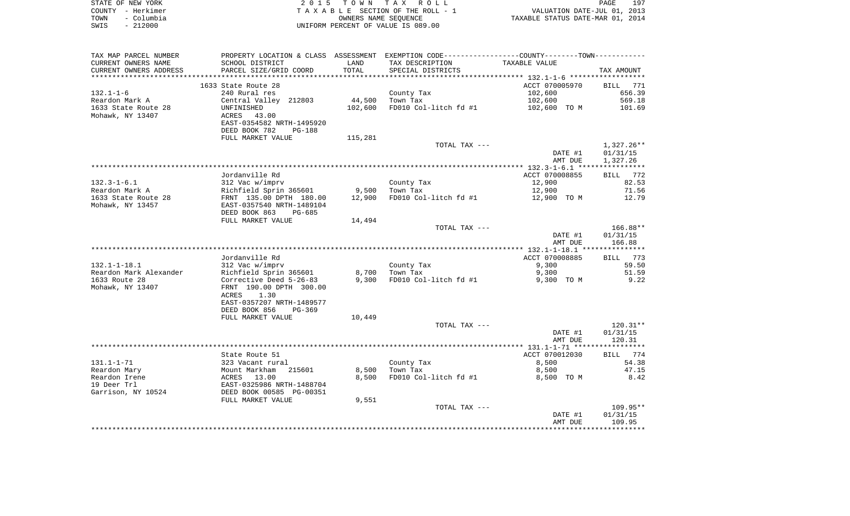| STATE OF NEW YORK |                   | 2015 TOWN TAX ROLL                 | PAGE                             | 197 |
|-------------------|-------------------|------------------------------------|----------------------------------|-----|
|                   | COUNTY - Herkimer | TAXABLE SECTION OF THE ROLL - 1    | VALUATION DATE-JUL 01, 2013      |     |
| TOWN              | - Columbia        | OWNERS NAME SEOUENCE               | TAXABLE STATUS DATE-MAR 01, 2014 |     |
| SWIS              | - 212000          | UNIFORM PERCENT OF VALUE IS 089.00 |                                  |     |

| TAX MAP PARCEL NUMBER  |                                |         | PROPERTY LOCATION & CLASS ASSESSMENT EXEMPTION CODE----------------COUNTY--------TOWN----------- |                |                 |
|------------------------|--------------------------------|---------|--------------------------------------------------------------------------------------------------|----------------|-----------------|
| CURRENT OWNERS NAME    | SCHOOL DISTRICT                | LAND    | TAX DESCRIPTION                                                                                  | TAXABLE VALUE  |                 |
| CURRENT OWNERS ADDRESS | PARCEL SIZE/GRID COORD         | TOTAL   | SPECIAL DISTRICTS                                                                                |                | TAX AMOUNT      |
| ********************** | ****************************** |         |                                                                                                  |                |                 |
|                        | 1633 State Route 28            |         |                                                                                                  | ACCT 070005970 | <b>BILL</b> 771 |
| $132.1 - 1 - 6$        | 240 Rural res                  |         | County Tax                                                                                       | 102,600        | 656.39          |
| Reardon Mark A         | Central Valley 212803          | 44,500  | Town Tax                                                                                         | 102,600        | 569.18          |
| 1633 State Route 28    | UNFINISHED                     | 102,600 | FD010 Col-litch fd #1                                                                            | 102,600 TO M   | 101.69          |
| Mohawk, NY 13407       | 43.00<br>ACRES                 |         |                                                                                                  |                |                 |
|                        | EAST-0354582 NRTH-1495920      |         |                                                                                                  |                |                 |
|                        | DEED BOOK 782<br><b>PG-188</b> |         |                                                                                                  |                |                 |
|                        | FULL MARKET VALUE              | 115,281 |                                                                                                  |                |                 |
|                        |                                |         | TOTAL TAX ---                                                                                    |                | $1,327.26**$    |
|                        |                                |         |                                                                                                  | DATE #1        | 01/31/15        |
|                        |                                |         |                                                                                                  | AMT DUE        | 1,327.26        |
|                        |                                |         |                                                                                                  |                |                 |
|                        | Jordanville Rd                 |         |                                                                                                  | ACCT 070008855 | BILL 772        |
| $132.3 - 1 - 6.1$      | 312 Vac w/imprv                |         | County Tax                                                                                       | 12,900         | 82.53           |
| Reardon Mark A         | Richfield Sprin 365601         | 9,500   | Town Tax                                                                                         | 12,900         | 71.56           |
| 1633 State Route 28    | FRNT 135.00 DPTH 180.00        | 12,900  | FD010 Col-litch fd #1                                                                            | 12,900 TO M    | 12.79           |
| Mohawk, NY 13457       | EAST-0357540 NRTH-1489104      |         |                                                                                                  |                |                 |
|                        | DEED BOOK 863<br>PG-685        |         |                                                                                                  |                |                 |
|                        | FULL MARKET VALUE              | 14,494  |                                                                                                  |                |                 |
|                        |                                |         | TOTAL TAX ---                                                                                    |                | $166.88**$      |
|                        |                                |         |                                                                                                  | DATE #1        | 01/31/15        |
|                        |                                |         |                                                                                                  | AMT DUE        | 166.88          |
|                        |                                |         |                                                                                                  |                |                 |
|                        | Jordanville Rd                 |         |                                                                                                  | ACCT 070008885 | BILL 773        |
| $132.1 - 1 - 18.1$     | 312 Vac w/imprv                |         | County Tax                                                                                       | 9,300          | 59.50           |
| Reardon Mark Alexander | Richfield Sprin 365601         | 8,700   | Town Tax                                                                                         | 9,300          | 51.59           |
| 1633 Route 28          | Corrective Deed 5-26-83        | 9,300   | FD010 Col-litch fd #1                                                                            | 9,300 TO M     | 9.22            |
| Mohawk, NY 13407       | FRNT 190.00 DPTH 300.00        |         |                                                                                                  |                |                 |
|                        | ACRES<br>1.30                  |         |                                                                                                  |                |                 |
|                        | EAST-0357207 NRTH-1489577      |         |                                                                                                  |                |                 |
|                        | DEED BOOK 856<br>$PG-369$      |         |                                                                                                  |                |                 |
|                        | FULL MARKET VALUE              | 10,449  |                                                                                                  |                |                 |
|                        |                                |         | TOTAL TAX ---                                                                                    |                | $120.31**$      |
|                        |                                |         |                                                                                                  | DATE #1        | 01/31/15        |
|                        |                                |         |                                                                                                  | AMT DUE        | 120.31          |
|                        |                                |         |                                                                                                  |                |                 |
|                        | State Route 51                 |         |                                                                                                  | ACCT 070012030 | BILL 774        |
| $131.1 - 1 - 71$       | 323 Vacant rural               |         | County Tax                                                                                       | 8,500          | 54.38           |
| Reardon Mary           | Mount Markham<br>215601        | 8,500   | Town Tax                                                                                         | 8,500          | 47.15           |
| Reardon Irene          | ACRES 13.00                    | 8,500   | FD010 Col-litch fd #1                                                                            | 8,500 TO M     | 8.42            |
| 19 Deer Trl            | EAST-0325986 NRTH-1488704      |         |                                                                                                  |                |                 |
| Garrison, NY 10524     | DEED BOOK 00585 PG-00351       |         |                                                                                                  |                |                 |
|                        | FULL MARKET VALUE              | 9,551   |                                                                                                  |                |                 |
|                        |                                |         | TOTAL TAX ---                                                                                    |                | 109.95**        |
|                        |                                |         |                                                                                                  | DATE #1        | 01/31/15        |
|                        |                                |         |                                                                                                  | AMT DUE        | 109.95          |
|                        |                                |         |                                                                                                  |                |                 |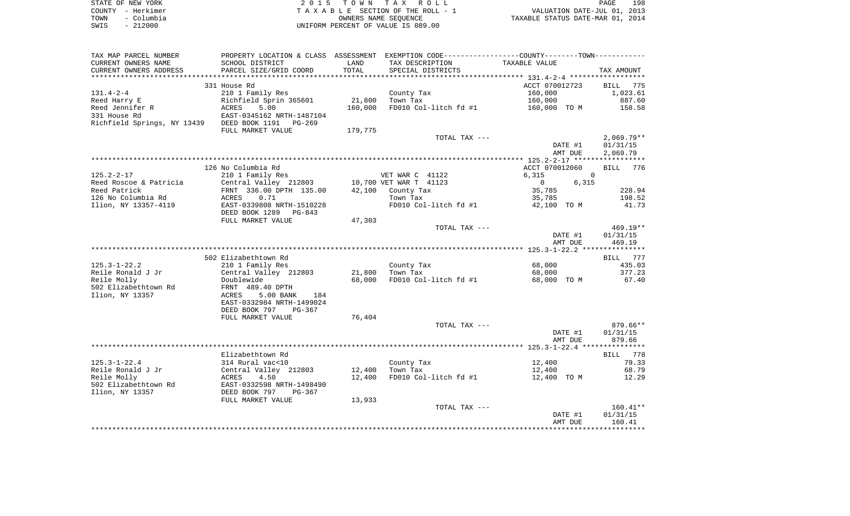|      | STATE OF NEW YORK | 2015 TOWN TAX ROLL                 | PAGE                             | 198 |
|------|-------------------|------------------------------------|----------------------------------|-----|
|      | COUNTY - Herkimer | TAXABLE SECTION OF THE ROLL - 1    | VALUATION DATE-JUL 01, 2013      |     |
| TOWN | – Columbia        | OWNERS NAME SEOUENCE               | TAXABLE STATUS DATE-MAR 01, 2014 |     |
| SWIS | $-212000$         | UNIFORM PERCENT OF VALUE IS 089.00 |                                  |     |

| TAX MAP PARCEL NUMBER                                                |                                                                 |         | PROPERTY LOCATION & CLASS ASSESSMENT EXEMPTION CODE----------------COUNTY--------TOWN----------- |                |                    |                      |
|----------------------------------------------------------------------|-----------------------------------------------------------------|---------|--------------------------------------------------------------------------------------------------|----------------|--------------------|----------------------|
| CURRENT OWNERS NAME                                                  | SCHOOL DISTRICT                                                 | LAND    | TAX DESCRIPTION                                                                                  | TAXABLE VALUE  |                    |                      |
| CURRENT OWNERS ADDRESS                                               | PARCEL SIZE/GRID COORD                                          | TOTAL   | SPECIAL DISTRICTS                                                                                |                |                    | TAX AMOUNT           |
|                                                                      |                                                                 |         |                                                                                                  |                |                    |                      |
|                                                                      | 331 House Rd                                                    |         |                                                                                                  | ACCT 070012723 |                    | BILL 775             |
| 131.4-2-4                                                            | 210 1 Family Res                                                |         | County Tax                                                                                       | 160,000        |                    | 1,023.61             |
| Reed Harry E                                                         | Richfield Sprin 365601                                          | 21,800  | Town Tax                                                                                         | 160,000        |                    | 887.60               |
| Reed Jennifer R                                                      | ACRES 5.00<br>EAST-0345162 NRTH-1487104                         | 160,000 | FD010 Col-litch fd #1                                                                            | 160,000 TO M   |                    | 158.58               |
| 331 House Rd                                                         |                                                                 |         |                                                                                                  |                |                    |                      |
| Richfield Springs, NY 13439 DEED BOOK 1191 PG-269                    |                                                                 |         |                                                                                                  |                |                    |                      |
|                                                                      | FULL MARKET VALUE                                               | 179,775 |                                                                                                  |                |                    |                      |
|                                                                      |                                                                 |         | TOTAL TAX ---                                                                                    |                |                    | $2,069.79**$         |
|                                                                      |                                                                 |         |                                                                                                  |                | DATE #1<br>AMT DUE | 01/31/15<br>2,069.79 |
|                                                                      |                                                                 |         |                                                                                                  |                |                    |                      |
|                                                                      | 126 No Columbia Rd                                              |         |                                                                                                  | ACCT 070012060 |                    | BILL 776             |
| 125.2-2-17                                                           | 210 1 Family Res                                                |         | VET WAR C 41122                                                                                  | 6,315          |                    | $\Omega$             |
| Reed Roscoe & Patricia (Central Valley 212803 10,700 VET WAR T 41123 |                                                                 |         |                                                                                                  | $\overline{0}$ | 6,315              |                      |
| Reed Patrick                                                         | FRNT 336.00 DPTH 135.00                                         |         | $42,100$ County Tax                                                                              | 35,785         |                    | 228.94               |
| 126 No Columbia Rd                                                   | ACRES<br>0.71                                                   |         | Town Tax                                                                                         | 35,785         |                    | 198.52               |
| Ilion, NY 13357–4119                                                 | EAST-0339808 NRTH-1510228                                       |         | FD010 Col-litch fd #1                                                                            | 42,100 TO M    |                    | 41.73                |
|                                                                      | DEED BOOK 1289 PG-843                                           |         |                                                                                                  |                |                    |                      |
|                                                                      | FULL MARKET VALUE                                               | 47,303  |                                                                                                  |                |                    |                      |
|                                                                      |                                                                 |         | TOTAL TAX ---                                                                                    |                |                    | $469.19**$           |
|                                                                      |                                                                 |         |                                                                                                  |                | DATE #1            | 01/31/15             |
|                                                                      |                                                                 |         |                                                                                                  |                | AMT DUE            | 469.19               |
|                                                                      |                                                                 |         |                                                                                                  |                |                    |                      |
|                                                                      | 502 Elizabethtown Rd                                            |         |                                                                                                  |                |                    | BILL 777             |
| 125.3-1-22.2                                                         | 210 1 Family Res                                                |         | County Tax                                                                                       | 68,000         |                    | 435.03               |
| Reile Ronald J Jr                                                    | Central Valley 212803                                           | 21,800  | Town Tax                                                                                         | 68,000         |                    | 377.23               |
| Reile Molly                                                          | Doublewide                                                      | 68,000  | FD010 Col-litch fd #1                                                                            | 68,000 TO M    |                    | 67.40                |
| 502 Elizabethtown Rd                                                 | FRNT 489.40 DPTH                                                |         |                                                                                                  |                |                    |                      |
| Ilion, NY 13357                                                      | 5.00 BANK<br>ACRES<br>184                                       |         |                                                                                                  |                |                    |                      |
|                                                                      | EAST-0332984 NRTH-1499024                                       |         |                                                                                                  |                |                    |                      |
|                                                                      | DEED BOOK 797 PG-367                                            |         |                                                                                                  |                |                    |                      |
|                                                                      | FULL MARKET VALUE                                               | 76,404  |                                                                                                  |                |                    |                      |
|                                                                      |                                                                 |         | TOTAL TAX ---                                                                                    |                |                    | 879.66**             |
|                                                                      |                                                                 |         |                                                                                                  |                | DATE #1            | 01/31/15             |
|                                                                      |                                                                 |         |                                                                                                  |                | AMT DUE            | 879.66               |
|                                                                      | Elizabethtown Rd                                                |         |                                                                                                  |                |                    | BILL 778             |
| 125.3-1-22.4                                                         | 314 Rural vac<10                                                |         | County Tax                                                                                       | 12,400         |                    | 79.33                |
| Reile Ronald J Jr                                                    | Central Valley 212803                                           | 12,400  | Town Tax                                                                                         | 12,400         |                    | 68.79                |
| Reile Molly                                                          |                                                                 | 12,400  | FD010 Col-litch $fd$ #1 $12,400$ TO M                                                            |                |                    | 12.29                |
| 502 Elizabethtown Rd                                                 | ACRES 4.50<br>EAST-0332598 NRTH-1498490<br>DEED BOOK 797 PG-367 |         |                                                                                                  |                |                    |                      |
| Ilion, NY 13357                                                      |                                                                 |         |                                                                                                  |                |                    |                      |
|                                                                      | FULL MARKET VALUE                                               | 13,933  |                                                                                                  |                |                    |                      |
|                                                                      |                                                                 |         | TOTAL TAX ---                                                                                    |                |                    | 160.41**             |
|                                                                      |                                                                 |         |                                                                                                  |                | DATE #1            | 01/31/15             |
|                                                                      |                                                                 |         |                                                                                                  |                | AMT DUE            | 160.41               |
|                                                                      |                                                                 |         |                                                                                                  |                |                    |                      |
|                                                                      |                                                                 |         |                                                                                                  |                |                    |                      |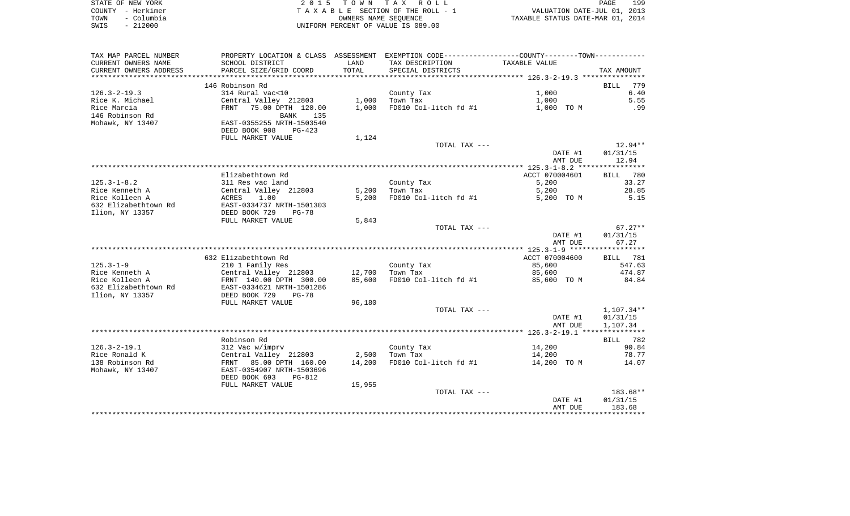|      | STATE OF NEW YORK | 2015 TOWN TAX ROLL                 | PAGE                             | 199 |
|------|-------------------|------------------------------------|----------------------------------|-----|
|      | COUNTY - Herkimer | TAXABLE SECTION OF THE ROLL - 1    | VALUATION DATE-JUL 01, 2013      |     |
| TOWN | - Columbia        | OWNERS NAME SEOUENCE               | TAXABLE STATUS DATE-MAR 01, 2014 |     |
| SWIS | $-212000$         | UNIFORM PERCENT OF VALUE IS 089.00 |                                  |     |

| TAX MAP PARCEL NUMBER  |                                |        | PROPERTY LOCATION & CLASS ASSESSMENT EXEMPTION CODE---------------COUNTY-------TOWN---------- |                |                    |
|------------------------|--------------------------------|--------|-----------------------------------------------------------------------------------------------|----------------|--------------------|
| CURRENT OWNERS NAME    | SCHOOL DISTRICT                | LAND   | TAX DESCRIPTION                                                                               | TAXABLE VALUE  |                    |
| CURRENT OWNERS ADDRESS | PARCEL SIZE/GRID COORD         | TOTAL  | SPECIAL DISTRICTS                                                                             |                | TAX AMOUNT         |
| ********************** | ****************************** |        |                                                                                               |                |                    |
|                        | 146 Robinson Rd                |        |                                                                                               |                | 779<br>BILL        |
| $126.3 - 2 - 19.3$     | 314 Rural vac<10               |        | County Tax                                                                                    | 1,000          | 6.40               |
| Rice K. Michael        | Central Valley 212803          | 1,000  | Town Tax                                                                                      | 1,000          | 5.55               |
| Rice Marcia            | 75.00 DPTH 120.00<br>FRNT      | 1,000  | FD010 Col-litch fd #1                                                                         | 1,000 TO M     | .99                |
| 146 Robinson Rd        | BANK<br>135                    |        |                                                                                               |                |                    |
| Mohawk, NY 13407       | EAST-0355255 NRTH-1503540      |        |                                                                                               |                |                    |
|                        | DEED BOOK 908<br>$PG-423$      |        |                                                                                               |                |                    |
|                        | FULL MARKET VALUE              | 1,124  |                                                                                               |                |                    |
|                        |                                |        | TOTAL TAX ---                                                                                 |                | $12.94**$          |
|                        |                                |        |                                                                                               | DATE #1        | 01/31/15           |
|                        |                                |        |                                                                                               | AMT DUE        | 12.94              |
|                        |                                |        |                                                                                               |                |                    |
|                        | Elizabethtown Rd               |        |                                                                                               | ACCT 070004601 | <b>BILL</b><br>780 |
|                        |                                |        |                                                                                               |                |                    |
| $125.3 - 1 - 8.2$      | 311 Res vac land               |        | County Tax                                                                                    | 5,200          | 33.27              |
| Rice Kenneth A         | Central Valley 212803          | 5,200  | Town Tax                                                                                      | 5,200          | 28.85<br>5.15      |
| Rice Kolleen A         | 1.00<br>ACRES                  | 5,200  | FD010 Col-litch fd #1                                                                         | 5,200 TO M     |                    |
| 632 Elizabethtown Rd   | EAST-0334737 NRTH-1501303      |        |                                                                                               |                |                    |
| Ilion, NY 13357        | DEED BOOK 729<br>$PG-78$       |        |                                                                                               |                |                    |
|                        | FULL MARKET VALUE              | 5,843  |                                                                                               |                |                    |
|                        |                                |        | TOTAL TAX ---                                                                                 |                | $67.27**$          |
|                        |                                |        |                                                                                               | DATE #1        | 01/31/15           |
|                        |                                |        |                                                                                               | AMT DUE        | 67.27              |
|                        |                                |        |                                                                                               |                |                    |
|                        | 632 Elizabethtown Rd           |        |                                                                                               | ACCT 070004600 | <b>BILL</b> 781    |
| $125.3 - 1 - 9$        | 210 1 Family Res               |        | County Tax                                                                                    | 85,600         | 547.63             |
| Rice Kenneth A         | Central Valley 212803          | 12,700 | Town Tax                                                                                      | 85,600         | 474.87             |
| Rice Kolleen A         | FRNT 140.00 DPTH 300.00        | 85,600 | FD010 Col-litch fd #1                                                                         | 85,600 TO M    | 84.84              |
| 632 Elizabethtown Rd   | EAST-0334621 NRTH-1501286      |        |                                                                                               |                |                    |
| Ilion, NY 13357        | DEED BOOK 729<br>$PG-78$       |        |                                                                                               |                |                    |
|                        | FULL MARKET VALUE              | 96,180 |                                                                                               |                |                    |
|                        |                                |        | TOTAL TAX ---                                                                                 |                | 1,107.34**         |
|                        |                                |        |                                                                                               | DATE #1        | 01/31/15           |
|                        |                                |        |                                                                                               | AMT DUE        | 1,107.34           |
|                        |                                |        |                                                                                               |                |                    |
|                        | Robinson Rd                    |        |                                                                                               |                | BILL<br>782        |
| $126.3 - 2 - 19.1$     | 312 Vac w/imprv                |        | County Tax                                                                                    | 14,200         | 90.84              |
| Rice Ronald K          | Central Valley 212803          | 2,500  | Town Tax                                                                                      | 14,200         | 78.77              |
| 138 Robinson Rd        | FRNT 85.00 DPTH 160.00         | 14,200 | FD010 Col-litch fd #1                                                                         | 14,200 TO M    | 14.07              |
| Mohawk, NY 13407       | EAST-0354907 NRTH-1503696      |        |                                                                                               |                |                    |
|                        | DEED BOOK 693<br>PG-812        |        |                                                                                               |                |                    |
|                        | FULL MARKET VALUE              | 15,955 |                                                                                               |                |                    |
|                        |                                |        | TOTAL TAX ---                                                                                 |                | $183.68**$         |
|                        |                                |        |                                                                                               | DATE #1        | 01/31/15           |
|                        |                                |        |                                                                                               | AMT DUE        | 183.68             |
|                        |                                |        |                                                                                               |                |                    |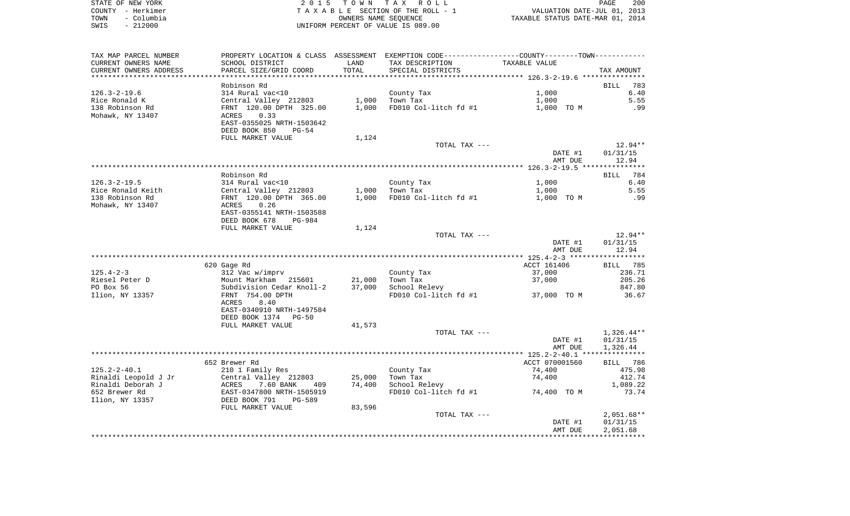|      | STATE OF NEW YORK | 2015 TOWN TAX ROLL                 |                                  | <b>PAGE</b> | 200 |
|------|-------------------|------------------------------------|----------------------------------|-------------|-----|
|      | COUNTY - Herkimer | TAXABLE SECTION OF THE ROLL - 1    | VALUATION DATE-JUL 01, 2013      |             |     |
| TOWN | – Columbia        | OWNERS NAME SEOUENCE               | TAXABLE STATUS DATE-MAR 01, 2014 |             |     |
| SWIS | $-212000$         | UNIFORM PERCENT OF VALUE IS 089.00 |                                  |             |     |

| TAX MAP PARCEL NUMBER      | PROPERTY LOCATION & CLASS ASSESSMENT EXEMPTION CODE---------------COUNTY-------TOWN---------- |        |                       |                    |              |
|----------------------------|-----------------------------------------------------------------------------------------------|--------|-----------------------|--------------------|--------------|
| CURRENT OWNERS NAME        | SCHOOL DISTRICT                                                                               | LAND   | TAX DESCRIPTION       | TAXABLE VALUE      |              |
| CURRENT OWNERS ADDRESS     | PARCEL SIZE/GRID COORD                                                                        | TOTAL  | SPECIAL DISTRICTS     |                    | TAX AMOUNT   |
| ************************** |                                                                                               |        |                       |                    |              |
|                            | Robinson Rd                                                                                   |        |                       |                    | BILL<br>783  |
| $126.3 - 2 - 19.6$         | 314 Rural vac<10                                                                              |        | County Tax            | 1,000              | 6.40         |
| Rice Ronald K              | Central Valley 212803                                                                         | 1,000  | Town Tax              | 1,000              | 5.55         |
| 138 Robinson Rd            | FRNT 120.00 DPTH 325.00                                                                       | 1,000  | FD010 Col-litch fd #1 | 1,000 TO M         | .99          |
| Mohawk, NY 13407           | 0.33<br>ACRES                                                                                 |        |                       |                    |              |
|                            | EAST-0355025 NRTH-1503642                                                                     |        |                       |                    |              |
|                            | DEED BOOK 850<br>$PG-54$                                                                      |        |                       |                    |              |
|                            | FULL MARKET VALUE                                                                             | 1,124  |                       |                    |              |
|                            |                                                                                               |        | TOTAL TAX ---         |                    | $12.94**$    |
|                            |                                                                                               |        |                       | DATE #1            | 01/31/15     |
|                            |                                                                                               |        |                       | AMT DUE            | 12.94        |
|                            |                                                                                               |        |                       |                    |              |
|                            | Robinson Rd                                                                                   |        |                       |                    | 784<br>BILL  |
| $126.3 - 2 - 19.5$         | 314 Rural vac<10                                                                              |        | County Tax            | 1,000              | 6.40         |
| Rice Ronald Keith          | Central Valley 212803                                                                         | 1,000  | Town Tax              | 1,000              | 5.55         |
| 138 Robinson Rd            | FRNT 120.00 DPTH 365.00                                                                       | 1,000  | FD010 Col-litch fd #1 | 1,000 TO M         | .99          |
| Mohawk, NY 13407           | 0.26<br>ACRES                                                                                 |        |                       |                    |              |
|                            | EAST-0355141 NRTH-1503588                                                                     |        |                       |                    |              |
|                            | DEED BOOK 678<br>PG-984                                                                       |        |                       |                    |              |
|                            | FULL MARKET VALUE                                                                             | 1,124  |                       |                    |              |
|                            |                                                                                               |        | TOTAL TAX ---         |                    | 12.94**      |
|                            |                                                                                               |        |                       | DATE #1            | 01/31/15     |
|                            |                                                                                               |        |                       | AMT DUE            | 12.94        |
|                            |                                                                                               |        |                       |                    |              |
|                            | 620 Gage Rd                                                                                   |        |                       | ACCT 161406        | 785<br>BILL  |
| $125.4 - 2 - 3$            | 312 Vac w/imprv                                                                               |        | County Tax            | 37,000             | 236.71       |
| Riesel Peter D             | Mount Markham 215601                                                                          | 21,000 | Town Tax              | 37,000             | 205.26       |
| PO Box 56                  | Subdivision Cedar Knoll-2                                                                     | 37,000 | School Relevy         |                    | 847.80       |
| Ilion, NY 13357            | FRNT 754.00 DPTH                                                                              |        | FD010 Col-litch fd #1 | 37,000 TO M        | 36.67        |
|                            | 8.40<br>ACRES                                                                                 |        |                       |                    |              |
|                            | EAST-0340910 NRTH-1497584                                                                     |        |                       |                    |              |
|                            | DEED BOOK 1374 PG-50                                                                          |        |                       |                    |              |
|                            | FULL MARKET VALUE                                                                             | 41,573 |                       |                    |              |
|                            |                                                                                               |        | TOTAL TAX ---         |                    | 1,326.44**   |
|                            |                                                                                               |        |                       | DATE #1<br>AMT DUE | 01/31/15     |
|                            |                                                                                               |        |                       |                    | 1,326.44     |
|                            | 652 Brewer Rd                                                                                 |        |                       | ACCT 070001560     | BILL 786     |
| $125.2 - 2 - 40.1$         | 210 1 Family Res                                                                              |        | County Tax            | 74,400             | 475.98       |
| Rinaldi Leopold J Jr       | Central Valley 212803                                                                         | 25,000 | Town Tax              | 74,400             | 412.74       |
| Rinaldi Deborah J          | ACRES<br>7.60 BANK<br>409                                                                     | 74,400 | School Relevy         |                    | 1,089.22     |
| 652 Brewer Rd              | EAST-0347800 NRTH-1505919                                                                     |        | FD010 Col-litch fd #1 | 74,400 TO M        | 73.74        |
| Ilion, NY 13357            | DEED BOOK 791<br>PG-589                                                                       |        |                       |                    |              |
|                            | FULL MARKET VALUE                                                                             | 83,596 |                       |                    |              |
|                            |                                                                                               |        | TOTAL TAX ---         |                    | $2,051.68**$ |
|                            |                                                                                               |        |                       | DATE #1            | 01/31/15     |
|                            |                                                                                               |        |                       | AMT DUE            | 2,051.68     |
|                            |                                                                                               |        |                       |                    |              |
|                            |                                                                                               |        |                       |                    |              |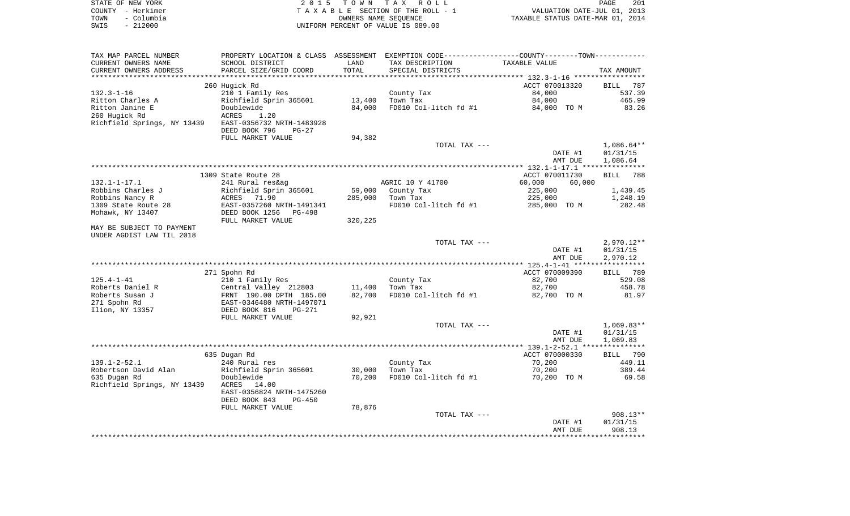|      | STATE OF NEW YORK | 2015 TOWN TAX ROLL                                             | PAGE | 201 |
|------|-------------------|----------------------------------------------------------------|------|-----|
|      | COUNTY - Herkimer | VALUATION DATE-JUL 01, 2013<br>TAXABLE SECTION OF THE ROLL - 1 |      |     |
| TOWN | – Columbia        | TAXABLE STATUS DATE-MAR 01, 2014<br>OWNERS NAME SEOUENCE       |      |     |
| SWIS | $-212000$         | UNIFORM PERCENT OF VALUE IS 089.00                             |      |     |

| TAX MAP PARCEL NUMBER       | PROPERTY LOCATION & CLASS ASSESSMENT |         |                       |                  |                    |
|-----------------------------|--------------------------------------|---------|-----------------------|------------------|--------------------|
| CURRENT OWNERS NAME         | SCHOOL DISTRICT                      | LAND    | TAX DESCRIPTION       | TAXABLE VALUE    |                    |
| CURRENT OWNERS ADDRESS      | PARCEL SIZE/GRID COORD               | TOTAL   | SPECIAL DISTRICTS     |                  | TAX AMOUNT         |
| **************              |                                      |         |                       |                  |                    |
|                             | 260 Hugick Rd                        |         |                       | ACCT 070013320   | BILL<br>787        |
| $132.3 - 1 - 16$            | 210 1 Family Res                     |         | County Tax            | 84,000           | 537.39             |
| Ritton Charles A            | Richfield Sprin 365601               | 13,400  | Town Tax              | 84,000           | 465.99             |
| Ritton Janine E             | Doublewide                           | 84,000  | FD010 Col-litch fd #1 | 84,000 TO M      | 83.26              |
| 260 Hugick Rd               | ACRES<br>1.20                        |         |                       |                  |                    |
| Richfield Springs, NY 13439 | EAST-0356732 NRTH-1483928            |         |                       |                  |                    |
|                             | DEED BOOK 796<br>$PG-27$             |         |                       |                  |                    |
|                             | FULL MARKET VALUE                    | 94,382  |                       |                  |                    |
|                             |                                      |         |                       |                  |                    |
|                             |                                      |         | TOTAL TAX ---         |                  | $1,086.64**$       |
|                             |                                      |         |                       | DATE #1          | 01/31/15           |
|                             |                                      |         |                       | AMT DUE          | 1,086.64           |
|                             |                                      |         |                       |                  |                    |
|                             | 1309 State Route 28                  |         |                       | ACCT 070011730   | 788<br><b>BILL</b> |
| $132.1 - 1 - 17.1$          | 241 Rural res&ag                     |         | AGRIC 10 Y 41700      | 60,000<br>60,000 |                    |
| Robbins Charles J           | Richfield Sprin 365601               | 59,000  | County Tax            | 225,000          | 1,439.45           |
| Robbins Nancy R             | 71.90<br>ACRES                       | 285,000 | Town Tax              | 225,000          | 1,248.19           |
| 1309 State Route 28         | EAST-0357260 NRTH-1491341            |         | FD010 Col-litch fd #1 | 285,000 TO M     | 282.48             |
| Mohawk, NY 13407            | DEED BOOK 1256<br>PG-498             |         |                       |                  |                    |
|                             | FULL MARKET VALUE                    | 320,225 |                       |                  |                    |
| MAY BE SUBJECT TO PAYMENT   |                                      |         |                       |                  |                    |
| UNDER AGDIST LAW TIL 2018   |                                      |         |                       |                  |                    |
|                             |                                      |         | TOTAL TAX ---         |                  | $2,970.12**$       |
|                             |                                      |         |                       | DATE #1          | 01/31/15           |
|                             |                                      |         |                       | AMT DUE          | 2,970.12           |
|                             |                                      |         |                       |                  |                    |
|                             | 271 Spohn Rd                         |         |                       | ACCT 070009390   | BILL 789           |
|                             | 210 1 Family Res                     |         |                       | 82,700           | 529.08             |
| $125.4 - 1 - 41$            |                                      |         | County Tax            |                  |                    |
| Roberts Daniel R            | Central Valley 212803                | 11,400  | Town Tax              | 82,700           | 458.78             |
| Roberts Susan J             | FRNT 190.00 DPTH 185.00              | 82,700  | FD010 Col-litch fd #1 | 82,700 TO M      | 81.97              |
| 271 Spohn Rd                | EAST-0346480 NRTH-1497071            |         |                       |                  |                    |
| Ilion, NY 13357             | DEED BOOK 816<br>$PG-271$            |         |                       |                  |                    |
|                             | FULL MARKET VALUE                    | 92,921  |                       |                  |                    |
|                             |                                      |         | TOTAL TAX ---         |                  | $1,069.83**$       |
|                             |                                      |         |                       | DATE #1          | 01/31/15           |
|                             |                                      |         |                       | AMT DUE          | 1,069.83           |
|                             |                                      |         |                       |                  |                    |
|                             | 635 Dugan Rd                         |         |                       | ACCT 070000330   | BILL 790           |
| $139.1 - 2 - 52.1$          | 240 Rural res                        |         | County Tax            | 70,200           | 449.11             |
| Robertson David Alan        | Richfield Sprin 365601               | 30,000  | Town Tax              | 70,200           | 389.44             |
| 635 Dugan Rd                | Doublewide                           | 70,200  | FD010 Col-litch fd #1 | 70,200 TO M      | 69.58              |
| Richfield Springs, NY 13439 | ACRES<br>14.00                       |         |                       |                  |                    |
|                             | EAST-0356824 NRTH-1475260            |         |                       |                  |                    |
|                             | DEED BOOK 843<br>$PG-450$            |         |                       |                  |                    |
|                             | FULL MARKET VALUE                    | 78,876  |                       |                  |                    |
|                             |                                      |         | TOTAL TAX ---         |                  | $908.13**$         |
|                             |                                      |         |                       | DATE #1          | 01/31/15           |
|                             |                                      |         |                       | AMT DUE          | 908.13             |
|                             |                                      |         |                       |                  |                    |
|                             |                                      |         |                       |                  |                    |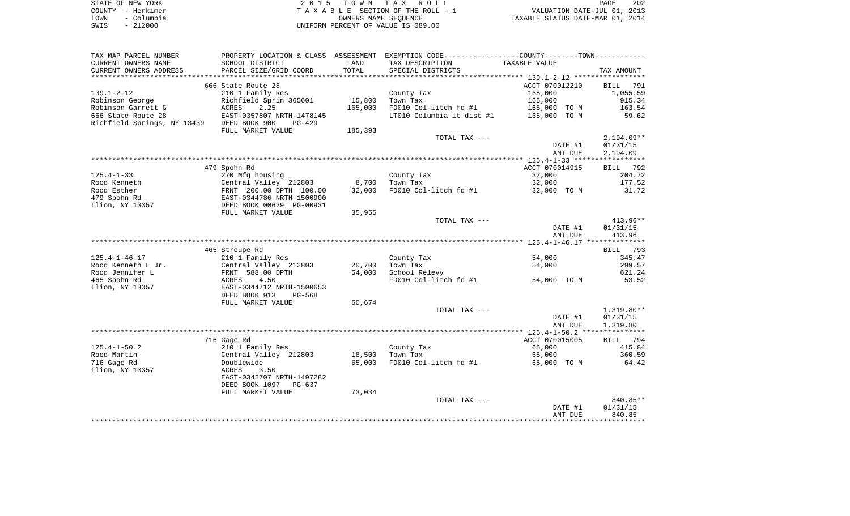|      | STATE OF NEW YORK | 2015 TOWN TAX ROLL                 | 202<br>PAGE                      |
|------|-------------------|------------------------------------|----------------------------------|
|      | COUNTY - Herkimer | TAXABLE SECTION OF THE ROLL - 1    | VALUATION DATE-JUL 01, 2013      |
| TOWN | – Columbia        | OWNERS NAME SEOUENCE               | TAXABLE STATUS DATE-MAR 01, 2014 |
| SWIS | $-212000$         | UNIFORM PERCENT OF VALUE IS 089.00 |                                  |

| TAX MAP PARCEL NUMBER                     | PROPERTY LOCATION & CLASS | ASSESSMENT      | EXEMPTION CODE-----------------COUNTY-------TOWN----------- |                |                    |
|-------------------------------------------|---------------------------|-----------------|-------------------------------------------------------------|----------------|--------------------|
| CURRENT OWNERS NAME                       | SCHOOL DISTRICT           | LAND            | TAX DESCRIPTION                                             | TAXABLE VALUE  |                    |
| CURRENT OWNERS ADDRESS                    | PARCEL SIZE/GRID COORD    | TOTAL           | SPECIAL DISTRICTS                                           |                | TAX AMOUNT         |
| ****************                          |                           | *************** |                                                             |                |                    |
|                                           | 666 State Route 28        |                 |                                                             | ACCT 070012210 | BILL<br>791        |
| $139.1 - 2 - 12$                          | 210 1 Family Res          |                 | County Tax                                                  | 165,000        | 1,055.59           |
| Robinson George                           | Richfield Sprin 365601    | 15,800          | Town Tax                                                    | 165,000        | 915.34             |
| Robinson Garrett G                        | 2.25<br>ACRES             | 165,000         | FD010 Col-litch fd #1                                       | 165,000 TO M   | 163.54             |
| 666 State Route 28                        | EAST-0357807 NRTH-1478145 |                 | LT010 Columbia 1t dist #1                                   | 165,000 TO M   | 59.62              |
| Richfield Springs, NY 13439 DEED BOOK 900 | PG-429                    |                 |                                                             |                |                    |
|                                           | FULL MARKET VALUE         | 185,393         |                                                             |                |                    |
|                                           |                           |                 | TOTAL TAX ---                                               |                | $2,194.09**$       |
|                                           |                           |                 |                                                             | DATE #1        | 01/31/15           |
|                                           |                           |                 |                                                             | AMT DUE        | 2,194.09           |
|                                           | 479 Spohn Rd              |                 |                                                             | ACCT 070014915 |                    |
| $125.4 - 1 - 33$                          | 270 Mfg housing           |                 | County Tax                                                  | 32,000         | BILL 792<br>204.72 |
| Rood Kenneth                              | Central Valley 212803     | 8,700           | Town Tax                                                    | 32,000         | 177.52             |
| Rood Esther                               | FRNT 200.00 DPTH 100.00   | 32,000          | FD010 Col-litch fd #1                                       | 32,000 TO M    | 31.72              |
| 479 Spohn Rd                              | EAST-0344786 NRTH-1500900 |                 |                                                             |                |                    |
| Ilion, NY 13357                           | DEED BOOK 00629 PG-00931  |                 |                                                             |                |                    |
|                                           | FULL MARKET VALUE         | 35,955          |                                                             |                |                    |
|                                           |                           |                 | TOTAL TAX ---                                               |                | 413.96**           |
|                                           |                           |                 |                                                             | DATE #1        | 01/31/15           |
|                                           |                           |                 |                                                             | AMT DUE        | 413.96             |
|                                           |                           |                 |                                                             |                |                    |
|                                           | 465 Stroupe Rd            |                 |                                                             |                | BILL 793           |
| $125.4 - 1 - 46.17$                       | 210 1 Family Res          |                 | County Tax                                                  | 54,000         | 345.47             |
| Rood Kenneth L Jr.                        | Central Valley 212803     | 20,700          | Town Tax                                                    | 54,000         | 299.57             |
| Rood Jennifer L                           | FRNT 588.00 DPTH          | 54,000          | School Relevy                                               |                | 621.24             |
| 465 Spohn Rd                              | 4.50<br>ACRES             |                 | FD010 Col-litch fd #1                                       | 54,000 TO M    | 53.52              |
| Ilion, NY 13357                           | EAST-0344712 NRTH-1500653 |                 |                                                             |                |                    |
|                                           | DEED BOOK 913<br>PG-568   |                 |                                                             |                |                    |
|                                           | FULL MARKET VALUE         | 60,674          |                                                             |                |                    |
|                                           |                           |                 | TOTAL TAX ---                                               |                | $1,319.80**$       |
|                                           |                           |                 |                                                             | DATE #1        | 01/31/15           |
|                                           |                           |                 |                                                             | AMT DUE        | 1,319.80           |
|                                           |                           |                 |                                                             |                |                    |
|                                           | 716 Gage Rd               |                 |                                                             | ACCT 070015005 | BILL 794           |
| $125.4 - 1 - 50.2$                        | 210 1 Family Res          |                 | County Tax                                                  | 65,000         | 415.84             |
| Rood Martin                               | Central Valley 212803     | 18,500          | Town Tax                                                    | 65,000         | 360.59             |
| 716 Gage Rd                               | Doublewide                | 65,000          | FD010 Col-litch fd #1                                       | 65,000 TO M    | 64.42              |
| Ilion, NY 13357                           | 3.50<br>ACRES             |                 |                                                             |                |                    |
|                                           | EAST-0342707 NRTH-1497282 |                 |                                                             |                |                    |
|                                           | DEED BOOK 1097<br>PG-637  |                 |                                                             |                |                    |
|                                           | FULL MARKET VALUE         | 73,034          |                                                             |                |                    |
|                                           |                           |                 | TOTAL TAX ---                                               | DATE #1        | 840.85**           |
|                                           |                           |                 |                                                             | AMT DUE        | 01/31/15<br>840.85 |
|                                           |                           |                 |                                                             |                |                    |
|                                           |                           |                 |                                                             |                |                    |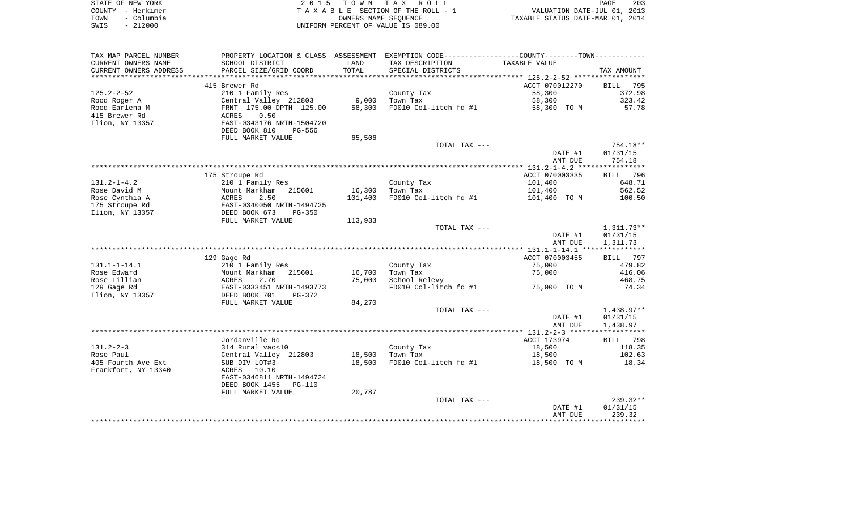| STATE OF NEW YORK |            | 2015 TOWN TAX ROLL                 |                      |                                  | PAGE | 203 |
|-------------------|------------|------------------------------------|----------------------|----------------------------------|------|-----|
| COUNTY - Herkimer |            | TAXABLE SECTION OF THE ROLL - 1    |                      | VALUATION DATE-JUL 01, 2013      |      |     |
| TOWN              | – Columbia |                                    | OWNERS NAME SEOUENCE | TAXABLE STATUS DATE-MAR 01, 2014 |      |     |
| SWIS              | $-212000$  | UNIFORM PERCENT OF VALUE IS 089.00 |                      |                                  |      |     |

| CURRENT OWNERS NAME<br>SCHOOL DISTRICT<br>TAX DESCRIPTION<br>TAXABLE VALUE<br>LAND<br>TOTAL<br>PARCEL SIZE/GRID COORD<br>SPECIAL DISTRICTS<br>TAX AMOUNT<br>ACCT 070012270<br>415 Brewer Rd<br>BILL 795<br>$125.2 - 2 - 52$<br>210 1 Family Res<br>58,300<br>372.98<br>County Tax<br>Central Valley 212803<br>9,000<br>58,300<br>323.42<br>Town Tax<br>57.78<br>FRNT 175.00 DPTH 125.00<br>58,300<br>FD010 Col-litch fd #1<br>58,300 TO M<br>0.50<br>ACRES<br>EAST-0343176 NRTH-1504720<br>DEED BOOK 810<br>PG-556<br>65,506<br>FULL MARKET VALUE<br>TOTAL TAX ---<br>754.18**<br>DATE #1<br>01/31/15<br>754.18<br>AMT DUE<br>ACCT 070003335<br>175 Stroupe Rd<br>BILL 796<br>$131.2 - 1 - 4.2$<br>210 1 Family Res<br>County Tax<br>101,400<br>648.71<br>16,300<br>101,400<br>562.52<br>Mount Markham 215601<br>Town Tax<br>ACRES<br>2.50<br>101,400<br>FD010 Col-litch fd #1<br>101,400 TO M<br>100.50<br>EAST-0340050 NRTH-1494725<br>DEED BOOK 673<br>$PG-350$<br>FULL MARKET VALUE<br>113,933<br>$1,311.73**$<br>TOTAL TAX ---<br>DATE #1<br>01/31/15<br>AMT DUE<br>1,311.73<br>ACCT 070003455<br>BILL 797<br>129 Gage Rd<br>210 1 Family Res<br>County Tax<br>75,000<br>479.82<br>Mount Markham 215601<br>16,700<br>75,000<br>416.06<br>Town Tax<br><b>ACRES</b><br>75,000<br>School Relevy<br>468.75<br>2.70<br>75,000 TO M<br>EAST-0333451 NRTH-1493773<br>FD010 Col-litch fd #1<br>74.34<br>DEED BOOK 701<br>PG-372<br>84,270<br>FULL MARKET VALUE<br>TOTAL TAX ---<br>1,438.97**<br>DATE #1<br>01/31/15<br>AMT DUE<br>1,438.97<br>Jordanville Rd<br>ACCT 173974<br>BILL 798<br>18,500<br>314 Rural vac<10<br>County Tax<br>118.35<br>Central Valley 212803<br>18,500<br>Town Tax<br>18,500<br>102.63<br>FD010 Col-litch fd #1<br>SUB DIV LOT#3<br>18,500<br>18,500 TO M<br>18.34<br>ACRES 10.10<br>EAST-0346811 NRTH-1494724<br>DEED BOOK 1455<br>PG-110<br>20,787<br>FULL MARKET VALUE<br>$239.32**$<br>TOTAL TAX ---<br>DATE #1<br>01/31/15<br>239.32<br>AMT DUE | TAX MAP PARCEL NUMBER  | PROPERTY LOCATION & CLASS ASSESSMENT EXEMPTION CODE---------------COUNTY-------TOWN---------- |  |  |
|------------------------------------------------------------------------------------------------------------------------------------------------------------------------------------------------------------------------------------------------------------------------------------------------------------------------------------------------------------------------------------------------------------------------------------------------------------------------------------------------------------------------------------------------------------------------------------------------------------------------------------------------------------------------------------------------------------------------------------------------------------------------------------------------------------------------------------------------------------------------------------------------------------------------------------------------------------------------------------------------------------------------------------------------------------------------------------------------------------------------------------------------------------------------------------------------------------------------------------------------------------------------------------------------------------------------------------------------------------------------------------------------------------------------------------------------------------------------------------------------------------------------------------------------------------------------------------------------------------------------------------------------------------------------------------------------------------------------------------------------------------------------------------------------------------------------------------------------------------------------------------------------------------------------------------------------------------------------------|------------------------|-----------------------------------------------------------------------------------------------|--|--|
|                                                                                                                                                                                                                                                                                                                                                                                                                                                                                                                                                                                                                                                                                                                                                                                                                                                                                                                                                                                                                                                                                                                                                                                                                                                                                                                                                                                                                                                                                                                                                                                                                                                                                                                                                                                                                                                                                                                                                                              |                        |                                                                                               |  |  |
|                                                                                                                                                                                                                                                                                                                                                                                                                                                                                                                                                                                                                                                                                                                                                                                                                                                                                                                                                                                                                                                                                                                                                                                                                                                                                                                                                                                                                                                                                                                                                                                                                                                                                                                                                                                                                                                                                                                                                                              | CURRENT OWNERS ADDRESS |                                                                                               |  |  |
|                                                                                                                                                                                                                                                                                                                                                                                                                                                                                                                                                                                                                                                                                                                                                                                                                                                                                                                                                                                                                                                                                                                                                                                                                                                                                                                                                                                                                                                                                                                                                                                                                                                                                                                                                                                                                                                                                                                                                                              |                        |                                                                                               |  |  |
|                                                                                                                                                                                                                                                                                                                                                                                                                                                                                                                                                                                                                                                                                                                                                                                                                                                                                                                                                                                                                                                                                                                                                                                                                                                                                                                                                                                                                                                                                                                                                                                                                                                                                                                                                                                                                                                                                                                                                                              |                        |                                                                                               |  |  |
|                                                                                                                                                                                                                                                                                                                                                                                                                                                                                                                                                                                                                                                                                                                                                                                                                                                                                                                                                                                                                                                                                                                                                                                                                                                                                                                                                                                                                                                                                                                                                                                                                                                                                                                                                                                                                                                                                                                                                                              |                        |                                                                                               |  |  |
|                                                                                                                                                                                                                                                                                                                                                                                                                                                                                                                                                                                                                                                                                                                                                                                                                                                                                                                                                                                                                                                                                                                                                                                                                                                                                                                                                                                                                                                                                                                                                                                                                                                                                                                                                                                                                                                                                                                                                                              | Rood Roger A           |                                                                                               |  |  |
|                                                                                                                                                                                                                                                                                                                                                                                                                                                                                                                                                                                                                                                                                                                                                                                                                                                                                                                                                                                                                                                                                                                                                                                                                                                                                                                                                                                                                                                                                                                                                                                                                                                                                                                                                                                                                                                                                                                                                                              | Rood Earlena M         |                                                                                               |  |  |
|                                                                                                                                                                                                                                                                                                                                                                                                                                                                                                                                                                                                                                                                                                                                                                                                                                                                                                                                                                                                                                                                                                                                                                                                                                                                                                                                                                                                                                                                                                                                                                                                                                                                                                                                                                                                                                                                                                                                                                              | 415 Brewer Rd          |                                                                                               |  |  |
|                                                                                                                                                                                                                                                                                                                                                                                                                                                                                                                                                                                                                                                                                                                                                                                                                                                                                                                                                                                                                                                                                                                                                                                                                                                                                                                                                                                                                                                                                                                                                                                                                                                                                                                                                                                                                                                                                                                                                                              | Ilion, NY 13357        |                                                                                               |  |  |
|                                                                                                                                                                                                                                                                                                                                                                                                                                                                                                                                                                                                                                                                                                                                                                                                                                                                                                                                                                                                                                                                                                                                                                                                                                                                                                                                                                                                                                                                                                                                                                                                                                                                                                                                                                                                                                                                                                                                                                              |                        |                                                                                               |  |  |
|                                                                                                                                                                                                                                                                                                                                                                                                                                                                                                                                                                                                                                                                                                                                                                                                                                                                                                                                                                                                                                                                                                                                                                                                                                                                                                                                                                                                                                                                                                                                                                                                                                                                                                                                                                                                                                                                                                                                                                              |                        |                                                                                               |  |  |
|                                                                                                                                                                                                                                                                                                                                                                                                                                                                                                                                                                                                                                                                                                                                                                                                                                                                                                                                                                                                                                                                                                                                                                                                                                                                                                                                                                                                                                                                                                                                                                                                                                                                                                                                                                                                                                                                                                                                                                              |                        |                                                                                               |  |  |
|                                                                                                                                                                                                                                                                                                                                                                                                                                                                                                                                                                                                                                                                                                                                                                                                                                                                                                                                                                                                                                                                                                                                                                                                                                                                                                                                                                                                                                                                                                                                                                                                                                                                                                                                                                                                                                                                                                                                                                              |                        |                                                                                               |  |  |
|                                                                                                                                                                                                                                                                                                                                                                                                                                                                                                                                                                                                                                                                                                                                                                                                                                                                                                                                                                                                                                                                                                                                                                                                                                                                                                                                                                                                                                                                                                                                                                                                                                                                                                                                                                                                                                                                                                                                                                              |                        |                                                                                               |  |  |
|                                                                                                                                                                                                                                                                                                                                                                                                                                                                                                                                                                                                                                                                                                                                                                                                                                                                                                                                                                                                                                                                                                                                                                                                                                                                                                                                                                                                                                                                                                                                                                                                                                                                                                                                                                                                                                                                                                                                                                              |                        |                                                                                               |  |  |
|                                                                                                                                                                                                                                                                                                                                                                                                                                                                                                                                                                                                                                                                                                                                                                                                                                                                                                                                                                                                                                                                                                                                                                                                                                                                                                                                                                                                                                                                                                                                                                                                                                                                                                                                                                                                                                                                                                                                                                              |                        |                                                                                               |  |  |
|                                                                                                                                                                                                                                                                                                                                                                                                                                                                                                                                                                                                                                                                                                                                                                                                                                                                                                                                                                                                                                                                                                                                                                                                                                                                                                                                                                                                                                                                                                                                                                                                                                                                                                                                                                                                                                                                                                                                                                              |                        |                                                                                               |  |  |
|                                                                                                                                                                                                                                                                                                                                                                                                                                                                                                                                                                                                                                                                                                                                                                                                                                                                                                                                                                                                                                                                                                                                                                                                                                                                                                                                                                                                                                                                                                                                                                                                                                                                                                                                                                                                                                                                                                                                                                              | Rose David M           |                                                                                               |  |  |
|                                                                                                                                                                                                                                                                                                                                                                                                                                                                                                                                                                                                                                                                                                                                                                                                                                                                                                                                                                                                                                                                                                                                                                                                                                                                                                                                                                                                                                                                                                                                                                                                                                                                                                                                                                                                                                                                                                                                                                              | Rose Cynthia A         |                                                                                               |  |  |
|                                                                                                                                                                                                                                                                                                                                                                                                                                                                                                                                                                                                                                                                                                                                                                                                                                                                                                                                                                                                                                                                                                                                                                                                                                                                                                                                                                                                                                                                                                                                                                                                                                                                                                                                                                                                                                                                                                                                                                              | 175 Stroupe Rd         |                                                                                               |  |  |
|                                                                                                                                                                                                                                                                                                                                                                                                                                                                                                                                                                                                                                                                                                                                                                                                                                                                                                                                                                                                                                                                                                                                                                                                                                                                                                                                                                                                                                                                                                                                                                                                                                                                                                                                                                                                                                                                                                                                                                              | Ilion, NY 13357        |                                                                                               |  |  |
|                                                                                                                                                                                                                                                                                                                                                                                                                                                                                                                                                                                                                                                                                                                                                                                                                                                                                                                                                                                                                                                                                                                                                                                                                                                                                                                                                                                                                                                                                                                                                                                                                                                                                                                                                                                                                                                                                                                                                                              |                        |                                                                                               |  |  |
|                                                                                                                                                                                                                                                                                                                                                                                                                                                                                                                                                                                                                                                                                                                                                                                                                                                                                                                                                                                                                                                                                                                                                                                                                                                                                                                                                                                                                                                                                                                                                                                                                                                                                                                                                                                                                                                                                                                                                                              |                        |                                                                                               |  |  |
|                                                                                                                                                                                                                                                                                                                                                                                                                                                                                                                                                                                                                                                                                                                                                                                                                                                                                                                                                                                                                                                                                                                                                                                                                                                                                                                                                                                                                                                                                                                                                                                                                                                                                                                                                                                                                                                                                                                                                                              |                        |                                                                                               |  |  |
|                                                                                                                                                                                                                                                                                                                                                                                                                                                                                                                                                                                                                                                                                                                                                                                                                                                                                                                                                                                                                                                                                                                                                                                                                                                                                                                                                                                                                                                                                                                                                                                                                                                                                                                                                                                                                                                                                                                                                                              |                        |                                                                                               |  |  |
|                                                                                                                                                                                                                                                                                                                                                                                                                                                                                                                                                                                                                                                                                                                                                                                                                                                                                                                                                                                                                                                                                                                                                                                                                                                                                                                                                                                                                                                                                                                                                                                                                                                                                                                                                                                                                                                                                                                                                                              |                        |                                                                                               |  |  |
|                                                                                                                                                                                                                                                                                                                                                                                                                                                                                                                                                                                                                                                                                                                                                                                                                                                                                                                                                                                                                                                                                                                                                                                                                                                                                                                                                                                                                                                                                                                                                                                                                                                                                                                                                                                                                                                                                                                                                                              |                        |                                                                                               |  |  |
|                                                                                                                                                                                                                                                                                                                                                                                                                                                                                                                                                                                                                                                                                                                                                                                                                                                                                                                                                                                                                                                                                                                                                                                                                                                                                                                                                                                                                                                                                                                                                                                                                                                                                                                                                                                                                                                                                                                                                                              | $131.1 - 1 - 14.1$     |                                                                                               |  |  |
|                                                                                                                                                                                                                                                                                                                                                                                                                                                                                                                                                                                                                                                                                                                                                                                                                                                                                                                                                                                                                                                                                                                                                                                                                                                                                                                                                                                                                                                                                                                                                                                                                                                                                                                                                                                                                                                                                                                                                                              | Rose Edward            |                                                                                               |  |  |
|                                                                                                                                                                                                                                                                                                                                                                                                                                                                                                                                                                                                                                                                                                                                                                                                                                                                                                                                                                                                                                                                                                                                                                                                                                                                                                                                                                                                                                                                                                                                                                                                                                                                                                                                                                                                                                                                                                                                                                              | Rose Lillian           |                                                                                               |  |  |
|                                                                                                                                                                                                                                                                                                                                                                                                                                                                                                                                                                                                                                                                                                                                                                                                                                                                                                                                                                                                                                                                                                                                                                                                                                                                                                                                                                                                                                                                                                                                                                                                                                                                                                                                                                                                                                                                                                                                                                              | 129 Gage Rd            |                                                                                               |  |  |
|                                                                                                                                                                                                                                                                                                                                                                                                                                                                                                                                                                                                                                                                                                                                                                                                                                                                                                                                                                                                                                                                                                                                                                                                                                                                                                                                                                                                                                                                                                                                                                                                                                                                                                                                                                                                                                                                                                                                                                              | Ilion, NY 13357        |                                                                                               |  |  |
|                                                                                                                                                                                                                                                                                                                                                                                                                                                                                                                                                                                                                                                                                                                                                                                                                                                                                                                                                                                                                                                                                                                                                                                                                                                                                                                                                                                                                                                                                                                                                                                                                                                                                                                                                                                                                                                                                                                                                                              |                        |                                                                                               |  |  |
|                                                                                                                                                                                                                                                                                                                                                                                                                                                                                                                                                                                                                                                                                                                                                                                                                                                                                                                                                                                                                                                                                                                                                                                                                                                                                                                                                                                                                                                                                                                                                                                                                                                                                                                                                                                                                                                                                                                                                                              |                        |                                                                                               |  |  |
|                                                                                                                                                                                                                                                                                                                                                                                                                                                                                                                                                                                                                                                                                                                                                                                                                                                                                                                                                                                                                                                                                                                                                                                                                                                                                                                                                                                                                                                                                                                                                                                                                                                                                                                                                                                                                                                                                                                                                                              |                        |                                                                                               |  |  |
|                                                                                                                                                                                                                                                                                                                                                                                                                                                                                                                                                                                                                                                                                                                                                                                                                                                                                                                                                                                                                                                                                                                                                                                                                                                                                                                                                                                                                                                                                                                                                                                                                                                                                                                                                                                                                                                                                                                                                                              |                        |                                                                                               |  |  |
|                                                                                                                                                                                                                                                                                                                                                                                                                                                                                                                                                                                                                                                                                                                                                                                                                                                                                                                                                                                                                                                                                                                                                                                                                                                                                                                                                                                                                                                                                                                                                                                                                                                                                                                                                                                                                                                                                                                                                                              |                        |                                                                                               |  |  |
|                                                                                                                                                                                                                                                                                                                                                                                                                                                                                                                                                                                                                                                                                                                                                                                                                                                                                                                                                                                                                                                                                                                                                                                                                                                                                                                                                                                                                                                                                                                                                                                                                                                                                                                                                                                                                                                                                                                                                                              |                        |                                                                                               |  |  |
|                                                                                                                                                                                                                                                                                                                                                                                                                                                                                                                                                                                                                                                                                                                                                                                                                                                                                                                                                                                                                                                                                                                                                                                                                                                                                                                                                                                                                                                                                                                                                                                                                                                                                                                                                                                                                                                                                                                                                                              | $131.2 - 2 - 3$        |                                                                                               |  |  |
|                                                                                                                                                                                                                                                                                                                                                                                                                                                                                                                                                                                                                                                                                                                                                                                                                                                                                                                                                                                                                                                                                                                                                                                                                                                                                                                                                                                                                                                                                                                                                                                                                                                                                                                                                                                                                                                                                                                                                                              | Rose Paul              |                                                                                               |  |  |
|                                                                                                                                                                                                                                                                                                                                                                                                                                                                                                                                                                                                                                                                                                                                                                                                                                                                                                                                                                                                                                                                                                                                                                                                                                                                                                                                                                                                                                                                                                                                                                                                                                                                                                                                                                                                                                                                                                                                                                              | 405 Fourth Ave Ext     |                                                                                               |  |  |
|                                                                                                                                                                                                                                                                                                                                                                                                                                                                                                                                                                                                                                                                                                                                                                                                                                                                                                                                                                                                                                                                                                                                                                                                                                                                                                                                                                                                                                                                                                                                                                                                                                                                                                                                                                                                                                                                                                                                                                              | Frankfort, NY 13340    |                                                                                               |  |  |
|                                                                                                                                                                                                                                                                                                                                                                                                                                                                                                                                                                                                                                                                                                                                                                                                                                                                                                                                                                                                                                                                                                                                                                                                                                                                                                                                                                                                                                                                                                                                                                                                                                                                                                                                                                                                                                                                                                                                                                              |                        |                                                                                               |  |  |
|                                                                                                                                                                                                                                                                                                                                                                                                                                                                                                                                                                                                                                                                                                                                                                                                                                                                                                                                                                                                                                                                                                                                                                                                                                                                                                                                                                                                                                                                                                                                                                                                                                                                                                                                                                                                                                                                                                                                                                              |                        |                                                                                               |  |  |
|                                                                                                                                                                                                                                                                                                                                                                                                                                                                                                                                                                                                                                                                                                                                                                                                                                                                                                                                                                                                                                                                                                                                                                                                                                                                                                                                                                                                                                                                                                                                                                                                                                                                                                                                                                                                                                                                                                                                                                              |                        |                                                                                               |  |  |
|                                                                                                                                                                                                                                                                                                                                                                                                                                                                                                                                                                                                                                                                                                                                                                                                                                                                                                                                                                                                                                                                                                                                                                                                                                                                                                                                                                                                                                                                                                                                                                                                                                                                                                                                                                                                                                                                                                                                                                              |                        |                                                                                               |  |  |
|                                                                                                                                                                                                                                                                                                                                                                                                                                                                                                                                                                                                                                                                                                                                                                                                                                                                                                                                                                                                                                                                                                                                                                                                                                                                                                                                                                                                                                                                                                                                                                                                                                                                                                                                                                                                                                                                                                                                                                              |                        |                                                                                               |  |  |
|                                                                                                                                                                                                                                                                                                                                                                                                                                                                                                                                                                                                                                                                                                                                                                                                                                                                                                                                                                                                                                                                                                                                                                                                                                                                                                                                                                                                                                                                                                                                                                                                                                                                                                                                                                                                                                                                                                                                                                              |                        |                                                                                               |  |  |
|                                                                                                                                                                                                                                                                                                                                                                                                                                                                                                                                                                                                                                                                                                                                                                                                                                                                                                                                                                                                                                                                                                                                                                                                                                                                                                                                                                                                                                                                                                                                                                                                                                                                                                                                                                                                                                                                                                                                                                              |                        |                                                                                               |  |  |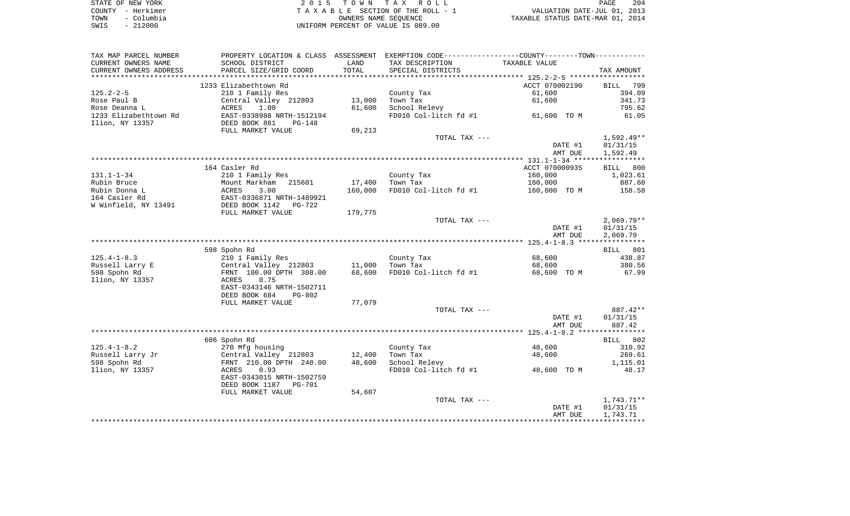|      | STATE OF NEW YORK | 2015 TOWN TAX ROLL                 | 204<br>PAGE                      |
|------|-------------------|------------------------------------|----------------------------------|
|      | COUNTY - Herkimer | TAXABLE SECTION OF THE ROLL - 1    | VALUATION DATE-JUL 01, 2013      |
| TOWN | – Columbia        | OWNERS NAME SEOUENCE               | TAXABLE STATUS DATE-MAR 01, 2014 |
| SWIS | $-212000$         | UNIFORM PERCENT OF VALUE IS 089.00 |                                  |

| TAX MAP PARCEL NUMBER  | PROPERTY LOCATION & CLASS ASSESSMENT EXEMPTION CODE---------------COUNTY-------TOWN---------- |         |                       |                |              |
|------------------------|-----------------------------------------------------------------------------------------------|---------|-----------------------|----------------|--------------|
| CURRENT OWNERS NAME    | SCHOOL DISTRICT                                                                               | LAND    | TAX DESCRIPTION       | TAXABLE VALUE  |              |
| CURRENT OWNERS ADDRESS | PARCEL SIZE/GRID COORD                                                                        | TOTAL   | SPECIAL DISTRICTS     |                | TAX AMOUNT   |
|                        |                                                                                               |         |                       |                |              |
|                        | 1233 Elizabethtown Rd                                                                         |         |                       | ACCT 070002190 | BILL 799     |
| $125.2 - 2 - 5$        | 210 1 Family Res                                                                              |         | County Tax            | 61,600         | 394.09       |
| Rose Paul B            | Central Valley 212803                                                                         | 13,000  | Town Tax              | 61,600         | 341.73       |
| Rose Deanna L          | ACRES<br>1.00                                                                                 | 61,600  | School Relevy         |                | 795.62       |
| 1233 Elizabethtown Rd  | EAST-0338988 NRTH-1512194                                                                     |         | FD010 Col-litch fd #1 | 61,600 TO M    | 61.05        |
| Ilion, NY 13357        | DEED BOOK 881<br>PG-148                                                                       |         |                       |                |              |
|                        | FULL MARKET VALUE                                                                             | 69,213  |                       |                |              |
|                        |                                                                                               |         | TOTAL TAX ---         |                | $1,592.49**$ |
|                        |                                                                                               |         |                       | DATE #1        | 01/31/15     |
|                        |                                                                                               |         |                       | AMT DUE        | 1,592.49     |
|                        |                                                                                               |         |                       |                |              |
|                        | 164 Casler Rd                                                                                 |         |                       | ACCT 070000935 | 800<br>BILL  |
| 131.1-1-34             | 210 1 Family Res                                                                              |         | County Tax            | 160,000        | 1,023.61     |
| Rubin Bruce            | Mount Markham<br>215601<br>Mount<br>ACRES                                                     | 17,400  | Town Tax              | 160,000        | 887.60       |
| Rubin Donna L          | 3.00                                                                                          | 160,000 | FD010 Col-litch fd #1 | 160,000 TO M   | 158.58       |
| 164 Casler Rd          | EAST-0336871 NRTH-1489921<br>DEED BOOK 1142 PG-722                                            |         |                       |                |              |
| W Winfield, NY 13491   |                                                                                               |         |                       |                |              |
|                        | FULL MARKET VALUE                                                                             | 179,775 |                       |                |              |
|                        |                                                                                               |         | TOTAL TAX ---         |                | $2,069.79**$ |
|                        |                                                                                               |         |                       | DATE #1        | 01/31/15     |
|                        |                                                                                               |         |                       | AMT DUE        | 2,069.79     |
|                        | 598 Spohn Rd                                                                                  |         |                       |                | BILL 801     |
| $125.4 - 1 - 8.3$      | 210 1 Family Res                                                                              |         | County Tax            | 68,600         | 438.87       |
| Russell Larry E        | Central Valley 212803                                                                         | 11,000  | Town Tax              | 68,600         | 380.56       |
| 598 Spohn Rd           | FRNT 100.00 DPTH 308.00                                                                       | 68,600  | FD010 Col-litch fd #1 | 68,600 TO M    | 67.99        |
| Ilion, NY 13357        | 0.75<br>ACRES                                                                                 |         |                       |                |              |
|                        | EAST-0343146 NRTH-1502711                                                                     |         |                       |                |              |
|                        | DEED BOOK 684<br>$PG-802$                                                                     |         |                       |                |              |
|                        | FULL MARKET VALUE                                                                             | 77,079  |                       |                |              |
|                        |                                                                                               |         | TOTAL TAX ---         |                | 887.42**     |
|                        |                                                                                               |         |                       | DATE #1        | 01/31/15     |
|                        |                                                                                               |         |                       | AMT DUE        | 887.42       |
|                        |                                                                                               |         |                       |                |              |
|                        | 606 Spohn Rd                                                                                  |         |                       |                | BILL 802     |
| $125.4 - 1 - 8.2$      | 270 Mfg housing                                                                               |         | County Tax            | 48,600         | 310.92       |
| Russell Larry Jr       | Central Valley 212803                                                                         | 12,400  | Town Tax              | 48,600         | 269.61       |
| 598 Spohn Rd           | FRNT 210.00 DPTH 240.00                                                                       | 48,600  | School Relevy         |                | 1,115.01     |
| Ilion, NY 13357        | 0.93<br>ACRES                                                                                 |         | FD010 Col-litch fd #1 | 48,600 TO M    | 48.17        |
|                        | EAST-0343015 NRTH-1502759                                                                     |         |                       |                |              |
|                        | DEED BOOK 1187 PG-701                                                                         |         |                       |                |              |
|                        | FULL MARKET VALUE                                                                             | 54,607  |                       |                |              |
|                        |                                                                                               |         | TOTAL TAX ---         |                | 1,743.71**   |
|                        |                                                                                               |         |                       | DATE #1        | 01/31/15     |
|                        |                                                                                               |         |                       | AMT DUE        | 1,743.71     |
|                        |                                                                                               |         |                       |                |              |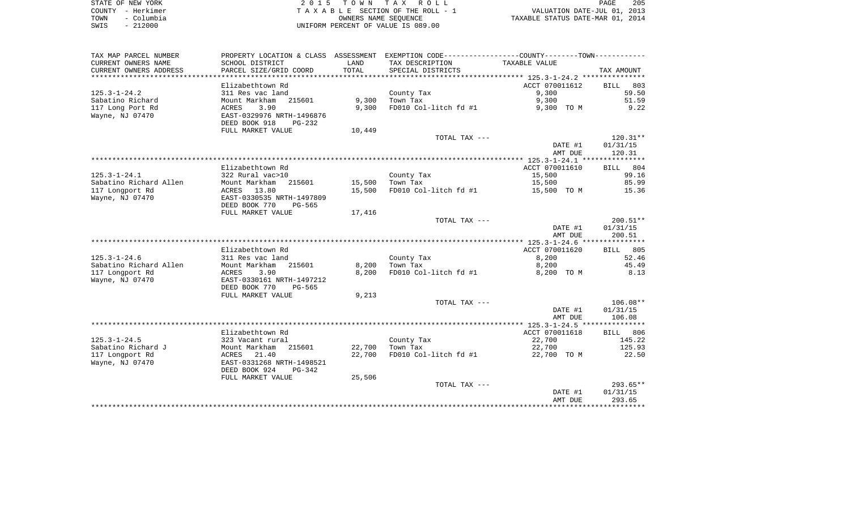| STATE OF NEW YORK |            | 2015 TOWN TAX ROLL                 | 205<br>PAGE                      |
|-------------------|------------|------------------------------------|----------------------------------|
| COUNTY - Herkimer |            | TAXABLE SECTION OF THE ROLL - 1    | VALUATION DATE-JUL 01, 2013      |
| TOWN              | - Columbia | OWNERS NAME SEOUENCE               | TAXABLE STATUS DATE-MAR 01, 2014 |
| SWIS              | $-212000$  | UNIFORM PERCENT OF VALUE IS 089.00 |                                  |

| TAX MAP PARCEL NUMBER  | PROPERTY LOCATION & CLASS ASSESSMENT |        | EXEMPTION CODE-----------------COUNTY-------TOWN----------- |                |                    |
|------------------------|--------------------------------------|--------|-------------------------------------------------------------|----------------|--------------------|
| CURRENT OWNERS NAME    | SCHOOL DISTRICT                      | LAND   | TAX DESCRIPTION                                             | TAXABLE VALUE  |                    |
| CURRENT OWNERS ADDRESS | PARCEL SIZE/GRID COORD               | TOTAL  | SPECIAL DISTRICTS                                           |                | TAX AMOUNT         |
| ********************** |                                      |        |                                                             |                |                    |
|                        | Elizabethtown Rd                     |        |                                                             | ACCT 070011612 | 803<br><b>BILL</b> |
| $125.3 - 1 - 24.2$     | 311 Res vac land                     |        | County Tax                                                  | 9,300          | 59.50              |
| Sabatino Richard       | 215601<br>Mount Markham              | 9,300  | Town Tax                                                    | 9,300          | 51.59              |
| 117 Long Port Rd       | 3.90<br>ACRES                        | 9,300  | FD010 Col-litch fd #1                                       | 9,300 TO M     | 9.22               |
| Wayne, NJ 07470        | EAST-0329976 NRTH-1496876            |        |                                                             |                |                    |
|                        | DEED BOOK 918<br>PG-232              |        |                                                             |                |                    |
|                        | FULL MARKET VALUE                    | 10,449 |                                                             |                |                    |
|                        |                                      |        | TOTAL TAX ---                                               |                | $120.31**$         |
|                        |                                      |        |                                                             | DATE #1        | 01/31/15           |
|                        |                                      |        |                                                             | AMT DUE        | 120.31             |
|                        |                                      |        |                                                             |                |                    |
|                        | Elizabethtown Rd                     |        |                                                             | ACCT 070011610 | BILL 804           |
| $125.3 - 1 - 24.1$     | 322 Rural vac>10                     |        | County Tax                                                  | 15,500         | 99.16              |
| Sabatino Richard Allen | Mount Markham<br>215601              | 15,500 | Town Tax                                                    | 15,500         | 85.99              |
| 117 Longport Rd        | ACRES 13.80                          | 15,500 | FD010 Col-litch fd #1                                       | 15,500 TO M    | 15.36              |
| Wayne, NJ 07470        | EAST-0330535 NRTH-1497809            |        |                                                             |                |                    |
|                        | DEED BOOK 770<br>PG-565              |        |                                                             |                |                    |
|                        | FULL MARKET VALUE                    | 17,416 | TOTAL TAX ---                                               |                | $200.51**$         |
|                        |                                      |        |                                                             | DATE #1        | 01/31/15           |
|                        |                                      |        |                                                             | AMT DUE        | 200.51             |
|                        |                                      |        |                                                             |                |                    |
|                        | Elizabethtown Rd                     |        |                                                             | ACCT 070011620 | 805<br>BILL        |
| $125.3 - 1 - 24.6$     | 311 Res vac land                     |        | County Tax                                                  | 8,200          | 52.46              |
| Sabatino Richard Allen | Mount Markham<br>215601              | 8,200  | Town Tax                                                    | 8,200          | 45.49              |
| 117 Longport Rd        | <b>ACRES</b><br>3.90                 | 8,200  | FD010 Col-litch fd #1                                       | 8,200 TO M     | 8.13               |
| Wayne, NJ 07470        | EAST-0330161 NRTH-1497212            |        |                                                             |                |                    |
|                        | DEED BOOK 770<br>PG-565              |        |                                                             |                |                    |
|                        | FULL MARKET VALUE                    | 9,213  |                                                             |                |                    |
|                        |                                      |        | TOTAL TAX ---                                               |                | $106.08**$         |
|                        |                                      |        |                                                             | DATE #1        | 01/31/15           |
|                        |                                      |        |                                                             | AMT DUE        | 106.08             |
|                        |                                      |        |                                                             |                |                    |
|                        | Elizabethtown Rd                     |        |                                                             | ACCT 070011618 | 806<br>BILL        |
| $125.3 - 1 - 24.5$     | 323 Vacant rural                     |        | County Tax                                                  | 22,700         | 145.22             |
| Sabatino Richard J     | Mount Markham<br>215601              | 22,700 | Town Tax                                                    | 22,700         | 125.93             |
| 117 Longport Rd        | ACRES<br>21.40                       | 22,700 | FD010 Col-litch fd #1                                       | 22,700 TO M    | 22.50              |
| Wayne, NJ 07470        | EAST-0331268 NRTH-1498521            |        |                                                             |                |                    |
|                        | DEED BOOK 924<br>PG-342              |        |                                                             |                |                    |
|                        | FULL MARKET VALUE                    | 25,506 |                                                             |                |                    |
|                        |                                      |        | TOTAL TAX ---                                               |                | $293.65**$         |
|                        |                                      |        |                                                             | DATE #1        | 01/31/15           |
|                        |                                      |        |                                                             | AMT DUE        | 293.65             |
|                        |                                      |        |                                                             |                |                    |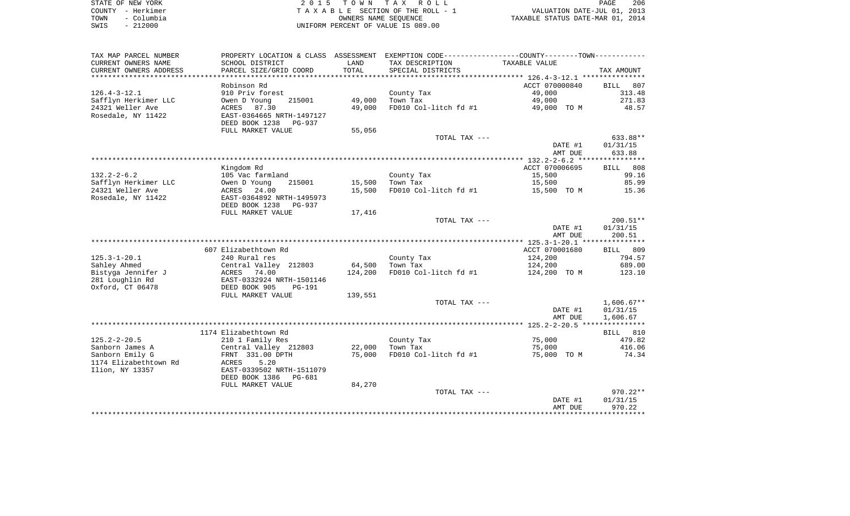|      | STATE OF NEW YORK | 2015 TOWN TAX ROLL                 | 206<br>PAGE                      |
|------|-------------------|------------------------------------|----------------------------------|
|      | COUNTY - Herkimer | TAXABLE SECTION OF THE ROLL - 1    | VALUATION DATE-JUL 01, 2013      |
| TOWN | - Columbia        | OWNERS NAME SEOUENCE               | TAXABLE STATUS DATE-MAR 01, 2014 |
| SWIS | $-212000$         | UNIFORM PERCENT OF VALUE IS 089.00 |                                  |

| TAX MAP PARCEL NUMBER  | PROPERTY LOCATION & CLASS ASSESSMENT EXEMPTION CODE---------------COUNTY-------TOWN---------- |            |                       |                                                                |                    |
|------------------------|-----------------------------------------------------------------------------------------------|------------|-----------------------|----------------------------------------------------------------|--------------------|
| CURRENT OWNERS NAME    | SCHOOL DISTRICT                                                                               | LAND       | TAX DESCRIPTION       | TAXABLE VALUE                                                  |                    |
| CURRENT OWNERS ADDRESS | PARCEL SIZE/GRID COORD                                                                        | TOTAL      | SPECIAL DISTRICTS     |                                                                | TAX AMOUNT         |
| ********************   | * * * * * * * * * * * * * * * * * * * *                                                       | ********** |                       | ********************************* 126.4-3-12.1 *************** |                    |
|                        | Robinson Rd                                                                                   |            |                       | ACCT 070000840                                                 | <b>BILL</b><br>807 |
| $126.4 - 3 - 12.1$     | 910 Priv forest                                                                               |            | County Tax            | 49,000                                                         | 313.48             |
| Safflyn Herkimer LLC   | 215001<br>Owen D Young                                                                        | 49,000     | Town Tax              | 49,000                                                         | 271.83             |
| 24321 Weller Ave       | 87.30<br>ACRES                                                                                | 49,000     | FD010 Col-litch fd #1 | 49,000 TO M                                                    | 48.57              |
| Rosedale, NY 11422     | EAST-0364665 NRTH-1497127                                                                     |            |                       |                                                                |                    |
|                        | DEED BOOK 1238<br><b>PG-937</b>                                                               |            |                       |                                                                |                    |
|                        | FULL MARKET VALUE                                                                             | 55,056     |                       |                                                                |                    |
|                        |                                                                                               |            | TOTAL TAX ---         |                                                                | 633.88**           |
|                        |                                                                                               |            |                       | DATE #1                                                        | 01/31/15           |
|                        |                                                                                               |            |                       | AMT DUE                                                        | 633.88             |
|                        |                                                                                               |            |                       |                                                                |                    |
|                        | Kingdom Rd                                                                                    |            |                       | ACCT 070006695                                                 | 808<br>BILL        |
| $132.2 - 2 - 6.2$      | 105 Vac farmland                                                                              |            | County Tax            | 15,500                                                         | 99.16              |
| Safflyn Herkimer LLC   | Owen D Young<br>215001                                                                        | 15,500     | Town Tax              | 15,500                                                         | 85.99              |
| 24321 Weller Ave       | ACRES<br>24.00                                                                                | 15,500     | FD010 Col-litch fd #1 | 15,500 TO M                                                    | 15.36              |
| Rosedale, NY 11422     | EAST-0364892 NRTH-1495973                                                                     |            |                       |                                                                |                    |
|                        | DEED BOOK 1238<br>PG-937                                                                      |            |                       |                                                                |                    |
|                        | FULL MARKET VALUE                                                                             | 17,416     | TOTAL TAX ---         |                                                                | $200.51**$         |
|                        |                                                                                               |            |                       | DATE #1                                                        | 01/31/15           |
|                        |                                                                                               |            |                       | AMT DUE                                                        | 200.51             |
|                        |                                                                                               |            |                       |                                                                |                    |
|                        | 607 Elizabethtown Rd                                                                          |            |                       | ACCT 070001680                                                 | BILL 809           |
| $125.3 - 1 - 20.1$     | 240 Rural res                                                                                 |            | County Tax            | 124,200                                                        | 794.57             |
| Sahley Ahmed           | Central Valley 212803                                                                         | 64,500     | Town Tax              | 124,200                                                        | 689.00             |
| Bistyga Jennifer J     | 74.00<br>ACRES                                                                                | 124,200    | FD010 Col-litch fd #1 | 124,200 TO M                                                   | 123.10             |
| 281 Loughlin Rd        | EAST-0332924 NRTH-1501146                                                                     |            |                       |                                                                |                    |
| Oxford, CT 06478       | DEED BOOK 905<br>$PG-191$                                                                     |            |                       |                                                                |                    |
|                        | FULL MARKET VALUE                                                                             | 139,551    |                       |                                                                |                    |
|                        |                                                                                               |            | TOTAL TAX ---         |                                                                | $1,606.67**$       |
|                        |                                                                                               |            |                       | DATE #1                                                        | 01/31/15           |
|                        |                                                                                               |            |                       | AMT DUE                                                        | 1,606.67           |
|                        |                                                                                               |            |                       |                                                                |                    |
|                        | 1174 Elizabethtown Rd                                                                         |            |                       |                                                                | BILL 810           |
| $125.2 - 2 - 20.5$     | 210 1 Family Res                                                                              |            | County Tax            | 75,000                                                         | 479.82             |
| Sanborn James A        | Central Valley 212803                                                                         | 22,000     | Town Tax              | 75,000                                                         | 416.06             |
| Sanborn Emily G        | FRNT 331.00 DPTH                                                                              | 75,000     | FD010 Col-litch fd #1 | 75,000 TO M                                                    | 74.34              |
| 1174 Elizabethtown Rd  | ACRES<br>5.20                                                                                 |            |                       |                                                                |                    |
| Ilion, NY 13357        | EAST-0339502 NRTH-1511079                                                                     |            |                       |                                                                |                    |
|                        | DEED BOOK 1386<br>PG-681                                                                      |            |                       |                                                                |                    |
|                        | FULL MARKET VALUE                                                                             | 84,270     |                       |                                                                |                    |
|                        |                                                                                               |            | TOTAL TAX ---         |                                                                | $970.22**$         |
|                        |                                                                                               |            |                       | DATE #1                                                        | 01/31/15           |
|                        |                                                                                               |            |                       | AMT DUE                                                        | 970.22             |
|                        |                                                                                               |            |                       |                                                                |                    |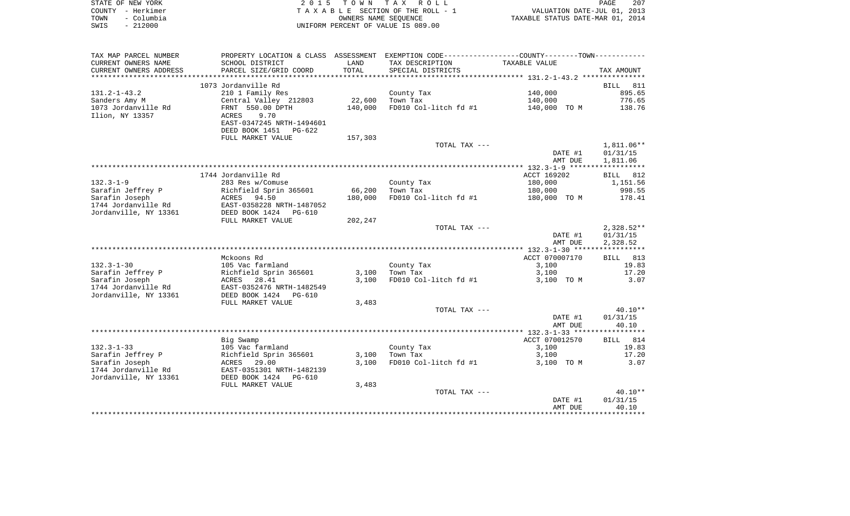| STATE OF NEW YORK  | 2015 TOWN TAX ROLL                 | 207<br>PAGE                      |
|--------------------|------------------------------------|----------------------------------|
| COUNTY - Herkimer  | TAXABLE SECTION OF THE ROLL - 1    | VALUATION DATE-JUL 01, 2013      |
| – Columbia<br>TOWN | OWNERS NAME SEOUENCE               | TAXABLE STATUS DATE-MAR 01, 2014 |
| $-212000$<br>SWIS  | UNIFORM PERCENT OF VALUE IS 089.00 |                                  |

| TAX MAP PARCEL NUMBER  | PROPERTY LOCATION & CLASS       |         | ASSESSMENT EXEMPTION CODE-----------------COUNTY-------TOWN----------- |                |              |
|------------------------|---------------------------------|---------|------------------------------------------------------------------------|----------------|--------------|
| CURRENT OWNERS NAME    | SCHOOL DISTRICT                 | LAND    | TAX DESCRIPTION                                                        | TAXABLE VALUE  |              |
| CURRENT OWNERS ADDRESS | PARCEL SIZE/GRID COORD          | TOTAL   | SPECIAL DISTRICTS                                                      |                | TAX AMOUNT   |
| ********************** | ***************************     |         |                                                                        |                |              |
|                        | 1073 Jordanville Rd             |         |                                                                        |                | 811<br>BILL  |
| $131.2 - 1 - 43.2$     | 210 1 Family Res                |         | County Tax                                                             | 140,000        | 895.65       |
| Sanders Amy M          | Central Valley 212803           | 22,600  | Town Tax                                                               | 140,000        | 776.65       |
| 1073 Jordanville Rd    | FRNT 550.00 DPTH                | 140,000 | FD010 Col-litch fd #1                                                  | 140,000 TO M   | 138.76       |
| Ilion, NY 13357        | 9.70<br>ACRES                   |         |                                                                        |                |              |
|                        | EAST-0347245 NRTH-1494601       |         |                                                                        |                |              |
|                        | DEED BOOK 1451<br>PG-622        |         |                                                                        |                |              |
|                        | FULL MARKET VALUE               | 157,303 |                                                                        |                |              |
|                        |                                 |         | TOTAL TAX ---                                                          |                | 1,811.06**   |
|                        |                                 |         |                                                                        | DATE #1        | 01/31/15     |
|                        |                                 |         |                                                                        | AMT DUE        | 1,811.06     |
|                        |                                 |         |                                                                        |                |              |
|                        | 1744 Jordanville Rd             |         |                                                                        | ACCT 169202    | 812<br>BILL  |
| $132.3 - 1 - 9$        | 283 Res w/Comuse                |         | County Tax                                                             | 180,000        | 1,151.56     |
| Sarafin Jeffrey P      | Richfield Sprin 365601          | 66,200  | Town Tax                                                               | 180,000        | 998.55       |
| Sarafin Joseph         | ACRES 94.50                     | 180,000 | FD010 Col-litch fd #1                                                  | 180,000 TO M   | 178.41       |
| 1744 Jordanville Rd    | EAST-0358228 NRTH-1487052       |         |                                                                        |                |              |
| Jordanville, NY 13361  | DEED BOOK 1424<br><b>PG-610</b> |         |                                                                        |                |              |
|                        | FULL MARKET VALUE               | 202,247 |                                                                        |                |              |
|                        |                                 |         | TOTAL TAX ---                                                          |                | $2,328.52**$ |
|                        |                                 |         |                                                                        |                |              |
|                        |                                 |         |                                                                        | DATE #1        | 01/31/15     |
|                        |                                 |         |                                                                        | AMT DUE        | 2,328.52     |
|                        |                                 |         |                                                                        |                |              |
|                        | Mckoons Rd                      |         |                                                                        | ACCT 070007170 | BILL 813     |
| $132.3 - 1 - 30$       | 105 Vac farmland                |         | County Tax                                                             | 3,100          | 19.83        |
| Sarafin Jeffrey P      | Richfield Sprin 365601          | 3,100   | Town Tax                                                               | 3,100          | 17.20        |
| Sarafin Joseph         | 28.41<br>ACRES                  | 3,100   | FD010 Col-litch fd #1                                                  | 3,100 TO M     | 3.07         |
| 1744 Jordanville Rd    | EAST-0352476 NRTH-1482549       |         |                                                                        |                |              |
| Jordanville, NY 13361  | DEED BOOK 1424<br>PG-610        |         |                                                                        |                |              |
|                        | FULL MARKET VALUE               | 3,483   |                                                                        |                |              |
|                        |                                 |         | TOTAL TAX ---                                                          |                | $40.10**$    |
|                        |                                 |         |                                                                        | DATE #1        | 01/31/15     |
|                        |                                 |         |                                                                        | AMT DUE        | 40.10        |
|                        |                                 |         |                                                                        |                |              |
|                        | Big Swamp                       |         |                                                                        | ACCT 070012570 | BILL<br>814  |
| $132.3 - 1 - 33$       | 105 Vac farmland                |         | County Tax                                                             | 3,100          | 19.83        |
| Sarafin Jeffrey P      | Richfield Sprin 365601          | 3,100   | Town Tax                                                               | 3,100          | 17.20        |
| Sarafin Joseph         | ACRES<br>29.00                  | 3,100   | FD010 Col-litch fd #1                                                  | 3,100 TO M     | 3.07         |
| 1744 Jordanville Rd    | EAST-0351301 NRTH-1482139       |         |                                                                        |                |              |
| Jordanville, NY 13361  | DEED BOOK 1424<br><b>PG-610</b> |         |                                                                        |                |              |
|                        | FULL MARKET VALUE               | 3,483   |                                                                        |                |              |
|                        |                                 |         | TOTAL TAX ---                                                          |                | $40.10**$    |
|                        |                                 |         |                                                                        | DATE #1        | 01/31/15     |
|                        |                                 |         |                                                                        | AMT DUE        | 40.10        |
|                        |                                 |         |                                                                        |                |              |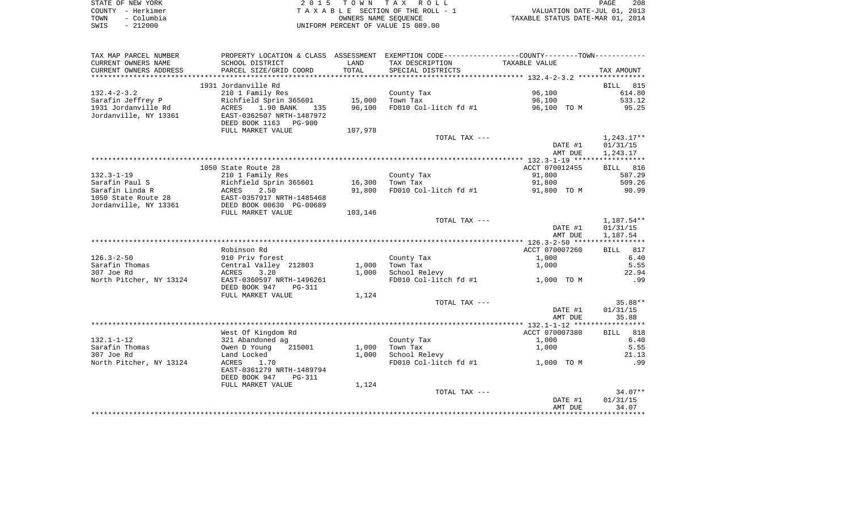| STATE OF NEW YORK  | 2015 TOWN TAX ROLL                 | 208<br><b>PAGE</b>               |
|--------------------|------------------------------------|----------------------------------|
| COUNTY - Herkimer  | TAXABLE SECTION OF THE ROLL - 1    | VALUATION DATE-JUL 01, 2013      |
| – Columbia<br>TOWN | OWNERS NAME SEOUENCE               | TAXABLE STATUS DATE-MAR 01, 2014 |
| $-212000$<br>SWIS  | UNIFORM PERCENT OF VALUE IS 089.00 |                                  |

| TAX MAP PARCEL NUMBER     | PROPERTY LOCATION & CLASS ASSESSMENT |         | EXEMPTION CODE-----------------COUNTY-------TOWN----------- |                |                    |
|---------------------------|--------------------------------------|---------|-------------------------------------------------------------|----------------|--------------------|
| CURRENT OWNERS NAME       | SCHOOL DISTRICT                      | LAND    | TAX DESCRIPTION                                             | TAXABLE VALUE  |                    |
| CURRENT OWNERS ADDRESS    | PARCEL SIZE/GRID COORD               | TOTAL   | SPECIAL DISTRICTS                                           |                | TAX AMOUNT         |
| ************************* |                                      |         |                                                             |                |                    |
|                           | 1931 Jordanville Rd                  |         |                                                             |                | 815<br><b>BILL</b> |
| $132.4 - 2 - 3.2$         | 210 1 Family Res                     |         | County Tax                                                  | 96,100         | 614.80             |
| Sarafin Jeffrey P         | Richfield Sprin 365601               | 15,000  | Town Tax                                                    | 96,100         | 533.12             |
| 1931 Jordanville Rd       | 1.90 BANK<br>ACRES<br>135            | 96,100  | FD010 Col-litch fd #1                                       | 96,100 TO M    | 95.25              |
| Jordanville, NY 13361     | EAST-0362507 NRTH-1487972            |         |                                                             |                |                    |
|                           | DEED BOOK 1163 PG-900                |         |                                                             |                |                    |
|                           | FULL MARKET VALUE                    | 107,978 | TOTAL TAX ---                                               |                | $1,243.17**$       |
|                           |                                      |         |                                                             | DATE #1        | 01/31/15           |
|                           |                                      |         |                                                             | AMT DUE        | 1,243.17           |
|                           |                                      |         |                                                             |                |                    |
|                           | 1050 State Route 28                  |         |                                                             | ACCT 070012455 | BILL 816           |
| $132.3 - 1 - 19$          | 210 1 Family Res                     |         | County Tax                                                  | 91,800         | 587.29             |
| Sarafin Paul S            | Richfield Sprin 365601               | 16,300  | Town Tax                                                    | 91,800         | 509.26             |
| Sarafin Linda R           | 2.50<br>ACRES                        | 91,800  | FD010 Col-litch fd #1                                       | 91,800 TO M    | 90.99              |
| 1050 State Route 28       | EAST-0357917 NRTH-1485468            |         |                                                             |                |                    |
| Jordanville, NY 13361     | DEED BOOK 00630 PG-00689             |         |                                                             |                |                    |
|                           | FULL MARKET VALUE                    | 103,146 |                                                             |                |                    |
|                           |                                      |         | TOTAL TAX ---                                               |                | 1,187.54**         |
|                           |                                      |         |                                                             | DATE #1        | 01/31/15           |
|                           |                                      |         |                                                             | AMT DUE        | 1,187.54           |
|                           |                                      |         |                                                             |                |                    |
|                           | Robinson Rd                          |         |                                                             | ACCT 070007260 | BILL 817           |
| $126.3 - 2 - 50$          | 910 Priv forest                      |         | County Tax                                                  | 1,000          | 6.40               |
| Sarafin Thomas            | Central Valley 212803                | 1,000   | Town Tax                                                    | 1,000          | 5.55               |
| 307 Joe Rd                | 3.20<br>ACRES                        | 1,000   | School Relevy                                               |                | 22.94              |
| North Pitcher, NY 13124   | EAST-0360597 NRTH-1496261            |         | FD010 Col-litch fd #1                                       | 1,000 TO M     | .99                |
|                           | DEED BOOK 947<br>PG-311              |         |                                                             |                |                    |
|                           | FULL MARKET VALUE                    | 1,124   |                                                             |                | 35.88**            |
|                           |                                      |         | TOTAL TAX ---                                               | DATE #1        | 01/31/15           |
|                           |                                      |         |                                                             | AMT DUE        | 35.88              |
|                           |                                      |         |                                                             |                |                    |
|                           | West Of Kingdom Rd                   |         |                                                             | ACCT 070007380 | BILL 818           |
| $132.1 - 1 - 12$          | 321 Abandoned ag                     |         | County Tax                                                  | 1,000          | 6.40               |
| Sarafin Thomas            | 215001<br>Owen D Young               | 1,000   | Town Tax                                                    | 1,000          | 5.55               |
| 307 Joe Rd                | Land Locked                          | 1,000   | School Relevy                                               |                | 21.13              |
| North Pitcher, NY 13124   | ACRES<br>1.70                        |         | FD010 Col-litch fd #1                                       | 1,000 TO M     | .99                |
|                           | EAST-0361279 NRTH-1489794            |         |                                                             |                |                    |
|                           | DEED BOOK 947<br>PG-311              |         |                                                             |                |                    |
|                           | FULL MARKET VALUE                    | 1,124   |                                                             |                |                    |
|                           |                                      |         | TOTAL TAX ---                                               |                | $34.07**$          |
|                           |                                      |         |                                                             | DATE #1        | 01/31/15           |
|                           |                                      |         |                                                             | AMT DUE        | 34.07              |
|                           |                                      |         |                                                             |                |                    |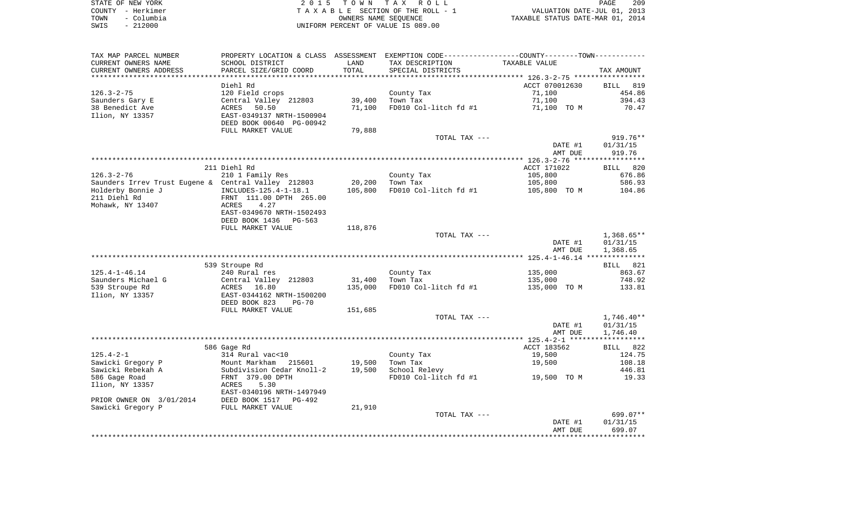|      | STATE OF NEW YORK | 2015 TOWN TAX ROLL                 | 209<br>PAGE                      |
|------|-------------------|------------------------------------|----------------------------------|
|      | COUNTY - Herkimer | TAXABLE SECTION OF THE ROLL - 1    | VALUATION DATE-JUL 01, 2013      |
| TOWN | - Columbia        | OWNERS NAME SEOUENCE               | TAXABLE STATUS DATE-MAR 01, 2014 |
| SWIS | $-212000$         | UNIFORM PERCENT OF VALUE IS 089.00 |                                  |

| TAX MAP PARCEL NUMBER                               | PROPERTY LOCATION & CLASS ASSESSMENT EXEMPTION CODE----------------COUNTY-------TOWN----------- |         |                                   |                |              |
|-----------------------------------------------------|-------------------------------------------------------------------------------------------------|---------|-----------------------------------|----------------|--------------|
| CURRENT OWNERS NAME                                 | SCHOOL DISTRICT                                                                                 | LAND    | TAX DESCRIPTION                   | TAXABLE VALUE  |              |
| CURRENT OWNERS ADDRESS                              | PARCEL SIZE/GRID COORD                                                                          | TOTAL   | SPECIAL DISTRICTS                 |                | TAX AMOUNT   |
|                                                     |                                                                                                 |         |                                   |                |              |
|                                                     | Diehl Rd                                                                                        |         |                                   | ACCT 070012630 | BILL 819     |
| $126.3 - 2 - 75$                                    | 120 Field crops                                                                                 |         | County Tax                        | 71,100         | 454.86       |
| Saunders Gary E                                     | Central Valley 212803                                                                           | 39,400  | Town Tax                          | 71,100         | 394.43       |
| 38 Benedict Ave                                     | 50.50<br>ACRES                                                                                  | 71,100  | FD010 Col-litch fd #1             | 71,100 TO M    | 70.47        |
| Ilion, NY 13357                                     | EAST-0349137 NRTH-1500904                                                                       |         |                                   |                |              |
|                                                     | DEED BOOK 00640 PG-00942                                                                        |         |                                   |                |              |
|                                                     | FULL MARKET VALUE                                                                               | 79,888  |                                   |                |              |
|                                                     |                                                                                                 |         | TOTAL TAX ---                     |                | $919.76**$   |
|                                                     |                                                                                                 |         |                                   |                |              |
|                                                     |                                                                                                 |         |                                   | DATE #1        | 01/31/15     |
|                                                     |                                                                                                 |         |                                   | AMT DUE        | 919.76       |
|                                                     |                                                                                                 |         |                                   |                |              |
|                                                     | 211 Diehl Rd                                                                                    |         |                                   | ACCT 171022    | BILL 820     |
| $126.3 - 2 - 76$                                    | 210 1 Family Res                                                                                |         | County Tax                        | 105,800        | 676.86       |
| Saunders Irrev Trust Eugene & Central Valley 212803 |                                                                                                 | 20,200  | Town Tax                          | 105,800        | 586.93       |
| Holderby Bonnie J                                   | INCLUDES-125.4-1-18.1                                                                           | 105,800 | FD010 Col-litch fd #1             | 105,800 TO M   | 104.86       |
| 211 Diehl Rd                                        | FRNT 111.00 DPTH 265.00                                                                         |         |                                   |                |              |
| Mohawk, NY 13407                                    | ACRES<br>4.27                                                                                   |         |                                   |                |              |
|                                                     | EAST-0349670 NRTH-1502493                                                                       |         |                                   |                |              |
|                                                     | DEED BOOK 1436<br>PG-563                                                                        |         |                                   |                |              |
|                                                     | FULL MARKET VALUE                                                                               | 118,876 |                                   |                |              |
|                                                     |                                                                                                 |         | TOTAL TAX ---                     |                | $1,368.65**$ |
|                                                     |                                                                                                 |         |                                   | DATE #1        | 01/31/15     |
|                                                     |                                                                                                 |         |                                   | AMT DUE        | 1,368.65     |
|                                                     |                                                                                                 |         |                                   |                |              |
|                                                     |                                                                                                 |         |                                   |                |              |
|                                                     | 539 Stroupe Rd                                                                                  |         |                                   |                | BILL 821     |
| $125.4 - 1 - 46.14$                                 | 240 Rural res                                                                                   |         | County Tax                        | 135,000        | 863.67       |
| Saunders Michael G                                  | Central Valley 212803                                                                           | 31,400  | Town Tax                          | 135,000        | 748.92       |
| 539 Stroupe Rd                                      | ACRES 16.80                                                                                     | 135,000 | FD010 Col-litch fd #1             | 135,000 TO M   | 133.81       |
| Ilion, NY 13357                                     | EAST-0344162 NRTH-1500200                                                                       |         |                                   |                |              |
|                                                     | DEED BOOK 823<br>$PG-70$                                                                        |         |                                   |                |              |
|                                                     | FULL MARKET VALUE                                                                               | 151,685 |                                   |                |              |
|                                                     |                                                                                                 |         | TOTAL TAX ---                     |                | $1,746.40**$ |
|                                                     |                                                                                                 |         |                                   | DATE #1        | 01/31/15     |
|                                                     |                                                                                                 |         |                                   | AMT DUE        | 1,746.40     |
|                                                     |                                                                                                 |         |                                   |                |              |
|                                                     | 586 Gage Rd                                                                                     |         |                                   | ACCT 183562    | BILL 822     |
| $125.4 - 2 - 1$                                     | 314 Rural vac<10                                                                                |         | County Tax                        | 19,500         | 124.75       |
| Sawicki Gregory P                                   | Mount Markham 215601                                                                            | 19,500  | Town Tax                          | 19,500         | 108.18       |
| Sawicki Rebekah A                                   | Subdivision Cedar Knoll-2                                                                       | 19,500  | School Relevy                     |                | 446.81       |
|                                                     |                                                                                                 |         |                                   |                |              |
| 586 Gage Road                                       | FRNT 379.00 DPTH                                                                                |         | FD010 Col-litch fd #1 19,500 TO M |                | 19.33        |
| Ilion, NY 13357                                     | ACRES<br>5.30                                                                                   |         |                                   |                |              |
|                                                     | EAST-0340196 NRTH-1497949                                                                       |         |                                   |                |              |
| PRIOR OWNER ON 3/01/2014                            | DEED BOOK 1517 PG-492                                                                           |         |                                   |                |              |
| Sawicki Gregory P                                   | FULL MARKET VALUE                                                                               | 21,910  |                                   |                |              |
|                                                     |                                                                                                 |         | TOTAL TAX ---                     |                | 699.07**     |
|                                                     |                                                                                                 |         |                                   | DATE #1        | 01/31/15     |
|                                                     |                                                                                                 |         |                                   | AMT DUE        | 699.07       |
|                                                     |                                                                                                 |         |                                   |                |              |
|                                                     |                                                                                                 |         |                                   |                |              |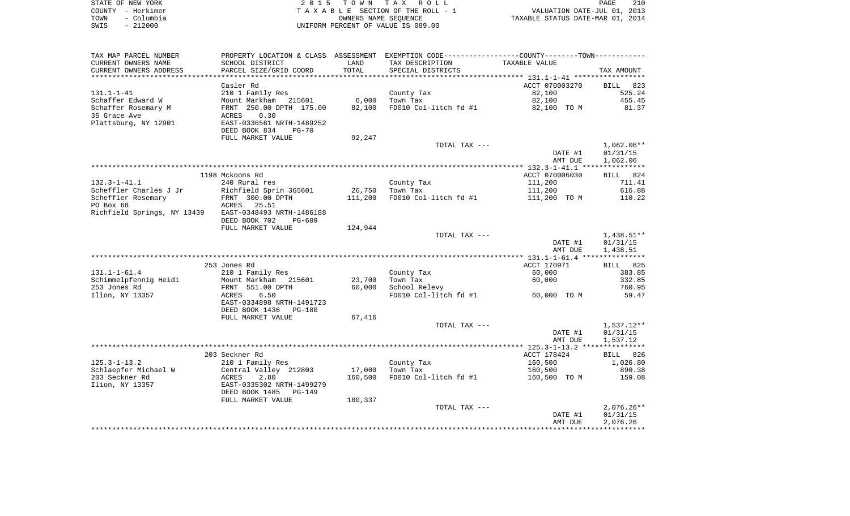|      | STATE OF NEW YORK | 2015 TOWN TAX ROLL                 | 210<br>PAGE                      |  |
|------|-------------------|------------------------------------|----------------------------------|--|
|      | COUNTY - Herkimer | TAXABLE SECTION OF THE ROLL - 1    | VALUATION DATE-JUL 01, 2013      |  |
| TOWN | – Columbia        | OWNERS NAME SEOUENCE               | TAXABLE STATUS DATE-MAR 01, 2014 |  |
| SWIS | - 212000          | UNIFORM PERCENT OF VALUE IS 089.00 |                                  |  |

| TAX MAP PARCEL NUMBER                                 |                                            |         | PROPERTY LOCATION & CLASS ASSESSMENT EXEMPTION CODE----------------COUNTY--------TOWN----------- |                         |                                          |
|-------------------------------------------------------|--------------------------------------------|---------|--------------------------------------------------------------------------------------------------|-------------------------|------------------------------------------|
| CURRENT OWNERS NAME                                   | SCHOOL DISTRICT                            | LAND    | TAX DESCRIPTION                                                                                  | TAXABLE VALUE           |                                          |
| CURRENT OWNERS ADDRESS                                | PARCEL SIZE/GRID COORD                     | TOTAL   | SPECIAL DISTRICTS                                                                                |                         | TAX AMOUNT                               |
|                                                       |                                            |         |                                                                                                  |                         |                                          |
|                                                       | Casler Rd                                  |         |                                                                                                  | ACCT 070003270          | BILL<br>823                              |
| $131.1 - 1 - 41$                                      | 210 1 Family Res                           |         | County Tax                                                                                       | 82,100                  | 525.24                                   |
| Schaffer Edward W                                     | Mount Markham 215601                       |         | 6,000 Town Tax                                                                                   | 82,100                  | 455.45                                   |
| Schaffer Rosemary M                                   | FRNT 250.00 DPTH 175.00                    |         | 82,100 FD010 Col-litch fd #1                                                                     | 82,100 TO M             | 81.37                                    |
| 35 Grace Ave                                          | 0.30<br>ACRES                              |         |                                                                                                  |                         |                                          |
| Plattsburg, NY 12901                                  | EAST-0336561 NRTH-1489252                  |         |                                                                                                  |                         |                                          |
|                                                       | DEED BOOK 834<br>$PG-70$                   |         |                                                                                                  |                         |                                          |
|                                                       | FULL MARKET VALUE                          | 92,247  |                                                                                                  |                         |                                          |
|                                                       |                                            |         | TOTAL TAX ---                                                                                    |                         | $1,062.06**$                             |
|                                                       |                                            |         |                                                                                                  | DATE #1                 | 01/31/15                                 |
|                                                       |                                            |         |                                                                                                  | AMT DUE                 | 1,062.06                                 |
|                                                       |                                            |         |                                                                                                  |                         |                                          |
|                                                       | 1198 Mckoons Rd                            |         |                                                                                                  | ACCT 070006030          | BILL 824                                 |
| $132.3 - 1 - 41.1$<br>Scheffler Charles J Jr          | 240 Rural res                              |         | County Tax                                                                                       | 111,200                 | 711.41<br>616.88                         |
| Scheffler Rosemary                                    | Richfield Sprin 365601<br>FRNT 300.00 DPTH |         | 26,750 Town Tax<br>111,200 FD010 Col-litch fd #1                                                 | 111,200<br>111,200 TO M | 110.22                                   |
| PO Box 68                                             | ACRES 25.51                                |         |                                                                                                  |                         |                                          |
| Richfield Springs, NY 13439 EAST-0348493 NRTH-1486188 |                                            |         |                                                                                                  |                         |                                          |
|                                                       | DEED BOOK 702 PG-609                       |         |                                                                                                  |                         |                                          |
|                                                       |                                            | 124,944 |                                                                                                  |                         |                                          |
|                                                       |                                            |         |                                                                                                  |                         |                                          |
|                                                       | FULL MARKET VALUE                          |         |                                                                                                  |                         |                                          |
|                                                       |                                            |         | TOTAL TAX ---                                                                                    | DATE #1                 | $1,438.51**$<br>01/31/15                 |
|                                                       |                                            |         |                                                                                                  | AMT DUE                 | 1,438.51                                 |
|                                                       |                                            |         |                                                                                                  |                         |                                          |
|                                                       | 253 Jones Rd                               |         |                                                                                                  | ACCT 170971             | BILL 825                                 |
| $131.1 - 1 - 61.4$                                    | 210 1 Family Res                           |         | County Tax                                                                                       | 60,000                  |                                          |
| Schimmelpfennig Heidi                                 | Mount Markham 215601                       | 23,700  | Town Tax                                                                                         | 60,000                  |                                          |
| 253 Jones Rd                                          | FRNT 551.00 DPTH                           |         | 60,000 School Relevy                                                                             |                         | 383.85<br>332.85<br>760.95               |
| Ilion, NY 13357                                       | ACRES 6.50                                 |         | FD010 Col-litch fd #1                                                                            | 60,000 TO M             | 59.47                                    |
|                                                       | EAST-0334898 NRTH-1491723                  |         |                                                                                                  |                         |                                          |
|                                                       | DEED BOOK 1436 PG-180                      |         |                                                                                                  |                         |                                          |
|                                                       | FULL MARKET VALUE                          | 67,416  |                                                                                                  |                         |                                          |
|                                                       |                                            |         | TOTAL TAX ---                                                                                    |                         | 1,537.12**                               |
|                                                       |                                            |         |                                                                                                  | DATE #1                 | 01/31/15                                 |
|                                                       |                                            |         |                                                                                                  | AMT DUE                 | 1,537.12                                 |
|                                                       |                                            |         |                                                                                                  |                         |                                          |
|                                                       | 203 Seckner Rd                             |         |                                                                                                  | ACCT 178424             |                                          |
| $125.3 - 1 - 13.2$                                    | 210 1 Family Res                           |         | County Tax                                                                                       | 160,500                 |                                          |
| Schlaepfer Michael W                                  | Central Valley 212803                      |         | 17,000 Town Tax                                                                                  | 160,500                 |                                          |
| 203 Seckner Rd                                        | ACRES<br>2.80                              |         | 160,500 FD010 Col-litch fd #1                                                                    | 160,500 TO M            |                                          |
| Ilion, NY 13357                                       | EAST-0335302 NRTH-1499279                  |         |                                                                                                  |                         |                                          |
|                                                       | DEED BOOK 1485 PG-149                      |         |                                                                                                  |                         |                                          |
|                                                       | FULL MARKET VALUE                          | 180,337 |                                                                                                  |                         | BILL 826<br>1,026.80<br>890.38<br>159.08 |
|                                                       |                                            |         | TOTAL TAX ---                                                                                    | DATE #1                 | $2,076.26**$<br>01/31/15                 |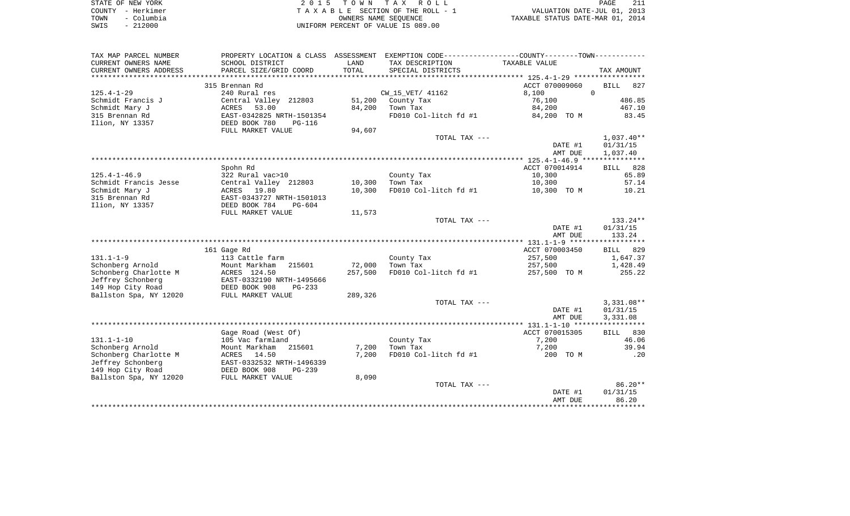|      | STATE OF NEW YORK | 2015 TOWN TAX ROLL                 | <b>PAGE</b>                      |
|------|-------------------|------------------------------------|----------------------------------|
|      | COUNTY - Herkimer | TAXABLE SECTION OF THE ROLL - 1    | VALUATION DATE-JUL 01, 2013      |
| TOWN | – Columbia        | OWNERS NAME SEOUENCE               | TAXABLE STATUS DATE-MAR 01, 2014 |
| SWIS | $-212000$         | UNIFORM PERCENT OF VALUE IS 089.00 |                                  |

| TAX MAP PARCEL NUMBER  | PROPERTY LOCATION & CLASS ASSESSMENT EXEMPTION CODE----------------COUNTY--------TOWN---------- |         |                       |                |                    |
|------------------------|-------------------------------------------------------------------------------------------------|---------|-----------------------|----------------|--------------------|
| CURRENT OWNERS NAME    | SCHOOL DISTRICT                                                                                 | LAND    | TAX DESCRIPTION       | TAXABLE VALUE  |                    |
| CURRENT OWNERS ADDRESS | PARCEL SIZE/GRID COORD                                                                          | TOTAL   | SPECIAL DISTRICTS     |                | TAX AMOUNT         |
|                        |                                                                                                 |         |                       |                |                    |
|                        | 315 Brennan Rd                                                                                  |         |                       | ACCT 070009060 | <b>BILL</b><br>827 |
| $125.4 - 1 - 29$       | 240 Rural res                                                                                   |         | CW 15 VET/ 41162      | 8,100          | $\Omega$           |
| Schmidt Francis J      | Central Valley 212803                                                                           | 51,200  | County Tax            | 76,100         | 486.85             |
| Schmidt Mary J         | 53.00<br>ACRES                                                                                  | 84,200  | Town Tax              | 84,200         | 467.10             |
| 315 Brennan Rd         | EAST-0342825 NRTH-1501354                                                                       |         | FD010 Col-litch fd #1 | 84,200 TO M    | 83.45              |
| Ilion, NY 13357        | DEED BOOK 780<br><b>PG-116</b>                                                                  |         |                       |                |                    |
|                        | FULL MARKET VALUE                                                                               | 94,607  |                       |                |                    |
|                        |                                                                                                 |         | TOTAL TAX ---         |                | $1,037.40**$       |
|                        |                                                                                                 |         |                       | DATE #1        | 01/31/15           |
|                        |                                                                                                 |         |                       | AMT DUE        | 1,037.40           |
|                        |                                                                                                 |         |                       |                |                    |
|                        | Spohn Rd                                                                                        |         |                       | ACCT 070014914 | BILL 828           |
| $125.4 - 1 - 46.9$     | 322 Rural vac>10                                                                                |         | County Tax            | 10,300         | 65.89              |
| Schmidt Francis Jesse  | Central Valley 212803                                                                           | 10,300  | Town Tax              | 10,300         | 57.14              |
| Schmidt Mary J         | ACRES 19.80                                                                                     | 10,300  | FD010 Col-litch fd #1 | 10,300 TO M    | 10.21              |
| 315 Brennan Rd         | EAST-0343727 NRTH-1501013                                                                       |         |                       |                |                    |
| Ilion, NY 13357        | DEED BOOK 784<br>$PG-604$                                                                       |         |                       |                |                    |
|                        | FULL MARKET VALUE                                                                               | 11,573  |                       |                |                    |
|                        |                                                                                                 |         | TOTAL TAX ---         |                | 133.24**           |
|                        |                                                                                                 |         |                       | DATE #1        | 01/31/15           |
|                        |                                                                                                 |         |                       | AMT DUE        | 133.24             |
|                        |                                                                                                 |         |                       |                |                    |
|                        | 161 Gage Rd                                                                                     |         |                       | ACCT 070003450 | BILL<br>829        |
| $131.1 - 1 - 9$        | 113 Cattle farm                                                                                 |         | County Tax            | 257,500        | 1,647.37           |
| Schonberg Arnold       | Mount Markham<br>215601                                                                         | 72,000  | Town Tax              | 257,500        | 1,428.49           |
| Schonberg Charlotte M  | ACRES 124.50                                                                                    | 257,500 | FD010 Col-litch fd #1 | 257,500 TO M   | 255.22             |
| Jeffrey Schonberg      | EAST-0332190 NRTH-1495666                                                                       |         |                       |                |                    |
| 149 Hop City Road      | DEED BOOK 908<br>$PG-233$                                                                       |         |                       |                |                    |
| Ballston Spa, NY 12020 | FULL MARKET VALUE                                                                               | 289,326 |                       |                |                    |
|                        |                                                                                                 |         | TOTAL TAX ---         |                | $3,331.08**$       |
|                        |                                                                                                 |         |                       | DATE #1        | 01/31/15           |
|                        |                                                                                                 |         |                       | AMT DUE        | 3,331.08           |
|                        |                                                                                                 |         |                       |                |                    |
|                        | Gage Road (West Of)                                                                             |         |                       | ACCT 070015305 | 830<br>BILL        |
| $131.1 - 1 - 10$       | 105 Vac farmland                                                                                |         | County Tax            | 7,200          | 46.06              |
| Schonberg Arnold       | Mount Markham<br>215601                                                                         | 7,200   | Town Tax              | 7,200          | 39.94              |
| Schonberg Charlotte M  | ACRES<br>14.50                                                                                  | 7,200   | FD010 Col-litch fd #1 | 200 TO M       | .20                |
| Jeffrey Schonberg      | EAST-0332532 NRTH-1496339                                                                       |         |                       |                |                    |
| 149 Hop City Road      | DEED BOOK 908<br>$PG-239$                                                                       |         |                       |                |                    |
| Ballston Spa, NY 12020 | FULL MARKET VALUE                                                                               | 8,090   |                       |                |                    |
|                        |                                                                                                 |         | TOTAL TAX ---         |                | 86.20**            |
|                        |                                                                                                 |         |                       | DATE #1        | 01/31/15           |
|                        |                                                                                                 |         |                       | AMT DUE        | 86.20              |
|                        |                                                                                                 |         |                       |                | ***********        |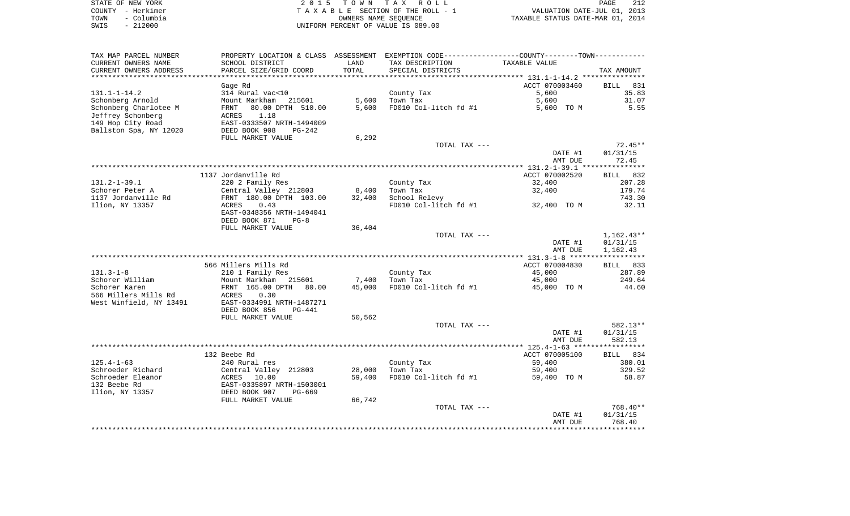| STATE OF NEW YORK  | 2015 TOWN TAX ROLL                 | 212<br>PAGE                      |
|--------------------|------------------------------------|----------------------------------|
| COUNTY - Herkimer  | TAXABLE SECTION OF THE ROLL - 1    | VALUATION DATE-JUL 01, 2013      |
| – Columbia<br>TOWN | OWNERS NAME SEOUENCE               | TAXABLE STATUS DATE-MAR 01, 2014 |
| $-212000$<br>SWIS  | UNIFORM PERCENT OF VALUE IS 089.00 |                                  |

| TAX MAP PARCEL NUMBER                          |                                            |                | PROPERTY LOCATION & CLASS ASSESSMENT EXEMPTION CODE---------------COUNTY-------TOWN---------- |                |                    |
|------------------------------------------------|--------------------------------------------|----------------|-----------------------------------------------------------------------------------------------|----------------|--------------------|
| CURRENT OWNERS NAME                            | SCHOOL DISTRICT                            | LAND           | TAX DESCRIPTION                                                                               | TAXABLE VALUE  |                    |
| CURRENT OWNERS ADDRESS<br>******************** | PARCEL SIZE/GRID COORD                     | TOTAL          | SPECIAL DISTRICTS                                                                             |                | TAX AMOUNT         |
|                                                |                                            |                |                                                                                               |                |                    |
|                                                | Gage Rd                                    |                |                                                                                               | ACCT 070003460 | 831<br><b>BILL</b> |
| $131.1 - 1 - 14.2$                             | 314 Rural vac<10                           |                | County Tax                                                                                    | 5,600          | 35.83              |
| Schonberg Arnold                               | Mount Markham<br>215601                    | 5,600<br>5,600 | Town Tax                                                                                      | 5,600          | 31.07              |
| Schonberg Charlotee M                          | 80.00 DPTH 510.00<br>FRNT<br>1.18<br>ACRES |                | FD010 Col-litch fd #1                                                                         | 5,600 TO M     | 5.55               |
| Jeffrey Schonberg<br>149 Hop City Road         | EAST-0333507 NRTH-1494009                  |                |                                                                                               |                |                    |
| Ballston Spa, NY 12020                         | DEED BOOK 908<br>$PG-242$                  |                |                                                                                               |                |                    |
|                                                | FULL MARKET VALUE                          | 6,292          |                                                                                               |                |                    |
|                                                |                                            |                | TOTAL TAX ---                                                                                 |                | $72.45**$          |
|                                                |                                            |                |                                                                                               | DATE #1        | 01/31/15           |
|                                                |                                            |                |                                                                                               | AMT DUE        | 72.45              |
|                                                |                                            |                |                                                                                               |                |                    |
|                                                | 1137 Jordanville Rd                        |                |                                                                                               | ACCT 070002520 | BILL 832           |
| $131.2 - 1 - 39.1$                             | 220 2 Family Res                           |                | County Tax                                                                                    | 32,400         | 207.28             |
| Schorer Peter A                                | Central Valley 212803                      | 8,400          | Town Tax                                                                                      | 32,400         | 179.74             |
| 1137 Jordanville Rd                            | FRNT 180.00 DPTH 103.00                    | 32,400         | School Relevy                                                                                 |                | 743.30             |
| Ilion, NY 13357                                | ACRES<br>0.43                              |                | FD010 Col-litch $fd$ #1 32,400 TO M                                                           |                | 32.11              |
|                                                | EAST-0348356 NRTH-1494041                  |                |                                                                                               |                |                    |
|                                                | DEED BOOK 871<br>$PG-8$                    |                |                                                                                               |                |                    |
|                                                | FULL MARKET VALUE                          | 36,404         |                                                                                               |                |                    |
|                                                |                                            |                | TOTAL TAX ---                                                                                 |                | $1,162.43**$       |
|                                                |                                            |                |                                                                                               | DATE #1        | 01/31/15           |
|                                                |                                            |                |                                                                                               | AMT DUE        | 1,162.43           |
|                                                |                                            |                |                                                                                               |                |                    |
|                                                | 566 Millers Mills Rd                       |                |                                                                                               | ACCT 070004830 | BILL 833           |
| $131.3 - 1 - 8$                                | 210 1 Family Res                           |                | County Tax                                                                                    | 45,000         | 287.89             |
| Schorer William                                | Mount Markham 215601                       | 7,400          | Town Tax                                                                                      | 45,000         | 249.64             |
| Schorer Karen                                  | FRNT 165.00 DPTH 80.00                     | 45,000         | FD010 Col-litch fd #1                                                                         | 45,000 TO M    | 44.60              |
| 566 Millers Mills Rd                           | 0.30<br>ACRES                              |                |                                                                                               |                |                    |
| West Winfield, NY 13491                        | EAST-0334991 NRTH-1487271                  |                |                                                                                               |                |                    |
|                                                | DEED BOOK 856<br>$PG-441$                  |                |                                                                                               |                |                    |
|                                                | FULL MARKET VALUE                          | 50,562         |                                                                                               |                |                    |
|                                                |                                            |                | TOTAL TAX ---                                                                                 |                | $582.13**$         |
|                                                |                                            |                |                                                                                               | DATE #1        | 01/31/15           |
|                                                |                                            |                |                                                                                               | AMT DUE        | 582.13             |
|                                                |                                            |                |                                                                                               |                |                    |
|                                                | 132 Beebe Rd                               |                |                                                                                               | ACCT 070005100 | BILL 834           |
| $125.4 - 1 - 63$                               | 240 Rural res                              |                | County Tax                                                                                    | 59,400         | 380.01             |
| Schroeder Richard                              | Central Valley 212803<br>ACRES 10.00       | 28,000         | Town Tax                                                                                      | 59,400         | 329.52             |
| Schroeder Eleanor                              |                                            | 59,400         | FD010 Col-litch fd #1                                                                         | 59,400 TO M    | 58.87              |
| 132 Beebe Rd                                   | EAST-0335897 NRTH-1503001                  |                |                                                                                               |                |                    |
| Ilion, NY 13357                                | DEED BOOK 907<br>PG-669                    |                |                                                                                               |                |                    |
|                                                | FULL MARKET VALUE                          | 66,742         |                                                                                               |                |                    |
|                                                |                                            |                | TOTAL TAX ---                                                                                 |                | 768.40**           |
|                                                |                                            |                |                                                                                               | DATE #1        | 01/31/15           |
|                                                |                                            |                |                                                                                               | AMT DUE        | 768.40             |
|                                                |                                            |                |                                                                                               |                |                    |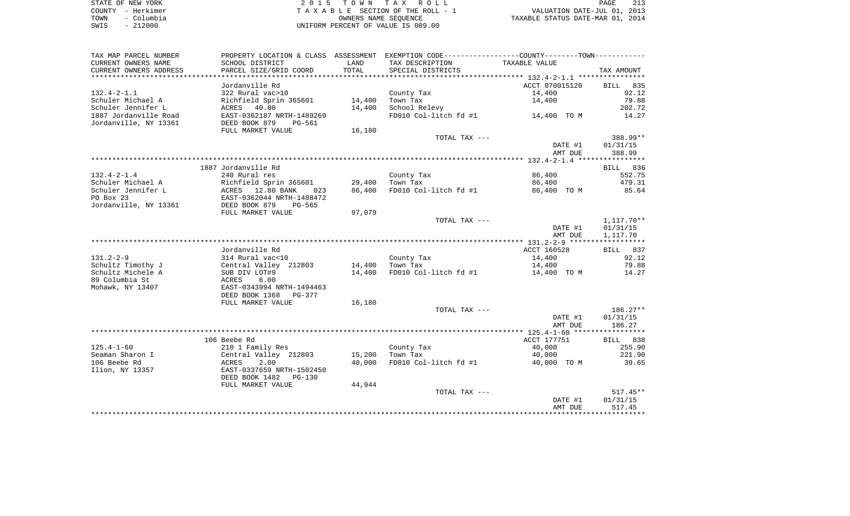|      | STATE OF NEW YORK | 2015 TOWN TAX ROLL                 | PAGE                             |
|------|-------------------|------------------------------------|----------------------------------|
|      | COUNTY - Herkimer | TAXABLE SECTION OF THE ROLL - 1    | VALUATION DATE-JUL 01, 2013      |
| TOWN | – Columbia        | OWNERS NAME SEOUENCE               | TAXABLE STATUS DATE-MAR 01, 2014 |
| SWIS | $-212000$         | UNIFORM PERCENT OF VALUE IS 089.00 |                                  |

| TAX MAP PARCEL NUMBER                          |                                                        |                  | PROPERTY LOCATION & CLASS ASSESSMENT EXEMPTION CODE----------------COUNTY--------TOWN---------- |                      |                    |
|------------------------------------------------|--------------------------------------------------------|------------------|-------------------------------------------------------------------------------------------------|----------------------|--------------------|
| CURRENT OWNERS NAME                            | SCHOOL DISTRICT                                        | LAND             | TAX DESCRIPTION                                                                                 | <b>TAXABLE VALUE</b> |                    |
| CURRENT OWNERS ADDRESS                         | PARCEL SIZE/GRID COORD                                 | TOTAL            | SPECIAL DISTRICTS                                                                               |                      | TAX AMOUNT         |
|                                                |                                                        |                  |                                                                                                 |                      |                    |
|                                                | Jordanville Rd                                         |                  |                                                                                                 | ACCT 070015120       | BILL<br>835        |
| $132.4 - 2 - 1.1$                              | 322 Rural vac>10                                       |                  | County Tax                                                                                      | 14,400               | 92.12              |
| Schuler Michael A                              | Richfield Sprin 365601                                 | 14,400           | Town Tax                                                                                        | 14,400               | 79.88              |
| Schuler Jennifer L                             | 40.00<br>ACRES                                         | 14,400           | School Relevy                                                                                   |                      | 202.72             |
| 1887 Jordanville Road<br>Jordanville, NY 13361 | EAST-0362187 NRTH-1489269<br>DEED BOOK 879<br>$PG-561$ |                  | FD010 Col-litch fd #1                                                                           | 14,400 TO M          | 14.27              |
|                                                | FULL MARKET VALUE                                      | 16,180           |                                                                                                 |                      |                    |
|                                                |                                                        |                  | TOTAL TAX ---                                                                                   |                      | 388.99**           |
|                                                |                                                        |                  |                                                                                                 | DATE #1<br>AMT DUE   | 01/31/15<br>388.99 |
|                                                |                                                        |                  |                                                                                                 |                      |                    |
|                                                | 1887 Jordanville Rd                                    |                  |                                                                                                 |                      | BILL 836           |
| $132.4 - 2 - 1.4$                              | 240 Rural res                                          |                  | County Tax                                                                                      | 86,400               | 552.75             |
| Schuler Michael A                              | Richfield Sprin 365601                                 | 29,400           | Town Tax                                                                                        | 86,400               | 479.31             |
| Schuler Jennifer L                             | ACRES 12.80 BANK<br>023                                | 86,400           | FD010 Col-litch fd #1                                                                           | 86,400 TO M          | 85.64              |
| PO Box 23                                      | EAST-0362044 NRTH-1488472                              |                  |                                                                                                 |                      |                    |
| Jordanville, NY 13361                          | DEED BOOK 879<br>PG-565                                |                  |                                                                                                 |                      |                    |
|                                                | FULL MARKET VALUE                                      | 97,079           |                                                                                                 |                      |                    |
|                                                |                                                        |                  | TOTAL TAX ---                                                                                   |                      | 1,117.70**         |
|                                                |                                                        |                  |                                                                                                 | DATE #1              | 01/31/15           |
|                                                |                                                        |                  |                                                                                                 | AMT DUE              | 1,117.70           |
|                                                |                                                        |                  |                                                                                                 |                      |                    |
|                                                | Jordanville Rd                                         |                  |                                                                                                 | ACCT 160528          | BILL 837           |
| $131.2 - 2 - 9$                                | 314 Rural vac<10                                       |                  | County Tax                                                                                      | 14,400               | 92.12<br>79.88     |
| Schultz Timothy J<br>Schultz Michele A         | Central Valley 212803                                  | 14,400<br>14,400 | Town Tax<br>FD010 Col-litch fd #1                                                               | 14,400               | 14.27              |
| 89 Columbia St                                 | SUB DIV LOT#9<br>6.00                                  |                  |                                                                                                 | 14,400 TO M          |                    |
| Mohawk, NY 13407                               | ACRES<br>EAST-0343994 NRTH-1494463                     |                  |                                                                                                 |                      |                    |
|                                                | DEED BOOK 1368<br>PG-377                               |                  |                                                                                                 |                      |                    |
|                                                | FULL MARKET VALUE                                      | 16,180           |                                                                                                 |                      |                    |
|                                                |                                                        |                  | TOTAL TAX ---                                                                                   |                      | 186.27**           |
|                                                |                                                        |                  |                                                                                                 | DATE #1              | 01/31/15           |
|                                                |                                                        |                  |                                                                                                 | AMT DUE              | 186.27             |
|                                                |                                                        |                  |                                                                                                 |                      |                    |
|                                                | 106 Beebe Rd                                           |                  |                                                                                                 | ACCT 177751          | BILL 838           |
| $125.4 - 1 - 60$                               | 210 1 Family Res                                       |                  | County Tax                                                                                      | 40,000               | 255.90             |
| Seaman Sharon I                                | Central Valley 212803                                  | 15,200           | Town Tax                                                                                        | 40,000               | 221.90             |
| 106 Beebe Rd                                   | ACRES<br>2.00                                          | 40,000           | FD010 Col-litch fd #1                                                                           | 40,000 TO M          | 39.65              |
| Ilion, NY 13357                                | EAST-0337659 NRTH-1502450                              |                  |                                                                                                 |                      |                    |
|                                                | DEED BOOK 1482<br><b>PG-130</b>                        |                  |                                                                                                 |                      |                    |
|                                                | FULL MARKET VALUE                                      | 44,944           |                                                                                                 |                      |                    |
|                                                |                                                        |                  | TOTAL TAX ---                                                                                   |                      | $517.45**$         |
|                                                |                                                        |                  |                                                                                                 | DATE #1              | 01/31/15           |
|                                                |                                                        |                  |                                                                                                 | AMT DUE              | 517.45             |
|                                                |                                                        |                  |                                                                                                 |                      |                    |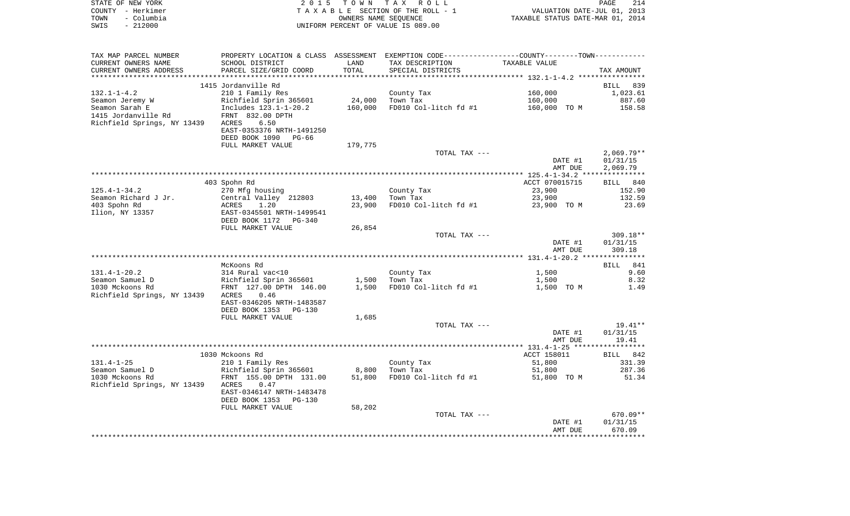| STATE OF NEW YORK  | 2015 TOWN TAX ROLL                 | 214<br><b>PAGE</b>               |
|--------------------|------------------------------------|----------------------------------|
| COUNTY - Herkimer  | TAXABLE SECTION OF THE ROLL - 1    | VALUATION DATE-JUL 01, 2013      |
| - Columbia<br>TOWN | OWNERS NAME SEOUENCE               | TAXABLE STATUS DATE-MAR 01, 2014 |
| $-212000$<br>SWIS  | UNIFORM PERCENT OF VALUE IS 089.00 |                                  |

| TAX MAP PARCEL NUMBER       | PROPERTY LOCATION & CLASS ASSESSMENT EXEMPTION CODE---------------COUNTY-------TOWN---------- |         |                       |                |              |
|-----------------------------|-----------------------------------------------------------------------------------------------|---------|-----------------------|----------------|--------------|
| CURRENT OWNERS NAME         | SCHOOL DISTRICT                                                                               | LAND    | TAX DESCRIPTION       | TAXABLE VALUE  |              |
| CURRENT OWNERS ADDRESS      | PARCEL SIZE/GRID COORD                                                                        | TOTAL   | SPECIAL DISTRICTS     |                | TAX AMOUNT   |
|                             |                                                                                               |         |                       |                |              |
|                             | 1415 Jordanville Rd                                                                           |         |                       |                | BILL 839     |
| $132.1 - 1 - 4.2$           |                                                                                               |         |                       | 160,000        |              |
|                             | 210 1 Family Res                                                                              |         | County Tax            |                | 1,023.61     |
| Seamon Jeremy W             | Richfield Sprin 365601                                                                        | 24,000  | Town Tax              | 160,000        | 887.60       |
| Seamon Sarah E              | Includes 123.1-1-20.2                                                                         | 160,000 | FD010 Col-litch fd #1 | 160,000 TO M   | 158.58       |
| 1415 Jordanville Rd         | FRNT 832.00 DPTH                                                                              |         |                       |                |              |
| Richfield Springs, NY 13439 | ACRES<br>6.50                                                                                 |         |                       |                |              |
|                             | EAST-0353376 NRTH-1491250                                                                     |         |                       |                |              |
|                             | DEED BOOK 1090<br>PG-66                                                                       |         |                       |                |              |
|                             | FULL MARKET VALUE                                                                             | 179,775 |                       |                |              |
|                             |                                                                                               |         | TOTAL TAX ---         |                | $2,069.79**$ |
|                             |                                                                                               |         |                       |                |              |
|                             |                                                                                               |         |                       | DATE #1        | 01/31/15     |
|                             |                                                                                               |         |                       | AMT DUE        | 2,069.79     |
|                             |                                                                                               |         |                       |                |              |
|                             | 403 Spohn Rd                                                                                  |         |                       | ACCT 070015715 | BILL 840     |
| $125.4 - 1 - 34.2$          | 270 Mfg housing                                                                               |         | County Tax            | 23,900         | 152.90       |
| Seamon Richard J Jr.        | Central Valley 212803                                                                         | 13,400  | Town Tax              | 23,900         | 132.59       |
| 403 Spohn Rd                | 1.20<br>ACRES                                                                                 | 23,900  | FD010 Col-litch fd #1 | 23,900 TO M    | 23.69        |
| Ilion, NY 13357             | EAST-0345501 NRTH-1499541                                                                     |         |                       |                |              |
|                             | DEED BOOK 1172<br>PG-340                                                                      |         |                       |                |              |
|                             | FULL MARKET VALUE                                                                             | 26,854  |                       |                |              |
|                             |                                                                                               |         |                       |                |              |
|                             |                                                                                               |         | TOTAL TAX ---         |                | $309.18**$   |
|                             |                                                                                               |         |                       | DATE #1        | 01/31/15     |
|                             |                                                                                               |         |                       | AMT DUE        | 309.18       |
|                             |                                                                                               |         |                       |                |              |
|                             | McKoons Rd                                                                                    |         |                       |                | 841<br>BILL  |
| $131.4 - 1 - 20.2$          | 314 Rural vac<10                                                                              |         | County Tax            | 1,500          | 9.60         |
| Seamon Samuel D             | Richfield Sprin 365601                                                                        | 1,500   | Town Tax              | 1,500          | 8.32         |
| 1030 Mckoons Rd             | FRNT 127.00 DPTH 146.00                                                                       | 1,500   | FD010 Col-litch fd #1 | 1,500 TO M     | 1.49         |
| Richfield Springs, NY 13439 | 0.46<br>ACRES                                                                                 |         |                       |                |              |
|                             | EAST-0346205 NRTH-1483587                                                                     |         |                       |                |              |
|                             |                                                                                               |         |                       |                |              |
|                             | DEED BOOK 1353<br><b>PG-130</b>                                                               |         |                       |                |              |
|                             | FULL MARKET VALUE                                                                             | 1,685   |                       |                |              |
|                             |                                                                                               |         | TOTAL TAX ---         |                | $19.41**$    |
|                             |                                                                                               |         |                       | DATE #1        | 01/31/15     |
|                             |                                                                                               |         |                       | AMT DUE        | 19.41        |
|                             |                                                                                               |         |                       |                |              |
|                             | 1030 Mckoons Rd                                                                               |         |                       | ACCT 158011    | BILL 842     |
| $131.4 - 1 - 25$            | 210 1 Family Res                                                                              |         | County Tax            | 51,800         | 331.39       |
| Seamon Samuel D             | Richfield Sprin 365601                                                                        | 8,800   | Town Tax              | 51,800         | 287.36       |
| 1030 Mckoons Rd             | FRNT 155.00 DPTH 131.00                                                                       | 51,800  | FD010 Col-litch fd #1 | 51,800 TO M    | 51.34        |
| Richfield Springs, NY 13439 | 0.47<br>ACRES                                                                                 |         |                       |                |              |
|                             |                                                                                               |         |                       |                |              |
|                             | EAST-0346147 NRTH-1483478                                                                     |         |                       |                |              |
|                             | DEED BOOK 1353<br>$PG-130$                                                                    |         |                       |                |              |
|                             | FULL MARKET VALUE                                                                             | 58,202  |                       |                |              |
|                             |                                                                                               |         | TOTAL TAX ---         |                | $670.09**$   |
|                             |                                                                                               |         |                       | DATE #1        | 01/31/15     |
|                             |                                                                                               |         |                       | AMT DUE        | 670.09       |
|                             |                                                                                               |         |                       |                |              |
|                             |                                                                                               |         |                       |                |              |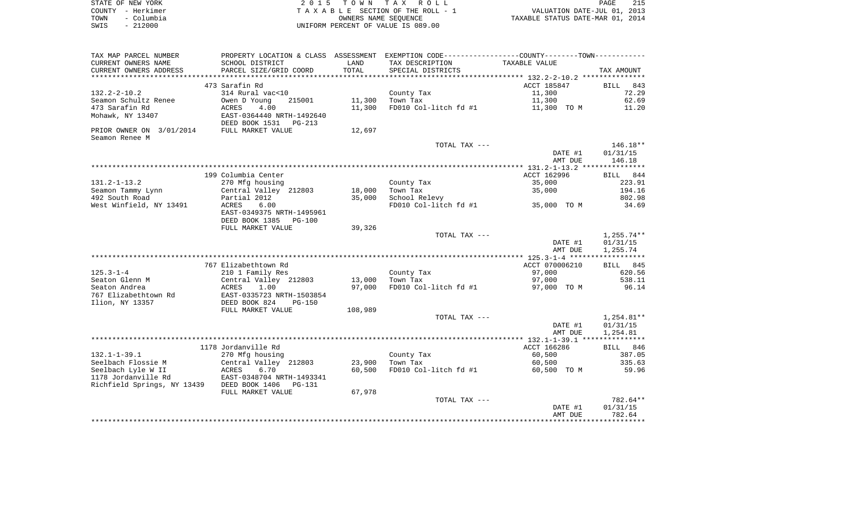|      | STATE OF NEW YORK | 2015 TOWN TAX ROLL                 | 215<br>PAGE                      |
|------|-------------------|------------------------------------|----------------------------------|
|      | COUNTY - Herkimer | TAXABLE SECTION OF THE ROLL - 1    | VALUATION DATE-JUL 01, 2013      |
| TOWN | - Columbia        | OWNERS NAME SEOUENCE               | TAXABLE STATUS DATE-MAR 01, 2014 |
| SWIS | - 212000          | UNIFORM PERCENT OF VALUE IS 089.00 |                                  |

| TAX MAP PARCEL NUMBER                      |                                                       |         | PROPERTY LOCATION & CLASS ASSESSMENT EXEMPTION CODE---------------COUNTY--------TOWN---------- |                |              |
|--------------------------------------------|-------------------------------------------------------|---------|------------------------------------------------------------------------------------------------|----------------|--------------|
| CURRENT OWNERS NAME                        | SCHOOL DISTRICT                                       | LAND    | TAX DESCRIPTION                                                                                | TAXABLE VALUE  |              |
| CURRENT OWNERS ADDRESS                     | PARCEL SIZE/GRID COORD                                | TOTAL   | SPECIAL DISTRICTS                                                                              |                | TAX AMOUNT   |
|                                            |                                                       |         |                                                                                                |                |              |
|                                            | 473 Sarafin Rd                                        |         |                                                                                                | ACCT 185847    | BILL<br>843  |
| $132.2 - 2 - 10.2$                         | 314 Rural vac<10                                      |         | County Tax                                                                                     | 11,300         | 72.29        |
| Seamon Schultz Renee                       | Owen D Young<br>215001                                | 11,300  | Town Tax                                                                                       | 11,300         | 62.69        |
| 473 Sarafin Rd                             | ACRES<br>4.00                                         | 11,300  | FD010 Col-litch fd #1                                                                          | 11,300 TO M    | 11.20        |
| Mohawk, NY 13407                           | EAST-0364440 NRTH-1492640                             |         |                                                                                                |                |              |
|                                            | DEED BOOK 1531<br>PG-213                              |         |                                                                                                |                |              |
| PRIOR OWNER ON 3/01/2014                   | FULL MARKET VALUE                                     | 12,697  |                                                                                                |                |              |
| Seamon Renee M                             |                                                       |         |                                                                                                |                |              |
|                                            |                                                       |         | TOTAL TAX ---                                                                                  |                | $146.18**$   |
|                                            |                                                       |         |                                                                                                | DATE #1        | 01/31/15     |
|                                            |                                                       |         |                                                                                                | AMT DUE        | 146.18       |
|                                            |                                                       |         |                                                                                                |                |              |
|                                            | 199 Columbia Center                                   |         |                                                                                                | ACCT 162996    | BILL 844     |
| $131.2 - 1 - 13.2$                         | 270 Mfg housing                                       |         | County Tax                                                                                     | 35,000         | 223.91       |
| Seamon Tammy Lynn                          | Central Valley 212803                                 | 18,000  | Town Tax                                                                                       | 35,000         | 194.16       |
| 492 South Road                             | Partial 2012                                          | 35,000  | School Relevy                                                                                  |                | 802.98       |
| West Winfield, NY 13491                    | ACRES<br>6.00                                         |         | FD010 Col-litch fd #1                                                                          | 35,000 TO M    | 34.69        |
|                                            | EAST-0349375 NRTH-1495961<br>DEED BOOK 1385<br>PG-100 |         |                                                                                                |                |              |
|                                            | FULL MARKET VALUE                                     | 39,326  |                                                                                                |                |              |
|                                            |                                                       |         | TOTAL TAX ---                                                                                  |                | $1,255.74**$ |
|                                            |                                                       |         |                                                                                                | DATE #1        | 01/31/15     |
|                                            |                                                       |         |                                                                                                | AMT DUE        | 1,255.74     |
|                                            |                                                       |         |                                                                                                |                |              |
|                                            | 767 Elizabethtown Rd                                  |         |                                                                                                | ACCT 070006210 | BILL 845     |
| $125.3 - 1 - 4$                            | 210 1 Family Res                                      |         | County Tax                                                                                     | 97,000         | 620.56       |
| Seaton Glenn M                             | Central Valley 212803                                 | 13,000  | Town Tax                                                                                       | 97,000         | 538.11       |
| Seaton Andrea                              | ACRES<br>1.00                                         | 97,000  | FD010 Col-litch fd #1                                                                          | 97,000 TO M    | 96.14        |
| 767 Elizabethtown Rd                       | EAST-0335723 NRTH-1503854                             |         |                                                                                                |                |              |
| Ilion, NY 13357                            | DEED BOOK 824<br><b>PG-150</b>                        |         |                                                                                                |                |              |
|                                            | FULL MARKET VALUE                                     | 108,989 |                                                                                                |                |              |
|                                            |                                                       |         | TOTAL TAX ---                                                                                  |                | $1,254.81**$ |
|                                            |                                                       |         |                                                                                                | DATE #1        | 01/31/15     |
|                                            |                                                       |         |                                                                                                | AMT DUE        | 1,254.81     |
|                                            |                                                       |         |                                                                                                |                |              |
|                                            | 1178 Jordanville Rd                                   |         |                                                                                                | ACCT 166286    | BILL 846     |
| $132.1 - 1 - 39.1$                         | 270 Mfg housing                                       |         | County Tax                                                                                     | 60,500         | 387.05       |
| Seelbach Flossie M                         | Central Valley 212803                                 | 23,900  | Town Tax                                                                                       | 60,500         | 335.63       |
| Seelbach Lyle W II                         | 6.70<br>ACRES                                         | 60,500  | FD010 Col-litch fd #1                                                                          | 60,500 TO M    | 59.96        |
| 1178 Jordanville Rd                        | EAST-0348704 NRTH-1493341                             |         |                                                                                                |                |              |
| Richfield Springs, NY 13439 DEED BOOK 1406 | PG-131                                                |         |                                                                                                |                |              |
|                                            | FULL MARKET VALUE                                     | 67,978  |                                                                                                |                |              |
|                                            |                                                       |         | TOTAL TAX ---                                                                                  |                | 782.64**     |
|                                            |                                                       |         |                                                                                                | DATE #1        | 01/31/15     |
|                                            |                                                       |         |                                                                                                | AMT DUE        | 782.64       |
|                                            |                                                       |         |                                                                                                |                |              |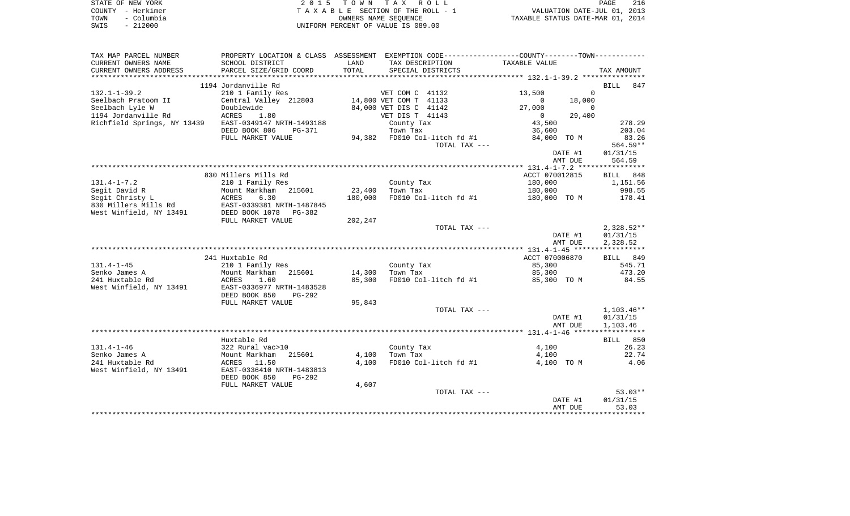| STATE OF NEW YORK  | 2015 TOWN TAX ROLL                 | 216<br><b>PAGE</b>               |
|--------------------|------------------------------------|----------------------------------|
| COUNTY - Herkimer  | TAXABLE SECTION OF THE ROLL - 1    | VALUATION DATE-JUL 01, 2013      |
| - Columbia<br>TOWN | OWNERS NAME SEOUENCE               | TAXABLE STATUS DATE-MAR 01, 2014 |
| - 212000<br>SWIS   | UNIFORM PERCENT OF VALUE IS 089.00 |                                  |

| TAX MAP PARCEL NUMBER       | PROPERTY LOCATION & CLASS ASSESSMENT EXEMPTION CODE---------------COUNTY-------TOWN---------- |         |                        |                              |                |             |                    |
|-----------------------------|-----------------------------------------------------------------------------------------------|---------|------------------------|------------------------------|----------------|-------------|--------------------|
| CURRENT OWNERS NAME         | SCHOOL DISTRICT                                                                               | LAND    | TAX DESCRIPTION        |                              | TAXABLE VALUE  |             |                    |
| CURRENT OWNERS ADDRESS      | PARCEL SIZE/GRID COORD                                                                        | TOTAL   | SPECIAL DISTRICTS      |                              |                |             | TAX AMOUNT         |
| *************************   |                                                                                               |         |                        |                              |                |             |                    |
|                             | 1194 Jordanville Rd                                                                           |         |                        |                              |                |             | <b>BILL</b><br>847 |
| $132.1 - 1 - 39.2$          | 210 1 Family Res                                                                              |         | VET COM C 41132        |                              | 13,500         | $\Omega$    |                    |
| Seelbach Pratoom II         | Central Valley 212803                                                                         |         | 14,800 VET COM T 41133 |                              | $\Omega$       | 18,000      |                    |
| Seelbach Lyle W             | Doublewide                                                                                    |         | 84,000 VET DIS C 41142 |                              | 27,000         | $\mathbf 0$ |                    |
| 1194 Jordanville Rd         | ACRES<br>1.80                                                                                 |         | VET DIS T 41143        |                              | $\overline{0}$ | 29,400      |                    |
| Richfield Springs, NY 13439 | EAST-0349147 NRTH-1493188                                                                     |         | County Tax             |                              | 43,500         |             | 278.29             |
|                             | DEED BOOK 806<br>PG-371                                                                       |         | Town Tax               |                              | 36,600         |             | 203.04             |
|                             | FULL MARKET VALUE                                                                             |         |                        | 94,382 FD010 Col-litch fd #1 | 84,000 TO M    |             | 83.26              |
|                             |                                                                                               |         |                        | TOTAL TAX ---                |                |             | 564.59**           |
|                             |                                                                                               |         |                        |                              |                | DATE #1     | 01/31/15           |
|                             |                                                                                               |         |                        |                              |                | AMT DUE     | 564.59             |
|                             |                                                                                               |         |                        |                              |                |             |                    |
|                             | 830 Millers Mills Rd                                                                          |         |                        |                              | ACCT 070012815 |             | BILL 848           |
| $131.4 - 1 - 7.2$           | 210 1 Family Res                                                                              |         | County Tax             |                              | 180,000        |             | 1,151.56           |
| Segit David R               | Mount Markham<br>215601                                                                       | 23,400  | Town Tax               |                              | 180,000        |             | 998.55             |
| Segit Christy L             | 6.30<br>ACRES                                                                                 | 180,000 |                        | FD010 Col-litch fd #1        | 180,000 TO M   |             | 178.41             |
| 830 Millers Mills Rd        | EAST-0339381 NRTH-1487845                                                                     |         |                        |                              |                |             |                    |
| West Winfield, NY 13491     | DEED BOOK 1078 PG-382                                                                         |         |                        |                              |                |             |                    |
|                             | FULL MARKET VALUE                                                                             | 202,247 |                        |                              |                |             |                    |
|                             |                                                                                               |         |                        | TOTAL TAX ---                |                |             | $2,328.52**$       |
|                             |                                                                                               |         |                        |                              |                | DATE #1     | 01/31/15           |
|                             |                                                                                               |         |                        |                              |                | AMT DUE     | 2,328.52           |
|                             |                                                                                               |         |                        |                              |                |             |                    |
|                             | 241 Huxtable Rd                                                                               |         |                        |                              | ACCT 070006870 |             | BILL 849           |
| $131.4 - 1 - 45$            | 210 1 Family Res                                                                              |         | County Tax             |                              | 85,300         |             | 545.71             |
| Senko James A               | Mount Markham<br>215601                                                                       | 14,300  | Town Tax               |                              | 85,300         |             | 473.20             |
| 241 Huxtable Rd             | ACRES<br>1.60                                                                                 | 85,300  |                        | FD010 Col-litch fd #1        | 85,300 TO M    |             | 84.55              |
| West Winfield, NY 13491     | EAST-0336977 NRTH-1483528                                                                     |         |                        |                              |                |             |                    |
|                             | DEED BOOK 850<br>PG-292                                                                       |         |                        |                              |                |             |                    |
|                             | FULL MARKET VALUE                                                                             | 95,843  |                        |                              |                |             |                    |
|                             |                                                                                               |         |                        | TOTAL TAX ---                |                |             | 1,103.46**         |
|                             |                                                                                               |         |                        |                              |                | DATE #1     | 01/31/15           |
|                             |                                                                                               |         |                        |                              |                | AMT DUE     | 1,103.46           |
|                             | Huxtable Rd                                                                                   |         |                        |                              |                |             | BILL 850           |
| $131.4 - 1 - 46$            | 322 Rural vac>10                                                                              |         | County Tax             |                              | 4,100          |             | 26.23              |
| Senko James A               | Mount Markham<br>215601                                                                       | 4,100   | Town Tax               |                              | 4,100          |             | 22.74              |
| 241 Huxtable Rd             | ACRES 11.50                                                                                   | 4,100   |                        | FD010 Col-litch fd #1        | 4,100 TO M     |             | 4.06               |
| West Winfield, NY 13491     | EAST-0336410 NRTH-1483813                                                                     |         |                        |                              |                |             |                    |
|                             | DEED BOOK 850<br>$PG-292$                                                                     |         |                        |                              |                |             |                    |
|                             | FULL MARKET VALUE                                                                             | 4,607   |                        |                              |                |             |                    |
|                             |                                                                                               |         |                        | TOTAL TAX ---                |                |             | $53.03**$          |
|                             |                                                                                               |         |                        |                              |                | DATE #1     | 01/31/15           |
|                             |                                                                                               |         |                        |                              |                | AMT DUE     | 53.03              |
|                             |                                                                                               |         |                        |                              |                |             |                    |
|                             |                                                                                               |         |                        |                              |                |             |                    |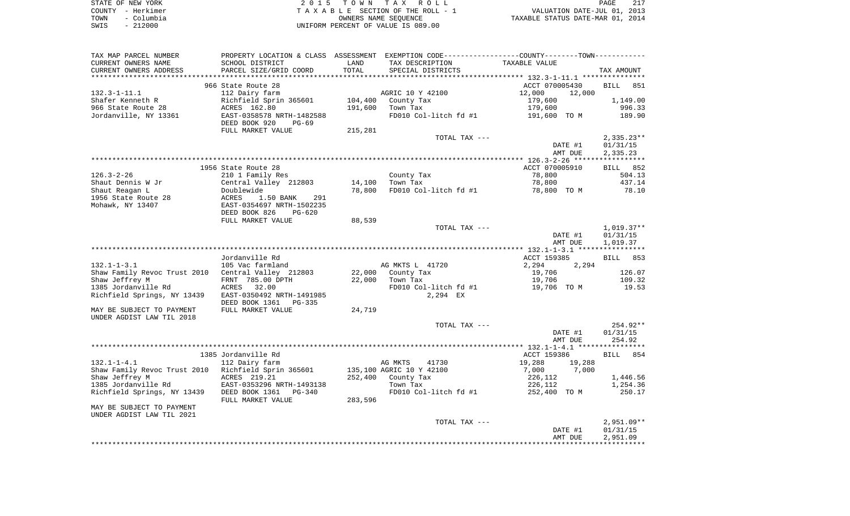| STATE OF NEW YORK  | 2015 TOWN TAX ROLL                 | 217<br>PAGE                      |
|--------------------|------------------------------------|----------------------------------|
| COUNTY - Herkimer  | TAXABLE SECTION OF THE ROLL - 1    | VALUATION DATE-JUL 01, 2013      |
| - Columbia<br>TOWN | OWNERS NAME SEOUENCE               | TAXABLE STATUS DATE-MAR 01, 2014 |
| $-212000$<br>SWIS  | UNIFORM PERCENT OF VALUE IS 089.00 |                                  |

| TAX MAP PARCEL NUMBER                                 |                                                                                         |         | PROPERTY LOCATION & CLASS ASSESSMENT EXEMPTION CODE---------------COUNTY-------TOWN---------- |                  |              |
|-------------------------------------------------------|-----------------------------------------------------------------------------------------|---------|-----------------------------------------------------------------------------------------------|------------------|--------------|
| CURRENT OWNERS NAME                                   | SCHOOL DISTRICT                                                                         | LAND    | TAX DESCRIPTION                                                                               | TAXABLE VALUE    |              |
| CURRENT OWNERS ADDRESS                                | PARCEL SIZE/GRID COORD                                                                  | TOTAL   | SPECIAL DISTRICTS                                                                             |                  | TAX AMOUNT   |
|                                                       |                                                                                         |         |                                                                                               |                  |              |
|                                                       | 966 State Route 28                                                                      |         |                                                                                               | ACCT 070005430   | BILL<br>851  |
| $132.3 - 1 - 11.1$                                    | 112 Dairy farm                                                                          |         | AGRIC 10 Y 42100                                                                              | 12,000<br>12,000 |              |
| Shafer Kenneth R                                      |                                                                                         |         | 104,400 County Tax                                                                            | 179,600          | 1,149.00     |
| 966 State Route 28                                    | Richfield Sprin 365601<br>ACRES 162.80                                                  | 191,600 | Town Tax                                                                                      | 179,600          | 996.33       |
| Jordanville, NY 13361                                 | EAST-0358578 NRTH-1482588                                                               |         | FD010 Col-litch fd #1                                                                         | 191,600 TO M     | 189.90       |
|                                                       | DEED BOOK 920<br>PG-69                                                                  |         |                                                                                               |                  |              |
|                                                       | FULL MARKET VALUE                                                                       | 215,281 |                                                                                               |                  |              |
|                                                       |                                                                                         |         | TOTAL TAX ---                                                                                 |                  | $2,335.23**$ |
|                                                       |                                                                                         |         |                                                                                               | DATE #1          | 01/31/15     |
|                                                       |                                                                                         |         |                                                                                               | AMT DUE          | 2,335.23     |
|                                                       |                                                                                         |         |                                                                                               |                  |              |
|                                                       | 1956 State Route 28                                                                     |         |                                                                                               | ACCT 070005910   | BILL 852     |
| $126.3 - 2 - 26$                                      |                                                                                         |         |                                                                                               | 78,800           |              |
|                                                       | 210 1 Family Res                                                                        |         | County Tax<br>Town Tax                                                                        | 78,800           | 504.13       |
| Shaut Dennis W Jr                                     |                                                                                         |         | 14,100 Town Tax                                                                               |                  | 437.14       |
| Shaut Reagan L                                        |                                                                                         | 78,800  | FD010 Col-litch fd #1                                                                         | 78,800 TO M      | 78.10        |
| 1956 State Route 28                                   | Central Valley 212803<br>Doublewide<br>ACRES 1.50 BANK 291<br>EAST-0354697 NRTH-1502235 |         |                                                                                               |                  |              |
| Mohawk, NY 13407                                      |                                                                                         |         |                                                                                               |                  |              |
|                                                       | DEED BOOK 826<br>PG-620                                                                 |         |                                                                                               |                  |              |
|                                                       | FULL MARKET VALUE                                                                       | 88,539  |                                                                                               |                  |              |
|                                                       |                                                                                         |         | TOTAL TAX ---                                                                                 |                  | $1,019.37**$ |
|                                                       |                                                                                         |         |                                                                                               | DATE #1          | 01/31/15     |
|                                                       |                                                                                         |         |                                                                                               | AMT DUE          | 1,019.37     |
|                                                       |                                                                                         |         |                                                                                               |                  |              |
|                                                       | Jordanville Rd                                                                          |         |                                                                                               | ACCT 159385      | BILL 853     |
| $132.1 - 1 - 3.1$                                     | 105 Vac farmland                                                                        |         | AG MKTS L 41720                                                                               | 2,294<br>2,294   |              |
| Shaw Family Revoc Trust 2010 Central Valley 212803    |                                                                                         |         | 22,000 County Tax                                                                             | 19,706           | 126.07       |
| Shaw Jeffrey M                                        | FRNT 785.00 DPTH                                                                        | 22,000  | Town Tax                                                                                      | 19,706           | 109.32       |
| 1385 Jordanville Rd ACRES 32.00                       |                                                                                         |         | FD010 Col-litch fd #1                                                                         | 19,706 TO M      | 19.53        |
| Richfield Springs, NY 13439 EAST-0350492 NRTH-1491985 |                                                                                         |         | 2,294 EX                                                                                      |                  |              |
|                                                       | DEED BOOK 1361 PG-335                                                                   |         |                                                                                               |                  |              |
| MAY BE SUBJECT TO PAYMENT                             | FULL MARKET VALUE                                                                       | 24,719  |                                                                                               |                  |              |
| UNDER AGDIST LAW TIL 2018                             |                                                                                         |         |                                                                                               |                  |              |
|                                                       |                                                                                         |         | TOTAL TAX ---                                                                                 |                  | 254.92**     |
|                                                       |                                                                                         |         |                                                                                               | DATE #1          | 01/31/15     |
|                                                       |                                                                                         |         |                                                                                               | AMT DUE          | 254.92       |
|                                                       |                                                                                         |         |                                                                                               |                  |              |
|                                                       | 1385 Jordanville Rd                                                                     |         |                                                                                               | ACCT 159386      | BILL<br>854  |
| $132.1 - 1 - 4.1$                                     | 112 Dairy farm                                                                          |         | AG MKTS<br>41730                                                                              | 19,288<br>19,288 |              |
| Shaw Family Revoc Trust 2010 Richfield Sprin 365601   |                                                                                         |         | 135,100 AGRIC 10 Y 42100                                                                      | 7,000<br>7,000   |              |
| Shaw Jeffrey M                                        | ACRES 219.21                                                                            |         |                                                                                               | 226,112          | 1,446.56     |
| 1385 Jordanville Rd EAST-0353296 NRTH-1493138         |                                                                                         |         | 252,400 County Tax<br>Town Tax                                                                | 226,112          | 1,254.36     |
| Richfield Springs, NY 13439 DEED BOOK 1361 PG-340     |                                                                                         |         | FD010 Col-litch fd #1                                                                         | 252,400 TO M     | 250.17       |
|                                                       | FULL MARKET VALUE                                                                       | 283,596 |                                                                                               |                  |              |
| MAY BE SUBJECT TO PAYMENT                             |                                                                                         |         |                                                                                               |                  |              |
| UNDER AGDIST LAW TIL 2021                             |                                                                                         |         |                                                                                               |                  |              |
|                                                       |                                                                                         |         | TOTAL TAX ---                                                                                 |                  | $2,951.09**$ |
|                                                       |                                                                                         |         |                                                                                               | DATE #1          | 01/31/15     |
|                                                       |                                                                                         |         |                                                                                               | AMT DUE          |              |
|                                                       |                                                                                         |         |                                                                                               |                  | 2,951.09     |
|                                                       |                                                                                         |         |                                                                                               |                  |              |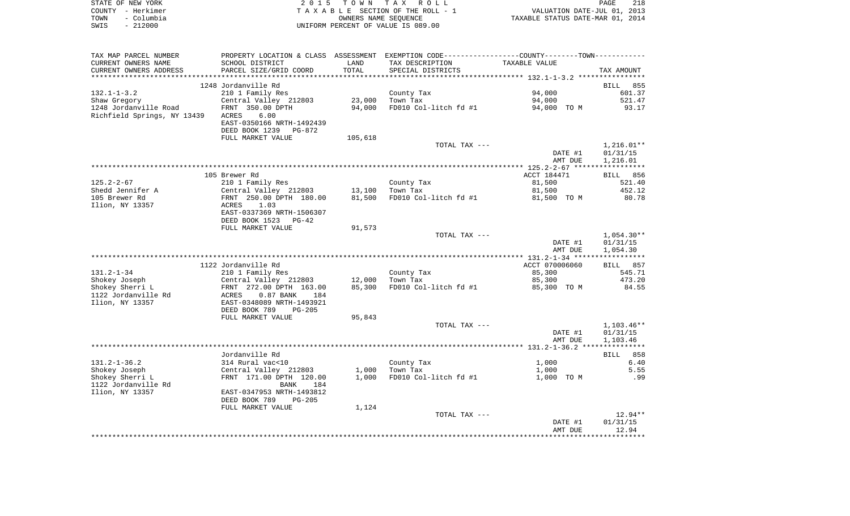|      | STATE OF NEW YORK | 2015 TOWN TAX ROLL                 | PAGE                             | 218 |
|------|-------------------|------------------------------------|----------------------------------|-----|
|      | COUNTY - Herkimer | TAXABLE SECTION OF THE ROLL - 1    | VALUATION DATE-JUL 01, 2013      |     |
| TOWN | - Columbia        | OWNERS NAME SEOUENCE               | TAXABLE STATUS DATE-MAR 01, 2014 |     |
| SWIS | $-212000$         | UNIFORM PERCENT OF VALUE IS 089.00 |                                  |     |

| TAX MAP PARCEL NUMBER       |                             |         |                       | PROPERTY LOCATION & CLASS ASSESSMENT EXEMPTION CODE---------------COUNTY--------TOWN---------- |                 |
|-----------------------------|-----------------------------|---------|-----------------------|------------------------------------------------------------------------------------------------|-----------------|
| CURRENT OWNERS NAME         | SCHOOL DISTRICT             | LAND    | TAX DESCRIPTION       | TAXABLE VALUE                                                                                  |                 |
| CURRENT OWNERS ADDRESS      | PARCEL SIZE/GRID COORD      | TOTAL   | SPECIAL DISTRICTS     |                                                                                                | TAX AMOUNT      |
|                             |                             |         |                       |                                                                                                |                 |
|                             | 1248 Jordanville Rd         |         |                       |                                                                                                | <b>BILL</b> 855 |
| $132.1 - 1 - 3.2$           | 210 1 Family Res            |         | County Tax            | 94,000                                                                                         | 601.37          |
| Shaw Gregory                | Central Valley 212803       | 23,000  | Town Tax              | 94,000                                                                                         | 521.47          |
| 1248 Jordanville Road       | FRNT 350.00 DPTH            | 94,000  | FD010 Col-litch fd #1 | 94,000 TO M                                                                                    | 93.17           |
| Richfield Springs, NY 13439 | ACRES<br>6.00               |         |                       |                                                                                                |                 |
|                             | EAST-0350166 NRTH-1492439   |         |                       |                                                                                                |                 |
|                             | DEED BOOK 1239<br>PG-872    |         |                       |                                                                                                |                 |
|                             | FULL MARKET VALUE           | 105,618 |                       |                                                                                                |                 |
|                             |                             |         | TOTAL TAX ---         |                                                                                                | $1,216.01**$    |
|                             |                             |         |                       | DATE #1                                                                                        | 01/31/15        |
|                             |                             |         |                       | AMT DUE                                                                                        | 1,216.01        |
|                             |                             |         |                       |                                                                                                |                 |
|                             | 105 Brewer Rd               |         |                       | ACCT 184471                                                                                    | BILL 856        |
| $125.2 - 2 - 67$            | 210 1 Family Res            |         | County Tax            | 81,500                                                                                         | 521.40          |
| Shedd Jennifer A            | Central Valley 212803       | 13,100  | Town Tax              | 81,500                                                                                         | 452.12          |
| 105 Brewer Rd               | FRNT 250.00 DPTH 180.00     | 81,500  | FD010 Col-litch fd #1 | 81,500 TO M                                                                                    | 80.78           |
| Ilion, NY 13357             | 1.03<br>ACRES               |         |                       |                                                                                                |                 |
|                             | EAST-0337369 NRTH-1506307   |         |                       |                                                                                                |                 |
|                             | DEED BOOK 1523<br>PG-42     |         |                       |                                                                                                |                 |
|                             | FULL MARKET VALUE           | 91,573  |                       |                                                                                                |                 |
|                             |                             |         | TOTAL TAX ---         |                                                                                                | $1,054.30**$    |
|                             |                             |         |                       | DATE #1                                                                                        | 01/31/15        |
|                             |                             |         |                       | AMT DUE                                                                                        | 1,054.30        |
|                             |                             |         |                       |                                                                                                |                 |
|                             | 1122 Jordanville Rd         |         |                       | ACCT 070006060                                                                                 | BILL 857        |
| $131.2 - 1 - 34$            | 210 1 Family Res            |         | County Tax            | 85,300                                                                                         | 545.71          |
| Shokey Joseph               | Central Valley 212803       | 12,000  | Town Tax              | 85,300                                                                                         | 473.20          |
| Shokey Sherri L             | FRNT 272.00 DPTH 163.00     | 85,300  | FD010 Col-litch fd #1 | 85,300 TO M                                                                                    | 84.55           |
| 1122 Jordanville Rd         | ACRES<br>$0.87$ BANK<br>184 |         |                       |                                                                                                |                 |
| Ilion, NY 13357             | EAST-0348089 NRTH-1493921   |         |                       |                                                                                                |                 |
|                             | DEED BOOK 789<br>$PG-205$   |         |                       |                                                                                                |                 |
|                             | FULL MARKET VALUE           | 95,843  |                       |                                                                                                |                 |
|                             |                             |         | TOTAL TAX ---         |                                                                                                | 1,103.46**      |
|                             |                             |         |                       | DATE #1                                                                                        | 01/31/15        |
|                             |                             |         |                       | AMT DUE                                                                                        | 1,103.46        |
|                             |                             |         |                       |                                                                                                |                 |
|                             | Jordanville Rd              |         |                       |                                                                                                | <b>BILL</b> 858 |
| $131.2 - 1 - 36.2$          | 314 Rural vac<10            |         | County Tax            | 1,000                                                                                          | 6.40            |
| Shokey Joseph               | Central Valley 212803       | 1,000   | Town Tax              | 1,000                                                                                          | 5.55            |
| Shokey Sherri L             | FRNT 171.00 DPTH 120.00     | 1,000   | FD010 Col-litch fd #1 | 1,000 TO M                                                                                     | .99             |
| 1122 Jordanville Rd         | BANK<br>184                 |         |                       |                                                                                                |                 |
| Ilion, NY 13357             | EAST-0347953 NRTH-1493812   |         |                       |                                                                                                |                 |
|                             | DEED BOOK 789<br>$PG-205$   |         |                       |                                                                                                |                 |
|                             | FULL MARKET VALUE           | 1,124   |                       |                                                                                                |                 |
|                             |                             |         | TOTAL TAX ---         |                                                                                                | $12.94**$       |
|                             |                             |         |                       | DATE #1                                                                                        | 01/31/15        |
|                             |                             |         |                       | AMT DUE                                                                                        | 12.94           |
|                             |                             |         |                       |                                                                                                |                 |
|                             |                             |         |                       |                                                                                                |                 |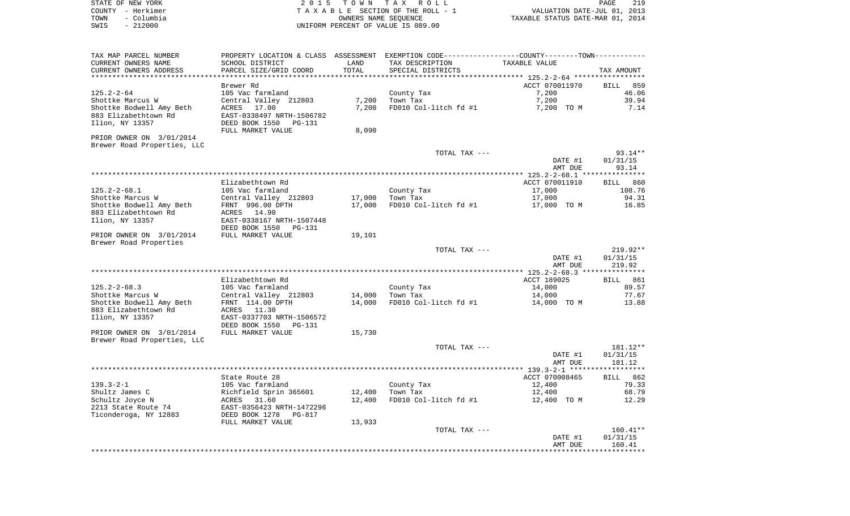| STATE OF NEW YORK                                                   | 2015 TOWN TAX ROLL                                                                            |                  | 219<br>PAGE                                                   |                                                                 |                   |
|---------------------------------------------------------------------|-----------------------------------------------------------------------------------------------|------------------|---------------------------------------------------------------|-----------------------------------------------------------------|-------------------|
| COUNTY - Herkimer<br>TOWN<br>– Columbia                             |                                                                                               |                  | T A X A B L E SECTION OF THE ROLL - 1<br>OWNERS NAME SEOUENCE | VALUATION DATE-JUL 01, 2013<br>TAXABLE STATUS DATE-MAR 01, 2014 |                   |
| $-212000$<br>SWIS                                                   |                                                                                               |                  | UNIFORM PERCENT OF VALUE IS 089.00                            |                                                                 |                   |
|                                                                     |                                                                                               |                  |                                                               |                                                                 |                   |
| TAX MAP PARCEL NUMBER                                               | PROPERTY LOCATION & CLASS ASSESSMENT EXEMPTION CODE---------------COUNTY-------TOWN---------- |                  |                                                               |                                                                 |                   |
| CURRENT OWNERS NAME<br>CURRENT OWNERS ADDRESS                       | SCHOOL DISTRICT                                                                               | LAND<br>TOTAL    | TAX DESCRIPTION<br>SPECIAL DISTRICTS                          | TAXABLE VALUE                                                   |                   |
|                                                                     | PARCEL SIZE/GRID COORD<br>**************************                                          | **************** |                                                               |                                                                 | TAX AMOUNT        |
|                                                                     | Brewer Rd                                                                                     |                  |                                                               | ACCT 070011970                                                  | BILL 859          |
| $125.2 - 2 - 64$                                                    | 105 Vac farmland                                                                              |                  | County Tax                                                    | 7,200                                                           | 46.06             |
| Shottke Marcus W                                                    | Central Valley 212803                                                                         | 7,200            | Town Tax                                                      | 7,200                                                           | 39.94             |
| Shottke Bodwell Amy Beth<br>883 Elizabethtown Rd<br>Ilion, NY 13357 | ACRES 17.00<br>EAST-0338497 NRTH-1506782<br>DEED BOOK 1550 PG-131                             | 7,200            | FD010 Col-litch fd #1                                         | 7,200 TO M                                                      | 7.14              |
|                                                                     | FULL MARKET VALUE                                                                             | 8,090            |                                                               |                                                                 |                   |
| PRIOR OWNER ON 3/01/2014                                            |                                                                                               |                  |                                                               |                                                                 |                   |
| Brewer Road Properties, LLC                                         |                                                                                               |                  |                                                               |                                                                 |                   |
|                                                                     |                                                                                               |                  | TOTAL TAX ---                                                 |                                                                 | $93.14**$         |
|                                                                     |                                                                                               |                  |                                                               | DATE #1<br>AMT DUE                                              | 01/31/15<br>93.14 |
|                                                                     |                                                                                               |                  |                                                               |                                                                 |                   |
|                                                                     | Elizabethtown Rd                                                                              |                  |                                                               | ACCT 070011910                                                  | BILL 860          |
| $125.2 - 2 - 68.1$                                                  | 105 Vac farmland                                                                              |                  | County Tax                                                    | 17,000                                                          | 108.76            |
| Shottke Marcus W                                                    | Central Valley 212803                                                                         | 17,000           | Town Tax                                                      | 17,000                                                          | 94.31             |
| Shottke Bodwell Amy Beth                                            | FRNT 996.00 DPTH                                                                              | 17,000           | FD010 Col-litch fd #1                                         | 17,000 TO M                                                     | 16.85             |
| 883 Elizabethtown Rd                                                | ACRES 14.90                                                                                   |                  |                                                               |                                                                 |                   |
| Ilion, NY 13357                                                     | EAST-0338167 NRTH-1507448                                                                     |                  |                                                               |                                                                 |                   |
| PRIOR OWNER ON 3/01/2014                                            | DEED BOOK 1550 PG-131<br>FULL MARKET VALUE                                                    |                  |                                                               |                                                                 |                   |
| Brewer Road Properties                                              |                                                                                               | 19,101           |                                                               |                                                                 |                   |
|                                                                     |                                                                                               |                  | TOTAL TAX ---                                                 |                                                                 | 219.92**          |
|                                                                     |                                                                                               |                  |                                                               | DATE #1                                                         | 01/31/15          |
|                                                                     |                                                                                               |                  |                                                               | AMT DUE                                                         | 219.92            |
|                                                                     |                                                                                               |                  |                                                               |                                                                 |                   |
|                                                                     | Elizabethtown Rd                                                                              |                  |                                                               | ACCT 189025                                                     | <b>BILL</b> 861   |
| $125.2 - 2 - 68.3$                                                  | 105 Vac farmland                                                                              |                  | County Tax                                                    | 14,000                                                          | 89.57             |
| Shottke Marcus W                                                    | Central Valley 212803                                                                         | 14,000           | Town Tax                                                      | 14,000                                                          | 77.67             |
| Shottke Bodwell Amy Beth<br>883 Elizabethtown Rd                    | FRNT 114.00 DPTH<br>ACRES 11.30                                                               | 14,000           | FD010 Col-litch fd #1                                         | 14,000 TO M                                                     | 13.88             |
| Ilion, NY 13357                                                     | EAST-0337703 NRTH-1506572<br>DEED BOOK 1550<br>PG-131                                         |                  |                                                               |                                                                 |                   |
| PRIOR OWNER ON 3/01/2014                                            | FULL MARKET VALUE                                                                             | 15,730           |                                                               |                                                                 |                   |
| Brewer Road Properties, LLC                                         |                                                                                               |                  |                                                               |                                                                 |                   |
|                                                                     |                                                                                               |                  | TOTAL TAX ---                                                 |                                                                 | 181.12**          |
|                                                                     |                                                                                               |                  |                                                               | DATE #1                                                         | 01/31/15          |
|                                                                     |                                                                                               |                  |                                                               | AMT DUE                                                         | 181.12            |

|                       | State Route 28            |        |                       | ACCT 070008465 | 862<br>BILL |
|-----------------------|---------------------------|--------|-----------------------|----------------|-------------|
| $139.3 - 2 - 1$       | 105 Vac farmland          |        | County Tax            | 12,400         | 79.33       |
| Shultz James C        | Richfield Sprin 365601    | 12,400 | Town Tax              | 12,400         | 68.79       |
| Schultz Joyce N       | 31.60<br>ACRES            | 12,400 | FD010 Col-litch fd #1 | 12,400<br>TO M | 12.29       |
| 2213 State Route 74   | EAST-0356423 NRTH-1472296 |        |                       |                |             |
| Ticonderoga, NY 12883 | DEED BOOK 1278<br>PG-817  |        |                       |                |             |
|                       | FULL MARKET VALUE         | 13,933 |                       |                |             |
|                       |                           |        | TOTAL TAX ---         |                | $160.41**$  |
|                       |                           |        |                       | DATE #1        | 01/31/15    |
|                       |                           |        |                       | AMT DUE        | 160.41      |
|                       |                           |        |                       |                |             |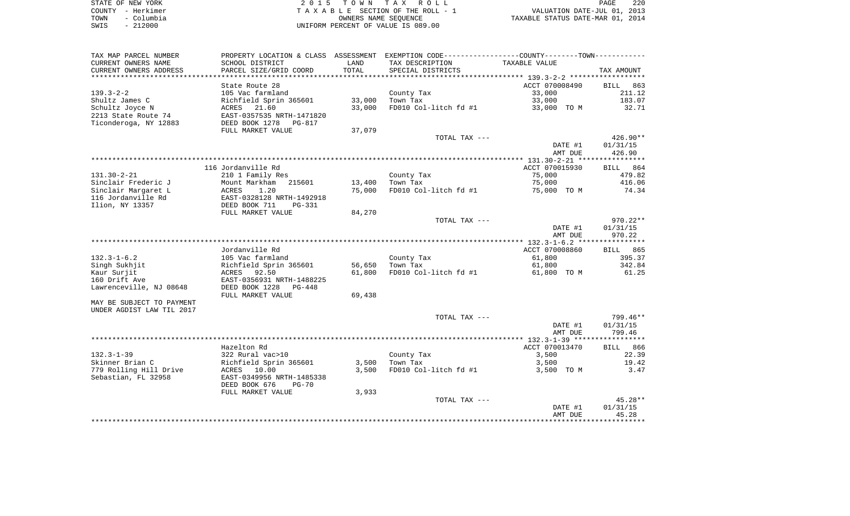| STATE OF NEW YORK  | 2015 TOWN TAX ROLL                 | 220<br>PAGE                      |
|--------------------|------------------------------------|----------------------------------|
| COUNTY - Herkimer  | TAXABLE SECTION OF THE ROLL - 1    | VALUATION DATE-JUL 01, 2013      |
| – Columbia<br>TOWN | OWNERS NAME SEOUENCE               | TAXABLE STATUS DATE-MAR 01, 2014 |
| $-212000$<br>SWIS  | UNIFORM PERCENT OF VALUE IS 089.00 |                                  |

| TAX MAP PARCEL NUMBER     | PROPERTY LOCATION & CLASS  | ASSESSMENT | EXEMPTION CODE-----------------COUNTY-------TOWN-----------    |                |             |
|---------------------------|----------------------------|------------|----------------------------------------------------------------|----------------|-------------|
| CURRENT OWNERS NAME       | SCHOOL DISTRICT            | LAND       | TAX DESCRIPTION                                                | TAXABLE VALUE  |             |
| CURRENT OWNERS ADDRESS    | PARCEL SIZE/GRID COORD     | TOTAL      | SPECIAL DISTRICTS                                              |                | TAX AMOUNT  |
| *******************       |                            | ********** | ********************************* 139.3–2–2 ****************** |                |             |
|                           | State Route 28             |            |                                                                | ACCT 070008490 | BILL 863    |
| $139.3 - 2 - 2$           | 105 Vac farmland           |            | County Tax                                                     | 33,000         | 211.12      |
| Shultz James C            | Richfield Sprin 365601     | 33,000     | Town Tax                                                       | 33,000         | 183.07      |
| Schultz Joyce N           | ACRES<br>21.60             | 33,000     | FD010 Col-litch fd #1                                          | 33,000 TO M    | 32.71       |
| 2213 State Route 74       | EAST-0357535 NRTH-1471820  |            |                                                                |                |             |
| Ticonderoga, NY 12883     | DEED BOOK 1278<br>PG-817   |            |                                                                |                |             |
|                           | FULL MARKET VALUE          | 37,079     |                                                                |                |             |
|                           |                            |            | TOTAL TAX ---                                                  |                | 426.90**    |
|                           |                            |            |                                                                | DATE #1        | 01/31/15    |
|                           |                            |            |                                                                | AMT DUE        | 426.90      |
|                           |                            |            |                                                                |                |             |
|                           | 116 Jordanville Rd         |            |                                                                | ACCT 070015930 | BILL 864    |
| $131.30 - 2 - 21$         | 210 1 Family Res           |            | County Tax                                                     | 75,000         | 479.82      |
| Sinclair Frederic J       | 215601<br>Mount Markham    | 13,400     | Town Tax                                                       | 75,000         | 416.06      |
| Sinclair Margaret L       | 1.20<br>ACRES              | 75,000     | FD010 Col-litch fd #1                                          | 75,000 TO M    | 74.34       |
| 116 Jordanville Rd        | EAST-0328128 NRTH-1492918  |            |                                                                |                |             |
| Ilion, NY 13357           | DEED BOOK 711<br>$PG-331$  |            |                                                                |                |             |
|                           | FULL MARKET VALUE          | 84,270     |                                                                |                |             |
|                           |                            |            | TOTAL TAX ---                                                  |                | $970.22**$  |
|                           |                            |            |                                                                | DATE #1        | 01/31/15    |
|                           |                            |            |                                                                | AMT DUE        | 970.22      |
|                           |                            |            |                                                                |                |             |
|                           | Jordanville Rd             |            |                                                                | ACCT 070008860 | BILL 865    |
| $132.3 - 1 - 6.2$         | 105 Vac farmland           |            | County Tax                                                     | 61,800         | 395.37      |
| Singh Sukhjit             | Richfield Sprin 365601     | 56,650     | Town Tax                                                       | 61,800         | 342.84      |
| Kaur Surjit               | ACRES 92.50                | 61,800     | FD010 Col-litch fd #1                                          | 61,800 TO M    | 61.25       |
| 160 Drift Ave             | EAST-0356931 NRTH-1488225  |            |                                                                |                |             |
| Lawrenceville, NJ 08648   | DEED BOOK 1228<br>$PG-448$ |            |                                                                |                |             |
|                           | FULL MARKET VALUE          | 69,438     |                                                                |                |             |
| MAY BE SUBJECT TO PAYMENT |                            |            |                                                                |                |             |
| UNDER AGDIST LAW TIL 2017 |                            |            | TOTAL TAX ---                                                  |                | 799.46**    |
|                           |                            |            |                                                                |                | 01/31/15    |
|                           |                            |            |                                                                | DATE #1        |             |
|                           |                            |            |                                                                | AMT DUE        | 799.46      |
|                           | Hazelton Rd                |            |                                                                | ACCT 070013470 | 866<br>BILL |
| $132.3 - 1 - 39$          | 322 Rural vac>10           |            | County Tax                                                     | 3,500          | 22.39       |
| Skinner Brian C           | Richfield Sprin 365601     | 3,500      | Town Tax                                                       | 3,500          | 19.42       |
| 779 Rolling Hill Drive    | ACRES 10.00                | 3,500      | FD010 Col-litch fd #1                                          | 3,500 TO M     | 3.47        |
| Sebastian, FL 32958       | EAST-0349956 NRTH-1485338  |            |                                                                |                |             |
|                           | DEED BOOK 676<br>$PG-70$   |            |                                                                |                |             |
|                           | FULL MARKET VALUE          | 3,933      |                                                                |                |             |
|                           |                            |            | TOTAL TAX ---                                                  |                | $45.28**$   |
|                           |                            |            |                                                                | DATE #1        | 01/31/15    |
|                           |                            |            |                                                                | AMT DUE        | 45.28       |
|                           |                            |            |                                                                |                |             |
|                           |                            |            |                                                                |                |             |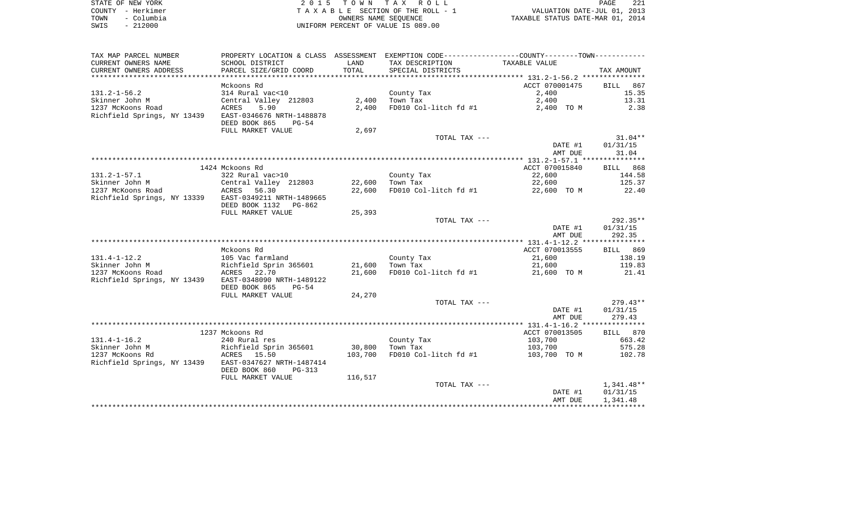|      | STATE OF NEW YORK | 2015 TOWN TAX ROLL                 | 221<br>PAGE                      |
|------|-------------------|------------------------------------|----------------------------------|
|      | COUNTY - Herkimer | TAXABLE SECTION OF THE ROLL - 1    | VALUATION DATE-JUL 01, 2013      |
| TOWN | - Columbia        | OWNERS NAME SEOUENCE               | TAXABLE STATUS DATE-MAR 01, 2014 |
| SWIS | $-212000$         | UNIFORM PERCENT OF VALUE IS 089.00 |                                  |

| TAX MAP PARCEL NUMBER                                 |                           |         | PROPERTY LOCATION & CLASS ASSESSMENT EXEMPTION CODE----------------COUNTY--------TOWN---------- |                    |                    |
|-------------------------------------------------------|---------------------------|---------|-------------------------------------------------------------------------------------------------|--------------------|--------------------|
| CURRENT OWNERS NAME                                   | SCHOOL DISTRICT           | LAND    | TAX DESCRIPTION                                                                                 | TAXABLE VALUE      |                    |
| CURRENT OWNERS ADDRESS                                | PARCEL SIZE/GRID COORD    | TOTAL   | SPECIAL DISTRICTS                                                                               |                    | TAX AMOUNT         |
|                                                       |                           |         |                                                                                                 |                    |                    |
|                                                       | Mckoons Rd                |         |                                                                                                 | ACCT 070001475     | BILL 867           |
| $131.2 - 1 - 56.2$                                    | 314 Rural vac<10          |         | County Tax                                                                                      | 2,400              | 15.35              |
| Skinner John M                                        | Central Valley 212803     | 2,400   | Town Tax                                                                                        | 2,400              | 13.31              |
| 1237 McKoons Road                                     | 5.90<br>ACRES             | 2,400   | FD010 Col-litch fd #1                                                                           | 2,400 TO M         | 2.38               |
| Richfield Springs, NY 13439                           | EAST-0346676 NRTH-1488878 |         |                                                                                                 |                    |                    |
|                                                       | DEED BOOK 865<br>PG-54    |         |                                                                                                 |                    |                    |
|                                                       | FULL MARKET VALUE         | 2,697   |                                                                                                 |                    |                    |
|                                                       |                           |         | TOTAL TAX ---                                                                                   |                    | $31.04**$          |
|                                                       |                           |         |                                                                                                 | DATE #1            | 01/31/15           |
|                                                       |                           |         |                                                                                                 | AMT DUE            | 31.04              |
|                                                       |                           |         |                                                                                                 |                    |                    |
|                                                       | 1424 Mckoons Rd           |         |                                                                                                 | ACCT 070015840     | BILL 868           |
| $131.2 - 1 - 57.1$                                    | 322 Rural vac>10          |         | County Tax                                                                                      | 22,600             | 144.58             |
| Skinner John M                                        | Central Valley 212803     | 22,600  | Town Tax                                                                                        | 22,600             | 125.37             |
| 1237 McKoons Road                                     | ACRES 56.30               | 22,600  | FD010 Col-litch fd #1                                                                           | 22,600 TO M        | 22.40              |
| Richfield Springs, NY 13339 EAST-0349211 NRTH-1489665 |                           |         |                                                                                                 |                    |                    |
|                                                       | DEED BOOK 1132 PG-862     |         |                                                                                                 |                    |                    |
|                                                       | FULL MARKET VALUE         | 25,393  |                                                                                                 |                    |                    |
|                                                       |                           |         | TOTAL TAX ---                                                                                   |                    | $292.35**$         |
|                                                       |                           |         |                                                                                                 | DATE #1<br>AMT DUE | 01/31/15<br>292.35 |
|                                                       |                           |         |                                                                                                 |                    |                    |
|                                                       | Mckoons Rd                |         |                                                                                                 | ACCT 070013555     | BILL 869           |
| $131.4 - 1 - 12.2$                                    | 105 Vac farmland          |         | County Tax                                                                                      | 21,600             | 138.19             |
| Skinner John M                                        | Richfield Sprin 365601    | 21,600  | Town Tax                                                                                        | 21,600             | 119.83             |
| 1237 McKoons Road                                     | ACRES 22.70               | 21,600  | FD010 Col-litch fd #1                                                                           | 21,600 TO M        | 21.41              |
| Richfield Springs, NY 13439                           | EAST-0348090 NRTH-1489122 |         |                                                                                                 |                    |                    |
|                                                       | DEED BOOK 865<br>PG-54    |         |                                                                                                 |                    |                    |
|                                                       | FULL MARKET VALUE         | 24,270  |                                                                                                 |                    |                    |
|                                                       |                           |         | TOTAL TAX ---                                                                                   |                    | $279.43**$         |
|                                                       |                           |         |                                                                                                 | DATE #1            | 01/31/15           |
|                                                       |                           |         |                                                                                                 | AMT DUE            | 279.43             |
|                                                       |                           |         |                                                                                                 |                    |                    |
|                                                       | 1237 Mckoons Rd           |         |                                                                                                 | ACCT 070013505     | BILL 870           |
| $131.4 - 1 - 16.2$                                    | 240 Rural res             |         | County Tax                                                                                      | 103,700            | 663.42             |
| Skinner John M                                        | Richfield Sprin 365601    | 30,800  | Town Tax                                                                                        | 103,700            | 575.28             |
| 1237 McKoons Rd                                       | ACRES 15.50               | 103,700 | FD010 Col-litch fd #1                                                                           | 103,700 TO M       | 102.78             |
| Richfield Springs, NY 13439                           | EAST-0347627 NRTH-1487414 |         |                                                                                                 |                    |                    |
|                                                       | DEED BOOK 860<br>PG-313   |         |                                                                                                 |                    |                    |
|                                                       | FULL MARKET VALUE         | 116,517 |                                                                                                 |                    |                    |
|                                                       |                           |         | TOTAL TAX ---                                                                                   |                    | $1,341.48**$       |
|                                                       |                           |         |                                                                                                 | DATE #1            | 01/31/15           |
|                                                       |                           |         |                                                                                                 | AMT DUE            | 1,341.48           |
|                                                       |                           |         |                                                                                                 |                    |                    |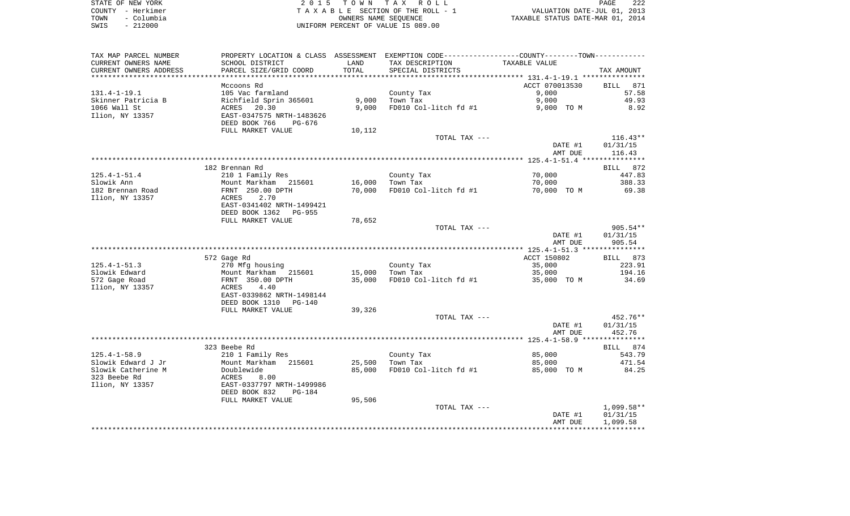| STATE OF NEW YORK  | 2015 TOWN TAX ROLL                 | 222<br>PAGE                      |
|--------------------|------------------------------------|----------------------------------|
| COUNTY - Herkimer  | TAXABLE SECTION OF THE ROLL - 1    | VALUATION DATE-JUL 01, 2013      |
| - Columbia<br>TOWN | OWNERS NAME SEOUENCE               | TAXABLE STATUS DATE-MAR 01, 2014 |
| - 212000<br>SWIS   | UNIFORM PERCENT OF VALUE IS 089.00 |                                  |

| TAX MAP PARCEL NUMBER            | PROPERTY LOCATION & CLASS ASSESSMENT EXEMPTION CODE----------------COUNTY--------TOWN----------- |        |                       |                |              |
|----------------------------------|--------------------------------------------------------------------------------------------------|--------|-----------------------|----------------|--------------|
| CURRENT OWNERS NAME              | SCHOOL DISTRICT                                                                                  | LAND   | TAX DESCRIPTION       | TAXABLE VALUE  |              |
| CURRENT OWNERS ADDRESS           | PARCEL SIZE/GRID COORD                                                                           | TOTAL  | SPECIAL DISTRICTS     |                | TAX AMOUNT   |
| *********************            |                                                                                                  |        |                       |                |              |
|                                  | Mccoons Rd                                                                                       |        |                       | ACCT 070013530 | BILL<br>871  |
| $131.4 - 1 - 19.1$               | 105 Vac farmland                                                                                 |        | County Tax            | 9,000          | 57.58        |
| Skinner Patricia B               | Richfield Sprin 365601                                                                           | 9,000  | Town Tax              | 9,000          | 49.93        |
| 1066 Wall St                     | ACRES 20.30                                                                                      | 9.000  | FD010 Col-litch fd #1 | 9,000 TO M     | 8.92         |
| Ilion, NY 13357                  | EAST-0347575 NRTH-1483626<br>DEED BOOK 766<br>PG-676                                             |        |                       |                |              |
|                                  | FULL MARKET VALUE                                                                                |        |                       |                |              |
|                                  |                                                                                                  | 10,112 | TOTAL TAX ---         |                | $116.43**$   |
|                                  |                                                                                                  |        |                       | DATE #1        | 01/31/15     |
|                                  |                                                                                                  |        |                       | AMT DUE        | 116.43       |
|                                  |                                                                                                  |        |                       |                |              |
|                                  | 182 Brennan Rd                                                                                   |        |                       |                | BILL 872     |
| $125.4 - 1 - 51.4$               | 210 1 Family Res                                                                                 |        | County Tax            | 70,000         | 447.83       |
| Slowik Ann                       | Mount Markham 215601                                                                             | 16,000 | Town Tax              | 70,000         | 388.33       |
| 182 Brennan Road                 | FRNT 250.00 DPTH                                                                                 | 70,000 | FD010 Col-litch fd #1 | 70,000 TO M    | 69.38        |
| Ilion, NY 13357                  | 2.70<br>ACRES                                                                                    |        |                       |                |              |
|                                  | EAST-0341402 NRTH-1499421                                                                        |        |                       |                |              |
|                                  | DEED BOOK 1362<br>PG-955                                                                         |        |                       |                |              |
|                                  | FULL MARKET VALUE                                                                                | 78,652 |                       |                |              |
|                                  |                                                                                                  |        | TOTAL TAX ---         |                | $905.54**$   |
|                                  |                                                                                                  |        |                       | DATE #1        | 01/31/15     |
|                                  |                                                                                                  |        |                       | AMT DUE        | 905.54       |
|                                  |                                                                                                  |        |                       |                |              |
|                                  | 572 Gage Rd                                                                                      |        |                       | ACCT 150802    | BILL 873     |
| $125.4 - 1 - 51.3$               | 270 Mfg housing                                                                                  |        | County Tax            | 35,000         | 223.91       |
| Slowik Edward                    | Mount Markham 215601                                                                             | 15,000 | Town Tax              | 35,000         | 194.16       |
| 572 Gage Road<br>Ilion, NY 13357 | FRNT 350.00 DPTH<br>4.40<br>ACRES                                                                | 35,000 | FD010 Col-litch fd #1 | 35,000 TO M    | 34.69        |
|                                  | EAST-0339862 NRTH-1498144                                                                        |        |                       |                |              |
|                                  | DEED BOOK 1310<br>PG-140                                                                         |        |                       |                |              |
|                                  | FULL MARKET VALUE                                                                                | 39,326 |                       |                |              |
|                                  |                                                                                                  |        | TOTAL TAX ---         |                | 452.76**     |
|                                  |                                                                                                  |        |                       | DATE #1        | 01/31/15     |
|                                  |                                                                                                  |        |                       | AMT DUE        | 452.76       |
|                                  |                                                                                                  |        |                       |                |              |
|                                  | 323 Beebe Rd                                                                                     |        |                       |                | BILL 874     |
| $125.4 - 1 - 58.9$               | 210 1 Family Res                                                                                 |        | County Tax            | 85,000         | 543.79       |
| Slowik Edward J Jr               | Mount Markham 215601                                                                             | 25,500 | Town Tax              | 85,000         | 471.54       |
| Slowik Catherine M               | Doublewide                                                                                       | 85,000 | FD010 Col-litch fd #1 | 85,000 TO M    | 84.25        |
| 323 Beebe Rd                     | ACRES<br>8.00                                                                                    |        |                       |                |              |
| Ilion, NY 13357                  | EAST-0337797 NRTH-1499986                                                                        |        |                       |                |              |
|                                  | DEED BOOK 832<br>$PG-184$                                                                        |        |                       |                |              |
|                                  | FULL MARKET VALUE                                                                                | 95,506 |                       |                |              |
|                                  |                                                                                                  |        | TOTAL TAX ---         |                | $1,099.58**$ |
|                                  |                                                                                                  |        |                       | DATE #1        | 01/31/15     |
|                                  |                                                                                                  |        |                       | AMT DUE        | 1,099.58     |
|                                  |                                                                                                  |        |                       |                |              |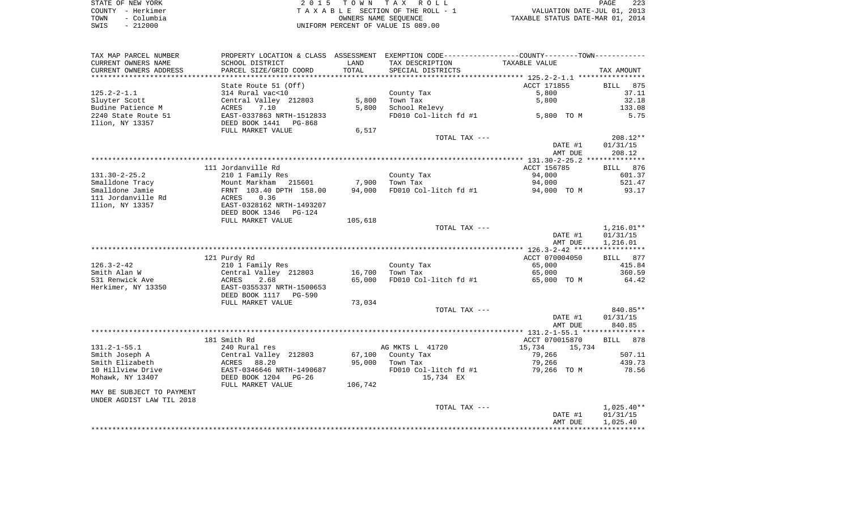|      | STATE OF NEW YORK | 2015 TOWN TAX ROLL                 | PAGE                             | 223 |
|------|-------------------|------------------------------------|----------------------------------|-----|
|      | COUNTY - Herkimer | TAXABLE SECTION OF THE ROLL - 1    | VALUATION DATE-JUL 01, 2013      |     |
| TOWN | – Columbia        | OWNERS NAME SEOUENCE               | TAXABLE STATUS DATE-MAR 01, 2014 |     |
| SWIS | $-212000$         | UNIFORM PERCENT OF VALUE IS 089.00 |                                  |     |

| TAX MAP PARCEL NUMBER<br>CURRENT OWNERS NAME        | PROPERTY LOCATION & CLASS ASSESSMENT EXEMPTION CODE----------------COUNTY-------TOWN----------<br>SCHOOL DISTRICT | LAND    | TAX DESCRIPTION        | TAXABLE VALUE      |                      |
|-----------------------------------------------------|-------------------------------------------------------------------------------------------------------------------|---------|------------------------|--------------------|----------------------|
| CURRENT OWNERS ADDRESS<br>************************* | PARCEL SIZE/GRID COORD<br>***********************                                                                 | TOTAL   | SPECIAL DISTRICTS      |                    | TAX AMOUNT           |
|                                                     |                                                                                                                   |         |                        | ACCT 171855        | 875                  |
| $125.2 - 2 - 1.1$                                   | State Route 51 (Off)                                                                                              |         |                        | 5,800              | <b>BILL</b><br>37.11 |
|                                                     | 314 Rural vac<10                                                                                                  | 5,800   | County Tax<br>Town Tax | 5,800              | 32.18                |
| Sluyter Scott<br>Budine Patience M                  | Central Valley 212803<br><b>ACRES</b><br>7.10                                                                     | 5,800   | School Relevy          |                    | 133.08               |
| 2240 State Route 51                                 | EAST-0337863 NRTH-1512833                                                                                         |         | FD010 Col-litch fd #1  | 5,800 TO M         | 5.75                 |
| Ilion, NY 13357                                     | DEED BOOK 1441<br>PG-868                                                                                          |         |                        |                    |                      |
|                                                     | FULL MARKET VALUE                                                                                                 | 6,517   |                        |                    |                      |
|                                                     |                                                                                                                   |         | TOTAL TAX ---          |                    | 208.12**             |
|                                                     |                                                                                                                   |         |                        | DATE #1<br>AMT DUE | 01/31/15<br>208.12   |
|                                                     |                                                                                                                   |         |                        |                    |                      |
|                                                     | 111 Jordanville Rd                                                                                                |         |                        | ACCT 156785        | 876<br>BILL          |
| $131.30 - 2 - 25.2$                                 | 210 1 Family Res                                                                                                  |         | County Tax             | 94,000             | 601.37               |
| Smalldone Tracy                                     | Mount Markham 215601                                                                                              | 7,900   | Town Tax               | 94,000             | 521.47               |
| Smalldone Jamie                                     | FRNT 103.40 DPTH 158.00                                                                                           | 94,000  | FD010 Col-litch fd #1  | 94,000 TO M        | 93.17                |
| 111 Jordanville Rd                                  | ACRES<br>0.36                                                                                                     |         |                        |                    |                      |
| Ilion, NY 13357                                     | EAST-0328162 NRTH-1493207                                                                                         |         |                        |                    |                      |
|                                                     | DEED BOOK 1346<br>$PG-124$                                                                                        |         |                        |                    |                      |
|                                                     | FULL MARKET VALUE                                                                                                 | 105,618 |                        |                    |                      |
|                                                     |                                                                                                                   |         | TOTAL TAX ---          |                    | $1,216.01**$         |
|                                                     |                                                                                                                   |         |                        | DATE #1<br>AMT DUE | 01/31/15<br>1,216.01 |
|                                                     |                                                                                                                   |         |                        |                    |                      |
|                                                     | 121 Purdy Rd                                                                                                      |         |                        | ACCT 070004050     | BILL 877             |
| $126.3 - 2 - 42$                                    | 210 1 Family Res                                                                                                  |         | County Tax             | 65,000             | 415.84               |
| Smith Alan W                                        | Central Valley 212803                                                                                             | 16,700  | Town Tax               | 65,000             | 360.59               |
| 531 Renwick Ave                                     | ACRES<br>2.68                                                                                                     | 65,000  | FD010 Col-litch fd #1  | 65,000 TO M        | 64.42                |
| Herkimer, NY 13350                                  | EAST-0355337 NRTH-1500653                                                                                         |         |                        |                    |                      |
|                                                     | DEED BOOK 1117<br>PG-590<br>FULL MARKET VALUE                                                                     |         |                        |                    |                      |
|                                                     |                                                                                                                   | 73,034  | TOTAL TAX ---          |                    | 840.85**             |
|                                                     |                                                                                                                   |         |                        | DATE #1            | 01/31/15             |
|                                                     |                                                                                                                   |         |                        | AMT DUE            | 840.85               |
|                                                     |                                                                                                                   |         |                        |                    |                      |
|                                                     | 181 Smith Rd                                                                                                      |         |                        | ACCT 070015870     | 878<br><b>BILL</b>   |
| $131.2 - 1 - 55.1$                                  | 240 Rural res                                                                                                     |         | AG MKTS L 41720        | 15,734<br>15,734   |                      |
| Smith Joseph A                                      | Central Valley 212803                                                                                             | 67,100  | County Tax             | 79,266             | 507.11               |
| Smith Elizabeth                                     | ACRES<br>88.20                                                                                                    | 95,000  | Town Tax               | 79,266             | 439.73               |
| 10 Hillview Drive                                   | EAST-0346646 NRTH-1490687                                                                                         |         | FD010 Col-litch fd #1  | 79,266 TO M        | 78.56                |
| Mohawk, NY 13407                                    | DEED BOOK 1204<br>PG-26                                                                                           |         | 15,734 EX              |                    |                      |
|                                                     | FULL MARKET VALUE                                                                                                 | 106,742 |                        |                    |                      |
| MAY BE SUBJECT TO PAYMENT                           |                                                                                                                   |         |                        |                    |                      |
| UNDER AGDIST LAW TIL 2018                           |                                                                                                                   |         |                        |                    |                      |
|                                                     |                                                                                                                   |         | TOTAL TAX ---          |                    | $1,025.40**$         |
|                                                     |                                                                                                                   |         |                        | DATE #1            | 01/31/15             |
|                                                     |                                                                                                                   |         |                        | AMT DUE            | 1,025.40             |
|                                                     |                                                                                                                   |         |                        |                    |                      |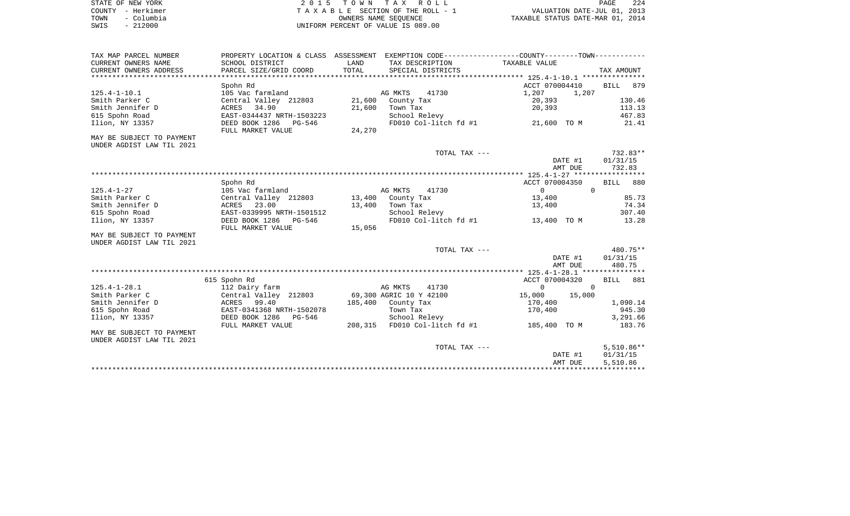| STATE OF NEW YORK |                   | 2015 TOWN TAX ROLL                 | PAGE                             | 224 |
|-------------------|-------------------|------------------------------------|----------------------------------|-----|
|                   | COUNTY - Herkimer | TAXABLE SECTION OF THE ROLL - 1    | VALUATION DATE-JUL 01, 2013      |     |
| TOWN              | - Columbia        | OWNERS NAME SEOUENCE               | TAXABLE STATUS DATE-MAR 01, 2014 |     |
| SWIS              | $-212000$         | UNIFORM PERCENT OF VALUE IS 089.00 |                                  |     |

| TAX MAP PARCEL NUMBER     |                           |        |                               | PROPERTY LOCATION & CLASS ASSESSMENT EXEMPTION CODE---------------COUNTY--------TOWN---------- |              |
|---------------------------|---------------------------|--------|-------------------------------|------------------------------------------------------------------------------------------------|--------------|
| CURRENT OWNERS NAME       | SCHOOL DISTRICT           | LAND   | TAX DESCRIPTION               | TAXABLE VALUE                                                                                  |              |
| CURRENT OWNERS ADDRESS    | PARCEL SIZE/GRID COORD    | TOTAL  | SPECIAL DISTRICTS             |                                                                                                | TAX AMOUNT   |
|                           |                           |        |                               |                                                                                                |              |
|                           | Spohn Rd                  |        |                               | ACCT 070004410                                                                                 | BILL 879     |
| $125.4 - 1 - 10.1$        | 105 Vac farmland          |        | AG MKTS<br>41730              | 1,207<br>1,207                                                                                 |              |
| Smith Parker C            | Central Valley 212803     | 21,600 | County Tax                    | 20,393                                                                                         | 130.46       |
| Smith Jennifer D          | ACRES 34.90               | 21,600 | Town Tax                      | 20,393                                                                                         | 113.13       |
| 615 Spohn Road            | EAST-0344437 NRTH-1503223 |        | School Relevy                 |                                                                                                | 467.83       |
| Ilion, NY 13357           | DEED BOOK 1286<br>PG-546  |        | FD010 Col-litch fd #1         | 21,600 TO M                                                                                    | 21.41        |
|                           | FULL MARKET VALUE         | 24,270 |                               |                                                                                                |              |
| MAY BE SUBJECT TO PAYMENT |                           |        |                               |                                                                                                |              |
| UNDER AGDIST LAW TIL 2021 |                           |        |                               |                                                                                                |              |
|                           |                           |        | TOTAL TAX ---                 |                                                                                                | 732.83**     |
|                           |                           |        |                               | DATE #1                                                                                        | 01/31/15     |
|                           |                           |        |                               | AMT DUE                                                                                        | 732.83       |
|                           |                           |        |                               |                                                                                                |              |
|                           | Spohn Rd                  |        |                               | ACCT 070004350                                                                                 | 880<br>BILL  |
| $125.4 - 1 - 27$          | 105 Vac farmland          |        | AG MKTS<br>41730              | $\overline{0}$                                                                                 | $\Omega$     |
| Smith Parker C            | Central Valley 212803     |        | 13,400 County Tax             | 13,400                                                                                         | 85.73        |
| Smith Jennifer D          | 23.00<br>ACRES            | 13,400 | Town Tax                      | 13,400                                                                                         | 74.34        |
| 615 Spohn Road            | EAST-0339995 NRTH-1501512 |        | School Relevy                 |                                                                                                | 307.40       |
| Ilion, NY 13357           | DEED BOOK 1286<br>PG-546  |        | FD010 Col-litch fd #1         | 13,400 TO M                                                                                    | 13.28        |
|                           | FULL MARKET VALUE         | 15,056 |                               |                                                                                                |              |
| MAY BE SUBJECT TO PAYMENT |                           |        |                               |                                                                                                |              |
| UNDER AGDIST LAW TIL 2021 |                           |        |                               |                                                                                                |              |
|                           |                           |        | TOTAL TAX ---                 |                                                                                                | 480.75**     |
|                           |                           |        |                               | DATE #1                                                                                        | 01/31/15     |
|                           |                           |        |                               | AMT DUE                                                                                        | 480.75       |
|                           | 615 Spohn Rd              |        |                               | ACCT 070004320                                                                                 | 881<br>BILL  |
| $125.4 - 1 - 28.1$        | 112 Dairy farm            |        | AG MKTS<br>41730              | $\circ$                                                                                        | $\mathbf 0$  |
| Smith Parker C            | Central Valley 212803     |        | 69,300 AGRIC 10 Y 42100       | 15,000<br>15,000                                                                               |              |
| Smith Jennifer D          | 99.40<br>ACRES            |        | 185,400 County Tax            | 170,400                                                                                        | 1,090.14     |
| 615 Spohn Road            | EAST-0341368 NRTH-1502078 |        | Town Tax                      | 170,400                                                                                        | 945.30       |
| Ilion, NY 13357           | DEED BOOK 1286<br>PG-546  |        | School Relevy                 |                                                                                                | 3,291.66     |
|                           | FULL MARKET VALUE         |        | 208,315 FD010 Col-litch fd #1 | 185,400 TO M                                                                                   | 183.76       |
| MAY BE SUBJECT TO PAYMENT |                           |        |                               |                                                                                                |              |
| UNDER AGDIST LAW TIL 2021 |                           |        |                               |                                                                                                |              |
|                           |                           |        | TOTAL TAX ---                 |                                                                                                | $5,510.86**$ |
|                           |                           |        |                               | DATE #1                                                                                        | 01/31/15     |
|                           |                           |        |                               | AMT DUE                                                                                        | 5,510.86     |
|                           |                           |        |                               |                                                                                                |              |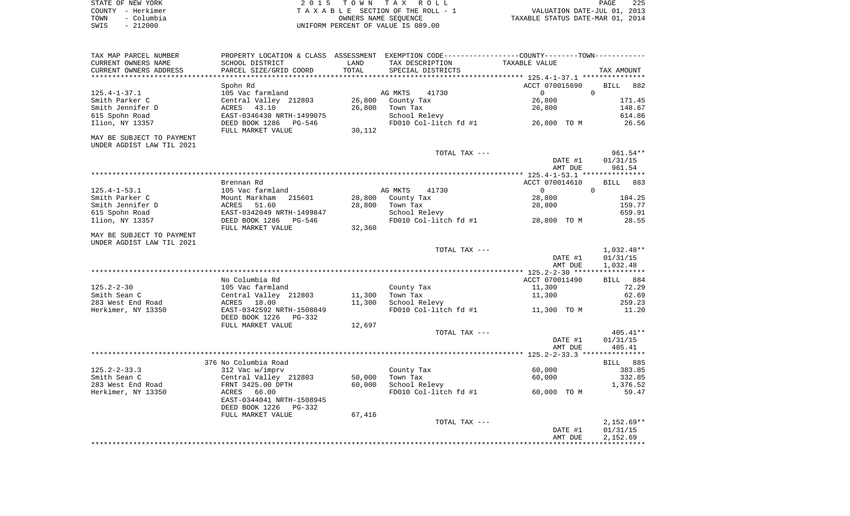| STATE OF NEW YORK |            | 2015 TOWN TAX ROLL                 | 225<br>PAGE                      |  |
|-------------------|------------|------------------------------------|----------------------------------|--|
| COUNTY - Herkimer |            | TAXABLE SECTION OF THE ROLL - 1    | VALUATION DATE-JUL 01, 2013      |  |
| TOWN              | – Columbia | OWNERS NAME SEOUENCE               | TAXABLE STATUS DATE-MAR 01, 2014 |  |
| SWIS              | $-212000$  | UNIFORM PERCENT OF VALUE IS 089.00 |                                  |  |

| TAX MAP PARCEL NUMBER<br>CURRENT OWNERS NAME | PROPERTY LOCATION & CLASS ASSESSMENT EXEMPTION CODE---------------COUNTY--------TOWN----------<br>SCHOOL DISTRICT | LAND                 | TAX DESCRIPTION        | TAXABLE VALUE    |                          |
|----------------------------------------------|-------------------------------------------------------------------------------------------------------------------|----------------------|------------------------|------------------|--------------------------|
| CURRENT OWNERS ADDRESS                       | PARCEL SIZE/GRID COORD                                                                                            | TOTAL<br>*********** | SPECIAL DISTRICTS      |                  | TAX AMOUNT               |
|                                              | Spohn Rd                                                                                                          |                      |                        | ACCT 070015690   | <b>BILL</b><br>882       |
| $125.4 - 1 - 37.1$                           | 105 Vac farmland                                                                                                  |                      | AG MKTS<br>41730       | $\Omega$         | $\mathbf 0$              |
| Smith Parker C                               | Central Valley 212803                                                                                             | 26,800               | County Tax             | 26,800           | 171.45                   |
| Smith Jennifer D                             | ACRES<br>43.10                                                                                                    | 26,800               | Town Tax               | 26,800           | 148.67                   |
| 615 Spohn Road                               | EAST-0346430 NRTH-1499075                                                                                         |                      | School Relevy          |                  | 614.86                   |
| Ilion, NY 13357                              | DEED BOOK 1286 PG-546<br>FULL MARKET VALUE                                                                        | 30,112               | FD010 Col-litch fd #1  | 26,800 TO M      | 26.56                    |
| MAY BE SUBJECT TO PAYMENT                    |                                                                                                                   |                      |                        |                  |                          |
| UNDER AGDIST LAW TIL 2021                    |                                                                                                                   |                      |                        |                  |                          |
|                                              |                                                                                                                   |                      | TOTAL TAX ---          |                  | 961.54**                 |
|                                              |                                                                                                                   |                      |                        | DATE #1          | 01/31/15                 |
|                                              |                                                                                                                   |                      |                        | AMT DUE          | 961.54                   |
|                                              |                                                                                                                   |                      |                        |                  |                          |
|                                              | Brennan Rd                                                                                                        |                      |                        | ACCT 070014610   | <b>BILL</b><br>883       |
| $125.4 - 1 - 53.1$                           | 105 Vac farmland                                                                                                  |                      | AG MKTS<br>41730       | $\overline{0}$   | 0                        |
| Smith Parker C                               | Mount Markham<br>215601                                                                                           | 28,800               | County Tax             | 28,800           | 184.25                   |
| Smith Jennifer D                             | ACRES<br>51.60                                                                                                    | 28,800               | Town Tax               | 28,800           | 159.77                   |
| 615 Spohn Road                               | EAST-0342049 NRTH-1499847                                                                                         |                      | School Relevy          |                  | 659.91                   |
| Ilion, NY 13357                              | DEED BOOK 1286<br>PG-546                                                                                          |                      | FD010 Col-litch fd #1  | 28,800 TO M      | 28.55                    |
|                                              | FULL MARKET VALUE                                                                                                 | 32,360               |                        |                  |                          |
| MAY BE SUBJECT TO PAYMENT                    |                                                                                                                   |                      |                        |                  |                          |
| UNDER AGDIST LAW TIL 2021                    |                                                                                                                   |                      |                        |                  |                          |
|                                              |                                                                                                                   |                      | TOTAL TAX ---          | DATE #1          | $1,032.48**$<br>01/31/15 |
|                                              |                                                                                                                   |                      |                        | AMT DUE          | 1,032.48                 |
|                                              |                                                                                                                   |                      |                        |                  |                          |
|                                              | No Columbia Rd                                                                                                    |                      |                        | ACCT 070011490   | BILL 884                 |
| 125.2-2-30<br>Smith Sean C                   | 105 Vac farmland                                                                                                  | 11,300               | County Tax<br>Town Tax | 11,300<br>11,300 | 72.29<br>62.69           |
| 283 West End Road                            | Central Valley 212803<br>ACRES 18.00                                                                              | 11,300               | School Relevy          |                  | 259.23                   |
| Herkimer, NY 13350                           | EAST-0342592 NRTH-1508849                                                                                         |                      | FD010 Col-litch fd #1  | 11,300 TO M      | 11.20                    |
|                                              | DEED BOOK 1226<br>PG-332                                                                                          |                      |                        |                  |                          |
|                                              | FULL MARKET VALUE                                                                                                 | 12,697               |                        |                  |                          |
|                                              |                                                                                                                   |                      | TOTAL TAX ---          |                  | $405.41**$               |
|                                              |                                                                                                                   |                      |                        | DATE #1          | 01/31/15                 |
|                                              |                                                                                                                   |                      |                        | AMT DUE          | 405.41                   |
|                                              |                                                                                                                   |                      |                        |                  |                          |
|                                              | 376 No Columbia Road                                                                                              |                      |                        |                  | <b>BILL</b> 885          |
| $125.2 - 2 - 33.3$                           | 312 Vac w/imprv                                                                                                   |                      | County Tax             | 60,000           | 383.85                   |
| Smith Sean C                                 | Central Valley 212803                                                                                             | 50,000               | Town Tax               | 60,000           | 332.85                   |
| 283 West End Road                            | FRNT 3425.00 DPTH                                                                                                 | 60,000               | School Relevy          |                  | 1,376.52                 |
| Herkimer, NY 13350                           | ACRES 66.00                                                                                                       |                      | FD010 Col-litch fd #1  | 60,000 TO M      | 59.47                    |
|                                              | EAST-0344041 NRTH-1508945<br>DEED BOOK 1226<br>PG-332                                                             |                      |                        |                  |                          |
|                                              | FULL MARKET VALUE                                                                                                 | 67,416               |                        |                  |                          |
|                                              |                                                                                                                   |                      | TOTAL TAX ---          |                  | $2,152.69**$             |
|                                              |                                                                                                                   |                      |                        | DATE #1          | 01/31/15                 |
|                                              |                                                                                                                   |                      |                        | AMT DUE          | 2,152.69                 |
|                                              |                                                                                                                   |                      |                        |                  |                          |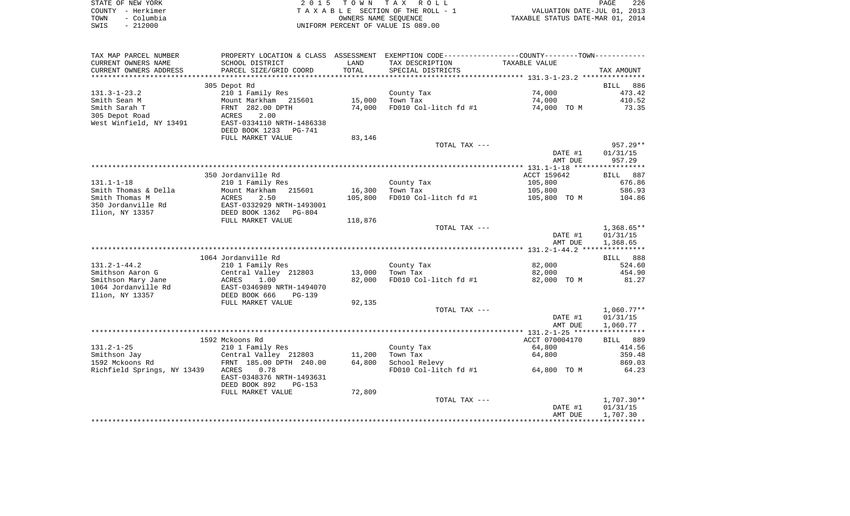|      | STATE OF NEW YORK | 2015 TOWN TAX ROLL                 | PAGE                             | 226 |
|------|-------------------|------------------------------------|----------------------------------|-----|
|      | COUNTY - Herkimer | TAXABLE SECTION OF THE ROLL - 1    | VALUATION DATE-JUL 01, 2013      |     |
| TOWN | – Columbia        | OWNERS NAME SEOUENCE               | TAXABLE STATUS DATE-MAR 01, 2014 |     |
| SWIS | $-212000$         | UNIFORM PERCENT OF VALUE IS 089.00 |                                  |     |

| TAX MAP PARCEL NUMBER       | PROPERTY LOCATION & CLASS ASSESSMENT EXEMPTION CODE---------------COUNTY-------TOWN---------- |         |                                   |                |                    |
|-----------------------------|-----------------------------------------------------------------------------------------------|---------|-----------------------------------|----------------|--------------------|
| CURRENT OWNERS NAME         | SCHOOL DISTRICT                                                                               | LAND    | TAX DESCRIPTION                   | TAXABLE VALUE  |                    |
| CURRENT OWNERS ADDRESS      | PARCEL SIZE/GRID COORD                                                                        | TOTAL   | SPECIAL DISTRICTS                 |                | TAX AMOUNT         |
|                             |                                                                                               |         |                                   |                |                    |
|                             | 305 Depot Rd                                                                                  |         |                                   |                | <b>BILL</b><br>886 |
| $131.3 - 1 - 23.2$          | 210 1 Family Res                                                                              |         | County Tax                        | 74,000         | 473.42             |
| Smith Sean M                | Mount Markham 215601                                                                          | 15,000  | Town Tax                          | 74,000         | 410.52             |
| Smith Sarah T               | FRNT 282.00 DPTH                                                                              | 74,000  | FD010 Col-litch fd #1             | 74,000 TO M    | 73.35              |
| 305 Depot Road              | 2.00<br>ACRES                                                                                 |         |                                   |                |                    |
| West Winfield, NY 13491     | EAST-0334110 NRTH-1486338                                                                     |         |                                   |                |                    |
|                             | DEED BOOK 1233 PG-741                                                                         |         |                                   |                |                    |
|                             | FULL MARKET VALUE                                                                             | 83,146  |                                   |                |                    |
|                             |                                                                                               |         | TOTAL TAX ---                     |                | $957.29**$         |
|                             |                                                                                               |         |                                   | DATE #1        | 01/31/15           |
|                             |                                                                                               |         |                                   | AMT DUE        | 957.29             |
|                             |                                                                                               |         |                                   |                |                    |
|                             | 350 Jordanville Rd                                                                            |         |                                   | ACCT 159642    | BILL 887           |
| $131.1 - 1 - 18$            | 210 1 Family Res                                                                              |         | County Tax                        | 105,800        | 676.86             |
| Smith Thomas & Della        | Mount Markham<br>215601                                                                       | 16,300  | Town Tax                          | 105,800        | 586.93             |
| Smith Thomas M              | ACRES<br>2.50                                                                                 | 105,800 | FD010 Col-litch fd #1             | 105,800 TO M   | 104.86             |
| 350 Jordanville Rd          | EAST-0332929 NRTH-1493001                                                                     |         |                                   |                |                    |
| Ilion, NY 13357             | DEED BOOK 1362 PG-804                                                                         |         |                                   |                |                    |
|                             | FULL MARKET VALUE                                                                             | 118,876 |                                   |                |                    |
|                             |                                                                                               |         | TOTAL TAX ---                     |                | $1,368.65**$       |
|                             |                                                                                               |         |                                   | DATE #1        | 01/31/15           |
|                             |                                                                                               |         |                                   | AMT DUE        | 1,368.65           |
|                             |                                                                                               |         |                                   |                |                    |
|                             | 1064 Jordanville Rd                                                                           |         |                                   |                | BILL 888           |
| $131.2 - 1 - 44.2$          | 210 1 Family Res                                                                              |         | County Tax                        | 82,000         | 524.60             |
| Smithson Aaron G            | Central Valley 212803                                                                         | 13,000  | Town Tax                          | 82,000         | 454.90             |
| Smithson Mary Jane          | ACRES<br>1.00                                                                                 | 82,000  | FD010 Col-litch fd #1             | 82,000 TO M    | 81.27              |
| 1064 Jordanville Rd         | EAST-0346989 NRTH-1494070                                                                     |         |                                   |                |                    |
| Ilion, NY 13357             | DEED BOOK 666<br>$PG-139$                                                                     |         |                                   |                |                    |
|                             | FULL MARKET VALUE                                                                             | 92,135  |                                   |                |                    |
|                             |                                                                                               |         | TOTAL TAX ---                     |                | $1,060.77**$       |
|                             |                                                                                               |         |                                   | DATE #1        | 01/31/15           |
|                             |                                                                                               |         |                                   | AMT DUE        | 1,060.77           |
|                             |                                                                                               |         |                                   |                |                    |
|                             | 1592 Mckoons Rd                                                                               |         |                                   | ACCT 070004170 | BILL 889           |
| $131.2 - 1 - 25$            | 210 1 Family Res                                                                              |         | County Tax                        | 64,800         | 414.56             |
| Smithson Jay                | Central Valley 212803                                                                         | 11,200  | Town Tax                          | 64,800         | 359.48             |
| 1592 Mckoons Rd             | FRNT 185.00 DPTH 240.00                                                                       | 64,800  | School Relevy                     |                | 869.03             |
| Richfield Springs, NY 13439 | 0.78<br>ACRES                                                                                 |         | FD010 Col-litch fd #1 64,800 TO M |                | 64.23              |
|                             | EAST-0348376 NRTH-1493631                                                                     |         |                                   |                |                    |
|                             | DEED BOOK 892<br>PG-153                                                                       |         |                                   |                |                    |
|                             | FULL MARKET VALUE                                                                             | 72,809  |                                   |                |                    |
|                             |                                                                                               |         | TOTAL TAX ---                     |                | $1,707.30**$       |
|                             |                                                                                               |         |                                   | DATE #1        | 01/31/15           |
|                             |                                                                                               |         |                                   | AMT DUE        | 1,707.30           |
|                             |                                                                                               |         |                                   |                |                    |
|                             |                                                                                               |         |                                   |                |                    |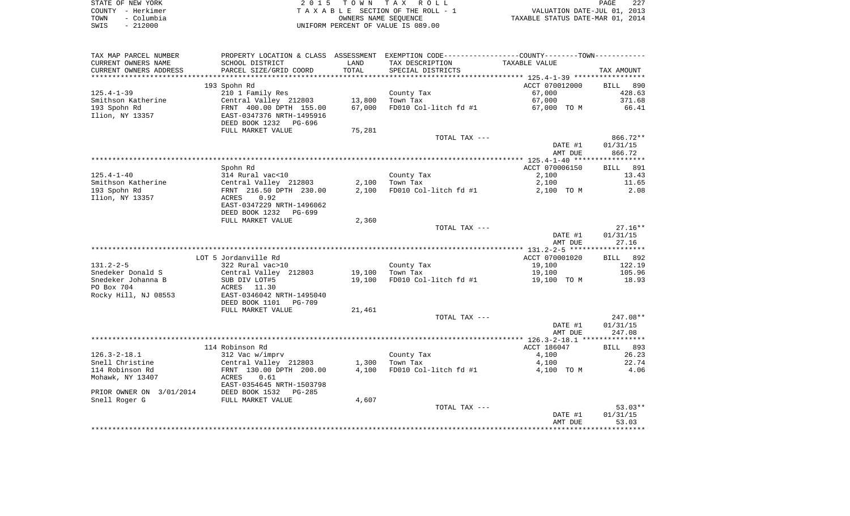|      | STATE OF NEW YORK | 2015 TOWN TAX ROLL                 | PAGE                             | 227 |
|------|-------------------|------------------------------------|----------------------------------|-----|
|      | COUNTY - Herkimer | TAXABLE SECTION OF THE ROLL - 1    | VALUATION DATE-JUL 01, 2013      |     |
| TOWN | - Columbia        | OWNERS NAME SEOUENCE               | TAXABLE STATUS DATE-MAR 01, 2014 |     |
| SWIS | $-212000$         | UNIFORM PERCENT OF VALUE IS 089.00 |                                  |     |

| TAX MAP PARCEL NUMBER                         |                                                       |               | PROPERTY LOCATION & CLASS ASSESSMENT EXEMPTION CODE---------------COUNTY-------TOWN---------- |                    |                    |
|-----------------------------------------------|-------------------------------------------------------|---------------|-----------------------------------------------------------------------------------------------|--------------------|--------------------|
| CURRENT OWNERS NAME<br>CURRENT OWNERS ADDRESS | SCHOOL DISTRICT<br>PARCEL SIZE/GRID COORD             | LAND<br>TOTAL | TAX DESCRIPTION<br>SPECIAL DISTRICTS                                                          | TAXABLE VALUE      |                    |
| *****************                             | ***************************                           |               |                                                                                               |                    | TAX AMOUNT         |
|                                               | 193 Spohn Rd                                          |               |                                                                                               | ACCT 070012000     | <b>BILL</b><br>890 |
| $125.4 - 1 - 39$                              | 210 1 Family Res                                      |               | County Tax                                                                                    | 67,000             | 428.63             |
| Smithson Katherine                            | Central Valley 212803                                 |               | 13,800 Town Tax                                                                               | 67,000             | 371.68             |
| 193 Spohn Rd                                  | FRNT 400.00 DPTH 155.00                               | 67,000        | FD010 Col-litch fd #1                                                                         | 67,000 TO M        | 66.41              |
| Ilion, NY 13357                               | EAST-0347376 NRTH-1495916                             |               |                                                                                               |                    |                    |
|                                               | DEED BOOK 1232<br>PG-696                              |               |                                                                                               |                    |                    |
|                                               | FULL MARKET VALUE                                     | 75,281        |                                                                                               |                    |                    |
|                                               |                                                       |               | TOTAL TAX ---                                                                                 |                    | 866.72**           |
|                                               |                                                       |               |                                                                                               | DATE #1<br>AMT DUE | 01/31/15<br>866.72 |
|                                               |                                                       |               |                                                                                               |                    |                    |
|                                               | Spohn Rd                                              |               |                                                                                               | ACCT 070006150     | <b>BILL</b><br>891 |
| $125.4 - 1 - 40$                              | 314 Rural vac<10                                      |               | County Tax                                                                                    | 2,100              | 13.43              |
| Smithson Katherine                            | Central Valley 212803                                 |               | $2,100$ Town Tax                                                                              | 2,100              | 11.65              |
| 193 Spohn Rd                                  | FRNT 216.50 DPTH 230.00                               |               | 2,100 FD010 Col-litch fd #1                                                                   | 2,100 TO M         | 2.08               |
| Ilion, NY 13357                               | 0.92<br>ACRES                                         |               |                                                                                               |                    |                    |
|                                               | EAST-0347229 NRTH-1496062                             |               |                                                                                               |                    |                    |
|                                               | DEED BOOK 1232<br>PG-699                              |               |                                                                                               |                    |                    |
|                                               | FULL MARKET VALUE                                     | 2,360         | TOTAL TAX ---                                                                                 |                    | $27.16**$          |
|                                               |                                                       |               |                                                                                               | DATE #1            | 01/31/15           |
|                                               |                                                       |               |                                                                                               | AMT DUE            | 27.16              |
|                                               |                                                       |               |                                                                                               |                    |                    |
|                                               | LOT 5 Jordanville Rd                                  |               |                                                                                               | ACCT 070001020     | BILL 892           |
| $131.2 - 2 - 5$                               | 322 Rural vac>10                                      |               | County Tax                                                                                    | 19,100             | 122.19             |
| Snedeker Donald S                             | Central Valley 212803                                 |               | 19,100 Town Tax                                                                               | 19,100             | 105.96             |
| Snedeker Johanna B                            | SUB DIV LOT#5                                         |               | 19,100 FD010 Col-litch fd #1                                                                  | 19,100 TO M        | 18.93              |
| PO Box 704                                    | ACRES 11.30                                           |               |                                                                                               |                    |                    |
| Rocky Hill, NJ 08553                          | EAST-0346042 NRTH-1495040<br>DEED BOOK 1101<br>PG-709 |               |                                                                                               |                    |                    |
|                                               | FULL MARKET VALUE                                     | 21,461        |                                                                                               |                    |                    |
|                                               |                                                       |               | TOTAL TAX ---                                                                                 |                    | $247.08**$         |
|                                               |                                                       |               |                                                                                               | DATE #1            | 01/31/15           |
|                                               |                                                       |               |                                                                                               | AMT DUE            | 247.08             |
|                                               |                                                       |               |                                                                                               |                    |                    |
|                                               | 114 Robinson Rd                                       |               |                                                                                               | ACCT 186047        | <b>BILL</b><br>893 |
| $126.3 - 2 - 18.1$                            | 312 Vac w/imprv                                       |               | County Tax                                                                                    | 4,100              | 26.23              |
| Snell Christine                               | Central Valley 212803                                 |               | $1,300$ Town Tax                                                                              | 4,100              | 22.74              |
| 114 Robinson Rd<br>Mohawk, NY 13407           | FRNT 130.00 DPTH 200.00<br>0.61<br>ACRES              |               | 4,100 FD010 Col-litch fd #1                                                                   | 4,100 TO M         | 4.06               |
|                                               | EAST-0354645 NRTH-1503798                             |               |                                                                                               |                    |                    |
| PRIOR OWNER ON 3/01/2014                      | DEED BOOK 1532<br>PG-285                              |               |                                                                                               |                    |                    |
| Snell Roger G                                 | FULL MARKET VALUE                                     | 4,607         |                                                                                               |                    |                    |
|                                               |                                                       |               | TOTAL TAX ---                                                                                 |                    | $53.03**$          |
|                                               |                                                       |               |                                                                                               | DATE #1            | 01/31/15           |
|                                               |                                                       |               |                                                                                               | AMT DUE            | 53.03              |
|                                               |                                                       |               |                                                                                               |                    |                    |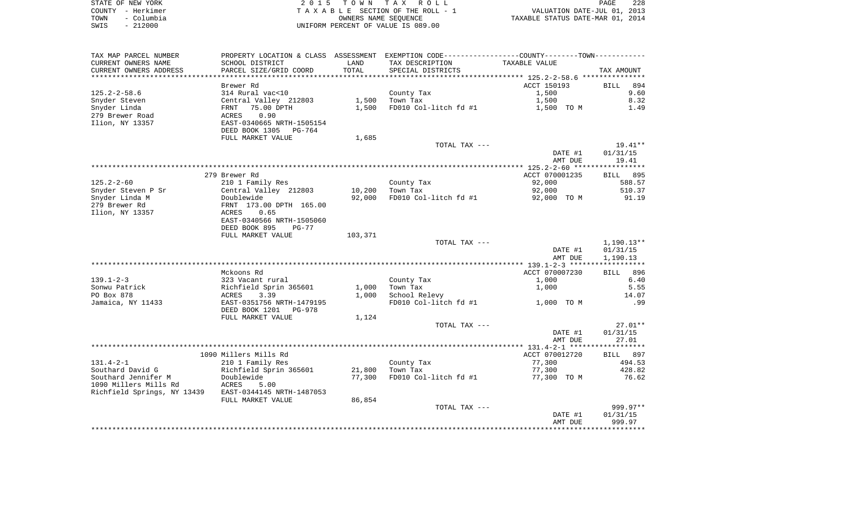|      | STATE OF NEW YORK | 2015 TOWN TAX ROLL                 | PAGE                             | 228 |
|------|-------------------|------------------------------------|----------------------------------|-----|
|      | COUNTY - Herkimer | TAXABLE SECTION OF THE ROLL - 1    | VALUATION DATE-JUL 01, 2013      |     |
| TOWN | – Columbia        | OWNERS NAME SEOUENCE               | TAXABLE STATUS DATE-MAR 01, 2014 |     |
| SWIS | $-212000$         | UNIFORM PERCENT OF VALUE IS 089.00 |                                  |     |

| TAX MAP PARCEL NUMBER           |                                      |                  | PROPERTY LOCATION & CLASS ASSESSMENT EXEMPTION CODE----------------COUNTY--------TOWN----------- |                  |                    |
|---------------------------------|--------------------------------------|------------------|--------------------------------------------------------------------------------------------------|------------------|--------------------|
| CURRENT OWNERS NAME             | SCHOOL DISTRICT                      | LAND             | TAX DESCRIPTION                                                                                  | TAXABLE VALUE    |                    |
| CURRENT OWNERS ADDRESS          | PARCEL SIZE/GRID COORD               | TOTAL            | SPECIAL DISTRICTS                                                                                |                  | TAX AMOUNT         |
| *********************           | **************************           |                  |                                                                                                  |                  |                    |
|                                 | Brewer Rd                            |                  |                                                                                                  | ACCT 150193      | <b>BILL</b><br>894 |
| $125.2 - 2 - 58.6$              | 314 Rural vac<10                     |                  | County Tax                                                                                       | 1,500            | 9.60               |
| Snyder Steven                   | Central Valley 212803                |                  | 1,500 Town Tax                                                                                   | 1,500            | 8.32               |
| Snyder Linda                    | FRNT 75.00 DPTH                      | 1,500            | FD010 Col-litch fd #1                                                                            | 1,500 TO M       | 1.49               |
| 279 Brewer Road                 | 0.90<br>ACRES                        |                  |                                                                                                  |                  |                    |
| Ilion, NY 13357                 | EAST-0340665 NRTH-1505154            |                  |                                                                                                  |                  |                    |
|                                 | DEED BOOK 1305 PG-764                |                  |                                                                                                  |                  |                    |
|                                 | FULL MARKET VALUE                    | 1,685            |                                                                                                  |                  |                    |
|                                 |                                      |                  | TOTAL TAX ---                                                                                    |                  | 19.41**            |
|                                 |                                      |                  |                                                                                                  | DATE #1          | 01/31/15           |
|                                 |                                      |                  |                                                                                                  | AMT DUE          | 19.41              |
|                                 |                                      |                  |                                                                                                  |                  |                    |
|                                 | 279 Brewer Rd                        |                  |                                                                                                  | ACCT 070001235   | BILL 895           |
| $125.2 - 2 - 60$                | 210 1 Family Res                     |                  | County Tax                                                                                       | 92,000           | 588.57             |
| Snyder Steven P Sr              | Central Valley 212803<br>Doublewide  | 10,200<br>92,000 | Town Tax                                                                                         | 92,000           | 510.37<br>91.19    |
| Snyder Linda M<br>279 Brewer Rd | FRNT 173.00 DPTH 165.00              |                  | FD010 Col-litch fd #1                                                                            | 92,000 TO M      |                    |
| Ilion, NY 13357                 | ACRES<br>0.65                        |                  |                                                                                                  |                  |                    |
|                                 | EAST-0340566 NRTH-1505060            |                  |                                                                                                  |                  |                    |
|                                 | DEED BOOK 895<br>PG-77               |                  |                                                                                                  |                  |                    |
|                                 | FULL MARKET VALUE                    | 103,371          |                                                                                                  |                  |                    |
|                                 |                                      |                  | TOTAL TAX ---                                                                                    |                  | 1,190.13**         |
|                                 |                                      |                  |                                                                                                  | DATE #1          | 01/31/15           |
|                                 |                                      |                  |                                                                                                  | AMT DUE          | 1,190.13           |
|                                 |                                      |                  |                                                                                                  |                  |                    |
|                                 | Mckoons Rd                           |                  |                                                                                                  | ACCT 070007230   | BILL 896           |
| 139.1-2-3                       | 323 Vacant rural                     |                  | County Tax                                                                                       | 1,000            | 6.40               |
| Sonwu Patrick                   | Richfield Sprin 365601               | 1,000            | Town Tax                                                                                         | 1,000            | 5.55               |
| PO Box 878                      | 3.39<br>ACRES                        | 1,000            | School Relevy                                                                                    |                  | 14.07              |
| Jamaica, NY 11433               | EAST-0351756 NRTH-1479195            |                  | FD010 Col-litch $fd$ #1 $1,000$ TO M                                                             |                  | .99                |
|                                 | DEED BOOK 1201    PG-978             |                  |                                                                                                  |                  |                    |
|                                 | FULL MARKET VALUE                    | 1,124            |                                                                                                  |                  |                    |
|                                 |                                      |                  | TOTAL TAX ---                                                                                    |                  | $27.01**$          |
|                                 |                                      |                  |                                                                                                  | DATE #1          | 01/31/15           |
|                                 |                                      |                  |                                                                                                  | AMT DUE          | 27.01              |
|                                 |                                      |                  |                                                                                                  |                  |                    |
|                                 | 1090 Millers Mills Rd                |                  |                                                                                                  | ACCT 070012720   | BILL 897           |
| 131.4-2-1<br>Southard David G   | 210 1 Family Res                     | 21,800           | County Tax                                                                                       | 77,300<br>77,300 | 494.53<br>428.82   |
| Southard Jennifer M             | Richfield Sprin 365601<br>Doublewide |                  | Town Tax                                                                                         |                  |                    |
|                                 |                                      | 77,300           | FD010 Col-litch fd #1                                                                            | 77,300 TO M      | 76.62              |
|                                 |                                      |                  |                                                                                                  |                  |                    |
|                                 | FULL MARKET VALUE                    | 86,854           |                                                                                                  |                  |                    |
|                                 |                                      |                  | TOTAL TAX ---                                                                                    |                  | 999.97**           |
|                                 |                                      |                  |                                                                                                  | DATE #1          | 01/31/15           |
|                                 |                                      |                  |                                                                                                  | AMT DUE          | 999.97             |
|                                 |                                      |                  |                                                                                                  |                  |                    |
|                                 |                                      |                  |                                                                                                  |                  |                    |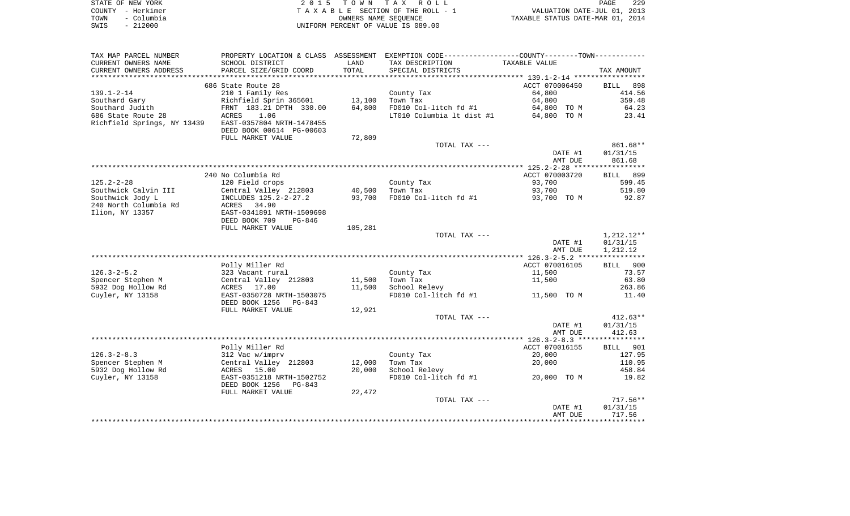| STATE OF NEW YORK  | 2015 TOWN TAX ROLL                 | 229<br>PAGE                      |
|--------------------|------------------------------------|----------------------------------|
| COUNTY - Herkimer  | TAXABLE SECTION OF THE ROLL - 1    | VALUATION DATE-JUL 01, 2013      |
| – Columbia<br>TOWN | OWNERS NAME SEOUENCE               | TAXABLE STATUS DATE-MAR 01, 2014 |
| $-212000$<br>SWIS  | UNIFORM PERCENT OF VALUE IS 089.00 |                                  |

| TAX MAP PARCEL NUMBER       |                                                       |         | PROPERTY LOCATION & CLASS ASSESSMENT EXEMPTION CODE----------------COUNTY-------TOWN----------- |                |                      |
|-----------------------------|-------------------------------------------------------|---------|-------------------------------------------------------------------------------------------------|----------------|----------------------|
| CURRENT OWNERS NAME         | SCHOOL DISTRICT                                       | LAND    | TAX DESCRIPTION                                                                                 | TAXABLE VALUE  |                      |
| CURRENT OWNERS ADDRESS      | PARCEL SIZE/GRID COORD                                | TOTAL   | SPECIAL DISTRICTS                                                                               |                | TAX AMOUNT           |
|                             |                                                       |         |                                                                                                 |                |                      |
|                             | 686 State Route 28                                    |         |                                                                                                 | ACCT 070006450 | 898<br><b>BILL</b>   |
| $139.1 - 2 - 14$            | 210 1 Family Res                                      |         | County Tax                                                                                      | 64,800         | 414.56               |
| Southard Gary               | Richfield Sprin 365601                                | 13,100  | Town Tax                                                                                        | 64,800         | 359.48               |
| Southard Judith             | FRNT 183.21 DPTH 330.00                               | 64,800  | FD010 Col-litch fd #1                                                                           | 64,800 TO M    | 64.23                |
| 686 State Route 28          | 1.06<br>ACRES                                         |         | LT010 Columbia lt dist #1                                                                       | 64,800 TO M    | 23.41                |
| Richfield Springs, NY 13439 | EAST-0357804 NRTH-1478455                             |         |                                                                                                 |                |                      |
|                             | DEED BOOK 00614 PG-00603                              |         |                                                                                                 |                |                      |
|                             | FULL MARKET VALUE                                     | 72,809  |                                                                                                 |                |                      |
|                             |                                                       |         | TOTAL TAX ---                                                                                   | DATE #1        | 861.68**<br>01/31/15 |
|                             |                                                       |         |                                                                                                 | AMT DUE        | 861.68               |
|                             |                                                       |         |                                                                                                 |                |                      |
|                             | 240 No Columbia Rd                                    |         |                                                                                                 | ACCT 070003720 | BILL 899             |
| $125.2 - 2 - 28$            | 120 Field crops                                       |         | County Tax                                                                                      | 93,700         | 599.45               |
| Southwick Calvin III        | Central Valley 212803                                 | 40,500  | Town Tax                                                                                        | 93,700         | 519.80               |
| Southwick Jody L            | INCLUDES 125.2-2-27.2                                 | 93,700  | FD010 Col-litch fd #1                                                                           | 93,700 TO M    | 92.87                |
| 240 North Columbia Rd       | ACRES<br>34.90                                        |         |                                                                                                 |                |                      |
| Ilion, NY 13357             | EAST-0341891 NRTH-1509698                             |         |                                                                                                 |                |                      |
|                             | DEED BOOK 709<br>PG-846                               |         |                                                                                                 |                |                      |
|                             | FULL MARKET VALUE                                     | 105,281 |                                                                                                 |                |                      |
|                             |                                                       |         | TOTAL TAX ---                                                                                   |                | 1,212.12**           |
|                             |                                                       |         |                                                                                                 | DATE #1        | 01/31/15             |
|                             |                                                       |         |                                                                                                 | AMT DUE        | 1,212.12             |
|                             |                                                       |         |                                                                                                 |                |                      |
|                             | Polly Miller Rd                                       |         |                                                                                                 | ACCT 070016105 | BILL 900             |
| $126.3 - 2 - 5.2$           | 323 Vacant rural                                      |         | County Tax                                                                                      | 11,500         | 73.57                |
| Spencer Stephen M           | Central Valley 212803                                 | 11,500  | Town Tax                                                                                        | 11,500         | 63.80                |
| 5932 Dog Hollow Rd          | ACRES 17.00                                           | 11,500  | School Relevy                                                                                   |                | 263.86               |
| Cuyler, NY 13158            | EAST-0350728 NRTH-1503075<br>DEED BOOK 1256<br>PG-843 |         | FD010 Col-litch fd #1                                                                           | 11,500 TO M    | 11.40                |
|                             | FULL MARKET VALUE                                     | 12,921  |                                                                                                 |                |                      |
|                             |                                                       |         | TOTAL TAX ---                                                                                   |                | $412.63**$           |
|                             |                                                       |         |                                                                                                 | DATE #1        | 01/31/15             |
|                             |                                                       |         |                                                                                                 | AMT DUE        | 412.63               |
|                             |                                                       |         |                                                                                                 |                |                      |
|                             | Polly Miller Rd                                       |         |                                                                                                 | ACCT 070016155 | BILL 901             |
| $126.3 - 2 - 8.3$           | 312 Vac w/imprv                                       |         | County Tax                                                                                      | 20,000         | 127.95               |
| Spencer Stephen M           | Central Valley 212803                                 | 12,000  | Town Tax                                                                                        | 20,000         | 110.95               |
| 5932 Dog Hollow Rd          | ACRES 15.00                                           | 20,000  | School Relevy                                                                                   |                | 458.84               |
| Cuyler, NY 13158            | EAST-0351218 NRTH-1502752<br>DEED BOOK 1256<br>PG-843 |         | FD010 Col-litch fd #1                                                                           | 20,000 TO M    | 19.82                |
|                             | FULL MARKET VALUE                                     | 22,472  |                                                                                                 |                |                      |
|                             |                                                       |         | TOTAL TAX ---                                                                                   |                | $717.56**$           |
|                             |                                                       |         |                                                                                                 | DATE #1        | 01/31/15             |
|                             |                                                       |         |                                                                                                 | AMT DUE        | 717.56               |
|                             |                                                       |         |                                                                                                 |                |                      |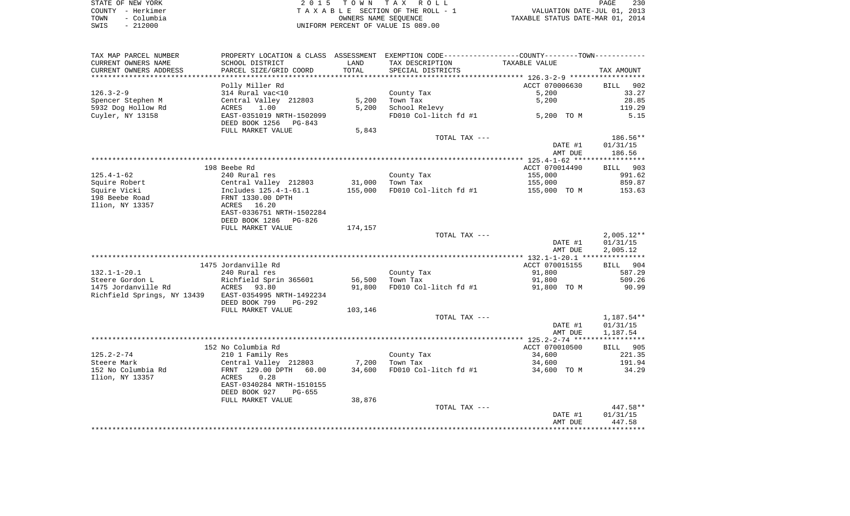| STATE OF NEW YORK  | 2015 TOWN TAX ROLL                 | 230<br>PAGE                      |
|--------------------|------------------------------------|----------------------------------|
| COUNTY - Herkimer  | TAXABLE SECTION OF THE ROLL - 1    | VALUATION DATE-JUL 01, 2013      |
| – Columbia<br>TOWN | OWNERS NAME SEOUENCE               | TAXABLE STATUS DATE-MAR 01, 2014 |
| $-212000$<br>SWIS  | UNIFORM PERCENT OF VALUE IS 089.00 |                                  |

| TAX MAP PARCEL NUMBER                                 | PROPERTY LOCATION & CLASS ASSESSMENT EXEMPTION CODE---------------COUNTY--------TOWN----------        |                  |                                    |                       |                 |
|-------------------------------------------------------|-------------------------------------------------------------------------------------------------------|------------------|------------------------------------|-----------------------|-----------------|
| CURRENT OWNERS NAME                                   | SCHOOL DISTRICT                                                                                       | LAND             | TAX DESCRIPTION                    | TAXABLE VALUE         |                 |
| CURRENT OWNERS ADDRESS                                | PARCEL SIZE/GRID COORD                                                                                | TOTAL            | SPECIAL DISTRICTS                  |                       | TAX AMOUNT      |
|                                                       |                                                                                                       |                  |                                    |                       |                 |
|                                                       | Polly Miller Rd                                                                                       |                  |                                    | ACCT 070006630        | BILL 902        |
| 126.3-2-9                                             | 314 Rural vac<10                                                                                      |                  | County Tax                         | 5,200                 | 33.27           |
| Spencer Stephen M                                     | 314 Kurai vackio<br>Central Valley 212803                                                             | 5,200            | Town Tax                           | 5,200                 | 28.85           |
| 5932 Dog Hollow Rd                                    | ACRES 1.00<br>EAST-0351019 NRTH-1502099                                                               | 5,200            | School Relevy                      |                       | 119.29          |
| Cuyler, NY 13158                                      |                                                                                                       |                  | FD010 Col-litch fd #1              | 5,200 TO M            | 5.15            |
|                                                       | DEED BOOK 1256 PG-843                                                                                 |                  |                                    |                       |                 |
|                                                       | FULL MARKET VALUE                                                                                     | 5,843            |                                    |                       |                 |
|                                                       |                                                                                                       |                  | TOTAL TAX ---                      |                       | 186.56**        |
|                                                       |                                                                                                       |                  |                                    | DATE #1               | 01/31/15        |
|                                                       |                                                                                                       |                  |                                    | AMT DUE               | 186.56          |
|                                                       |                                                                                                       |                  |                                    |                       |                 |
|                                                       | 198 Beebe Rd                                                                                          |                  |                                    | ACCT 070014490        | BILL 903        |
| 125.4-1-62                                            | 240 Rural res                                                                                         |                  | County Tax                         | 155,000               | 991.62          |
| Squire Robert                                         |                                                                                                       |                  |                                    | 155,000               | 859.87          |
| Squire Vicki                                          | Central Valley 212803 31,000 Town Tax<br>Includes 125.4-1-61.1 155,000 FD010 Col<br>FRNT 1330.00 DPTH |                  | FD010 Col-litch fd #1              | 155,000 TO M 153.63   |                 |
| 198 Beebe Road                                        |                                                                                                       |                  |                                    |                       |                 |
| Ilion, NY 13357                                       | ACRES 16.20                                                                                           |                  |                                    |                       |                 |
|                                                       | EAST-0336751 NRTH-1502284                                                                             |                  |                                    |                       |                 |
|                                                       | DEED BOOK 1286 PG-826                                                                                 |                  |                                    |                       |                 |
|                                                       | FULL MARKET VALUE                                                                                     | 174,157          |                                    |                       |                 |
|                                                       |                                                                                                       |                  | TOTAL TAX ---                      |                       | $2,005.12**$    |
|                                                       |                                                                                                       |                  |                                    | DATE #1               | 01/31/15        |
|                                                       |                                                                                                       |                  |                                    | AMT DUE               | 2,005.12        |
|                                                       |                                                                                                       |                  |                                    |                       |                 |
|                                                       | 1475 Jordanville Rd                                                                                   |                  |                                    | ACCT 070015155        | BILL 904        |
| 132.1-1-20.1                                          | 240 Rural res                                                                                         |                  | County Tax<br>Town Tax             | 91,800                | 587.29          |
| Steere Gordon L<br>1475 Jordanville Rd                | Richfield Sprin 365601<br>ACRES 93.80                                                                 | 56,500<br>91,800 | FD010 Col-litch fd #1              | 91,800<br>91,800 TO M | 509.26<br>90.99 |
| Richfield Springs, NY 13439 EAST-0354995 NRTH-1492234 |                                                                                                       |                  |                                    |                       |                 |
|                                                       | DEED BOOK 799<br>PG-292                                                                               |                  |                                    |                       |                 |
|                                                       | FULL MARKET VALUE                                                                                     | 103,146          |                                    |                       |                 |
|                                                       |                                                                                                       |                  | TOTAL TAX ---                      |                       | 1,187.54**      |
|                                                       |                                                                                                       |                  |                                    | DATE #1               | 01/31/15        |
|                                                       |                                                                                                       |                  |                                    | AMT DUE               | 1,187.54        |
|                                                       |                                                                                                       |                  |                                    |                       |                 |
|                                                       | 152 No Columbia Rd                                                                                    |                  |                                    | ACCT 070010500        | BILL 905        |
| 125.2-2-74                                            | 210 1 Family Res                                                                                      |                  |                                    | 34,600                | 221.35          |
| Steere Mark                                           | Central Valley 212803 7,200                                                                           |                  | County Tax<br>Town Tax<br>Town Tax | 34,600                | 191.94          |
| 152 No Columbia Rd                                    | FRNT 129.00 DPTH 60.00                                                                                |                  | 34,600 FD010 Col-litch fd #1       | 34,600 TO M           | 34.29           |
| Ilion, NY 13357                                       | ACRES<br>0.28                                                                                         |                  |                                    |                       |                 |
|                                                       | EAST-0340284 NRTH-1510155                                                                             |                  |                                    |                       |                 |
|                                                       | DEED BOOK 927 PG-655                                                                                  |                  |                                    |                       |                 |
|                                                       | FULL MARKET VALUE                                                                                     | 38,876           |                                    |                       |                 |
|                                                       |                                                                                                       |                  | TOTAL TAX ---                      |                       | 447.58**        |
|                                                       |                                                                                                       |                  |                                    | DATE #1               | 01/31/15        |
|                                                       |                                                                                                       |                  |                                    | AMT DUE               | 447.58          |
|                                                       |                                                                                                       |                  |                                    |                       |                 |
|                                                       |                                                                                                       |                  |                                    |                       |                 |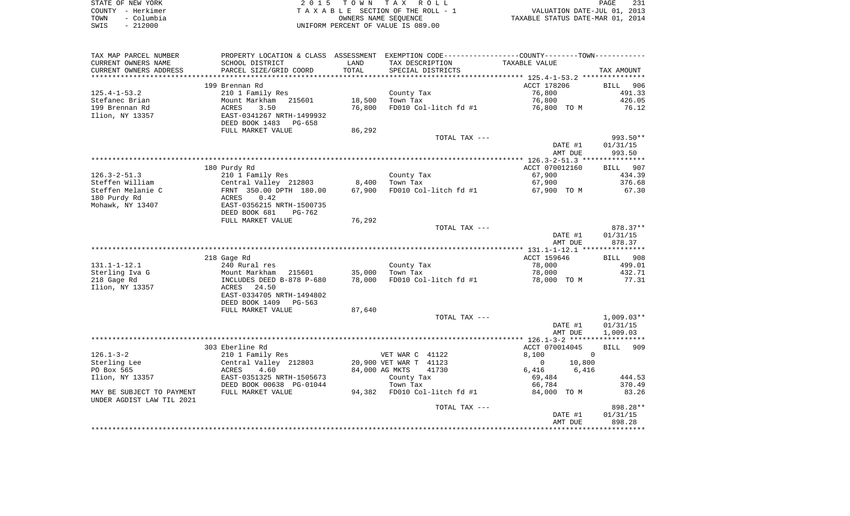|      | STATE OF NEW YORK | 2015 TOWN TAX ROLL                 | PAGE                             |  |
|------|-------------------|------------------------------------|----------------------------------|--|
|      | COUNTY – Herkimer | TAXABLE SECTION OF THE ROLL - 1    | VALUATION DATE-JUL 01, 2013      |  |
| TOWN | – Columbia        | OWNERS NAME SEOUENCE               | TAXABLE STATUS DATE-MAR 01, 2014 |  |
| SWIS | $-212000$         | UNIFORM PERCENT OF VALUE IS 089.00 |                                  |  |

| TAX MAP PARCEL NUMBER          |                                          |        | PROPERTY LOCATION & CLASS ASSESSMENT EXEMPTION CODE----------------COUNTY--------TOWN----------- |                        |                    |
|--------------------------------|------------------------------------------|--------|--------------------------------------------------------------------------------------------------|------------------------|--------------------|
| CURRENT OWNERS NAME            | SCHOOL DISTRICT                          | LAND   | TAX DESCRIPTION                                                                                  | TAXABLE VALUE          |                    |
| CURRENT OWNERS ADDRESS         | PARCEL SIZE/GRID COORD                   | TOTAL  | SPECIAL DISTRICTS                                                                                |                        | TAX AMOUNT         |
| **********************         | *****************************            |        |                                                                                                  |                        |                    |
|                                | 199 Brennan Rd                           |        |                                                                                                  | ACCT 178206            | BILL<br>906        |
| $125.4 - 1 - 53.2$             | 210 1 Family Res                         |        | County Tax                                                                                       | 76,800                 | 491.33             |
| Stefanec Brian                 | Mount Markham<br>215601                  | 18,500 | Town Tax                                                                                         | 76,800                 | 426.05             |
| 199 Brennan Rd                 | ACRES<br>3.50                            | 76,800 | FD010 Col-litch fd #1                                                                            | 76,800 TO M            | 76.12              |
| Ilion, NY 13357                | EAST-0341267 NRTH-1499932                |        |                                                                                                  |                        |                    |
|                                | DEED BOOK 1483<br>PG-658                 |        |                                                                                                  |                        |                    |
|                                | FULL MARKET VALUE                        | 86,292 |                                                                                                  |                        |                    |
|                                |                                          |        | TOTAL TAX ---                                                                                    |                        | 993.50**           |
|                                |                                          |        |                                                                                                  | DATE #1                | 01/31/15           |
|                                |                                          |        |                                                                                                  | AMT DUE                | 993.50             |
|                                |                                          |        |                                                                                                  |                        |                    |
|                                | 180 Purdy Rd                             |        |                                                                                                  | ACCT 070012160         | <b>BILL</b><br>907 |
| $126.3 - 2 - 51.3$             | 210 1 Family Res                         |        | County Tax                                                                                       | 67,900                 | 434.39             |
| Steffen William                | Central Valley 212803                    | 8,400  | Town Tax                                                                                         | 67,900                 | 376.68             |
| Steffen Melanie C              | FRNT 350.00 DPTH 180.00                  | 67,900 | FD010 Col-litch fd #1                                                                            | 67,900 TO M            | 67.30              |
| 180 Purdy Rd                   | 0.42<br>ACRES                            |        |                                                                                                  |                        |                    |
| Mohawk, NY 13407               | EAST-0356215 NRTH-1500735                |        |                                                                                                  |                        |                    |
|                                | DEED BOOK 681<br>PG-762                  |        |                                                                                                  |                        |                    |
|                                | FULL MARKET VALUE                        | 76,292 |                                                                                                  |                        |                    |
|                                |                                          |        | TOTAL TAX ---                                                                                    |                        | 878.37**           |
|                                |                                          |        |                                                                                                  | DATE #1                | 01/31/15           |
|                                |                                          |        |                                                                                                  | AMT DUE                | 878.37             |
|                                |                                          |        |                                                                                                  |                        |                    |
|                                | 218 Gage Rd                              |        |                                                                                                  | ACCT 159646            | BILL 908           |
| $131.1 - 1 - 12.1$             | 240 Rural res                            |        | County Tax                                                                                       | 78,000                 | 499.01             |
| Sterling Iva G                 | Mount Markham<br>215601                  | 35,000 | Town Tax                                                                                         | 78,000                 | 432.71             |
| 218 Gage Rd<br>Ilion, NY 13357 | INCLUDES DEED B-878 P-680<br>ACRES 24.50 | 78,000 | FD010 Col-litch fd #1                                                                            | 78,000 TO M            | 77.31              |
|                                | EAST-0334705 NRTH-1494802                |        |                                                                                                  |                        |                    |
|                                | DEED BOOK 1409<br>PG-563                 |        |                                                                                                  |                        |                    |
|                                | FULL MARKET VALUE                        | 87,640 |                                                                                                  |                        |                    |
|                                |                                          |        | TOTAL TAX ---                                                                                    |                        | $1,009.03**$       |
|                                |                                          |        |                                                                                                  | DATE #1                | 01/31/15           |
|                                |                                          |        |                                                                                                  | AMT DUE                | 1,009.03           |
|                                |                                          |        |                                                                                                  |                        | ***********        |
|                                | 303 Eberline Rd                          |        |                                                                                                  | ACCT 070014045         | 909<br>BILL        |
| $126.1 - 3 - 2$                | 210 1 Family Res                         |        | VET WAR C 41122                                                                                  | 8,100<br>$\Omega$      |                    |
| Sterling Lee                   | Central Valley 212803                    |        | 20,900 VET WAR T 41123                                                                           | $\mathbf{0}$<br>10,800 |                    |
| PO Box 565                     | 4.60<br>ACRES                            |        | 84,000 AG MKTS<br>41730                                                                          | 6,416<br>6,416         |                    |
| Ilion, NY 13357                | EAST-0351325 NRTH-1505673                |        | County Tax                                                                                       | 69,484                 | 444.53             |
|                                | DEED BOOK 00638 PG-01044                 |        | Town Tax                                                                                         | 66,784                 | 370.49             |
| MAY BE SUBJECT TO PAYMENT      | FULL MARKET VALUE                        | 94,382 | FD010 Col-litch fd #1                                                                            | 84,000 TO M            | 83.26              |
| UNDER AGDIST LAW TIL 2021      |                                          |        |                                                                                                  |                        |                    |
|                                |                                          |        | TOTAL TAX ---                                                                                    |                        | 898.28**           |
|                                |                                          |        |                                                                                                  | DATE #1                | 01/31/15           |
|                                |                                          |        |                                                                                                  | AMT DUE                | 898.28             |
|                                |                                          |        |                                                                                                  |                        |                    |
|                                |                                          |        |                                                                                                  |                        |                    |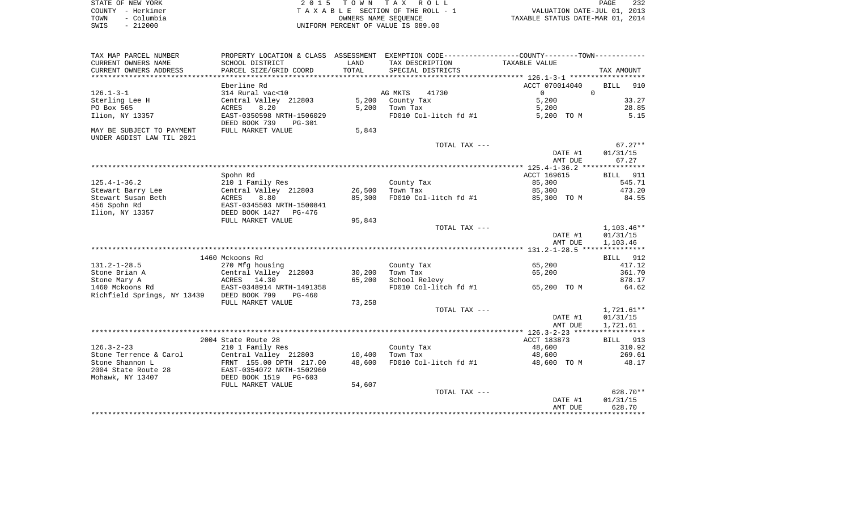|      | STATE OF NEW YORK | 2015 TOWN TAX ROLL                 | 232<br>PAGE                      |
|------|-------------------|------------------------------------|----------------------------------|
|      | COUNTY - Herkimer | TAXABLE SECTION OF THE ROLL - 1    | VALUATION DATE-JUL 01, 2013      |
| TOWN | – Columbia        | OWNERS NAME SEOUENCE               | TAXABLE STATUS DATE-MAR 01, 2014 |
| SWIS | $-212000$         | UNIFORM PERCENT OF VALUE IS 089.00 |                                  |

| TAX MAP PARCEL NUMBER       |                                                        |        | PROPERTY LOCATION & CLASS ASSESSMENT EXEMPTION CODE----------------COUNTY-------TOWN---------- |                |                    |
|-----------------------------|--------------------------------------------------------|--------|------------------------------------------------------------------------------------------------|----------------|--------------------|
| CURRENT OWNERS NAME         | SCHOOL DISTRICT                                        | LAND   | TAX DESCRIPTION                                                                                | TAXABLE VALUE  |                    |
| CURRENT OWNERS ADDRESS      | PARCEL SIZE/GRID COORD                                 | TOTAL  | SPECIAL DISTRICTS                                                                              |                | TAX AMOUNT         |
|                             |                                                        |        |                                                                                                |                |                    |
|                             | Eberline Rd                                            |        |                                                                                                | ACCT 070014040 | <b>BILL</b><br>910 |
| $126.1 - 3 - 1$             | 314 Rural vac<10                                       |        | 41730<br>AG MKTS                                                                               | $\overline{0}$ | $\Omega$           |
| Sterling Lee H              | Central Valley 212803                                  | 5,200  | County Tax                                                                                     | 5,200          | 33.27              |
| PO Box 565                  | 8.20<br>ACRES                                          | 5,200  | Town Tax                                                                                       | 5,200          | 28.85              |
| Ilion, NY 13357             | EAST-0350598 NRTH-1506029<br>DEED BOOK 739<br>$PG-301$ |        | FD010 Col-litch fd #1                                                                          | 5,200 TO M     | 5.15               |
| MAY BE SUBJECT TO PAYMENT   | FULL MARKET VALUE                                      | 5,843  |                                                                                                |                |                    |
| UNDER AGDIST LAW TIL 2021   |                                                        |        |                                                                                                |                |                    |
|                             |                                                        |        | TOTAL TAX ---                                                                                  |                | $67.27**$          |
|                             |                                                        |        |                                                                                                | DATE #1        | 01/31/15           |
|                             |                                                        |        |                                                                                                | AMT DUE        | 67.27              |
|                             |                                                        |        |                                                                                                |                |                    |
|                             | Spohn Rd                                               |        |                                                                                                | ACCT 169615    | <b>BILL</b> 911    |
| $125.4 - 1 - 36.2$          | 210 1 Family Res                                       |        | County Tax                                                                                     | 85,300         | 545.71             |
| Stewart Barry Lee           | Central Valley 212803                                  | 26,500 | Town Tax                                                                                       | 85,300         | 473.20             |
| Stewart Susan Beth          | 8.80<br>ACRES                                          | 85,300 | FD010 Col-litch fd #1                                                                          | 85,300 TO M    | 84.55              |
| 456 Spohn Rd                | EAST-0345503 NRTH-1500841                              |        |                                                                                                |                |                    |
| Ilion, NY 13357             | DEED BOOK 1427<br>PG-476                               |        |                                                                                                |                |                    |
|                             | FULL MARKET VALUE                                      | 95,843 |                                                                                                |                |                    |
|                             |                                                        |        | TOTAL TAX ---                                                                                  |                | 1,103.46**         |
|                             |                                                        |        |                                                                                                | DATE #1        | 01/31/15           |
|                             |                                                        |        |                                                                                                | AMT DUE        | 1,103.46           |
|                             |                                                        |        |                                                                                                |                |                    |
|                             | 1460 Mckoons Rd                                        |        |                                                                                                |                | BILL 912           |
| $131.2 - 1 - 28.5$          | 270 Mfg housing                                        |        | County Tax                                                                                     | 65,200         | 417.12             |
| Stone Brian A               | Central Valley 212803                                  | 30,200 | Town Tax                                                                                       | 65,200         | 361.70             |
| Stone Mary A                | ACRES 14.30                                            | 65,200 | School Relevy                                                                                  |                | 878.17             |
| 1460 Mckoons Rd             | EAST-0348914 NRTH-1491358                              |        | FD010 Col-litch fd #1                                                                          | 65,200 TO M    | 64.62              |
| Richfield Springs, NY 13439 | DEED BOOK 799<br>PG-460                                |        |                                                                                                |                |                    |
|                             | FULL MARKET VALUE                                      | 73,258 |                                                                                                |                |                    |
|                             |                                                        |        | TOTAL TAX ---                                                                                  |                | $1,721.61**$       |
|                             |                                                        |        |                                                                                                | DATE #1        | 01/31/15           |
|                             |                                                        |        |                                                                                                | AMT DUE        | 1,721.61           |
|                             |                                                        |        |                                                                                                |                |                    |
|                             | 2004 State Route 28                                    |        |                                                                                                | ACCT 183873    | BILL 913           |
| $126.3 - 2 - 23$            | 210 1 Family Res                                       |        | County Tax                                                                                     | 48,600         | 310.92             |
| Stone Terrence & Carol      | Central Valley 212803                                  | 10,400 | Town Tax                                                                                       | 48,600         | 269.61             |
| Stone Shannon L             | FRNT 155.00 DPTH 217.00                                | 48,600 | FD010 Col-litch fd #1                                                                          | 48,600 TO M    | 48.17              |
| 2004 State Route 28         | EAST-0354072 NRTH-1502960                              |        |                                                                                                |                |                    |
| Mohawk, NY 13407            | DEED BOOK 1519<br>PG-603                               |        |                                                                                                |                |                    |
|                             | FULL MARKET VALUE                                      | 54,607 |                                                                                                |                |                    |
|                             |                                                        |        | TOTAL TAX ---                                                                                  |                | 628.70**           |
|                             |                                                        |        |                                                                                                | DATE #1        | 01/31/15           |
|                             |                                                        |        |                                                                                                | AMT DUE        | 628.70             |
|                             |                                                        |        |                                                                                                |                |                    |
|                             |                                                        |        |                                                                                                |                |                    |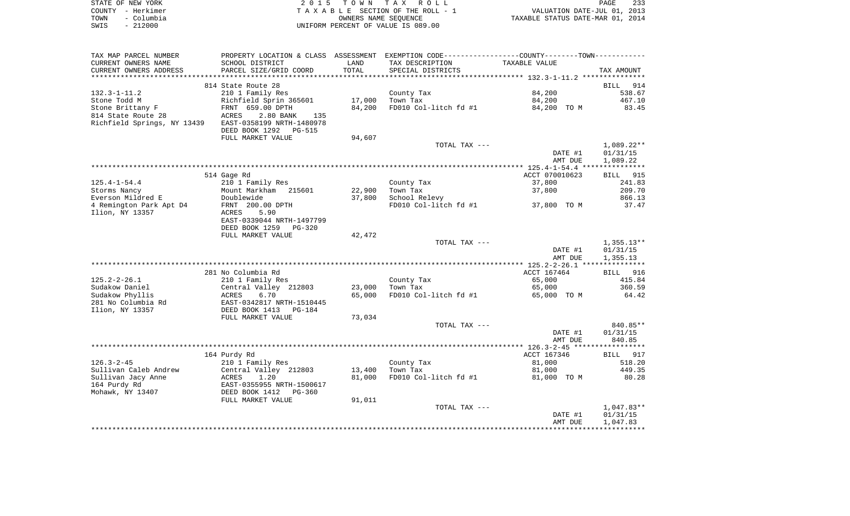| STATE OF NEW YORK  | 2015 TOWN TAX ROLL                 | 233<br>PAGE                      |
|--------------------|------------------------------------|----------------------------------|
| COUNTY - Herkimer  | TAXABLE SECTION OF THE ROLL - 1    | VALUATION DATE-JUL 01, 2013      |
| - Columbia<br>TOWN | OWNERS NAME SEOUENCE               | TAXABLE STATUS DATE-MAR 01, 2014 |
| - 212000<br>SWIS   | UNIFORM PERCENT OF VALUE IS 089.00 |                                  |

| TAX MAP PARCEL NUMBER                             | PROPERTY LOCATION & CLASS ASSESSMENT EXEMPTION CODE---------------COUNTY-------TOWN---------- |        |                       |                |                      |
|---------------------------------------------------|-----------------------------------------------------------------------------------------------|--------|-----------------------|----------------|----------------------|
| CURRENT OWNERS NAME                               | SCHOOL DISTRICT                                                                               | LAND   | TAX DESCRIPTION       | TAXABLE VALUE  |                      |
| CURRENT OWNERS ADDRESS                            | PARCEL SIZE/GRID COORD                                                                        | TOTAL  | SPECIAL DISTRICTS     |                | TAX AMOUNT           |
|                                                   |                                                                                               |        |                       |                |                      |
|                                                   | 814 State Route 28                                                                            |        |                       |                | BILL<br>914          |
| 132.3-1-11.2                                      | 210 1 Family Res                                                                              |        | County Tax            | 84,200         | 538.67               |
| Stone Todd M                                      | Richfield Sprin 365601                                                                        | 17,000 | Town Tax              | 84,200         | 467.10               |
| Stone Brittany F                                  | FRNT 659.00 DPTH                                                                              | 84,200 | FD010 Col-litch fd #1 | 84,200 TO M    | 83.45                |
| 814 State Route 28<br>Richfield Springs, NY 13439 | ACRES<br>2.80 BANK<br>135<br>EAST-0358199 NRTH-1480978                                        |        |                       |                |                      |
|                                                   | DEED BOOK 1292<br>PG-515                                                                      |        |                       |                |                      |
|                                                   | FULL MARKET VALUE                                                                             | 94,607 |                       |                |                      |
|                                                   |                                                                                               |        | TOTAL TAX ---         |                | $1,089.22**$         |
|                                                   |                                                                                               |        |                       | DATE #1        | 01/31/15             |
|                                                   |                                                                                               |        |                       | AMT DUE        | 1,089.22             |
|                                                   |                                                                                               |        |                       |                |                      |
|                                                   | 514 Gage Rd                                                                                   |        |                       | ACCT 070010623 | BILL 915             |
| $125.4 - 1 - 54.4$                                | 210 1 Family Res                                                                              |        | County Tax            | 37,800         | 241.83               |
| Storms Nancy                                      | Mount Markham 215601                                                                          | 22,900 | Town Tax              | 37,800         | 209.70               |
| Everson Mildred E                                 | Doublewide                                                                                    | 37,800 | School Relevy         |                | 866.13               |
| 4 Remington Park Apt D4                           | FRNT 200.00 DPTH                                                                              |        | FD010 Col-litch fd #1 | 37,800 TO M    | 37.47                |
| Ilion, NY 13357                                   | ACRES<br>5.90                                                                                 |        |                       |                |                      |
|                                                   | EAST-0339044 NRTH-1497799                                                                     |        |                       |                |                      |
|                                                   | DEED BOOK 1259<br>$PG-320$<br>FULL MARKET VALUE                                               | 42,472 |                       |                |                      |
|                                                   |                                                                                               |        | TOTAL TAX ---         |                | $1,355.13**$         |
|                                                   |                                                                                               |        |                       | DATE #1        | 01/31/15             |
|                                                   |                                                                                               |        |                       | AMT DUE        | 1,355.13             |
|                                                   |                                                                                               |        |                       |                |                      |
|                                                   | 281 No Columbia Rd                                                                            |        |                       | ACCT 167464    | BILL 916             |
| $125.2 - 2 - 26.1$                                | 210 1 Family Res                                                                              |        | County Tax            | 65,000         | 415.84               |
| Sudakow Daniel                                    | Central Valley 212803                                                                         | 23,000 | Town Tax              | 65,000         | 360.59               |
| Sudakow Phyllis                                   | 6.70<br>ACRES                                                                                 | 65,000 | FD010 Col-litch fd #1 | 65,000 TO M    | 64.42                |
| 281 No Columbia Rd                                | EAST-0342817 NRTH-1510445                                                                     |        |                       |                |                      |
| Ilion, NY 13357                                   | DEED BOOK 1413<br>PG-184                                                                      |        |                       |                |                      |
|                                                   | FULL MARKET VALUE                                                                             | 73,034 |                       |                |                      |
|                                                   |                                                                                               |        | TOTAL TAX ---         | DATE #1        | 840.85**<br>01/31/15 |
|                                                   |                                                                                               |        |                       | AMT DUE        | 840.85               |
|                                                   |                                                                                               |        |                       |                |                      |
|                                                   | 164 Purdy Rd                                                                                  |        |                       | ACCT 167346    | BILL 917             |
| $126.3 - 2 - 45$                                  | 210 1 Family Res                                                                              |        | County Tax            | 81,000         | 518.20               |
| Sullivan Caleb Andrew                             | Central Valley 212803                                                                         | 13,400 | Town Tax              | 81,000         | 449.35               |
| Sullivan Jacy Anne                                | 1.20<br>ACRES                                                                                 | 81,000 | FD010 Col-litch fd #1 | 81,000 TO M    | 80.28                |
| 164 Purdy Rd                                      | EAST-0355955 NRTH-1500617                                                                     |        |                       |                |                      |
| Mohawk, NY 13407                                  | DEED BOOK 1412<br>PG-360                                                                      |        |                       |                |                      |
|                                                   | FULL MARKET VALUE                                                                             | 91,011 |                       |                |                      |
|                                                   |                                                                                               |        | TOTAL TAX ---         |                | $1,047.83**$         |
|                                                   |                                                                                               |        |                       | DATE #1        | 01/31/15             |
|                                                   |                                                                                               |        |                       | AMT DUE        | 1,047.83             |
|                                                   |                                                                                               |        |                       |                |                      |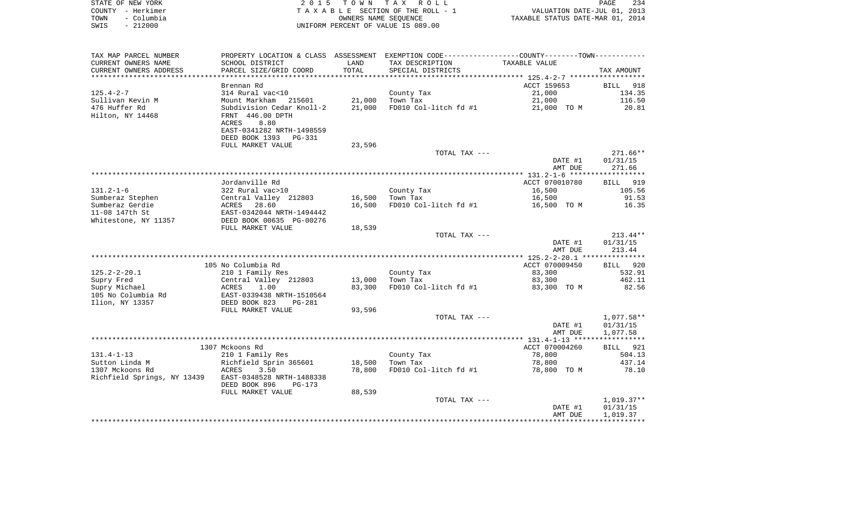| STATE OF NEW YORK  | 2015 TOWN TAX ROLL                 | 234<br>PAGE                      |
|--------------------|------------------------------------|----------------------------------|
| COUNTY - Herkimer  | TAXABLE SECTION OF THE ROLL - 1    | VALUATION DATE-JUL 01, 2013      |
| – Columbia<br>TOWN | OWNERS NAME SEOUENCE               | TAXABLE STATUS DATE-MAR 01, 2014 |
| $-212000$<br>SWIS  | UNIFORM PERCENT OF VALUE IS 089.00 |                                  |

| TAX MAP PARCEL NUMBER               | PROPERTY LOCATION & CLASS ASSESSMENT EXEMPTION CODE---------------COUNTY-------TOWN--------- |                  |                       |                |                 |
|-------------------------------------|----------------------------------------------------------------------------------------------|------------------|-----------------------|----------------|-----------------|
| CURRENT OWNERS NAME                 | SCHOOL DISTRICT                                                                              | LAND             | TAX DESCRIPTION       | TAXABLE VALUE  |                 |
| CURRENT OWNERS ADDRESS              | PARCEL SIZE/GRID COORD                                                                       | TOTAL            | SPECIAL DISTRICTS     |                | TAX AMOUNT      |
| **********************              |                                                                                              |                  |                       |                |                 |
|                                     | Brennan Rd                                                                                   |                  |                       | ACCT 159653    | BILL 918        |
| $125.4 - 2 - 7$                     | 314 Rural vac<10                                                                             |                  | County Tax            | 21,000         | 134.35          |
| Sullivan Kevin M                    | Mount Markham 215601                                                                         | 21,000           | Town Tax              | 21,000         | 116.50          |
| 476 Huffer Rd                       | Subdivision Cedar Knoll-2                                                                    | 21,000           | FD010 Col-litch fd #1 | 21,000 TO M    | 20.81           |
| Hilton, NY 14468                    | FRNT 446.00 DPTH                                                                             |                  |                       |                |                 |
|                                     | 8.80<br>ACRES                                                                                |                  |                       |                |                 |
|                                     | EAST-0341282 NRTH-1498559                                                                    |                  |                       |                |                 |
|                                     | DEED BOOK 1393<br>PG-331                                                                     |                  |                       |                |                 |
|                                     | FULL MARKET VALUE                                                                            | 23,596           |                       |                |                 |
|                                     |                                                                                              |                  | TOTAL TAX ---         |                | $271.66**$      |
|                                     |                                                                                              |                  |                       | DATE #1        | 01/31/15        |
|                                     |                                                                                              |                  |                       | AMT DUE        | 271.66          |
|                                     |                                                                                              |                  |                       |                |                 |
|                                     | Jordanville Rd                                                                               |                  |                       | ACCT 070010780 | <b>BILL</b> 919 |
| $131.2 - 1 - 6$                     | 322 Rural vac>10                                                                             |                  | County Tax            | 16,500         | 105.56          |
| Sumberaz Stephen                    | Central Valley 212803                                                                        | 16,500           | Town Tax              | 16,500         | 91.53           |
| Sumberaz Gerdie                     | 28.60<br>ACRES                                                                               | 16,500           | FD010 Col-litch fd #1 | 16,500 TO M    | 16.35           |
| 11-08 147th St                      | EAST-0342044 NRTH-1494442                                                                    |                  |                       |                |                 |
| Whitestone, NY 11357                | DEED BOOK 00635 PG-00276                                                                     |                  |                       |                |                 |
|                                     | FULL MARKET VALUE                                                                            | 18,539           |                       |                |                 |
|                                     |                                                                                              |                  | TOTAL TAX ---         |                | $213.44**$      |
|                                     |                                                                                              |                  |                       | DATE #1        | 01/31/15        |
|                                     |                                                                                              |                  |                       | AMT DUE        | 213.44          |
|                                     |                                                                                              |                  |                       |                |                 |
|                                     | 105 No Columbia Rd                                                                           |                  |                       | ACCT 070009450 | BILL 920        |
| $125.2 - 2 - 20.1$                  | 210 1 Family Res                                                                             |                  | County Tax            | 83,300         | 532.91          |
| Supry Fred                          | Central Valley 212803                                                                        | 13,000<br>83,300 | Town Tax              | 83,300         | 462.11<br>82.56 |
| Supry Michael<br>105 No Columbia Rd | 1.00<br>ACRES<br>EAST-0339438 NRTH-1510564                                                   |                  | FD010 Col-litch fd #1 | 83,300 TO M    |                 |
| Ilion, NY 13357                     | DEED BOOK 823                                                                                |                  |                       |                |                 |
|                                     | PG-281<br>FULL MARKET VALUE                                                                  | 93,596           |                       |                |                 |
|                                     |                                                                                              |                  | TOTAL TAX ---         |                | $1,077.58**$    |
|                                     |                                                                                              |                  |                       | DATE #1        | 01/31/15        |
|                                     |                                                                                              |                  |                       | AMT DUE        | 1,077.58        |
|                                     |                                                                                              |                  |                       |                |                 |
|                                     | 1307 Mckoons Rd                                                                              |                  |                       | ACCT 070004260 | BILL 921        |
| $131.4 - 1 - 13$                    | 210 1 Family Res                                                                             |                  | County Tax            | 78,800         | 504.13          |
| Sutton Linda M                      | Richfield Sprin 365601                                                                       | 18,500           | Town Tax              | 78,800         | 437.14          |
| 1307 Mckoons Rd                     | ACRES<br>3.50                                                                                | 78,800           | FD010 Col-litch fd #1 | 78,800 TO M    | 78.10           |
| Richfield Springs, NY 13439         | EAST-0348528 NRTH-1488338                                                                    |                  |                       |                |                 |
|                                     | DEED BOOK 896<br>$PG-173$                                                                    |                  |                       |                |                 |
|                                     | FULL MARKET VALUE                                                                            | 88,539           |                       |                |                 |
|                                     |                                                                                              |                  | TOTAL TAX ---         |                | $1,019.37**$    |
|                                     |                                                                                              |                  |                       | DATE #1        | 01/31/15        |
|                                     |                                                                                              |                  |                       | AMT DUE        | 1,019.37        |
|                                     |                                                                                              |                  |                       |                |                 |
|                                     |                                                                                              |                  |                       |                |                 |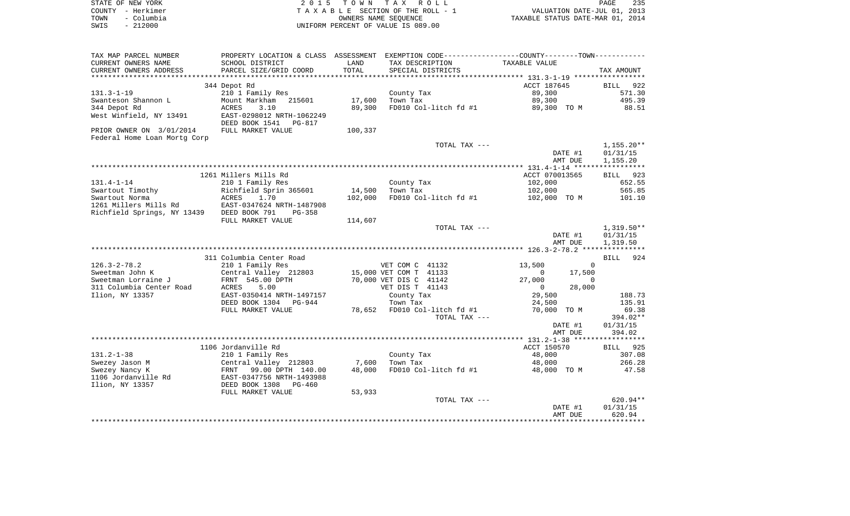| STATE OF NEW YORK  | 2015 TOWN TAX ROLL                 | 235<br><b>PAGE</b>               |
|--------------------|------------------------------------|----------------------------------|
| COUNTY - Herkimer  | TAXABLE SECTION OF THE ROLL - 1    | VALUATION DATE-JUL 01, 2013      |
| - Columbia<br>TOWN | OWNERS NAME SEOUENCE               | TAXABLE STATUS DATE-MAR 01, 2014 |
| - 212000<br>SWIS   | UNIFORM PERCENT OF VALUE IS 089.00 |                                  |

| TAX MAP PARCEL NUMBER                     |                                                       |         | PROPERTY LOCATION & CLASS ASSESSMENT EXEMPTION CODE---------------COUNTY-------TOWN---------- |                          |                                      |
|-------------------------------------------|-------------------------------------------------------|---------|-----------------------------------------------------------------------------------------------|--------------------------|--------------------------------------|
| CURRENT OWNERS NAME                       | SCHOOL DISTRICT                                       | LAND    | TAX DESCRIPTION                                                                               | TAXABLE VALUE            |                                      |
| CURRENT OWNERS ADDRESS                    | PARCEL SIZE/GRID COORD                                | TOTAL   | SPECIAL DISTRICTS                                                                             |                          | TAX AMOUNT                           |
|                                           |                                                       |         |                                                                                               |                          |                                      |
|                                           | 344 Depot Rd                                          |         |                                                                                               | ACCT 187645              | <b>BILL</b><br>922                   |
| $131.3 - 1 - 19$                          | 210 1 Family Res                                      |         | County Tax                                                                                    | 89,300                   | 571.30                               |
| Swanteson Shannon L                       | Mount Markham 215601                                  | 17,600  | Town Tax                                                                                      | 89,300                   | 495.39                               |
| 344 Depot Rd                              | ACRES<br>3.10                                         | 89,300  | FD010 Col-litch fd #1                                                                         | 89,300 TO M              | 88.51                                |
| West Winfield, NY 13491                   | EAST-0298012 NRTH-1062249<br>DEED BOOK 1541<br>PG-817 |         |                                                                                               |                          |                                      |
| PRIOR OWNER ON 3/01/2014                  | FULL MARKET VALUE                                     | 100,337 |                                                                                               |                          |                                      |
| Federal Home Loan Mortg Corp              |                                                       |         |                                                                                               |                          |                                      |
|                                           |                                                       |         | TOTAL TAX ---                                                                                 | DATE #1<br>AMT DUE       | $1,155.20**$<br>01/31/15<br>1,155.20 |
|                                           |                                                       |         |                                                                                               |                          |                                      |
|                                           | 1261 Millers Mills Rd                                 |         |                                                                                               | ACCT 070013565           | 923<br>BILL                          |
| $131.4 - 1 - 14$                          | 210 1 Family Res                                      |         | County Tax                                                                                    | 102,000                  | 652.55                               |
| Swartout Timothy                          | Richfield Sprin 365601                                | 14,500  | Town Tax                                                                                      | 102,000                  | 565.85                               |
| Swartout Norma                            | ACRES<br>1.70                                         | 102,000 | FD010 Col-litch fd #1                                                                         | 102,000 TO M             | 101.10                               |
| 1261 Millers Mills Rd                     | EAST-0347624 NRTH-1487908                             |         |                                                                                               |                          |                                      |
| Richfield Springs, NY 13439 DEED BOOK 791 | $PG-358$                                              |         |                                                                                               |                          |                                      |
|                                           | FULL MARKET VALUE                                     | 114,607 |                                                                                               |                          |                                      |
|                                           |                                                       |         | TOTAL TAX ---                                                                                 |                          | $1,319.50**$                         |
|                                           |                                                       |         |                                                                                               | DATE #1                  | 01/31/15                             |
|                                           |                                                       |         |                                                                                               | AMT DUE                  | 1,319.50                             |
|                                           |                                                       |         |                                                                                               |                          |                                      |
|                                           | 311 Columbia Center Road                              |         |                                                                                               |                          | 924<br>BILL                          |
| $126.3 - 2 - 78.2$                        | 210 1 Family Res                                      |         | VET COM C 41132                                                                               | 13,500<br>$\mathbf{0}$   |                                      |
| Sweetman John K                           | Central Valley 212803                                 |         | 15,000 VET COM T 41133                                                                        | 17,500<br>$\Omega$       |                                      |
| Sweetman Lorraine J                       | FRNT 545.00 DPTH                                      |         | 70,000 VET DIS C 41142                                                                        | 27,000<br>$\Omega$       |                                      |
| 311 Columbia Center Road                  | ACRES<br>5.00                                         |         | VET DIS T 41143                                                                               | 28,000<br>$\overline{0}$ |                                      |
| Ilion, NY 13357                           | EAST-0350414 NRTH-1497157                             |         | County Tax                                                                                    | 29,500                   | 188.73                               |
|                                           | DEED BOOK 1304 PG-944                                 |         | Town Tax                                                                                      | 24,500                   | 135.91                               |
|                                           | FULL MARKET VALUE                                     |         | 78,652 FD010 Col-litch fd #1                                                                  | 70,000 TO M              | 69.38                                |
|                                           |                                                       |         | TOTAL TAX ---                                                                                 |                          | 394.02**                             |
|                                           |                                                       |         |                                                                                               | DATE #1                  | 01/31/15                             |
|                                           |                                                       |         |                                                                                               | AMT DUE                  | 394.02                               |
|                                           |                                                       |         |                                                                                               |                          |                                      |
|                                           | 1106 Jordanville Rd                                   |         |                                                                                               | ACCT 150570              | 925<br>BILL                          |
| $131.2 - 1 - 38$                          | 210 1 Family Res                                      |         | County Tax                                                                                    | 48,000                   | 307.08                               |
| Swezey Jason M                            | Central Valley 212803                                 | 7,600   | Town Tax                                                                                      | 48,000                   | 266.28                               |
| Swezey Nancy K                            | FRNT 99.00 DPTH 140.00                                | 48,000  | FD010 Col-litch fd #1                                                                         | 48,000 TO M              | 47.58                                |
| 1106 Jordanville Rd                       | EAST-0347756 NRTH-1493988                             |         |                                                                                               |                          |                                      |
| Ilion, NY 13357                           | DEED BOOK 1308 PG-460                                 |         |                                                                                               |                          |                                      |
|                                           | FULL MARKET VALUE                                     | 53,933  |                                                                                               |                          |                                      |
|                                           |                                                       |         | TOTAL TAX ---                                                                                 |                          | $620.94**$                           |
|                                           |                                                       |         |                                                                                               | DATE #1                  | 01/31/15                             |
|                                           |                                                       |         |                                                                                               | AMT DUE                  | 620.94                               |
|                                           |                                                       |         |                                                                                               |                          |                                      |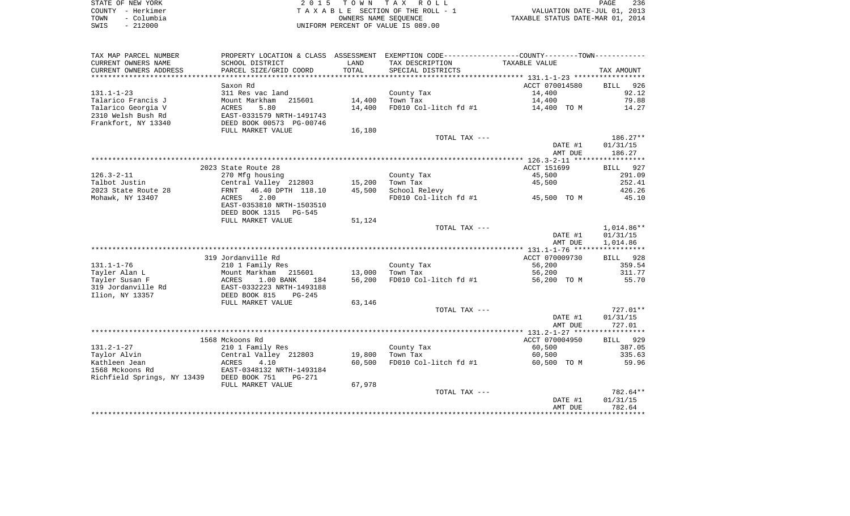| STATE OF NEW YORK |                   | 2015 TOWN TAX ROLL                 | 236<br>PAGE                      |
|-------------------|-------------------|------------------------------------|----------------------------------|
|                   | COUNTY - Herkimer | TAXABLE SECTION OF THE ROLL - 1    | VALUATION DATE-JUL 01, 2013      |
| TOWN              | – Columbia        | OWNERS NAME SEOUENCE               | TAXABLE STATUS DATE-MAR 01, 2014 |
| SWIS              | $-212000$         | UNIFORM PERCENT OF VALUE IS 089.00 |                                  |

| TAX MAP PARCEL NUMBER                     |                           |             | PROPERTY LOCATION & CLASS ASSESSMENT EXEMPTION CODE----------------COUNTY--------TOWN----------- |                |              |
|-------------------------------------------|---------------------------|-------------|--------------------------------------------------------------------------------------------------|----------------|--------------|
| CURRENT OWNERS NAME                       | SCHOOL DISTRICT           | LAND        | TAX DESCRIPTION                                                                                  | TAXABLE VALUE  |              |
| CURRENT OWNERS ADDRESS                    | PARCEL SIZE/GRID COORD    | TOTAL       | SPECIAL DISTRICTS                                                                                |                | TAX AMOUNT   |
|                                           |                           | *********** |                                                                                                  |                |              |
|                                           | Saxon Rd                  |             |                                                                                                  | ACCT 070014580 | BILL<br>926  |
| $131.1 - 1 - 23$                          | 311 Res vac land          |             | County Tax                                                                                       | 14,400         | 92.12        |
| Talarico Francis J                        | Mount Markham<br>215601   | 14,400      | Town Tax                                                                                         | 14,400         | 79.88        |
| Talarico Georgia V                        | 5.80<br>ACRES             | 14,400      | FD010 Col-litch fd #1                                                                            | 14,400 TO M    | 14.27        |
| 2310 Welsh Bush Rd                        | EAST-0331579 NRTH-1491743 |             |                                                                                                  |                |              |
| Frankfort, NY 13340                       | DEED BOOK 00573 PG-00746  |             |                                                                                                  |                |              |
|                                           | FULL MARKET VALUE         | 16,180      |                                                                                                  |                |              |
|                                           |                           |             | TOTAL TAX ---                                                                                    |                | 186.27**     |
|                                           |                           |             |                                                                                                  | DATE #1        | 01/31/15     |
|                                           |                           |             |                                                                                                  | AMT DUE        | 186.27       |
|                                           |                           |             |                                                                                                  |                |              |
|                                           | 2023 State Route 28       |             |                                                                                                  | ACCT 151699    | BILL 927     |
| $126.3 - 2 - 11$                          | 270 Mfg housing           |             | County Tax                                                                                       | 45,500         | 291.09       |
| Talbot Justin                             | Central Valley 212803     | 15,200      | Town Tax                                                                                         | 45,500         | 252.41       |
| 2023 State Route 28                       | 46.40 DPTH 118.10<br>FRNT | 45,500      | School Relevy                                                                                    |                | 426.26       |
| Mohawk, NY 13407                          | 2.00<br>ACRES             |             | FD010 Col-litch fd #1                                                                            | 45,500 TO M    | 45.10        |
|                                           | EAST-0353810 NRTH-1503510 |             |                                                                                                  |                |              |
|                                           | DEED BOOK 1315<br>PG-545  |             |                                                                                                  |                |              |
|                                           | FULL MARKET VALUE         | 51,124      |                                                                                                  |                |              |
|                                           |                           |             | TOTAL TAX ---                                                                                    |                | $1,014.86**$ |
|                                           |                           |             |                                                                                                  | DATE #1        | 01/31/15     |
|                                           |                           |             |                                                                                                  | AMT DUE        | 1,014.86     |
|                                           |                           |             |                                                                                                  |                |              |
|                                           | 319 Jordanville Rd        |             |                                                                                                  | ACCT 070009730 | BILL 928     |
| $131.1 - 1 - 76$                          | 210 1 Family Res          |             | County Tax                                                                                       | 56,200         | 359.54       |
| Tayler Alan L                             | Mount Markham<br>215601   | 13,000      | Town Tax                                                                                         | 56,200         | 311.77       |
| Tayler Susan F                            | 1.00 BANK<br>ACRES<br>184 | 56,200      | FD010 Col-litch fd #1                                                                            | 56,200 TO M    | 55.70        |
| 319 Jordanville Rd                        | EAST-0332223 NRTH-1493188 |             |                                                                                                  |                |              |
| Ilion, NY 13357                           | DEED BOOK 815<br>$PG-245$ |             |                                                                                                  |                |              |
|                                           | FULL MARKET VALUE         | 63,146      |                                                                                                  |                |              |
|                                           |                           |             | TOTAL TAX ---                                                                                    |                | $727.01**$   |
|                                           |                           |             |                                                                                                  | DATE #1        | 01/31/15     |
|                                           |                           |             |                                                                                                  | AMT DUE        | 727.01       |
|                                           |                           |             |                                                                                                  |                |              |
|                                           | 1568 Mckoons Rd           |             |                                                                                                  | ACCT 070004950 | BILL 929     |
| $131.2 - 1 - 27$                          | 210 1 Family Res          |             | County Tax                                                                                       | 60,500         | 387.05       |
| Taylor Alvin                              | Central Valley 212803     | 19,800      | Town Tax                                                                                         | 60,500         | 335.63       |
| Kathleen Jean                             | ACRES<br>4.10             | 60,500      | FD010 Col-litch fd #1                                                                            | 60,500 TO M    | 59.96        |
| 1568 Mckoons Rd                           | EAST-0348132 NRTH-1493184 |             |                                                                                                  |                |              |
| Richfield Springs, NY 13439 DEED BOOK 751 | $PG-271$                  |             |                                                                                                  |                |              |
|                                           | FULL MARKET VALUE         | 67,978      |                                                                                                  |                |              |
|                                           |                           |             | TOTAL TAX ---                                                                                    |                | 782.64**     |
|                                           |                           |             |                                                                                                  | DATE #1        | 01/31/15     |
|                                           |                           |             |                                                                                                  | AMT DUE        | 782.64       |
|                                           |                           |             |                                                                                                  |                |              |
|                                           |                           |             |                                                                                                  |                |              |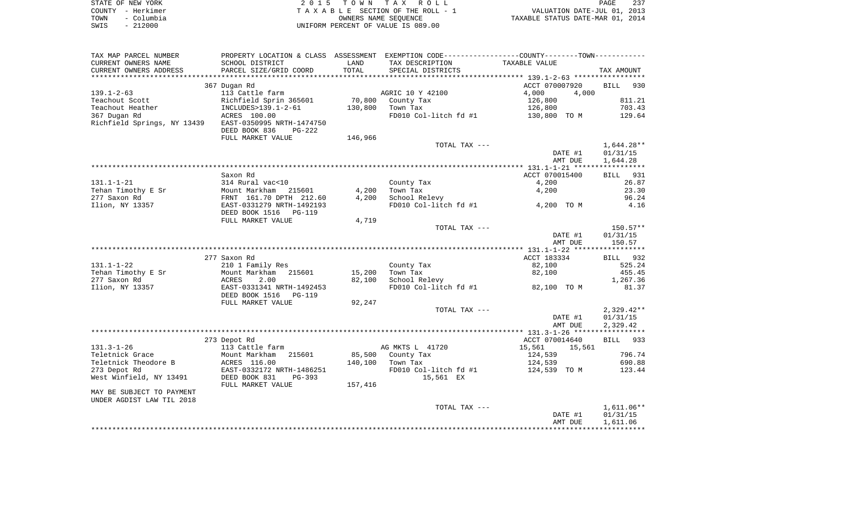| STATE OF NEW YORK  | 2015 TOWN TAX ROLL                    | 237<br>PAGE                      |
|--------------------|---------------------------------------|----------------------------------|
| COUNTY - Herkimer  | T A X A B L E SECTION OF THE ROLL - 1 | VALUATION DATE-JUL 01, 2013      |
| - Columbia<br>TOWN | OWNERS NAME SEOUENCE                  | TAXABLE STATUS DATE-MAR 01, 2014 |
| - 212000<br>SWIS   | UNIFORM PERCENT OF VALUE IS 089.00    |                                  |

| TAX MAP PARCEL NUMBER       |                                 |         | PROPERTY LOCATION & CLASS ASSESSMENT EXEMPTION CODE----------------COUNTY--------TOWN----------- |                  |                    |
|-----------------------------|---------------------------------|---------|--------------------------------------------------------------------------------------------------|------------------|--------------------|
| CURRENT OWNERS NAME         | SCHOOL DISTRICT                 | LAND    | TAX DESCRIPTION                                                                                  | TAXABLE VALUE    |                    |
| CURRENT OWNERS ADDRESS      | PARCEL SIZE/GRID COORD          | TOTAL   | SPECIAL DISTRICTS                                                                                |                  | TAX AMOUNT         |
|                             |                                 |         |                                                                                                  |                  |                    |
|                             | 367 Dugan Rd                    |         |                                                                                                  | ACCT 070007920   | <b>BILL</b><br>930 |
| $139.1 - 2 - 63$            | 113 Cattle farm                 |         | AGRIC 10 Y 42100                                                                                 | 4,000<br>4,000   |                    |
| Teachout Scott              | Richfield Sprin 365601          | 70,800  | County Tax                                                                                       | 126,800          | 811.21             |
| Teachout Heather            | INCLUDES>139.1-2-61             | 130,800 | Town Tax                                                                                         | 126,800          | 703.43             |
| 367 Dugan Rd                | ACRES 100.00                    |         | FD010 Col-litch fd #1                                                                            | 130,800 TO M     | 129.64             |
| Richfield Springs, NY 13439 | EAST-0350995 NRTH-1474750       |         |                                                                                                  |                  |                    |
|                             | DEED BOOK 836<br>$PG-222$       |         |                                                                                                  |                  |                    |
|                             | FULL MARKET VALUE               | 146,966 |                                                                                                  |                  |                    |
|                             |                                 |         | TOTAL TAX ---                                                                                    |                  | $1,644.28**$       |
|                             |                                 |         |                                                                                                  | DATE #1          | 01/31/15           |
|                             |                                 |         |                                                                                                  | AMT DUE          | 1,644.28           |
|                             |                                 |         |                                                                                                  |                  |                    |
|                             | Saxon Rd                        |         |                                                                                                  | ACCT 070015400   | BILL 931           |
| $131.1 - 1 - 21$            | 314 Rural vac<10                |         | County Tax                                                                                       | 4,200            | 26.87              |
| Tehan Timothy E Sr          | Mount Markham 215601            | 4,200   | Town Tax                                                                                         | 4,200            | 23.30              |
| 277 Saxon Rd                | FRNT 161.70 DPTH 212.60         | 4,200   | School Relevy                                                                                    |                  | 96.24              |
| Ilion, NY 13357             | EAST-0331279 NRTH-1492193       |         | FD010 Col-litch fd #1                                                                            | 4,200 TO M       | 4.16               |
|                             | DEED BOOK 1516<br><b>PG-119</b> |         |                                                                                                  |                  |                    |
|                             | FULL MARKET VALUE               | 4,719   |                                                                                                  |                  |                    |
|                             |                                 |         | TOTAL TAX ---                                                                                    |                  | $150.57**$         |
|                             |                                 |         |                                                                                                  | DATE #1          | 01/31/15           |
|                             |                                 |         |                                                                                                  | AMT DUE          | 150.57             |
|                             |                                 |         |                                                                                                  |                  |                    |
|                             | 277 Saxon Rd                    |         |                                                                                                  | ACCT 183334      | BILL 932           |
| $131.1 - 1 - 22$            | 210 1 Family Res                |         | County Tax                                                                                       | 82,100           | 525.24             |
| Tehan Timothy E Sr          | Mount Markham<br>215601         | 15,200  | Town Tax                                                                                         | 82,100           | 455.45             |
| 277 Saxon Rd                | ACRES<br>2.00                   | 82,100  | School Relevy                                                                                    |                  | 1,267.36           |
| Ilion, NY 13357             | EAST-0331341 NRTH-1492453       |         | FD010 Col-litch fd #1                                                                            | 82,100 TO M      | 81.37              |
|                             | DEED BOOK 1516<br><b>PG-119</b> |         |                                                                                                  |                  |                    |
|                             | FULL MARKET VALUE               | 92,247  |                                                                                                  |                  |                    |
|                             |                                 |         | TOTAL TAX ---                                                                                    |                  | $2,329.42**$       |
|                             |                                 |         |                                                                                                  | DATE #1          | 01/31/15           |
|                             |                                 |         |                                                                                                  | AMT DUE          | 2,329.42           |
|                             |                                 |         |                                                                                                  |                  |                    |
|                             | 273 Depot Rd                    |         |                                                                                                  | ACCT 070014640   | BILL 933           |
| $131.3 - 1 - 26$            | 113 Cattle farm                 |         | AG MKTS L 41720                                                                                  | 15,561<br>15,561 |                    |
| Teletnick Grace             | Mount Markham 215601            | 85,500  | County Tax                                                                                       | 124,539          | 796.74             |
| Teletnick Theodore B        | ACRES 116.00                    | 140,100 | Town Tax                                                                                         | 124,539          | 690.88             |
| 273 Depot Rd                | EAST-0332172 NRTH-1486251       |         | FD010 Col-litch fd #1                                                                            | 124,539 TO M     | 123.44             |
| West Winfield, NY 13491     | DEED BOOK 831<br>PG-393         |         | 15,561 EX                                                                                        |                  |                    |
|                             | FULL MARKET VALUE               | 157,416 |                                                                                                  |                  |                    |
| MAY BE SUBJECT TO PAYMENT   |                                 |         |                                                                                                  |                  |                    |
| UNDER AGDIST LAW TIL 2018   |                                 |         |                                                                                                  |                  |                    |
|                             |                                 |         | TOTAL TAX ---                                                                                    |                  | $1,611.06**$       |
|                             |                                 |         |                                                                                                  | DATE #1          | 01/31/15           |
|                             |                                 |         |                                                                                                  | AMT DUE          | 1,611.06           |
|                             |                                 |         |                                                                                                  |                  |                    |
|                             |                                 |         |                                                                                                  |                  |                    |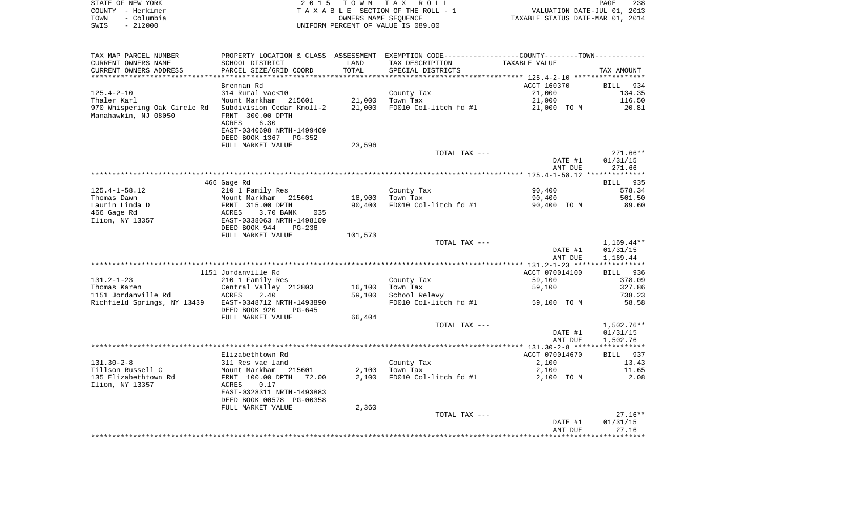|      | STATE OF NEW YORK | 2015 TOWN TAX ROLL                 | PAGE                             | 238 |
|------|-------------------|------------------------------------|----------------------------------|-----|
|      | COUNTY - Herkimer | TAXABLE SECTION OF THE ROLL - 1    | VALUATION DATE-JUL 01, 2013      |     |
| TOWN | – Columbia        | OWNERS NAME SEOUENCE               | TAXABLE STATUS DATE-MAR 01, 2014 |     |
| SWIS | $-212000$         | UNIFORM PERCENT OF VALUE IS 089.00 |                                  |     |

| TAX MAP PARCEL NUMBER                                 |                                                              |         |                       | PROPERTY LOCATION & CLASS ASSESSMENT EXEMPTION CODE---------------COUNTY--------TOWN---------- |              |
|-------------------------------------------------------|--------------------------------------------------------------|---------|-----------------------|------------------------------------------------------------------------------------------------|--------------|
| CURRENT OWNERS NAME                                   | SCHOOL DISTRICT                                              | LAND    | TAX DESCRIPTION       | TAXABLE VALUE                                                                                  |              |
| CURRENT OWNERS ADDRESS                                | PARCEL SIZE/GRID COORD                                       | TOTAL   | SPECIAL DISTRICTS     |                                                                                                | TAX AMOUNT   |
| ***********************                               |                                                              |         |                       |                                                                                                |              |
|                                                       | Brennan Rd                                                   |         |                       | ACCT 160370                                                                                    | BILL<br>934  |
| $125.4 - 2 - 10$                                      | 314 Rural vac<10                                             |         | County Tax            | 21,000                                                                                         | 134.35       |
| Thaler Karl                                           | Mount Markham 215601                                         | 21,000  | Town Tax              | 21,000                                                                                         | 116.50       |
| 970 Whispering Oak Circle Rd                          | Subdivision Cedar Knoll-2                                    | 21,000  | FD010 Col-litch fd #1 | 21,000 TO M                                                                                    | 20.81        |
| Manahawkin, NJ 08050                                  | FRNT 300.00 DPTH                                             |         |                       |                                                                                                |              |
|                                                       | ACRES<br>6.30                                                |         |                       |                                                                                                |              |
|                                                       | EAST-0340698 NRTH-1499469                                    |         |                       |                                                                                                |              |
|                                                       | DEED BOOK 1367 PG-352                                        |         |                       |                                                                                                |              |
|                                                       | FULL MARKET VALUE                                            | 23,596  |                       |                                                                                                |              |
|                                                       |                                                              |         | TOTAL TAX ---         |                                                                                                | $271.66**$   |
|                                                       |                                                              |         |                       | DATE #1                                                                                        | 01/31/15     |
|                                                       |                                                              |         |                       | AMT DUE                                                                                        | 271.66       |
|                                                       |                                                              |         |                       |                                                                                                |              |
|                                                       | 466 Gage Rd                                                  |         |                       |                                                                                                | BILL 935     |
| $125.4 - 1 - 58.12$                                   | 210 1 Family Res                                             |         | County Tax            | 90,400                                                                                         | 578.34       |
| Thomas Dawn                                           | Mount Markham 215601<br>Mount Markham 21<br>FRNT 315.00 DPTH | 18,900  | Town Tax              | 90,400                                                                                         | 501.50       |
| Laurin Linda D                                        |                                                              | 90,400  | FD010 Col-litch fd #1 | 90,400 TO M                                                                                    | 89.60        |
| 466 Gage Rd                                           | ACRES<br>3.70 BANK<br>035                                    |         |                       |                                                                                                |              |
| Ilion, NY 13357                                       | EAST-0338063 NRTH-1498109                                    |         |                       |                                                                                                |              |
|                                                       | DEED BOOK 944<br>PG-236                                      |         |                       |                                                                                                |              |
|                                                       | FULL MARKET VALUE                                            | 101,573 |                       |                                                                                                |              |
|                                                       |                                                              |         | TOTAL TAX ---         |                                                                                                | $1,169.44**$ |
|                                                       |                                                              |         |                       | DATE #1                                                                                        | 01/31/15     |
|                                                       |                                                              |         |                       | AMT DUE                                                                                        | 1,169.44     |
|                                                       |                                                              |         |                       |                                                                                                |              |
|                                                       | 1151 Jordanville Rd                                          |         |                       | ACCT 070014100                                                                                 | BILL 936     |
| $131.2 - 1 - 23$                                      | 210 1 Family Res                                             |         | County Tax            | 59,100                                                                                         | 378.09       |
| Thomas Karen                                          | Central Valley 212803                                        | 16,100  | Town Tax              | 59,100                                                                                         | 327.86       |
| 1151 Jordanville Rd                                   | <b>ACRES</b><br>2.40                                         | 59,100  | School Relevy         |                                                                                                | 738.23       |
| Richfield Springs, NY 13439 EAST-0348712 NRTH-1493890 |                                                              |         | FD010 Col-litch fd #1 | 59,100 TO M                                                                                    | 58.58        |
|                                                       | DEED BOOK 920<br>PG-645                                      |         |                       |                                                                                                |              |
|                                                       | FULL MARKET VALUE                                            | 66,404  |                       |                                                                                                |              |
|                                                       |                                                              |         | TOTAL TAX ---         |                                                                                                | 1,502.76**   |
|                                                       |                                                              |         |                       | DATE #1                                                                                        | 01/31/15     |
|                                                       |                                                              |         |                       | AMT DUE                                                                                        | 1,502.76     |
|                                                       |                                                              |         |                       |                                                                                                |              |
|                                                       | Elizabethtown Rd                                             |         |                       | ACCT 070014670                                                                                 | BILL 937     |
| $131.30 - 2 - 8$                                      | 311 Res vac land                                             |         | County Tax            | 2,100                                                                                          | 13.43        |
| Tillson Russell C                                     | Mount Markham 215601                                         | 2,100   | Town Tax              | 2,100                                                                                          | 11.65        |
| 135 Elizabethtown Rd                                  | FRNT 100.00 DPTH<br>72.00                                    | 2,100   | FD010 Col-litch fd #1 | 2,100 TO M                                                                                     | 2.08         |
| Ilion, NY 13357                                       | ACRES<br>0.17                                                |         |                       |                                                                                                |              |
|                                                       | EAST-0328311 NRTH-1493883                                    |         |                       |                                                                                                |              |
|                                                       | DEED BOOK 00578 PG-00358                                     |         |                       |                                                                                                |              |
|                                                       | FULL MARKET VALUE                                            | 2,360   |                       |                                                                                                |              |
|                                                       |                                                              |         | TOTAL TAX ---         |                                                                                                | $27.16**$    |
|                                                       |                                                              |         |                       | DATE #1                                                                                        | 01/31/15     |
|                                                       |                                                              |         |                       | AMT DUE                                                                                        | 27.16        |
|                                                       |                                                              |         |                       |                                                                                                |              |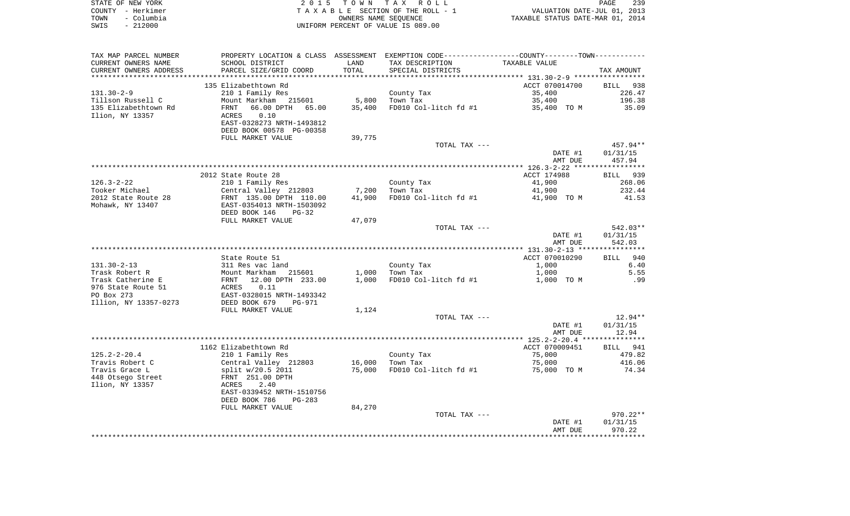|      | STATE OF NEW YORK | 2015 TOWN TAX ROLL                 | PAGE                             | 239 |
|------|-------------------|------------------------------------|----------------------------------|-----|
|      | COUNTY - Herkimer | TAXABLE SECTION OF THE ROLL - 1    | VALUATION DATE-JUL 01, 2013      |     |
| TOWN | - Columbia        | OWNERS NAME SEOUENCE               | TAXABLE STATUS DATE-MAR 01, 2014 |     |
| SWIS | $-212000$         | UNIFORM PERCENT OF VALUE IS 089.00 |                                  |     |

| TAX MAP PARCEL NUMBER  | PROPERTY LOCATION & CLASS ASSESSMENT EXEMPTION CODE---------------COUNTY-------TOWN---------- |                 |                       |                |            |
|------------------------|-----------------------------------------------------------------------------------------------|-----------------|-----------------------|----------------|------------|
| CURRENT OWNERS NAME    | SCHOOL DISTRICT                                                                               | LAND            | TAX DESCRIPTION       | TAXABLE VALUE  |            |
| CURRENT OWNERS ADDRESS | PARCEL SIZE/GRID COORD                                                                        | TOTAL           | SPECIAL DISTRICTS     |                | TAX AMOUNT |
|                        |                                                                                               |                 |                       |                |            |
|                        | 135 Elizabethtown Rd                                                                          |                 |                       | ACCT 070014700 | BILL 938   |
| $131.30 - 2 - 9$       | 210 1 Family Res                                                                              |                 | County Tax            | 35,400         | 226.47     |
| Tillson Russell C      | Mount Markham 215601                                                                          | 5,800           | Town Tax              | 35,400         | 196.38     |
| 135 Elizabethtown Rd   | 66.00 DPTH 65.00<br>FRNT                                                                      | 35,400          | FD010 Col-litch fd #1 | 35,400 TO M    | 35.09      |
| Ilion, NY 13357        | 0.10<br>ACRES                                                                                 |                 |                       |                |            |
|                        | EAST-0328273 NRTH-1493812                                                                     |                 |                       |                |            |
|                        |                                                                                               |                 |                       |                |            |
|                        | DEED BOOK 00578 PG-00358                                                                      |                 |                       |                |            |
|                        | FULL MARKET VALUE                                                                             | 39,775          |                       |                |            |
|                        |                                                                                               |                 | TOTAL TAX ---         |                | 457.94**   |
|                        |                                                                                               |                 |                       | DATE #1        | 01/31/15   |
|                        |                                                                                               |                 |                       | AMT DUE        | 457.94     |
|                        |                                                                                               |                 |                       |                |            |
|                        | 2012 State Route 28                                                                           |                 |                       | ACCT 174988    | BILL 939   |
| $126.3 - 2 - 22$       | 210 1 Family Res                                                                              |                 | County Tax            | 41,900         | 268.06     |
| Tooker Michael         | Central Valley 212803 7,200                                                                   |                 | Town Tax              | 41,900         | 232.44     |
| 2012 State Route 28    | FRNT 135.00 DPTH 110.00                                                                       | 41,900          | FD010 Col-litch fd #1 | 41,900 TO M    | 41.53      |
| Mohawk, NY 13407       | EAST-0354013 NRTH-1503092                                                                     |                 |                       |                |            |
|                        | DEED BOOK 146<br>$PG-32$                                                                      |                 |                       |                |            |
|                        | FULL MARKET VALUE                                                                             | 47,079          |                       |                |            |
|                        |                                                                                               |                 | TOTAL TAX ---         |                | 542.03**   |
|                        |                                                                                               |                 |                       |                |            |
|                        |                                                                                               |                 |                       | DATE #1        | 01/31/15   |
|                        |                                                                                               |                 |                       | AMT DUE        | 542.03     |
|                        |                                                                                               |                 |                       |                |            |
|                        | State Route 51                                                                                |                 |                       | ACCT 070010290 | BILL 940   |
| $131.30 - 2 - 13$      | 311 Res vac land                                                                              |                 | County Tax            | 1,000          | 6.40       |
| Trask Robert R         | Mount Markham 215601                                                                          |                 | 1,000 Town Tax        | 1,000          | 5.55       |
| Trask Catherine E      | FRNT 12.00 DPTH 233.00                                                                        | 1,000           | FD010 Col-litch fd #1 | 1,000 TO M     | .99        |
| 976 State Route 51     | 0.11<br>ACRES                                                                                 |                 |                       |                |            |
| PO Box 273             | EAST-0328015 NRTH-1493342                                                                     |                 |                       |                |            |
| Illion, NY 13357-0273  | DEED BOOK 679<br>PG-971                                                                       |                 |                       |                |            |
|                        | FULL MARKET VALUE                                                                             | 1,124           |                       |                |            |
|                        |                                                                                               |                 | TOTAL TAX ---         |                | $12.94**$  |
|                        |                                                                                               |                 |                       | DATE #1        | 01/31/15   |
|                        |                                                                                               |                 |                       | AMT DUE        | 12.94      |
|                        |                                                                                               |                 |                       |                |            |
|                        | 1162 Elizabethtown Rd                                                                         |                 |                       | ACCT 070009451 | BILL 941   |
| $125.2 - 2 - 20.4$     | 210 1 Family Res                                                                              |                 | County Tax            | 75,000         | 479.82     |
| Travis Robert C        | Central Valley 212803                                                                         | 16,000 Town Tax |                       | 75,000         | 416.06     |
| Travis Grace L         |                                                                                               | 75,000          | FD010 Col-litch fd #1 |                | 74.34      |
|                        | split w/20.5 2011                                                                             |                 |                       | 75,000 TO M    |            |
| 448 Otsego Street      | FRNT 251.00 DPTH                                                                              |                 |                       |                |            |
| Ilion, NY 13357        | 2.40<br>ACRES                                                                                 |                 |                       |                |            |
|                        | EAST-0339452 NRTH-1510756                                                                     |                 |                       |                |            |
|                        | DEED BOOK 786<br>PG-283                                                                       |                 |                       |                |            |
|                        | FULL MARKET VALUE                                                                             | 84,270          |                       |                |            |
|                        |                                                                                               |                 | TOTAL TAX ---         |                | 970.22**   |
|                        |                                                                                               |                 |                       | DATE #1        | 01/31/15   |
|                        |                                                                                               |                 |                       | AMT DUE        | 970.22     |
|                        |                                                                                               |                 |                       |                |            |
|                        |                                                                                               |                 |                       |                |            |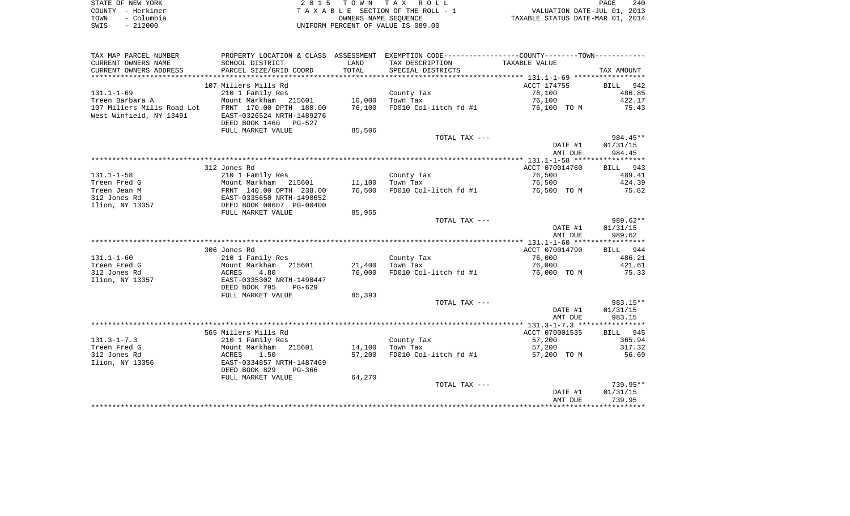| STATE OF NEW YORK  | 2015 TOWN TAX ROLL                 | 240<br>PAGE                      |
|--------------------|------------------------------------|----------------------------------|
| COUNTY - Herkimer  | TAXABLE SECTION OF THE ROLL - 1    | VALUATION DATE-JUL 01, 2013      |
| – Columbia<br>TOWN | OWNERS NAME SEOUENCE               | TAXABLE STATUS DATE-MAR 01, 2014 |
| - 212000<br>SWIS   | UNIFORM PERCENT OF VALUE IS 089.00 |                                  |

| TAX MAP PARCEL NUMBER                                 |                                                                               |        | PROPERTY LOCATION & CLASS ASSESSMENT EXEMPTION CODE---------------COUNTY-------TOWN---------- |                    |                    |
|-------------------------------------------------------|-------------------------------------------------------------------------------|--------|-----------------------------------------------------------------------------------------------|--------------------|--------------------|
| CURRENT OWNERS NAME                                   | SCHOOL DISTRICT                                                               | LAND   | TAX DESCRIPTION                                                                               | TAXABLE VALUE      |                    |
| CURRENT OWNERS ADDRESS                                | PARCEL SIZE/GRID COORD                                                        | TOTAL  | SPECIAL DISTRICTS                                                                             |                    | TAX AMOUNT         |
|                                                       |                                                                               |        |                                                                                               |                    |                    |
|                                                       | 107 Millers Mills Rd                                                          |        |                                                                                               | ACCT 174755        | BILL<br>942        |
| $131.1 - 1 - 69$                                      | 210 1 Family Res                                                              |        | County Tax                                                                                    | 76,100             | 486.85             |
| Treen Barbara A                                       | Mount Markham<br>215601                                                       | 10,000 | Town Tax                                                                                      | 76,100             | 422.17             |
| 107 Millers Mills Road Lot<br>West Winfield, NY 13491 | FRNT 170.00 DPTH 180.00<br>EAST-0326524 NRTH-1489276<br>DEED BOOK 1460 PG-527 | 76,100 | FD010 Col-litch fd #1                                                                         | 76,100 TO M        | 75.43              |
|                                                       | FULL MARKET VALUE                                                             | 85,506 |                                                                                               |                    |                    |
|                                                       |                                                                               |        | TOTAL TAX ---                                                                                 |                    | 984.45**           |
|                                                       |                                                                               |        |                                                                                               | DATE #1            | 01/31/15           |
|                                                       |                                                                               |        |                                                                                               | AMT DUE            | 984.45             |
|                                                       | 312 Jones Rd                                                                  |        |                                                                                               | ACCT 070014760     | BILL 943           |
| $131.1 - 1 - 58$                                      | 210 1 Family Res                                                              |        | County Tax                                                                                    | 76,500             | 489.41             |
| Treen Fred G                                          | Mount Markham 215601                                                          | 11,100 | Town Tax                                                                                      | 76,500             | 424.39             |
| Treen Jean M                                          | FRNT 140.00 DPTH 238.00                                                       | 76,500 | FD010 Col-litch fd #1                                                                         | 76,500 TO M        | 75.82              |
| 312 Jones Rd                                          | EAST-0335650 NRTH-1490652                                                     |        |                                                                                               |                    |                    |
| Ilion, NY 13357                                       | DEED BOOK 00607 PG-00400                                                      |        |                                                                                               |                    |                    |
|                                                       | FULL MARKET VALUE                                                             | 85,955 |                                                                                               |                    |                    |
|                                                       |                                                                               |        | TOTAL TAX ---                                                                                 |                    | 989.62**           |
|                                                       |                                                                               |        |                                                                                               | DATE #1            | 01/31/15           |
|                                                       |                                                                               |        |                                                                                               | AMT DUE            | 989.62             |
|                                                       |                                                                               |        |                                                                                               |                    |                    |
|                                                       | 306 Jones Rd                                                                  |        |                                                                                               | ACCT 070014790     | BILL 944           |
| $131.1 - 1 - 60$                                      | 210 1 Family Res                                                              |        | County Tax                                                                                    | 76,000             | 486.21             |
| Treen Fred G                                          | Mount Markham<br>215601                                                       | 21,400 | Town Tax                                                                                      | 76,000             | 421.61             |
| 312 Jones Rd<br>Ilion, NY 13357                       | 4.80<br>ACRES<br>EAST-0335302 NRTH-1490447<br>DEED BOOK 795<br>PG-629         | 76,000 | FD010 Col-litch fd #1                                                                         | 76,000 TO M        | 75.33              |
|                                                       | FULL MARKET VALUE                                                             | 85,393 |                                                                                               |                    |                    |
|                                                       |                                                                               |        | TOTAL TAX ---                                                                                 |                    | 983.15**           |
|                                                       |                                                                               |        |                                                                                               | DATE #1<br>AMT DUE | 01/31/15<br>983.15 |
|                                                       |                                                                               |        |                                                                                               |                    |                    |
|                                                       | 565 Millers Mills Rd                                                          |        |                                                                                               | ACCT 070001535     | 945<br>BILL        |
| $131.3 - 1 - 7.3$                                     | 210 1 Family Res                                                              |        | County Tax                                                                                    | 57,200             | 365.94             |
| Treen Fred G                                          | 215601<br>Mount Markham                                                       | 14,100 | Town Tax                                                                                      | 57,200             | 317.32             |
| 312 Jones Rd<br>Ilion, NY 13356                       | ACRES<br>1.50<br>EAST-0334857 NRTH-1487469<br>DEED BOOK 829<br>PG-366         | 57,200 | FD010 Col-litch fd #1                                                                         | 57,200 TO M        | 56.69              |
|                                                       | FULL MARKET VALUE                                                             | 64,270 |                                                                                               |                    |                    |
|                                                       |                                                                               |        | TOTAL TAX ---                                                                                 |                    | $739.95**$         |
|                                                       |                                                                               |        |                                                                                               | DATE #1            | 01/31/15           |
|                                                       |                                                                               |        |                                                                                               | AMT DUE            | 739.95             |
|                                                       |                                                                               |        |                                                                                               |                    |                    |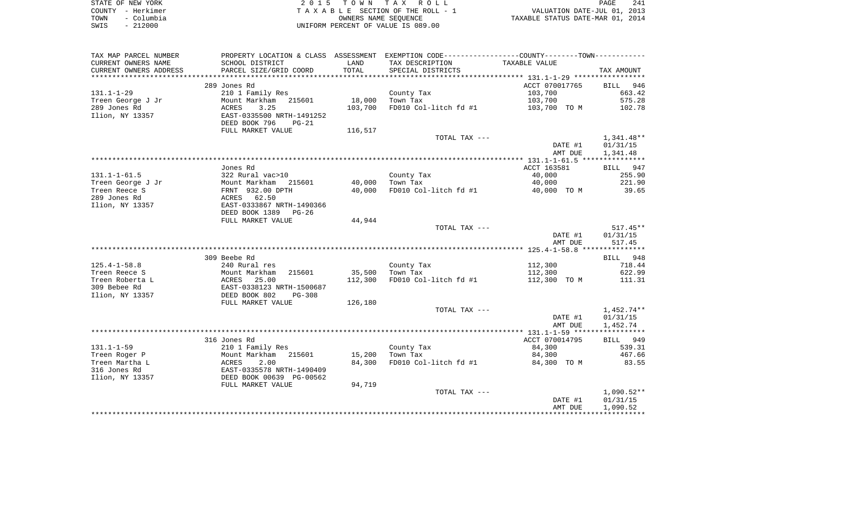|      | STATE OF NEW YORK | 2015 TOWN TAX ROLL                 | <b>PAGE</b>                      | 241 |
|------|-------------------|------------------------------------|----------------------------------|-----|
|      | COUNTY - Herkimer | TAXABLE SECTION OF THE ROLL - 1    | VALUATION DATE-JUL 01, 2013      |     |
| TOWN | - Columbia        | OWNERS NAME SEOUENCE               | TAXABLE STATUS DATE-MAR 01, 2014 |     |
| SWIS | $-212000$         | UNIFORM PERCENT OF VALUE IS 089.00 |                                  |     |

| TAX MAP PARCEL NUMBER  |                                                       |         | PROPERTY LOCATION & CLASS ASSESSMENT EXEMPTION CODE----------------COUNTY--------TOWN---------- |                |              |
|------------------------|-------------------------------------------------------|---------|-------------------------------------------------------------------------------------------------|----------------|--------------|
| CURRENT OWNERS NAME    | SCHOOL DISTRICT                                       | LAND    | TAX DESCRIPTION                                                                                 | TAXABLE VALUE  |              |
| CURRENT OWNERS ADDRESS | PARCEL SIZE/GRID COORD                                | TOTAL   | SPECIAL DISTRICTS                                                                               |                | TAX AMOUNT   |
| *****************      | **************************                            |         |                                                                                                 |                |              |
|                        | 289 Jones Rd                                          |         |                                                                                                 | ACCT 070017765 | BILL 946     |
| $131.1 - 1 - 29$       | 210 1 Family Res                                      |         | County Tax                                                                                      | 103,700        | 663.42       |
| Treen George J Jr      | Mount Markham 215601                                  | 18,000  | Town Tax                                                                                        | 103,700        | 575.28       |
| 289 Jones Rd           | 3.25<br>ACRES                                         | 103,700 | FD010 Col-litch fd #1                                                                           | 103,700 TO M   | 102.78       |
| Ilion, NY 13357        | EAST-0335500 NRTH-1491252<br>DEED BOOK 796<br>$PG-21$ |         |                                                                                                 |                |              |
|                        | FULL MARKET VALUE                                     | 116,517 |                                                                                                 |                |              |
|                        |                                                       |         | TOTAL TAX ---                                                                                   |                | 1,341.48**   |
|                        |                                                       |         |                                                                                                 | DATE #1        | 01/31/15     |
|                        |                                                       |         |                                                                                                 | AMT DUE        | 1,341.48     |
|                        |                                                       |         |                                                                                                 |                |              |
|                        | Jones Rd                                              |         |                                                                                                 | ACCT 163581    | BILL 947     |
| $131.1 - 1 - 61.5$     | 322 Rural vac>10                                      |         | County Tax                                                                                      | 40,000         | 255.90       |
| Treen George J Jr      | Mount Markham 215601                                  | 40,000  | Town Tax                                                                                        | 40,000         | 221.90       |
| Treen Reece S          | FRNT 932.00 DPTH                                      | 40,000  | FD010 Col-litch fd #1                                                                           | 40,000 TO M    | 39.65        |
| 289 Jones Rd           | ACRES 62.50                                           |         |                                                                                                 |                |              |
| Ilion, NY 13357        | EAST-0333867 NRTH-1490366                             |         |                                                                                                 |                |              |
|                        | DEED BOOK 1389<br>PG-26                               | 44,944  |                                                                                                 |                |              |
|                        | FULL MARKET VALUE                                     |         | TOTAL TAX ---                                                                                   |                | $517.45**$   |
|                        |                                                       |         |                                                                                                 | DATE #1        | 01/31/15     |
|                        |                                                       |         |                                                                                                 | AMT DUE        | 517.45       |
|                        |                                                       |         |                                                                                                 |                |              |
|                        | 309 Beebe Rd                                          |         |                                                                                                 |                | BILL 948     |
| $125.4 - 1 - 58.8$     | 240 Rural res                                         |         | County Tax                                                                                      | 112,300        | 718.44       |
| Treen Reece S          | Mount Markham<br>215601                               | 35,500  | Town Tax                                                                                        | 112,300        | 622.99       |
| Treen Roberta L        | 25.00<br>ACRES                                        | 112,300 | FD010 Col-litch fd #1                                                                           | 112,300 TO M   | 111.31       |
| 309 Bebee Rd           | EAST-0338123 NRTH-1500687                             |         |                                                                                                 |                |              |
| Ilion, NY 13357        | DEED BOOK 802<br><b>PG-308</b>                        |         |                                                                                                 |                |              |
|                        | FULL MARKET VALUE                                     | 126,180 |                                                                                                 |                |              |
|                        |                                                       |         | TOTAL TAX ---                                                                                   |                | 1,452.74**   |
|                        |                                                       |         |                                                                                                 | DATE #1        | 01/31/15     |
|                        |                                                       |         |                                                                                                 | AMT DUE        | 1,452.74     |
|                        |                                                       |         |                                                                                                 |                |              |
|                        | 316 Jones Rd                                          |         |                                                                                                 | ACCT 070014795 | BILL 949     |
| $131.1 - 1 - 59$       | 210 1 Family Res                                      |         | County Tax                                                                                      | 84,300         | 539.31       |
| Treen Roger P          | Mount Markham 215601                                  | 15,200  | Town Tax                                                                                        | 84,300         | 467.66       |
| Treen Martha L         | ACRES<br>2.00                                         | 84,300  | FD010 Col-litch fd #1                                                                           | 84,300 TO M    | 83.55        |
| 316 Jones Rd           | ACRES<br>EAST-0335578 NRTH-1490409<br>Casar Do 00562  |         |                                                                                                 |                |              |
| Ilion, NY 13357        | DEED BOOK 00639 PG-00562                              |         |                                                                                                 |                |              |
|                        | FULL MARKET VALUE                                     | 94,719  |                                                                                                 |                |              |
|                        |                                                       |         | TOTAL TAX ---                                                                                   |                | $1,090.52**$ |
|                        |                                                       |         |                                                                                                 | DATE #1        | 01/31/15     |
|                        |                                                       |         |                                                                                                 | AMT DUE        | 1,090.52     |
|                        |                                                       |         |                                                                                                 |                |              |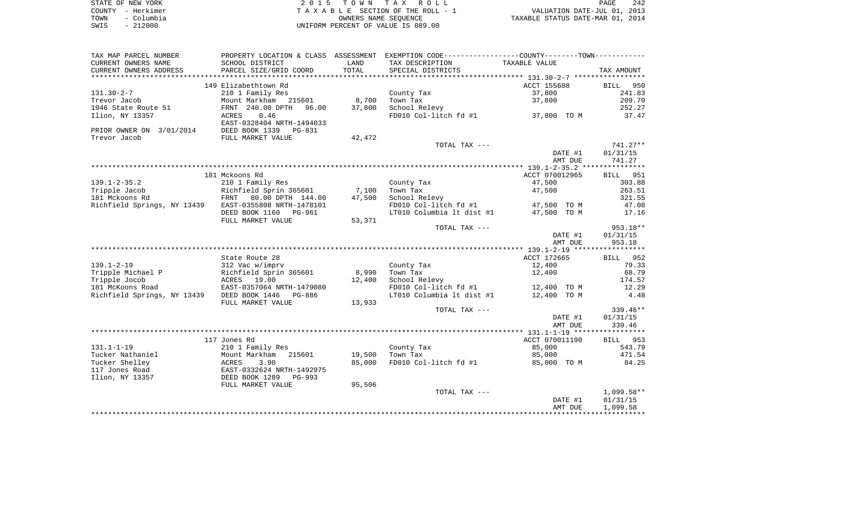|      | STATE OF NEW YORK | 2015 TOWN TAX ROLL                 | 242<br>PAGE                      |  |
|------|-------------------|------------------------------------|----------------------------------|--|
|      | COUNTY - Herkimer | TAXABLE SECTION OF THE ROLL - 1    | VALUATION DATE-JUL 01, 2013      |  |
| TOWN | - Columbia        | OWNERS NAME SEOUENCE               | TAXABLE STATUS DATE-MAR 01, 2014 |  |
| SWIS | - 212000          | UNIFORM PERCENT OF VALUE IS 089.00 |                                  |  |

| TAXABLE VALUE<br>CURRENT OWNERS NAME<br>SCHOOL DISTRICT<br>LAND<br>TAX DESCRIPTION<br>TOTAL<br>CURRENT OWNERS ADDRESS<br>PARCEL SIZE/GRID COORD<br>SPECIAL DISTRICTS<br>TAX AMOUNT<br>149 Elizabethtown Rd<br>ACCT 155688<br>BILL<br>950<br>210 1 Family Res<br>County Tax<br>37,800<br>241.83<br>Mount Markham 215601<br>8,700<br>Town Tax<br>37,800<br>209.70<br>FRNT 240.00 DPTH<br>37,800<br>School Relevy<br>252.27<br>96.00<br>37,800 TO M<br>0.46<br>FD010 Col-litch fd #1<br>37.47<br>Ilion, NY 13357<br>ACRES<br>EAST-0328404 NRTH-1494033<br>PRIOR OWNER ON 3/01/2014<br>DEED BOOK 1339<br>PG-831<br>Trevor Jacob<br>FULL MARKET VALUE<br>42,472<br>$741.27**$<br>TOTAL TAX ---<br>01/31/15<br>DATE #1<br>AMT DUE<br>741.27<br>ACCT 070012965<br>181 Mckoons Rd<br>BILL<br>951<br>$139.1 - 2 - 35.2$<br>210 1 Family Res<br>47,500<br>303.88<br>County Tax<br>Richfield Sprin 365601<br>263.51<br>Tripple Jacob<br>7,100<br>Town Tax<br>47,500<br>181 Mckoons Rd<br>FRNT 80.00 DPTH 144.00<br>47,500<br>School Relevy<br>321.55<br>FD010 Col-litch fd #1<br>47.08<br>Richfield Springs, NY 13439<br>EAST-0355808 NRTH-1478101<br>47,500 TO M<br>LT010 Columbia lt dist #1<br>47,500 TO M<br>DEED BOOK 1160<br><b>PG-961</b><br>17.16<br>53,371<br>FULL MARKET VALUE<br>$953.18**$<br>TOTAL TAX ---<br>DATE #1<br>01/31/15<br>953.18<br>AMT DUE<br>State Route 28<br>ACCT 172665<br>BILL 952<br>$139.1 - 2 - 19$<br>312 Vac w/imprv<br>County Tax<br>12,400<br>79.33<br>Tripple Michael P<br>Richfield Sprin 365601<br>8,990<br>Town Tax<br>68.79<br>12,400<br>Tripple Jocob<br>ACRES<br>19.00<br>12,400<br>School Relevy<br>174.57<br>181 McKoons Road<br>EAST-0357064 NRTH-1479080<br>FD010 Col-litch fd #1<br>12,400 TO M<br>12.29<br>Richfield Springs, NY 13439<br>DEED BOOK 1446<br>LT010 Columbia lt dist #1<br>12,400 TO M<br>4.48<br>PG-886<br>FULL MARKET VALUE<br>13,933<br>TOTAL TAX ---<br>$339.46**$<br>01/31/15<br>DATE #1<br>339.46<br>AMT DUE<br>ACCT 070011190<br>117 Jones Rd<br>BILL 953<br>$131.1 - 1 - 19$<br>210 1 Family Res<br>County Tax<br>85,000<br>543.79<br>Tucker Nathaniel<br>Mount Markham 215601<br>19,500<br>Town Tax<br>85,000<br>471.54<br>Tucker Shelley<br>85,000<br>FD010 Col-litch fd #1<br>84.25<br>ACRES<br>3.90<br>85,000 TO M<br>EAST-0332624 NRTH-1492975<br>117 Jones Road<br>DEED BOOK 1289<br>PG-993<br>95,506<br>FULL MARKET VALUE<br>$1,099.58**$<br>TOTAL TAX ---<br>DATE #1<br>01/31/15<br>AMT DUE<br>1,099.58 | TAX MAP PARCEL NUMBER | PROPERTY LOCATION & CLASS ASSESSMENT | EXEMPTION CODE-----------------COUNTY--------TOWN----------- |  |
|------------------------------------------------------------------------------------------------------------------------------------------------------------------------------------------------------------------------------------------------------------------------------------------------------------------------------------------------------------------------------------------------------------------------------------------------------------------------------------------------------------------------------------------------------------------------------------------------------------------------------------------------------------------------------------------------------------------------------------------------------------------------------------------------------------------------------------------------------------------------------------------------------------------------------------------------------------------------------------------------------------------------------------------------------------------------------------------------------------------------------------------------------------------------------------------------------------------------------------------------------------------------------------------------------------------------------------------------------------------------------------------------------------------------------------------------------------------------------------------------------------------------------------------------------------------------------------------------------------------------------------------------------------------------------------------------------------------------------------------------------------------------------------------------------------------------------------------------------------------------------------------------------------------------------------------------------------------------------------------------------------------------------------------------------------------------------------------------------------------------------------------------------------------------------------------------------------------------------------------------------------------------------------------------------------------------------------------------------------------------------------------------------------------------------------------------------------------------------|-----------------------|--------------------------------------|--------------------------------------------------------------|--|
|                                                                                                                                                                                                                                                                                                                                                                                                                                                                                                                                                                                                                                                                                                                                                                                                                                                                                                                                                                                                                                                                                                                                                                                                                                                                                                                                                                                                                                                                                                                                                                                                                                                                                                                                                                                                                                                                                                                                                                                                                                                                                                                                                                                                                                                                                                                                                                                                                                                                              |                       |                                      |                                                              |  |
|                                                                                                                                                                                                                                                                                                                                                                                                                                                                                                                                                                                                                                                                                                                                                                                                                                                                                                                                                                                                                                                                                                                                                                                                                                                                                                                                                                                                                                                                                                                                                                                                                                                                                                                                                                                                                                                                                                                                                                                                                                                                                                                                                                                                                                                                                                                                                                                                                                                                              |                       |                                      |                                                              |  |
|                                                                                                                                                                                                                                                                                                                                                                                                                                                                                                                                                                                                                                                                                                                                                                                                                                                                                                                                                                                                                                                                                                                                                                                                                                                                                                                                                                                                                                                                                                                                                                                                                                                                                                                                                                                                                                                                                                                                                                                                                                                                                                                                                                                                                                                                                                                                                                                                                                                                              |                       |                                      |                                                              |  |
|                                                                                                                                                                                                                                                                                                                                                                                                                                                                                                                                                                                                                                                                                                                                                                                                                                                                                                                                                                                                                                                                                                                                                                                                                                                                                                                                                                                                                                                                                                                                                                                                                                                                                                                                                                                                                                                                                                                                                                                                                                                                                                                                                                                                                                                                                                                                                                                                                                                                              |                       |                                      |                                                              |  |
|                                                                                                                                                                                                                                                                                                                                                                                                                                                                                                                                                                                                                                                                                                                                                                                                                                                                                                                                                                                                                                                                                                                                                                                                                                                                                                                                                                                                                                                                                                                                                                                                                                                                                                                                                                                                                                                                                                                                                                                                                                                                                                                                                                                                                                                                                                                                                                                                                                                                              | $131.30 - 2 - 7$      |                                      |                                                              |  |
|                                                                                                                                                                                                                                                                                                                                                                                                                                                                                                                                                                                                                                                                                                                                                                                                                                                                                                                                                                                                                                                                                                                                                                                                                                                                                                                                                                                                                                                                                                                                                                                                                                                                                                                                                                                                                                                                                                                                                                                                                                                                                                                                                                                                                                                                                                                                                                                                                                                                              | Trevor Jacob          |                                      |                                                              |  |
|                                                                                                                                                                                                                                                                                                                                                                                                                                                                                                                                                                                                                                                                                                                                                                                                                                                                                                                                                                                                                                                                                                                                                                                                                                                                                                                                                                                                                                                                                                                                                                                                                                                                                                                                                                                                                                                                                                                                                                                                                                                                                                                                                                                                                                                                                                                                                                                                                                                                              | 1946 State Route 51   |                                      |                                                              |  |
|                                                                                                                                                                                                                                                                                                                                                                                                                                                                                                                                                                                                                                                                                                                                                                                                                                                                                                                                                                                                                                                                                                                                                                                                                                                                                                                                                                                                                                                                                                                                                                                                                                                                                                                                                                                                                                                                                                                                                                                                                                                                                                                                                                                                                                                                                                                                                                                                                                                                              |                       |                                      |                                                              |  |
|                                                                                                                                                                                                                                                                                                                                                                                                                                                                                                                                                                                                                                                                                                                                                                                                                                                                                                                                                                                                                                                                                                                                                                                                                                                                                                                                                                                                                                                                                                                                                                                                                                                                                                                                                                                                                                                                                                                                                                                                                                                                                                                                                                                                                                                                                                                                                                                                                                                                              |                       |                                      |                                                              |  |
|                                                                                                                                                                                                                                                                                                                                                                                                                                                                                                                                                                                                                                                                                                                                                                                                                                                                                                                                                                                                                                                                                                                                                                                                                                                                                                                                                                                                                                                                                                                                                                                                                                                                                                                                                                                                                                                                                                                                                                                                                                                                                                                                                                                                                                                                                                                                                                                                                                                                              |                       |                                      |                                                              |  |
|                                                                                                                                                                                                                                                                                                                                                                                                                                                                                                                                                                                                                                                                                                                                                                                                                                                                                                                                                                                                                                                                                                                                                                                                                                                                                                                                                                                                                                                                                                                                                                                                                                                                                                                                                                                                                                                                                                                                                                                                                                                                                                                                                                                                                                                                                                                                                                                                                                                                              |                       |                                      |                                                              |  |
|                                                                                                                                                                                                                                                                                                                                                                                                                                                                                                                                                                                                                                                                                                                                                                                                                                                                                                                                                                                                                                                                                                                                                                                                                                                                                                                                                                                                                                                                                                                                                                                                                                                                                                                                                                                                                                                                                                                                                                                                                                                                                                                                                                                                                                                                                                                                                                                                                                                                              |                       |                                      |                                                              |  |
|                                                                                                                                                                                                                                                                                                                                                                                                                                                                                                                                                                                                                                                                                                                                                                                                                                                                                                                                                                                                                                                                                                                                                                                                                                                                                                                                                                                                                                                                                                                                                                                                                                                                                                                                                                                                                                                                                                                                                                                                                                                                                                                                                                                                                                                                                                                                                                                                                                                                              |                       |                                      |                                                              |  |
|                                                                                                                                                                                                                                                                                                                                                                                                                                                                                                                                                                                                                                                                                                                                                                                                                                                                                                                                                                                                                                                                                                                                                                                                                                                                                                                                                                                                                                                                                                                                                                                                                                                                                                                                                                                                                                                                                                                                                                                                                                                                                                                                                                                                                                                                                                                                                                                                                                                                              |                       |                                      |                                                              |  |
|                                                                                                                                                                                                                                                                                                                                                                                                                                                                                                                                                                                                                                                                                                                                                                                                                                                                                                                                                                                                                                                                                                                                                                                                                                                                                                                                                                                                                                                                                                                                                                                                                                                                                                                                                                                                                                                                                                                                                                                                                                                                                                                                                                                                                                                                                                                                                                                                                                                                              |                       |                                      |                                                              |  |
|                                                                                                                                                                                                                                                                                                                                                                                                                                                                                                                                                                                                                                                                                                                                                                                                                                                                                                                                                                                                                                                                                                                                                                                                                                                                                                                                                                                                                                                                                                                                                                                                                                                                                                                                                                                                                                                                                                                                                                                                                                                                                                                                                                                                                                                                                                                                                                                                                                                                              |                       |                                      |                                                              |  |
|                                                                                                                                                                                                                                                                                                                                                                                                                                                                                                                                                                                                                                                                                                                                                                                                                                                                                                                                                                                                                                                                                                                                                                                                                                                                                                                                                                                                                                                                                                                                                                                                                                                                                                                                                                                                                                                                                                                                                                                                                                                                                                                                                                                                                                                                                                                                                                                                                                                                              |                       |                                      |                                                              |  |
|                                                                                                                                                                                                                                                                                                                                                                                                                                                                                                                                                                                                                                                                                                                                                                                                                                                                                                                                                                                                                                                                                                                                                                                                                                                                                                                                                                                                                                                                                                                                                                                                                                                                                                                                                                                                                                                                                                                                                                                                                                                                                                                                                                                                                                                                                                                                                                                                                                                                              |                       |                                      |                                                              |  |
|                                                                                                                                                                                                                                                                                                                                                                                                                                                                                                                                                                                                                                                                                                                                                                                                                                                                                                                                                                                                                                                                                                                                                                                                                                                                                                                                                                                                                                                                                                                                                                                                                                                                                                                                                                                                                                                                                                                                                                                                                                                                                                                                                                                                                                                                                                                                                                                                                                                                              |                       |                                      |                                                              |  |
|                                                                                                                                                                                                                                                                                                                                                                                                                                                                                                                                                                                                                                                                                                                                                                                                                                                                                                                                                                                                                                                                                                                                                                                                                                                                                                                                                                                                                                                                                                                                                                                                                                                                                                                                                                                                                                                                                                                                                                                                                                                                                                                                                                                                                                                                                                                                                                                                                                                                              |                       |                                      |                                                              |  |
|                                                                                                                                                                                                                                                                                                                                                                                                                                                                                                                                                                                                                                                                                                                                                                                                                                                                                                                                                                                                                                                                                                                                                                                                                                                                                                                                                                                                                                                                                                                                                                                                                                                                                                                                                                                                                                                                                                                                                                                                                                                                                                                                                                                                                                                                                                                                                                                                                                                                              |                       |                                      |                                                              |  |
|                                                                                                                                                                                                                                                                                                                                                                                                                                                                                                                                                                                                                                                                                                                                                                                                                                                                                                                                                                                                                                                                                                                                                                                                                                                                                                                                                                                                                                                                                                                                                                                                                                                                                                                                                                                                                                                                                                                                                                                                                                                                                                                                                                                                                                                                                                                                                                                                                                                                              |                       |                                      |                                                              |  |
|                                                                                                                                                                                                                                                                                                                                                                                                                                                                                                                                                                                                                                                                                                                                                                                                                                                                                                                                                                                                                                                                                                                                                                                                                                                                                                                                                                                                                                                                                                                                                                                                                                                                                                                                                                                                                                                                                                                                                                                                                                                                                                                                                                                                                                                                                                                                                                                                                                                                              |                       |                                      |                                                              |  |
|                                                                                                                                                                                                                                                                                                                                                                                                                                                                                                                                                                                                                                                                                                                                                                                                                                                                                                                                                                                                                                                                                                                                                                                                                                                                                                                                                                                                                                                                                                                                                                                                                                                                                                                                                                                                                                                                                                                                                                                                                                                                                                                                                                                                                                                                                                                                                                                                                                                                              |                       |                                      |                                                              |  |
|                                                                                                                                                                                                                                                                                                                                                                                                                                                                                                                                                                                                                                                                                                                                                                                                                                                                                                                                                                                                                                                                                                                                                                                                                                                                                                                                                                                                                                                                                                                                                                                                                                                                                                                                                                                                                                                                                                                                                                                                                                                                                                                                                                                                                                                                                                                                                                                                                                                                              |                       |                                      |                                                              |  |
|                                                                                                                                                                                                                                                                                                                                                                                                                                                                                                                                                                                                                                                                                                                                                                                                                                                                                                                                                                                                                                                                                                                                                                                                                                                                                                                                                                                                                                                                                                                                                                                                                                                                                                                                                                                                                                                                                                                                                                                                                                                                                                                                                                                                                                                                                                                                                                                                                                                                              |                       |                                      |                                                              |  |
|                                                                                                                                                                                                                                                                                                                                                                                                                                                                                                                                                                                                                                                                                                                                                                                                                                                                                                                                                                                                                                                                                                                                                                                                                                                                                                                                                                                                                                                                                                                                                                                                                                                                                                                                                                                                                                                                                                                                                                                                                                                                                                                                                                                                                                                                                                                                                                                                                                                                              |                       |                                      |                                                              |  |
|                                                                                                                                                                                                                                                                                                                                                                                                                                                                                                                                                                                                                                                                                                                                                                                                                                                                                                                                                                                                                                                                                                                                                                                                                                                                                                                                                                                                                                                                                                                                                                                                                                                                                                                                                                                                                                                                                                                                                                                                                                                                                                                                                                                                                                                                                                                                                                                                                                                                              |                       |                                      |                                                              |  |
|                                                                                                                                                                                                                                                                                                                                                                                                                                                                                                                                                                                                                                                                                                                                                                                                                                                                                                                                                                                                                                                                                                                                                                                                                                                                                                                                                                                                                                                                                                                                                                                                                                                                                                                                                                                                                                                                                                                                                                                                                                                                                                                                                                                                                                                                                                                                                                                                                                                                              |                       |                                      |                                                              |  |
|                                                                                                                                                                                                                                                                                                                                                                                                                                                                                                                                                                                                                                                                                                                                                                                                                                                                                                                                                                                                                                                                                                                                                                                                                                                                                                                                                                                                                                                                                                                                                                                                                                                                                                                                                                                                                                                                                                                                                                                                                                                                                                                                                                                                                                                                                                                                                                                                                                                                              |                       |                                      |                                                              |  |
|                                                                                                                                                                                                                                                                                                                                                                                                                                                                                                                                                                                                                                                                                                                                                                                                                                                                                                                                                                                                                                                                                                                                                                                                                                                                                                                                                                                                                                                                                                                                                                                                                                                                                                                                                                                                                                                                                                                                                                                                                                                                                                                                                                                                                                                                                                                                                                                                                                                                              |                       |                                      |                                                              |  |
|                                                                                                                                                                                                                                                                                                                                                                                                                                                                                                                                                                                                                                                                                                                                                                                                                                                                                                                                                                                                                                                                                                                                                                                                                                                                                                                                                                                                                                                                                                                                                                                                                                                                                                                                                                                                                                                                                                                                                                                                                                                                                                                                                                                                                                                                                                                                                                                                                                                                              |                       |                                      |                                                              |  |
|                                                                                                                                                                                                                                                                                                                                                                                                                                                                                                                                                                                                                                                                                                                                                                                                                                                                                                                                                                                                                                                                                                                                                                                                                                                                                                                                                                                                                                                                                                                                                                                                                                                                                                                                                                                                                                                                                                                                                                                                                                                                                                                                                                                                                                                                                                                                                                                                                                                                              |                       |                                      |                                                              |  |
|                                                                                                                                                                                                                                                                                                                                                                                                                                                                                                                                                                                                                                                                                                                                                                                                                                                                                                                                                                                                                                                                                                                                                                                                                                                                                                                                                                                                                                                                                                                                                                                                                                                                                                                                                                                                                                                                                                                                                                                                                                                                                                                                                                                                                                                                                                                                                                                                                                                                              |                       |                                      |                                                              |  |
|                                                                                                                                                                                                                                                                                                                                                                                                                                                                                                                                                                                                                                                                                                                                                                                                                                                                                                                                                                                                                                                                                                                                                                                                                                                                                                                                                                                                                                                                                                                                                                                                                                                                                                                                                                                                                                                                                                                                                                                                                                                                                                                                                                                                                                                                                                                                                                                                                                                                              |                       |                                      |                                                              |  |
|                                                                                                                                                                                                                                                                                                                                                                                                                                                                                                                                                                                                                                                                                                                                                                                                                                                                                                                                                                                                                                                                                                                                                                                                                                                                                                                                                                                                                                                                                                                                                                                                                                                                                                                                                                                                                                                                                                                                                                                                                                                                                                                                                                                                                                                                                                                                                                                                                                                                              |                       |                                      |                                                              |  |
|                                                                                                                                                                                                                                                                                                                                                                                                                                                                                                                                                                                                                                                                                                                                                                                                                                                                                                                                                                                                                                                                                                                                                                                                                                                                                                                                                                                                                                                                                                                                                                                                                                                                                                                                                                                                                                                                                                                                                                                                                                                                                                                                                                                                                                                                                                                                                                                                                                                                              |                       |                                      |                                                              |  |
|                                                                                                                                                                                                                                                                                                                                                                                                                                                                                                                                                                                                                                                                                                                                                                                                                                                                                                                                                                                                                                                                                                                                                                                                                                                                                                                                                                                                                                                                                                                                                                                                                                                                                                                                                                                                                                                                                                                                                                                                                                                                                                                                                                                                                                                                                                                                                                                                                                                                              |                       |                                      |                                                              |  |
|                                                                                                                                                                                                                                                                                                                                                                                                                                                                                                                                                                                                                                                                                                                                                                                                                                                                                                                                                                                                                                                                                                                                                                                                                                                                                                                                                                                                                                                                                                                                                                                                                                                                                                                                                                                                                                                                                                                                                                                                                                                                                                                                                                                                                                                                                                                                                                                                                                                                              |                       |                                      |                                                              |  |
|                                                                                                                                                                                                                                                                                                                                                                                                                                                                                                                                                                                                                                                                                                                                                                                                                                                                                                                                                                                                                                                                                                                                                                                                                                                                                                                                                                                                                                                                                                                                                                                                                                                                                                                                                                                                                                                                                                                                                                                                                                                                                                                                                                                                                                                                                                                                                                                                                                                                              |                       |                                      |                                                              |  |
|                                                                                                                                                                                                                                                                                                                                                                                                                                                                                                                                                                                                                                                                                                                                                                                                                                                                                                                                                                                                                                                                                                                                                                                                                                                                                                                                                                                                                                                                                                                                                                                                                                                                                                                                                                                                                                                                                                                                                                                                                                                                                                                                                                                                                                                                                                                                                                                                                                                                              |                       |                                      |                                                              |  |
|                                                                                                                                                                                                                                                                                                                                                                                                                                                                                                                                                                                                                                                                                                                                                                                                                                                                                                                                                                                                                                                                                                                                                                                                                                                                                                                                                                                                                                                                                                                                                                                                                                                                                                                                                                                                                                                                                                                                                                                                                                                                                                                                                                                                                                                                                                                                                                                                                                                                              |                       |                                      |                                                              |  |
|                                                                                                                                                                                                                                                                                                                                                                                                                                                                                                                                                                                                                                                                                                                                                                                                                                                                                                                                                                                                                                                                                                                                                                                                                                                                                                                                                                                                                                                                                                                                                                                                                                                                                                                                                                                                                                                                                                                                                                                                                                                                                                                                                                                                                                                                                                                                                                                                                                                                              |                       |                                      |                                                              |  |
|                                                                                                                                                                                                                                                                                                                                                                                                                                                                                                                                                                                                                                                                                                                                                                                                                                                                                                                                                                                                                                                                                                                                                                                                                                                                                                                                                                                                                                                                                                                                                                                                                                                                                                                                                                                                                                                                                                                                                                                                                                                                                                                                                                                                                                                                                                                                                                                                                                                                              | Ilion, NY 13357       |                                      |                                                              |  |
|                                                                                                                                                                                                                                                                                                                                                                                                                                                                                                                                                                                                                                                                                                                                                                                                                                                                                                                                                                                                                                                                                                                                                                                                                                                                                                                                                                                                                                                                                                                                                                                                                                                                                                                                                                                                                                                                                                                                                                                                                                                                                                                                                                                                                                                                                                                                                                                                                                                                              |                       |                                      |                                                              |  |
|                                                                                                                                                                                                                                                                                                                                                                                                                                                                                                                                                                                                                                                                                                                                                                                                                                                                                                                                                                                                                                                                                                                                                                                                                                                                                                                                                                                                                                                                                                                                                                                                                                                                                                                                                                                                                                                                                                                                                                                                                                                                                                                                                                                                                                                                                                                                                                                                                                                                              |                       |                                      |                                                              |  |
|                                                                                                                                                                                                                                                                                                                                                                                                                                                                                                                                                                                                                                                                                                                                                                                                                                                                                                                                                                                                                                                                                                                                                                                                                                                                                                                                                                                                                                                                                                                                                                                                                                                                                                                                                                                                                                                                                                                                                                                                                                                                                                                                                                                                                                                                                                                                                                                                                                                                              |                       |                                      |                                                              |  |
|                                                                                                                                                                                                                                                                                                                                                                                                                                                                                                                                                                                                                                                                                                                                                                                                                                                                                                                                                                                                                                                                                                                                                                                                                                                                                                                                                                                                                                                                                                                                                                                                                                                                                                                                                                                                                                                                                                                                                                                                                                                                                                                                                                                                                                                                                                                                                                                                                                                                              |                       |                                      |                                                              |  |
|                                                                                                                                                                                                                                                                                                                                                                                                                                                                                                                                                                                                                                                                                                                                                                                                                                                                                                                                                                                                                                                                                                                                                                                                                                                                                                                                                                                                                                                                                                                                                                                                                                                                                                                                                                                                                                                                                                                                                                                                                                                                                                                                                                                                                                                                                                                                                                                                                                                                              |                       |                                      |                                                              |  |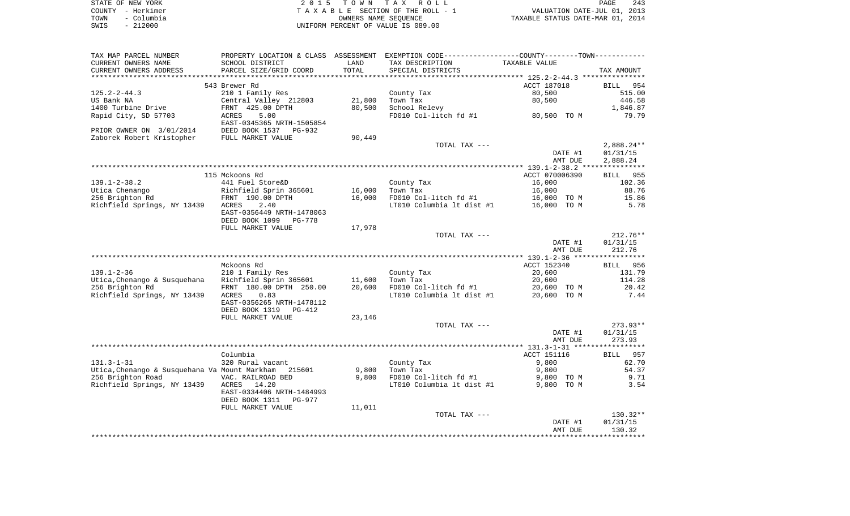|      | STATE OF NEW YORK | 2015 TOWN TAX ROLL                 | 243<br>PAGE                      |
|------|-------------------|------------------------------------|----------------------------------|
|      | COUNTY - Herkimer | TAXABLE SECTION OF THE ROLL - 1    | VALUATION DATE-JUL 01, 2013      |
| TOWN | - Columbia        | OWNERS NAME SEOUENCE               | TAXABLE STATUS DATE-MAR 01, 2014 |
| SWIS | $-212000$         | UNIFORM PERCENT OF VALUE IS 089.00 |                                  |

| TAX MAP PARCEL NUMBER                         |                           |        | PROPERTY LOCATION & CLASS ASSESSMENT EXEMPTION CODE---------------COUNTY-------TOWN---------- |                                                  |                    |
|-----------------------------------------------|---------------------------|--------|-----------------------------------------------------------------------------------------------|--------------------------------------------------|--------------------|
| CURRENT OWNERS NAME                           | SCHOOL DISTRICT           | LAND   | TAX DESCRIPTION                                                                               | TAXABLE VALUE                                    |                    |
| CURRENT OWNERS ADDRESS                        | PARCEL SIZE/GRID COORD    | TOTAL  | SPECIAL DISTRICTS                                                                             |                                                  | TAX AMOUNT         |
|                                               |                           |        |                                                                                               | ******************* 125.2-2-44.3 *************** |                    |
|                                               | 543 Brewer Rd             |        |                                                                                               | ACCT 187018                                      | BILL 954           |
| $125.2 - 2 - 44.3$                            | 210 1 Family Res          |        | County Tax                                                                                    | 80,500                                           | 515.00             |
| US Bank NA                                    | Central Valley 212803     | 21,800 | Town Tax                                                                                      | 80,500                                           | 446.58             |
| 1400 Turbine Drive                            | FRNT 425.00 DPTH          | 80,500 | School Relevy                                                                                 |                                                  | 1,846.87           |
|                                               |                           |        |                                                                                               |                                                  |                    |
| Rapid City, SD 57703                          | 5.00<br>ACRES             |        | FD010 Col-litch fd #1                                                                         | 80,500 TO M                                      | 79.79              |
|                                               | EAST-0345365 NRTH-1505854 |        |                                                                                               |                                                  |                    |
| PRIOR OWNER ON 3/01/2014                      | DEED BOOK 1537 PG-932     |        |                                                                                               |                                                  |                    |
| Zaborek Robert Kristopher                     | FULL MARKET VALUE         | 90,449 |                                                                                               |                                                  |                    |
|                                               |                           |        | TOTAL TAX ---                                                                                 |                                                  | $2,888.24**$       |
|                                               |                           |        |                                                                                               | DATE #1                                          | 01/31/15           |
|                                               |                           |        |                                                                                               | AMT DUE                                          | 2,888.24           |
|                                               |                           |        |                                                                                               |                                                  |                    |
|                                               | 115 Mckoons Rd            |        |                                                                                               | ACCT 070006390                                   | 955<br>BILL        |
| $139.1 - 2 - 38.2$                            | 441 Fuel Store&D          |        | County Tax                                                                                    | 16,000                                           | 102.36             |
| Utica Chenango                                | Richfield Sprin 365601    | 16,000 | Town Tax                                                                                      | 16,000                                           | 88.76              |
| 256 Brighton Rd                               | FRNT 190.00 DPTH          | 16,000 | FD010 Col-litch fd #1                                                                         | 16,000 TO M                                      | 15.86              |
|                                               |                           |        |                                                                                               |                                                  | 5.78               |
| Richfield Springs, NY 13439                   | ACRES<br>2.40             |        | LT010 Columbia lt dist #1                                                                     | 16,000 TO M                                      |                    |
|                                               | EAST-0356449 NRTH-1478063 |        |                                                                                               |                                                  |                    |
|                                               | DEED BOOK 1099<br>PG-778  |        |                                                                                               |                                                  |                    |
|                                               | FULL MARKET VALUE         | 17,978 |                                                                                               |                                                  |                    |
|                                               |                           |        | TOTAL TAX ---                                                                                 |                                                  | $212.76**$         |
|                                               |                           |        |                                                                                               | DATE #1                                          | 01/31/15           |
|                                               |                           |        |                                                                                               | AMT DUE                                          | 212.76             |
|                                               |                           |        |                                                                                               |                                                  |                    |
|                                               | Mckoons Rd                |        |                                                                                               | ACCT 152340                                      | 956<br><b>BILL</b> |
| $139.1 - 2 - 36$                              | 210 1 Family Res          |        | County Tax                                                                                    | 20,600                                           | 131.79             |
| Utica, Chenango & Susquehana                  | Richfield Sprin 365601    | 11,600 | Town Tax                                                                                      | 20,600                                           | 114.28             |
| 256 Brighton Rd                               | FRNT 180.00 DPTH 250.00   | 20,600 | FD010 Col-litch fd #1                                                                         | 20,600 TO M                                      | 20.42              |
| Richfield Springs, NY 13439                   | ACRES<br>0.83             |        | LT010 Columbia 1t dist #1                                                                     | 20,600 TO M                                      | 7.44               |
|                                               | EAST-0356265 NRTH-1478112 |        |                                                                                               |                                                  |                    |
|                                               |                           |        |                                                                                               |                                                  |                    |
|                                               | DEED BOOK 1319<br>PG-412  |        |                                                                                               |                                                  |                    |
|                                               | FULL MARKET VALUE         | 23,146 |                                                                                               |                                                  |                    |
|                                               |                           |        | TOTAL TAX ---                                                                                 |                                                  | $273.93**$         |
|                                               |                           |        |                                                                                               | DATE #1                                          | 01/31/15           |
|                                               |                           |        |                                                                                               | AMT DUE                                          | 273.93             |
|                                               |                           |        |                                                                                               |                                                  |                    |
|                                               | Columbia                  |        |                                                                                               | ACCT 151116                                      | BILL 957           |
| $131.3 - 1 - 31$                              | 320 Rural vacant          |        | County Tax                                                                                    | 9,800                                            | 62.70              |
| Utica, Chenango & Susquehana Va Mount Markham | 215601                    | 9,800  | Town Tax                                                                                      | 9,800                                            | 54.37              |
| 256 Brighton Road                             | VAC. RAILROAD BED         | 9,800  | FD010 Col-litch fd #1                                                                         | 9,800 TO M                                       | 9.71               |
| Richfield Springs, NY 13439                   | ACRES<br>14.20            |        | LT010 Columbia lt dist #1                                                                     | 9,800 TO M                                       | 3.54               |
|                                               | EAST-0334406 NRTH-1484993 |        |                                                                                               |                                                  |                    |
|                                               |                           |        |                                                                                               |                                                  |                    |
|                                               | DEED BOOK 1311<br>PG-977  |        |                                                                                               |                                                  |                    |
|                                               | FULL MARKET VALUE         | 11,011 |                                                                                               |                                                  |                    |
|                                               |                           |        | TOTAL TAX ---                                                                                 |                                                  | 130.32**           |
|                                               |                           |        |                                                                                               | DATE #1                                          | 01/31/15           |
|                                               |                           |        |                                                                                               | AMT DUE                                          | 130.32             |
|                                               |                           |        |                                                                                               |                                                  |                    |
|                                               |                           |        |                                                                                               |                                                  |                    |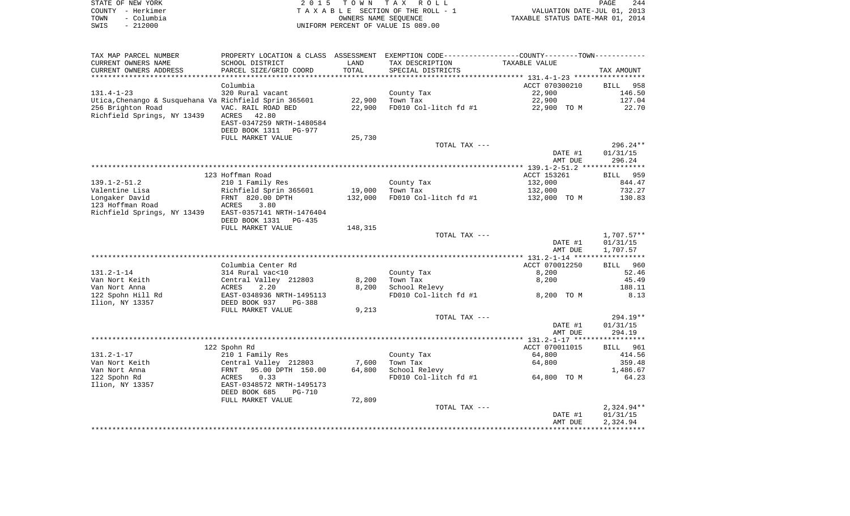|      | STATE OF NEW YORK | 2015 TOWN TAX ROLL                 | PAGE                             | 244 |
|------|-------------------|------------------------------------|----------------------------------|-----|
|      | COUNTY - Herkimer | TAXABLE SECTION OF THE ROLL - 1    | VALUATION DATE-JUL 01, 2013      |     |
| TOWN | – Columbia        | OWNERS NAME SEOUENCE               | TAXABLE STATUS DATE-MAR 01, 2014 |     |
| SWIS | $-212000$         | UNIFORM PERCENT OF VALUE IS 089.00 |                                  |     |

| TAX MAP PARCEL NUMBER                                  |                                |         | PROPERTY LOCATION & CLASS ASSESSMENT EXEMPTION CODE---------------COUNTY-------TOWN---------- |                |                    |
|--------------------------------------------------------|--------------------------------|---------|-----------------------------------------------------------------------------------------------|----------------|--------------------|
| CURRENT OWNERS NAME                                    | SCHOOL DISTRICT                | LAND    | TAX DESCRIPTION                                                                               | TAXABLE VALUE  |                    |
| CURRENT OWNERS ADDRESS                                 | PARCEL SIZE/GRID COORD         | TOTAL   | SPECIAL DISTRICTS                                                                             |                | TAX AMOUNT         |
| *********************                                  | ********************           |         |                                                                                               |                |                    |
|                                                        | Columbia                       |         |                                                                                               | ACCT 070300210 | <b>BILL</b><br>958 |
| $131.4 - 1 - 23$                                       | 320 Rural vacant               |         | County Tax                                                                                    | 22,900         | 146.50             |
| Utica, Chenango & Susquehana Va Richfield Sprin 365601 |                                | 22,900  | Town Tax                                                                                      | 22,900         | 127.04             |
| 256 Brighton Road                                      | VAC. RAIL ROAD BED             | 22,900  | FD010 Col-litch fd #1                                                                         | 22,900 TO M    | 22.70              |
| Richfield Springs, NY 13439                            | ACRES<br>42.80                 |         |                                                                                               |                |                    |
|                                                        | EAST-0347259 NRTH-1480584      |         |                                                                                               |                |                    |
|                                                        | DEED BOOK 1311<br>PG-977       |         |                                                                                               |                |                    |
|                                                        | FULL MARKET VALUE              | 25,730  |                                                                                               |                |                    |
|                                                        |                                |         | TOTAL TAX ---                                                                                 |                | $296.24**$         |
|                                                        |                                |         |                                                                                               | DATE #1        | 01/31/15           |
|                                                        |                                |         |                                                                                               | AMT DUE        | 296.24             |
|                                                        |                                |         |                                                                                               |                |                    |
|                                                        | 123 Hoffman Road               |         |                                                                                               | ACCT 153261    | BILL 959           |
| $139.1 - 2 - 51.2$                                     | 210 1 Family Res               |         | County Tax                                                                                    | 132,000        | 844.47             |
| Valentine Lisa                                         | Richfield Sprin 365601         | 19,000  | Town Tax                                                                                      | 132,000        | 732.27             |
| Longaker David                                         | FRNT 820.00 DPTH               | 132,000 | FD010 Col-litch fd #1                                                                         | 132,000 TO M   | 130.83             |
| 123 Hoffman Road                                       | ACRES<br>3.80                  |         |                                                                                               |                |                    |
| Richfield Springs, NY 13439                            | EAST-0357141 NRTH-1476404      |         |                                                                                               |                |                    |
|                                                        | DEED BOOK 1331<br>PG-435       |         |                                                                                               |                |                    |
|                                                        | FULL MARKET VALUE              | 148,315 |                                                                                               |                |                    |
|                                                        |                                |         | TOTAL TAX ---                                                                                 |                | $1,707.57**$       |
|                                                        |                                |         |                                                                                               | DATE #1        | 01/31/15           |
|                                                        |                                |         |                                                                                               | AMT DUE        | 1,707.57           |
|                                                        | Columbia Center Rd             |         |                                                                                               | ACCT 070012250 | 960<br>BILL        |
| $131.2 - 1 - 14$                                       | 314 Rural vac<10               |         | County Tax                                                                                    | 8,200          | 52.46              |
| Van Nort Keith                                         | Central Valley 212803          | 8,200   | Town Tax                                                                                      | 8,200          | 45.49              |
| Van Nort Anna                                          | 2.20<br>ACRES                  | 8,200   | School Relevy                                                                                 |                | 188.11             |
| 122 Spohn Hill Rd                                      | EAST-0348936 NRTH-1495113      |         | FD010 Col-litch fd #1                                                                         | 8,200 TO M     | 8.13               |
| Ilion, NY 13357                                        | DEED BOOK 937<br>$PG-388$      |         |                                                                                               |                |                    |
|                                                        | FULL MARKET VALUE              | 9,213   |                                                                                               |                |                    |
|                                                        |                                |         | TOTAL TAX ---                                                                                 |                | 294.19**           |
|                                                        |                                |         |                                                                                               | DATE #1        | 01/31/15           |
|                                                        |                                |         |                                                                                               | AMT DUE        | 294.19             |
|                                                        |                                |         |                                                                                               |                |                    |
|                                                        | 122 Spohn Rd                   |         |                                                                                               | ACCT 070011015 | BILL<br>961        |
| $131.2 - 1 - 17$                                       | 210 1 Family Res               |         | County Tax                                                                                    | 64,800         | 414.56             |
| Van Nort Keith                                         | Central Valley 212803          | 7,600   | Town Tax                                                                                      | 64,800         | 359.48             |
| Van Nort Anna                                          | 95.00 DPTH 150.00<br>FRNT      | 64,800  | School Relevy                                                                                 |                | 1,486.67           |
| 122 Spohn Rd                                           | 0.33<br>ACRES                  |         | FD010 Col-litch fd #1                                                                         | 64,800 TO M    | 64.23              |
| Ilion, NY 13357                                        | EAST-0348572 NRTH-1495173      |         |                                                                                               |                |                    |
|                                                        | DEED BOOK 685<br><b>PG-710</b> |         |                                                                                               |                |                    |
|                                                        | FULL MARKET VALUE              | 72,809  |                                                                                               |                |                    |
|                                                        |                                |         | TOTAL TAX ---                                                                                 |                | 2,324.94**         |
|                                                        |                                |         |                                                                                               | DATE #1        | 01/31/15           |
|                                                        |                                |         |                                                                                               | AMT DUE        | 2,324.94           |
|                                                        |                                |         |                                                                                               |                |                    |
|                                                        |                                |         |                                                                                               |                |                    |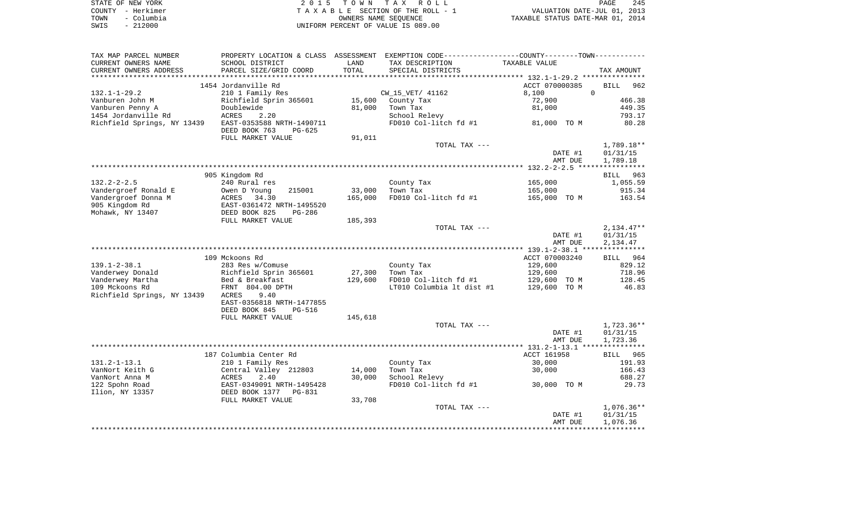|      | STATE OF NEW YORK | 2015 TOWN TAX ROLL                 | PAGE                             | 245 |
|------|-------------------|------------------------------------|----------------------------------|-----|
|      | COUNTY - Herkimer | TAXABLE SECTION OF THE ROLL - 1    | VALUATION DATE-JUL 01, 2013      |     |
| TOWN | - Columbia        | OWNERS NAME SEOUENCE               | TAXABLE STATUS DATE-MAR 01, 2014 |     |
| SWIS | $-212000$         | UNIFORM PERCENT OF VALUE IS 089.00 |                                  |     |

| TAX MAP PARCEL NUMBER       |                                                        |         | PROPERTY LOCATION & CLASS ASSESSMENT EXEMPTION CODE---------------COUNTY-------TOWN---------- |                                                |                    |
|-----------------------------|--------------------------------------------------------|---------|-----------------------------------------------------------------------------------------------|------------------------------------------------|--------------------|
| CURRENT OWNERS NAME         | SCHOOL DISTRICT                                        | LAND    | TAX DESCRIPTION                                                                               | TAXABLE VALUE                                  |                    |
| CURRENT OWNERS ADDRESS      | PARCEL SIZE/GRID COORD                                 | TOTAL   | SPECIAL DISTRICTS                                                                             |                                                | TAX AMOUNT         |
|                             |                                                        |         |                                                                                               | ***************** 132.1-1-29.2 *************** |                    |
|                             | 1454 Jordanville Rd                                    |         |                                                                                               | ACCT 070000385                                 | <b>BILL</b><br>962 |
| $132.1 - 1 - 29.2$          | 210 1 Family Res                                       |         | CW_15_VET/ 41162                                                                              | 8,100                                          | $\Omega$           |
| Vanburen John M             | Richfield Sprin 365601                                 | 15,600  | County Tax                                                                                    | 72,900                                         | 466.38             |
| Vanburen Penny A            | Doublewide                                             | 81,000  | Town Tax                                                                                      |                                                | 449.35             |
|                             |                                                        |         |                                                                                               | 81,000                                         |                    |
| 1454 Jordanville Rd         | ACRES<br>2.20                                          |         | School Relevy                                                                                 |                                                | 793.17             |
| Richfield Springs, NY 13439 | EAST-0353588 NRTH-1490711<br>DEED BOOK 763<br>$PG-625$ |         | FD010 Col-litch fd #1                                                                         | 81,000 TO M                                    | 80.28              |
|                             | FULL MARKET VALUE                                      | 91,011  |                                                                                               |                                                |                    |
|                             |                                                        |         | TOTAL TAX ---                                                                                 |                                                | 1,789.18**         |
|                             |                                                        |         |                                                                                               | DATE #1                                        | 01/31/15           |
|                             |                                                        |         |                                                                                               | AMT DUE                                        | 1,789.18           |
|                             |                                                        |         |                                                                                               |                                                |                    |
|                             | 905 Kingdom Rd                                         |         |                                                                                               |                                                | BILL 963           |
|                             |                                                        |         |                                                                                               |                                                |                    |
| $132.2 - 2 - 2.5$           | 240 Rural res                                          |         | County Tax                                                                                    | 165,000                                        | 1,055.59           |
| Vandergroef Ronald E        | Owen D Young<br>215001                                 | 33,000  | Town Tax                                                                                      | 165,000                                        | 915.34             |
| Vandergroef Donna M         | ACRES 34.30                                            | 165,000 | FD010 Col-litch fd #1                                                                         | 165,000 TO M                                   | 163.54             |
| 905 Kingdom Rd              | EAST-0361472 NRTH-1495520                              |         |                                                                                               |                                                |                    |
| Mohawk, NY 13407            | DEED BOOK 825<br>$PG-286$                              |         |                                                                                               |                                                |                    |
|                             | FULL MARKET VALUE                                      | 185,393 |                                                                                               |                                                |                    |
|                             |                                                        |         | TOTAL TAX ---                                                                                 |                                                | $2,134.47**$       |
|                             |                                                        |         |                                                                                               | DATE #1                                        | 01/31/15           |
|                             |                                                        |         |                                                                                               | AMT DUE                                        | 2,134.47           |
|                             |                                                        |         |                                                                                               |                                                |                    |
|                             | 109 Mckoons Rd                                         |         |                                                                                               | ACCT 070003240                                 | BILL 964           |
| $139.1 - 2 - 38.1$          | 283 Res w/Comuse                                       |         | County Tax                                                                                    | 129,600                                        | 829.12             |
| Vanderwey Donald            | Richfield Sprin 365601                                 | 27,300  | Town Tax                                                                                      | 129,600                                        | 718.96             |
|                             |                                                        |         |                                                                                               |                                                |                    |
| Vanderwey Martha            | Bed & Breakfast                                        | 129,600 | FD010 Col-litch fd #1                                                                         | 129,600 TO M                                   | 128.45             |
| 109 Mckoons Rd              | FRNT 804.00 DPTH                                       |         | LT010 Columbia 1t dist #1                                                                     | 129,600 TO M                                   | 46.83              |
| Richfield Springs, NY 13439 | ACRES<br>9.40                                          |         |                                                                                               |                                                |                    |
|                             | EAST-0356818 NRTH-1477855                              |         |                                                                                               |                                                |                    |
|                             | DEED BOOK 845<br><b>PG-516</b>                         |         |                                                                                               |                                                |                    |
|                             | FULL MARKET VALUE                                      | 145,618 |                                                                                               |                                                |                    |
|                             |                                                        |         | TOTAL TAX ---                                                                                 |                                                | 1,723.36**         |
|                             |                                                        |         |                                                                                               | DATE #1                                        | 01/31/15           |
|                             |                                                        |         |                                                                                               | AMT DUE                                        | 1,723.36           |
|                             |                                                        |         |                                                                                               |                                                |                    |
|                             | 187 Columbia Center Rd                                 |         |                                                                                               | ACCT 161958                                    | BILL 965           |
| $131.2 - 1 - 13.1$          | 210 1 Family Res                                       |         | County Tax                                                                                    | 30,000                                         | 191.93             |
| VanNort Keith G             | Central Valley 212803                                  | 14,000  | Town Tax                                                                                      | 30,000                                         | 166.43             |
|                             |                                                        |         |                                                                                               |                                                |                    |
| VanNort Anna M              | ACRES<br>2.40                                          | 30,000  | School Relevy                                                                                 |                                                | 688.27             |
| 122 Spohn Road              | EAST-0349091 NRTH-1495428                              |         | FD010 Col-litch fd #1                                                                         | 30,000 TO M                                    | 29.73              |
| Ilion, NY 13357             | DEED BOOK 1377 PG-831                                  |         |                                                                                               |                                                |                    |
|                             | FULL MARKET VALUE                                      | 33,708  |                                                                                               |                                                |                    |
|                             |                                                        |         | TOTAL TAX ---                                                                                 |                                                | $1,076.36**$       |
|                             |                                                        |         |                                                                                               | DATE #1                                        | 01/31/15           |
|                             |                                                        |         |                                                                                               | AMT DUE                                        | 1,076.36           |
|                             |                                                        |         |                                                                                               |                                                |                    |
|                             |                                                        |         |                                                                                               |                                                |                    |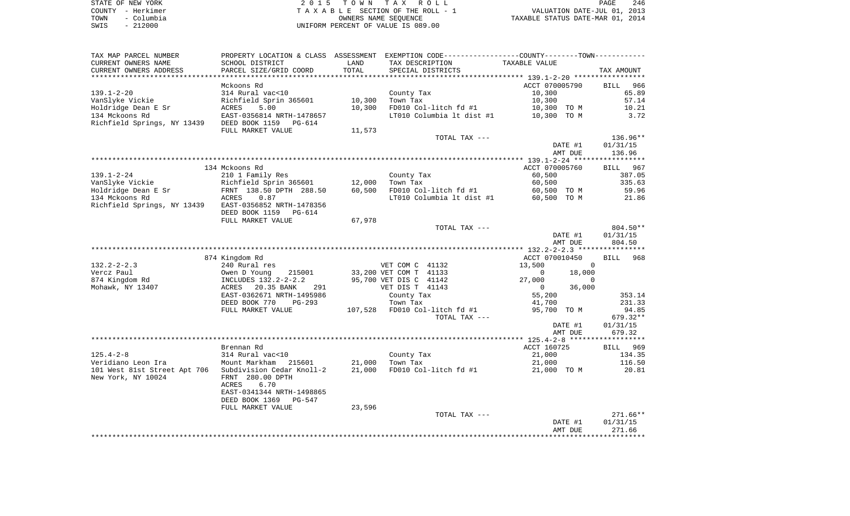|      | STATE OF NEW YORK | 2015 TOWN TAX ROLL                 | PAGE                             | 246 |
|------|-------------------|------------------------------------|----------------------------------|-----|
|      | COUNTY - Herkimer | TAXABLE SECTION OF THE ROLL - 1    | VALUATION DATE-JUL 01, 2013      |     |
| TOWN | - Columbia        | OWNERS NAME SEOUENCE               | TAXABLE STATUS DATE-MAR 01, 2014 |     |
| SWIS | - 212000          | UNIFORM PERCENT OF VALUE IS 089.00 |                                  |     |

|  | PAGE                           | 246 |  |
|--|--------------------------------|-----|--|
|  | VALUATION DATE-JUL 01, 2013    |     |  |
|  | XABLE STATUS DATE-MAR 01, 2014 |     |  |

| TAX MAP PARCEL NUMBER        |                                 |        | PROPERTY LOCATION & CLASS ASSESSMENT EXEMPTION CODE----------------COUNTY--------TOWN----------- |                          |                    |
|------------------------------|---------------------------------|--------|--------------------------------------------------------------------------------------------------|--------------------------|--------------------|
| CURRENT OWNERS NAME          | SCHOOL DISTRICT                 | LAND   | TAX DESCRIPTION                                                                                  | TAXABLE VALUE            |                    |
| CURRENT OWNERS ADDRESS       | PARCEL SIZE/GRID COORD          | TOTAL  | SPECIAL DISTRICTS                                                                                |                          | TAX AMOUNT         |
|                              |                                 |        |                                                                                                  |                          |                    |
|                              | Mckoons Rd                      |        |                                                                                                  | ACCT 070005790           | 966<br><b>BILL</b> |
| $139.1 - 2 - 20$             | 314 Rural vac<10                |        | County Tax                                                                                       | 10,300                   | 65.89              |
| VanSlyke Vickie              | Richfield Sprin 365601          | 10,300 | Town Tax                                                                                         | 10,300                   | 57.14              |
| Holdridge Dean E Sr          | 5.00<br>ACRES                   | 10,300 | FD010 Col-litch fd #1                                                                            | 10,300 TO M              | 10.21              |
| 134 Mckoons Rd               | EAST-0356814 NRTH-1478657       |        | LT010 Columbia lt dist #1                                                                        | 10,300 TO M              | 3.72               |
| Richfield Springs, NY 13439  | DEED BOOK 1159 PG-614           |        |                                                                                                  |                          |                    |
|                              | FULL MARKET VALUE               | 11,573 |                                                                                                  |                          |                    |
|                              |                                 |        | TOTAL TAX ---                                                                                    |                          | 136.96**           |
|                              |                                 |        |                                                                                                  | DATE #1                  | 01/31/15           |
|                              |                                 |        |                                                                                                  | AMT DUE                  | 136.96             |
|                              |                                 |        |                                                                                                  |                          |                    |
|                              | 134 Mckoons Rd                  |        |                                                                                                  | ACCT 070005760           | 967<br>BILL        |
| $139.1 - 2 - 24$             | 210 1 Family Res                |        | County Tax                                                                                       | 60,500                   | 387.05             |
| VanSlyke Vickie              | Richfield Sprin 365601          | 12,000 | Town Tax                                                                                         | 60,500                   | 335.63             |
| Holdridge Dean E Sr          | FRNT 138.50 DPTH 288.50         | 60,500 | FD010 Col-litch fd #1                                                                            | 60,500 TO M              | 59.96              |
| 134 Mckoons Rd               | ACRES<br>0.87                   |        | LT010 Columbia lt dist #1                                                                        | 60,500 TO M              | 21.86              |
| Richfield Springs, NY 13439  | EAST-0356852 NRTH-1478356       |        |                                                                                                  |                          |                    |
|                              | DEED BOOK 1159<br>PG-614        |        |                                                                                                  |                          |                    |
|                              | FULL MARKET VALUE               | 67,978 |                                                                                                  |                          |                    |
|                              |                                 |        | TOTAL TAX ---                                                                                    |                          | 804.50**           |
|                              |                                 |        |                                                                                                  | DATE #1                  | 01/31/15           |
|                              |                                 |        |                                                                                                  | AMT DUE                  | 804.50             |
|                              |                                 |        |                                                                                                  | ACCT 070010450           | BILL 968           |
| $132.2 - 2 - 2.3$            | 874 Kingdom Rd<br>240 Rural res |        | VET COM C 41132                                                                                  | 13,500<br>$\Omega$       |                    |
| Vercz Paul                   | Owen D Young<br>215001          |        | 33,200 VET COM T 41133                                                                           | $\overline{0}$<br>18,000 |                    |
| 874 Kingdom Rd               | INCLUDES 132.2-2-2.2            |        | 95,700 VET DIS C 41142                                                                           | 27,000<br>$\mathbf 0$    |                    |
| Mohawk, NY 13407             | 20.35 BANK<br>ACRES<br>291      |        | VET DIS T 41143                                                                                  | 36,000<br>$\overline{0}$ |                    |
|                              | EAST-0362671 NRTH-1495986       |        | County Tax                                                                                       | 55,200                   | 353.14             |
|                              | DEED BOOK 770<br>$PG-293$       |        | Town Tax                                                                                         | 41,700                   | 231.33             |
|                              | FULL MARKET VALUE               |        | 107,528 FD010 Col-litch fd #1                                                                    | 95,700 TO M              | 94.85              |
|                              |                                 |        | TOTAL TAX ---                                                                                    |                          | 679.32**           |
|                              |                                 |        |                                                                                                  | DATE #1                  | 01/31/15           |
|                              |                                 |        |                                                                                                  | AMT DUE                  | 679.32             |
|                              |                                 |        |                                                                                                  |                          |                    |
|                              | Brennan Rd                      |        |                                                                                                  | ACCT 160725              | BILL 969           |
| $125.4 - 2 - 8$              | 314 Rural vac<10                |        | County Tax                                                                                       | 21,000                   | 134.35             |
| Veridiano Leon Ira           | Mount Markham 215601            | 21,000 | Town Tax                                                                                         | 21,000                   | 116.50             |
| 101 West 81st Street Apt 706 | Subdivision Cedar Knoll-2       | 21,000 | FD010 Col-litch fd #1                                                                            | 21,000 TO M              | 20.81              |
| New York, NY 10024           | FRNT 280.00 DPTH                |        |                                                                                                  |                          |                    |
|                              | ACRES<br>6.70                   |        |                                                                                                  |                          |                    |
|                              | EAST-0341344 NRTH-1498865       |        |                                                                                                  |                          |                    |
|                              | DEED BOOK 1369<br>PG-547        |        |                                                                                                  |                          |                    |
|                              | FULL MARKET VALUE               | 23,596 |                                                                                                  |                          |                    |
|                              |                                 |        | TOTAL TAX ---                                                                                    |                          | $271.66**$         |
|                              |                                 |        |                                                                                                  | DATE #1                  | 01/31/15           |
|                              |                                 |        |                                                                                                  | AMT DUE                  | 271.66             |
|                              |                                 |        |                                                                                                  |                          | *********          |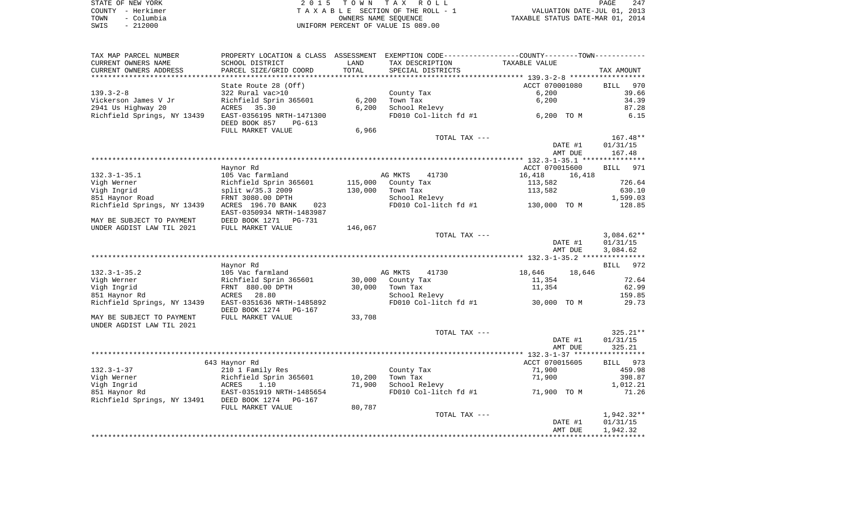|      | STATE OF NEW YORK | 2015 TOWN TAX ROLL                 | 247<br>PAGE                      |
|------|-------------------|------------------------------------|----------------------------------|
|      | COUNTY - Herkimer | TAXABLE SECTION OF THE ROLL - 1    | VALUATION DATE-JUL 01, 2013      |
| TOWN | – Columbia        | OWNERS NAME SEOUENCE               | TAXABLE STATUS DATE-MAR 01, 2014 |
| SWIS | $-212000$         | UNIFORM PERCENT OF VALUE IS 089.00 |                                  |

| TAX MAP PARCEL NUMBER                             | PROPERTY LOCATION & CLASS ASSESSMENT EXEMPTION CODE---------------COUNTY-------TOWN---------- |         |                       |                                         |                        |
|---------------------------------------------------|-----------------------------------------------------------------------------------------------|---------|-----------------------|-----------------------------------------|------------------------|
| CURRENT OWNERS NAME                               | SCHOOL DISTRICT                                                                               | LAND    | TAX DESCRIPTION       | TAXABLE VALUE                           |                        |
| CURRENT OWNERS ADDRESS                            | PARCEL SIZE/GRID COORD                                                                        | TOTAL   | SPECIAL DISTRICTS     |                                         | TAX AMOUNT             |
| **********************                            | * * * * * * * * * * * * * * * * * *                                                           |         |                       |                                         |                        |
|                                                   | State Route 28 (Off)                                                                          |         |                       | ACCT 070001080                          | BILL<br>970            |
| $139.3 - 2 - 8$                                   | 322 Rural vac>10                                                                              |         | County Tax            | 6,200                                   | 39.66                  |
| Vickerson James V Jr                              | Richfield Sprin 365601                                                                        | 6,200   | Town Tax              | 6,200                                   | 34.39                  |
| 2941 Us Highway 20                                | ACRES<br>35.30                                                                                | 6,200   | School Relevy         |                                         | 87.28                  |
| Richfield Springs, NY 13439                       | EAST-0356195 NRTH-1471300                                                                     |         | FD010 Col-litch fd #1 | 6,200 TO M                              | 6.15                   |
|                                                   | DEED BOOK 857<br>PG-613                                                                       |         |                       |                                         |                        |
|                                                   | FULL MARKET VALUE                                                                             | 6,966   |                       |                                         |                        |
|                                                   |                                                                                               |         | TOTAL TAX ---         |                                         | 167.48**               |
|                                                   |                                                                                               |         |                       | DATE #1                                 | 01/31/15               |
|                                                   |                                                                                               |         |                       | AMT DUE                                 | 167.48                 |
|                                                   |                                                                                               |         |                       |                                         |                        |
|                                                   | Haynor Rd                                                                                     |         |                       | ACCT 070015600                          | BILL<br>971            |
| $132.3 - 1 - 35.1$                                | 105 Vac farmland                                                                              |         | AG MKTS<br>41730      | 16,418<br>16,418                        |                        |
| Vigh Werner                                       | Richfield Sprin 365601                                                                        | 115,000 | County Tax            | 113,582                                 | 726.64                 |
| Vigh Ingrid                                       | split w/35.3 2009                                                                             | 130,000 | Town Tax              | 113,582                                 | 630.10                 |
| 851 Haynor Road                                   | FRNT 3080.00 DPTH                                                                             |         | School Relevy         |                                         | 1,599.03               |
| Richfield Springs, NY 13439                       | ACRES 196.70 BANK<br>023                                                                      |         |                       | FD010 Col-litch $f d$ #1 $130,000$ TO M | 128.85                 |
|                                                   | EAST-0350934 NRTH-1483987                                                                     |         |                       |                                         |                        |
| MAY BE SUBJECT TO PAYMENT                         | DEED BOOK 1271<br>PG-731                                                                      |         |                       |                                         |                        |
| UNDER AGDIST LAW TIL 2021                         | FULL MARKET VALUE                                                                             | 146,067 |                       |                                         |                        |
|                                                   |                                                                                               |         | TOTAL TAX ---         |                                         | $3,084.62**$           |
|                                                   |                                                                                               |         |                       | DATE #1                                 | 01/31/15               |
|                                                   |                                                                                               |         |                       | AMT DUE                                 | 3,084.62               |
|                                                   |                                                                                               |         |                       |                                         |                        |
|                                                   | Haynor Rd                                                                                     |         |                       |                                         | BILL 972               |
| $132.3 - 1 - 35.2$                                | 105 Vac farmland                                                                              |         | AG MKTS<br>41730      | 18,646<br>18,646                        |                        |
| Vigh Werner                                       | Richfield Sprin 365601                                                                        | 30,000  | County Tax            | 11,354                                  | 72.64                  |
| Vigh Ingrid                                       | FRNT 880.00 DPTH                                                                              | 30,000  | Town Tax              | 11,354                                  | 62.99                  |
| 851 Haynor Rd                                     | ACRES<br>28.80                                                                                |         | School Relevy         |                                         | 159.85                 |
| Richfield Springs, NY 13439                       | EAST-0351636 NRTH-1485892                                                                     |         |                       | FD010 Col-litch fd #1 30,000 TO M       | 29.73                  |
|                                                   | DEED BOOK 1274 PG-167                                                                         |         |                       |                                         |                        |
| MAY BE SUBJECT TO PAYMENT                         | FULL MARKET VALUE                                                                             | 33,708  |                       |                                         |                        |
| UNDER AGDIST LAW TIL 2021                         |                                                                                               |         |                       |                                         |                        |
|                                                   |                                                                                               |         | TOTAL TAX ---         | DATE #1                                 | $325.21**$<br>01/31/15 |
|                                                   |                                                                                               |         |                       | AMT DUE                                 | 325.21                 |
|                                                   |                                                                                               |         |                       |                                         |                        |
|                                                   | 643 Haynor Rd                                                                                 |         |                       | ACCT 070015605                          | BILL 973               |
| $132.3 - 1 - 37$                                  | 210 1 Family Res                                                                              |         | County Tax            | 71,900                                  | 459.98                 |
| Vigh Werner                                       | Richfield Sprin 365601                                                                        | 10,200  | Town Tax              | 71,900                                  | 398.87                 |
| Vigh Ingrid                                       | ACRES<br>1.10                                                                                 | 71,900  | School Relevy         |                                         | 1,012.21               |
| 851 Haynor Rd                                     | EAST-0351919 NRTH-1485654                                                                     |         | FD010 Col-litch fd #1 | 71,900 TO M                             | 71.26                  |
| Richfield Springs, NY 13491 DEED BOOK 1274 PG-167 |                                                                                               |         |                       |                                         |                        |
|                                                   | FULL MARKET VALUE                                                                             | 80,787  |                       |                                         |                        |
|                                                   |                                                                                               |         | TOTAL TAX ---         |                                         | 1,942.32**             |
|                                                   |                                                                                               |         |                       | DATE #1                                 | 01/31/15               |
|                                                   |                                                                                               |         |                       | AMT DUE                                 | 1,942.32               |
|                                                   |                                                                                               |         |                       |                                         |                        |
|                                                   |                                                                                               |         |                       |                                         |                        |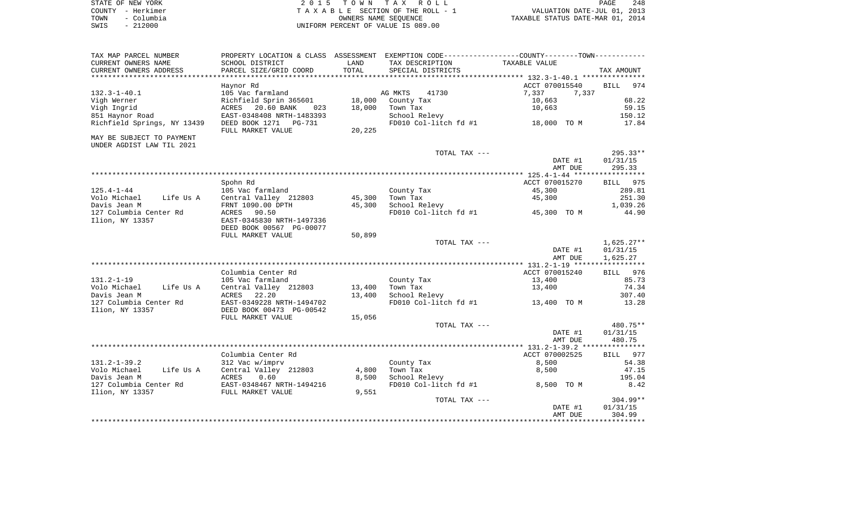| STATE OF NEW YORK |            | 2015 TOWN TAX ROLL                 | PAGE                             | 248 |
|-------------------|------------|------------------------------------|----------------------------------|-----|
| COUNTY - Herkimer |            | TAXABLE SECTION OF THE ROLL - 1    | VALUATION DATE-JUL 01, 2013      |     |
| TOWN              | – Columbia | OWNERS NAME SEOUENCE               | TAXABLE STATUS DATE-MAR 01, 2014 |     |
| SWIS              | $-212000$  | UNIFORM PERCENT OF VALUE IS 089.00 |                                  |     |

| CURRENT OWNERS NAME<br>SCHOOL DISTRICT<br>LAND<br>TAX DESCRIPTION<br>TAXABLE VALUE<br>CURRENT OWNERS ADDRESS<br>TOTAL<br>PARCEL SIZE/GRID COORD<br>SPECIAL DISTRICTS<br>TAX AMOUNT<br>ACCT 070015540<br><b>BILL</b><br>974<br>Haynor Rd<br>$132.3 - 1 - 40.1$<br>AG MKTS<br>41730<br>7,337<br>7,337<br>105 Vac farmland<br>Richfield Sprin 365601<br>18,000<br>10,663<br>68.22<br>Vigh Werner<br>County Tax<br>Vigh Ingrid<br>20.60 BANK<br>18,000<br>Town Tax<br>10,663<br>59.15<br>ACRES<br>023<br>851 Haynor Road<br>EAST-0348408 NRTH-1483393<br>School Relevy<br>150.12<br>Richfield Springs, NY 13439<br>FD010 Col-litch fd #1 18,000 TO M<br>17.84<br>DEED BOOK 1271<br>PG-731<br>FULL MARKET VALUE<br>20,225<br>TOTAL TAX ---<br>295.33**<br>DATE #1<br>01/31/15<br>295.33<br>AMT DUE<br>Spohn Rd<br>ACCT 070015270<br>BILL 975<br>$125.4 - 1 - 44$<br>105 Vac farmland<br>County Tax<br>45,300<br>289.81<br>Central Valley 212803<br>45,300<br>Town Tax<br>45,300<br>251.30<br>Volo Michael<br>Life Us A<br>Davis Jean M<br>FRNT 1090.00 DPTH<br>45,300<br>School Relevy<br>1,039.26<br>127 Columbia Center Rd<br>FD010 Col-litch $f d$ #1 $f$ 45,300 TO M<br>44.90<br>ACRES<br>90.50<br>Ilion, NY 13357<br>EAST-0345830 NRTH-1497336<br>DEED BOOK 00567 PG-00077<br>50,899<br>FULL MARKET VALUE<br>$1,625.27**$<br>TOTAL TAX ---<br>DATE #1<br>01/31/15<br>1,625.27<br>AMT DUE<br>Columbia Center Rd<br>ACCT 070015240<br>BILL 976<br>$131.2 - 1 - 19$<br>13,400<br>85.73<br>105 Vac farmland<br>County Tax<br>Central Valley 212803<br>13,400<br>74.34<br>Volo Michael<br>Life Us A<br>Town Tax<br>13,400<br>13,400<br>Davis Jean M<br>ACRES<br>22.20<br>School Relevy<br>307.40<br>EAST-0349228 NRTH-1494702<br>FD010 Col-litch fd #1<br>127 Columbia Center Rd<br>13,400 TO M<br>13.28<br>Ilion, NY 13357<br>DEED BOOK 00473 PG-00542<br>FULL MARKET VALUE<br>15,056<br>TOTAL TAX ---<br>480.75**<br>01/31/15<br>DATE #1<br>AMT DUE<br>480.75<br>Columbia Center Rd<br>ACCT 070002525<br>BILL 977<br>$131.2 - 1 - 39.2$<br>312 Vac w/imprv<br>County Tax<br>8,500<br>54.38<br>Volo Michael<br>Central Valley 212803<br>4,800<br>Town Tax<br>47.15<br>Life Us A<br>8,500<br>Davis Jean M<br>ACRES<br>0.60<br>8,500<br>School Relevy<br>195.04<br>EAST-0348467 NRTH-1494216<br>FD010 Col-litch fd #1<br>8,500 TO M<br>8.42<br>127 Columbia Center Rd<br>Ilion, NY 13357<br>FULL MARKET VALUE<br>9,551<br>$304.99**$<br>TOTAL TAX ---<br>01/31/15<br>DATE #1<br>304.99<br>AMT DUE | TAX MAP PARCEL NUMBER     | PROPERTY LOCATION & CLASS ASSESSMENT EXEMPTION CODE---------------COUNTY-------TOWN---------- |  |  |
|---------------------------------------------------------------------------------------------------------------------------------------------------------------------------------------------------------------------------------------------------------------------------------------------------------------------------------------------------------------------------------------------------------------------------------------------------------------------------------------------------------------------------------------------------------------------------------------------------------------------------------------------------------------------------------------------------------------------------------------------------------------------------------------------------------------------------------------------------------------------------------------------------------------------------------------------------------------------------------------------------------------------------------------------------------------------------------------------------------------------------------------------------------------------------------------------------------------------------------------------------------------------------------------------------------------------------------------------------------------------------------------------------------------------------------------------------------------------------------------------------------------------------------------------------------------------------------------------------------------------------------------------------------------------------------------------------------------------------------------------------------------------------------------------------------------------------------------------------------------------------------------------------------------------------------------------------------------------------------------------------------------------------------------------------------------------------------------------------------------------------------------------------------------------------------------------------------------------------------------------------------------------------------------------------------------------------------------------------------------------------------------------------------------------------------------------------------------------------------------------|---------------------------|-----------------------------------------------------------------------------------------------|--|--|
|                                                                                                                                                                                                                                                                                                                                                                                                                                                                                                                                                                                                                                                                                                                                                                                                                                                                                                                                                                                                                                                                                                                                                                                                                                                                                                                                                                                                                                                                                                                                                                                                                                                                                                                                                                                                                                                                                                                                                                                                                                                                                                                                                                                                                                                                                                                                                                                                                                                                                             |                           |                                                                                               |  |  |
|                                                                                                                                                                                                                                                                                                                                                                                                                                                                                                                                                                                                                                                                                                                                                                                                                                                                                                                                                                                                                                                                                                                                                                                                                                                                                                                                                                                                                                                                                                                                                                                                                                                                                                                                                                                                                                                                                                                                                                                                                                                                                                                                                                                                                                                                                                                                                                                                                                                                                             |                           |                                                                                               |  |  |
|                                                                                                                                                                                                                                                                                                                                                                                                                                                                                                                                                                                                                                                                                                                                                                                                                                                                                                                                                                                                                                                                                                                                                                                                                                                                                                                                                                                                                                                                                                                                                                                                                                                                                                                                                                                                                                                                                                                                                                                                                                                                                                                                                                                                                                                                                                                                                                                                                                                                                             |                           |                                                                                               |  |  |
|                                                                                                                                                                                                                                                                                                                                                                                                                                                                                                                                                                                                                                                                                                                                                                                                                                                                                                                                                                                                                                                                                                                                                                                                                                                                                                                                                                                                                                                                                                                                                                                                                                                                                                                                                                                                                                                                                                                                                                                                                                                                                                                                                                                                                                                                                                                                                                                                                                                                                             |                           |                                                                                               |  |  |
|                                                                                                                                                                                                                                                                                                                                                                                                                                                                                                                                                                                                                                                                                                                                                                                                                                                                                                                                                                                                                                                                                                                                                                                                                                                                                                                                                                                                                                                                                                                                                                                                                                                                                                                                                                                                                                                                                                                                                                                                                                                                                                                                                                                                                                                                                                                                                                                                                                                                                             |                           |                                                                                               |  |  |
|                                                                                                                                                                                                                                                                                                                                                                                                                                                                                                                                                                                                                                                                                                                                                                                                                                                                                                                                                                                                                                                                                                                                                                                                                                                                                                                                                                                                                                                                                                                                                                                                                                                                                                                                                                                                                                                                                                                                                                                                                                                                                                                                                                                                                                                                                                                                                                                                                                                                                             |                           |                                                                                               |  |  |
|                                                                                                                                                                                                                                                                                                                                                                                                                                                                                                                                                                                                                                                                                                                                                                                                                                                                                                                                                                                                                                                                                                                                                                                                                                                                                                                                                                                                                                                                                                                                                                                                                                                                                                                                                                                                                                                                                                                                                                                                                                                                                                                                                                                                                                                                                                                                                                                                                                                                                             |                           |                                                                                               |  |  |
|                                                                                                                                                                                                                                                                                                                                                                                                                                                                                                                                                                                                                                                                                                                                                                                                                                                                                                                                                                                                                                                                                                                                                                                                                                                                                                                                                                                                                                                                                                                                                                                                                                                                                                                                                                                                                                                                                                                                                                                                                                                                                                                                                                                                                                                                                                                                                                                                                                                                                             |                           |                                                                                               |  |  |
|                                                                                                                                                                                                                                                                                                                                                                                                                                                                                                                                                                                                                                                                                                                                                                                                                                                                                                                                                                                                                                                                                                                                                                                                                                                                                                                                                                                                                                                                                                                                                                                                                                                                                                                                                                                                                                                                                                                                                                                                                                                                                                                                                                                                                                                                                                                                                                                                                                                                                             |                           |                                                                                               |  |  |
|                                                                                                                                                                                                                                                                                                                                                                                                                                                                                                                                                                                                                                                                                                                                                                                                                                                                                                                                                                                                                                                                                                                                                                                                                                                                                                                                                                                                                                                                                                                                                                                                                                                                                                                                                                                                                                                                                                                                                                                                                                                                                                                                                                                                                                                                                                                                                                                                                                                                                             | MAY BE SUBJECT TO PAYMENT |                                                                                               |  |  |
|                                                                                                                                                                                                                                                                                                                                                                                                                                                                                                                                                                                                                                                                                                                                                                                                                                                                                                                                                                                                                                                                                                                                                                                                                                                                                                                                                                                                                                                                                                                                                                                                                                                                                                                                                                                                                                                                                                                                                                                                                                                                                                                                                                                                                                                                                                                                                                                                                                                                                             | UNDER AGDIST LAW TIL 2021 |                                                                                               |  |  |
|                                                                                                                                                                                                                                                                                                                                                                                                                                                                                                                                                                                                                                                                                                                                                                                                                                                                                                                                                                                                                                                                                                                                                                                                                                                                                                                                                                                                                                                                                                                                                                                                                                                                                                                                                                                                                                                                                                                                                                                                                                                                                                                                                                                                                                                                                                                                                                                                                                                                                             |                           |                                                                                               |  |  |
|                                                                                                                                                                                                                                                                                                                                                                                                                                                                                                                                                                                                                                                                                                                                                                                                                                                                                                                                                                                                                                                                                                                                                                                                                                                                                                                                                                                                                                                                                                                                                                                                                                                                                                                                                                                                                                                                                                                                                                                                                                                                                                                                                                                                                                                                                                                                                                                                                                                                                             |                           |                                                                                               |  |  |
|                                                                                                                                                                                                                                                                                                                                                                                                                                                                                                                                                                                                                                                                                                                                                                                                                                                                                                                                                                                                                                                                                                                                                                                                                                                                                                                                                                                                                                                                                                                                                                                                                                                                                                                                                                                                                                                                                                                                                                                                                                                                                                                                                                                                                                                                                                                                                                                                                                                                                             |                           |                                                                                               |  |  |
|                                                                                                                                                                                                                                                                                                                                                                                                                                                                                                                                                                                                                                                                                                                                                                                                                                                                                                                                                                                                                                                                                                                                                                                                                                                                                                                                                                                                                                                                                                                                                                                                                                                                                                                                                                                                                                                                                                                                                                                                                                                                                                                                                                                                                                                                                                                                                                                                                                                                                             |                           |                                                                                               |  |  |
|                                                                                                                                                                                                                                                                                                                                                                                                                                                                                                                                                                                                                                                                                                                                                                                                                                                                                                                                                                                                                                                                                                                                                                                                                                                                                                                                                                                                                                                                                                                                                                                                                                                                                                                                                                                                                                                                                                                                                                                                                                                                                                                                                                                                                                                                                                                                                                                                                                                                                             |                           |                                                                                               |  |  |
|                                                                                                                                                                                                                                                                                                                                                                                                                                                                                                                                                                                                                                                                                                                                                                                                                                                                                                                                                                                                                                                                                                                                                                                                                                                                                                                                                                                                                                                                                                                                                                                                                                                                                                                                                                                                                                                                                                                                                                                                                                                                                                                                                                                                                                                                                                                                                                                                                                                                                             |                           |                                                                                               |  |  |
|                                                                                                                                                                                                                                                                                                                                                                                                                                                                                                                                                                                                                                                                                                                                                                                                                                                                                                                                                                                                                                                                                                                                                                                                                                                                                                                                                                                                                                                                                                                                                                                                                                                                                                                                                                                                                                                                                                                                                                                                                                                                                                                                                                                                                                                                                                                                                                                                                                                                                             |                           |                                                                                               |  |  |
|                                                                                                                                                                                                                                                                                                                                                                                                                                                                                                                                                                                                                                                                                                                                                                                                                                                                                                                                                                                                                                                                                                                                                                                                                                                                                                                                                                                                                                                                                                                                                                                                                                                                                                                                                                                                                                                                                                                                                                                                                                                                                                                                                                                                                                                                                                                                                                                                                                                                                             |                           |                                                                                               |  |  |
|                                                                                                                                                                                                                                                                                                                                                                                                                                                                                                                                                                                                                                                                                                                                                                                                                                                                                                                                                                                                                                                                                                                                                                                                                                                                                                                                                                                                                                                                                                                                                                                                                                                                                                                                                                                                                                                                                                                                                                                                                                                                                                                                                                                                                                                                                                                                                                                                                                                                                             |                           |                                                                                               |  |  |
|                                                                                                                                                                                                                                                                                                                                                                                                                                                                                                                                                                                                                                                                                                                                                                                                                                                                                                                                                                                                                                                                                                                                                                                                                                                                                                                                                                                                                                                                                                                                                                                                                                                                                                                                                                                                                                                                                                                                                                                                                                                                                                                                                                                                                                                                                                                                                                                                                                                                                             |                           |                                                                                               |  |  |
|                                                                                                                                                                                                                                                                                                                                                                                                                                                                                                                                                                                                                                                                                                                                                                                                                                                                                                                                                                                                                                                                                                                                                                                                                                                                                                                                                                                                                                                                                                                                                                                                                                                                                                                                                                                                                                                                                                                                                                                                                                                                                                                                                                                                                                                                                                                                                                                                                                                                                             |                           |                                                                                               |  |  |
|                                                                                                                                                                                                                                                                                                                                                                                                                                                                                                                                                                                                                                                                                                                                                                                                                                                                                                                                                                                                                                                                                                                                                                                                                                                                                                                                                                                                                                                                                                                                                                                                                                                                                                                                                                                                                                                                                                                                                                                                                                                                                                                                                                                                                                                                                                                                                                                                                                                                                             |                           |                                                                                               |  |  |
|                                                                                                                                                                                                                                                                                                                                                                                                                                                                                                                                                                                                                                                                                                                                                                                                                                                                                                                                                                                                                                                                                                                                                                                                                                                                                                                                                                                                                                                                                                                                                                                                                                                                                                                                                                                                                                                                                                                                                                                                                                                                                                                                                                                                                                                                                                                                                                                                                                                                                             |                           |                                                                                               |  |  |
|                                                                                                                                                                                                                                                                                                                                                                                                                                                                                                                                                                                                                                                                                                                                                                                                                                                                                                                                                                                                                                                                                                                                                                                                                                                                                                                                                                                                                                                                                                                                                                                                                                                                                                                                                                                                                                                                                                                                                                                                                                                                                                                                                                                                                                                                                                                                                                                                                                                                                             |                           |                                                                                               |  |  |
|                                                                                                                                                                                                                                                                                                                                                                                                                                                                                                                                                                                                                                                                                                                                                                                                                                                                                                                                                                                                                                                                                                                                                                                                                                                                                                                                                                                                                                                                                                                                                                                                                                                                                                                                                                                                                                                                                                                                                                                                                                                                                                                                                                                                                                                                                                                                                                                                                                                                                             |                           |                                                                                               |  |  |
|                                                                                                                                                                                                                                                                                                                                                                                                                                                                                                                                                                                                                                                                                                                                                                                                                                                                                                                                                                                                                                                                                                                                                                                                                                                                                                                                                                                                                                                                                                                                                                                                                                                                                                                                                                                                                                                                                                                                                                                                                                                                                                                                                                                                                                                                                                                                                                                                                                                                                             |                           |                                                                                               |  |  |
|                                                                                                                                                                                                                                                                                                                                                                                                                                                                                                                                                                                                                                                                                                                                                                                                                                                                                                                                                                                                                                                                                                                                                                                                                                                                                                                                                                                                                                                                                                                                                                                                                                                                                                                                                                                                                                                                                                                                                                                                                                                                                                                                                                                                                                                                                                                                                                                                                                                                                             |                           |                                                                                               |  |  |
|                                                                                                                                                                                                                                                                                                                                                                                                                                                                                                                                                                                                                                                                                                                                                                                                                                                                                                                                                                                                                                                                                                                                                                                                                                                                                                                                                                                                                                                                                                                                                                                                                                                                                                                                                                                                                                                                                                                                                                                                                                                                                                                                                                                                                                                                                                                                                                                                                                                                                             |                           |                                                                                               |  |  |
|                                                                                                                                                                                                                                                                                                                                                                                                                                                                                                                                                                                                                                                                                                                                                                                                                                                                                                                                                                                                                                                                                                                                                                                                                                                                                                                                                                                                                                                                                                                                                                                                                                                                                                                                                                                                                                                                                                                                                                                                                                                                                                                                                                                                                                                                                                                                                                                                                                                                                             |                           |                                                                                               |  |  |
|                                                                                                                                                                                                                                                                                                                                                                                                                                                                                                                                                                                                                                                                                                                                                                                                                                                                                                                                                                                                                                                                                                                                                                                                                                                                                                                                                                                                                                                                                                                                                                                                                                                                                                                                                                                                                                                                                                                                                                                                                                                                                                                                                                                                                                                                                                                                                                                                                                                                                             |                           |                                                                                               |  |  |
|                                                                                                                                                                                                                                                                                                                                                                                                                                                                                                                                                                                                                                                                                                                                                                                                                                                                                                                                                                                                                                                                                                                                                                                                                                                                                                                                                                                                                                                                                                                                                                                                                                                                                                                                                                                                                                                                                                                                                                                                                                                                                                                                                                                                                                                                                                                                                                                                                                                                                             |                           |                                                                                               |  |  |
|                                                                                                                                                                                                                                                                                                                                                                                                                                                                                                                                                                                                                                                                                                                                                                                                                                                                                                                                                                                                                                                                                                                                                                                                                                                                                                                                                                                                                                                                                                                                                                                                                                                                                                                                                                                                                                                                                                                                                                                                                                                                                                                                                                                                                                                                                                                                                                                                                                                                                             |                           |                                                                                               |  |  |
|                                                                                                                                                                                                                                                                                                                                                                                                                                                                                                                                                                                                                                                                                                                                                                                                                                                                                                                                                                                                                                                                                                                                                                                                                                                                                                                                                                                                                                                                                                                                                                                                                                                                                                                                                                                                                                                                                                                                                                                                                                                                                                                                                                                                                                                                                                                                                                                                                                                                                             |                           |                                                                                               |  |  |
|                                                                                                                                                                                                                                                                                                                                                                                                                                                                                                                                                                                                                                                                                                                                                                                                                                                                                                                                                                                                                                                                                                                                                                                                                                                                                                                                                                                                                                                                                                                                                                                                                                                                                                                                                                                                                                                                                                                                                                                                                                                                                                                                                                                                                                                                                                                                                                                                                                                                                             |                           |                                                                                               |  |  |
|                                                                                                                                                                                                                                                                                                                                                                                                                                                                                                                                                                                                                                                                                                                                                                                                                                                                                                                                                                                                                                                                                                                                                                                                                                                                                                                                                                                                                                                                                                                                                                                                                                                                                                                                                                                                                                                                                                                                                                                                                                                                                                                                                                                                                                                                                                                                                                                                                                                                                             |                           |                                                                                               |  |  |
|                                                                                                                                                                                                                                                                                                                                                                                                                                                                                                                                                                                                                                                                                                                                                                                                                                                                                                                                                                                                                                                                                                                                                                                                                                                                                                                                                                                                                                                                                                                                                                                                                                                                                                                                                                                                                                                                                                                                                                                                                                                                                                                                                                                                                                                                                                                                                                                                                                                                                             |                           |                                                                                               |  |  |
|                                                                                                                                                                                                                                                                                                                                                                                                                                                                                                                                                                                                                                                                                                                                                                                                                                                                                                                                                                                                                                                                                                                                                                                                                                                                                                                                                                                                                                                                                                                                                                                                                                                                                                                                                                                                                                                                                                                                                                                                                                                                                                                                                                                                                                                                                                                                                                                                                                                                                             |                           |                                                                                               |  |  |
|                                                                                                                                                                                                                                                                                                                                                                                                                                                                                                                                                                                                                                                                                                                                                                                                                                                                                                                                                                                                                                                                                                                                                                                                                                                                                                                                                                                                                                                                                                                                                                                                                                                                                                                                                                                                                                                                                                                                                                                                                                                                                                                                                                                                                                                                                                                                                                                                                                                                                             |                           |                                                                                               |  |  |
|                                                                                                                                                                                                                                                                                                                                                                                                                                                                                                                                                                                                                                                                                                                                                                                                                                                                                                                                                                                                                                                                                                                                                                                                                                                                                                                                                                                                                                                                                                                                                                                                                                                                                                                                                                                                                                                                                                                                                                                                                                                                                                                                                                                                                                                                                                                                                                                                                                                                                             |                           |                                                                                               |  |  |
|                                                                                                                                                                                                                                                                                                                                                                                                                                                                                                                                                                                                                                                                                                                                                                                                                                                                                                                                                                                                                                                                                                                                                                                                                                                                                                                                                                                                                                                                                                                                                                                                                                                                                                                                                                                                                                                                                                                                                                                                                                                                                                                                                                                                                                                                                                                                                                                                                                                                                             |                           |                                                                                               |  |  |
|                                                                                                                                                                                                                                                                                                                                                                                                                                                                                                                                                                                                                                                                                                                                                                                                                                                                                                                                                                                                                                                                                                                                                                                                                                                                                                                                                                                                                                                                                                                                                                                                                                                                                                                                                                                                                                                                                                                                                                                                                                                                                                                                                                                                                                                                                                                                                                                                                                                                                             |                           |                                                                                               |  |  |
|                                                                                                                                                                                                                                                                                                                                                                                                                                                                                                                                                                                                                                                                                                                                                                                                                                                                                                                                                                                                                                                                                                                                                                                                                                                                                                                                                                                                                                                                                                                                                                                                                                                                                                                                                                                                                                                                                                                                                                                                                                                                                                                                                                                                                                                                                                                                                                                                                                                                                             |                           |                                                                                               |  |  |
|                                                                                                                                                                                                                                                                                                                                                                                                                                                                                                                                                                                                                                                                                                                                                                                                                                                                                                                                                                                                                                                                                                                                                                                                                                                                                                                                                                                                                                                                                                                                                                                                                                                                                                                                                                                                                                                                                                                                                                                                                                                                                                                                                                                                                                                                                                                                                                                                                                                                                             |                           |                                                                                               |  |  |
|                                                                                                                                                                                                                                                                                                                                                                                                                                                                                                                                                                                                                                                                                                                                                                                                                                                                                                                                                                                                                                                                                                                                                                                                                                                                                                                                                                                                                                                                                                                                                                                                                                                                                                                                                                                                                                                                                                                                                                                                                                                                                                                                                                                                                                                                                                                                                                                                                                                                                             |                           |                                                                                               |  |  |
|                                                                                                                                                                                                                                                                                                                                                                                                                                                                                                                                                                                                                                                                                                                                                                                                                                                                                                                                                                                                                                                                                                                                                                                                                                                                                                                                                                                                                                                                                                                                                                                                                                                                                                                                                                                                                                                                                                                                                                                                                                                                                                                                                                                                                                                                                                                                                                                                                                                                                             |                           |                                                                                               |  |  |
|                                                                                                                                                                                                                                                                                                                                                                                                                                                                                                                                                                                                                                                                                                                                                                                                                                                                                                                                                                                                                                                                                                                                                                                                                                                                                                                                                                                                                                                                                                                                                                                                                                                                                                                                                                                                                                                                                                                                                                                                                                                                                                                                                                                                                                                                                                                                                                                                                                                                                             |                           |                                                                                               |  |  |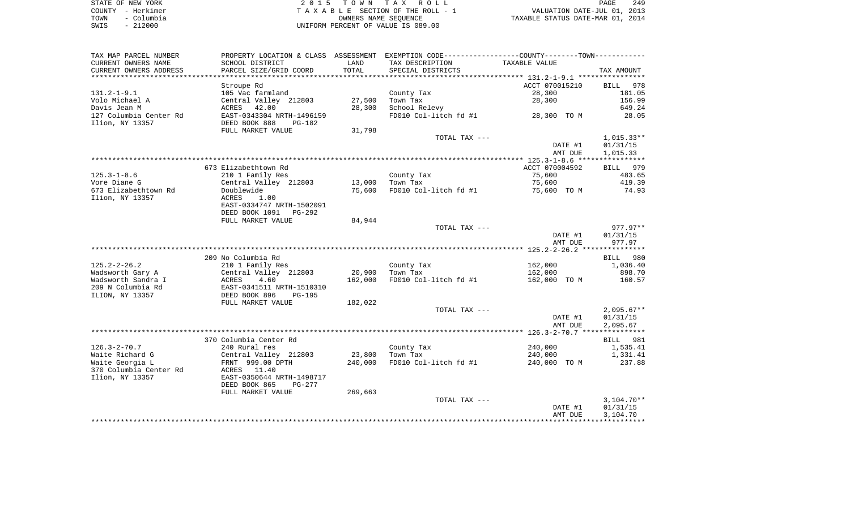| STATE OF NEW YORK  | 2015 TOWN TAX ROLL                 | 249<br>PAGE                      |
|--------------------|------------------------------------|----------------------------------|
| COUNTY - Herkimer  | TAXABLE SECTION OF THE ROLL - 1    | VALUATION DATE-JUL 01, 2013      |
| - Columbia<br>TOWN | OWNERS NAME SEOUENCE               | TAXABLE STATUS DATE-MAR 01, 2014 |
| $-212000$<br>SWIS  | UNIFORM PERCENT OF VALUE IS 089.00 |                                  |

| TAX MAP PARCEL NUMBER    | PROPERTY LOCATION & CLASS ASSESSMENT EXEMPTION CODE---------------COUNTY-------TOWN---------- |         |                       |                |                    |
|--------------------------|-----------------------------------------------------------------------------------------------|---------|-----------------------|----------------|--------------------|
| CURRENT OWNERS NAME      | SCHOOL DISTRICT                                                                               | LAND    | TAX DESCRIPTION       | TAXABLE VALUE  |                    |
| CURRENT OWNERS ADDRESS   | PARCEL SIZE/GRID COORD                                                                        | TOTAL   | SPECIAL DISTRICTS     |                | TAX AMOUNT         |
| ************************ | ****************************                                                                  |         |                       |                |                    |
|                          | Stroupe Rd                                                                                    |         |                       | ACCT 070015210 | <b>BILL</b><br>978 |
| $131.2 - 1 - 9.1$        | 105 Vac farmland                                                                              |         | County Tax            | 28,300         | 181.05             |
| Volo Michael A           | Central Valley 212803                                                                         | 27,500  | Town Tax              | 28,300         | 156.99             |
| Davis Jean M             | ACRES 42.00                                                                                   | 28,300  | School Relevy         |                | 649.24             |
| 127 Columbia Center Rd   | EAST-0343304 NRTH-1496159                                                                     |         | FD010 Col-litch fd #1 | 28,300 TO M    | 28.05              |
| Ilion, NY 13357          | DEED BOOK 888<br>PG-182                                                                       |         |                       |                |                    |
|                          | FULL MARKET VALUE                                                                             | 31,798  |                       |                |                    |
|                          |                                                                                               |         | TOTAL TAX ---         |                | $1,015.33**$       |
|                          |                                                                                               |         |                       | DATE #1        | 01/31/15           |
|                          |                                                                                               |         |                       | AMT DUE        | 1,015.33           |
|                          |                                                                                               |         |                       |                |                    |
|                          | 673 Elizabethtown Rd                                                                          |         |                       | ACCT 070004592 | BILL 979           |
| $125.3 - 1 - 8.6$        | 210 1 Family Res                                                                              |         | County Tax            | 75,600         | 483.65             |
| Vore Diane G             | Central Valley 212803                                                                         | 13,000  | Town Tax              | 75,600         | 419.39             |
| 673 Elizabethtown Rd     | Doublewide                                                                                    | 75,600  | FD010 Col-litch fd #1 | 75,600 TO M    | 74.93              |
| Ilion, NY 13357          | ACRES<br>1.00                                                                                 |         |                       |                |                    |
|                          | EAST-0334747 NRTH-1502091                                                                     |         |                       |                |                    |
|                          | DEED BOOK 1091<br>PG-292                                                                      |         |                       |                |                    |
|                          | FULL MARKET VALUE                                                                             | 84,944  |                       |                |                    |
|                          |                                                                                               |         | TOTAL TAX ---         |                | 977.97**           |
|                          |                                                                                               |         |                       | DATE #1        | 01/31/15           |
|                          |                                                                                               |         |                       | AMT DUE        | 977.97             |
|                          |                                                                                               |         |                       |                |                    |
|                          | 209 No Columbia Rd                                                                            |         |                       |                | 980<br><b>BILL</b> |
| $125.2 - 2 - 26.2$       | 210 1 Family Res                                                                              |         | County Tax            | 162,000        | 1,036.40           |
| Wadsworth Gary A         | Central Valley 212803                                                                         | 20,900  | Town Tax              | 162,000        | 898.70             |
| Wadsworth Sandra I       | 4.60<br>ACRES                                                                                 | 162,000 | FD010 Col-litch fd #1 | 162,000 TO M   | 160.57             |
| 209 N Columbia Rd        | EAST-0341511 NRTH-1510310                                                                     |         |                       |                |                    |
| ILION, NY 13357          | DEED BOOK 896<br>$PG-195$                                                                     |         |                       |                |                    |
|                          | FULL MARKET VALUE                                                                             | 182,022 |                       |                |                    |
|                          |                                                                                               |         | TOTAL TAX ---         |                | $2,095.67**$       |
|                          |                                                                                               |         |                       | DATE #1        | 01/31/15           |
|                          |                                                                                               |         |                       | AMT DUE        | 2,095.67           |
|                          |                                                                                               |         |                       |                |                    |
|                          | 370 Columbia Center Rd                                                                        |         |                       |                | 981<br>BILL        |
| $126.3 - 2 - 70.7$       | 240 Rural res                                                                                 |         | County Tax            | 240,000        | 1,535.41           |
| Waite Richard G          | Central Valley 212803                                                                         | 23,800  | Town Tax              | 240,000        | 1,331.41           |
| Waite Georgia L          | FRNT 999.00 DPTH                                                                              | 240,000 | FD010 Col-litch fd #1 | 240,000 TO M   | 237.88             |
| 370 Columbia Center Rd   | ACRES<br>11.40                                                                                |         |                       |                |                    |
| Ilion, NY 13357          | EAST-0350644 NRTH-1498717                                                                     |         |                       |                |                    |
|                          | DEED BOOK 865<br>PG-277                                                                       |         |                       |                |                    |
|                          | FULL MARKET VALUE                                                                             | 269,663 |                       |                |                    |
|                          |                                                                                               |         | TOTAL TAX ---         |                | $3,104.70**$       |
|                          |                                                                                               |         |                       | DATE #1        | 01/31/15           |
|                          |                                                                                               |         |                       | AMT DUE        | 3,104.70           |
|                          |                                                                                               |         |                       |                |                    |
|                          |                                                                                               |         |                       |                |                    |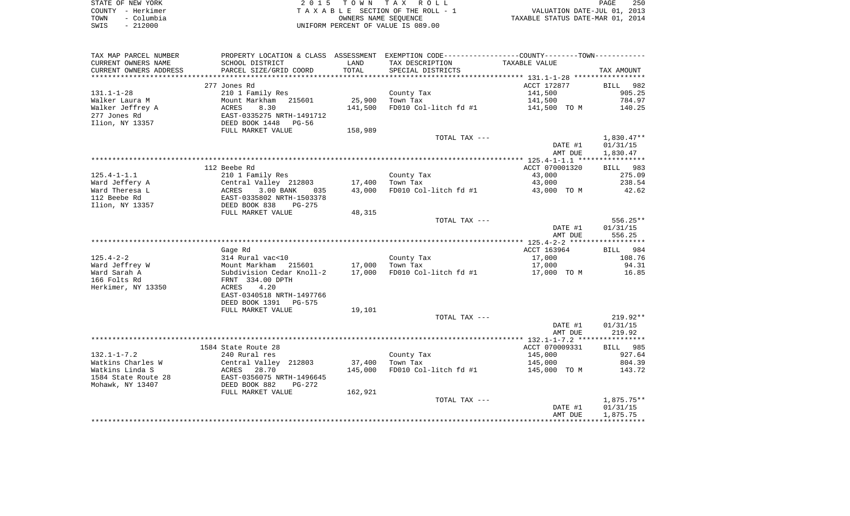|      | STATE OF NEW YORK | 2015 TOWN TAX ROLL                 | PAGE                             | 250 |
|------|-------------------|------------------------------------|----------------------------------|-----|
|      | COUNTY - Herkimer | TAXABLE SECTION OF THE ROLL - 1    | VALUATION DATE-JUL 01, 2013      |     |
| TOWN | - Columbia        | OWNERS NAME SEOUENCE               | TAXABLE STATUS DATE-MAR 01, 2014 |     |
| SWIS | - 212000          | UNIFORM PERCENT OF VALUE IS 089.00 |                                  |     |

| TAX MAP PARCEL NUMBER                  |                                    |             | PROPERTY LOCATION & CLASS ASSESSMENT EXEMPTION CODE---------------COUNTY-------TOWN---------- |                |                  |
|----------------------------------------|------------------------------------|-------------|-----------------------------------------------------------------------------------------------|----------------|------------------|
| CURRENT OWNERS NAME                    | SCHOOL DISTRICT                    | LAND        | TAX DESCRIPTION                                                                               | TAXABLE VALUE  |                  |
| CURRENT OWNERS ADDRESS                 | PARCEL SIZE/GRID COORD             | TOTAL       | SPECIAL DISTRICTS                                                                             |                | TAX AMOUNT       |
| *******************                    |                                    | *********** |                                                                                               |                |                  |
|                                        | 277 Jones Rd                       |             |                                                                                               | ACCT 172877    | BILL 982         |
| $131.1 - 1 - 28$                       | 210 1 Family Res                   |             | County Tax                                                                                    | 141,500        | 905.25           |
| Walker Laura M                         | Mount Markham<br>215601            | 25,900      | Town Tax                                                                                      | 141,500        | 784.97           |
| Walker Jeffrey A                       | ACRES<br>8.30                      | 141,500     | FD010 Col-litch fd #1                                                                         | 141,500 TO M   | 140.25           |
| 277 Jones Rd                           | EAST-0335275 NRTH-1491712          |             |                                                                                               |                |                  |
| Ilion, NY 13357                        | DEED BOOK 1448<br>PG-56            |             |                                                                                               |                |                  |
|                                        | FULL MARKET VALUE                  | 158,989     |                                                                                               |                |                  |
|                                        |                                    |             | TOTAL TAX ---                                                                                 |                | 1,830.47**       |
|                                        |                                    |             |                                                                                               | DATE #1        | 01/31/15         |
|                                        |                                    |             |                                                                                               | AMT DUE        | 1,830.47         |
|                                        |                                    |             |                                                                                               |                |                  |
|                                        | 112 Beebe Rd                       |             |                                                                                               | ACCT 070001320 | BILL 983         |
| $125.4 - 1 - 1.1$                      | 210 1 Family Res                   |             | County Tax                                                                                    | 43,000         | 275.09           |
| Ward Jeffery A                         | Central Valley 212803              | 17,400      | Town Tax                                                                                      | 43,000         | 238.54           |
| Ward Theresa L                         | 3.00 BANK<br>ACRES<br>035          | 43,000      | FD010 Col-litch fd #1                                                                         | 43,000 TO M    | 42.62            |
| 112 Beebe Rd                           | EAST-0335802 NRTH-1503378          |             |                                                                                               |                |                  |
| Ilion, NY 13357                        | DEED BOOK 838<br>$PG-275$          |             |                                                                                               |                |                  |
|                                        | FULL MARKET VALUE                  | 48,315      |                                                                                               |                |                  |
|                                        |                                    |             | TOTAL TAX ---                                                                                 |                | $556.25**$       |
|                                        |                                    |             |                                                                                               | DATE #1        | 01/31/15         |
|                                        |                                    |             |                                                                                               | AMT DUE        | 556.25           |
|                                        |                                    |             |                                                                                               |                |                  |
|                                        | Gage Rd                            |             |                                                                                               | ACCT 163964    | BILL 984         |
| $125.4 - 2 - 2$                        | 314 Rural vac<10                   |             | County Tax                                                                                    | 17,000         | 108.76           |
| Ward Jeffrey W                         | Mount Markham<br>215601            | 17,000      | Town Tax                                                                                      | 17,000         | 94.31            |
| Ward Sarah A                           | Subdivision Cedar Knoll-2          | 17,000      | FD010 Col-litch fd #1                                                                         | 17,000 TO M    | 16.85            |
| 166 Folts Rd                           | FRNT 334.00 DPTH                   |             |                                                                                               |                |                  |
| Herkimer, NY 13350                     | ACRES<br>4.20                      |             |                                                                                               |                |                  |
|                                        | EAST-0340518 NRTH-1497766          |             |                                                                                               |                |                  |
|                                        | DEED BOOK 1391<br>PG-575           |             |                                                                                               |                |                  |
|                                        | FULL MARKET VALUE                  | 19,101      |                                                                                               |                |                  |
|                                        |                                    |             | TOTAL TAX ---                                                                                 |                | $219.92**$       |
|                                        |                                    |             |                                                                                               | DATE #1        | 01/31/15         |
|                                        |                                    |             |                                                                                               | AMT DUE        | 219.92           |
|                                        |                                    |             |                                                                                               |                |                  |
|                                        | 1584 State Route 28                |             |                                                                                               | ACCT 070009331 | <b>BILL</b> 985  |
| $132.1 - 1 - 7.2$                      | 240 Rural res                      |             | County Tax<br>Town Tax                                                                        | 145,000        | 927.64           |
| Watkins Charles W                      | Central Valley 212803<br>28.70     | 37,400      |                                                                                               | 145,000        | 804.39<br>143.72 |
| Watkins Linda S<br>1584 State Route 28 | ACRES<br>EAST-0356075 NRTH-1496645 | 145,000     | FD010 Col-litch fd #1                                                                         | 145,000 TO M   |                  |
| Mohawk, NY 13407                       | DEED BOOK 882<br>$PG-272$          |             |                                                                                               |                |                  |
|                                        | FULL MARKET VALUE                  | 162,921     |                                                                                               |                |                  |
|                                        |                                    |             | TOTAL TAX ---                                                                                 |                | 1,875.75**       |
|                                        |                                    |             |                                                                                               | DATE #1        | 01/31/15         |
|                                        |                                    |             |                                                                                               | AMT DUE        | 1,875.75         |
|                                        |                                    |             |                                                                                               |                |                  |
|                                        |                                    |             |                                                                                               |                |                  |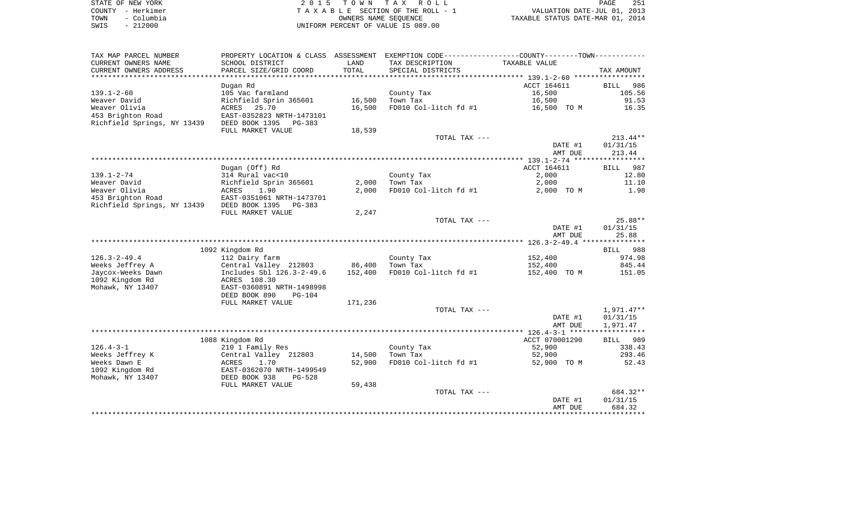| STATE OF NEW YORK  | 2015 TOWN TAX ROLL                 | 251<br>PAGE                      |
|--------------------|------------------------------------|----------------------------------|
| COUNTY - Herkimer  | TAXABLE SECTION OF THE ROLL - 1    | VALUATION DATE-JUL 01, 2013      |
| - Columbia<br>TOWN | OWNERS NAME SEOUENCE               | TAXABLE STATUS DATE-MAR 01, 2014 |
| $-212000$<br>SWIS  | UNIFORM PERCENT OF VALUE IS 089.00 |                                  |

| TAX MAP PARCEL NUMBER                         | PROPERTY LOCATION & CLASS ASSESSMENT EXEMPTION CODE---------------COUNTY--------TOWN---------- | LAND    |                                      | <b>TAXABLE VALUE</b> |             |
|-----------------------------------------------|------------------------------------------------------------------------------------------------|---------|--------------------------------------|----------------------|-------------|
| CURRENT OWNERS NAME<br>CURRENT OWNERS ADDRESS | SCHOOL DISTRICT<br>PARCEL SIZE/GRID COORD                                                      | TOTAL   | TAX DESCRIPTION<br>SPECIAL DISTRICTS |                      | TAX AMOUNT  |
| ************************                      |                                                                                                |         |                                      |                      |             |
|                                               | Dugan Rd                                                                                       |         |                                      | ACCT 164611          | 986<br>BILL |
| $139.1 - 2 - 60$                              | 105 Vac farmland                                                                               |         | County Tax                           | 16,500               | 105.56      |
| Weaver David                                  | Richfield Sprin 365601                                                                         | 16,500  | Town Tax                             | 16,500               | 91.53       |
| Weaver Olivia                                 | 25.70<br>ACRES                                                                                 | 16,500  | FD010 Col-litch fd #1                | 16,500 TO M          | 16.35       |
| 453 Brighton Road                             | EAST-0352823 NRTH-1473101<br>DEED BOOK 1395                                                    |         |                                      |                      |             |
| Richfield Springs, NY 13439                   | PG-383<br>FULL MARKET VALUE                                                                    | 18,539  |                                      |                      |             |
|                                               |                                                                                                |         | TOTAL TAX ---                        |                      | $213.44**$  |
|                                               |                                                                                                |         |                                      | DATE #1              | 01/31/15    |
|                                               |                                                                                                |         |                                      | AMT DUE              | 213.44      |
|                                               |                                                                                                |         |                                      |                      |             |
|                                               | Dugan (Off) Rd                                                                                 |         |                                      | ACCT 164611          | BILL<br>987 |
| $139.1 - 2 - 74$                              | 314 Rural vac<10                                                                               |         | County Tax                           | 2,000                | 12.80       |
| Weaver David                                  | Richfield Sprin 365601                                                                         | 2,000   | Town Tax                             | 2,000                | 11.10       |
| Weaver Olivia                                 | ACRES<br>1.90                                                                                  | 2,000   | FD010 Col-litch fd #1                | 2,000 TO M           | 1.98        |
| 453 Brighton Road                             | EAST-0351061 NRTH-1473701                                                                      |         |                                      |                      |             |
| Richfield Springs, NY 13439                   | DEED BOOK 1395<br>PG-383                                                                       |         |                                      |                      |             |
|                                               | FULL MARKET VALUE                                                                              | 2,247   |                                      |                      |             |
|                                               |                                                                                                |         | TOTAL TAX ---                        |                      | $25.88**$   |
|                                               |                                                                                                |         |                                      | DATE #1              | 01/31/15    |
|                                               |                                                                                                |         |                                      | AMT DUE              | 25.88       |
|                                               |                                                                                                |         |                                      |                      |             |
|                                               | 1092 Kingdom Rd                                                                                |         |                                      |                      | BILL 988    |
| $126.3 - 2 - 49.4$                            | 112 Dairy farm                                                                                 |         | County Tax                           | 152,400              | 974.98      |
| Weeks Jeffrey A                               | Central Valley 212803                                                                          | 86,400  | Town Tax                             | 152,400              | 845.44      |
| Jaycox-Weeks Dawn                             | Includes Sbl 126.3-2-49.6                                                                      | 152,400 | FD010 Col-litch fd #1                | 152,400 TO M         | 151.05      |
| 1092 Kingdom Rd                               | ACRES 108.30                                                                                   |         |                                      |                      |             |
| Mohawk, NY 13407                              | EAST-0360891 NRTH-1498998                                                                      |         |                                      |                      |             |
|                                               | DEED BOOK 890<br><b>PG-104</b>                                                                 |         |                                      |                      |             |
|                                               | FULL MARKET VALUE                                                                              | 171,236 |                                      |                      |             |
|                                               |                                                                                                |         | TOTAL TAX ---                        |                      | 1,971.47**  |
|                                               |                                                                                                |         |                                      | DATE #1              | 01/31/15    |
|                                               |                                                                                                |         |                                      | AMT DUE              | 1,971.47    |
|                                               | 1088 Kingdom Rd                                                                                |         |                                      | ACCT 070001290       | 989<br>BILL |
| $126.4 - 3 - 1$                               | 210 1 Family Res                                                                               |         | County Tax                           | 52,900               | 338.43      |
| Weeks Jeffrey K                               | Central Valley 212803                                                                          | 14,500  | Town Tax                             | 52,900               | 293.46      |
| Weeks Dawn E                                  | ACRES<br>1.70                                                                                  | 52,900  | FD010 Col-litch fd #1                | 52,900 TO M          | 52.43       |
| 1092 Kingdom Rd                               | EAST-0362070 NRTH-1499549                                                                      |         |                                      |                      |             |
| Mohawk, NY 13407                              | DEED BOOK 938<br>$PG-528$                                                                      |         |                                      |                      |             |
|                                               | FULL MARKET VALUE                                                                              | 59,438  |                                      |                      |             |
|                                               |                                                                                                |         | TOTAL TAX ---                        |                      | 684.32**    |
|                                               |                                                                                                |         |                                      | DATE #1              | 01/31/15    |
|                                               |                                                                                                |         |                                      | AMT DUE              | 684.32      |
|                                               |                                                                                                |         |                                      |                      |             |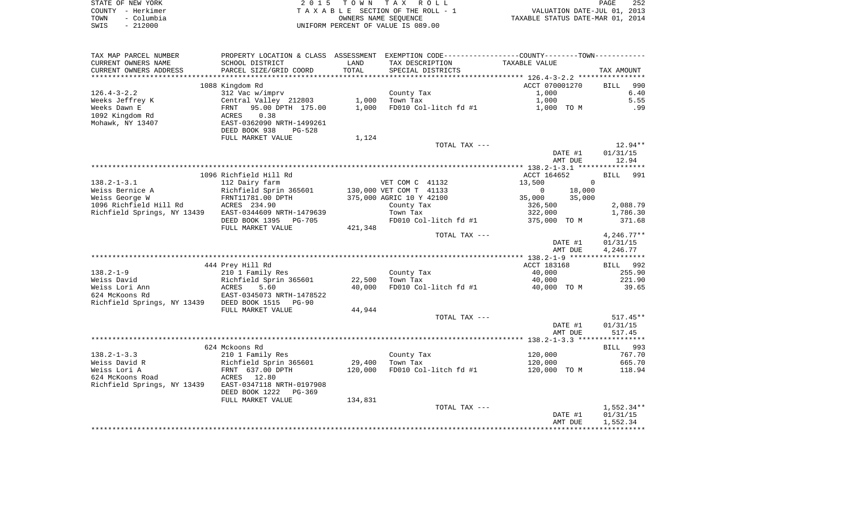|      | STATE OF NEW YORK | 2015 TOWN TAX ROLL                 | PAGE                             | 252 |
|------|-------------------|------------------------------------|----------------------------------|-----|
|      | COUNTY - Herkimer | TAXABLE SECTION OF THE ROLL - 1    | VALUATION DATE-JUL 01, 2013      |     |
| TOWN | - Columbia        | OWNERS NAME SEOUENCE               | TAXABLE STATUS DATE-MAR 01, 2014 |     |
| SWIS | $-212000$         | UNIFORM PERCENT OF VALUE IS 089.00 |                                  |     |

| TAX MAP PARCEL NUMBER       | PROPERTY LOCATION & CLASS ASSESSMENT EXEMPTION CODE---------------COUNTY-------TOWN---------- |         |                          |                       |                     |
|-----------------------------|-----------------------------------------------------------------------------------------------|---------|--------------------------|-----------------------|---------------------|
| CURRENT OWNERS NAME         | SCHOOL DISTRICT                                                                               | LAND    | TAX DESCRIPTION          | TAXABLE VALUE         |                     |
| CURRENT OWNERS ADDRESS      | PARCEL SIZE/GRID COORD                                                                        | TOTAL   | SPECIAL DISTRICTS        |                       | TAX AMOUNT          |
| **********************      | ****************************                                                                  |         |                          |                       |                     |
|                             | 1088 Kingdom Rd                                                                               |         |                          | ACCT 070001270        | 990<br><b>BILL</b>  |
| $126.4 - 3 - 2.2$           | 312 Vac w/imprv                                                                               |         | County Tax               | 1,000                 | 6.40                |
| Weeks Jeffrey K             | Central Valley 212803                                                                         | 1,000   | Town Tax                 | 1,000                 | 5.55                |
| Weeks Dawn E                | 95.00 DPTH 175.00<br>FRNT                                                                     | 1,000   | FD010 Col-litch fd #1    | 1,000 TO M            | .99                 |
| 1092 Kingdom Rd             | 0.38<br>ACRES                                                                                 |         |                          |                       |                     |
| Mohawk, NY 13407            | EAST-0362090 NRTH-1499261                                                                     |         |                          |                       |                     |
|                             | DEED BOOK 938<br>$PG-528$                                                                     |         |                          |                       |                     |
|                             | FULL MARKET VALUE                                                                             | 1,124   |                          |                       |                     |
|                             |                                                                                               |         | TOTAL TAX ---            | DATE #1               | 12.94**<br>01/31/15 |
|                             |                                                                                               |         |                          | AMT DUE               | 12.94               |
|                             |                                                                                               |         |                          |                       |                     |
|                             | 1096 Richfield Hill Rd                                                                        |         |                          | ACCT 164652           | 991<br><b>BILL</b>  |
| $138.2 - 1 - 3.1$           | 112 Dairy farm                                                                                |         | VET COM C 41132          | 13,500<br>$\mathbf 0$ |                     |
| Weiss Bernice A             | Richfield Sprin 365601                                                                        |         | 130,000 VET COM T 41133  | 18,000<br>$\Omega$    |                     |
| Weiss George W              | FRNT11781.00 DPTH                                                                             |         | 375,000 AGRIC 10 Y 42100 | 35,000<br>35,000      |                     |
| 1096 Richfield Hill Rd      | ACRES 234.90                                                                                  |         | County Tax               | 326,500               | 2,088.79            |
| Richfield Springs, NY 13439 | EAST-0344609 NRTH-1479639                                                                     |         | Town Tax                 | 322,000               | 1,786.30            |
|                             | DEED BOOK 1395<br><b>PG-705</b>                                                               |         | FD010 Col-litch fd #1    | 375,000 TO M          | 371.68              |
|                             | FULL MARKET VALUE                                                                             | 421,348 |                          |                       |                     |
|                             |                                                                                               |         | TOTAL TAX ---            |                       | $4,246.77**$        |
|                             |                                                                                               |         |                          | DATE #1               | 01/31/15            |
|                             |                                                                                               |         |                          | AMT DUE               | 4,246.77            |
|                             |                                                                                               |         |                          |                       |                     |
|                             | 444 Prey Hill Rd                                                                              |         |                          | ACCT 183168           | BILL 992            |
| $138.2 - 1 - 9$             | 210 1 Family Res                                                                              |         | County Tax               | 40,000                | 255.90              |
| Weiss David                 | Richfield Sprin 365601                                                                        | 22,500  | Town Tax                 | 40,000                | 221.90              |
| Weiss Lori Ann              | ACRES<br>5.60                                                                                 | 40,000  | FD010 Col-litch fd #1    | 40,000 TO M           | 39.65               |
| 624 McKoons Rd              | EAST-0345073 NRTH-1478522                                                                     |         |                          |                       |                     |
| Richfield Springs, NY 13439 | DEED BOOK 1515<br><b>PG-90</b>                                                                |         |                          |                       |                     |
|                             | FULL MARKET VALUE                                                                             | 44,944  |                          |                       |                     |
|                             |                                                                                               |         | TOTAL TAX ---            |                       | $517.45**$          |
|                             |                                                                                               |         |                          | DATE #1               | 01/31/15            |
|                             |                                                                                               |         |                          | AMT DUE               | 517.45              |
|                             | 624 Mckoons Rd                                                                                |         |                          |                       | BILL 993            |
| $138.2 - 1 - 3.3$           | 210 1 Family Res                                                                              |         | County Tax               | 120,000               | 767.70              |
| Weiss David R               | Richfield Sprin 365601                                                                        | 29,400  | Town Tax                 | 120,000               | 665.70              |
| Weiss Lori A                | FRNT 637.00 DPTH                                                                              | 120,000 | FD010 Col-litch fd #1    | 120,000 TO M          | 118.94              |
| 624 McKoons Road            | 12.80<br>ACRES                                                                                |         |                          |                       |                     |
| Richfield Springs, NY 13439 | EAST-0347118 NRTH-0197908                                                                     |         |                          |                       |                     |
|                             | DEED BOOK 1222<br>$PG-369$                                                                    |         |                          |                       |                     |
|                             | FULL MARKET VALUE                                                                             | 134,831 |                          |                       |                     |
|                             |                                                                                               |         | TOTAL TAX ---            |                       | $1,552.34**$        |
|                             |                                                                                               |         |                          | DATE #1               | 01/31/15            |
|                             |                                                                                               |         |                          | AMT DUE               | 1,552.34            |
|                             |                                                                                               |         |                          |                       |                     |
|                             |                                                                                               |         |                          |                       |                     |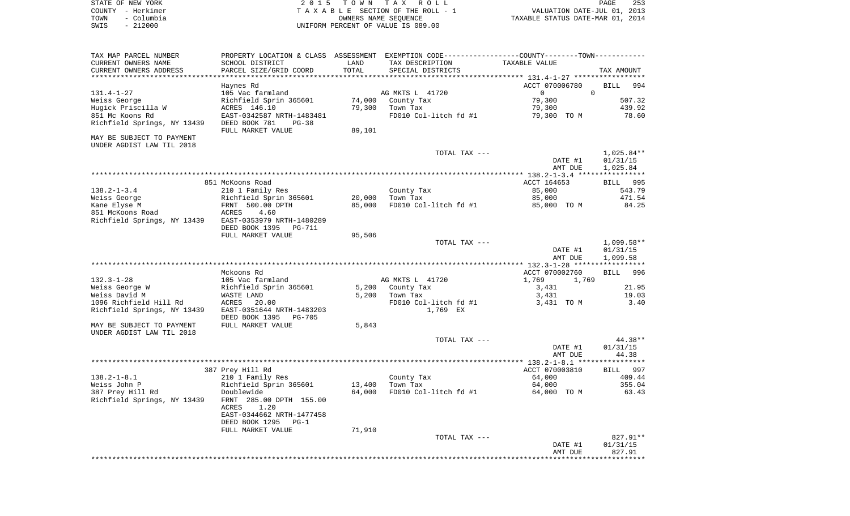| STATE OF NEW YORK  | 2015 TOWN TAX ROLL<br>PAGE                                     | 253 |
|--------------------|----------------------------------------------------------------|-----|
| COUNTY - Herkimer  | VALUATION DATE-JUL 01, 2013<br>TAXABLE SECTION OF THE ROLL - 1 |     |
| – Columbia<br>TOWN | TAXABLE STATUS DATE-MAR 01, 2014<br>OWNERS NAME SEOUENCE       |     |
| $-212000$<br>SWIS  | UNIFORM PERCENT OF VALUE IS 089.00                             |     |

| TAX MAP PARCEL NUMBER       | PROPERTY LOCATION & CLASS ASSESSMENT EXEMPTION CODE----------------COUNTY-------TOWN----------- |        |                       |                                                  |              |
|-----------------------------|-------------------------------------------------------------------------------------------------|--------|-----------------------|--------------------------------------------------|--------------|
| CURRENT OWNERS NAME         | SCHOOL DISTRICT                                                                                 | LAND   | TAX DESCRIPTION       | TAXABLE VALUE                                    |              |
| CURRENT OWNERS ADDRESS      | PARCEL SIZE/GRID COORD                                                                          | TOTAL  | SPECIAL DISTRICTS     |                                                  | TAX AMOUNT   |
| ********************        |                                                                                                 |        |                       | ****************** 131.4-1-27 ****************** |              |
|                             | Haynes Rd                                                                                       |        |                       | ACCT 070006780                                   | 994<br>BILL  |
| $131.4 - 1 - 27$            | 105 Vac farmland                                                                                |        | AG MKTS L 41720       | $\overline{0}$                                   | $\Omega$     |
| Weiss George                | Richfield Sprin 365601                                                                          | 74,000 | County Tax            | 79,300                                           | 507.32       |
| Hugick Priscilla W          | ACRES 146.10                                                                                    | 79,300 | Town Tax              | 79,300                                           | 439.92       |
| 851 Mc Koons Rd             | EAST-0342587 NRTH-1483481                                                                       |        | FD010 Col-litch fd #1 | 79,300 TO M                                      | 78.60        |
| Richfield Springs, NY 13439 | DEED BOOK 781<br>$PG-38$                                                                        |        |                       |                                                  |              |
|                             | FULL MARKET VALUE                                                                               | 89,101 |                       |                                                  |              |
| MAY BE SUBJECT TO PAYMENT   |                                                                                                 |        |                       |                                                  |              |
|                             |                                                                                                 |        |                       |                                                  |              |
| UNDER AGDIST LAW TIL 2018   |                                                                                                 |        |                       |                                                  |              |
|                             |                                                                                                 |        | TOTAL TAX ---         |                                                  | 1,025.84**   |
|                             |                                                                                                 |        |                       | DATE #1                                          | 01/31/15     |
|                             |                                                                                                 |        |                       | AMT DUE                                          | 1,025.84     |
|                             |                                                                                                 |        |                       |                                                  |              |
|                             | 851 McKoons Road                                                                                |        |                       | ACCT 164653                                      | BILL 995     |
| $138.2 - 1 - 3.4$           | 210 1 Family Res                                                                                |        | County Tax            | 85,000                                           | 543.79       |
| Weiss George                | Richfield Sprin 365601                                                                          | 20,000 | Town Tax              | 85,000                                           | 471.54       |
| Kane Elyse M                | FRNT 500.00 DPTH                                                                                | 85,000 | FD010 Col-litch fd #1 | 85,000 TO M                                      | 84.25        |
| 851 McKoons Road            | ACRES<br>4.60                                                                                   |        |                       |                                                  |              |
| Richfield Springs, NY 13439 | EAST-0353979 NRTH-1480289                                                                       |        |                       |                                                  |              |
|                             | DEED BOOK 1395<br>PG-711                                                                        |        |                       |                                                  |              |
|                             | FULL MARKET VALUE                                                                               | 95,506 |                       |                                                  |              |
|                             |                                                                                                 |        | TOTAL TAX ---         |                                                  | $1,099.58**$ |
|                             |                                                                                                 |        |                       | DATE #1                                          | 01/31/15     |
|                             |                                                                                                 |        |                       | AMT DUE                                          | 1,099.58     |
|                             |                                                                                                 |        |                       |                                                  |              |
|                             | Mckoons Rd                                                                                      |        |                       | ACCT 070002760                                   | BILL 996     |
| $132.3 - 1 - 28$            | 105 Vac farmland                                                                                |        | AG MKTS L 41720       | 1,769<br>1,769                                   |              |
| Weiss George W              | Richfield Sprin 365601                                                                          | 5,200  | County Tax            | 3,431                                            | 21.95        |
| Weiss David M               | WASTE LAND                                                                                      | 5,200  | Town Tax              | 3,431                                            | 19.03        |
| 1096 Richfield Hill Rd      | ACRES<br>20.00                                                                                  |        | FD010 Col-litch fd #1 | 3,431 TO M                                       | 3.40         |
| Richfield Springs, NY 13439 | EAST-0351644 NRTH-1483203                                                                       |        | 1,769 EX              |                                                  |              |
|                             | DEED BOOK 1395<br>PG-705                                                                        |        |                       |                                                  |              |
| MAY BE SUBJECT TO PAYMENT   | FULL MARKET VALUE                                                                               | 5,843  |                       |                                                  |              |
| UNDER AGDIST LAW TIL 2018   |                                                                                                 |        |                       |                                                  |              |
|                             |                                                                                                 |        | TOTAL TAX ---         |                                                  | 44.38**      |
|                             |                                                                                                 |        |                       | DATE #1                                          | 01/31/15     |
|                             |                                                                                                 |        |                       | AMT DUE                                          | 44.38        |
|                             |                                                                                                 |        |                       |                                                  |              |
|                             | 387 Prey Hill Rd                                                                                |        |                       |                                                  | BILL 997     |
|                             |                                                                                                 |        |                       | ACCT 070003810                                   |              |
| $138.2 - 1 - 8.1$           | 210 1 Family Res                                                                                |        | County Tax            | 64,000                                           | 409.44       |
| Weiss John P                | Richfield Sprin 365601                                                                          | 13,400 | Town Tax              | 64,000                                           | 355.04       |
| 387 Prey Hill Rd            | Doublewide                                                                                      | 64,000 | FD010 Col-litch fd #1 | 64,000 TO M                                      | 63.43        |
| Richfield Springs, NY 13439 | FRNT 285.00 DPTH 155.00                                                                         |        |                       |                                                  |              |
|                             | ACRES<br>1.20                                                                                   |        |                       |                                                  |              |
|                             | EAST-0344662 NRTH-1477458                                                                       |        |                       |                                                  |              |
|                             | DEED BOOK 1295<br>$PG-1$                                                                        |        |                       |                                                  |              |
|                             | FULL MARKET VALUE                                                                               | 71,910 |                       |                                                  |              |
|                             |                                                                                                 |        | TOTAL TAX ---         |                                                  | 827.91**     |
|                             |                                                                                                 |        |                       | DATE #1                                          | 01/31/15     |
|                             |                                                                                                 |        |                       | AMT DUE                                          | 827.91       |
|                             |                                                                                                 |        |                       |                                                  |              |
|                             |                                                                                                 |        |                       |                                                  |              |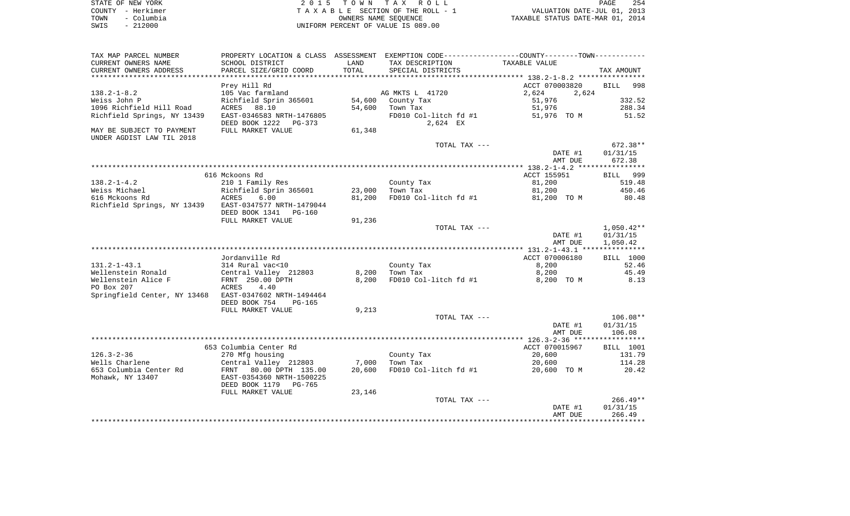|      | STATE OF NEW YORK | 2015 TOWN TAX ROLL                 | 254<br><b>PAGE</b>               |
|------|-------------------|------------------------------------|----------------------------------|
|      | COUNTY - Herkimer | TAXABLE SECTION OF THE ROLL - 1    | VALUATION DATE-JUL 01, 2013      |
| TOWN | - Columbia        | OWNERS NAME SEOUENCE               | TAXABLE STATUS DATE-MAR 01, 2014 |
| SWIS | - 212000          | UNIFORM PERCENT OF VALUE IS 089.00 |                                  |

TAX MAP PARCEL NUMBER PROPERTY LOCATION & CLASS ASSESSMENT EXEMPTION CODE------------------COUNTY--------TOWN------------

| CURRENT OWNERS ADDRESS<br>PARCEL SIZE/GRID COORD<br>TOTAL<br>SPECIAL DISTRICTS<br>TAX AMOUNT<br>********************<br>***********************************<br>***************** 138.2-1-8.2 *********<br>Prey Hill Rd<br>ACCT 070003820<br>998<br><b>BILL</b><br>2,624<br>$138.2 - 1 - 8.2$<br>105 Vac farmland<br>AG MKTS L 41720<br>2,624<br>332.52<br>Weiss John P<br>Richfield Sprin 365601<br>54,600<br>County Tax<br>51,976<br>1096 Richfield Hill Road<br>88.10<br>54,600<br>51,976<br>288.34<br>ACRES<br>Town Tax<br>Richfield Springs, NY 13439<br>EAST-0346583 NRTH-1476805<br>FD010 Col-litch fd #1<br>51,976 TO M<br>51.52<br>DEED BOOK 1222<br>2,624 EX<br>$PG-373$<br>MAY BE SUBJECT TO PAYMENT<br>FULL MARKET VALUE<br>61,348<br>UNDER AGDIST LAW TIL 2018<br>TOTAL TAX ---<br>672.38**<br>DATE #1<br>01/31/15<br>672.38<br>AMT DUE<br>************ 138.2-1-4.2 ****************<br>616 Mckoons Rd<br>ACCT 155951<br>999<br><b>BILL</b><br>81,200<br>519.48<br>$138.2 - 1 - 4.2$<br>210 1 Family Res<br>County Tax<br>Weiss Michael<br>Richfield Sprin 365601<br>23,000<br>81,200<br>450.46<br>Town Tax<br>616 Mckoons Rd<br><b>ACRES</b><br>6.00<br>81,200<br>FD010 Col-litch fd #1<br>81,200 TO M<br>80.48<br>EAST-0347577 NRTH-1479044<br>Richfield Springs, NY 13439<br>DEED BOOK 1341<br><b>PG-160</b><br>FULL MARKET VALUE<br>91,236<br>TOTAL TAX ---<br>$1,050.42**$<br>DATE #1<br>01/31/15<br>AMT DUE<br>1,050.42<br>****** 131.2-1-43.1 ***************<br>ACCT 070006180<br>Jordanville Rd<br><b>BILL 1000</b><br>$131.2 - 1 - 43.1$<br>314 Rural vac<10<br>County Tax<br>8,200<br>52.46<br>Central Valley 212803<br>8,200<br>45.49<br>Wellenstein Ronald<br>8,200<br>Town Tax<br>Wellenstein Alice F<br>FRNT 250.00 DPTH<br>8,200<br>FD010 Col-litch fd #1<br>8.13<br>8,200 TO M<br>PO Box 207<br>ACRES<br>4.40<br>Springfield Center, NY 13468<br>EAST-0347602 NRTH-1494464<br>DEED BOOK 754<br>$PG-165$<br>FULL MARKET VALUE<br>9,213<br>TOTAL TAX ---<br>$106.08**$<br>DATE #1<br>01/31/15<br>AMT DUE<br>106.08<br>ACCT 070015967<br>BILL 1001<br>653 Columbia Center Rd<br>$126.3 - 2 - 36$<br>270 Mfg housing<br>County Tax<br>20,600<br>131.79<br>Wells Charlene<br>Central Valley 212803<br>7,000<br>Town Tax<br>20,600<br>114.28<br>653 Columbia Center Rd<br>FD010 Col-litch fd #1<br><b>FRNT</b><br>80.00 DPTH 135.00<br>20,600<br>20,600 TO M<br>20.42<br>Mohawk, NY 13407<br>EAST-0354360 NRTH-1500225<br>DEED BOOK 1179<br><b>PG-765</b><br>FULL MARKET VALUE<br>23,146<br>$266.49**$<br>TOTAL TAX ---<br>DATE #1<br>01/31/15<br>266.49<br>AMT DUE | CURRENT OWNERS NAME | SCHOOL DISTRICT | LAND | TAX DESCRIPTION | TAXABLE VALUE |  |
|--------------------------------------------------------------------------------------------------------------------------------------------------------------------------------------------------------------------------------------------------------------------------------------------------------------------------------------------------------------------------------------------------------------------------------------------------------------------------------------------------------------------------------------------------------------------------------------------------------------------------------------------------------------------------------------------------------------------------------------------------------------------------------------------------------------------------------------------------------------------------------------------------------------------------------------------------------------------------------------------------------------------------------------------------------------------------------------------------------------------------------------------------------------------------------------------------------------------------------------------------------------------------------------------------------------------------------------------------------------------------------------------------------------------------------------------------------------------------------------------------------------------------------------------------------------------------------------------------------------------------------------------------------------------------------------------------------------------------------------------------------------------------------------------------------------------------------------------------------------------------------------------------------------------------------------------------------------------------------------------------------------------------------------------------------------------------------------------------------------------------------------------------------------------------------------------------------------------------------------------------------------------------------------------------------------------------------------------------------------------------------------------------------------------------------------------------------------------------------------------------------------------------------------------------------------------------------------------|---------------------|-----------------|------|-----------------|---------------|--|
|                                                                                                                                                                                                                                                                                                                                                                                                                                                                                                                                                                                                                                                                                                                                                                                                                                                                                                                                                                                                                                                                                                                                                                                                                                                                                                                                                                                                                                                                                                                                                                                                                                                                                                                                                                                                                                                                                                                                                                                                                                                                                                                                                                                                                                                                                                                                                                                                                                                                                                                                                                                            |                     |                 |      |                 |               |  |
|                                                                                                                                                                                                                                                                                                                                                                                                                                                                                                                                                                                                                                                                                                                                                                                                                                                                                                                                                                                                                                                                                                                                                                                                                                                                                                                                                                                                                                                                                                                                                                                                                                                                                                                                                                                                                                                                                                                                                                                                                                                                                                                                                                                                                                                                                                                                                                                                                                                                                                                                                                                            |                     |                 |      |                 |               |  |
|                                                                                                                                                                                                                                                                                                                                                                                                                                                                                                                                                                                                                                                                                                                                                                                                                                                                                                                                                                                                                                                                                                                                                                                                                                                                                                                                                                                                                                                                                                                                                                                                                                                                                                                                                                                                                                                                                                                                                                                                                                                                                                                                                                                                                                                                                                                                                                                                                                                                                                                                                                                            |                     |                 |      |                 |               |  |
|                                                                                                                                                                                                                                                                                                                                                                                                                                                                                                                                                                                                                                                                                                                                                                                                                                                                                                                                                                                                                                                                                                                                                                                                                                                                                                                                                                                                                                                                                                                                                                                                                                                                                                                                                                                                                                                                                                                                                                                                                                                                                                                                                                                                                                                                                                                                                                                                                                                                                                                                                                                            |                     |                 |      |                 |               |  |
|                                                                                                                                                                                                                                                                                                                                                                                                                                                                                                                                                                                                                                                                                                                                                                                                                                                                                                                                                                                                                                                                                                                                                                                                                                                                                                                                                                                                                                                                                                                                                                                                                                                                                                                                                                                                                                                                                                                                                                                                                                                                                                                                                                                                                                                                                                                                                                                                                                                                                                                                                                                            |                     |                 |      |                 |               |  |
|                                                                                                                                                                                                                                                                                                                                                                                                                                                                                                                                                                                                                                                                                                                                                                                                                                                                                                                                                                                                                                                                                                                                                                                                                                                                                                                                                                                                                                                                                                                                                                                                                                                                                                                                                                                                                                                                                                                                                                                                                                                                                                                                                                                                                                                                                                                                                                                                                                                                                                                                                                                            |                     |                 |      |                 |               |  |
|                                                                                                                                                                                                                                                                                                                                                                                                                                                                                                                                                                                                                                                                                                                                                                                                                                                                                                                                                                                                                                                                                                                                                                                                                                                                                                                                                                                                                                                                                                                                                                                                                                                                                                                                                                                                                                                                                                                                                                                                                                                                                                                                                                                                                                                                                                                                                                                                                                                                                                                                                                                            |                     |                 |      |                 |               |  |
|                                                                                                                                                                                                                                                                                                                                                                                                                                                                                                                                                                                                                                                                                                                                                                                                                                                                                                                                                                                                                                                                                                                                                                                                                                                                                                                                                                                                                                                                                                                                                                                                                                                                                                                                                                                                                                                                                                                                                                                                                                                                                                                                                                                                                                                                                                                                                                                                                                                                                                                                                                                            |                     |                 |      |                 |               |  |
|                                                                                                                                                                                                                                                                                                                                                                                                                                                                                                                                                                                                                                                                                                                                                                                                                                                                                                                                                                                                                                                                                                                                                                                                                                                                                                                                                                                                                                                                                                                                                                                                                                                                                                                                                                                                                                                                                                                                                                                                                                                                                                                                                                                                                                                                                                                                                                                                                                                                                                                                                                                            |                     |                 |      |                 |               |  |
|                                                                                                                                                                                                                                                                                                                                                                                                                                                                                                                                                                                                                                                                                                                                                                                                                                                                                                                                                                                                                                                                                                                                                                                                                                                                                                                                                                                                                                                                                                                                                                                                                                                                                                                                                                                                                                                                                                                                                                                                                                                                                                                                                                                                                                                                                                                                                                                                                                                                                                                                                                                            |                     |                 |      |                 |               |  |
|                                                                                                                                                                                                                                                                                                                                                                                                                                                                                                                                                                                                                                                                                                                                                                                                                                                                                                                                                                                                                                                                                                                                                                                                                                                                                                                                                                                                                                                                                                                                                                                                                                                                                                                                                                                                                                                                                                                                                                                                                                                                                                                                                                                                                                                                                                                                                                                                                                                                                                                                                                                            |                     |                 |      |                 |               |  |
|                                                                                                                                                                                                                                                                                                                                                                                                                                                                                                                                                                                                                                                                                                                                                                                                                                                                                                                                                                                                                                                                                                                                                                                                                                                                                                                                                                                                                                                                                                                                                                                                                                                                                                                                                                                                                                                                                                                                                                                                                                                                                                                                                                                                                                                                                                                                                                                                                                                                                                                                                                                            |                     |                 |      |                 |               |  |
|                                                                                                                                                                                                                                                                                                                                                                                                                                                                                                                                                                                                                                                                                                                                                                                                                                                                                                                                                                                                                                                                                                                                                                                                                                                                                                                                                                                                                                                                                                                                                                                                                                                                                                                                                                                                                                                                                                                                                                                                                                                                                                                                                                                                                                                                                                                                                                                                                                                                                                                                                                                            |                     |                 |      |                 |               |  |
|                                                                                                                                                                                                                                                                                                                                                                                                                                                                                                                                                                                                                                                                                                                                                                                                                                                                                                                                                                                                                                                                                                                                                                                                                                                                                                                                                                                                                                                                                                                                                                                                                                                                                                                                                                                                                                                                                                                                                                                                                                                                                                                                                                                                                                                                                                                                                                                                                                                                                                                                                                                            |                     |                 |      |                 |               |  |
|                                                                                                                                                                                                                                                                                                                                                                                                                                                                                                                                                                                                                                                                                                                                                                                                                                                                                                                                                                                                                                                                                                                                                                                                                                                                                                                                                                                                                                                                                                                                                                                                                                                                                                                                                                                                                                                                                                                                                                                                                                                                                                                                                                                                                                                                                                                                                                                                                                                                                                                                                                                            |                     |                 |      |                 |               |  |
|                                                                                                                                                                                                                                                                                                                                                                                                                                                                                                                                                                                                                                                                                                                                                                                                                                                                                                                                                                                                                                                                                                                                                                                                                                                                                                                                                                                                                                                                                                                                                                                                                                                                                                                                                                                                                                                                                                                                                                                                                                                                                                                                                                                                                                                                                                                                                                                                                                                                                                                                                                                            |                     |                 |      |                 |               |  |
|                                                                                                                                                                                                                                                                                                                                                                                                                                                                                                                                                                                                                                                                                                                                                                                                                                                                                                                                                                                                                                                                                                                                                                                                                                                                                                                                                                                                                                                                                                                                                                                                                                                                                                                                                                                                                                                                                                                                                                                                                                                                                                                                                                                                                                                                                                                                                                                                                                                                                                                                                                                            |                     |                 |      |                 |               |  |
|                                                                                                                                                                                                                                                                                                                                                                                                                                                                                                                                                                                                                                                                                                                                                                                                                                                                                                                                                                                                                                                                                                                                                                                                                                                                                                                                                                                                                                                                                                                                                                                                                                                                                                                                                                                                                                                                                                                                                                                                                                                                                                                                                                                                                                                                                                                                                                                                                                                                                                                                                                                            |                     |                 |      |                 |               |  |
|                                                                                                                                                                                                                                                                                                                                                                                                                                                                                                                                                                                                                                                                                                                                                                                                                                                                                                                                                                                                                                                                                                                                                                                                                                                                                                                                                                                                                                                                                                                                                                                                                                                                                                                                                                                                                                                                                                                                                                                                                                                                                                                                                                                                                                                                                                                                                                                                                                                                                                                                                                                            |                     |                 |      |                 |               |  |
|                                                                                                                                                                                                                                                                                                                                                                                                                                                                                                                                                                                                                                                                                                                                                                                                                                                                                                                                                                                                                                                                                                                                                                                                                                                                                                                                                                                                                                                                                                                                                                                                                                                                                                                                                                                                                                                                                                                                                                                                                                                                                                                                                                                                                                                                                                                                                                                                                                                                                                                                                                                            |                     |                 |      |                 |               |  |
|                                                                                                                                                                                                                                                                                                                                                                                                                                                                                                                                                                                                                                                                                                                                                                                                                                                                                                                                                                                                                                                                                                                                                                                                                                                                                                                                                                                                                                                                                                                                                                                                                                                                                                                                                                                                                                                                                                                                                                                                                                                                                                                                                                                                                                                                                                                                                                                                                                                                                                                                                                                            |                     |                 |      |                 |               |  |
|                                                                                                                                                                                                                                                                                                                                                                                                                                                                                                                                                                                                                                                                                                                                                                                                                                                                                                                                                                                                                                                                                                                                                                                                                                                                                                                                                                                                                                                                                                                                                                                                                                                                                                                                                                                                                                                                                                                                                                                                                                                                                                                                                                                                                                                                                                                                                                                                                                                                                                                                                                                            |                     |                 |      |                 |               |  |
|                                                                                                                                                                                                                                                                                                                                                                                                                                                                                                                                                                                                                                                                                                                                                                                                                                                                                                                                                                                                                                                                                                                                                                                                                                                                                                                                                                                                                                                                                                                                                                                                                                                                                                                                                                                                                                                                                                                                                                                                                                                                                                                                                                                                                                                                                                                                                                                                                                                                                                                                                                                            |                     |                 |      |                 |               |  |
|                                                                                                                                                                                                                                                                                                                                                                                                                                                                                                                                                                                                                                                                                                                                                                                                                                                                                                                                                                                                                                                                                                                                                                                                                                                                                                                                                                                                                                                                                                                                                                                                                                                                                                                                                                                                                                                                                                                                                                                                                                                                                                                                                                                                                                                                                                                                                                                                                                                                                                                                                                                            |                     |                 |      |                 |               |  |
|                                                                                                                                                                                                                                                                                                                                                                                                                                                                                                                                                                                                                                                                                                                                                                                                                                                                                                                                                                                                                                                                                                                                                                                                                                                                                                                                                                                                                                                                                                                                                                                                                                                                                                                                                                                                                                                                                                                                                                                                                                                                                                                                                                                                                                                                                                                                                                                                                                                                                                                                                                                            |                     |                 |      |                 |               |  |
|                                                                                                                                                                                                                                                                                                                                                                                                                                                                                                                                                                                                                                                                                                                                                                                                                                                                                                                                                                                                                                                                                                                                                                                                                                                                                                                                                                                                                                                                                                                                                                                                                                                                                                                                                                                                                                                                                                                                                                                                                                                                                                                                                                                                                                                                                                                                                                                                                                                                                                                                                                                            |                     |                 |      |                 |               |  |
|                                                                                                                                                                                                                                                                                                                                                                                                                                                                                                                                                                                                                                                                                                                                                                                                                                                                                                                                                                                                                                                                                                                                                                                                                                                                                                                                                                                                                                                                                                                                                                                                                                                                                                                                                                                                                                                                                                                                                                                                                                                                                                                                                                                                                                                                                                                                                                                                                                                                                                                                                                                            |                     |                 |      |                 |               |  |
|                                                                                                                                                                                                                                                                                                                                                                                                                                                                                                                                                                                                                                                                                                                                                                                                                                                                                                                                                                                                                                                                                                                                                                                                                                                                                                                                                                                                                                                                                                                                                                                                                                                                                                                                                                                                                                                                                                                                                                                                                                                                                                                                                                                                                                                                                                                                                                                                                                                                                                                                                                                            |                     |                 |      |                 |               |  |
|                                                                                                                                                                                                                                                                                                                                                                                                                                                                                                                                                                                                                                                                                                                                                                                                                                                                                                                                                                                                                                                                                                                                                                                                                                                                                                                                                                                                                                                                                                                                                                                                                                                                                                                                                                                                                                                                                                                                                                                                                                                                                                                                                                                                                                                                                                                                                                                                                                                                                                                                                                                            |                     |                 |      |                 |               |  |
|                                                                                                                                                                                                                                                                                                                                                                                                                                                                                                                                                                                                                                                                                                                                                                                                                                                                                                                                                                                                                                                                                                                                                                                                                                                                                                                                                                                                                                                                                                                                                                                                                                                                                                                                                                                                                                                                                                                                                                                                                                                                                                                                                                                                                                                                                                                                                                                                                                                                                                                                                                                            |                     |                 |      |                 |               |  |
|                                                                                                                                                                                                                                                                                                                                                                                                                                                                                                                                                                                                                                                                                                                                                                                                                                                                                                                                                                                                                                                                                                                                                                                                                                                                                                                                                                                                                                                                                                                                                                                                                                                                                                                                                                                                                                                                                                                                                                                                                                                                                                                                                                                                                                                                                                                                                                                                                                                                                                                                                                                            |                     |                 |      |                 |               |  |
|                                                                                                                                                                                                                                                                                                                                                                                                                                                                                                                                                                                                                                                                                                                                                                                                                                                                                                                                                                                                                                                                                                                                                                                                                                                                                                                                                                                                                                                                                                                                                                                                                                                                                                                                                                                                                                                                                                                                                                                                                                                                                                                                                                                                                                                                                                                                                                                                                                                                                                                                                                                            |                     |                 |      |                 |               |  |
|                                                                                                                                                                                                                                                                                                                                                                                                                                                                                                                                                                                                                                                                                                                                                                                                                                                                                                                                                                                                                                                                                                                                                                                                                                                                                                                                                                                                                                                                                                                                                                                                                                                                                                                                                                                                                                                                                                                                                                                                                                                                                                                                                                                                                                                                                                                                                                                                                                                                                                                                                                                            |                     |                 |      |                 |               |  |
|                                                                                                                                                                                                                                                                                                                                                                                                                                                                                                                                                                                                                                                                                                                                                                                                                                                                                                                                                                                                                                                                                                                                                                                                                                                                                                                                                                                                                                                                                                                                                                                                                                                                                                                                                                                                                                                                                                                                                                                                                                                                                                                                                                                                                                                                                                                                                                                                                                                                                                                                                                                            |                     |                 |      |                 |               |  |
|                                                                                                                                                                                                                                                                                                                                                                                                                                                                                                                                                                                                                                                                                                                                                                                                                                                                                                                                                                                                                                                                                                                                                                                                                                                                                                                                                                                                                                                                                                                                                                                                                                                                                                                                                                                                                                                                                                                                                                                                                                                                                                                                                                                                                                                                                                                                                                                                                                                                                                                                                                                            |                     |                 |      |                 |               |  |
|                                                                                                                                                                                                                                                                                                                                                                                                                                                                                                                                                                                                                                                                                                                                                                                                                                                                                                                                                                                                                                                                                                                                                                                                                                                                                                                                                                                                                                                                                                                                                                                                                                                                                                                                                                                                                                                                                                                                                                                                                                                                                                                                                                                                                                                                                                                                                                                                                                                                                                                                                                                            |                     |                 |      |                 |               |  |
|                                                                                                                                                                                                                                                                                                                                                                                                                                                                                                                                                                                                                                                                                                                                                                                                                                                                                                                                                                                                                                                                                                                                                                                                                                                                                                                                                                                                                                                                                                                                                                                                                                                                                                                                                                                                                                                                                                                                                                                                                                                                                                                                                                                                                                                                                                                                                                                                                                                                                                                                                                                            |                     |                 |      |                 |               |  |
|                                                                                                                                                                                                                                                                                                                                                                                                                                                                                                                                                                                                                                                                                                                                                                                                                                                                                                                                                                                                                                                                                                                                                                                                                                                                                                                                                                                                                                                                                                                                                                                                                                                                                                                                                                                                                                                                                                                                                                                                                                                                                                                                                                                                                                                                                                                                                                                                                                                                                                                                                                                            |                     |                 |      |                 |               |  |
|                                                                                                                                                                                                                                                                                                                                                                                                                                                                                                                                                                                                                                                                                                                                                                                                                                                                                                                                                                                                                                                                                                                                                                                                                                                                                                                                                                                                                                                                                                                                                                                                                                                                                                                                                                                                                                                                                                                                                                                                                                                                                                                                                                                                                                                                                                                                                                                                                                                                                                                                                                                            |                     |                 |      |                 |               |  |
|                                                                                                                                                                                                                                                                                                                                                                                                                                                                                                                                                                                                                                                                                                                                                                                                                                                                                                                                                                                                                                                                                                                                                                                                                                                                                                                                                                                                                                                                                                                                                                                                                                                                                                                                                                                                                                                                                                                                                                                                                                                                                                                                                                                                                                                                                                                                                                                                                                                                                                                                                                                            |                     |                 |      |                 |               |  |
|                                                                                                                                                                                                                                                                                                                                                                                                                                                                                                                                                                                                                                                                                                                                                                                                                                                                                                                                                                                                                                                                                                                                                                                                                                                                                                                                                                                                                                                                                                                                                                                                                                                                                                                                                                                                                                                                                                                                                                                                                                                                                                                                                                                                                                                                                                                                                                                                                                                                                                                                                                                            |                     |                 |      |                 |               |  |
|                                                                                                                                                                                                                                                                                                                                                                                                                                                                                                                                                                                                                                                                                                                                                                                                                                                                                                                                                                                                                                                                                                                                                                                                                                                                                                                                                                                                                                                                                                                                                                                                                                                                                                                                                                                                                                                                                                                                                                                                                                                                                                                                                                                                                                                                                                                                                                                                                                                                                                                                                                                            |                     |                 |      |                 |               |  |
|                                                                                                                                                                                                                                                                                                                                                                                                                                                                                                                                                                                                                                                                                                                                                                                                                                                                                                                                                                                                                                                                                                                                                                                                                                                                                                                                                                                                                                                                                                                                                                                                                                                                                                                                                                                                                                                                                                                                                                                                                                                                                                                                                                                                                                                                                                                                                                                                                                                                                                                                                                                            |                     |                 |      |                 |               |  |
|                                                                                                                                                                                                                                                                                                                                                                                                                                                                                                                                                                                                                                                                                                                                                                                                                                                                                                                                                                                                                                                                                                                                                                                                                                                                                                                                                                                                                                                                                                                                                                                                                                                                                                                                                                                                                                                                                                                                                                                                                                                                                                                                                                                                                                                                                                                                                                                                                                                                                                                                                                                            |                     |                 |      |                 |               |  |
|                                                                                                                                                                                                                                                                                                                                                                                                                                                                                                                                                                                                                                                                                                                                                                                                                                                                                                                                                                                                                                                                                                                                                                                                                                                                                                                                                                                                                                                                                                                                                                                                                                                                                                                                                                                                                                                                                                                                                                                                                                                                                                                                                                                                                                                                                                                                                                                                                                                                                                                                                                                            |                     |                 |      |                 |               |  |
|                                                                                                                                                                                                                                                                                                                                                                                                                                                                                                                                                                                                                                                                                                                                                                                                                                                                                                                                                                                                                                                                                                                                                                                                                                                                                                                                                                                                                                                                                                                                                                                                                                                                                                                                                                                                                                                                                                                                                                                                                                                                                                                                                                                                                                                                                                                                                                                                                                                                                                                                                                                            |                     |                 |      |                 |               |  |
|                                                                                                                                                                                                                                                                                                                                                                                                                                                                                                                                                                                                                                                                                                                                                                                                                                                                                                                                                                                                                                                                                                                                                                                                                                                                                                                                                                                                                                                                                                                                                                                                                                                                                                                                                                                                                                                                                                                                                                                                                                                                                                                                                                                                                                                                                                                                                                                                                                                                                                                                                                                            |                     |                 |      |                 |               |  |
|                                                                                                                                                                                                                                                                                                                                                                                                                                                                                                                                                                                                                                                                                                                                                                                                                                                                                                                                                                                                                                                                                                                                                                                                                                                                                                                                                                                                                                                                                                                                                                                                                                                                                                                                                                                                                                                                                                                                                                                                                                                                                                                                                                                                                                                                                                                                                                                                                                                                                                                                                                                            |                     |                 |      |                 |               |  |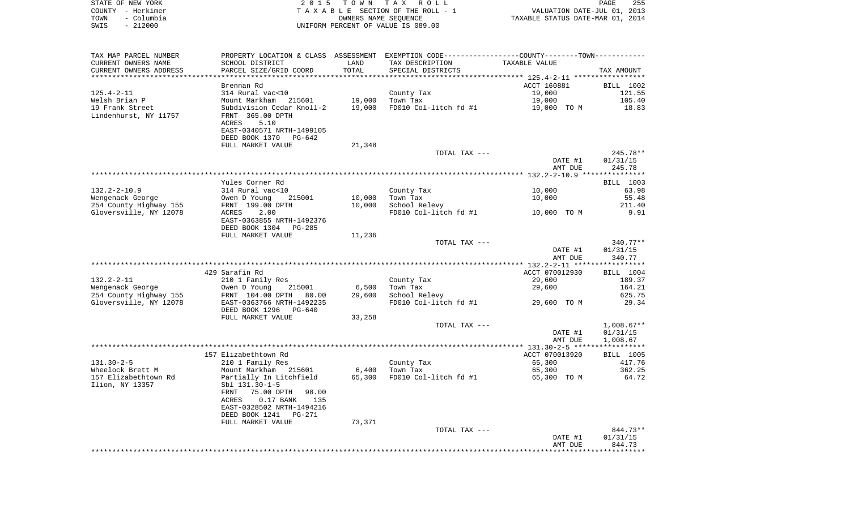| STATE OF NEW YORK  | 2015 TOWN TAX ROLL                 | 255<br>PAGE                      |
|--------------------|------------------------------------|----------------------------------|
| COUNTY - Herkimer  | TAXABLE SECTION OF THE ROLL - 1    | VALUATION DATE-JUL 01, 2013      |
| - Columbia<br>TOWN | OWNERS NAME SEOUENCE               | TAXABLE STATUS DATE-MAR 01, 2014 |
| SWIS - 212000      | UNIFORM PERCENT OF VALUE IS 089.00 |                                  |

| TAX MAP PARCEL NUMBER                                     | PROPERTY LOCATION & CLASS ASSESSMENT EXEMPTION CODE----------------COUNTY-------TOWN---------- |        |                       |                    |                      |
|-----------------------------------------------------------|------------------------------------------------------------------------------------------------|--------|-----------------------|--------------------|----------------------|
| CURRENT OWNERS NAME                                       | SCHOOL DISTRICT                                                                                | LAND   | TAX DESCRIPTION       | TAXABLE VALUE      |                      |
| CURRENT OWNERS ADDRESS<br>* * * * * * * * * * * * * * * * | PARCEL SIZE/GRID COORD                                                                         | TOTAL  | SPECIAL DISTRICTS     |                    | TAX AMOUNT           |
|                                                           |                                                                                                |        |                       | ACCT 160881        |                      |
| $125.4 - 2 - 11$                                          | Brennan Rd<br>314 Rural vac<10                                                                 |        | County Tax            | 19,000             | BILL 1002<br>121.55  |
| Welsh Brian P                                             | Mount Markham<br>215601                                                                        | 19,000 | Town Tax              | 19,000             | 105.40               |
| 19 Frank Street                                           | Subdivision Cedar Knoll-2                                                                      | 19,000 | FD010 Col-litch fd #1 | 19,000 TO M        | 18.83                |
| Lindenhurst, NY 11757                                     | FRNT 365.00 DPTH                                                                               |        |                       |                    |                      |
|                                                           | ACRES<br>5.10                                                                                  |        |                       |                    |                      |
|                                                           | EAST-0340571 NRTH-1499105                                                                      |        |                       |                    |                      |
|                                                           | DEED BOOK 1370<br>PG-642                                                                       |        |                       |                    |                      |
|                                                           | FULL MARKET VALUE                                                                              | 21,348 |                       |                    |                      |
|                                                           |                                                                                                |        | TOTAL TAX ---         |                    | 245.78**             |
|                                                           |                                                                                                |        |                       | DATE #1            | 01/31/15             |
|                                                           |                                                                                                |        |                       | AMT DUE            | 245.78               |
|                                                           |                                                                                                |        |                       |                    |                      |
|                                                           | Yules Corner Rd                                                                                |        |                       |                    | BILL 1003            |
| $132.2 - 2 - 10.9$                                        | 314 Rural vac<10                                                                               |        | County Tax            | 10,000             | 63.98                |
| Wengenack George                                          | Owen D Young<br>215001                                                                         | 10,000 | Town Tax              | 10,000             | 55.48                |
| 254 County Highway 155                                    | FRNT 199.00 DPTH                                                                               | 10,000 | School Relevy         |                    | 211.40               |
| Gloversville, NY 12078                                    | ACRES<br>2.00                                                                                  |        | FD010 Col-litch fd #1 | 10,000 TO M        | 9.91                 |
|                                                           | EAST-0363855 NRTH-1492376<br>DEED BOOK 1304<br>$PG-285$                                        |        |                       |                    |                      |
|                                                           | FULL MARKET VALUE                                                                              | 11,236 |                       |                    |                      |
|                                                           |                                                                                                |        | TOTAL TAX ---         |                    | $340.77**$           |
|                                                           |                                                                                                |        |                       | DATE #1            | 01/31/15             |
|                                                           |                                                                                                |        |                       | AMT DUE            | 340.77               |
|                                                           |                                                                                                |        |                       |                    |                      |
|                                                           | 429 Sarafin Rd                                                                                 |        |                       | ACCT 070012930     | BILL 1004            |
| $132.2 - 2 - 11$                                          | 210 1 Family Res                                                                               |        | County Tax            | 29,600             | 189.37               |
| Wengenack George                                          | Owen D Young<br>215001                                                                         | 6,500  | Town Tax              | 29,600             | 164.21               |
| 254 County Highway 155                                    | FRNT 104.00 DPTH 80.00                                                                         | 29,600 | School Relevy         |                    | 625.75               |
| Gloversville, NY 12078                                    | EAST-0363766 NRTH-1492235                                                                      |        | FD010 Col-litch fd #1 | 29,600 TO M        | 29.34                |
|                                                           | DEED BOOK 1296<br>PG-640                                                                       |        |                       |                    |                      |
|                                                           | FULL MARKET VALUE                                                                              | 33,258 |                       |                    |                      |
|                                                           |                                                                                                |        | TOTAL TAX ---         |                    | $1,008.67**$         |
|                                                           |                                                                                                |        |                       | DATE #1<br>AMT DUE | 01/31/15<br>1,008.67 |
|                                                           |                                                                                                |        |                       |                    |                      |
|                                                           | 157 Elizabethtown Rd                                                                           |        |                       | ACCT 070013920     | BILL 1005            |
| $131.30 - 2 - 5$                                          | 210 1 Family Res                                                                               |        | County Tax            | 65,300             | 417.76               |
| Wheelock Brett M                                          | Mount Markham 215601                                                                           | 6,400  | Town Tax              | 65,300             | 362.25               |
| 157 Elizabethtown Rd                                      | Partially In Litchfield                                                                        | 65,300 | FD010 Col-litch fd #1 | 65,300 TO M        | 64.72                |
| Ilion, NY 13357                                           | Sbl 131.30-1-5                                                                                 |        |                       |                    |                      |
|                                                           | 75.00 DPTH<br>FRNT<br>98.00                                                                    |        |                       |                    |                      |
|                                                           | ACRES<br>$0.17$ BANK<br>135                                                                    |        |                       |                    |                      |
|                                                           | EAST-0328502 NRTH-1494216                                                                      |        |                       |                    |                      |
|                                                           | DEED BOOK 1241<br>PG-271                                                                       |        |                       |                    |                      |
|                                                           | FULL MARKET VALUE                                                                              | 73,371 |                       |                    |                      |
|                                                           |                                                                                                |        | TOTAL TAX ---         |                    | 844.73**             |
|                                                           |                                                                                                |        |                       | DATE #1            | 01/31/15             |
|                                                           |                                                                                                |        |                       | AMT DUE            | 844.73               |
|                                                           |                                                                                                |        |                       |                    |                      |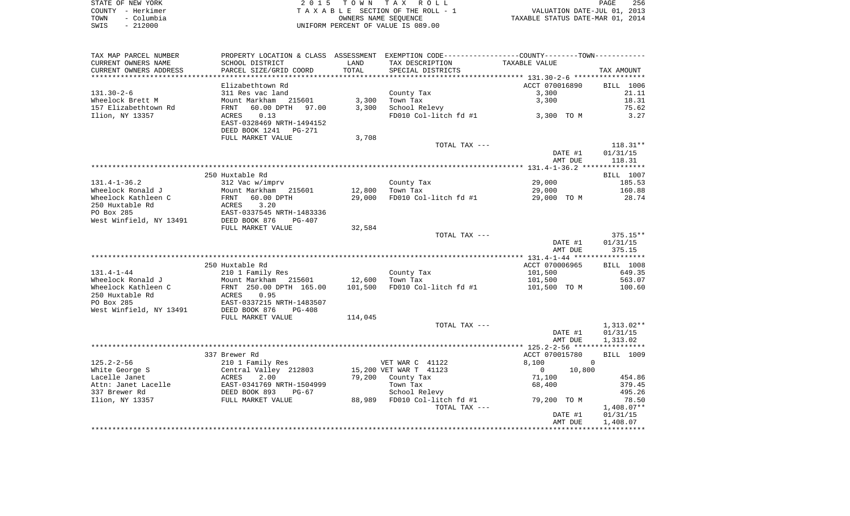|      | STATE OF NEW YORK | 2015 TOWN TAX ROLL                 | 256<br>PAGE                      |
|------|-------------------|------------------------------------|----------------------------------|
|      | COUNTY - Herkimer | TAXABLE SECTION OF THE ROLL - 1    | VALUATION DATE-JUL 01, 2013      |
| TOWN | – Columbia        | OWNERS NAME SEOUENCE               | TAXABLE STATUS DATE-MAR 01, 2014 |
| SWIS | $-212000$         | UNIFORM PERCENT OF VALUE IS 089.00 |                                  |

| TAX MAP PARCEL NUMBER   |                           |         | PROPERTY LOCATION & CLASS ASSESSMENT EXEMPTION CODE----------------COUNTY--------TOWN----------- |                         |              |
|-------------------------|---------------------------|---------|--------------------------------------------------------------------------------------------------|-------------------------|--------------|
| CURRENT OWNERS NAME     | SCHOOL DISTRICT           | LAND    | TAX DESCRIPTION                                                                                  | TAXABLE VALUE           |              |
| CURRENT OWNERS ADDRESS  | PARCEL SIZE/GRID COORD    | TOTAL   | SPECIAL DISTRICTS                                                                                |                         | TAX AMOUNT   |
|                         |                           |         |                                                                                                  |                         |              |
|                         | Elizabethtown Rd          |         |                                                                                                  | ACCT 070016890          | BILL 1006    |
| $131.30 - 2 - 6$        | 311 Res vac land          |         | County Tax                                                                                       | 3,300                   | 21.11        |
| Wheelock Brett M        | Mount Markham 215601      | 3,300   | Town Tax                                                                                         | 3,300                   | 18.31        |
| 157 Elizabethtown Rd    | FRNT<br>60.00 DPTH 97.00  | 3,300   | School Relevy                                                                                    |                         | 75.62        |
| Ilion, NY 13357         | 0.13<br>ACRES             |         | FD010 Col-litch fd #1                                                                            | 3,300 TO M              | 3.27         |
|                         | EAST-0328469 NRTH-1494152 |         |                                                                                                  |                         |              |
|                         | DEED BOOK 1241<br>PG-271  |         |                                                                                                  |                         |              |
|                         | FULL MARKET VALUE         | 3,708   |                                                                                                  |                         |              |
|                         |                           |         | TOTAL TAX ---                                                                                    |                         | $118.31**$   |
|                         |                           |         |                                                                                                  | DATE #1                 | 01/31/15     |
|                         |                           |         |                                                                                                  | AMT DUE                 | 118.31       |
|                         |                           |         |                                                                                                  |                         |              |
|                         | 250 Huxtable Rd           |         |                                                                                                  |                         | BILL 1007    |
| 131.4-1-36.2            | 312 Vac w/imprv           |         | County Tax                                                                                       | 29,000                  | 185.53       |
| Wheelock Ronald J       | Mount Markham 215601      | 12,800  | Town Tax                                                                                         | 29,000                  | 160.88       |
| Wheelock Kathleen C     | FRNT<br>60.00 DPTH        | 29,000  | FD010 Col-litch fd #1                                                                            | 29,000 TO M             | 28.74        |
| 250 Huxtable Rd         | ACRES 3.20                |         |                                                                                                  |                         |              |
| PO Box 285              |                           |         |                                                                                                  |                         |              |
| West Winfield, NY 13491 |                           |         |                                                                                                  |                         |              |
|                         | FULL MARKET VALUE         | 32,584  |                                                                                                  |                         |              |
|                         |                           |         | TOTAL TAX ---                                                                                    |                         | $375.15**$   |
|                         |                           |         |                                                                                                  | DATE #1                 | 01/31/15     |
|                         |                           |         |                                                                                                  | AMT DUE                 | 375.15       |
|                         |                           |         |                                                                                                  |                         |              |
|                         | 250 Huxtable Rd           |         |                                                                                                  | ACCT 070006965          | BILL 1008    |
| $131.4 - 1 - 44$        | 210 1 Family Res          |         | County Tax                                                                                       | 101,500                 | 649.35       |
| Wheelock Ronald J       | Mount Markham 215601      | 12,600  | Town Tax                                                                                         | 101,500                 | 563.07       |
| Wheelock Kathleen C     | FRNT 250.00 DPTH 165.00   | 101,500 | FD010 Col-litch fd #1                                                                            | 101,500 TO M            | 100.60       |
| 250 Huxtable Rd         | 0.95<br>ACRES             |         |                                                                                                  |                         |              |
| PO Box 285              | EAST-0337215 NRTH-1483507 |         |                                                                                                  |                         |              |
| West Winfield, NY 13491 | DEED BOOK 876<br>PG-408   |         |                                                                                                  |                         |              |
|                         | FULL MARKET VALUE         | 114,045 |                                                                                                  |                         |              |
|                         |                           |         | TOTAL TAX ---                                                                                    |                         | 1,313.02**   |
|                         |                           |         |                                                                                                  | DATE #1                 | 01/31/15     |
|                         |                           |         |                                                                                                  | AMT DUE                 | 1,313.02     |
|                         |                           |         |                                                                                                  |                         |              |
|                         | 337 Brewer Rd             |         |                                                                                                  | ACCT 070015780          | BILL 1009    |
| 125.2-2-56              | 210 1 Family Res          |         | VET WAR C 41122                                                                                  | 8,100<br>$\overline{0}$ |              |
| White George S          | Central Valley 212803     |         | 15,200 VET WAR T 41123                                                                           | 10,800<br>$\mathbf{0}$  |              |
| Lacelle Janet           | 2.00<br>ACRES             |         | 79,200 County Tax                                                                                | 71,100                  | 454.86       |
| Attn: Janet Lacelle     |                           |         | Town Tax                                                                                         | 68,400                  | 379.45       |
| 337 Brewer Rd           |                           |         | School Relevy                                                                                    |                         | 495.26       |
| Ilion, NY 13357         | FULL MARKET VALUE         |         | 88,989 FD010 Col-litch fd #1                                                                     | 79,200 TO M             | 78.50        |
|                         |                           |         | TOTAL TAX ---                                                                                    |                         | $1,408.07**$ |
|                         |                           |         |                                                                                                  | DATE #1                 | 01/31/15     |
|                         |                           |         |                                                                                                  | AMT DUE                 | 1,408.07     |
|                         |                           |         |                                                                                                  |                         |              |
|                         |                           |         |                                                                                                  |                         |              |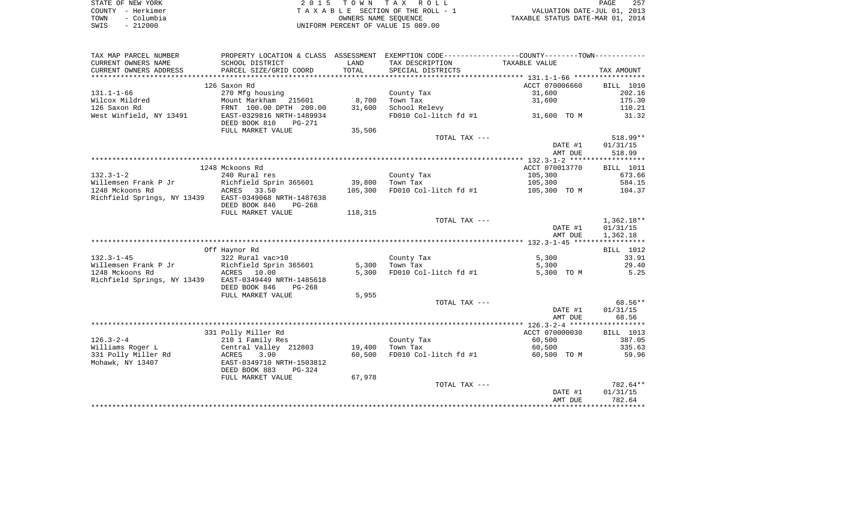| STATE OF NEW YORK  | 2015 TOWN TAX ROLL                 | 257<br>PAGE                      |
|--------------------|------------------------------------|----------------------------------|
| COUNTY - Herkimer  | TAXABLE SECTION OF THE ROLL - 1    | VALUATION DATE-JUL 01, 2013      |
| – Columbia<br>TOWN | OWNERS NAME SEOUENCE               | TAXABLE STATUS DATE-MAR 01, 2014 |
| $-212000$<br>SWIS  | UNIFORM PERCENT OF VALUE IS 089.00 |                                  |

|                             |                                           |                  |                                                                                               | DATE #1<br>AMT DUE       | 01/31/15<br>782.64  |
|-----------------------------|-------------------------------------------|------------------|-----------------------------------------------------------------------------------------------|--------------------------|---------------------|
|                             |                                           |                  | TOTAL TAX ---                                                                                 |                          | 782.64**            |
|                             | FULL MARKET VALUE                         | 67,978           |                                                                                               |                          |                     |
|                             | DEED BOOK 883<br>$PG-324$                 |                  |                                                                                               |                          |                     |
| Mohawk, NY 13407            | EAST-0349710 NRTH-1503812                 |                  |                                                                                               |                          |                     |
| 331 Polly Miller Rd         | 3.90<br>ACRES                             | 19,400<br>60,500 | Town Tax<br>FD010 Col-litch fd #1                                                             | 60,500<br>60,500 TO M    | 59.96               |
| Williams Roger L            | 210 1 Family Res<br>Central Valley 212803 |                  |                                                                                               |                          | 335.63              |
| $126.3 - 2 - 4$             |                                           |                  | County Tax                                                                                    | ACCT 070000030<br>60,500 | BILL 1013<br>387.05 |
|                             | 331 Polly Miller Rd                       |                  |                                                                                               |                          |                     |
|                             |                                           |                  |                                                                                               | AMT DUE                  | 68.56               |
|                             |                                           |                  |                                                                                               | DATE #1                  | 01/31/15            |
|                             |                                           |                  | TOTAL TAX ---                                                                                 |                          | 68.56**             |
|                             | FULL MARKET VALUE                         | 5,955            |                                                                                               |                          |                     |
|                             | DEED BOOK 846<br>$PG-268$                 |                  |                                                                                               |                          |                     |
| Richfield Springs, NY 13439 | EAST-0349449 NRTH-1485618                 |                  |                                                                                               |                          |                     |
| 1248 Mckoons Rd             | ACRES 10.00                               | 5,300            | FD010 Col-litch fd #1                                                                         | 5,300 TO M               | 5.25                |
| Willemsen Frank P Jr        | Richfield Sprin 365601                    | 5,300            | Town Tax                                                                                      | 5,300                    | 29.40               |
| $132.3 - 1 - 45$            | 322 Rural vac>10                          |                  | County Tax                                                                                    | 5,300                    | 33.91               |
|                             | Off Haynor Rd                             |                  |                                                                                               |                          | BILL 1012           |
|                             |                                           |                  |                                                                                               |                          |                     |
|                             |                                           |                  |                                                                                               | AMT DUE                  | 1,362.18            |
|                             |                                           |                  |                                                                                               | DATE #1                  | 01/31/15            |
|                             |                                           |                  | TOTAL TAX ---                                                                                 |                          | $1,362.18**$        |
|                             | FULL MARKET VALUE                         | 118,315          |                                                                                               |                          |                     |
|                             | DEED BOOK 846<br>$PG-268$                 |                  |                                                                                               |                          |                     |
| Richfield Springs, NY 13439 | EAST-0349068 NRTH-1487638                 |                  |                                                                                               |                          |                     |
| 1248 Mckoons Rd             | ACRES 33.50                               | 105,300          | FD010 Col-litch fd #1                                                                         | 105,300 TO M             | 104.37              |
| Willemsen Frank P Jr        | Richfield Sprin 365601                    | 39,800           | Town Tax                                                                                      | 105,300                  | 584.15              |
| $132.3 - 1 - 2$             | 240 Rural res                             |                  | County Tax                                                                                    | 105,300                  | 673.66              |
|                             | 1248 Mckoons Rd                           |                  |                                                                                               | ACCT 070013770           | <b>BILL</b> 1011    |
|                             |                                           |                  |                                                                                               | AMT DUE                  |                     |
|                             |                                           |                  |                                                                                               | DATE #1                  | 01/31/15<br>518.99  |
|                             |                                           |                  | TOTAL TAX ---                                                                                 |                          | $518.99**$          |
|                             | FULL MARKET VALUE                         | 35,506           |                                                                                               |                          |                     |
|                             | DEED BOOK 810<br><b>PG-271</b>            |                  |                                                                                               |                          |                     |
| West Winfield, NY 13491     | EAST-0329816 NRTH-1489934                 |                  | FD010 Col-litch $fd$ #1 31,600 TO M                                                           |                          | 31.32               |
| 126 Saxon Rd                | FRNT 100.00 DPTH 200.00                   | 31,600           | School Relevy                                                                                 |                          | 110.21              |
| Wilcox Mildred              | Mount Markham 215601                      | 8,700            | Town Tax                                                                                      | 31,600                   | 175.30              |
| $131.1 - 1 - 66$            | 270 Mfg housing                           |                  | County Tax                                                                                    | 31,600                   | 202.16              |
|                             | 126 Saxon Rd                              |                  |                                                                                               | ACCT 070006660           | BILL 1010           |
|                             |                                           |                  |                                                                                               |                          |                     |
| CURRENT OWNERS ADDRESS      | PARCEL SIZE/GRID COORD                    | TOTAL            | SPECIAL DISTRICTS                                                                             |                          | TAX AMOUNT          |
| CURRENT OWNERS NAME         | SCHOOL DISTRICT                           | LAND             | TAX DESCRIPTION                                                                               | TAXABLE VALUE            |                     |
| TAX MAP PARCEL NUMBER       |                                           |                  | PROPERTY LOCATION & CLASS ASSESSMENT EXEMPTION CODE---------------COUNTY-------TOWN---------- |                          |                     |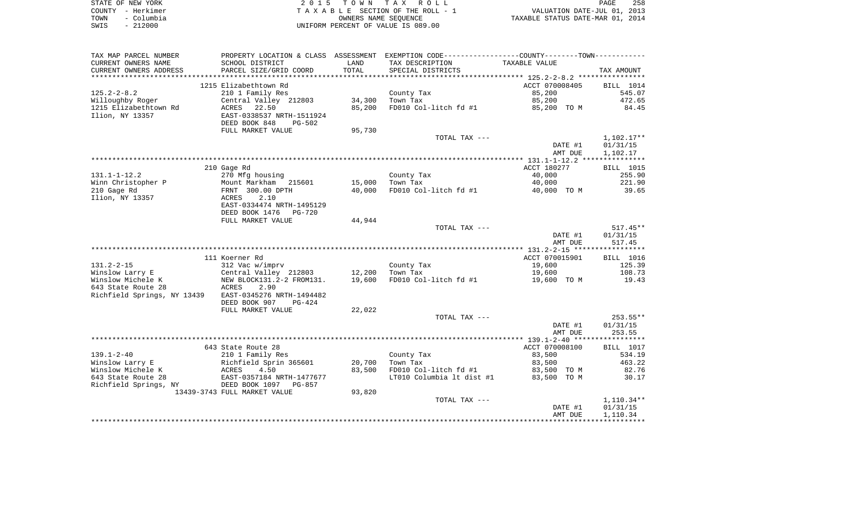| STATE OF NEW YORK  | 2015 TOWN TAX ROLL                 | 258<br>PAGE                      |
|--------------------|------------------------------------|----------------------------------|
| COUNTY – Herkimer  | TAXABLE SECTION OF THE ROLL - 1    | VALUATION DATE-JUL 01, 2013      |
| – Columbia<br>TOWN | OWNERS NAME SEOUENCE               | TAXABLE STATUS DATE-MAR 01, 2014 |
| $-212000$<br>SWIS  | UNIFORM PERCENT OF VALUE IS 089.00 |                                  |

| TAX MAP PARCEL NUMBER       | PROPERTY LOCATION & CLASS ASSESSMENT |        | EXEMPTION CODE----------------COUNTY-------TOWN----------- |                    |                    |
|-----------------------------|--------------------------------------|--------|------------------------------------------------------------|--------------------|--------------------|
| CURRENT OWNERS NAME         | SCHOOL DISTRICT                      | LAND   | TAX DESCRIPTION                                            | TAXABLE VALUE      |                    |
| CURRENT OWNERS ADDRESS      | PARCEL SIZE/GRID COORD               | TOTAL  | SPECIAL DISTRICTS                                          |                    | TAX AMOUNT         |
| ************************    |                                      |        |                                                            |                    |                    |
|                             | 1215 Elizabethtown Rd                |        |                                                            | ACCT 070008405     | BILL 1014          |
| $125.2 - 2 - 8.2$           | 210 1 Family Res                     |        | County Tax                                                 | 85,200             | 545.07             |
| Willoughby Roger            | Central Valley 212803                | 34,300 | Town Tax                                                   | 85,200             | 472.65             |
| 1215 Elizabethtown Rd       | 22.50<br>ACRES                       | 85,200 | FD010 Col-litch fd #1                                      | 85,200 TO M        | 84.45              |
| Ilion, NY 13357             | EAST-0338537 NRTH-1511924            |        |                                                            |                    |                    |
|                             | DEED BOOK 848<br><b>PG-502</b>       |        |                                                            |                    |                    |
|                             | FULL MARKET VALUE                    | 95,730 |                                                            |                    |                    |
|                             |                                      |        | TOTAL TAX ---                                              |                    | $1,102.17**$       |
|                             |                                      |        |                                                            | DATE #1            | 01/31/15           |
|                             |                                      |        |                                                            | AMT DUE            | 1,102.17           |
|                             |                                      |        |                                                            |                    |                    |
|                             | 210 Gage Rd                          |        |                                                            | ACCT 180277        | BILL 1015          |
| $131.1 - 1 - 12.2$          | 270 Mfg housing                      |        | County Tax                                                 | 40,000             | 255.90             |
| Winn Christopher P          | Mount Markham 215601                 | 15,000 | Town Tax                                                   | 40,000             | 221.90             |
| 210 Gage Rd                 | FRNT 300.00 DPTH                     | 40,000 | FD010 Col-litch fd #1                                      | 40,000 TO M        | 39.65              |
| Ilion, NY 13357             | ACRES<br>2.10                        |        |                                                            |                    |                    |
|                             | EAST-0334474 NRTH-1495129            |        |                                                            |                    |                    |
|                             | DEED BOOK 1476<br><b>PG-720</b>      |        |                                                            |                    |                    |
|                             | FULL MARKET VALUE                    | 44,944 |                                                            |                    | $517.45**$         |
|                             |                                      |        | TOTAL TAX ---                                              |                    |                    |
|                             |                                      |        |                                                            | DATE #1<br>AMT DUE | 01/31/15<br>517.45 |
|                             |                                      |        |                                                            |                    |                    |
|                             | 111 Koerner Rd                       |        |                                                            | ACCT 070015901     | <b>BILL</b> 1016   |
| $131.2 - 2 - 15$            | 312 Vac w/imprv                      |        | County Tax                                                 | 19,600             | 125.39             |
| Winslow Larry E             | Central Valley 212803                | 12,200 | Town Tax                                                   | 19,600             | 108.73             |
| Winslow Michele K           | NEW BLOCK131.2-2 FROM131.            | 19,600 | FD010 Col-litch fd #1                                      | 19,600 TO M        | 19.43              |
| 643 State Route 28          | ACRES<br>2.90                        |        |                                                            |                    |                    |
| Richfield Springs, NY 13439 | EAST-0345276 NRTH-1494482            |        |                                                            |                    |                    |
|                             | DEED BOOK 907<br>$PG-424$            |        |                                                            |                    |                    |
|                             | FULL MARKET VALUE                    | 22,022 |                                                            |                    |                    |
|                             |                                      |        | TOTAL TAX ---                                              |                    | $253.55**$         |
|                             |                                      |        |                                                            | DATE #1            | 01/31/15           |
|                             |                                      |        |                                                            | AMT DUE            | 253.55             |
|                             |                                      |        |                                                            |                    |                    |
|                             | 643 State Route 28                   |        |                                                            | ACCT 070008100     | BILL 1017          |
| $139.1 - 2 - 40$            | 210 1 Family Res                     |        | County Tax                                                 | 83,500             | 534.19             |
| Winslow Larry E             | Richfield Sprin 365601               | 20,700 | Town Tax                                                   | 83,500             | 463.22             |
| Winslow Michele K           | ACRES<br>4.50                        | 83,500 | FD010 Col-litch fd #1                                      | 83,500 TO M        | 82.76              |
| 643 State Route 28          | EAST-0357184 NRTH-1477677            |        | LT010 Columbia 1t dist #1                                  | 83,500 TO M        | 30.17              |
| Richfield Springs, NY       | DEED BOOK 1097 PG-857                |        |                                                            |                    |                    |
|                             | 13439-3743 FULL MARKET VALUE         | 93,820 |                                                            |                    |                    |
|                             |                                      |        | TOTAL TAX ---                                              |                    | $1,110.34**$       |
|                             |                                      |        |                                                            | DATE #1            | 01/31/15           |
|                             |                                      |        |                                                            | AMT DUE            | 1,110.34           |
|                             |                                      |        |                                                            |                    |                    |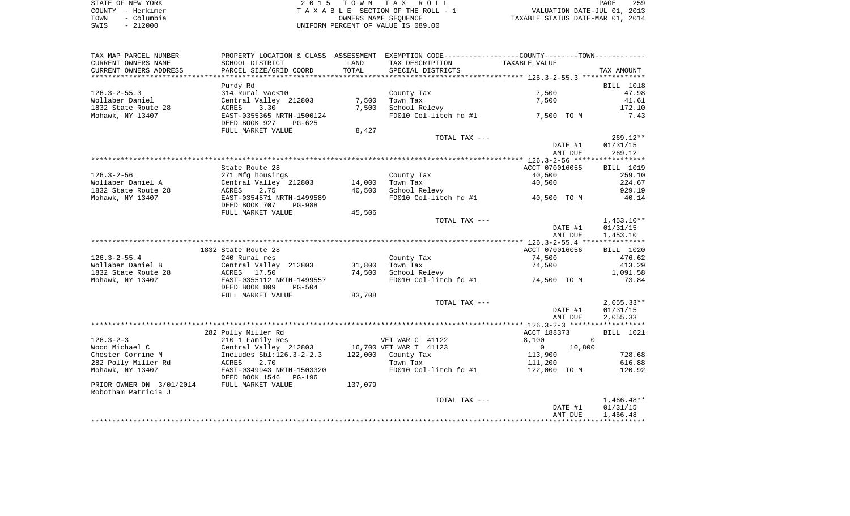|      | STATE OF NEW YORK | 2015 TOWN TAX ROLL                 | PAGE                             | 259 |
|------|-------------------|------------------------------------|----------------------------------|-----|
|      | COUNTY - Herkimer | TAXABLE SECTION OF THE ROLL - 1    | VALUATION DATE-JUL 01, 2013      |     |
| TOWN | – Columbia        | OWNERS NAME SEOUENCE               | TAXABLE STATUS DATE-MAR 01, 2014 |     |
| SWIS | $-212000$         | UNIFORM PERCENT OF VALUE IS 089.00 |                                  |     |

| TAX MAP PARCEL NUMBER    | PROPERTY LOCATION & CLASS ASSESSMENT EXEMPTION CODE----------------COUNTY--------TOWN----------- |               |                        |                          |                    |
|--------------------------|--------------------------------------------------------------------------------------------------|---------------|------------------------|--------------------------|--------------------|
| CURRENT OWNERS NAME      | SCHOOL DISTRICT                                                                                  | LAND          | TAX DESCRIPTION        | TAXABLE VALUE            |                    |
| CURRENT OWNERS ADDRESS   | PARCEL SIZE/GRID COORD                                                                           | TOTAL         | SPECIAL DISTRICTS      |                          | TAX AMOUNT         |
| *******************      |                                                                                                  | ************* |                        |                          |                    |
|                          | Purdy Rd                                                                                         |               |                        |                          | <b>BILL 1018</b>   |
| $126.3 - 2 - 55.3$       | 314 Rural vac<10                                                                                 |               | County Tax             | 7,500                    | 47.98              |
| Wollaber Daniel          | Central Valley 212803                                                                            | 7,500         | Town Tax               | 7,500                    | 41.61              |
| 1832 State Route 28      | 3.30<br>ACRES                                                                                    | 7,500         | School Relevy          |                          | 172.10             |
| Mohawk, NY 13407         | EAST-0355365 NRTH-1500124                                                                        |               | FD010 Col-litch fd #1  | 7,500 TO M               | 7.43               |
|                          | DEED BOOK 927<br>PG-625                                                                          |               |                        |                          |                    |
|                          | FULL MARKET VALUE                                                                                | 8,427         |                        |                          |                    |
|                          |                                                                                                  |               | TOTAL TAX ---          |                          | $269.12**$         |
|                          |                                                                                                  |               |                        | DATE #1<br>AMT DUE       | 01/31/15<br>269.12 |
|                          |                                                                                                  |               |                        |                          |                    |
|                          | State Route 28                                                                                   |               |                        | ACCT 070016055           | <b>BILL</b> 1019   |
| $126.3 - 2 - 56$         | 271 Mfg housings                                                                                 |               | County Tax             | 40,500                   | 259.10             |
| Wollaber Daniel A        | Central Valley 212803                                                                            | 14,000        | Town Tax               | 40,500                   | 224.67             |
| 1832 State Route 28      | ACRES<br>2.75                                                                                    | 40,500        | School Relevy          |                          | 929.19             |
| Mohawk, NY 13407         | EAST-0354571 NRTH-1499589                                                                        |               | FD010 Col-litch fd #1  | 40,500 TO M              | 40.14              |
|                          | DEED BOOK 707<br>PG-988                                                                          |               |                        |                          |                    |
|                          | FULL MARKET VALUE                                                                                | 45,506        |                        |                          |                    |
|                          |                                                                                                  |               | TOTAL TAX ---          |                          | $1,453.10**$       |
|                          |                                                                                                  |               |                        | DATE #1                  | 01/31/15           |
|                          |                                                                                                  |               |                        | AMT DUE                  | 1,453.10           |
|                          |                                                                                                  |               |                        |                          |                    |
|                          | 1832 State Route 28                                                                              |               |                        | ACCT 070016056           | BILL 1020          |
| $126.3 - 2 - 55.4$       | 240 Rural res                                                                                    |               | County Tax             | 74,500                   | 476.62             |
| Wollaber Daniel B        | Central Valley 212803                                                                            | 31,800        | Town Tax               | 74,500                   | 413.29             |
| 1832 State Route 28      | ACRES 17.50                                                                                      | 74,500        | School Relevy          |                          | 1,091.58           |
| Mohawk, NY 13407         | EAST-0355112 NRTH-1499557                                                                        |               | FD010 Col-litch fd #1  | 74,500 TO M              | 73.84              |
|                          | DEED BOOK 809<br><b>PG-504</b>                                                                   |               |                        |                          |                    |
|                          | FULL MARKET VALUE                                                                                | 83,708        |                        |                          |                    |
|                          |                                                                                                  |               | TOTAL TAX ---          |                          | $2,055.33**$       |
|                          |                                                                                                  |               |                        | DATE #1                  | 01/31/15           |
|                          |                                                                                                  |               |                        | AMT DUE                  | 2,055.33           |
|                          | 282 Polly Miller Rd                                                                              |               |                        | ACCT 188373              | BILL 1021          |
| $126.3 - 2 - 3$          | 210 1 Family Res                                                                                 |               | VET WAR C 41122        | 8,100<br>$\Omega$        |                    |
| Wood Michael C           | Central Valley 212803                                                                            |               | 16,700 VET WAR T 41123 | 10,800<br>$\overline{0}$ |                    |
| Chester Corrine M        | Includes Sbl:126.3-2-2.3                                                                         | 122,000       | County Tax             | 113,900                  | 728.68             |
| 282 Polly Miller Rd      | 2.70<br>ACRES                                                                                    |               | Town Tax               | 111,200                  | 616.88             |
| Mohawk, NY 13407         | EAST-0349943 NRTH-1503320                                                                        |               | FD010 Col-litch fd #1  | 122,000 TO M             | 120.92             |
|                          | DEED BOOK 1546<br><b>PG-196</b>                                                                  |               |                        |                          |                    |
| PRIOR OWNER ON 3/01/2014 | FULL MARKET VALUE                                                                                | 137,079       |                        |                          |                    |
| Robotham Patricia J      |                                                                                                  |               |                        |                          |                    |
|                          |                                                                                                  |               | TOTAL TAX ---          |                          | $1,466.48**$       |
|                          |                                                                                                  |               |                        | DATE #1                  | 01/31/15           |
|                          |                                                                                                  |               |                        | AMT DUE                  | 1,466.48           |
|                          |                                                                                                  |               |                        |                          |                    |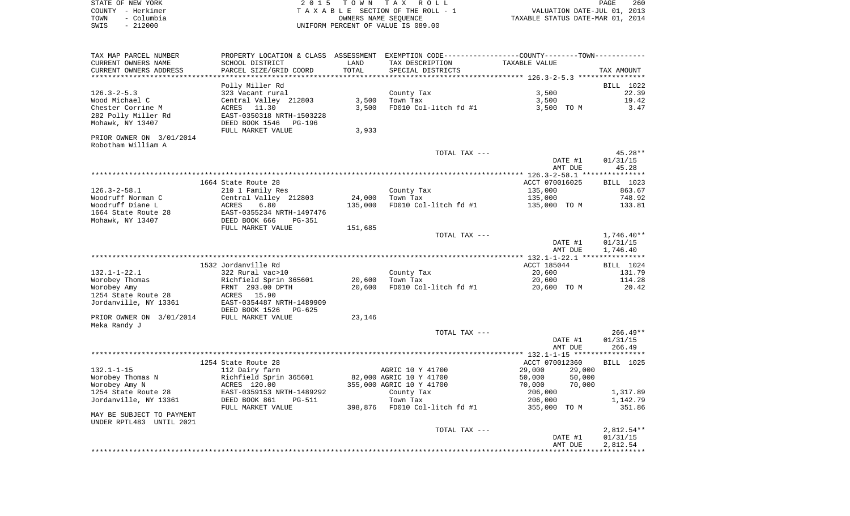| STATE OF NEW YORK  | 2015 TOWN TAX ROLL                 | 260<br>PAGE                      |
|--------------------|------------------------------------|----------------------------------|
| COUNTY - Herkimer  | TAXABLE SECTION OF THE ROLL - 1    | VALUATION DATE-JUL 01, 2013      |
| - Columbia<br>TOWN | OWNERS NAME SEOUENCE               | TAXABLE STATUS DATE-MAR 01, 2014 |
| $-212000$<br>SWIS  | UNIFORM PERCENT OF VALUE IS 089.00 |                                  |

| TAX MAP PARCEL NUMBER<br>CURRENT OWNERS NAME<br>CURRENT OWNERS ADDRESS | SCHOOL DISTRICT<br>PARCEL SIZE/GRID COORD                   | LAND<br>TOTAL  | PROPERTY LOCATION & CLASS ASSESSMENT EXEMPTION CODE---------------COUNTY-------TOWN----------<br>TAX DESCRIPTION<br>SPECIAL DISTRICTS | TAXABLE VALUE                | TAX AMOUNT                       |
|------------------------------------------------------------------------|-------------------------------------------------------------|----------------|---------------------------------------------------------------------------------------------------------------------------------------|------------------------------|----------------------------------|
|                                                                        |                                                             |                |                                                                                                                                       |                              |                                  |
|                                                                        | Polly Miller Rd                                             |                |                                                                                                                                       |                              | BILL 1022                        |
| $126.3 - 2 - 5.3$<br>Wood Michael C<br>Chester Corrine M               | 323 Vacant rural<br>Central Valley 212803<br>11.30<br>ACRES | 3,500<br>3,500 | County Tax<br>Town Tax<br>FD010 Col-litch fd #1                                                                                       | 3,500<br>3,500<br>3,500 TO M | 22.39<br>19.42<br>3.47           |
| 282 Polly Miller Rd<br>Mohawk, NY 13407                                | EAST-0350318 NRTH-1503228<br>DEED BOOK 1546<br>PG-196       |                |                                                                                                                                       |                              |                                  |
|                                                                        | FULL MARKET VALUE                                           | 3,933          |                                                                                                                                       |                              |                                  |
| PRIOR OWNER ON 3/01/2014                                               |                                                             |                |                                                                                                                                       |                              |                                  |
| Robotham William A                                                     |                                                             |                |                                                                                                                                       |                              |                                  |
|                                                                        |                                                             |                | TOTAL TAX ---                                                                                                                         | DATE #1<br>AMT DUE           | 45.28**<br>01/31/15<br>45.28     |
|                                                                        |                                                             |                |                                                                                                                                       |                              |                                  |
|                                                                        | 1664 State Route 28                                         |                |                                                                                                                                       | ACCT 070016025               | BILL 1023                        |
| $126.3 - 2 - 58.1$                                                     | 210 1 Family Res                                            |                | County Tax                                                                                                                            | 135,000                      | 863.67                           |
| Woodruff Norman C                                                      | Central Valley 212803                                       | 24,000         | Town Tax                                                                                                                              | 135,000                      | 748.92                           |
| Woodruff Diane L                                                       | ACRES<br>6.80                                               | 135,000        | FD010 Col-litch fd #1                                                                                                                 | 135,000 TO M                 | 133.81                           |
| 1664 State Route 28<br>Mohawk, NY 13407                                | EAST-0355234 NRTH-1497476<br>DEED BOOK 666<br>$PG-351$      |                |                                                                                                                                       |                              |                                  |
|                                                                        | FULL MARKET VALUE                                           | 151,685        |                                                                                                                                       |                              |                                  |
|                                                                        |                                                             |                | TOTAL TAX ---                                                                                                                         |                              | $1,746.40**$                     |
|                                                                        |                                                             |                |                                                                                                                                       | DATE #1                      | 01/31/15                         |
|                                                                        |                                                             |                |                                                                                                                                       | AMT DUE                      | 1,746.40                         |
|                                                                        |                                                             |                |                                                                                                                                       |                              |                                  |
| $132.1 - 1 - 22.1$                                                     | 1532 Jordanville Rd<br>322 Rural vac>10                     |                | County Tax                                                                                                                            | ACCT 185044<br>20,600        | BILL 1024<br>131.79              |
| Worobey Thomas                                                         | Richfield Sprin 365601                                      | 20,600         | Town Tax                                                                                                                              | 20,600                       | 114.28                           |
| Worobey Amy                                                            | FRNT 293.00 DPTH                                            | 20,600         | FD010 Col-litch fd #1                                                                                                                 | 20,600 TO M                  | 20.42                            |
| 1254 State Route 28                                                    | ACRES 15.90                                                 |                |                                                                                                                                       |                              |                                  |
| Jordanville, NY 13361                                                  | EAST-0354487 NRTH-1489909<br>DEED BOOK 1526<br>PG-625       |                |                                                                                                                                       |                              |                                  |
| PRIOR OWNER ON 3/01/2014<br>Meka Randy J                               | FULL MARKET VALUE                                           | 23,146         |                                                                                                                                       |                              |                                  |
|                                                                        |                                                             |                | TOTAL TAX ---                                                                                                                         | DATE #1<br>AMT DUE           | $266.49**$<br>01/31/15<br>266.49 |
|                                                                        |                                                             |                |                                                                                                                                       |                              |                                  |
|                                                                        | 1254 State Route 28                                         |                |                                                                                                                                       | ACCT 070012360               | BILL 1025                        |
| $132.1 - 1 - 15$                                                       | 112 Dairy farm                                              |                | AGRIC 10 Y 41700                                                                                                                      | 29,000<br>29,000             |                                  |
| Worobey Thomas N                                                       | Richfield Sprin 365601                                      |                | 82,000 AGRIC 10 Y 41700                                                                                                               | 50,000<br>50,000             |                                  |
| Worobey Amy N                                                          | ACRES 120.00                                                |                | 355,000 AGRIC 10 Y 41700                                                                                                              | 70,000<br>70,000             |                                  |
| 1254 State Route 28<br>Jordanville, NY 13361                           | EAST-0359153 NRTH-1489292<br>DEED BOOK 861<br><b>PG-511</b> |                | County Tax<br>Town Tax                                                                                                                | 206,000<br>206,000           | 1,317.89<br>1,142.79             |
|                                                                        | FULL MARKET VALUE                                           | 398,876        | FD010 Col-litch fd #1                                                                                                                 | 355,000 TO M                 | 351.86                           |
| MAY BE SUBJECT TO PAYMENT<br>UNDER RPTL483 UNTIL 2021                  |                                                             |                |                                                                                                                                       |                              |                                  |
|                                                                        |                                                             |                | TOTAL TAX ---                                                                                                                         |                              | $2,812.54**$                     |
|                                                                        |                                                             |                |                                                                                                                                       | DATE #1                      | 01/31/15                         |
|                                                                        |                                                             |                |                                                                                                                                       | AMT DUE                      | 2,812.54                         |
|                                                                        |                                                             |                |                                                                                                                                       |                              |                                  |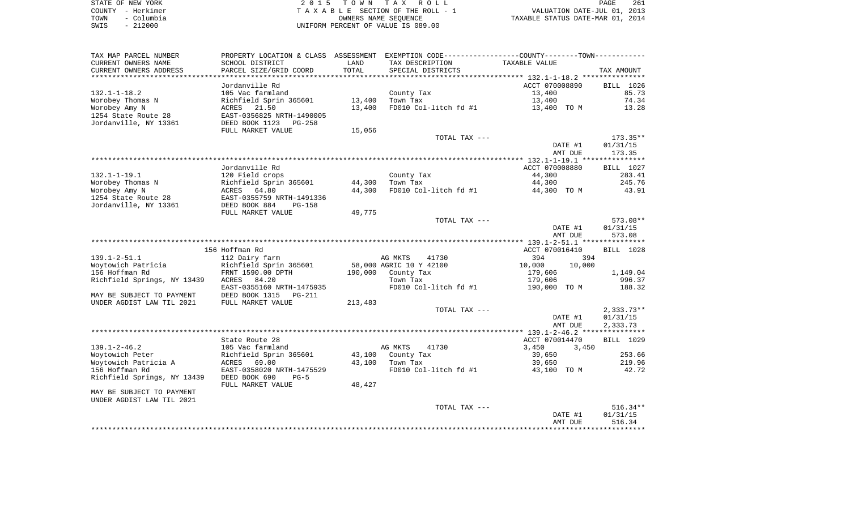| STATE OF NEW YORK  | 2015 TOWN TAX ROLL                 | 261<br>PAGE                      |
|--------------------|------------------------------------|----------------------------------|
| COUNTY - Herkimer  | TAXABLE SECTION OF THE ROLL - 1    | VALUATION DATE-JUL 01, 2013      |
| – Columbia<br>TOWN | OWNERS NAME SEOUENCE               | TAXABLE STATUS DATE-MAR 01, 2014 |
| $-212000$<br>SWIS  | UNIFORM PERCENT OF VALUE IS 089.00 |                                  |

| TAX MAP PARCEL NUMBER<br>CURRENT OWNERS NAME | PROPERTY LOCATION & CLASS ASSESSMENT<br>SCHOOL DISTRICT | LAND       | EXEMPTION CODE-----------------COUNTY-------TOWN-----------<br>TAX DESCRIPTION | TAXABLE VALUE            |                     |
|----------------------------------------------|---------------------------------------------------------|------------|--------------------------------------------------------------------------------|--------------------------|---------------------|
| CURRENT OWNERS ADDRESS                       | PARCEL SIZE/GRID COORD                                  | TOTAL      | SPECIAL DISTRICTS                                                              |                          | TAX AMOUNT          |
| **********************                       |                                                         | ********** |                                                                                |                          |                     |
|                                              | Jordanville Rd                                          |            |                                                                                | ACCT 070008890           | BILL 1026           |
| $132.1 - 1 - 18.2$                           | 105 Vac farmland                                        |            | County Tax                                                                     | 13,400                   | 85.73               |
| Worobey Thomas N                             | Richfield Sprin 365601                                  | 13,400     | Town Tax                                                                       | 13,400                   | 74.34               |
| Worobey Amy N                                | ACRES<br>21.50                                          | 13,400     | FD010 Col-litch fd #1                                                          | 13,400 TO M              | 13.28               |
| 1254 State Route 28                          | EAST-0356825 NRTH-1490005                               |            |                                                                                |                          |                     |
| Jordanville, NY 13361                        | DEED BOOK 1123<br>$PG-258$                              |            |                                                                                |                          |                     |
|                                              | FULL MARKET VALUE                                       | 15,056     |                                                                                |                          |                     |
|                                              |                                                         |            | TOTAL TAX ---                                                                  |                          | $173.35**$          |
|                                              |                                                         |            |                                                                                | DATE #1                  | 01/31/15            |
|                                              |                                                         |            |                                                                                | AMT DUE                  | 173.35              |
|                                              |                                                         |            |                                                                                |                          |                     |
| $132.1 - 1 - 19.1$                           | Jordanville Rd                                          |            |                                                                                | ACCT 070008880<br>44,300 | BILL 1027<br>283.41 |
| Worobey Thomas N                             | 120 Field crops                                         | 44,300     | County Tax<br>Town Tax                                                         | 44,300                   | 245.76              |
| Worobey Amy N                                | Richfield Sprin 365601<br>ACRES<br>64.80                | 44,300     | FD010 Col-litch fd #1                                                          | 44,300 TO M              | 43.91               |
| 1254 State Route 28                          | EAST-0355759 NRTH-1491336                               |            |                                                                                |                          |                     |
| Jordanville, NY 13361                        | DEED BOOK 884<br>$PG-158$                               |            |                                                                                |                          |                     |
|                                              | FULL MARKET VALUE                                       | 49,775     |                                                                                |                          |                     |
|                                              |                                                         |            | TOTAL TAX ---                                                                  |                          | 573.08**            |
|                                              |                                                         |            |                                                                                | DATE #1                  | 01/31/15            |
|                                              |                                                         |            |                                                                                | AMT DUE                  | 573.08              |
|                                              |                                                         |            |                                                                                |                          |                     |
|                                              | 156 Hoffman Rd                                          |            |                                                                                | ACCT 070016410           | BILL 1028           |
| $139.1 - 2 - 51.1$                           | 112 Dairy farm                                          |            | AG MKTS<br>41730                                                               | 394<br>394               |                     |
| Woytowich Patricia                           | Richfield Sprin 365601                                  |            | 58,000 AGRIC 10 Y 42100                                                        | 10,000<br>10,000         |                     |
| 156 Hoffman Rd                               | FRNT 1590.00 DPTH                                       | 190,000    | County Tax                                                                     | 179,606                  | 1,149.04            |
| Richfield Springs, NY 13439                  | ACRES<br>84.20                                          |            | Town Tax                                                                       | 179,606                  | 996.37              |
|                                              | EAST-0355160 NRTH-1475935                               |            | FD010 Col-litch fd #1                                                          | 190,000 TO M             | 188.32              |
| MAY BE SUBJECT TO PAYMENT                    | DEED BOOK 1315<br>$PG-211$                              |            |                                                                                |                          |                     |
| UNDER AGDIST LAW TIL 2021                    | FULL MARKET VALUE                                       | 213,483    |                                                                                |                          |                     |
|                                              |                                                         |            | TOTAL TAX ---                                                                  |                          | $2,333.73**$        |
|                                              |                                                         |            |                                                                                | DATE #1                  | 01/31/15            |
|                                              |                                                         |            |                                                                                | AMT DUE                  | 2,333.73            |
|                                              | State Route 28                                          |            |                                                                                | ACCT 070014470           | BILL 1029           |
| $139.1 - 2 - 46.2$                           | 105 Vac farmland                                        |            | AG MKTS<br>41730                                                               | 3,450<br>3,450           |                     |
| Woytowich Peter                              | Richfield Sprin 365601                                  | 43,100     | County Tax                                                                     | 39,650                   | 253.66              |
| Woytowich Patricia A                         | ACRES<br>69.00                                          | 43,100     | Town Tax                                                                       | 39,650                   | 219.96              |
| 156 Hoffman Rd                               | EAST-0358020 NRTH-1475529                               |            | FD010 Col-litch fd #1                                                          | 43,100 TO M              | 42.72               |
| Richfield Springs, NY 13439                  | DEED BOOK 690<br>$PG-5$                                 |            |                                                                                |                          |                     |
|                                              | FULL MARKET VALUE                                       | 48,427     |                                                                                |                          |                     |
| MAY BE SUBJECT TO PAYMENT                    |                                                         |            |                                                                                |                          |                     |
| UNDER AGDIST LAW TIL 2021                    |                                                         |            |                                                                                |                          |                     |
|                                              |                                                         |            | TOTAL TAX ---                                                                  |                          | $516.34**$          |
|                                              |                                                         |            |                                                                                | DATE #1                  | 01/31/15            |
|                                              |                                                         |            |                                                                                | AMT DUE                  | 516.34              |
|                                              |                                                         |            |                                                                                |                          |                     |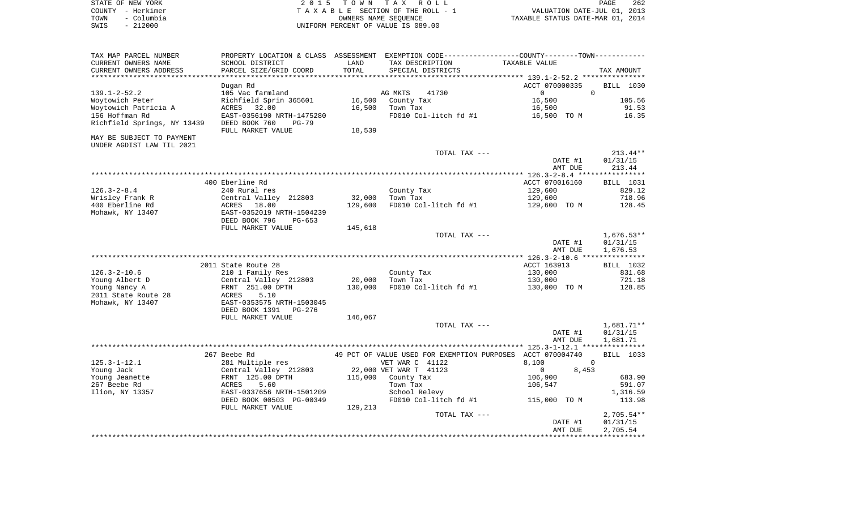| STATE OF NEW YORK  | 2015 TOWN TAX ROLL                 | 262<br>PAGE                      |
|--------------------|------------------------------------|----------------------------------|
| COUNTY - Herkimer  | TAXABLE SECTION OF THE ROLL - 1    | VALUATION DATE-JUL 01, 2013      |
| - Columbia<br>TOWN | OWNERS NAME SEOUENCE               | TAXABLE STATUS DATE-MAR 01, 2014 |
| - 212000<br>SWIS   | UNIFORM PERCENT OF VALUE IS 089.00 |                                  |

| TAX MAP PARCEL NUMBER                         | PROPERTY LOCATION & CLASS ASSESSMENT EXEMPTION CODE---------------COUNTY-------TOWN---------- |         |                                                            |                                    |              |
|-----------------------------------------------|-----------------------------------------------------------------------------------------------|---------|------------------------------------------------------------|------------------------------------|--------------|
| CURRENT OWNERS NAME                           | SCHOOL DISTRICT                                                                               | LAND    | TAX DESCRIPTION                                            | TAXABLE VALUE                      |              |
| CURRENT OWNERS ADDRESS                        | PARCEL SIZE/GRID COORD                                                                        | TOTAL   | SPECIAL DISTRICTS                                          |                                    | TAX AMOUNT   |
|                                               |                                                                                               |         |                                                            |                                    |              |
|                                               | Dugan Rd                                                                                      |         |                                                            | ACCT 070000335                     | BILL 1030    |
| $139.1 - 2 - 52.2$                            | 105 Vac farmland                                                                              |         | AG MKTS<br>41730                                           | $\Omega$<br>$\Omega$               |              |
| Woytowich Peter                               | Richfield Sprin 365601                                                                        |         | 16,500 County Tax                                          | 16,500                             | 105.56       |
| Woytowich Patricia A                          | ACRES 32.00                                                                                   | 16,500  | Town Tax                                                   | 16,500                             | 91.53        |
| 156 Hoffman Rd<br>Richfield Springs, NY 13439 | EAST-0356190 NRTH-1475280                                                                     |         | FD010 Col-litch fd #1                                      | 16,500 TO M                        | 16.35        |
|                                               | DEED BOOK 760<br>PG-79<br>FULL MARKET VALUE                                                   | 18,539  |                                                            |                                    |              |
| MAY BE SUBJECT TO PAYMENT                     |                                                                                               |         |                                                            |                                    |              |
| UNDER AGDIST LAW TIL 2021                     |                                                                                               |         |                                                            |                                    |              |
|                                               |                                                                                               |         | TOTAL TAX ---                                              |                                    | $213.44**$   |
|                                               |                                                                                               |         |                                                            | DATE #1                            | 01/31/15     |
|                                               |                                                                                               |         |                                                            | AMT DUE                            | 213.44       |
|                                               |                                                                                               |         |                                                            |                                    |              |
|                                               | 400 Eberline Rd                                                                               |         |                                                            | ACCT 070016160                     | BILL 1031    |
| 126.3-2-8.4                                   | 240 Rural res                                                                                 |         | County Tax                                                 | 129,600                            | 829.12       |
| Wrisley Frank R                               | Central Valley 212803<br>ACRES 18.00                                                          | 32,000  |                                                            | 129,600                            | 718.96       |
| 400 Eberline Rd                               |                                                                                               | 129,600 | FD010 Col-litch fd #1                                      | 129,600 TO M                       | 128.45       |
| Mohawk, NY 13407                              | EAST-0352019 NRTH-1504239                                                                     |         |                                                            |                                    |              |
|                                               | DEED BOOK 796<br>PG-653                                                                       |         |                                                            |                                    |              |
|                                               | FULL MARKET VALUE                                                                             | 145,618 |                                                            |                                    |              |
|                                               |                                                                                               |         | TOTAL TAX ---                                              |                                    | $1,676.53**$ |
|                                               |                                                                                               |         |                                                            | DATE #1                            | 01/31/15     |
|                                               |                                                                                               |         |                                                            | AMT DUE                            | 1,676.53     |
|                                               | 2011 State Route 28                                                                           |         |                                                            | ACCT 163913                        | BILL 1032    |
| $126.3 - 2 - 10.6$                            | 210 1 Family Res                                                                              |         | County Tax                                                 | 130,000                            | 831.68       |
| Young Albert D                                |                                                                                               | 20,000  | Town Tax                                                   | 130,000                            | 721.18       |
| Young Nancy A                                 | Central Valley 212803<br>FRNT 251.00 DPTH<br>ACRES 5.10                                       | 130,000 | FD010 Col-litch fd #1                                      | 130,000 TO M                       | 128.85       |
| 2011 State Route 28                           |                                                                                               |         |                                                            |                                    |              |
| Mohawk, NY 13407                              | EAST-0353575 NRTH-1503045                                                                     |         |                                                            |                                    |              |
|                                               | DEED BOOK 1391<br>PG-276                                                                      |         |                                                            |                                    |              |
|                                               | FULL MARKET VALUE                                                                             | 146,067 |                                                            |                                    |              |
|                                               |                                                                                               |         | TOTAL TAX ---                                              |                                    | 1,681.71**   |
|                                               |                                                                                               |         |                                                            | DATE #1                            | 01/31/15     |
|                                               |                                                                                               |         |                                                            | AMT DUE                            | 1,681.71     |
|                                               |                                                                                               |         |                                                            |                                    |              |
|                                               | 267 Beebe Rd                                                                                  |         | 49 PCT OF VALUE USED FOR EXEMPTION PURPOSES ACCT 070004740 |                                    | BILL 1033    |
| $125.3 - 1 - 12.1$                            | 281 Multiple res                                                                              |         | VET WAR C 41122                                            | 8,100<br>$\mathbf 0$               |              |
| Young Jack                                    | Central Valley 212803<br>FRNT 125.00 DPTH<br>ACRES 5.60                                       |         | 22,000 VET WAR T 41123                                     | 8,453<br>$\overline{0}$            |              |
| Young Jeanette                                |                                                                                               |         | 115,000 County Tax                                         | 106,900                            | 683.90       |
| 267 Beebe Rd                                  |                                                                                               |         | Town Tax                                                   | 106,547                            | 591.07       |
| Ilion, NY 13357                               | EAST-0337656 NRTH-1501209                                                                     |         | School Relevy                                              |                                    | 1,316.59     |
|                                               | DEED BOOK 00503 PG-00349<br>FULL MARKET VALUE                                                 | 129,213 |                                                            | FD010 Col-litch fd #1 115,000 TO M | 113.98       |
|                                               |                                                                                               |         | TOTAL TAX ---                                              |                                    | $2,705.54**$ |
|                                               |                                                                                               |         |                                                            | DATE #1                            | 01/31/15     |
|                                               |                                                                                               |         |                                                            | AMT DUE                            | 2,705.54     |
|                                               |                                                                                               |         |                                                            |                                    |              |
|                                               |                                                                                               |         |                                                            |                                    |              |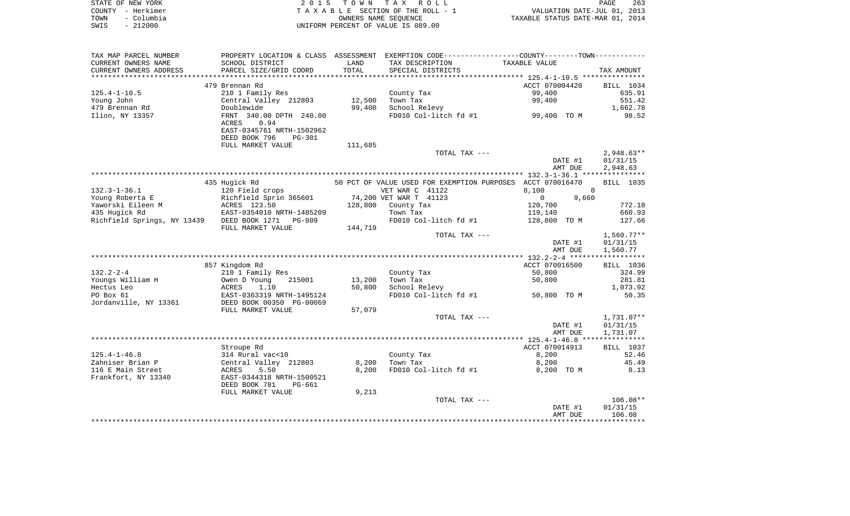| STATE OF NEW YORK  | 2015 TOWN TAX ROLL                 | 263<br>PAGE                      |
|--------------------|------------------------------------|----------------------------------|
| COUNTY - Herkimer  | TAXABLE SECTION OF THE ROLL - 1    | VALUATION DATE-JUL 01, 2013      |
| - Columbia<br>TOWN | OWNERS NAME SEOUENCE               | TAXABLE STATUS DATE-MAR 01, 2014 |
| - 212000<br>SWIS   | UNIFORM PERCENT OF VALUE IS 089.00 |                                  |

| TAX MAP PARCEL NUMBER                             |                                                                     |         | PROPERTY LOCATION & CLASS ASSESSMENT EXEMPTION CODE---------------COUNTY-------TOWN---------- |                         |              |
|---------------------------------------------------|---------------------------------------------------------------------|---------|-----------------------------------------------------------------------------------------------|-------------------------|--------------|
| CURRENT OWNERS NAME                               | SCHOOL DISTRICT                                                     | LAND    | TAX DESCRIPTION                                                                               | TAXABLE VALUE           |              |
| CURRENT OWNERS ADDRESS                            | PARCEL SIZE/GRID COORD                                              | TOTAL   | SPECIAL DISTRICTS                                                                             |                         | TAX AMOUNT   |
| *********************                             |                                                                     |         |                                                                                               |                         |              |
|                                                   | 479 Brennan Rd                                                      |         |                                                                                               | ACCT 070004420          | BILL 1034    |
| $125.4 - 1 - 10.5$                                | 210 1 Family Res                                                    |         | County Tax                                                                                    | 99,400                  | 635.91       |
| Young John                                        | Central Valley 212803                                               | 12,500  | Town Tax                                                                                      | 99,400                  | 551.42       |
| 479 Brennan Rd                                    | Doublewide                                                          | 99,400  | School Relevy                                                                                 |                         | 1,662.78     |
| Ilion, NY 13357                                   | FRNT 340.00 DPTH 240.00                                             |         | FD010 Col-litch fd #1                                                                         | 99,400 TO M             | 98.52        |
|                                                   | 0.94<br>ACRES                                                       |         |                                                                                               |                         |              |
|                                                   | EAST-0345761 NRTH-1502962                                           |         |                                                                                               |                         |              |
|                                                   | DEED BOOK 796<br><b>PG-301</b>                                      |         |                                                                                               |                         |              |
|                                                   | FULL MARKET VALUE                                                   | 111,685 |                                                                                               |                         |              |
|                                                   |                                                                     |         | TOTAL TAX ---                                                                                 |                         | $2,948.63**$ |
|                                                   |                                                                     |         |                                                                                               | DATE #1                 | 01/31/15     |
|                                                   |                                                                     |         |                                                                                               | AMT DUE                 | 2,948.63     |
|                                                   |                                                                     |         |                                                                                               |                         |              |
|                                                   | 435 Hugick Rd                                                       |         | 50 PCT OF VALUE USED FOR EXEMPTION PURPOSES ACCT 070016470                                    |                         | BILL 1035    |
| $132.3 - 1 - 36.1$                                | 120 Field crops                                                     |         | VET WAR C 41122                                                                               | 8,100                   | $\mathbf 0$  |
| Young Roberta E                                   |                                                                     |         | 74,200 VET WAR T 41123                                                                        | 9,660<br>$\overline{0}$ |              |
| Yaworski Eileen M                                 | Richfield Sprin 365601<br>ACRES 123.50<br>EAST-0354010 NRTH-1485209 | 128,800 | County Tax                                                                                    | 120,700                 | 772.18       |
| 435 Hugick Rd                                     |                                                                     |         | Town Tax                                                                                      | 119,140                 | 660.93       |
| Richfield Springs, NY 13439 DEED BOOK 1271 PG-809 |                                                                     |         | FD010 Col-litch fd #1                                                                         | 128,800 TO M            | 127.66       |
|                                                   | FULL MARKET VALUE                                                   | 144,719 |                                                                                               |                         |              |
|                                                   |                                                                     |         | TOTAL TAX ---                                                                                 |                         | $1,560.77**$ |
|                                                   |                                                                     |         |                                                                                               | DATE #1                 | 01/31/15     |
|                                                   |                                                                     |         |                                                                                               | AMT DUE                 | 1,560.77     |
|                                                   |                                                                     |         |                                                                                               |                         |              |
|                                                   | 857 Kingdom Rd                                                      |         |                                                                                               | ACCT 070016500          | BILL 1036    |
| $132.2 - 2 - 4$                                   | 210 1 Family Res                                                    |         | County Tax                                                                                    | 50,800                  | 324.99       |
| Youngs William H                                  | Owen D Young<br>215001                                              | 13,200  | Town Tax                                                                                      | 50,800                  | 281.81       |
| Hectus Leo                                        | 1.10<br>ACRES                                                       | 50,800  | School Relevy                                                                                 |                         | 1,073.92     |
| PO Box 61                                         |                                                                     |         | FD010 Col-litch fd #1 50,800 TO M                                                             |                         | 50.35        |
| Jordanville, NY 13361                             | EAST-0363319 NRTH-1495124<br>DEED BOOK 00350 PG-00069               |         |                                                                                               |                         |              |
|                                                   | FULL MARKET VALUE                                                   | 57,079  |                                                                                               |                         |              |
|                                                   |                                                                     |         | TOTAL TAX ---                                                                                 |                         | 1,731.07**   |
|                                                   |                                                                     |         |                                                                                               | DATE #1                 | 01/31/15     |
|                                                   |                                                                     |         |                                                                                               | AMT DUE                 | 1,731.07     |
|                                                   |                                                                     |         |                                                                                               |                         |              |
|                                                   | Stroupe Rd                                                          |         |                                                                                               | ACCT 070014913          | BILL 1037    |
| $125.4 - 1 - 46.8$                                | 314 Rural vac<10                                                    |         | County Tax                                                                                    | 8,200                   | 52.46        |
| Zahniser Brian P                                  | Central Valley 212803                                               | 8,200   | Town Tax                                                                                      | 8,200                   | 45.49        |
| 116 E Main Street                                 | ACRES<br>5.50                                                       | 8,200   | FD010 Col-litch fd #1                                                                         | 8,200 TO M              | 8.13         |
| Frankfort, NY 13340                               | EAST-0344318 NRTH-1500521                                           |         |                                                                                               |                         |              |
|                                                   | DEED BOOK 781<br>PG-661                                             |         |                                                                                               |                         |              |
|                                                   | FULL MARKET VALUE                                                   | 9,213   |                                                                                               |                         |              |
|                                                   |                                                                     |         | TOTAL TAX ---                                                                                 |                         | $106.08**$   |
|                                                   |                                                                     |         |                                                                                               | DATE #1                 | 01/31/15     |
|                                                   |                                                                     |         |                                                                                               | AMT DUE                 | 106.08       |
|                                                   |                                                                     |         |                                                                                               |                         |              |
|                                                   |                                                                     |         |                                                                                               |                         |              |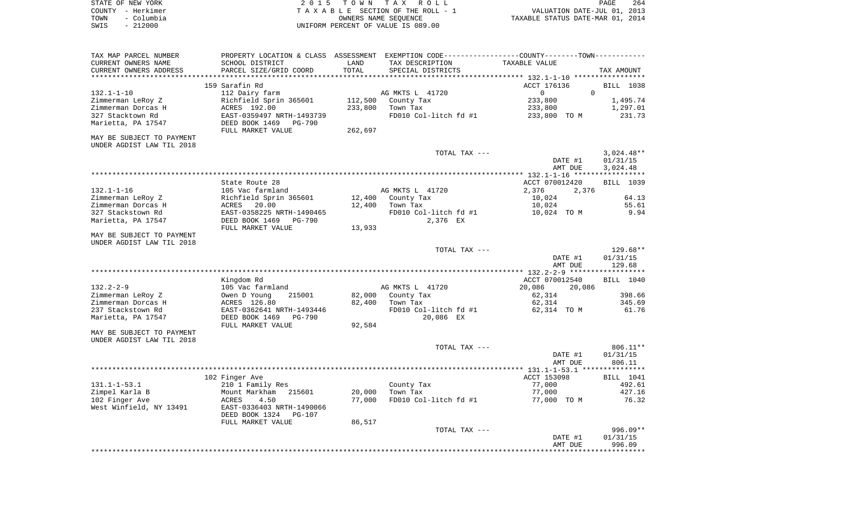| STATE OF NEW YORK  | 2015 TOWN TAX ROLL                    | 264<br>PAGE                      |
|--------------------|---------------------------------------|----------------------------------|
| COUNTY - Herkimer  | T A X A B L E SECTION OF THE ROLL - 1 | VALUATION DATE-JUL 01, 2013      |
| - Columbia<br>TOWN | OWNERS NAME SEOUENCE                  | TAXABLE STATUS DATE-MAR 01, 2014 |
| $-212000$<br>SWIS  | UNIFORM PERCENT OF VALUE IS 089.00    |                                  |

| TAX MAP PARCEL NUMBER     | PROPERTY LOCATION & CLASS             |         | ASSESSMENT EXEMPTION CODE-----------------COUNTY-------TOWN----------- |                         |                    |
|---------------------------|---------------------------------------|---------|------------------------------------------------------------------------|-------------------------|--------------------|
| CURRENT OWNERS NAME       | SCHOOL DISTRICT                       | LAND    | TAX DESCRIPTION                                                        | TAXABLE VALUE           |                    |
| CURRENT OWNERS ADDRESS    | PARCEL SIZE/GRID COORD                | TOTAL   | SPECIAL DISTRICTS                                                      |                         | TAX AMOUNT         |
| ********************      |                                       |         |                                                                        |                         |                    |
|                           | 159 Sarafin Rd                        |         |                                                                        | ACCT 176136             | BILL 1038          |
| $132.1 - 1 - 10$          | 112 Dairy farm                        |         | AG MKTS L 41720                                                        | $\Omega$<br>$\mathbf 0$ |                    |
| Zimmerman LeRoy Z         | Richfield Sprin 365601                | 112,500 | County Tax                                                             | 233,800                 | 1,495.74           |
| Zimmerman Dorcas H        | ACRES 192.00                          | 233,800 | Town Tax                                                               | 233,800                 | 1,297.01           |
| 327 Stacktown Rd          | EAST-0359497 NRTH-1493739             |         | FD010 Col-litch fd #1                                                  | 233,800 TO M            | 231.73             |
| Marietta, PA 17547        | DEED BOOK 1469<br><b>PG-790</b>       |         |                                                                        |                         |                    |
|                           | FULL MARKET VALUE                     | 262,697 |                                                                        |                         |                    |
| MAY BE SUBJECT TO PAYMENT |                                       |         |                                                                        |                         |                    |
| UNDER AGDIST LAW TIL 2018 |                                       |         |                                                                        |                         |                    |
|                           |                                       |         | TOTAL TAX ---                                                          |                         | $3,024.48**$       |
|                           |                                       |         |                                                                        | DATE #1                 | 01/31/15           |
|                           |                                       |         |                                                                        | AMT DUE                 | 3,024.48           |
|                           |                                       |         |                                                                        |                         |                    |
|                           | State Route 28                        |         |                                                                        | ACCT 070012420          | BILL 1039          |
| $132.1 - 1 - 16$          | 105 Vac farmland                      |         | AG MKTS L 41720                                                        | 2,376<br>2,376          |                    |
| Zimmerman LeRoy Z         | Richfield Sprin 365601                | 12,400  | County Tax                                                             | 10,024                  | 64.13              |
| Zimmerman Dorcas H        | 20.00<br>ACRES                        | 12,400  | Town Tax                                                               | 10,024                  | 55.61              |
| 327 Stackstown Rd         | EAST-0358225 NRTH-1490465             |         | FD010 Col-litch fd #1                                                  | 10,024 TO M             | 9.94               |
| Marietta, PA 17547        | DEED BOOK 1469<br><b>PG-790</b>       |         | 2,376 EX                                                               |                         |                    |
|                           | FULL MARKET VALUE                     | 13,933  |                                                                        |                         |                    |
| MAY BE SUBJECT TO PAYMENT |                                       |         |                                                                        |                         |                    |
| UNDER AGDIST LAW TIL 2018 |                                       |         |                                                                        |                         |                    |
|                           |                                       |         | TOTAL TAX ---                                                          |                         | 129.68**           |
|                           |                                       |         |                                                                        | DATE #1                 | 01/31/15<br>129.68 |
|                           |                                       |         |                                                                        | AMT DUE                 | ****************** |
|                           | Kingdom Rd                            |         |                                                                        | ACCT 070012540          | BILL 1040          |
| $132.2 - 2 - 9$           | 105 Vac farmland                      |         | AG MKTS L 41720                                                        | 20,086                  |                    |
| Zimmerman LeRoy Z         | Owen D Young<br>215001                | 82,000  | County Tax                                                             | 20,086<br>62,314        | 398.66             |
|                           | ACRES 126.80                          |         |                                                                        |                         | 345.69             |
| Zimmerman Dorcas H        |                                       | 82,400  | Town Tax                                                               | 62,314                  |                    |
| 237 Stackstown Rd         | EAST-0362641 NRTH-1493446<br>$PG-790$ |         | FD010 Col-litch fd #1                                                  | 62,314 TO M             | 61.76              |
| Marietta, PA 17547        | DEED BOOK 1469                        | 92,584  | 20,086 EX                                                              |                         |                    |
| MAY BE SUBJECT TO PAYMENT | FULL MARKET VALUE                     |         |                                                                        |                         |                    |
| UNDER AGDIST LAW TIL 2018 |                                       |         |                                                                        |                         |                    |
|                           |                                       |         | TOTAL TAX ---                                                          |                         | 806.11**           |
|                           |                                       |         |                                                                        | DATE #1                 | 01/31/15           |
|                           |                                       |         |                                                                        | AMT DUE                 | 806.11             |
|                           |                                       |         |                                                                        |                         |                    |
|                           | 102 Finger Ave                        |         |                                                                        | ACCT 153098             | <b>BILL</b> 1041   |
| $131.1 - 1 - 53.1$        | 210 1 Family Res                      |         | County Tax                                                             | 77,000                  | 492.61             |
| Zimpel Karla B            | Mount Markham<br>215601               | 20,000  | Town Tax                                                               | 77,000                  | 427.16             |
| 102 Finger Ave            | ACRES<br>4.50                         | 77,000  | FD010 Col-litch fd #1                                                  | 77,000 TO M             | 76.32              |
| West Winfield, NY 13491   | EAST-0336403 NRTH-1490066             |         |                                                                        |                         |                    |
|                           | DEED BOOK 1324<br><b>PG-107</b>       |         |                                                                        |                         |                    |
|                           | FULL MARKET VALUE                     | 86,517  |                                                                        |                         |                    |
|                           |                                       |         | TOTAL TAX ---                                                          |                         | $996.09**$         |
|                           |                                       |         |                                                                        | DATE #1                 | 01/31/15           |
|                           |                                       |         |                                                                        | AMT DUE                 | 996.09             |
|                           |                                       |         |                                                                        |                         | *********          |
|                           |                                       |         |                                                                        |                         |                    |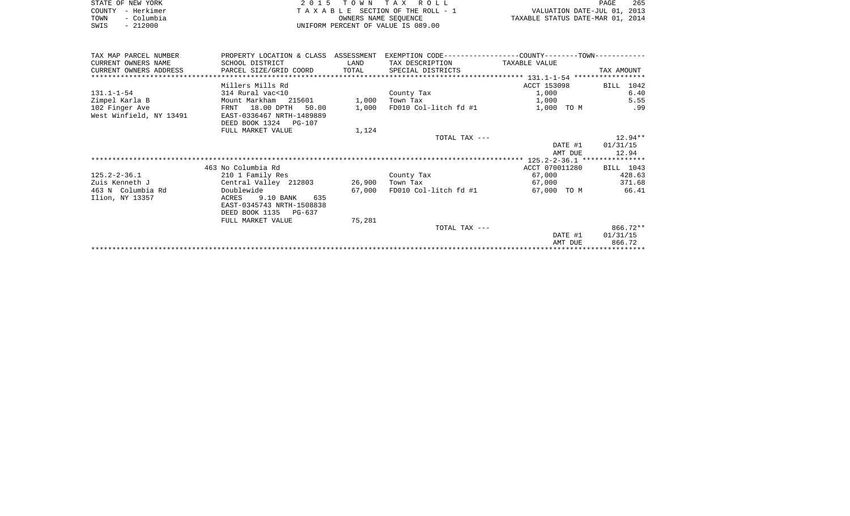| STATE OF NEW YORK |            | 2015 TOWN TAX ROLL                    | 265<br>PAGE                      |
|-------------------|------------|---------------------------------------|----------------------------------|
| COUNTY - Herkimer |            | T A X A B L E SECTION OF THE ROLL - 1 | VALUATION DATE-JUL 01, 2013      |
| TOWN              | - Columbia | OWNERS NAME SEOUENCE                  | TAXABLE STATUS DATE-MAR 01, 2014 |
| SWIS              | $-212000$  | UNIFORM PERCENT OF VALUE IS 089.00    |                                  |

 $\frac{265}{2013}$ <br> $\frac{2014}{2014}$ 

| TAX MAP PARCEL NUMBER   | PROPERTY LOCATION & CLASS ASSESSMENT |        | EXEMPTION CODE-----------------COUNTY-------TOWN----------- |                |            |
|-------------------------|--------------------------------------|--------|-------------------------------------------------------------|----------------|------------|
| CURRENT OWNERS NAME     | SCHOOL DISTRICT                      | LAND   | TAX DESCRIPTION                                             | TAXABLE VALUE  |            |
| CURRENT OWNERS ADDRESS  | PARCEL SIZE/GRID COORD               | TOTAL  | SPECIAL DISTRICTS                                           |                | TAX AMOUNT |
|                         |                                      |        |                                                             |                |            |
|                         | Millers Mills Rd                     |        |                                                             | ACCT 153098    | BILL 1042  |
| 131.1-1-54              | 314 Rural vac<10                     |        | County Tax                                                  | 1,000          | 6.40       |
| Zimpel Karla B          | Mount Markham 215601                 | 1,000  | Town Tax                                                    | 1,000          | 5.55       |
| 102 Finger Ave          | FRNT 18.00 DPTH<br>50.00             | 1,000  | FD010 Col-litch fd #1                                       | 1,000 TO M     | .99        |
| West Winfield, NY 13491 | EAST-0336467 NRTH-1489889            |        |                                                             |                |            |
|                         | DEED BOOK 1324 PG-107                |        |                                                             |                |            |
|                         | FULL MARKET VALUE                    | 1,124  |                                                             |                |            |
|                         |                                      |        | TOTAL TAX ---                                               |                | $12.94**$  |
|                         |                                      |        |                                                             | DATE #1        | 01/31/15   |
|                         |                                      |        |                                                             | AMT DUE        | 12.94      |
|                         |                                      |        |                                                             |                |            |
|                         | 463 No Columbia Rd                   |        |                                                             | ACCT 070011280 | BILL 1043  |
| 125.2-2-36.1            | 210 1 Family Res                     |        | County Tax                                                  | 67,000         | 428.63     |
| Zuis Kenneth J          | Central Valley 212803                | 26,900 | Town Tax                                                    | 67,000         | 371.68     |
| 463 N Columbia Rd       | Doublewide                           | 67,000 | FD010 Col-litch fd #1                                       | 67,000 TO M    | 66.41      |
| Ilion, NY 13357         | 9.10 BANK<br>635<br>ACRES            |        |                                                             |                |            |
|                         | EAST-0345743 NRTH-1508838            |        |                                                             |                |            |
|                         | DEED BOOK 1135 PG-637                |        |                                                             |                |            |
|                         | FULL MARKET VALUE                    | 75,281 |                                                             |                |            |
|                         |                                      |        | TOTAL TAX ---                                               |                | 866.72**   |
|                         |                                      |        |                                                             | DATE #1        | 01/31/15   |
|                         |                                      |        |                                                             | AMT DUE        | 866.72     |
|                         |                                      |        |                                                             |                |            |
|                         |                                      |        |                                                             |                |            |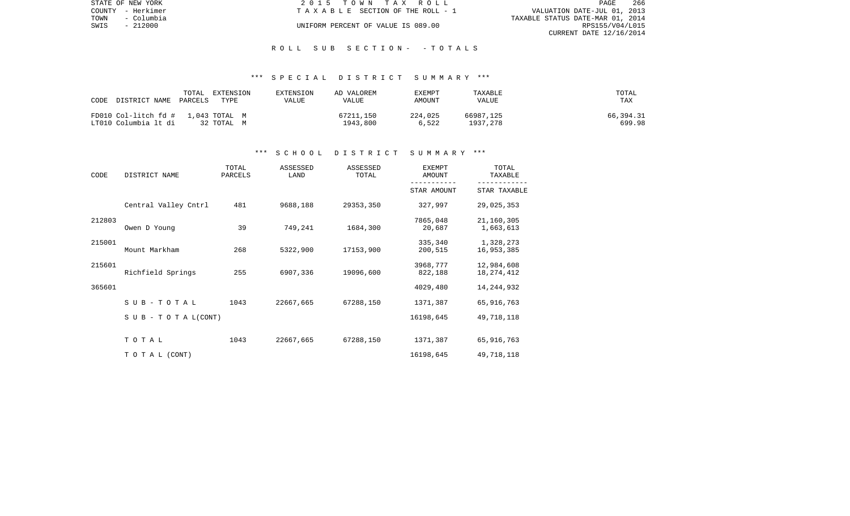|      | STATE OF NEW YORK | 2015 TOWN TAX ROLL                    | PAGE                             | - 266 |
|------|-------------------|---------------------------------------|----------------------------------|-------|
|      | COUNTY - Herkimer | T A X A B L E SECTION OF THE ROLL - 1 | VALUATION DATE-JUL 01, 2013      |       |
| TOWN | - Columbia        |                                       | TAXABLE STATUS DATE-MAR 01, 2014 |       |
| SWIS | - 212000          | UNIFORM PERCENT OF VALUE IS 089.00    | RPS155/V04/L015                  |       |
|      |                   |                                       | CURRENT DATE 12/16/2014          |       |

### R O L L S U B S E C T I O N - - T O T A L S

#### \*\*\* S P E C I A L D I S T R I C T S U M M A R Y \*\*\*

| CODE                                                       | TOTAL   | EXTENSION  | EXTENSION | AD VALOREM            | EXEMPT           | TAXABLE               | TOTAL               |
|------------------------------------------------------------|---------|------------|-----------|-----------------------|------------------|-----------------------|---------------------|
| DISTRICT NAME                                              | PARCELS | TYPE       | VALUE     | VALUE                 | AMOUNT           | VALUE                 | TAX                 |
| FD010 Col-litch fd # 1,043 TOTAL M<br>LT010 Columbia lt di |         | 32 TOTAL M |           | 67211,150<br>1943,800 | 224,025<br>6.522 | 66987,125<br>1937,278 | 66,394.31<br>699.98 |

#### \*\*\* S C H O O L D I S T R I C T S U M M A R Y \*\*\*

| CODE   | DISTRICT NAME                    | TOTAL<br>PARCELS | ASSESSED<br>LAND | ASSESSED<br>TOTAL | EXEMPT<br>AMOUNT    | TOTAL<br>TAXABLE         |
|--------|----------------------------------|------------------|------------------|-------------------|---------------------|--------------------------|
|        |                                  |                  |                  |                   | STAR AMOUNT         | STAR TAXABLE             |
|        | Central Valley Cntrl             | 481              | 9688,188         | 29353,350         | 327,997             | 29,025,353               |
| 212803 | Owen D Young                     | 39               | 749,241          | 1684,300          | 7865,048<br>20,687  | 21,160,305<br>1,663,613  |
| 215001 | Mount Markham                    | 268              | 5322,900         | 17153,900         | 335,340<br>200,515  | 1,328,273<br>16,953,385  |
| 215601 | Richfield Springs                | 255              | 6907,336         | 19096,600         | 3968,777<br>822,188 | 12,984,608<br>18,274,412 |
| 365601 |                                  |                  |                  |                   | 4029,480            | 14,244,932               |
|        | SUB-TOTAL                        | 1043             | 22667,665        | 67288,150         | 1371,387            | 65,916,763               |
|        | $S \cup B - T \cup T A L (CONT)$ |                  |                  |                   | 16198,645           | 49,718,118               |
|        | TOTAL                            | 1043             | 22667,665        | 67288,150         | 1371,387            | 65,916,763               |
|        | TO TAL (CONT)                    |                  |                  |                   | 16198,645           | 49,718,118               |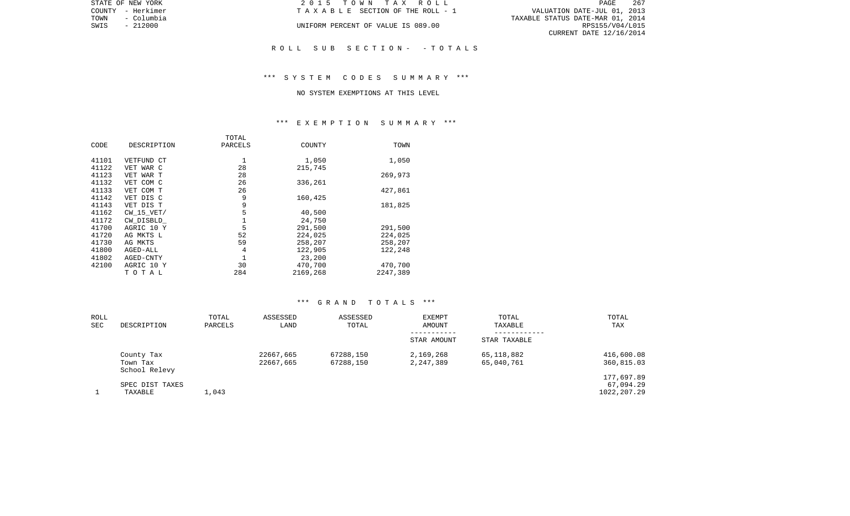|                                  | PAGE                        | 267 |
|----------------------------------|-----------------------------|-----|
|                                  | VALUATION DATE-JUL 01, 2013 |     |
| TAXABLE STATUS DATE-MAR 01, 2014 |                             |     |
|                                  | RPS155/V04/L015             |     |
|                                  | CURRENT DATE 12/16/2014     |     |

STATE OF NEW YORK **2015 TOWN TAX ROLL** COUNTY - Herkimer  $T A X A B L E$  SECTION OF THE ROLL - 1

UNIFORM PERCENT OF VALUE IS 089.00

#### R O L L S U B S E C T I O N - - T O T A L S

## \*\*\* S Y S T E M C O D E S S U M M A R Y \*\*\*

#### NO SYSTEM EXEMPTIONS AT THIS LEVEL

# \*\*\* E X E M P T I O N S U M M A R Y \*\*\*

|                | TOTAL   |          |          |
|----------------|---------|----------|----------|
| DESCRIPTION    | PARCELS | COUNTY   | TOWN     |
| VETFUND CT     | 1       | 1,050    | 1,050    |
| VET WAR C      | 28      | 215,745  |          |
| VET WAR T      | 28      |          | 269,973  |
| VET COM C      | 26      | 336,261  |          |
| VET COM T      | 26      |          | 427,861  |
| VET DIS C      | 9       | 160,425  |          |
| VET DIS T      | 9       |          | 181,825  |
| $CW$ 15 $VET/$ | 5       | 40,500   |          |
| CW DISBLD      | 1       | 24,750   |          |
| AGRIC 10 Y     | 5       | 291,500  | 291,500  |
| AG MKTS L      | 52      | 224,025  | 224,025  |
| AG MKTS        | 59      | 258,207  | 258,207  |
| AGED-ALL       | 4       | 122,905  | 122,248  |
| AGED-CNTY      | 1       | 23,200   |          |
| AGRIC 10 Y     | 30      | 470,700  | 470,700  |
| TOTAL          | 284     | 2169,268 | 2247,389 |
|                |         |          |          |

| ROLL<br>SEC | DESCRIPTION                             | TOTAL<br>PARCELS | ASSESSED<br>LAND       | ASSESSED<br>TOTAL      | EXEMPT<br>AMOUNT       | TOTAL<br>TAXABLE         | TOTAL<br>TAX                           |
|-------------|-----------------------------------------|------------------|------------------------|------------------------|------------------------|--------------------------|----------------------------------------|
|             |                                         |                  |                        |                        | STAR AMOUNT            | STAR TAXABLE             |                                        |
|             | County Tax<br>Town Tax<br>School Relevy |                  | 22667,665<br>22667,665 | 67288,150<br>67288,150 | 2,169,268<br>2,247,389 | 65,118,882<br>65,040,761 | 416,600.08<br>360,815.03               |
|             | SPEC DIST TAXES<br>TAXABLE              | 1,043            |                        |                        |                        |                          | 177,697.89<br>67,094.29<br>1022,207.29 |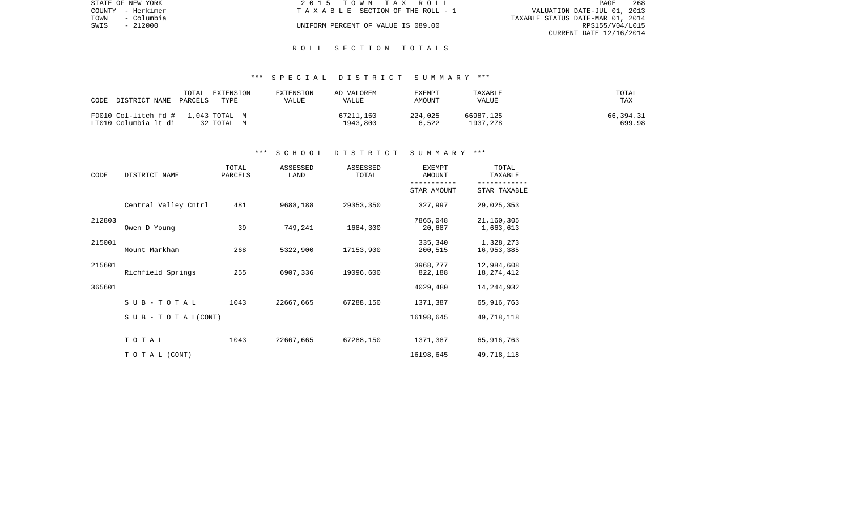|      | STATE OF NEW YORK | 2015 TOWN TAX ROLL                 |                                  | PAGE                    | -268 |
|------|-------------------|------------------------------------|----------------------------------|-------------------------|------|
|      | COUNTY - Herkimer | TAXABLE SECTION OF THE ROLL - 1    | VALUATION DATE-JUL 01, 2013      |                         |      |
| TOWN | - Columbia        |                                    | TAXABLE STATUS DATE-MAR 01, 2014 |                         |      |
| SWIS | $-212000$         | UNIFORM PERCENT OF VALUE IS 089.00 |                                  | RPS155/V04/L015         |      |
|      |                   |                                    |                                  | CURRENT DATE 12/16/2014 |      |

#### R O L L S E C T I O N T O T A L S

### \*\*\* S P E C I A L D I S T R I C T S U M M A R Y \*\*\*

| TOTAL<br>CODE<br>DISTRICT NAME<br>PARCELS                  | EXTENSION<br>TYPE | EXTENSION<br>VALUE | AD VALOREM<br>VALUE   | EXEMPT<br>AMOUNT | TAXABLE<br>VALUE      | TOTAL<br>TAX        |
|------------------------------------------------------------|-------------------|--------------------|-----------------------|------------------|-----------------------|---------------------|
| FD010 Col-litch fd # 1,043 TOTAL M<br>LT010 Columbia lt di | 32 TOTAL M        |                    | 67211,150<br>1943,800 | 224,025<br>6,522 | 66987,125<br>1937.278 | 66,394.31<br>699.98 |

#### \*\*\* S C H O O L D I S T R I C T S U M M A R Y \*\*\*

| CODE   | DISTRICT NAME                    | TOTAL<br>PARCELS | ASSESSED<br>LAND | ASSESSED<br>TOTAL | <b>EXEMPT</b><br>AMOUNT | TOTAL<br>TAXABLE |
|--------|----------------------------------|------------------|------------------|-------------------|-------------------------|------------------|
|        |                                  |                  |                  |                   | STAR AMOUNT             | STAR TAXABLE     |
|        | Central Valley Cntrl             | 481              | 9688,188         | 29353,350         | 327,997                 | 29,025,353       |
| 212803 |                                  |                  |                  |                   | 7865,048                | 21,160,305       |
|        | Owen D Young                     | 39               | 749,241          | 1684,300          | 20,687                  | 1,663,613        |
| 215001 |                                  |                  |                  |                   | 335,340                 | 1,328,273        |
|        | Mount Markham                    | 268              | 5322,900         | 17153,900         | 200,515                 | 16,953,385       |
| 215601 |                                  |                  |                  |                   | 3968,777                | 12,984,608       |
|        | Richfield Springs                | 255              | 6907,336         | 19096,600         | 822,188                 | 18, 274, 412     |
| 365601 |                                  |                  |                  |                   | 4029,480                | 14, 244, 932     |
|        | $SUB - TO T AL$                  | 1043             | 22667,665        | 67288,150         | 1371,387                | 65,916,763       |
|        | $S \cup B - T \cup T A L (CONT)$ |                  |                  |                   | 16198,645               | 49,718,118       |
|        |                                  |                  |                  |                   |                         |                  |
|        | TOTAL                            | 1043             | 22667,665        | 67288,150         | 1371,387                | 65,916,763       |
|        | TO TAL (CONT)                    |                  |                  |                   | 16198,645               | 49,718,118       |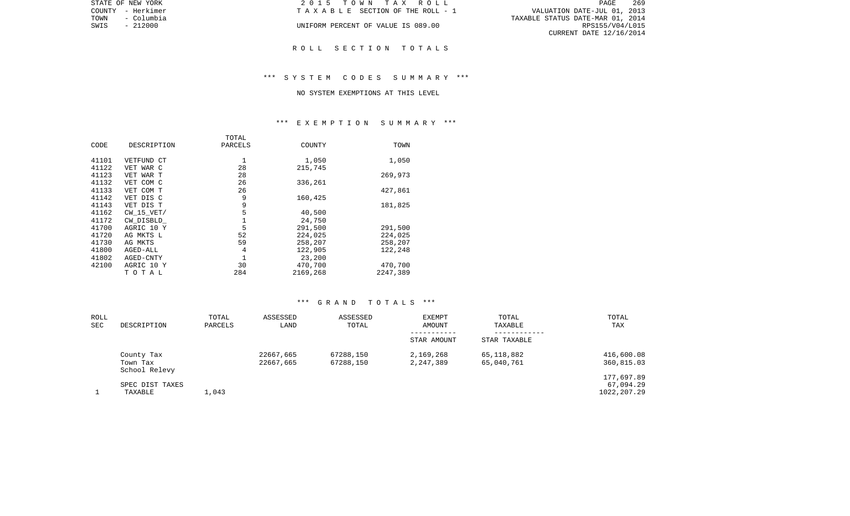|      | STATE OF NEW YORK | 2015 TOWN TAX ROLL                 | 269<br>PAGE                      |
|------|-------------------|------------------------------------|----------------------------------|
|      | COUNTY - Herkimer | TAXABLE SECTION OF THE ROLL - 1    | VALUATION DATE-JUL 01, 2013      |
| TOWN | - Columbia        |                                    | TAXABLE STATUS DATE-MAR 01, 2014 |
| SWIS | $-212000$         | UNIFORM PERCENT OF VALUE IS 089.00 | RPS155/V04/L015                  |
|      |                   |                                    | CURRENT DATE 12/16/2014          |
|      |                   |                                    |                                  |
|      |                   | ROLL SECTION TOTALS                |                                  |

## \*\*\* S Y S T E M C O D E S S U M M A R Y \*\*\*

#### NO SYSTEM EXEMPTIONS AT THIS LEVEL

# \*\*\* E X E M P T I O N S U M M A R Y \*\*\*

| DESCRIPTION | PARCELS | COUNTY   | TOWN     |
|-------------|---------|----------|----------|
| VETFUND CT  |         | 1,050    | 1,050    |
| VET WAR C   | 28      | 215,745  |          |
| VET WAR T   | 28      |          | 269,973  |
| VET COM C   | 26      | 336,261  |          |
| VET COM T   | 26      |          | 427,861  |
| VET DIS C   | 9       | 160,425  |          |
| VET DIS T   | 9       |          | 181,825  |
| CW 15 VET/  | 5       | 40,500   |          |
| CW DISBLD   |         | 24,750   |          |
| AGRIC 10 Y  | 5       | 291,500  | 291,500  |
| AG MKTS L   | 52      | 224,025  | 224,025  |
| AG MKTS     | 59      | 258,207  | 258,207  |
| AGED-ALL    | 4       | 122,905  | 122,248  |
| AGED-CNTY   |         | 23,200   |          |
| AGRIC 10 Y  | 30      | 470,700  | 470,700  |
| TOTAL       | 284     | 2169,268 | 2247,389 |
|             |         | TOTAL    |          |

| ROLL<br>SEC | DESCRIPTION                             | TOTAL<br>PARCELS | ASSESSED<br>LAND       | ASSESSED<br>TOTAL      | EXEMPT<br>AMOUNT<br>-----------<br>STAR AMOUNT | TOTAL<br>TAXABLE<br>----------<br>STAR TAXABLE | TOTAL<br>TAX                            |
|-------------|-----------------------------------------|------------------|------------------------|------------------------|------------------------------------------------|------------------------------------------------|-----------------------------------------|
|             | County Tax<br>Town Tax<br>School Relevy |                  | 22667,665<br>22667,665 | 67288,150<br>67288,150 | 2,169,268<br>2,247,389                         | 65,118,882<br>65,040,761                       | 416,600.08<br>360,815.03                |
|             | SPEC DIST TAXES<br>TAXABLE              | 1,043            |                        |                        |                                                |                                                | 177,697.89<br>67,094.29<br>1022, 207.29 |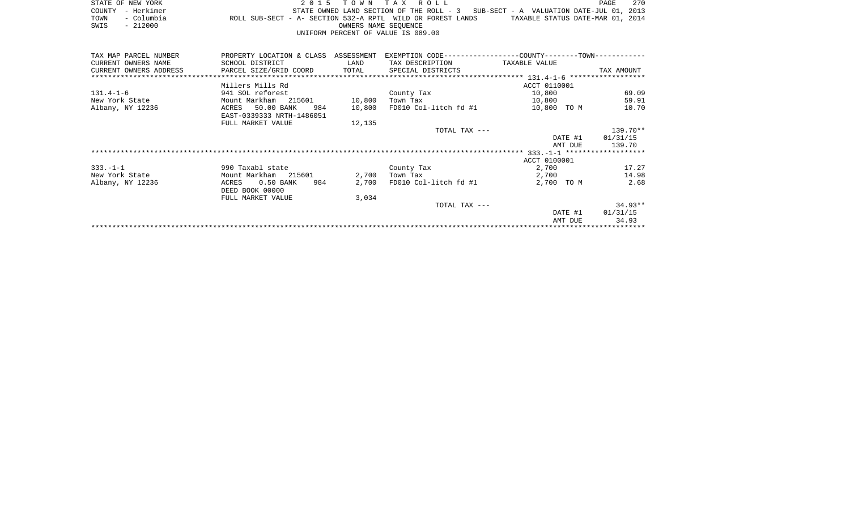|      | STATE OF NEW YORK |                                                            | 2015 TOWN TAX ROLL                 |                      |  |  |  |                                                                                   | PAGE | 2.70 |
|------|-------------------|------------------------------------------------------------|------------------------------------|----------------------|--|--|--|-----------------------------------------------------------------------------------|------|------|
|      | COUNTY - Herkimer |                                                            |                                    |                      |  |  |  | STATE OWNED LAND SECTION OF THE ROLL - 3 SUB-SECT - A VALUATION DATE-JUL 01, 2013 |      |      |
| TOWN | - Columbia        | ROLL SUB-SECT - A- SECTION 532-A RPTL WILD OR FOREST LANDS |                                    |                      |  |  |  | TAXABLE STATUS DATE-MAR 01, 2014                                                  |      |      |
| SWIS | - 212000          |                                                            |                                    | OWNERS NAME SEOUENCE |  |  |  |                                                                                   |      |      |
|      |                   |                                                            | UNIFORM PERCENT OF VALUE IS 089.00 |                      |  |  |  |                                                                                   |      |      |

| TAX MAP PARCEL NUMBER  | PROPERTY LOCATION & CLASS ASSESSMENT |        |                       | EXEMPTION CODE-----------------COUNTY-------TOWN----------- |                  |
|------------------------|--------------------------------------|--------|-----------------------|-------------------------------------------------------------|------------------|
| CURRENT OWNERS NAME    | SCHOOL DISTRICT                      | LAND   | TAX DESCRIPTION       | TAXABLE VALUE                                               |                  |
| CURRENT OWNERS ADDRESS | PARCEL SIZE/GRID COORD TOTAL         |        | SPECIAL DISTRICTS     |                                                             | TAX AMOUNT       |
|                        |                                      |        |                       |                                                             |                  |
|                        | Millers Mills Rd                     |        |                       | ACCT 0110001                                                |                  |
| $131.4 - 1 - 6$        | 941 SOL reforest                     |        | County Tax            | 10,800                                                      | 69.09            |
| New York State         | Mount Markham 215601                 | 10,800 | Town Tax              | 10,800                                                      | 59.91            |
| Albany, NY 12236       | 50.00 BANK<br>984<br>ACRES           | 10,800 | FD010 Col-litch fd #1 | 10,800 TO M                                                 | 10.70            |
|                        | EAST-0339333 NRTH-1486051            |        |                       |                                                             |                  |
|                        | FULL MARKET VALUE                    | 12,135 |                       |                                                             |                  |
|                        |                                      |        | TOTAL TAX ---         |                                                             | 139.70**         |
|                        |                                      |        |                       |                                                             | DATE #1 01/31/15 |
|                        |                                      |        |                       | AMT DUE                                                     | 139.70           |
|                        |                                      |        |                       |                                                             |                  |
|                        |                                      |        |                       | ACCT 0100001                                                |                  |
| $333. - 1 - 1$         | 990 Taxabl state                     |        | County Tax            | 2,700                                                       | 17.27            |
| New York State         | Mount Markham 215601                 | 2,700  | Town Tax              | 2,700                                                       | 14.98            |
| Albany, NY 12236       | $0.50$ BANK<br>984<br>ACRES          | 2,700  | FD010 Col-litch fd #1 | 2,700 TO M                                                  | 2.68             |
|                        | DEED BOOK 00000                      |        |                       |                                                             |                  |
|                        | FULL MARKET VALUE                    | 3,034  |                       |                                                             |                  |
|                        |                                      |        | TOTAL TAX ---         |                                                             | $34.93**$        |
|                        |                                      |        |                       | DATE #1                                                     | 01/31/15         |
|                        |                                      |        |                       | AMT DUE                                                     | 34.93            |
|                        |                                      |        |                       |                                                             |                  |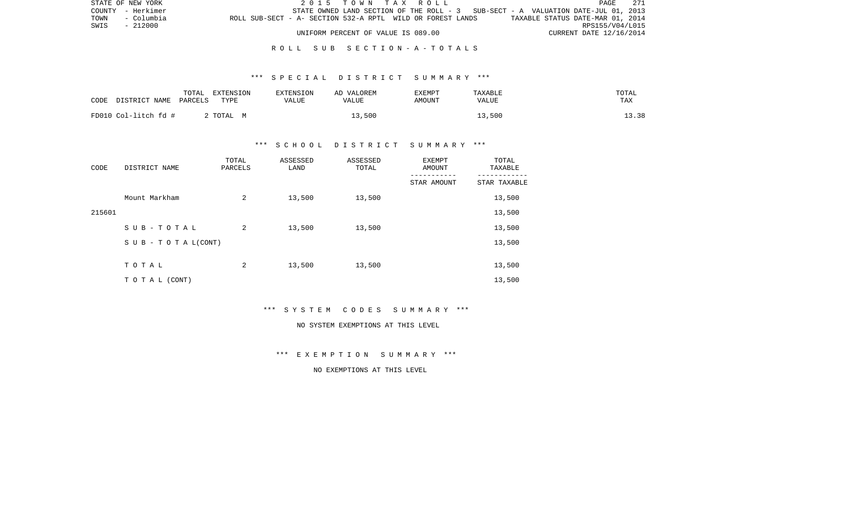| STATE OF NEW YORK |            |                                                            |                                    |  |  | 2015 TOWN TAX ROLL |                                                                                   |                                  | PAGE            | - 271 |
|-------------------|------------|------------------------------------------------------------|------------------------------------|--|--|--------------------|-----------------------------------------------------------------------------------|----------------------------------|-----------------|-------|
| COUNTY - Herkimer |            |                                                            |                                    |  |  |                    | STATE OWNED LAND SECTION OF THE ROLL - 3 SUB-SECT - A VALUATION DATE-JUL 01, 2013 |                                  |                 |       |
| TOWN              | - Columbia | ROLL SUB-SECT - A- SECTION 532-A RPTL WILD OR FOREST LANDS |                                    |  |  |                    |                                                                                   | TAXABLE STATUS DATE-MAR 01, 2014 |                 |       |
| SWIS              | - 212000   |                                                            |                                    |  |  |                    |                                                                                   |                                  | RPS155/V04/L015 |       |
|                   |            |                                                            | UNIFORM PERCENT OF VALUE IS 089.00 |  |  |                    |                                                                                   | CURRENT DATE 12/16/2014          |                 |       |

## R O L L S U B S E C T I O N - A - T O T A L S

## \*\*\* S P E C I A L D I S T R I C T S U M M A R Y \*\*\*

| CODE<br>DISTRICT NAME | TOTAL<br>EXTENSION<br>TYPE<br>PARCELS | <b>EXTENSION</b><br>VALUE | AD VALOREM<br>VALUE | EXEMPT<br>AMOUNT | TAXABLE<br>VALUE | TOTAL<br>TAX |
|-----------------------|---------------------------------------|---------------------------|---------------------|------------------|------------------|--------------|
| FD010 Col-litch fd #  | 2 TOTAL M                             |                           | 13,500              |                  | 13,500           | 13.38        |

## \*\*\* S C H O O L D I S T R I C T S U M M A R Y \*\*\*

| CODE   | DISTRICT NAME                    | TOTAL<br>PARCELS | ASSESSED<br>LAND | ASSESSED<br>TOTAL | EXEMPT<br>AMOUNT | TOTAL<br>TAXABLE |
|--------|----------------------------------|------------------|------------------|-------------------|------------------|------------------|
|        |                                  |                  |                  |                   | STAR AMOUNT      | STAR TAXABLE     |
|        | Mount Markham                    | 2                | 13,500           | 13,500            |                  | 13,500           |
| 215601 |                                  |                  |                  |                   |                  | 13,500           |
|        | SUB-TOTAL                        | 2                | 13,500           | 13,500            |                  | 13,500           |
|        | $S \cup B - T \cup T A L (CONT)$ |                  |                  |                   |                  | 13,500           |
|        |                                  |                  |                  |                   |                  |                  |
|        | TOTAL                            | 2                | 13,500           | 13,500            |                  | 13,500           |
|        | T O T A L (CONT)                 |                  |                  |                   |                  | 13,500           |

\*\*\* S Y S T E M C O D E S S U M M A R Y \*\*\*

#### NO SYSTEM EXEMPTIONS AT THIS LEVEL

\*\*\* E X E M P T I O N S U M M A R Y \*\*\*

NO EXEMPTIONS AT THIS LEVEL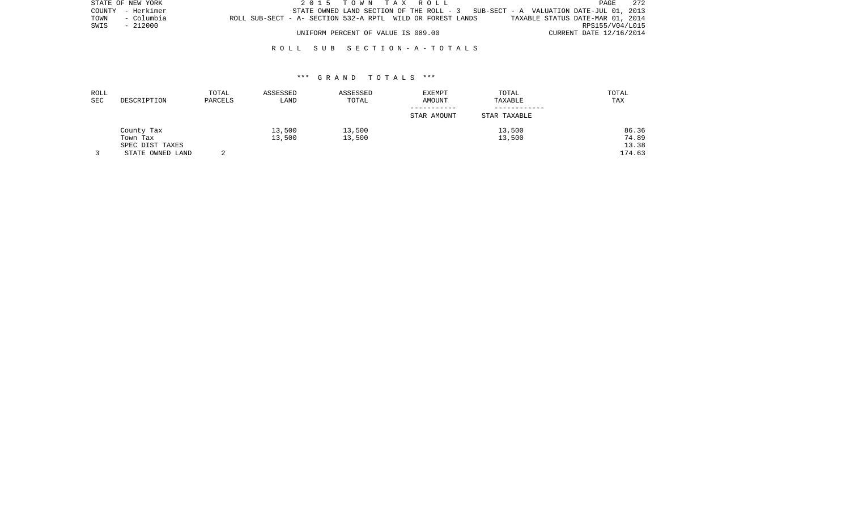|      | STATE OF NEW YORK |                                                            |                                    |  |  | 2015 TOWN TAX ROLL |                                                                                   |                                  |                         | PAGE            | - 272 |
|------|-------------------|------------------------------------------------------------|------------------------------------|--|--|--------------------|-----------------------------------------------------------------------------------|----------------------------------|-------------------------|-----------------|-------|
|      | COUNTY - Herkimer |                                                            |                                    |  |  |                    | STATE OWNED LAND SECTION OF THE ROLL - 3 SUB-SECT - A VALUATION DATE-JUL 01, 2013 |                                  |                         |                 |       |
| TOWN | - Columbia        | ROLL SUB-SECT - A- SECTION 532-A RPTL WILD OR FOREST LANDS |                                    |  |  |                    |                                                                                   | TAXABLE STATUS DATE-MAR 01, 2014 |                         |                 |       |
| SWIS | - 212000          |                                                            |                                    |  |  |                    |                                                                                   |                                  |                         | RPS155/V04/L015 |       |
|      |                   |                                                            | UNIFORM PERCENT OF VALUE IS 089.00 |  |  |                    |                                                                                   |                                  | CURRENT DATE 12/16/2014 |                 |       |

## R O L L S U B S E C T I O N - A - T O T A L S

| ROLL<br>SEC | DESCRIPTION      | TOTAL<br>PARCELS | ASSESSED<br>LAND | ASSESSED<br>TOTAL | <b>EXEMPT</b><br>AMOUNT | TOTAL<br>TAXABLE | TOTAL<br>TAX |
|-------------|------------------|------------------|------------------|-------------------|-------------------------|------------------|--------------|
|             |                  |                  |                  |                   | STAR AMOUNT             | STAR TAXABLE     |              |
|             | County Tax       |                  | 13,500           | 13,500            |                         | 13,500           | 86.36        |
|             | Town Tax         |                  | 13,500           | 13,500            |                         | 13,500           | 74.89        |
|             | SPEC DIST TAXES  |                  |                  |                   |                         |                  | 13.38        |
|             | STATE OWNED LAND |                  |                  |                   |                         |                  | 174.63       |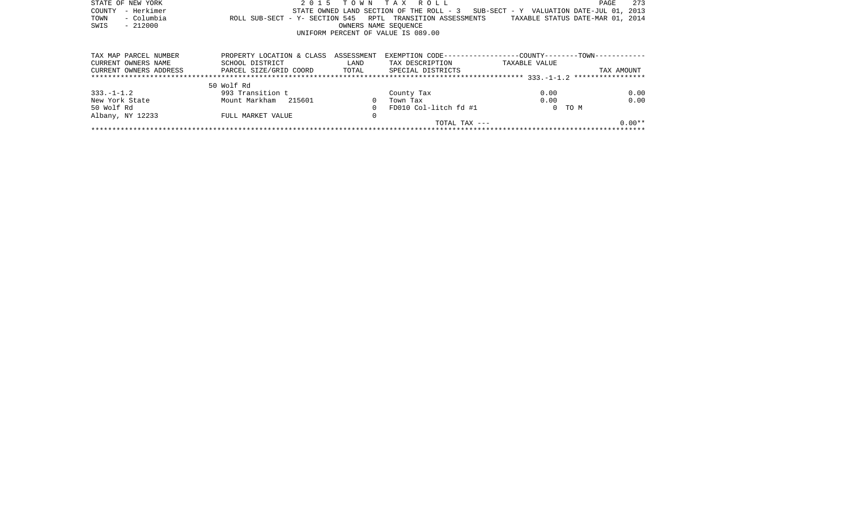| STATE OF NEW YORK      | 2 0 1 5                                                    |                      | TOWN TAX ROLL                            |                                          | 273<br>PAGE                      |
|------------------------|------------------------------------------------------------|----------------------|------------------------------------------|------------------------------------------|----------------------------------|
| - Herkimer<br>COUNTY   |                                                            |                      | STATE OWNED LAND SECTION OF THE ROLL - 3 | SUB-SECT - Y VALUATION DATE-JUL 01, 2013 |                                  |
| - Columbia<br>TOWN     | ROLL SUB-SECT - Y- SECTION 545 RPTL TRANSITION ASSESSMENTS |                      |                                          |                                          | TAXABLE STATUS DATE-MAR 01, 2014 |
| $-212000$<br>SWIS      |                                                            | OWNERS NAME SEOUENCE |                                          |                                          |                                  |
|                        |                                                            |                      | UNIFORM PERCENT OF VALUE IS 089.00       |                                          |                                  |
|                        |                                                            |                      |                                          |                                          |                                  |
| TAX MAP PARCEL NUMBER  | PROPERTY LOCATION & CLASS                                  | ASSESSMENT           |                                          |                                          |                                  |
| CURRENT OWNERS NAME    | SCHOOL DISTRICT                                            | LAND                 | TAX DESCRIPTION                          | TAXABLE VALUE                            |                                  |
| CURRENT OWNERS ADDRESS | PARCEL SIZE/GRID COORD TOTAL SPECIAL DISTRICTS             |                      |                                          |                                          | TAX AMOUNT                       |
|                        |                                                            |                      |                                          |                                          |                                  |
|                        | 50 Wolf Rd                                                 |                      |                                          |                                          |                                  |
| $333. - 1 - 1.2$       | 993 Transition t                                           |                      | County Tax                               | 0.00                                     | 0.00                             |
| New York State         | Mount Markham 215601                                       | $\Omega$             | Town Tax                                 | 0.00                                     | 0.00                             |
| 50 Wolf Rd             |                                                            | $\Omega$             | FD010 Col-litch fd #1                    |                                          | 0 TO M                           |
| Albany, NY 12233       | FULL MARKET VALUE                                          | 0                    |                                          |                                          |                                  |
|                        |                                                            |                      | TOTAL TAX ---                            |                                          | $0.00**$                         |
|                        |                                                            |                      |                                          |                                          |                                  |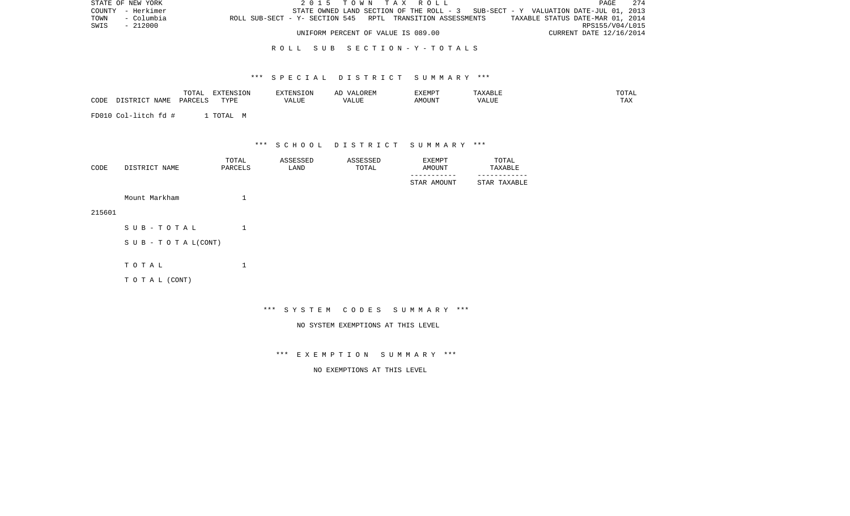| STATE OF NEW YORK  | 2015 TOWN TAX ROLL                                                                             | <b>PAGE</b>             | 274 |
|--------------------|------------------------------------------------------------------------------------------------|-------------------------|-----|
| COUNTY - Herkimer  | STATE OWNED LAND SECTION OF THE ROLL - 3 SUB-SECT - Y VALUATION DATE-JUL 01, 2013              |                         |     |
| TOWN<br>- Columbia | TAXABLE STATUS DATE-MAR 01, 2014<br>ROLL SUB-SECT - Y- SECTION 545 RPTL TRANSITION ASSESSMENTS |                         |     |
| SWIS<br>- 212000   |                                                                                                | RPS155/V04/L015         |     |
|                    | UNIFORM PERCENT OF VALUE IS 089.00                                                             | CURRENT DATE 12/16/2014 |     |

## R O L L S U B S E C T I O N - Y - T O T A L S

## \*\*\* S P E C I A L D I S T R I C T S U M M A R Y \*\*\*

|      |           | $m \wedge m \neq$<br>TO THE | INSION<br><b>TITE</b> |      | $\Delta$<br>⊷ | XEMP  |       | $\Delta$<br><b>VITIL</b> |
|------|-----------|-----------------------------|-----------------------|------|---------------|-------|-------|--------------------------|
| CODE | NT 7N TVI | レハレハ                        | $m \cdot n$           | ALUL | ALUI          | MOUN' | 'ALUL | $m \times r$<br>∸∽       |

FD010 Col-litch fd # 1 TOTAL M

\*\*\* S C H O O L D I S T R I C T S U M M A R Y \*\*\*

| CODE | DISTRICT NAME | TOTAL<br>PARCELS | ASSESSED<br>LAND | ASSESSED<br>TOTAL | EXEMPT<br>AMOUNT | TOTAL<br>TAXABLE |
|------|---------------|------------------|------------------|-------------------|------------------|------------------|
|      |               |                  |                  |                   | STAR AMOUNT      | STAR TAXABLE     |
|      |               |                  |                  |                   |                  |                  |

Mount Markham 1

215601

| SUB-TOTAL                        |  |
|----------------------------------|--|
| $S \cup B - T \cup T A L (CONT)$ |  |
|                                  |  |
| тотаь                            |  |
|                                  |  |

T O T A L (CONT)

# \*\*\* S Y S T E M C O D E S S U M M A R Y \*\*\*

NO SYSTEM EXEMPTIONS AT THIS LEVEL

\*\*\* E X E M P T I O N S U M M A R Y \*\*\*

NO EXEMPTIONS AT THIS LEVEL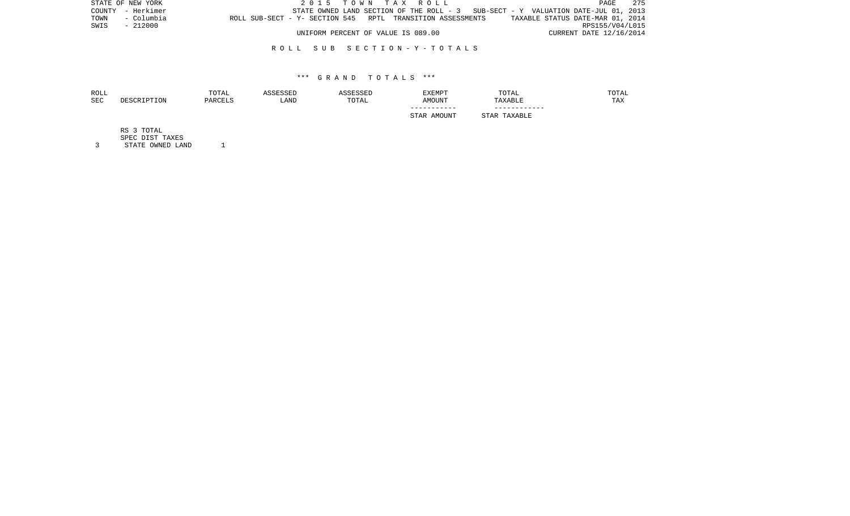|      | STATE OF NEW YORK |                                                            | 2015 TOWN TAX ROLL                 |  |  |  |                                                                                   |                         | PAGE | 275 |
|------|-------------------|------------------------------------------------------------|------------------------------------|--|--|--|-----------------------------------------------------------------------------------|-------------------------|------|-----|
|      | COUNTY - Herkimer |                                                            |                                    |  |  |  | STATE OWNED LAND SECTION OF THE ROLL - 3 SUB-SECT - Y VALUATION DATE-JUL 01, 2013 |                         |      |     |
| TOWN | - Columbia        | ROLL SUB-SECT - Y- SECTION 545 RPTL TRANSITION ASSESSMENTS |                                    |  |  |  | TAXABLE STATUS DATE-MAR 01, 2014                                                  |                         |      |     |
| SWIS | - 212000          |                                                            |                                    |  |  |  |                                                                                   | RPS155/V04/L015         |      |     |
|      |                   |                                                            | UNIFORM PERCENT OF VALUE IS 089.00 |  |  |  |                                                                                   | CURRENT DATE 12/16/2014 |      |     |

## R O L L S U B S E C T I O N - Y - T O T A L S

### \*\*\* G R A N D T O T A L S \*\*\*

| ROLL |             | TOTAL   | ASSESSED | ASSESSED | <b>EXEMPT</b> | TOTAL        | TOTAL |
|------|-------------|---------|----------|----------|---------------|--------------|-------|
| SEC  | DESCRIPTION | PARCELS | LAND     | TOTAL    | AMOUNT        | TAXABLE      | TAX   |
|      |             |         |          |          |               |              |       |
|      |             |         |          |          | STAR AMOUNT   | STAR TAXABLE |       |
|      | RS 3 TOTAL  |         |          |          |               |              |       |

SPEC DIST TAXES

3 STATE OWNED LAND 1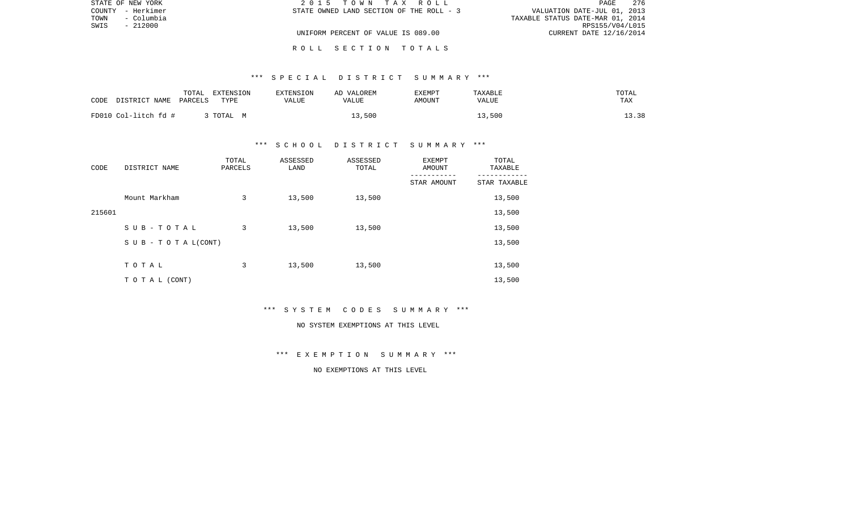| STATE OF NEW YORK  | 2015 TOWN TAX ROLL                       | 276<br>PAGE                      |
|--------------------|------------------------------------------|----------------------------------|
| COUNTY - Herkimer  | STATE OWNED LAND SECTION OF THE ROLL - 3 | VALUATION DATE-JUL 01, 2013      |
| - Columbia<br>TOWN |                                          | TAXABLE STATUS DATE-MAR 01, 2014 |
| SWIS<br>- 212000   |                                          | RPS155/V04/L015                  |
|                    | UNIFORM PERCENT OF VALUE IS 089.00       | CURRENT DATE 12/16/2014          |
|                    |                                          |                                  |

#### R O L L S E C T I O N T O T A L S

## \*\*\* S P E C I A L D I S T R I C T S U M M A R Y \*\*\*

| DISTRICT NAME<br>CODE | TOTAL<br>EXTENSION<br>PARCELS<br>TYPE | EXTENSION<br>VALUE | AD VALOREM<br>VALUE | EXEMPT<br>AMOUNT | TAXABLE<br>VALUE | TOTAL<br>TAX |
|-----------------------|---------------------------------------|--------------------|---------------------|------------------|------------------|--------------|
| FD010 Col-litch fd #  | 3 TOTAL M                             |                    | 13,500              |                  | 13,500           | 13.38        |

## \*\*\* S C H O O L D I S T R I C T S U M M A R Y \*\*\*

| CODE   | DISTRICT NAME                    | TOTAL<br>PARCELS | ASSESSED<br>LAND | ASSESSED<br>TOTAL | EXEMPT<br>AMOUNT | TOTAL<br>TAXABLE |
|--------|----------------------------------|------------------|------------------|-------------------|------------------|------------------|
|        |                                  |                  |                  |                   | STAR AMOUNT      | STAR TAXABLE     |
|        | Mount Markham                    | 3                | 13,500           | 13,500            |                  | 13,500           |
| 215601 |                                  |                  |                  |                   |                  | 13,500           |
|        | SUB-TOTAL                        | 3                | 13,500           | 13,500            |                  | 13,500           |
|        | $S \cup B - T \cup T A L (CONT)$ |                  |                  |                   |                  | 13,500           |
|        |                                  |                  |                  |                   |                  |                  |
|        | TOTAL                            | 3                | 13,500           | 13,500            |                  | 13,500           |
|        | T O T A L (CONT)                 |                  |                  |                   |                  | 13,500           |

\*\*\* S Y S T E M C O D E S S U M M A R Y \*\*\*

#### NO SYSTEM EXEMPTIONS AT THIS LEVEL

\*\*\* E X E M P T I O N S U M M A R Y \*\*\*

NO EXEMPTIONS AT THIS LEVEL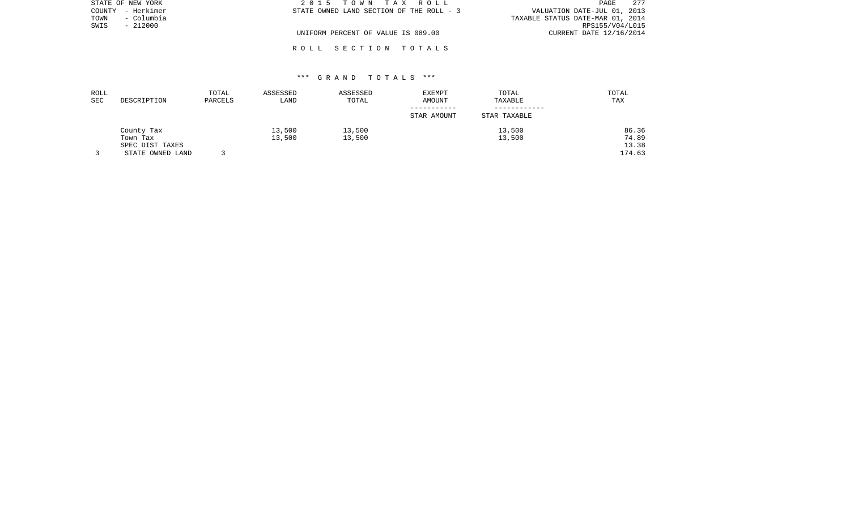| STATE OF NEW YORK    | 2015 TOWN TAX ROLL                       | 277<br>PAGE                      |
|----------------------|------------------------------------------|----------------------------------|
| – Herkimer<br>COUNTY | STATE OWNED LAND SECTION OF THE ROLL - 3 | VALUATION DATE-JUL 01, 2013      |
| – Columbia<br>TOWN   |                                          | TAXABLE STATUS DATE-MAR 01, 2014 |
| $-212000$<br>SWIS    |                                          | RPS155/V04/L015                  |
|                      | UNIFORM PERCENT OF VALUE IS 089.00       | CURRENT DATE 12/16/2014          |
|                      |                                          |                                  |

## \*\*\* G R A N D T O T A L S \*\*\*

R O L L S E C T I O N T O T A L S

| ROLL |                  | TOTAL   | ASSESSED | ASSESSED | EXEMPT      | TOTAL        | TOTAL  |
|------|------------------|---------|----------|----------|-------------|--------------|--------|
| SEC  | DESCRIPTION      | PARCELS | LAND     | TOTAL    | AMOUNT      | TAXABLE      | TAX    |
|      |                  |         |          |          | STAR AMOUNT | STAR TAXABLE |        |
|      | County Tax       |         | 13,500   | 13,500   |             | 13,500       | 86.36  |
|      | Town Tax         |         | 13,500   | 13,500   |             | 13,500       | 74.89  |
|      | SPEC DIST TAXES  |         |          |          |             |              | 13.38  |
|      | STATE OWNED LAND |         |          |          |             |              | 174.63 |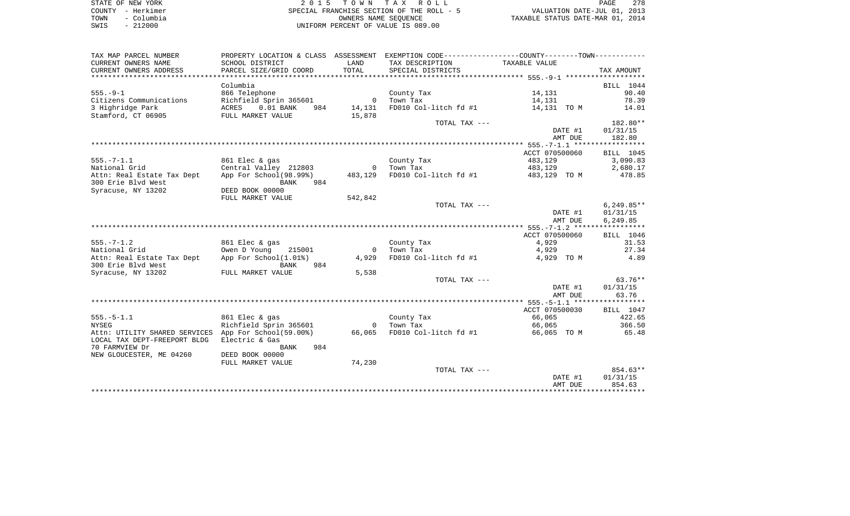|      | STATE OF NEW YORK | 2015 TOWN TAX ROLL                                       | PAGE                        | 278 |
|------|-------------------|----------------------------------------------------------|-----------------------------|-----|
|      | COUNTY – Herkimer | SPECIAL FRANCHISE SECTION OF THE ROLL - 5                | VALUATION DATE-JUL 01, 2013 |     |
| TOWN | - Columbia        | TAXABLE STATUS DATE-MAR 01, 2014<br>OWNERS NAME SEOUENCE |                             |     |
| SWIS | $-212000$         | UNIFORM PERCENT OF VALUE IS 089.00                       |                             |     |

| TAX MAP PARCEL NUMBER                                       |                                                                                          |                |                       | PROPERTY LOCATION & CLASS ASSESSMENT EXEMPTION CODE---------------COUNTY-------TOWN--------- |              |
|-------------------------------------------------------------|------------------------------------------------------------------------------------------|----------------|-----------------------|----------------------------------------------------------------------------------------------|--------------|
| CURRENT OWNERS NAME                                         | SCHOOL DISTRICT                                                                          | LAND           | TAX DESCRIPTION       | TAXABLE VALUE                                                                                |              |
| CURRENT OWNERS ADDRESS                                      | PARCEL SIZE/GRID COORD                                                                   | TOTAL          | SPECIAL DISTRICTS     |                                                                                              | TAX AMOUNT   |
|                                                             |                                                                                          |                |                       |                                                                                              |              |
|                                                             | Columbia                                                                                 |                |                       |                                                                                              | BILL 1044    |
| $555. - 9 - 1$                                              | 866 Telephone                                                                            |                | County Tax            | 14,131                                                                                       | 90.40        |
| Citizens Communications                                     | Richfield Sprin 365601 0                                                                 |                | Town Tax              | 14,131                                                                                       | 78.39        |
| 3 Highridge Park                                            | ACRES 0.01 BANK 984 14,131                                                               |                | FD010 Col-litch fd #1 | 14,131 TO M                                                                                  | 14.01        |
| Stamford, CT 06905                                          | FULL MARKET VALUE                                                                        | 15,878         |                       |                                                                                              |              |
|                                                             |                                                                                          |                | TOTAL TAX ---         |                                                                                              | 182.80**     |
|                                                             |                                                                                          |                |                       | DATE #1                                                                                      | 01/31/15     |
|                                                             |                                                                                          |                |                       | AMT DUE                                                                                      | 182.80       |
|                                                             |                                                                                          |                |                       |                                                                                              |              |
|                                                             |                                                                                          |                |                       | ACCT 070500060                                                                               | BILL 1045    |
| $555. - 7 - 1.1$                                            | 861 Elec & gas                                                                           |                | County Tax            | 483,129                                                                                      | 3,090.83     |
| National Grid                                               | Central Valley 212803 0 Town Tax<br>App For School(98.99%) 483,129 FD010 Col-litch fd #1 |                |                       | 483,129                                                                                      | 2,680.17     |
| Attn: Real Estate Tax Dept                                  |                                                                                          |                |                       | 483,129 TO M                                                                                 | 478.85       |
| 300 Erie Blvd West                                          | 984<br>BANK                                                                              |                |                       |                                                                                              |              |
| Syracuse, NY 13202                                          | DEED BOOK 00000                                                                          |                |                       |                                                                                              |              |
|                                                             | FULL MARKET VALUE                                                                        | 542,842        |                       |                                                                                              |              |
|                                                             |                                                                                          |                | TOTAL TAX ---         |                                                                                              | $6,249.85**$ |
|                                                             |                                                                                          |                |                       | DATE #1                                                                                      | 01/31/15     |
|                                                             |                                                                                          |                |                       | AMT DUE                                                                                      | 6,249.85     |
|                                                             |                                                                                          |                |                       |                                                                                              |              |
|                                                             |                                                                                          |                |                       | ACCT 070500060                                                                               | BILL 1046    |
| $555. - 7 - 1.2$                                            | 861 Elec & gas                                                                           |                | County Tax            | 4,929                                                                                        | 31.53        |
| National Grid                                               | Owen D Young 215001                                                                      | $\overline{0}$ | Town Tax              | 4,929                                                                                        | 27.34        |
| Attn: Real Estate Tax Dept<br>300 Erie Blvd West            | App For School(1.01%)<br>984<br>BANK                                                     | 4,929          | FD010 Col-litch fd #1 | 4,929 TO M                                                                                   | 4.89         |
| Syracuse, NY 13202                                          | FULL MARKET VALUE                                                                        | 5,538          |                       |                                                                                              |              |
|                                                             |                                                                                          |                | TOTAL TAX ---         |                                                                                              | $63.76**$    |
|                                                             |                                                                                          |                |                       | DATE #1                                                                                      | 01/31/15     |
|                                                             |                                                                                          |                |                       | AMT DUE                                                                                      | 63.76        |
|                                                             |                                                                                          |                |                       |                                                                                              |              |
|                                                             |                                                                                          |                |                       | ACCT 070500030                                                                               | BILL 1047    |
| $555. - 5 - 1.1$                                            | 861 Elec & gas                                                                           |                | County Tax            | 66,065                                                                                       | 422.65       |
| <b>NYSEG</b>                                                | Richfield Sprin 365601 0                                                                 |                | Town Tax              | 66,065                                                                                       | 366.50       |
| Attn: UTILITY SHARED SERVICES App For School(59.00%) 66,065 |                                                                                          |                |                       | FD010 Col-litch fd #1 66,065 TO M 65.48                                                      |              |
| LOCAL TAX DEPT-FREEPORT BLDG                                | Electric & Gas                                                                           |                |                       |                                                                                              |              |
| 70 FARMVIEW Dr                                              | BANK<br>984                                                                              |                |                       |                                                                                              |              |
| NEW GLOUCESTER, ME 04260                                    | DEED BOOK 00000                                                                          |                |                       |                                                                                              |              |
|                                                             | FULL MARKET VALUE                                                                        | 74,230         |                       |                                                                                              |              |
|                                                             |                                                                                          |                | TOTAL TAX ---         |                                                                                              | $854.63**$   |
|                                                             |                                                                                          |                |                       | DATE #1                                                                                      | 01/31/15     |
|                                                             |                                                                                          |                |                       | AMT DUE                                                                                      | 854.63       |
|                                                             |                                                                                          |                |                       |                                                                                              |              |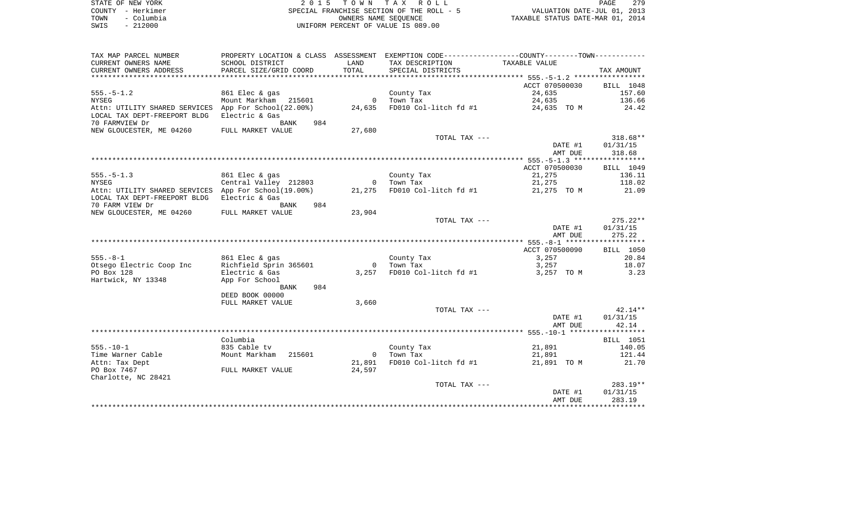|      | STATE OF NEW YORK | 2015 TOWN TAX ROLL                        |                                  | PAGE | - 279 |
|------|-------------------|-------------------------------------------|----------------------------------|------|-------|
|      | COUNTY - Herkimer | SPECIAL FRANCHISE SECTION OF THE ROLL - 5 | VALUATION DATE-JUL 01, 2013      |      |       |
| TOWN | - Columbia        | OWNERS NAME SEOUENCE                      | TAXABLE STATUS DATE-MAR 01, 2014 |      |       |
| SWIS | $-212000$         | UNIFORM PERCENT OF VALUE IS 089.00        |                                  |      |       |
|      |                   |                                           |                                  |      |       |

| TAX MAP PARCEL NUMBER                                                                         |                        |                | PROPERTY LOCATION & CLASS ASSESSMENT EXEMPTION CODE----------------COUNTY--------TOWN----------- |                |                  |
|-----------------------------------------------------------------------------------------------|------------------------|----------------|--------------------------------------------------------------------------------------------------|----------------|------------------|
| CURRENT OWNERS NAME                                                                           | SCHOOL DISTRICT        | LAND           | TAX DESCRIPTION                                                                                  | TAXABLE VALUE  |                  |
| CURRENT OWNERS ADDRESS                                                                        | PARCEL SIZE/GRID COORD | TOTAL          | SPECIAL DISTRICTS                                                                                |                | TAX AMOUNT       |
| ******************************                                                                |                        |                |                                                                                                  |                |                  |
|                                                                                               |                        |                |                                                                                                  | ACCT 070500030 | BILL 1048        |
| $555. - 5 - 1.2$                                                                              | 861 Elec & gas         |                | County Tax                                                                                       | 24,635         | 157.60           |
| NYSEG                                                                                         | Mount Markham 215601   |                | 0 Town Tax                                                                                       | 24,635         | 136.66           |
| Attn: UTILITY SHARED SERVICES App For School(22.00%)                                          |                        |                | 24,635 FD010 Col-litch fd #1                                                                     | 24,635 TO M    | 24.42            |
| LOCAL TAX DEPT-FREEPORT BLDG                                                                  | Electric & Gas         |                |                                                                                                  |                |                  |
| 70 FARMVIEW Dr                                                                                | 984<br>BANK            |                |                                                                                                  |                |                  |
| NEW GLOUCESTER, ME 04260                                                                      | FULL MARKET VALUE      | 27,680         |                                                                                                  |                |                  |
|                                                                                               |                        |                | TOTAL TAX ---                                                                                    |                | $318.68**$       |
|                                                                                               |                        |                |                                                                                                  | DATE #1        | 01/31/15         |
|                                                                                               |                        |                |                                                                                                  | AMT DUE        | 318.68           |
|                                                                                               |                        |                |                                                                                                  |                |                  |
|                                                                                               |                        |                |                                                                                                  | ACCT 070500030 | BILL 1049        |
| $555. - 5 - 1.3$                                                                              | 861 Elec & gas         |                | County Tax                                                                                       | 21,275         | 136.11           |
| <b>NYSEG</b>                                                                                  | Central Valley 212803  |                | 0 Town Tax                                                                                       | 21,275         | 118.02           |
| Attn: UTILITY SHARED SERVICES App For School(19.00%) 21,275 FD010 Col-litch fd #1 21,275 TO M |                        |                |                                                                                                  |                | 21.09            |
| LOCAL TAX DEPT-FREEPORT BLDG                                                                  | Electric & Gas         |                |                                                                                                  |                |                  |
| 70 FARM VIEW Dr                                                                               | 984<br>BANK            |                |                                                                                                  |                |                  |
| NEW GLOUCESTER, ME 04260                                                                      | FULL MARKET VALUE      | 23,904         |                                                                                                  |                |                  |
|                                                                                               |                        |                | TOTAL TAX ---                                                                                    |                | $275.22**$       |
|                                                                                               |                        |                |                                                                                                  | DATE #1        | 01/31/15         |
|                                                                                               |                        |                |                                                                                                  | AMT DUE        | 275.22           |
|                                                                                               |                        |                |                                                                                                  | ACCT 070500090 | BILL 1050        |
| $555. - 8 - 1$                                                                                | 861 Elec & gas         |                |                                                                                                  | 3,257          | 20.84            |
| Otsego Electric Coop Inc                                                                      | Richfield Sprin 365601 |                | County Tax<br>0 Town Tax                                                                         | 3,257          | 18.07            |
| PO Box 128                                                                                    | Electric & Gas         |                | $3,257$ FD010 Col-litch fd #1                                                                    | 3,257 TO M     | 3.23             |
| Hartwick, NY 13348                                                                            | App For School         |                |                                                                                                  |                |                  |
|                                                                                               | 984<br>BANK            |                |                                                                                                  |                |                  |
|                                                                                               | DEED BOOK 00000        |                |                                                                                                  |                |                  |
|                                                                                               | FULL MARKET VALUE      | 3,660          |                                                                                                  |                |                  |
|                                                                                               |                        |                | TOTAL TAX ---                                                                                    |                | $42.14**$        |
|                                                                                               |                        |                |                                                                                                  | DATE #1        | 01/31/15         |
|                                                                                               |                        |                |                                                                                                  | AMT DUE        | 42.14            |
|                                                                                               |                        |                |                                                                                                  |                |                  |
|                                                                                               | Columbia               |                |                                                                                                  |                | <b>BILL</b> 1051 |
| $555. - 10 - 1$                                                                               | 835 Cable tv           |                | County Tax                                                                                       | 21,891         | 140.05           |
| Time Warner Cable                                                                             | Mount Markham 215601   | $\overline{0}$ | Town Tax                                                                                         | 21,891         | 121.44           |
| Attn: Tax Dept                                                                                |                        | 21,891         | FD010 Col-litch fd #1                                                                            | 21,891 TO M    | 21.70            |
| PO Box 7467                                                                                   | FULL MARKET VALUE      | 24,597         |                                                                                                  |                |                  |
| Charlotte, NC 28421                                                                           |                        |                |                                                                                                  |                |                  |
|                                                                                               |                        |                | TOTAL TAX ---                                                                                    |                | 283.19**         |
|                                                                                               |                        |                |                                                                                                  | DATE #1        | 01/31/15         |
|                                                                                               |                        |                |                                                                                                  | AMT DUE        | 283.19           |
|                                                                                               |                        |                |                                                                                                  |                |                  |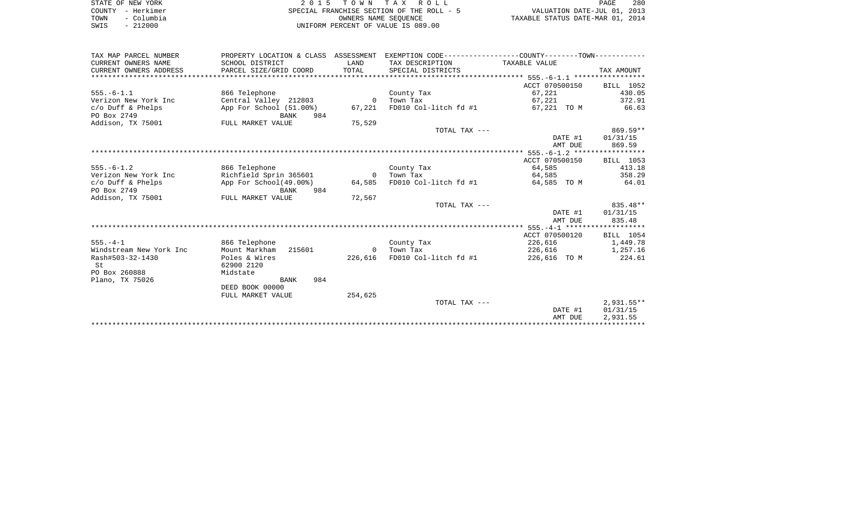| STATE OF NEW YORK  | 2015 TOWN TAX ROLL                        | 280<br>PAGE                      |
|--------------------|-------------------------------------------|----------------------------------|
| COUNTY - Herkimer  | SPECIAL FRANCHISE SECTION OF THE ROLL - 5 | VALUATION DATE-JUL 01, 2013      |
| - Columbia<br>TOWN | OWNERS NAME SEOUENCE                      | TAXABLE STATUS DATE-MAR 01, 2014 |
| $-212000$<br>SWIS  | UNIFORM PERCENT OF VALUE IS 089.00        |                                  |
|                    |                                           |                                  |
|                    |                                           |                                  |
|                    |                                           |                                  |

| TAX MAP PARCEL NUMBER   |                         |                | PROPERTY LOCATION & CLASS ASSESSMENT EXEMPTION CODE----------------COUNTY-------TOWN---------- |                |              |
|-------------------------|-------------------------|----------------|------------------------------------------------------------------------------------------------|----------------|--------------|
| CURRENT OWNERS NAME     | SCHOOL DISTRICT         | LAND           | TAX DESCRIPTION TAXABLE VALUE                                                                  |                |              |
| CURRENT OWNERS ADDRESS  | PARCEL SIZE/GRID COORD  | TOTAL          | SPECIAL DISTRICTS                                                                              |                | TAX AMOUNT   |
|                         |                         |                |                                                                                                |                |              |
|                         |                         |                |                                                                                                | ACCT 070500150 | BILL 1052    |
| $555. - 6 - 1.1$        | 866 Telephone           |                | County Tax                                                                                     | 67,221         | 430.05       |
| Verizon New York Inc    | Central Valley 212803   | $\overline{0}$ | Town Tax                                                                                       | 67,221         | 372.91       |
| $c/O$ Duff & Phelps     | App For School (51.00%) | 67,221         | FD010 Col-litch fd #1                                                                          | 67,221 TO M    | 66.63        |
| PO Box 2749             | 984                     |                |                                                                                                |                |              |
|                         | BANK                    |                |                                                                                                |                |              |
| Addison, TX 75001       | FULL MARKET VALUE       | 75,529         |                                                                                                |                |              |
|                         |                         |                | TOTAL TAX ---                                                                                  |                | $869.59**$   |
|                         |                         |                |                                                                                                | DATE #1        | 01/31/15     |
|                         |                         |                |                                                                                                | AMT DUE        | 869.59       |
|                         |                         |                |                                                                                                |                |              |
|                         |                         |                |                                                                                                | ACCT 070500150 | BILL 1053    |
| $555. - 6 - 1.2$        | 866 Telephone           |                | County Tax                                                                                     | 64,585         | 413.18       |
| Verizon New York Inc    | Richfield Sprin 365601  | $\overline{0}$ | Town Tax                                                                                       | 64,585         | 358.29       |
| $c/O$ Duff & Phelps     | App For School(49.00%)  | 64,585         | FD010 Col-litch fd #1                                                                          | 64,585 TO M    | 64.01        |
| PO Box 2749             | <b>BANK</b><br>984      |                |                                                                                                |                |              |
| Addison, TX 75001       | FULL MARKET VALUE       | 72,567         |                                                                                                |                |              |
|                         |                         |                | TOTAL TAX ---                                                                                  |                | $835.48**$   |
|                         |                         |                |                                                                                                | DATE #1        | 01/31/15     |
|                         |                         |                |                                                                                                | AMT DUE        | 835.48       |
|                         |                         |                |                                                                                                |                |              |
|                         |                         |                |                                                                                                | ACCT 070500120 | BILL 1054    |
| $555. - 4 - 1$          | 866 Telephone           |                | County Tax                                                                                     | 226,616        | 1,449.78     |
| Windstream New York Inc | Mount Markham 215601    | $\Omega$       | Town Tax                                                                                       |                |              |
|                         |                         |                |                                                                                                | 226,616        | 1,257.16     |
| Rash#503-32-1430        | Poles & Wires           | 226,616        | FD010 Col-litch fd #1                                                                          | 226,616 TO M   | 224.61       |
| St                      | 62900 2120              |                |                                                                                                |                |              |
| PO Box 260888           | Midstate                |                |                                                                                                |                |              |
| Plano, TX 75026         | 984<br>BANK             |                |                                                                                                |                |              |
|                         | DEED BOOK 00000         |                |                                                                                                |                |              |
|                         | FULL MARKET VALUE       | 254,625        |                                                                                                |                |              |
|                         |                         |                | TOTAL TAX ---                                                                                  |                | $2,931.55**$ |
|                         |                         |                |                                                                                                | DATE #1        | 01/31/15     |
|                         |                         |                |                                                                                                | AMT DUE        | 2,931.55     |
|                         |                         |                |                                                                                                |                |              |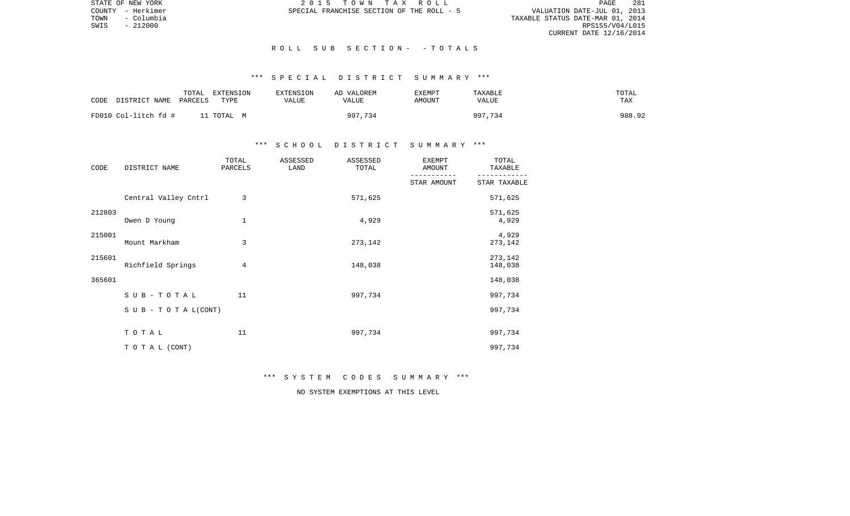STATE OF NEW YORK **2015 TOWN TAX ROLL** PAGE 281 COUNTY - Herkimer SPECIAL FRANCHISE SECTION OF THE ROLL - 5 TOWNTY - Herkimer (11, 2013)<br>TOWN - Columbia (11, 2013)<br>SPECIAL FRANCHISE SECTION OF THE ROLL - 5 (2014)<br>SWIS - 212000 (RPS155/V04/L015) CURRENT DATE 12/16/2014

 $SWIS$  - 212000

### R O L L S U B S E C T I O N - - T O T A L S

# \*\*\* S P E C I A L D I S T R I C T S U M M A R Y \*\*\*

| CODE | DISTRICT NAME        | TOTAL<br>PARCELS | EXTENSION<br>TYPE | EXTENSION<br>VALUE | AD VALOREM<br>VALUE | EXEMPT<br>AMOUNT | TAXABLE<br>VALUE | TOTAL<br>TAX |        |
|------|----------------------|------------------|-------------------|--------------------|---------------------|------------------|------------------|--------------|--------|
|      | FD010 Col-litch fd # |                  | 11 TOTAL M        |                    | 997,734             |                  | 997,734          |              | 988.92 |

## \*\*\* S C H O O L D I S T R I C T S U M M A R Y \*\*\*

| CODE   | DISTRICT NAME        | TOTAL<br>PARCELS | ASSESSED<br>LAND | ASSESSED<br>TOTAL | EXEMPT<br>AMOUNT | TOTAL<br>TAXABLE   |
|--------|----------------------|------------------|------------------|-------------------|------------------|--------------------|
|        |                      |                  |                  |                   | STAR AMOUNT      | STAR TAXABLE       |
|        | Central Valley Cntrl | 3                |                  | 571,625           |                  | 571,625            |
| 212803 | Owen D Young         | $\mathbf 1$      |                  | 4,929             |                  | 571,625<br>4,929   |
| 215001 | Mount Markham        | 3                |                  | 273,142           |                  | 4,929<br>273,142   |
| 215601 | Richfield Springs    | 4                |                  | 148,038           |                  | 273,142<br>148,038 |
| 365601 |                      |                  |                  |                   |                  | 148,038            |
|        | SUB-TOTAL            | 11               |                  | 997,734           |                  | 997,734            |
|        | SUB - TO TAL(CONT)   |                  |                  |                   |                  | 997,734            |
|        | TOTAL                | 11               |                  | 997,734           |                  | 997,734            |
|        | TO TAL (CONT)        |                  |                  |                   |                  | 997,734            |

\*\*\* S Y S T E M C O D E S S U M M A R Y \*\*\*

NO SYSTEM EXEMPTIONS AT THIS LEVEL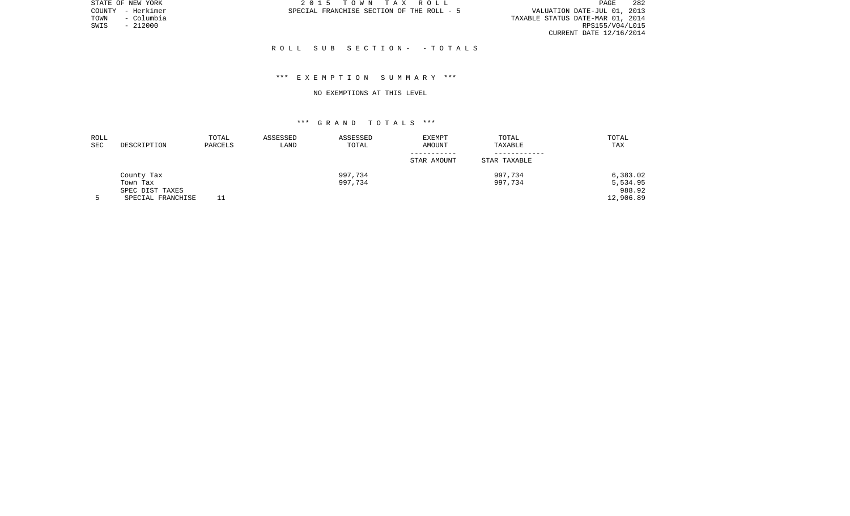STATE OF NEW YORK 2 0 1 5 T O W N T A X R O L L PAGE 282VALUATION DATE-JUL 01, 2013 TOWN - Columbia TAXABLE STATUS DATE-MAR 01, 2014 CURRENT DATE 12/16/2014

COUNTY - Herkimer SPECIAL FRANCHISE SECTION OF THE ROLL - 5

 $SWIS$  - 212000

#### R O L L S U B S E C T I O N - - T O T A L S

## \*\*\* E X E M P T I O N S U M M A R Y \*\*\*

#### NO EXEMPTIONS AT THIS LEVEL

| ROLL |                   | TOTAL   | ASSESSED | ASSESSED | <b>EXEMPT</b> | TOTAL        | TOTAL     |
|------|-------------------|---------|----------|----------|---------------|--------------|-----------|
| SEC  | DESCRIPTION       | PARCELS | LAND     | TOTAL    | AMOUNT        | TAXABLE      | TAX       |
|      |                   |         |          |          |               |              |           |
|      |                   |         |          |          | STAR AMOUNT   | STAR TAXABLE |           |
|      | County Tax        |         |          | 997,734  |               | 997,734      | 6,383.02  |
|      | Town Tax          |         |          | 997,734  |               | 997,734      | 5,534.95  |
|      | SPEC DIST TAXES   |         |          |          |               |              | 988.92    |
|      | SPECIAL FRANCHISE |         |          |          |               |              | 12,906.89 |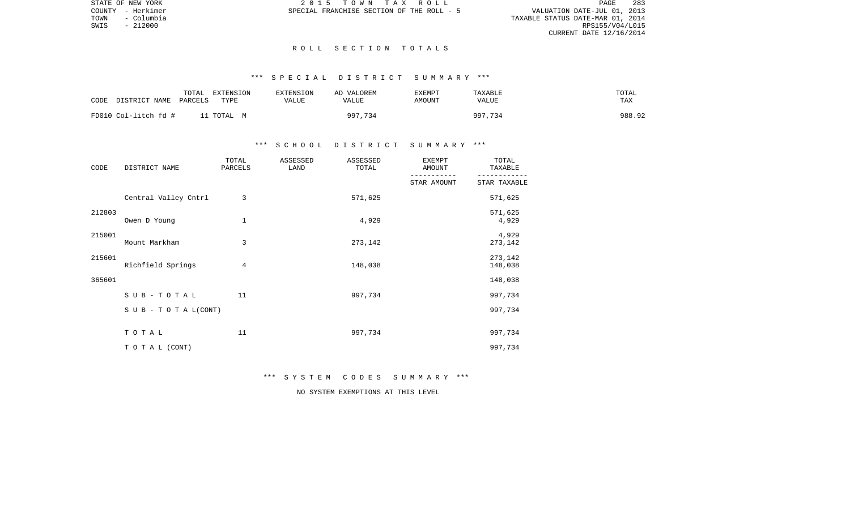PAGE 283 TOWNTY - Herkimer (11, 2013)<br>TOWN - Columbia (11, 2013)<br>SPECIAL FRANCHISE SECTION OF THE ROLL - 5 (2014)<br>SWIS - 212000 (RPS155/V04/L015) CURRENT DATE 12/16/2014

STATE OF NEW YORK **2015 TOWN TAX ROLL** COUNTY - Herkimer SPECIAL FRANCHISE SECTION OF THE ROLL - 5

 $SWIS$  - 212000

#### R O L L S E C T I O N T O T A L S

# \*\*\* S P E C I A L D I S T R I C T S U M M A R Y \*\*\*

| CODE                 | TOTAL   | EXTENSION | <b>EXTENSION</b> | AD VALOREM | EXEMPT | TAXABLE | TOTAL      |  |
|----------------------|---------|-----------|------------------|------------|--------|---------|------------|--|
| DISTRICT NAME        | PARCELS | TYPE      | VALUE            | VALUE      | AMOUNT | VALUE   | <b>TAX</b> |  |
| FD010 Col-litch fd # |         | . TOTAL M |                  | 997,734    |        | 997,734 | 988.92     |  |

## \*\*\* S C H O O L D I S T R I C T S U M M A R Y \*\*\*

| CODE   | DISTRICT NAME             | TOTAL<br>PARCELS | ASSESSED<br>LAND | ASSESSED<br>TOTAL | <b>EXEMPT</b><br>AMOUNT | TOTAL<br>TAXABLE   |
|--------|---------------------------|------------------|------------------|-------------------|-------------------------|--------------------|
|        |                           |                  |                  |                   | STAR AMOUNT             | STAR TAXABLE       |
|        | Central Valley Cntrl      | 3                |                  | 571,625           |                         | 571,625            |
| 212803 | Owen D Young              | $\mathbf 1$      |                  | 4,929             |                         | 571,625<br>4,929   |
| 215001 | Mount Markham             | 3                |                  | 273,142           |                         | 4,929<br>273,142   |
| 215601 | Richfield Springs         | 4                |                  | 148,038           |                         | 273,142<br>148,038 |
| 365601 |                           |                  |                  |                   |                         | 148,038            |
|        | SUB-TOTAL                 | 11               |                  | 997,734           |                         | 997,734            |
|        | S U B - T O T A $L(CONT)$ |                  |                  |                   |                         | 997,734            |
|        | TOTAL                     | 11               |                  | 997,734           |                         | 997,734            |
|        | TO TAL (CONT)             |                  |                  |                   |                         | 997,734            |

\*\*\* S Y S T E M C O D E S S U M M A R Y \*\*\*

NO SYSTEM EXEMPTIONS AT THIS LEVEL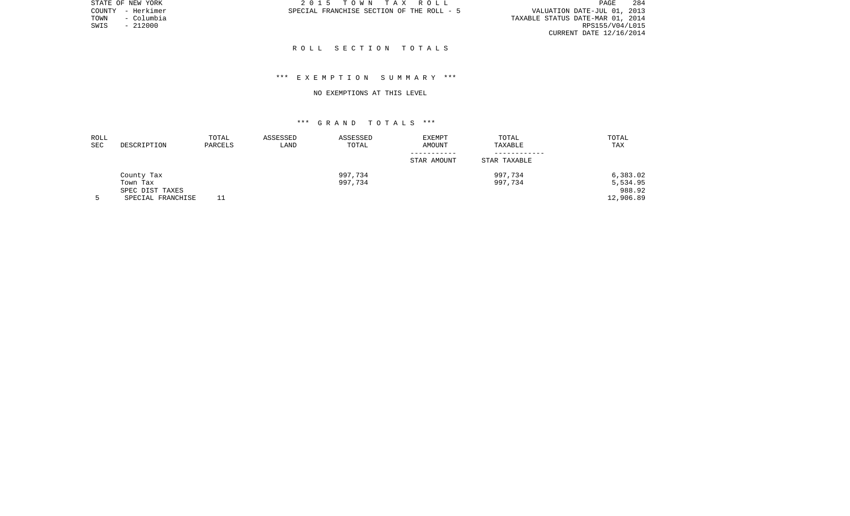PAGE 284 TOWN - Columbia TAXABLE STATUS DATE-MAR 01, 2014 CURRENT DATE 12/16/2014

STATE OF NEW YORK **2015 TOWN TAX ROLL** COUNTY - Herkimer SPECIAL FRANCHISE SECTION OF THE ROLL - 5

 $SWIS$  - 212000

#### R O L L S E C T I O N T O T A L S

## \*\*\* E X E M P T I O N S U M M A R Y \*\*\*

#### NO EXEMPTIONS AT THIS LEVEL

| ROLL |                   | TOTAL   | ASSESSED | ASSESSED | <b>EXEMPT</b> | TOTAL        | TOTAL     |
|------|-------------------|---------|----------|----------|---------------|--------------|-----------|
| SEC  | DESCRIPTION       | PARCELS | LAND     | TOTAL    | AMOUNT        | TAXABLE      | TAX       |
|      |                   |         |          |          |               |              |           |
|      |                   |         |          |          | STAR AMOUNT   | STAR TAXABLE |           |
|      | County Tax        |         |          | 997,734  |               | 997,734      | 6,383.02  |
|      | Town Tax          |         |          | 997,734  |               | 997,734      | 5,534.95  |
|      | SPEC DIST TAXES   |         |          |          |               |              | 988.92    |
|      | SPECIAL FRANCHISE |         |          |          |               |              | 12,906.89 |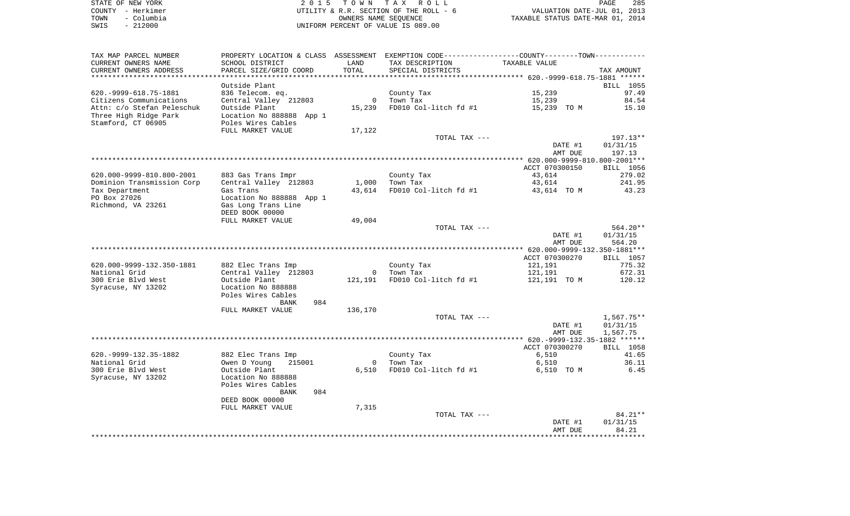|      | STATE OF NEW YORK | 2015 TOWN TAX ROLL                     | 285<br>PAGE                      |
|------|-------------------|----------------------------------------|----------------------------------|
|      | COUNTY - Herkimer | UTILITY & R.R. SECTION OF THE ROLL - 6 | VALUATION DATE-JUL 01, 2013      |
| TOWN | - Columbia        | OWNERS NAME SEOUENCE                   | TAXABLE STATUS DATE-MAR 01, 2014 |
| SWIS | $-212000$         | UNIFORM PERCENT OF VALUE IS 089.00     |                                  |

| TAX MAP PARCEL NUMBER        |                          |                |                       | PROPERTY LOCATION & CLASS ASSESSMENT EXEMPTION CODE----------------COUNTY--------TOWN---------- |                   |
|------------------------------|--------------------------|----------------|-----------------------|-------------------------------------------------------------------------------------------------|-------------------|
| CURRENT OWNERS NAME          | SCHOOL DISTRICT          | LAND           | TAX DESCRIPTION       | TAXABLE VALUE                                                                                   |                   |
| CURRENT OWNERS ADDRESS       | PARCEL SIZE/GRID COORD   | TOTAL          | SPECIAL DISTRICTS     |                                                                                                 | TAX AMOUNT        |
| ***********************      |                          |                |                       |                                                                                                 |                   |
|                              | Outside Plant            |                |                       |                                                                                                 | BILL 1055         |
| 620. - 9999 - 618. 75 - 1881 | 836 Telecom. eq.         |                | County Tax            | 15,239                                                                                          | 97.49             |
| Citizens Communications      | Central Valley 212803    | $\mathbf 0$    | Town Tax              | 15,239                                                                                          | 84.54             |
|                              |                          | 15,239         |                       |                                                                                                 |                   |
| Attn: c/o Stefan Peleschuk   | Outside Plant            |                | FD010 Col-litch fd #1 | 15,239 TO M                                                                                     | 15.10             |
| Three High Ridge Park        | Location No 888888 App 1 |                |                       |                                                                                                 |                   |
| Stamford, CT 06905           | Poles Wires Cables       |                |                       |                                                                                                 |                   |
|                              | FULL MARKET VALUE        | 17,122         |                       |                                                                                                 |                   |
|                              |                          |                | TOTAL TAX ---         |                                                                                                 | $197.13**$        |
|                              |                          |                |                       | DATE #1                                                                                         | 01/31/15          |
|                              |                          |                |                       | AMT DUE                                                                                         | 197.13            |
|                              |                          |                |                       |                                                                                                 |                   |
|                              |                          |                |                       | ACCT 070300150                                                                                  | <b>BILL</b> 1056  |
| 620.000-9999-810.800-2001    | 883 Gas Trans Impr       |                | County Tax            | 43,614                                                                                          | 279.02            |
| Dominion Transmission Corp   | Central Valley 212803    | 1,000          | Town Tax              | 43,614                                                                                          | 241.95            |
| Tax Department               | Gas Trans                | 43,614         | FD010 Col-litch fd #1 | 43,614 TO M                                                                                     | 43.23             |
| PO Box 27026                 | Location No 888888 App 1 |                |                       |                                                                                                 |                   |
| Richmond, VA 23261           | Gas Long Trans Line      |                |                       |                                                                                                 |                   |
|                              |                          |                |                       |                                                                                                 |                   |
|                              | DEED BOOK 00000          |                |                       |                                                                                                 |                   |
|                              | FULL MARKET VALUE        | 49,004         |                       |                                                                                                 |                   |
|                              |                          |                | TOTAL TAX ---         |                                                                                                 | 564.20**          |
|                              |                          |                |                       | DATE #1                                                                                         | 01/31/15          |
|                              |                          |                |                       | AMT DUE                                                                                         | 564.20            |
|                              |                          |                |                       |                                                                                                 |                   |
|                              |                          |                |                       | ACCT 070300270                                                                                  | BILL 1057         |
| 620.000-9999-132.350-1881    | 882 Elec Trans Imp       |                | County Tax            | 121,191                                                                                         | 775.32            |
| National Grid                | Central Valley 212803    | $\overline{0}$ | Town Tax              | 121,191                                                                                         | 672.31            |
| 300 Erie Blvd West           | Outside Plant            | 121,191        | FD010 Col-litch fd #1 | 121,191 TO M                                                                                    | 120.12            |
| Syracuse, NY 13202           | Location No 888888       |                |                       |                                                                                                 |                   |
|                              | Poles Wires Cables       |                |                       |                                                                                                 |                   |
|                              | <b>BANK</b><br>984       |                |                       |                                                                                                 |                   |
|                              | FULL MARKET VALUE        | 136,170        |                       |                                                                                                 |                   |
|                              |                          |                | TOTAL TAX ---         |                                                                                                 | 1,567.75**        |
|                              |                          |                |                       | DATE #1                                                                                         | 01/31/15          |
|                              |                          |                |                       | AMT DUE                                                                                         | 1,567.75          |
|                              |                          |                |                       |                                                                                                 |                   |
|                              |                          |                |                       |                                                                                                 |                   |
|                              |                          |                |                       | ACCT 070300270                                                                                  | BILL 1058         |
|                              | 882 Elec Trans Imp       |                | County Tax            | 6,510                                                                                           | 41.65             |
| 620. - 9999 - 132. 35 - 1882 |                          |                |                       |                                                                                                 | 36.11             |
| National Grid                | Owen D Young<br>215001   | $\mathbf{0}$   | Town Tax              | 6,510                                                                                           |                   |
| 300 Erie Blvd West           | Outside Plant            | 6,510          | FD010 Col-litch fd #1 | 6,510 TO M                                                                                      | 6.45              |
| Syracuse, NY 13202           | Location No 888888       |                |                       |                                                                                                 |                   |
|                              | Poles Wires Cables       |                |                       |                                                                                                 |                   |
|                              | 984<br>BANK              |                |                       |                                                                                                 |                   |
|                              |                          |                |                       |                                                                                                 |                   |
|                              | DEED BOOK 00000          |                |                       |                                                                                                 |                   |
|                              | FULL MARKET VALUE        | 7,315          |                       |                                                                                                 |                   |
|                              |                          |                | TOTAL TAX ---         |                                                                                                 | 84.21**           |
|                              |                          |                |                       | DATE #1<br>AMT DUE                                                                              | 01/31/15<br>84.21 |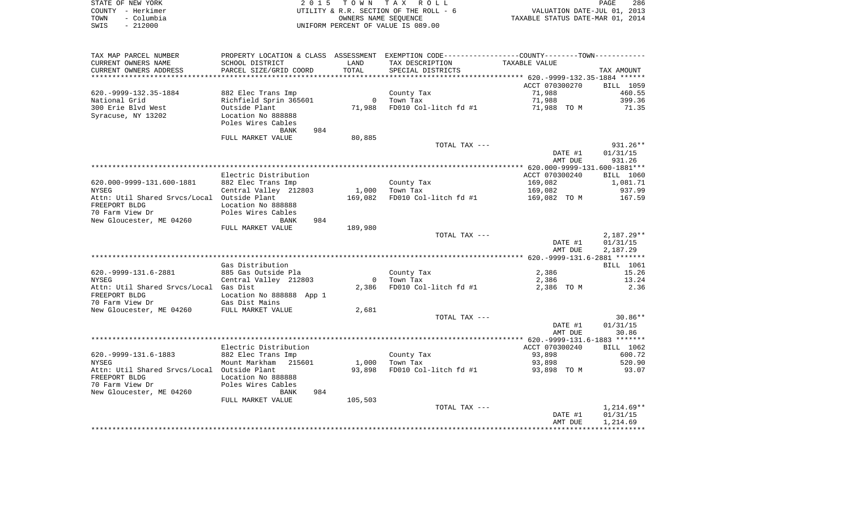|                              |                                      | TOWN           | T A X<br>R O L L                       |                                                              |                    |
|------------------------------|--------------------------------------|----------------|----------------------------------------|--------------------------------------------------------------|--------------------|
| STATE OF NEW YORK            | 2 0 1 5                              |                | 286<br>PAGE                            |                                                              |                    |
| - Herkimer<br>COUNTY         |                                      |                | UTILITY & R.R. SECTION OF THE ROLL - 6 | VALUATION DATE-JUL 01, 2013                                  |                    |
| - Columbia<br>TOWN           |                                      |                | OWNERS NAME SEQUENCE                   | TAXABLE STATUS DATE-MAR 01, 2014                             |                    |
| $-212000$<br>SWIS            | UNIFORM PERCENT OF VALUE IS 089.00   |                |                                        |                                                              |                    |
|                              |                                      |                |                                        |                                                              |                    |
| TAX MAP PARCEL NUMBER        | PROPERTY LOCATION & CLASS ASSESSMENT |                |                                        | EXEMPTION CODE-----------------COUNTY-------TOWN------------ |                    |
| CURRENT OWNERS NAME          | SCHOOL DISTRICT                      | LAND           | TAX DESCRIPTION                        | TAXABLE VALUE                                                |                    |
| CURRENT OWNERS ADDRESS       | PARCEL SIZE/GRID COORD               | TOTAL          | SPECIAL DISTRICTS                      |                                                              | TAX AMOUNT         |
|                              |                                      |                |                                        |                                                              |                    |
|                              |                                      |                |                                        | ACCT 070300270                                               | BILL 1059          |
| 620. - 9999 - 132. 35 - 1884 | 882 Elec Trans Imp                   |                | County Tax                             | 71,988                                                       | 460.55             |
| National Grid                | Richfield Sprin 365601               | $\overline{0}$ | Town Tax                               | 71,988                                                       | 399.36             |
| 300 Erie Blvd West           | Outside Plant                        | 71,988         | FD010 Col-litch fd #1                  | 71,988 TO M                                                  | 71.35              |
| Syracuse, NY 13202           | Location No 888888                   |                |                                        |                                                              |                    |
|                              | Poles Wires Cables                   |                |                                        |                                                              |                    |
|                              | 984<br>BANK                          |                |                                        |                                                              |                    |
|                              | FULL MARKET VALUE                    | 80,885         |                                        |                                                              |                    |
|                              |                                      |                | TOTAL TAX ---                          |                                                              | $931.26**$         |
|                              |                                      |                |                                        | DATE #1                                                      | 01/31/15           |
|                              |                                      |                |                                        | AMT DUE                                                      | 931.26             |
|                              |                                      |                |                                        |                                                              |                    |
|                              | Flectric Distribution                |                |                                        | አሮሮሞ በ7በ3በበ24በ                                               | <b>RTT.T. 1060</b> |

|                                             | Electric Distribution    |                |                               | ACCT 070300240    | BILL 1060  |
|---------------------------------------------|--------------------------|----------------|-------------------------------|-------------------|------------|
| 620.000-9999-131.600-1881                   | 882 Elec Trans Imp       |                | County Tax                    | 169,082 1,081.71  |            |
| NYSEG                                       | Central Valley 212803    |                | 1,000 Town Tax                | 169,082 937.99    |            |
| Attn: Util Shared Srvcs/Local Outside Plant |                          |                | 169,082 FD010 Col-litch fd #1 | 169,082 TO M      | 167.59     |
| FREEPORT BLDG                               | Location No 888888       |                |                               |                   |            |
| 70 Farm View Dr                             | Poles Wires Cables       |                |                               |                   |            |
| New Gloucester, ME 04260                    | 984<br>BANK              |                |                               |                   |            |
|                                             | FULL MARKET VALUE        | 189,980        |                               |                   |            |
|                                             |                          |                | TOTAL TAX ---                 |                   | 2,187.29** |
|                                             |                          |                |                               | DATE #1           | 01/31/15   |
|                                             |                          |                |                               | AMT DUE           | 2,187.29   |
|                                             |                          |                |                               |                   |            |
|                                             | Gas Distribution         |                |                               |                   | BILL 1061  |
| 620. - 9999 - 131. 6 - 2881                 | 885 Gas Outside Pla      |                | County Tax                    | 2,386             | 15.26      |
| NYSEG                                       | Central Valley 212803    |                | 0 Town Tax                    | 2,386 13.24       |            |
| Attn: Util Shared Srvcs/Local Gas Dist      |                          | 2,386          | FD010 Col-litch fd #1         | 2,386 TO M        | 2.36       |
| FREEPORT BLDG                               | Location No 888888 App 1 |                |                               |                   |            |
| 70 Farm View Dr                             | Gas Dist Mains           |                |                               |                   |            |
| New Gloucester, ME 04260 FULL MARKET VALUE  |                          | 2,681          |                               |                   |            |
|                                             |                          |                | TOTAL TAX ---                 |                   | $30.86**$  |
|                                             |                          |                |                               | DATE #1           | 01/31/15   |
|                                             |                          |                |                               | AMT DUE           | 30.86      |
|                                             |                          |                |                               |                   |            |
|                                             | Electric Distribution    |                |                               | ACCT 070300240    | BILL 1062  |
| 620. - 9999 - 131. 6 - 1883                 | 882 Elec Trans Imp       |                | County Tax                    | 93,898            | 600.72     |
| NYSEG                                       | Mount Markham 215601     | 1,000 Town Tax |                               | 93,898            | 520.90     |
| Attn: Util Shared Srvcs/Local Outside Plant |                          |                | 93,898 FD010 Col-litch fd #1  | 93,898 TO M 93.07 |            |
| FREEPORT BLDG                               | Location No 888888       |                |                               |                   |            |
| 70 Farm View Dr                             | Poles Wires Cables       |                |                               |                   |            |

| New Gloucester, ME 04260 | <b>BANK</b>       | 984     |               |         |              |
|--------------------------|-------------------|---------|---------------|---------|--------------|
|                          | FULL MARKET VALUE | 105,503 |               |         |              |
|                          |                   |         | TOTAL TAX --- |         | $1,214.69**$ |
|                          |                   |         |               | DATE #1 | 01/31/15     |
|                          |                   |         |               | AMT DUE | 1,214.69     |
|                          |                   |         |               |         |              |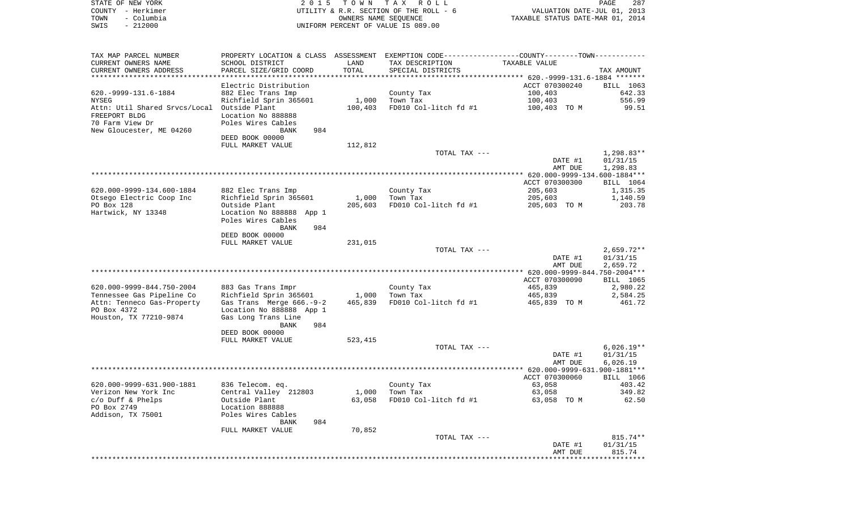| STATE OF NEW YORK<br>COUNTY - Herkimer<br>- Columbia<br>TOWN<br>$-212000$<br>SWIS | 2 0 1 5                                            | T O W N<br>OWNERS NAME SEQUENCE | TAX ROLL<br>UTILITY & R.R. SECTION OF THE ROLL - 6<br>UNIFORM PERCENT OF VALUE IS 089.00      | VALUATION DATE-JUL 01, 2013<br>TAXABLE STATUS DATE-MAR 01, 2014 | PAGE<br>287              |
|-----------------------------------------------------------------------------------|----------------------------------------------------|---------------------------------|-----------------------------------------------------------------------------------------------|-----------------------------------------------------------------|--------------------------|
|                                                                                   |                                                    |                                 |                                                                                               |                                                                 |                          |
| TAX MAP PARCEL NUMBER                                                             |                                                    |                                 | PROPERTY LOCATION & CLASS ASSESSMENT EXEMPTION CODE---------------COUNTY-------TOWN---------- |                                                                 |                          |
| CURRENT OWNERS NAME                                                               | SCHOOL DISTRICT                                    | LAND                            | TAX DESCRIPTION                                                                               | TAXABLE VALUE                                                   |                          |
| CURRENT OWNERS ADDRESS                                                            | PARCEL SIZE/GRID COORD                             | TOTAL                           | SPECIAL DISTRICTS                                                                             |                                                                 | TAX AMOUNT               |
| ************************                                                          | ********************                               |                                 |                                                                                               |                                                                 |                          |
|                                                                                   | Electric Distribution                              |                                 |                                                                                               | ACCT 070300240                                                  | BILL 1063                |
| 620. - 9999 - 131. 6 - 1884<br><b>NYSEG</b>                                       | 882 Elec Trans Imp<br>Richfield Sprin 365601       | 1,000                           | County Tax<br>Town Tax                                                                        | 100,403<br>100,403                                              | 642.33<br>556.99         |
| Attn: Util Shared Srvcs/Local Outside Plant                                       |                                                    | 100,403                         | FD010 Col-litch fd #1                                                                         | 100,403 TO M                                                    | 99.51                    |
| FREEPORT BLDG                                                                     | Location No 888888                                 |                                 |                                                                                               |                                                                 |                          |
| 70 Farm View Dr                                                                   | Poles Wires Cables                                 |                                 |                                                                                               |                                                                 |                          |
| New Gloucester, ME 04260                                                          | 984<br>BANK                                        |                                 |                                                                                               |                                                                 |                          |
|                                                                                   | DEED BOOK 00000                                    |                                 |                                                                                               |                                                                 |                          |
|                                                                                   | FULL MARKET VALUE                                  | 112,812                         | TOTAL TAX ---                                                                                 |                                                                 | $1,298.83**$             |
|                                                                                   |                                                    |                                 |                                                                                               | DATE #1                                                         | 01/31/15                 |
|                                                                                   |                                                    |                                 |                                                                                               | AMT DUE                                                         | 1,298.83                 |
|                                                                                   |                                                    |                                 |                                                                                               |                                                                 |                          |
|                                                                                   |                                                    |                                 |                                                                                               | ACCT 070300300                                                  | BILL 1064                |
| 620.000-9999-134.600-1884                                                         | 882 Elec Trans Imp                                 |                                 | County Tax                                                                                    | 205,603                                                         | 1,315.35                 |
| Otsego Electric Coop Inc<br>PO Box 128                                            | Richfield Sprin 365601<br>Outside Plant            | 1,000<br>205,603                | Town Tax<br>FD010 Col-litch fd #1                                                             | 205,603<br>205,603 TO M                                         | 1,140.59<br>203.78       |
| Hartwick, NY 13348                                                                | Location No 888888 App 1                           |                                 |                                                                                               |                                                                 |                          |
|                                                                                   | Poles Wires Cables                                 |                                 |                                                                                               |                                                                 |                          |
|                                                                                   | <b>BANK</b><br>984                                 |                                 |                                                                                               |                                                                 |                          |
|                                                                                   | DEED BOOK 00000                                    |                                 |                                                                                               |                                                                 |                          |
|                                                                                   | FULL MARKET VALUE                                  | 231,015                         |                                                                                               |                                                                 |                          |
|                                                                                   |                                                    |                                 | TOTAL TAX ---                                                                                 | DATE #1                                                         | $2,659.72**$<br>01/31/15 |
|                                                                                   |                                                    |                                 |                                                                                               | AMT DUE                                                         | 2,659.72                 |
|                                                                                   |                                                    |                                 |                                                                                               |                                                                 |                          |
|                                                                                   |                                                    |                                 |                                                                                               | ACCT 070300090                                                  | BILL 1065                |
| 620.000-9999-844.750-2004                                                         | 883 Gas Trans Impr                                 |                                 | County Tax                                                                                    | 465,839                                                         | 2,980.22                 |
| Tennessee Gas Pipeline Co<br>Attn: Tenneco Gas-Property                           | Richfield Sprin 365601<br>Gas Trans Merge 666.-9-2 | 1,000<br>465,839                | Town Tax<br>FD010 Col-litch fd #1                                                             | 465,839<br>465,839 TO M                                         | 2,584.25<br>461.72       |
| PO Box 4372                                                                       | Location No 888888 App 1                           |                                 |                                                                                               |                                                                 |                          |
| Houston, TX 77210-9874                                                            | Gas Long Trans Line                                |                                 |                                                                                               |                                                                 |                          |
|                                                                                   | BANK<br>984                                        |                                 |                                                                                               |                                                                 |                          |
|                                                                                   | DEED BOOK 00000                                    |                                 |                                                                                               |                                                                 |                          |
|                                                                                   | FULL MARKET VALUE                                  | 523,415                         |                                                                                               |                                                                 |                          |
|                                                                                   |                                                    |                                 | TOTAL TAX ---                                                                                 | DATE #1                                                         | $6,026.19**$<br>01/31/15 |
|                                                                                   |                                                    |                                 |                                                                                               | AMT DUE                                                         | 6,026.19                 |
|                                                                                   |                                                    |                                 |                                                                                               |                                                                 |                          |
|                                                                                   |                                                    |                                 |                                                                                               | ACCT 070300060                                                  | BILL 1066                |
| 620.000-9999-631.900-1881                                                         | 836 Telecom. eq.                                   |                                 | County Tax                                                                                    | 63,058                                                          | 403.42                   |
| Verizon New York Inc                                                              | Central Valley 212803                              | 1,000                           | Town Tax                                                                                      | 63,058                                                          | 349.82                   |
| $c/O$ Duff & Phelps<br>PO Box 2749                                                | Outside Plant<br>Location 888888                   | 63,058                          | FD010 Col-litch fd #1                                                                         | 63,058 TO M                                                     | 62.50                    |
| Addison, TX 75001                                                                 | Poles Wires Cables                                 |                                 |                                                                                               |                                                                 |                          |
|                                                                                   | 984<br>BANK                                        |                                 |                                                                                               |                                                                 |                          |
|                                                                                   | FULL MARKET VALUE                                  | 70,852                          |                                                                                               |                                                                 |                          |
|                                                                                   |                                                    |                                 | TOTAL TAX ---                                                                                 |                                                                 | 815.74**                 |
|                                                                                   |                                                    |                                 |                                                                                               | DATE #1<br>AMT DUE                                              | 01/31/15<br>815.74       |
|                                                                                   |                                                    |                                 |                                                                                               |                                                                 |                          |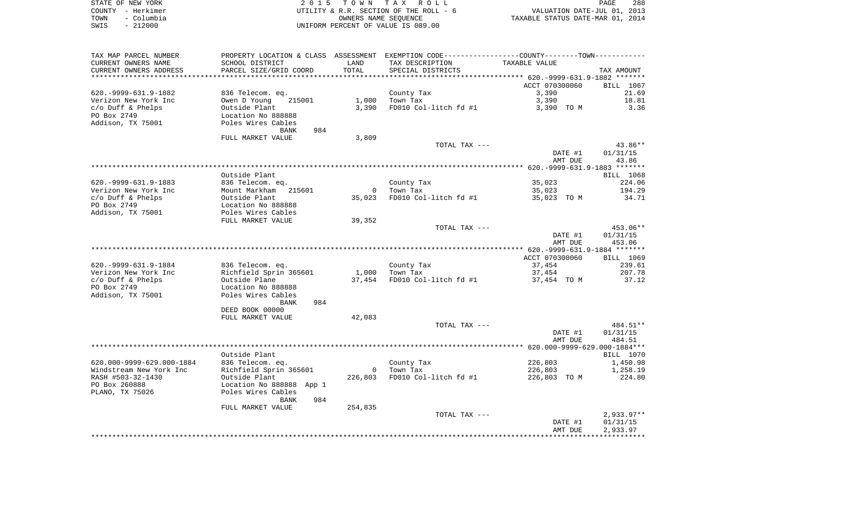| STATE OF NEW YORK<br>COUNTY - Herkimer  |                                                                                               |                | 2015 TOWN TAX ROLL<br>UTILITY & R.R. SECTION OF THE ROLL - 6    | PAGE 288<br>VALUATION DATE-JUL 01, 2013<br>TAXABLE STATUS DATE-MAR 01, 2014 | PAGE<br>288           |
|-----------------------------------------|-----------------------------------------------------------------------------------------------|----------------|-----------------------------------------------------------------|-----------------------------------------------------------------------------|-----------------------|
| TOWN<br>- Columbia<br>$-212000$<br>SWIS |                                                                                               |                | OWNERS NAME SEQUENCE<br>UNIFORM PERCENT OF VALUE IS 089.00      |                                                                             |                       |
| TAX MAP PARCEL NUMBER                   | PROPERTY LOCATION & CLASS ASSESSMENT EXEMPTION CODE---------------COUNTY-------TOWN---------- |                |                                                                 |                                                                             |                       |
| CURRENT OWNERS NAME                     | SCHOOL DISTRICT                                                                               | LAND           | TAX DESCRIPTION                                                 | TAXABLE VALUE                                                               |                       |
| CURRENT OWNERS ADDRESS                  | PARCEL SIZE/GRID COORD                                                                        | TOTAL          | SPECIAL DISTRICTS                                               |                                                                             | TAX AMOUNT            |
|                                         |                                                                                               |                | ********************************** 620.-9999-631.9-1882 ******* |                                                                             |                       |
|                                         |                                                                                               |                |                                                                 | ACCT 070300060                                                              | BILL 1067             |
| 620. - 9999 - 631. 9 - 1882             | 836 Telecom. eq.                                                                              |                | County Tax                                                      | 3,390                                                                       | 21.69                 |
| Verizon New York Inc                    | Owen D Young<br>215001                                                                        | 1,000          | Town Tax                                                        | 3,390                                                                       | 18.81                 |
| c/o Duff & Phelps                       | Outside Plant                                                                                 | 3,390          | FD010 Col-litch fd #1                                           | 3,390 TO M                                                                  | 3.36                  |
| PO Box 2749<br>Addison, TX 75001        | Location No 888888<br>Poles Wires Cables                                                      |                |                                                                 |                                                                             |                       |
|                                         | 984<br>BANK                                                                                   |                |                                                                 |                                                                             |                       |
|                                         | FULL MARKET VALUE                                                                             | 3,809          |                                                                 |                                                                             |                       |
|                                         |                                                                                               |                | TOTAL TAX ---                                                   |                                                                             | 43.86**               |
|                                         |                                                                                               |                |                                                                 | DATE #1                                                                     | 01/31/15              |
|                                         |                                                                                               |                |                                                                 | AMT DUE                                                                     | 43.86                 |
|                                         |                                                                                               |                |                                                                 |                                                                             |                       |
|                                         | Outside Plant                                                                                 |                |                                                                 |                                                                             | BILL 1068             |
| 620. - 9999 - 631. 9 - 1883             | 836 Telecom. eq.                                                                              |                | County Tax                                                      | 35,023                                                                      | 224.06                |
| Verizon New York Inc                    | Mount Markham 215601                                                                          |                | 0 Town Tax                                                      | 35,023                                                                      | 194.29                |
| c/o Duff & Phelps                       |                                                                                               |                | 35,023 FD010 Col-litch fd #1                                    | 35,023 TO M                                                                 | 34.71                 |
| PO Box 2749                             |                                                                                               |                |                                                                 |                                                                             |                       |
| Addison, TX 75001                       | Outside Plant<br>Location No 888888<br>Poles Wires Cables<br>Till Winner Till                 |                |                                                                 |                                                                             |                       |
|                                         | FULL MARKET VALUE                                                                             | 39,352         |                                                                 |                                                                             |                       |
|                                         |                                                                                               |                | TOTAL TAX ---                                                   |                                                                             | 453.06**              |
|                                         |                                                                                               |                |                                                                 | DATE #1<br>AMT DUE                                                          | 01/31/15<br>453.06    |
|                                         |                                                                                               |                |                                                                 |                                                                             |                       |
|                                         |                                                                                               |                |                                                                 | ACCT 070300060                                                              | BILL 1069             |
| 620. - 9999 - 631. 9 - 1884             |                                                                                               |                | County Tax                                                      | 37,454                                                                      | 239.61                |
| Verizon New York Inc                    | 836 Telecom. eq.<br>Richfield Sprin 365601                                                    | 1,000          | Town Tax                                                        | 37,454                                                                      | 207.78                |
| c/o Duff & Phelps                       | Outside Plane                                                                                 |                | 37,454 FD010 Col-litch fd #1                                    | 37,454 TO M                                                                 | 37.12                 |
| PO Box 2749                             | Outside Plane<br>Location No 888888                                                           |                |                                                                 |                                                                             |                       |
| Addison, TX 75001                       | Poles Wires Cables                                                                            |                |                                                                 |                                                                             |                       |
|                                         | BANK<br>984                                                                                   |                |                                                                 |                                                                             |                       |
|                                         | DEED BOOK 00000                                                                               |                |                                                                 |                                                                             |                       |
|                                         | FULL MARKET VALUE                                                                             | 42,083         |                                                                 |                                                                             |                       |
|                                         |                                                                                               |                | TOTAL TAX ---                                                   |                                                                             | 484.51**              |
|                                         |                                                                                               |                |                                                                 | DATE #1                                                                     | 01/31/15              |
|                                         |                                                                                               |                |                                                                 | AMT DUE                                                                     | 484.51                |
|                                         | Outside Plant                                                                                 |                |                                                                 |                                                                             |                       |
| 620.000-9999-629.000-1884               | 836 Telecom. eq.                                                                              |                | County Tax                                                      | 226,803                                                                     | BILL 1070<br>1,450.98 |
| Windstream New York Inc                 | Richfield Sprin 365601                                                                        | $\overline{0}$ | Town Tax                                                        | 226,803                                                                     | 1,258.19              |
| RASH #503-32-1430                       | Outside Plant                                                                                 | 226,803        | FD010 Col-litch fd #1                                           | 226,803 TO M                                                                | 224.80                |
| PO Box 260888                           | Location No 888888 App 1                                                                      |                |                                                                 |                                                                             |                       |
| PLANO, TX 75026                         | Poles Wires Cables                                                                            |                |                                                                 |                                                                             |                       |
|                                         | 984<br>BANK                                                                                   |                |                                                                 |                                                                             |                       |
|                                         | FULL MARKET VALUE                                                                             | 254,835        |                                                                 |                                                                             |                       |
|                                         |                                                                                               |                | TOTAL TAX ---                                                   |                                                                             | $2,933.97**$          |
|                                         |                                                                                               |                |                                                                 | DATE #1                                                                     | 01/31/15              |
|                                         |                                                                                               |                |                                                                 | AMT DUE                                                                     | 2,933.97              |
|                                         |                                                                                               |                |                                                                 |                                                                             |                       |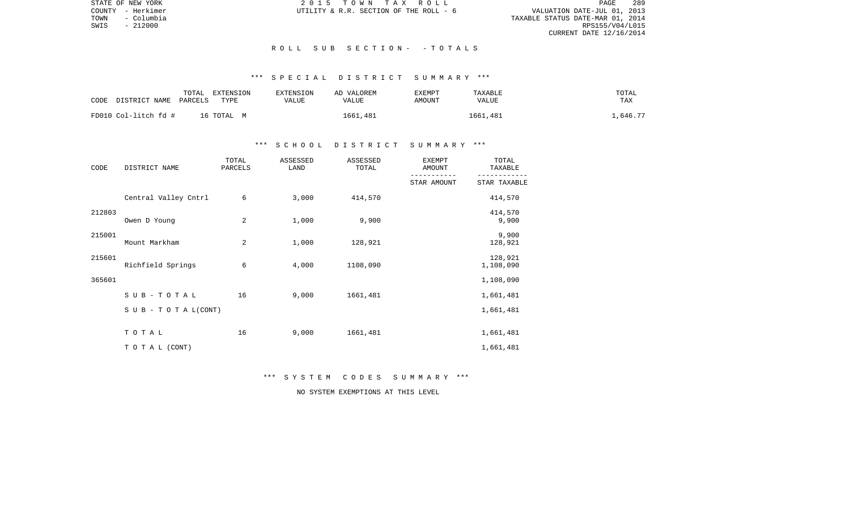STATE OF NEW YORK 289 CONSTRUCTED A CONSTRUCTED A CONSTRUCTED A CONSTRUCTED A CONSTRUCTED AND RELEASED 289 TOWN - Columbia TAXABLE STATUS DATE-MAR 01, 2014 SWIS - 212000 RPS155/V04/L015 CURRENT DATE 12/16/2014

COUNTY - Herkimer  $U$ TILITY & R.R. SECTION OF THE ROLL - 6

### R O L L S U B S E C T I O N - - T O T A L S

# \*\*\* S P E C I A L D I S T R I C T S U M M A R Y \*\*\*

|                       | TOTAL   | EXTENSION  | <b>EXTENSION</b> | AD VALOREM | EXEMPT | TAXABLE      | TOTAL   |
|-----------------------|---------|------------|------------------|------------|--------|--------------|---------|
| CODE<br>DISTRICT NAME | PARCELS | TYPE       | VALUE            | VALUE      | AMOUNT | <b>VALUE</b> | TAX     |
| FD010 Col-litch fd #  |         | 16 ТОТАL М |                  | 1661,481   |        | 1661,481     | ,646.77 |

### \*\*\* S C H O O L D I S T R I C T S U M M A R Y \*\*\*

| CODE   | DISTRICT NAME        | TOTAL<br>PARCELS | ASSESSED<br>LAND | ASSESSED<br>TOTAL | <b>EXEMPT</b><br>AMOUNT | TOTAL<br>TAXABLE     |
|--------|----------------------|------------------|------------------|-------------------|-------------------------|----------------------|
|        |                      |                  |                  |                   | STAR AMOUNT             | STAR TAXABLE         |
|        | Central Valley Cntrl | 6                | 3,000            | 414,570           |                         | 414,570              |
| 212803 | Owen D Young         | 2                | 1,000            | 9,900             |                         | 414,570<br>9,900     |
| 215001 | Mount Markham        | 2                | 1,000            | 128,921           |                         | 9,900<br>128,921     |
| 215601 | Richfield Springs    | 6                | 4,000            | 1108,090          |                         | 128,921<br>1,108,090 |
| 365601 |                      |                  |                  |                   |                         | 1,108,090            |
|        | SUB-TOTAL            | 16               | 9,000            | 1661,481          |                         | 1,661,481            |
|        | SUB - TO TAL(CONT)   |                  |                  |                   |                         | 1,661,481            |
|        | TOTAL                | 16               | 9,000            | 1661,481          |                         | 1,661,481            |
|        | TO TAL (CONT)        |                  |                  |                   |                         | 1,661,481            |

\*\*\* S Y S T E M C O D E S S U M M A R Y \*\*\*

NO SYSTEM EXEMPTIONS AT THIS LEVEL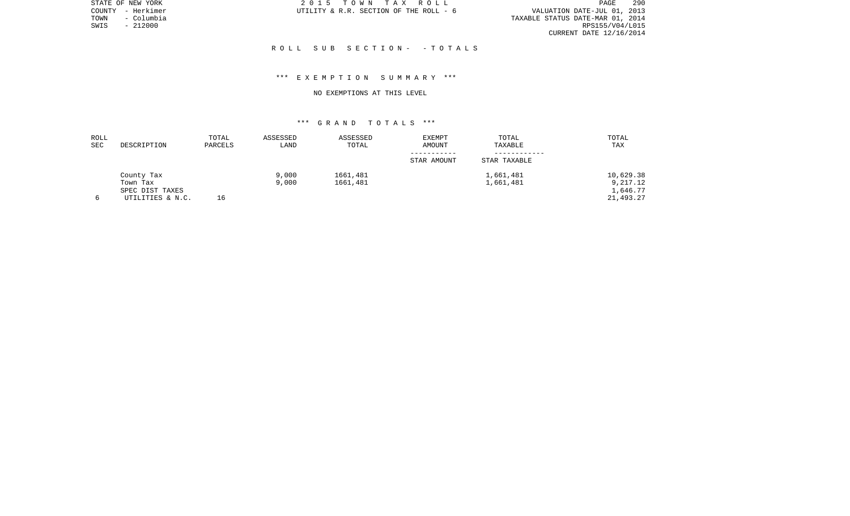STATE OF NEW YORK 2 0 1 5 T O W N T A X R O L L PAGE 290PAGE 290 TOWN - Columbia TAXABLE STATUS DATE-MAR 01, 2014 CURRENT DATE 12/16/2014

COUNTY - Herkimer  $U$ TILITY & R.R. SECTION OF THE ROLL - 6

 $SWIS$  - 212000

### R O L L S U B S E C T I O N - - T O T A L S

### \*\*\* E X E M P T I O N S U M M A R Y \*\*\*

#### NO EXEMPTIONS AT THIS LEVEL

| ROLL |                  | TOTAL   | ASSESSED | ASSESSED | <b>EXEMPT</b> | TOTAL        | TOTAL     |
|------|------------------|---------|----------|----------|---------------|--------------|-----------|
| SEC  | DESCRIPTION      | PARCELS | LAND     | TOTAL    | AMOUNT        | TAXABLE      | TAX       |
|      |                  |         |          |          |               |              |           |
|      |                  |         |          |          | STAR AMOUNT   | STAR TAXABLE |           |
|      | County Tax       |         | 9,000    | 1661,481 |               | 1,661,481    | 10,629.38 |
|      | Town Tax         |         | 9,000    | 1661,481 |               | 1,661,481    | 9,217.12  |
|      | SPEC DIST TAXES  |         |          |          |               |              | 1,646.77  |
|      | UTILITIES & N.C. | 16      |          |          |               |              | 21,493.27 |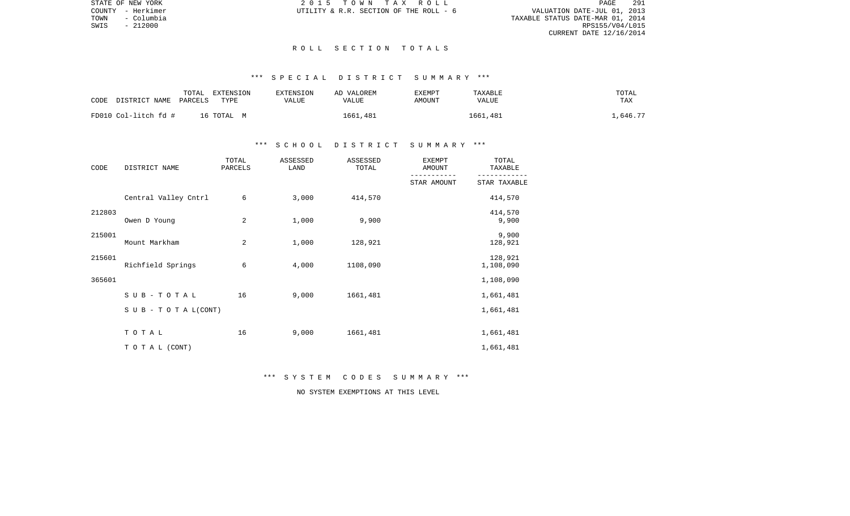PAGE 291 TOWN - COUNTY - Herkimer<br>
TOWN - Columbia COUNTY - Columbia COUNTY - Columbia COUNTY - Columbia COUNTY - Columbia COUNTY - Columbia COUN<br>
TOWN - 212000 RPS155/V04/L015 CURRENT DATE 12/16/2014

STATE OF NEW YORK **2015 TOWN TAX ROLL** COUNTY - Herkimer  $U$ TILITY & R.R. SECTION OF THE ROLL - 6

 $SWIS$  - 212000

#### R O L L S E C T I O N T O T A L S

# \*\*\* S P E C I A L D I S T R I C T S U M M A R Y \*\*\*

|      |                      | TOTAL   | EXTENSION  | <b>EXTENSION</b> | AD VALOREM | EXEMPT | TAXABLE      | TOTAL   |
|------|----------------------|---------|------------|------------------|------------|--------|--------------|---------|
| CODE | DISTRICT NAME        | PARCELS | TYPE       | <b>VALUE</b>     | VALUE      | AMOUNT | <b>VALUE</b> | TAX     |
|      |                      |         |            |                  |            |        |              |         |
|      | FD010 Col-litch fd # |         | 16 ТОТАL М |                  | 1661,481   |        | 1661,481     | ,646.77 |

### \*\*\* S C H O O L D I S T R I C T S U M M A R Y \*\*\*

| CODE   | DISTRICT NAME        | TOTAL<br>PARCELS | ASSESSED<br>LAND | ASSESSED<br>TOTAL | <b>EXEMPT</b><br>AMOUNT | TOTAL<br>TAXABLE     |
|--------|----------------------|------------------|------------------|-------------------|-------------------------|----------------------|
|        |                      |                  |                  |                   | STAR AMOUNT             | STAR TAXABLE         |
|        | Central Valley Cntrl | 6                | 3,000            | 414,570           |                         | 414,570              |
| 212803 | Owen D Young         | 2                | 1,000            | 9,900             |                         | 414,570<br>9,900     |
| 215001 | Mount Markham        | 2                | 1,000            | 128,921           |                         | 9,900<br>128,921     |
| 215601 | Richfield Springs    | 6                | 4,000            | 1108,090          |                         | 128,921<br>1,108,090 |
| 365601 |                      |                  |                  |                   |                         | 1,108,090            |
|        | SUB-TOTAL            | 16               | 9,000            | 1661,481          |                         | 1,661,481            |
|        | SUB - TO TAL(CONT)   |                  |                  |                   |                         | 1,661,481            |
|        | TOTAL                | 16               | 9,000            | 1661,481          |                         | 1,661,481            |
|        | TO TAL (CONT)        |                  |                  |                   |                         | 1,661,481            |

\*\*\* S Y S T E M C O D E S S U M M A R Y \*\*\*

NO SYSTEM EXEMPTIONS AT THIS LEVEL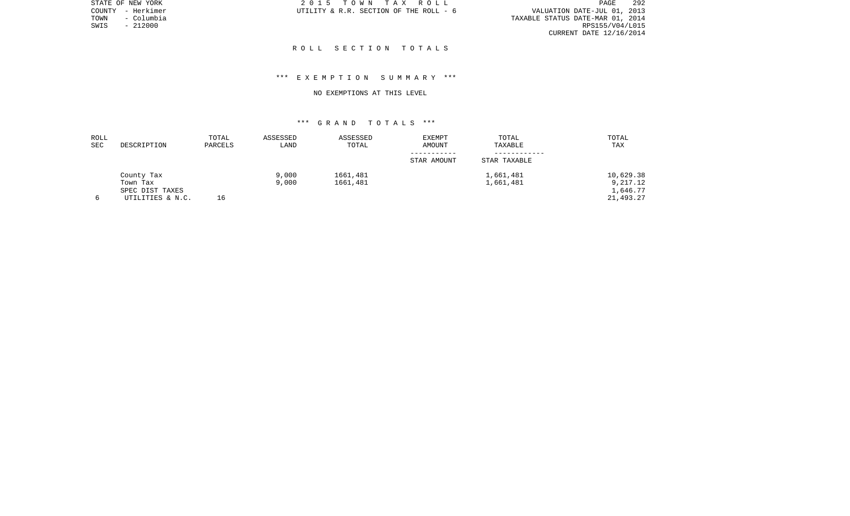STATE OF NEW YORK 2 0 1 5 T O W N T A X R O L L PAGE 292PAGE 292 TOWN - Columbia TAXABLE STATUS DATE-MAR 01, 2014 CURRENT DATE 12/16/2014

COUNTY - Herkimer  $U$ TILITY & R.R. SECTION OF THE ROLL - 6

 $SWIS$  - 212000

### R O L L S E C T I O N T O T A L S

## \*\*\* E X E M P T I O N S U M M A R Y \*\*\*

#### NO EXEMPTIONS AT THIS LEVEL

| ROLL |                  | TOTAL   | ASSESSED | ASSESSED | EXEMPT      | TOTAL        | TOTAL     |
|------|------------------|---------|----------|----------|-------------|--------------|-----------|
| SEC  | DESCRIPTION      | PARCELS | LAND     | TOTAL    | AMOUNT      | TAXABLE      | TAX       |
|      |                  |         |          |          |             |              |           |
|      |                  |         |          |          | STAR AMOUNT | STAR TAXABLE |           |
|      | County Tax       |         | 9,000    | 1661,481 |             | 1,661,481    | 10,629.38 |
|      | Town Tax         |         | 9,000    | 1661,481 |             | 1,661,481    | 9,217.12  |
|      | SPEC DIST TAXES  |         |          |          |             |              | 1,646.77  |
|      | UTILITIES & N.C. | 16      |          |          |             |              | 21,493.27 |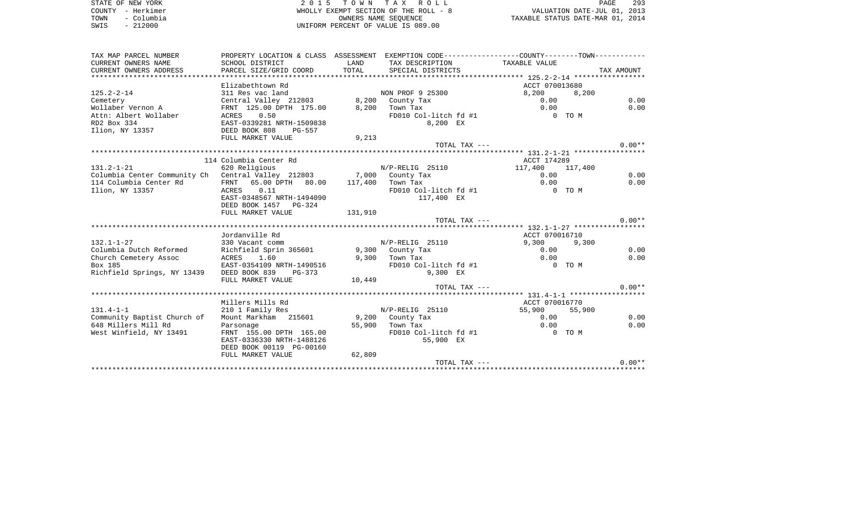STATE OF NEW YORK 2 0 1 5 T O W N T A X R O L L PAGE 293COUNTY - Herkimer WHOLLY EXEMPT SECTION OF THE ROLL - 8 VALUATION DATE-JUL 01, 2013 TOWN - Columbia OWNERS NAME SEQUENCE TAXABLE STATUS DATE-MAR 01, 2014 SWIS - 212000 UNIFORM PERCENT OF VALUE IS 089.00

TAX MAP PARCEL NUMBER PROPERTY LOCATION & CLASS ASSESSMENT EXEMPTION CODE------------------COUNTY--------TOWN------------ CURRENT OWNERS NAME SCHOOL DISTRICT LAND TAX DESCRIPTION TAXABLE VALUECURRENT OWNERS ADDRESS PARCEL SIZE/GRID COORD TOTAL SPECIAL DISTRICTS TAX AMOUNT \*\*\*\*\*\*\*\*\*\*\*\*\*\*\*\*\*\*\*\*\*\*\*\*\*\*\*\*\*\*\*\*\*\*\*\*\*\*\*\*\*\*\*\*\*\*\*\*\*\*\*\*\*\*\*\*\*\*\*\*\*\*\*\*\*\*\*\*\*\*\*\*\*\*\*\*\*\*\*\*\*\*\*\*\*\*\*\*\*\*\*\*\*\*\*\*\*\*\*\*\*\*\* 125.2-2-14 \*\*\*\*\*\*\*\*\*\*\*\*\*\*\*\*\*Elizabethtown Rd ACCT 070013680 125.2-2-14 311 Res vac land NON PROF 9 25300 8,200 8,200 Cemetery Central Valley 212803 8,200 County Tax 0.00 0.00 0.00 0.00 Wollaber Vernon A FRNT 125.00 DPTH 175.00 8,200 Town Tax 0.00 0.00 Attn: Albert Wollaber  $ACRES$  0.50  $FDO10$  Col-litch fd #1 0 TO M RD2 Box 334 EAST-0339281 NRTH-1509838 8,200 EX Ilion, NY 13357 DEED BOOK 808 PG-557 FULL MARKET VALUE 9,213 TOTAL TAX  $---$  0.00\*\* \*\*\*\*\*\*\*\*\*\*\*\*\*\*\*\*\*\*\*\*\*\*\*\*\*\*\*\*\*\*\*\*\*\*\*\*\*\*\*\*\*\*\*\*\*\*\*\*\*\*\*\*\*\*\*\*\*\*\*\*\*\*\*\*\*\*\*\*\*\*\*\*\*\*\*\*\*\*\*\*\*\*\*\*\*\*\*\*\*\*\*\*\*\*\*\*\*\*\*\*\*\*\* 131.2-1-21 \*\*\*\*\*\*\*\*\*\*\*\*\*\*\*\*\*114 Columbia Center Rd and a context of the ACCT 174289 131.2-1-21 620 Religious M/P-RELIG 25110 117,400 117,400<br>Columbia Center Community Ch Central Valley 212803 7.000 County Tax 0.00 Columbia Center Community Ch Central Valley 212803 7,000 County Tax 0.00 0.00 114 Columbia Center Rd FRNT 65.00 DPTH 80.00 117,400 Town Tax 0.00 0.00 Ilion, NY 13357 ACRES 0.11 FD010 Col-litch fd #1 0 TO M EAST-0348567 NRTH-1494090 117,400 EX DEED BOOK 1457 PG-324FULL MARKET VALUE 131,910 TOTAL TAX  $---$  0.00\*\* \*\*\*\*\*\*\*\*\*\*\*\*\*\*\*\*\*\*\*\*\*\*\*\*\*\*\*\*\*\*\*\*\*\*\*\*\*\*\*\*\*\*\*\*\*\*\*\*\*\*\*\*\*\*\*\*\*\*\*\*\*\*\*\*\*\*\*\*\*\*\*\*\*\*\*\*\*\*\*\*\*\*\*\*\*\*\*\*\*\*\*\*\*\*\*\*\*\*\*\*\*\*\* 132.1-1-27 \*\*\*\*\*\*\*\*\*\*\*\*\*\*\*\*\*Jordanville Rd ACCT 070016710 132.1-1-27 330 Vacant comm N/P-RELIG 25110 9,300 9,300 Columbia Dutch Reformed Richfield Sprin 365601 9,300 County Tax 0.00 0.00 Church Cemetery Assoc ACRES 1.60 9,300 Town Tax 0.00 0.00 Box 185 **EAST-0354109 NRTH-1490516** Richfield Springs, NY 13439 DEED BOOK 839 PG-373 9,300 EX FULL MARKET VALUE 10,449 TOTAL TAX  $---$  0.00\*\* \*\*\*\*\*\*\*\*\*\*\*\*\*\*\*\*\*\*\*\*\*\*\*\*\*\*\*\*\*\*\*\*\*\*\*\*\*\*\*\*\*\*\*\*\*\*\*\*\*\*\*\*\*\*\*\*\*\*\*\*\*\*\*\*\*\*\*\*\*\*\*\*\*\*\*\*\*\*\*\*\*\*\*\*\*\*\*\*\*\*\*\*\*\*\*\*\*\*\*\*\*\*\* 131.4-1-1 \*\*\*\*\*\*\*\*\*\*\*\*\*\*\*\*\*\*Millers Mills Rd ACCT 070016770 131.4-1-1 210 1 Family Res N/P-RELIG 25110 55,900 55,900 55,900 Community Baptist Church of Mount Markham 215601 9,200 County Tax 0.00 0.00 648 Millers Mill Rd Parsonage 55,900 Town Tax 0.00 0.00 West Winfield, NY 13491 FRNT 155.00 DPTH 165.00 FD010 Col-litch fd #1 0 TO M EAST-0336330 NRTH-1488126 55,900 EX DEED BOOK 00119 PG-00160FULL MARKET VALUE 62,809 TOTAL TAX  $---$  0.00\*\* \*\*\*\*\*\*\*\*\*\*\*\*\*\*\*\*\*\*\*\*\*\*\*\*\*\*\*\*\*\*\*\*\*\*\*\*\*\*\*\*\*\*\*\*\*\*\*\*\*\*\*\*\*\*\*\*\*\*\*\*\*\*\*\*\*\*\*\*\*\*\*\*\*\*\*\*\*\*\*\*\*\*\*\*\*\*\*\*\*\*\*\*\*\*\*\*\*\*\*\*\*\*\*\*\*\*\*\*\*\*\*\*\*\*\*\*\*\*\*\*\*\*\*\*\*\*\*\*\*\*\*\*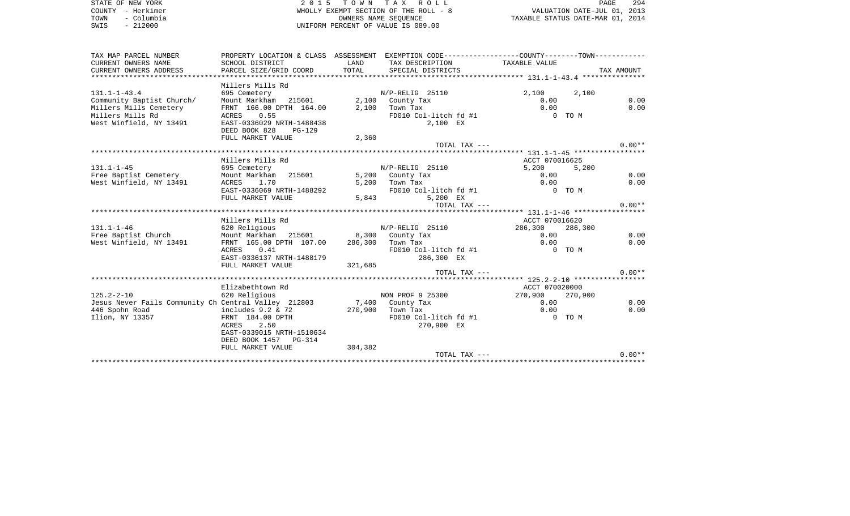| STATE OF NEW YORK<br>COUNTY - Herkimer               | 2015 TOWN TAX ROLL<br>WHOLLY EXEMPT SECTION OF THE ROLL - 8                                   | PAGE<br>294<br>VALUATION DATE-JUL 01, 2013                 |                                      |                                        |         |            |
|------------------------------------------------------|-----------------------------------------------------------------------------------------------|------------------------------------------------------------|--------------------------------------|----------------------------------------|---------|------------|
| - Columbia<br>TOWN<br>$-212000$<br>SWIS              |                                                                                               | OWNERS NAME SEQUENCE<br>UNIFORM PERCENT OF VALUE IS 089.00 | TAXABLE STATUS DATE-MAR 01, 2014     |                                        |         |            |
|                                                      |                                                                                               |                                                            |                                      |                                        |         |            |
| TAX MAP PARCEL NUMBER                                | PROPERTY LOCATION & CLASS ASSESSMENT EXEMPTION CODE---------------COUNTY-------TOWN---------- |                                                            |                                      |                                        |         |            |
| CURRENT OWNERS NAME<br>CURRENT OWNERS ADDRESS        | SCHOOL DISTRICT<br>PARCEL SIZE/GRID COORD                                                     | LAND<br>TOTAL                                              | TAX DESCRIPTION<br>SPECIAL DISTRICTS | TAXABLE VALUE                          |         | TAX AMOUNT |
|                                                      |                                                                                               |                                                            |                                      |                                        |         |            |
|                                                      | Millers Mills Rd                                                                              |                                                            |                                      |                                        |         |            |
| $131.1 - 1 - 43.4$                                   | 695 Cemetery                                                                                  |                                                            | N/P-RELIG 25110                      | 2,100                                  | 2,100   |            |
| Community Baptist Church/                            | Mount Markham 215601                                                                          |                                                            | 2,100 County Tax                     | 0.00                                   |         | 0.00       |
| Millers Mills Cemetery                               | FRNT 166.00 DPTH 164.00                                                                       |                                                            | $2,100$ Town Tax                     | 0.00                                   |         | 0.00       |
| Millers Mills Rd                                     | ACRES 0.55                                                                                    |                                                            | FD010 Col-litch fd #1                |                                        | $0$ TOM |            |
| West Winfield, NY 13491                              | EAST-0336029 NRTH-1488438                                                                     |                                                            | 2,100 EX                             |                                        |         |            |
|                                                      | DEED BOOK 828<br>PG-129<br>FULL MARKET VALUE                                                  |                                                            |                                      |                                        |         |            |
|                                                      |                                                                                               | 2,360                                                      | TOTAL TAX ---                        |                                        |         | $0.00**$   |
|                                                      |                                                                                               |                                                            |                                      |                                        |         |            |
|                                                      | Millers Mills Rd                                                                              |                                                            |                                      | ACCT 070016625                         |         |            |
| $131.1 - 1 - 45$                                     | 695 Cemetery                                                                                  |                                                            | N/P-RELIG 25110                      | 5,200                                  | 5,200   |            |
| Free Baptist Cemetery                                | Mount Markham 215601                                                                          |                                                            | 5,200 County Tax                     | 0.00                                   |         | 0.00       |
| West Winfield, NY 13491                              | ACRES<br>1.70                                                                                 | 5,200                                                      | Town Tax                             | 0.00                                   |         | 0.00       |
|                                                      | EAST-0336069 NRTH-1488292                                                                     |                                                            | FD010 Col-litch fd #1                | 0 TO M                                 |         |            |
|                                                      | FULL MARKET VALUE                                                                             | 5,843                                                      | 5,200 EX                             |                                        |         |            |
|                                                      |                                                                                               |                                                            | TOTAL TAX ---                        |                                        |         | $0.00**$   |
|                                                      |                                                                                               |                                                            |                                      |                                        |         |            |
| $131.1 - 1 - 46$                                     | Millers Mills Rd<br>620 Religious                                                             |                                                            | N/P-RELIG 25110                      | ACCT 070016620<br>286,300              | 286,300 |            |
| Free Baptist Church                                  | Mount Markham<br>215601                                                                       |                                                            | 8,300 County Tax                     | 0.00                                   |         | 0.00       |
| West Winfield, NY 13491                              | FRNT 165.00 DPTH 107.00                                                                       |                                                            | 286,300 Town Tax                     | 0.00                                   |         | 0.00       |
|                                                      | 0.41<br>ACRES                                                                                 |                                                            | FD010 Col-litch fd #1                | 0 TO M                                 |         |            |
|                                                      | EAST-0336137 NRTH-1488179                                                                     |                                                            | 286,300 EX                           |                                        |         |            |
|                                                      | FULL MARKET VALUE                                                                             | 321,685                                                    |                                      |                                        |         |            |
|                                                      |                                                                                               |                                                            | TOTAL TAX ---                        |                                        |         | $0.00**$   |
|                                                      |                                                                                               |                                                            |                                      |                                        |         |            |
|                                                      | Elizabethtown Rd                                                                              |                                                            |                                      | ACCT 070020000                         |         |            |
| $125.2 - 2 - 10$                                     | 620 Religious                                                                                 |                                                            | NON PROF 9 25300                     | 270,900                                | 270,900 |            |
| Jesus Never Fails Community Ch Central Valley 212803 |                                                                                               |                                                            | 7,400 County Tax                     | 0.00                                   |         | 0.00       |
| 446 Spohn Road                                       | includes $9.2$ & 72                                                                           | 270,900                                                    | Town Tax                             | 0.00                                   |         | 0.00       |
| Ilion, NY 13357                                      | FRNT 184.00 DPTH                                                                              |                                                            | FD010 Col-litch fd #1                | $0$ TOM                                |         |            |
|                                                      | ACRES<br>2.50                                                                                 |                                                            | 270,900 EX                           |                                        |         |            |
|                                                      | EAST-0339015 NRTH-1510634<br>DEED BOOK 1457 PG-314                                            |                                                            |                                      |                                        |         |            |
|                                                      | FULL MARKET VALUE                                                                             | 304,382                                                    |                                      |                                        |         |            |
|                                                      |                                                                                               |                                                            | TOTAL TAX ---                        |                                        |         | $0.00**$   |
|                                                      |                                                                                               |                                                            |                                      | ************************************** |         |            |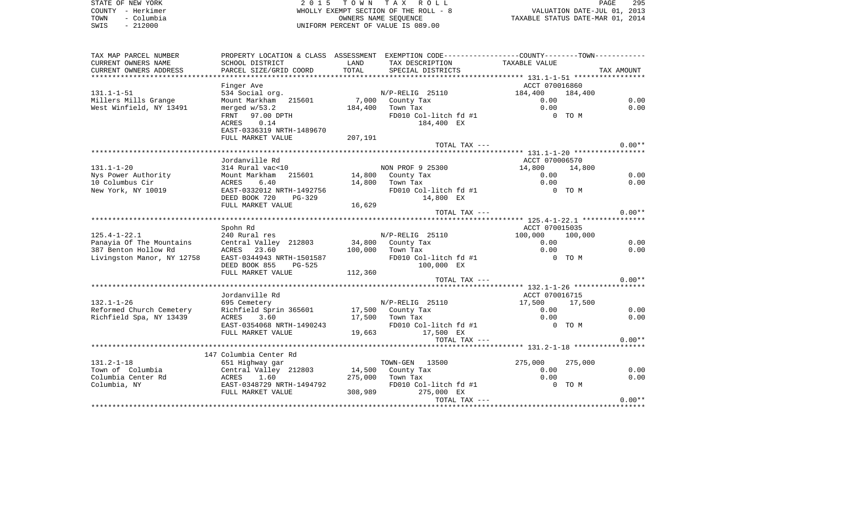STATE OF NEW YORK **EXECUTE:**  $2015$  TOWN TAX ROLL COUNTY - Herkimer (COUNTY - Herkimer ) and the state of the ROLL - 8 VALUATION OF THE ROLL - 8 VALUATION DATES<br>TOWN - Columbia (COUNTY - 212000 ) and the state of value is 089.00 TOWN - Columbia OWNERS NAME SEQUENCE TAXABLE STATUS DATE-MAR 01, 2014 SWIS - 212000 UNIFORM PERCENT OF VALUE IS 089.00

| TAX MAP PARCEL NUMBER                                                                                      | PROPERTY LOCATION & CLASS ASSESSMENT EXEMPTION CODE---------------COUNTY-------TOWN----------                                                                                   |         |                                 |                |         |          |
|------------------------------------------------------------------------------------------------------------|---------------------------------------------------------------------------------------------------------------------------------------------------------------------------------|---------|---------------------------------|----------------|---------|----------|
| CURRENT OWNERS NAME                                                                                        | SCHOOL DISTRICT                                                                                                                                                                 | LAND    | TAX DESCRIPTION                 | TAXABLE VALUE  |         |          |
|                                                                                                            |                                                                                                                                                                                 |         |                                 |                |         |          |
|                                                                                                            |                                                                                                                                                                                 |         |                                 |                |         |          |
|                                                                                                            | Finger Ave                                                                                                                                                                      |         |                                 | ACCT 070016860 |         |          |
| $131.1 - 1 - 51$                                                                                           | 534 Social org.                                                                                                                                                                 |         | N/P-RELIG 25110 184,400 184,400 |                |         |          |
| Millers Mills Grange                                                                                       | Mount Markham 215601                                                                                                                                                            |         | 7,000 County Tax                | 0.00           |         | 0.00     |
| West Winfield, NY 13491                                                                                    | merged $w/53.2$                                                                                                                                                                 |         | 184,400 Town Tax                | 0.00           |         | 0.00     |
|                                                                                                            | FRNT 97.00 DPTH                                                                                                                                                                 |         | FD010 Col-litch fd #1           | 0 TO M         |         |          |
|                                                                                                            | ACRES 0.14                                                                                                                                                                      |         | 184,400 EX                      |                |         |          |
|                                                                                                            | EAST-0336319 NRTH-1489670                                                                                                                                                       |         |                                 |                |         |          |
|                                                                                                            | FULL MARKET VALUE                                                                                                                                                               | 207,191 |                                 |                |         |          |
|                                                                                                            |                                                                                                                                                                                 |         | TOTAL TAX ---                   |                |         | $0.00**$ |
|                                                                                                            |                                                                                                                                                                                 |         |                                 |                |         |          |
|                                                                                                            | Jordanville Rd                                                                                                                                                                  |         |                                 | ACCT 070006570 |         |          |
| $131.1 - 1 - 20$                                                                                           |                                                                                                                                                                                 |         |                                 | 14,800 14,800  |         |          |
| Nys Power Authority                                                                                        | $314$ Rural vac<10 $314$ Rural vac<10 $14,800$ County Tax                                                                                                                       |         |                                 | 0.00           |         | 0.00     |
| 10 Columbus Cir                                                                                            | 6.40<br>ACRES                                                                                                                                                                   |         | 14,800 Town Tax                 | 0.00           |         | 0.00     |
| New York, NY 10019                                                                                         |                                                                                                                                                                                 |         |                                 | 0 TO M         |         |          |
|                                                                                                            | EAST-0332012 NRTH-1492756<br>DEED BOOK 720 PG-329<br>FULL MARKET VALUE 16,629<br>16,629                                                                                         |         | FD010 Col-litch fd #1           |                |         |          |
|                                                                                                            |                                                                                                                                                                                 |         |                                 |                |         |          |
|                                                                                                            |                                                                                                                                                                                 |         |                                 |                |         | $0.00**$ |
|                                                                                                            |                                                                                                                                                                                 |         | TOTAL TAX ---                   |                |         |          |
|                                                                                                            |                                                                                                                                                                                 |         |                                 |                |         |          |
|                                                                                                            | Spohn Rd                                                                                                                                                                        |         |                                 | ACCT 070015035 |         |          |
| $125.4 - 1 - 22.1$                                                                                         | 240 Rural res<br>Central Valley 212803 34,800 County Tax<br>ACRES 23.60 100,000 Town Tax                                                                                        |         | N/P-RELIG 25110 100,000 100,000 |                |         |          |
| Panayia Of The Mountains<br>387 Benton Hollow Rd                                                           |                                                                                                                                                                                 |         |                                 | 0.00           |         | 0.00     |
|                                                                                                            |                                                                                                                                                                                 |         |                                 | 0.00           |         | 0.00     |
| Livingston Manor, NY 12758                                                                                 |                                                                                                                                                                                 |         | FD010 Col-litch fd #1           | 0 TO M         |         |          |
|                                                                                                            |                                                                                                                                                                                 |         |                                 |                |         |          |
|                                                                                                            | FULL MARKET VALUE                                                                                                                                                               | 112,360 |                                 |                |         |          |
|                                                                                                            |                                                                                                                                                                                 |         | TOTAL TAX ---                   |                |         | $0.00**$ |
|                                                                                                            |                                                                                                                                                                                 |         |                                 |                |         |          |
|                                                                                                            | Jordanville Rd                                                                                                                                                                  |         |                                 | ACCT 070016715 |         |          |
| $132.1 - 1 - 26$                                                                                           | 695 Cemetery                                                                                                                                                                    |         | $N/P-RELIG$ 25110               | 17,500 17,500  |         |          |
| Reformed Church Cemetery<br>Reformed Church Cemetery<br>Richfield Spa, NY 13439 ACRES 3.60 17,500 Town Tax |                                                                                                                                                                                 |         |                                 | 0.00           |         | 0.00     |
|                                                                                                            |                                                                                                                                                                                 |         |                                 | 0.00           |         | 0.00     |
|                                                                                                            |                                                                                                                                                                                 |         | FD010 Col-litch fd #1 0 TO M    |                |         |          |
|                                                                                                            |                                                                                                                                                                                 |         |                                 |                |         |          |
|                                                                                                            |                                                                                                                                                                                 |         | TOTAL TAX ---                   |                |         | $0.00**$ |
|                                                                                                            |                                                                                                                                                                                 |         |                                 |                |         |          |
|                                                                                                            | 147 Columbia Center Rd                                                                                                                                                          |         |                                 |                |         |          |
| $131.2 - 1 - 18$                                                                                           | 651 Highway gar                                                                                                                                                                 |         | TOWN-GEN 13500                  | 275,000        | 275,000 |          |
| Town of Columbia                                                                                           |                                                                                                                                                                                 |         |                                 | 0.00           |         | 0.00     |
| Columbia Center Rd                                                                                         |                                                                                                                                                                                 |         |                                 | 0.00           |         | 0.00     |
| Columbia, NY                                                                                               | 651 Highway gar<br>Central Valley 212803 14,500 County Tax<br>ACRES 1.600 County Tax<br>EAST-0348729 NRTH-1494792 FD010 Col-litch fd #1<br>FULL MARKET VALUE 308.989 275.000 EX |         | FD010 Col-litch fd #1           | 0 TO M         |         |          |
|                                                                                                            | EAST-0348729 NRTH-1494792 FD010 Col-litch fd<br>FULL MARKET VALUE 308,989 275,000 EX                                                                                            |         |                                 |                |         |          |
|                                                                                                            |                                                                                                                                                                                 |         | TOTAL TAX ---                   |                |         | $0.00**$ |
|                                                                                                            |                                                                                                                                                                                 |         |                                 |                |         |          |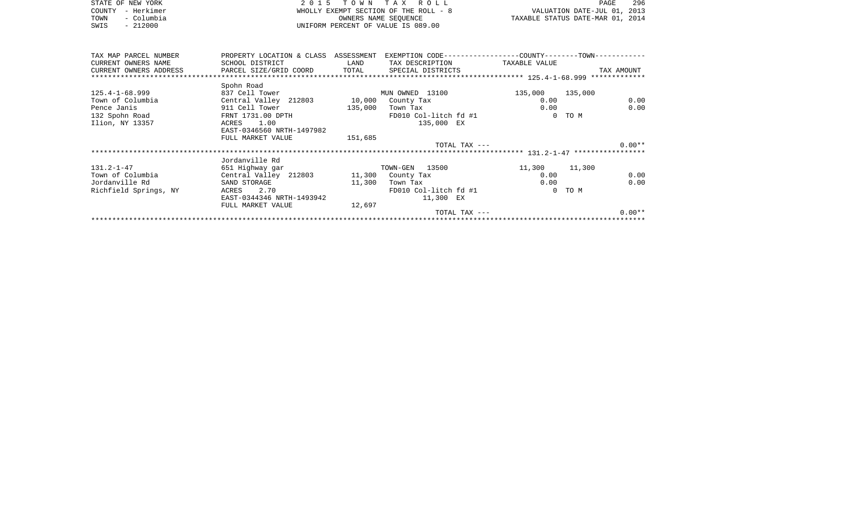| STATE OF NEW YORK<br>- Herkimer<br>COUNTY          | 2 0 1 5                                                                                             |                          | TOWN TAX ROLL                                               |                         | 296<br>PAGE<br>VALUATION DATE-JUL 01, 2013 |
|----------------------------------------------------|-----------------------------------------------------------------------------------------------------|--------------------------|-------------------------------------------------------------|-------------------------|--------------------------------------------|
| - Columbia<br>TOWN<br>$-212000$<br>SWIS            | WHOLLY EXEMPT SECTION OF THE ROLL - 8<br>OWNERS NAME SEQUENCE<br>UNIFORM PERCENT OF VALUE IS 089.00 |                          |                                                             |                         | TAXABLE STATUS DATE-MAR 01, 2014           |
| TAX MAP PARCEL NUMBER                              | PROPERTY LOCATION & CLASS ASSESSMENT                                                                |                          | EXEMPTION CODE-----------------COUNTY-------TOWN----------- |                         |                                            |
| CURRENT OWNERS NAME<br>CURRENT OWNERS ADDRESS      | SCHOOL DISTRICT<br>PARCEL SIZE/GRID COORD TOTAL                                                     | <b>EXAMPLE TO A LAND</b> | TAX DESCRIPTION TAXABLE VALUE<br>SPECIAL DISTRICTS          |                         | TAX AMOUNT                                 |
|                                                    |                                                                                                     |                          |                                                             |                         |                                            |
|                                                    | Spohn Road                                                                                          |                          |                                                             |                         |                                            |
| $125.4 - 1 - 68.999$<br>Town of Columbia           | 837 Cell Tower<br>Central Valley 212803 10,000                                                      |                          | MUN OWNED 13100<br>County Tax                               | 135,000 135,000<br>0.00 | 0.00                                       |
| Pence Janis                                        | 911 Cell Tower                                                                                      | 135,000                  | Town Tax                                                    | 0.00                    | 0.00                                       |
| 132 Spohn Road North States Section 132 Spohn Road | FRNT 1731.00 DPTH                                                                                   |                          | FD010 Col-litch fd #1                                       | $\mathbf{0}$            | TO M                                       |
| Ilion, NY 13357                                    | 1.00<br>ACRES<br>EAST-0346560 NRTH-1497982                                                          |                          | 135,000 EX                                                  |                         |                                            |
|                                                    | FULL MARKET VALUE                                                                                   | 151,685                  |                                                             |                         |                                            |
|                                                    |                                                                                                     |                          | TOTAL TAX ---                                               |                         | $0.00**$                                   |
|                                                    |                                                                                                     |                          |                                                             |                         |                                            |
|                                                    | Jordanville Rd                                                                                      |                          |                                                             |                         |                                            |

|                       | UULUAIIVIILE KU           |                       |                  |
|-----------------------|---------------------------|-----------------------|------------------|
| $131.2 - 1 - 47$      | 651 Highway gar           | TOWN-GEN 13500        | 11,300<br>11,300 |
| Town of Columbia      | Central Valley 212803     | 11,300<br>County Tax  | 0.00<br>0.00     |
| Jordanville Rd        | SAND STORAGE              | 11,300<br>Town Tax    | 0.00<br>0.00     |
| Richfield Springs, NY | 2.70<br>ACRES             | FD010 Col-litch fd #1 | $0$ TOM          |
|                       | EAST-0344346 NRTH-1493942 | 11,300<br>$_{\rm EX}$ |                  |
|                       | FULL MARKET VALUE         | 12,697                |                  |
|                       |                           | TOTAL TAX ---         | $0.00**$         |
|                       |                           |                       |                  |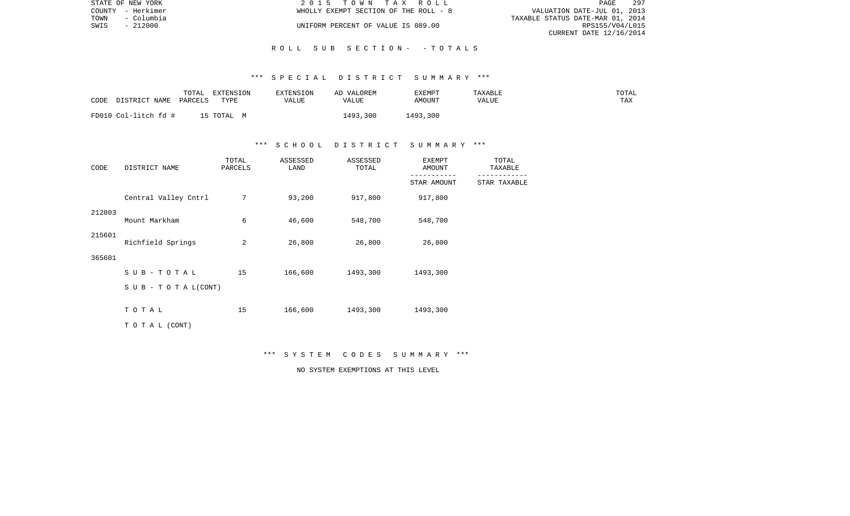|               | STATE OF NEW YORK | 2015 TOWN TAX ROLL                    |                                  | PAGE            | 297 |
|---------------|-------------------|---------------------------------------|----------------------------------|-----------------|-----|
|               | COUNTY - Herkimer | WHOLLY EXEMPT SECTION OF THE ROLL - 8 | VALUATION DATE-JUL 01, 2013      |                 |     |
| TOWN          | - Columbia        |                                       | TAXABLE STATUS DATE-MAR 01, 2014 |                 |     |
| SWIS - 212000 |                   | UNIFORM PERCENT OF VALUE IS 089.00    |                                  | RPS155/V04/L015 |     |
|               |                   |                                       | CURRENT DATE 12/16/2014          |                 |     |

### R O L L S U B S E C T I O N - - T O T A L S

#### \*\*\* S P E C I A L D I S T R I C T S U M M A R Y \*\*\*

| CODE | DISTRICT NAME        | TOTAL<br>PARCELS | EXTENSION<br><b>TYPE</b> | EXTENSION<br>VALUE | AD VALOREM<br>VALUE | EXEMPT<br>AMOUNT | TAXABLE<br>VALUE | TOTAL<br>TAX |
|------|----------------------|------------------|--------------------------|--------------------|---------------------|------------------|------------------|--------------|
|      | FD010 Col-litch fd # |                  | 15 TOTAL                 |                    | 1493,300            | 1493,300         |                  |              |

### \*\*\* S C H O O L D I S T R I C T S U M M A R Y \*\*\*

| CODE   | DISTRICT NAME             | TOTAL<br>PARCELS | ASSESSED<br>LAND | ASSESSED<br>TOTAL | <b>EXEMPT</b><br>AMOUNT | TOTAL<br>TAXABLE |
|--------|---------------------------|------------------|------------------|-------------------|-------------------------|------------------|
|        |                           |                  |                  |                   | STAR AMOUNT             | STAR TAXABLE     |
|        | Central Valley Cntrl      | 7                | 93,200           | 917,800           | 917,800                 |                  |
| 212803 | Mount Markham             | 6                | 46,600           | 548,700           | 548,700                 |                  |
| 215601 | Richfield Springs         | 2                | 26,800           | 26,800            | 26,800                  |                  |
| 365601 |                           |                  |                  |                   |                         |                  |
|        | $SUB - TO T AL$           | 15               | 166,600          | 1493,300          | 1493,300                |                  |
|        | S U B - T O T A $L(CONT)$ |                  |                  |                   |                         |                  |
|        | TOTAL                     | 15               | 166,600          | 1493,300          | 1493,300                |                  |
|        | TO TAL (CONT)             |                  |                  |                   |                         |                  |

\*\*\* S Y S T E M C O D E S S U M M A R Y \*\*\*

NO SYSTEM EXEMPTIONS AT THIS LEVEL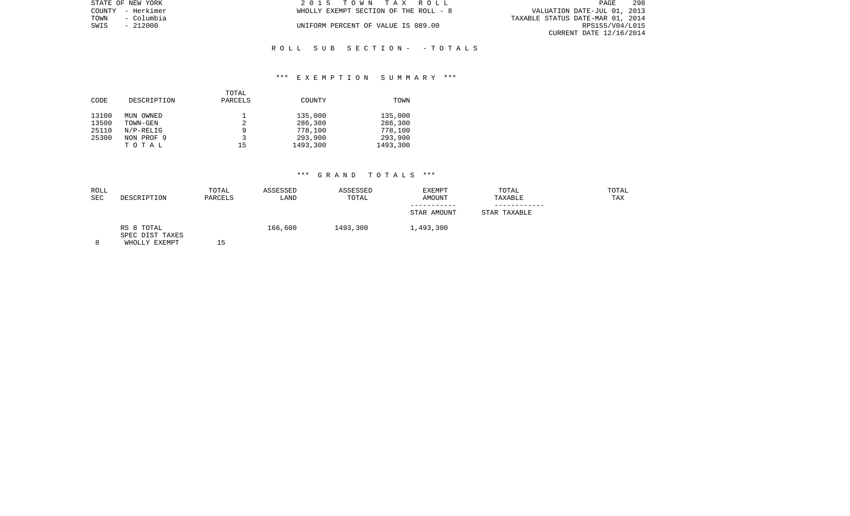| STATE OF NEW YORK  | 2015 TOWN TAX ROLL                    | 298<br>PAGE                      |
|--------------------|---------------------------------------|----------------------------------|
| COUNTY - Herkimer  | WHOLLY EXEMPT SECTION OF THE ROLL - 8 | VALUATION DATE-JUL 01, 2013      |
| – Columbia<br>TOWN |                                       | TAXABLE STATUS DATE-MAR 01, 2014 |
| SWIS<br>$-212000$  | UNIFORM PERCENT OF VALUE IS 089.00    | RPS155/V04/L015                  |
|                    |                                       | CURRENT DATE 12/16/2014          |
|                    |                                       |                                  |

# R O L L S U B S E C T I O N - - T O T A L S

#### \*\*\* E X E M P T I O N S U M M A R Y \*\*\*

|       |             | TOTAL   |          |          |
|-------|-------------|---------|----------|----------|
| CODE  | DESCRIPTION | PARCELS | COUNTY   | TOWN     |
| 13100 | MUN OWNED   |         | 135,000  | 135,000  |
| 13500 | TOWN-GEN    | 2       | 286,300  | 286,300  |
| 25110 | $N/P-RELIG$ | 9       | 778,100  | 778,100  |
| 25300 | NON PROF 9  |         | 293,900  | 293,900  |
|       | TOTAL       | 15      | 1493,300 | 1493,300 |

## \*\*\* G R A N D T O T A L S \*\*\*

| ROLL<br>SEC | DESCRIPTION                                    | TOTAL<br>PARCELS | ASSESSED<br>LAND | ASSESSED<br>TOTAL | <b>EXEMPT</b><br><b>AMOUNT</b> | TOTAL<br>TAXABLE | TOTAL<br>TAX |
|-------------|------------------------------------------------|------------------|------------------|-------------------|--------------------------------|------------------|--------------|
|             |                                                |                  |                  |                   | STAR AMOUNT                    | STAR TAXABLE     |              |
| $\Omega$    | RS 8 TOTAL<br>SPEC DIST TAXES<br>WHOLLY FYFMDT | ь                | 166,600          | 1493,300          | 1,493,300                      |                  |              |

8 WHOLLY EXEMPT 15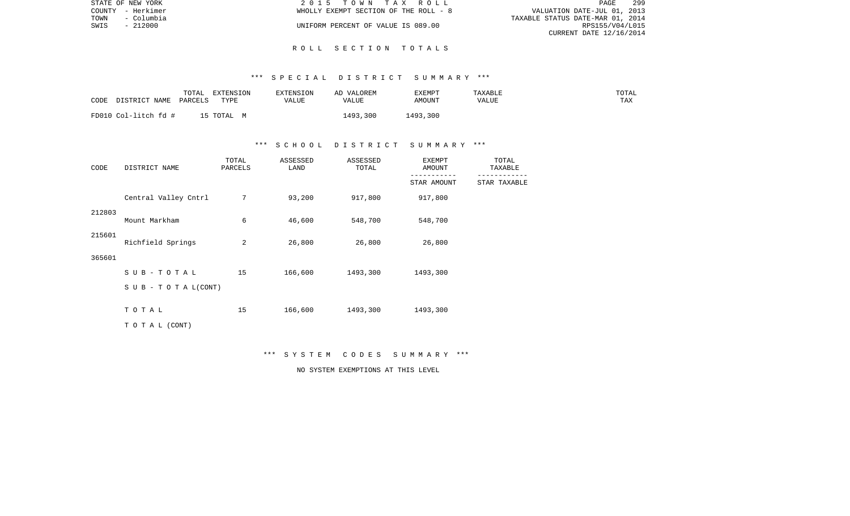| STATE OF NEW YORK  | 2015 TOWN TAX ROLL                    | 299<br>PAGE                      |
|--------------------|---------------------------------------|----------------------------------|
| COUNTY - Herkimer  | WHOLLY EXEMPT SECTION OF THE ROLL - 8 | VALUATION DATE-JUL 01, 2013      |
| TOWN<br>- Columbia |                                       | TAXABLE STATUS DATE-MAR 01, 2014 |
| SWIS<br>- 212000   | UNIFORM PERCENT OF VALUE IS 089.00    | RPS155/V04/L015                  |
|                    |                                       | CURRENT DATE 12/16/2014          |

### R O L L S E C T I O N T O T A L S

### \*\*\* S P E C I A L D I S T R I C T S U M M A R Y \*\*\*

| CODE                 | TOTAL   | EXTENSION  | <b>EXTENSION</b> | AD VALOREM | EXEMPT   | TAXABLE | TOTAL |
|----------------------|---------|------------|------------------|------------|----------|---------|-------|
| DISTRICT NAME        | PARCELS | TYPE       | VALUE            | VALUE      | AMOUNT   | VALUE   | TAX   |
| FD010 Col-litch fd # |         | 15 TOTAL M |                  | 1493,300   | 1493,300 |         |       |

# \*\*\* S C H O O L D I S T R I C T S U M M A R Y \*\*\*

| CODE   | DISTRICT NAME             | TOTAL<br>PARCELS | ASSESSED<br>LAND | ASSESSED<br>TOTAL | <b>EXEMPT</b><br>AMOUNT | TOTAL<br>TAXABLE |
|--------|---------------------------|------------------|------------------|-------------------|-------------------------|------------------|
|        |                           |                  |                  |                   | STAR AMOUNT             | STAR TAXABLE     |
|        | Central Valley Cntrl      | 7                | 93,200           | 917,800           | 917,800                 |                  |
| 212803 | Mount Markham             | 6                | 46,600           | 548,700           | 548,700                 |                  |
| 215601 | Richfield Springs         | 2                | 26,800           | 26,800            | 26,800                  |                  |
| 365601 |                           |                  |                  |                   |                         |                  |
|        | SUB-TOTAL                 | 15               | 166,600          | 1493,300          | 1493,300                |                  |
|        | S U B - T O T A $L(CONT)$ |                  |                  |                   |                         |                  |
|        | TOTAL                     | 15               | 166,600          | 1493,300          | 1493,300                |                  |
|        | TO TAL (CONT)             |                  |                  |                   |                         |                  |

\*\*\* S Y S T E M C O D E S S U M M A R Y \*\*\*

NO SYSTEM EXEMPTIONS AT THIS LEVEL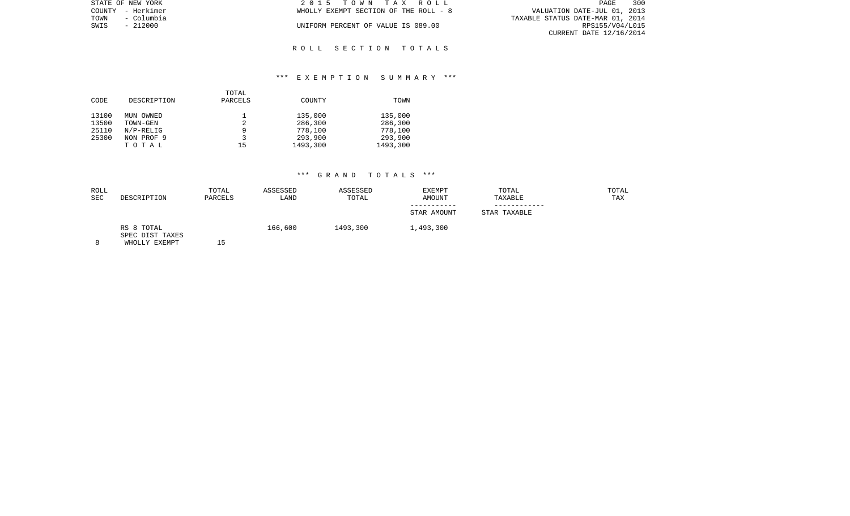| STATE OF NEW YORK  | 2015 TOWN TAX ROLL                    | 300<br><b>PAGE</b>               |
|--------------------|---------------------------------------|----------------------------------|
| COUNTY - Herkimer  | WHOLLY EXEMPT SECTION OF THE ROLL - 8 | VALUATION DATE-JUL 01, 2013      |
| TOWN<br>– Columbia |                                       | TAXABLE STATUS DATE-MAR 01, 2014 |
| $-212000$<br>SWIS  | UNIFORM PERCENT OF VALUE IS 089.00    | RPS155/V04/L015                  |
|                    |                                       | CURRENT DATE 12/16/2014          |

### R O L L S E C T I O N T O T A L S

### \*\*\* E X E M P T I O N S U M M A R Y \*\*\*

| CODE  | DESCRIPTION | TOTAL<br>PARCELS | COUNTY   | TOWN     |
|-------|-------------|------------------|----------|----------|
| 13100 | MUN OWNED   |                  | 135,000  | 135,000  |
| 13500 | TOWN-GEN    |                  | 286,300  | 286,300  |
| 25110 | $N/P-RELLG$ |                  | 778,100  | 778,100  |
| 25300 | NON PROF 9  |                  | 293,900  | 293,900  |
|       | TOTAL       | 15               | 1493,300 | 1493,300 |

## \*\*\* G R A N D T O T A L S \*\*\*

| ROLL<br><b>SEC</b> | DESCRIPTION                                    | TOTAL<br>PARCELS | ASSESSED<br>LAND | ASSESSED<br>TOTAL | EXEMPT<br><b>AMOUNT</b> | TOTAL<br>TAXABLE | TOTAL<br>TAX |
|--------------------|------------------------------------------------|------------------|------------------|-------------------|-------------------------|------------------|--------------|
|                    |                                                |                  |                  |                   | STAR AMOUNT             | STAR TAXABLE     |              |
|                    | RS 8 TOTAL<br>SPEC DIST TAXES<br>WHOLLY FYFMOT | ' ⊏              | 166,600          | 1493,300          | 1,493,300               |                  |              |

8 WHOLLY EXEMPT 15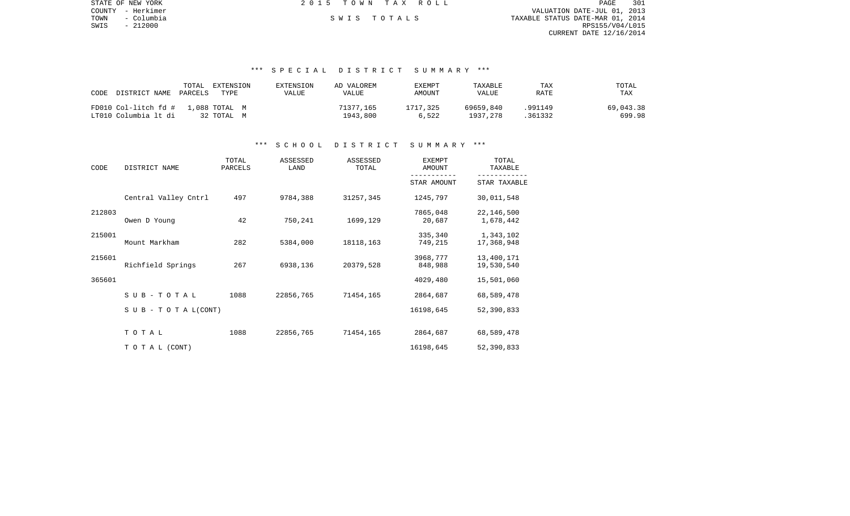| STATE OF NEW YORK  | 2015 TOWN TAX ROLL | 301<br>PAGE                      |
|--------------------|--------------------|----------------------------------|
| COUNTY - Herkimer  |                    | VALUATION DATE-JUL 01, 2013      |
| TOWN<br>- Columbia | SWIS TOTALS        | TAXABLE STATUS DATE-MAR 01, 2014 |
| SWIS<br>- 212000   |                    | RPS155/V04/L015                  |
|                    |                    | CURRENT DATE 12/16/2014          |
|                    |                    |                                  |
|                    |                    |                                  |

### \*\*\* S P E C I A L D I S T R I C T S U M M A R Y \*\*\*

| CODE<br>DISTRICT NAME PARCELS | TOTAL<br>EXTENSION<br>TYPE | EXTENSION<br>VALUE | AD VALOREM<br>VALUE | <b>EXEMPT</b><br>AMOUNT | TAXABLE<br>VALUE | TAX<br>RATE | TOTAL<br>TAX |
|-------------------------------|----------------------------|--------------------|---------------------|-------------------------|------------------|-------------|--------------|
| FD010 Col-litch fd #          | 1,088 TOTAL M              |                    | 71377,165           | 1717,325                | 69659,840        | .991149     | 69,043.38    |
| LT010 Columbia lt di          | 32 TOTAL M                 |                    | 1943.800            | 6,522                   | 1937, 278        | 361332      | 699.98       |

# \*\*\* S C H O O L D I S T R I C T S U M M A R Y \*\*\*

| CODE   | DISTRICT NAME        | TOTAL<br>PARCELS | ASSESSED<br>LAND | ASSESSED<br>TOTAL | <b>EXEMPT</b><br>AMOUNT | TOTAL<br>TAXABLE         |
|--------|----------------------|------------------|------------------|-------------------|-------------------------|--------------------------|
|        |                      |                  |                  |                   | STAR AMOUNT             | STAR TAXABLE             |
|        | Central Valley Cntrl | 497              | 9784,388         | 31257,345         | 1245,797                | 30,011,548               |
| 212803 | Owen D Young         | 42               | 750,241          | 1699,129          | 7865,048<br>20,687      | 22,146,500<br>1,678,442  |
| 215001 | Mount Markham        | 282              | 5384,000         | 18118,163         | 335,340<br>749,215      | 1,343,102<br>17,368,948  |
| 215601 | Richfield Springs    | 267              | 6938,136         | 20379,528         | 3968,777<br>848,988     | 13,400,171<br>19,530,540 |
| 365601 |                      |                  |                  |                   | 4029,480                | 15,501,060               |
|        | SUB-TOTAL            | 1088             | 22856,765        | 71454,165         | 2864,687                | 68,589,478               |
|        | SUB - TO TAL(CONT)   |                  |                  |                   | 16198,645               | 52,390,833               |
|        | TOTAL                | 1088             | 22856,765        | 71454,165         | 2864,687                | 68,589,478               |
|        | TO TAL (CONT)        |                  |                  |                   | 16198,645               | 52,390,833               |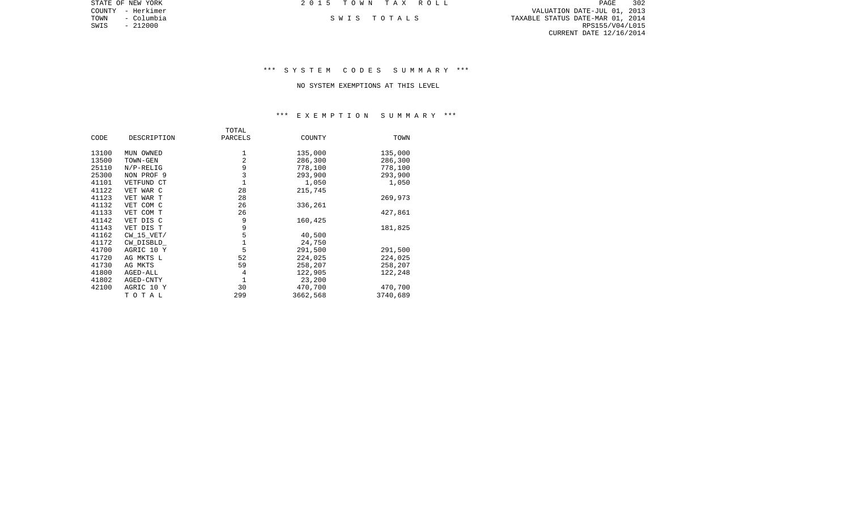COUNTY - Herkimer VALUATION DATE-JUL 01, 2013 TOWN - Columbia S W I S T O T A L S TAXABLE STATUS DATE-MAR 01, 2014 SWIS - 212000<br>SWIS - 212000<br>SWIS - 212000 RPS155/V04/L015 CURRENT DATE 12/16/2014

STATE OF NEW YORK **2015 TOWN TAX ROLL** 

\*\*\* S Y S T E M C O D E S S U M M A R Y \*\*\*

NO SYSTEM EXEMPTIONS AT THIS LEVEL

# \*\*\* E X E M P T I O N S U M M A R Y \*\*\*

|       |                | TOTAL       |          |          |
|-------|----------------|-------------|----------|----------|
| CODE  | DESCRIPTION    | PARCELS     | COUNTY   | TOWN     |
| 13100 | MUN OWNED      | 1           | 135,000  | 135,000  |
| 13500 | TOWN-GEN       | 2           | 286,300  | 286,300  |
| 25110 | $N/P-RELLIG$   | 9           | 778,100  | 778,100  |
| 25300 | NON PROF 9     | 3           | 293,900  | 293,900  |
| 41101 | VETFUND CT     | 1           | 1,050    | 1,050    |
| 41122 | VET WAR C      | 28          | 215,745  |          |
| 41123 | VET WAR T      | 28          |          | 269,973  |
| 41132 | VET COM C      | 26          | 336,261  |          |
| 41133 | VET COM T      | 26          |          | 427,861  |
| 41142 | VET DIS C      | 9           | 160,425  |          |
| 41143 | VET DIS T      | 9           |          | 181,825  |
| 41162 | $CW$ 15 $VET/$ | $\mathsf S$ | 40,500   |          |
| 41172 | CW DISBLD      | $1\,$       | 24,750   |          |
| 41700 | AGRIC 10 Y     | 5           | 291,500  | 291,500  |
| 41720 | AG MKTS L      | 52          | 224,025  | 224,025  |
| 41730 | AG MKTS        | 59          | 258,207  | 258,207  |
| 41800 | AGED-ALL       | 4           | 122,905  | 122,248  |
| 41802 | AGED-CNTY      | 1           | 23,200   |          |
| 42100 | AGRIC 10 Y     | 30          | 470,700  | 470,700  |
|       | TOTAL          | 299         | 3662,568 | 3740,689 |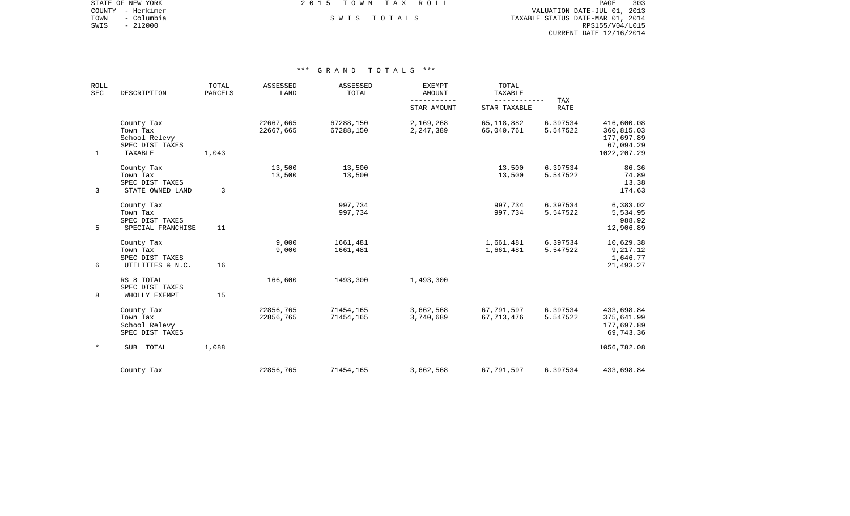COUNTY - Herkimer VALUATION DATE-JUL 01, 2013 TOWN - Columbia S W I S T O T A L S TAXABLE STATUS DATE-MAR 01, 2014 SWIS - 212000<br>SWIS - 212000<br>SWIS - 212000 RPS155/V04/L015 CURRENT DATE 12/16/2014

STATE OF NEW YORK **EXECUTE:** A G L L 2 0 1 5 T O W N T A X R O L L

| <b>ROLL</b><br>SEC | DESCRIPTION                                                           | TOTAL<br>PARCELS | ASSESSED<br>LAND       | ASSESSED<br>TOTAL      | <b>EXEMPT</b><br><b>AMOUNT</b> | TOTAL<br>TAXABLE<br>--------- | TAX                  |                                                                     |
|--------------------|-----------------------------------------------------------------------|------------------|------------------------|------------------------|--------------------------------|-------------------------------|----------------------|---------------------------------------------------------------------|
|                    |                                                                       |                  |                        |                        | STAR AMOUNT                    | STAR TAXABLE                  | <b>RATE</b>          |                                                                     |
| $\mathbf 1$        | County Tax<br>Town Tax<br>School Relevy<br>SPEC DIST TAXES<br>TAXABLE | 1,043            | 22667,665<br>22667,665 | 67288,150<br>67288,150 | 2,169,268<br>2,247,389         | 65, 118, 882<br>65,040,761    | 6.397534<br>5.547522 | 416,600.08<br>360,815.03<br>177,697.89<br>67,094.29<br>1022, 207.29 |
| 3                  | County Tax<br>Town Tax<br>SPEC DIST TAXES<br>STATE OWNED LAND         | 3                | 13,500<br>13,500       | 13,500<br>13,500       |                                | 13,500<br>13,500              | 6.397534<br>5.547522 | 86.36<br>74.89<br>13.38<br>174.63                                   |
| 5                  | County Tax<br>Town Tax<br>SPEC DIST TAXES<br>SPECIAL FRANCHISE        | 11               |                        | 997,734<br>997,734     |                                | 997,734<br>997,734            | 6.397534<br>5.547522 | 6,383.02<br>5,534.95<br>988.92<br>12,906.89                         |
| 6                  | County Tax<br>Town Tax<br>SPEC DIST TAXES<br>UTILITIES & N.C.         | 16               | 9,000<br>9,000         | 1661,481<br>1661,481   |                                | 1,661,481<br>1,661,481        | 6.397534<br>5.547522 | 10,629.38<br>9,217.12<br>1,646.77<br>21,493.27                      |
| 8                  | RS 8 TOTAL<br>SPEC DIST TAXES<br>WHOLLY EXEMPT                        | 15               | 166,600                | 1493,300               | 1,493,300                      |                               |                      |                                                                     |
|                    | County Tax<br>Town Tax<br>School Relevy<br>SPEC DIST TAXES            |                  | 22856,765<br>22856,765 | 71454,165<br>71454,165 | 3,662,568<br>3,740,689         | 67,791,597<br>67, 713, 476    | 6.397534<br>5.547522 | 433,698.84<br>375,641.99<br>177,697.89<br>69,743.36                 |
| $^\star$           | SUB TOTAL                                                             | 1,088            |                        |                        |                                |                               |                      | 1056,782.08                                                         |
|                    | County Tax                                                            |                  | 22856,765              | 71454,165              | 3,662,568                      | 67,791,597                    | 6.397534             | 433,698.84                                                          |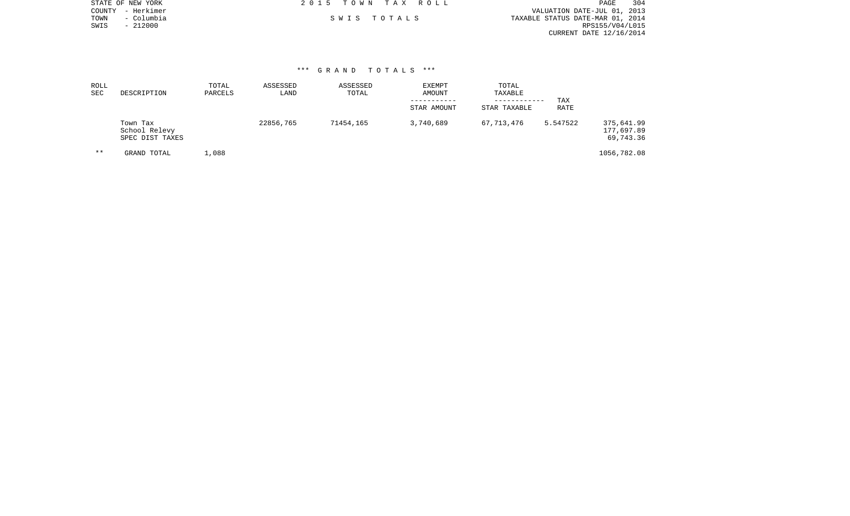|      | STATE OF NEW YORK | 2015 TOWN TAX ROLL |             | PAGE                             | 304 |
|------|-------------------|--------------------|-------------|----------------------------------|-----|
|      | COUNTY - Herkimer |                    |             | VALUATION DATE-JUL 01, 2013      |     |
| TOWN | – Columbia        |                    | SWIS TOTALS | TAXABLE STATUS DATE-MAR 01, 2014 |     |
| SWIS | $-212000$         |                    |             | RPS155/V04/L015                  |     |
|      |                   |                    |             | CURRENT DATE 12/16/2014          |     |
|      |                   |                    |             |                                  |     |

| ROLL<br>SEC | DESCRIPTION                                  | TOTAL<br>PARCELS | ASSESSED<br>LAND | ASSESSED<br>TOTAL | <b>EXEMPT</b><br><b>AMOUNT</b><br>STAR AMOUNT | TOTAL<br>TAXABLE<br>------------<br>STAR TAXABLE | TAX<br><b>RATE</b> |                                       |
|-------------|----------------------------------------------|------------------|------------------|-------------------|-----------------------------------------------|--------------------------------------------------|--------------------|---------------------------------------|
|             | Town Tax<br>School Relevy<br>SPEC DIST TAXES |                  | 22856,765        | 71454,165         | 3,740,689                                     | 67,713,476                                       | 5.547522           | 375,641.99<br>177,697.89<br>69,743.36 |
| $* *$       | GRAND TOTAL                                  | L,088            |                  |                   |                                               |                                                  |                    | 1056,782.08                           |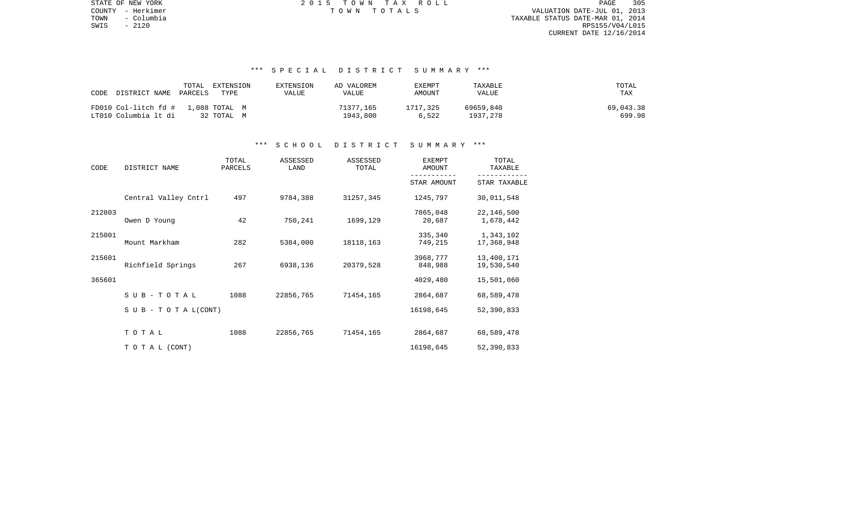TOWN - Columbia TAXABLE STATUS DATE-MAR 01, 2014 SWIS - 2120<br>SWIS - 2120<br>SWIS - 2120<br>RPS155/V04/L015 CURRENT DATE 12/16/2014

STATE OF NEW YORK 2 0 1 5 T O W N T A X R O L L PAGE 305COUNTY - Herkimer T O W N T O T A L S VALUATION DATE-JUL 01, 2013

# \*\*\* S P E C I A L D I S T R I C T S U M M A R Y \*\*\*

| DISTRICT NAME PARCELS<br>CODE | TOTAL<br>EXTENSION<br>TYPE | EXTENSION<br>VALUE | AD VALOREM<br><b>VALUE</b> | EXEMPT<br>AMOUNT | TAXABLE<br>VALUE | TOTAL<br>TAX |
|-------------------------------|----------------------------|--------------------|----------------------------|------------------|------------------|--------------|
| FD010 Col-litch fd #          | 1,088 TOTAL M              |                    | 71377,165                  | 1717,325         | 69659,840        | 69,043.38    |
| LT010 Columbia lt di          | 32 ТОТАL М                 |                    | 1943.800                   | 6,522            | 1937,278         | 699.98       |

### \*\*\* S C H O O L D I S T R I C T S U M M A R Y \*\*\*

| CODE   | DISTRICT NAME                    | TOTAL<br>PARCELS | ASSESSED<br>LAND | ASSESSED<br>TOTAL | <b>EXEMPT</b><br>AMOUNT | TOTAL<br>TAXABLE         |
|--------|----------------------------------|------------------|------------------|-------------------|-------------------------|--------------------------|
|        |                                  |                  |                  |                   | STAR AMOUNT             | STAR TAXABLE             |
|        | Central Valley Cntrl             | 497              | 9784,388         | 31257,345         | 1245,797                | 30,011,548               |
| 212803 | Owen D Young                     | 42               | 750,241          | 1699,129          | 7865,048<br>20,687      | 22,146,500<br>1,678,442  |
| 215001 | Mount Markham                    | 282              | 5384,000         | 18118,163         | 335,340<br>749,215      | 1,343,102<br>17,368,948  |
| 215601 | Richfield Springs                | 267              | 6938,136         | 20379,528         | 3968,777<br>848,988     | 13,400,171<br>19,530,540 |
| 365601 |                                  |                  |                  |                   | 4029,480                | 15,501,060               |
|        | SUB-TOTAL                        | 1088             | 22856,765        | 71454,165         | 2864,687                | 68,589,478               |
|        | $S \cup B - T \cup T A L (CONT)$ |                  |                  |                   | 16198,645               | 52,390,833               |
|        | TOTAL                            | 1088             | 22856,765        | 71454,165         | 2864,687                | 68,589,478               |
|        | TO TAL (CONT)                    |                  |                  |                   | 16198,645               | 52,390,833               |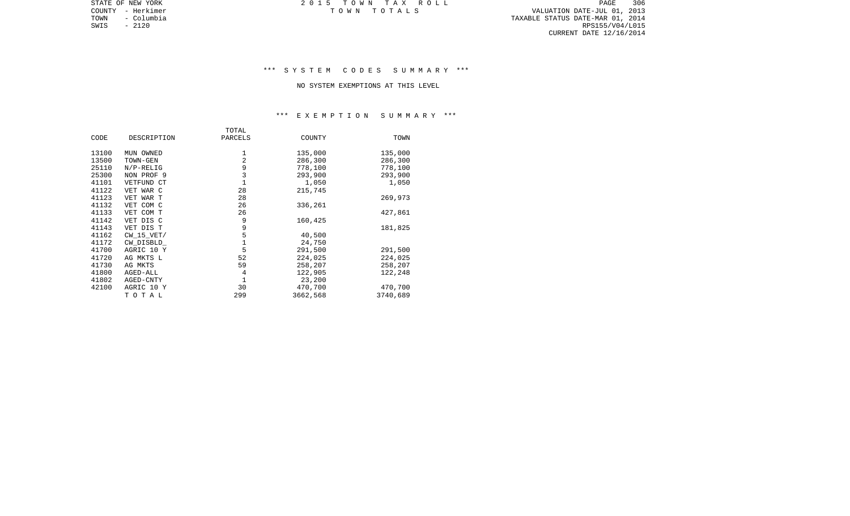PAGE 306 TOWN - Columbia TAXABLE STATUS DATE-MAR 01, 2014 SWIS - 2120 RPS155/V04/L015 CURRENT DATE 12/16/2014

STATE OF NEW YORK 2 0 1 5 T O W N T A X R O L L PAGE 306COUNTY - Herkimer T O W N T O T A L S VALUATION DATE-JUL 01, 2013

# \*\*\* S Y S T E M C O D E S S U M M A R Y \*\*\*

#### NO SYSTEM EXEMPTIONS AT THIS LEVEL

# \*\*\* E X E M P T I O N S U M M A R Y \*\*\*

|       |              | TOTAL       |          |          |
|-------|--------------|-------------|----------|----------|
| CODE  | DESCRIPTION  | PARCELS     | COUNTY   | TOWN     |
| 13100 | MUN OWNED    | 1           | 135,000  | 135,000  |
| 13500 | TOWN-GEN     | 2           | 286,300  | 286,300  |
| 25110 | $N/P-RELIG$  | 9           | 778,100  | 778,100  |
| 25300 | NON PROF 9   | 3           | 293,900  | 293,900  |
| 41101 | VETFUND CT   | 1           | 1,050    | 1,050    |
| 41122 | VET WAR C    | 28          | 215,745  |          |
| 41123 | VET WAR T    | 28          |          | 269,973  |
| 41132 | VET COM C    | 26          | 336,261  |          |
| 41133 | VET COM T    | 26          |          | 427,861  |
| 41142 | VET DIS C    | 9           | 160,425  |          |
| 41143 | VET DIS T    | 9           |          | 181,825  |
| 41162 | $CW_15_VET/$ | 5           | 40,500   |          |
| 41172 | CW DISBLD    | 1           | 24,750   |          |
| 41700 | AGRIC 10 Y   | 5           | 291,500  | 291,500  |
| 41720 | AG MKTS L    | 52          | 224,025  | 224,025  |
| 41730 | AG MKTS      | 59          | 258,207  | 258,207  |
| 41800 | AGED-ALL     | 4           | 122,905  | 122,248  |
| 41802 | AGED-CNTY    | $\mathbf 1$ | 23,200   |          |
| 42100 | AGRIC 10 Y   | 30          | 470,700  | 470,700  |
|       | TOTAL        | 299         | 3662,568 | 3740,689 |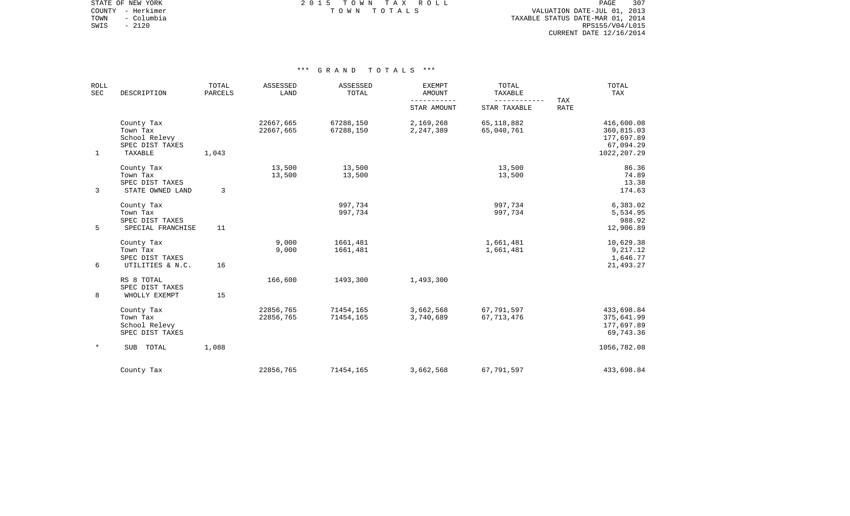STATE OF NEW YORK **EXECUTE:**  $2015$  TOWN TAX ROLL COUNTY - Herkimer T O W N T O T A L S VALUATION DATE-JUL 01, 2013

TOWN - Columbia TAXABLE STATUS DATE-MAR 01, 2014 SWIS - 2120<br>SWIS - 2120<br>SWIS - 2120<br>RPS155/V04/L015 CURRENT DATE 12/16/2014

| <b>ROLL</b><br><b>SEC</b> | DESCRIPTION                                                           | TOTAL<br>PARCELS | ASSESSED<br>LAND       | ASSESSED<br>TOTAL      | <b>EXEMPT</b><br><b>AMOUNT</b><br>$- - - -$<br>STAR AMOUNT | TOTAL<br>TAXABLE<br>STAR TAXABLE | TAX<br><b>RATE</b> | TOTAL<br>TAX                                                        |
|---------------------------|-----------------------------------------------------------------------|------------------|------------------------|------------------------|------------------------------------------------------------|----------------------------------|--------------------|---------------------------------------------------------------------|
| $\mathbf{1}$              | County Tax<br>Town Tax<br>School Relevy<br>SPEC DIST TAXES<br>TAXABLE | 1,043            | 22667,665<br>22667,665 | 67288,150<br>67288,150 | 2,169,268<br>2,247,389                                     | 65, 118, 882<br>65,040,761       |                    | 416,600.08<br>360,815.03<br>177,697.89<br>67,094.29<br>1022, 207.29 |
| 3                         | County Tax<br>Town Tax<br>SPEC DIST TAXES<br>STATE OWNED LAND         | 3                | 13,500<br>13,500       | 13,500<br>13,500       |                                                            | 13,500<br>13,500                 |                    | 86.36<br>74.89<br>13.38<br>174.63                                   |
| 5                         | County Tax<br>Town Tax<br>SPEC DIST TAXES<br>SPECIAL FRANCHISE        | 11               |                        | 997,734<br>997,734     |                                                            | 997,734<br>997,734               |                    | 6,383.02<br>5,534.95<br>988.92<br>12,906.89                         |
| 6                         | County Tax<br>Town Tax<br>SPEC DIST TAXES<br>UTILITIES & N.C.         | 16               | 9,000<br>9,000         | 1661,481<br>1661,481   |                                                            | 1,661,481<br>1,661,481           |                    | 10,629.38<br>9,217.12<br>1,646.77<br>21,493.27                      |
| 8                         | RS 8 TOTAL<br>SPEC DIST TAXES<br>WHOLLY EXEMPT                        | 15               | 166,600                | 1493,300               | 1,493,300                                                  |                                  |                    |                                                                     |
|                           | County Tax<br>Town Tax<br>School Relevy<br>SPEC DIST TAXES            |                  | 22856,765<br>22856,765 | 71454,165<br>71454,165 | 3,662,568<br>3,740,689                                     | 67,791,597<br>67, 713, 476       |                    | 433,698.84<br>375,641.99<br>177,697.89<br>69,743.36                 |
| $\star$                   | TOTAL<br><b>SUB</b>                                                   | 1,088            |                        |                        |                                                            |                                  |                    | 1056,782.08                                                         |
|                           | County Tax                                                            |                  | 22856,765              | 71454,165              | 3,662,568                                                  | 67,791,597                       |                    | 433,698.84                                                          |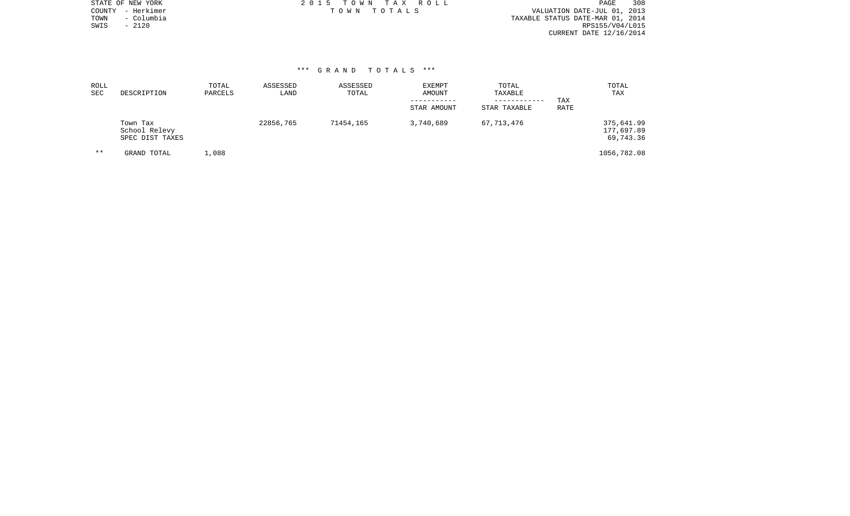| STATE OF NEW YORK  | 2015 TOWN TAX ROLL | 308<br>PAGE                      |
|--------------------|--------------------|----------------------------------|
| COUNTY - Herkimer  | TOWN TOTALS        | VALUATION DATE-JUL 01, 2013      |
| TOWN<br>– Columbia |                    | TAXABLE STATUS DATE-MAR 01, 2014 |
| SWIS<br>$-2120$    |                    | RPS155/V04/L015                  |
|                    |                    | CURRENT DATE 12/16/2014          |
|                    |                    |                                  |
|                    |                    |                                  |

| ROLL<br>SEC | DESCRIPTION                                  | TOTAL<br>PARCELS | ASSESSED<br>LAND | ASSESSED<br>TOTAL | EXEMPT<br>AMOUNT<br>STAR AMOUNT | TOTAL<br>TAXABLE<br>------------<br>STAR TAXABLE | TAX<br>RATE | TOTAL<br>TAX                          |
|-------------|----------------------------------------------|------------------|------------------|-------------------|---------------------------------|--------------------------------------------------|-------------|---------------------------------------|
|             | Town Tax<br>School Relevy<br>SPEC DIST TAXES |                  | 22856,765        | 71454,165         | 3,740,689                       | 67,713,476                                       |             | 375,641.99<br>177,697.89<br>69,743.36 |
| $* *$       | GRAND TOTAL                                  | ,088             |                  |                   |                                 |                                                  |             | 1056,782.08                           |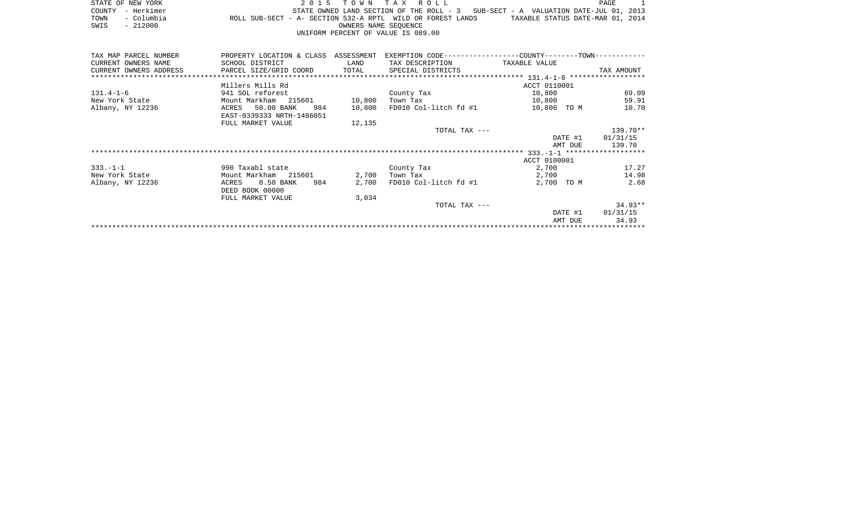|      | STATE OF NEW YORK |                                                            | 2015 TOWN TAX ROLL                 |                      |  |  |  |                                                                                   | PAGE |  |
|------|-------------------|------------------------------------------------------------|------------------------------------|----------------------|--|--|--|-----------------------------------------------------------------------------------|------|--|
|      | COUNTY - Herkimer |                                                            |                                    |                      |  |  |  | STATE OWNED LAND SECTION OF THE ROLL - 3 SUB-SECT - A VALUATION DATE-JUL 01, 2013 |      |  |
| TOWN | - Columbia        | ROLL SUB-SECT - A- SECTION 532-A RPTL WILD OR FOREST LANDS |                                    |                      |  |  |  | TAXABLE STATUS DATE-MAR 01, 2014                                                  |      |  |
| SWIS | - 212000          |                                                            |                                    | OWNERS NAME SEOUENCE |  |  |  |                                                                                   |      |  |
|      |                   |                                                            | UNIFORM PERCENT OF VALUE IS 089.00 |                      |  |  |  |                                                                                   |      |  |

| TAX MAP PARCEL NUMBER  | PROPERTY LOCATION & CLASS ASSESSMENT           |                        |                               | EXEMPTION CODE-----------------COUNTY-------TOWN----------- |                  |
|------------------------|------------------------------------------------|------------------------|-------------------------------|-------------------------------------------------------------|------------------|
| CURRENT OWNERS NAME    | SCHOOL DISTRICT                                | <b>Example 12</b> LAND | TAX DESCRIPTION TAXABLE VALUE |                                                             |                  |
| CURRENT OWNERS ADDRESS | PARCEL SIZE/GRID COORD TOTAL SPECIAL DISTRICTS |                        |                               |                                                             | TAX AMOUNT       |
|                        |                                                |                        |                               |                                                             |                  |
|                        | Millers Mills Rd                               |                        |                               | ACCT 0110001                                                |                  |
| $131.4 - 1 - 6$        | 941 SOL reforest                               |                        | County Tax                    | 10,800                                                      | 69.09            |
| New York State         | Mount Markham 215601 10,800                    |                        | Town Tax                      | 10,800                                                      | 59.91            |
| Albany, NY 12236       | ACRES 50.00 BANK<br>984                        | 10,800                 | FD010 Col-litch fd #1         | 10,800 TO M                                                 | 10.70            |
|                        | EAST-0339333 NRTH-1486051                      |                        |                               |                                                             |                  |
|                        | FULL MARKET VALUE                              | 12,135                 |                               |                                                             |                  |
|                        |                                                |                        | TOTAL TAX ---                 |                                                             | 139.70**         |
|                        |                                                |                        |                               |                                                             | DATE #1 01/31/15 |
|                        |                                                |                        |                               | AMT DUE                                                     | 139.70           |
|                        |                                                |                        |                               |                                                             |                  |
|                        |                                                |                        |                               | ACCT 0100001                                                |                  |
| $333. - 1 - 1$         | 990 Taxabl state                               |                        | County Tax                    | 2,700                                                       | 17.27            |
| New York State         | Mount Markham 215601                           | 2,700                  | Town Tax                      | 2,700                                                       | 14.98            |
| Albany, NY 12236       | 0.50 BANK<br>984<br>ACRES                      | 2,700                  | FD010 Col-litch fd #1         | 2,700 TO M                                                  | 2.68             |
|                        | DEED BOOK 00000                                |                        |                               |                                                             |                  |
|                        | FULL MARKET VALUE                              | 3,034                  |                               |                                                             |                  |
|                        |                                                |                        | TOTAL TAX ---                 |                                                             | $34.93**$        |
|                        |                                                |                        |                               |                                                             | DATE #1 01/31/15 |
|                        |                                                |                        |                               | AMT DUE                                                     | 34.93            |
|                        |                                                |                        |                               |                                                             |                  |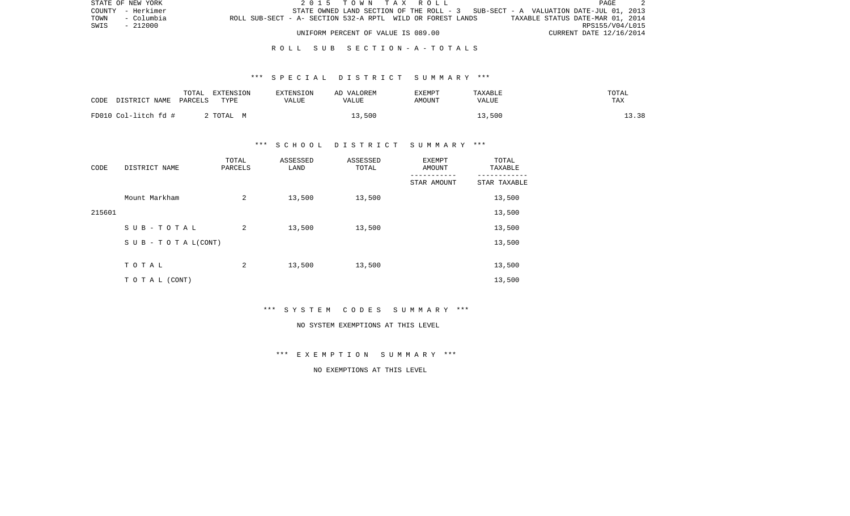|      | STATE OF NEW YORK |                                                            |  | 2015 TOWN TAX ROLL                 |  |  |                                                                                   |                                  |                         | PAGE            |  |
|------|-------------------|------------------------------------------------------------|--|------------------------------------|--|--|-----------------------------------------------------------------------------------|----------------------------------|-------------------------|-----------------|--|
|      | COUNTY - Herkimer |                                                            |  |                                    |  |  | STATE OWNED LAND SECTION OF THE ROLL - 3 SUB-SECT - A VALUATION DATE-JUL 01, 2013 |                                  |                         |                 |  |
| TOWN | - Columbia        | ROLL SUB-SECT - A- SECTION 532-A RPTL WILD OR FOREST LANDS |  |                                    |  |  |                                                                                   | TAXABLE STATUS DATE-MAR 01, 2014 |                         |                 |  |
|      | SWIS - 212000     |                                                            |  |                                    |  |  |                                                                                   |                                  |                         | RPS155/V04/L015 |  |
|      |                   |                                                            |  | UNIFORM PERCENT OF VALUE IS 089.00 |  |  |                                                                                   |                                  | CURRENT DATE 12/16/2014 |                 |  |

### R O L L S U B S E C T I O N - A - T O T A L S

### \*\*\* S P E C I A L D I S T R I C T S U M M A R Y \*\*\*

| CODE<br>DISTRICT NAME | TOTAL<br>EXTENSION<br>TYPE<br>PARCELS | <b>EXTENSION</b><br>VALUE | AD VALOREM<br>VALUE | EXEMPT<br>AMOUNT | TAXABLE<br>VALUE | TOTAL<br>TAX |
|-----------------------|---------------------------------------|---------------------------|---------------------|------------------|------------------|--------------|
| FD010 Col-litch fd #  | 2 TOTAL M                             |                           | 13,500              |                  | 13,500           | 13.38        |

# \*\*\* S C H O O L D I S T R I C T S U M M A R Y \*\*\*

| CODE   | DISTRICT NAME                    | TOTAL<br>PARCELS | ASSESSED<br>LAND | ASSESSED<br>TOTAL | EXEMPT<br>AMOUNT | TOTAL<br>TAXABLE |
|--------|----------------------------------|------------------|------------------|-------------------|------------------|------------------|
|        |                                  |                  |                  |                   | STAR AMOUNT      | STAR TAXABLE     |
|        | Mount Markham                    | 2                | 13,500           | 13,500            |                  | 13,500           |
| 215601 |                                  |                  |                  |                   |                  | 13,500           |
|        | SUB-TOTAL                        | 2                | 13,500           | 13,500            |                  | 13,500           |
|        | $S \cup B - T \cup T A L (CONT)$ |                  |                  |                   |                  | 13,500           |
|        |                                  |                  |                  |                   |                  |                  |
|        | TOTAL                            | 2                | 13,500           | 13,500            |                  | 13,500           |
|        | T O T A L (CONT)                 |                  |                  |                   |                  | 13,500           |

\*\*\* S Y S T E M C O D E S S U M M A R Y \*\*\*

#### NO SYSTEM EXEMPTIONS AT THIS LEVEL

\*\*\* E X E M P T I O N S U M M A R Y \*\*\*

NO EXEMPTIONS AT THIS LEVEL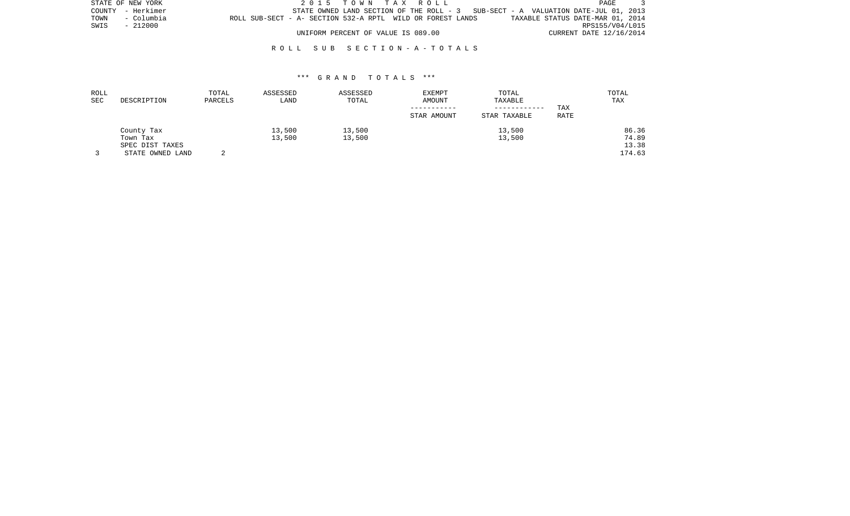|      | STATE OF NEW YORK |                                                            |  | 2015 TOWN TAX ROLL                 |  |  |                                                                                   |  |                                  | PAGE |  |
|------|-------------------|------------------------------------------------------------|--|------------------------------------|--|--|-----------------------------------------------------------------------------------|--|----------------------------------|------|--|
|      | COUNTY - Herkimer |                                                            |  |                                    |  |  | STATE OWNED LAND SECTION OF THE ROLL - 3 SUB-SECT - A VALUATION DATE-JUL 01, 2013 |  |                                  |      |  |
| TOWN | - Columbia        | ROLL SUB-SECT - A- SECTION 532-A RPTL WILD OR FOREST LANDS |  |                                    |  |  |                                                                                   |  | TAXABLE STATUS DATE-MAR 01, 2014 |      |  |
| SWIS | - 212000          |                                                            |  |                                    |  |  |                                                                                   |  | RPS155/V04/L015                  |      |  |
|      |                   |                                                            |  | UNIFORM PERCENT OF VALUE IS 089.00 |  |  |                                                                                   |  | CURRENT DATE 12/16/2014          |      |  |

# R O L L S U B S E C T I O N - A - T O T A L S

| ROLL |                  | TOTAL   | ASSESSED | ASSESSED | <b>EXEMPT</b> | TOTAL        |      | TOTAL  |
|------|------------------|---------|----------|----------|---------------|--------------|------|--------|
| SEC  | DESCRIPTION      | PARCELS | LAND     | TOTAL    | AMOUNT        | TAXABLE      |      | TAX    |
|      |                  |         |          |          |               | ------------ | TAX  |        |
|      |                  |         |          |          | STAR AMOUNT   | STAR TAXABLE | RATE |        |
|      | County Tax       |         | 13,500   | 13,500   |               | 13,500       |      | 86.36  |
|      | Town Tax         |         | 13,500   | 13,500   |               | 13,500       |      | 74.89  |
|      | SPEC DIST TAXES  |         |          |          |               |              |      | 13.38  |
|      | STATE OWNED LAND |         |          |          |               |              |      | 174.63 |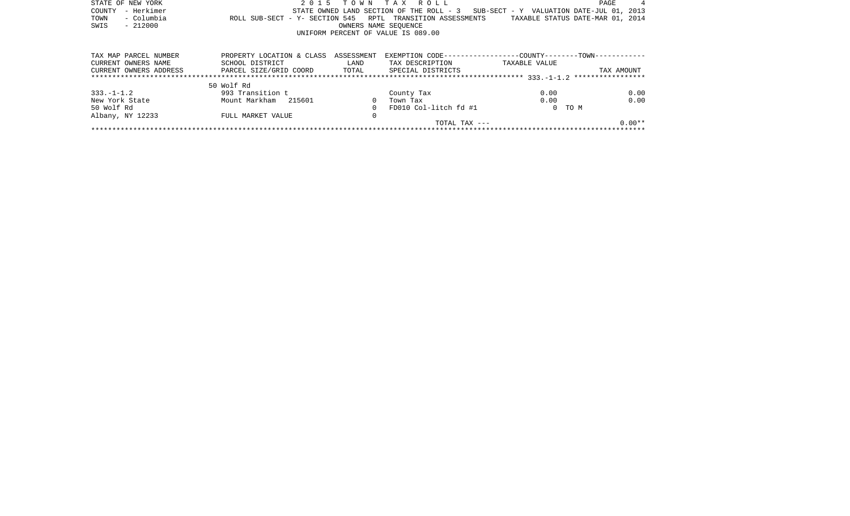| STATE OF NEW YORK      | 2 0 1 5                                                    | T O W N              | TAX ROLL                                                     |                                          | PAGE                             |
|------------------------|------------------------------------------------------------|----------------------|--------------------------------------------------------------|------------------------------------------|----------------------------------|
| - Herkimer<br>COUNTY   |                                                            |                      | STATE OWNED LAND SECTION OF THE ROLL - 3                     | SUB-SECT - Y VALUATION DATE-JUL 01, 2013 |                                  |
| - Columbia<br>TOWN     | ROLL SUB-SECT - Y- SECTION 545 RPTL TRANSITION ASSESSMENTS |                      |                                                              |                                          | TAXABLE STATUS DATE-MAR 01, 2014 |
| $-212000$<br>SWIS      |                                                            | OWNERS NAME SEOUENCE |                                                              |                                          |                                  |
|                        |                                                            |                      | UNIFORM PERCENT OF VALUE IS 089.00                           |                                          |                                  |
|                        |                                                            |                      |                                                              |                                          |                                  |
| TAX MAP PARCEL NUMBER  | PROPERTY LOCATION & CLASS                                  | ASSESSMENT           | EXEMPTION CODE-----------------COUNTY--------TOWN----------- |                                          |                                  |
| CURRENT OWNERS NAME    | SCHOOL DISTRICT                                            | LAND                 | TAX DESCRIPTION                                              | TAXABLE VALUE                            |                                  |
| CURRENT OWNERS ADDRESS | PARCEL SIZE/GRID COORD TOTAL SPECIAL DISTRICTS             |                      |                                                              |                                          | TAX AMOUNT                       |
|                        |                                                            |                      |                                                              |                                          |                                  |
|                        | 50 Wolf Rd                                                 |                      |                                                              |                                          |                                  |
| $333. - 1 - 1.2$       | 993 Transition t                                           |                      | County Tax                                                   | 0.00                                     | 0.00                             |
| New York State         | Mount Markham 215601                                       | $\Omega$             | Town Tax                                                     | 0.00                                     | 0.00                             |
| 50 Wolf Rd             |                                                            |                      | FD010 Col-litch fd #1                                        | 0 TO M                                   |                                  |
| Albany, NY 12233       | FULL MARKET VALUE                                          | 0                    |                                                              |                                          |                                  |
|                        |                                                            |                      | TOTAL TAX $---$                                              |                                          | $0.00**$                         |
|                        |                                                            |                      |                                                              |                                          |                                  |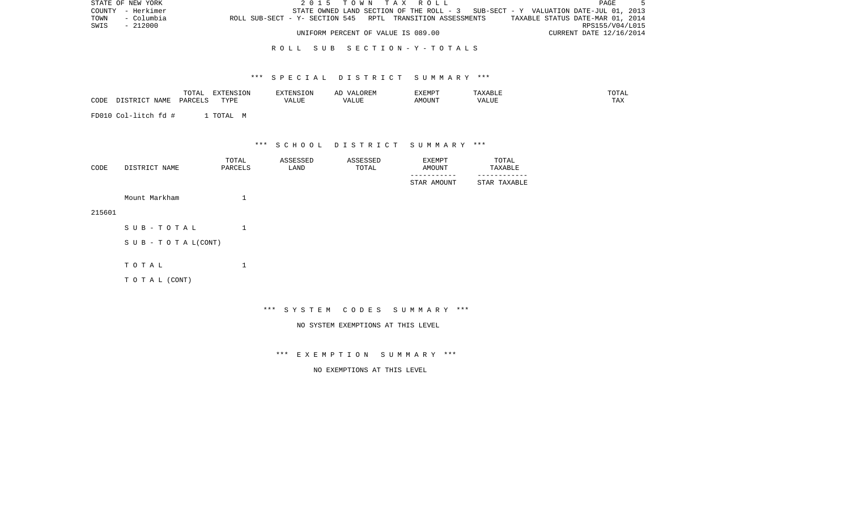| STATE OF NEW YORK | 2015 TOWN TAX ROLL                                                                             | PAGE                    |  |
|-------------------|------------------------------------------------------------------------------------------------|-------------------------|--|
| COUNTY - Herkimer | STATE OWNED LAND SECTION OF THE ROLL - 3 SUB-SECT - Y VALUATION DATE-JUL 01, 2013              |                         |  |
| TOWN - Columbia   | TAXABLE STATUS DATE-MAR 01, 2014<br>ROLL SUB-SECT - Y- SECTION 545 RPTL TRANSITION ASSESSMENTS |                         |  |
| SWIS<br>- 212000  |                                                                                                | RPS155/V04/L015         |  |
|                   | UNIFORM PERCENT OF VALUE IS 089.00                                                             | CURRENT DATE 12/16/2014 |  |

### R O L L S U B S E C T I O N - Y - T O T A L S

### \*\*\* S P E C I A L D I S T R I C T S U M M A R Y \*\*\*

|                          | $- - -$<br>$\overline{\phantom{a}}$<br>◡∸⊷                                                | $\sim$ $\sim$ $\sim$<br><b>DIVER</b><br>$\cdots$ | ENSION | $\lambda$<br>ᇊ | <b>YFMDT</b><br>. |              |                    |
|--------------------------|-------------------------------------------------------------------------------------------|--------------------------------------------------|--------|----------------|-------------------|--------------|--------------------|
| C <sub>CDE</sub><br>ישט- | $\overline{D}$ $\overline{D}$ $\overline{D}$ $\overline{D}$ $\overline{D}$ $\overline{D}$ | <b>TVDL</b><br>.                                 | VALUL  | / △            | <b>MOUNT</b>      | - ---<br>, Δ | $- - - -$<br>L H.A |

FD010 Col-litch fd # 1 TOTAL M

\*\*\* S C H O O L D I S T R I C T S U M M A R Y \*\*\*

| CODE | DISTRICT NAME | TOTAL<br>PARCELS | ASSESSED<br>LAND | ASSESSED<br>TOTAL | EXEMPT<br>AMOUNT | TOTAL<br>TAXABLE |
|------|---------------|------------------|------------------|-------------------|------------------|------------------|
|      |               |                  |                  |                   | STAR AMOUNT      | STAR TAXABLE     |

215601

| SUB-TOTAL                 |  |
|---------------------------|--|
| S U B - T O T A $L(CONT)$ |  |
| тотаь                     |  |

Mount Markham 1

T O T A L (CONT)

\*\*\* S Y S T E M C O D E S S U M M A R Y \*\*\*

NO SYSTEM EXEMPTIONS AT THIS LEVEL

\*\*\* E X E M P T I O N S U M M A R Y \*\*\*

NO EXEMPTIONS AT THIS LEVEL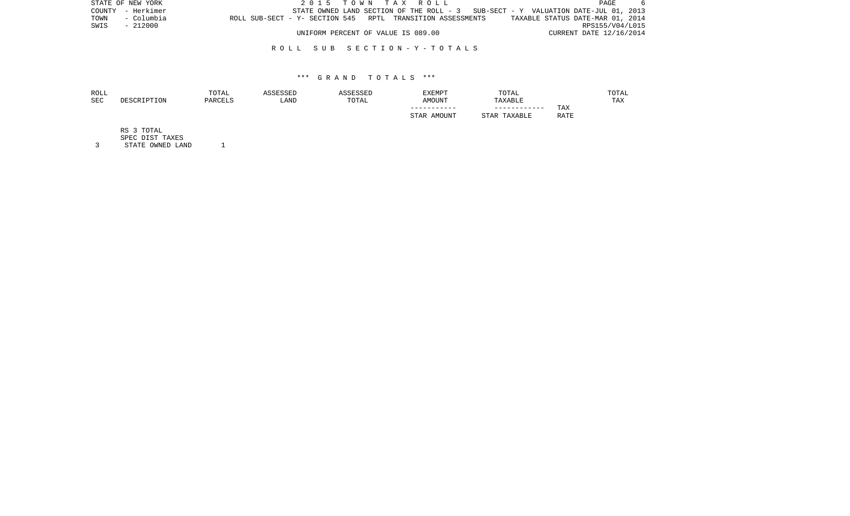|      | STATE OF NEW YORK | 2015 TOWN TAX ROLL                                                                | PAGE                             |  |
|------|-------------------|-----------------------------------------------------------------------------------|----------------------------------|--|
|      | COUNTY - Herkimer | STATE OWNED LAND SECTION OF THE ROLL - 3 SUB-SECT - Y VALUATION DATE-JUL 01, 2013 |                                  |  |
| TOWN | - Columbia        | ROLL SUB-SECT - Y- SECTION 545 RPTL TRANSITION ASSESSMENTS                        | TAXABLE STATUS DATE-MAR 01, 2014 |  |
|      | SWIS - 212000     |                                                                                   | RPS155/V04/L015                  |  |
|      |                   | UNIFORM PERCENT OF VALUE IS 089.00                                                | CURRENT DATE 12/16/2014          |  |

### R O L L S U B S E C T I O N - Y - T O T A L S

### \*\*\* G R A N D T O T A L S \*\*\*

| ROLL |             | TOTAL   | ASSESSED | <b>SSESSED</b> | <b>EXEMPT</b>  | TOTAL           |      | TOTAL |
|------|-------------|---------|----------|----------------|----------------|-----------------|------|-------|
| SEC  | DESCRIPTION | PARCELS | LAND     | TOTAL          | <b>AMOUNT</b>  | TAXABLE         |      | TAX   |
|      |             |         |          |                | -----------    | ------------    | TAX  |       |
|      |             |         |          |                | AMOUNT<br>STAR | TAXABLE<br>STAR | RATE |       |
|      |             |         |          |                |                |                 |      |       |

RS 3 TOTAL

SPEC DIST TAXES

3 STATE OWNED LAND 1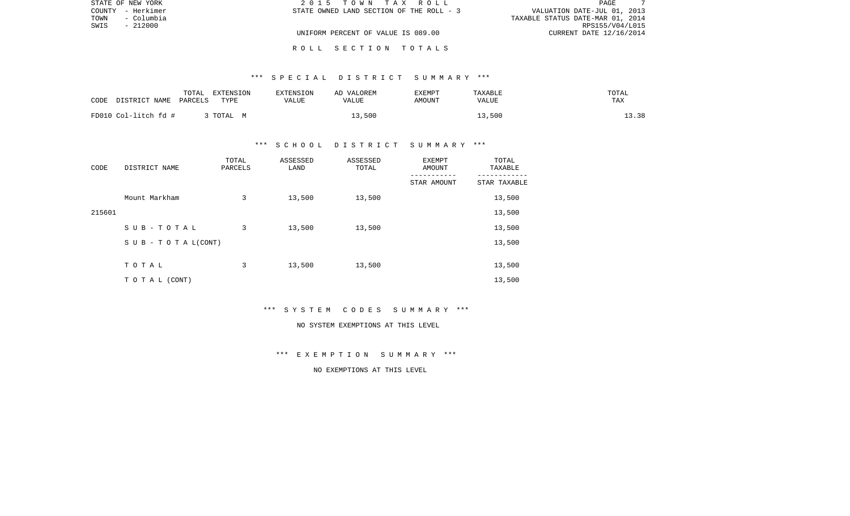| STATE OF NEW YORK  | 2015 TOWN TAX ROLL                       | PAGE                             |
|--------------------|------------------------------------------|----------------------------------|
| COUNTY - Herkimer  | STATE OWNED LAND SECTION OF THE ROLL - 3 | VALUATION DATE-JUL 01, 2013      |
| TOWN<br>– Columbia |                                          | TAXABLE STATUS DATE-MAR 01, 2014 |
| SWIS<br>- 212000   |                                          | RPS155/V04/L015                  |
|                    | UNIFORM PERCENT OF VALUE IS 089.00       | CURRENT DATE 12/16/2014          |
|                    |                                          |                                  |

R O L L S E C T I O N T O T A L S

# \*\*\* S P E C I A L D I S T R I C T S U M M A R Y \*\*\*

| CODE<br>DISTRICT NAME | TOTAL<br>EXTENSION<br>PARCELS<br>TYPE | EXTENSION<br>VALUE | AD VALOREM<br>VALUE | EXEMPT<br>AMOUNT | TAXABLE<br>VALUE | TOTAL<br>TAX |
|-----------------------|---------------------------------------|--------------------|---------------------|------------------|------------------|--------------|
| FD010 Col-litch fd #  | , TOTAL M                             |                    | 13,500              |                  | 13,500           | 13.38        |

## \*\*\* S C H O O L D I S T R I C T S U M M A R Y \*\*\*

| CODE   | DISTRICT NAME                    | TOTAL<br>PARCELS | ASSESSED<br>LAND | ASSESSED<br>TOTAL | EXEMPT<br>AMOUNT | TOTAL<br>TAXABLE |
|--------|----------------------------------|------------------|------------------|-------------------|------------------|------------------|
|        |                                  |                  |                  |                   | STAR AMOUNT      | STAR TAXABLE     |
|        | Mount Markham                    | 3                | 13,500           | 13,500            |                  | 13,500           |
| 215601 |                                  |                  |                  |                   |                  | 13,500           |
|        | SUB-TOTAL                        | 3                | 13,500           | 13,500            |                  | 13,500           |
|        | $S \cup B - T \cup T A L (CONT)$ |                  |                  |                   |                  | 13,500           |
|        |                                  |                  |                  |                   |                  |                  |
|        | TOTAL                            | 3                | 13,500           | 13,500            |                  | 13,500           |
|        | T O T A L (CONT)                 |                  |                  |                   |                  | 13,500           |

\*\*\* S Y S T E M C O D E S S U M M A R Y \*\*\*

#### NO SYSTEM EXEMPTIONS AT THIS LEVEL

\*\*\* E X E M P T I O N S U M M A R Y \*\*\*

NO EXEMPTIONS AT THIS LEVEL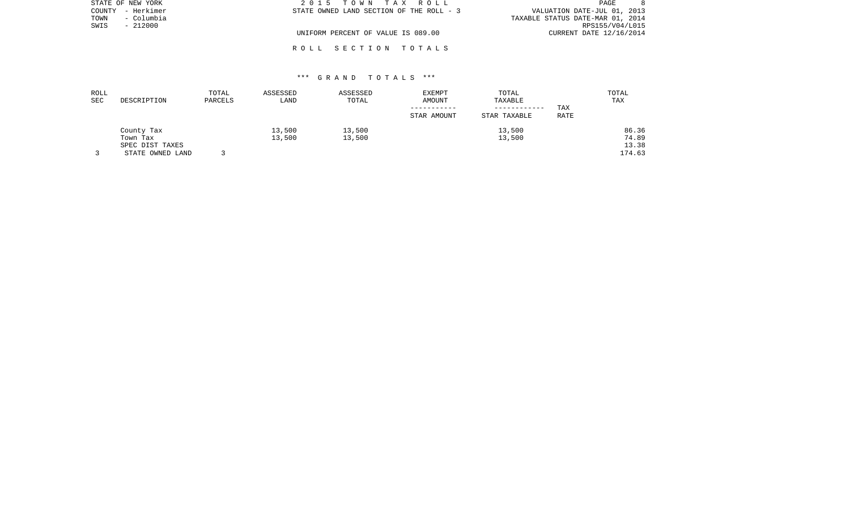| STATE OF NEW YORK  | 2015 TOWN TAX ROLL                       | PAGE                             |
|--------------------|------------------------------------------|----------------------------------|
| COUNTY - Herkimer  | STATE OWNED LAND SECTION OF THE ROLL - 3 | VALUATION DATE-JUL 01, 2013      |
| – Columbia<br>TOWN |                                          | TAXABLE STATUS DATE-MAR 01, 2014 |
| $-212000$<br>SWIS  |                                          | RPS155/V04/L015                  |
|                    | UNIFORM PERCENT OF VALUE IS 089.00       | CURRENT DATE 12/16/2014          |
|                    |                                          |                                  |

# \*\*\* G R A N D T O T A L S \*\*\*

R O L L S E C T I O N T O T A L S

| ROLL<br>SEC | DESCRIPTION                               | TOTAL<br>PARCELS | ASSESSED<br>LAND | ASSESSED<br>TOTAL | <b>EXEMPT</b><br>AMOUNT<br>STAR AMOUNT | TOTAL<br>TAXABLE<br>------------<br>STAR TAXABLE | TAX<br>RATE | TOTAL<br>TAX            |
|-------------|-------------------------------------------|------------------|------------------|-------------------|----------------------------------------|--------------------------------------------------|-------------|-------------------------|
|             | County Tax<br>Town Tax<br>SPEC DIST TAXES |                  | 13,500<br>13,500 | 13,500<br>13,500  |                                        | 13,500<br>13,500                                 |             | 86.36<br>74.89<br>13.38 |
|             | STATE OWNED LAND                          |                  |                  |                   |                                        |                                                  |             | 174.63                  |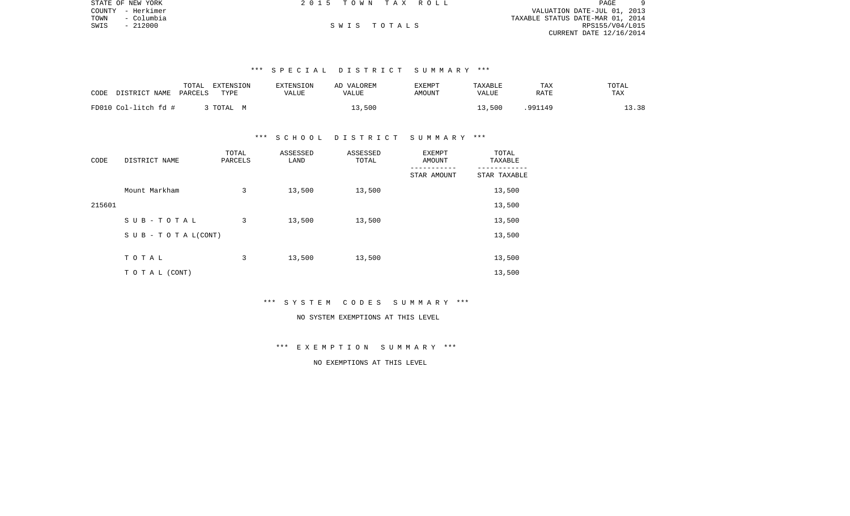|      | STATE OF NEW YORK | 2015 TOWN TAX ROLL |  |                                  | PAGE            | 9 |
|------|-------------------|--------------------|--|----------------------------------|-----------------|---|
|      | COUNTY - Herkimer |                    |  | VALUATION DATE-JUL 01, 2013      |                 |   |
| TOWN | - Columbia        |                    |  | TAXABLE STATUS DATE-MAR 01, 2014 |                 |   |
| SWIS | - 212000          | SWIS TOTALS        |  |                                  | RPS155/V04/L015 |   |
|      |                   |                    |  | CURRENT DATE 12/16/2014          |                 |   |
|      |                   |                    |  |                                  |                 |   |

# \*\*\* S P E C I A L D I S T R I C T S U M M A R Y \*\*\*

| CODE                 | TOTAL   | EXTENSION | <b>EXTENSION</b> | AD VALOREM | EXEMPT | TAXABLE | TAX     | TOTAL |
|----------------------|---------|-----------|------------------|------------|--------|---------|---------|-------|
| DISTRICT NAME        | PARCELS | TYPE      | VALUE            | VALUE      | AMOUNT | VALUE   | RATE    | TAX   |
| FD010 Col-litch fd # |         | 3 TOTAL M |                  | .3,500     |        | 13,500  | .991149 | 13.38 |

### \*\*\* S C H O O L D I S T R I C T S U M M A R Y \*\*\*

| CODE   | DISTRICT NAME      | TOTAL<br>PARCELS | ASSESSED<br>LAND | ASSESSED<br>TOTAL | <b>EXEMPT</b><br>AMOUNT | TOTAL<br>TAXABLE |
|--------|--------------------|------------------|------------------|-------------------|-------------------------|------------------|
|        |                    |                  |                  |                   | STAR AMOUNT             | STAR TAXABLE     |
|        | Mount Markham      | 3                | 13,500           | 13,500            |                         | 13,500           |
| 215601 |                    |                  |                  |                   |                         | 13,500           |
|        | SUB-TOTAL          | 3                | 13,500           | 13,500            |                         | 13,500           |
|        | SUB - TO TAL(CONT) |                  |                  |                   |                         | 13,500           |
|        |                    |                  |                  |                   |                         |                  |
|        | TOTAL              | 3                | 13,500           | 13,500            |                         | 13,500           |
|        | TO TAL (CONT)      |                  |                  |                   |                         | 13,500           |

### \*\*\* S Y S T E M C O D E S S U M M A R Y \*\*\*

# NO SYSTEM EXEMPTIONS AT THIS LEVEL

# \*\*\* E X E M P T I O N S U M M A R Y \*\*\*

# NO EXEMPTIONS AT THIS LEVEL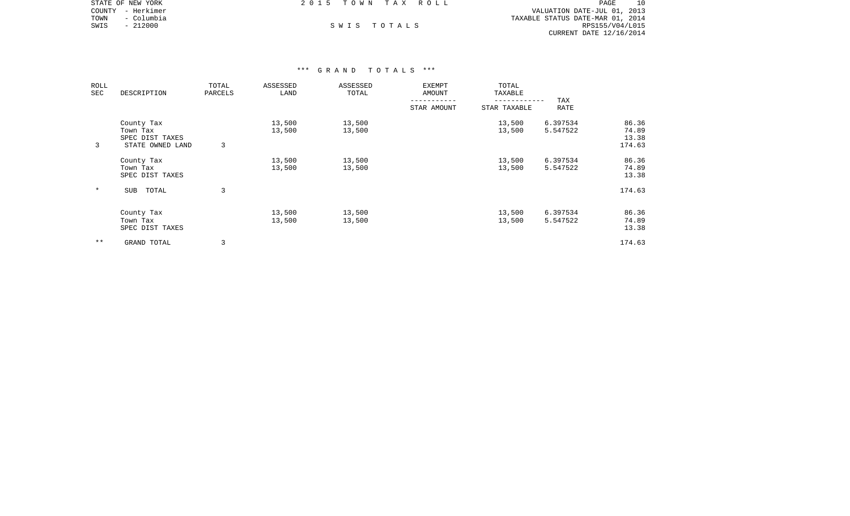|      | STATE OF NEW YORK | 2015 TOWN TAX ROLL |             | PAGE                             | 10 |
|------|-------------------|--------------------|-------------|----------------------------------|----|
|      | COUNTY - Herkimer |                    |             | VALUATION DATE-JUL 01, 2013      |    |
| TOWN | – Columbia        |                    |             | TAXABLE STATUS DATE-MAR 01, 2014 |    |
| SWIS | - 212000          |                    | SWIS TOTALS | RPS155/V04/L015                  |    |
|      |                   |                    |             | CURRENT DATE 12/16/2014          |    |

| ROLL<br>SEC | DESCRIPTION                                                   | TOTAL<br>PARCELS | ASSESSED<br>LAND | ASSESSED<br>TOTAL | EXEMPT<br>AMOUNT | TOTAL<br>TAXABLE |                      |                                   |
|-------------|---------------------------------------------------------------|------------------|------------------|-------------------|------------------|------------------|----------------------|-----------------------------------|
|             |                                                               |                  |                  |                   | STAR AMOUNT      | STAR TAXABLE     | TAX<br><b>RATE</b>   |                                   |
| 3           | County Tax<br>Town Tax<br>SPEC DIST TAXES<br>STATE OWNED LAND | 3                | 13,500<br>13,500 | 13,500<br>13,500  |                  | 13,500<br>13,500 | 6.397534<br>5.547522 | 86.36<br>74.89<br>13.38<br>174.63 |
|             | County Tax<br>Town Tax<br>SPEC DIST TAXES                     |                  | 13,500<br>13,500 | 13,500<br>13,500  |                  | 13,500<br>13,500 | 6.397534<br>5.547522 | 86.36<br>74.89<br>13.38           |
| $\ast$      | TOTAL<br>SUB                                                  | 3                |                  |                   |                  |                  |                      | 174.63                            |
|             | County Tax<br>Town Tax<br>SPEC DIST TAXES                     |                  | 13,500<br>13,500 | 13,500<br>13,500  |                  | 13,500<br>13,500 | 6.397534<br>5.547522 | 86.36<br>74.89<br>13.38           |
| $* *$       | GRAND TOTAL                                                   |                  |                  |                   |                  |                  |                      | 174.63                            |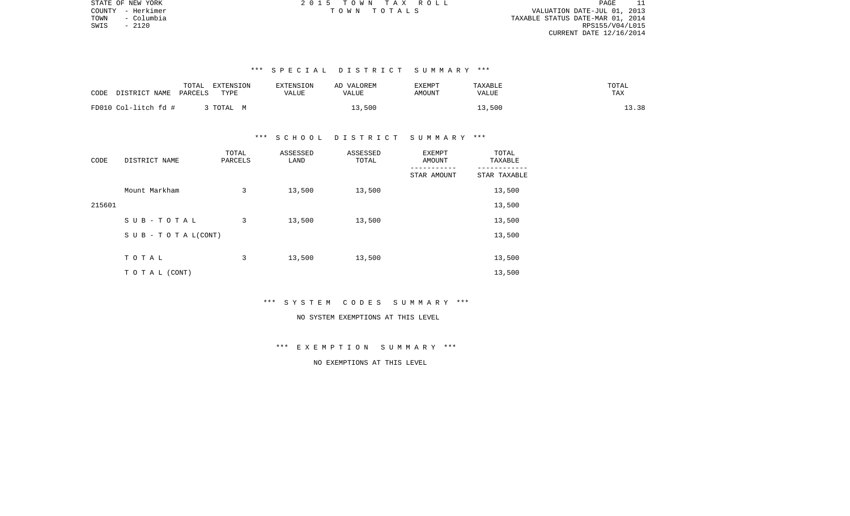PAGE 11 COUNTY - Herkimer T O W N T O T A L S VALUATION DATE-JUL 01, 2013 TAXABLE STATUS DATE-MAR 01, 2014 SWIS - 2120 RPS155/V04/L015 CURRENT DATE 12/16/2014

STATE OF NEW YORK 2 0 1 5 T O W N T A X R O L L PAGE 11

# \*\*\* S P E C I A L D I S T R I C T S U M M A R Y \*\*\*

| DISTRICT NAME<br>CODE | TOTAL<br>EXTENSION<br>TYPE<br>PARCELS | <b>EXTENSION</b><br>VALUE | AD VALOREM<br>VALUE | EXEMPT<br>AMOUNT | TAXABLE<br>VALUE | TOTAL<br>TAX |
|-----------------------|---------------------------------------|---------------------------|---------------------|------------------|------------------|--------------|
| FD010 Col-litch fd #  | TOTAL M                               |                           | 13,500              |                  | 13,500           | 13.38        |

### \*\*\* S C H O O L D I S T R I C T S U M M A R Y \*\*\*

| CODE   | DISTRICT NAME      | TOTAL<br>PARCELS | ASSESSED<br>LAND | ASSESSED<br>TOTAL | EXEMPT<br>AMOUNT | TOTAL<br>TAXABLE |  |
|--------|--------------------|------------------|------------------|-------------------|------------------|------------------|--|
|        |                    |                  |                  |                   | STAR AMOUNT      | STAR TAXABLE     |  |
|        | Mount Markham      | 3                | 13,500           | 13,500            |                  | 13,500           |  |
| 215601 |                    |                  |                  |                   |                  | 13,500           |  |
|        | SUB-TOTAL          | 3                | 13,500           | 13,500            |                  | 13,500           |  |
|        | SUB - TO TAL(CONT) |                  |                  |                   |                  | 13,500           |  |
|        |                    |                  |                  |                   |                  |                  |  |
|        | TOTAL              | 3                | 13,500           | 13,500            |                  | 13,500           |  |
|        | T O T A L (CONT)   |                  |                  |                   |                  | 13,500           |  |

# \*\*\* S Y S T E M C O D E S S U M M A R Y \*\*\*

# NO SYSTEM EXEMPTIONS AT THIS LEVEL

# \*\*\* E X E M P T I O N S U M M A R Y \*\*\*

# NO EXEMPTIONS AT THIS LEVEL